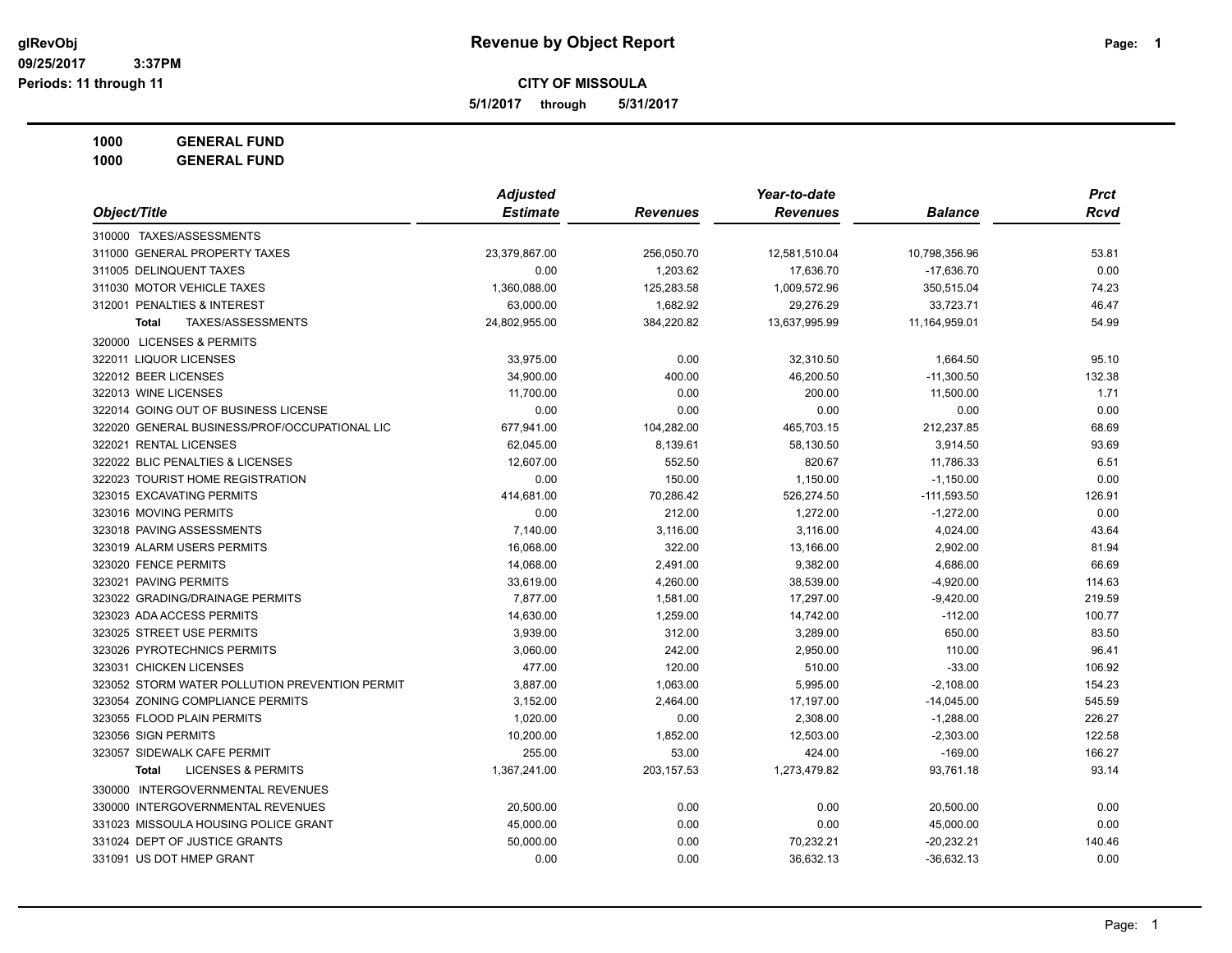**5/1/2017 through 5/31/2017**

**1000 GENERAL FUND**

| Object/Title                                   | <b>Adjusted</b> |                 | Year-to-date    |                | <b>Prct</b> |
|------------------------------------------------|-----------------|-----------------|-----------------|----------------|-------------|
|                                                | <b>Estimate</b> | <b>Revenues</b> | <b>Revenues</b> | <b>Balance</b> | <b>Rcvd</b> |
| 310000 TAXES/ASSESSMENTS                       |                 |                 |                 |                |             |
| 311000 GENERAL PROPERTY TAXES                  | 23,379,867.00   | 256,050.70      | 12,581,510.04   | 10,798,356.96  | 53.81       |
| 311005 DELINQUENT TAXES                        | 0.00            | 1,203.62        | 17,636.70       | $-17,636.70$   | 0.00        |
| 311030 MOTOR VEHICLE TAXES                     | 1,360,088.00    | 125,283.58      | 1,009,572.96    | 350,515.04     | 74.23       |
| 312001 PENALTIES & INTEREST                    | 63,000.00       | 1,682.92        | 29,276.29       | 33,723.71      | 46.47       |
| TAXES/ASSESSMENTS<br><b>Total</b>              | 24,802,955.00   | 384,220.82      | 13,637,995.99   | 11,164,959.01  | 54.99       |
| 320000 LICENSES & PERMITS                      |                 |                 |                 |                |             |
| 322011 LIQUOR LICENSES                         | 33,975.00       | 0.00            | 32,310.50       | 1,664.50       | 95.10       |
| 322012 BEER LICENSES                           | 34,900.00       | 400.00          | 46,200.50       | $-11,300.50$   | 132.38      |
| 322013 WINE LICENSES                           | 11,700.00       | 0.00            | 200.00          | 11,500.00      | 1.71        |
| 322014 GOING OUT OF BUSINESS LICENSE           | 0.00            | 0.00            | 0.00            | 0.00           | 0.00        |
| 322020 GENERAL BUSINESS/PROF/OCCUPATIONAL LIC  | 677,941.00      | 104,282.00      | 465,703.15      | 212,237.85     | 68.69       |
| 322021 RENTAL LICENSES                         | 62,045.00       | 8,139.61        | 58,130.50       | 3,914.50       | 93.69       |
| 322022 BLIC PENALTIES & LICENSES               | 12,607.00       | 552.50          | 820.67          | 11,786.33      | 6.51        |
| 322023 TOURIST HOME REGISTRATION               | 0.00            | 150.00          | 1,150.00        | $-1,150.00$    | 0.00        |
| 323015 EXCAVATING PERMITS                      | 414,681.00      | 70,286.42       | 526,274.50      | $-111,593.50$  | 126.91      |
| 323016 MOVING PERMITS                          | 0.00            | 212.00          | 1,272.00        | $-1,272.00$    | 0.00        |
| 323018 PAVING ASSESSMENTS                      | 7,140.00        | 3,116.00        | 3,116.00        | 4,024.00       | 43.64       |
| 323019 ALARM USERS PERMITS                     | 16,068.00       | 322.00          | 13,166.00       | 2,902.00       | 81.94       |
| 323020 FENCE PERMITS                           | 14,068.00       | 2,491.00        | 9,382.00        | 4,686.00       | 66.69       |
| 323021 PAVING PERMITS                          | 33,619.00       | 4,260.00        | 38,539.00       | $-4,920.00$    | 114.63      |
| 323022 GRADING/DRAINAGE PERMITS                | 7,877.00        | 1,581.00        | 17,297.00       | $-9,420.00$    | 219.59      |
| 323023 ADA ACCESS PERMITS                      | 14,630.00       | 1,259.00        | 14,742.00       | $-112.00$      | 100.77      |
| 323025 STREET USE PERMITS                      | 3,939.00        | 312.00          | 3,289.00        | 650.00         | 83.50       |
| 323026 PYROTECHNICS PERMITS                    | 3,060.00        | 242.00          | 2,950.00        | 110.00         | 96.41       |
| 323031 CHICKEN LICENSES                        | 477.00          | 120.00          | 510.00          | $-33.00$       | 106.92      |
| 323052 STORM WATER POLLUTION PREVENTION PERMIT | 3,887.00        | 1,063.00        | 5,995.00        | $-2,108.00$    | 154.23      |
| 323054 ZONING COMPLIANCE PERMITS               | 3,152.00        | 2,464.00        | 17,197.00       | $-14,045.00$   | 545.59      |
| 323055 FLOOD PLAIN PERMITS                     | 1,020.00        | 0.00            | 2,308.00        | $-1,288.00$    | 226.27      |
| 323056 SIGN PERMITS                            | 10,200.00       | 1,852.00        | 12,503.00       | $-2,303.00$    | 122.58      |
| 323057 SIDEWALK CAFE PERMIT                    | 255.00          | 53.00           | 424.00          | $-169.00$      | 166.27      |
| <b>LICENSES &amp; PERMITS</b><br><b>Total</b>  | 1,367,241.00    | 203, 157.53     | 1,273,479.82    | 93,761.18      | 93.14       |
| 330000 INTERGOVERNMENTAL REVENUES              |                 |                 |                 |                |             |
| 330000 INTERGOVERNMENTAL REVENUES              | 20,500.00       | 0.00            | 0.00            | 20,500.00      | 0.00        |
| 331023 MISSOULA HOUSING POLICE GRANT           | 45,000.00       | 0.00            | 0.00            | 45,000.00      | 0.00        |
| 331024 DEPT OF JUSTICE GRANTS                  | 50,000.00       | 0.00            | 70,232.21       | $-20,232.21$   | 140.46      |
| 331091 US DOT HMEP GRANT                       | 0.00            | 0.00            | 36,632.13       | $-36,632.13$   | 0.00        |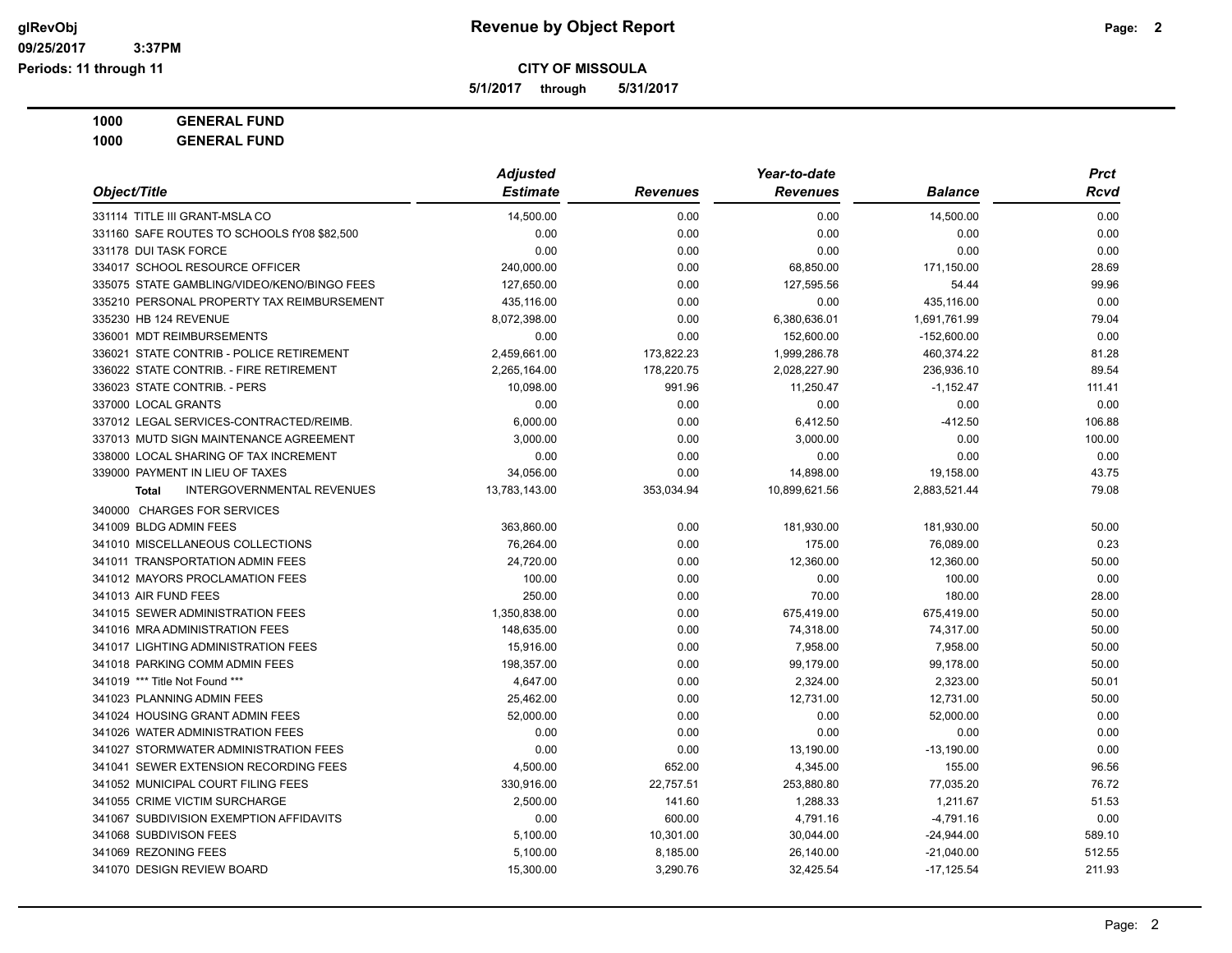**5/1/2017 through 5/31/2017**

#### **1000 GENERAL FUND**

|                                                   | <b>Adjusted</b> |                 | Year-to-date    |                | <b>Prct</b> |
|---------------------------------------------------|-----------------|-----------------|-----------------|----------------|-------------|
| Object/Title                                      | <b>Estimate</b> | <b>Revenues</b> | <b>Revenues</b> | <b>Balance</b> | Rcvd        |
| 331114 TITLE III GRANT-MSLA CO                    | 14,500.00       | 0.00            | 0.00            | 14,500.00      | 0.00        |
| 331160 SAFE ROUTES TO SCHOOLS fY08 \$82,500       | 0.00            | 0.00            | 0.00            | 0.00           | 0.00        |
| 331178 DUI TASK FORCE                             | 0.00            | 0.00            | 0.00            | 0.00           | 0.00        |
| 334017 SCHOOL RESOURCE OFFICER                    | 240,000.00      | 0.00            | 68,850.00       | 171,150.00     | 28.69       |
| 335075 STATE GAMBLING/VIDEO/KENO/BINGO FEES       | 127,650.00      | 0.00            | 127,595.56      | 54.44          | 99.96       |
| 335210 PERSONAL PROPERTY TAX REIMBURSEMENT        | 435,116.00      | 0.00            | 0.00            | 435,116.00     | 0.00        |
| 335230 HB 124 REVENUE                             | 8,072,398.00    | 0.00            | 6,380,636.01    | 1,691,761.99   | 79.04       |
| 336001 MDT REIMBURSEMENTS                         | 0.00            | 0.00            | 152,600.00      | $-152,600.00$  | 0.00        |
| 336021 STATE CONTRIB - POLICE RETIREMENT          | 2,459,661.00    | 173,822.23      | 1,999,286.78    | 460,374.22     | 81.28       |
| 336022 STATE CONTRIB. - FIRE RETIREMENT           | 2,265,164.00    | 178,220.75      | 2,028,227.90    | 236,936.10     | 89.54       |
| 336023 STATE CONTRIB. - PERS                      | 10,098.00       | 991.96          | 11,250.47       | $-1,152.47$    | 111.41      |
| 337000 LOCAL GRANTS                               | 0.00            | 0.00            | 0.00            | 0.00           | 0.00        |
| 337012 LEGAL SERVICES-CONTRACTED/REIMB.           | 6,000.00        | 0.00            | 6,412.50        | $-412.50$      | 106.88      |
| 337013 MUTD SIGN MAINTENANCE AGREEMENT            | 3,000.00        | 0.00            | 3,000.00        | 0.00           | 100.00      |
| 338000 LOCAL SHARING OF TAX INCREMENT             | 0.00            | 0.00            | 0.00            | 0.00           | 0.00        |
| 339000 PAYMENT IN LIEU OF TAXES                   | 34,056.00       | 0.00            | 14,898.00       | 19,158.00      | 43.75       |
| <b>INTERGOVERNMENTAL REVENUES</b><br><b>Total</b> | 13,783,143.00   | 353,034.94      | 10,899,621.56   | 2,883,521.44   | 79.08       |
| 340000 CHARGES FOR SERVICES                       |                 |                 |                 |                |             |
| 341009 BLDG ADMIN FEES                            | 363,860.00      | 0.00            | 181,930.00      | 181,930.00     | 50.00       |
| 341010 MISCELLANEOUS COLLECTIONS                  | 76,264.00       | 0.00            | 175.00          | 76,089.00      | 0.23        |
| 341011 TRANSPORTATION ADMIN FEES                  | 24,720.00       | 0.00            | 12,360.00       | 12,360.00      | 50.00       |
| 341012 MAYORS PROCLAMATION FEES                   | 100.00          | 0.00            | 0.00            | 100.00         | 0.00        |
| 341013 AIR FUND FEES                              | 250.00          | 0.00            | 70.00           | 180.00         | 28.00       |
| 341015 SEWER ADMINISTRATION FEES                  | 1,350,838.00    | 0.00            | 675,419.00      | 675,419.00     | 50.00       |
| 341016 MRA ADMINISTRATION FEES                    | 148,635.00      | 0.00            | 74,318.00       | 74,317.00      | 50.00       |
| 341017 LIGHTING ADMINISTRATION FEES               | 15,916.00       | 0.00            | 7,958.00        | 7,958.00       | 50.00       |
| 341018 PARKING COMM ADMIN FEES                    | 198,357.00      | 0.00            | 99,179.00       | 99,178.00      | 50.00       |
| 341019 *** Title Not Found ***                    | 4,647.00        | 0.00            | 2,324.00        | 2,323.00       | 50.01       |
| 341023 PLANNING ADMIN FEES                        | 25,462.00       | 0.00            | 12,731.00       | 12,731.00      | 50.00       |
| 341024 HOUSING GRANT ADMIN FEES                   | 52,000.00       | 0.00            | 0.00            | 52,000.00      | 0.00        |
| 341026 WATER ADMINISTRATION FEES                  | 0.00            | 0.00            | 0.00            | 0.00           | 0.00        |
| 341027 STORMWATER ADMINISTRATION FEES             | 0.00            | 0.00            | 13,190.00       | $-13,190.00$   | 0.00        |
| 341041 SEWER EXTENSION RECORDING FEES             | 4,500.00        | 652.00          | 4,345.00        | 155.00         | 96.56       |
| 341052 MUNICIPAL COURT FILING FEES                | 330,916.00      | 22,757.51       | 253,880.80      | 77,035.20      | 76.72       |
| 341055 CRIME VICTIM SURCHARGE                     | 2,500.00        | 141.60          | 1,288.33        | 1,211.67       | 51.53       |
| 341067 SUBDIVISION EXEMPTION AFFIDAVITS           | 0.00            | 600.00          | 4,791.16        | $-4,791.16$    | 0.00        |
| 341068 SUBDIVISON FEES                            | 5,100.00        | 10,301.00       | 30,044.00       | $-24,944.00$   | 589.10      |
| 341069 REZONING FEES                              | 5,100.00        | 8,185.00        | 26,140.00       | $-21,040.00$   | 512.55      |
| 341070 DESIGN REVIEW BOARD                        | 15,300.00       | 3,290.76        | 32,425.54       | $-17, 125.54$  | 211.93      |
|                                                   |                 |                 |                 |                |             |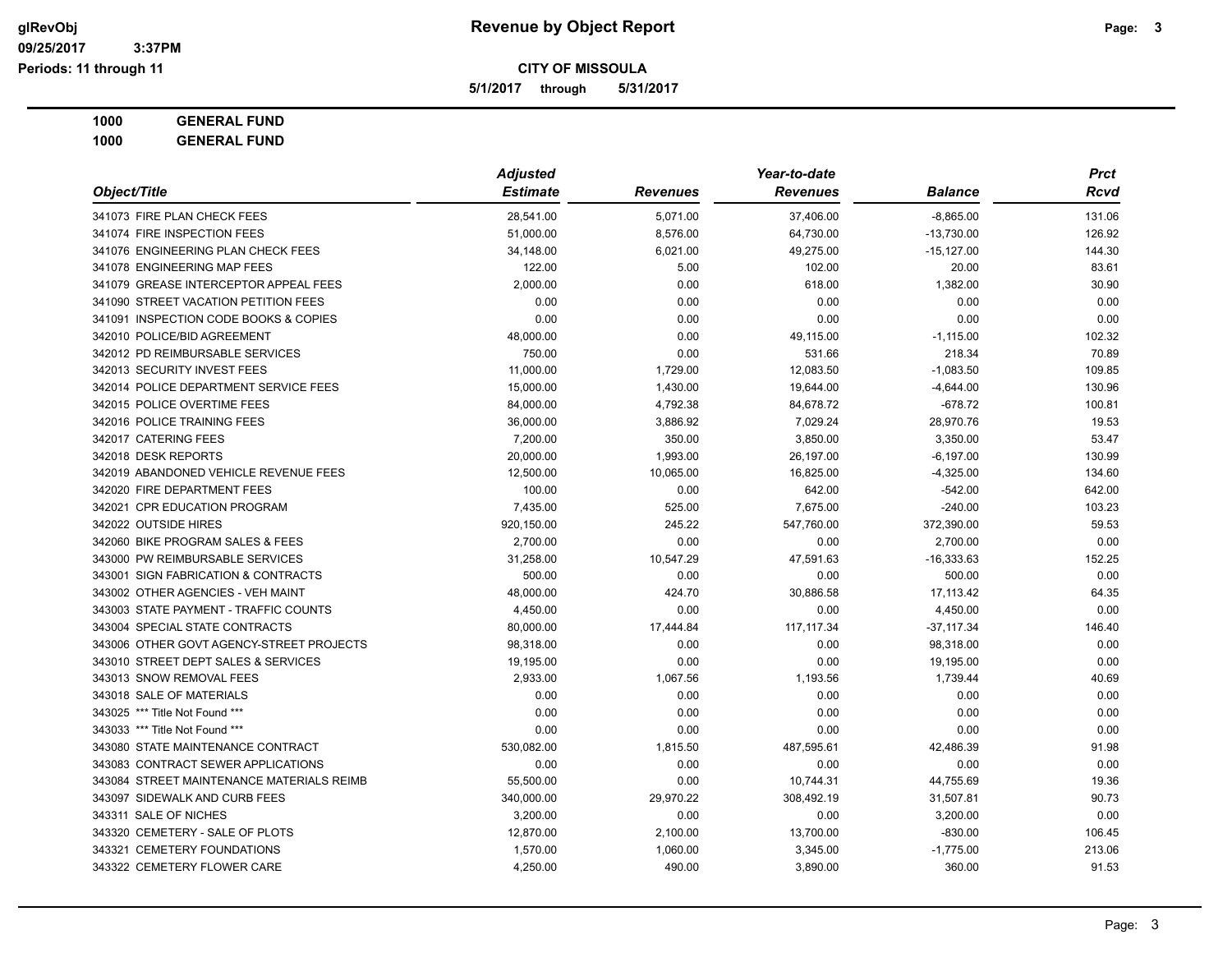**5/1/2017 through 5/31/2017**

#### **1000 GENERAL FUND**

|                                           | <b>Adjusted</b> |                 | Year-to-date    |                | <b>Prct</b> |
|-------------------------------------------|-----------------|-----------------|-----------------|----------------|-------------|
| Object/Title                              | <b>Estimate</b> | <b>Revenues</b> | <b>Revenues</b> | <b>Balance</b> | Rcvd        |
| 341073 FIRE PLAN CHECK FEES               | 28,541.00       | 5,071.00        | 37,406.00       | $-8,865.00$    | 131.06      |
| 341074 FIRE INSPECTION FEES               | 51,000.00       | 8,576.00        | 64,730.00       | $-13,730.00$   | 126.92      |
| 341076 ENGINEERING PLAN CHECK FEES        | 34,148.00       | 6,021.00        | 49,275.00       | $-15, 127.00$  | 144.30      |
| 341078 ENGINEERING MAP FEES               | 122.00          | 5.00            | 102.00          | 20.00          | 83.61       |
| 341079 GREASE INTERCEPTOR APPEAL FEES     | 2,000.00        | 0.00            | 618.00          | 1,382.00       | 30.90       |
| 341090 STREET VACATION PETITION FEES      | 0.00            | 0.00            | 0.00            | 0.00           | 0.00        |
| 341091 INSPECTION CODE BOOKS & COPIES     | 0.00            | 0.00            | 0.00            | 0.00           | 0.00        |
| 342010 POLICE/BID AGREEMENT               | 48,000.00       | 0.00            | 49,115.00       | $-1,115.00$    | 102.32      |
| 342012 PD REIMBURSABLE SERVICES           | 750.00          | 0.00            | 531.66          | 218.34         | 70.89       |
| 342013 SECURITY INVEST FEES               | 11,000.00       | 1,729.00        | 12,083.50       | $-1,083.50$    | 109.85      |
| 342014 POLICE DEPARTMENT SERVICE FEES     | 15,000.00       | 1,430.00        | 19,644.00       | $-4,644.00$    | 130.96      |
| 342015 POLICE OVERTIME FEES               | 84,000.00       | 4,792.38        | 84,678.72       | $-678.72$      | 100.81      |
| 342016 POLICE TRAINING FEES               | 36,000.00       | 3,886.92        | 7,029.24        | 28,970.76      | 19.53       |
| 342017 CATERING FEES                      | 7,200.00        | 350.00          | 3,850.00        | 3,350.00       | 53.47       |
| 342018 DESK REPORTS                       | 20,000.00       | 1,993.00        | 26,197.00       | $-6,197.00$    | 130.99      |
| 342019 ABANDONED VEHICLE REVENUE FEES     | 12,500.00       | 10,065.00       | 16,825.00       | $-4,325.00$    | 134.60      |
| 342020 FIRE DEPARTMENT FEES               | 100.00          | 0.00            | 642.00          | $-542.00$      | 642.00      |
| 342021 CPR EDUCATION PROGRAM              | 7,435.00        | 525.00          | 7,675.00        | $-240.00$      | 103.23      |
| 342022 OUTSIDE HIRES                      | 920,150.00      | 245.22          | 547,760.00      | 372,390.00     | 59.53       |
| 342060 BIKE PROGRAM SALES & FEES          | 2,700.00        | 0.00            | 0.00            | 2,700.00       | 0.00        |
| 343000 PW REIMBURSABLE SERVICES           | 31,258.00       | 10,547.29       | 47,591.63       | $-16,333.63$   | 152.25      |
| 343001 SIGN FABRICATION & CONTRACTS       | 500.00          | 0.00            | 0.00            | 500.00         | 0.00        |
| 343002 OTHER AGENCIES - VEH MAINT         | 48,000.00       | 424.70          | 30,886.58       | 17, 113.42     | 64.35       |
| 343003 STATE PAYMENT - TRAFFIC COUNTS     | 4,450.00        | 0.00            | 0.00            | 4,450.00       | 0.00        |
| 343004 SPECIAL STATE CONTRACTS            | 80,000.00       | 17,444.84       | 117, 117.34     | $-37, 117.34$  | 146.40      |
| 343006 OTHER GOVT AGENCY-STREET PROJECTS  | 98,318.00       | 0.00            | 0.00            | 98,318.00      | 0.00        |
| 343010 STREET DEPT SALES & SERVICES       | 19,195.00       | 0.00            | 0.00            | 19,195.00      | 0.00        |
| 343013 SNOW REMOVAL FEES                  | 2,933.00        | 1,067.56        | 1,193.56        | 1,739.44       | 40.69       |
| 343018 SALE OF MATERIALS                  | 0.00            | 0.00            | 0.00            | 0.00           | 0.00        |
| 343025 *** Title Not Found ***            | 0.00            | 0.00            | 0.00            | 0.00           | 0.00        |
| 343033 *** Title Not Found ***            | 0.00            | 0.00            | 0.00            | 0.00           | 0.00        |
| 343080 STATE MAINTENANCE CONTRACT         | 530,082.00      | 1,815.50        | 487,595.61      | 42,486.39      | 91.98       |
| 343083 CONTRACT SEWER APPLICATIONS        | 0.00            | 0.00            | 0.00            | 0.00           | 0.00        |
| 343084 STREET MAINTENANCE MATERIALS REIMB | 55,500.00       | 0.00            | 10,744.31       | 44,755.69      | 19.36       |
| 343097 SIDEWALK AND CURB FEES             | 340,000.00      | 29,970.22       | 308,492.19      | 31,507.81      | 90.73       |
| 343311 SALE OF NICHES                     | 3,200.00        | 0.00            | 0.00            | 3,200.00       | 0.00        |
| 343320 CEMETERY - SALE OF PLOTS           | 12,870.00       | 2,100.00        | 13,700.00       | $-830.00$      | 106.45      |
| 343321 CEMETERY FOUNDATIONS               | 1,570.00        | 1,060.00        | 3,345.00        | $-1,775.00$    | 213.06      |
| 343322 CEMETERY FLOWER CARE               | 4,250.00        | 490.00          | 3,890.00        | 360.00         | 91.53       |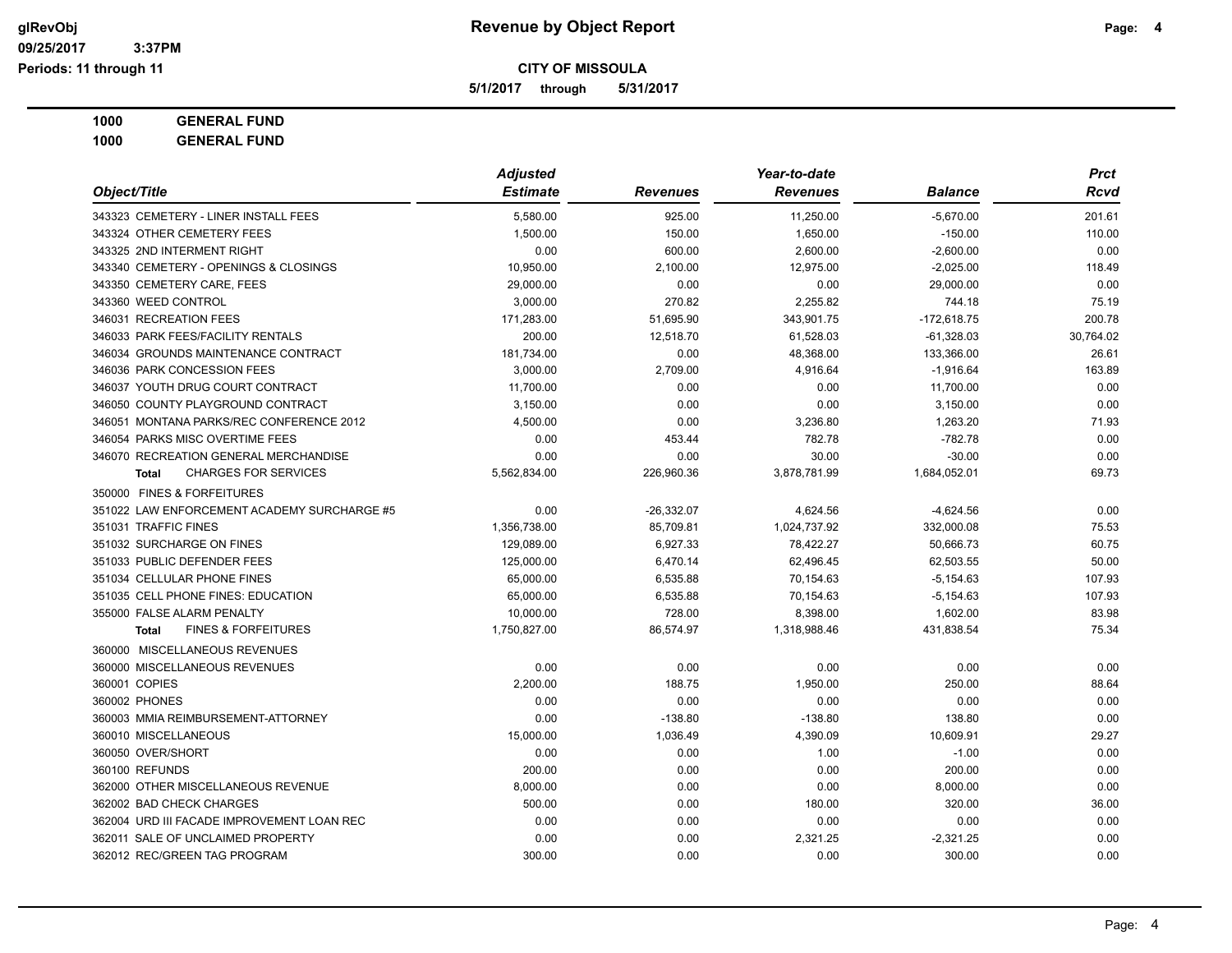**5/1/2017 through 5/31/2017**

### **1000 GENERAL FUND**

|                                                | <b>Adjusted</b> |                 | Year-to-date    |                | <b>Prct</b> |
|------------------------------------------------|-----------------|-----------------|-----------------|----------------|-------------|
| Object/Title                                   | <b>Estimate</b> | <b>Revenues</b> | <b>Revenues</b> | <b>Balance</b> | Rcvd        |
| 343323 CEMETERY - LINER INSTALL FEES           | 5,580.00        | 925.00          | 11,250.00       | $-5,670.00$    | 201.61      |
| 343324 OTHER CEMETERY FEES                     | 1,500.00        | 150.00          | 1,650.00        | $-150.00$      | 110.00      |
| 343325 2ND INTERMENT RIGHT                     | 0.00            | 600.00          | 2,600.00        | $-2,600.00$    | 0.00        |
| 343340 CEMETERY - OPENINGS & CLOSINGS          | 10,950.00       | 2,100.00        | 12,975.00       | $-2,025.00$    | 118.49      |
| 343350 CEMETERY CARE, FEES                     | 29,000.00       | 0.00            | 0.00            | 29,000.00      | 0.00        |
| 343360 WEED CONTROL                            | 3,000.00        | 270.82          | 2,255.82        | 744.18         | 75.19       |
| 346031 RECREATION FEES                         | 171,283.00      | 51,695.90       | 343,901.75      | $-172,618.75$  | 200.78      |
| 346033 PARK FEES/FACILITY RENTALS              | 200.00          | 12,518.70       | 61,528.03       | $-61,328.03$   | 30,764.02   |
| 346034 GROUNDS MAINTENANCE CONTRACT            | 181,734.00      | 0.00            | 48,368.00       | 133,366.00     | 26.61       |
| 346036 PARK CONCESSION FEES                    | 3,000.00        | 2,709.00        | 4,916.64        | $-1,916.64$    | 163.89      |
| 346037 YOUTH DRUG COURT CONTRACT               | 11,700.00       | 0.00            | 0.00            | 11,700.00      | 0.00        |
| 346050 COUNTY PLAYGROUND CONTRACT              | 3,150.00        | 0.00            | 0.00            | 3,150.00       | 0.00        |
| 346051 MONTANA PARKS/REC CONFERENCE 2012       | 4,500.00        | 0.00            | 3,236.80        | 1,263.20       | 71.93       |
| 346054 PARKS MISC OVERTIME FEES                | 0.00            | 453.44          | 782.78          | $-782.78$      | 0.00        |
| 346070 RECREATION GENERAL MERCHANDISE          | 0.00            | 0.00            | 30.00           | $-30.00$       | 0.00        |
| <b>CHARGES FOR SERVICES</b><br><b>Total</b>    | 5,562,834.00    | 226,960.36      | 3,878,781.99    | 1,684,052.01   | 69.73       |
| 350000 FINES & FORFEITURES                     |                 |                 |                 |                |             |
| 351022 LAW ENFORCEMENT ACADEMY SURCHARGE #5    | 0.00            | $-26,332.07$    | 4,624.56        | $-4,624.56$    | 0.00        |
| 351031 TRAFFIC FINES                           | 1,356,738.00    | 85,709.81       | 1,024,737.92    | 332,000.08     | 75.53       |
| 351032 SURCHARGE ON FINES                      | 129,089.00      | 6,927.33        | 78,422.27       | 50,666.73      | 60.75       |
| 351033 PUBLIC DEFENDER FEES                    | 125,000.00      | 6,470.14        | 62,496.45       | 62,503.55      | 50.00       |
| 351034 CELLULAR PHONE FINES                    | 65,000.00       | 6,535.88        | 70,154.63       | $-5,154.63$    | 107.93      |
| 351035 CELL PHONE FINES: EDUCATION             | 65,000.00       | 6,535.88        | 70,154.63       | $-5,154.63$    | 107.93      |
| 355000 FALSE ALARM PENALTY                     | 10,000.00       | 728.00          | 8,398.00        | 1,602.00       | 83.98       |
| <b>FINES &amp; FORFEITURES</b><br><b>Total</b> | 1,750,827.00    | 86,574.97       | 1,318,988.46    | 431,838.54     | 75.34       |
| 360000 MISCELLANEOUS REVENUES                  |                 |                 |                 |                |             |
| 360000 MISCELLANEOUS REVENUES                  | 0.00            | 0.00            | 0.00            | 0.00           | 0.00        |
| 360001 COPIES                                  | 2,200.00        | 188.75          | 1,950.00        | 250.00         | 88.64       |
| 360002 PHONES                                  | 0.00            | 0.00            | 0.00            | 0.00           | 0.00        |
| 360003 MMIA REIMBURSEMENT-ATTORNEY             | 0.00            | $-138.80$       | $-138.80$       | 138.80         | 0.00        |
| 360010 MISCELLANEOUS                           | 15,000.00       | 1,036.49        | 4,390.09        | 10,609.91      | 29.27       |
| 360050 OVER/SHORT                              | 0.00            | 0.00            | 1.00            | $-1.00$        | 0.00        |
| 360100 REFUNDS                                 | 200.00          | 0.00            | 0.00            | 200.00         | 0.00        |
| 362000 OTHER MISCELLANEOUS REVENUE             | 8,000.00        | 0.00            | 0.00            | 8,000.00       | 0.00        |
| 362002 BAD CHECK CHARGES                       | 500.00          | 0.00            | 180.00          | 320.00         | 36.00       |
| 362004 URD III FACADE IMPROVEMENT LOAN REC     | 0.00            | 0.00            | 0.00            | 0.00           | 0.00        |
| 362011 SALE OF UNCLAIMED PROPERTY              | 0.00            | 0.00            | 2,321.25        | $-2,321.25$    | 0.00        |
| 362012 REC/GREEN TAG PROGRAM                   | 300.00          | 0.00            | 0.00            | 300.00         | 0.00        |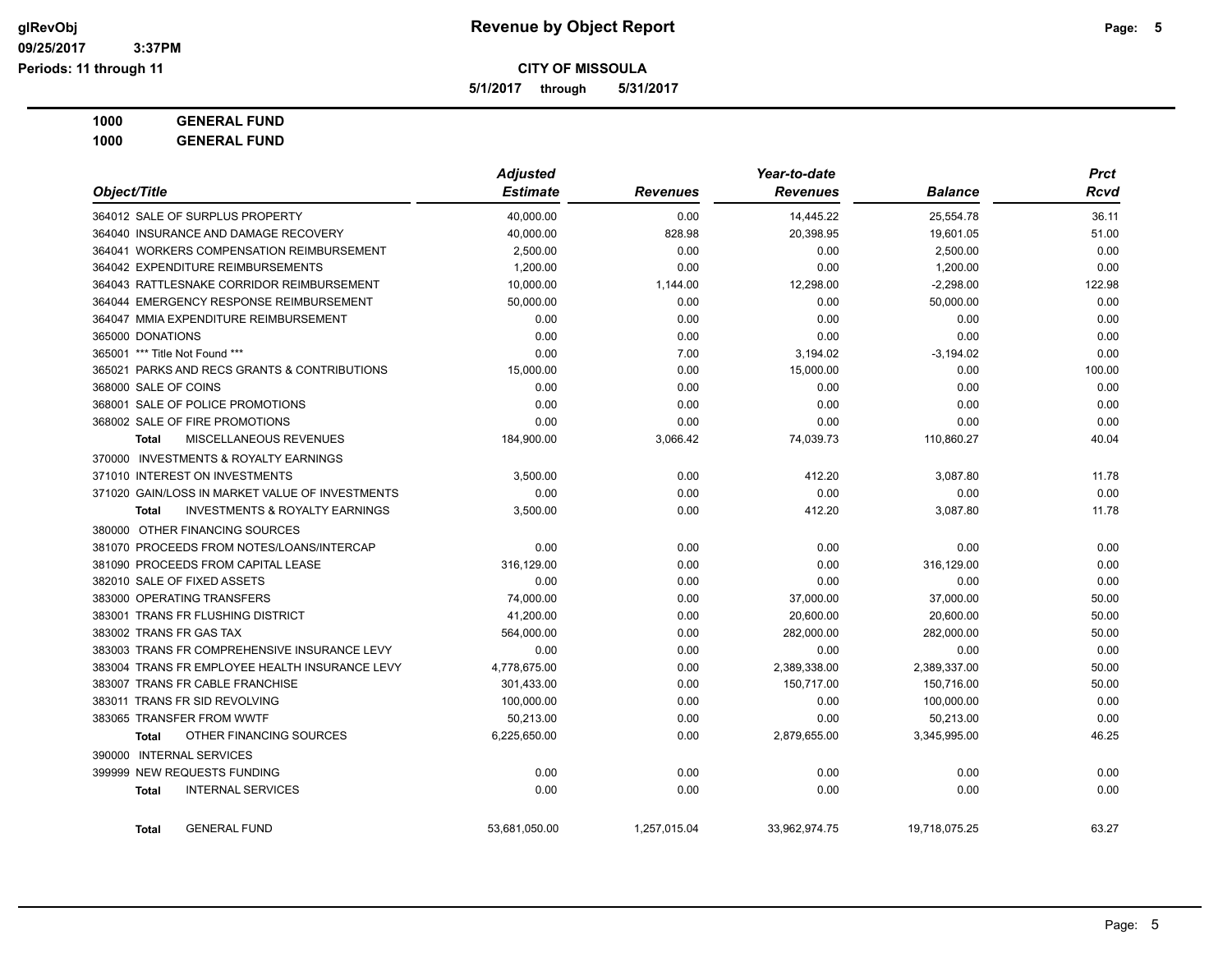**5/1/2017 through 5/31/2017**

**1000 GENERAL FUND**

|                                                           | <b>Adjusted</b> |                 | Year-to-date    |                | <b>Prct</b> |  |
|-----------------------------------------------------------|-----------------|-----------------|-----------------|----------------|-------------|--|
| Object/Title                                              | <b>Estimate</b> | <b>Revenues</b> | <b>Revenues</b> | <b>Balance</b> | <b>Rcvd</b> |  |
| 364012 SALE OF SURPLUS PROPERTY                           | 40,000.00       | 0.00            | 14,445.22       | 25,554.78      | 36.11       |  |
| 364040 INSURANCE AND DAMAGE RECOVERY                      | 40,000.00       | 828.98          | 20,398.95       | 19,601.05      | 51.00       |  |
| 364041 WORKERS COMPENSATION REIMBURSEMENT                 | 2,500.00        | 0.00            | 0.00            | 2,500.00       | 0.00        |  |
| 364042 EXPENDITURE REIMBURSEMENTS                         | 1,200.00        | 0.00            | 0.00            | 1,200.00       | 0.00        |  |
| 364043 RATTLESNAKE CORRIDOR REIMBURSEMENT                 | 10,000.00       | 1,144.00        | 12,298.00       | $-2,298.00$    | 122.98      |  |
| 364044 EMERGENCY RESPONSE REIMBURSEMENT                   | 50,000.00       | 0.00            | 0.00            | 50,000.00      | 0.00        |  |
| 364047 MMIA EXPENDITURE REIMBURSEMENT                     | 0.00            | 0.00            | 0.00            | 0.00           | 0.00        |  |
| 365000 DONATIONS                                          | 0.00            | 0.00            | 0.00            | 0.00           | 0.00        |  |
| 365001 *** Title Not Found ***                            | 0.00            | 7.00            | 3,194.02        | $-3,194.02$    | 0.00        |  |
| 365021 PARKS AND RECS GRANTS & CONTRIBUTIONS              | 15.000.00       | 0.00            | 15,000.00       | 0.00           | 100.00      |  |
| 368000 SALE OF COINS                                      | 0.00            | 0.00            | 0.00            | 0.00           | 0.00        |  |
| 368001 SALE OF POLICE PROMOTIONS                          | 0.00            | 0.00            | 0.00            | 0.00           | 0.00        |  |
| 368002 SALE OF FIRE PROMOTIONS                            | 0.00            | 0.00            | 0.00            | 0.00           | 0.00        |  |
| MISCELLANEOUS REVENUES<br><b>Total</b>                    | 184,900.00      | 3,066.42        | 74,039.73       | 110,860.27     | 40.04       |  |
| 370000 INVESTMENTS & ROYALTY EARNINGS                     |                 |                 |                 |                |             |  |
| 371010 INTEREST ON INVESTMENTS                            | 3,500.00        | 0.00            | 412.20          | 3,087.80       | 11.78       |  |
| 371020 GAIN/LOSS IN MARKET VALUE OF INVESTMENTS           | 0.00            | 0.00            | 0.00            | 0.00           | 0.00        |  |
| <b>INVESTMENTS &amp; ROYALTY EARNINGS</b><br><b>Total</b> | 3,500.00        | 0.00            | 412.20          | 3,087.80       | 11.78       |  |
| 380000 OTHER FINANCING SOURCES                            |                 |                 |                 |                |             |  |
| 381070 PROCEEDS FROM NOTES/LOANS/INTERCAP                 | 0.00            | 0.00            | 0.00            | 0.00           | 0.00        |  |
| 381090 PROCEEDS FROM CAPITAL LEASE                        | 316,129.00      | 0.00            | 0.00            | 316,129.00     | 0.00        |  |
| 382010 SALE OF FIXED ASSETS                               | 0.00            | 0.00            | 0.00            | 0.00           | 0.00        |  |
| 383000 OPERATING TRANSFERS                                | 74,000.00       | 0.00            | 37,000.00       | 37,000.00      | 50.00       |  |
| 383001 TRANS FR FLUSHING DISTRICT                         | 41,200.00       | 0.00            | 20,600.00       | 20,600.00      | 50.00       |  |
| 383002 TRANS FR GAS TAX                                   | 564,000.00      | 0.00            | 282,000.00      | 282,000.00     | 50.00       |  |
| 383003 TRANS FR COMPREHENSIVE INSURANCE LEVY              | 0.00            | 0.00            | 0.00            | 0.00           | 0.00        |  |
| 383004 TRANS FR EMPLOYEE HEALTH INSURANCE LEVY            | 4,778,675.00    | 0.00            | 2,389,338.00    | 2,389,337.00   | 50.00       |  |
| 383007 TRANS FR CABLE FRANCHISE                           | 301,433.00      | 0.00            | 150,717.00      | 150,716.00     | 50.00       |  |
| 383011 TRANS FR SID REVOLVING                             | 100,000.00      | 0.00            | 0.00            | 100,000.00     | 0.00        |  |
| 383065 TRANSFER FROM WWTF                                 | 50,213.00       | 0.00            | 0.00            | 50,213.00      | 0.00        |  |
| OTHER FINANCING SOURCES<br><b>Total</b>                   | 6,225,650.00    | 0.00            | 2,879,655.00    | 3,345,995.00   | 46.25       |  |
| 390000 INTERNAL SERVICES                                  |                 |                 |                 |                |             |  |
| 399999 NEW REQUESTS FUNDING                               | 0.00            | 0.00            | 0.00            | 0.00           | 0.00        |  |
| <b>INTERNAL SERVICES</b><br><b>Total</b>                  | 0.00            | 0.00            | 0.00            | 0.00           | 0.00        |  |
|                                                           |                 |                 |                 |                |             |  |
| <b>GENERAL FUND</b><br><b>Total</b>                       | 53,681,050.00   | 1,257,015.04    | 33,962,974.75   | 19,718,075.25  | 63.27       |  |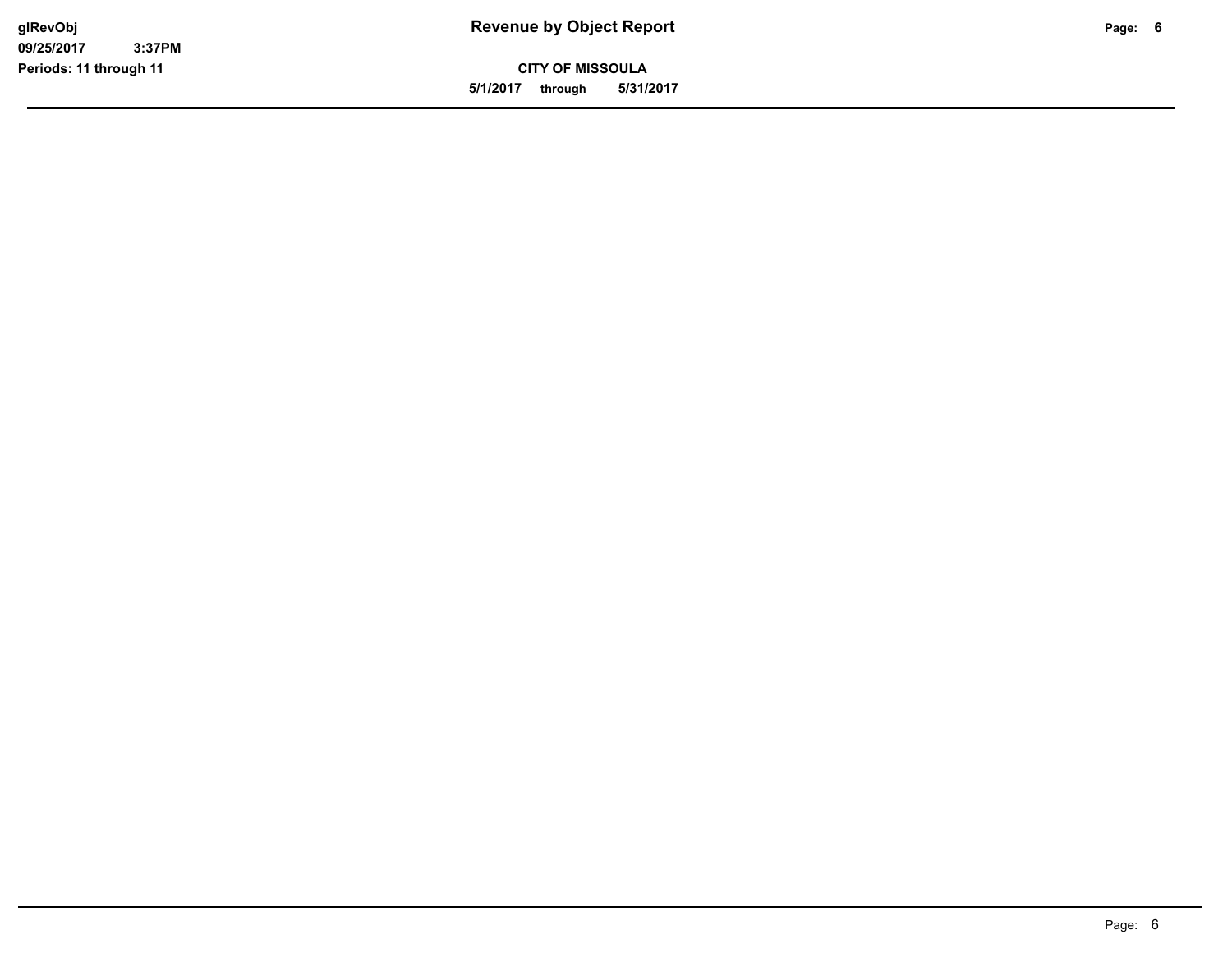**CITY OF MISSOULA 5/1/2017 through 5/31/2017**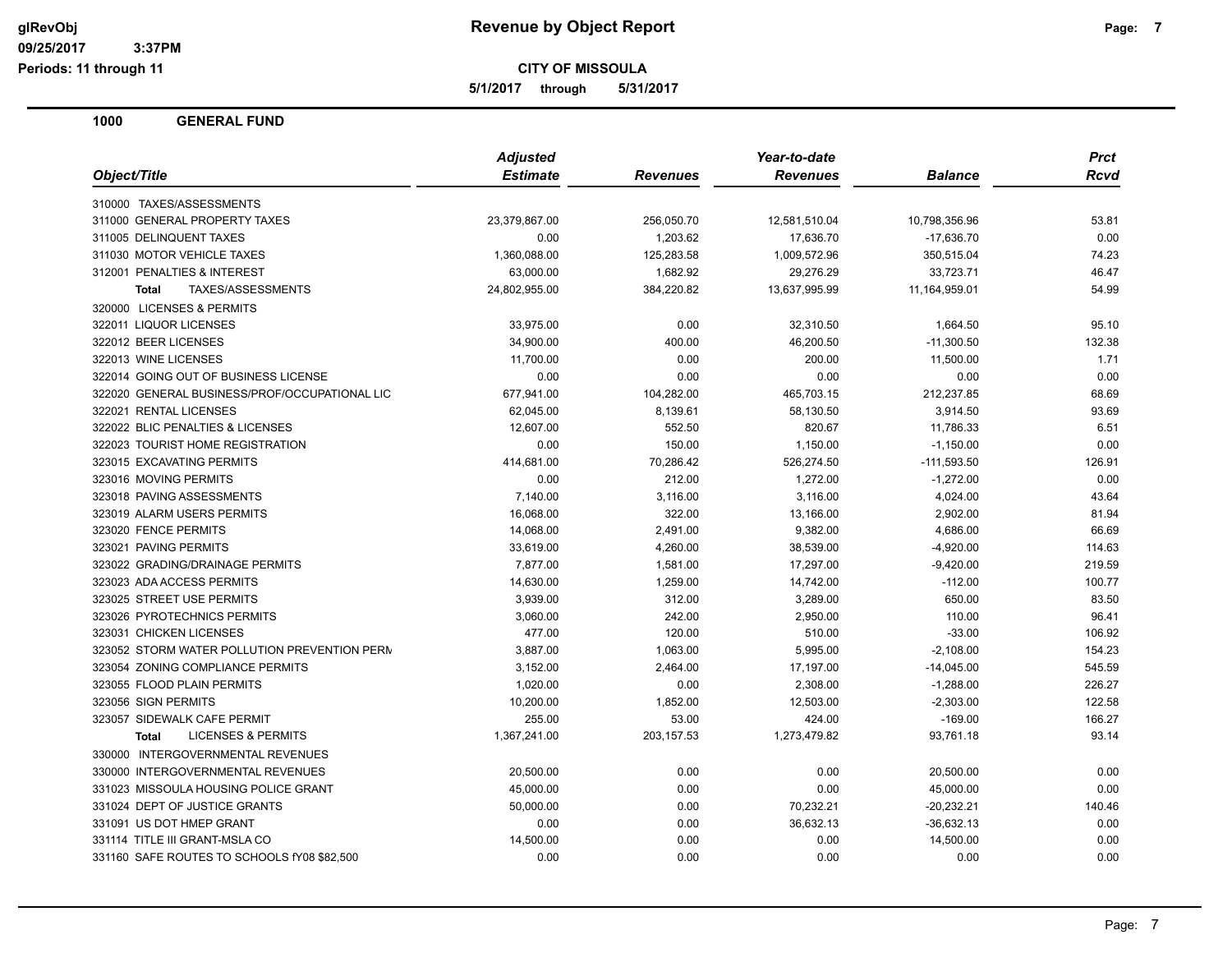**5/1/2017 through 5/31/2017**

**Periods: 11 through 11**

 **3:37PM**

| Object/Title                                  | <b>Adjusted</b> |            | Year-to-date    | <b>Prct</b>    |        |
|-----------------------------------------------|-----------------|------------|-----------------|----------------|--------|
|                                               | <b>Estimate</b> | Revenues   | <b>Revenues</b> | <b>Balance</b> | Rcvd   |
| 310000 TAXES/ASSESSMENTS                      |                 |            |                 |                |        |
| 311000 GENERAL PROPERTY TAXES                 | 23,379,867.00   | 256,050.70 | 12,581,510.04   | 10,798,356.96  | 53.81  |
| 311005 DELINQUENT TAXES                       | 0.00            | 1,203.62   | 17,636.70       | $-17,636.70$   | 0.00   |
| 311030 MOTOR VEHICLE TAXES                    | 1,360,088.00    | 125,283.58 | 1,009,572.96    | 350,515.04     | 74.23  |
| 312001 PENALTIES & INTEREST                   | 63,000.00       | 1,682.92   | 29,276.29       | 33,723.71      | 46.47  |
| TAXES/ASSESSMENTS<br><b>Total</b>             | 24,802,955.00   | 384,220.82 | 13,637,995.99   | 11,164,959.01  | 54.99  |
| 320000 LICENSES & PERMITS                     |                 |            |                 |                |        |
| 322011 LIQUOR LICENSES                        | 33,975.00       | 0.00       | 32,310.50       | 1,664.50       | 95.10  |
| 322012 BEER LICENSES                          | 34,900.00       | 400.00     | 46,200.50       | $-11,300.50$   | 132.38 |
| 322013 WINE LICENSES                          | 11,700.00       | 0.00       | 200.00          | 11,500.00      | 1.71   |
| 322014 GOING OUT OF BUSINESS LICENSE          | 0.00            | 0.00       | 0.00            | 0.00           | 0.00   |
| 322020 GENERAL BUSINESS/PROF/OCCUPATIONAL LIC | 677,941.00      | 104,282.00 | 465,703.15      | 212,237.85     | 68.69  |
| 322021 RENTAL LICENSES                        | 62,045.00       | 8,139.61   | 58,130.50       | 3,914.50       | 93.69  |
| 322022 BLIC PENALTIES & LICENSES              | 12,607.00       | 552.50     | 820.67          | 11,786.33      | 6.51   |
| 322023 TOURIST HOME REGISTRATION              | 0.00            | 150.00     | 1,150.00        | $-1,150.00$    | 0.00   |
| 323015 EXCAVATING PERMITS                     | 414,681.00      | 70,286.42  | 526,274.50      | $-111,593.50$  | 126.91 |
| 323016 MOVING PERMITS                         | 0.00            | 212.00     | 1,272.00        | $-1,272.00$    | 0.00   |
| 323018 PAVING ASSESSMENTS                     | 7,140.00        | 3,116.00   | 3,116.00        | 4,024.00       | 43.64  |
| 323019 ALARM USERS PERMITS                    | 16,068.00       | 322.00     | 13,166.00       | 2,902.00       | 81.94  |
| 323020 FENCE PERMITS                          | 14,068.00       | 2,491.00   | 9,382.00        | 4,686.00       | 66.69  |
| 323021 PAVING PERMITS                         | 33,619.00       | 4,260.00   | 38,539.00       | $-4,920.00$    | 114.63 |
| 323022 GRADING/DRAINAGE PERMITS               | 7,877.00        | 1,581.00   | 17,297.00       | $-9,420.00$    | 219.59 |
| 323023 ADA ACCESS PERMITS                     | 14,630.00       | 1,259.00   | 14,742.00       | $-112.00$      | 100.77 |
| 323025 STREET USE PERMITS                     | 3,939.00        | 312.00     | 3,289.00        | 650.00         | 83.50  |
| 323026 PYROTECHNICS PERMITS                   | 3,060.00        | 242.00     | 2,950.00        | 110.00         | 96.41  |
| 323031 CHICKEN LICENSES                       | 477.00          | 120.00     | 510.00          | $-33.00$       | 106.92 |
| 323052 STORM WATER POLLUTION PREVENTION PERM  | 3,887.00        | 1,063.00   | 5,995.00        | $-2,108.00$    | 154.23 |
| 323054 ZONING COMPLIANCE PERMITS              | 3,152.00        | 2,464.00   | 17,197.00       | $-14,045.00$   | 545.59 |
| 323055 FLOOD PLAIN PERMITS                    | 1,020.00        | 0.00       | 2,308.00        | $-1,288.00$    | 226.27 |
| 323056 SIGN PERMITS                           | 10,200.00       | 1,852.00   | 12,503.00       | $-2,303.00$    | 122.58 |
| 323057 SIDEWALK CAFE PERMIT                   | 255.00          | 53.00      | 424.00          | $-169.00$      | 166.27 |
| <b>LICENSES &amp; PERMITS</b><br><b>Total</b> | 1,367,241.00    | 203,157.53 | 1,273,479.82    | 93,761.18      | 93.14  |
| 330000 INTERGOVERNMENTAL REVENUES             |                 |            |                 |                |        |
| 330000 INTERGOVERNMENTAL REVENUES             | 20,500.00       | 0.00       | 0.00            | 20,500.00      | 0.00   |
| 331023 MISSOULA HOUSING POLICE GRANT          | 45,000.00       | 0.00       | 0.00            | 45,000.00      | 0.00   |
| 331024 DEPT OF JUSTICE GRANTS                 | 50,000.00       | 0.00       | 70,232.21       | $-20,232.21$   | 140.46 |
| 331091 US DOT HMEP GRANT                      | 0.00            | 0.00       | 36,632.13       | $-36,632.13$   | 0.00   |
| 331114 TITLE III GRANT-MSLA CO                | 14,500.00       | 0.00       | 0.00            | 14,500.00      | 0.00   |
| 331160 SAFE ROUTES TO SCHOOLS fY08 \$82,500   | 0.00            | 0.00       | 0.00            | 0.00           | 0.00   |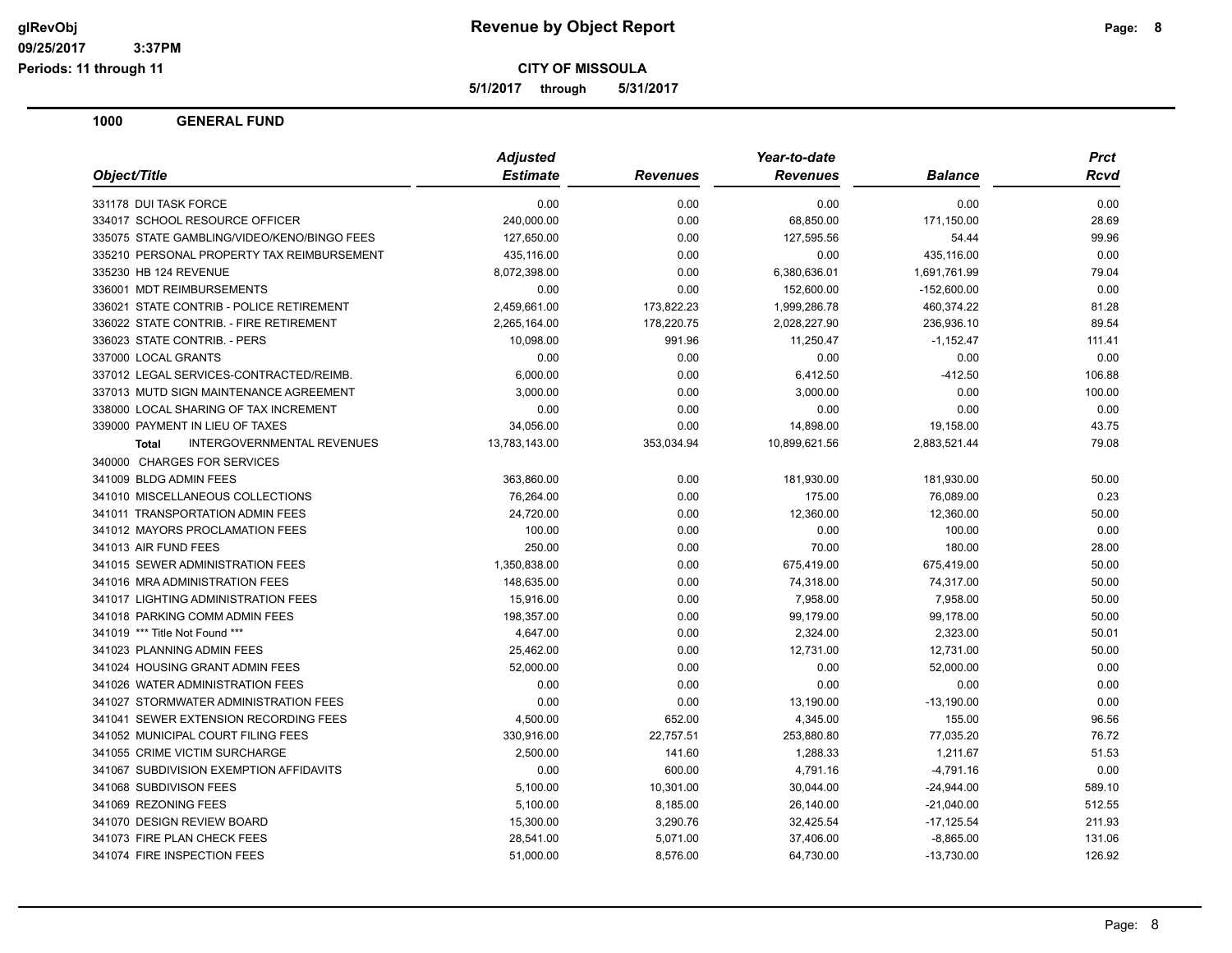**Periods: 11 through 11**

**CITY OF MISSOULA**

**5/1/2017 through 5/31/2017**

 **3:37PM**

| <b>Estimate</b><br><b>Revenues</b><br><b>Balance</b><br>Rcvd<br><b>Revenues</b><br>0.00<br>0.00<br>0.00<br>0.00<br>0.00<br>240,000.00<br>0.00<br>68,850.00<br>171,150.00<br>28.69<br>0.00<br>99.96<br>127,650.00<br>127,595.56<br>54.44<br>435,116.00<br>0.00<br>0.00<br>435,116.00<br>0.00<br>0.00<br>6,380,636.01<br>1,691,761.99<br>79.04<br>8,072,398.00<br>0.00<br>0.00<br>152,600.00<br>$-152,600.00$<br>0.00<br>2,459,661.00<br>173,822.23<br>460,374.22<br>81.28<br>1,999,286.78<br>2,265,164.00<br>178,220.75<br>2,028,227.90<br>236,936.10<br>89.54<br>991.96<br>11,250.47<br>10,098.00<br>$-1,152.47$<br>111.41<br>0.00<br>0.00<br>0.00<br>0.00<br>0.00<br>6,000.00<br>0.00<br>6,412.50<br>$-412.50$<br>106.88<br>3,000.00<br>0.00<br>3,000.00<br>0.00<br>100.00<br>0.00<br>0.00<br>0.00<br>0.00<br>0.00<br>34,056.00<br>0.00<br>14,898.00<br>19,158.00<br>43.75<br>INTERGOVERNMENTAL REVENUES<br>13,783,143.00<br>353,034.94<br>10,899,621.56<br>2,883,521.44<br>79.08<br><b>Total</b><br>363,860.00<br>0.00<br>181,930.00<br>181,930.00<br>50.00<br>76,264.00<br>0.00<br>0.23<br>175.00<br>76,089.00<br>50.00<br>24,720.00<br>0.00<br>12,360.00<br>12,360.00<br>100.00<br>0.00<br>0.00<br>100.00<br>0.00<br>250.00<br>0.00<br>70.00<br>180.00<br>28.00<br>1,350,838.00<br>0.00<br>675,419.00<br>50.00<br>675,419.00<br>148,635.00<br>0.00<br>74,318.00<br>74,317.00<br>50.00<br>0.00<br>7,958.00<br>7,958.00<br>50.00<br>15,916.00<br>198,357.00<br>0.00<br>99,179.00<br>99,178.00<br>50.00<br>4,647.00<br>0.00<br>2,324.00<br>2,323.00<br>50.01<br>25,462.00<br>0.00<br>12,731.00<br>12,731.00<br>50.00<br>52,000.00<br>0.00<br>0.00<br>52,000.00<br>0.00<br>0.00<br>0.00<br>0.00<br>0.00<br>0.00<br>0.00<br>0.00<br>13,190.00<br>$-13,190.00$<br>0.00<br>4,500.00<br>652.00<br>4,345.00<br>155.00<br>96.56<br>22,757.51<br>77,035.20<br>76.72<br>330,916.00<br>253,880.80<br>1,288.33<br>1,211.67<br>2,500.00<br>141.60<br>51.53<br>0.00<br>0.00<br>600.00<br>4,791.16<br>$-4,791.16$<br>5,100.00<br>10,301.00<br>30,044.00<br>$-24,944.00$<br>589.10<br>5,100.00<br>8,185.00<br>26,140.00<br>$-21,040.00$<br>512.55<br>15,300.00<br>3,290.76<br>32,425.54<br>$-17, 125.54$<br>211.93<br>28,541.00<br>5,071.00<br>37,406.00<br>$-8,865.00$<br>131.06 | Object/Title                                | <b>Adjusted</b> |          | Year-to-date |              | <b>Prct</b> |
|---------------------------------------------------------------------------------------------------------------------------------------------------------------------------------------------------------------------------------------------------------------------------------------------------------------------------------------------------------------------------------------------------------------------------------------------------------------------------------------------------------------------------------------------------------------------------------------------------------------------------------------------------------------------------------------------------------------------------------------------------------------------------------------------------------------------------------------------------------------------------------------------------------------------------------------------------------------------------------------------------------------------------------------------------------------------------------------------------------------------------------------------------------------------------------------------------------------------------------------------------------------------------------------------------------------------------------------------------------------------------------------------------------------------------------------------------------------------------------------------------------------------------------------------------------------------------------------------------------------------------------------------------------------------------------------------------------------------------------------------------------------------------------------------------------------------------------------------------------------------------------------------------------------------------------------------------------------------------------------------------------------------------------------------------------------------------------------------------------------------------------------------------------------------------------------------------------------------------------------------------------------------|---------------------------------------------|-----------------|----------|--------------|--------------|-------------|
|                                                                                                                                                                                                                                                                                                                                                                                                                                                                                                                                                                                                                                                                                                                                                                                                                                                                                                                                                                                                                                                                                                                                                                                                                                                                                                                                                                                                                                                                                                                                                                                                                                                                                                                                                                                                                                                                                                                                                                                                                                                                                                                                                                                                                                                                     |                                             |                 |          |              |              |             |
|                                                                                                                                                                                                                                                                                                                                                                                                                                                                                                                                                                                                                                                                                                                                                                                                                                                                                                                                                                                                                                                                                                                                                                                                                                                                                                                                                                                                                                                                                                                                                                                                                                                                                                                                                                                                                                                                                                                                                                                                                                                                                                                                                                                                                                                                     | 331178 DUI TASK FORCE                       |                 |          |              |              |             |
|                                                                                                                                                                                                                                                                                                                                                                                                                                                                                                                                                                                                                                                                                                                                                                                                                                                                                                                                                                                                                                                                                                                                                                                                                                                                                                                                                                                                                                                                                                                                                                                                                                                                                                                                                                                                                                                                                                                                                                                                                                                                                                                                                                                                                                                                     | 334017 SCHOOL RESOURCE OFFICER              |                 |          |              |              |             |
|                                                                                                                                                                                                                                                                                                                                                                                                                                                                                                                                                                                                                                                                                                                                                                                                                                                                                                                                                                                                                                                                                                                                                                                                                                                                                                                                                                                                                                                                                                                                                                                                                                                                                                                                                                                                                                                                                                                                                                                                                                                                                                                                                                                                                                                                     | 335075 STATE GAMBLING/VIDEO/KENO/BINGO FEES |                 |          |              |              |             |
|                                                                                                                                                                                                                                                                                                                                                                                                                                                                                                                                                                                                                                                                                                                                                                                                                                                                                                                                                                                                                                                                                                                                                                                                                                                                                                                                                                                                                                                                                                                                                                                                                                                                                                                                                                                                                                                                                                                                                                                                                                                                                                                                                                                                                                                                     | 335210 PERSONAL PROPERTY TAX REIMBURSEMENT  |                 |          |              |              |             |
|                                                                                                                                                                                                                                                                                                                                                                                                                                                                                                                                                                                                                                                                                                                                                                                                                                                                                                                                                                                                                                                                                                                                                                                                                                                                                                                                                                                                                                                                                                                                                                                                                                                                                                                                                                                                                                                                                                                                                                                                                                                                                                                                                                                                                                                                     | 335230 HB 124 REVENUE                       |                 |          |              |              |             |
|                                                                                                                                                                                                                                                                                                                                                                                                                                                                                                                                                                                                                                                                                                                                                                                                                                                                                                                                                                                                                                                                                                                                                                                                                                                                                                                                                                                                                                                                                                                                                                                                                                                                                                                                                                                                                                                                                                                                                                                                                                                                                                                                                                                                                                                                     | 336001 MDT REIMBURSEMENTS                   |                 |          |              |              |             |
|                                                                                                                                                                                                                                                                                                                                                                                                                                                                                                                                                                                                                                                                                                                                                                                                                                                                                                                                                                                                                                                                                                                                                                                                                                                                                                                                                                                                                                                                                                                                                                                                                                                                                                                                                                                                                                                                                                                                                                                                                                                                                                                                                                                                                                                                     | 336021 STATE CONTRIB - POLICE RETIREMENT    |                 |          |              |              |             |
|                                                                                                                                                                                                                                                                                                                                                                                                                                                                                                                                                                                                                                                                                                                                                                                                                                                                                                                                                                                                                                                                                                                                                                                                                                                                                                                                                                                                                                                                                                                                                                                                                                                                                                                                                                                                                                                                                                                                                                                                                                                                                                                                                                                                                                                                     | 336022 STATE CONTRIB. - FIRE RETIREMENT     |                 |          |              |              |             |
|                                                                                                                                                                                                                                                                                                                                                                                                                                                                                                                                                                                                                                                                                                                                                                                                                                                                                                                                                                                                                                                                                                                                                                                                                                                                                                                                                                                                                                                                                                                                                                                                                                                                                                                                                                                                                                                                                                                                                                                                                                                                                                                                                                                                                                                                     | 336023 STATE CONTRIB. - PERS                |                 |          |              |              |             |
|                                                                                                                                                                                                                                                                                                                                                                                                                                                                                                                                                                                                                                                                                                                                                                                                                                                                                                                                                                                                                                                                                                                                                                                                                                                                                                                                                                                                                                                                                                                                                                                                                                                                                                                                                                                                                                                                                                                                                                                                                                                                                                                                                                                                                                                                     | 337000 LOCAL GRANTS                         |                 |          |              |              |             |
|                                                                                                                                                                                                                                                                                                                                                                                                                                                                                                                                                                                                                                                                                                                                                                                                                                                                                                                                                                                                                                                                                                                                                                                                                                                                                                                                                                                                                                                                                                                                                                                                                                                                                                                                                                                                                                                                                                                                                                                                                                                                                                                                                                                                                                                                     | 337012 LEGAL SERVICES-CONTRACTED/REIMB.     |                 |          |              |              |             |
|                                                                                                                                                                                                                                                                                                                                                                                                                                                                                                                                                                                                                                                                                                                                                                                                                                                                                                                                                                                                                                                                                                                                                                                                                                                                                                                                                                                                                                                                                                                                                                                                                                                                                                                                                                                                                                                                                                                                                                                                                                                                                                                                                                                                                                                                     | 337013 MUTD SIGN MAINTENANCE AGREEMENT      |                 |          |              |              |             |
|                                                                                                                                                                                                                                                                                                                                                                                                                                                                                                                                                                                                                                                                                                                                                                                                                                                                                                                                                                                                                                                                                                                                                                                                                                                                                                                                                                                                                                                                                                                                                                                                                                                                                                                                                                                                                                                                                                                                                                                                                                                                                                                                                                                                                                                                     | 338000 LOCAL SHARING OF TAX INCREMENT       |                 |          |              |              |             |
|                                                                                                                                                                                                                                                                                                                                                                                                                                                                                                                                                                                                                                                                                                                                                                                                                                                                                                                                                                                                                                                                                                                                                                                                                                                                                                                                                                                                                                                                                                                                                                                                                                                                                                                                                                                                                                                                                                                                                                                                                                                                                                                                                                                                                                                                     | 339000 PAYMENT IN LIEU OF TAXES             |                 |          |              |              |             |
|                                                                                                                                                                                                                                                                                                                                                                                                                                                                                                                                                                                                                                                                                                                                                                                                                                                                                                                                                                                                                                                                                                                                                                                                                                                                                                                                                                                                                                                                                                                                                                                                                                                                                                                                                                                                                                                                                                                                                                                                                                                                                                                                                                                                                                                                     |                                             |                 |          |              |              |             |
|                                                                                                                                                                                                                                                                                                                                                                                                                                                                                                                                                                                                                                                                                                                                                                                                                                                                                                                                                                                                                                                                                                                                                                                                                                                                                                                                                                                                                                                                                                                                                                                                                                                                                                                                                                                                                                                                                                                                                                                                                                                                                                                                                                                                                                                                     | 340000 CHARGES FOR SERVICES                 |                 |          |              |              |             |
|                                                                                                                                                                                                                                                                                                                                                                                                                                                                                                                                                                                                                                                                                                                                                                                                                                                                                                                                                                                                                                                                                                                                                                                                                                                                                                                                                                                                                                                                                                                                                                                                                                                                                                                                                                                                                                                                                                                                                                                                                                                                                                                                                                                                                                                                     | 341009 BLDG ADMIN FEES                      |                 |          |              |              |             |
|                                                                                                                                                                                                                                                                                                                                                                                                                                                                                                                                                                                                                                                                                                                                                                                                                                                                                                                                                                                                                                                                                                                                                                                                                                                                                                                                                                                                                                                                                                                                                                                                                                                                                                                                                                                                                                                                                                                                                                                                                                                                                                                                                                                                                                                                     | 341010 MISCELLANEOUS COLLECTIONS            |                 |          |              |              |             |
|                                                                                                                                                                                                                                                                                                                                                                                                                                                                                                                                                                                                                                                                                                                                                                                                                                                                                                                                                                                                                                                                                                                                                                                                                                                                                                                                                                                                                                                                                                                                                                                                                                                                                                                                                                                                                                                                                                                                                                                                                                                                                                                                                                                                                                                                     | 341011 TRANSPORTATION ADMIN FEES            |                 |          |              |              |             |
|                                                                                                                                                                                                                                                                                                                                                                                                                                                                                                                                                                                                                                                                                                                                                                                                                                                                                                                                                                                                                                                                                                                                                                                                                                                                                                                                                                                                                                                                                                                                                                                                                                                                                                                                                                                                                                                                                                                                                                                                                                                                                                                                                                                                                                                                     | 341012 MAYORS PROCLAMATION FEES             |                 |          |              |              |             |
|                                                                                                                                                                                                                                                                                                                                                                                                                                                                                                                                                                                                                                                                                                                                                                                                                                                                                                                                                                                                                                                                                                                                                                                                                                                                                                                                                                                                                                                                                                                                                                                                                                                                                                                                                                                                                                                                                                                                                                                                                                                                                                                                                                                                                                                                     | 341013 AIR FUND FEES                        |                 |          |              |              |             |
|                                                                                                                                                                                                                                                                                                                                                                                                                                                                                                                                                                                                                                                                                                                                                                                                                                                                                                                                                                                                                                                                                                                                                                                                                                                                                                                                                                                                                                                                                                                                                                                                                                                                                                                                                                                                                                                                                                                                                                                                                                                                                                                                                                                                                                                                     | 341015 SEWER ADMINISTRATION FEES            |                 |          |              |              |             |
|                                                                                                                                                                                                                                                                                                                                                                                                                                                                                                                                                                                                                                                                                                                                                                                                                                                                                                                                                                                                                                                                                                                                                                                                                                                                                                                                                                                                                                                                                                                                                                                                                                                                                                                                                                                                                                                                                                                                                                                                                                                                                                                                                                                                                                                                     | 341016 MRA ADMINISTRATION FEES              |                 |          |              |              |             |
|                                                                                                                                                                                                                                                                                                                                                                                                                                                                                                                                                                                                                                                                                                                                                                                                                                                                                                                                                                                                                                                                                                                                                                                                                                                                                                                                                                                                                                                                                                                                                                                                                                                                                                                                                                                                                                                                                                                                                                                                                                                                                                                                                                                                                                                                     | 341017 LIGHTING ADMINISTRATION FEES         |                 |          |              |              |             |
|                                                                                                                                                                                                                                                                                                                                                                                                                                                                                                                                                                                                                                                                                                                                                                                                                                                                                                                                                                                                                                                                                                                                                                                                                                                                                                                                                                                                                                                                                                                                                                                                                                                                                                                                                                                                                                                                                                                                                                                                                                                                                                                                                                                                                                                                     | 341018 PARKING COMM ADMIN FEES              |                 |          |              |              |             |
|                                                                                                                                                                                                                                                                                                                                                                                                                                                                                                                                                                                                                                                                                                                                                                                                                                                                                                                                                                                                                                                                                                                                                                                                                                                                                                                                                                                                                                                                                                                                                                                                                                                                                                                                                                                                                                                                                                                                                                                                                                                                                                                                                                                                                                                                     | 341019 *** Title Not Found ***              |                 |          |              |              |             |
|                                                                                                                                                                                                                                                                                                                                                                                                                                                                                                                                                                                                                                                                                                                                                                                                                                                                                                                                                                                                                                                                                                                                                                                                                                                                                                                                                                                                                                                                                                                                                                                                                                                                                                                                                                                                                                                                                                                                                                                                                                                                                                                                                                                                                                                                     | 341023 PLANNING ADMIN FEES                  |                 |          |              |              |             |
|                                                                                                                                                                                                                                                                                                                                                                                                                                                                                                                                                                                                                                                                                                                                                                                                                                                                                                                                                                                                                                                                                                                                                                                                                                                                                                                                                                                                                                                                                                                                                                                                                                                                                                                                                                                                                                                                                                                                                                                                                                                                                                                                                                                                                                                                     | 341024 HOUSING GRANT ADMIN FEES             |                 |          |              |              |             |
|                                                                                                                                                                                                                                                                                                                                                                                                                                                                                                                                                                                                                                                                                                                                                                                                                                                                                                                                                                                                                                                                                                                                                                                                                                                                                                                                                                                                                                                                                                                                                                                                                                                                                                                                                                                                                                                                                                                                                                                                                                                                                                                                                                                                                                                                     | 341026 WATER ADMINISTRATION FEES            |                 |          |              |              |             |
|                                                                                                                                                                                                                                                                                                                                                                                                                                                                                                                                                                                                                                                                                                                                                                                                                                                                                                                                                                                                                                                                                                                                                                                                                                                                                                                                                                                                                                                                                                                                                                                                                                                                                                                                                                                                                                                                                                                                                                                                                                                                                                                                                                                                                                                                     | 341027 STORMWATER ADMINISTRATION FEES       |                 |          |              |              |             |
|                                                                                                                                                                                                                                                                                                                                                                                                                                                                                                                                                                                                                                                                                                                                                                                                                                                                                                                                                                                                                                                                                                                                                                                                                                                                                                                                                                                                                                                                                                                                                                                                                                                                                                                                                                                                                                                                                                                                                                                                                                                                                                                                                                                                                                                                     | 341041 SEWER EXTENSION RECORDING FEES       |                 |          |              |              |             |
|                                                                                                                                                                                                                                                                                                                                                                                                                                                                                                                                                                                                                                                                                                                                                                                                                                                                                                                                                                                                                                                                                                                                                                                                                                                                                                                                                                                                                                                                                                                                                                                                                                                                                                                                                                                                                                                                                                                                                                                                                                                                                                                                                                                                                                                                     | 341052 MUNICIPAL COURT FILING FEES          |                 |          |              |              |             |
|                                                                                                                                                                                                                                                                                                                                                                                                                                                                                                                                                                                                                                                                                                                                                                                                                                                                                                                                                                                                                                                                                                                                                                                                                                                                                                                                                                                                                                                                                                                                                                                                                                                                                                                                                                                                                                                                                                                                                                                                                                                                                                                                                                                                                                                                     | 341055 CRIME VICTIM SURCHARGE               |                 |          |              |              |             |
|                                                                                                                                                                                                                                                                                                                                                                                                                                                                                                                                                                                                                                                                                                                                                                                                                                                                                                                                                                                                                                                                                                                                                                                                                                                                                                                                                                                                                                                                                                                                                                                                                                                                                                                                                                                                                                                                                                                                                                                                                                                                                                                                                                                                                                                                     | 341067 SUBDIVISION EXEMPTION AFFIDAVITS     |                 |          |              |              |             |
|                                                                                                                                                                                                                                                                                                                                                                                                                                                                                                                                                                                                                                                                                                                                                                                                                                                                                                                                                                                                                                                                                                                                                                                                                                                                                                                                                                                                                                                                                                                                                                                                                                                                                                                                                                                                                                                                                                                                                                                                                                                                                                                                                                                                                                                                     | 341068 SUBDIVISON FEES                      |                 |          |              |              |             |
|                                                                                                                                                                                                                                                                                                                                                                                                                                                                                                                                                                                                                                                                                                                                                                                                                                                                                                                                                                                                                                                                                                                                                                                                                                                                                                                                                                                                                                                                                                                                                                                                                                                                                                                                                                                                                                                                                                                                                                                                                                                                                                                                                                                                                                                                     | 341069 REZONING FEES                        |                 |          |              |              |             |
|                                                                                                                                                                                                                                                                                                                                                                                                                                                                                                                                                                                                                                                                                                                                                                                                                                                                                                                                                                                                                                                                                                                                                                                                                                                                                                                                                                                                                                                                                                                                                                                                                                                                                                                                                                                                                                                                                                                                                                                                                                                                                                                                                                                                                                                                     | 341070 DESIGN REVIEW BOARD                  |                 |          |              |              |             |
|                                                                                                                                                                                                                                                                                                                                                                                                                                                                                                                                                                                                                                                                                                                                                                                                                                                                                                                                                                                                                                                                                                                                                                                                                                                                                                                                                                                                                                                                                                                                                                                                                                                                                                                                                                                                                                                                                                                                                                                                                                                                                                                                                                                                                                                                     | 341073 FIRE PLAN CHECK FEES                 |                 |          |              |              |             |
|                                                                                                                                                                                                                                                                                                                                                                                                                                                                                                                                                                                                                                                                                                                                                                                                                                                                                                                                                                                                                                                                                                                                                                                                                                                                                                                                                                                                                                                                                                                                                                                                                                                                                                                                                                                                                                                                                                                                                                                                                                                                                                                                                                                                                                                                     | 341074 FIRE INSPECTION FEES                 | 51,000.00       | 8,576.00 | 64,730.00    | $-13,730.00$ | 126.92      |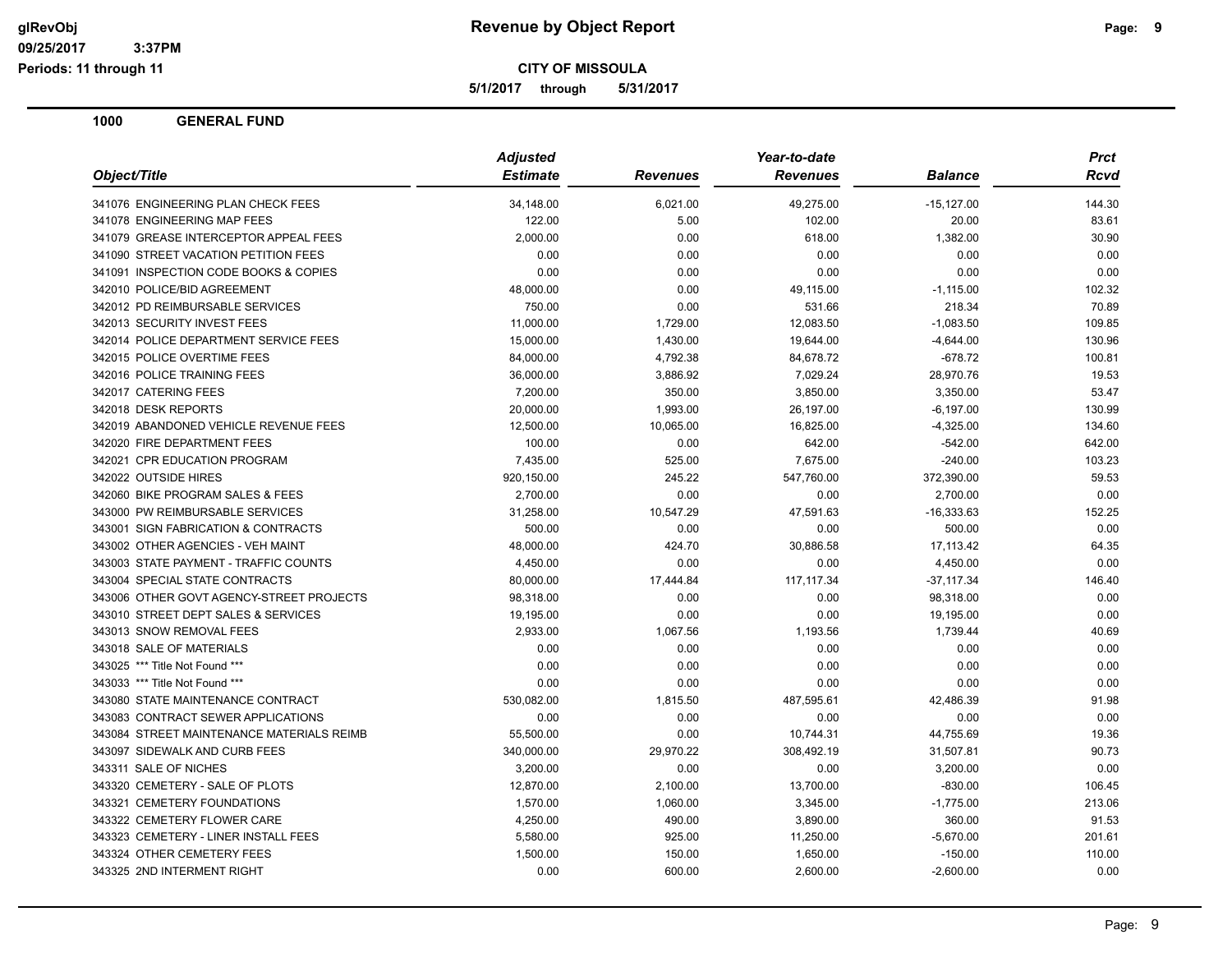**5/1/2017 through 5/31/2017**

| Object/Title                              | <b>Adjusted</b> |                 | Year-to-date    |                | <b>Prct</b> |
|-------------------------------------------|-----------------|-----------------|-----------------|----------------|-------------|
|                                           | <b>Estimate</b> | <b>Revenues</b> | <b>Revenues</b> | <b>Balance</b> | Rcvd        |
| 341076 ENGINEERING PLAN CHECK FEES        | 34,148.00       | 6,021.00        | 49,275.00       | $-15, 127.00$  | 144.30      |
| 341078 ENGINEERING MAP FEES               | 122.00          | 5.00            | 102.00          | 20.00          | 83.61       |
| 341079 GREASE INTERCEPTOR APPEAL FEES     | 2,000.00        | 0.00            | 618.00          | 1,382.00       | 30.90       |
| 341090 STREET VACATION PETITION FEES      | 0.00            | 0.00            | 0.00            | 0.00           | 0.00        |
| 341091 INSPECTION CODE BOOKS & COPIES     | 0.00            | 0.00            | 0.00            | 0.00           | 0.00        |
| 342010 POLICE/BID AGREEMENT               | 48,000.00       | 0.00            | 49,115.00       | $-1,115.00$    | 102.32      |
| 342012 PD REIMBURSABLE SERVICES           | 750.00          | 0.00            | 531.66          | 218.34         | 70.89       |
| 342013 SECURITY INVEST FEES               | 11,000.00       | 1,729.00        | 12,083.50       | $-1,083.50$    | 109.85      |
| 342014 POLICE DEPARTMENT SERVICE FEES     | 15,000.00       | 1,430.00        | 19,644.00       | $-4,644.00$    | 130.96      |
| 342015 POLICE OVERTIME FEES               | 84,000.00       | 4,792.38        | 84,678.72       | $-678.72$      | 100.81      |
| 342016 POLICE TRAINING FEES               | 36,000.00       | 3,886.92        | 7,029.24        | 28,970.76      | 19.53       |
| 342017 CATERING FEES                      | 7,200.00        | 350.00          | 3,850.00        | 3,350.00       | 53.47       |
| 342018 DESK REPORTS                       | 20,000.00       | 1,993.00        | 26,197.00       | $-6, 197.00$   | 130.99      |
| 342019 ABANDONED VEHICLE REVENUE FEES     | 12,500.00       | 10,065.00       | 16,825.00       | $-4,325.00$    | 134.60      |
| 342020 FIRE DEPARTMENT FEES               | 100.00          | 0.00            | 642.00          | $-542.00$      | 642.00      |
| 342021 CPR EDUCATION PROGRAM              | 7,435.00        | 525.00          | 7,675.00        | $-240.00$      | 103.23      |
| 342022 OUTSIDE HIRES                      | 920,150.00      | 245.22          | 547,760.00      | 372,390.00     | 59.53       |
| 342060 BIKE PROGRAM SALES & FEES          | 2,700.00        | 0.00            | 0.00            | 2,700.00       | 0.00        |
| 343000 PW REIMBURSABLE SERVICES           | 31,258.00       | 10,547.29       | 47,591.63       | $-16,333.63$   | 152.25      |
| 343001 SIGN FABRICATION & CONTRACTS       | 500.00          | 0.00            | 0.00            | 500.00         | 0.00        |
| 343002 OTHER AGENCIES - VEH MAINT         | 48,000.00       | 424.70          | 30,886.58       | 17, 113.42     | 64.35       |
| 343003 STATE PAYMENT - TRAFFIC COUNTS     | 4,450.00        | 0.00            | 0.00            | 4,450.00       | 0.00        |
| 343004 SPECIAL STATE CONTRACTS            | 80,000.00       | 17,444.84       | 117, 117.34     | $-37,117.34$   | 146.40      |
| 343006 OTHER GOVT AGENCY-STREET PROJECTS  | 98,318.00       | 0.00            | 0.00            | 98,318.00      | 0.00        |
| 343010 STREET DEPT SALES & SERVICES       | 19,195.00       | 0.00            | 0.00            | 19,195.00      | 0.00        |
| 343013 SNOW REMOVAL FEES                  | 2,933.00        | 1,067.56        | 1,193.56        | 1,739.44       | 40.69       |
| 343018 SALE OF MATERIALS                  | 0.00            | 0.00            | 0.00            | 0.00           | 0.00        |
| 343025 *** Title Not Found ***            | 0.00            | 0.00            | 0.00            | 0.00           | 0.00        |
| 343033 *** Title Not Found ***            | 0.00            | 0.00            | 0.00            | 0.00           | 0.00        |
| 343080 STATE MAINTENANCE CONTRACT         | 530,082.00      | 1,815.50        | 487,595.61      | 42,486.39      | 91.98       |
| 343083 CONTRACT SEWER APPLICATIONS        | 0.00            | 0.00            | 0.00            | 0.00           | 0.00        |
| 343084 STREET MAINTENANCE MATERIALS REIMB | 55,500.00       | 0.00            | 10,744.31       | 44,755.69      | 19.36       |
| 343097 SIDEWALK AND CURB FEES             | 340,000.00      | 29,970.22       | 308,492.19      | 31,507.81      | 90.73       |
| 343311 SALE OF NICHES                     | 3,200.00        | 0.00            | 0.00            | 3,200.00       | 0.00        |
| 343320 CEMETERY - SALE OF PLOTS           | 12,870.00       | 2,100.00        | 13,700.00       | $-830.00$      | 106.45      |
| 343321 CEMETERY FOUNDATIONS               | 1,570.00        | 1,060.00        | 3,345.00        | $-1,775.00$    | 213.06      |
| 343322 CEMETERY FLOWER CARE               | 4,250.00        | 490.00          | 3,890.00        | 360.00         | 91.53       |
| 343323 CEMETERY - LINER INSTALL FEES      | 5,580.00        | 925.00          | 11,250.00       | $-5,670.00$    | 201.61      |
| 343324 OTHER CEMETERY FEES                | 1,500.00        | 150.00          | 1,650.00        | $-150.00$      | 110.00      |
| 343325 2ND INTERMENT RIGHT                | 0.00            | 600.00          | 2,600.00        | $-2,600.00$    | 0.00        |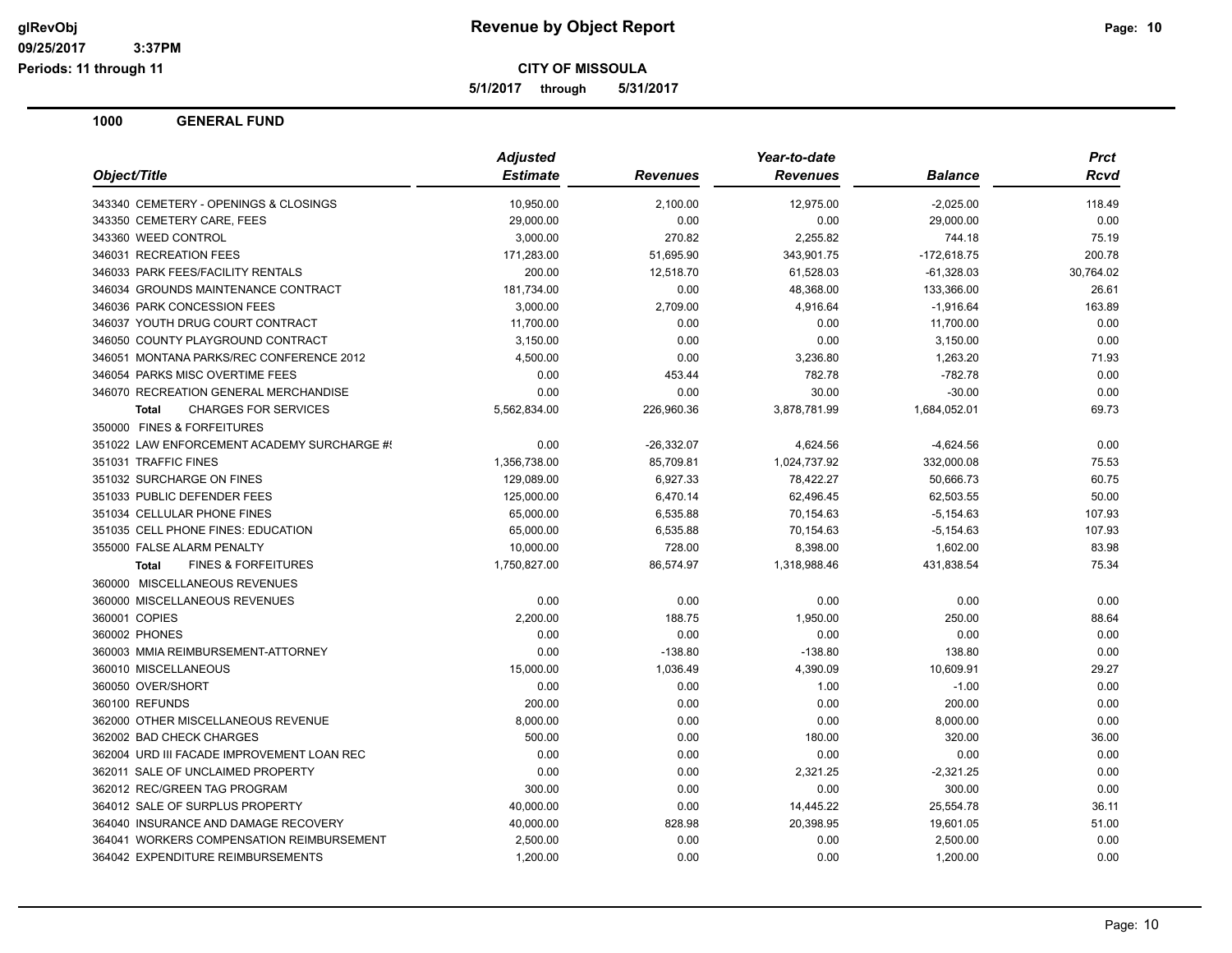**5/1/2017 through 5/31/2017**

**Periods: 11 through 11**

 **3:37PM**

| Object/Title                                   | <b>Adjusted</b><br><b>Estimate</b> | Revenues       | Year-to-date<br><b>Revenues</b> | <b>Balance</b>       | <b>Prct</b><br>Rcvd |
|------------------------------------------------|------------------------------------|----------------|---------------------------------|----------------------|---------------------|
| 343340 CEMETERY - OPENINGS & CLOSINGS          | 10,950.00                          | 2,100.00       | 12,975.00                       | $-2,025.00$          | 118.49              |
| 343350 CEMETERY CARE, FEES                     | 29,000.00                          | 0.00           | 0.00                            | 29,000.00            | 0.00                |
| 343360 WEED CONTROL                            | 3,000.00                           | 270.82         | 2,255.82                        | 744.18               | 75.19               |
| 346031 RECREATION FEES                         | 171,283.00                         | 51,695.90      | 343,901.75                      | $-172,618.75$        | 200.78              |
| 346033 PARK FEES/FACILITY RENTALS              | 200.00                             | 12,518.70      | 61,528.03                       | $-61,328.03$         | 30,764.02           |
| 346034 GROUNDS MAINTENANCE CONTRACT            | 181,734.00                         | 0.00           | 48,368.00                       | 133,366.00           | 26.61               |
| 346036 PARK CONCESSION FEES                    | 3,000.00                           | 2,709.00       | 4,916.64                        | $-1,916.64$          | 163.89              |
| 346037 YOUTH DRUG COURT CONTRACT               | 11,700.00                          | 0.00           | 0.00                            | 11,700.00            | 0.00                |
| 346050 COUNTY PLAYGROUND CONTRACT              | 3,150.00                           | 0.00           | 0.00                            | 3,150.00             | 0.00                |
| 346051 MONTANA PARKS/REC CONFERENCE 2012       | 4,500.00                           | 0.00           | 3,236.80                        | 1,263.20             | 71.93               |
| 346054 PARKS MISC OVERTIME FEES                | 0.00                               | 453.44         | 782.78                          | $-782.78$            | 0.00                |
| 346070 RECREATION GENERAL MERCHANDISE          | 0.00                               | 0.00           | 30.00                           | $-30.00$             | 0.00                |
| <b>CHARGES FOR SERVICES</b><br><b>Total</b>    | 5,562,834.00                       | 226,960.36     | 3,878,781.99                    | 1,684,052.01         | 69.73               |
| 350000 FINES & FORFEITURES                     |                                    |                |                                 |                      |                     |
| 351022 LAW ENFORCEMENT ACADEMY SURCHARGE #!    | 0.00                               | $-26,332.07$   | 4,624.56                        | $-4,624.56$          | 0.00                |
| 351031 TRAFFIC FINES                           | 1,356,738.00                       | 85,709.81      | 1,024,737.92                    | 332,000.08           | 75.53               |
| 351032 SURCHARGE ON FINES                      | 129.089.00                         | 6,927.33       | 78.422.27                       | 50.666.73            | 60.75               |
| 351033 PUBLIC DEFENDER FEES                    | 125,000.00                         | 6,470.14       | 62,496.45                       | 62,503.55            | 50.00               |
| 351034 CELLULAR PHONE FINES                    | 65,000.00                          | 6,535.88       | 70,154.63                       | $-5,154.63$          | 107.93              |
| 351035 CELL PHONE FINES: EDUCATION             | 65,000.00                          | 6,535.88       | 70,154.63                       | $-5,154.63$          | 107.93              |
| 355000 FALSE ALARM PENALTY                     | 10,000.00                          | 728.00         | 8,398.00                        | 1,602.00             | 83.98               |
| <b>FINES &amp; FORFEITURES</b><br><b>Total</b> | 1,750,827.00                       | 86,574.97      | 1,318,988.46                    | 431,838.54           | 75.34               |
| 360000 MISCELLANEOUS REVENUES                  |                                    |                |                                 |                      |                     |
| 360000 MISCELLANEOUS REVENUES                  |                                    |                |                                 |                      |                     |
| 360001 COPIES                                  | 0.00                               | 0.00           | 0.00                            | 0.00                 | 0.00                |
| 360002 PHONES                                  | 2,200.00<br>0.00                   | 188.75<br>0.00 | 1,950.00<br>0.00                | 250.00               | 88.64               |
| 360003 MMIA REIMBURSEMENT-ATTORNEY             |                                    |                |                                 | 0.00                 | 0.00                |
|                                                | 0.00                               | $-138.80$      | $-138.80$                       | 138.80               | 0.00                |
| 360010 MISCELLANEOUS<br>360050 OVER/SHORT      | 15,000.00<br>0.00                  | 1,036.49       | 4,390.09                        | 10,609.91<br>$-1.00$ | 29.27<br>0.00       |
|                                                |                                    | 0.00           | 1.00                            |                      |                     |
| 360100 REFUNDS                                 | 200.00                             | 0.00           | 0.00                            | 200.00               | 0.00                |
| 362000 OTHER MISCELLANEOUS REVENUE             | 8,000.00                           | 0.00           | 0.00                            | 8,000.00             | 0.00                |
| 362002 BAD CHECK CHARGES                       | 500.00                             | 0.00           | 180.00                          | 320.00               | 36.00               |
| 362004 URD III FACADE IMPROVEMENT LOAN REC     | 0.00                               | 0.00           | 0.00                            | 0.00                 | 0.00                |
| 362011 SALE OF UNCLAIMED PROPERTY              | 0.00                               | 0.00           | 2,321.25                        | $-2,321.25$          | 0.00                |
| 362012 REC/GREEN TAG PROGRAM                   | 300.00                             | 0.00           | 0.00                            | 300.00               | 0.00                |
| 364012 SALE OF SURPLUS PROPERTY                | 40,000.00                          | 0.00           | 14,445.22                       | 25,554.78            | 36.11               |
| 364040 INSURANCE AND DAMAGE RECOVERY           | 40,000.00                          | 828.98         | 20,398.95                       | 19,601.05            | 51.00               |
| 364041 WORKERS COMPENSATION REIMBURSEMENT      | 2,500.00                           | 0.00           | 0.00                            | 2,500.00             | 0.00                |
| 364042 EXPENDITURE REIMBURSEMENTS              | 1,200.00                           | 0.00           | 0.00                            | 1,200.00             | 0.00                |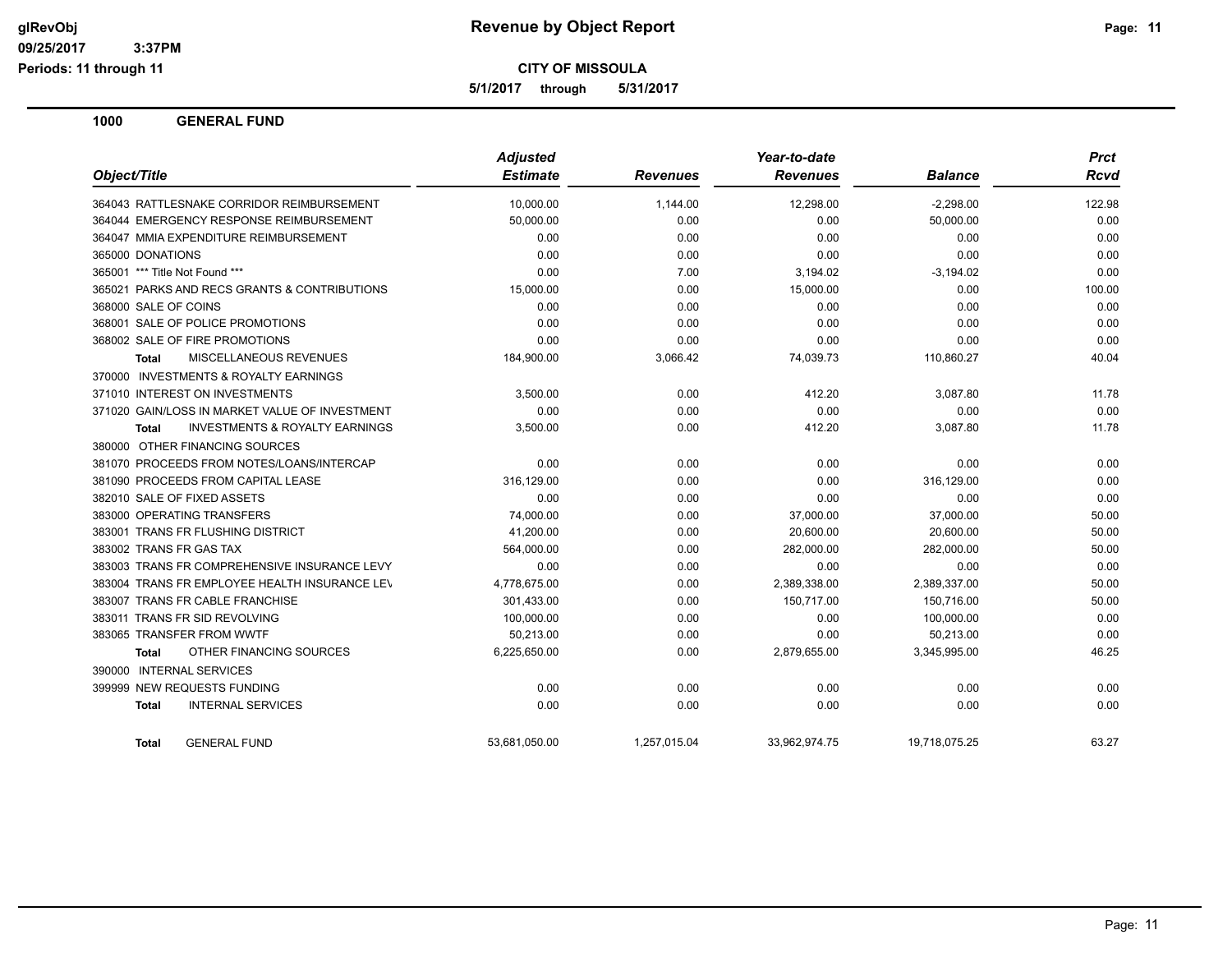**Periods: 11 through 11**

**CITY OF MISSOULA**

**5/1/2017 through 5/31/2017**

# **1000 GENERAL FUND**

 **3:37PM**

| Object/Title                                       | <b>Adjusted</b><br><b>Estimate</b> | <b>Revenues</b> | Year-to-date<br><b>Revenues</b> | <b>Balance</b> | <b>Prct</b><br>Rcvd |
|----------------------------------------------------|------------------------------------|-----------------|---------------------------------|----------------|---------------------|
| 364043 RATTLESNAKE CORRIDOR REIMBURSEMENT          | 10,000.00                          | 1.144.00        | 12,298.00                       | $-2,298.00$    | 122.98              |
| 364044 EMERGENCY RESPONSE REIMBURSEMENT            | 50.000.00                          | 0.00            | 0.00                            | 50.000.00      | 0.00                |
| 364047 MMIA EXPENDITURE REIMBURSEMENT              | 0.00                               | 0.00            | 0.00                            | 0.00           | 0.00                |
| 365000 DONATIONS                                   | 0.00                               | 0.00            | 0.00                            | 0.00           | 0.00                |
| 365001 *** Title Not Found ***                     | 0.00                               | 7.00            | 3,194.02                        | $-3,194.02$    | 0.00                |
| 365021 PARKS AND RECS GRANTS & CONTRIBUTIONS       | 15,000.00                          | 0.00            | 15,000.00                       | 0.00           | 100.00              |
| 368000 SALE OF COINS                               | 0.00                               | 0.00            | 0.00                            | 0.00           | 0.00                |
| 368001 SALE OF POLICE PROMOTIONS                   | 0.00                               | 0.00            | 0.00                            | 0.00           | 0.00                |
| 368002 SALE OF FIRE PROMOTIONS                     | 0.00                               | 0.00            | 0.00                            | 0.00           | 0.00                |
| MISCELLANEOUS REVENUES<br>Total                    | 184,900.00                         | 3,066.42        | 74,039.73                       | 110,860.27     | 40.04               |
| 370000 INVESTMENTS & ROYALTY EARNINGS              |                                    |                 |                                 |                |                     |
| 371010 INTEREST ON INVESTMENTS                     | 3,500.00                           | 0.00            | 412.20                          | 3,087.80       | 11.78               |
| 371020 GAIN/LOSS IN MARKET VALUE OF INVESTMENT     | 0.00                               | 0.00            | 0.00                            | 0.00           | 0.00                |
| <b>INVESTMENTS &amp; ROYALTY EARNINGS</b><br>Total | 3,500.00                           | 0.00            | 412.20                          | 3,087.80       | 11.78               |
| 380000 OTHER FINANCING SOURCES                     |                                    |                 |                                 |                |                     |
| 381070 PROCEEDS FROM NOTES/LOANS/INTERCAP          | 0.00                               | 0.00            | 0.00                            | 0.00           | 0.00                |
| 381090 PROCEEDS FROM CAPITAL LEASE                 | 316,129.00                         | 0.00            | 0.00                            | 316,129.00     | 0.00                |
| 382010 SALE OF FIXED ASSETS                        | 0.00                               | 0.00            | 0.00                            | 0.00           | 0.00                |
| 383000 OPERATING TRANSFERS                         | 74,000.00                          | 0.00            | 37,000.00                       | 37,000.00      | 50.00               |
| 383001 TRANS FR FLUSHING DISTRICT                  | 41,200.00                          | 0.00            | 20,600.00                       | 20,600.00      | 50.00               |
| 383002 TRANS FR GAS TAX                            | 564,000.00                         | 0.00            | 282,000.00                      | 282,000.00     | 50.00               |
| 383003 TRANS FR COMPREHENSIVE INSURANCE LEVY       | 0.00                               | 0.00            | 0.00                            | 0.00           | 0.00                |
| 383004 TRANS FR EMPLOYEE HEALTH INSURANCE LEV      | 4,778,675.00                       | 0.00            | 2,389,338.00                    | 2,389,337.00   | 50.00               |
| 383007 TRANS FR CABLE FRANCHISE                    | 301.433.00                         | 0.00            | 150.717.00                      | 150.716.00     | 50.00               |
| 383011 TRANS FR SID REVOLVING                      | 100,000.00                         | 0.00            | 0.00                            | 100,000.00     | 0.00                |
| 383065 TRANSFER FROM WWTF                          | 50,213.00                          | 0.00            | 0.00                            | 50,213.00      | 0.00                |
| OTHER FINANCING SOURCES<br><b>Total</b>            | 6,225,650.00                       | 0.00            | 2,879,655.00                    | 3,345,995.00   | 46.25               |
| 390000 INTERNAL SERVICES                           |                                    |                 |                                 |                |                     |
| 399999 NEW REQUESTS FUNDING                        | 0.00                               | 0.00            | 0.00                            | 0.00           | 0.00                |
| <b>INTERNAL SERVICES</b><br>Total                  | 0.00                               | 0.00            | 0.00                            | 0.00           | 0.00                |
| <b>GENERAL FUND</b><br>Total                       | 53,681,050.00                      | 1,257,015.04    | 33,962,974.75                   | 19,718,075.25  | 63.27               |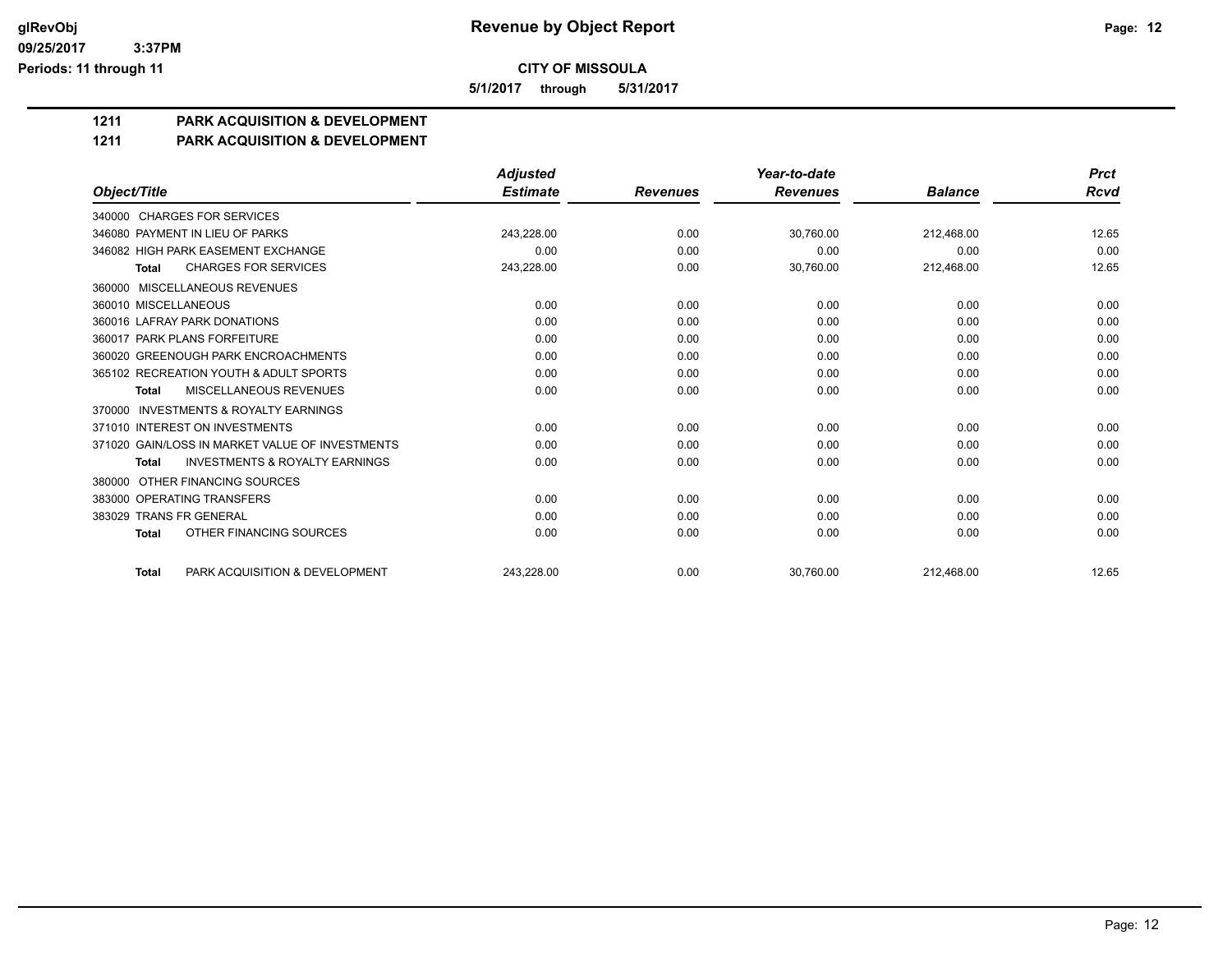**5/1/2017 through 5/31/2017**

# **1211 PARK ACQUISITION & DEVELOPMENT**

#### **1211 PARK ACQUISITION & DEVELOPMENT**

|                                                           | <b>Adjusted</b> |                 | Year-to-date    |                | <b>Prct</b> |
|-----------------------------------------------------------|-----------------|-----------------|-----------------|----------------|-------------|
| Object/Title                                              | <b>Estimate</b> | <b>Revenues</b> | <b>Revenues</b> | <b>Balance</b> | <b>Rcvd</b> |
| 340000 CHARGES FOR SERVICES                               |                 |                 |                 |                |             |
| 346080 PAYMENT IN LIEU OF PARKS                           | 243,228.00      | 0.00            | 30,760.00       | 212,468.00     | 12.65       |
| 346082 HIGH PARK EASEMENT EXCHANGE                        | 0.00            | 0.00            | 0.00            | 0.00           | 0.00        |
| <b>CHARGES FOR SERVICES</b><br><b>Total</b>               | 243,228.00      | 0.00            | 30,760.00       | 212,468.00     | 12.65       |
| 360000 MISCELLANEOUS REVENUES                             |                 |                 |                 |                |             |
| 360010 MISCELLANEOUS                                      | 0.00            | 0.00            | 0.00            | 0.00           | 0.00        |
| 360016 LAFRAY PARK DONATIONS                              | 0.00            | 0.00            | 0.00            | 0.00           | 0.00        |
| 360017 PARK PLANS FORFEITURE                              | 0.00            | 0.00            | 0.00            | 0.00           | 0.00        |
| 360020 GREENOUGH PARK ENCROACHMENTS                       | 0.00            | 0.00            | 0.00            | 0.00           | 0.00        |
| 365102 RECREATION YOUTH & ADULT SPORTS                    | 0.00            | 0.00            | 0.00            | 0.00           | 0.00        |
| MISCELLANEOUS REVENUES<br><b>Total</b>                    | 0.00            | 0.00            | 0.00            | 0.00           | 0.00        |
| <b>INVESTMENTS &amp; ROYALTY EARNINGS</b><br>370000       |                 |                 |                 |                |             |
| 371010 INTEREST ON INVESTMENTS                            | 0.00            | 0.00            | 0.00            | 0.00           | 0.00        |
| 371020 GAIN/LOSS IN MARKET VALUE OF INVESTMENTS           | 0.00            | 0.00            | 0.00            | 0.00           | 0.00        |
| <b>INVESTMENTS &amp; ROYALTY EARNINGS</b><br><b>Total</b> | 0.00            | 0.00            | 0.00            | 0.00           | 0.00        |
| OTHER FINANCING SOURCES<br>380000                         |                 |                 |                 |                |             |
| 383000 OPERATING TRANSFERS                                | 0.00            | 0.00            | 0.00            | 0.00           | 0.00        |
| 383029 TRANS FR GENERAL                                   | 0.00            | 0.00            | 0.00            | 0.00           | 0.00        |
| OTHER FINANCING SOURCES<br><b>Total</b>                   | 0.00            | 0.00            | 0.00            | 0.00           | 0.00        |
| PARK ACQUISITION & DEVELOPMENT<br>Total                   | 243,228.00      | 0.00            | 30,760.00       | 212,468.00     | 12.65       |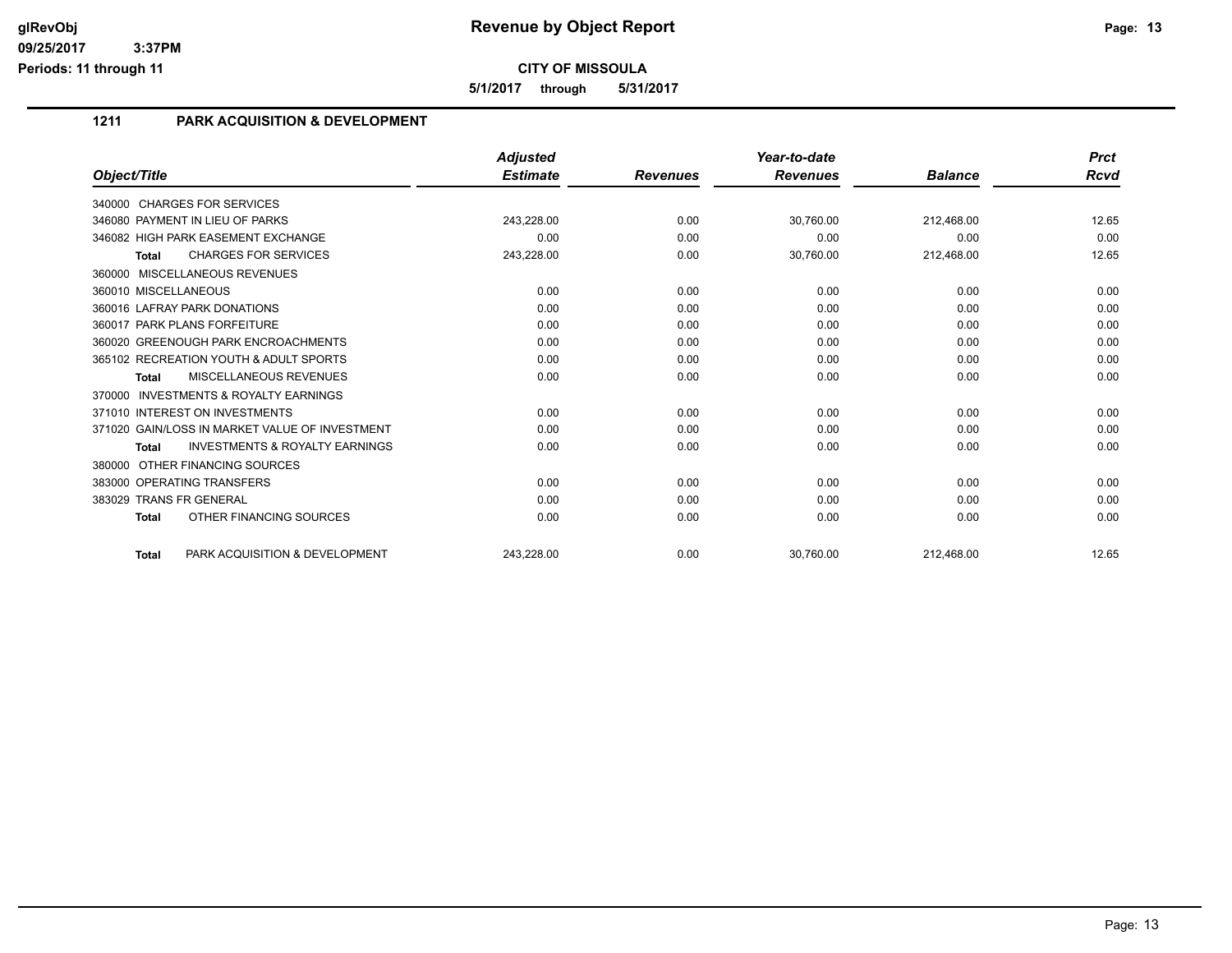**5/1/2017 through 5/31/2017**

#### **1211 PARK ACQUISITION & DEVELOPMENT**

|                                                           | <b>Adjusted</b> |                 | Year-to-date    |                | <b>Prct</b> |
|-----------------------------------------------------------|-----------------|-----------------|-----------------|----------------|-------------|
| Object/Title                                              | <b>Estimate</b> | <b>Revenues</b> | <b>Revenues</b> | <b>Balance</b> | <b>Rcvd</b> |
| 340000 CHARGES FOR SERVICES                               |                 |                 |                 |                |             |
| 346080 PAYMENT IN LIEU OF PARKS                           | 243.228.00      | 0.00            | 30,760.00       | 212.468.00     | 12.65       |
| 346082 HIGH PARK EASEMENT EXCHANGE                        | 0.00            | 0.00            | 0.00            | 0.00           | 0.00        |
| <b>CHARGES FOR SERVICES</b><br><b>Total</b>               | 243,228.00      | 0.00            | 30,760.00       | 212,468.00     | 12.65       |
| 360000 MISCELLANEOUS REVENUES                             |                 |                 |                 |                |             |
| 360010 MISCELLANEOUS                                      | 0.00            | 0.00            | 0.00            | 0.00           | 0.00        |
| 360016 LAFRAY PARK DONATIONS                              | 0.00            | 0.00            | 0.00            | 0.00           | 0.00        |
| 360017 PARK PLANS FORFEITURE                              | 0.00            | 0.00            | 0.00            | 0.00           | 0.00        |
| 360020 GREENOUGH PARK ENCROACHMENTS                       | 0.00            | 0.00            | 0.00            | 0.00           | 0.00        |
| 365102 RECREATION YOUTH & ADULT SPORTS                    | 0.00            | 0.00            | 0.00            | 0.00           | 0.00        |
| MISCELLANEOUS REVENUES<br>Total                           | 0.00            | 0.00            | 0.00            | 0.00           | 0.00        |
| <b>INVESTMENTS &amp; ROYALTY EARNINGS</b><br>370000       |                 |                 |                 |                |             |
| 371010 INTEREST ON INVESTMENTS                            | 0.00            | 0.00            | 0.00            | 0.00           | 0.00        |
| 371020 GAIN/LOSS IN MARKET VALUE OF INVESTMENT            | 0.00            | 0.00            | 0.00            | 0.00           | 0.00        |
| <b>INVESTMENTS &amp; ROYALTY EARNINGS</b><br><b>Total</b> | 0.00            | 0.00            | 0.00            | 0.00           | 0.00        |
| 380000 OTHER FINANCING SOURCES                            |                 |                 |                 |                |             |
| 383000 OPERATING TRANSFERS                                | 0.00            | 0.00            | 0.00            | 0.00           | 0.00        |
| 383029 TRANS FR GENERAL                                   | 0.00            | 0.00            | 0.00            | 0.00           | 0.00        |
| OTHER FINANCING SOURCES<br><b>Total</b>                   | 0.00            | 0.00            | 0.00            | 0.00           | 0.00        |
| PARK ACQUISITION & DEVELOPMENT<br><b>Total</b>            | 243.228.00      | 0.00            | 30.760.00       | 212.468.00     | 12.65       |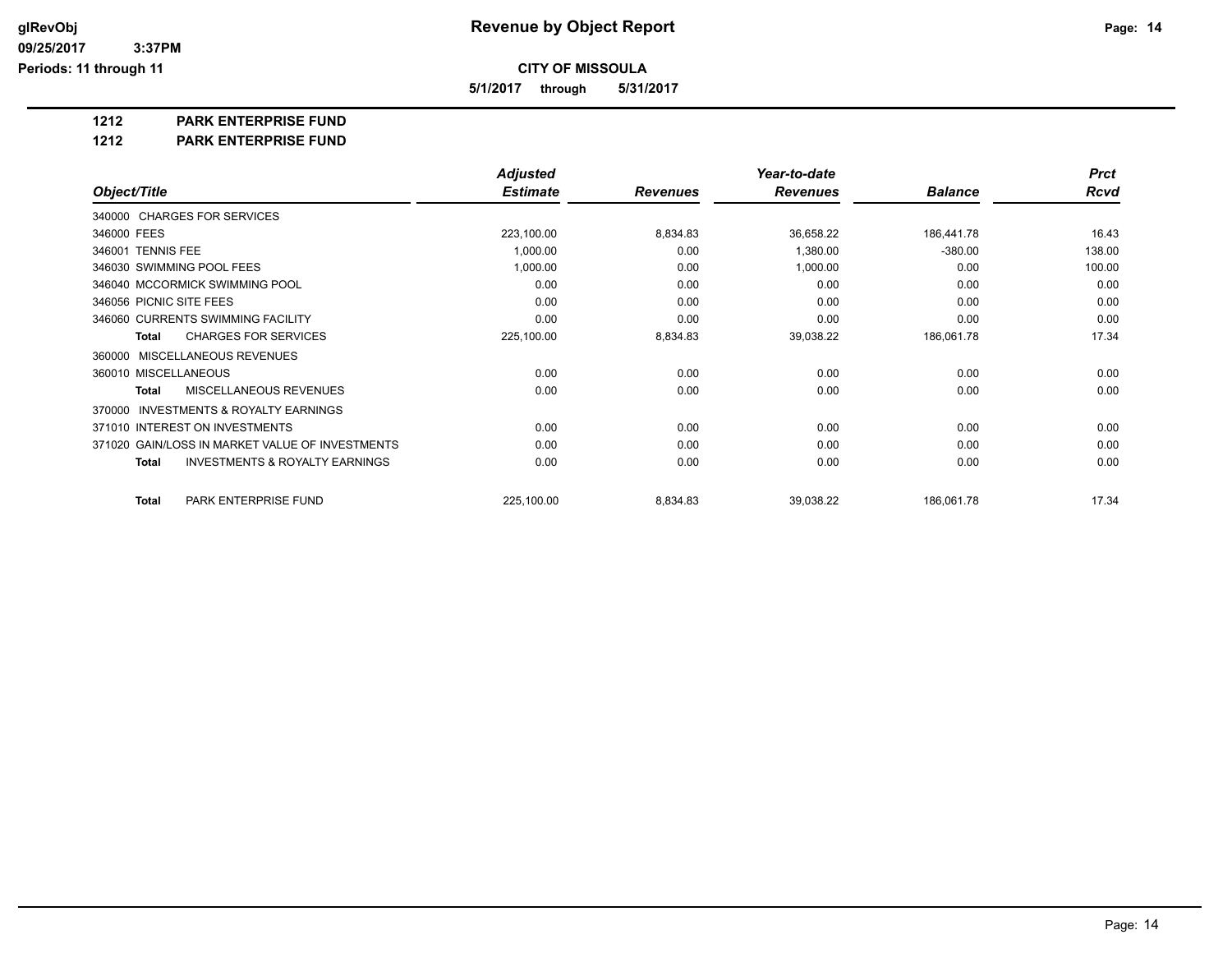**5/1/2017 through 5/31/2017**

**1212 PARK ENTERPRISE FUND**

**1212 PARK ENTERPRISE FUND**

|                                                           | <b>Adjusted</b> |                 | Year-to-date    |                | <b>Prct</b> |
|-----------------------------------------------------------|-----------------|-----------------|-----------------|----------------|-------------|
| Object/Title                                              | <b>Estimate</b> | <b>Revenues</b> | <b>Revenues</b> | <b>Balance</b> | <b>Rcvd</b> |
| 340000 CHARGES FOR SERVICES                               |                 |                 |                 |                |             |
| 346000 FEES                                               | 223,100.00      | 8,834.83        | 36,658.22       | 186,441.78     | 16.43       |
| 346001 TENNIS FEE                                         | 1,000.00        | 0.00            | 1,380.00        | $-380.00$      | 138.00      |
| 346030 SWIMMING POOL FEES                                 | 1,000.00        | 0.00            | 1,000.00        | 0.00           | 100.00      |
| 346040 MCCORMICK SWIMMING POOL                            | 0.00            | 0.00            | 0.00            | 0.00           | 0.00        |
| 346056 PICNIC SITE FEES                                   | 0.00            | 0.00            | 0.00            | 0.00           | 0.00        |
| 346060 CURRENTS SWIMMING FACILITY                         | 0.00            | 0.00            | 0.00            | 0.00           | 0.00        |
| <b>CHARGES FOR SERVICES</b><br><b>Total</b>               | 225,100.00      | 8,834.83        | 39,038.22       | 186,061.78     | 17.34       |
| MISCELLANEOUS REVENUES<br>360000                          |                 |                 |                 |                |             |
| 360010 MISCELLANEOUS                                      | 0.00            | 0.00            | 0.00            | 0.00           | 0.00        |
| <b>MISCELLANEOUS REVENUES</b><br>Total                    | 0.00            | 0.00            | 0.00            | 0.00           | 0.00        |
| <b>INVESTMENTS &amp; ROYALTY EARNINGS</b><br>370000       |                 |                 |                 |                |             |
| 371010 INTEREST ON INVESTMENTS                            | 0.00            | 0.00            | 0.00            | 0.00           | 0.00        |
| 371020 GAIN/LOSS IN MARKET VALUE OF INVESTMENTS           | 0.00            | 0.00            | 0.00            | 0.00           | 0.00        |
| <b>INVESTMENTS &amp; ROYALTY EARNINGS</b><br><b>Total</b> | 0.00            | 0.00            | 0.00            | 0.00           | 0.00        |
| PARK ENTERPRISE FUND<br><b>Total</b>                      | 225,100.00      | 8,834.83        | 39,038.22       | 186,061.78     | 17.34       |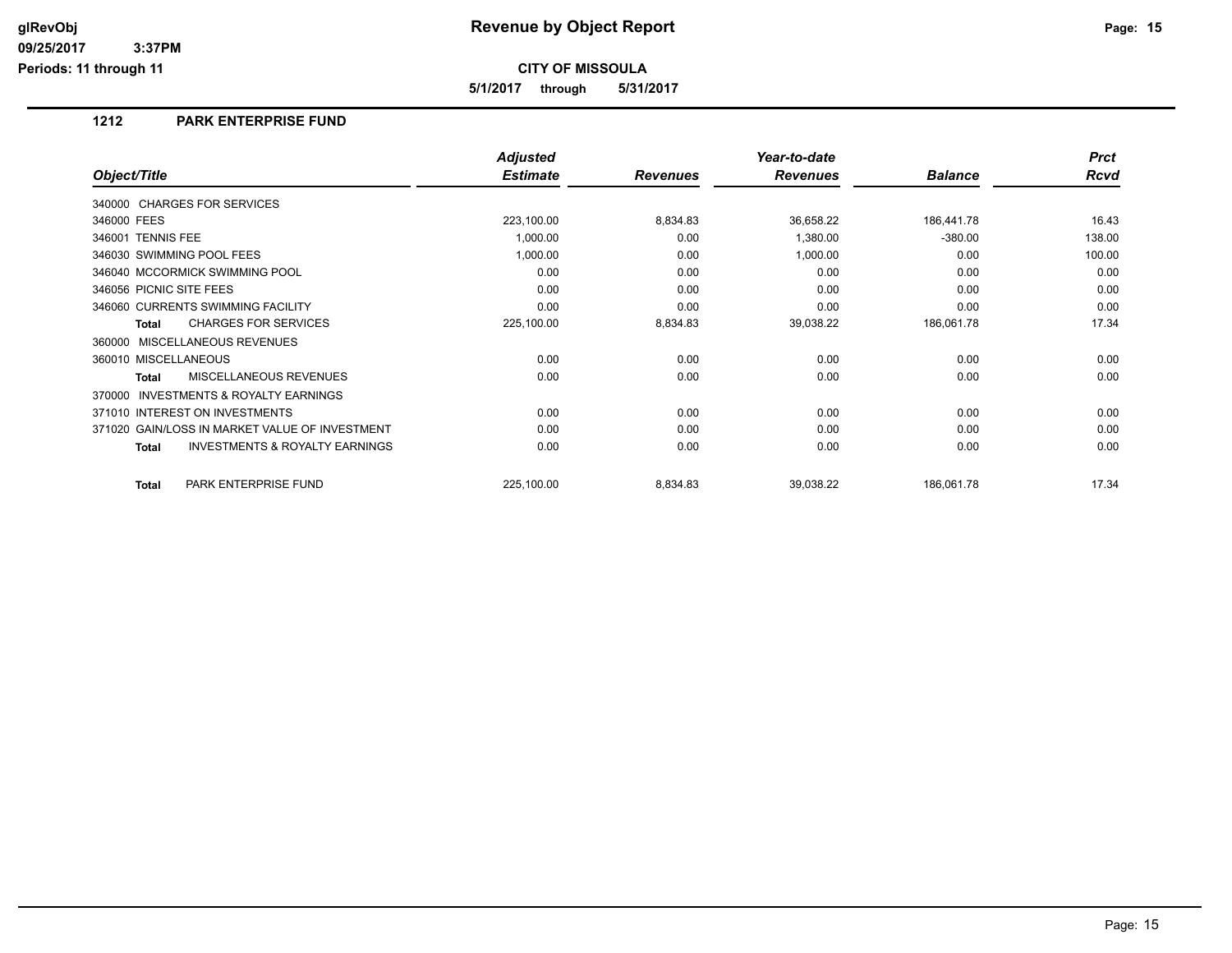**5/1/2017 through 5/31/2017**

#### **1212 PARK ENTERPRISE FUND**

|                                                           | <b>Adjusted</b> |                 | Year-to-date    |                | <b>Prct</b> |
|-----------------------------------------------------------|-----------------|-----------------|-----------------|----------------|-------------|
| Object/Title                                              | <b>Estimate</b> | <b>Revenues</b> | <b>Revenues</b> | <b>Balance</b> | <b>Rcvd</b> |
| 340000 CHARGES FOR SERVICES                               |                 |                 |                 |                |             |
| 346000 FEES                                               | 223,100.00      | 8,834.83        | 36,658.22       | 186,441.78     | 16.43       |
| 346001 TENNIS FEE                                         | 1,000.00        | 0.00            | 1,380.00        | $-380.00$      | 138.00      |
| 346030 SWIMMING POOL FEES                                 | 1,000.00        | 0.00            | 1,000.00        | 0.00           | 100.00      |
| 346040 MCCORMICK SWIMMING POOL                            | 0.00            | 0.00            | 0.00            | 0.00           | 0.00        |
| 346056 PICNIC SITE FEES                                   | 0.00            | 0.00            | 0.00            | 0.00           | 0.00        |
| 346060 CURRENTS SWIMMING FACILITY                         | 0.00            | 0.00            | 0.00            | 0.00           | 0.00        |
| <b>CHARGES FOR SERVICES</b><br><b>Total</b>               | 225,100.00      | 8,834.83        | 39,038.22       | 186,061.78     | 17.34       |
| 360000 MISCELLANEOUS REVENUES                             |                 |                 |                 |                |             |
| 360010 MISCELLANEOUS                                      | 0.00            | 0.00            | 0.00            | 0.00           | 0.00        |
| MISCELLANEOUS REVENUES<br>Total                           | 0.00            | 0.00            | 0.00            | 0.00           | 0.00        |
| <b>INVESTMENTS &amp; ROYALTY EARNINGS</b><br>370000       |                 |                 |                 |                |             |
| 371010 INTEREST ON INVESTMENTS                            | 0.00            | 0.00            | 0.00            | 0.00           | 0.00        |
| 371020 GAIN/LOSS IN MARKET VALUE OF INVESTMENT            | 0.00            | 0.00            | 0.00            | 0.00           | 0.00        |
| <b>INVESTMENTS &amp; ROYALTY EARNINGS</b><br><b>Total</b> | 0.00            | 0.00            | 0.00            | 0.00           | 0.00        |
| PARK ENTERPRISE FUND<br><b>Total</b>                      | 225,100.00      | 8,834.83        | 39,038.22       | 186,061.78     | 17.34       |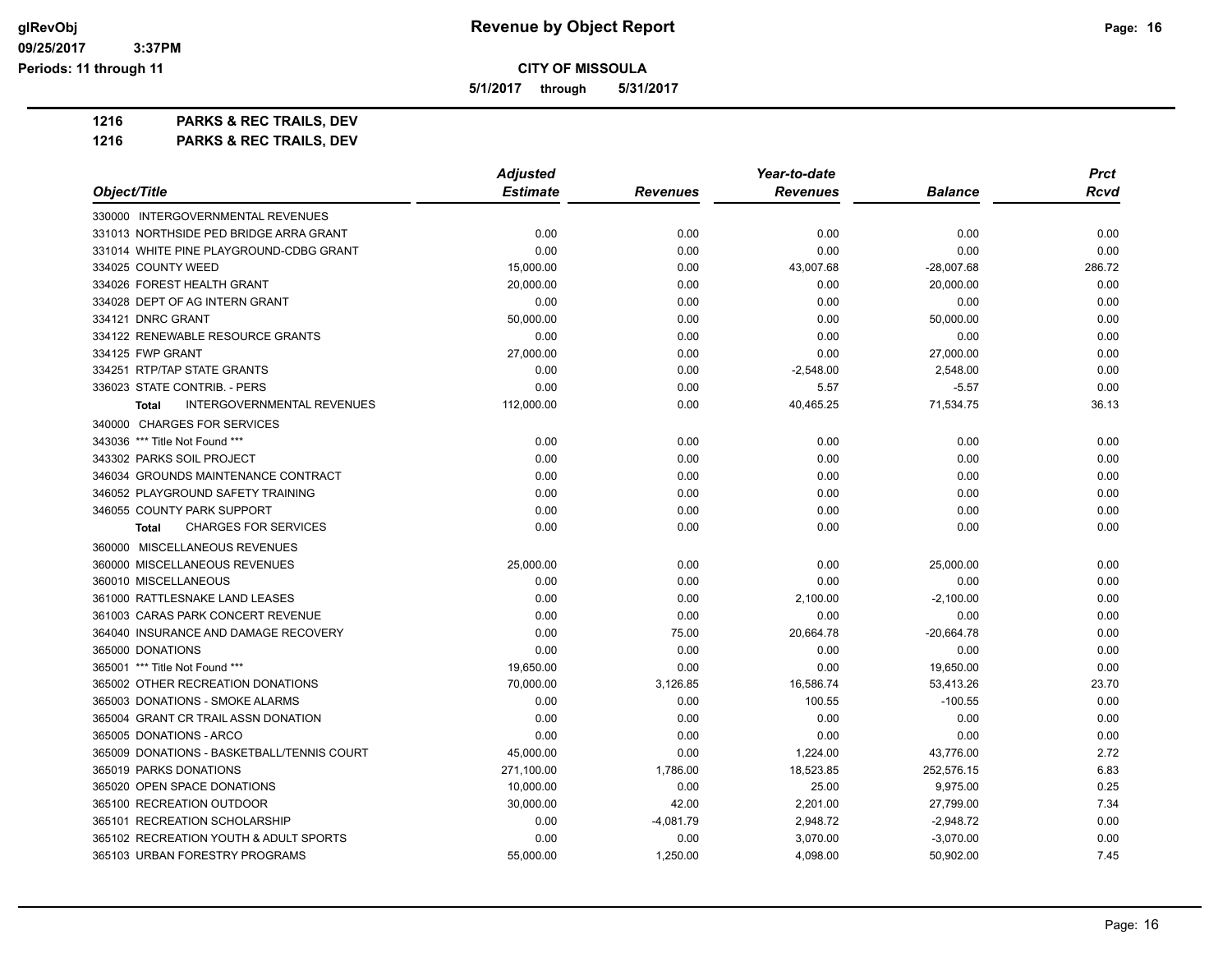**5/1/2017 through 5/31/2017**

**1216 PARKS & REC TRAILS, DEV**

|                                                   | <b>Adjusted</b> |                 | Year-to-date    |                | <b>Prct</b> |
|---------------------------------------------------|-----------------|-----------------|-----------------|----------------|-------------|
| Object/Title                                      | <b>Estimate</b> | <b>Revenues</b> | <b>Revenues</b> | <b>Balance</b> | <b>Rcvd</b> |
| 330000 INTERGOVERNMENTAL REVENUES                 |                 |                 |                 |                |             |
| 331013 NORTHSIDE PED BRIDGE ARRA GRANT            | 0.00            | 0.00            | 0.00            | 0.00           | 0.00        |
| 331014 WHITE PINE PLAYGROUND-CDBG GRANT           | 0.00            | 0.00            | 0.00            | 0.00           | 0.00        |
| 334025 COUNTY WEED                                | 15,000.00       | 0.00            | 43,007.68       | $-28,007.68$   | 286.72      |
| 334026 FOREST HEALTH GRANT                        | 20,000.00       | 0.00            | 0.00            | 20,000.00      | 0.00        |
| 334028 DEPT OF AG INTERN GRANT                    | 0.00            | 0.00            | 0.00            | 0.00           | 0.00        |
| 334121 DNRC GRANT                                 | 50,000.00       | 0.00            | 0.00            | 50,000.00      | 0.00        |
| 334122 RENEWABLE RESOURCE GRANTS                  | 0.00            | 0.00            | 0.00            | 0.00           | 0.00        |
| 334125 FWP GRANT                                  | 27,000.00       | 0.00            | 0.00            | 27,000.00      | 0.00        |
| 334251 RTP/TAP STATE GRANTS                       | 0.00            | 0.00            | $-2,548.00$     | 2,548.00       | 0.00        |
| 336023 STATE CONTRIB. - PERS                      | 0.00            | 0.00            | 5.57            | $-5.57$        | 0.00        |
| <b>INTERGOVERNMENTAL REVENUES</b><br><b>Total</b> | 112,000.00      | 0.00            | 40,465.25       | 71,534.75      | 36.13       |
| 340000 CHARGES FOR SERVICES                       |                 |                 |                 |                |             |
| 343036 *** Title Not Found ***                    | 0.00            | 0.00            | 0.00            | 0.00           | 0.00        |
| 343302 PARKS SOIL PROJECT                         | 0.00            | 0.00            | 0.00            | 0.00           | 0.00        |
| 346034 GROUNDS MAINTENANCE CONTRACT               | 0.00            | 0.00            | 0.00            | 0.00           | 0.00        |
| 346052 PLAYGROUND SAFETY TRAINING                 | 0.00            | 0.00            | 0.00            | 0.00           | 0.00        |
| 346055 COUNTY PARK SUPPORT                        | 0.00            | 0.00            | 0.00            | 0.00           | 0.00        |
| <b>CHARGES FOR SERVICES</b><br><b>Total</b>       | 0.00            | 0.00            | 0.00            | 0.00           | 0.00        |
| 360000 MISCELLANEOUS REVENUES                     |                 |                 |                 |                |             |
| 360000 MISCELLANEOUS REVENUES                     | 25,000.00       | 0.00            | 0.00            | 25,000.00      | 0.00        |
| 360010 MISCELLANEOUS                              | 0.00            | 0.00            | 0.00            | 0.00           | 0.00        |
| 361000 RATTLESNAKE LAND LEASES                    | 0.00            | 0.00            | 2,100.00        | $-2,100.00$    | 0.00        |
| 361003 CARAS PARK CONCERT REVENUE                 | 0.00            | 0.00            | 0.00            | 0.00           | 0.00        |
| 364040 INSURANCE AND DAMAGE RECOVERY              | 0.00            | 75.00           | 20,664.78       | $-20,664.78$   | 0.00        |
| 365000 DONATIONS                                  | 0.00            | 0.00            | 0.00            | 0.00           | 0.00        |
| 365001 *** Title Not Found ***                    | 19,650.00       | 0.00            | 0.00            | 19,650.00      | 0.00        |
| 365002 OTHER RECREATION DONATIONS                 | 70,000.00       | 3,126.85        | 16,586.74       | 53,413.26      | 23.70       |
| 365003 DONATIONS - SMOKE ALARMS                   | 0.00            | 0.00            | 100.55          | $-100.55$      | 0.00        |
| 365004 GRANT CR TRAIL ASSN DONATION               | 0.00            | 0.00            | 0.00            | 0.00           | 0.00        |
| 365005 DONATIONS - ARCO                           | 0.00            | 0.00            | 0.00            | 0.00           | 0.00        |
| 365009 DONATIONS - BASKETBALL/TENNIS COURT        | 45,000.00       | 0.00            | 1,224.00        | 43,776.00      | 2.72        |
| 365019 PARKS DONATIONS                            | 271,100.00      | 1,786.00        | 18,523.85       | 252,576.15     | 6.83        |
| 365020 OPEN SPACE DONATIONS                       | 10,000.00       | 0.00            | 25.00           | 9,975.00       | 0.25        |
| 365100 RECREATION OUTDOOR                         | 30,000.00       | 42.00           | 2,201.00        | 27,799.00      | 7.34        |
| 365101 RECREATION SCHOLARSHIP                     | 0.00            | $-4,081.79$     | 2,948.72        | $-2,948.72$    | 0.00        |
| 365102 RECREATION YOUTH & ADULT SPORTS            | 0.00            | 0.00            | 3,070.00        | $-3,070.00$    | 0.00        |
| 365103 URBAN FORESTRY PROGRAMS                    | 55,000.00       | 1,250.00        | 4,098.00        | 50,902.00      | 7.45        |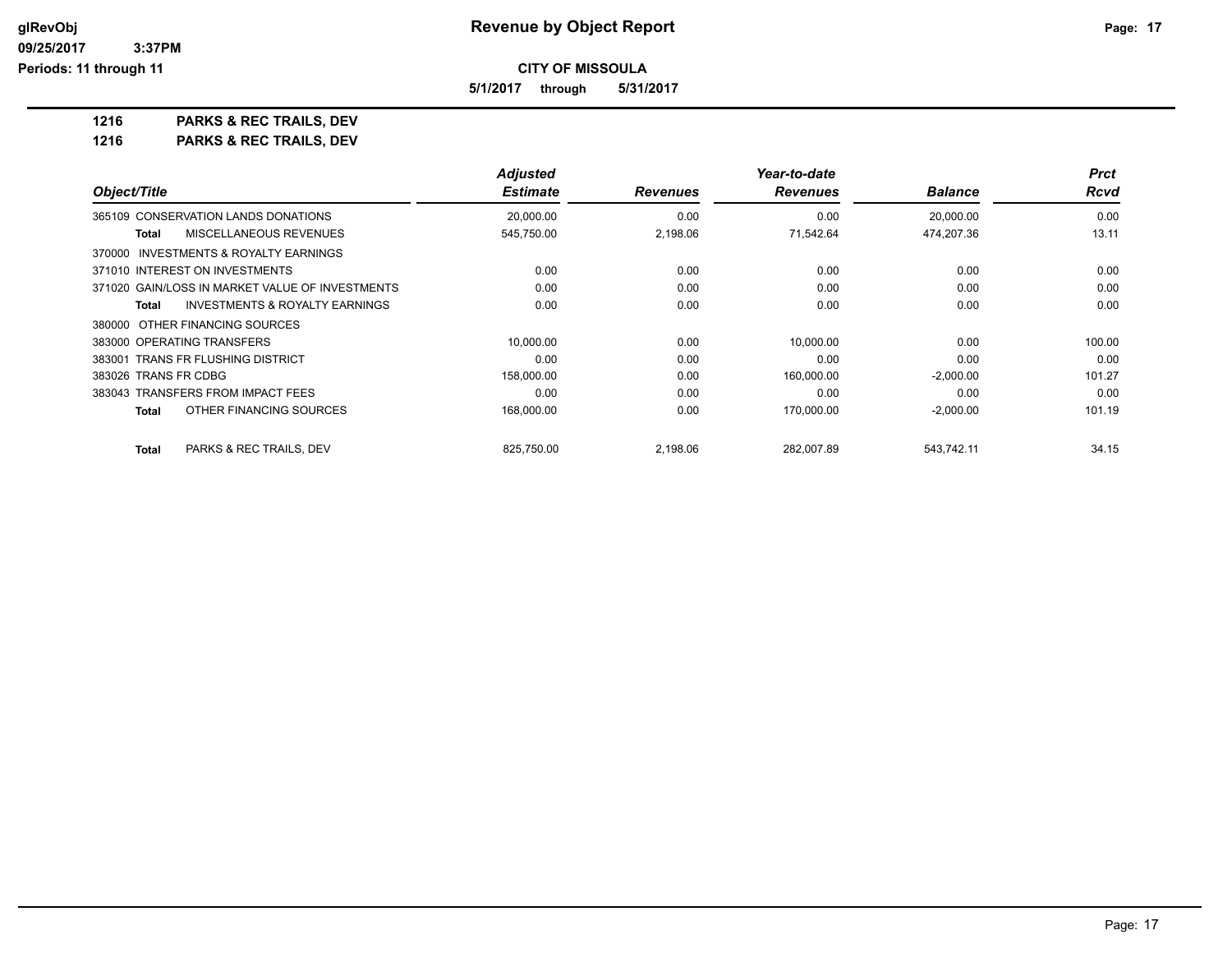**5/1/2017 through 5/31/2017**

**1216 PARKS & REC TRAILS, DEV**

|                                                           | <b>Adjusted</b> |                 | Year-to-date    |                | <b>Prct</b> |
|-----------------------------------------------------------|-----------------|-----------------|-----------------|----------------|-------------|
| Object/Title                                              | <b>Estimate</b> | <b>Revenues</b> | <b>Revenues</b> | <b>Balance</b> | <b>Rcvd</b> |
| 365109 CONSERVATION LANDS DONATIONS                       | 20,000.00       | 0.00            | 0.00            | 20,000.00      | 0.00        |
| MISCELLANEOUS REVENUES<br><b>Total</b>                    | 545,750.00      | 2,198.06        | 71,542.64       | 474,207.36     | 13.11       |
| 370000 INVESTMENTS & ROYALTY EARNINGS                     |                 |                 |                 |                |             |
| 371010 INTEREST ON INVESTMENTS                            | 0.00            | 0.00            | 0.00            | 0.00           | 0.00        |
| 371020 GAIN/LOSS IN MARKET VALUE OF INVESTMENTS           | 0.00            | 0.00            | 0.00            | 0.00           | 0.00        |
| <b>INVESTMENTS &amp; ROYALTY EARNINGS</b><br><b>Total</b> | 0.00            | 0.00            | 0.00            | 0.00           | 0.00        |
| 380000 OTHER FINANCING SOURCES                            |                 |                 |                 |                |             |
| 383000 OPERATING TRANSFERS                                | 10,000.00       | 0.00            | 10,000.00       | 0.00           | 100.00      |
| 383001 TRANS FR FLUSHING DISTRICT                         | 0.00            | 0.00            | 0.00            | 0.00           | 0.00        |
| 383026 TRANS FR CDBG                                      | 158.000.00      | 0.00            | 160.000.00      | $-2.000.00$    | 101.27      |
| 383043 TRANSFERS FROM IMPACT FEES                         | 0.00            | 0.00            | 0.00            | 0.00           | 0.00        |
| OTHER FINANCING SOURCES<br><b>Total</b>                   | 168,000.00      | 0.00            | 170,000.00      | $-2,000.00$    | 101.19      |
| PARKS & REC TRAILS, DEV<br><b>Total</b>                   | 825,750.00      | 2,198.06        | 282,007.89      | 543.742.11     | 34.15       |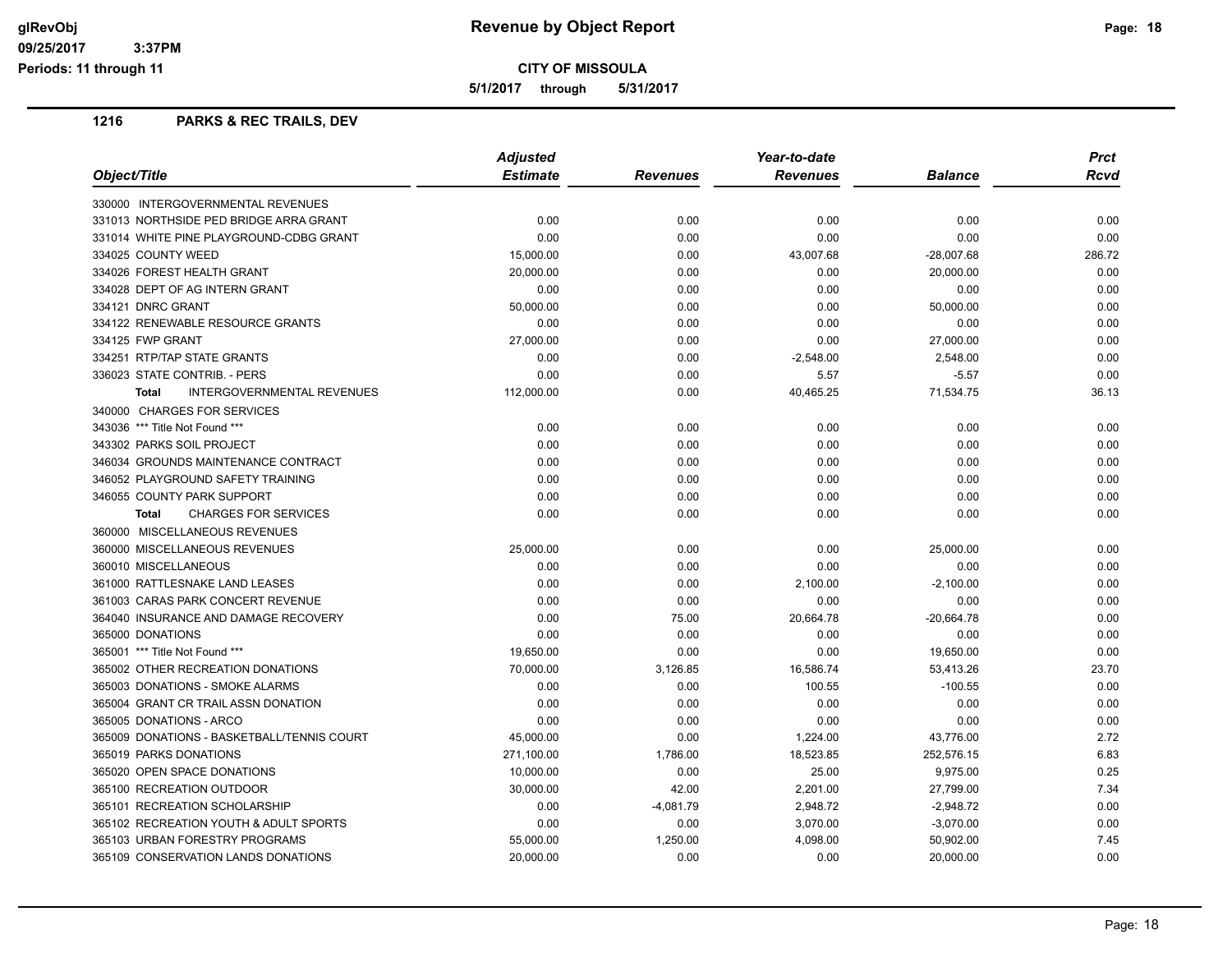**5/1/2017 through 5/31/2017**

|                                                   | <b>Adjusted</b> |             | Year-to-date    |                | <b>Prct</b> |
|---------------------------------------------------|-----------------|-------------|-----------------|----------------|-------------|
| Object/Title                                      | <b>Estimate</b> | Revenues    | <b>Revenues</b> | <b>Balance</b> | Rcvd        |
| 330000 INTERGOVERNMENTAL REVENUES                 |                 |             |                 |                |             |
| 331013 NORTHSIDE PED BRIDGE ARRA GRANT            | 0.00            | 0.00        | 0.00            | 0.00           | 0.00        |
| 331014 WHITE PINE PLAYGROUND-CDBG GRANT           | 0.00            | 0.00        | 0.00            | 0.00           | 0.00        |
| 334025 COUNTY WEED                                | 15,000.00       | 0.00        | 43,007.68       | $-28,007.68$   | 286.72      |
| 334026 FOREST HEALTH GRANT                        | 20,000.00       | 0.00        | 0.00            | 20,000.00      | 0.00        |
| 334028 DEPT OF AG INTERN GRANT                    | 0.00            | 0.00        | 0.00            | 0.00           | 0.00        |
| 334121 DNRC GRANT                                 | 50,000.00       | 0.00        | 0.00            | 50,000.00      | 0.00        |
| 334122 RENEWABLE RESOURCE GRANTS                  | 0.00            | 0.00        | 0.00            | 0.00           | 0.00        |
| 334125 FWP GRANT                                  | 27,000.00       | 0.00        | 0.00            | 27,000.00      | 0.00        |
| 334251 RTP/TAP STATE GRANTS                       | 0.00            | 0.00        | $-2,548.00$     | 2,548.00       | 0.00        |
| 336023 STATE CONTRIB. - PERS                      | 0.00            | 0.00        | 5.57            | $-5.57$        | 0.00        |
| <b>INTERGOVERNMENTAL REVENUES</b><br><b>Total</b> | 112,000.00      | 0.00        | 40,465.25       | 71,534.75      | 36.13       |
| 340000 CHARGES FOR SERVICES                       |                 |             |                 |                |             |
| 343036 *** Title Not Found ***                    | 0.00            | 0.00        | 0.00            | 0.00           | 0.00        |
| 343302 PARKS SOIL PROJECT                         | 0.00            | 0.00        | 0.00            | 0.00           | 0.00        |
| 346034 GROUNDS MAINTENANCE CONTRACT               | 0.00            | 0.00        | 0.00            | 0.00           | 0.00        |
| 346052 PLAYGROUND SAFETY TRAINING                 | 0.00            | 0.00        | 0.00            | 0.00           | 0.00        |
| 346055 COUNTY PARK SUPPORT                        | 0.00            | 0.00        | 0.00            | 0.00           | 0.00        |
| <b>CHARGES FOR SERVICES</b><br><b>Total</b>       | 0.00            | 0.00        | 0.00            | 0.00           | 0.00        |
| 360000 MISCELLANEOUS REVENUES                     |                 |             |                 |                |             |
| 360000 MISCELLANEOUS REVENUES                     | 25,000.00       | 0.00        | 0.00            | 25,000.00      | 0.00        |
| 360010 MISCELLANEOUS                              | 0.00            | 0.00        | 0.00            | 0.00           | 0.00        |
| 361000 RATTLESNAKE LAND LEASES                    | 0.00            | 0.00        | 2,100.00        | $-2,100.00$    | 0.00        |
| 361003 CARAS PARK CONCERT REVENUE                 | 0.00            | 0.00        | 0.00            | 0.00           | 0.00        |
| 364040 INSURANCE AND DAMAGE RECOVERY              | 0.00            | 75.00       | 20,664.78       | $-20,664.78$   | 0.00        |
| 365000 DONATIONS                                  | 0.00            | 0.00        | 0.00            | 0.00           | 0.00        |
| 365001 *** Title Not Found ***                    | 19,650.00       | 0.00        | 0.00            | 19,650.00      | 0.00        |
| 365002 OTHER RECREATION DONATIONS                 | 70,000.00       | 3,126.85    | 16,586.74       | 53,413.26      | 23.70       |
| 365003 DONATIONS - SMOKE ALARMS                   | 0.00            | 0.00        | 100.55          | $-100.55$      | 0.00        |
| 365004 GRANT CR TRAIL ASSN DONATION               | 0.00            | 0.00        | 0.00            | 0.00           | 0.00        |
| 365005 DONATIONS - ARCO                           | 0.00            | 0.00        | 0.00            | 0.00           | 0.00        |
| 365009 DONATIONS - BASKETBALL/TENNIS COURT        | 45,000.00       | 0.00        | 1,224.00        | 43,776.00      | 2.72        |
| 365019 PARKS DONATIONS                            | 271,100.00      | 1,786.00    | 18,523.85       | 252,576.15     | 6.83        |
| 365020 OPEN SPACE DONATIONS                       | 10,000.00       | 0.00        | 25.00           | 9,975.00       | 0.25        |
| 365100 RECREATION OUTDOOR                         | 30,000.00       | 42.00       | 2,201.00        | 27,799.00      | 7.34        |
| 365101 RECREATION SCHOLARSHIP                     | 0.00            | $-4,081.79$ | 2,948.72        | $-2,948.72$    | 0.00        |
| 365102 RECREATION YOUTH & ADULT SPORTS            | 0.00            | 0.00        | 3,070.00        | $-3,070.00$    | 0.00        |
| 365103 URBAN FORESTRY PROGRAMS                    | 55,000.00       | 1,250.00    | 4,098.00        | 50,902.00      | 7.45        |
| 365109 CONSERVATION LANDS DONATIONS               | 20.000.00       | 0.00        | 0.00            | 20.000.00      | 0.00        |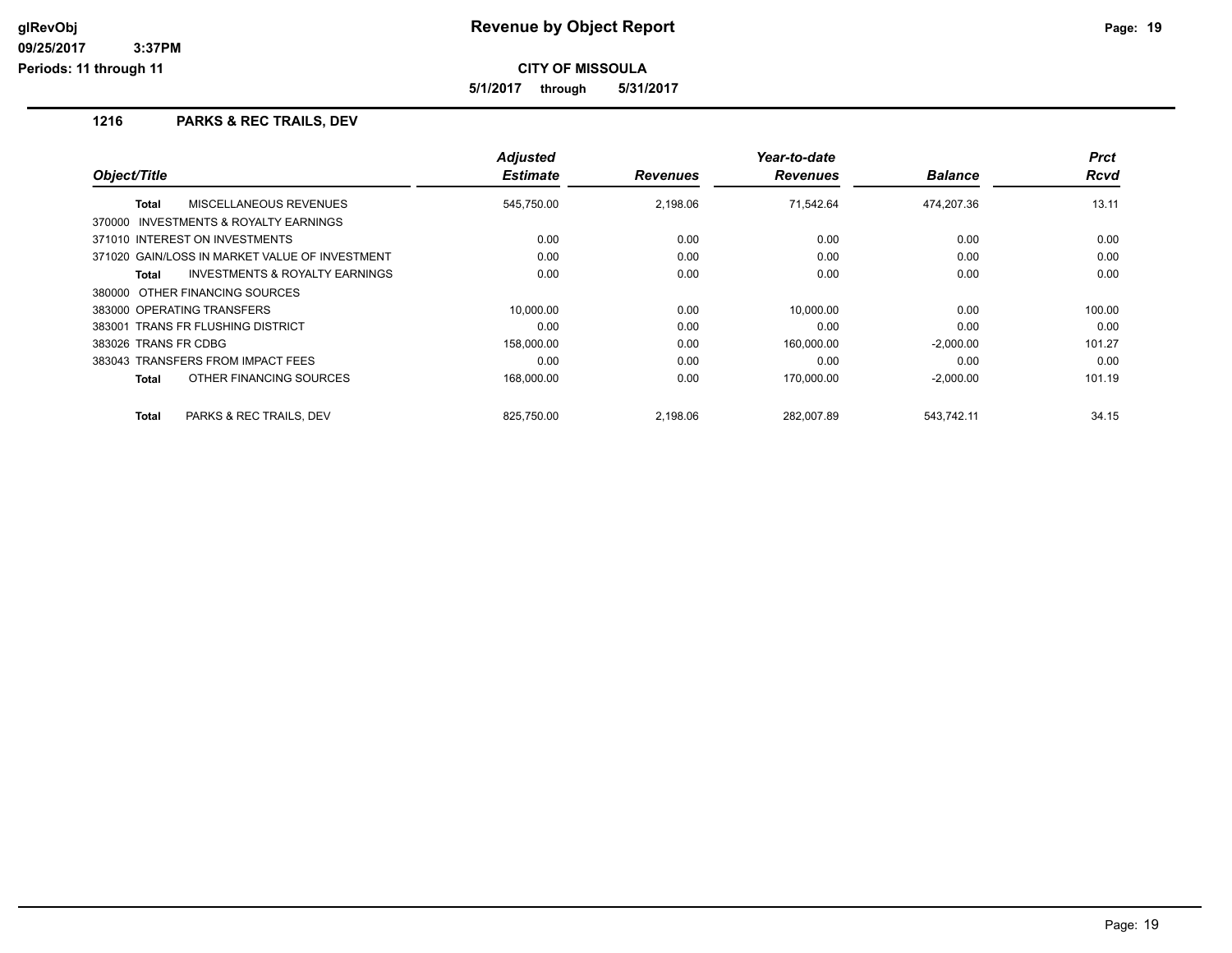**Periods: 11 through 11**

**CITY OF MISSOULA**

**5/1/2017 through 5/31/2017**

|                                                           | <b>Adjusted</b> |                 | Year-to-date    |                | <b>Prct</b> |
|-----------------------------------------------------------|-----------------|-----------------|-----------------|----------------|-------------|
| Object/Title                                              | <b>Estimate</b> | <b>Revenues</b> | <b>Revenues</b> | <b>Balance</b> | <b>Rcvd</b> |
| MISCELLANEOUS REVENUES<br><b>Total</b>                    | 545,750.00      | 2,198.06        | 71,542.64       | 474,207.36     | 13.11       |
| 370000 INVESTMENTS & ROYALTY EARNINGS                     |                 |                 |                 |                |             |
| 371010 INTEREST ON INVESTMENTS                            | 0.00            | 0.00            | 0.00            | 0.00           | 0.00        |
| 371020 GAIN/LOSS IN MARKET VALUE OF INVESTMENT            | 0.00            | 0.00            | 0.00            | 0.00           | 0.00        |
| <b>INVESTMENTS &amp; ROYALTY EARNINGS</b><br><b>Total</b> | 0.00            | 0.00            | 0.00            | 0.00           | 0.00        |
| 380000 OTHER FINANCING SOURCES                            |                 |                 |                 |                |             |
| 383000 OPERATING TRANSFERS                                | 10.000.00       | 0.00            | 10.000.00       | 0.00           | 100.00      |
| 383001 TRANS FR FLUSHING DISTRICT                         | 0.00            | 0.00            | 0.00            | 0.00           | 0.00        |
| 383026 TRANS FR CDBG                                      | 158,000.00      | 0.00            | 160,000.00      | $-2,000.00$    | 101.27      |
| 383043 TRANSFERS FROM IMPACT FEES                         | 0.00            | 0.00            | 0.00            | 0.00           | 0.00        |
| OTHER FINANCING SOURCES<br><b>Total</b>                   | 168,000.00      | 0.00            | 170,000.00      | $-2.000.00$    | 101.19      |
| PARKS & REC TRAILS, DEV<br><b>Total</b>                   | 825.750.00      | 2.198.06        | 282.007.89      | 543.742.11     | 34.15       |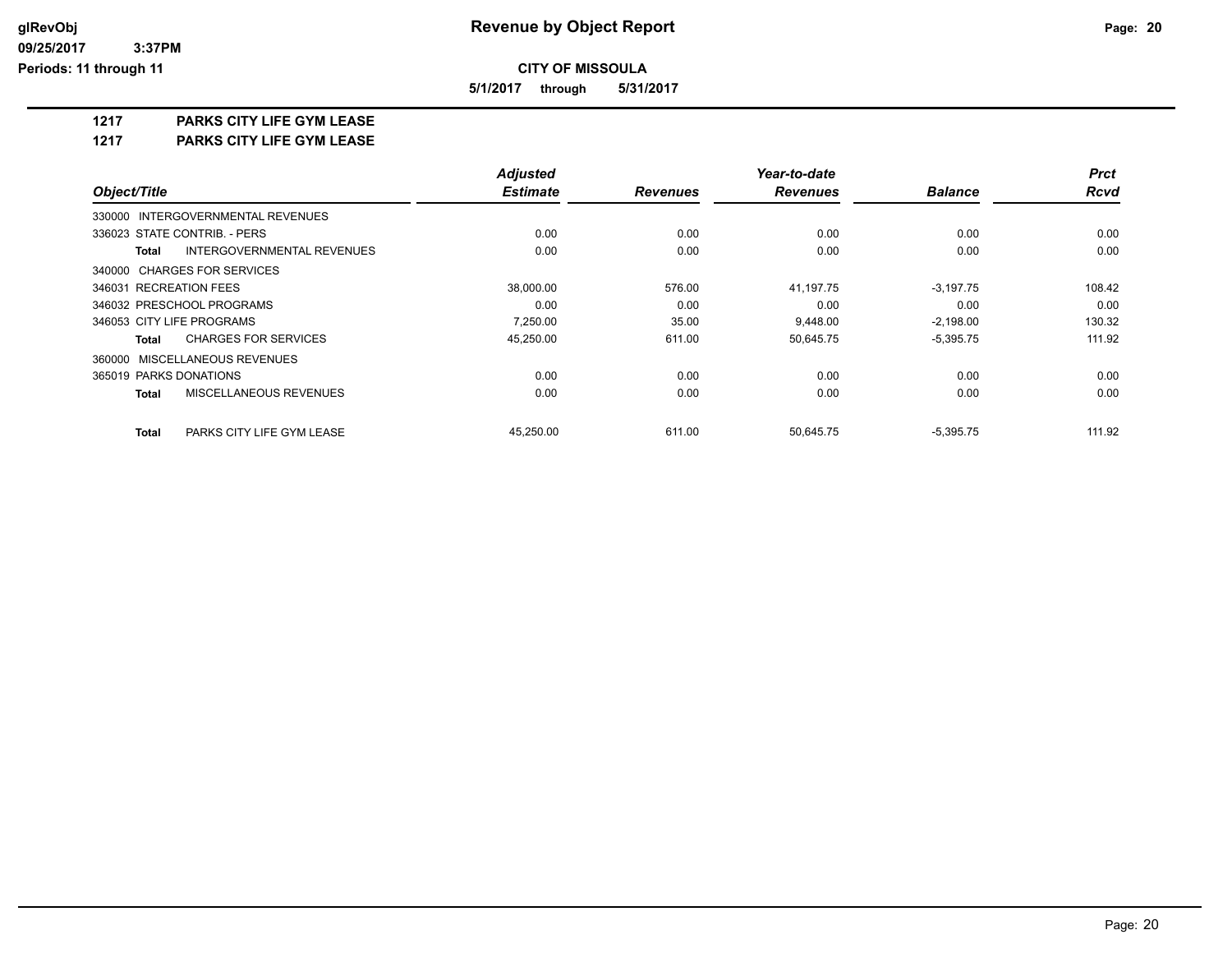**5/1/2017 through 5/31/2017**

### **1217 PARKS CITY LIFE GYM LEASE**

**1217 PARKS CITY LIFE GYM LEASE**

|                                             | <b>Adjusted</b> |                 | Year-to-date    |                | <b>Prct</b> |
|---------------------------------------------|-----------------|-----------------|-----------------|----------------|-------------|
| Object/Title                                | <b>Estimate</b> | <b>Revenues</b> | <b>Revenues</b> | <b>Balance</b> | <b>Rcvd</b> |
| 330000 INTERGOVERNMENTAL REVENUES           |                 |                 |                 |                |             |
| 336023 STATE CONTRIB. - PERS                | 0.00            | 0.00            | 0.00            | 0.00           | 0.00        |
| INTERGOVERNMENTAL REVENUES<br><b>Total</b>  | 0.00            | 0.00            | 0.00            | 0.00           | 0.00        |
| 340000 CHARGES FOR SERVICES                 |                 |                 |                 |                |             |
| 346031 RECREATION FEES                      | 38,000.00       | 576.00          | 41,197.75       | $-3,197.75$    | 108.42      |
| 346032 PRESCHOOL PROGRAMS                   | 0.00            | 0.00            | 0.00            | 0.00           | 0.00        |
| 346053 CITY LIFE PROGRAMS                   | 7.250.00        | 35.00           | 9,448.00        | $-2,198.00$    | 130.32      |
| <b>CHARGES FOR SERVICES</b><br><b>Total</b> | 45,250.00       | 611.00          | 50,645.75       | $-5,395.75$    | 111.92      |
| 360000 MISCELLANEOUS REVENUES               |                 |                 |                 |                |             |
| 365019 PARKS DONATIONS                      | 0.00            | 0.00            | 0.00            | 0.00           | 0.00        |
| MISCELLANEOUS REVENUES<br><b>Total</b>      | 0.00            | 0.00            | 0.00            | 0.00           | 0.00        |
| PARKS CITY LIFE GYM LEASE<br><b>Total</b>   | 45.250.00       | 611.00          | 50.645.75       | $-5,395.75$    | 111.92      |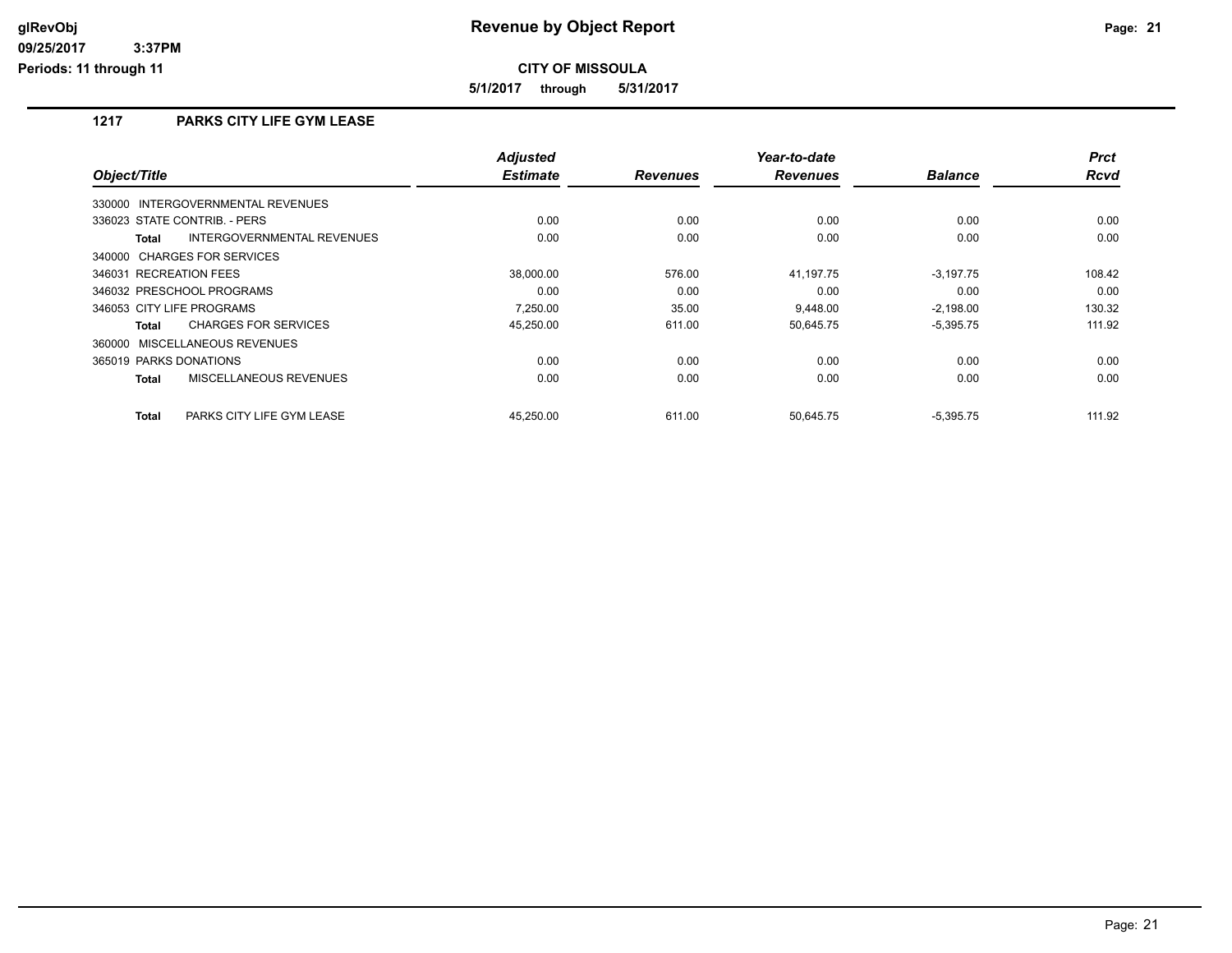**5/1/2017 through 5/31/2017**

### **1217 PARKS CITY LIFE GYM LEASE**

| Object/Title                                      | <b>Adjusted</b><br><b>Estimate</b> | <b>Revenues</b> | Year-to-date<br><b>Revenues</b> | <b>Balance</b> | <b>Prct</b><br><b>Rcvd</b> |
|---------------------------------------------------|------------------------------------|-----------------|---------------------------------|----------------|----------------------------|
| INTERGOVERNMENTAL REVENUES<br>330000              |                                    |                 |                                 |                |                            |
| 336023 STATE CONTRIB. - PERS                      | 0.00                               | 0.00            | 0.00                            | 0.00           | 0.00                       |
| <b>INTERGOVERNMENTAL REVENUES</b><br><b>Total</b> | 0.00                               | 0.00            | 0.00                            | 0.00           | 0.00                       |
| 340000 CHARGES FOR SERVICES                       |                                    |                 |                                 |                |                            |
| 346031 RECREATION FEES                            | 38.000.00                          | 576.00          | 41.197.75                       | $-3,197.75$    | 108.42                     |
| 346032 PRESCHOOL PROGRAMS                         | 0.00                               | 0.00            | 0.00                            | 0.00           | 0.00                       |
| 346053 CITY LIFE PROGRAMS                         | 7.250.00                           | 35.00           | 9.448.00                        | $-2,198.00$    | 130.32                     |
| <b>CHARGES FOR SERVICES</b><br><b>Total</b>       | 45,250.00                          | 611.00          | 50,645.75                       | $-5,395.75$    | 111.92                     |
| 360000 MISCELLANEOUS REVENUES                     |                                    |                 |                                 |                |                            |
| 365019 PARKS DONATIONS                            | 0.00                               | 0.00            | 0.00                            | 0.00           | 0.00                       |
| <b>MISCELLANEOUS REVENUES</b><br><b>Total</b>     | 0.00                               | 0.00            | 0.00                            | 0.00           | 0.00                       |
|                                                   |                                    |                 |                                 |                |                            |
| PARKS CITY LIFE GYM LEASE<br><b>Total</b>         | 45.250.00                          | 611.00          | 50.645.75                       | $-5,395.75$    | 111.92                     |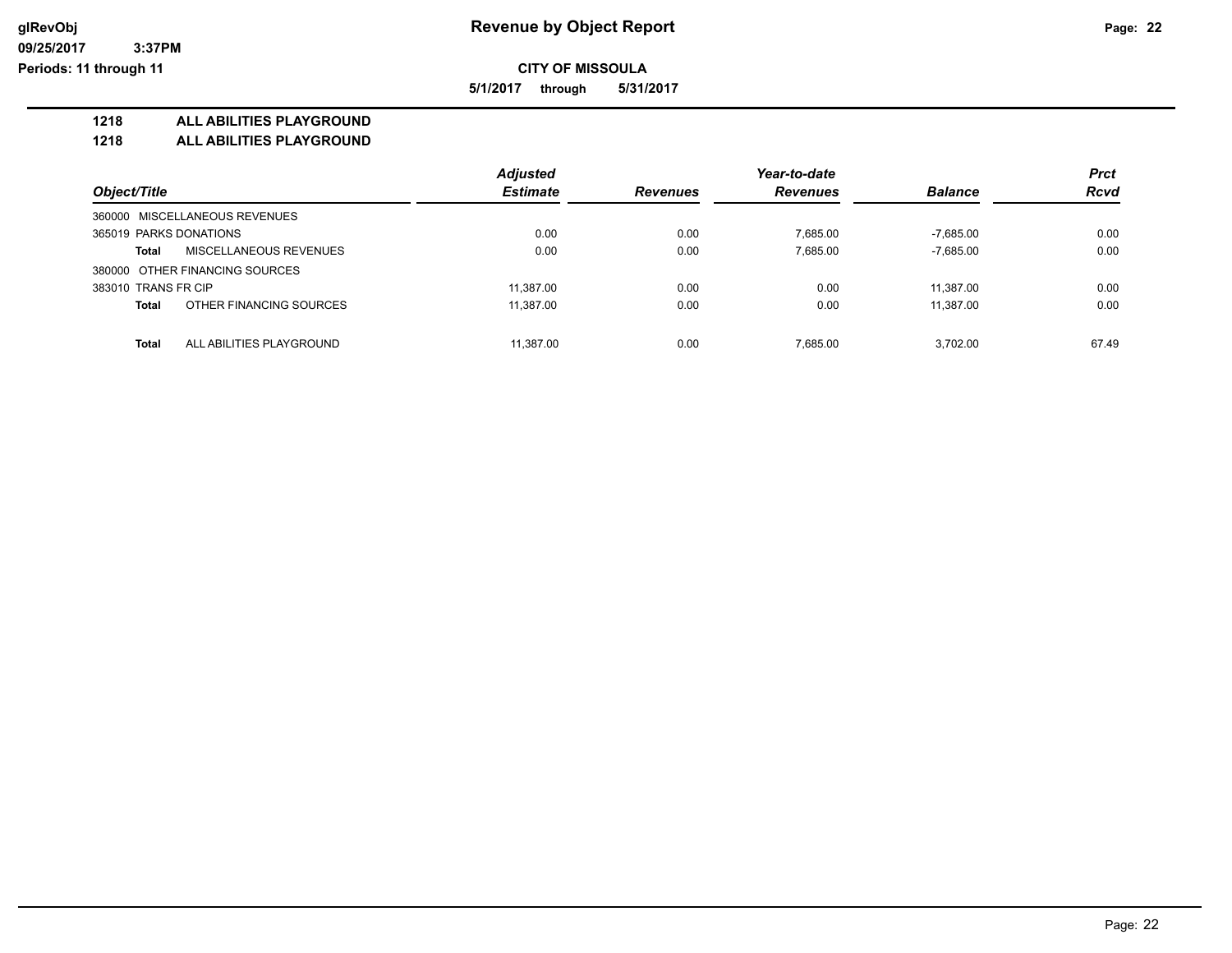**5/1/2017 through 5/31/2017**

#### **1218 ALL ABILITIES PLAYGROUND**

**1218 ALL ABILITIES PLAYGROUND**

|                                          | <b>Adjusted</b> |                 | Year-to-date    |                | <b>Prct</b> |
|------------------------------------------|-----------------|-----------------|-----------------|----------------|-------------|
| Object/Title                             | <b>Estimate</b> | <b>Revenues</b> | <b>Revenues</b> | <b>Balance</b> | <b>Rcvd</b> |
| 360000 MISCELLANEOUS REVENUES            |                 |                 |                 |                |             |
| 365019 PARKS DONATIONS                   | 0.00            | 0.00            | 7,685.00        | $-7.685.00$    | 0.00        |
| MISCELLANEOUS REVENUES<br>Total          | 0.00            | 0.00            | 7,685.00        | $-7.685.00$    | 0.00        |
| 380000 OTHER FINANCING SOURCES           |                 |                 |                 |                |             |
| 383010 TRANS FR CIP                      | 11.387.00       | 0.00            | 0.00            | 11.387.00      | 0.00        |
| OTHER FINANCING SOURCES<br><b>Total</b>  | 11,387.00       | 0.00            | 0.00            | 11.387.00      | 0.00        |
|                                          |                 |                 |                 |                |             |
| ALL ABILITIES PLAYGROUND<br><b>Total</b> | 11.387.00       | 0.00            | 7.685.00        | 3,702.00       | 67.49       |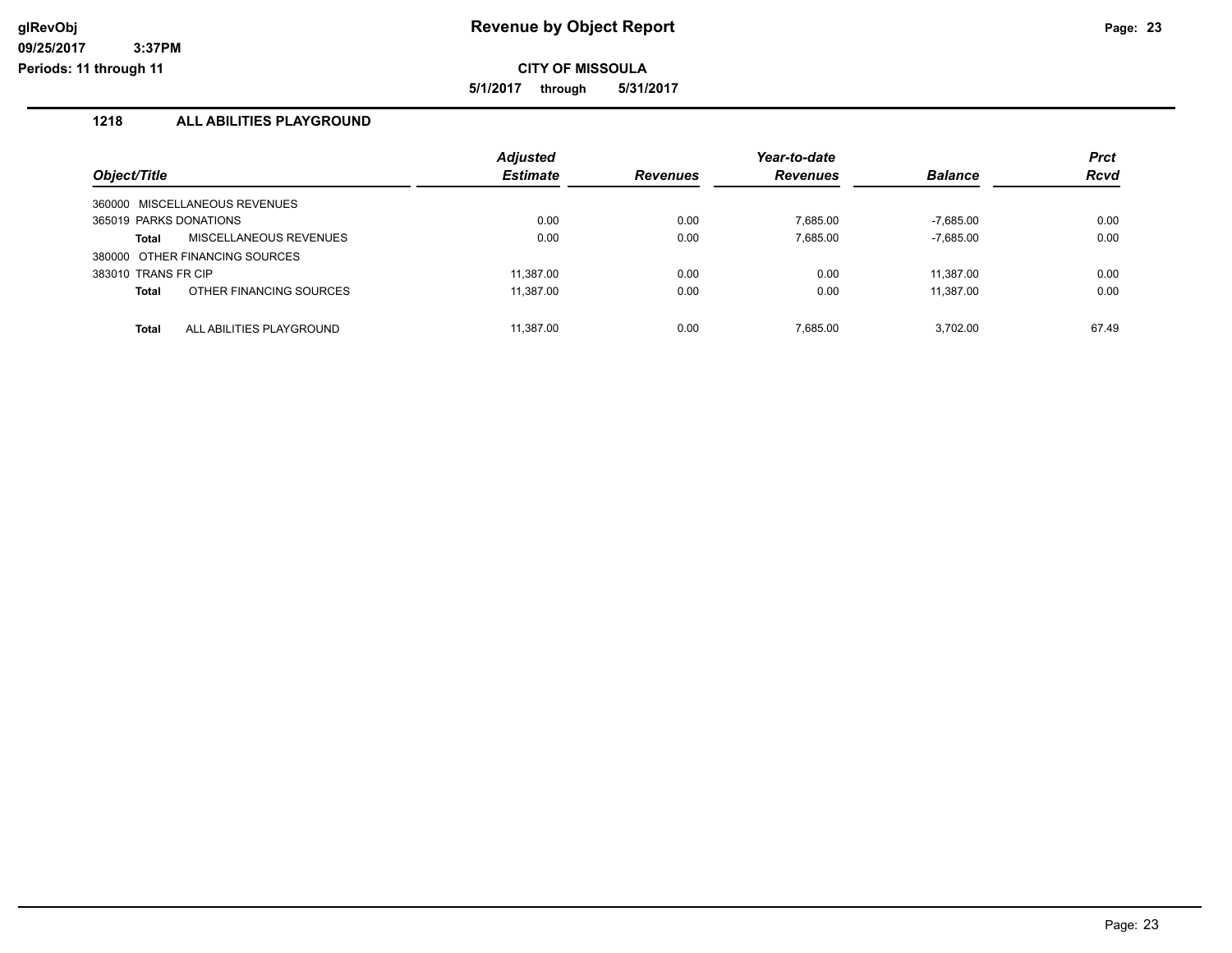**Periods: 11 through 11**

**CITY OF MISSOULA**

**5/1/2017 through 5/31/2017**

### **1218 ALL ABILITIES PLAYGROUND**

 **3:37PM**

|                        |                                | <b>Adjusted</b> |                 | Year-to-date    |                | <b>Prct</b> |
|------------------------|--------------------------------|-----------------|-----------------|-----------------|----------------|-------------|
| Object/Title           |                                | <b>Estimate</b> | <b>Revenues</b> | <b>Revenues</b> | <b>Balance</b> | <b>Rcvd</b> |
| 360000                 | MISCELLANEOUS REVENUES         |                 |                 |                 |                |             |
| 365019 PARKS DONATIONS |                                | 0.00            | 0.00            | 7.685.00        | $-7.685.00$    | 0.00        |
| Total                  | <b>MISCELLANEOUS REVENUES</b>  | 0.00            | 0.00            | 7,685.00        | $-7,685.00$    | 0.00        |
|                        | 380000 OTHER FINANCING SOURCES |                 |                 |                 |                |             |
| 383010 TRANS FR CIP    |                                | 11,387.00       | 0.00            | 0.00            | 11,387.00      | 0.00        |
| <b>Total</b>           | OTHER FINANCING SOURCES        | 11,387.00       | 0.00            | 0.00            | 11,387.00      | 0.00        |
| Total                  | ALL ABILITIES PLAYGROUND       | 11.387.00       | 0.00            | 7.685.00        | 3.702.00       | 67.49       |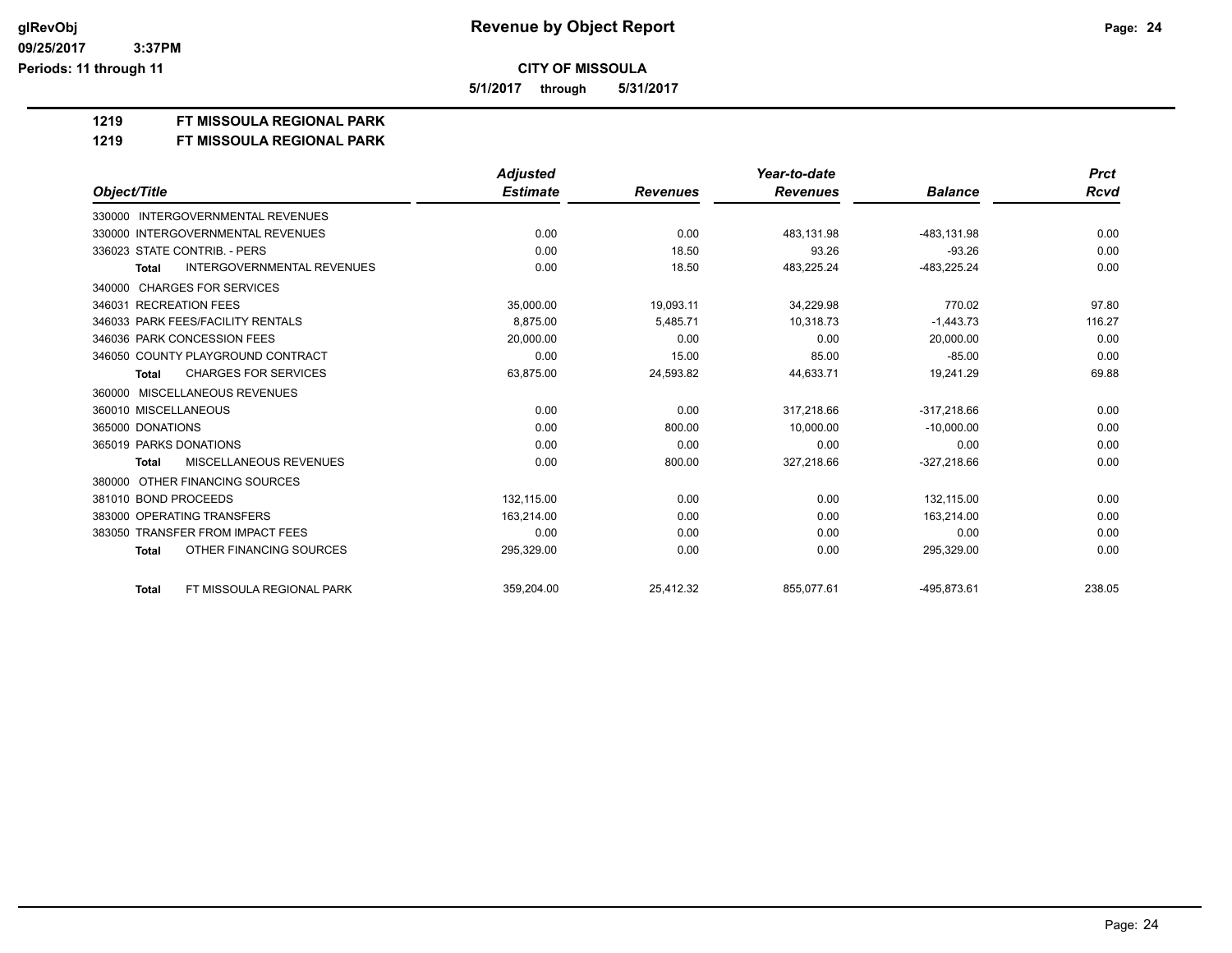**5/1/2017 through 5/31/2017**

#### **1219 FT MISSOULA REGIONAL PARK**

#### **1219 FT MISSOULA REGIONAL PARK**

|                                                   | Adjusted        |                 | Year-to-date    |                | <b>Prct</b> |
|---------------------------------------------------|-----------------|-----------------|-----------------|----------------|-------------|
| Object/Title                                      | <b>Estimate</b> | <b>Revenues</b> | <b>Revenues</b> | <b>Balance</b> | Rcvd        |
| 330000 INTERGOVERNMENTAL REVENUES                 |                 |                 |                 |                |             |
| 330000 INTERGOVERNMENTAL REVENUES                 | 0.00            | 0.00            | 483,131.98      | -483,131.98    | 0.00        |
| 336023 STATE CONTRIB. - PERS                      | 0.00            | 18.50           | 93.26           | $-93.26$       | 0.00        |
| <b>INTERGOVERNMENTAL REVENUES</b><br><b>Total</b> | 0.00            | 18.50           | 483,225.24      | -483,225.24    | 0.00        |
| 340000 CHARGES FOR SERVICES                       |                 |                 |                 |                |             |
| 346031 RECREATION FEES                            | 35,000.00       | 19,093.11       | 34,229.98       | 770.02         | 97.80       |
| 346033 PARK FEES/FACILITY RENTALS                 | 8.875.00        | 5,485.71        | 10,318.73       | $-1,443.73$    | 116.27      |
| 346036 PARK CONCESSION FEES                       | 20,000.00       | 0.00            | 0.00            | 20,000.00      | 0.00        |
| 346050 COUNTY PLAYGROUND CONTRACT                 | 0.00            | 15.00           | 85.00           | $-85.00$       | 0.00        |
| <b>CHARGES FOR SERVICES</b><br>Total              | 63,875.00       | 24,593.82       | 44,633.71       | 19,241.29      | 69.88       |
| MISCELLANEOUS REVENUES<br>360000                  |                 |                 |                 |                |             |
| 360010 MISCELLANEOUS                              | 0.00            | 0.00            | 317,218.66      | $-317,218.66$  | 0.00        |
| 365000 DONATIONS                                  | 0.00            | 800.00          | 10,000.00       | $-10,000.00$   | 0.00        |
| 365019 PARKS DONATIONS                            | 0.00            | 0.00            | 0.00            | 0.00           | 0.00        |
| MISCELLANEOUS REVENUES<br><b>Total</b>            | 0.00            | 800.00          | 327,218.66      | $-327,218.66$  | 0.00        |
| 380000 OTHER FINANCING SOURCES                    |                 |                 |                 |                |             |
| 381010 BOND PROCEEDS                              | 132,115.00      | 0.00            | 0.00            | 132.115.00     | 0.00        |
| 383000 OPERATING TRANSFERS                        | 163,214.00      | 0.00            | 0.00            | 163,214.00     | 0.00        |
| 383050 TRANSFER FROM IMPACT FEES                  | 0.00            | 0.00            | 0.00            | 0.00           | 0.00        |
| OTHER FINANCING SOURCES<br><b>Total</b>           | 295,329.00      | 0.00            | 0.00            | 295,329.00     | 0.00        |
| FT MISSOULA REGIONAL PARK<br><b>Total</b>         | 359.204.00      | 25.412.32       | 855.077.61      | -495.873.61    | 238.05      |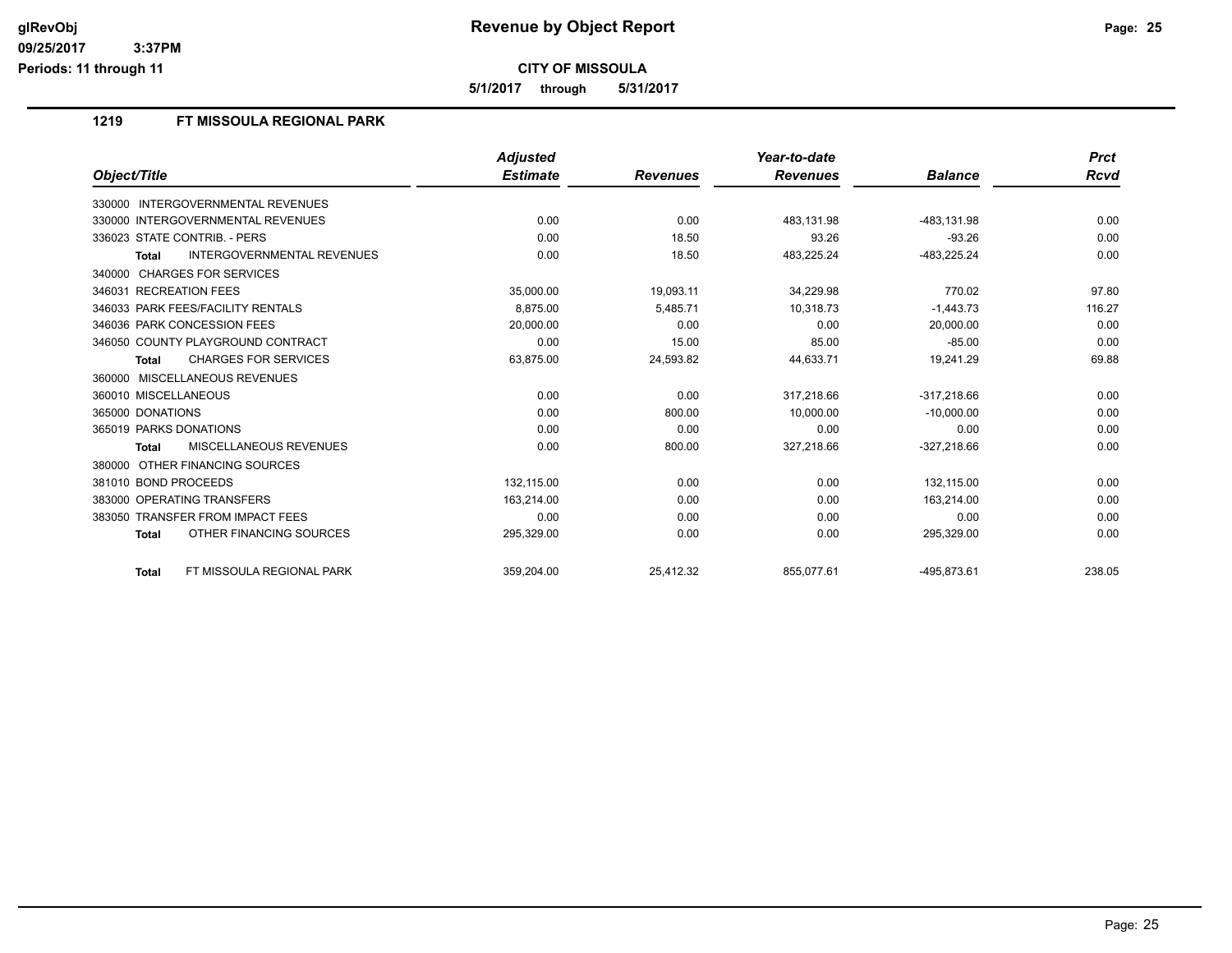**5/1/2017 through 5/31/2017**

### **1219 FT MISSOULA REGIONAL PARK**

|                                               | <b>Adjusted</b> |                 | Year-to-date    |                | <b>Prct</b> |
|-----------------------------------------------|-----------------|-----------------|-----------------|----------------|-------------|
| Object/Title                                  | <b>Estimate</b> | <b>Revenues</b> | <b>Revenues</b> | <b>Balance</b> | Rcvd        |
| 330000 INTERGOVERNMENTAL REVENUES             |                 |                 |                 |                |             |
| 330000 INTERGOVERNMENTAL REVENUES             | 0.00            | 0.00            | 483,131.98      | -483,131.98    | 0.00        |
| 336023 STATE CONTRIB. - PERS                  | 0.00            | 18.50           | 93.26           | $-93.26$       | 0.00        |
| <b>INTERGOVERNMENTAL REVENUES</b><br>Total    | 0.00            | 18.50           | 483,225.24      | $-483,225.24$  | 0.00        |
| 340000 CHARGES FOR SERVICES                   |                 |                 |                 |                |             |
| 346031 RECREATION FEES                        | 35.000.00       | 19,093.11       | 34,229.98       | 770.02         | 97.80       |
| 346033 PARK FEES/FACILITY RENTALS             | 8.875.00        | 5,485.71        | 10.318.73       | $-1,443.73$    | 116.27      |
| 346036 PARK CONCESSION FEES                   | 20,000.00       | 0.00            | 0.00            | 20,000.00      | 0.00        |
| 346050 COUNTY PLAYGROUND CONTRACT             | 0.00            | 15.00           | 85.00           | $-85.00$       | 0.00        |
| <b>CHARGES FOR SERVICES</b><br>Total          | 63,875.00       | 24,593.82       | 44,633.71       | 19,241.29      | 69.88       |
| 360000 MISCELLANEOUS REVENUES                 |                 |                 |                 |                |             |
| 360010 MISCELLANEOUS                          | 0.00            | 0.00            | 317,218.66      | $-317,218.66$  | 0.00        |
| 365000 DONATIONS                              | 0.00            | 800.00          | 10,000.00       | $-10,000.00$   | 0.00        |
| 365019 PARKS DONATIONS                        | 0.00            | 0.00            | 0.00            | 0.00           | 0.00        |
| <b>MISCELLANEOUS REVENUES</b><br><b>Total</b> | 0.00            | 800.00          | 327,218.66      | $-327,218.66$  | 0.00        |
| 380000 OTHER FINANCING SOURCES                |                 |                 |                 |                |             |
| 381010 BOND PROCEEDS                          | 132.115.00      | 0.00            | 0.00            | 132,115.00     | 0.00        |
| 383000 OPERATING TRANSFERS                    | 163,214.00      | 0.00            | 0.00            | 163,214.00     | 0.00        |
| 383050 TRANSFER FROM IMPACT FEES              | 0.00            | 0.00            | 0.00            | 0.00           | 0.00        |
| OTHER FINANCING SOURCES<br>Total              | 295,329.00      | 0.00            | 0.00            | 295,329.00     | 0.00        |
| FT MISSOULA REGIONAL PARK<br><b>Total</b>     | 359,204.00      | 25,412.32       | 855.077.61      | -495.873.61    | 238.05      |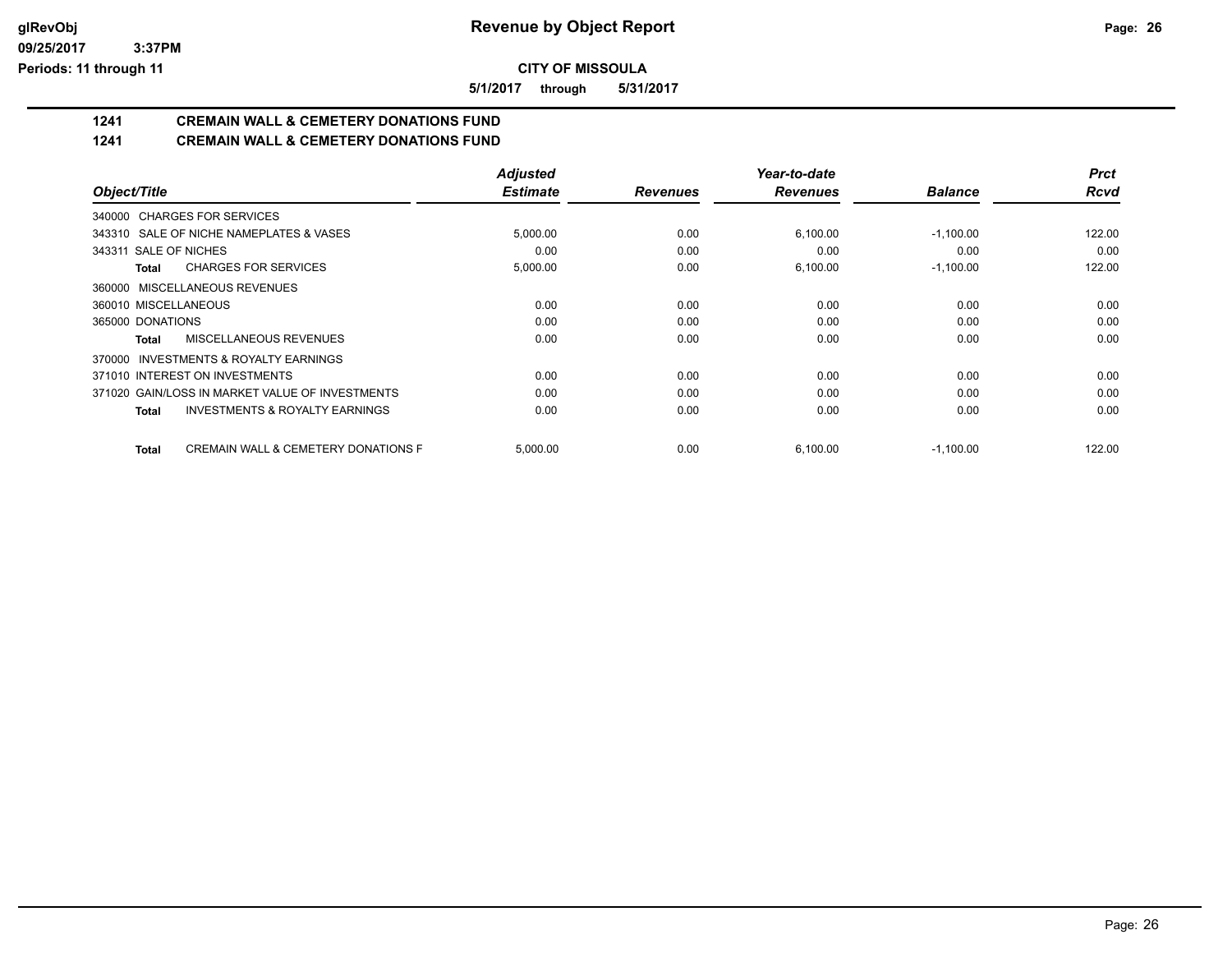**09/25/2017 3:37PM Periods: 11 through 11**

**CITY OF MISSOULA**

**5/1/2017 through 5/31/2017**

# **1241 CREMAIN WALL & CEMETERY DONATIONS FUND**

# **1241 CREMAIN WALL & CEMETERY DONATIONS FUND**

|                                                           | <b>Adjusted</b> |                 | Year-to-date    |                | <b>Prct</b> |
|-----------------------------------------------------------|-----------------|-----------------|-----------------|----------------|-------------|
| Object/Title                                              | <b>Estimate</b> | <b>Revenues</b> | <b>Revenues</b> | <b>Balance</b> | <b>Rcvd</b> |
| <b>CHARGES FOR SERVICES</b><br>340000                     |                 |                 |                 |                |             |
| 343310 SALE OF NICHE NAMEPLATES & VASES                   | 5,000.00        | 0.00            | 6,100.00        | $-1,100.00$    | 122.00      |
| 343311 SALE OF NICHES                                     | 0.00            | 0.00            | 0.00            | 0.00           | 0.00        |
| <b>CHARGES FOR SERVICES</b><br>Total                      | 5,000.00        | 0.00            | 6,100.00        | $-1,100.00$    | 122.00      |
| 360000 MISCELLANEOUS REVENUES                             |                 |                 |                 |                |             |
| 360010 MISCELLANEOUS                                      | 0.00            | 0.00            | 0.00            | 0.00           | 0.00        |
| 365000 DONATIONS                                          | 0.00            | 0.00            | 0.00            | 0.00           | 0.00        |
| <b>MISCELLANEOUS REVENUES</b><br><b>Total</b>             | 0.00            | 0.00            | 0.00            | 0.00           | 0.00        |
| 370000 INVESTMENTS & ROYALTY EARNINGS                     |                 |                 |                 |                |             |
| 371010 INTEREST ON INVESTMENTS                            | 0.00            | 0.00            | 0.00            | 0.00           | 0.00        |
| 371020 GAIN/LOSS IN MARKET VALUE OF INVESTMENTS           | 0.00            | 0.00            | 0.00            | 0.00           | 0.00        |
| <b>INVESTMENTS &amp; ROYALTY EARNINGS</b><br><b>Total</b> | 0.00            | 0.00            | 0.00            | 0.00           | 0.00        |
| CREMAIN WALL & CEMETERY DONATIONS F<br>Total              | 5,000.00        | 0.00            | 6,100.00        | $-1,100.00$    | 122.00      |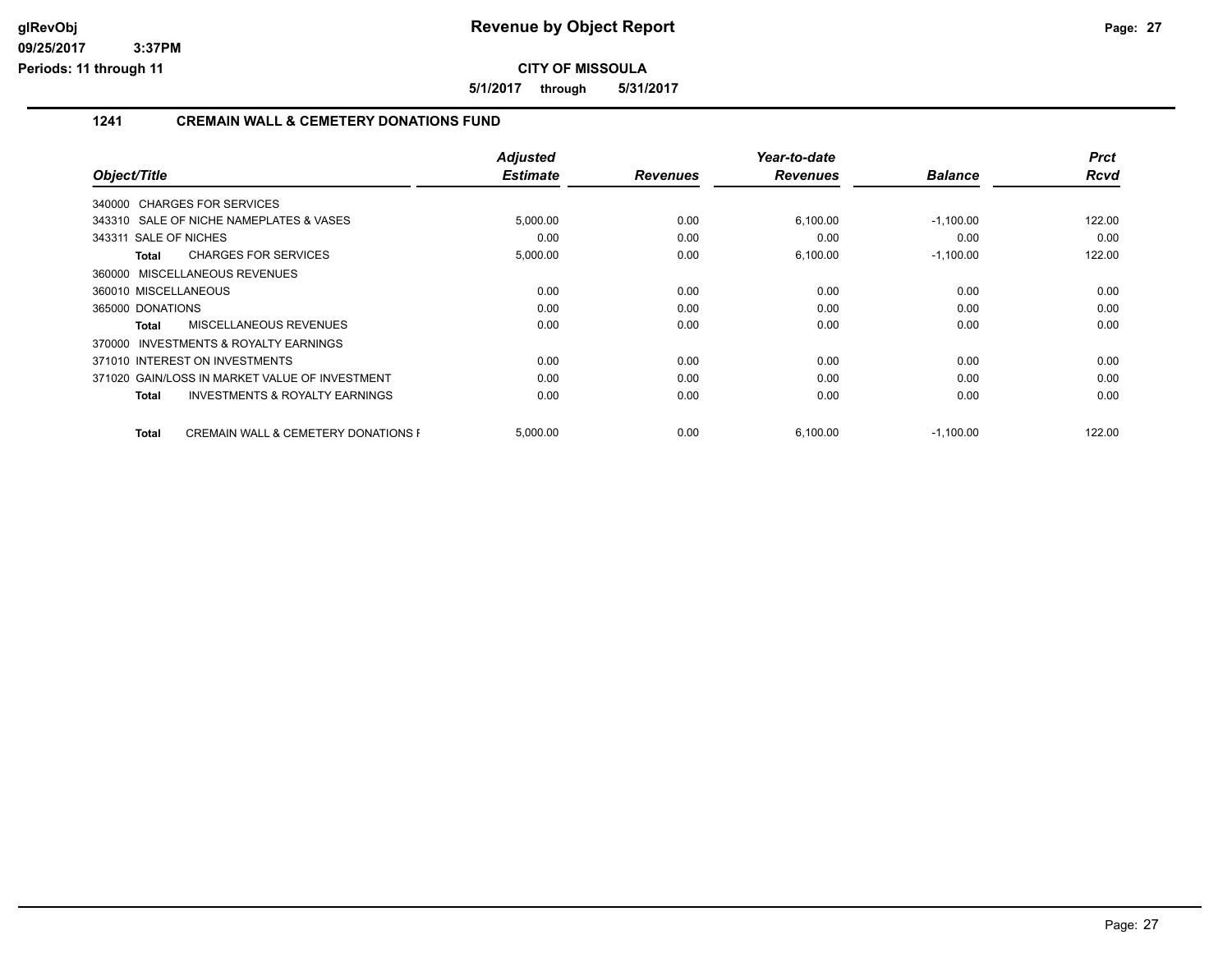**5/1/2017 through 5/31/2017**

#### **1241 CREMAIN WALL & CEMETERY DONATIONS FUND**

|                                                           | Adjusted        |                 | Year-to-date    |                | <b>Prct</b> |
|-----------------------------------------------------------|-----------------|-----------------|-----------------|----------------|-------------|
| Object/Title                                              | <b>Estimate</b> | <b>Revenues</b> | <b>Revenues</b> | <b>Balance</b> | <b>Rcvd</b> |
| 340000 CHARGES FOR SERVICES                               |                 |                 |                 |                |             |
| 343310 SALE OF NICHE NAMEPLATES & VASES                   | 5,000.00        | 0.00            | 6,100.00        | $-1,100.00$    | 122.00      |
| 343311 SALE OF NICHES                                     | 0.00            | 0.00            | 0.00            | 0.00           | 0.00        |
| <b>CHARGES FOR SERVICES</b><br>Total                      | 5,000.00        | 0.00            | 6,100.00        | $-1,100.00$    | 122.00      |
| 360000 MISCELLANEOUS REVENUES                             |                 |                 |                 |                |             |
| 360010 MISCELLANEOUS                                      | 0.00            | 0.00            | 0.00            | 0.00           | 0.00        |
| 365000 DONATIONS                                          | 0.00            | 0.00            | 0.00            | 0.00           | 0.00        |
| MISCELLANEOUS REVENUES<br>Total                           | 0.00            | 0.00            | 0.00            | 0.00           | 0.00        |
| INVESTMENTS & ROYALTY EARNINGS<br>370000                  |                 |                 |                 |                |             |
| 371010 INTEREST ON INVESTMENTS                            | 0.00            | 0.00            | 0.00            | 0.00           | 0.00        |
| 371020 GAIN/LOSS IN MARKET VALUE OF INVESTMENT            | 0.00            | 0.00            | 0.00            | 0.00           | 0.00        |
| <b>INVESTMENTS &amp; ROYALTY EARNINGS</b><br><b>Total</b> | 0.00            | 0.00            | 0.00            | 0.00           | 0.00        |
| <b>CREMAIN WALL &amp; CEMETERY DONATIONS F</b><br>Total   | 5,000.00        | 0.00            | 6,100.00        | $-1,100.00$    | 122.00      |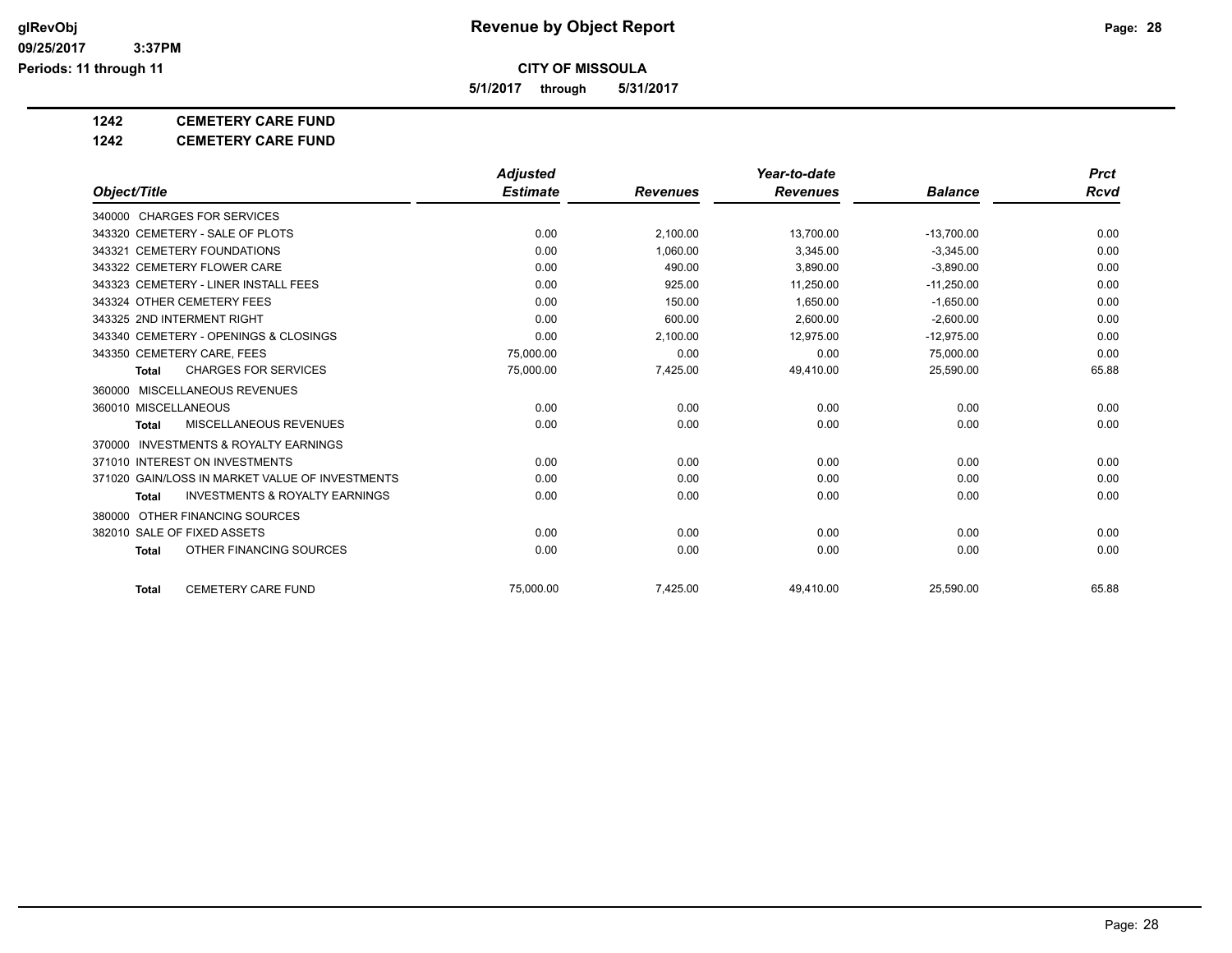**5/1/2017 through 5/31/2017**

#### **1242 CEMETERY CARE FUND**

**1242 CEMETERY CARE FUND**

|                                                           | <b>Adjusted</b> |                 | Year-to-date    |                | <b>Prct</b> |
|-----------------------------------------------------------|-----------------|-----------------|-----------------|----------------|-------------|
| Object/Title                                              | <b>Estimate</b> | <b>Revenues</b> | <b>Revenues</b> | <b>Balance</b> | Rcvd        |
| 340000 CHARGES FOR SERVICES                               |                 |                 |                 |                |             |
| 343320 CEMETERY - SALE OF PLOTS                           | 0.00            | 2,100.00        | 13,700.00       | $-13,700.00$   | 0.00        |
| 343321 CEMETERY FOUNDATIONS                               | 0.00            | 1.060.00        | 3.345.00        | $-3.345.00$    | 0.00        |
| 343322 CEMETERY FLOWER CARE                               | 0.00            | 490.00          | 3.890.00        | $-3.890.00$    | 0.00        |
| 343323 CEMETERY - LINER INSTALL FEES                      | 0.00            | 925.00          | 11,250.00       | $-11,250.00$   | 0.00        |
| 343324 OTHER CEMETERY FEES                                | 0.00            | 150.00          | 1.650.00        | $-1.650.00$    | 0.00        |
| 343325 2ND INTERMENT RIGHT                                | 0.00            | 600.00          | 2.600.00        | $-2.600.00$    | 0.00        |
| 343340 CEMETERY - OPENINGS & CLOSINGS                     | 0.00            | 2,100.00        | 12,975.00       | $-12,975.00$   | 0.00        |
| 343350 CEMETERY CARE, FEES                                | 75.000.00       | 0.00            | 0.00            | 75,000.00      | 0.00        |
| <b>CHARGES FOR SERVICES</b><br><b>Total</b>               | 75,000.00       | 7,425.00        | 49,410.00       | 25,590.00      | 65.88       |
| 360000 MISCELLANEOUS REVENUES                             |                 |                 |                 |                |             |
| 360010 MISCELLANEOUS                                      | 0.00            | 0.00            | 0.00            | 0.00           | 0.00        |
| MISCELLANEOUS REVENUES<br><b>Total</b>                    | 0.00            | 0.00            | 0.00            | 0.00           | 0.00        |
| INVESTMENTS & ROYALTY EARNINGS<br>370000                  |                 |                 |                 |                |             |
| 371010 INTEREST ON INVESTMENTS                            | 0.00            | 0.00            | 0.00            | 0.00           | 0.00        |
| 371020 GAIN/LOSS IN MARKET VALUE OF INVESTMENTS           | 0.00            | 0.00            | 0.00            | 0.00           | 0.00        |
| <b>INVESTMENTS &amp; ROYALTY EARNINGS</b><br><b>Total</b> | 0.00            | 0.00            | 0.00            | 0.00           | 0.00        |
| 380000 OTHER FINANCING SOURCES                            |                 |                 |                 |                |             |
| 382010 SALE OF FIXED ASSETS                               | 0.00            | 0.00            | 0.00            | 0.00           | 0.00        |
| OTHER FINANCING SOURCES<br><b>Total</b>                   | 0.00            | 0.00            | 0.00            | 0.00           | 0.00        |
| <b>CEMETERY CARE FUND</b><br><b>Total</b>                 | 75.000.00       | 7.425.00        | 49.410.00       | 25.590.00      | 65.88       |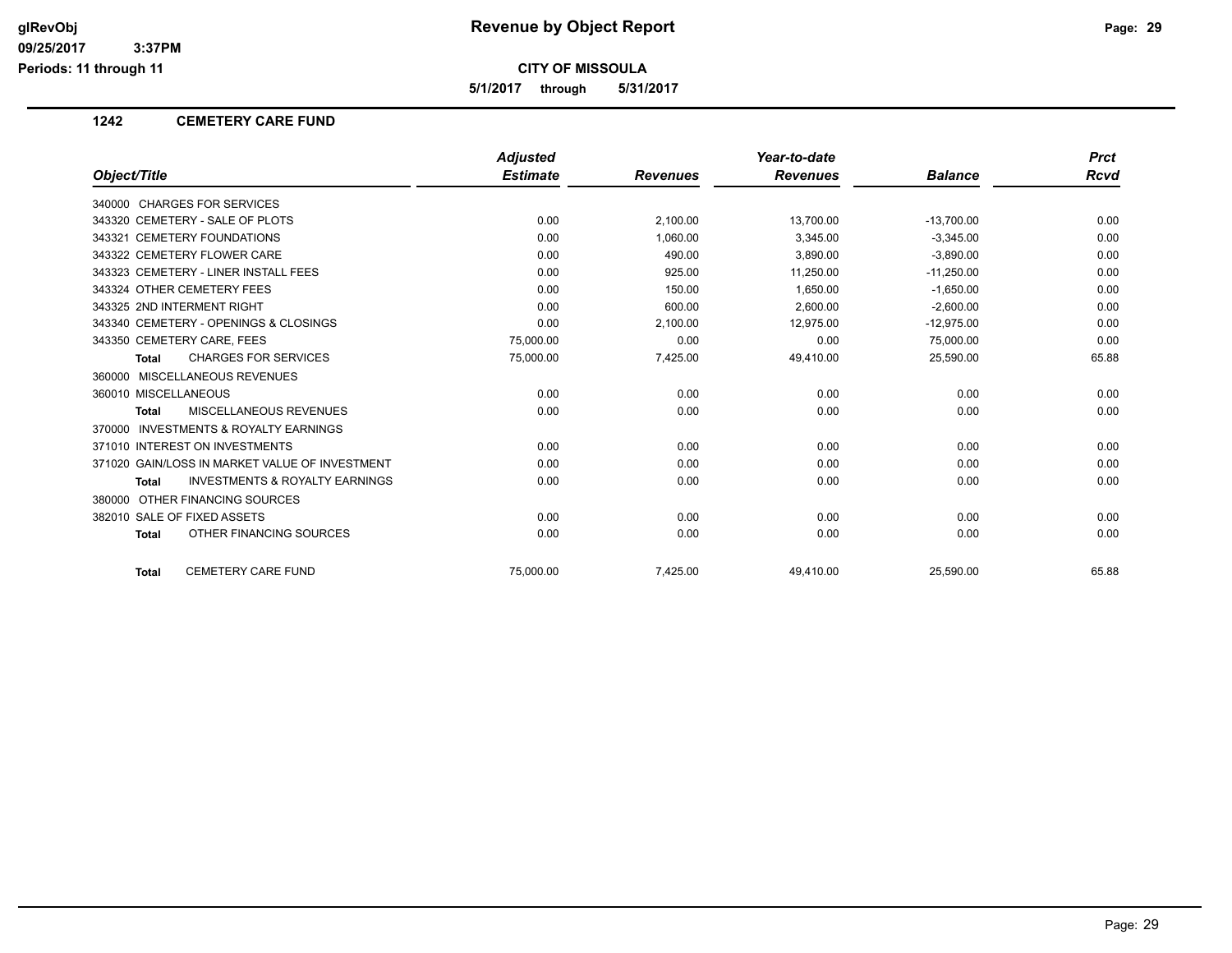**5/1/2017 through 5/31/2017**

#### **1242 CEMETERY CARE FUND**

|                                                           | <b>Adjusted</b> |                 | Year-to-date    |                | <b>Prct</b> |
|-----------------------------------------------------------|-----------------|-----------------|-----------------|----------------|-------------|
| Object/Title                                              | <b>Estimate</b> | <b>Revenues</b> | <b>Revenues</b> | <b>Balance</b> | Rcvd        |
| 340000 CHARGES FOR SERVICES                               |                 |                 |                 |                |             |
| 343320 CEMETERY - SALE OF PLOTS                           | 0.00            | 2,100.00        | 13,700.00       | $-13,700.00$   | 0.00        |
| 343321 CEMETERY FOUNDATIONS                               | 0.00            | 1.060.00        | 3,345.00        | $-3,345.00$    | 0.00        |
| 343322 CEMETERY FLOWER CARE                               | 0.00            | 490.00          | 3,890.00        | $-3,890.00$    | 0.00        |
| 343323 CEMETERY - LINER INSTALL FEES                      | 0.00            | 925.00          | 11,250.00       | $-11,250.00$   | 0.00        |
| 343324 OTHER CEMETERY FEES                                | 0.00            | 150.00          | 1.650.00        | $-1,650.00$    | 0.00        |
| 343325 2ND INTERMENT RIGHT                                | 0.00            | 600.00          | 2,600.00        | $-2,600.00$    | 0.00        |
| 343340 CEMETERY - OPENINGS & CLOSINGS                     | 0.00            | 2,100.00        | 12.975.00       | $-12,975.00$   | 0.00        |
| 343350 CEMETERY CARE, FEES                                | 75.000.00       | 0.00            | 0.00            | 75,000.00      | 0.00        |
| <b>CHARGES FOR SERVICES</b><br><b>Total</b>               | 75,000.00       | 7,425.00        | 49,410.00       | 25,590.00      | 65.88       |
| 360000 MISCELLANEOUS REVENUES                             |                 |                 |                 |                |             |
| 360010 MISCELLANEOUS                                      | 0.00            | 0.00            | 0.00            | 0.00           | 0.00        |
| <b>MISCELLANEOUS REVENUES</b><br><b>Total</b>             | 0.00            | 0.00            | 0.00            | 0.00           | 0.00        |
| 370000 INVESTMENTS & ROYALTY EARNINGS                     |                 |                 |                 |                |             |
| 371010 INTEREST ON INVESTMENTS                            | 0.00            | 0.00            | 0.00            | 0.00           | 0.00        |
| 371020 GAIN/LOSS IN MARKET VALUE OF INVESTMENT            | 0.00            | 0.00            | 0.00            | 0.00           | 0.00        |
| <b>INVESTMENTS &amp; ROYALTY EARNINGS</b><br><b>Total</b> | 0.00            | 0.00            | 0.00            | 0.00           | 0.00        |
| 380000 OTHER FINANCING SOURCES                            |                 |                 |                 |                |             |
| 382010 SALE OF FIXED ASSETS                               | 0.00            | 0.00            | 0.00            | 0.00           | 0.00        |
| OTHER FINANCING SOURCES<br><b>Total</b>                   | 0.00            | 0.00            | 0.00            | 0.00           | 0.00        |
| <b>CEMETERY CARE FUND</b><br><b>Total</b>                 | 75.000.00       | 7,425.00        | 49.410.00       | 25,590.00      | 65.88       |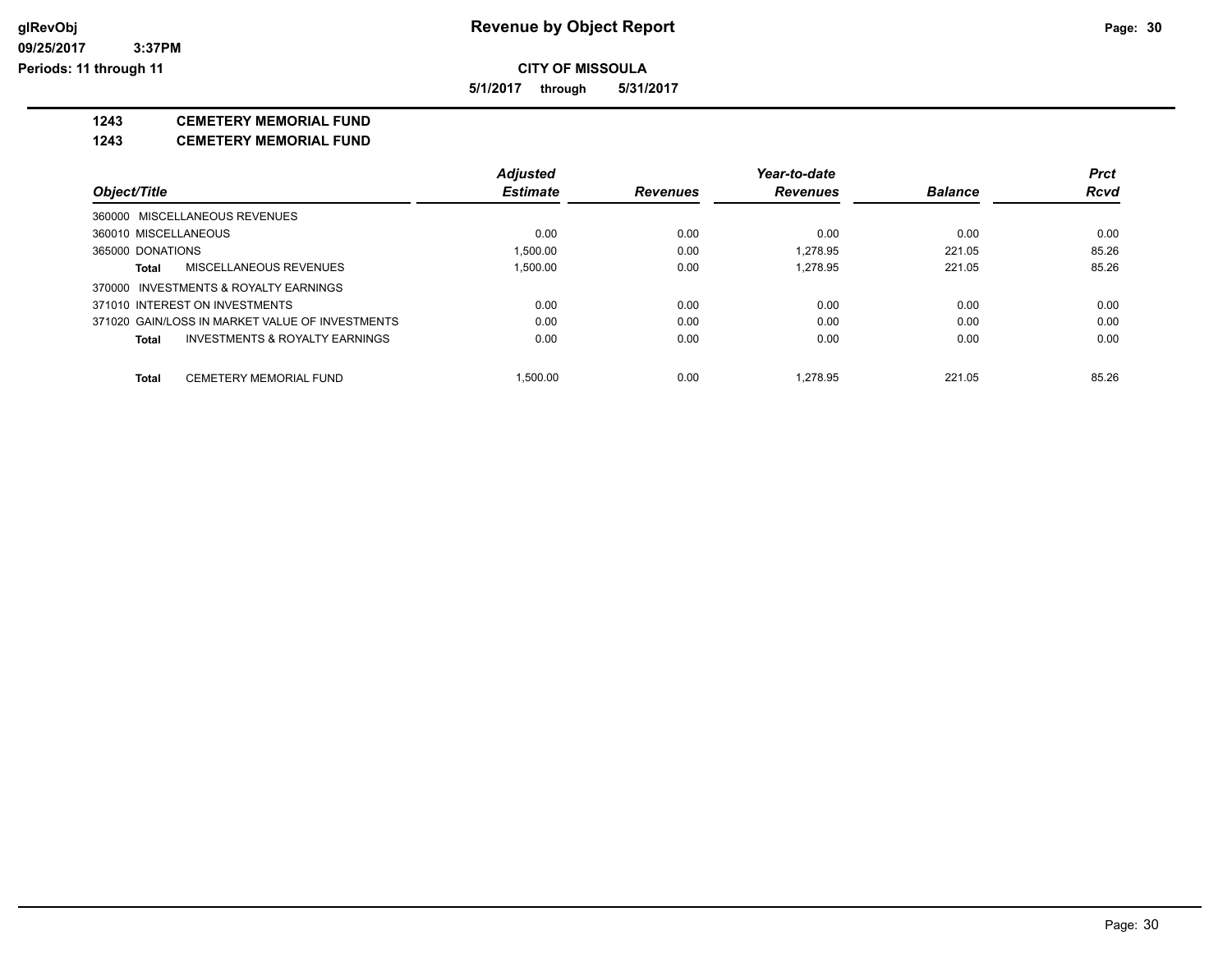**5/1/2017 through 5/31/2017**

**1243 CEMETERY MEMORIAL FUND**

**1243 CEMETERY MEMORIAL FUND**

|                                       |                                                 | <b>Adjusted</b> |                 | Year-to-date    |                | <b>Prct</b> |
|---------------------------------------|-------------------------------------------------|-----------------|-----------------|-----------------|----------------|-------------|
| Object/Title                          |                                                 | <b>Estimate</b> | <b>Revenues</b> | <b>Revenues</b> | <b>Balance</b> | <b>Rcvd</b> |
| 360000 MISCELLANEOUS REVENUES         |                                                 |                 |                 |                 |                |             |
| 360010 MISCELLANEOUS                  |                                                 | 0.00            | 0.00            | 0.00            | 0.00           | 0.00        |
| 365000 DONATIONS                      |                                                 | 1,500.00        | 0.00            | 1.278.95        | 221.05         | 85.26       |
| Total                                 | MISCELLANEOUS REVENUES                          | 1.500.00        | 0.00            | 1.278.95        | 221.05         | 85.26       |
| 370000 INVESTMENTS & ROYALTY EARNINGS |                                                 |                 |                 |                 |                |             |
| 371010 INTEREST ON INVESTMENTS        |                                                 | 0.00            | 0.00            | 0.00            | 0.00           | 0.00        |
|                                       | 371020 GAIN/LOSS IN MARKET VALUE OF INVESTMENTS | 0.00            | 0.00            | 0.00            | 0.00           | 0.00        |
| Total                                 | <b>INVESTMENTS &amp; ROYALTY EARNINGS</b>       | 0.00            | 0.00            | 0.00            | 0.00           | 0.00        |
| Total                                 | <b>CEMETERY MEMORIAL FUND</b>                   | 1.500.00        | 0.00            | 1.278.95        | 221.05         | 85.26       |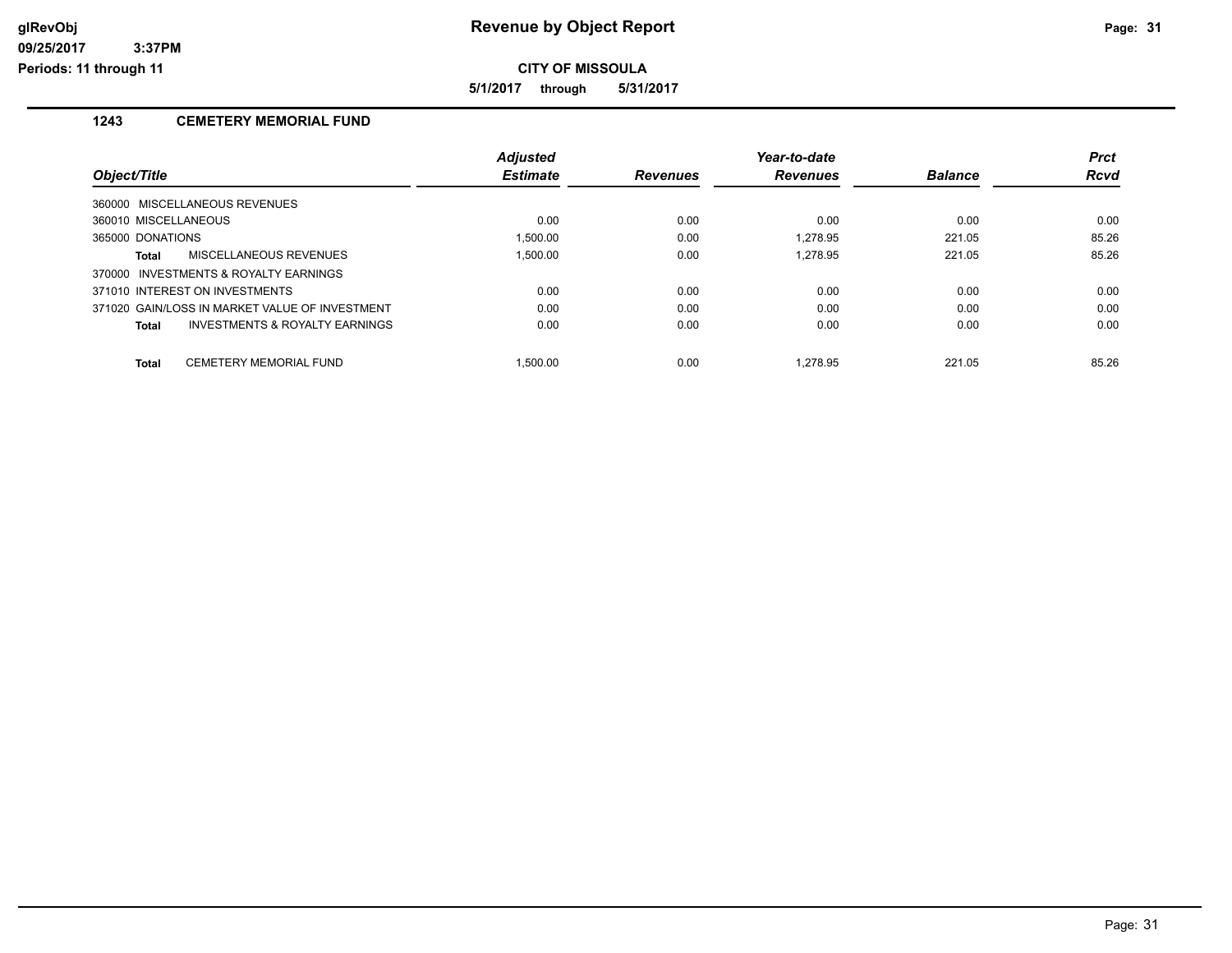**Periods: 11 through 11**

**CITY OF MISSOULA**

**5/1/2017 through 5/31/2017**

### **1243 CEMETERY MEMORIAL FUND**

 **3:37PM**

|                      |                                                | <b>Adjusted</b> |                 | Year-to-date    |                | <b>Prct</b> |
|----------------------|------------------------------------------------|-----------------|-----------------|-----------------|----------------|-------------|
| Object/Title         |                                                | <b>Estimate</b> | <b>Revenues</b> | <b>Revenues</b> | <b>Balance</b> | <b>Rcvd</b> |
|                      | 360000 MISCELLANEOUS REVENUES                  |                 |                 |                 |                |             |
| 360010 MISCELLANEOUS |                                                | 0.00            | 0.00            | 0.00            | 0.00           | 0.00        |
| 365000 DONATIONS     |                                                | 1.500.00        | 0.00            | 1.278.95        | 221.05         | 85.26       |
| <b>Total</b>         | MISCELLANEOUS REVENUES                         | 1.500.00        | 0.00            | 1.278.95        | 221.05         | 85.26       |
|                      | 370000 INVESTMENTS & ROYALTY EARNINGS          |                 |                 |                 |                |             |
|                      | 371010 INTEREST ON INVESTMENTS                 | 0.00            | 0.00            | 0.00            | 0.00           | 0.00        |
|                      | 371020 GAIN/LOSS IN MARKET VALUE OF INVESTMENT | 0.00            | 0.00            | 0.00            | 0.00           | 0.00        |
| <b>Total</b>         | INVESTMENTS & ROYALTY EARNINGS                 | 0.00            | 0.00            | 0.00            | 0.00           | 0.00        |
| <b>Total</b>         | <b>CEMETERY MEMORIAL FUND</b>                  | 1.500.00        | 0.00            | 1.278.95        | 221.05         | 85.26       |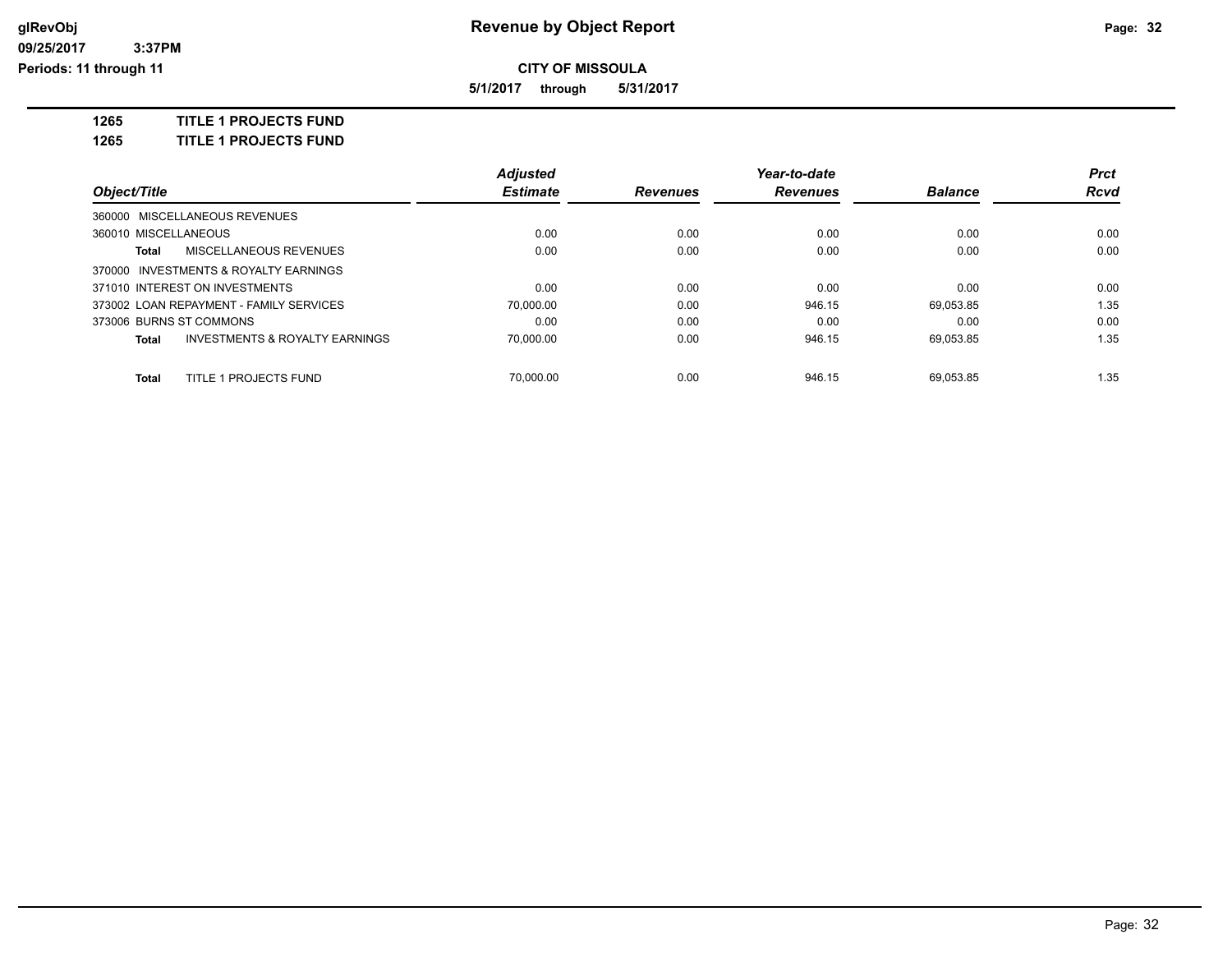**5/1/2017 through 5/31/2017**

**1265 TITLE 1 PROJECTS FUND**

**1265 TITLE 1 PROJECTS FUND**

|                                                    | <b>Adjusted</b> |                 | Year-to-date    |                | <b>Prct</b> |
|----------------------------------------------------|-----------------|-----------------|-----------------|----------------|-------------|
| Object/Title                                       | <b>Estimate</b> | <b>Revenues</b> | <b>Revenues</b> | <b>Balance</b> | Rcvd        |
| 360000 MISCELLANEOUS REVENUES                      |                 |                 |                 |                |             |
| 360010 MISCELLANEOUS                               | 0.00            | 0.00            | 0.00            | 0.00           | 0.00        |
| MISCELLANEOUS REVENUES<br>Total                    | 0.00            | 0.00            | 0.00            | 0.00           | 0.00        |
| 370000 INVESTMENTS & ROYALTY EARNINGS              |                 |                 |                 |                |             |
| 371010 INTEREST ON INVESTMENTS                     | 0.00            | 0.00            | 0.00            | 0.00           | 0.00        |
| 373002 LOAN REPAYMENT - FAMILY SERVICES            | 70.000.00       | 0.00            | 946.15          | 69.053.85      | 1.35        |
| 373006 BURNS ST COMMONS                            | 0.00            | 0.00            | 0.00            | 0.00           | 0.00        |
| <b>INVESTMENTS &amp; ROYALTY EARNINGS</b><br>Total | 70.000.00       | 0.00            | 946.15          | 69.053.85      | 1.35        |
| TITLE 1 PROJECTS FUND<br>Total                     | 70.000.00       | 0.00            | 946.15          | 69.053.85      | 1.35        |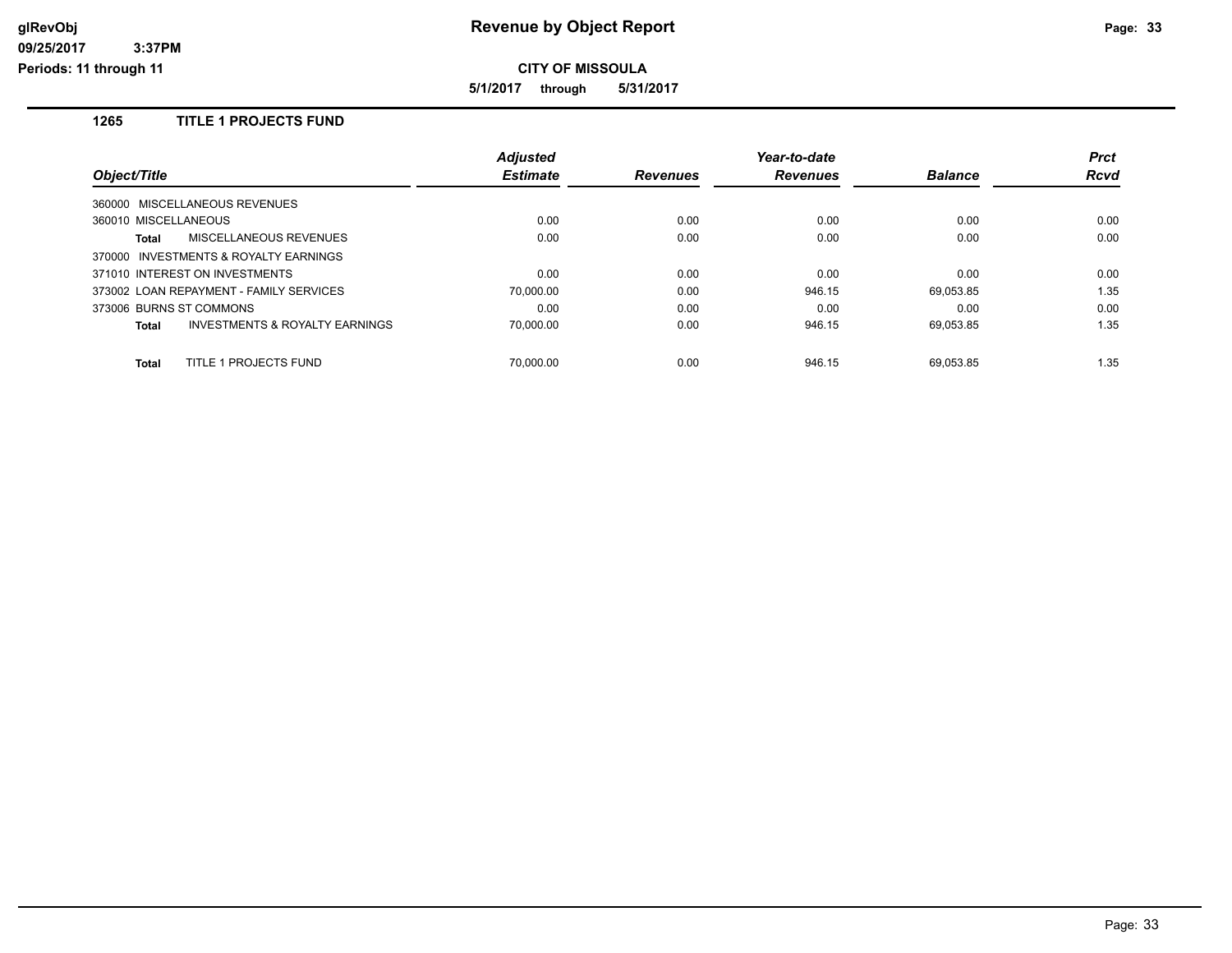**Periods: 11 through 11**

**CITY OF MISSOULA**

**5/1/2017 through 5/31/2017**

#### **1265 TITLE 1 PROJECTS FUND**

|                                         | Adjusted        |                 | Year-to-date    |                | <b>Prct</b> |
|-----------------------------------------|-----------------|-----------------|-----------------|----------------|-------------|
| Object/Title                            | <b>Estimate</b> | <b>Revenues</b> | <b>Revenues</b> | <b>Balance</b> | <b>Rcvd</b> |
| 360000 MISCELLANEOUS REVENUES           |                 |                 |                 |                |             |
| 360010 MISCELLANEOUS                    | 0.00            | 0.00            | 0.00            | 0.00           | 0.00        |
| MISCELLANEOUS REVENUES<br>Total         | 0.00            | 0.00            | 0.00            | 0.00           | 0.00        |
| 370000 INVESTMENTS & ROYALTY EARNINGS   |                 |                 |                 |                |             |
| 371010 INTEREST ON INVESTMENTS          | 0.00            | 0.00            | 0.00            | 0.00           | 0.00        |
| 373002 LOAN REPAYMENT - FAMILY SERVICES | 70.000.00       | 0.00            | 946.15          | 69.053.85      | 1.35        |
| 373006 BURNS ST COMMONS                 | 0.00            | 0.00            | 0.00            | 0.00           | 0.00        |
| INVESTMENTS & ROYALTY EARNINGS<br>Total | 70.000.00       | 0.00            | 946.15          | 69,053.85      | 1.35        |
| TITLE 1 PROJECTS FUND<br><b>Total</b>   | 70.000.00       | 0.00            | 946.15          | 69.053.85      | 1.35        |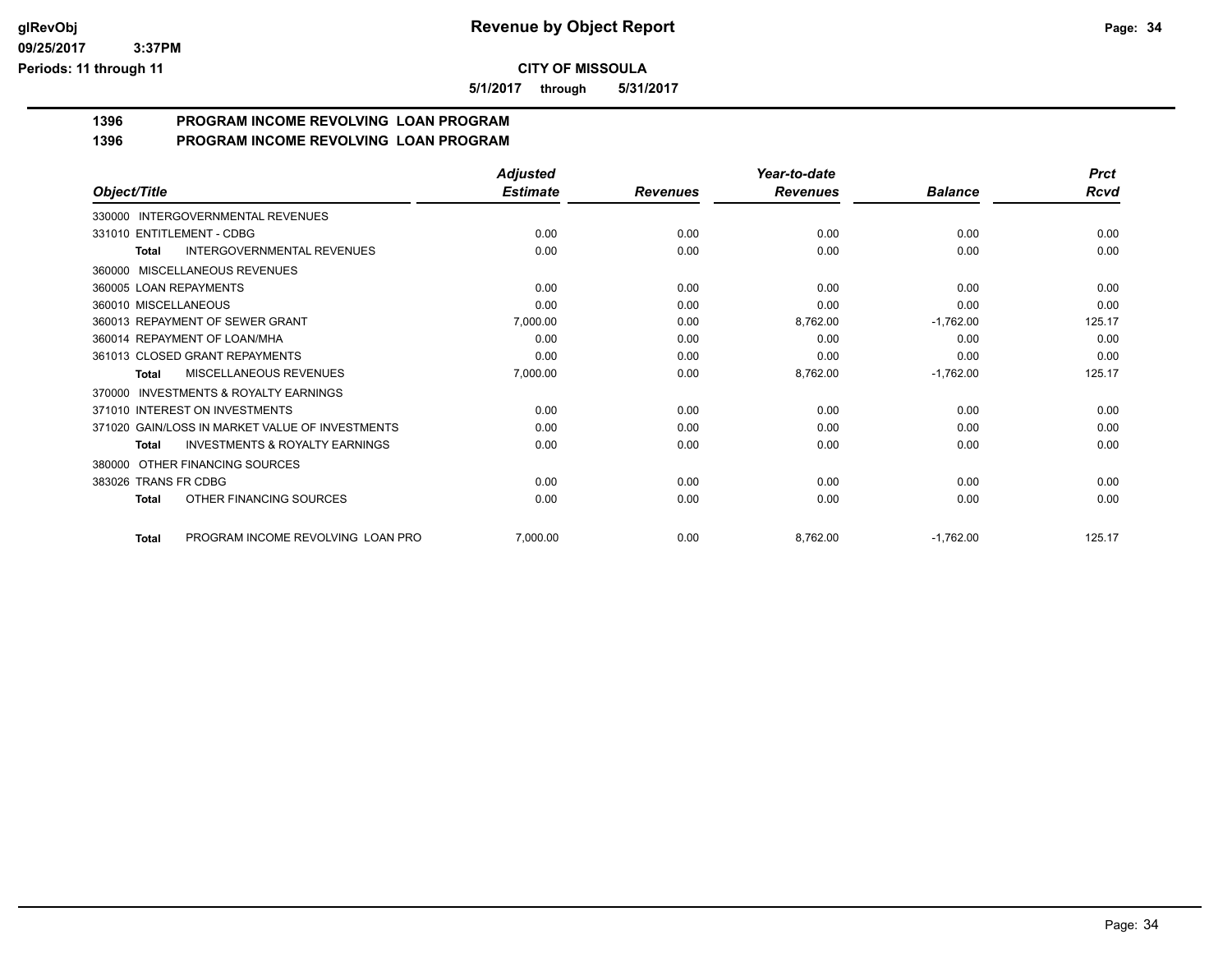**5/1/2017 through 5/31/2017**

# **1396 PROGRAM INCOME REVOLVING LOAN PROGRAM**

| 1396 | <b>PROGRAM INCOME REVOLVING LOAN PROGRAM</b> |  |
|------|----------------------------------------------|--|
|------|----------------------------------------------|--|

|                                                           | <b>Adjusted</b> |                 | Year-to-date    |                | <b>Prct</b> |
|-----------------------------------------------------------|-----------------|-----------------|-----------------|----------------|-------------|
| Object/Title                                              | <b>Estimate</b> | <b>Revenues</b> | <b>Revenues</b> | <b>Balance</b> | Rcvd        |
| 330000 INTERGOVERNMENTAL REVENUES                         |                 |                 |                 |                |             |
| 331010 ENTITLEMENT - CDBG                                 | 0.00            | 0.00            | 0.00            | 0.00           | 0.00        |
| <b>INTERGOVERNMENTAL REVENUES</b><br><b>Total</b>         | 0.00            | 0.00            | 0.00            | 0.00           | 0.00        |
| MISCELLANEOUS REVENUES<br>360000                          |                 |                 |                 |                |             |
| 360005 LOAN REPAYMENTS                                    | 0.00            | 0.00            | 0.00            | 0.00           | 0.00        |
| 360010 MISCELLANEOUS                                      | 0.00            | 0.00            | 0.00            | 0.00           | 0.00        |
| 360013 REPAYMENT OF SEWER GRANT                           | 7,000.00        | 0.00            | 8,762.00        | $-1,762.00$    | 125.17      |
| 360014 REPAYMENT OF LOAN/MHA                              | 0.00            | 0.00            | 0.00            | 0.00           | 0.00        |
| 361013 CLOSED GRANT REPAYMENTS                            | 0.00            | 0.00            | 0.00            | 0.00           | 0.00        |
| MISCELLANEOUS REVENUES<br><b>Total</b>                    | 7,000.00        | 0.00            | 8,762.00        | $-1,762.00$    | 125.17      |
| INVESTMENTS & ROYALTY EARNINGS<br>370000                  |                 |                 |                 |                |             |
| 371010 INTEREST ON INVESTMENTS                            | 0.00            | 0.00            | 0.00            | 0.00           | 0.00        |
| 371020 GAIN/LOSS IN MARKET VALUE OF INVESTMENTS           | 0.00            | 0.00            | 0.00            | 0.00           | 0.00        |
| <b>INVESTMENTS &amp; ROYALTY EARNINGS</b><br><b>Total</b> | 0.00            | 0.00            | 0.00            | 0.00           | 0.00        |
| OTHER FINANCING SOURCES<br>380000                         |                 |                 |                 |                |             |
| 383026 TRANS FR CDBG                                      | 0.00            | 0.00            | 0.00            | 0.00           | 0.00        |
| OTHER FINANCING SOURCES<br>Total                          | 0.00            | 0.00            | 0.00            | 0.00           | 0.00        |
| PROGRAM INCOME REVOLVING LOAN PRO<br><b>Total</b>         | 7,000.00        | 0.00            | 8,762.00        | $-1,762.00$    | 125.17      |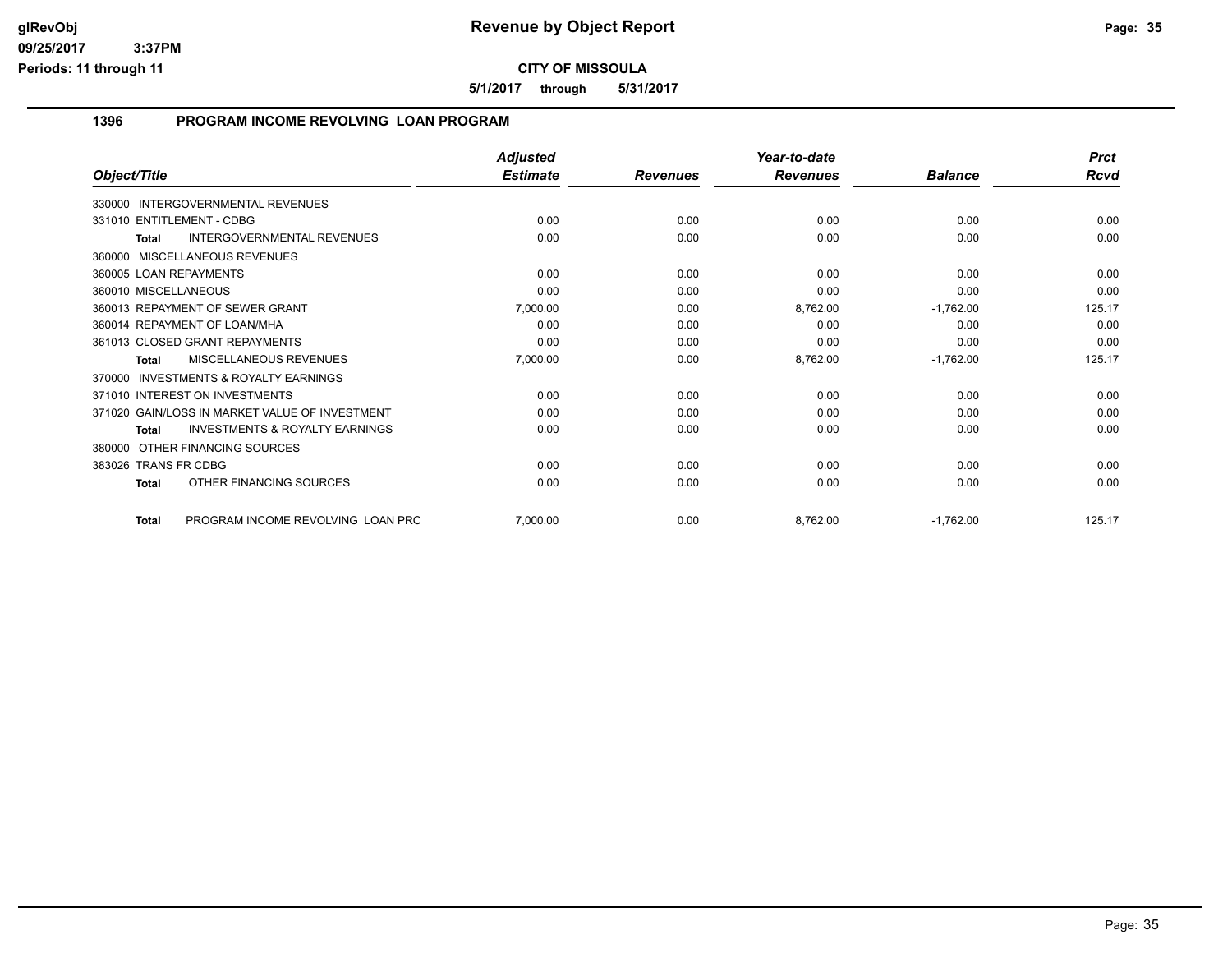**Periods: 11 through 11**

**CITY OF MISSOULA**

**5/1/2017 through 5/31/2017**

#### **1396 PROGRAM INCOME REVOLVING LOAN PROGRAM**

|                                                           | <b>Adjusted</b> |                 | Year-to-date    |                | <b>Prct</b> |
|-----------------------------------------------------------|-----------------|-----------------|-----------------|----------------|-------------|
| Object/Title                                              | <b>Estimate</b> | <b>Revenues</b> | <b>Revenues</b> | <b>Balance</b> | Rcvd        |
| 330000 INTERGOVERNMENTAL REVENUES                         |                 |                 |                 |                |             |
| 331010 ENTITLEMENT - CDBG                                 | 0.00            | 0.00            | 0.00            | 0.00           | 0.00        |
| <b>INTERGOVERNMENTAL REVENUES</b><br>Total                | 0.00            | 0.00            | 0.00            | 0.00           | 0.00        |
| MISCELLANEOUS REVENUES<br>360000                          |                 |                 |                 |                |             |
| 360005 LOAN REPAYMENTS                                    | 0.00            | 0.00            | 0.00            | 0.00           | 0.00        |
| 360010 MISCELLANEOUS                                      | 0.00            | 0.00            | 0.00            | 0.00           | 0.00        |
| 360013 REPAYMENT OF SEWER GRANT                           | 7,000.00        | 0.00            | 8,762.00        | $-1,762.00$    | 125.17      |
| 360014 REPAYMENT OF LOAN/MHA                              | 0.00            | 0.00            | 0.00            | 0.00           | 0.00        |
| 361013 CLOSED GRANT REPAYMENTS                            | 0.00            | 0.00            | 0.00            | 0.00           | 0.00        |
| MISCELLANEOUS REVENUES<br>Total                           | 7,000.00        | 0.00            | 8,762.00        | $-1,762.00$    | 125.17      |
| INVESTMENTS & ROYALTY EARNINGS<br>370000                  |                 |                 |                 |                |             |
| 371010 INTEREST ON INVESTMENTS                            | 0.00            | 0.00            | 0.00            | 0.00           | 0.00        |
| 371020 GAIN/LOSS IN MARKET VALUE OF INVESTMENT            | 0.00            | 0.00            | 0.00            | 0.00           | 0.00        |
| <b>INVESTMENTS &amp; ROYALTY EARNINGS</b><br><b>Total</b> | 0.00            | 0.00            | 0.00            | 0.00           | 0.00        |
| OTHER FINANCING SOURCES<br>380000                         |                 |                 |                 |                |             |
| 383026 TRANS FR CDBG                                      | 0.00            | 0.00            | 0.00            | 0.00           | 0.00        |
| OTHER FINANCING SOURCES<br><b>Total</b>                   | 0.00            | 0.00            | 0.00            | 0.00           | 0.00        |
| PROGRAM INCOME REVOLVING LOAN PRC<br><b>Total</b>         | 7,000.00        | 0.00            | 8,762.00        | $-1,762.00$    | 125.17      |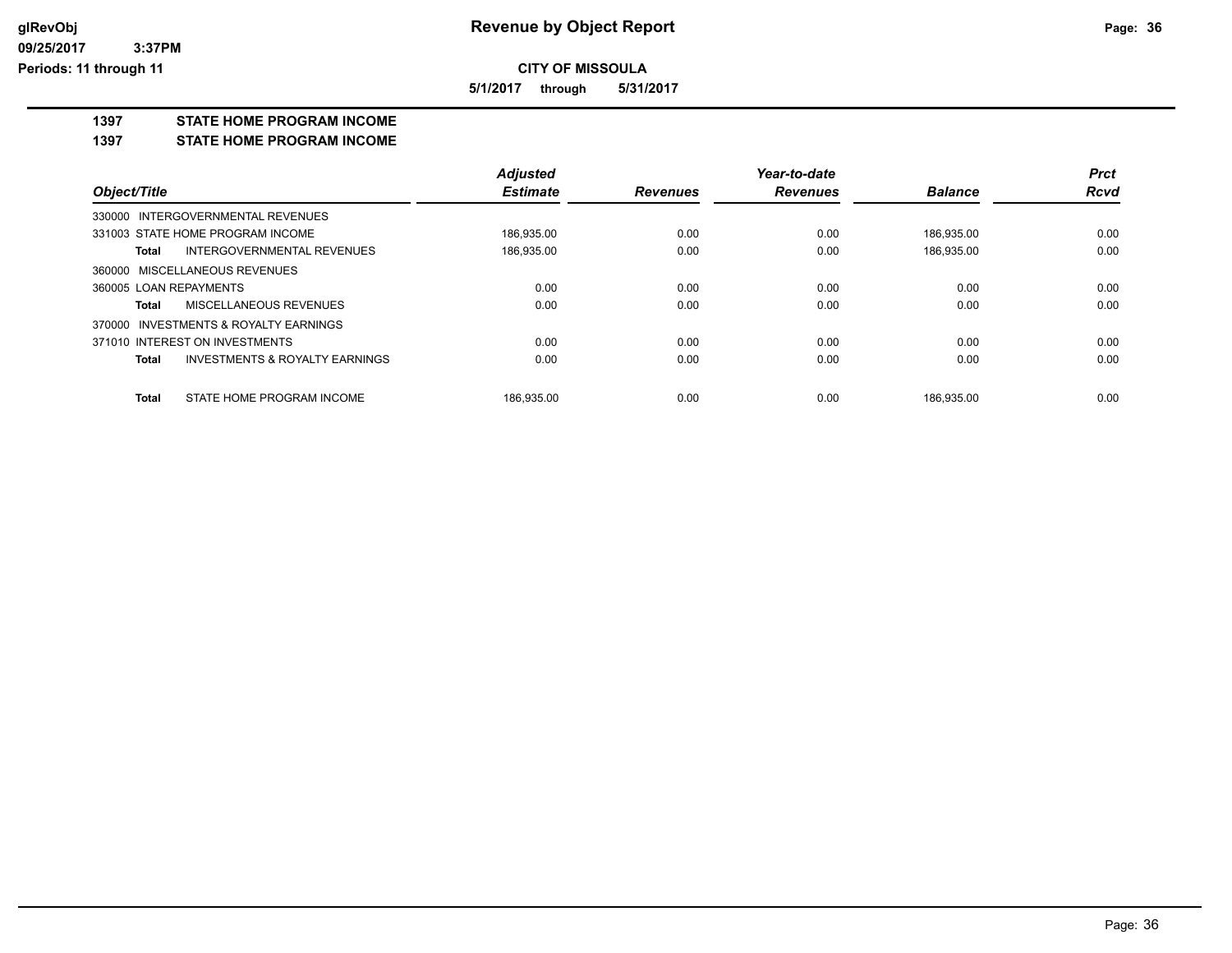**5/1/2017 through 5/31/2017**

### **1397 STATE HOME PROGRAM INCOME**

#### **1397 STATE HOME PROGRAM INCOME**

|                                                           | <b>Adjusted</b> |                 | Year-to-date    |                | <b>Prct</b> |
|-----------------------------------------------------------|-----------------|-----------------|-----------------|----------------|-------------|
| Object/Title                                              | <b>Estimate</b> | <b>Revenues</b> | <b>Revenues</b> | <b>Balance</b> | <b>Rcvd</b> |
| 330000 INTERGOVERNMENTAL REVENUES                         |                 |                 |                 |                |             |
| 331003 STATE HOME PROGRAM INCOME                          | 186.935.00      | 0.00            | 0.00            | 186.935.00     | 0.00        |
| INTERGOVERNMENTAL REVENUES<br>Total                       | 186,935.00      | 0.00            | 0.00            | 186,935.00     | 0.00        |
| 360000 MISCELLANEOUS REVENUES                             |                 |                 |                 |                |             |
| 360005 LOAN REPAYMENTS                                    | 0.00            | 0.00            | 0.00            | 0.00           | 0.00        |
| MISCELLANEOUS REVENUES<br>Total                           | 0.00            | 0.00            | 0.00            | 0.00           | 0.00        |
| 370000 INVESTMENTS & ROYALTY EARNINGS                     |                 |                 |                 |                |             |
| 371010 INTEREST ON INVESTMENTS                            | 0.00            | 0.00            | 0.00            | 0.00           | 0.00        |
| <b>INVESTMENTS &amp; ROYALTY EARNINGS</b><br><b>Total</b> | 0.00            | 0.00            | 0.00            | 0.00           | 0.00        |
| STATE HOME PROGRAM INCOME<br><b>Total</b>                 | 186.935.00      | 0.00            | 0.00            | 186.935.00     | 0.00        |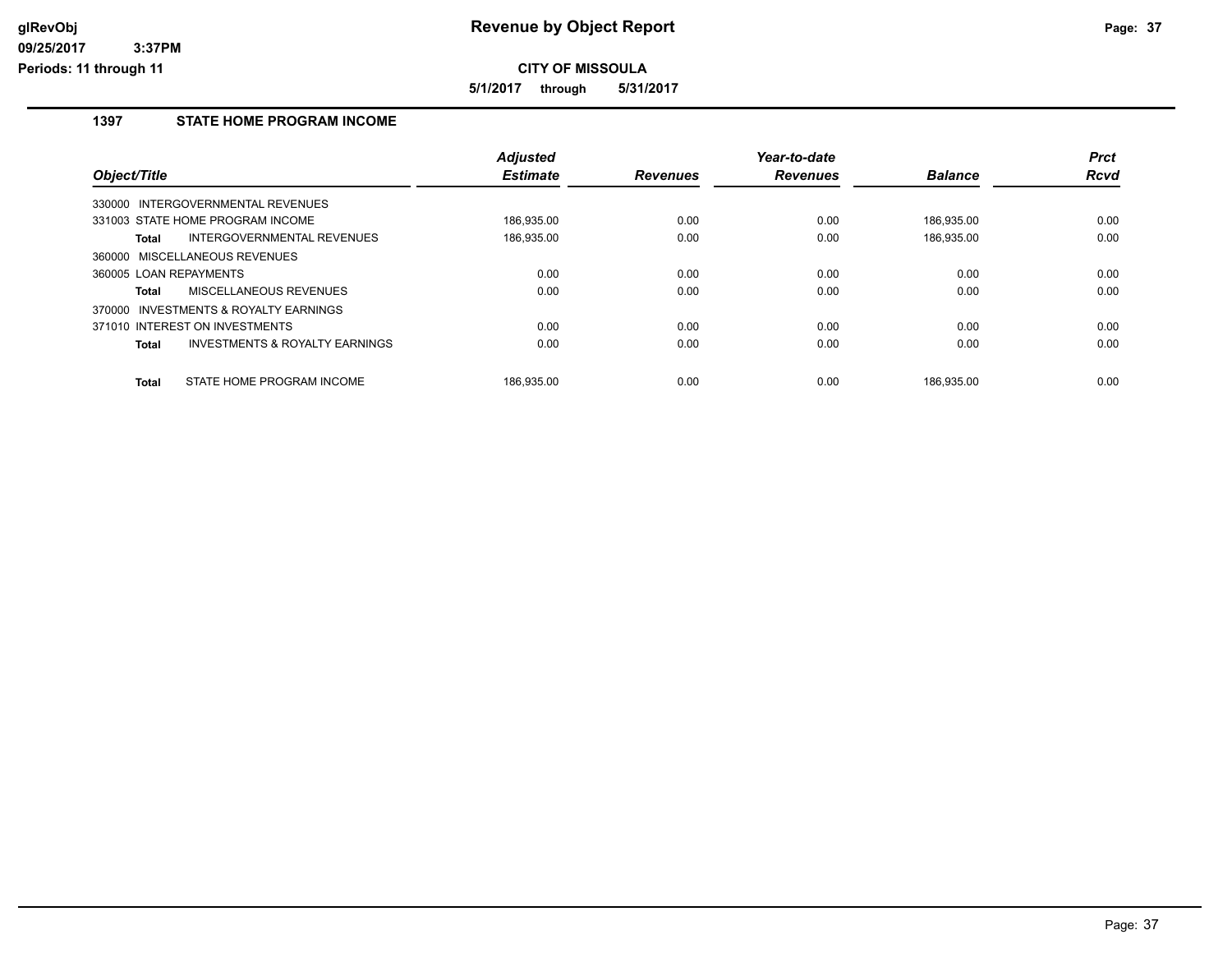**5/1/2017 through 5/31/2017**

#### **1397 STATE HOME PROGRAM INCOME**

| Object/Title           |                                           | <b>Adjusted</b><br><b>Estimate</b> | <b>Revenues</b> | Year-to-date<br><b>Revenues</b> | <b>Balance</b> | <b>Prct</b><br><b>Rcvd</b> |
|------------------------|-------------------------------------------|------------------------------------|-----------------|---------------------------------|----------------|----------------------------|
| 330000                 | INTERGOVERNMENTAL REVENUES                |                                    |                 |                                 |                |                            |
|                        | 331003 STATE HOME PROGRAM INCOME          | 186.935.00                         | 0.00            | 0.00                            | 186.935.00     | 0.00                       |
| Total                  | INTERGOVERNMENTAL REVENUES                | 186,935.00                         | 0.00            | 0.00                            | 186,935.00     | 0.00                       |
| 360000                 | MISCELLANEOUS REVENUES                    |                                    |                 |                                 |                |                            |
| 360005 LOAN REPAYMENTS |                                           | 0.00                               | 0.00            | 0.00                            | 0.00           | 0.00                       |
| <b>Total</b>           | MISCELLANEOUS REVENUES                    | 0.00                               | 0.00            | 0.00                            | 0.00           | 0.00                       |
| 370000                 | <b>INVESTMENTS &amp; ROYALTY EARNINGS</b> |                                    |                 |                                 |                |                            |
|                        | 371010 INTEREST ON INVESTMENTS            | 0.00                               | 0.00            | 0.00                            | 0.00           | 0.00                       |
| <b>Total</b>           | <b>INVESTMENTS &amp; ROYALTY EARNINGS</b> | 0.00                               | 0.00            | 0.00                            | 0.00           | 0.00                       |
| <b>Total</b>           | STATE HOME PROGRAM INCOME                 | 186.935.00                         | 0.00            | 0.00                            | 186.935.00     | 0.00                       |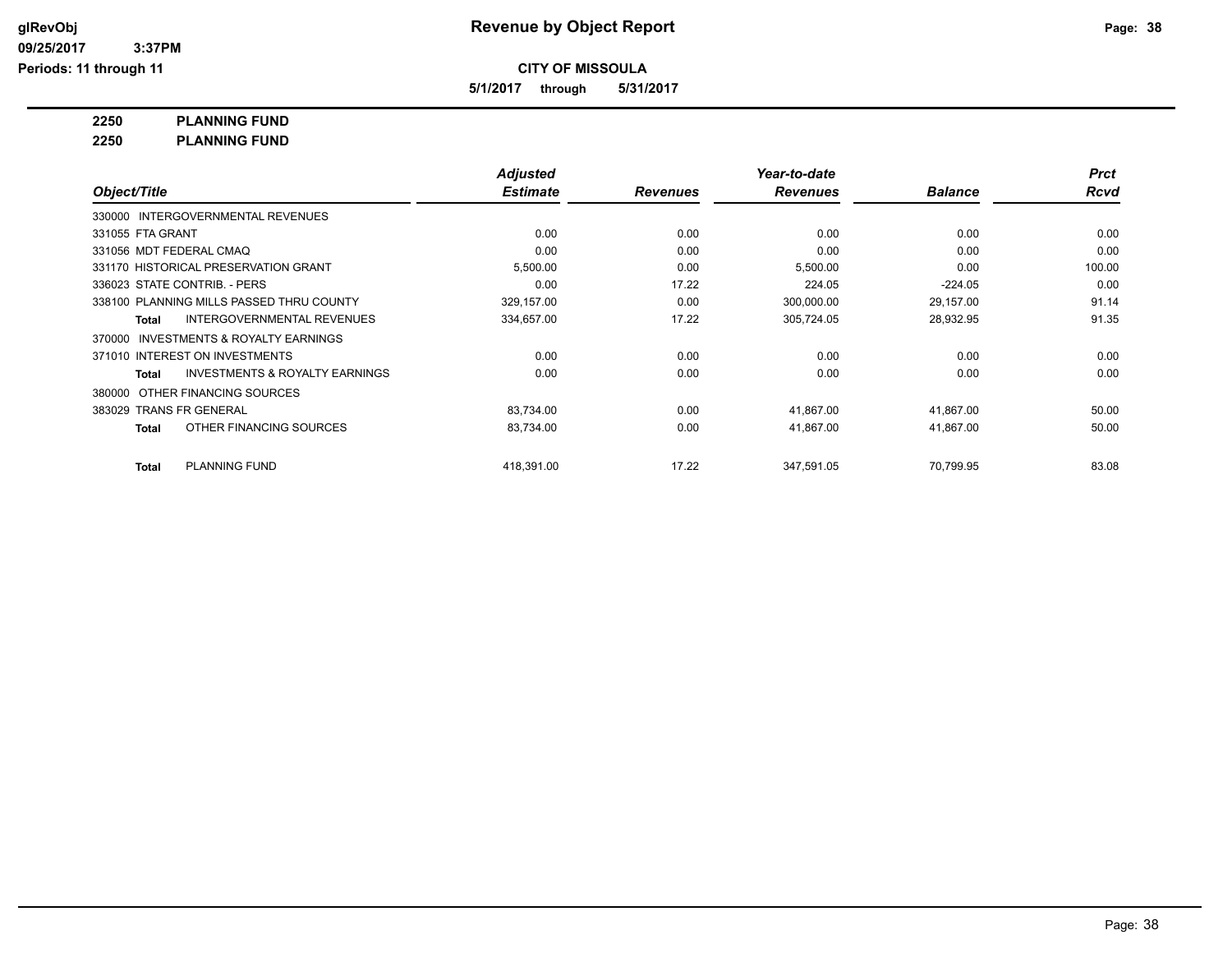**5/1/2017 through 5/31/2017**

#### **2250 PLANNING FUND**

**2250 PLANNING FUND**

|                                                    | <b>Adjusted</b> |                 | Year-to-date    |                | <b>Prct</b> |
|----------------------------------------------------|-----------------|-----------------|-----------------|----------------|-------------|
| Object/Title                                       | <b>Estimate</b> | <b>Revenues</b> | <b>Revenues</b> | <b>Balance</b> | <b>Rcvd</b> |
| 330000 INTERGOVERNMENTAL REVENUES                  |                 |                 |                 |                |             |
| 331055 FTA GRANT                                   | 0.00            | 0.00            | 0.00            | 0.00           | 0.00        |
| 331056 MDT FEDERAL CMAQ                            | 0.00            | 0.00            | 0.00            | 0.00           | 0.00        |
| 331170 HISTORICAL PRESERVATION GRANT               | 5,500.00        | 0.00            | 5,500.00        | 0.00           | 100.00      |
| 336023 STATE CONTRIB. - PERS                       | 0.00            | 17.22           | 224.05          | $-224.05$      | 0.00        |
| 338100 PLANNING MILLS PASSED THRU COUNTY           | 329,157.00      | 0.00            | 300,000.00      | 29,157.00      | 91.14       |
| <b>INTERGOVERNMENTAL REVENUES</b><br>Total         | 334,657.00      | 17.22           | 305,724.05      | 28,932.95      | 91.35       |
| 370000 INVESTMENTS & ROYALTY EARNINGS              |                 |                 |                 |                |             |
| 371010 INTEREST ON INVESTMENTS                     | 0.00            | 0.00            | 0.00            | 0.00           | 0.00        |
| <b>INVESTMENTS &amp; ROYALTY EARNINGS</b><br>Total | 0.00            | 0.00            | 0.00            | 0.00           | 0.00        |
| OTHER FINANCING SOURCES<br>380000                  |                 |                 |                 |                |             |
| 383029 TRANS FR GENERAL                            | 83,734.00       | 0.00            | 41,867.00       | 41,867.00      | 50.00       |
| OTHER FINANCING SOURCES<br>Total                   | 83,734.00       | 0.00            | 41,867.00       | 41,867.00      | 50.00       |
| <b>PLANNING FUND</b><br>Total                      | 418.391.00      | 17.22           | 347,591.05      | 70,799.95      | 83.08       |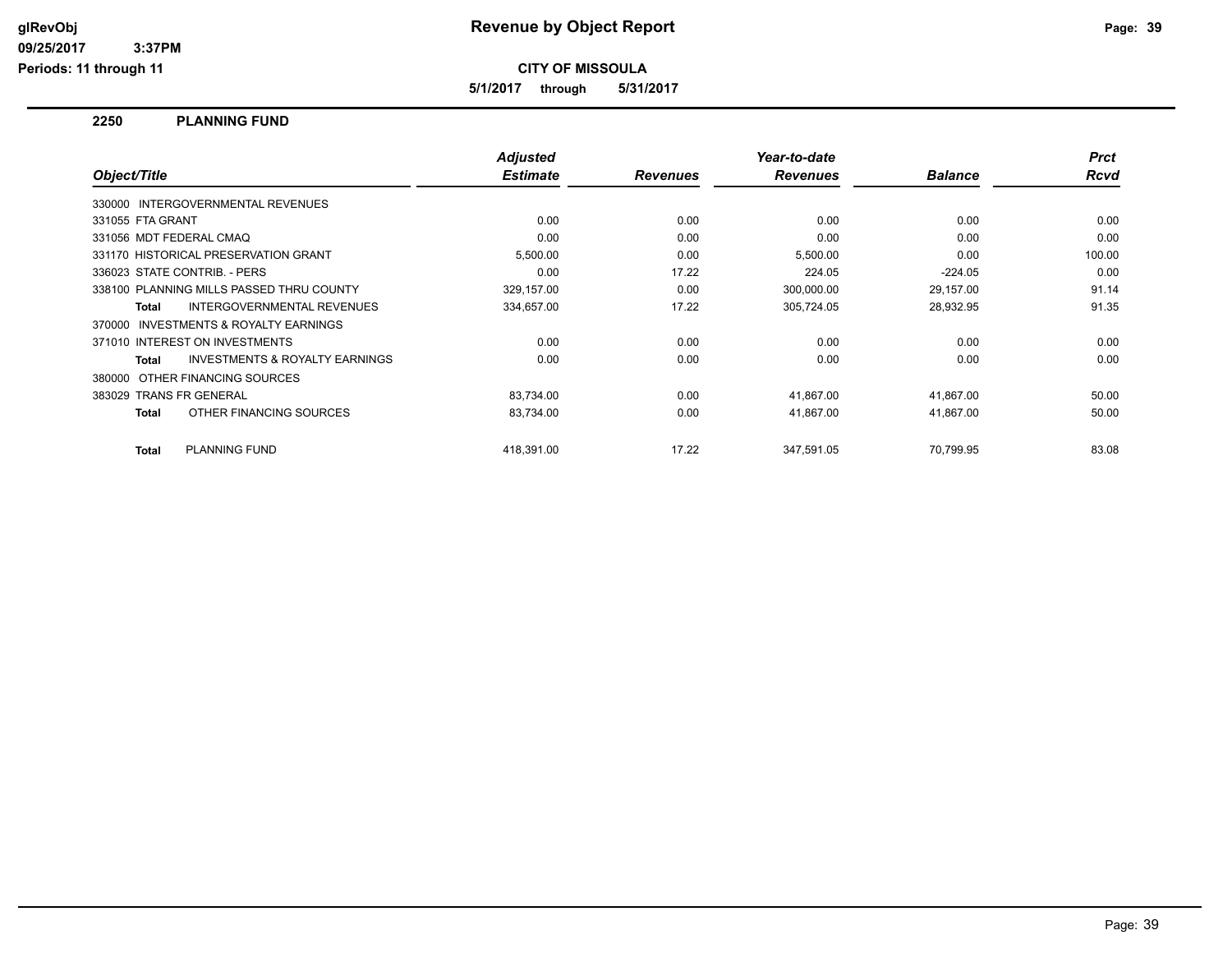**CITY OF MISSOULA**

**5/1/2017 through 5/31/2017**

#### **2250 PLANNING FUND**

 **3:37PM**

| Object/Title                                              | <b>Adjusted</b><br><b>Estimate</b> | <b>Revenues</b> | Year-to-date<br><b>Revenues</b> | <b>Balance</b> | <b>Prct</b><br><b>Rcvd</b> |
|-----------------------------------------------------------|------------------------------------|-----------------|---------------------------------|----------------|----------------------------|
| 330000 INTERGOVERNMENTAL REVENUES                         |                                    |                 |                                 |                |                            |
| 331055 FTA GRANT                                          | 0.00                               | 0.00            | 0.00                            | 0.00           | 0.00                       |
| 331056 MDT FEDERAL CMAQ                                   | 0.00                               | 0.00            | 0.00                            | 0.00           | 0.00                       |
| 331170 HISTORICAL PRESERVATION GRANT                      | 5,500.00                           | 0.00            | 5,500.00                        | 0.00           | 100.00                     |
| 336023 STATE CONTRIB. - PERS                              | 0.00                               | 17.22           | 224.05                          | $-224.05$      | 0.00                       |
| 338100 PLANNING MILLS PASSED THRU COUNTY                  | 329,157.00                         | 0.00            | 300,000.00                      | 29,157.00      | 91.14                      |
| INTERGOVERNMENTAL REVENUES<br><b>Total</b>                | 334,657.00                         | 17.22           | 305,724.05                      | 28,932.95      | 91.35                      |
| INVESTMENTS & ROYALTY EARNINGS<br>370000                  |                                    |                 |                                 |                |                            |
| 371010 INTEREST ON INVESTMENTS                            | 0.00                               | 0.00            | 0.00                            | 0.00           | 0.00                       |
| <b>INVESTMENTS &amp; ROYALTY EARNINGS</b><br><b>Total</b> | 0.00                               | 0.00            | 0.00                            | 0.00           | 0.00                       |
| 380000 OTHER FINANCING SOURCES                            |                                    |                 |                                 |                |                            |
| 383029 TRANS FR GENERAL                                   | 83,734.00                          | 0.00            | 41,867.00                       | 41,867.00      | 50.00                      |
| OTHER FINANCING SOURCES<br><b>Total</b>                   | 83,734.00                          | 0.00            | 41,867.00                       | 41,867.00      | 50.00                      |
| PLANNING FUND<br><b>Total</b>                             | 418.391.00                         | 17.22           | 347.591.05                      | 70,799.95      | 83.08                      |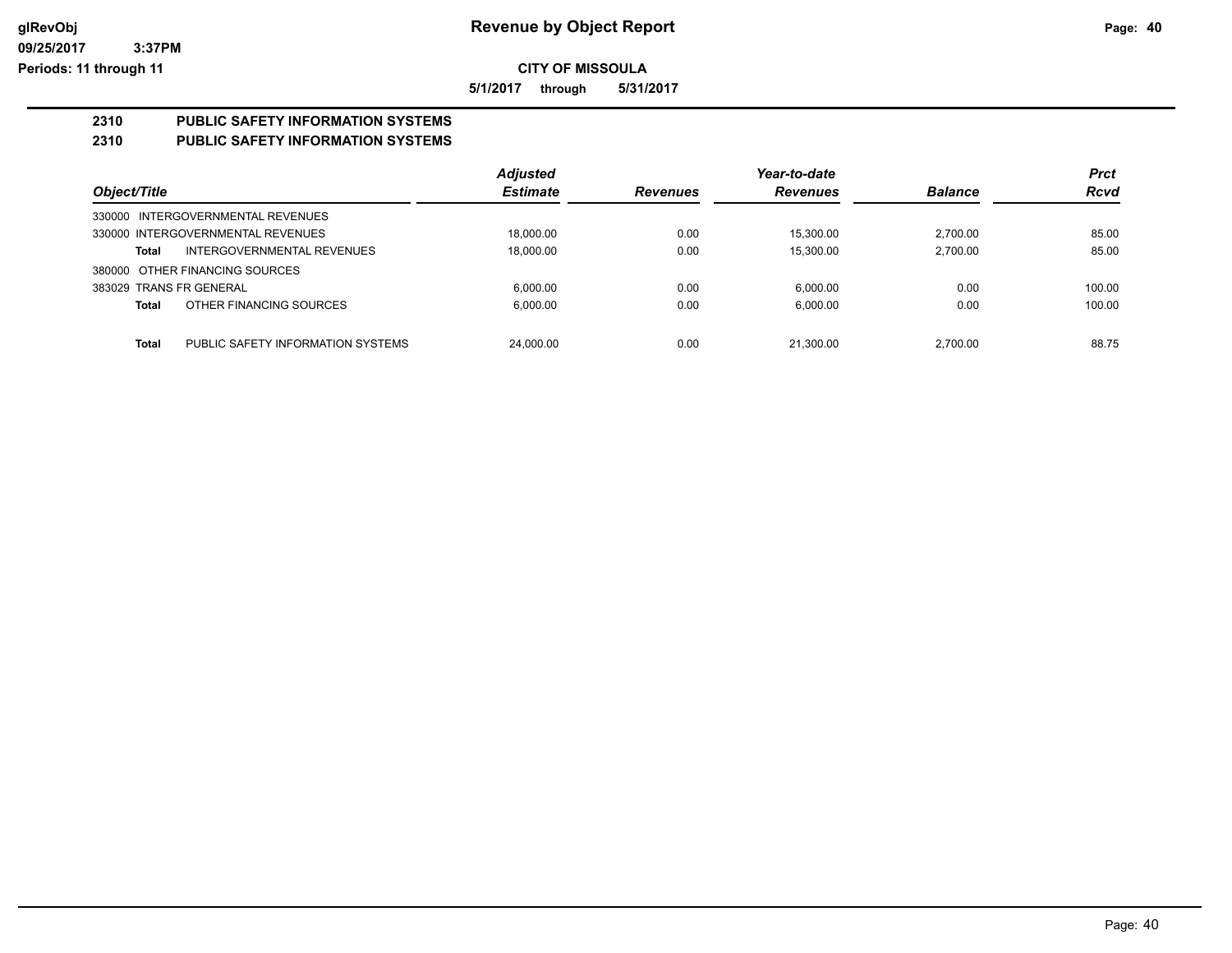**5/1/2017 through 5/31/2017**

#### **2310 PUBLIC SAFETY INFORMATION SYSTEMS 2310 PUBLIC SAFETY INFORMATION SYSTEMS**

|                                                   | <b>Adjusted</b> |                 | Year-to-date    |                | <b>Prct</b> |
|---------------------------------------------------|-----------------|-----------------|-----------------|----------------|-------------|
| Object/Title                                      | <b>Estimate</b> | <b>Revenues</b> | <b>Revenues</b> | <b>Balance</b> | <b>Rcvd</b> |
| 330000 INTERGOVERNMENTAL REVENUES                 |                 |                 |                 |                |             |
| 330000 INTERGOVERNMENTAL REVENUES                 | 18.000.00       | 0.00            | 15.300.00       | 2.700.00       | 85.00       |
| <b>INTERGOVERNMENTAL REVENUES</b><br>Total        | 18.000.00       | 0.00            | 15.300.00       | 2.700.00       | 85.00       |
| 380000 OTHER FINANCING SOURCES                    |                 |                 |                 |                |             |
| 383029 TRANS FR GENERAL                           | 6.000.00        | 0.00            | 6.000.00        | 0.00           | 100.00      |
| OTHER FINANCING SOURCES<br><b>Total</b>           | 6.000.00        | 0.00            | 6.000.00        | 0.00           | 100.00      |
|                                                   |                 |                 |                 |                |             |
| PUBLIC SAFETY INFORMATION SYSTEMS<br><b>Total</b> | 24,000.00       | 0.00            | 21.300.00       | 2.700.00       | 88.75       |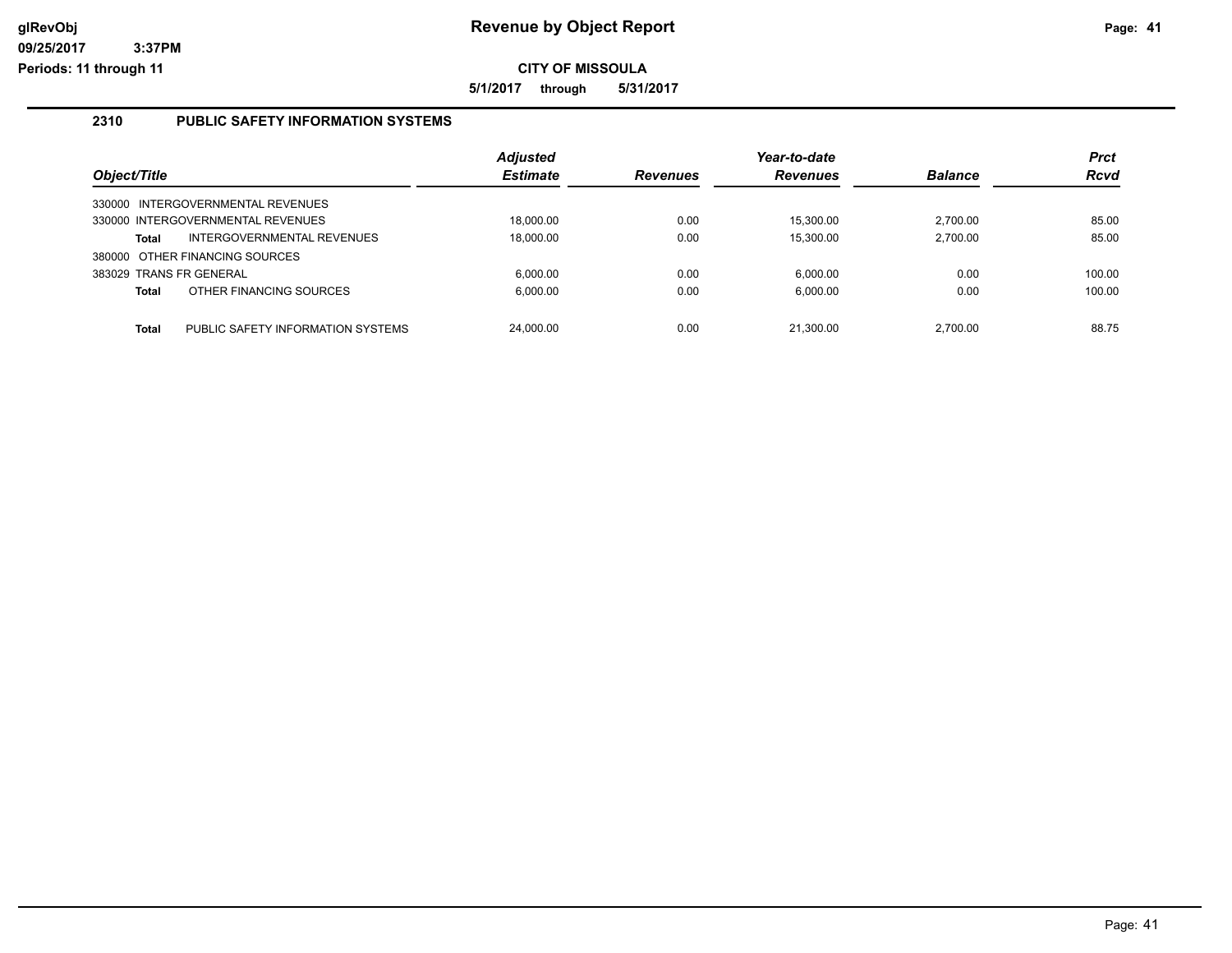**5/1/2017 through 5/31/2017**

#### **2310 PUBLIC SAFETY INFORMATION SYSTEMS**

|                                                   | <b>Adjusted</b> |                 | Year-to-date    |                | <b>Prct</b> |
|---------------------------------------------------|-----------------|-----------------|-----------------|----------------|-------------|
| Object/Title                                      | <b>Estimate</b> | <b>Revenues</b> | <b>Revenues</b> | <b>Balance</b> | <b>Rcvd</b> |
| 330000 INTERGOVERNMENTAL REVENUES                 |                 |                 |                 |                |             |
| 330000 INTERGOVERNMENTAL REVENUES                 | 18.000.00       | 0.00            | 15.300.00       | 2.700.00       | 85.00       |
| INTERGOVERNMENTAL REVENUES<br><b>Total</b>        | 18.000.00       | 0.00            | 15,300.00       | 2.700.00       | 85.00       |
| 380000 OTHER FINANCING SOURCES                    |                 |                 |                 |                |             |
| 383029 TRANS FR GENERAL                           | 6,000.00        | 0.00            | 6,000.00        | 0.00           | 100.00      |
| OTHER FINANCING SOURCES<br><b>Total</b>           | 6,000.00        | 0.00            | 6,000.00        | 0.00           | 100.00      |
|                                                   |                 |                 |                 |                |             |
| PUBLIC SAFETY INFORMATION SYSTEMS<br><b>Total</b> | 24.000.00       | 0.00            | 21.300.00       | 2.700.00       | 88.75       |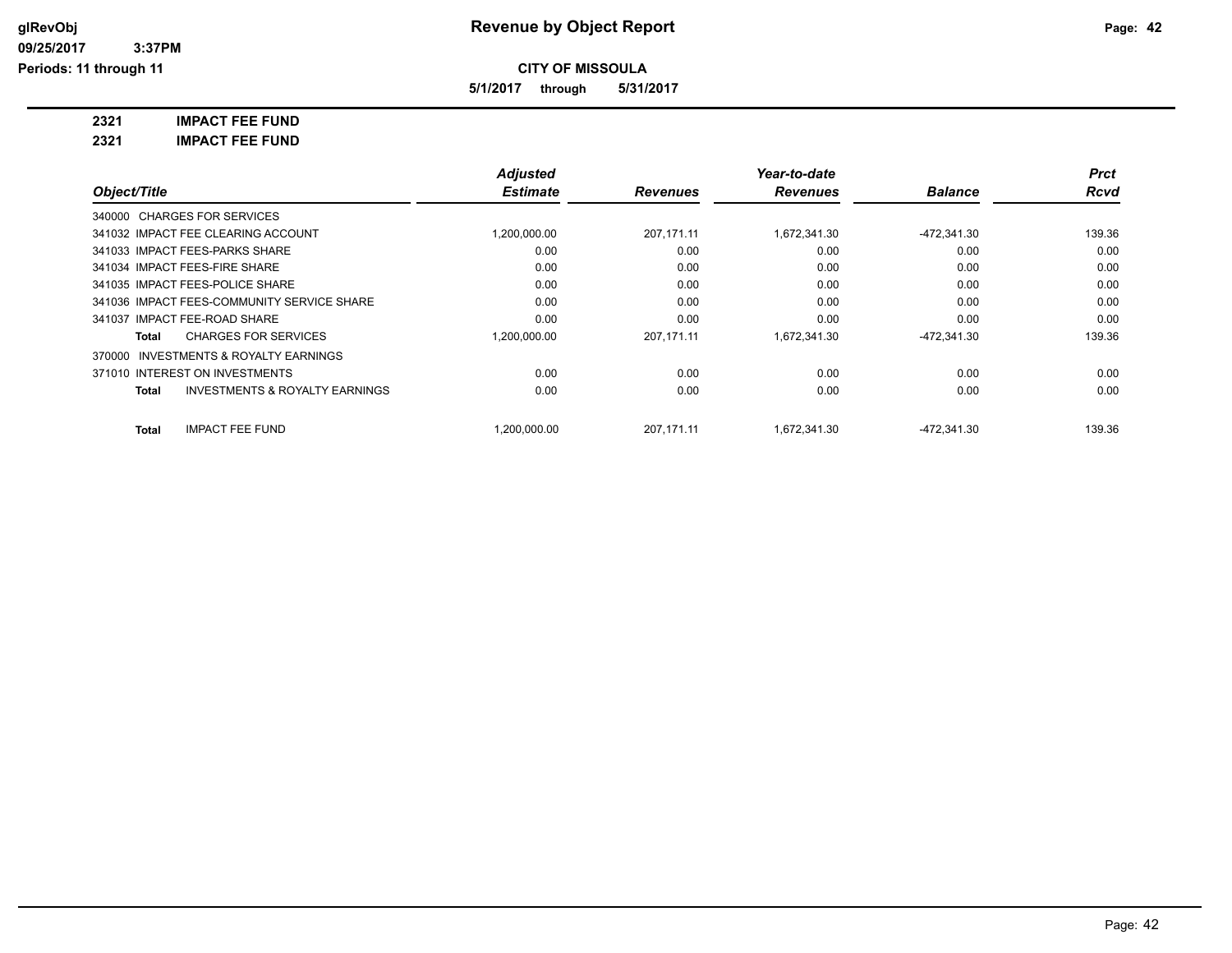**5/1/2017 through 5/31/2017**

**2321 IMPACT FEE FUND**

**2321 IMPACT FEE FUND**

|                                                           | <b>Adjusted</b> |                 | Year-to-date    |                | <b>Prct</b> |
|-----------------------------------------------------------|-----------------|-----------------|-----------------|----------------|-------------|
| Object/Title                                              | <b>Estimate</b> | <b>Revenues</b> | <b>Revenues</b> | <b>Balance</b> | Rcvd        |
| 340000 CHARGES FOR SERVICES                               |                 |                 |                 |                |             |
| 341032 IMPACT FEE CLEARING ACCOUNT                        | 1.200.000.00    | 207.171.11      | 1,672,341.30    | -472.341.30    | 139.36      |
| 341033 IMPACT FEES-PARKS SHARE                            | 0.00            | 0.00            | 0.00            | 0.00           | 0.00        |
| 341034 IMPACT FEES-FIRE SHARE                             | 0.00            | 0.00            | 0.00            | 0.00           | 0.00        |
| 341035 IMPACT FEES-POLICE SHARE                           | 0.00            | 0.00            | 0.00            | 0.00           | 0.00        |
| 341036 IMPACT FEES-COMMUNITY SERVICE SHARE                | 0.00            | 0.00            | 0.00            | 0.00           | 0.00        |
| 341037 IMPACT FEE-ROAD SHARE                              | 0.00            | 0.00            | 0.00            | 0.00           | 0.00        |
| <b>CHARGES FOR SERVICES</b><br>Total                      | 1,200,000.00    | 207,171.11      | 1,672,341.30    | -472,341.30    | 139.36      |
| 370000 INVESTMENTS & ROYALTY EARNINGS                     |                 |                 |                 |                |             |
| 371010 INTEREST ON INVESTMENTS                            | 0.00            | 0.00            | 0.00            | 0.00           | 0.00        |
| <b>INVESTMENTS &amp; ROYALTY EARNINGS</b><br><b>Total</b> | 0.00            | 0.00            | 0.00            | 0.00           | 0.00        |
| <b>IMPACT FEE FUND</b><br>Total                           | 1.200.000.00    | 207.171.11      | 1.672.341.30    | -472.341.30    | 139.36      |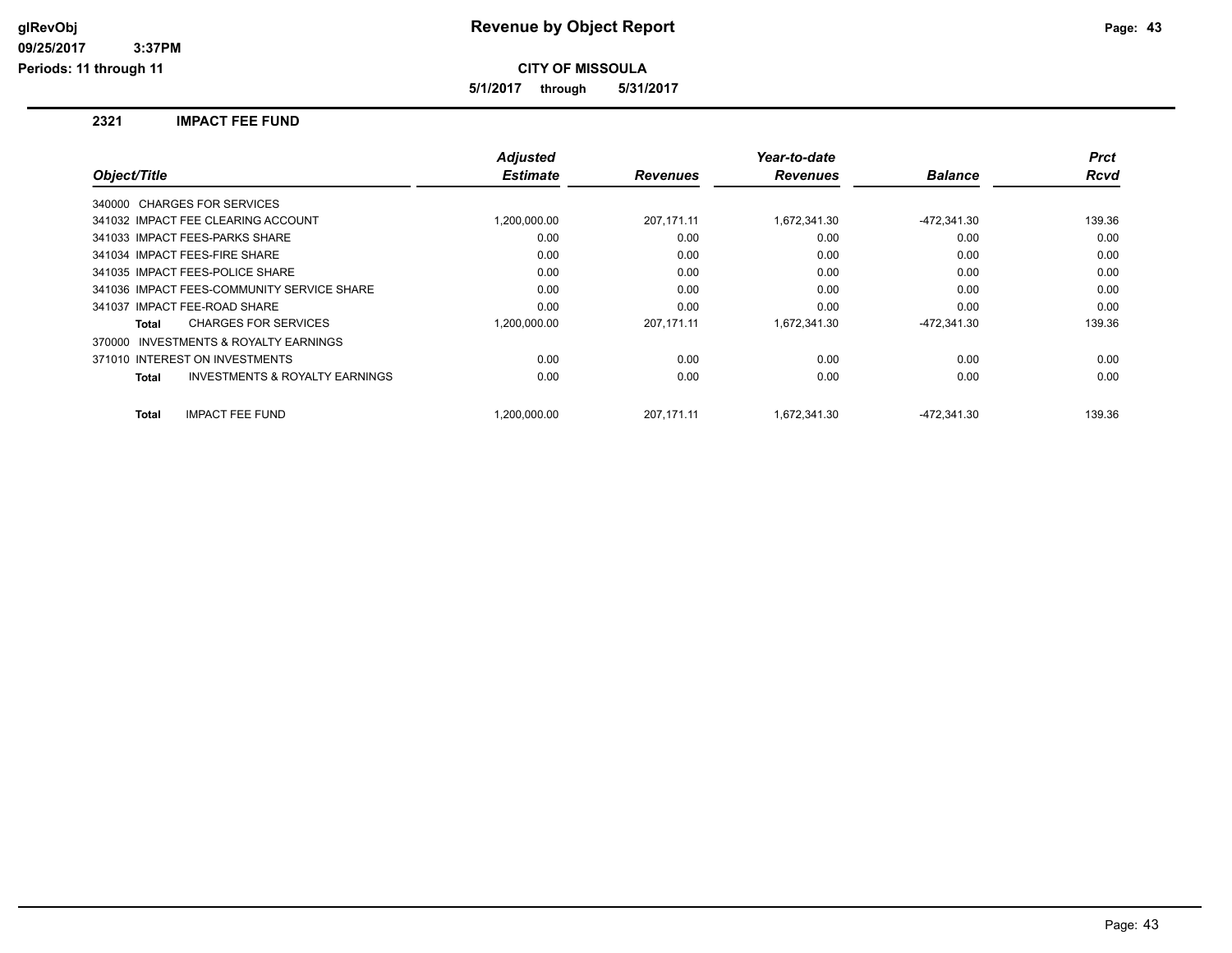**CITY OF MISSOULA**

**5/1/2017 through 5/31/2017**

#### **2321 IMPACT FEE FUND**

|                                                     | <b>Adjusted</b> |                 | Year-to-date    |                | <b>Prct</b> |
|-----------------------------------------------------|-----------------|-----------------|-----------------|----------------|-------------|
| Object/Title                                        | <b>Estimate</b> | <b>Revenues</b> | <b>Revenues</b> | <b>Balance</b> | <b>Rcvd</b> |
| 340000 CHARGES FOR SERVICES                         |                 |                 |                 |                |             |
| 341032 IMPACT FEE CLEARING ACCOUNT                  | 1.200.000.00    | 207.171.11      | 1,672,341.30    | -472,341.30    | 139.36      |
| 341033 IMPACT FEES-PARKS SHARE                      | 0.00            | 0.00            | 0.00            | 0.00           | 0.00        |
| 341034 IMPACT FEES-FIRE SHARE                       | 0.00            | 0.00            | 0.00            | 0.00           | 0.00        |
| 341035 IMPACT FEES-POLICE SHARE                     | 0.00            | 0.00            | 0.00            | 0.00           | 0.00        |
| 341036 IMPACT FEES-COMMUNITY SERVICE SHARE          | 0.00            | 0.00            | 0.00            | 0.00           | 0.00        |
| 341037 IMPACT FEE-ROAD SHARE                        | 0.00            | 0.00            | 0.00            | 0.00           | 0.00        |
| <b>CHARGES FOR SERVICES</b><br>Total                | 1.200.000.00    | 207.171.11      | 1.672.341.30    | -472.341.30    | 139.36      |
| <b>INVESTMENTS &amp; ROYALTY EARNINGS</b><br>370000 |                 |                 |                 |                |             |
| 371010 INTEREST ON INVESTMENTS                      | 0.00            | 0.00            | 0.00            | 0.00           | 0.00        |
| <b>INVESTMENTS &amp; ROYALTY EARNINGS</b><br>Total  | 0.00            | 0.00            | 0.00            | 0.00           | 0.00        |
| <b>IMPACT FEE FUND</b><br><b>Total</b>              | 00.000.000, ا   | 207.171.11      | 1,672,341.30    | -472,341.30    | 139.36      |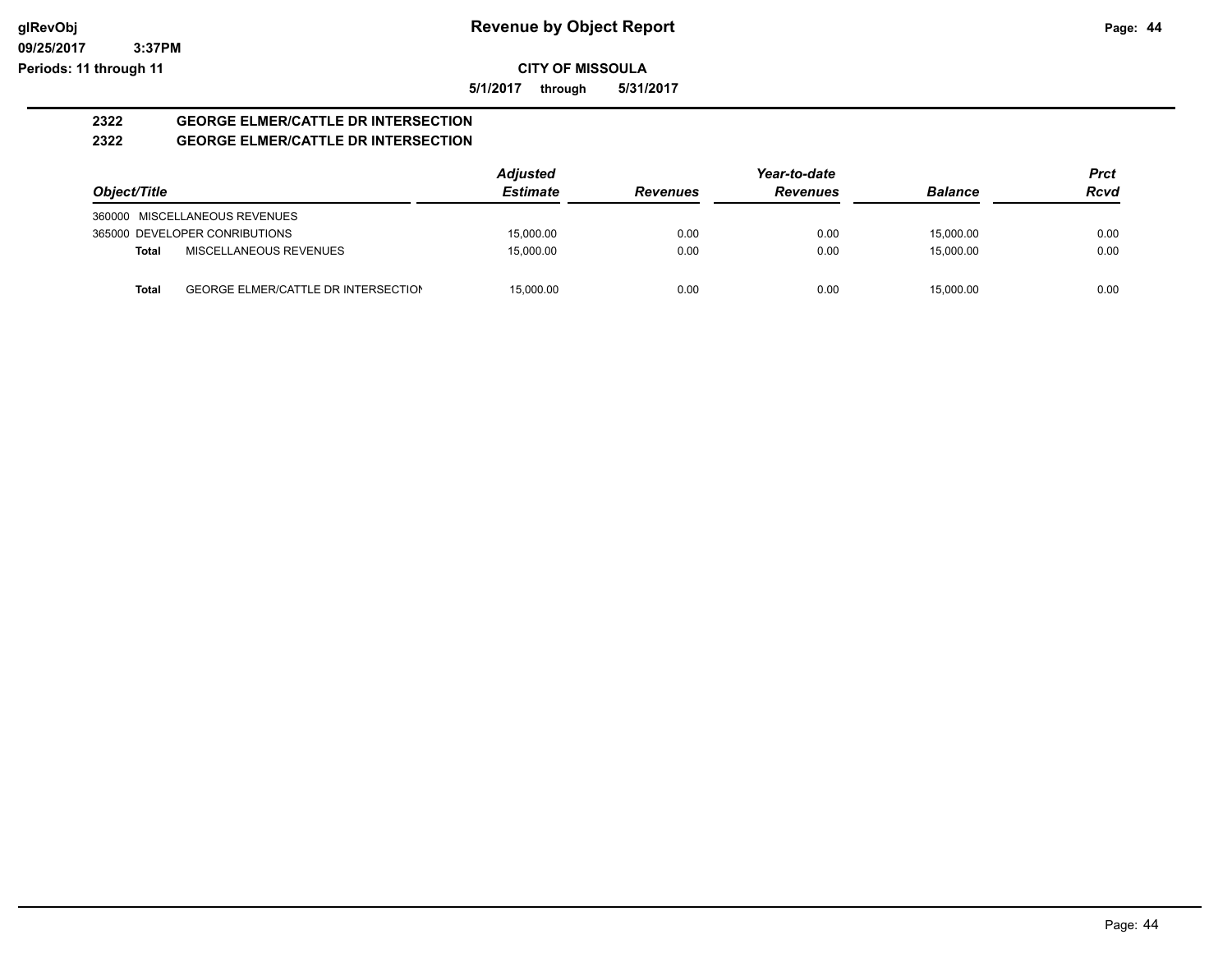**5/1/2017 through 5/31/2017**

#### **2322 GEORGE ELMER/CATTLE DR INTERSECTION 2322 GEORGE ELMER/CATTLE DR INTERSECTION**

|                                                            | <b>Adjusted</b> |                 | Year-to-date    |                | Prct |
|------------------------------------------------------------|-----------------|-----------------|-----------------|----------------|------|
| Object/Title                                               | <b>Estimate</b> | <b>Revenues</b> | <b>Revenues</b> | <b>Balance</b> | Rcvd |
| 360000 MISCELLANEOUS REVENUES                              |                 |                 |                 |                |      |
| 365000 DEVELOPER CONRIBUTIONS                              | 15,000.00       | 0.00            | 0.00            | 15,000.00      | 0.00 |
| MISCELLANEOUS REVENUES<br>Total                            | 15.000.00       | 0.00            | 0.00            | 15,000.00      | 0.00 |
| <b>GEORGE ELMER/CATTLE DR INTERSECTION</b><br><b>Total</b> | 15.000.00       | 0.00            | 0.00            | 15,000.00      | 0.00 |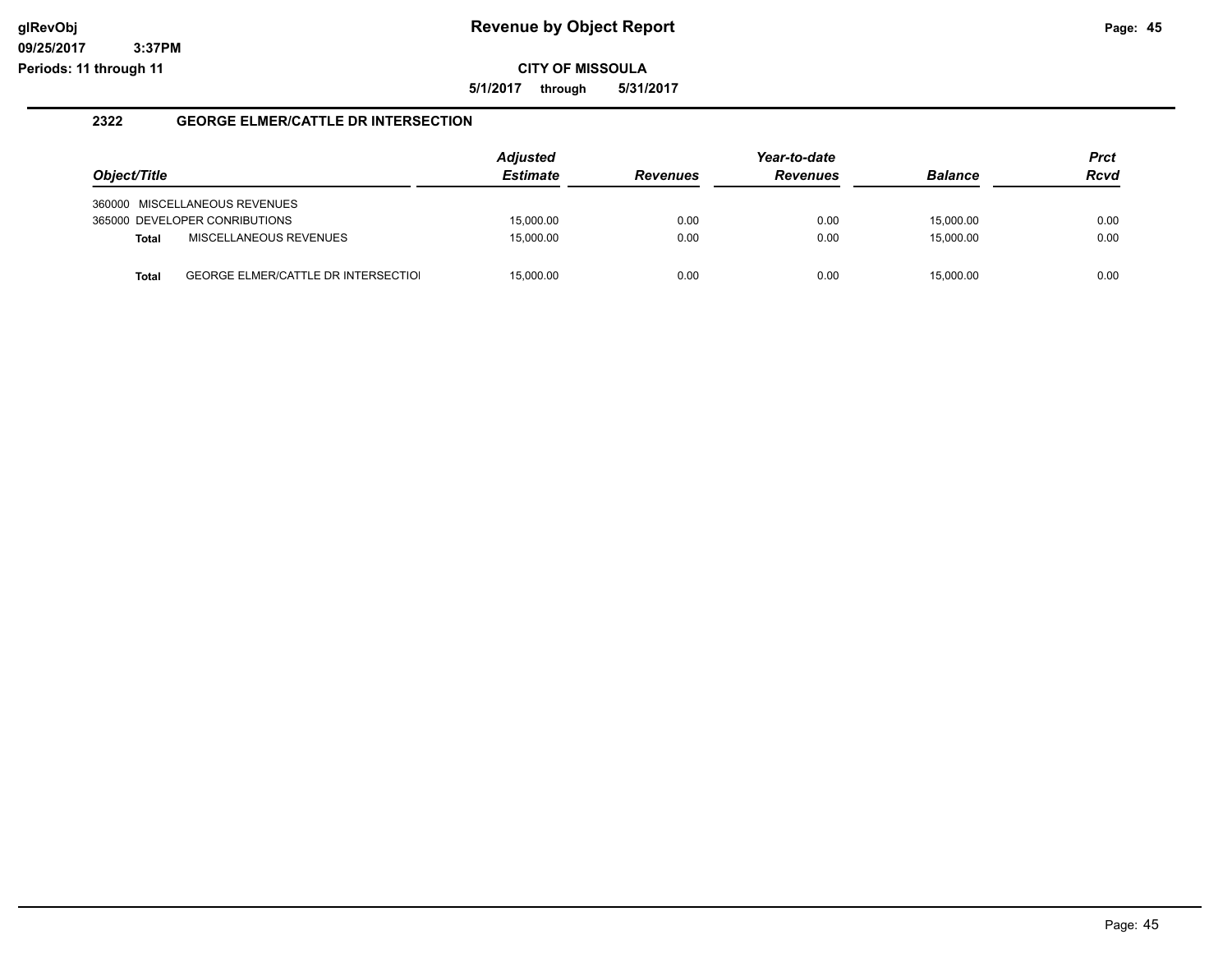**5/1/2017 through 5/31/2017**

#### **2322 GEORGE ELMER/CATTLE DR INTERSECTION**

| Object/Title |                                            | Adjusted<br><b>Estimate</b> | <b>Revenues</b> | Year-to-date<br><b>Revenues</b> | <b>Balance</b> | <b>Prct</b><br><b>Rcvd</b> |
|--------------|--------------------------------------------|-----------------------------|-----------------|---------------------------------|----------------|----------------------------|
|              | 360000 MISCELLANEOUS REVENUES              |                             |                 |                                 |                |                            |
|              | 365000 DEVELOPER CONRIBUTIONS              | 15.000.00                   | 0.00            | 0.00                            | 15.000.00      | 0.00                       |
| <b>Total</b> | MISCELLANEOUS REVENUES                     | 15.000.00                   | 0.00            | 0.00                            | 15.000.00      | 0.00                       |
|              |                                            |                             |                 |                                 |                |                            |
| <b>Total</b> | <b>GEORGE ELMER/CATTLE DR INTERSECTIOL</b> | 15.000.00                   | 0.00            | 0.00                            | 15.000.00      | 0.00                       |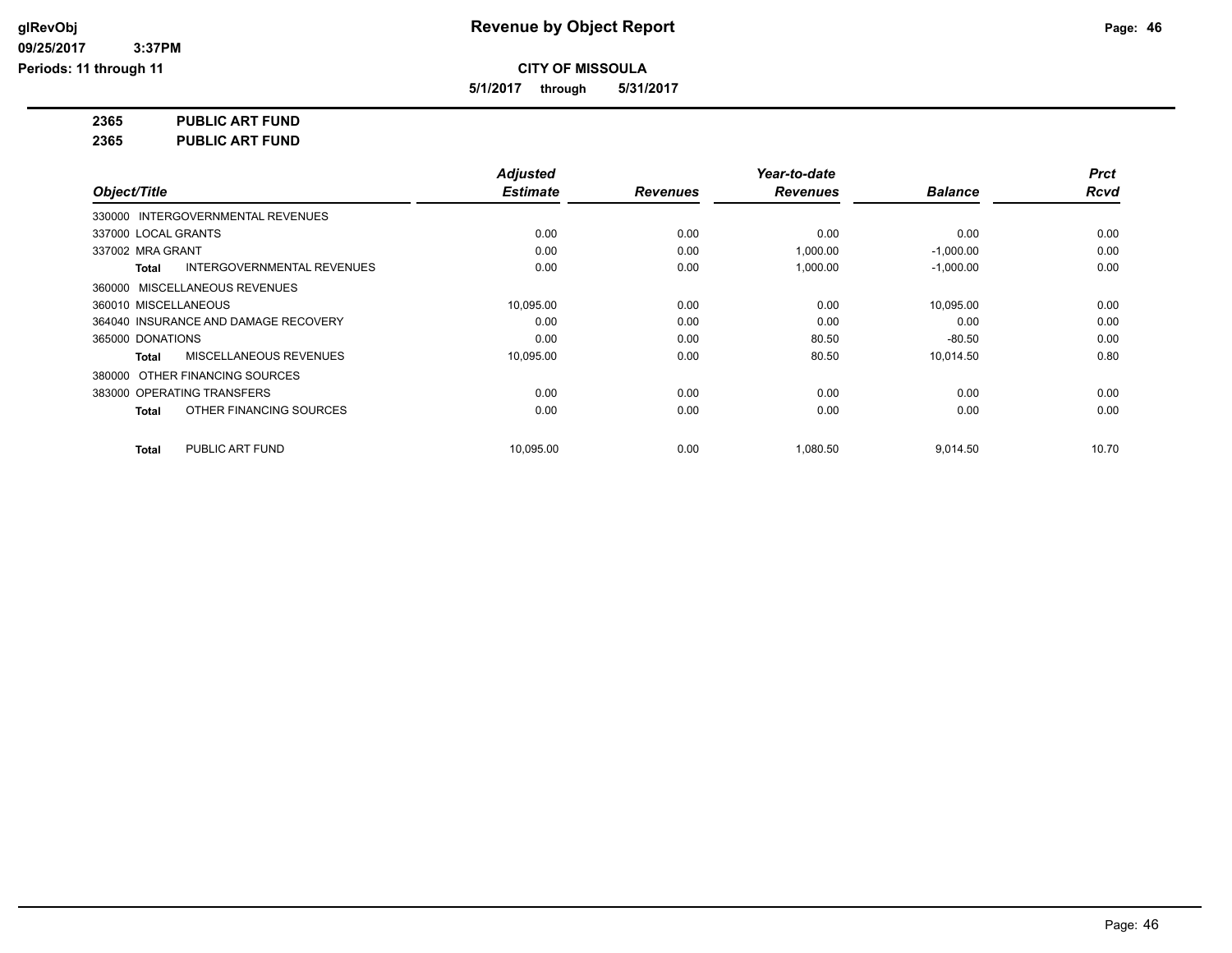**5/1/2017 through 5/31/2017**

**2365 PUBLIC ART FUND**

**2365 PUBLIC ART FUND**

|                                            | <b>Adjusted</b> |                 | Year-to-date    |                | <b>Prct</b> |
|--------------------------------------------|-----------------|-----------------|-----------------|----------------|-------------|
| Object/Title                               | <b>Estimate</b> | <b>Revenues</b> | <b>Revenues</b> | <b>Balance</b> | <b>Rcvd</b> |
| 330000 INTERGOVERNMENTAL REVENUES          |                 |                 |                 |                |             |
| 337000 LOCAL GRANTS                        | 0.00            | 0.00            | 0.00            | 0.00           | 0.00        |
| 337002 MRA GRANT                           | 0.00            | 0.00            | 1,000.00        | $-1,000.00$    | 0.00        |
| <b>INTERGOVERNMENTAL REVENUES</b><br>Total | 0.00            | 0.00            | 1,000.00        | $-1,000.00$    | 0.00        |
| 360000 MISCELLANEOUS REVENUES              |                 |                 |                 |                |             |
| 360010 MISCELLANEOUS                       | 10,095.00       | 0.00            | 0.00            | 10,095.00      | 0.00        |
| 364040 INSURANCE AND DAMAGE RECOVERY       | 0.00            | 0.00            | 0.00            | 0.00           | 0.00        |
| 365000 DONATIONS                           | 0.00            | 0.00            | 80.50           | $-80.50$       | 0.00        |
| MISCELLANEOUS REVENUES<br>Total            | 10,095.00       | 0.00            | 80.50           | 10,014.50      | 0.80        |
| OTHER FINANCING SOURCES<br>380000          |                 |                 |                 |                |             |
| 383000 OPERATING TRANSFERS                 | 0.00            | 0.00            | 0.00            | 0.00           | 0.00        |
| OTHER FINANCING SOURCES<br>Total           | 0.00            | 0.00            | 0.00            | 0.00           | 0.00        |
| PUBLIC ART FUND<br>Total                   | 10,095.00       | 0.00            | 1,080.50        | 9,014.50       | 10.70       |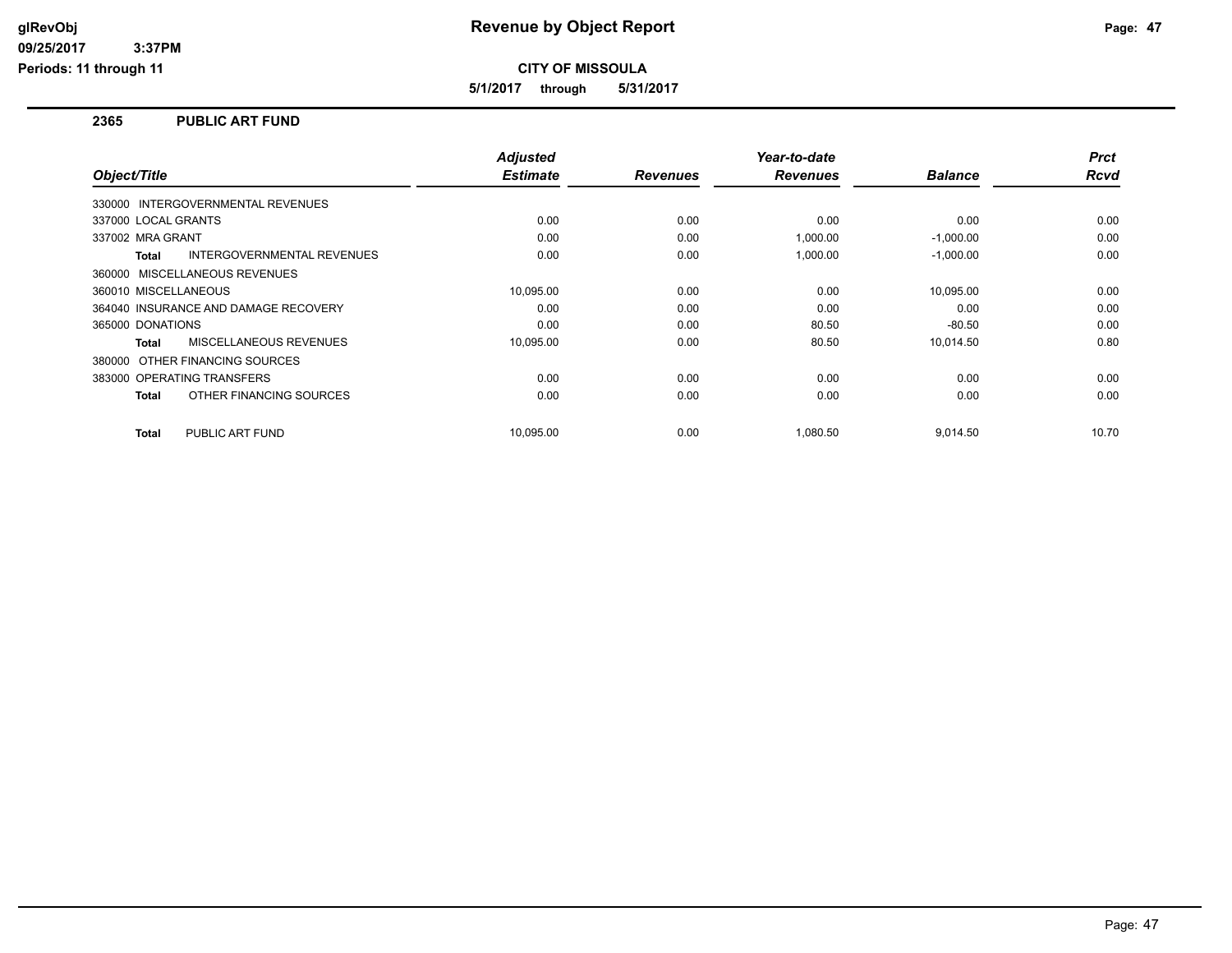**CITY OF MISSOULA**

**5/1/2017 through 5/31/2017**

#### **2365 PUBLIC ART FUND**

 **3:37PM**

|                                        | <b>Adjusted</b> |                 | Year-to-date    |                | <b>Prct</b> |
|----------------------------------------|-----------------|-----------------|-----------------|----------------|-------------|
| Object/Title                           | <b>Estimate</b> | <b>Revenues</b> | <b>Revenues</b> | <b>Balance</b> | <b>Rcvd</b> |
| 330000 INTERGOVERNMENTAL REVENUES      |                 |                 |                 |                |             |
| 337000 LOCAL GRANTS                    | 0.00            | 0.00            | 0.00            | 0.00           | 0.00        |
| 337002 MRA GRANT                       | 0.00            | 0.00            | 1,000.00        | $-1,000.00$    | 0.00        |
| INTERGOVERNMENTAL REVENUES<br>Total    | 0.00            | 0.00            | 1,000.00        | $-1,000.00$    | 0.00        |
| 360000 MISCELLANEOUS REVENUES          |                 |                 |                 |                |             |
| 360010 MISCELLANEOUS                   | 10,095.00       | 0.00            | 0.00            | 10,095.00      | 0.00        |
| 364040 INSURANCE AND DAMAGE RECOVERY   | 0.00            | 0.00            | 0.00            | 0.00           | 0.00        |
| 365000 DONATIONS                       | 0.00            | 0.00            | 80.50           | $-80.50$       | 0.00        |
| <b>MISCELLANEOUS REVENUES</b><br>Total | 10,095.00       | 0.00            | 80.50           | 10.014.50      | 0.80        |
| 380000 OTHER FINANCING SOURCES         |                 |                 |                 |                |             |
| 383000 OPERATING TRANSFERS             | 0.00            | 0.00            | 0.00            | 0.00           | 0.00        |
| OTHER FINANCING SOURCES<br>Total       | 0.00            | 0.00            | 0.00            | 0.00           | 0.00        |
|                                        |                 |                 |                 |                |             |
| PUBLIC ART FUND<br>Total               | 10,095.00       | 0.00            | 1,080.50        | 9,014.50       | 10.70       |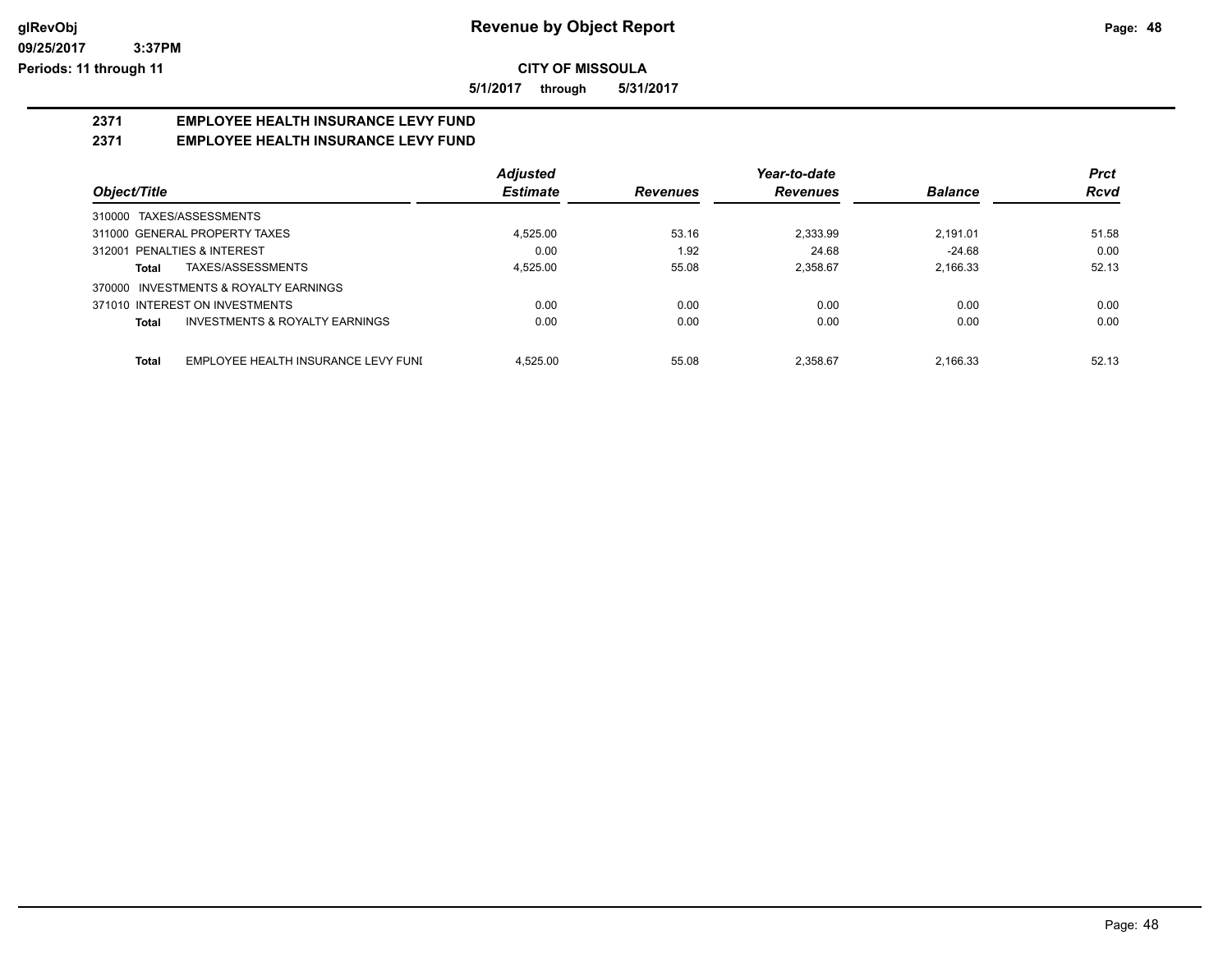**5/1/2017 through 5/31/2017**

# **2371 EMPLOYEE HEALTH INSURANCE LEVY FUND**

## **2371 EMPLOYEE HEALTH INSURANCE LEVY FUND**

|                                                           | Adjusted        |                 | Year-to-date    |                | <b>Prct</b> |
|-----------------------------------------------------------|-----------------|-----------------|-----------------|----------------|-------------|
| Object/Title                                              | <b>Estimate</b> | <b>Revenues</b> | <b>Revenues</b> | <b>Balance</b> | <b>Rcvd</b> |
| 310000 TAXES/ASSESSMENTS                                  |                 |                 |                 |                |             |
| 311000 GENERAL PROPERTY TAXES                             | 4.525.00        | 53.16           | 2.333.99        | 2.191.01       | 51.58       |
| 312001 PENALTIES & INTEREST                               | 0.00            | 1.92            | 24.68           | $-24.68$       | 0.00        |
| TAXES/ASSESSMENTS<br>Total                                | 4.525.00        | 55.08           | 2.358.67        | 2,166.33       | 52.13       |
| 370000 INVESTMENTS & ROYALTY EARNINGS                     |                 |                 |                 |                |             |
| 371010 INTEREST ON INVESTMENTS                            | 0.00            | 0.00            | 0.00            | 0.00           | 0.00        |
| <b>INVESTMENTS &amp; ROYALTY EARNINGS</b><br><b>Total</b> | 0.00            | 0.00            | 0.00            | 0.00           | 0.00        |
| EMPLOYEE HEALTH INSURANCE LEVY FUNI<br><b>Total</b>       | 4.525.00        | 55.08           | 2.358.67        | 2.166.33       | 52.13       |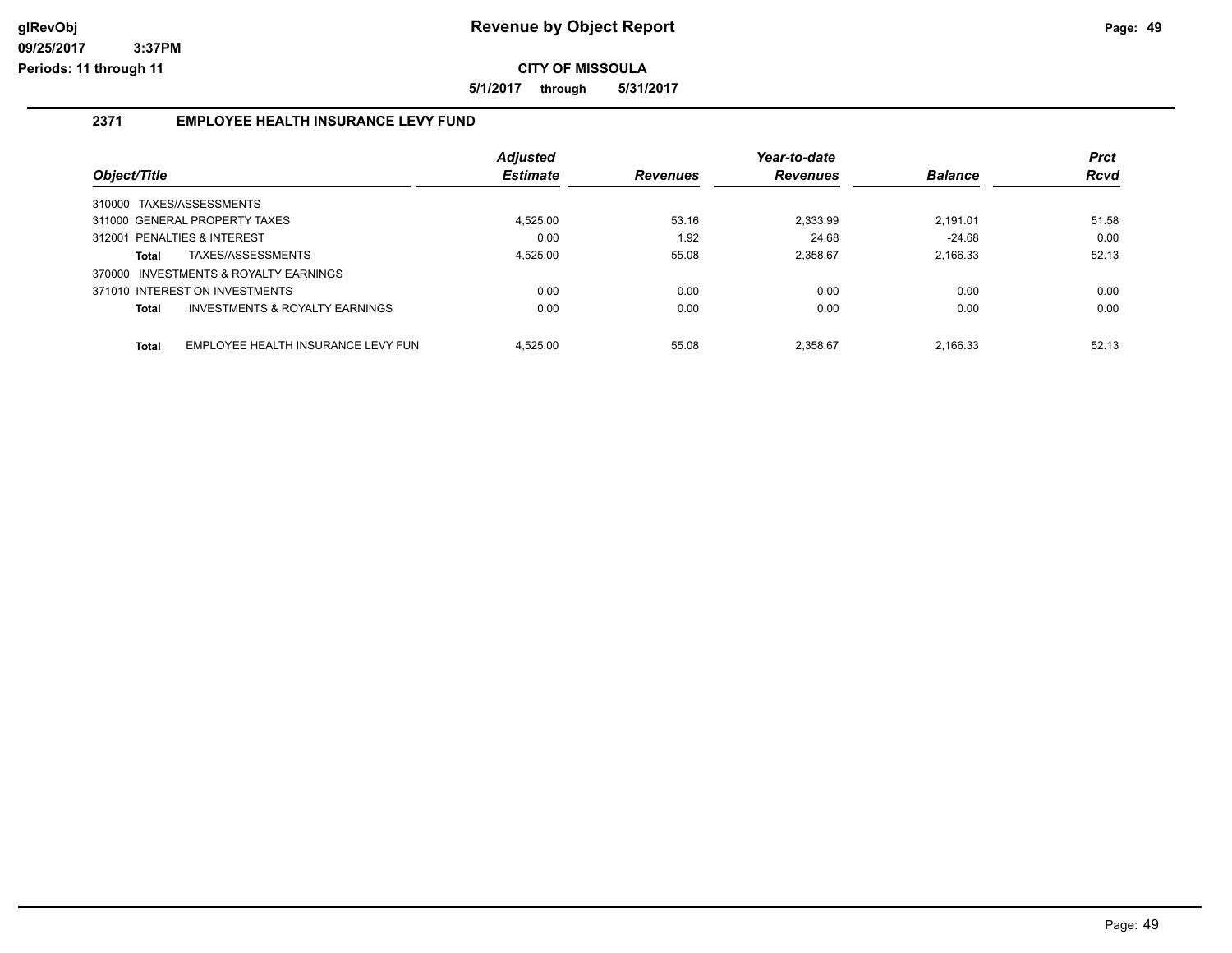**5/1/2017 through 5/31/2017**

#### **2371 EMPLOYEE HEALTH INSURANCE LEVY FUND**

|                                                    | <b>Adjusted</b> |                 | Year-to-date    |                | <b>Prct</b> |
|----------------------------------------------------|-----------------|-----------------|-----------------|----------------|-------------|
| Object/Title                                       | <b>Estimate</b> | <b>Revenues</b> | <b>Revenues</b> | <b>Balance</b> | <b>Rcvd</b> |
| 310000 TAXES/ASSESSMENTS                           |                 |                 |                 |                |             |
| 311000 GENERAL PROPERTY TAXES                      | 4.525.00        | 53.16           | 2.333.99        | 2.191.01       | 51.58       |
| 312001 PENALTIES & INTEREST                        | 0.00            | 1.92            | 24.68           | $-24.68$       | 0.00        |
| TAXES/ASSESSMENTS<br>Total                         | 4.525.00        | 55.08           | 2.358.67        | 2.166.33       | 52.13       |
| 370000 INVESTMENTS & ROYALTY EARNINGS              |                 |                 |                 |                |             |
| 371010 INTEREST ON INVESTMENTS                     | 0.00            | 0.00            | 0.00            | 0.00           | 0.00        |
| <b>INVESTMENTS &amp; ROYALTY EARNINGS</b><br>Total | 0.00            | 0.00            | 0.00            | 0.00           | 0.00        |
|                                                    |                 |                 |                 |                |             |
| Total<br>EMPLOYEE HEALTH INSURANCE LEVY FUN        | 4.525.00        | 55.08           | 2.358.67        | 2.166.33       | 52.13       |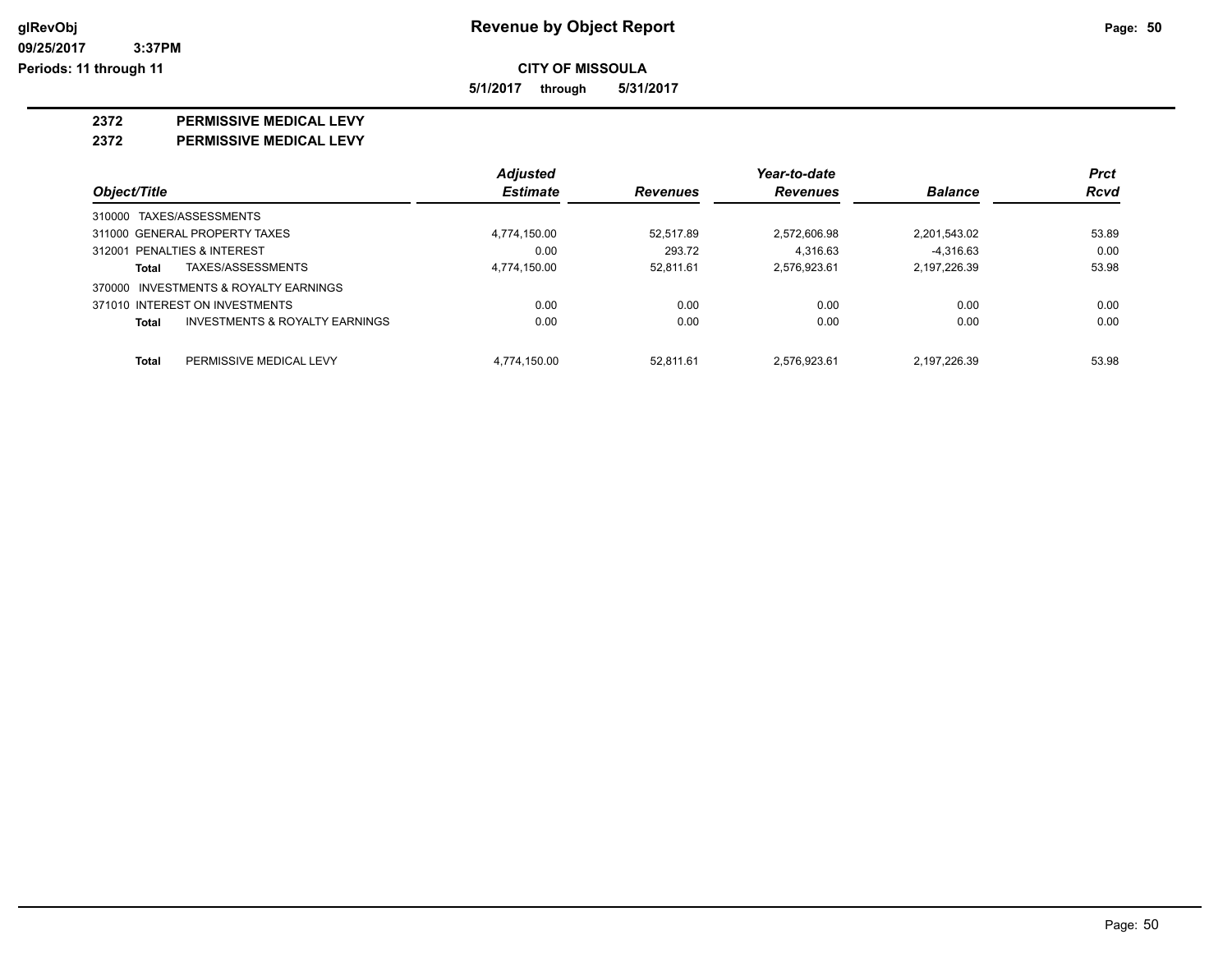**5/1/2017 through 5/31/2017**

**2372 PERMISSIVE MEDICAL LEVY**

**2372 PERMISSIVE MEDICAL LEVY**

|                                                    | <b>Adjusted</b> |                 | Year-to-date    |                | <b>Prct</b> |
|----------------------------------------------------|-----------------|-----------------|-----------------|----------------|-------------|
| Object/Title                                       | <b>Estimate</b> | <b>Revenues</b> | <b>Revenues</b> | <b>Balance</b> | Rcvd        |
| 310000 TAXES/ASSESSMENTS                           |                 |                 |                 |                |             |
| 311000 GENERAL PROPERTY TAXES                      | 4,774,150.00    | 52.517.89       | 2,572,606.98    | 2,201,543.02   | 53.89       |
| 312001 PENALTIES & INTEREST                        | 0.00            | 293.72          | 4.316.63        | $-4.316.63$    | 0.00        |
| TAXES/ASSESSMENTS<br>Total                         | 4.774.150.00    | 52.811.61       | 2.576.923.61    | 2.197.226.39   | 53.98       |
| 370000 INVESTMENTS & ROYALTY EARNINGS              |                 |                 |                 |                |             |
| 371010 INTEREST ON INVESTMENTS                     | 0.00            | 0.00            | 0.00            | 0.00           | 0.00        |
| <b>INVESTMENTS &amp; ROYALTY EARNINGS</b><br>Total | 0.00            | 0.00            | 0.00            | 0.00           | 0.00        |
| PERMISSIVE MEDICAL LEVY<br>Total                   | 4.774.150.00    | 52.811.61       | 2.576.923.61    | 2.197.226.39   | 53.98       |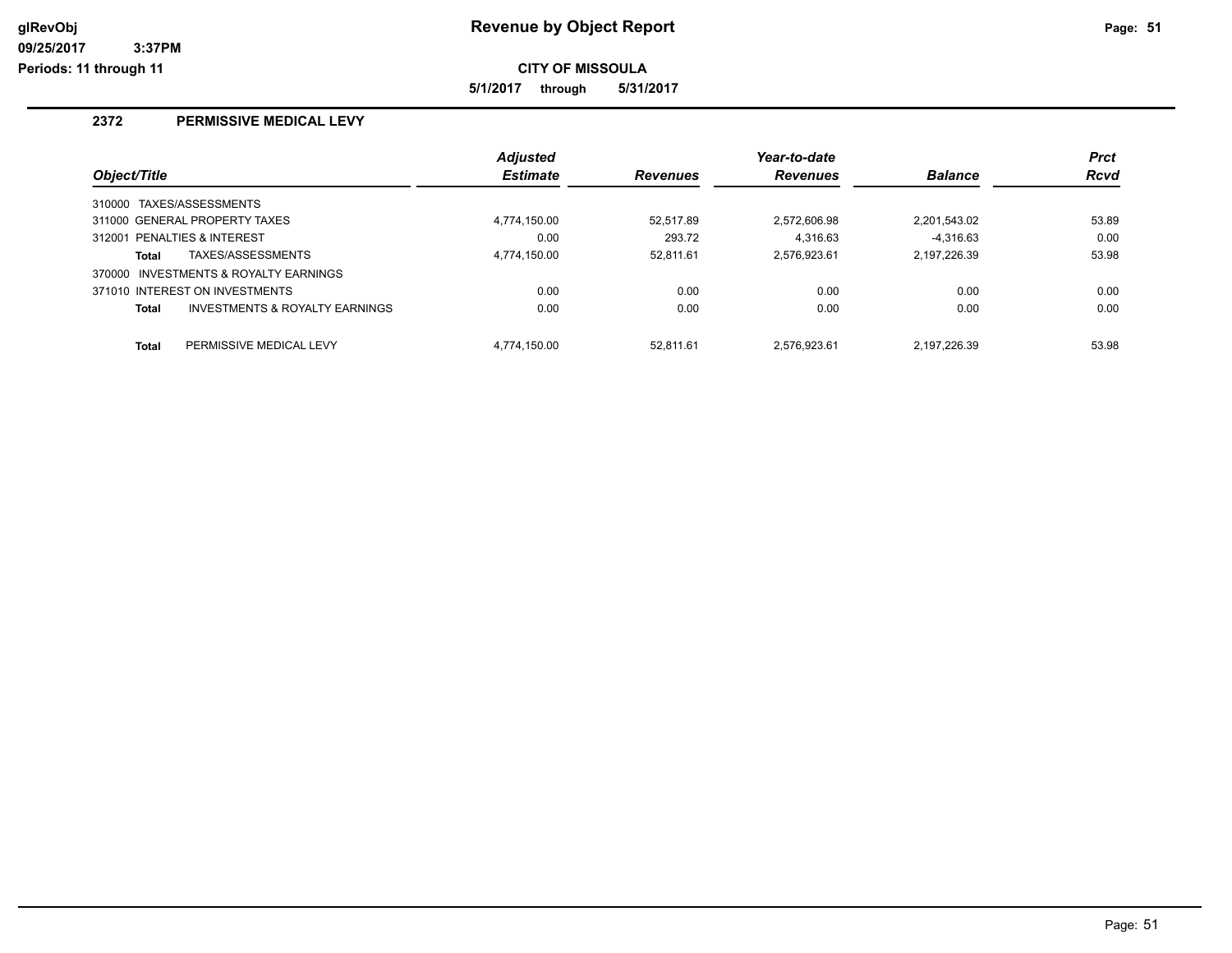**5/1/2017 through 5/31/2017**

#### **2372 PERMISSIVE MEDICAL LEVY**

|              |                                       | <b>Adjusted</b> |                 | Year-to-date    |                | <b>Prct</b> |
|--------------|---------------------------------------|-----------------|-----------------|-----------------|----------------|-------------|
| Object/Title |                                       | <b>Estimate</b> | <b>Revenues</b> | <b>Revenues</b> | <b>Balance</b> | <b>Rcvd</b> |
|              | 310000 TAXES/ASSESSMENTS              |                 |                 |                 |                |             |
|              | 311000 GENERAL PROPERTY TAXES         | 4,774,150.00    | 52.517.89       | 2.572.606.98    | 2,201,543.02   | 53.89       |
|              | 312001 PENALTIES & INTEREST           | 0.00            | 293.72          | 4.316.63        | $-4.316.63$    | 0.00        |
| <b>Total</b> | TAXES/ASSESSMENTS                     | 4,774,150.00    | 52.811.61       | 2.576.923.61    | 2.197.226.39   | 53.98       |
|              | 370000 INVESTMENTS & ROYALTY EARNINGS |                 |                 |                 |                |             |
|              | 371010 INTEREST ON INVESTMENTS        | 0.00            | 0.00            | 0.00            | 0.00           | 0.00        |
| <b>Total</b> | INVESTMENTS & ROYALTY EARNINGS        | 0.00            | 0.00            | 0.00            | 0.00           | 0.00        |
| <b>Total</b> | PERMISSIVE MEDICAL LEVY               | 4,774,150.00    | 52.811.61       | 2.576.923.61    | 2.197.226.39   | 53.98       |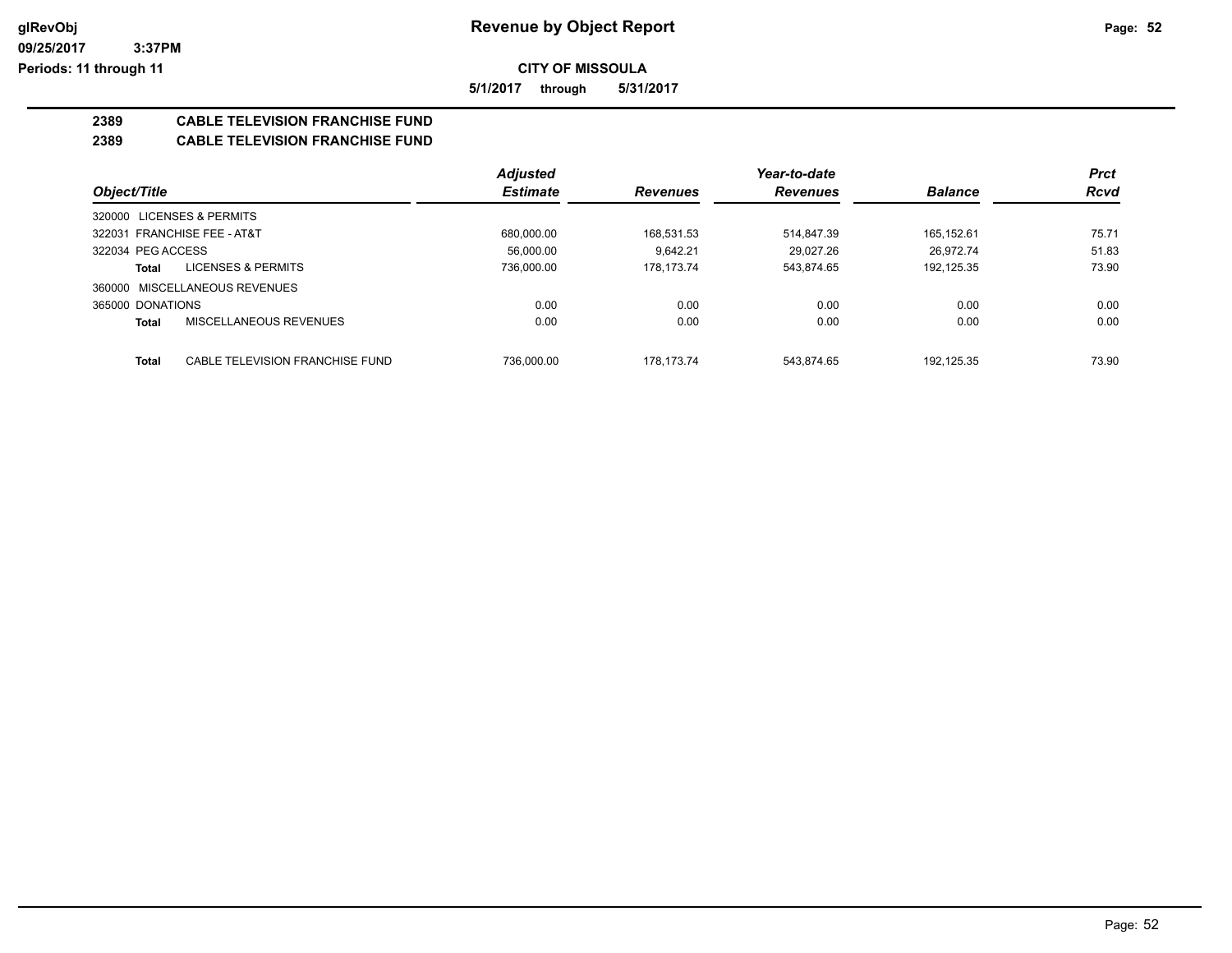**5/1/2017 through 5/31/2017**

# **2389 CABLE TELEVISION FRANCHISE FUND**

## **2389 CABLE TELEVISION FRANCHISE FUND**

|                                                 | <b>Adjusted</b> |                 | Year-to-date    |                | <b>Prct</b> |
|-------------------------------------------------|-----------------|-----------------|-----------------|----------------|-------------|
| Object/Title                                    | <b>Estimate</b> | <b>Revenues</b> | <b>Revenues</b> | <b>Balance</b> | <b>Rcvd</b> |
| <b>LICENSES &amp; PERMITS</b><br>320000         |                 |                 |                 |                |             |
| 322031 FRANCHISE FEE - AT&T                     | 680.000.00      | 168.531.53      | 514.847.39      | 165.152.61     | 75.71       |
| 322034 PEG ACCESS                               | 56,000.00       | 9.642.21        | 29.027.26       | 26.972.74      | 51.83       |
| <b>LICENSES &amp; PERMITS</b><br>Total          | 736.000.00      | 178.173.74      | 543.874.65      | 192.125.35     | 73.90       |
| 360000 MISCELLANEOUS REVENUES                   |                 |                 |                 |                |             |
| 365000 DONATIONS                                | 0.00            | 0.00            | 0.00            | 0.00           | 0.00        |
| MISCELLANEOUS REVENUES<br><b>Total</b>          | 0.00            | 0.00            | 0.00            | 0.00           | 0.00        |
| <b>Total</b><br>CABLE TELEVISION FRANCHISE FUND | 736.000.00      | 178.173.74      | 543.874.65      | 192.125.35     | 73.90       |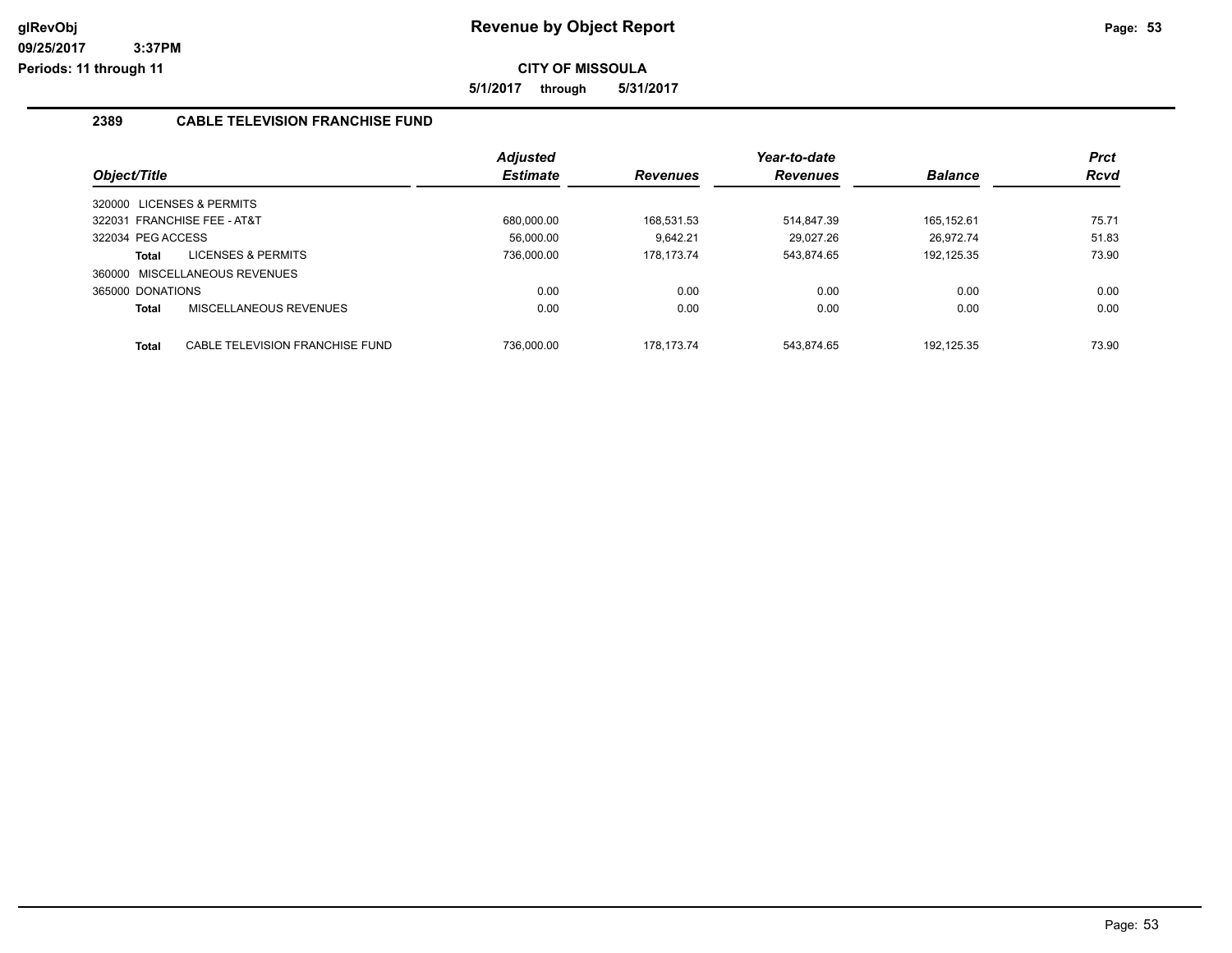**5/1/2017 through 5/31/2017**

#### **2389 CABLE TELEVISION FRANCHISE FUND**

|                   |                                 | <b>Adjusted</b> |                 | Year-to-date    |                | <b>Prct</b> |
|-------------------|---------------------------------|-----------------|-----------------|-----------------|----------------|-------------|
| Obiect/Title      |                                 | <b>Estimate</b> | <b>Revenues</b> | <b>Revenues</b> | <b>Balance</b> | <b>Rcvd</b> |
|                   | 320000 LICENSES & PERMITS       |                 |                 |                 |                |             |
|                   | 322031 FRANCHISE FEE - AT&T     | 680.000.00      | 168.531.53      | 514.847.39      | 165.152.61     | 75.71       |
| 322034 PEG ACCESS |                                 | 56.000.00       | 9.642.21        | 29.027.26       | 26.972.74      | 51.83       |
| Total             | <b>LICENSES &amp; PERMITS</b>   | 736.000.00      | 178.173.74      | 543.874.65      | 192.125.35     | 73.90       |
|                   | 360000 MISCELLANEOUS REVENUES   |                 |                 |                 |                |             |
| 365000 DONATIONS  |                                 | 0.00            | 0.00            | 0.00            | 0.00           | 0.00        |
| <b>Total</b>      | MISCELLANEOUS REVENUES          | 0.00            | 0.00            | 0.00            | 0.00           | 0.00        |
|                   |                                 |                 |                 |                 |                |             |
| <b>Total</b>      | CABLE TELEVISION FRANCHISE FUND | 736.000.00      | 178.173.74      | 543.874.65      | 192.125.35     | 73.90       |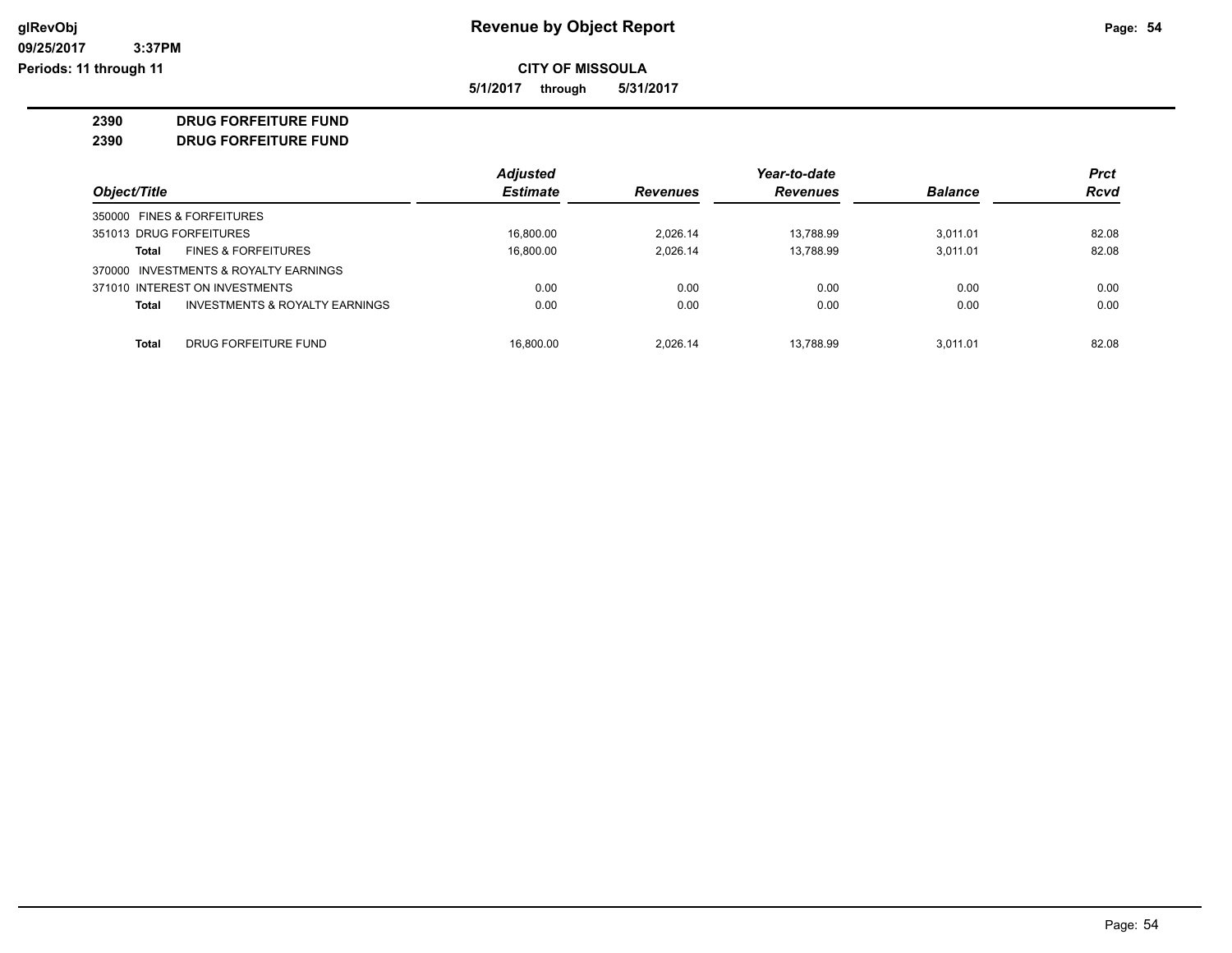**5/1/2017 through 5/31/2017**

#### **2390 DRUG FORFEITURE FUND**

**2390 DRUG FORFEITURE FUND**

|                                                           | <b>Adjusted</b> |                 | Year-to-date    |                | <b>Prct</b> |
|-----------------------------------------------------------|-----------------|-----------------|-----------------|----------------|-------------|
| Object/Title                                              | <b>Estimate</b> | <b>Revenues</b> | <b>Revenues</b> | <b>Balance</b> | <b>Rcvd</b> |
| 350000 FINES & FORFEITURES                                |                 |                 |                 |                |             |
| 351013 DRUG FORFEITURES                                   | 16.800.00       | 2.026.14        | 13.788.99       | 3.011.01       | 82.08       |
| <b>FINES &amp; FORFEITURES</b><br><b>Total</b>            | 16,800.00       | 2,026.14        | 13,788.99       | 3.011.01       | 82.08       |
| 370000 INVESTMENTS & ROYALTY EARNINGS                     |                 |                 |                 |                |             |
| 371010 INTEREST ON INVESTMENTS                            | 0.00            | 0.00            | 0.00            | 0.00           | 0.00        |
| <b>INVESTMENTS &amp; ROYALTY EARNINGS</b><br><b>Total</b> | 0.00            | 0.00            | 0.00            | 0.00           | 0.00        |
| DRUG FORFEITURE FUND<br><b>Total</b>                      | 16.800.00       | 2.026.14        | 13.788.99       | 3.011.01       | 82.08       |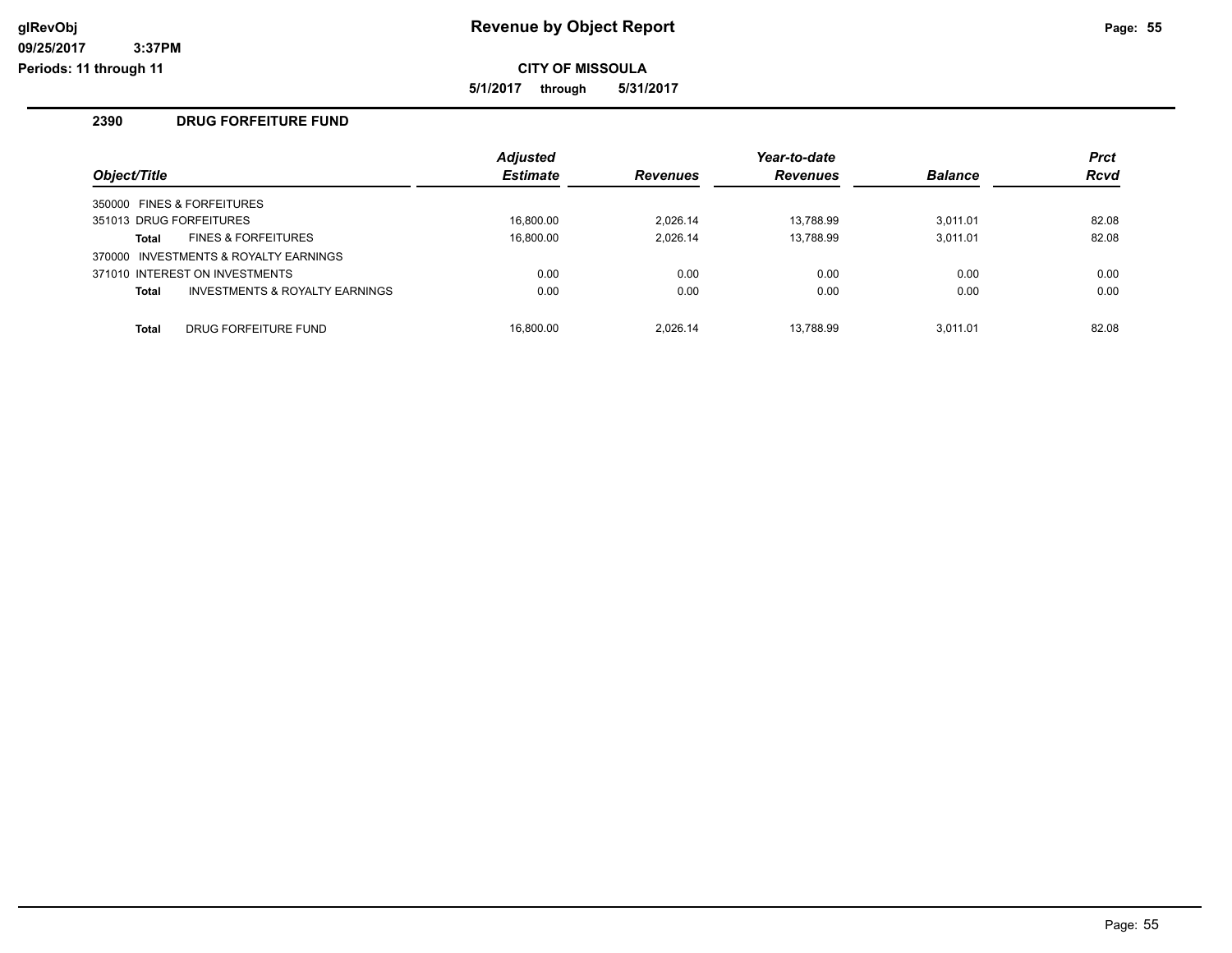**CITY OF MISSOULA**

**5/1/2017 through 5/31/2017**

#### **2390 DRUG FORFEITURE FUND**

 **3:37PM**

|                                                |                                           | <b>Adjusted</b> |                 | Year-to-date    |                | <b>Prct</b> |
|------------------------------------------------|-------------------------------------------|-----------------|-----------------|-----------------|----------------|-------------|
| Object/Title                                   |                                           | <b>Estimate</b> | <b>Revenues</b> | <b>Revenues</b> | <b>Balance</b> | <b>Rcvd</b> |
| 350000 FINES & FORFEITURES                     |                                           |                 |                 |                 |                |             |
| 351013 DRUG FORFEITURES                        |                                           | 16.800.00       | 2.026.14        | 13.788.99       | 3.011.01       | 82.08       |
| <b>FINES &amp; FORFEITURES</b><br><b>Total</b> |                                           | 16,800.00       | 2,026.14        | 13.788.99       | 3.011.01       | 82.08       |
| INVESTMENTS & ROYALTY EARNINGS<br>370000       |                                           |                 |                 |                 |                |             |
| 371010 INTEREST ON INVESTMENTS                 |                                           | 0.00            | 0.00            | 0.00            | 0.00           | 0.00        |
| <b>Total</b>                                   | <b>INVESTMENTS &amp; ROYALTY EARNINGS</b> | 0.00            | 0.00            | 0.00            | 0.00           | 0.00        |
| Total                                          | DRUG FORFEITURE FUND                      | 16.800.00       | 2.026.14        | 13.788.99       | 3.011.01       | 82.08       |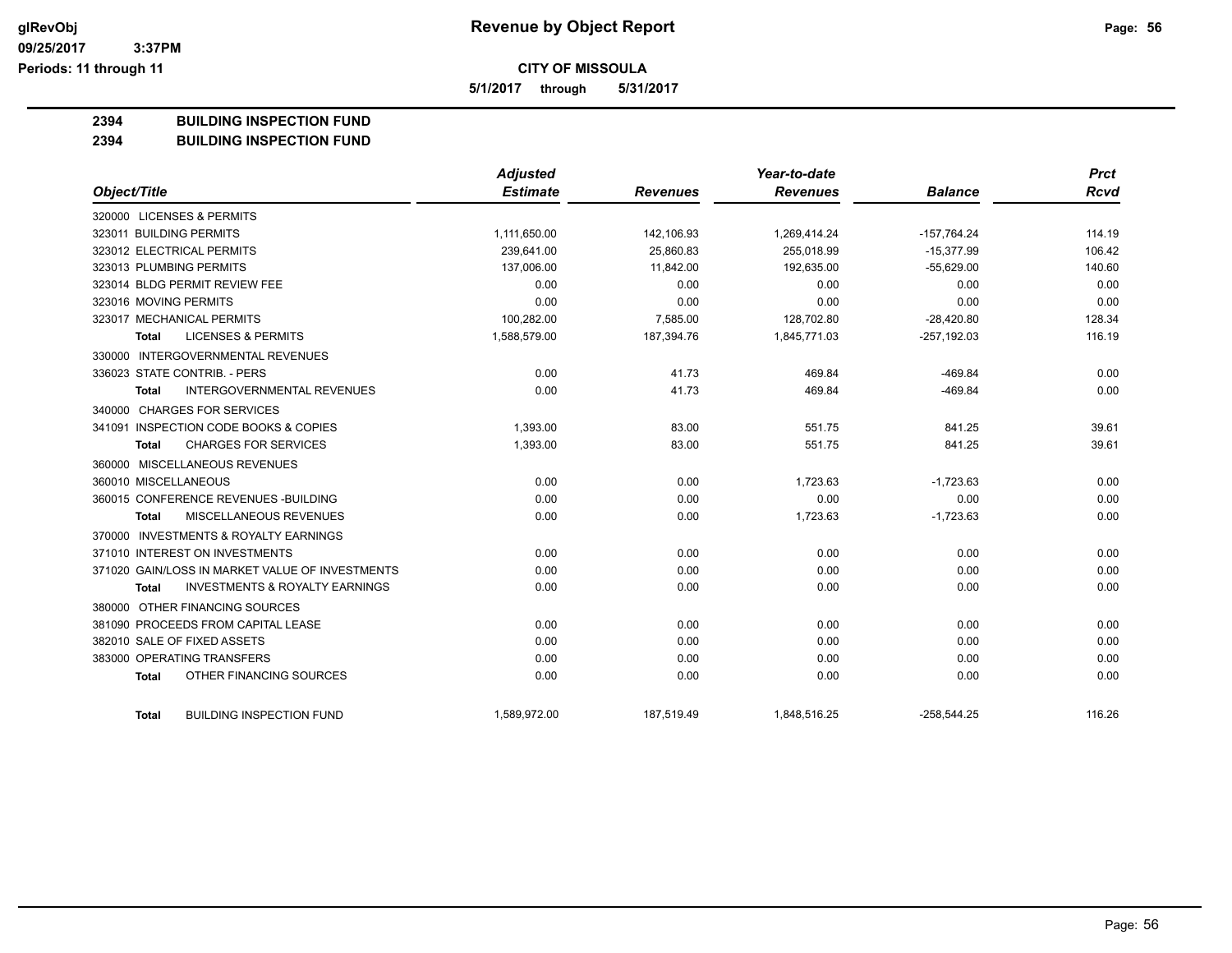**5/1/2017 through 5/31/2017**

#### **2394 BUILDING INSPECTION FUND**

#### **2394 BUILDING INSPECTION FUND**

|                                                    | <b>Adjusted</b> |                 | Year-to-date    |                | <b>Prct</b> |
|----------------------------------------------------|-----------------|-----------------|-----------------|----------------|-------------|
| Object/Title                                       | <b>Estimate</b> | <b>Revenues</b> | <b>Revenues</b> | <b>Balance</b> | Rcvd        |
| 320000 LICENSES & PERMITS                          |                 |                 |                 |                |             |
| 323011 BUILDING PERMITS                            | 1,111,650.00    | 142,106.93      | 1,269,414.24    | $-157,764.24$  | 114.19      |
| 323012 ELECTRICAL PERMITS                          | 239,641.00      | 25,860.83       | 255,018.99      | $-15,377.99$   | 106.42      |
| 323013 PLUMBING PERMITS                            | 137,006.00      | 11,842.00       | 192,635.00      | $-55,629.00$   | 140.60      |
| 323014 BLDG PERMIT REVIEW FEE                      | 0.00            | 0.00            | 0.00            | 0.00           | 0.00        |
| 323016 MOVING PERMITS                              | 0.00            | 0.00            | 0.00            | 0.00           | 0.00        |
| 323017 MECHANICAL PERMITS                          | 100,282.00      | 7,585.00        | 128,702.80      | $-28,420.80$   | 128.34      |
| <b>LICENSES &amp; PERMITS</b><br>Total             | 1,588,579.00    | 187,394.76      | 1,845,771.03    | $-257,192.03$  | 116.19      |
| 330000 INTERGOVERNMENTAL REVENUES                  |                 |                 |                 |                |             |
| 336023 STATE CONTRIB. - PERS                       | 0.00            | 41.73           | 469.84          | $-469.84$      | 0.00        |
| <b>INTERGOVERNMENTAL REVENUES</b><br>Total         | 0.00            | 41.73           | 469.84          | $-469.84$      | 0.00        |
| 340000 CHARGES FOR SERVICES                        |                 |                 |                 |                |             |
| 341091 INSPECTION CODE BOOKS & COPIES              | 1,393.00        | 83.00           | 551.75          | 841.25         | 39.61       |
| <b>CHARGES FOR SERVICES</b><br>Total               | 1,393.00        | 83.00           | 551.75          | 841.25         | 39.61       |
| MISCELLANEOUS REVENUES<br>360000                   |                 |                 |                 |                |             |
| 360010 MISCELLANEOUS                               | 0.00            | 0.00            | 1,723.63        | $-1,723.63$    | 0.00        |
| 360015 CONFERENCE REVENUES - BUILDING              | 0.00            | 0.00            | 0.00            | 0.00           | 0.00        |
| MISCELLANEOUS REVENUES<br><b>Total</b>             | 0.00            | 0.00            | 1,723.63        | $-1,723.63$    | 0.00        |
| 370000 INVESTMENTS & ROYALTY EARNINGS              |                 |                 |                 |                |             |
| 371010 INTEREST ON INVESTMENTS                     | 0.00            | 0.00            | 0.00            | 0.00           | 0.00        |
| 371020 GAIN/LOSS IN MARKET VALUE OF INVESTMENTS    | 0.00            | 0.00            | 0.00            | 0.00           | 0.00        |
| <b>INVESTMENTS &amp; ROYALTY EARNINGS</b><br>Total | 0.00            | 0.00            | 0.00            | 0.00           | 0.00        |
| 380000 OTHER FINANCING SOURCES                     |                 |                 |                 |                |             |
| 381090 PROCEEDS FROM CAPITAL LEASE                 | 0.00            | 0.00            | 0.00            | 0.00           | 0.00        |
| 382010 SALE OF FIXED ASSETS                        | 0.00            | 0.00            | 0.00            | 0.00           | 0.00        |
| 383000 OPERATING TRANSFERS                         | 0.00            | 0.00            | 0.00            | 0.00           | 0.00        |
| OTHER FINANCING SOURCES<br><b>Total</b>            | 0.00            | 0.00            | 0.00            | 0.00           | 0.00        |
| <b>BUILDING INSPECTION FUND</b><br><b>Total</b>    | 1,589,972.00    | 187,519.49      | 1,848,516.25    | $-258,544.25$  | 116.26      |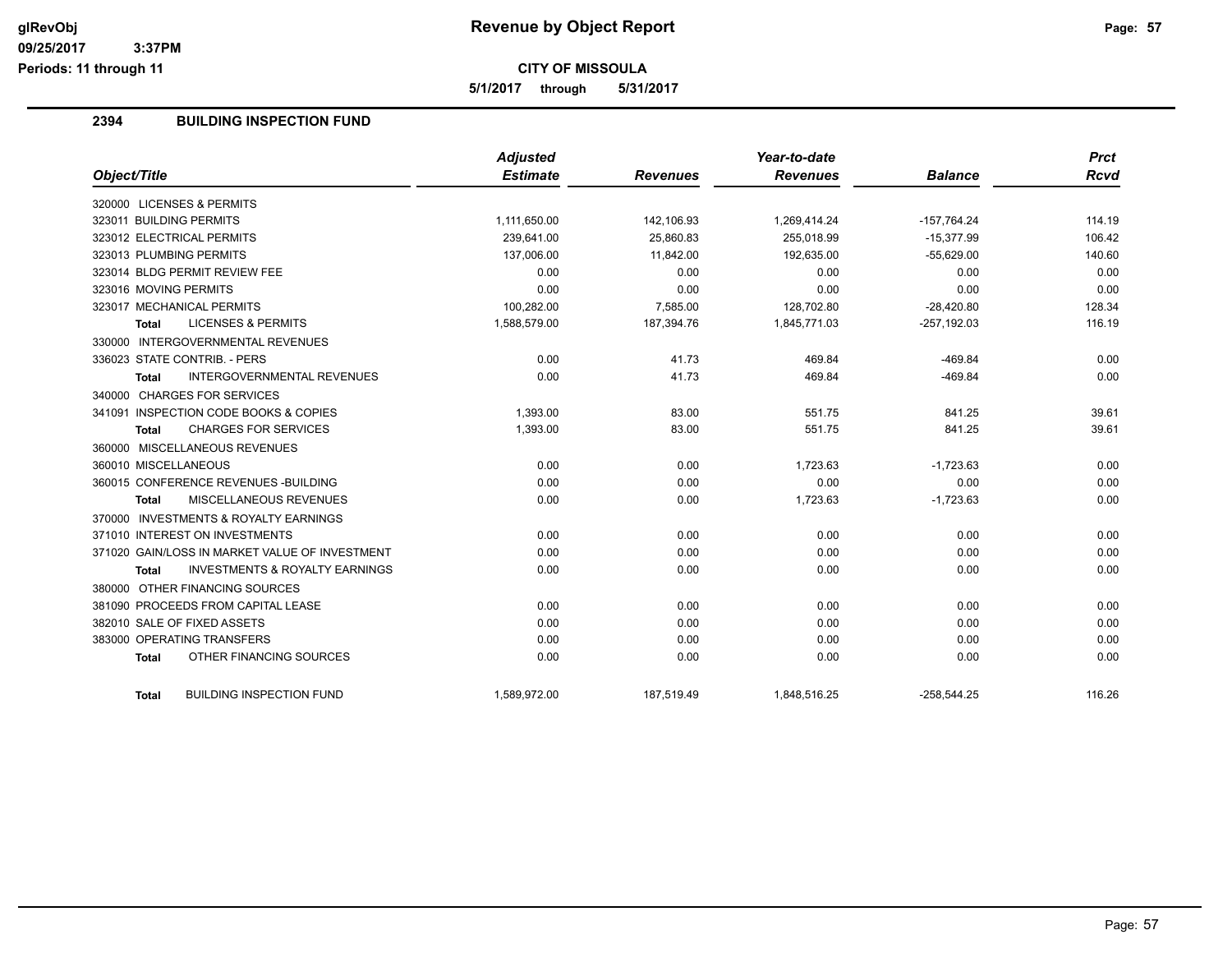**CITY OF MISSOULA**

**5/1/2017 through 5/31/2017**

#### **2394 BUILDING INSPECTION FUND**

 **3:37PM**

|                                                           | <b>Adjusted</b> |                 | Year-to-date    |                | <b>Prct</b> |
|-----------------------------------------------------------|-----------------|-----------------|-----------------|----------------|-------------|
| Object/Title                                              | <b>Estimate</b> | <b>Revenues</b> | <b>Revenues</b> | <b>Balance</b> | <b>Rcvd</b> |
| 320000 LICENSES & PERMITS                                 |                 |                 |                 |                |             |
| 323011 BUILDING PERMITS                                   | 1,111,650.00    | 142,106.93      | 1,269,414.24    | $-157,764.24$  | 114.19      |
| 323012 ELECTRICAL PERMITS                                 | 239,641.00      | 25,860.83       | 255,018.99      | $-15,377.99$   | 106.42      |
| 323013 PLUMBING PERMITS                                   | 137,006.00      | 11,842.00       | 192,635.00      | $-55,629.00$   | 140.60      |
| 323014 BLDG PERMIT REVIEW FEE                             | 0.00            | 0.00            | 0.00            | 0.00           | 0.00        |
| 323016 MOVING PERMITS                                     | 0.00            | 0.00            | 0.00            | 0.00           | 0.00        |
| 323017 MECHANICAL PERMITS                                 | 100,282.00      | 7,585.00        | 128,702.80      | $-28,420.80$   | 128.34      |
| <b>LICENSES &amp; PERMITS</b><br><b>Total</b>             | 1,588,579.00    | 187,394.76      | 1,845,771.03    | $-257,192.03$  | 116.19      |
| 330000 INTERGOVERNMENTAL REVENUES                         |                 |                 |                 |                |             |
| 336023 STATE CONTRIB. - PERS                              | 0.00            | 41.73           | 469.84          | $-469.84$      | 0.00        |
| <b>INTERGOVERNMENTAL REVENUES</b><br><b>Total</b>         | 0.00            | 41.73           | 469.84          | $-469.84$      | 0.00        |
| 340000 CHARGES FOR SERVICES                               |                 |                 |                 |                |             |
| 341091 INSPECTION CODE BOOKS & COPIES                     | 1.393.00        | 83.00           | 551.75          | 841.25         | 39.61       |
| <b>CHARGES FOR SERVICES</b><br>Total                      | 1,393.00        | 83.00           | 551.75          | 841.25         | 39.61       |
| 360000 MISCELLANEOUS REVENUES                             |                 |                 |                 |                |             |
| 360010 MISCELLANEOUS                                      | 0.00            | 0.00            | 1,723.63        | $-1,723.63$    | 0.00        |
| 360015 CONFERENCE REVENUES - BUILDING                     | 0.00            | 0.00            | 0.00            | 0.00           | 0.00        |
| MISCELLANEOUS REVENUES<br><b>Total</b>                    | 0.00            | 0.00            | 1,723.63        | $-1,723.63$    | 0.00        |
| 370000 INVESTMENTS & ROYALTY EARNINGS                     |                 |                 |                 |                |             |
| 371010 INTEREST ON INVESTMENTS                            | 0.00            | 0.00            | 0.00            | 0.00           | 0.00        |
| 371020 GAIN/LOSS IN MARKET VALUE OF INVESTMENT            | 0.00            | 0.00            | 0.00            | 0.00           | 0.00        |
| <b>INVESTMENTS &amp; ROYALTY EARNINGS</b><br><b>Total</b> | 0.00            | 0.00            | 0.00            | 0.00           | 0.00        |
| 380000 OTHER FINANCING SOURCES                            |                 |                 |                 |                |             |
| 381090 PROCEEDS FROM CAPITAL LEASE                        | 0.00            | 0.00            | 0.00            | 0.00           | 0.00        |
| 382010 SALE OF FIXED ASSETS                               | 0.00            | 0.00            | 0.00            | 0.00           | 0.00        |
| 383000 OPERATING TRANSFERS                                | 0.00            | 0.00            | 0.00            | 0.00           | 0.00        |
| OTHER FINANCING SOURCES<br><b>Total</b>                   | 0.00            | 0.00            | 0.00            | 0.00           | 0.00        |
| <b>BUILDING INSPECTION FUND</b><br><b>Total</b>           | 1,589,972.00    | 187,519.49      | 1,848,516.25    | $-258,544.25$  | 116.26      |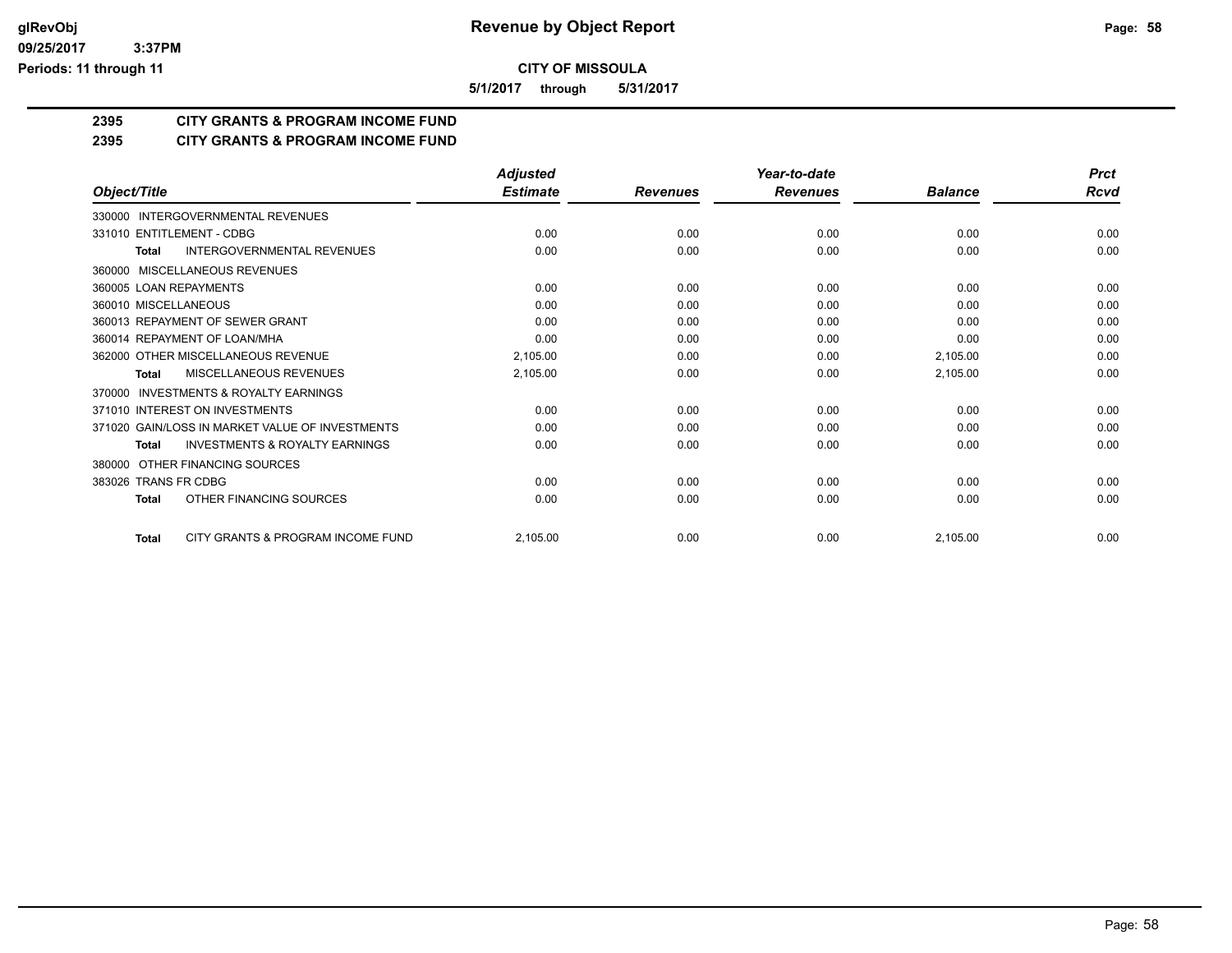**3:37PM**

**CITY OF MISSOULA**

**5/1/2017 through 5/31/2017**

# **2395 CITY GRANTS & PROGRAM INCOME FUND**

## **2395 CITY GRANTS & PROGRAM INCOME FUND**

|                                                           | <b>Adjusted</b> |                 | Year-to-date    |                | <b>Prct</b> |
|-----------------------------------------------------------|-----------------|-----------------|-----------------|----------------|-------------|
| Object/Title                                              | <b>Estimate</b> | <b>Revenues</b> | <b>Revenues</b> | <b>Balance</b> | Rcvd        |
| 330000 INTERGOVERNMENTAL REVENUES                         |                 |                 |                 |                |             |
| 331010 ENTITLEMENT - CDBG                                 | 0.00            | 0.00            | 0.00            | 0.00           | 0.00        |
| <b>INTERGOVERNMENTAL REVENUES</b><br><b>Total</b>         | 0.00            | 0.00            | 0.00            | 0.00           | 0.00        |
| 360000 MISCELLANEOUS REVENUES                             |                 |                 |                 |                |             |
| 360005 LOAN REPAYMENTS                                    | 0.00            | 0.00            | 0.00            | 0.00           | 0.00        |
| 360010 MISCELLANEOUS                                      | 0.00            | 0.00            | 0.00            | 0.00           | 0.00        |
| 360013 REPAYMENT OF SEWER GRANT                           | 0.00            | 0.00            | 0.00            | 0.00           | 0.00        |
| 360014 REPAYMENT OF LOAN/MHA                              | 0.00            | 0.00            | 0.00            | 0.00           | 0.00        |
| 362000 OTHER MISCELLANEOUS REVENUE                        | 2,105.00        | 0.00            | 0.00            | 2,105.00       | 0.00        |
| <b>MISCELLANEOUS REVENUES</b><br><b>Total</b>             | 2,105.00        | 0.00            | 0.00            | 2,105.00       | 0.00        |
| INVESTMENTS & ROYALTY EARNINGS<br>370000                  |                 |                 |                 |                |             |
| 371010 INTEREST ON INVESTMENTS                            | 0.00            | 0.00            | 0.00            | 0.00           | 0.00        |
| 371020 GAIN/LOSS IN MARKET VALUE OF INVESTMENTS           | 0.00            | 0.00            | 0.00            | 0.00           | 0.00        |
| <b>INVESTMENTS &amp; ROYALTY EARNINGS</b><br><b>Total</b> | 0.00            | 0.00            | 0.00            | 0.00           | 0.00        |
| OTHER FINANCING SOURCES<br>380000                         |                 |                 |                 |                |             |
| 383026 TRANS FR CDBG                                      | 0.00            | 0.00            | 0.00            | 0.00           | 0.00        |
| OTHER FINANCING SOURCES<br><b>Total</b>                   | 0.00            | 0.00            | 0.00            | 0.00           | 0.00        |
| CITY GRANTS & PROGRAM INCOME FUND<br>Total                | 2,105.00        | 0.00            | 0.00            | 2,105.00       | 0.00        |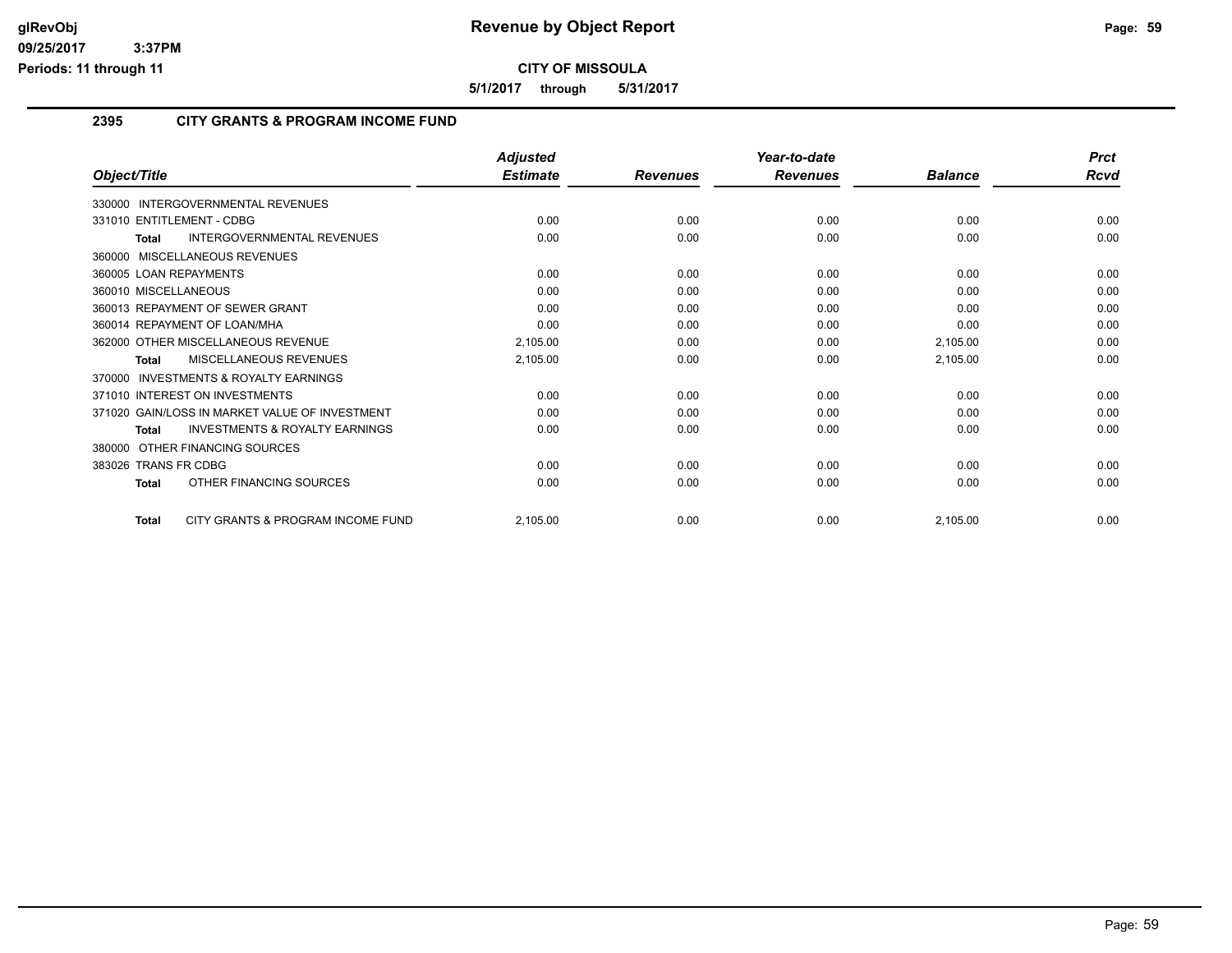**CITY OF MISSOULA**

**5/1/2017 through 5/31/2017**

#### **2395 CITY GRANTS & PROGRAM INCOME FUND**

|                                                           | <b>Adjusted</b> |                 | Year-to-date    |                | <b>Prct</b> |
|-----------------------------------------------------------|-----------------|-----------------|-----------------|----------------|-------------|
| Object/Title                                              | <b>Estimate</b> | <b>Revenues</b> | <b>Revenues</b> | <b>Balance</b> | Rcvd        |
| 330000 INTERGOVERNMENTAL REVENUES                         |                 |                 |                 |                |             |
| 331010 ENTITLEMENT - CDBG                                 | 0.00            | 0.00            | 0.00            | 0.00           | 0.00        |
| INTERGOVERNMENTAL REVENUES<br><b>Total</b>                | 0.00            | 0.00            | 0.00            | 0.00           | 0.00        |
| 360000 MISCELLANEOUS REVENUES                             |                 |                 |                 |                |             |
| 360005 LOAN REPAYMENTS                                    | 0.00            | 0.00            | 0.00            | 0.00           | 0.00        |
| 360010 MISCELLANEOUS                                      | 0.00            | 0.00            | 0.00            | 0.00           | 0.00        |
| 360013 REPAYMENT OF SEWER GRANT                           | 0.00            | 0.00            | 0.00            | 0.00           | 0.00        |
| 360014 REPAYMENT OF LOAN/MHA                              | 0.00            | 0.00            | 0.00            | 0.00           | 0.00        |
| 362000 OTHER MISCELLANEOUS REVENUE                        | 2,105.00        | 0.00            | 0.00            | 2,105.00       | 0.00        |
| MISCELLANEOUS REVENUES<br><b>Total</b>                    | 2,105.00        | 0.00            | 0.00            | 2,105.00       | 0.00        |
| <b>INVESTMENTS &amp; ROYALTY EARNINGS</b><br>370000       |                 |                 |                 |                |             |
| 371010 INTEREST ON INVESTMENTS                            | 0.00            | 0.00            | 0.00            | 0.00           | 0.00        |
| 371020 GAIN/LOSS IN MARKET VALUE OF INVESTMENT            | 0.00            | 0.00            | 0.00            | 0.00           | 0.00        |
| <b>INVESTMENTS &amp; ROYALTY EARNINGS</b><br><b>Total</b> | 0.00            | 0.00            | 0.00            | 0.00           | 0.00        |
| OTHER FINANCING SOURCES<br>380000                         |                 |                 |                 |                |             |
| 383026 TRANS FR CDBG                                      | 0.00            | 0.00            | 0.00            | 0.00           | 0.00        |
| OTHER FINANCING SOURCES<br><b>Total</b>                   | 0.00            | 0.00            | 0.00            | 0.00           | 0.00        |
| CITY GRANTS & PROGRAM INCOME FUND<br><b>Total</b>         | 2.105.00        | 0.00            | 0.00            | 2,105.00       | 0.00        |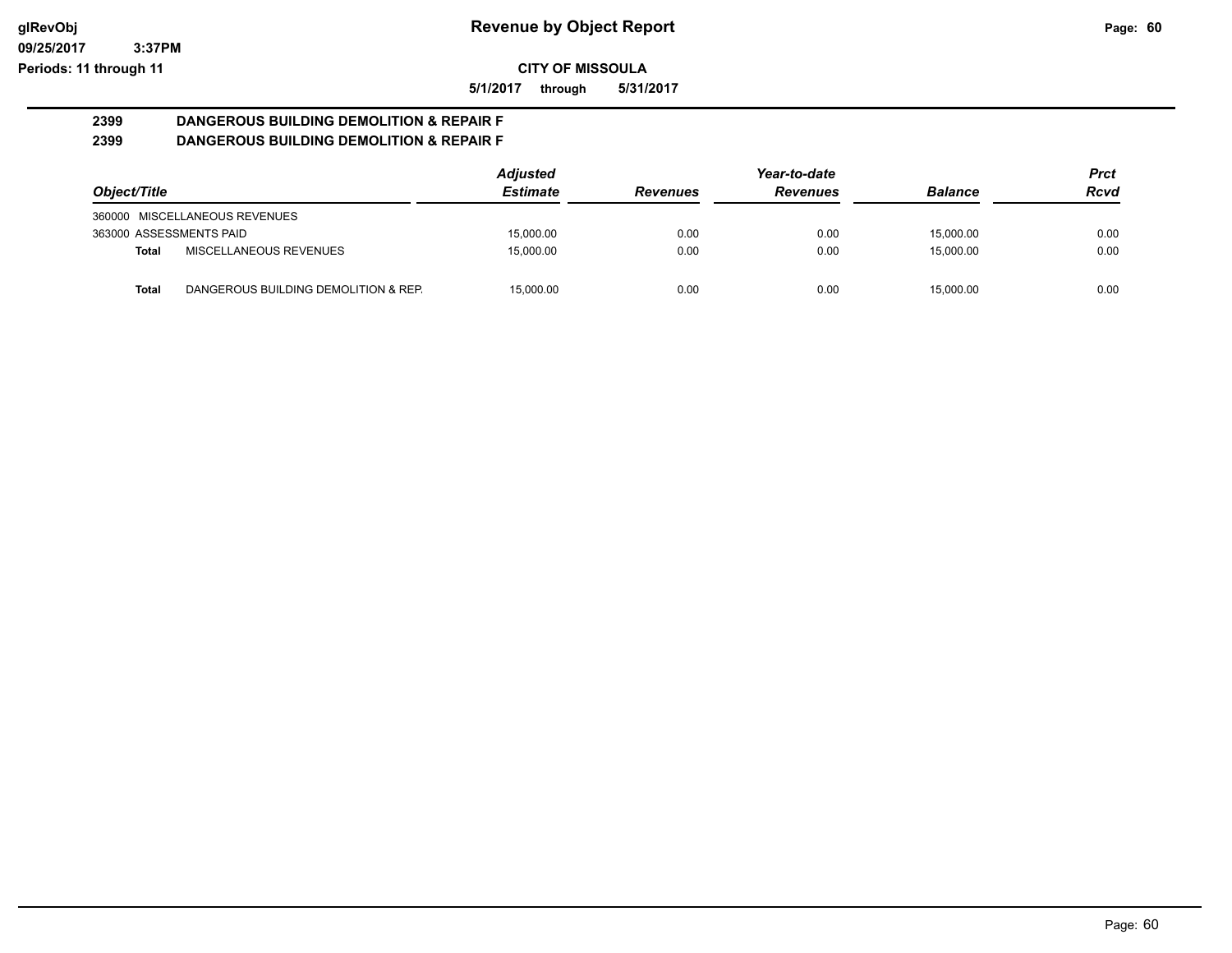**5/1/2017 through 5/31/2017**

#### **2399 DANGEROUS BUILDING DEMOLITION & REPAIR F 2399 DANGEROUS BUILDING DEMOLITION & REPAIR F**

|                         |                                      | <b>Adjusted</b> |                 | Year-to-date    |                | Prct |
|-------------------------|--------------------------------------|-----------------|-----------------|-----------------|----------------|------|
| Object/Title            |                                      | <b>Estimate</b> | <b>Revenues</b> | <b>Revenues</b> | <b>Balance</b> | Rcvd |
|                         | 360000 MISCELLANEOUS REVENUES        |                 |                 |                 |                |      |
| 363000 ASSESSMENTS PAID |                                      | 15,000.00       | 0.00            | 0.00            | 15,000.00      | 0.00 |
| Total                   | MISCELLANEOUS REVENUES               | 15.000.00       | 0.00            | 0.00            | 15,000.00      | 0.00 |
| <b>Total</b>            | DANGEROUS BUILDING DEMOLITION & REP. | 15.000.00       | 0.00            | 0.00            | 15,000.00      | 0.00 |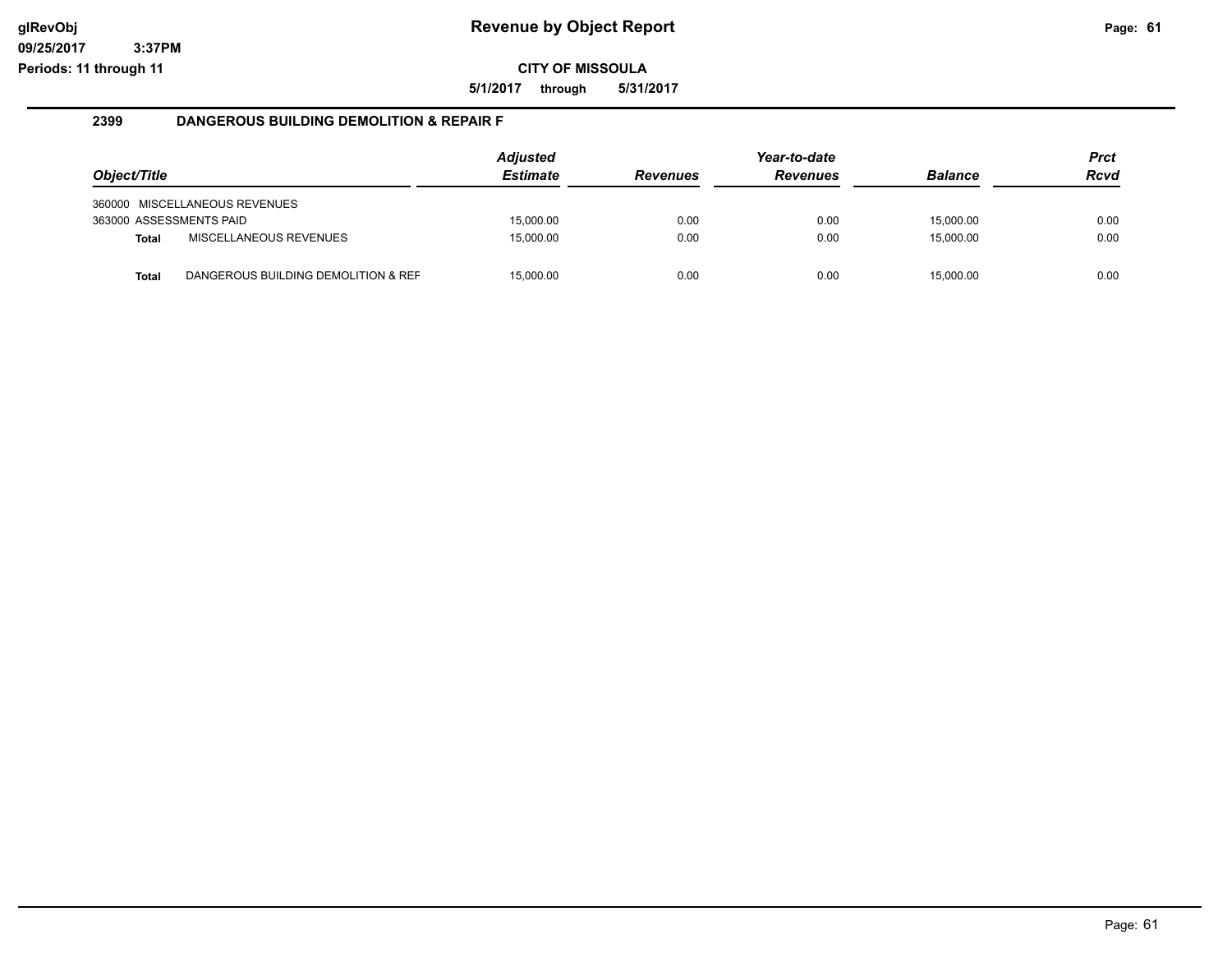**CITY OF MISSOULA**

**5/1/2017 through 5/31/2017**

#### **2399 DANGEROUS BUILDING DEMOLITION & REPAIR F**

|                         |                                     | <b>Adjusted</b> |                 | Year-to-date    |                | <b>Prct</b> |
|-------------------------|-------------------------------------|-----------------|-----------------|-----------------|----------------|-------------|
| Object/Title            |                                     | <b>Estimate</b> | <b>Revenues</b> | <b>Revenues</b> | <b>Balance</b> | <b>Rcvd</b> |
|                         | 360000 MISCELLANEOUS REVENUES       |                 |                 |                 |                |             |
| 363000 ASSESSMENTS PAID |                                     | 15.000.00       | 0.00            | 0.00            | 15.000.00      | 0.00        |
| <b>Total</b>            | MISCELLANEOUS REVENUES              | 15.000.00       | 0.00            | 0.00            | 15.000.00      | 0.00        |
|                         |                                     |                 |                 |                 |                |             |
| <b>Total</b>            | DANGEROUS BUILDING DEMOLITION & REF | 15,000.00       | 0.00            | 0.00            | 15.000.00      | 0.00        |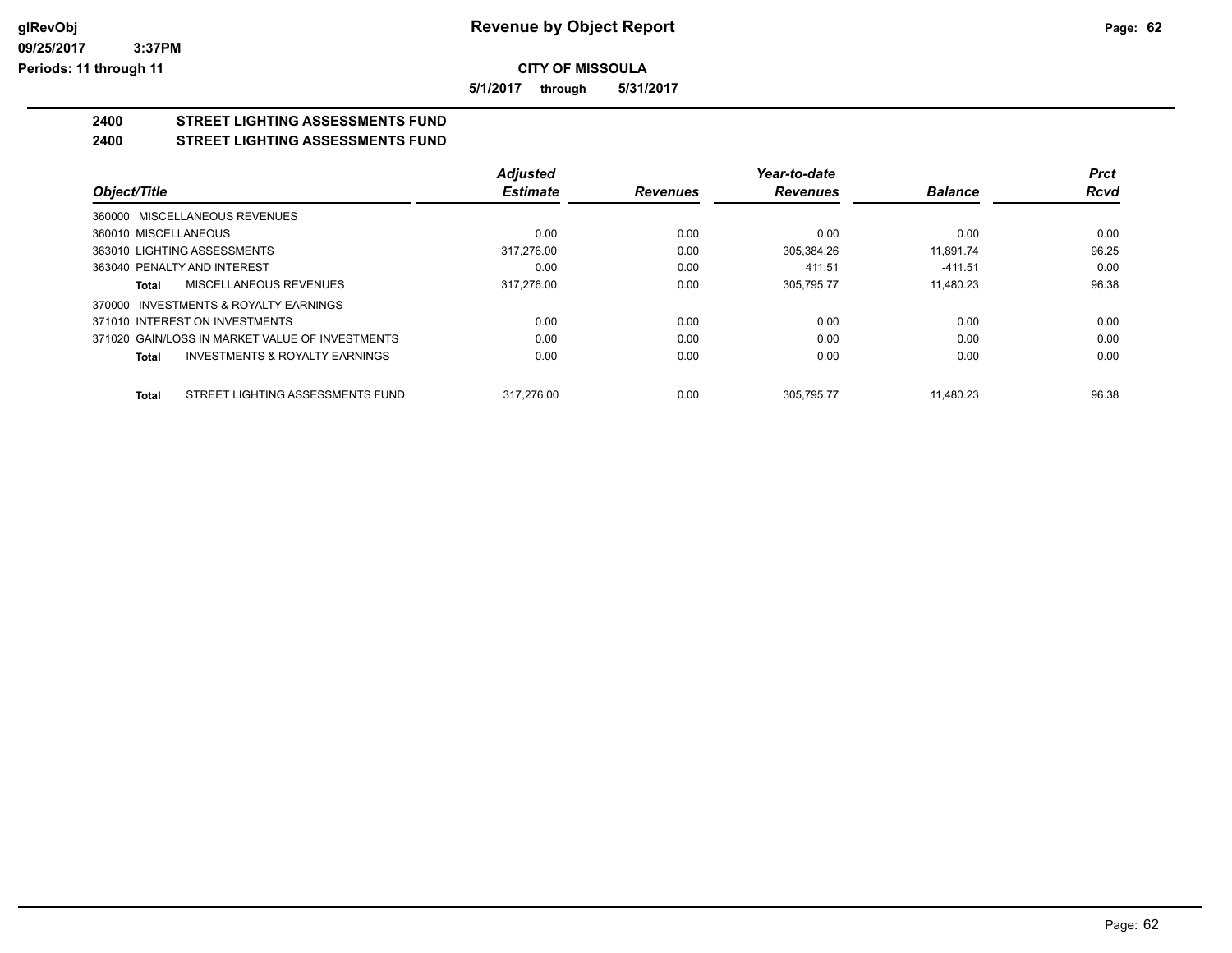**5/1/2017 through 5/31/2017**

# **2400 STREET LIGHTING ASSESSMENTS FUND**

## **2400 STREET LIGHTING ASSESSMENTS FUND**

|                                                           | <b>Adiusted</b> |                 | Year-to-date    |                | <b>Prct</b> |
|-----------------------------------------------------------|-----------------|-----------------|-----------------|----------------|-------------|
| Object/Title                                              | <b>Estimate</b> | <b>Revenues</b> | <b>Revenues</b> | <b>Balance</b> | <b>Rcvd</b> |
| 360000 MISCELLANEOUS REVENUES                             |                 |                 |                 |                |             |
| 360010 MISCELLANEOUS                                      | 0.00            | 0.00            | 0.00            | 0.00           | 0.00        |
| 363010 LIGHTING ASSESSMENTS                               | 317.276.00      | 0.00            | 305,384.26      | 11.891.74      | 96.25       |
| 363040 PENALTY AND INTEREST                               | 0.00            | 0.00            | 411.51          | $-411.51$      | 0.00        |
| MISCELLANEOUS REVENUES<br>Total                           | 317.276.00      | 0.00            | 305,795.77      | 11.480.23      | 96.38       |
| 370000 INVESTMENTS & ROYALTY EARNINGS                     |                 |                 |                 |                |             |
| 371010 INTEREST ON INVESTMENTS                            | 0.00            | 0.00            | 0.00            | 0.00           | 0.00        |
| 371020 GAIN/LOSS IN MARKET VALUE OF INVESTMENTS           | 0.00            | 0.00            | 0.00            | 0.00           | 0.00        |
| <b>INVESTMENTS &amp; ROYALTY EARNINGS</b><br><b>Total</b> | 0.00            | 0.00            | 0.00            | 0.00           | 0.00        |
| STREET LIGHTING ASSESSMENTS FUND<br><b>Total</b>          | 317.276.00      | 0.00            | 305.795.77      | 11.480.23      | 96.38       |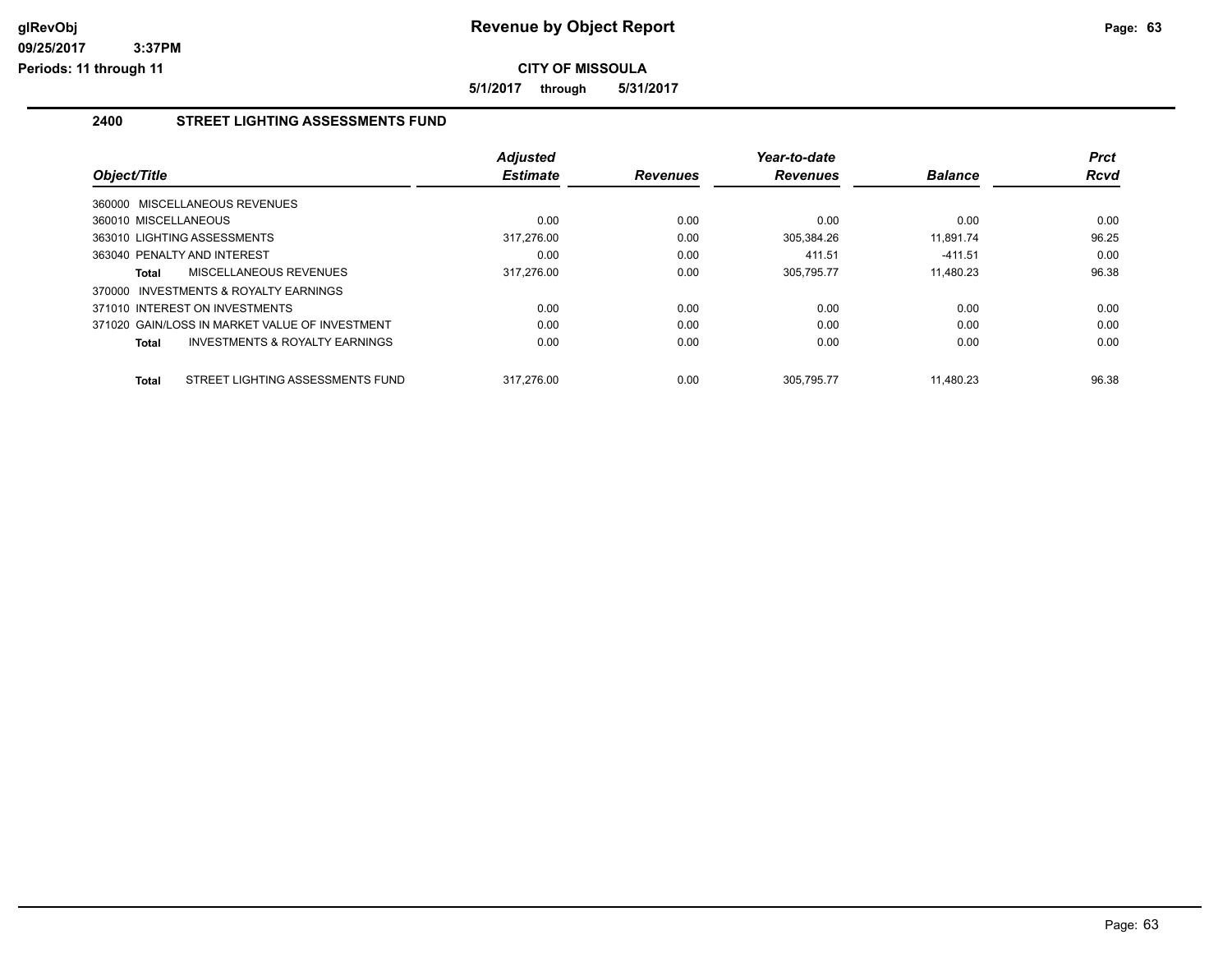**5/1/2017 through 5/31/2017**

#### **2400 STREET LIGHTING ASSESSMENTS FUND**

| Object/Title                                       | <b>Adjusted</b><br><b>Estimate</b> | <b>Revenues</b> | Year-to-date<br><b>Revenues</b> | <b>Balance</b> | <b>Prct</b><br><b>Rcvd</b> |
|----------------------------------------------------|------------------------------------|-----------------|---------------------------------|----------------|----------------------------|
| 360000 MISCELLANEOUS REVENUES                      |                                    |                 |                                 |                |                            |
| 360010 MISCELLANEOUS                               | 0.00                               | 0.00            | 0.00                            | 0.00           | 0.00                       |
| 363010 LIGHTING ASSESSMENTS                        | 317.276.00                         | 0.00            | 305.384.26                      | 11.891.74      | 96.25                      |
| 363040 PENALTY AND INTEREST                        | 0.00                               | 0.00            | 411.51                          | $-411.51$      | 0.00                       |
| MISCELLANEOUS REVENUES<br>Total                    | 317.276.00                         | 0.00            | 305.795.77                      | 11.480.23      | 96.38                      |
| 370000 INVESTMENTS & ROYALTY EARNINGS              |                                    |                 |                                 |                |                            |
| 371010 INTEREST ON INVESTMENTS                     | 0.00                               | 0.00            | 0.00                            | 0.00           | 0.00                       |
| 371020 GAIN/LOSS IN MARKET VALUE OF INVESTMENT     | 0.00                               | 0.00            | 0.00                            | 0.00           | 0.00                       |
| <b>INVESTMENTS &amp; ROYALTY EARNINGS</b><br>Total | 0.00                               | 0.00            | 0.00                            | 0.00           | 0.00                       |
| STREET LIGHTING ASSESSMENTS FUND<br>Total          | 317.276.00                         | 0.00            | 305.795.77                      | 11.480.23      | 96.38                      |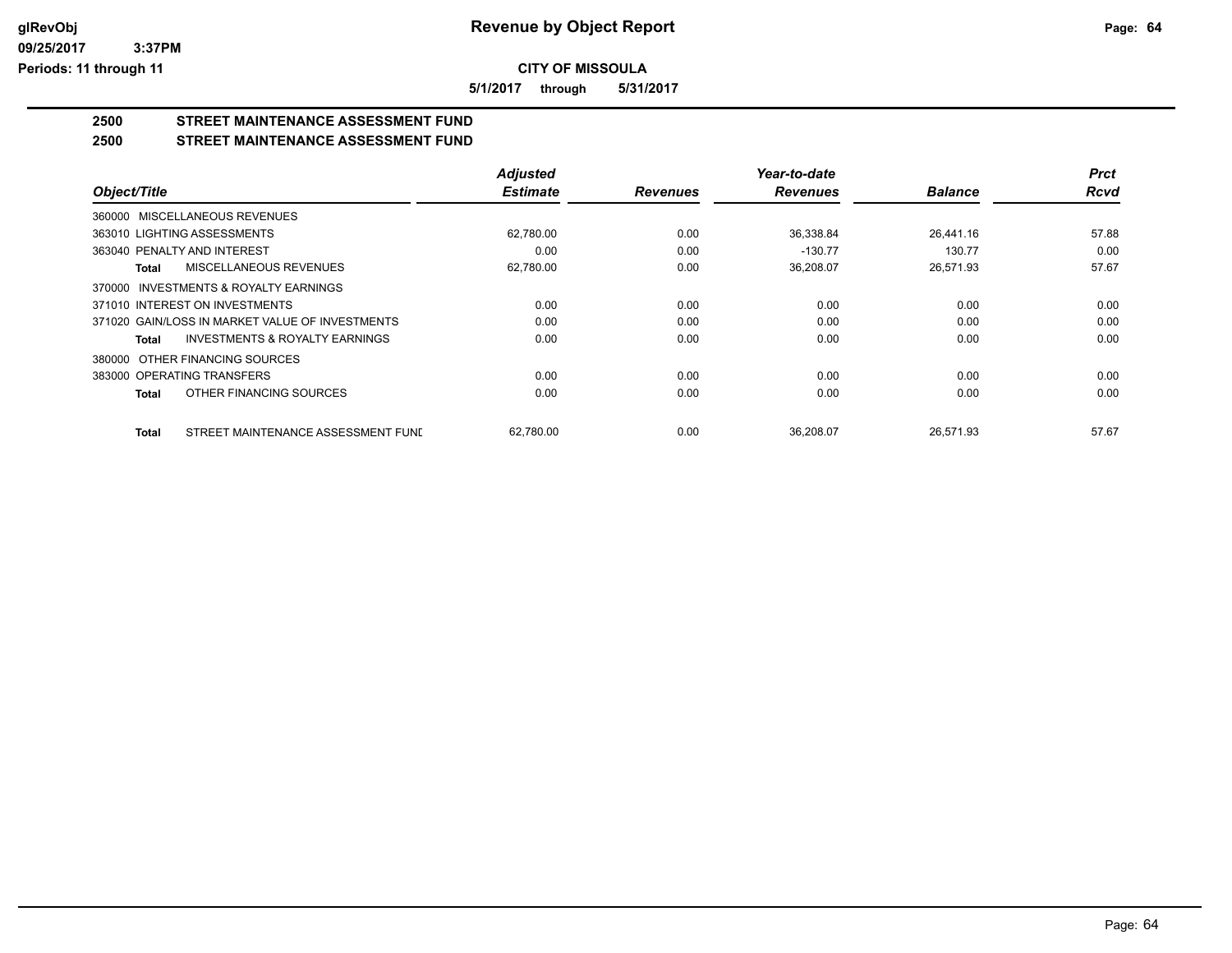**5/1/2017 through 5/31/2017**

# **2500 STREET MAINTENANCE ASSESSMENT FUND**

## **2500 STREET MAINTENANCE ASSESSMENT FUND**

|                                                    | <b>Adjusted</b> |                 | Year-to-date    |                | <b>Prct</b> |
|----------------------------------------------------|-----------------|-----------------|-----------------|----------------|-------------|
| Object/Title                                       | <b>Estimate</b> | <b>Revenues</b> | <b>Revenues</b> | <b>Balance</b> | <b>Rcvd</b> |
| 360000 MISCELLANEOUS REVENUES                      |                 |                 |                 |                |             |
| 363010 LIGHTING ASSESSMENTS                        | 62,780.00       | 0.00            | 36,338.84       | 26,441.16      | 57.88       |
| 363040 PENALTY AND INTEREST                        | 0.00            | 0.00            | $-130.77$       | 130.77         | 0.00        |
| MISCELLANEOUS REVENUES<br>Total                    | 62,780.00       | 0.00            | 36,208.07       | 26,571.93      | 57.67       |
| INVESTMENTS & ROYALTY EARNINGS<br>370000           |                 |                 |                 |                |             |
| 371010 INTEREST ON INVESTMENTS                     | 0.00            | 0.00            | 0.00            | 0.00           | 0.00        |
| 371020 GAIN/LOSS IN MARKET VALUE OF INVESTMENTS    | 0.00            | 0.00            | 0.00            | 0.00           | 0.00        |
| <b>INVESTMENTS &amp; ROYALTY EARNINGS</b><br>Total | 0.00            | 0.00            | 0.00            | 0.00           | 0.00        |
| OTHER FINANCING SOURCES<br>380000                  |                 |                 |                 |                |             |
| 383000 OPERATING TRANSFERS                         | 0.00            | 0.00            | 0.00            | 0.00           | 0.00        |
| OTHER FINANCING SOURCES<br><b>Total</b>            | 0.00            | 0.00            | 0.00            | 0.00           | 0.00        |
| STREET MAINTENANCE ASSESSMENT FUNI<br><b>Total</b> | 62.780.00       | 0.00            | 36.208.07       | 26.571.93      | 57.67       |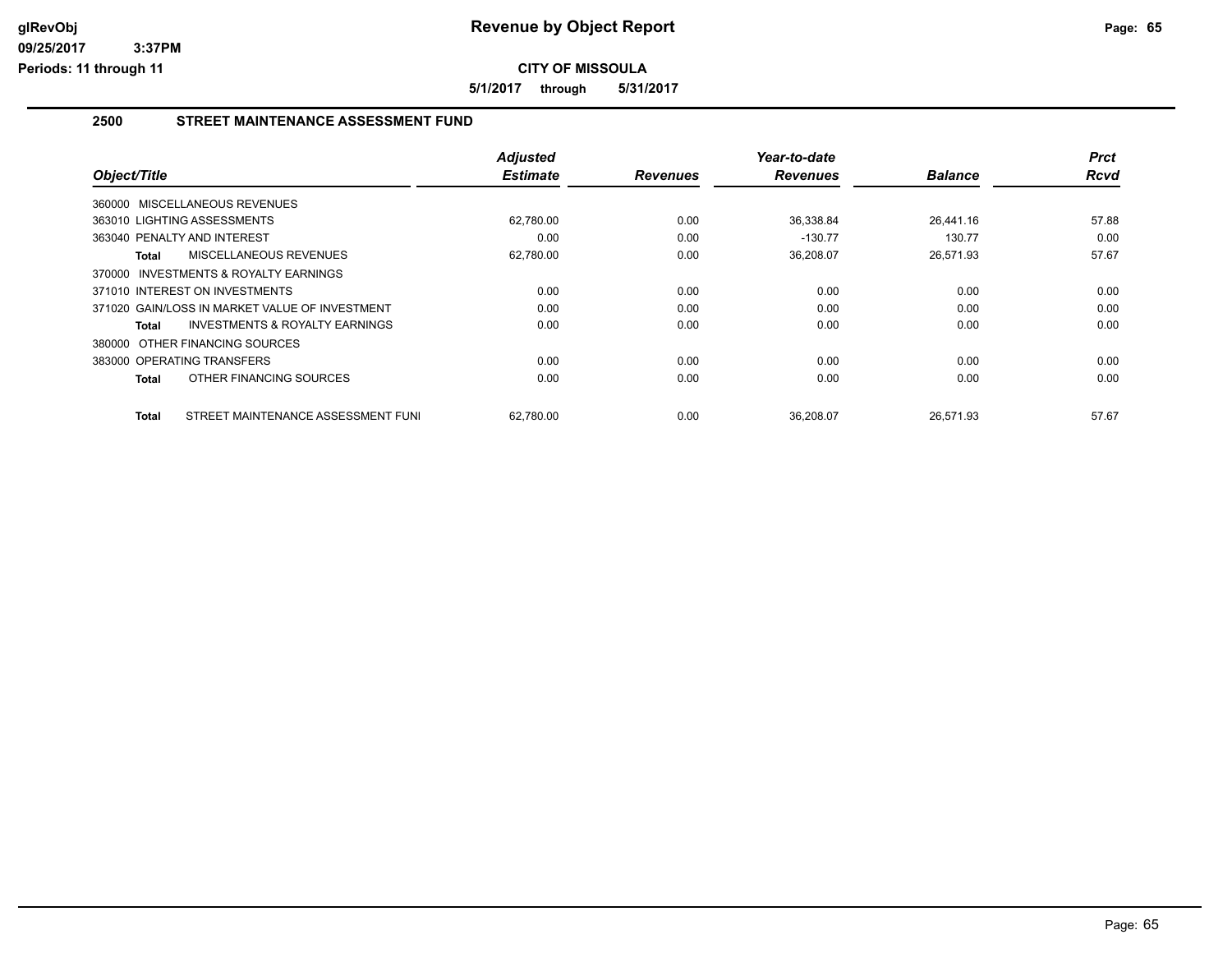**5/1/2017 through 5/31/2017**

#### **2500 STREET MAINTENANCE ASSESSMENT FUND**

| Object/Title                |                                                | <b>Adjusted</b><br><b>Estimate</b> | <b>Revenues</b> | Year-to-date<br><b>Revenues</b> | <b>Balance</b> | <b>Prct</b><br>Rcvd |
|-----------------------------|------------------------------------------------|------------------------------------|-----------------|---------------------------------|----------------|---------------------|
|                             | 360000 MISCELLANEOUS REVENUES                  |                                    |                 |                                 |                |                     |
| 363010 LIGHTING ASSESSMENTS |                                                | 62,780.00                          | 0.00            | 36,338.84                       | 26.441.16      | 57.88               |
| 363040 PENALTY AND INTEREST |                                                | 0.00                               | 0.00            | $-130.77$                       | 130.77         | 0.00                |
| Total                       | MISCELLANEOUS REVENUES                         | 62,780.00                          | 0.00            | 36,208.07                       | 26,571.93      | 57.67               |
|                             | 370000 INVESTMENTS & ROYALTY EARNINGS          |                                    |                 |                                 |                |                     |
|                             | 371010 INTEREST ON INVESTMENTS                 | 0.00                               | 0.00            | 0.00                            | 0.00           | 0.00                |
|                             | 371020 GAIN/LOSS IN MARKET VALUE OF INVESTMENT | 0.00                               | 0.00            | 0.00                            | 0.00           | 0.00                |
| Total                       | <b>INVESTMENTS &amp; ROYALTY EARNINGS</b>      | 0.00                               | 0.00            | 0.00                            | 0.00           | 0.00                |
|                             | 380000 OTHER FINANCING SOURCES                 |                                    |                 |                                 |                |                     |
| 383000 OPERATING TRANSFERS  |                                                | 0.00                               | 0.00            | 0.00                            | 0.00           | 0.00                |
| Total                       | OTHER FINANCING SOURCES                        | 0.00                               | 0.00            | 0.00                            | 0.00           | 0.00                |
| Total                       | STREET MAINTENANCE ASSESSMENT FUNI             | 62,780.00                          | 0.00            | 36,208.07                       | 26,571.93      | 57.67               |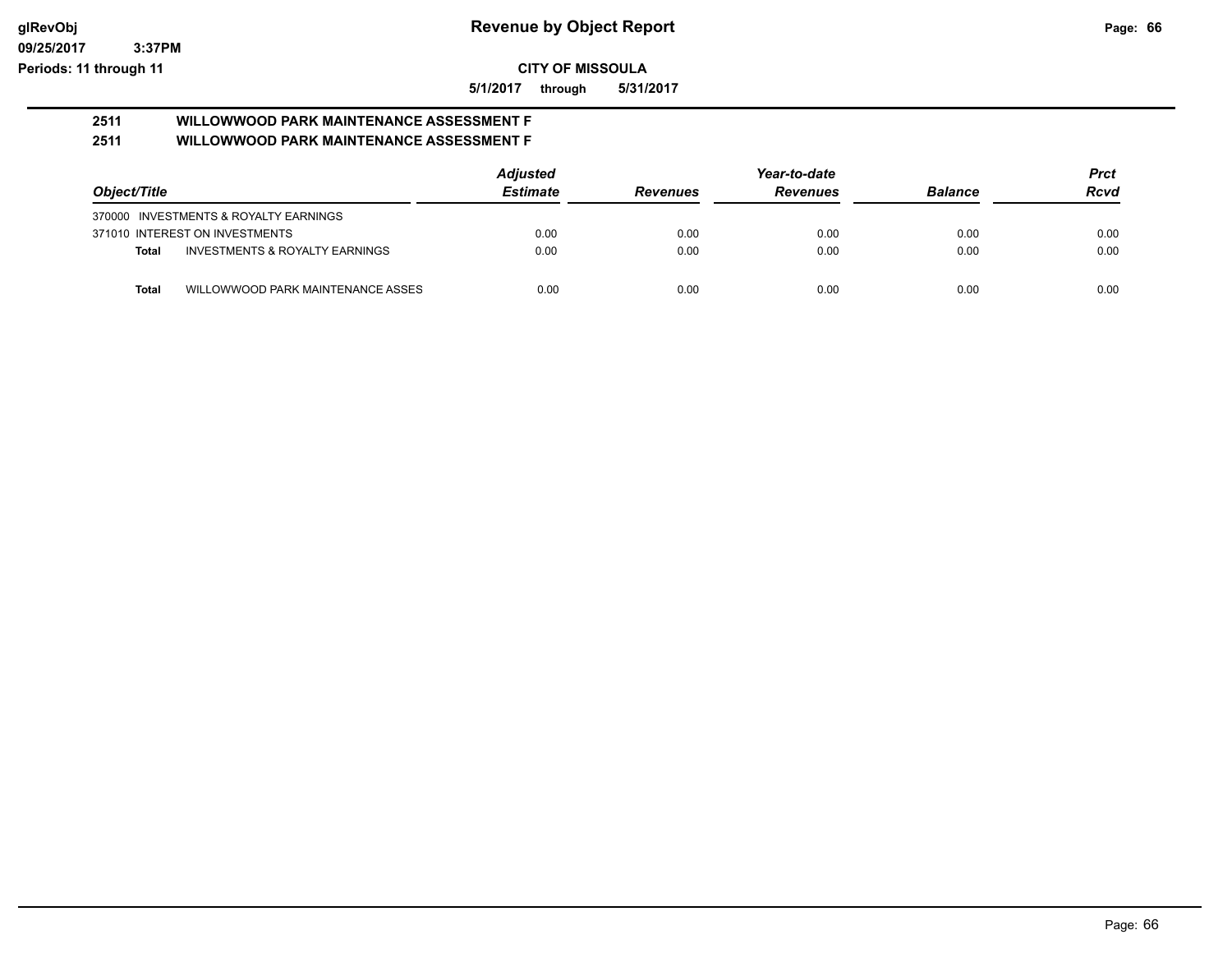**5/1/2017 through 5/31/2017**

#### **2511 WILLOWWOOD PARK MAINTENANCE ASSESSMENT F 2511 WILLOWWOOD PARK MAINTENANCE ASSESSMENT F**

|              |                                           | <b>Adjusted</b> |                 | Year-to-date    |                | Prct        |
|--------------|-------------------------------------------|-----------------|-----------------|-----------------|----------------|-------------|
| Object/Title |                                           | <b>Estimate</b> | <b>Revenues</b> | <b>Revenues</b> | <b>Balance</b> | <b>Rcvd</b> |
|              | 370000 INVESTMENTS & ROYALTY EARNINGS     |                 |                 |                 |                |             |
|              | 371010 INTEREST ON INVESTMENTS            | 0.00            | 0.00            | 0.00            | 0.00           | 0.00        |
| Total        | <b>INVESTMENTS &amp; ROYALTY EARNINGS</b> | 0.00            | 0.00            | 0.00            | 0.00           | 0.00        |
| <b>Total</b> | WILLOWWOOD PARK MAINTENANCE ASSES         | 0.00            | 0.00            | 0.00            | 0.00           | 0.00        |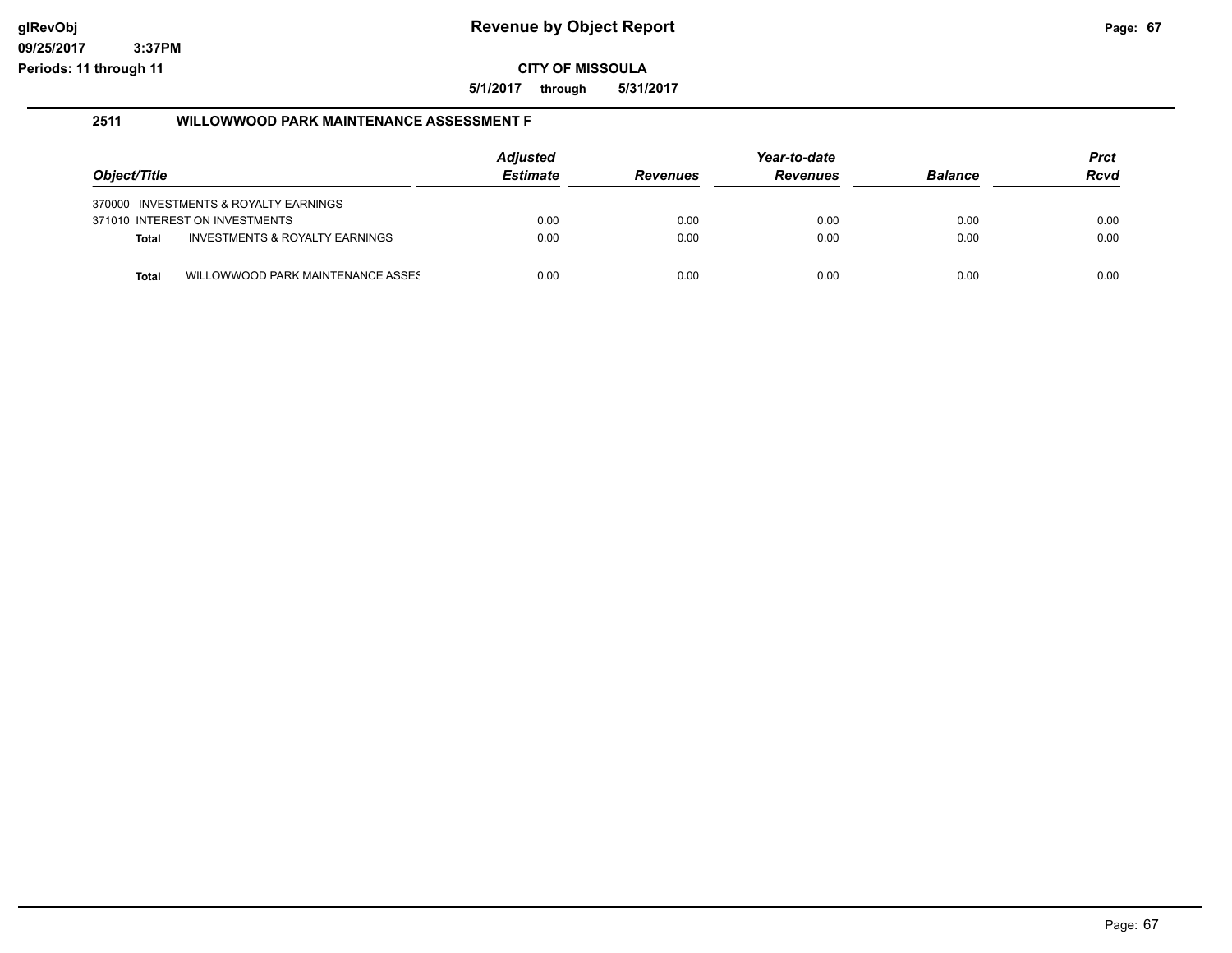**5/1/2017 through 5/31/2017**

#### **2511 WILLOWWOOD PARK MAINTENANCE ASSESSMENT F**

| Object/Title |                                       | Adjusted<br><b>Estimate</b> | <b>Revenues</b> | Year-to-date<br><b>Revenues</b> | <b>Balance</b> | <b>Prct</b><br><b>Rcvd</b> |
|--------------|---------------------------------------|-----------------------------|-----------------|---------------------------------|----------------|----------------------------|
|              | 370000 INVESTMENTS & ROYALTY EARNINGS |                             |                 |                                 |                |                            |
|              | 371010 INTEREST ON INVESTMENTS        | 0.00                        | 0.00            | 0.00                            | 0.00           | 0.00                       |
| <b>Total</b> | INVESTMENTS & ROYALTY EARNINGS        | 0.00                        | 0.00            | 0.00                            | 0.00           | 0.00                       |
| <b>Total</b> | WILLOWWOOD PARK MAINTENANCE ASSES     | 0.00                        | 0.00            | 0.00                            | 0.00           | 0.00                       |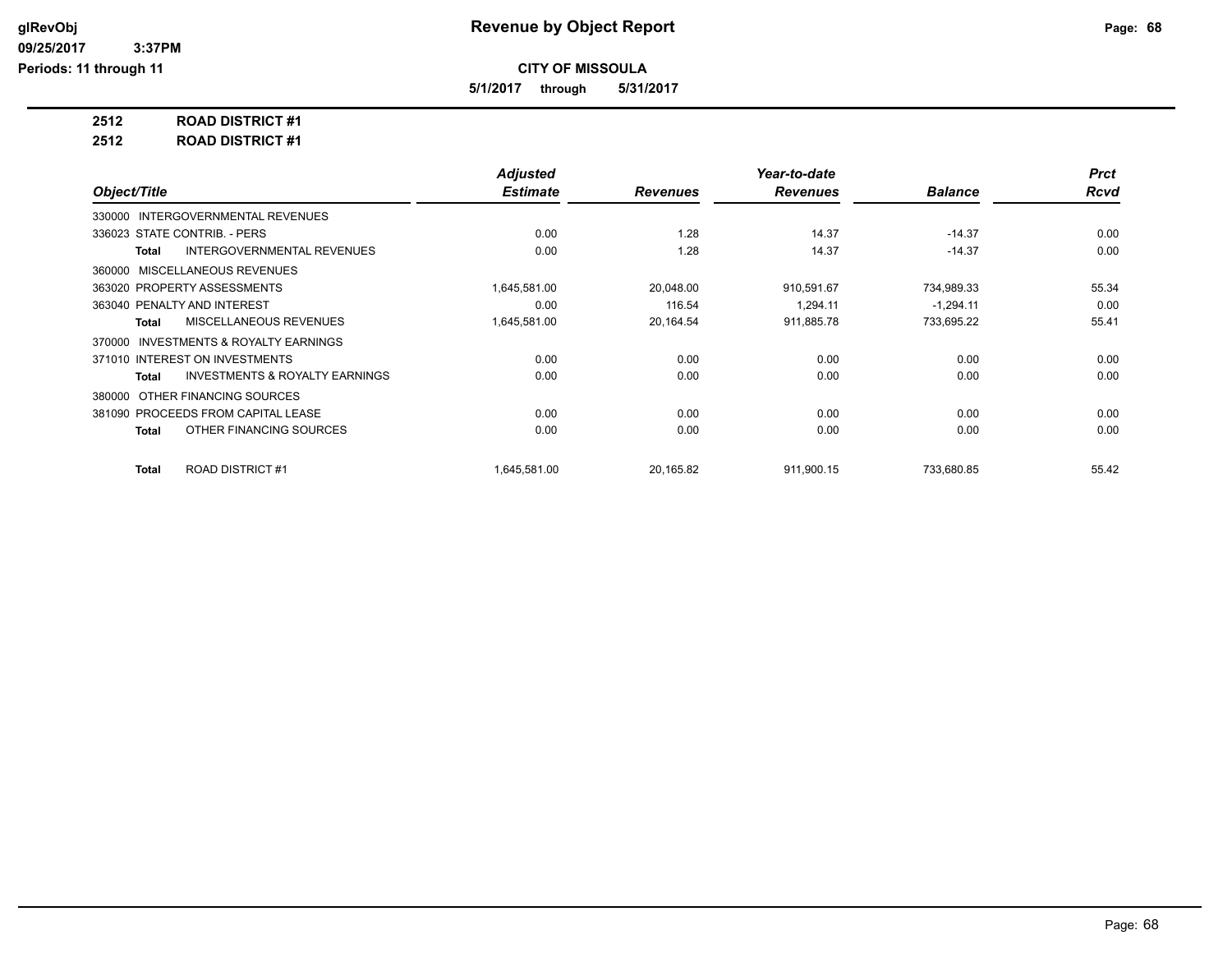**5/1/2017 through 5/31/2017**

**2512 ROAD DISTRICT #1**

**2512 ROAD DISTRICT #1**

|                                                           | <b>Adjusted</b> |                 | Year-to-date    |                | <b>Prct</b> |
|-----------------------------------------------------------|-----------------|-----------------|-----------------|----------------|-------------|
| Object/Title                                              | <b>Estimate</b> | <b>Revenues</b> | <b>Revenues</b> | <b>Balance</b> | <b>Rcvd</b> |
| 330000 INTERGOVERNMENTAL REVENUES                         |                 |                 |                 |                |             |
| 336023 STATE CONTRIB. - PERS                              | 0.00            | 1.28            | 14.37           | $-14.37$       | 0.00        |
| <b>INTERGOVERNMENTAL REVENUES</b><br>Total                | 0.00            | 1.28            | 14.37           | $-14.37$       | 0.00        |
| 360000 MISCELLANEOUS REVENUES                             |                 |                 |                 |                |             |
| 363020 PROPERTY ASSESSMENTS                               | 1,645,581.00    | 20,048.00       | 910,591.67      | 734,989.33     | 55.34       |
| 363040 PENALTY AND INTEREST                               | 0.00            | 116.54          | 1,294.11        | $-1,294.11$    | 0.00        |
| MISCELLANEOUS REVENUES<br><b>Total</b>                    | 1,645,581.00    | 20,164.54       | 911,885.78      | 733,695.22     | 55.41       |
| <b>INVESTMENTS &amp; ROYALTY EARNINGS</b><br>370000       |                 |                 |                 |                |             |
| 371010 INTEREST ON INVESTMENTS                            | 0.00            | 0.00            | 0.00            | 0.00           | 0.00        |
| <b>INVESTMENTS &amp; ROYALTY EARNINGS</b><br><b>Total</b> | 0.00            | 0.00            | 0.00            | 0.00           | 0.00        |
| OTHER FINANCING SOURCES<br>380000                         |                 |                 |                 |                |             |
| 381090 PROCEEDS FROM CAPITAL LEASE                        | 0.00            | 0.00            | 0.00            | 0.00           | 0.00        |
| OTHER FINANCING SOURCES<br>Total                          | 0.00            | 0.00            | 0.00            | 0.00           | 0.00        |
| ROAD DISTRICT #1<br>Total                                 | 1,645,581.00    | 20,165.82       | 911,900.15      | 733,680.85     | 55.42       |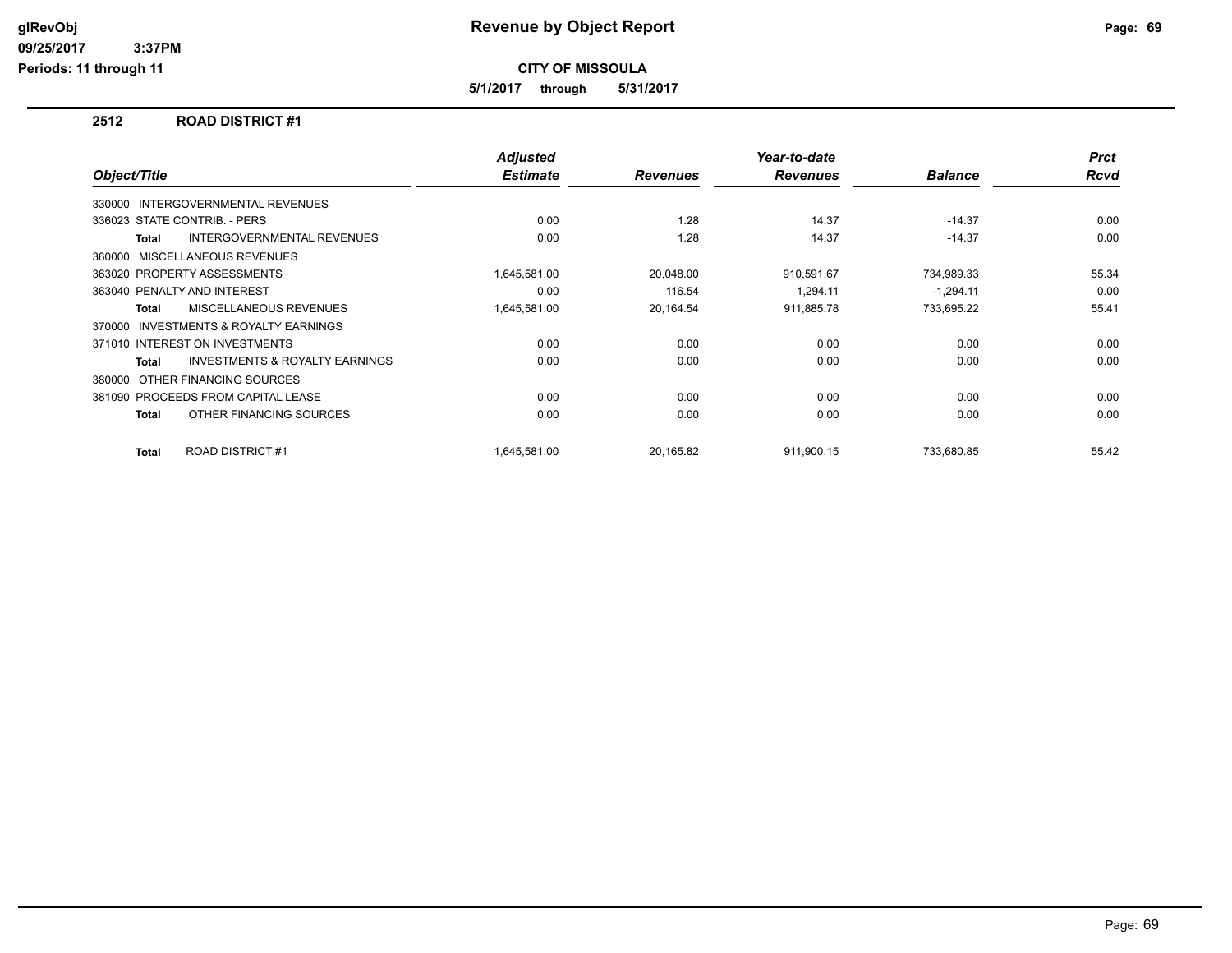**5/1/2017 through 5/31/2017**

#### **2512 ROAD DISTRICT #1**

| Object/Title |                                           | <b>Adjusted</b><br><b>Estimate</b> | <b>Revenues</b> | Year-to-date<br><b>Revenues</b> | <b>Balance</b> | <b>Prct</b><br><b>Rcvd</b> |
|--------------|-------------------------------------------|------------------------------------|-----------------|---------------------------------|----------------|----------------------------|
|              |                                           |                                    |                 |                                 |                |                            |
|              | 330000 INTERGOVERNMENTAL REVENUES         |                                    |                 |                                 |                |                            |
|              | 336023 STATE CONTRIB. - PERS              | 0.00                               | 1.28            | 14.37                           | $-14.37$       | 0.00                       |
| <b>Total</b> | <b>INTERGOVERNMENTAL REVENUES</b>         | 0.00                               | 1.28            | 14.37                           | $-14.37$       | 0.00                       |
|              | 360000 MISCELLANEOUS REVENUES             |                                    |                 |                                 |                |                            |
|              | 363020 PROPERTY ASSESSMENTS               | 1,645,581.00                       | 20,048.00       | 910,591.67                      | 734,989.33     | 55.34                      |
|              | 363040 PENALTY AND INTEREST               | 0.00                               | 116.54          | 1.294.11                        | $-1,294.11$    | 0.00                       |
| <b>Total</b> | MISCELLANEOUS REVENUES                    | 1,645,581.00                       | 20,164.54       | 911,885.78                      | 733,695.22     | 55.41                      |
| 370000       | <b>INVESTMENTS &amp; ROYALTY EARNINGS</b> |                                    |                 |                                 |                |                            |
|              | 371010 INTEREST ON INVESTMENTS            | 0.00                               | 0.00            | 0.00                            | 0.00           | 0.00                       |
| Total        | <b>INVESTMENTS &amp; ROYALTY EARNINGS</b> | 0.00                               | 0.00            | 0.00                            | 0.00           | 0.00                       |
|              | 380000 OTHER FINANCING SOURCES            |                                    |                 |                                 |                |                            |
|              | 381090 PROCEEDS FROM CAPITAL LEASE        | 0.00                               | 0.00            | 0.00                            | 0.00           | 0.00                       |
| <b>Total</b> | OTHER FINANCING SOURCES                   | 0.00                               | 0.00            | 0.00                            | 0.00           | 0.00                       |
| <b>Total</b> | ROAD DISTRICT #1                          | 1,645,581.00                       | 20,165.82       | 911,900.15                      | 733,680.85     | 55.42                      |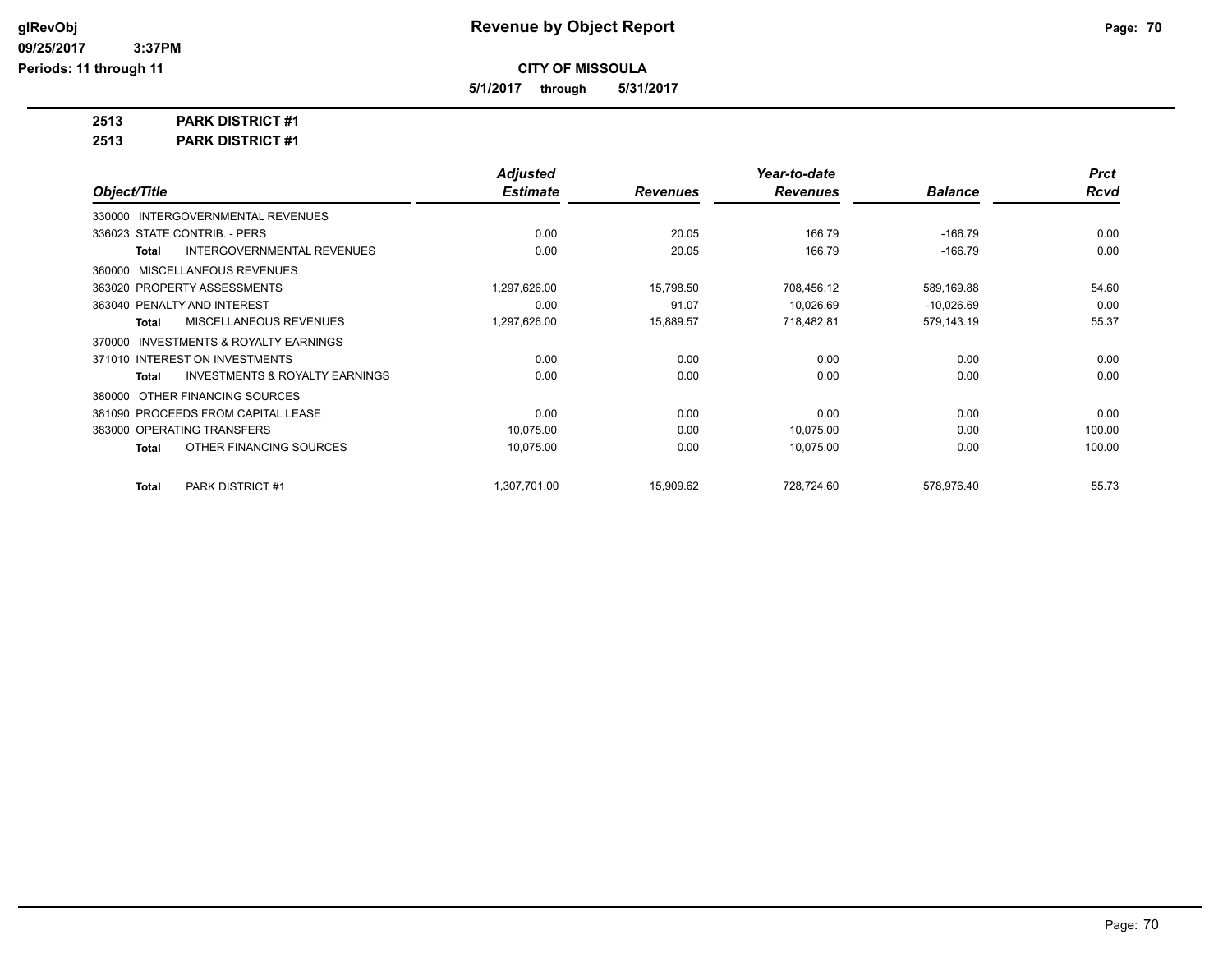**5/1/2017 through 5/31/2017**

**2513 PARK DISTRICT #1**

**2513 PARK DISTRICT #1**

|                                                           | <b>Adjusted</b> |                 | Year-to-date    |                | <b>Prct</b> |
|-----------------------------------------------------------|-----------------|-----------------|-----------------|----------------|-------------|
| Object/Title                                              | <b>Estimate</b> | <b>Revenues</b> | <b>Revenues</b> | <b>Balance</b> | Rcvd        |
| INTERGOVERNMENTAL REVENUES<br>330000                      |                 |                 |                 |                |             |
| 336023 STATE CONTRIB. - PERS                              | 0.00            | 20.05           | 166.79          | $-166.79$      | 0.00        |
| INTERGOVERNMENTAL REVENUES<br>Total                       | 0.00            | 20.05           | 166.79          | $-166.79$      | 0.00        |
| MISCELLANEOUS REVENUES<br>360000                          |                 |                 |                 |                |             |
| 363020 PROPERTY ASSESSMENTS                               | 1,297,626.00    | 15,798.50       | 708,456.12      | 589,169.88     | 54.60       |
| 363040 PENALTY AND INTEREST                               | 0.00            | 91.07           | 10,026.69       | $-10,026.69$   | 0.00        |
| <b>MISCELLANEOUS REVENUES</b><br><b>Total</b>             | 1,297,626.00    | 15,889.57       | 718,482.81      | 579,143.19     | 55.37       |
| <b>INVESTMENTS &amp; ROYALTY EARNINGS</b><br>370000       |                 |                 |                 |                |             |
| 371010 INTEREST ON INVESTMENTS                            | 0.00            | 0.00            | 0.00            | 0.00           | 0.00        |
| <b>INVESTMENTS &amp; ROYALTY EARNINGS</b><br><b>Total</b> | 0.00            | 0.00            | 0.00            | 0.00           | 0.00        |
| OTHER FINANCING SOURCES<br>380000                         |                 |                 |                 |                |             |
| 381090 PROCEEDS FROM CAPITAL LEASE                        | 0.00            | 0.00            | 0.00            | 0.00           | 0.00        |
| 383000 OPERATING TRANSFERS                                | 10,075.00       | 0.00            | 10,075.00       | 0.00           | 100.00      |
| OTHER FINANCING SOURCES<br><b>Total</b>                   | 10,075.00       | 0.00            | 10,075.00       | 0.00           | 100.00      |
| <b>PARK DISTRICT #1</b><br><b>Total</b>                   | 1,307,701.00    | 15,909.62       | 728,724.60      | 578,976.40     | 55.73       |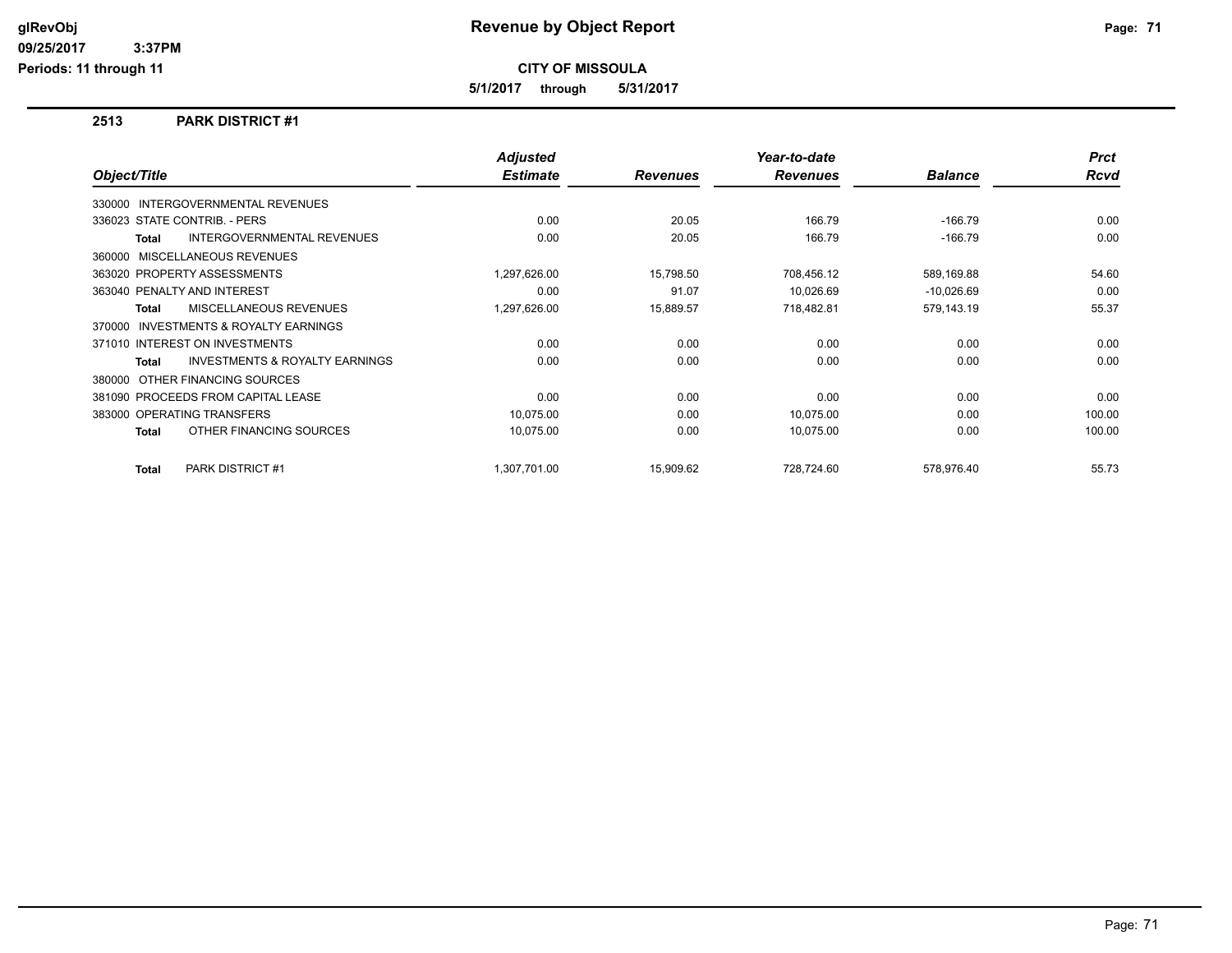**5/1/2017 through 5/31/2017**

#### **2513 PARK DISTRICT #1**

|                                                    | <b>Adjusted</b> |                 | Year-to-date    |                | <b>Prct</b> |
|----------------------------------------------------|-----------------|-----------------|-----------------|----------------|-------------|
| Object/Title                                       | <b>Estimate</b> | <b>Revenues</b> | <b>Revenues</b> | <b>Balance</b> | <b>Rcvd</b> |
| 330000 INTERGOVERNMENTAL REVENUES                  |                 |                 |                 |                |             |
| 336023 STATE CONTRIB. - PERS                       | 0.00            | 20.05           | 166.79          | $-166.79$      | 0.00        |
| <b>INTERGOVERNMENTAL REVENUES</b><br>Total         | 0.00            | 20.05           | 166.79          | $-166.79$      | 0.00        |
| 360000 MISCELLANEOUS REVENUES                      |                 |                 |                 |                |             |
| 363020 PROPERTY ASSESSMENTS                        | 1,297,626.00    | 15,798.50       | 708,456.12      | 589,169.88     | 54.60       |
| 363040 PENALTY AND INTEREST                        | 0.00            | 91.07           | 10,026.69       | $-10,026.69$   | 0.00        |
| MISCELLANEOUS REVENUES<br>Total                    | 1,297,626.00    | 15,889.57       | 718.482.81      | 579,143.19     | 55.37       |
| INVESTMENTS & ROYALTY EARNINGS<br>370000           |                 |                 |                 |                |             |
| 371010 INTEREST ON INVESTMENTS                     | 0.00            | 0.00            | 0.00            | 0.00           | 0.00        |
| <b>INVESTMENTS &amp; ROYALTY EARNINGS</b><br>Total | 0.00            | 0.00            | 0.00            | 0.00           | 0.00        |
| 380000 OTHER FINANCING SOURCES                     |                 |                 |                 |                |             |
| 381090 PROCEEDS FROM CAPITAL LEASE                 | 0.00            | 0.00            | 0.00            | 0.00           | 0.00        |
| 383000 OPERATING TRANSFERS                         | 10,075.00       | 0.00            | 10,075.00       | 0.00           | 100.00      |
| OTHER FINANCING SOURCES<br>Total                   | 10,075.00       | 0.00            | 10,075.00       | 0.00           | 100.00      |
| <b>PARK DISTRICT #1</b><br>Total                   | 1,307,701.00    | 15,909.62       | 728,724.60      | 578,976.40     | 55.73       |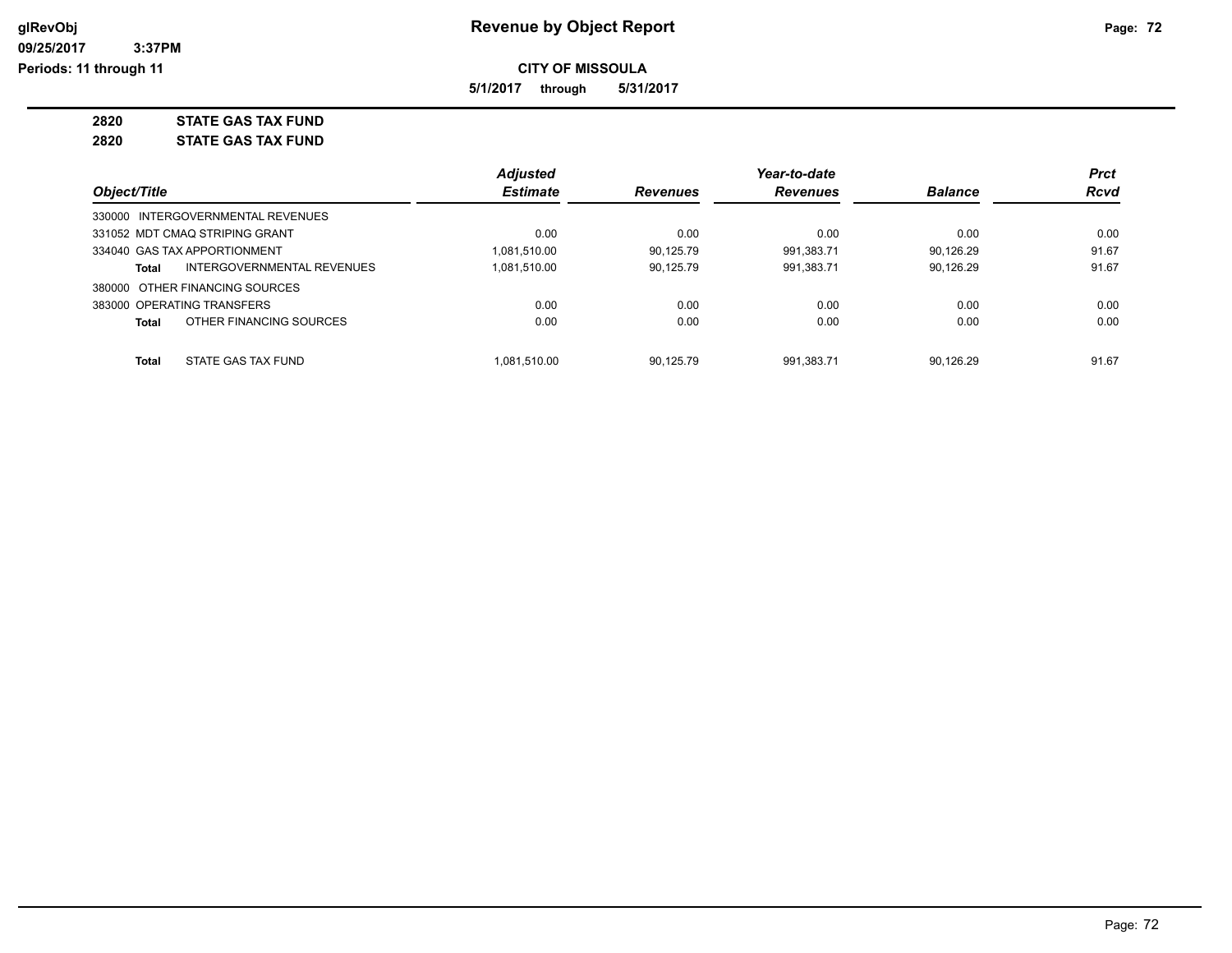**5/1/2017 through 5/31/2017**

#### **2820 STATE GAS TAX FUND**

**2820 STATE GAS TAX FUND**

|                                |                                   | <b>Adjusted</b> |                 | Year-to-date |                | <b>Prct</b> |
|--------------------------------|-----------------------------------|-----------------|-----------------|--------------|----------------|-------------|
| Object/Title                   |                                   | <b>Estimate</b> | <b>Revenues</b> | Revenues     | <b>Balance</b> | <b>Rcvd</b> |
|                                | 330000 INTERGOVERNMENTAL REVENUES |                 |                 |              |                |             |
| 331052 MDT CMAQ STRIPING GRANT |                                   | 0.00            | 0.00            | 0.00         | 0.00           | 0.00        |
| 334040 GAS TAX APPORTIONMENT   |                                   | 1.081.510.00    | 90.125.79       | 991.383.71   | 90.126.29      | 91.67       |
| <b>Total</b>                   | INTERGOVERNMENTAL REVENUES        | 1,081,510.00    | 90.125.79       | 991,383.71   | 90.126.29      | 91.67       |
|                                | 380000 OTHER FINANCING SOURCES    |                 |                 |              |                |             |
| 383000 OPERATING TRANSFERS     |                                   | 0.00            | 0.00            | 0.00         | 0.00           | 0.00        |
| <b>Total</b>                   | OTHER FINANCING SOURCES           | 0.00            | 0.00            | 0.00         | 0.00           | 0.00        |
| <b>Total</b>                   | STATE GAS TAX FUND                | 1.081.510.00    | 90.125.79       | 991.383.71   | 90.126.29      | 91.67       |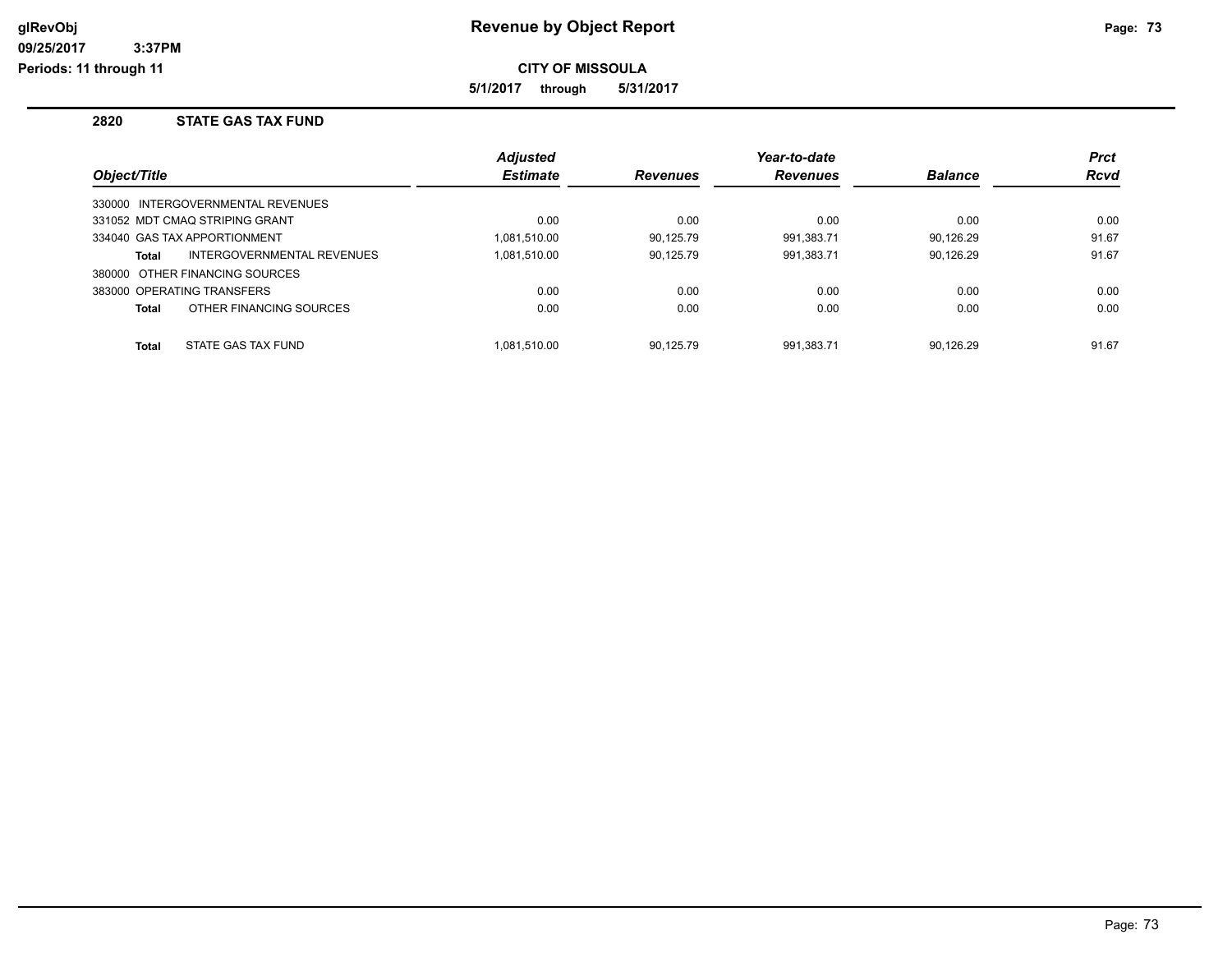**CITY OF MISSOULA**

**5/1/2017 through 5/31/2017**

## **2820 STATE GAS TAX FUND**

|              |                                   | <b>Adjusted</b> |                 | Year-to-date    |                | <b>Prct</b> |
|--------------|-----------------------------------|-----------------|-----------------|-----------------|----------------|-------------|
| Object/Title |                                   | <b>Estimate</b> | <b>Revenues</b> | <b>Revenues</b> | <b>Balance</b> | <b>Rcvd</b> |
|              | 330000 INTERGOVERNMENTAL REVENUES |                 |                 |                 |                |             |
|              | 331052 MDT CMAQ STRIPING GRANT    | 0.00            | 0.00            | 0.00            | 0.00           | 0.00        |
|              | 334040 GAS TAX APPORTIONMENT      | 1.081.510.00    | 90.125.79       | 991,383.71      | 90.126.29      | 91.67       |
| <b>Total</b> | INTERGOVERNMENTAL REVENUES        | 1.081.510.00    | 90.125.79       | 991,383.71      | 90.126.29      | 91.67       |
|              | 380000 OTHER FINANCING SOURCES    |                 |                 |                 |                |             |
|              | 383000 OPERATING TRANSFERS        | 0.00            | 0.00            | 0.00            | 0.00           | 0.00        |
| Total        | OTHER FINANCING SOURCES           | 0.00            | 0.00            | 0.00            | 0.00           | 0.00        |
| <b>Total</b> | STATE GAS TAX FUND                | 1.081.510.00    | 90.125.79       | 991.383.71      | 90.126.29      | 91.67       |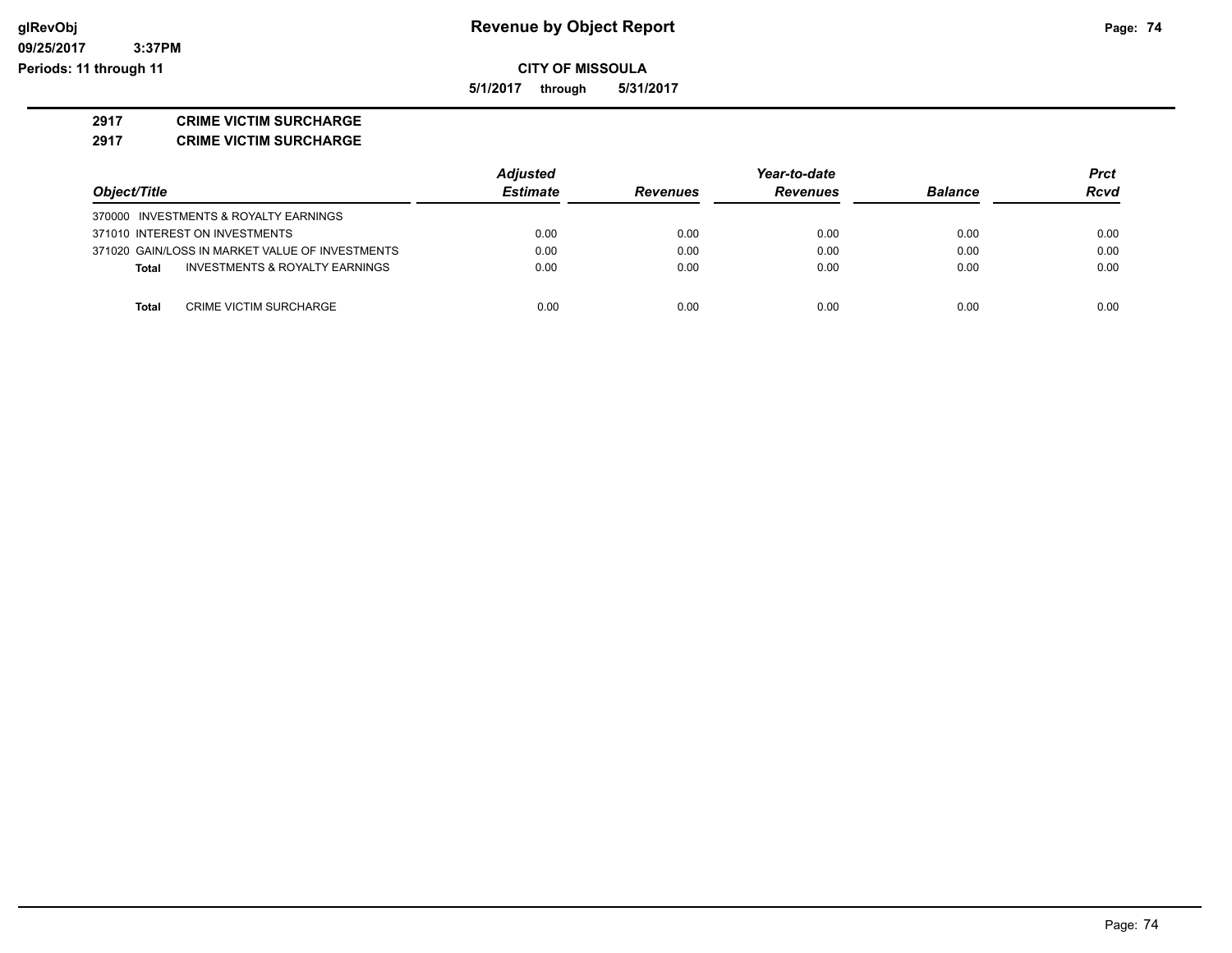**09/25/2017 3:37PM Periods: 11 through 11**

**CITY OF MISSOULA**

**5/1/2017 through 5/31/2017**

# **2917 CRIME VICTIM SURCHARGE**

**2917 CRIME VICTIM SURCHARGE**

|                                                           | <b>Adjusted</b> |                 | Year-to-date    |                | Prct |
|-----------------------------------------------------------|-----------------|-----------------|-----------------|----------------|------|
| Object/Title                                              | <b>Estimate</b> | <b>Revenues</b> | <b>Revenues</b> | <b>Balance</b> | Rcvd |
| 370000 INVESTMENTS & ROYALTY EARNINGS                     |                 |                 |                 |                |      |
| 371010 INTEREST ON INVESTMENTS                            | 0.00            | 0.00            | 0.00            | 0.00           | 0.00 |
| 371020 GAIN/LOSS IN MARKET VALUE OF INVESTMENTS           | 0.00            | 0.00            | 0.00            | 0.00           | 0.00 |
| <b>INVESTMENTS &amp; ROYALTY EARNINGS</b><br><b>Total</b> | 0.00            | 0.00            | 0.00            | 0.00           | 0.00 |
|                                                           |                 |                 |                 |                |      |
| <b>Total</b><br>CRIME VICTIM SURCHARGE                    | 0.00            | 0.00            | 0.00            | 0.00           | 0.00 |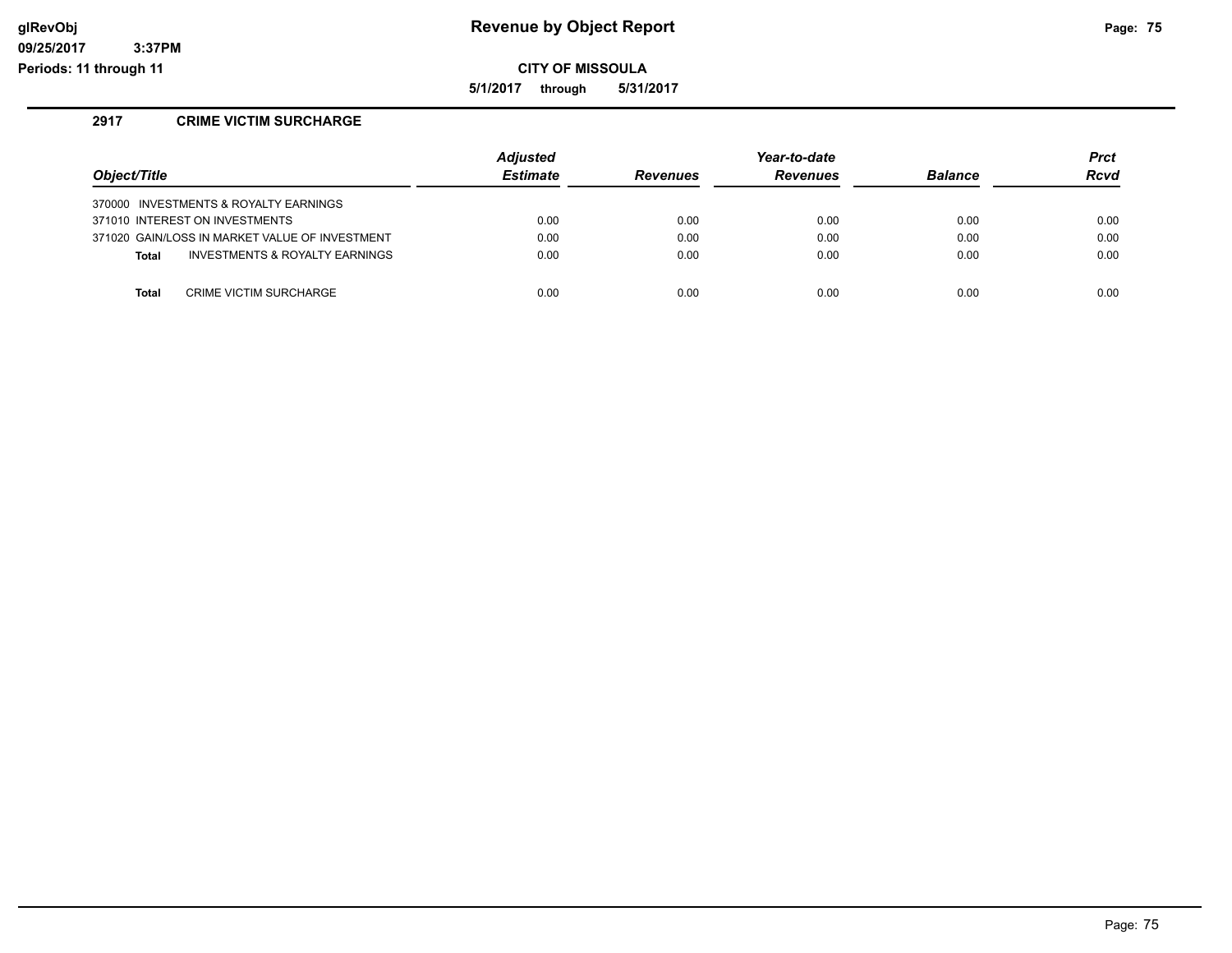**CITY OF MISSOULA**

**5/1/2017 through 5/31/2017**

## **2917 CRIME VICTIM SURCHARGE**

 **3:37PM**

| Object/Title                                              | Adjusted<br><b>Estimate</b> | <b>Revenues</b> | Year-to-date<br><b>Revenues</b> | <b>Balance</b> | <b>Prct</b><br><b>Rcvd</b> |
|-----------------------------------------------------------|-----------------------------|-----------------|---------------------------------|----------------|----------------------------|
| 370000 INVESTMENTS & ROYALTY EARNINGS                     |                             |                 |                                 |                |                            |
| 371010 INTEREST ON INVESTMENTS                            | 0.00                        | 0.00            | 0.00                            | 0.00           | 0.00                       |
| 371020 GAIN/LOSS IN MARKET VALUE OF INVESTMENT            | 0.00                        | 0.00            | 0.00                            | 0.00           | 0.00                       |
| <b>INVESTMENTS &amp; ROYALTY EARNINGS</b><br><b>Total</b> | 0.00                        | 0.00            | 0.00                            | 0.00           | 0.00                       |
|                                                           |                             |                 |                                 |                |                            |
| <b>CRIME VICTIM SURCHARGE</b><br>Total                    | 0.00                        | 0.00            | 0.00                            | 0.00           | 0.00                       |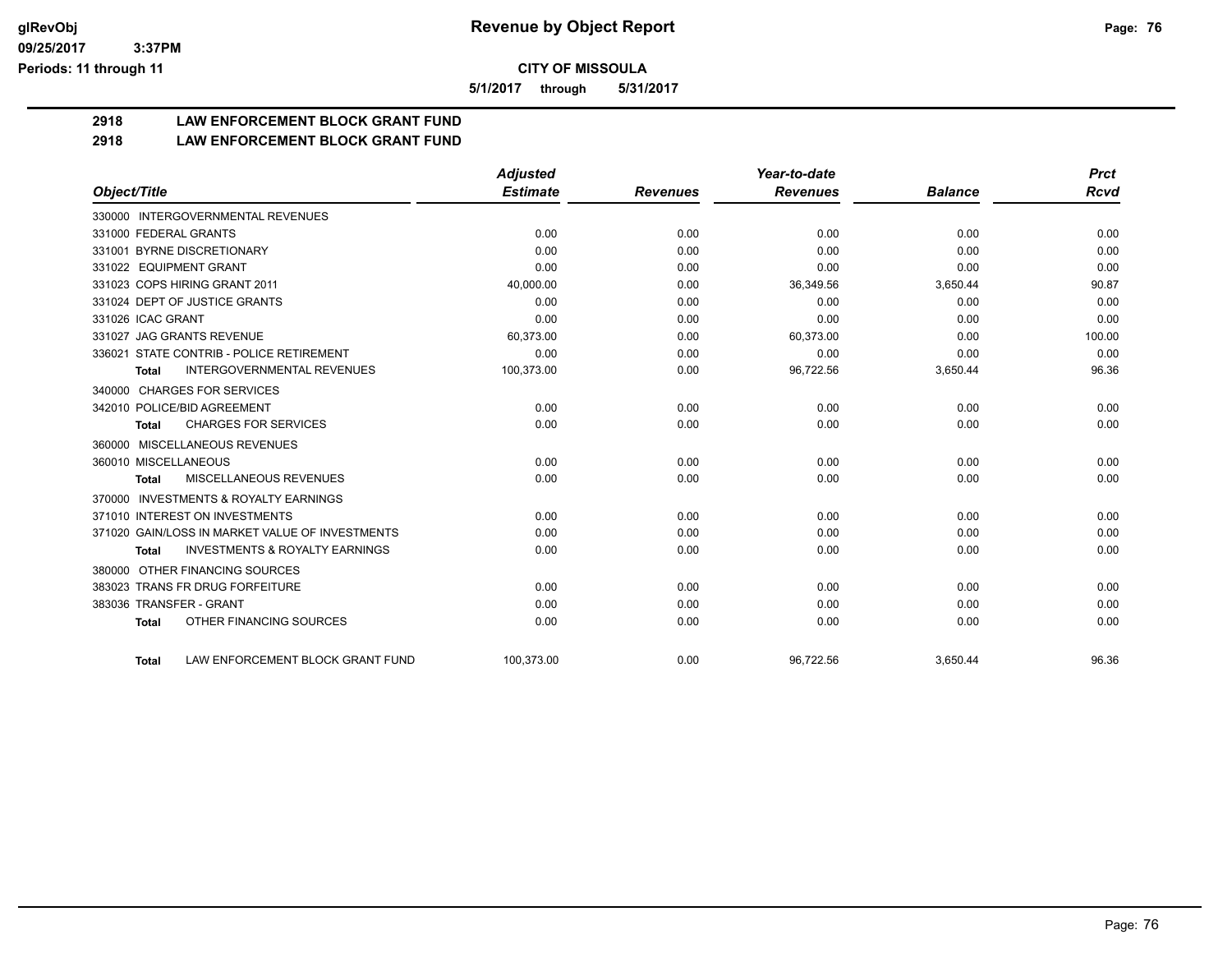**5/1/2017 through 5/31/2017**

# **2918 LAW ENFORCEMENT BLOCK GRANT FUND**

# **2918 LAW ENFORCEMENT BLOCK GRANT FUND**

|                                                           | <b>Adjusted</b> |                 | Year-to-date    |                | <b>Prct</b> |
|-----------------------------------------------------------|-----------------|-----------------|-----------------|----------------|-------------|
| Object/Title                                              | <b>Estimate</b> | <b>Revenues</b> | <b>Revenues</b> | <b>Balance</b> | <b>Rcvd</b> |
| 330000 INTERGOVERNMENTAL REVENUES                         |                 |                 |                 |                |             |
| 331000 FEDERAL GRANTS                                     | 0.00            | 0.00            | 0.00            | 0.00           | 0.00        |
| 331001 BYRNE DISCRETIONARY                                | 0.00            | 0.00            | 0.00            | 0.00           | 0.00        |
| 331022 EQUIPMENT GRANT                                    | 0.00            | 0.00            | 0.00            | 0.00           | 0.00        |
| 331023 COPS HIRING GRANT 2011                             | 40,000.00       | 0.00            | 36,349.56       | 3,650.44       | 90.87       |
| 331024 DEPT OF JUSTICE GRANTS                             | 0.00            | 0.00            | 0.00            | 0.00           | 0.00        |
| 331026 ICAC GRANT                                         | 0.00            | 0.00            | 0.00            | 0.00           | 0.00        |
| 331027 JAG GRANTS REVENUE                                 | 60,373.00       | 0.00            | 60,373.00       | 0.00           | 100.00      |
| 336021 STATE CONTRIB - POLICE RETIREMENT                  | 0.00            | 0.00            | 0.00            | 0.00           | 0.00        |
| <b>INTERGOVERNMENTAL REVENUES</b><br><b>Total</b>         | 100,373.00      | 0.00            | 96,722.56       | 3,650.44       | 96.36       |
| 340000 CHARGES FOR SERVICES                               |                 |                 |                 |                |             |
| 342010 POLICE/BID AGREEMENT                               | 0.00            | 0.00            | 0.00            | 0.00           | 0.00        |
| <b>CHARGES FOR SERVICES</b><br><b>Total</b>               | 0.00            | 0.00            | 0.00            | 0.00           | 0.00        |
| 360000 MISCELLANEOUS REVENUES                             |                 |                 |                 |                |             |
| 360010 MISCELLANEOUS                                      | 0.00            | 0.00            | 0.00            | 0.00           | 0.00        |
| MISCELLANEOUS REVENUES<br>Total                           | 0.00            | 0.00            | 0.00            | 0.00           | 0.00        |
| <b>INVESTMENTS &amp; ROYALTY EARNINGS</b><br>370000       |                 |                 |                 |                |             |
| 371010 INTEREST ON INVESTMENTS                            | 0.00            | 0.00            | 0.00            | 0.00           | 0.00        |
| 371020 GAIN/LOSS IN MARKET VALUE OF INVESTMENTS           | 0.00            | 0.00            | 0.00            | 0.00           | 0.00        |
| <b>INVESTMENTS &amp; ROYALTY EARNINGS</b><br><b>Total</b> | 0.00            | 0.00            | 0.00            | 0.00           | 0.00        |
| OTHER FINANCING SOURCES<br>380000                         |                 |                 |                 |                |             |
| 383023 TRANS FR DRUG FORFEITURE                           | 0.00            | 0.00            | 0.00            | 0.00           | 0.00        |
| 383036 TRANSFER - GRANT                                   | 0.00            | 0.00            | 0.00            | 0.00           | 0.00        |
| OTHER FINANCING SOURCES<br><b>Total</b>                   | 0.00            | 0.00            | 0.00            | 0.00           | 0.00        |
|                                                           |                 |                 |                 |                |             |
| LAW ENFORCEMENT BLOCK GRANT FUND<br><b>Total</b>          | 100,373.00      | 0.00            | 96,722.56       | 3,650.44       | 96.36       |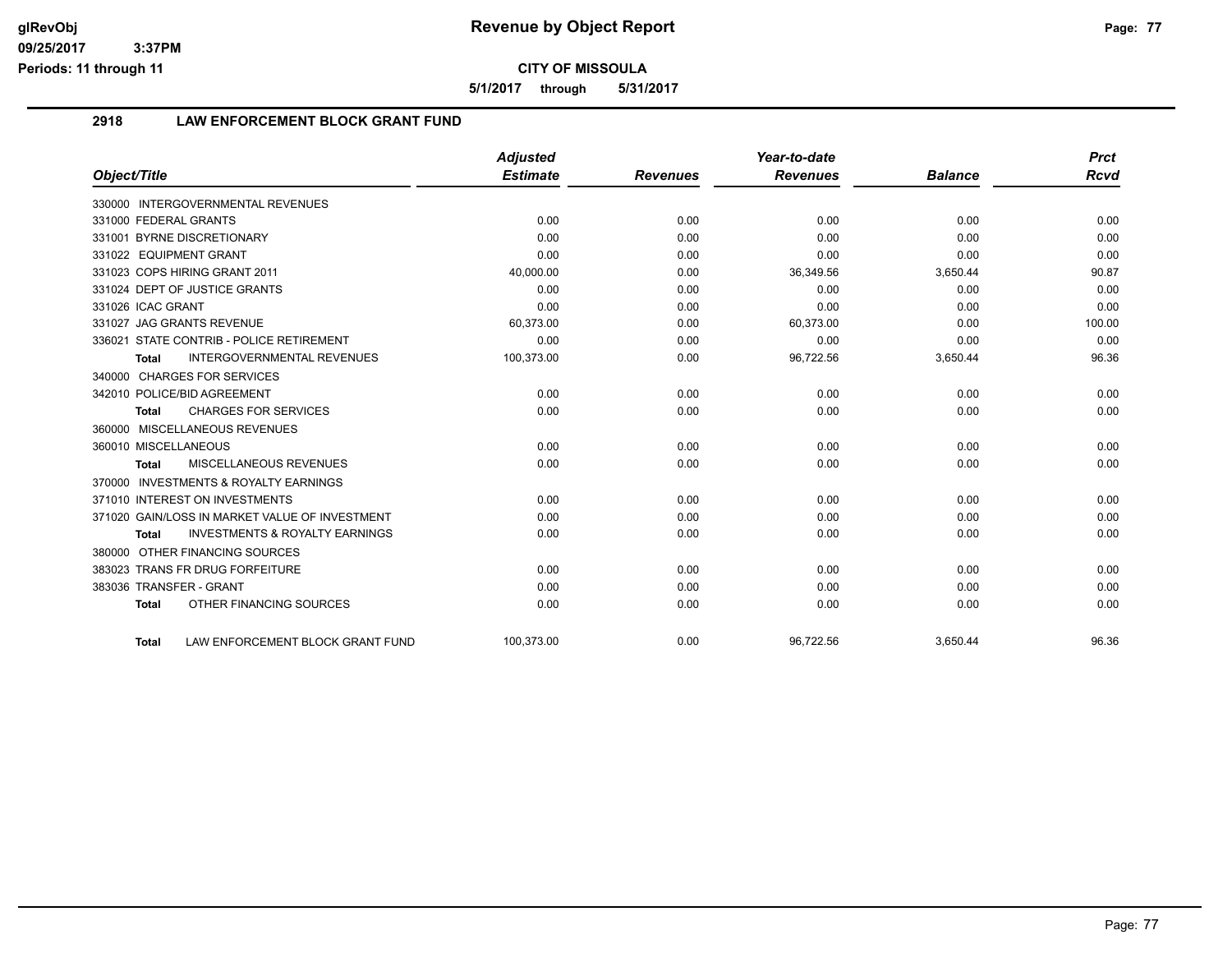**5/1/2017 through 5/31/2017**

# **2918 LAW ENFORCEMENT BLOCK GRANT FUND**

|                                                           | <b>Adjusted</b> |                 | Year-to-date    |                | <b>Prct</b> |
|-----------------------------------------------------------|-----------------|-----------------|-----------------|----------------|-------------|
| Object/Title                                              | <b>Estimate</b> | <b>Revenues</b> | <b>Revenues</b> | <b>Balance</b> | <b>Rcvd</b> |
| 330000 INTERGOVERNMENTAL REVENUES                         |                 |                 |                 |                |             |
| 331000 FEDERAL GRANTS                                     | 0.00            | 0.00            | 0.00            | 0.00           | 0.00        |
| 331001 BYRNE DISCRETIONARY                                | 0.00            | 0.00            | 0.00            | 0.00           | 0.00        |
| 331022 EQUIPMENT GRANT                                    | 0.00            | 0.00            | 0.00            | 0.00           | 0.00        |
| 331023 COPS HIRING GRANT 2011                             | 40,000.00       | 0.00            | 36,349.56       | 3,650.44       | 90.87       |
| 331024 DEPT OF JUSTICE GRANTS                             | 0.00            | 0.00            | 0.00            | 0.00           | 0.00        |
| 331026 ICAC GRANT                                         | 0.00            | 0.00            | 0.00            | 0.00           | 0.00        |
| 331027 JAG GRANTS REVENUE                                 | 60,373.00       | 0.00            | 60,373.00       | 0.00           | 100.00      |
| 336021 STATE CONTRIB - POLICE RETIREMENT                  | 0.00            | 0.00            | 0.00            | 0.00           | 0.00        |
| <b>INTERGOVERNMENTAL REVENUES</b><br><b>Total</b>         | 100,373.00      | 0.00            | 96,722.56       | 3,650.44       | 96.36       |
| 340000 CHARGES FOR SERVICES                               |                 |                 |                 |                |             |
| 342010 POLICE/BID AGREEMENT                               | 0.00            | 0.00            | 0.00            | 0.00           | 0.00        |
| <b>CHARGES FOR SERVICES</b><br><b>Total</b>               | 0.00            | 0.00            | 0.00            | 0.00           | 0.00        |
| 360000 MISCELLANEOUS REVENUES                             |                 |                 |                 |                |             |
| 360010 MISCELLANEOUS                                      | 0.00            | 0.00            | 0.00            | 0.00           | 0.00        |
| <b>MISCELLANEOUS REVENUES</b><br><b>Total</b>             | 0.00            | 0.00            | 0.00            | 0.00           | 0.00        |
| <b>INVESTMENTS &amp; ROYALTY EARNINGS</b><br>370000       |                 |                 |                 |                |             |
| 371010 INTEREST ON INVESTMENTS                            | 0.00            | 0.00            | 0.00            | 0.00           | 0.00        |
| 371020 GAIN/LOSS IN MARKET VALUE OF INVESTMENT            | 0.00            | 0.00            | 0.00            | 0.00           | 0.00        |
| <b>INVESTMENTS &amp; ROYALTY EARNINGS</b><br><b>Total</b> | 0.00            | 0.00            | 0.00            | 0.00           | 0.00        |
| 380000 OTHER FINANCING SOURCES                            |                 |                 |                 |                |             |
| 383023 TRANS FR DRUG FORFEITURE                           | 0.00            | 0.00            | 0.00            | 0.00           | 0.00        |
| 383036 TRANSFER - GRANT                                   | 0.00            | 0.00            | 0.00            | 0.00           | 0.00        |
| OTHER FINANCING SOURCES<br><b>Total</b>                   | 0.00            | 0.00            | 0.00            | 0.00           | 0.00        |
| LAW ENFORCEMENT BLOCK GRANT FUND<br><b>Total</b>          | 100.373.00      | 0.00            | 96,722.56       | 3,650.44       | 96.36       |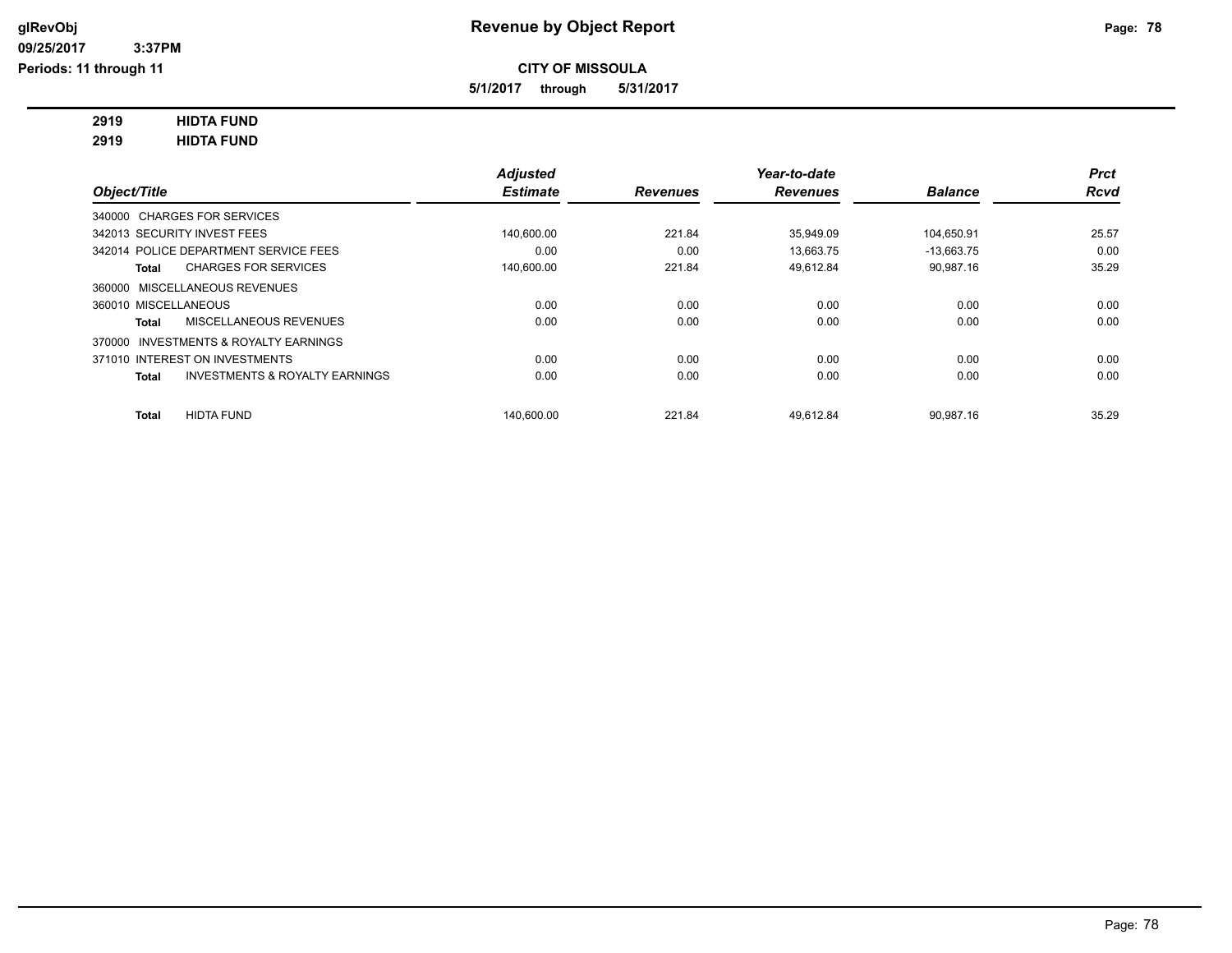**5/1/2017 through 5/31/2017**

# **2919 HIDTA FUND**

**2919 HIDTA FUND**

|                                                    | <b>Adjusted</b> |                 | Year-to-date    |                | <b>Prct</b> |
|----------------------------------------------------|-----------------|-----------------|-----------------|----------------|-------------|
| Object/Title                                       | <b>Estimate</b> | <b>Revenues</b> | <b>Revenues</b> | <b>Balance</b> | <b>Rcvd</b> |
| 340000 CHARGES FOR SERVICES                        |                 |                 |                 |                |             |
| 342013 SECURITY INVEST FEES                        | 140,600.00      | 221.84          | 35,949.09       | 104,650.91     | 25.57       |
| 342014 POLICE DEPARTMENT SERVICE FEES              | 0.00            | 0.00            | 13.663.75       | $-13,663.75$   | 0.00        |
| <b>CHARGES FOR SERVICES</b><br>Total               | 140,600.00      | 221.84          | 49,612.84       | 90,987.16      | 35.29       |
| 360000 MISCELLANEOUS REVENUES                      |                 |                 |                 |                |             |
| 360010 MISCELLANEOUS                               | 0.00            | 0.00            | 0.00            | 0.00           | 0.00        |
| MISCELLANEOUS REVENUES<br>Total                    | 0.00            | 0.00            | 0.00            | 0.00           | 0.00        |
| 370000 INVESTMENTS & ROYALTY EARNINGS              |                 |                 |                 |                |             |
| 371010 INTEREST ON INVESTMENTS                     | 0.00            | 0.00            | 0.00            | 0.00           | 0.00        |
| <b>INVESTMENTS &amp; ROYALTY EARNINGS</b><br>Total | 0.00            | 0.00            | 0.00            | 0.00           | 0.00        |
| <b>HIDTA FUND</b><br>Total                         | 140.600.00      | 221.84          | 49.612.84       | 90.987.16      | 35.29       |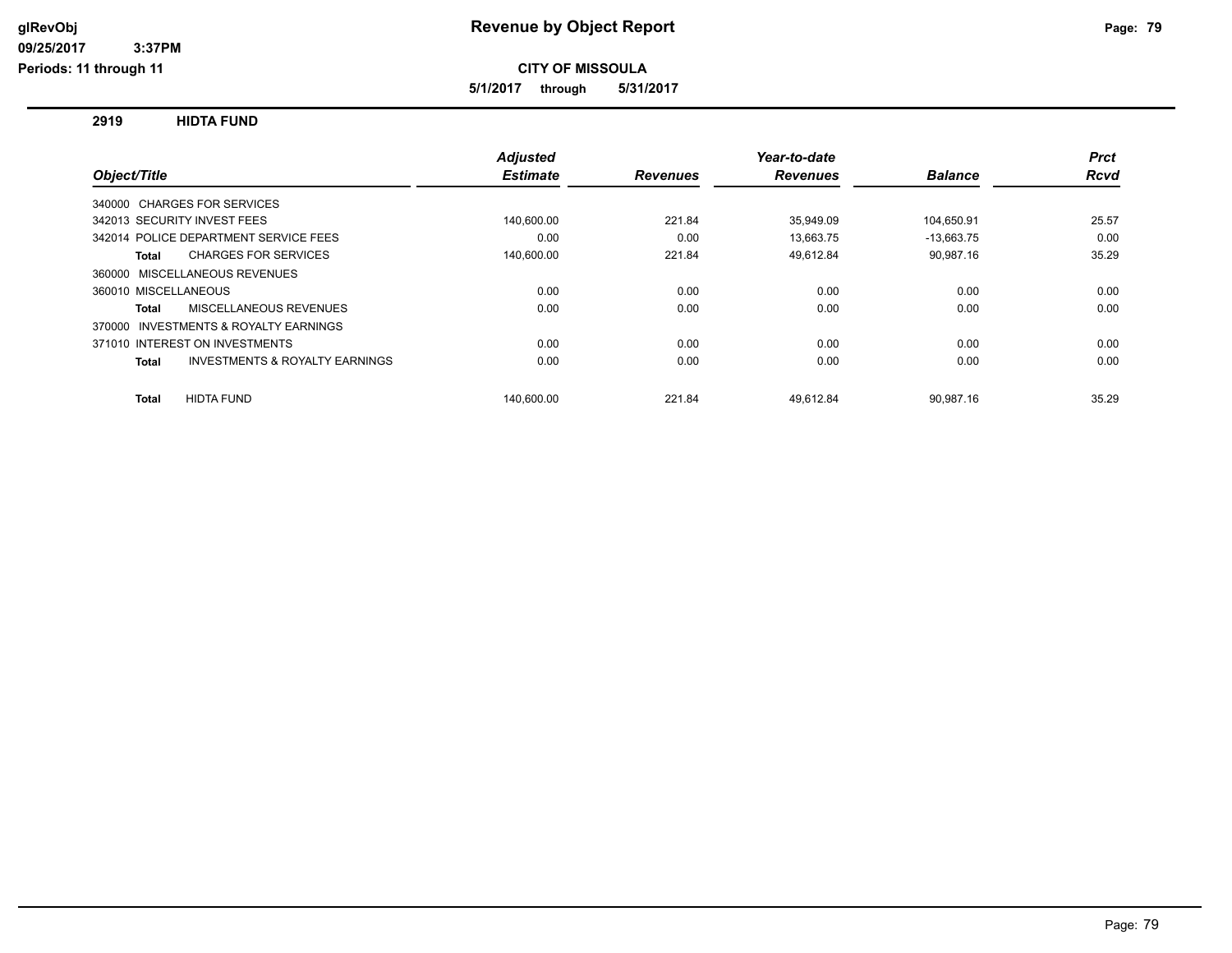**CITY OF MISSOULA**

**5/1/2017 through 5/31/2017**

**2919 HIDTA FUND**

 **3:37PM**

|                                                           | <b>Adjusted</b> |                 | Year-to-date    |                | <b>Prct</b> |
|-----------------------------------------------------------|-----------------|-----------------|-----------------|----------------|-------------|
| Object/Title                                              | <b>Estimate</b> | <b>Revenues</b> | <b>Revenues</b> | <b>Balance</b> | Rcvd        |
| 340000 CHARGES FOR SERVICES                               |                 |                 |                 |                |             |
| 342013 SECURITY INVEST FEES                               | 140,600.00      | 221.84          | 35,949.09       | 104,650.91     | 25.57       |
| 342014 POLICE DEPARTMENT SERVICE FEES                     | 0.00            | 0.00            | 13.663.75       | $-13.663.75$   | 0.00        |
| <b>CHARGES FOR SERVICES</b><br>Total                      | 140,600.00      | 221.84          | 49,612.84       | 90,987.16      | 35.29       |
| 360000 MISCELLANEOUS REVENUES                             |                 |                 |                 |                |             |
| 360010 MISCELLANEOUS                                      | 0.00            | 0.00            | 0.00            | 0.00           | 0.00        |
| MISCELLANEOUS REVENUES<br>Total                           | 0.00            | 0.00            | 0.00            | 0.00           | 0.00        |
| 370000 INVESTMENTS & ROYALTY EARNINGS                     |                 |                 |                 |                |             |
| 371010 INTEREST ON INVESTMENTS                            | 0.00            | 0.00            | 0.00            | 0.00           | 0.00        |
| <b>INVESTMENTS &amp; ROYALTY EARNINGS</b><br><b>Total</b> | 0.00            | 0.00            | 0.00            | 0.00           | 0.00        |
| <b>HIDTA FUND</b><br>Total                                | 140.600.00      | 221.84          | 49.612.84       | 90.987.16      | 35.29       |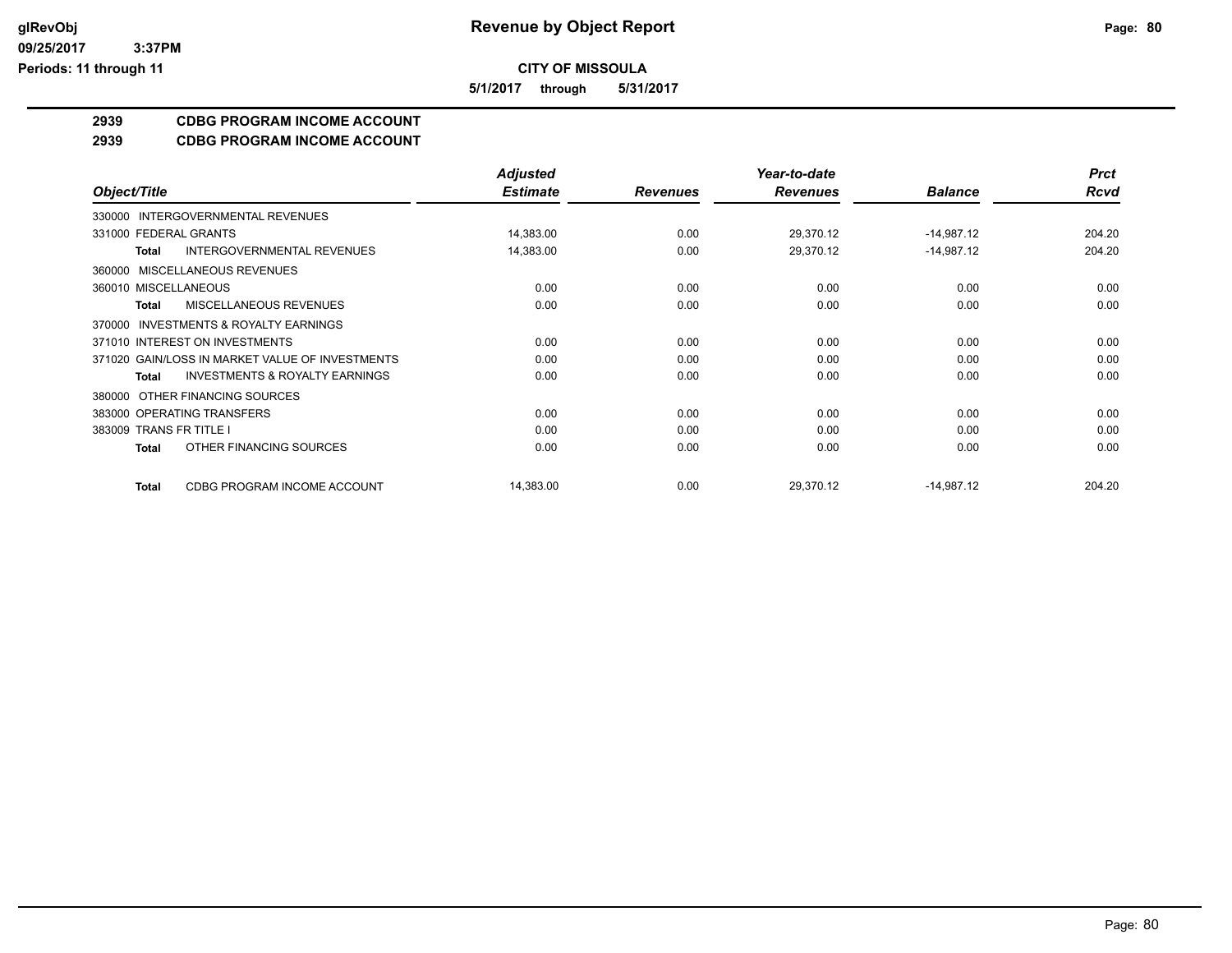**CITY OF MISSOULA**

**5/1/2017 through 5/31/2017**

# **2939 CDBG PROGRAM INCOME ACCOUNT**

# **2939 CDBG PROGRAM INCOME ACCOUNT**

|                                                           | <b>Adjusted</b> |                 | Year-to-date    |                | <b>Prct</b> |
|-----------------------------------------------------------|-----------------|-----------------|-----------------|----------------|-------------|
| Object/Title                                              | <b>Estimate</b> | <b>Revenues</b> | <b>Revenues</b> | <b>Balance</b> | Rcvd        |
| INTERGOVERNMENTAL REVENUES<br>330000                      |                 |                 |                 |                |             |
| 331000 FEDERAL GRANTS                                     | 14,383.00       | 0.00            | 29,370.12       | $-14,987.12$   | 204.20      |
| INTERGOVERNMENTAL REVENUES<br>Total                       | 14,383.00       | 0.00            | 29,370.12       | $-14,987.12$   | 204.20      |
| MISCELLANEOUS REVENUES<br>360000                          |                 |                 |                 |                |             |
| 360010 MISCELLANEOUS                                      | 0.00            | 0.00            | 0.00            | 0.00           | 0.00        |
| MISCELLANEOUS REVENUES<br><b>Total</b>                    | 0.00            | 0.00            | 0.00            | 0.00           | 0.00        |
| <b>INVESTMENTS &amp; ROYALTY EARNINGS</b><br>370000       |                 |                 |                 |                |             |
| 371010 INTEREST ON INVESTMENTS                            | 0.00            | 0.00            | 0.00            | 0.00           | 0.00        |
| 371020 GAIN/LOSS IN MARKET VALUE OF INVESTMENTS           | 0.00            | 0.00            | 0.00            | 0.00           | 0.00        |
| <b>INVESTMENTS &amp; ROYALTY EARNINGS</b><br><b>Total</b> | 0.00            | 0.00            | 0.00            | 0.00           | 0.00        |
| OTHER FINANCING SOURCES<br>380000                         |                 |                 |                 |                |             |
| 383000 OPERATING TRANSFERS                                | 0.00            | 0.00            | 0.00            | 0.00           | 0.00        |
| 383009 TRANS FR TITLE I                                   | 0.00            | 0.00            | 0.00            | 0.00           | 0.00        |
| OTHER FINANCING SOURCES<br><b>Total</b>                   | 0.00            | 0.00            | 0.00            | 0.00           | 0.00        |
| CDBG PROGRAM INCOME ACCOUNT<br><b>Total</b>               | 14,383.00       | 0.00            | 29,370.12       | $-14,987.12$   | 204.20      |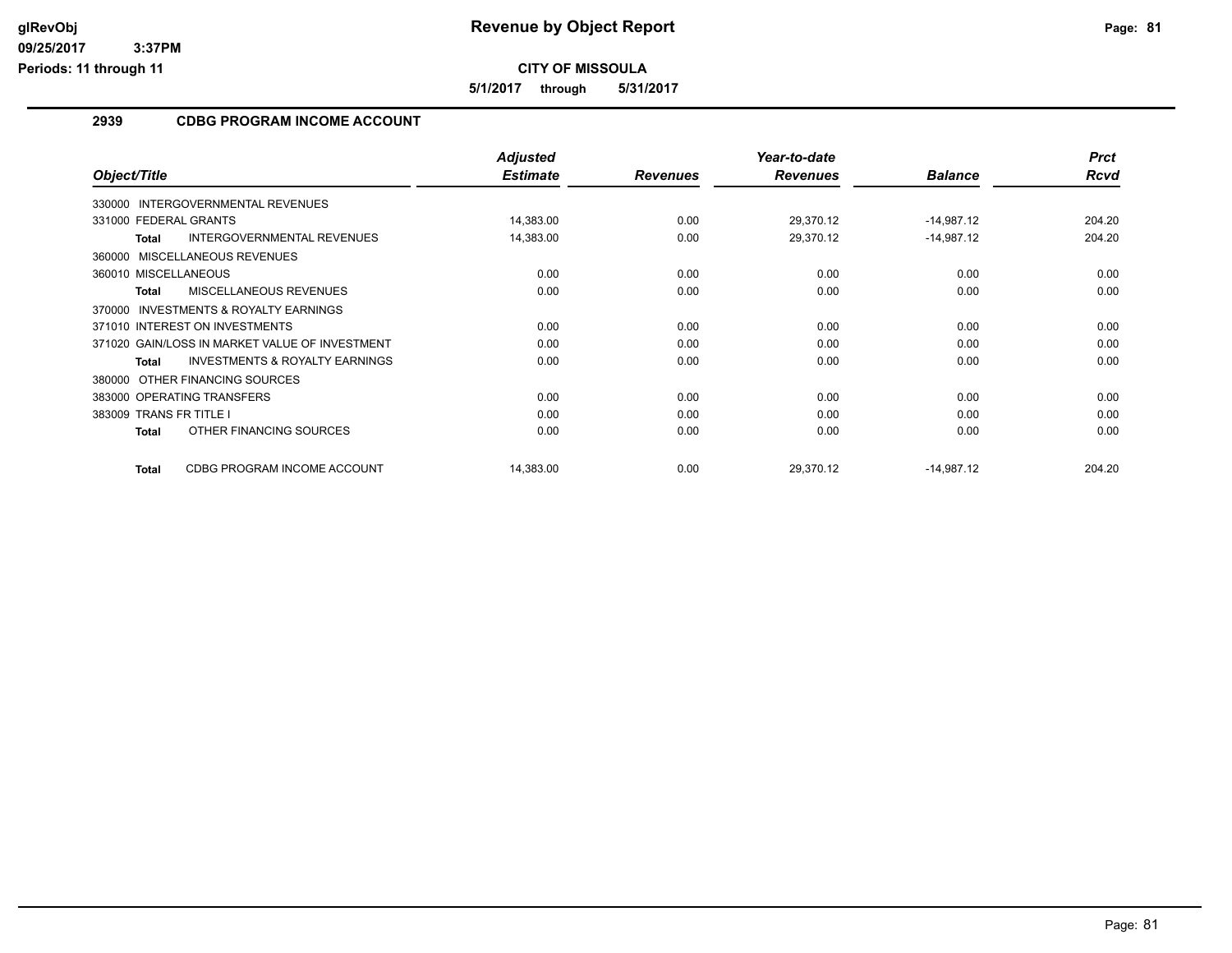**3:37PM**

**CITY OF MISSOULA**

**5/1/2017 through 5/31/2017**

# **2939 CDBG PROGRAM INCOME ACCOUNT**

|                                                           | <b>Adjusted</b> |                 | Year-to-date    |                | <b>Prct</b> |
|-----------------------------------------------------------|-----------------|-----------------|-----------------|----------------|-------------|
| Object/Title                                              | <b>Estimate</b> | <b>Revenues</b> | <b>Revenues</b> | <b>Balance</b> | <b>Rcvd</b> |
| 330000 INTERGOVERNMENTAL REVENUES                         |                 |                 |                 |                |             |
| 331000 FEDERAL GRANTS                                     | 14,383.00       | 0.00            | 29,370.12       | $-14,987.12$   | 204.20      |
| <b>INTERGOVERNMENTAL REVENUES</b><br><b>Total</b>         | 14,383.00       | 0.00            | 29,370.12       | $-14,987.12$   | 204.20      |
| MISCELLANEOUS REVENUES<br>360000                          |                 |                 |                 |                |             |
| 360010 MISCELLANEOUS                                      | 0.00            | 0.00            | 0.00            | 0.00           | 0.00        |
| MISCELLANEOUS REVENUES<br><b>Total</b>                    | 0.00            | 0.00            | 0.00            | 0.00           | 0.00        |
| INVESTMENTS & ROYALTY EARNINGS<br>370000                  |                 |                 |                 |                |             |
| 371010 INTEREST ON INVESTMENTS                            | 0.00            | 0.00            | 0.00            | 0.00           | 0.00        |
| 371020 GAIN/LOSS IN MARKET VALUE OF INVESTMENT            | 0.00            | 0.00            | 0.00            | 0.00           | 0.00        |
| <b>INVESTMENTS &amp; ROYALTY EARNINGS</b><br><b>Total</b> | 0.00            | 0.00            | 0.00            | 0.00           | 0.00        |
| 380000 OTHER FINANCING SOURCES                            |                 |                 |                 |                |             |
| 383000 OPERATING TRANSFERS                                | 0.00            | 0.00            | 0.00            | 0.00           | 0.00        |
| 383009 TRANS FR TITLE I                                   | 0.00            | 0.00            | 0.00            | 0.00           | 0.00        |
| OTHER FINANCING SOURCES<br><b>Total</b>                   | 0.00            | 0.00            | 0.00            | 0.00           | 0.00        |
| <b>Total</b><br>CDBG PROGRAM INCOME ACCOUNT               | 14,383.00       | 0.00            | 29,370.12       | $-14,987.12$   | 204.20      |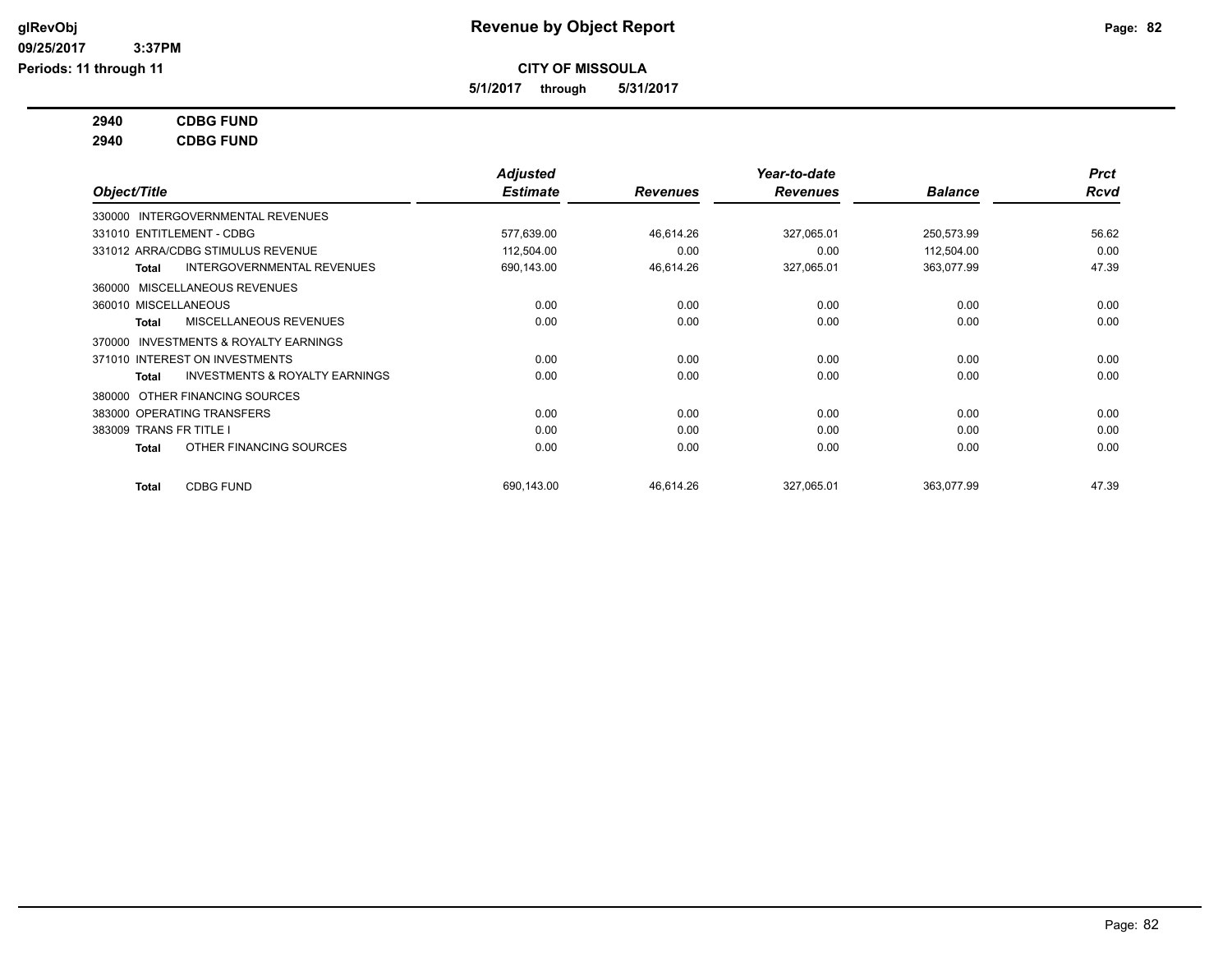**5/1/2017 through 5/31/2017**

# **2940 CDBG FUND**

**2940 CDBG FUND**

|                                                           | <b>Adjusted</b> |                 | Year-to-date    |                | <b>Prct</b> |
|-----------------------------------------------------------|-----------------|-----------------|-----------------|----------------|-------------|
| Object/Title                                              | <b>Estimate</b> | <b>Revenues</b> | <b>Revenues</b> | <b>Balance</b> | Rcvd        |
| 330000 INTERGOVERNMENTAL REVENUES                         |                 |                 |                 |                |             |
| 331010 ENTITLEMENT - CDBG                                 | 577,639.00      | 46,614.26       | 327,065.01      | 250,573.99     | 56.62       |
| 331012 ARRA/CDBG STIMULUS REVENUE                         | 112,504.00      | 0.00            | 0.00            | 112,504.00     | 0.00        |
| <b>INTERGOVERNMENTAL REVENUES</b><br>Total                | 690,143.00      | 46,614.26       | 327,065.01      | 363,077.99     | 47.39       |
| MISCELLANEOUS REVENUES<br>360000                          |                 |                 |                 |                |             |
| 360010 MISCELLANEOUS                                      | 0.00            | 0.00            | 0.00            | 0.00           | 0.00        |
| MISCELLANEOUS REVENUES<br>Total                           | 0.00            | 0.00            | 0.00            | 0.00           | 0.00        |
| <b>INVESTMENTS &amp; ROYALTY EARNINGS</b><br>370000       |                 |                 |                 |                |             |
| 371010 INTEREST ON INVESTMENTS                            | 0.00            | 0.00            | 0.00            | 0.00           | 0.00        |
| <b>INVESTMENTS &amp; ROYALTY EARNINGS</b><br><b>Total</b> | 0.00            | 0.00            | 0.00            | 0.00           | 0.00        |
| OTHER FINANCING SOURCES<br>380000                         |                 |                 |                 |                |             |
| 383000 OPERATING TRANSFERS                                | 0.00            | 0.00            | 0.00            | 0.00           | 0.00        |
| 383009 TRANS FR TITLE I                                   | 0.00            | 0.00            | 0.00            | 0.00           | 0.00        |
| OTHER FINANCING SOURCES<br><b>Total</b>                   | 0.00            | 0.00            | 0.00            | 0.00           | 0.00        |
| <b>CDBG FUND</b><br><b>Total</b>                          | 690,143.00      | 46,614.26       | 327,065.01      | 363,077.99     | 47.39       |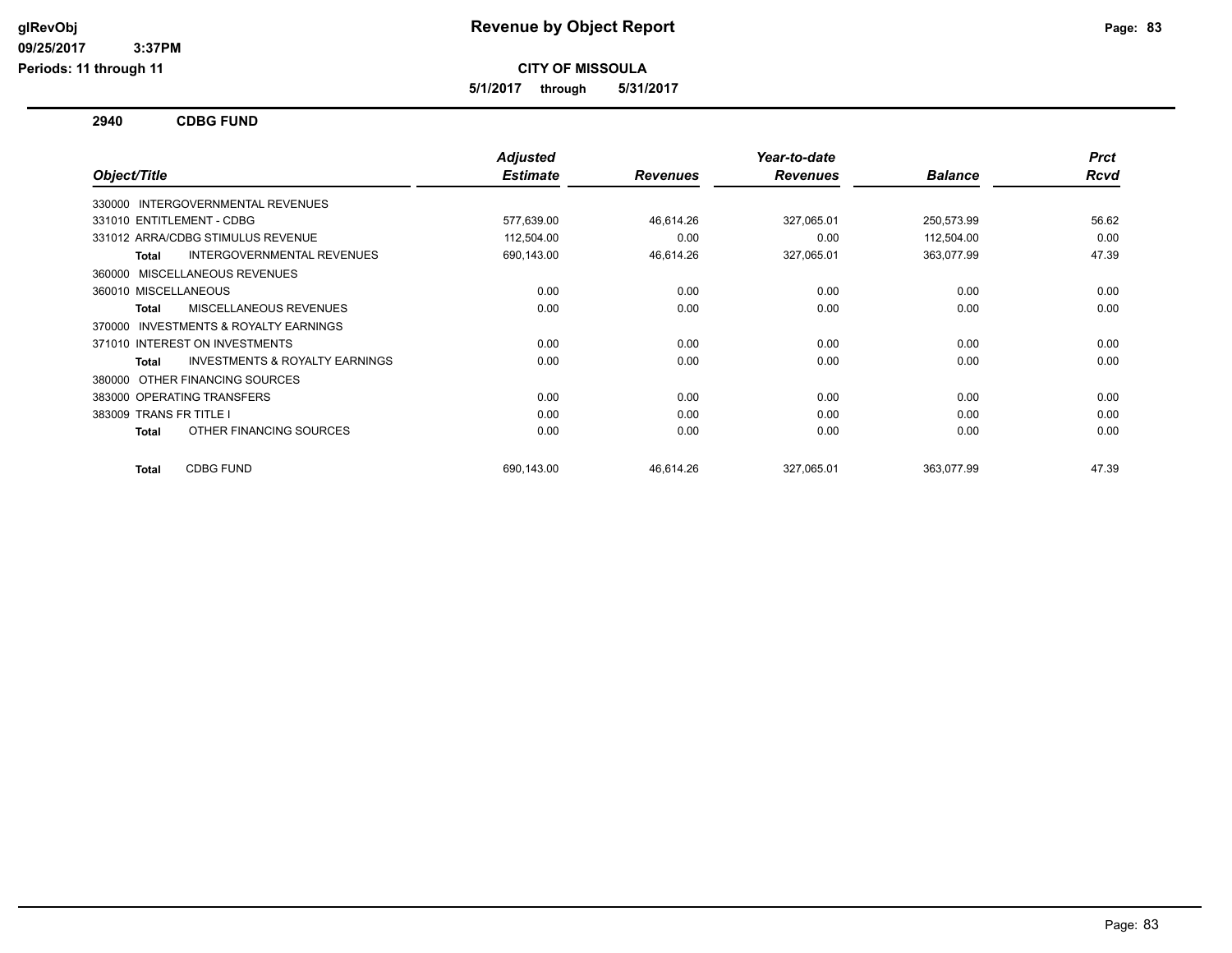**09/25/2017 3:37PM Periods: 11 through 11**

**CITY OF MISSOULA**

**5/1/2017 through 5/31/2017**

**2940 CDBG FUND**

|                                                     | <b>Adjusted</b> |                 | Year-to-date    |                | <b>Prct</b> |
|-----------------------------------------------------|-----------------|-----------------|-----------------|----------------|-------------|
| Object/Title                                        | <b>Estimate</b> | <b>Revenues</b> | <b>Revenues</b> | <b>Balance</b> | Rcvd        |
| 330000 INTERGOVERNMENTAL REVENUES                   |                 |                 |                 |                |             |
| 331010 ENTITLEMENT - CDBG                           | 577,639.00      | 46,614.26       | 327,065.01      | 250,573.99     | 56.62       |
| 331012 ARRA/CDBG STIMULUS REVENUE                   | 112,504.00      | 0.00            | 0.00            | 112,504.00     | 0.00        |
| <b>INTERGOVERNMENTAL REVENUES</b><br>Total          | 690,143.00      | 46,614.26       | 327,065.01      | 363,077.99     | 47.39       |
| 360000 MISCELLANEOUS REVENUES                       |                 |                 |                 |                |             |
| 360010 MISCELLANEOUS                                | 0.00            | 0.00            | 0.00            | 0.00           | 0.00        |
| MISCELLANEOUS REVENUES<br>Total                     | 0.00            | 0.00            | 0.00            | 0.00           | 0.00        |
| <b>INVESTMENTS &amp; ROYALTY EARNINGS</b><br>370000 |                 |                 |                 |                |             |
| 371010 INTEREST ON INVESTMENTS                      | 0.00            | 0.00            | 0.00            | 0.00           | 0.00        |
| <b>INVESTMENTS &amp; ROYALTY EARNINGS</b><br>Total  | 0.00            | 0.00            | 0.00            | 0.00           | 0.00        |
| 380000 OTHER FINANCING SOURCES                      |                 |                 |                 |                |             |
| 383000 OPERATING TRANSFERS                          | 0.00            | 0.00            | 0.00            | 0.00           | 0.00        |
| 383009 TRANS FR TITLE I                             | 0.00            | 0.00            | 0.00            | 0.00           | 0.00        |
| OTHER FINANCING SOURCES<br><b>Total</b>             | 0.00            | 0.00            | 0.00            | 0.00           | 0.00        |
| <b>CDBG FUND</b><br><b>Total</b>                    | 690,143.00      | 46,614.26       | 327,065.01      | 363,077.99     | 47.39       |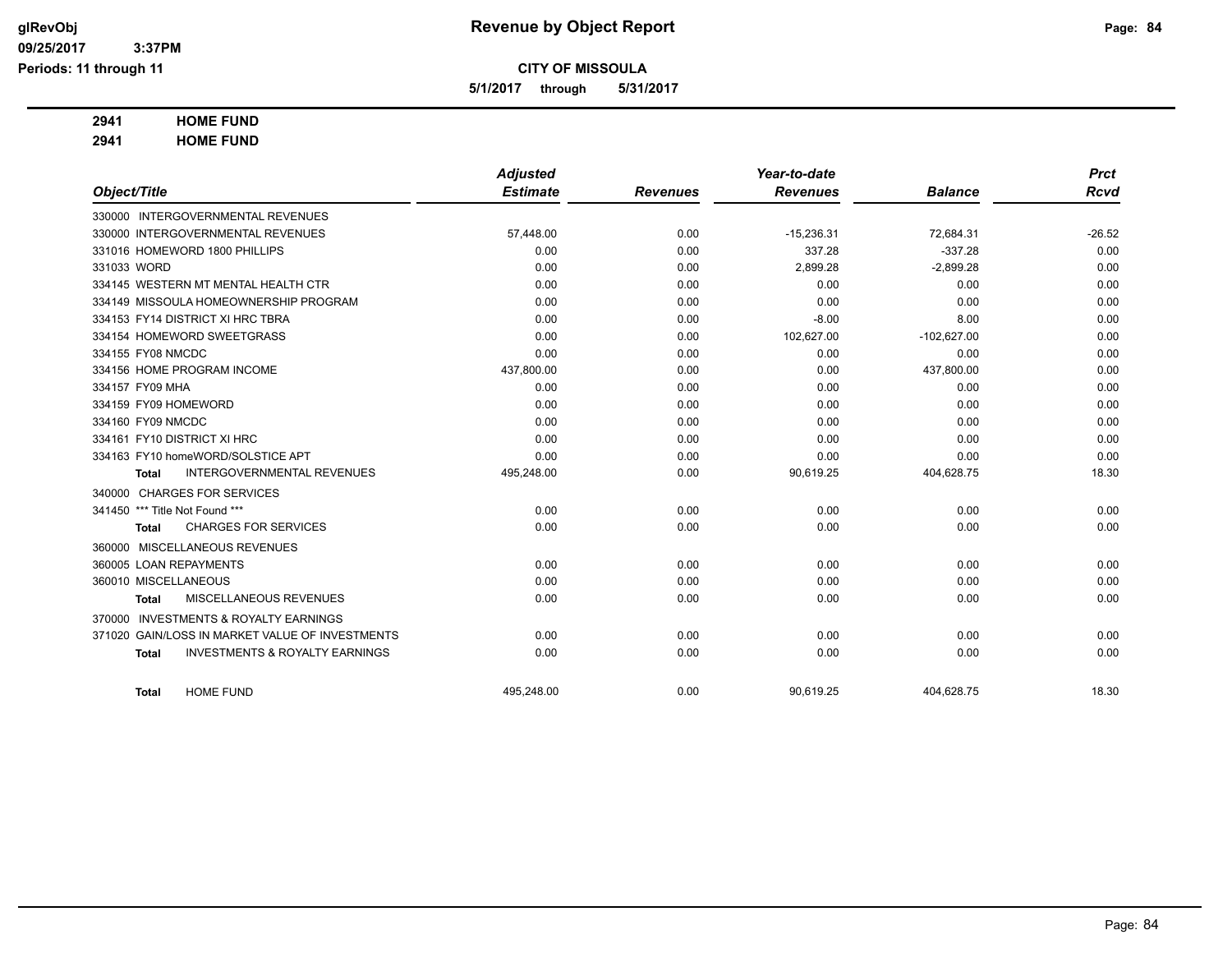**5/1/2017 through 5/31/2017**

# **2941 HOME FUND**

**2941 HOME FUND**

|                                                           | <b>Adjusted</b> |                 | Year-to-date    |                | <b>Prct</b> |
|-----------------------------------------------------------|-----------------|-----------------|-----------------|----------------|-------------|
| Object/Title                                              | <b>Estimate</b> | <b>Revenues</b> | <b>Revenues</b> | <b>Balance</b> | <b>Rcvd</b> |
| 330000 INTERGOVERNMENTAL REVENUES                         |                 |                 |                 |                |             |
| 330000 INTERGOVERNMENTAL REVENUES                         | 57,448.00       | 0.00            | $-15,236.31$    | 72,684.31      | $-26.52$    |
| 331016 HOMEWORD 1800 PHILLIPS                             | 0.00            | 0.00            | 337.28          | $-337.28$      | 0.00        |
| 331033 WORD                                               | 0.00            | 0.00            | 2,899.28        | $-2,899.28$    | 0.00        |
| 334145 WESTERN MT MENTAL HEALTH CTR                       | 0.00            | 0.00            | 0.00            | 0.00           | 0.00        |
| 334149 MISSOULA HOMEOWNERSHIP PROGRAM                     | 0.00            | 0.00            | 0.00            | 0.00           | 0.00        |
| 334153 FY14 DISTRICT XI HRC TBRA                          | 0.00            | 0.00            | $-8.00$         | 8.00           | 0.00        |
| 334154 HOMEWORD SWEETGRASS                                | 0.00            | 0.00            | 102,627.00      | $-102,627.00$  | 0.00        |
| 334155 FY08 NMCDC                                         | 0.00            | 0.00            | 0.00            | 0.00           | 0.00        |
| 334156 HOME PROGRAM INCOME                                | 437,800.00      | 0.00            | 0.00            | 437,800.00     | 0.00        |
| 334157 FY09 MHA                                           | 0.00            | 0.00            | 0.00            | 0.00           | 0.00        |
| 334159 FY09 HOMEWORD                                      | 0.00            | 0.00            | 0.00            | 0.00           | 0.00        |
| 334160 FY09 NMCDC                                         | 0.00            | 0.00            | 0.00            | 0.00           | 0.00        |
| 334161 FY10 DISTRICT XI HRC                               | 0.00            | 0.00            | 0.00            | 0.00           | 0.00        |
| 334163 FY10 homeWORD/SOLSTICE APT                         | 0.00            | 0.00            | 0.00            | 0.00           | 0.00        |
| INTERGOVERNMENTAL REVENUES<br><b>Total</b>                | 495,248.00      | 0.00            | 90,619.25       | 404,628.75     | 18.30       |
| 340000 CHARGES FOR SERVICES                               |                 |                 |                 |                |             |
| 341450 *** Title Not Found ***                            | 0.00            | 0.00            | 0.00            | 0.00           | 0.00        |
| <b>CHARGES FOR SERVICES</b><br>Total                      | 0.00            | 0.00            | 0.00            | 0.00           | 0.00        |
| 360000 MISCELLANEOUS REVENUES                             |                 |                 |                 |                |             |
| 360005 LOAN REPAYMENTS                                    | 0.00            | 0.00            | 0.00            | 0.00           | 0.00        |
| 360010 MISCELLANEOUS                                      | 0.00            | 0.00            | 0.00            | 0.00           | 0.00        |
| <b>MISCELLANEOUS REVENUES</b><br><b>Total</b>             | 0.00            | 0.00            | 0.00            | 0.00           | 0.00        |
| 370000 INVESTMENTS & ROYALTY EARNINGS                     |                 |                 |                 |                |             |
| 371020 GAIN/LOSS IN MARKET VALUE OF INVESTMENTS           | 0.00            | 0.00            | 0.00            | 0.00           | 0.00        |
| <b>INVESTMENTS &amp; ROYALTY EARNINGS</b><br><b>Total</b> | 0.00            | 0.00            | 0.00            | 0.00           | 0.00        |
| <b>HOME FUND</b><br><b>Total</b>                          | 495.248.00      | 0.00            | 90,619.25       | 404,628.75     | 18.30       |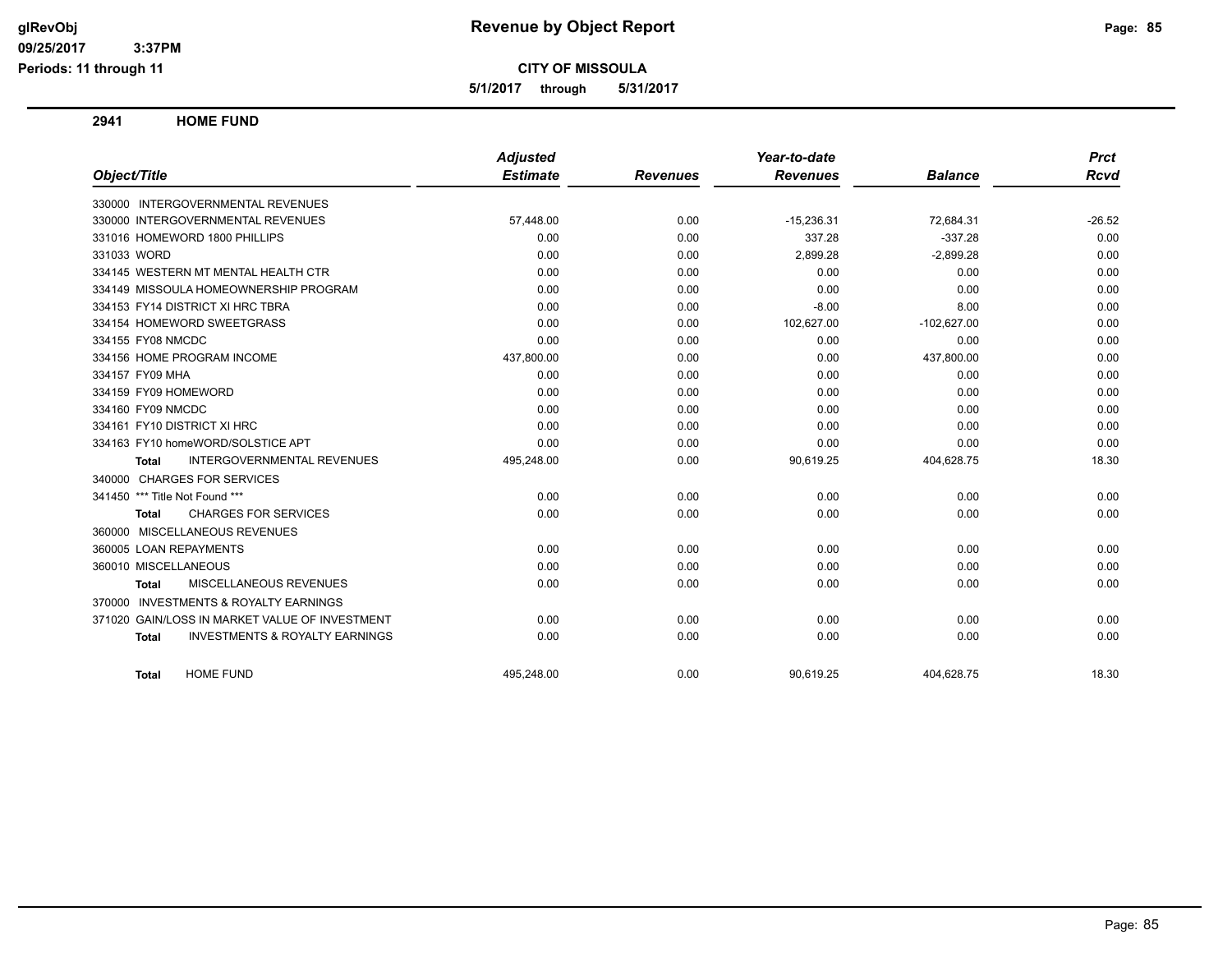**5/1/2017 through 5/31/2017**

**2941 HOME FUND**

|                                                           | <b>Adjusted</b> |                 | Year-to-date    |                | <b>Prct</b> |
|-----------------------------------------------------------|-----------------|-----------------|-----------------|----------------|-------------|
| Object/Title                                              | <b>Estimate</b> | <b>Revenues</b> | <b>Revenues</b> | <b>Balance</b> | <b>Rcvd</b> |
| 330000 INTERGOVERNMENTAL REVENUES                         |                 |                 |                 |                |             |
| 330000 INTERGOVERNMENTAL REVENUES                         | 57.448.00       | 0.00            | $-15,236.31$    | 72,684.31      | $-26.52$    |
| 331016 HOMEWORD 1800 PHILLIPS                             | 0.00            | 0.00            | 337.28          | $-337.28$      | 0.00        |
| 331033 WORD                                               | 0.00            | 0.00            | 2,899.28        | $-2,899.28$    | 0.00        |
| 334145 WESTERN MT MENTAL HEALTH CTR                       | 0.00            | 0.00            | 0.00            | 0.00           | 0.00        |
| 334149 MISSOULA HOMEOWNERSHIP PROGRAM                     | 0.00            | 0.00            | 0.00            | 0.00           | 0.00        |
| 334153 FY14 DISTRICT XI HRC TBRA                          | 0.00            | 0.00            | $-8.00$         | 8.00           | 0.00        |
| 334154 HOMEWORD SWEETGRASS                                | 0.00            | 0.00            | 102,627.00      | $-102,627.00$  | 0.00        |
| 334155 FY08 NMCDC                                         | 0.00            | 0.00            | 0.00            | 0.00           | 0.00        |
| 334156 HOME PROGRAM INCOME                                | 437,800.00      | 0.00            | 0.00            | 437,800.00     | 0.00        |
| 334157 FY09 MHA                                           | 0.00            | 0.00            | 0.00            | 0.00           | 0.00        |
| 334159 FY09 HOMEWORD                                      | 0.00            | 0.00            | 0.00            | 0.00           | 0.00        |
| 334160 FY09 NMCDC                                         | 0.00            | 0.00            | 0.00            | 0.00           | 0.00        |
| 334161 FY10 DISTRICT XI HRC                               | 0.00            | 0.00            | 0.00            | 0.00           | 0.00        |
| 334163 FY10 homeWORD/SOLSTICE APT                         | 0.00            | 0.00            | 0.00            | 0.00           | 0.00        |
| <b>INTERGOVERNMENTAL REVENUES</b><br><b>Total</b>         | 495,248.00      | 0.00            | 90,619.25       | 404,628.75     | 18.30       |
| 340000 CHARGES FOR SERVICES                               |                 |                 |                 |                |             |
| 341450 *** Title Not Found ***                            | 0.00            | 0.00            | 0.00            | 0.00           | 0.00        |
| <b>CHARGES FOR SERVICES</b><br><b>Total</b>               | 0.00            | 0.00            | 0.00            | 0.00           | 0.00        |
| 360000 MISCELLANEOUS REVENUES                             |                 |                 |                 |                |             |
| 360005 LOAN REPAYMENTS                                    | 0.00            | 0.00            | 0.00            | 0.00           | 0.00        |
| 360010 MISCELLANEOUS                                      | 0.00            | 0.00            | 0.00            | 0.00           | 0.00        |
| <b>MISCELLANEOUS REVENUES</b><br><b>Total</b>             | 0.00            | 0.00            | 0.00            | 0.00           | 0.00        |
| 370000 INVESTMENTS & ROYALTY EARNINGS                     |                 |                 |                 |                |             |
| 371020 GAIN/LOSS IN MARKET VALUE OF INVESTMENT            | 0.00            | 0.00            | 0.00            | 0.00           | 0.00        |
| <b>INVESTMENTS &amp; ROYALTY EARNINGS</b><br><b>Total</b> | 0.00            | 0.00            | 0.00            | 0.00           | 0.00        |
| <b>HOME FUND</b><br><b>Total</b>                          | 495,248.00      | 0.00            | 90,619.25       | 404,628.75     | 18.30       |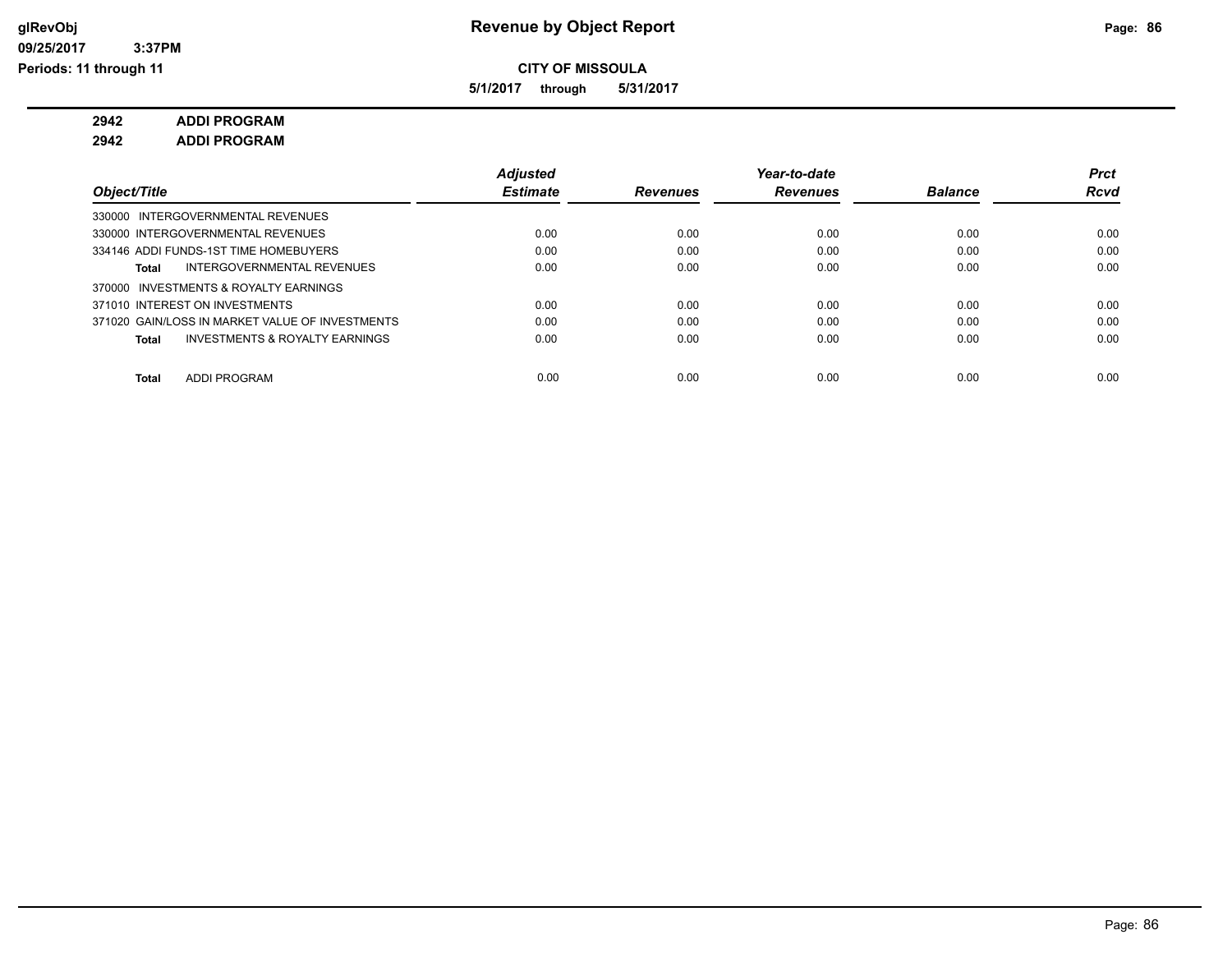**5/1/2017 through 5/31/2017**

# **2942 ADDI PROGRAM**

**2942 ADDI PROGRAM**

|                                                    | <b>Adjusted</b> |                 | Year-to-date    |                | <b>Prct</b> |
|----------------------------------------------------|-----------------|-----------------|-----------------|----------------|-------------|
| Object/Title                                       | <b>Estimate</b> | <b>Revenues</b> | <b>Revenues</b> | <b>Balance</b> | <b>Rcvd</b> |
| 330000 INTERGOVERNMENTAL REVENUES                  |                 |                 |                 |                |             |
| 330000 INTERGOVERNMENTAL REVENUES                  | 0.00            | 0.00            | 0.00            | 0.00           | 0.00        |
| 334146 ADDI FUNDS-1ST TIME HOMEBUYERS              | 0.00            | 0.00            | 0.00            | 0.00           | 0.00        |
| <b>INTERGOVERNMENTAL REVENUES</b><br>Total         | 0.00            | 0.00            | 0.00            | 0.00           | 0.00        |
| 370000 INVESTMENTS & ROYALTY EARNINGS              |                 |                 |                 |                |             |
| 371010 INTEREST ON INVESTMENTS                     | 0.00            | 0.00            | 0.00            | 0.00           | 0.00        |
| 371020 GAIN/LOSS IN MARKET VALUE OF INVESTMENTS    | 0.00            | 0.00            | 0.00            | 0.00           | 0.00        |
| <b>INVESTMENTS &amp; ROYALTY EARNINGS</b><br>Total | 0.00            | 0.00            | 0.00            | 0.00           | 0.00        |
|                                                    |                 |                 |                 |                |             |
| ADDI PROGRAM<br><b>Total</b>                       | 0.00            | 0.00            | 0.00            | 0.00           | 0.00        |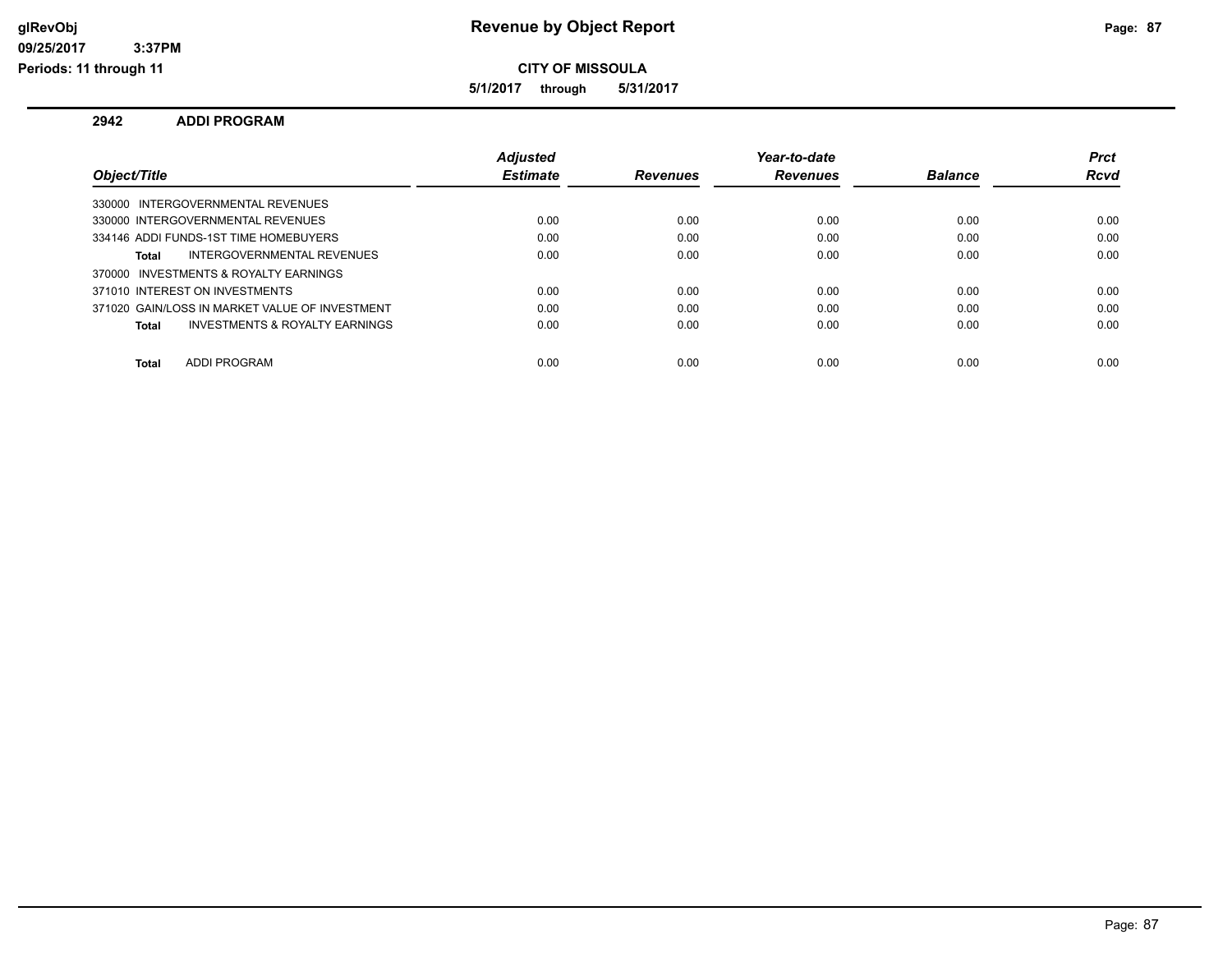**CITY OF MISSOULA**

**5/1/2017 through 5/31/2017**

## **2942 ADDI PROGRAM**

 **3:37PM**

|                                                | Adiusted        |                 | Year-to-date    |                | <b>Prct</b> |
|------------------------------------------------|-----------------|-----------------|-----------------|----------------|-------------|
| Object/Title                                   | <b>Estimate</b> | <b>Revenues</b> | <b>Revenues</b> | <b>Balance</b> | <b>Rcvd</b> |
| 330000 INTERGOVERNMENTAL REVENUES              |                 |                 |                 |                |             |
| 330000 INTERGOVERNMENTAL REVENUES              | 0.00            | 0.00            | 0.00            | 0.00           | 0.00        |
| 334146 ADDI FUNDS-1ST TIME HOMEBUYERS          | 0.00            | 0.00            | 0.00            | 0.00           | 0.00        |
| INTERGOVERNMENTAL REVENUES<br>Total            | 0.00            | 0.00            | 0.00            | 0.00           | 0.00        |
| 370000 INVESTMENTS & ROYALTY EARNINGS          |                 |                 |                 |                |             |
| 371010 INTEREST ON INVESTMENTS                 | 0.00            | 0.00            | 0.00            | 0.00           | 0.00        |
| 371020 GAIN/LOSS IN MARKET VALUE OF INVESTMENT | 0.00            | 0.00            | 0.00            | 0.00           | 0.00        |
| Total<br>INVESTMENTS & ROYALTY EARNINGS        | 0.00            | 0.00            | 0.00            | 0.00           | 0.00        |
|                                                |                 |                 |                 |                |             |
| ADDI PROGRAM<br><b>Total</b>                   | 0.00            | 0.00            | 0.00            | 0.00           | 0.00        |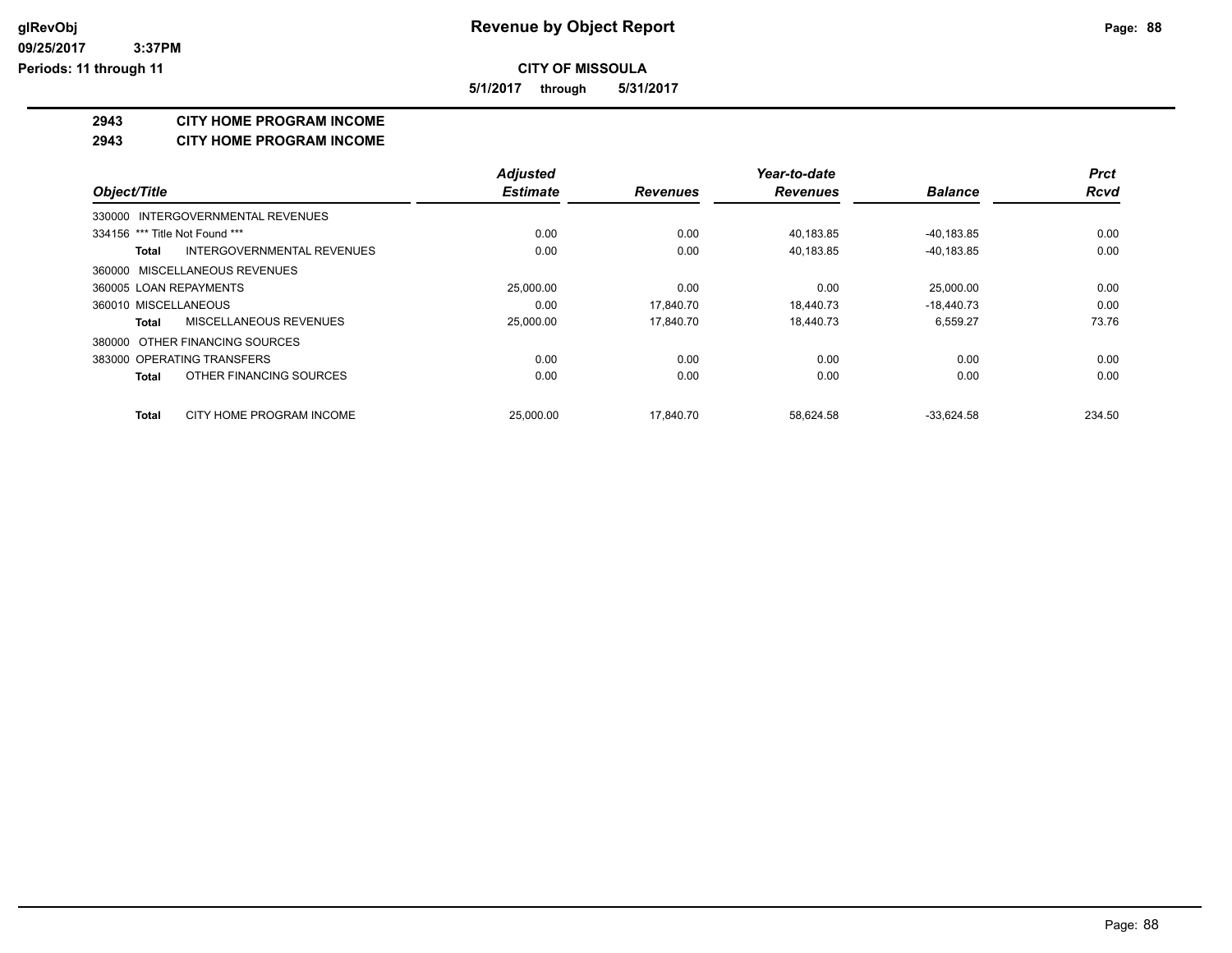**CITY OF MISSOULA**

**5/1/2017 through 5/31/2017**

# **2943 CITY HOME PROGRAM INCOME**

 **3:37PM**

## **2943 CITY HOME PROGRAM INCOME**

|                                     | <b>Adjusted</b> |                 | Year-to-date    |                | <b>Prct</b> |
|-------------------------------------|-----------------|-----------------|-----------------|----------------|-------------|
| Object/Title                        | <b>Estimate</b> | <b>Revenues</b> | <b>Revenues</b> | <b>Balance</b> | <b>Rcvd</b> |
| 330000 INTERGOVERNMENTAL REVENUES   |                 |                 |                 |                |             |
| 334156 *** Title Not Found ***      | 0.00            | 0.00            | 40,183.85       | $-40,183.85$   | 0.00        |
| INTERGOVERNMENTAL REVENUES<br>Total | 0.00            | 0.00            | 40,183.85       | $-40,183.85$   | 0.00        |
| 360000 MISCELLANEOUS REVENUES       |                 |                 |                 |                |             |
| 360005 LOAN REPAYMENTS              | 25,000.00       | 0.00            | 0.00            | 25,000.00      | 0.00        |
| 360010 MISCELLANEOUS                | 0.00            | 17.840.70       | 18,440.73       | $-18,440.73$   | 0.00        |
| MISCELLANEOUS REVENUES<br>Total     | 25,000.00       | 17.840.70       | 18.440.73       | 6,559.27       | 73.76       |
| 380000 OTHER FINANCING SOURCES      |                 |                 |                 |                |             |
| 383000 OPERATING TRANSFERS          | 0.00            | 0.00            | 0.00            | 0.00           | 0.00        |
| OTHER FINANCING SOURCES<br>Total    | 0.00            | 0.00            | 0.00            | 0.00           | 0.00        |
| CITY HOME PROGRAM INCOME<br>Total   | 25,000.00       | 17.840.70       | 58.624.58       | $-33.624.58$   | 234.50      |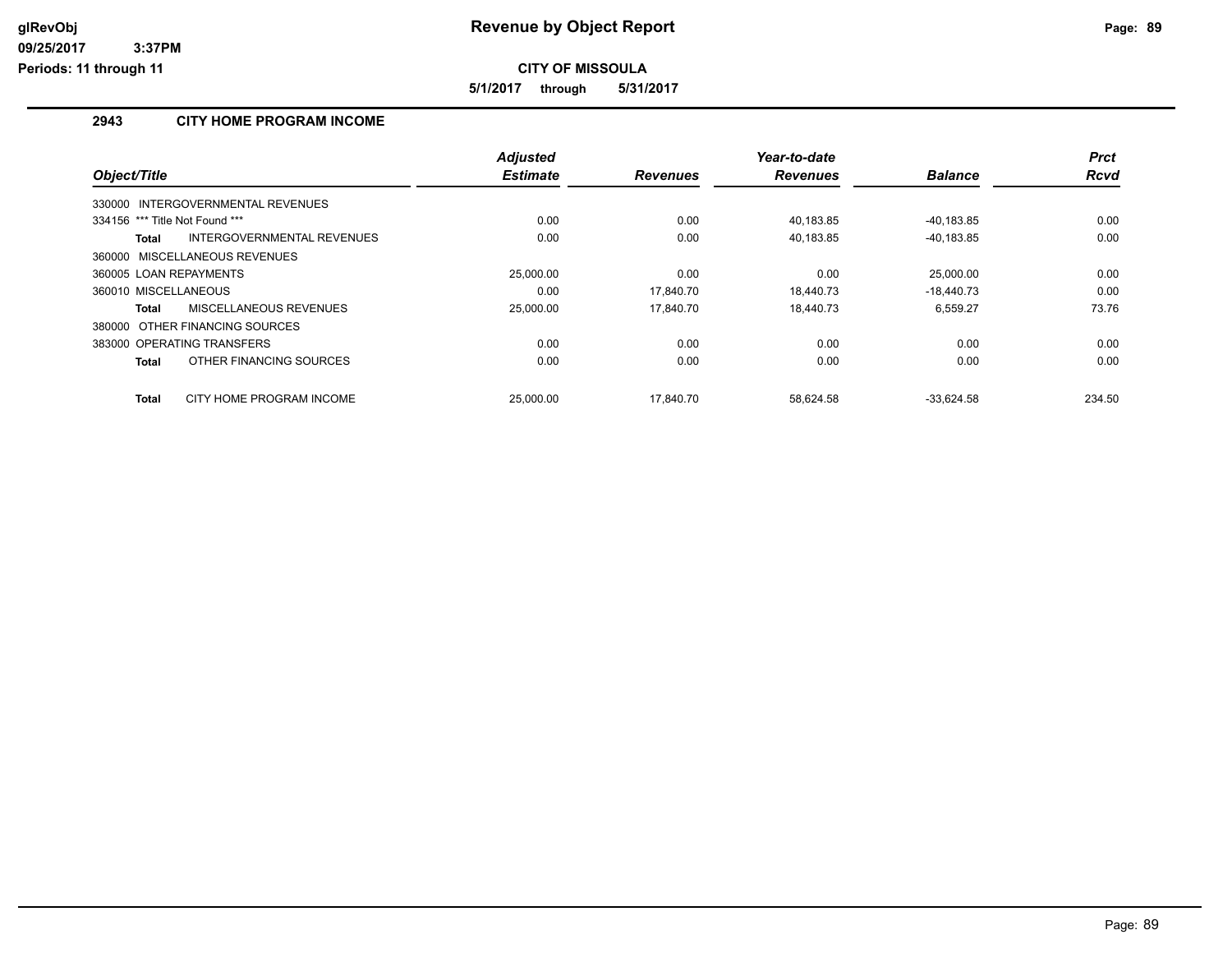**CITY OF MISSOULA**

**5/1/2017 through 5/31/2017**

# **2943 CITY HOME PROGRAM INCOME**

|                                          | <b>Adjusted</b> |                 | Year-to-date    |                | <b>Prct</b> |
|------------------------------------------|-----------------|-----------------|-----------------|----------------|-------------|
| Object/Title                             | <b>Estimate</b> | <b>Revenues</b> | <b>Revenues</b> | <b>Balance</b> | Rcvd        |
| 330000 INTERGOVERNMENTAL REVENUES        |                 |                 |                 |                |             |
| 334156 *** Title Not Found ***           | 0.00            | 0.00            | 40,183.85       | $-40,183.85$   | 0.00        |
| INTERGOVERNMENTAL REVENUES<br>Total      | 0.00            | 0.00            | 40.183.85       | $-40,183.85$   | 0.00        |
| 360000 MISCELLANEOUS REVENUES            |                 |                 |                 |                |             |
| 360005 LOAN REPAYMENTS                   | 25,000.00       | 0.00            | 0.00            | 25,000.00      | 0.00        |
| 360010 MISCELLANEOUS                     | 0.00            | 17.840.70       | 18.440.73       | $-18,440.73$   | 0.00        |
| MISCELLANEOUS REVENUES<br>Total          | 25,000.00       | 17.840.70       | 18.440.73       | 6,559.27       | 73.76       |
| 380000 OTHER FINANCING SOURCES           |                 |                 |                 |                |             |
| 383000 OPERATING TRANSFERS               | 0.00            | 0.00            | 0.00            | 0.00           | 0.00        |
| OTHER FINANCING SOURCES<br><b>Total</b>  | 0.00            | 0.00            | 0.00            | 0.00           | 0.00        |
| CITY HOME PROGRAM INCOME<br><b>Total</b> | 25.000.00       | 17.840.70       | 58.624.58       | $-33.624.58$   | 234.50      |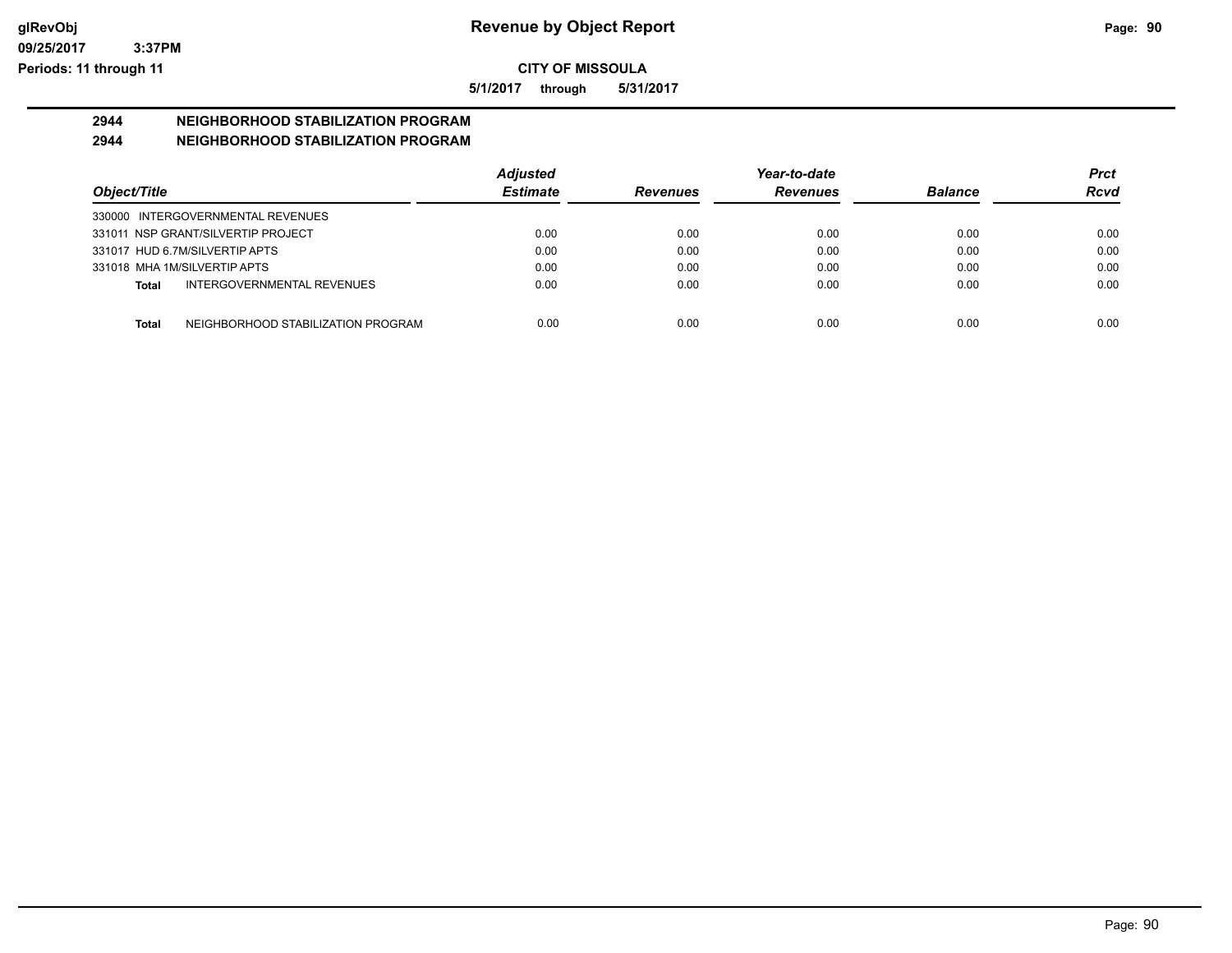**5/1/2017 through 5/31/2017**

# **2944 NEIGHBORHOOD STABILIZATION PROGRAM**

# **2944 NEIGHBORHOOD STABILIZATION PROGRAM**

|                                                    | <b>Adjusted</b> |                 | Year-to-date    |                | <b>Prct</b> |
|----------------------------------------------------|-----------------|-----------------|-----------------|----------------|-------------|
| Object/Title                                       | <b>Estimate</b> | <b>Revenues</b> | <b>Revenues</b> | <b>Balance</b> | Rcvd        |
| 330000 INTERGOVERNMENTAL REVENUES                  |                 |                 |                 |                |             |
| 331011 NSP GRANT/SILVERTIP PROJECT                 | 0.00            | 0.00            | 0.00            | 0.00           | 0.00        |
| 331017 HUD 6.7M/SILVERTIP APTS                     | 0.00            | 0.00            | 0.00            | 0.00           | 0.00        |
| 331018 MHA 1M/SILVERTIP APTS                       | 0.00            | 0.00            | 0.00            | 0.00           | 0.00        |
| INTERGOVERNMENTAL REVENUES<br>Total                | 0.00            | 0.00            | 0.00            | 0.00           | 0.00        |
| NEIGHBORHOOD STABILIZATION PROGRAM<br><b>Total</b> | 0.00            | 0.00            | 0.00            | 0.00           | 0.00        |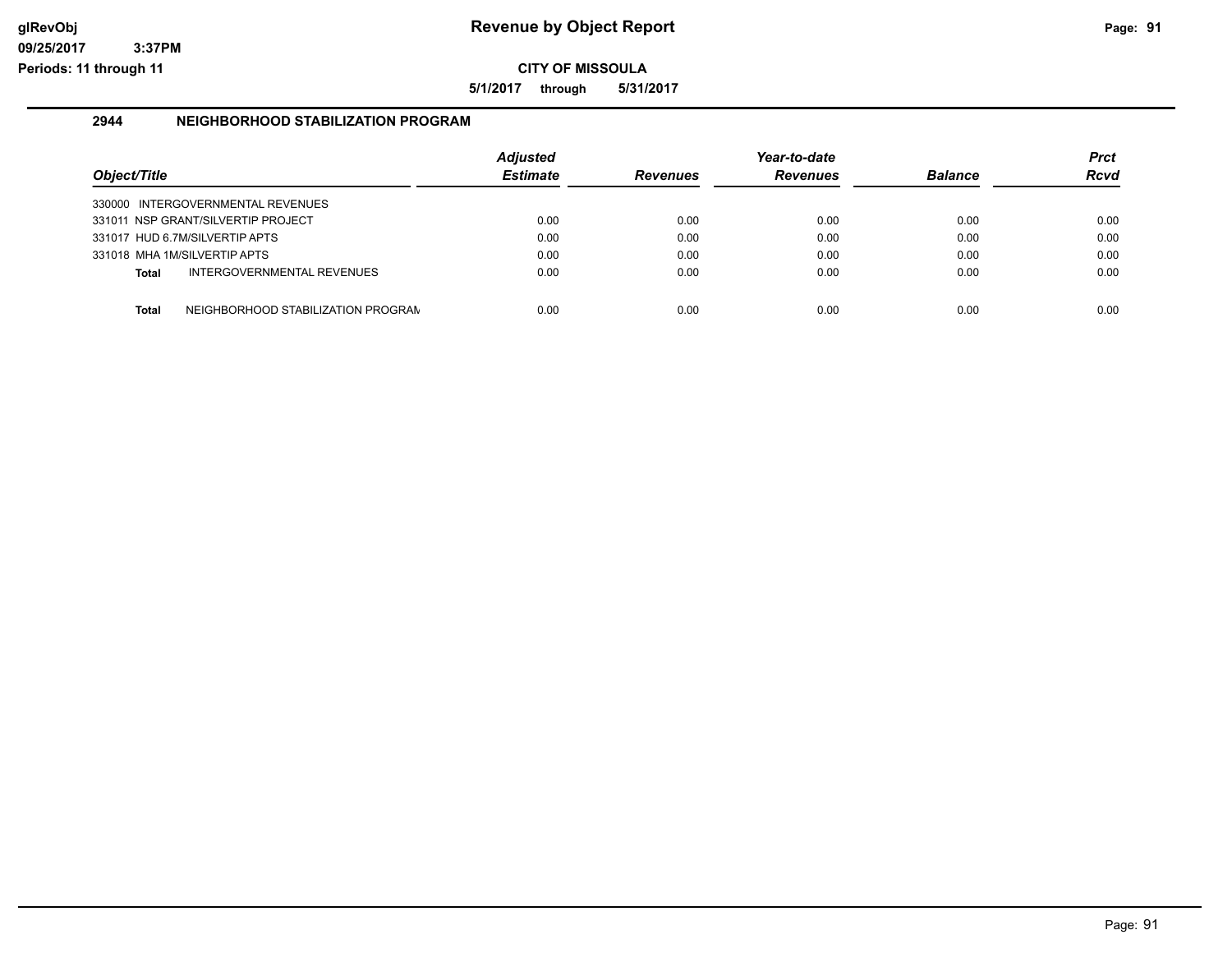**5/1/2017 through 5/31/2017**

## **2944 NEIGHBORHOOD STABILIZATION PROGRAM**

| Object/Title |                                    | <b>Adjusted</b><br><b>Estimate</b> | <b>Revenues</b> | Year-to-date<br><b>Revenues</b> | <b>Balance</b> | <b>Prct</b><br><b>Rcvd</b> |
|--------------|------------------------------------|------------------------------------|-----------------|---------------------------------|----------------|----------------------------|
|              | 330000 INTERGOVERNMENTAL REVENUES  |                                    |                 |                                 |                |                            |
|              | 331011 NSP GRANT/SILVERTIP PROJECT | 0.00                               | 0.00            | 0.00                            | 0.00           | 0.00                       |
|              | 331017 HUD 6.7M/SILVERTIP APTS     | 0.00                               | 0.00            | 0.00                            | 0.00           | 0.00                       |
|              | 331018 MHA 1M/SILVERTIP APTS       | 0.00                               | 0.00            | 0.00                            | 0.00           | 0.00                       |
| Total        | INTERGOVERNMENTAL REVENUES         | 0.00                               | 0.00            | 0.00                            | 0.00           | 0.00                       |
| Total        | NEIGHBORHOOD STABILIZATION PROGRAM | 0.00                               | 0.00            | 0.00                            | 0.00           | 0.00                       |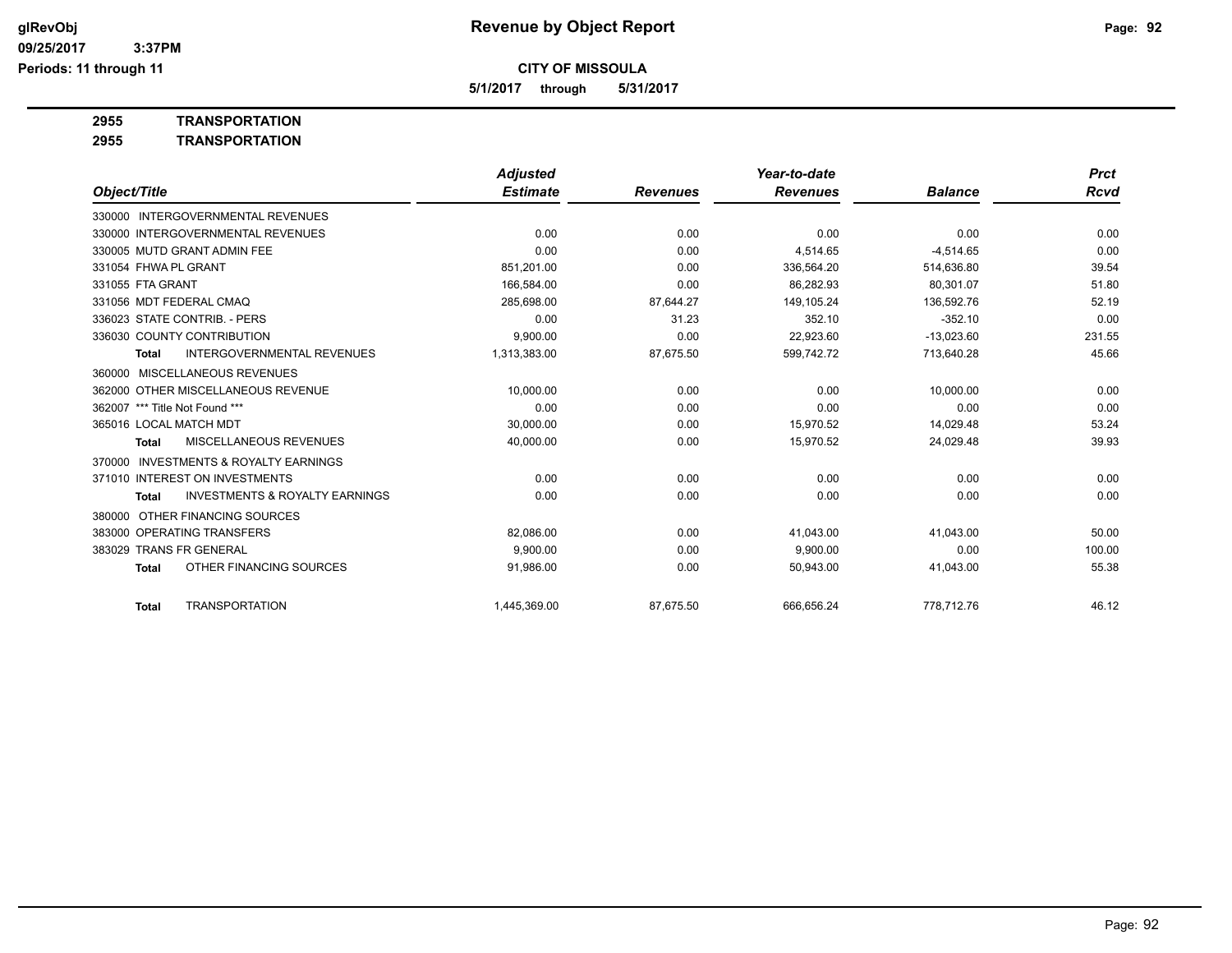**5/1/2017 through 5/31/2017**

**2955 TRANSPORTATION**

**2955 TRANSPORTATION**

|                                                           | <b>Adjusted</b> |                 | Year-to-date    |                | <b>Prct</b> |
|-----------------------------------------------------------|-----------------|-----------------|-----------------|----------------|-------------|
| Object/Title                                              | <b>Estimate</b> | <b>Revenues</b> | <b>Revenues</b> | <b>Balance</b> | Rcvd        |
| 330000 INTERGOVERNMENTAL REVENUES                         |                 |                 |                 |                |             |
| 330000 INTERGOVERNMENTAL REVENUES                         | 0.00            | 0.00            | 0.00            | 0.00           | 0.00        |
| 330005 MUTD GRANT ADMIN FEE                               | 0.00            | 0.00            | 4,514.65        | $-4,514.65$    | 0.00        |
| 331054 FHWA PL GRANT                                      | 851,201.00      | 0.00            | 336,564.20      | 514,636.80     | 39.54       |
| 331055 FTA GRANT                                          | 166.584.00      | 0.00            | 86.282.93       | 80.301.07      | 51.80       |
| 331056 MDT FEDERAL CMAO                                   | 285,698.00      | 87,644.27       | 149,105.24      | 136,592.76     | 52.19       |
| 336023 STATE CONTRIB. - PERS                              | 0.00            | 31.23           | 352.10          | $-352.10$      | 0.00        |
| 336030 COUNTY CONTRIBUTION                                | 9.900.00        | 0.00            | 22,923.60       | $-13.023.60$   | 231.55      |
| <b>INTERGOVERNMENTAL REVENUES</b><br><b>Total</b>         | 1,313,383.00    | 87,675.50       | 599,742.72      | 713,640.28     | 45.66       |
| MISCELLANEOUS REVENUES<br>360000                          |                 |                 |                 |                |             |
| 362000 OTHER MISCELLANEOUS REVENUE                        | 10,000.00       | 0.00            | 0.00            | 10,000.00      | 0.00        |
| 362007 *** Title Not Found ***                            | 0.00            | 0.00            | 0.00            | 0.00           | 0.00        |
| 365016 LOCAL MATCH MDT                                    | 30,000.00       | 0.00            | 15,970.52       | 14,029.48      | 53.24       |
| <b>MISCELLANEOUS REVENUES</b><br><b>Total</b>             | 40,000.00       | 0.00            | 15,970.52       | 24,029.48      | 39.93       |
| <b>INVESTMENTS &amp; ROYALTY EARNINGS</b><br>370000       |                 |                 |                 |                |             |
| 371010 INTEREST ON INVESTMENTS                            | 0.00            | 0.00            | 0.00            | 0.00           | 0.00        |
| <b>INVESTMENTS &amp; ROYALTY EARNINGS</b><br><b>Total</b> | 0.00            | 0.00            | 0.00            | 0.00           | 0.00        |
| OTHER FINANCING SOURCES<br>380000                         |                 |                 |                 |                |             |
| 383000 OPERATING TRANSFERS                                | 82,086.00       | 0.00            | 41,043.00       | 41.043.00      | 50.00       |
| <b>TRANS FR GENERAL</b><br>383029                         | 9.900.00        | 0.00            | 9.900.00        | 0.00           | 100.00      |
| OTHER FINANCING SOURCES<br><b>Total</b>                   | 91,986.00       | 0.00            | 50,943.00       | 41,043.00      | 55.38       |
| <b>TRANSPORTATION</b><br><b>Total</b>                     | 1,445,369.00    | 87,675.50       | 666,656.24      | 778,712.76     | 46.12       |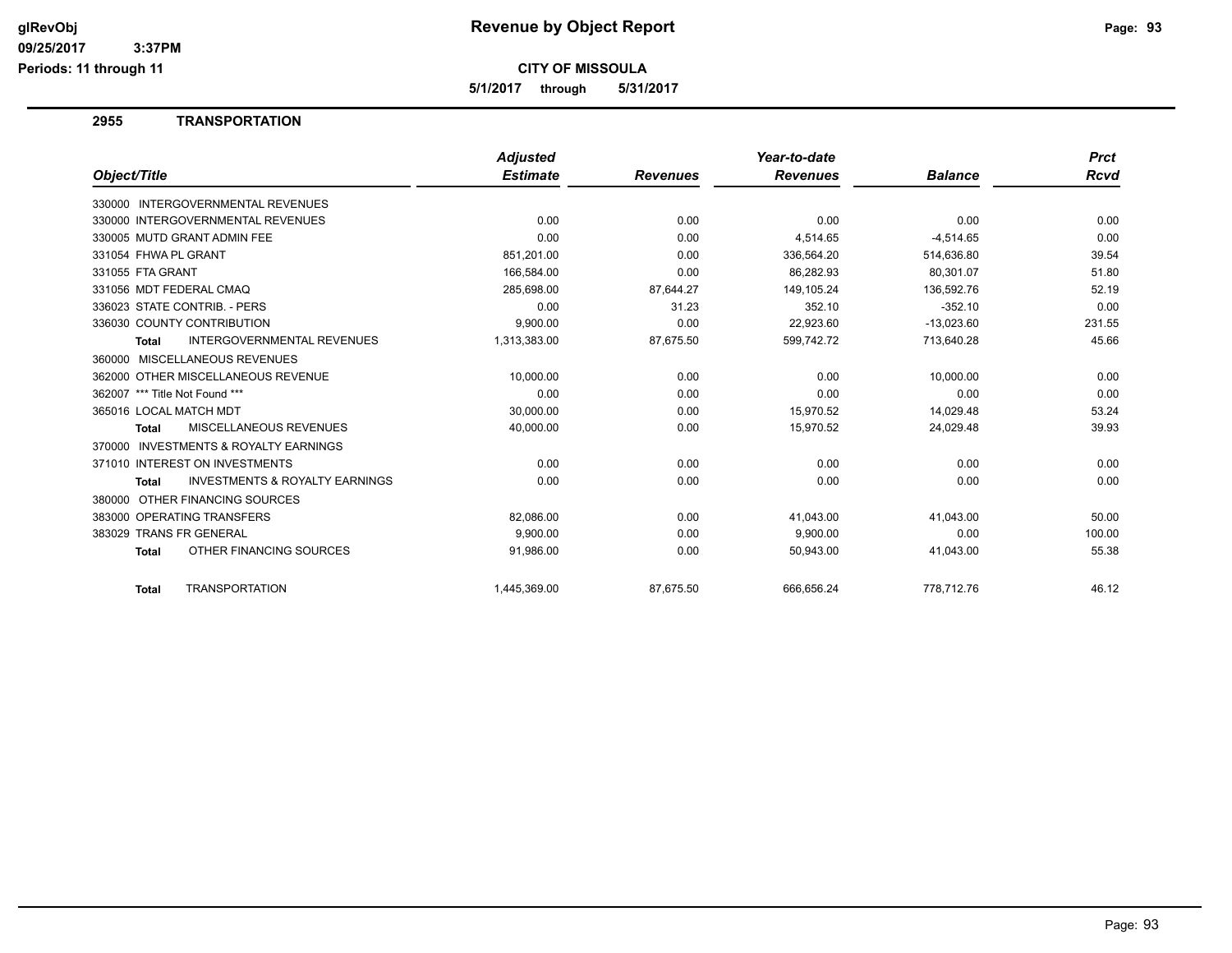**5/1/2017 through 5/31/2017**

## **2955 TRANSPORTATION**

|                                                           | <b>Adjusted</b> |                 | Year-to-date    |                | <b>Prct</b> |
|-----------------------------------------------------------|-----------------|-----------------|-----------------|----------------|-------------|
| Object/Title                                              | <b>Estimate</b> | <b>Revenues</b> | <b>Revenues</b> | <b>Balance</b> | <b>Rcvd</b> |
| 330000 INTERGOVERNMENTAL REVENUES                         |                 |                 |                 |                |             |
| 330000 INTERGOVERNMENTAL REVENUES                         | 0.00            | 0.00            | 0.00            | 0.00           | 0.00        |
| 330005 MUTD GRANT ADMIN FEE                               | 0.00            | 0.00            | 4.514.65        | $-4.514.65$    | 0.00        |
| 331054 FHWA PL GRANT                                      | 851,201.00      | 0.00            | 336,564.20      | 514,636.80     | 39.54       |
| 331055 FTA GRANT                                          | 166,584.00      | 0.00            | 86.282.93       | 80,301.07      | 51.80       |
| 331056 MDT FEDERAL CMAQ                                   | 285,698.00      | 87,644.27       | 149,105.24      | 136,592.76     | 52.19       |
| 336023 STATE CONTRIB. - PERS                              | 0.00            | 31.23           | 352.10          | $-352.10$      | 0.00        |
| 336030 COUNTY CONTRIBUTION                                | 9.900.00        | 0.00            | 22.923.60       | $-13,023.60$   | 231.55      |
| <b>INTERGOVERNMENTAL REVENUES</b><br><b>Total</b>         | 1,313,383.00    | 87,675.50       | 599,742.72      | 713,640.28     | 45.66       |
| 360000 MISCELLANEOUS REVENUES                             |                 |                 |                 |                |             |
| 362000 OTHER MISCELLANEOUS REVENUE                        | 10,000.00       | 0.00            | 0.00            | 10,000.00      | 0.00        |
| 362007 *** Title Not Found ***                            | 0.00            | 0.00            | 0.00            | 0.00           | 0.00        |
| 365016 LOCAL MATCH MDT                                    | 30,000.00       | 0.00            | 15.970.52       | 14,029.48      | 53.24       |
| <b>MISCELLANEOUS REVENUES</b><br><b>Total</b>             | 40,000.00       | 0.00            | 15,970.52       | 24,029.48      | 39.93       |
| <b>INVESTMENTS &amp; ROYALTY EARNINGS</b><br>370000       |                 |                 |                 |                |             |
| 371010 INTEREST ON INVESTMENTS                            | 0.00            | 0.00            | 0.00            | 0.00           | 0.00        |
| <b>INVESTMENTS &amp; ROYALTY EARNINGS</b><br><b>Total</b> | 0.00            | 0.00            | 0.00            | 0.00           | 0.00        |
| OTHER FINANCING SOURCES<br>380000                         |                 |                 |                 |                |             |
| 383000 OPERATING TRANSFERS                                | 82,086.00       | 0.00            | 41,043.00       | 41,043.00      | 50.00       |
| 383029 TRANS FR GENERAL                                   | 9,900.00        | 0.00            | 9,900.00        | 0.00           | 100.00      |
| OTHER FINANCING SOURCES<br><b>Total</b>                   | 91,986.00       | 0.00            | 50,943.00       | 41,043.00      | 55.38       |
| <b>TRANSPORTATION</b><br>Total                            | 1.445.369.00    | 87.675.50       | 666.656.24      | 778.712.76     | 46.12       |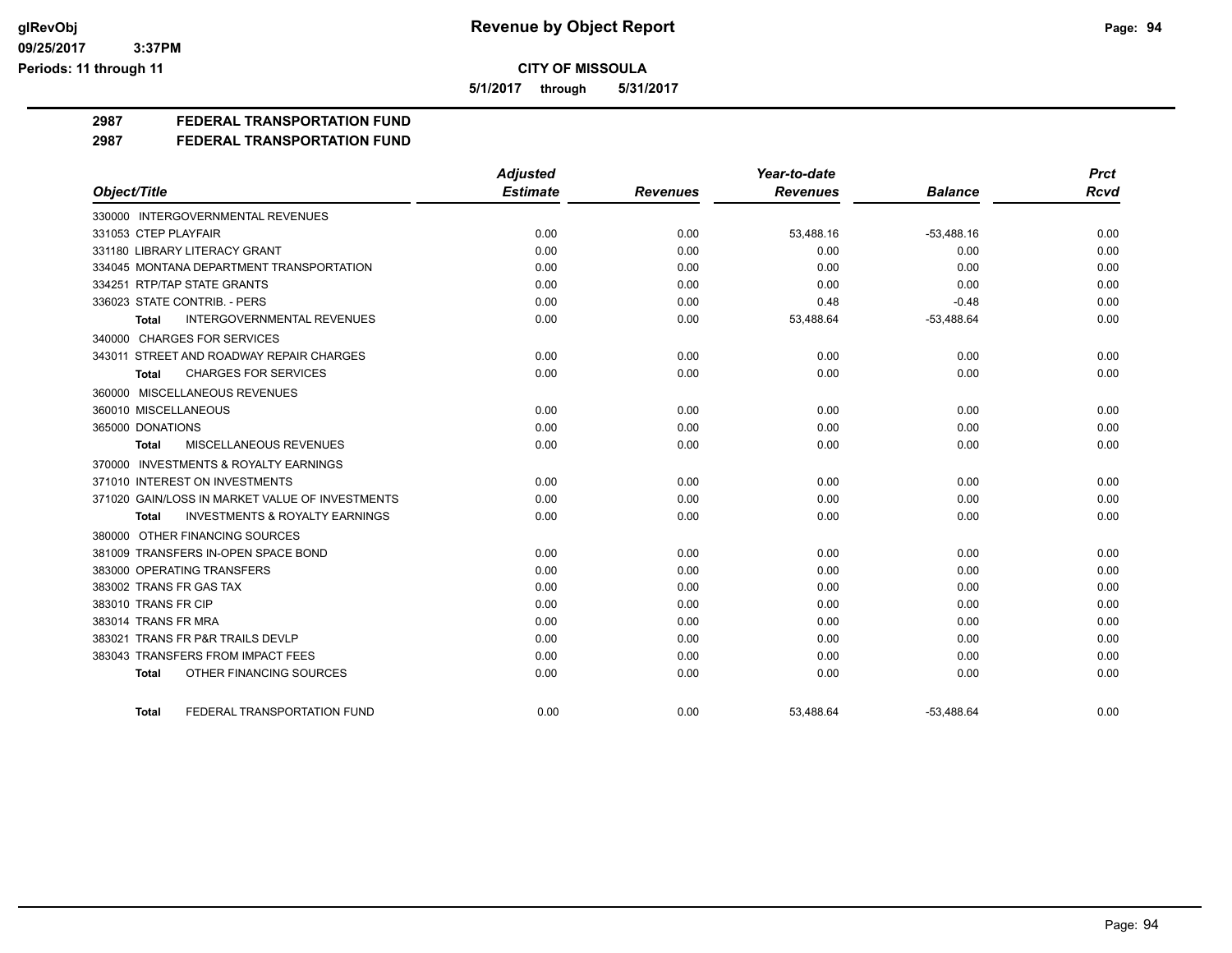**5/1/2017 through 5/31/2017**

**2987 FEDERAL TRANSPORTATION FUND**

**2987 FEDERAL TRANSPORTATION FUND**

|                                                    | <b>Adjusted</b> |                 | Year-to-date    |                | <b>Prct</b> |
|----------------------------------------------------|-----------------|-----------------|-----------------|----------------|-------------|
| Object/Title                                       | <b>Estimate</b> | <b>Revenues</b> | <b>Revenues</b> | <b>Balance</b> | <b>Rcvd</b> |
| 330000 INTERGOVERNMENTAL REVENUES                  |                 |                 |                 |                |             |
| 331053 CTEP PLAYFAIR                               | 0.00            | 0.00            | 53,488.16       | $-53,488.16$   | 0.00        |
| 331180 LIBRARY LITERACY GRANT                      | 0.00            | 0.00            | 0.00            | 0.00           | 0.00        |
| 334045 MONTANA DEPARTMENT TRANSPORTATION           | 0.00            | 0.00            | 0.00            | 0.00           | 0.00        |
| 334251 RTP/TAP STATE GRANTS                        | 0.00            | 0.00            | 0.00            | 0.00           | 0.00        |
| 336023 STATE CONTRIB. - PERS                       | 0.00            | 0.00            | 0.48            | $-0.48$        | 0.00        |
| <b>INTERGOVERNMENTAL REVENUES</b><br><b>Total</b>  | 0.00            | 0.00            | 53,488.64       | $-53,488.64$   | 0.00        |
| 340000 CHARGES FOR SERVICES                        |                 |                 |                 |                |             |
| 343011 STREET AND ROADWAY REPAIR CHARGES           | 0.00            | 0.00            | 0.00            | 0.00           | 0.00        |
| <b>CHARGES FOR SERVICES</b><br><b>Total</b>        | 0.00            | 0.00            | 0.00            | 0.00           | 0.00        |
| 360000 MISCELLANEOUS REVENUES                      |                 |                 |                 |                |             |
| 360010 MISCELLANEOUS                               | 0.00            | 0.00            | 0.00            | 0.00           | 0.00        |
| 365000 DONATIONS                                   | 0.00            | 0.00            | 0.00            | 0.00           | 0.00        |
| <b>MISCELLANEOUS REVENUES</b><br><b>Total</b>      | 0.00            | 0.00            | 0.00            | 0.00           | 0.00        |
| 370000 INVESTMENTS & ROYALTY EARNINGS              |                 |                 |                 |                |             |
| 371010 INTEREST ON INVESTMENTS                     | 0.00            | 0.00            | 0.00            | 0.00           | 0.00        |
| 371020 GAIN/LOSS IN MARKET VALUE OF INVESTMENTS    | 0.00            | 0.00            | 0.00            | 0.00           | 0.00        |
| <b>INVESTMENTS &amp; ROYALTY EARNINGS</b><br>Total | 0.00            | 0.00            | 0.00            | 0.00           | 0.00        |
| 380000 OTHER FINANCING SOURCES                     |                 |                 |                 |                |             |
| 381009 TRANSFERS IN-OPEN SPACE BOND                | 0.00            | 0.00            | 0.00            | 0.00           | 0.00        |
| 383000 OPERATING TRANSFERS                         | 0.00            | 0.00            | 0.00            | 0.00           | 0.00        |
| 383002 TRANS FR GAS TAX                            | 0.00            | 0.00            | 0.00            | 0.00           | 0.00        |
| 383010 TRANS FR CIP                                | 0.00            | 0.00            | 0.00            | 0.00           | 0.00        |
| 383014 TRANS FR MRA                                | 0.00            | 0.00            | 0.00            | 0.00           | 0.00        |
| 383021 TRANS FR P&R TRAILS DEVLP                   | 0.00            | 0.00            | 0.00            | 0.00           | 0.00        |
| 383043 TRANSFERS FROM IMPACT FEES                  | 0.00            | 0.00            | 0.00            | 0.00           | 0.00        |
| OTHER FINANCING SOURCES<br><b>Total</b>            | 0.00            | 0.00            | 0.00            | 0.00           | 0.00        |
| FEDERAL TRANSPORTATION FUND<br>Total               | 0.00            | 0.00            | 53.488.64       | $-53.488.64$   | 0.00        |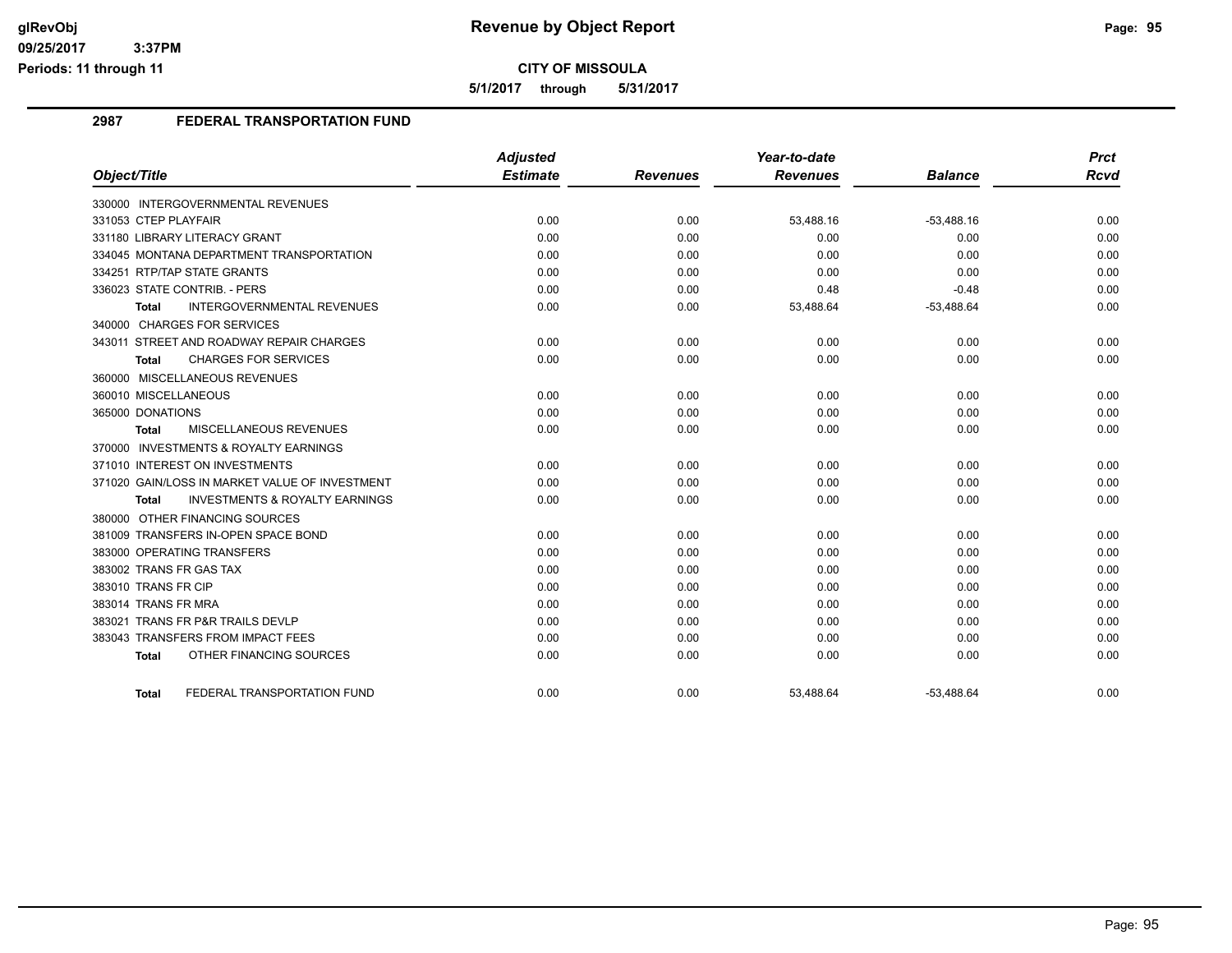**5/1/2017 through 5/31/2017**

# **2987 FEDERAL TRANSPORTATION FUND**

|                                                    | <b>Adjusted</b> |                 | Year-to-date    |                | <b>Prct</b> |
|----------------------------------------------------|-----------------|-----------------|-----------------|----------------|-------------|
| Object/Title                                       | <b>Estimate</b> | <b>Revenues</b> | <b>Revenues</b> | <b>Balance</b> | <b>Rcvd</b> |
| 330000 INTERGOVERNMENTAL REVENUES                  |                 |                 |                 |                |             |
| 331053 CTEP PLAYFAIR                               | 0.00            | 0.00            | 53,488.16       | $-53,488.16$   | 0.00        |
| 331180 LIBRARY LITERACY GRANT                      | 0.00            | 0.00            | 0.00            | 0.00           | 0.00        |
| 334045 MONTANA DEPARTMENT TRANSPORTATION           | 0.00            | 0.00            | 0.00            | 0.00           | 0.00        |
| 334251 RTP/TAP STATE GRANTS                        | 0.00            | 0.00            | 0.00            | 0.00           | 0.00        |
| 336023 STATE CONTRIB. - PERS                       | 0.00            | 0.00            | 0.48            | $-0.48$        | 0.00        |
| INTERGOVERNMENTAL REVENUES<br>Total                | 0.00            | 0.00            | 53,488.64       | $-53,488.64$   | 0.00        |
| 340000 CHARGES FOR SERVICES                        |                 |                 |                 |                |             |
| 343011 STREET AND ROADWAY REPAIR CHARGES           | 0.00            | 0.00            | 0.00            | 0.00           | 0.00        |
| <b>CHARGES FOR SERVICES</b><br><b>Total</b>        | 0.00            | 0.00            | 0.00            | 0.00           | 0.00        |
| 360000 MISCELLANEOUS REVENUES                      |                 |                 |                 |                |             |
| 360010 MISCELLANEOUS                               | 0.00            | 0.00            | 0.00            | 0.00           | 0.00        |
| 365000 DONATIONS                                   | 0.00            | 0.00            | 0.00            | 0.00           | 0.00        |
| MISCELLANEOUS REVENUES<br><b>Total</b>             | 0.00            | 0.00            | 0.00            | 0.00           | 0.00        |
| 370000 INVESTMENTS & ROYALTY EARNINGS              |                 |                 |                 |                |             |
| 371010 INTEREST ON INVESTMENTS                     | 0.00            | 0.00            | 0.00            | 0.00           | 0.00        |
| 371020 GAIN/LOSS IN MARKET VALUE OF INVESTMENT     | 0.00            | 0.00            | 0.00            | 0.00           | 0.00        |
| <b>INVESTMENTS &amp; ROYALTY EARNINGS</b><br>Total | 0.00            | 0.00            | 0.00            | 0.00           | 0.00        |
| 380000 OTHER FINANCING SOURCES                     |                 |                 |                 |                |             |
| 381009 TRANSFERS IN-OPEN SPACE BOND                | 0.00            | 0.00            | 0.00            | 0.00           | 0.00        |
| 383000 OPERATING TRANSFERS                         | 0.00            | 0.00            | 0.00            | 0.00           | 0.00        |
| 383002 TRANS FR GAS TAX                            | 0.00            | 0.00            | 0.00            | 0.00           | 0.00        |
| 383010 TRANS FR CIP                                | 0.00            | 0.00            | 0.00            | 0.00           | 0.00        |
| 383014 TRANS FR MRA                                | 0.00            | 0.00            | 0.00            | 0.00           | 0.00        |
| 383021 TRANS FR P&R TRAILS DEVLP                   | 0.00            | 0.00            | 0.00            | 0.00           | 0.00        |
| 383043 TRANSFERS FROM IMPACT FEES                  | 0.00            | 0.00            | 0.00            | 0.00           | 0.00        |
| OTHER FINANCING SOURCES<br><b>Total</b>            | 0.00            | 0.00            | 0.00            | 0.00           | 0.00        |
| FEDERAL TRANSPORTATION FUND<br><b>Total</b>        | 0.00            | 0.00            | 53,488.64       | $-53,488.64$   | 0.00        |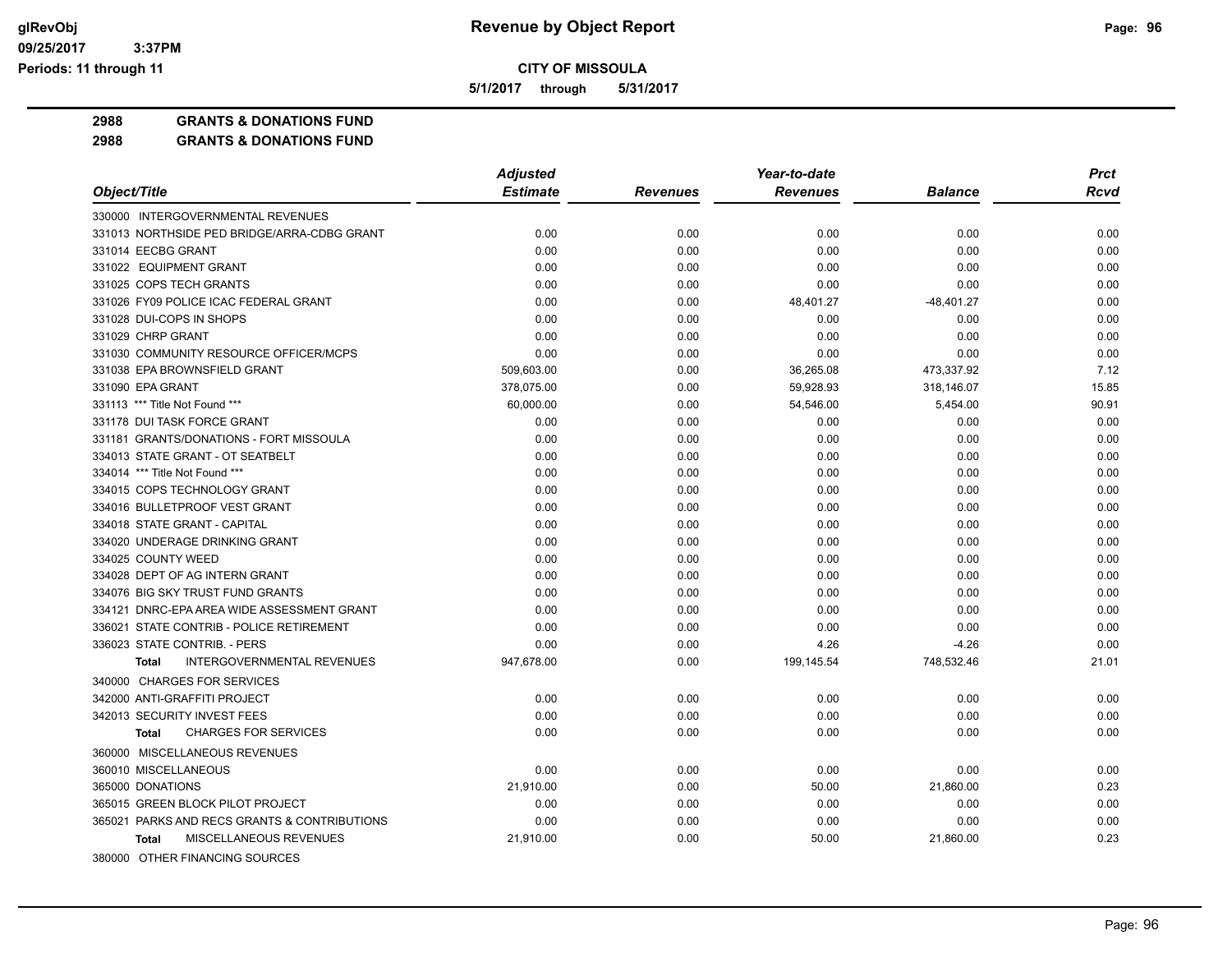**5/1/2017 through 5/31/2017**

**2988 GRANTS & DONATIONS FUND**

|                                              | <b>Adjusted</b> |                 | Year-to-date    |                | <b>Prct</b> |
|----------------------------------------------|-----------------|-----------------|-----------------|----------------|-------------|
| Object/Title                                 | <b>Estimate</b> | <b>Revenues</b> | <b>Revenues</b> | <b>Balance</b> | Rcvd        |
| 330000 INTERGOVERNMENTAL REVENUES            |                 |                 |                 |                |             |
| 331013 NORTHSIDE PED BRIDGE/ARRA-CDBG GRANT  | 0.00            | 0.00            | 0.00            | 0.00           | 0.00        |
| 331014 EECBG GRANT                           | 0.00            | 0.00            | 0.00            | 0.00           | 0.00        |
| 331022 EQUIPMENT GRANT                       | 0.00            | 0.00            | 0.00            | 0.00           | 0.00        |
| 331025 COPS TECH GRANTS                      | 0.00            | 0.00            | 0.00            | 0.00           | 0.00        |
| 331026 FY09 POLICE ICAC FEDERAL GRANT        | 0.00            | 0.00            | 48,401.27       | $-48,401.27$   | 0.00        |
| 331028 DUI-COPS IN SHOPS                     | 0.00            | 0.00            | 0.00            | 0.00           | 0.00        |
| 331029 CHRP GRANT                            | 0.00            | 0.00            | 0.00            | 0.00           | 0.00        |
| 331030 COMMUNITY RESOURCE OFFICER/MCPS       | 0.00            | 0.00            | 0.00            | 0.00           | 0.00        |
| 331038 EPA BROWNSFIELD GRANT                 | 509,603.00      | 0.00            | 36,265.08       | 473,337.92     | 7.12        |
| 331090 EPA GRANT                             | 378,075.00      | 0.00            | 59,928.93       | 318,146.07     | 15.85       |
| 331113 *** Title Not Found ***               | 60,000.00       | 0.00            | 54,546.00       | 5,454.00       | 90.91       |
| 331178 DUI TASK FORCE GRANT                  | 0.00            | 0.00            | 0.00            | 0.00           | 0.00        |
| 331181 GRANTS/DONATIONS - FORT MISSOULA      | 0.00            | 0.00            | 0.00            | 0.00           | 0.00        |
| 334013 STATE GRANT - OT SEATBELT             | 0.00            | 0.00            | 0.00            | 0.00           | 0.00        |
| 334014 *** Title Not Found ***               | 0.00            | 0.00            | 0.00            | 0.00           | 0.00        |
| 334015 COPS TECHNOLOGY GRANT                 | 0.00            | 0.00            | 0.00            | 0.00           | 0.00        |
| 334016 BULLETPROOF VEST GRANT                | 0.00            | 0.00            | 0.00            | 0.00           | 0.00        |
| 334018 STATE GRANT - CAPITAL                 | 0.00            | 0.00            | 0.00            | 0.00           | 0.00        |
| 334020 UNDERAGE DRINKING GRANT               | 0.00            | 0.00            | 0.00            | 0.00           | 0.00        |
| 334025 COUNTY WEED                           | 0.00            | 0.00            | 0.00            | 0.00           | 0.00        |
| 334028 DEPT OF AG INTERN GRANT               | 0.00            | 0.00            | 0.00            | 0.00           | 0.00        |
| 334076 BIG SKY TRUST FUND GRANTS             | 0.00            | 0.00            | 0.00            | 0.00           | 0.00        |
| 334121 DNRC-EPA AREA WIDE ASSESSMENT GRANT   | 0.00            | 0.00            | 0.00            | 0.00           | 0.00        |
| 336021 STATE CONTRIB - POLICE RETIREMENT     | 0.00            | 0.00            | 0.00            | 0.00           | 0.00        |
| 336023 STATE CONTRIB. - PERS                 | 0.00            | 0.00            | 4.26            | $-4.26$        | 0.00        |
| INTERGOVERNMENTAL REVENUES<br><b>Total</b>   | 947,678.00      | 0.00            | 199,145.54      | 748,532.46     | 21.01       |
| 340000 CHARGES FOR SERVICES                  |                 |                 |                 |                |             |
| 342000 ANTI-GRAFFITI PROJECT                 | 0.00            | 0.00            | 0.00            | 0.00           | 0.00        |
| 342013 SECURITY INVEST FEES                  | 0.00            | 0.00            | 0.00            | 0.00           | 0.00        |
| <b>CHARGES FOR SERVICES</b><br><b>Total</b>  | 0.00            | 0.00            | 0.00            | 0.00           | 0.00        |
| 360000 MISCELLANEOUS REVENUES                |                 |                 |                 |                |             |
| 360010 MISCELLANEOUS                         | 0.00            | 0.00            | 0.00            | 0.00           | 0.00        |
| 365000 DONATIONS                             | 21,910.00       | 0.00            | 50.00           | 21,860.00      | 0.23        |
| 365015 GREEN BLOCK PILOT PROJECT             | 0.00            | 0.00            | 0.00            | 0.00           | 0.00        |
| 365021 PARKS AND RECS GRANTS & CONTRIBUTIONS | 0.00            | 0.00            | 0.00            | 0.00           | 0.00        |
| MISCELLANEOUS REVENUES<br><b>Total</b>       | 21,910.00       | 0.00            | 50.00           | 21,860.00      | 0.23        |
| 380000 OTHER FINANCING SOURCES               |                 |                 |                 |                |             |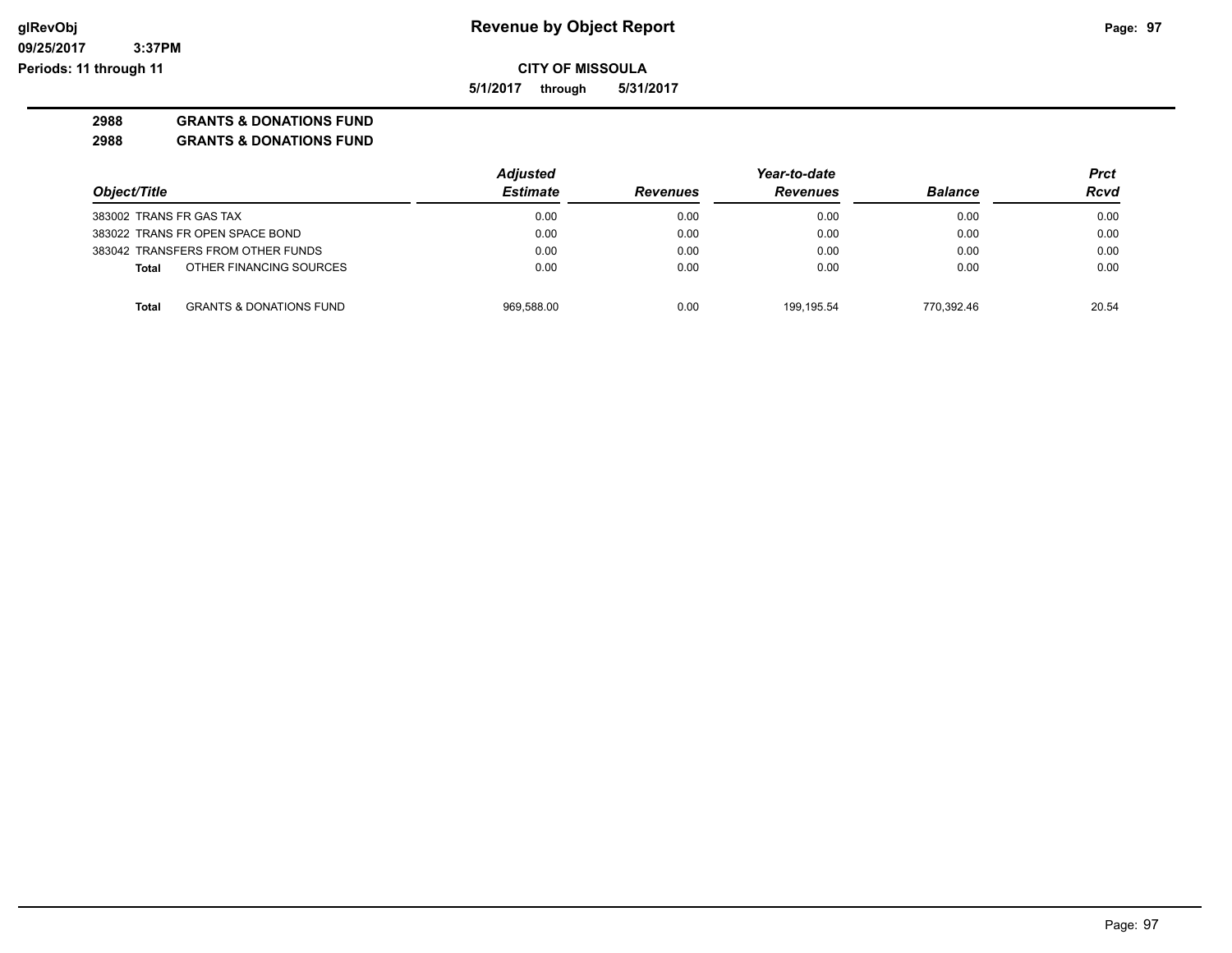**09/25/2017 3:37PM Periods: 11 through 11**

**CITY OF MISSOULA**

**5/1/2017 through 5/31/2017**

# **2988 GRANTS & DONATIONS FUND**

|                                                    | <b>Adjusted</b> |                 | Year-to-date    |                |       |
|----------------------------------------------------|-----------------|-----------------|-----------------|----------------|-------|
| Object/Title                                       | <b>Estimate</b> | <b>Revenues</b> | <b>Revenues</b> | <b>Balance</b> | Rcvd  |
| 383002 TRANS FR GAS TAX                            | 0.00            | 0.00            | 0.00            | 0.00           | 0.00  |
| 383022 TRANS FR OPEN SPACE BOND                    | 0.00            | 0.00            | 0.00            | 0.00           | 0.00  |
| 383042 TRANSFERS FROM OTHER FUNDS                  | 0.00            | 0.00            | 0.00            | 0.00           | 0.00  |
| OTHER FINANCING SOURCES<br><b>Total</b>            | 0.00            | 0.00            | 0.00            | 0.00           | 0.00  |
| <b>GRANTS &amp; DONATIONS FUND</b><br><b>Total</b> | 969.588.00      | 0.00            | 199.195.54      | 770.392.46     | 20.54 |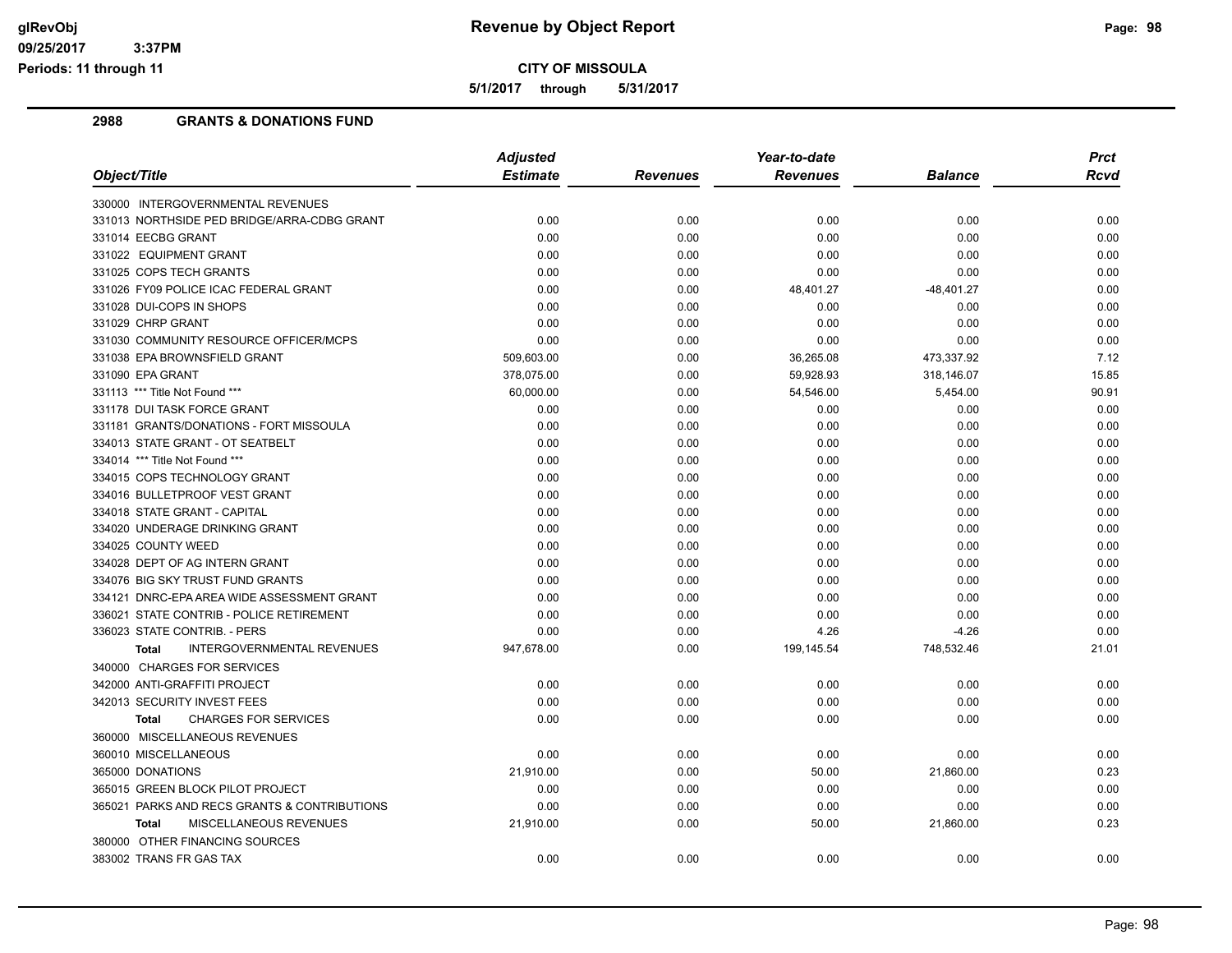**5/1/2017 through 5/31/2017**

|                                                   | <b>Adjusted</b> |                 | Year-to-date    |                | <b>Prct</b> |
|---------------------------------------------------|-----------------|-----------------|-----------------|----------------|-------------|
| Object/Title                                      | <b>Estimate</b> | <b>Revenues</b> | <b>Revenues</b> | <b>Balance</b> | Rcvd        |
| 330000 INTERGOVERNMENTAL REVENUES                 |                 |                 |                 |                |             |
| 331013 NORTHSIDE PED BRIDGE/ARRA-CDBG GRANT       | 0.00            | 0.00            | 0.00            | 0.00           | 0.00        |
| 331014 EECBG GRANT                                | 0.00            | 0.00            | 0.00            | 0.00           | 0.00        |
| 331022 EQUIPMENT GRANT                            | 0.00            | 0.00            | 0.00            | 0.00           | 0.00        |
| 331025 COPS TECH GRANTS                           | 0.00            | 0.00            | 0.00            | 0.00           | 0.00        |
| 331026 FY09 POLICE ICAC FEDERAL GRANT             | 0.00            | 0.00            | 48,401.27       | $-48,401.27$   | 0.00        |
| 331028 DUI-COPS IN SHOPS                          | 0.00            | 0.00            | 0.00            | 0.00           | 0.00        |
| 331029 CHRP GRANT                                 | 0.00            | 0.00            | 0.00            | 0.00           | 0.00        |
| 331030 COMMUNITY RESOURCE OFFICER/MCPS            | 0.00            | 0.00            | 0.00            | 0.00           | 0.00        |
| 331038 EPA BROWNSFIELD GRANT                      | 509,603.00      | 0.00            | 36,265.08       | 473,337.92     | 7.12        |
| 331090 EPA GRANT                                  | 378.075.00      | 0.00            | 59,928.93       | 318,146.07     | 15.85       |
| 331113 *** Title Not Found ***                    | 60,000.00       | 0.00            | 54,546.00       | 5,454.00       | 90.91       |
| 331178 DUI TASK FORCE GRANT                       | 0.00            | 0.00            | 0.00            | 0.00           | 0.00        |
| 331181 GRANTS/DONATIONS - FORT MISSOULA           | 0.00            | 0.00            | 0.00            | 0.00           | 0.00        |
| 334013 STATE GRANT - OT SEATBELT                  | 0.00            | 0.00            | 0.00            | 0.00           | 0.00        |
| 334014 *** Title Not Found ***                    | 0.00            | 0.00            | 0.00            | 0.00           | 0.00        |
| 334015 COPS TECHNOLOGY GRANT                      | 0.00            | 0.00            | 0.00            | 0.00           | 0.00        |
| 334016 BULLETPROOF VEST GRANT                     | 0.00            | 0.00            | 0.00            | 0.00           | 0.00        |
| 334018 STATE GRANT - CAPITAL                      | 0.00            | 0.00            | 0.00            | 0.00           | 0.00        |
| 334020 UNDERAGE DRINKING GRANT                    | 0.00            | 0.00            | 0.00            | 0.00           | 0.00        |
| 334025 COUNTY WEED                                | 0.00            | 0.00            | 0.00            | 0.00           | 0.00        |
| 334028 DEPT OF AG INTERN GRANT                    | 0.00            | 0.00            | 0.00            | 0.00           | 0.00        |
| 334076 BIG SKY TRUST FUND GRANTS                  | 0.00            | 0.00            | 0.00            | 0.00           | 0.00        |
| 334121 DNRC-EPA AREA WIDE ASSESSMENT GRANT        | 0.00            | 0.00            | 0.00            | 0.00           | 0.00        |
| 336021 STATE CONTRIB - POLICE RETIREMENT          | 0.00            | 0.00            | 0.00            | 0.00           | 0.00        |
| 336023 STATE CONTRIB. - PERS                      | 0.00            | 0.00            | 4.26            | $-4.26$        | 0.00        |
| <b>INTERGOVERNMENTAL REVENUES</b><br><b>Total</b> | 947,678.00      | 0.00            | 199,145.54      | 748,532.46     | 21.01       |
| 340000 CHARGES FOR SERVICES                       |                 |                 |                 |                |             |
| 342000 ANTI-GRAFFITI PROJECT                      | 0.00            | 0.00            | 0.00            | 0.00           | 0.00        |
| 342013 SECURITY INVEST FEES                       | 0.00            | 0.00            | 0.00            | 0.00           | 0.00        |
| <b>CHARGES FOR SERVICES</b><br><b>Total</b>       | 0.00            | 0.00            | 0.00            | 0.00           | 0.00        |
| 360000 MISCELLANEOUS REVENUES                     |                 |                 |                 |                |             |
| 360010 MISCELLANEOUS                              | 0.00            | 0.00            | 0.00            | 0.00           | 0.00        |
| 365000 DONATIONS                                  | 21,910.00       | 0.00            | 50.00           | 21,860.00      | 0.23        |
| 365015 GREEN BLOCK PILOT PROJECT                  | 0.00            | 0.00            | 0.00            | 0.00           | 0.00        |
| 365021 PARKS AND RECS GRANTS & CONTRIBUTIONS      | 0.00            | 0.00            | 0.00            | 0.00           | 0.00        |
| MISCELLANEOUS REVENUES<br><b>Total</b>            | 21,910.00       | 0.00            | 50.00           | 21,860.00      | 0.23        |
| 380000 OTHER FINANCING SOURCES                    |                 |                 |                 |                |             |
| 383002 TRANS FR GAS TAX                           | 0.00            | 0.00            | 0.00            | 0.00           | 0.00        |
|                                                   |                 |                 |                 |                |             |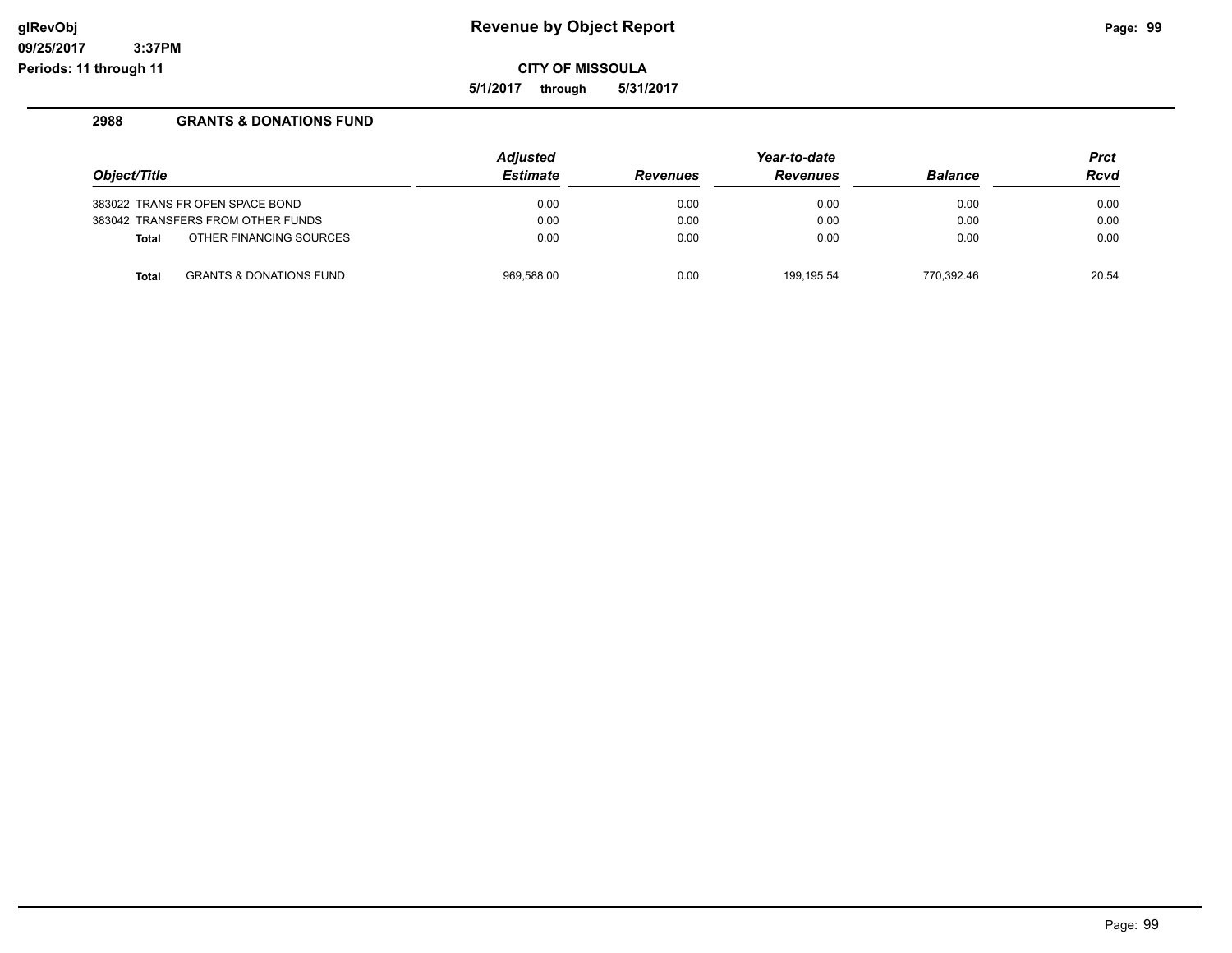**CITY OF MISSOULA**

**5/1/2017 through 5/31/2017**

| Object/Title |                                    | <b>Adjusted</b><br><b>Estimate</b> | <b>Revenues</b> | Year-to-date<br><b>Revenues</b> | <b>Balance</b> | <b>Prct</b><br><b>Rcvd</b> |
|--------------|------------------------------------|------------------------------------|-----------------|---------------------------------|----------------|----------------------------|
|              | 383022 TRANS FR OPEN SPACE BOND    | 0.00                               | 0.00            | 0.00                            | 0.00           | 0.00                       |
|              | 383042 TRANSFERS FROM OTHER FUNDS  | 0.00                               | 0.00            | 0.00                            | 0.00           | 0.00                       |
| <b>Total</b> | OTHER FINANCING SOURCES            | 0.00                               | 0.00            | 0.00                            | 0.00           | 0.00                       |
| <b>Total</b> | <b>GRANTS &amp; DONATIONS FUND</b> | 969,588.00                         | 0.00            | 199.195.54                      | 770.392.46     | 20.54                      |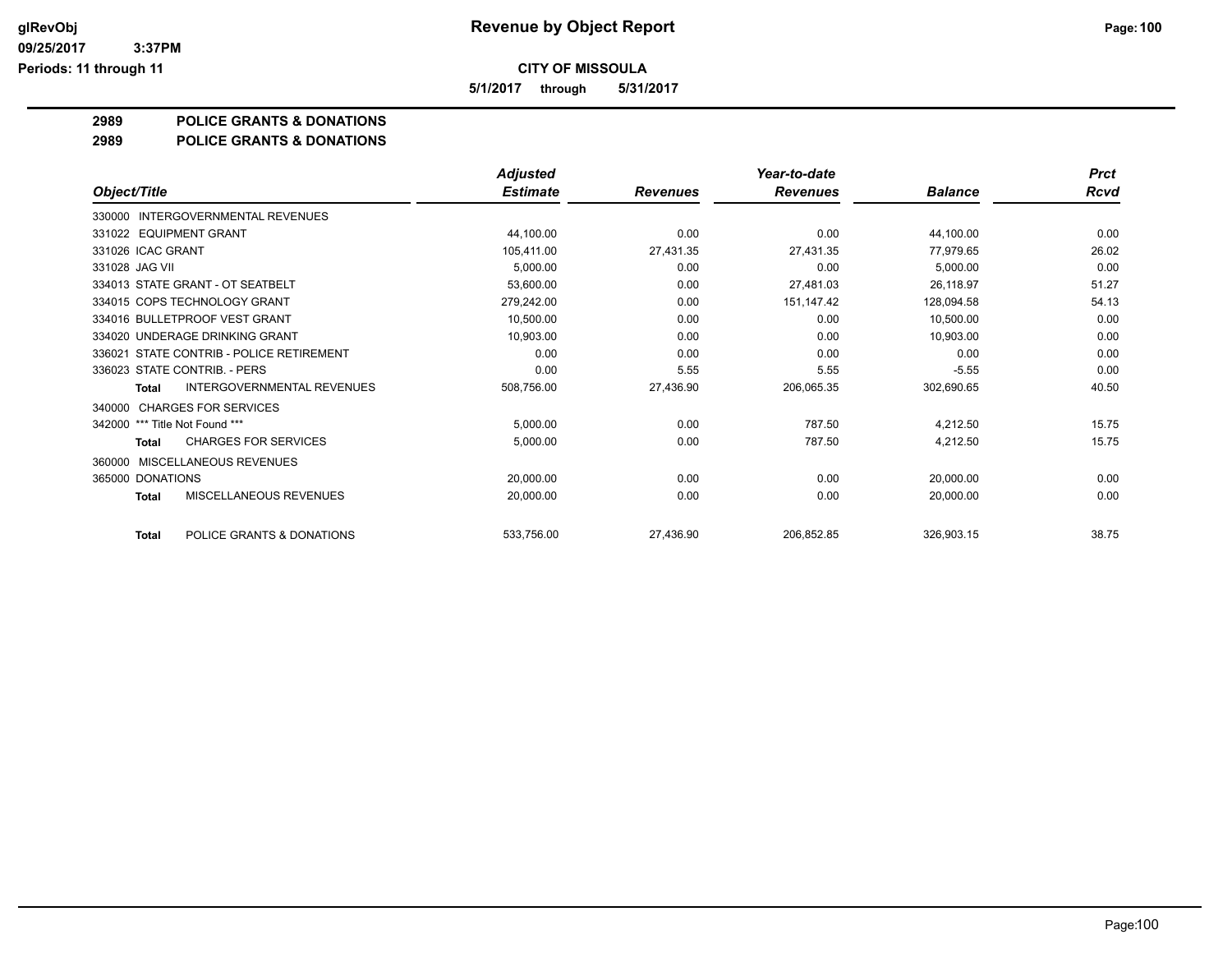**5/1/2017 through 5/31/2017**

# **2989 POLICE GRANTS & DONATIONS**

## **2989 POLICE GRANTS & DONATIONS**

|                                                   | <b>Adjusted</b> |                 | Year-to-date    |                | <b>Prct</b> |
|---------------------------------------------------|-----------------|-----------------|-----------------|----------------|-------------|
| Object/Title                                      | <b>Estimate</b> | <b>Revenues</b> | <b>Revenues</b> | <b>Balance</b> | Rcvd        |
| 330000 INTERGOVERNMENTAL REVENUES                 |                 |                 |                 |                |             |
| 331022 EQUIPMENT GRANT                            | 44,100.00       | 0.00            | 0.00            | 44,100.00      | 0.00        |
| 331026 ICAC GRANT                                 | 105,411.00      | 27,431.35       | 27,431.35       | 77,979.65      | 26.02       |
| 331028 JAG VII                                    | 5,000.00        | 0.00            | 0.00            | 5,000.00       | 0.00        |
| 334013 STATE GRANT - OT SEATBELT                  | 53,600.00       | 0.00            | 27,481.03       | 26,118.97      | 51.27       |
| 334015 COPS TECHNOLOGY GRANT                      | 279,242.00      | 0.00            | 151,147.42      | 128,094.58     | 54.13       |
| 334016 BULLETPROOF VEST GRANT                     | 10,500.00       | 0.00            | 0.00            | 10,500.00      | 0.00        |
| 334020 UNDERAGE DRINKING GRANT                    | 10,903.00       | 0.00            | 0.00            | 10,903.00      | 0.00        |
| 336021 STATE CONTRIB - POLICE RETIREMENT          | 0.00            | 0.00            | 0.00            | 0.00           | 0.00        |
| 336023 STATE CONTRIB. - PERS                      | 0.00            | 5.55            | 5.55            | $-5.55$        | 0.00        |
| <b>INTERGOVERNMENTAL REVENUES</b><br><b>Total</b> | 508,756.00      | 27,436.90       | 206,065.35      | 302,690.65     | 40.50       |
| <b>CHARGES FOR SERVICES</b><br>340000             |                 |                 |                 |                |             |
| 342000 *** Title Not Found ***                    | 5,000.00        | 0.00            | 787.50          | 4,212.50       | 15.75       |
| <b>CHARGES FOR SERVICES</b><br><b>Total</b>       | 5,000.00        | 0.00            | 787.50          | 4,212.50       | 15.75       |
| MISCELLANEOUS REVENUES<br>360000                  |                 |                 |                 |                |             |
| 365000 DONATIONS                                  | 20,000.00       | 0.00            | 0.00            | 20,000.00      | 0.00        |
| MISCELLANEOUS REVENUES<br><b>Total</b>            | 20,000.00       | 0.00            | 0.00            | 20,000.00      | 0.00        |
| POLICE GRANTS & DONATIONS<br><b>Total</b>         | 533,756.00      | 27,436.90       | 206,852.85      | 326,903.15     | 38.75       |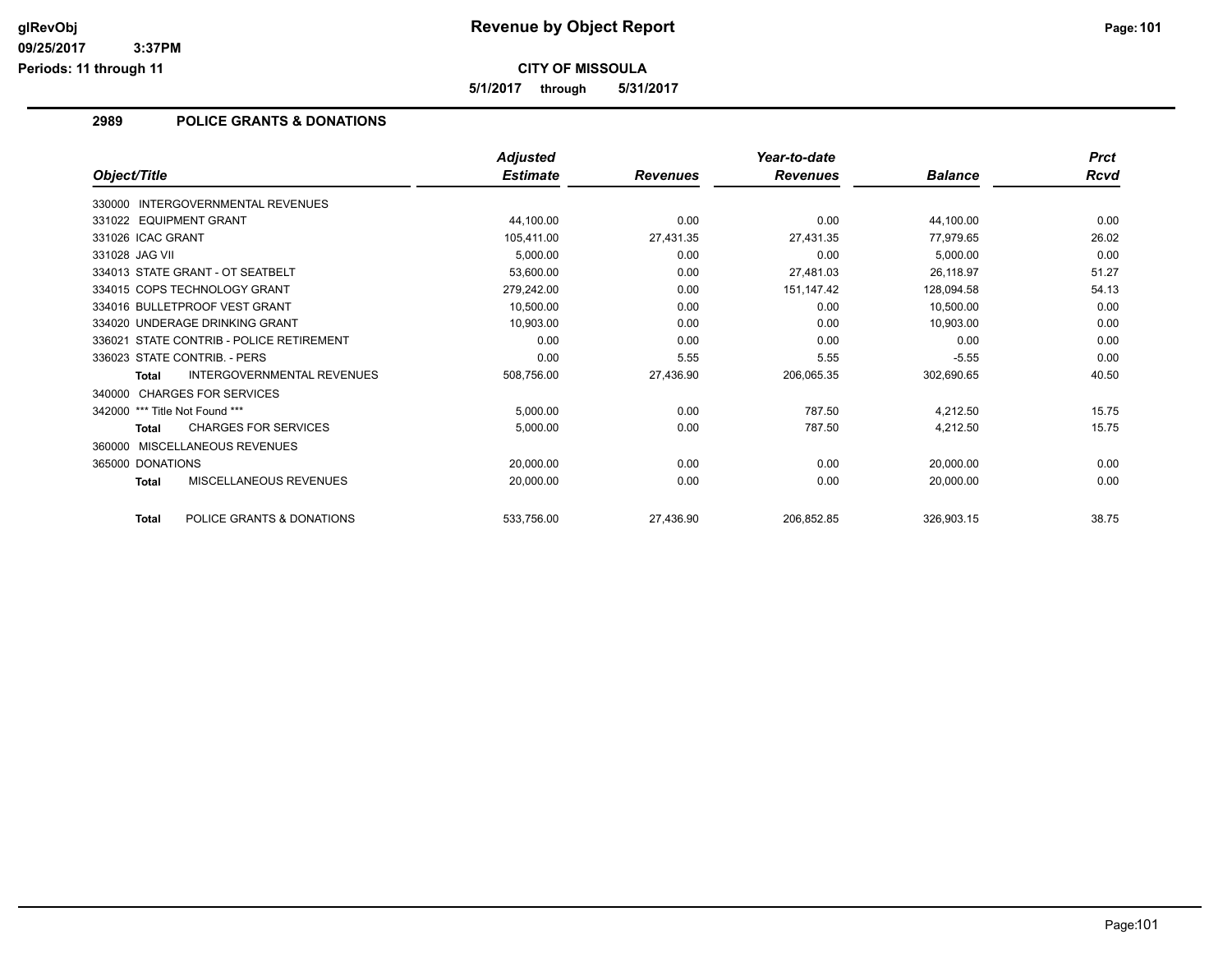**5/1/2017 through 5/31/2017**

# **2989 POLICE GRANTS & DONATIONS**

|                                             | <b>Adjusted</b> |                 | Year-to-date    |                | <b>Prct</b> |
|---------------------------------------------|-----------------|-----------------|-----------------|----------------|-------------|
| Object/Title                                | <b>Estimate</b> | <b>Revenues</b> | <b>Revenues</b> | <b>Balance</b> | Rcvd        |
| 330000 INTERGOVERNMENTAL REVENUES           |                 |                 |                 |                |             |
| 331022 EQUIPMENT GRANT                      | 44,100.00       | 0.00            | 0.00            | 44,100.00      | 0.00        |
| 331026 ICAC GRANT                           | 105,411.00      | 27,431.35       | 27,431.35       | 77,979.65      | 26.02       |
| 331028 JAG VII                              | 5,000.00        | 0.00            | 0.00            | 5,000.00       | 0.00        |
| 334013 STATE GRANT - OT SEATBELT            | 53,600.00       | 0.00            | 27,481.03       | 26,118.97      | 51.27       |
| 334015 COPS TECHNOLOGY GRANT                | 279,242.00      | 0.00            | 151,147.42      | 128,094.58     | 54.13       |
| 334016 BULLETPROOF VEST GRANT               | 10,500.00       | 0.00            | 0.00            | 10,500.00      | 0.00        |
| 334020 UNDERAGE DRINKING GRANT              | 10,903.00       | 0.00            | 0.00            | 10,903.00      | 0.00        |
| 336021 STATE CONTRIB - POLICE RETIREMENT    | 0.00            | 0.00            | 0.00            | 0.00           | 0.00        |
| 336023 STATE CONTRIB. - PERS                | 0.00            | 5.55            | 5.55            | $-5.55$        | 0.00        |
| INTERGOVERNMENTAL REVENUES<br><b>Total</b>  | 508,756.00      | 27,436.90       | 206,065.35      | 302,690.65     | 40.50       |
| 340000 CHARGES FOR SERVICES                 |                 |                 |                 |                |             |
| 342000 *** Title Not Found ***              | 5,000.00        | 0.00            | 787.50          | 4,212.50       | 15.75       |
| <b>CHARGES FOR SERVICES</b><br><b>Total</b> | 5,000.00        | 0.00            | 787.50          | 4,212.50       | 15.75       |
| 360000 MISCELLANEOUS REVENUES               |                 |                 |                 |                |             |
| 365000 DONATIONS                            | 20,000.00       | 0.00            | 0.00            | 20,000.00      | 0.00        |
| MISCELLANEOUS REVENUES<br><b>Total</b>      | 20,000.00       | 0.00            | 0.00            | 20,000.00      | 0.00        |
| POLICE GRANTS & DONATIONS<br><b>Total</b>   | 533,756.00      | 27,436.90       | 206,852.85      | 326,903.15     | 38.75       |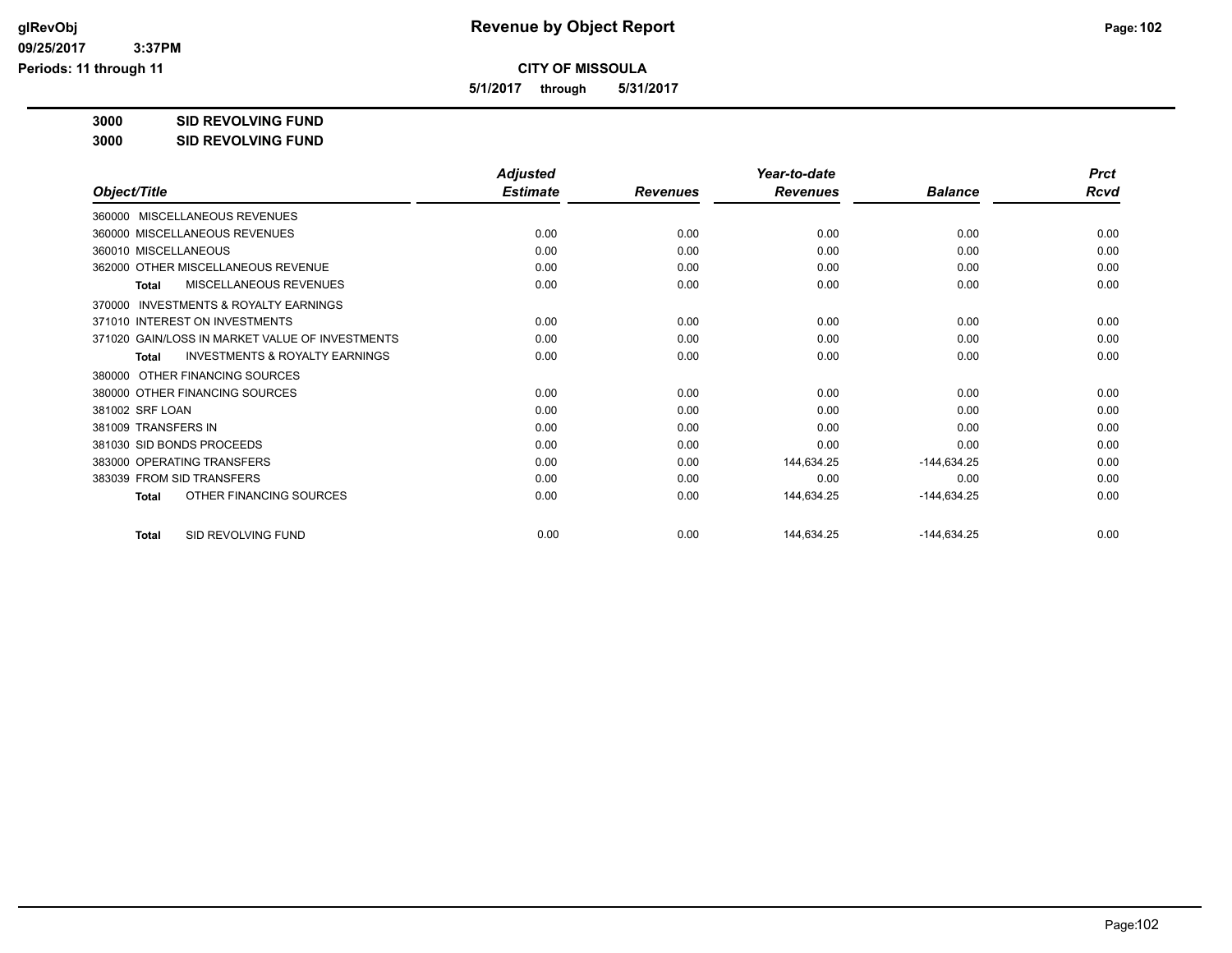**5/1/2017 through 5/31/2017**

**3000 SID REVOLVING FUND**

**3000 SID REVOLVING FUND**

|                                                           | <b>Adjusted</b> |                 | Year-to-date    |                | <b>Prct</b> |
|-----------------------------------------------------------|-----------------|-----------------|-----------------|----------------|-------------|
| Object/Title                                              | <b>Estimate</b> | <b>Revenues</b> | <b>Revenues</b> | <b>Balance</b> | Rcvd        |
| 360000 MISCELLANEOUS REVENUES                             |                 |                 |                 |                |             |
| 360000 MISCELLANEOUS REVENUES                             | 0.00            | 0.00            | 0.00            | 0.00           | 0.00        |
| 360010 MISCELLANEOUS                                      | 0.00            | 0.00            | 0.00            | 0.00           | 0.00        |
| 362000 OTHER MISCELLANEOUS REVENUE                        | 0.00            | 0.00            | 0.00            | 0.00           | 0.00        |
| MISCELLANEOUS REVENUES<br><b>Total</b>                    | 0.00            | 0.00            | 0.00            | 0.00           | 0.00        |
| <b>INVESTMENTS &amp; ROYALTY EARNINGS</b><br>370000       |                 |                 |                 |                |             |
| 371010 INTEREST ON INVESTMENTS                            | 0.00            | 0.00            | 0.00            | 0.00           | 0.00        |
| 371020 GAIN/LOSS IN MARKET VALUE OF INVESTMENTS           | 0.00            | 0.00            | 0.00            | 0.00           | 0.00        |
| <b>INVESTMENTS &amp; ROYALTY EARNINGS</b><br><b>Total</b> | 0.00            | 0.00            | 0.00            | 0.00           | 0.00        |
| OTHER FINANCING SOURCES<br>380000                         |                 |                 |                 |                |             |
| 380000 OTHER FINANCING SOURCES                            | 0.00            | 0.00            | 0.00            | 0.00           | 0.00        |
| 381002 SRF LOAN                                           | 0.00            | 0.00            | 0.00            | 0.00           | 0.00        |
| 381009 TRANSFERS IN                                       | 0.00            | 0.00            | 0.00            | 0.00           | 0.00        |
| 381030 SID BONDS PROCEEDS                                 | 0.00            | 0.00            | 0.00            | 0.00           | 0.00        |
| 383000 OPERATING TRANSFERS                                | 0.00            | 0.00            | 144,634.25      | $-144,634.25$  | 0.00        |
| 383039 FROM SID TRANSFERS                                 | 0.00            | 0.00            | 0.00            | 0.00           | 0.00        |
| OTHER FINANCING SOURCES<br><b>Total</b>                   | 0.00            | 0.00            | 144,634.25      | $-144,634.25$  | 0.00        |
| SID REVOLVING FUND<br><b>Total</b>                        | 0.00            | 0.00            | 144,634.25      | $-144,634.25$  | 0.00        |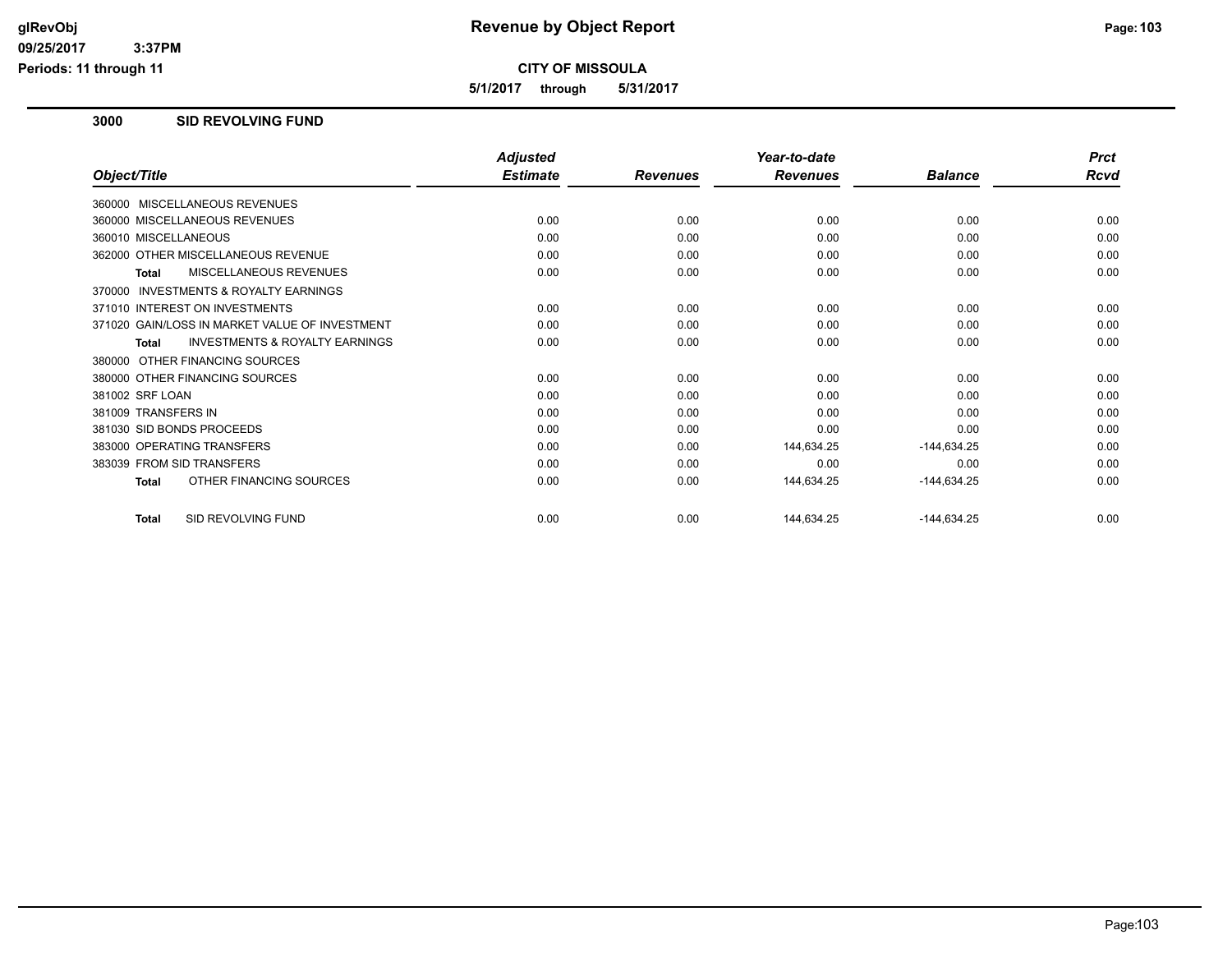**5/1/2017 through 5/31/2017**

# **3000 SID REVOLVING FUND**

|                                                     | <b>Adjusted</b> |                 | Year-to-date    |                | <b>Prct</b> |
|-----------------------------------------------------|-----------------|-----------------|-----------------|----------------|-------------|
| Object/Title                                        | <b>Estimate</b> | <b>Revenues</b> | <b>Revenues</b> | <b>Balance</b> | Rcvd        |
| 360000 MISCELLANEOUS REVENUES                       |                 |                 |                 |                |             |
| 360000 MISCELLANEOUS REVENUES                       | 0.00            | 0.00            | 0.00            | 0.00           | 0.00        |
| 360010 MISCELLANEOUS                                | 0.00            | 0.00            | 0.00            | 0.00           | 0.00        |
| 362000 OTHER MISCELLANEOUS REVENUE                  | 0.00            | 0.00            | 0.00            | 0.00           | 0.00        |
| MISCELLANEOUS REVENUES<br>Total                     | 0.00            | 0.00            | 0.00            | 0.00           | 0.00        |
| <b>INVESTMENTS &amp; ROYALTY EARNINGS</b><br>370000 |                 |                 |                 |                |             |
| 371010 INTEREST ON INVESTMENTS                      | 0.00            | 0.00            | 0.00            | 0.00           | 0.00        |
| 371020 GAIN/LOSS IN MARKET VALUE OF INVESTMENT      | 0.00            | 0.00            | 0.00            | 0.00           | 0.00        |
| <b>INVESTMENTS &amp; ROYALTY EARNINGS</b><br>Total  | 0.00            | 0.00            | 0.00            | 0.00           | 0.00        |
| 380000 OTHER FINANCING SOURCES                      |                 |                 |                 |                |             |
| 380000 OTHER FINANCING SOURCES                      | 0.00            | 0.00            | 0.00            | 0.00           | 0.00        |
| 381002 SRF LOAN                                     | 0.00            | 0.00            | 0.00            | 0.00           | 0.00        |
| 381009 TRANSFERS IN                                 | 0.00            | 0.00            | 0.00            | 0.00           | 0.00        |
| 381030 SID BONDS PROCEEDS                           | 0.00            | 0.00            | 0.00            | 0.00           | 0.00        |
| 383000 OPERATING TRANSFERS                          | 0.00            | 0.00            | 144,634.25      | $-144,634.25$  | 0.00        |
| 383039 FROM SID TRANSFERS                           | 0.00            | 0.00            | 0.00            | 0.00           | 0.00        |
| OTHER FINANCING SOURCES<br><b>Total</b>             | 0.00            | 0.00            | 144,634.25      | $-144,634.25$  | 0.00        |
| SID REVOLVING FUND<br><b>Total</b>                  | 0.00            | 0.00            | 144,634.25      | $-144,634.25$  | 0.00        |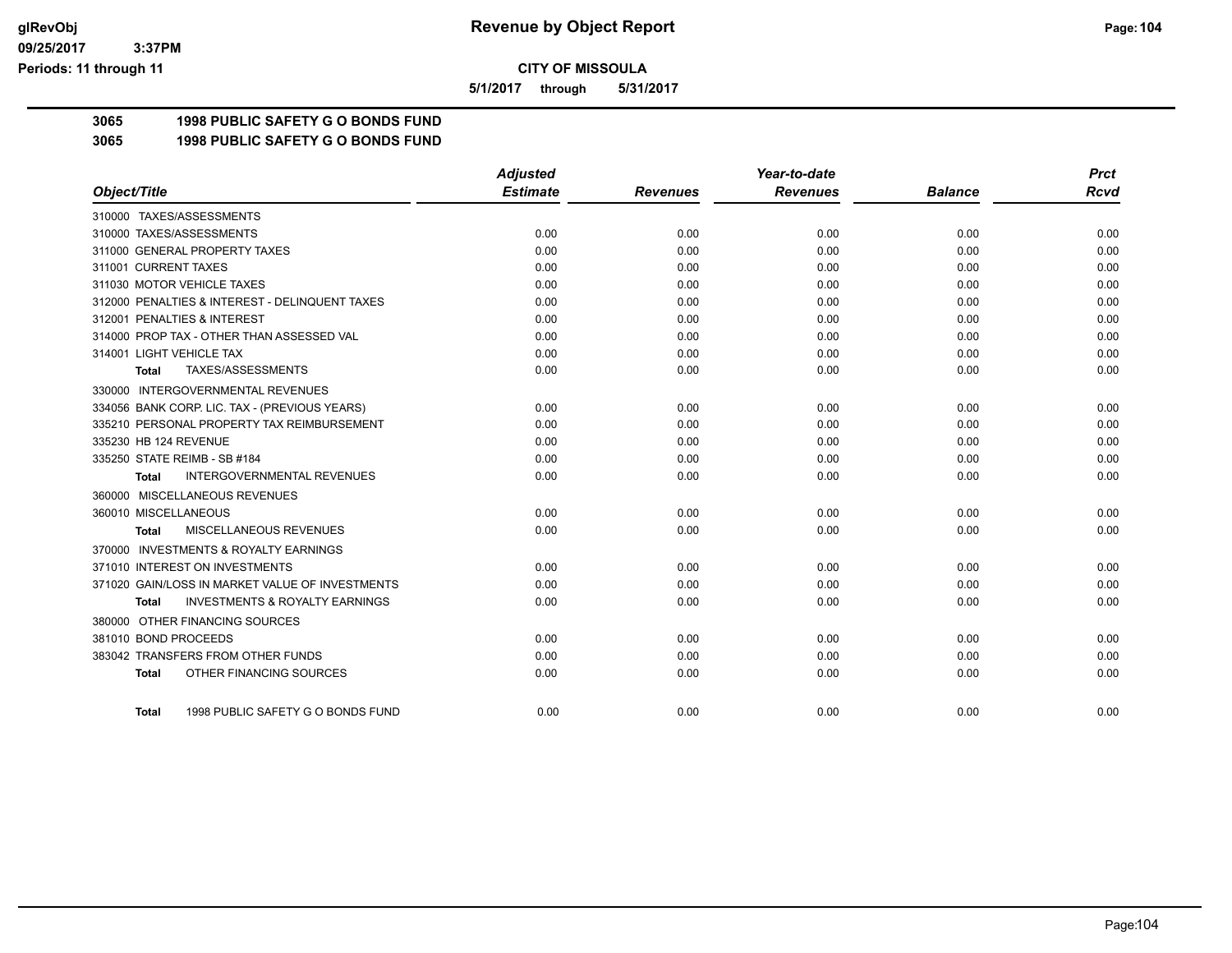**5/1/2017 through 5/31/2017**

# **3065 1998 PUBLIC SAFETY G O BONDS FUND**

**3065 1998 PUBLIC SAFETY G O BONDS FUND**

|                                                    | <b>Adjusted</b> |                 | Year-to-date    |                | <b>Prct</b> |
|----------------------------------------------------|-----------------|-----------------|-----------------|----------------|-------------|
| Object/Title                                       | <b>Estimate</b> | <b>Revenues</b> | <b>Revenues</b> | <b>Balance</b> | <b>Rcvd</b> |
| 310000 TAXES/ASSESSMENTS                           |                 |                 |                 |                |             |
| 310000 TAXES/ASSESSMENTS                           | 0.00            | 0.00            | 0.00            | 0.00           | 0.00        |
| 311000 GENERAL PROPERTY TAXES                      | 0.00            | 0.00            | 0.00            | 0.00           | 0.00        |
| 311001 CURRENT TAXES                               | 0.00            | 0.00            | 0.00            | 0.00           | 0.00        |
| 311030 MOTOR VEHICLE TAXES                         | 0.00            | 0.00            | 0.00            | 0.00           | 0.00        |
| 312000 PENALTIES & INTEREST - DELINQUENT TAXES     | 0.00            | 0.00            | 0.00            | 0.00           | 0.00        |
| 312001 PENALTIES & INTEREST                        | 0.00            | 0.00            | 0.00            | 0.00           | 0.00        |
| 314000 PROP TAX - OTHER THAN ASSESSED VAL          | 0.00            | 0.00            | 0.00            | 0.00           | 0.00        |
| 314001 LIGHT VEHICLE TAX                           | 0.00            | 0.00            | 0.00            | 0.00           | 0.00        |
| TAXES/ASSESSMENTS<br>Total                         | 0.00            | 0.00            | 0.00            | 0.00           | 0.00        |
| 330000 INTERGOVERNMENTAL REVENUES                  |                 |                 |                 |                |             |
| 334056 BANK CORP. LIC. TAX - (PREVIOUS YEARS)      | 0.00            | 0.00            | 0.00            | 0.00           | 0.00        |
| 335210 PERSONAL PROPERTY TAX REIMBURSEMENT         | 0.00            | 0.00            | 0.00            | 0.00           | 0.00        |
| 335230 HB 124 REVENUE                              | 0.00            | 0.00            | 0.00            | 0.00           | 0.00        |
| 335250 STATE REIMB - SB #184                       | 0.00            | 0.00            | 0.00            | 0.00           | 0.00        |
| <b>INTERGOVERNMENTAL REVENUES</b><br><b>Total</b>  | 0.00            | 0.00            | 0.00            | 0.00           | 0.00        |
| 360000 MISCELLANEOUS REVENUES                      |                 |                 |                 |                |             |
| 360010 MISCELLANEOUS                               | 0.00            | 0.00            | 0.00            | 0.00           | 0.00        |
| MISCELLANEOUS REVENUES<br>Total                    | 0.00            | 0.00            | 0.00            | 0.00           | 0.00        |
| 370000 INVESTMENTS & ROYALTY EARNINGS              |                 |                 |                 |                |             |
| 371010 INTEREST ON INVESTMENTS                     | 0.00            | 0.00            | 0.00            | 0.00           | 0.00        |
| 371020 GAIN/LOSS IN MARKET VALUE OF INVESTMENTS    | 0.00            | 0.00            | 0.00            | 0.00           | 0.00        |
| <b>INVESTMENTS &amp; ROYALTY EARNINGS</b><br>Total | 0.00            | 0.00            | 0.00            | 0.00           | 0.00        |
| 380000 OTHER FINANCING SOURCES                     |                 |                 |                 |                |             |
| 381010 BOND PROCEEDS                               | 0.00            | 0.00            | 0.00            | 0.00           | 0.00        |
| 383042 TRANSFERS FROM OTHER FUNDS                  | 0.00            | 0.00            | 0.00            | 0.00           | 0.00        |
| OTHER FINANCING SOURCES<br><b>Total</b>            | 0.00            | 0.00            | 0.00            | 0.00           | 0.00        |
| 1998 PUBLIC SAFETY G O BONDS FUND<br>Total         | 0.00            | 0.00            | 0.00            | 0.00           | 0.00        |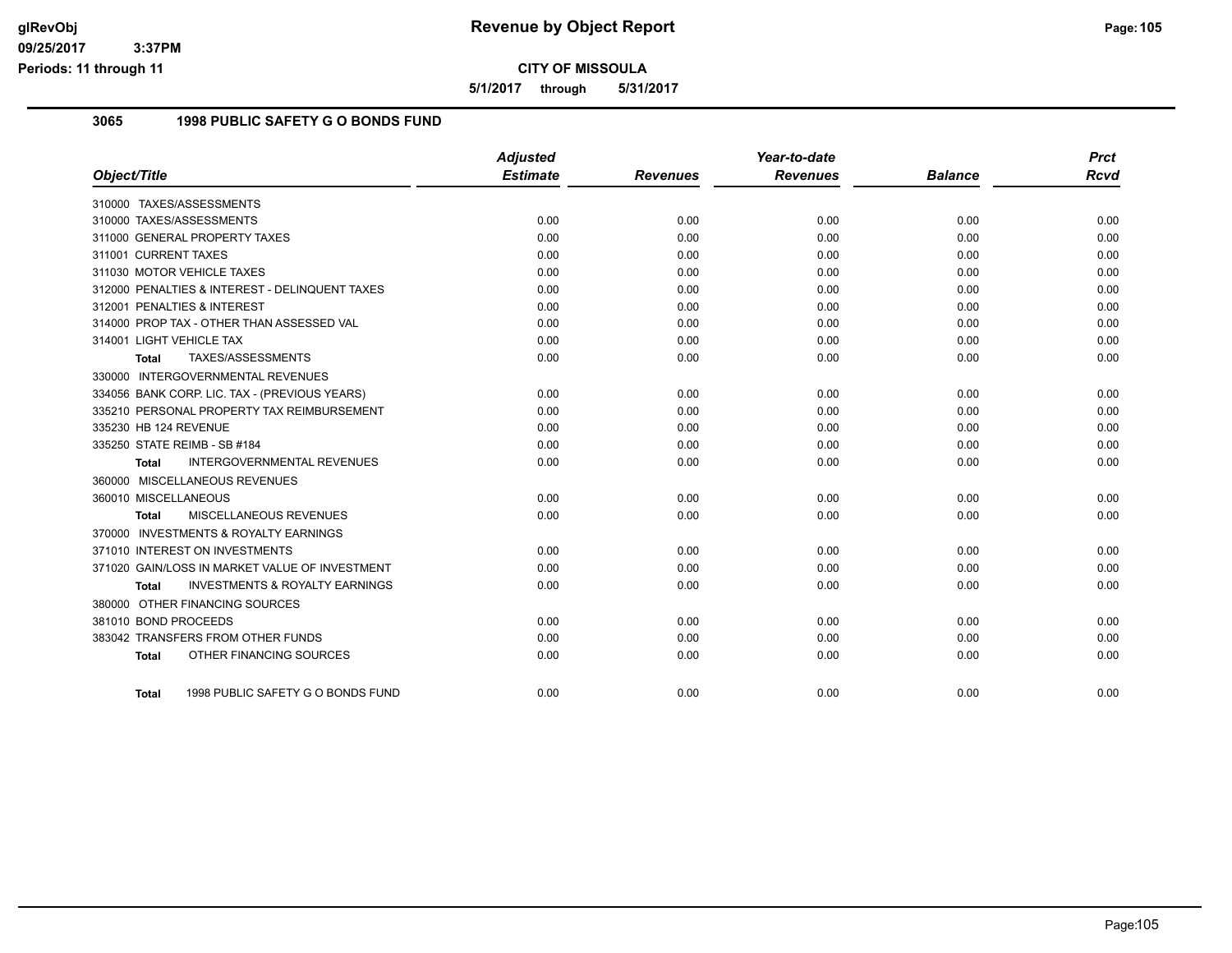**5/1/2017 through 5/31/2017**

# **3065 1998 PUBLIC SAFETY G O BONDS FUND**

|                                                    | <b>Adjusted</b> |                 | Year-to-date    |                | <b>Prct</b> |
|----------------------------------------------------|-----------------|-----------------|-----------------|----------------|-------------|
| Object/Title                                       | <b>Estimate</b> | <b>Revenues</b> | <b>Revenues</b> | <b>Balance</b> | <b>Rcvd</b> |
| 310000 TAXES/ASSESSMENTS                           |                 |                 |                 |                |             |
| 310000 TAXES/ASSESSMENTS                           | 0.00            | 0.00            | 0.00            | 0.00           | 0.00        |
| 311000 GENERAL PROPERTY TAXES                      | 0.00            | 0.00            | 0.00            | 0.00           | 0.00        |
| 311001 CURRENT TAXES                               | 0.00            | 0.00            | 0.00            | 0.00           | 0.00        |
| 311030 MOTOR VEHICLE TAXES                         | 0.00            | 0.00            | 0.00            | 0.00           | 0.00        |
| 312000 PENALTIES & INTEREST - DELINQUENT TAXES     | 0.00            | 0.00            | 0.00            | 0.00           | 0.00        |
| 312001 PENALTIES & INTEREST                        | 0.00            | 0.00            | 0.00            | 0.00           | 0.00        |
| 314000 PROP TAX - OTHER THAN ASSESSED VAL          | 0.00            | 0.00            | 0.00            | 0.00           | 0.00        |
| 314001 LIGHT VEHICLE TAX                           | 0.00            | 0.00            | 0.00            | 0.00           | 0.00        |
| TAXES/ASSESSMENTS<br><b>Total</b>                  | 0.00            | 0.00            | 0.00            | 0.00           | 0.00        |
| 330000 INTERGOVERNMENTAL REVENUES                  |                 |                 |                 |                |             |
| 334056 BANK CORP. LIC. TAX - (PREVIOUS YEARS)      | 0.00            | 0.00            | 0.00            | 0.00           | 0.00        |
| 335210 PERSONAL PROPERTY TAX REIMBURSEMENT         | 0.00            | 0.00            | 0.00            | 0.00           | 0.00        |
| 335230 HB 124 REVENUE                              | 0.00            | 0.00            | 0.00            | 0.00           | 0.00        |
| 335250 STATE REIMB - SB #184                       | 0.00            | 0.00            | 0.00            | 0.00           | 0.00        |
| <b>INTERGOVERNMENTAL REVENUES</b><br><b>Total</b>  | 0.00            | 0.00            | 0.00            | 0.00           | 0.00        |
| 360000 MISCELLANEOUS REVENUES                      |                 |                 |                 |                |             |
| 360010 MISCELLANEOUS                               | 0.00            | 0.00            | 0.00            | 0.00           | 0.00        |
| MISCELLANEOUS REVENUES<br>Total                    | 0.00            | 0.00            | 0.00            | 0.00           | 0.00        |
| 370000 INVESTMENTS & ROYALTY EARNINGS              |                 |                 |                 |                |             |
| 371010 INTEREST ON INVESTMENTS                     | 0.00            | 0.00            | 0.00            | 0.00           | 0.00        |
| 371020 GAIN/LOSS IN MARKET VALUE OF INVESTMENT     | 0.00            | 0.00            | 0.00            | 0.00           | 0.00        |
| <b>INVESTMENTS &amp; ROYALTY EARNINGS</b><br>Total | 0.00            | 0.00            | 0.00            | 0.00           | 0.00        |
| 380000 OTHER FINANCING SOURCES                     |                 |                 |                 |                |             |
| 381010 BOND PROCEEDS                               | 0.00            | 0.00            | 0.00            | 0.00           | 0.00        |
| 383042 TRANSFERS FROM OTHER FUNDS                  | 0.00            | 0.00            | 0.00            | 0.00           | 0.00        |
| OTHER FINANCING SOURCES<br><b>Total</b>            | 0.00            | 0.00            | 0.00            | 0.00           | 0.00        |
| 1998 PUBLIC SAFETY G O BONDS FUND<br><b>Total</b>  | 0.00            | 0.00            | 0.00            | 0.00           | 0.00        |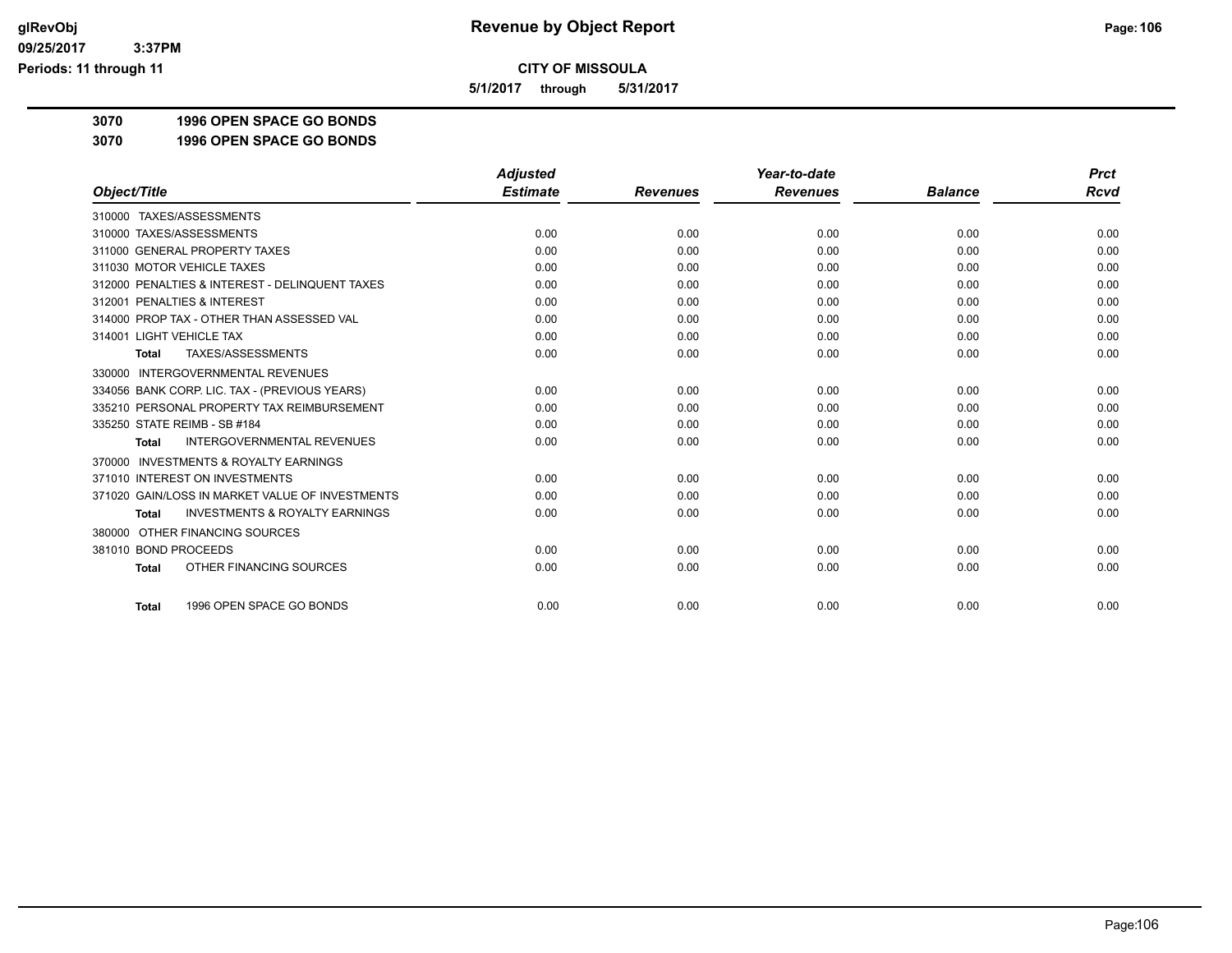**5/1/2017 through 5/31/2017**

**3070 1996 OPEN SPACE GO BONDS**

**3070 1996 OPEN SPACE GO BONDS**

|                                                           | <b>Adjusted</b> |                 | Year-to-date    |                | <b>Prct</b> |
|-----------------------------------------------------------|-----------------|-----------------|-----------------|----------------|-------------|
| Object/Title                                              | <b>Estimate</b> | <b>Revenues</b> | <b>Revenues</b> | <b>Balance</b> | Rcvd        |
| 310000 TAXES/ASSESSMENTS                                  |                 |                 |                 |                |             |
| 310000 TAXES/ASSESSMENTS                                  | 0.00            | 0.00            | 0.00            | 0.00           | 0.00        |
| 311000 GENERAL PROPERTY TAXES                             | 0.00            | 0.00            | 0.00            | 0.00           | 0.00        |
| 311030 MOTOR VEHICLE TAXES                                | 0.00            | 0.00            | 0.00            | 0.00           | 0.00        |
| 312000 PENALTIES & INTEREST - DELINQUENT TAXES            | 0.00            | 0.00            | 0.00            | 0.00           | 0.00        |
| 312001 PENALTIES & INTEREST                               | 0.00            | 0.00            | 0.00            | 0.00           | 0.00        |
| 314000 PROP TAX - OTHER THAN ASSESSED VAL                 | 0.00            | 0.00            | 0.00            | 0.00           | 0.00        |
| 314001 LIGHT VEHICLE TAX                                  | 0.00            | 0.00            | 0.00            | 0.00           | 0.00        |
| TAXES/ASSESSMENTS<br><b>Total</b>                         | 0.00            | 0.00            | 0.00            | 0.00           | 0.00        |
| <b>INTERGOVERNMENTAL REVENUES</b><br>330000               |                 |                 |                 |                |             |
| 334056 BANK CORP. LIC. TAX - (PREVIOUS YEARS)             | 0.00            | 0.00            | 0.00            | 0.00           | 0.00        |
| 335210 PERSONAL PROPERTY TAX REIMBURSEMENT                | 0.00            | 0.00            | 0.00            | 0.00           | 0.00        |
| 335250 STATE REIMB - SB #184                              | 0.00            | 0.00            | 0.00            | 0.00           | 0.00        |
| <b>INTERGOVERNMENTAL REVENUES</b><br><b>Total</b>         | 0.00            | 0.00            | 0.00            | 0.00           | 0.00        |
| <b>INVESTMENTS &amp; ROYALTY EARNINGS</b><br>370000       |                 |                 |                 |                |             |
| 371010 INTEREST ON INVESTMENTS                            | 0.00            | 0.00            | 0.00            | 0.00           | 0.00        |
| 371020 GAIN/LOSS IN MARKET VALUE OF INVESTMENTS           | 0.00            | 0.00            | 0.00            | 0.00           | 0.00        |
| <b>INVESTMENTS &amp; ROYALTY EARNINGS</b><br><b>Total</b> | 0.00            | 0.00            | 0.00            | 0.00           | 0.00        |
| OTHER FINANCING SOURCES<br>380000                         |                 |                 |                 |                |             |
| 381010 BOND PROCEEDS                                      | 0.00            | 0.00            | 0.00            | 0.00           | 0.00        |
| OTHER FINANCING SOURCES<br><b>Total</b>                   | 0.00            | 0.00            | 0.00            | 0.00           | 0.00        |
| 1996 OPEN SPACE GO BONDS<br><b>Total</b>                  | 0.00            | 0.00            | 0.00            | 0.00           | 0.00        |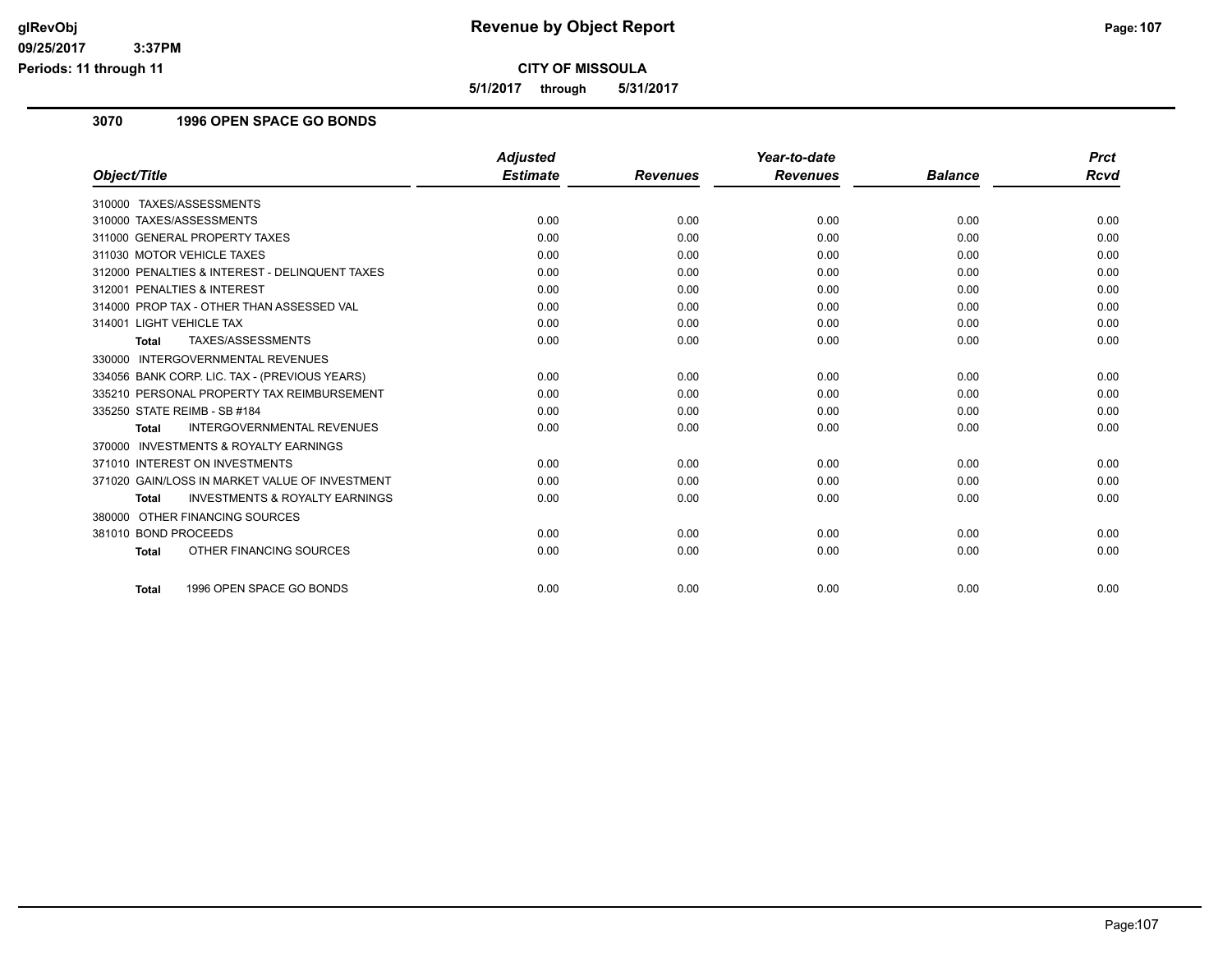**5/1/2017 through 5/31/2017**

# **3070 1996 OPEN SPACE GO BONDS**

|                                                           | <b>Adjusted</b> |                 | Year-to-date    |                | <b>Prct</b> |
|-----------------------------------------------------------|-----------------|-----------------|-----------------|----------------|-------------|
| Object/Title                                              | <b>Estimate</b> | <b>Revenues</b> | <b>Revenues</b> | <b>Balance</b> | Rcvd        |
| 310000 TAXES/ASSESSMENTS                                  |                 |                 |                 |                |             |
| 310000 TAXES/ASSESSMENTS                                  | 0.00            | 0.00            | 0.00            | 0.00           | 0.00        |
| 311000 GENERAL PROPERTY TAXES                             | 0.00            | 0.00            | 0.00            | 0.00           | 0.00        |
| 311030 MOTOR VEHICLE TAXES                                | 0.00            | 0.00            | 0.00            | 0.00           | 0.00        |
| 312000 PENALTIES & INTEREST - DELINQUENT TAXES            | 0.00            | 0.00            | 0.00            | 0.00           | 0.00        |
| 312001 PENALTIES & INTEREST                               | 0.00            | 0.00            | 0.00            | 0.00           | 0.00        |
| 314000 PROP TAX - OTHER THAN ASSESSED VAL                 | 0.00            | 0.00            | 0.00            | 0.00           | 0.00        |
| 314001 LIGHT VEHICLE TAX                                  | 0.00            | 0.00            | 0.00            | 0.00           | 0.00        |
| <b>TAXES/ASSESSMENTS</b><br><b>Total</b>                  | 0.00            | 0.00            | 0.00            | 0.00           | 0.00        |
| 330000 INTERGOVERNMENTAL REVENUES                         |                 |                 |                 |                |             |
| 334056 BANK CORP. LIC. TAX - (PREVIOUS YEARS)             | 0.00            | 0.00            | 0.00            | 0.00           | 0.00        |
| 335210 PERSONAL PROPERTY TAX REIMBURSEMENT                | 0.00            | 0.00            | 0.00            | 0.00           | 0.00        |
| 335250 STATE REIMB - SB #184                              | 0.00            | 0.00            | 0.00            | 0.00           | 0.00        |
| <b>INTERGOVERNMENTAL REVENUES</b><br><b>Total</b>         | 0.00            | 0.00            | 0.00            | 0.00           | 0.00        |
| 370000 INVESTMENTS & ROYALTY EARNINGS                     |                 |                 |                 |                |             |
| 371010 INTEREST ON INVESTMENTS                            | 0.00            | 0.00            | 0.00            | 0.00           | 0.00        |
| 371020 GAIN/LOSS IN MARKET VALUE OF INVESTMENT            | 0.00            | 0.00            | 0.00            | 0.00           | 0.00        |
| <b>INVESTMENTS &amp; ROYALTY EARNINGS</b><br><b>Total</b> | 0.00            | 0.00            | 0.00            | 0.00           | 0.00        |
| 380000 OTHER FINANCING SOURCES                            |                 |                 |                 |                |             |
| 381010 BOND PROCEEDS                                      | 0.00            | 0.00            | 0.00            | 0.00           | 0.00        |
| OTHER FINANCING SOURCES<br><b>Total</b>                   | 0.00            | 0.00            | 0.00            | 0.00           | 0.00        |
| 1996 OPEN SPACE GO BONDS<br><b>Total</b>                  | 0.00            | 0.00            | 0.00            | 0.00           | 0.00        |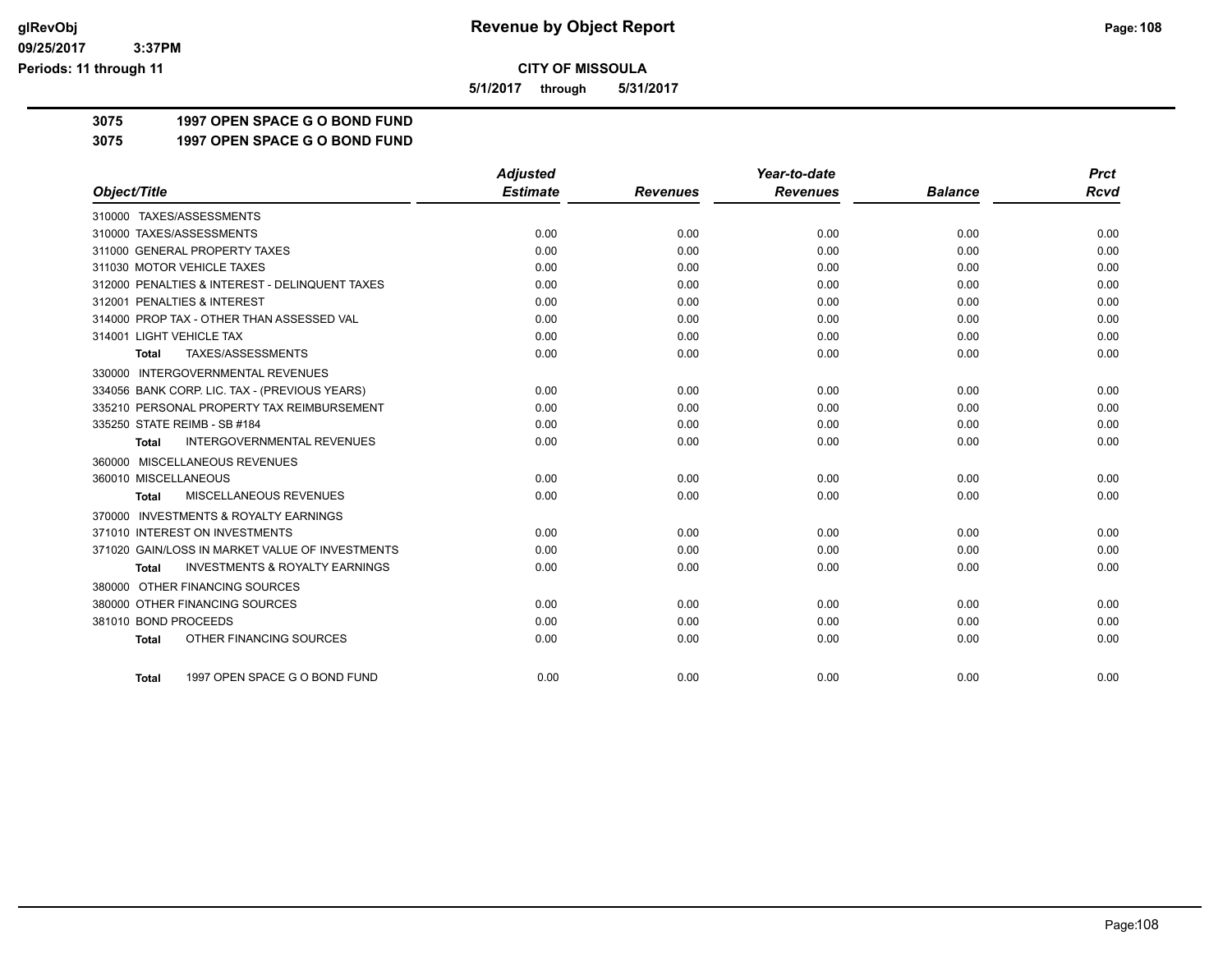**5/1/2017 through 5/31/2017**

# **3075 1997 OPEN SPACE G O BOND FUND**

# **3075 1997 OPEN SPACE G O BOND FUND**

|                          |                                                 | <b>Adjusted</b> |                 | Year-to-date    |                | <b>Prct</b> |
|--------------------------|-------------------------------------------------|-----------------|-----------------|-----------------|----------------|-------------|
| Object/Title             |                                                 | <b>Estimate</b> | <b>Revenues</b> | <b>Revenues</b> | <b>Balance</b> | <b>Rcvd</b> |
|                          | 310000 TAXES/ASSESSMENTS                        |                 |                 |                 |                |             |
| 310000 TAXES/ASSESSMENTS |                                                 | 0.00            | 0.00            | 0.00            | 0.00           | 0.00        |
|                          | 311000 GENERAL PROPERTY TAXES                   | 0.00            | 0.00            | 0.00            | 0.00           | 0.00        |
|                          | 311030 MOTOR VEHICLE TAXES                      | 0.00            | 0.00            | 0.00            | 0.00           | 0.00        |
|                          | 312000 PENALTIES & INTEREST - DELINQUENT TAXES  | 0.00            | 0.00            | 0.00            | 0.00           | 0.00        |
|                          | 312001 PENALTIES & INTEREST                     | 0.00            | 0.00            | 0.00            | 0.00           | 0.00        |
|                          | 314000 PROP TAX - OTHER THAN ASSESSED VAL       | 0.00            | 0.00            | 0.00            | 0.00           | 0.00        |
| 314001 LIGHT VEHICLE TAX |                                                 | 0.00            | 0.00            | 0.00            | 0.00           | 0.00        |
| <b>Total</b>             | TAXES/ASSESSMENTS                               | 0.00            | 0.00            | 0.00            | 0.00           | 0.00        |
|                          | 330000 INTERGOVERNMENTAL REVENUES               |                 |                 |                 |                |             |
|                          | 334056 BANK CORP. LIC. TAX - (PREVIOUS YEARS)   | 0.00            | 0.00            | 0.00            | 0.00           | 0.00        |
|                          | 335210 PERSONAL PROPERTY TAX REIMBURSEMENT      | 0.00            | 0.00            | 0.00            | 0.00           | 0.00        |
|                          | 335250 STATE REIMB - SB #184                    | 0.00            | 0.00            | 0.00            | 0.00           | 0.00        |
| <b>Total</b>             | <b>INTERGOVERNMENTAL REVENUES</b>               | 0.00            | 0.00            | 0.00            | 0.00           | 0.00        |
|                          | 360000 MISCELLANEOUS REVENUES                   |                 |                 |                 |                |             |
| 360010 MISCELLANEOUS     |                                                 | 0.00            | 0.00            | 0.00            | 0.00           | 0.00        |
| <b>Total</b>             | <b>MISCELLANEOUS REVENUES</b>                   | 0.00            | 0.00            | 0.00            | 0.00           | 0.00        |
|                          | 370000 INVESTMENTS & ROYALTY EARNINGS           |                 |                 |                 |                |             |
|                          | 371010 INTEREST ON INVESTMENTS                  | 0.00            | 0.00            | 0.00            | 0.00           | 0.00        |
|                          | 371020 GAIN/LOSS IN MARKET VALUE OF INVESTMENTS | 0.00            | 0.00            | 0.00            | 0.00           | 0.00        |
| Total                    | <b>INVESTMENTS &amp; ROYALTY EARNINGS</b>       | 0.00            | 0.00            | 0.00            | 0.00           | 0.00        |
|                          | 380000 OTHER FINANCING SOURCES                  |                 |                 |                 |                |             |
|                          | 380000 OTHER FINANCING SOURCES                  | 0.00            | 0.00            | 0.00            | 0.00           | 0.00        |
| 381010 BOND PROCEEDS     |                                                 | 0.00            | 0.00            | 0.00            | 0.00           | 0.00        |
| <b>Total</b>             | OTHER FINANCING SOURCES                         | 0.00            | 0.00            | 0.00            | 0.00           | 0.00        |
|                          |                                                 |                 |                 |                 |                |             |
| <b>Total</b>             | 1997 OPEN SPACE G O BOND FUND                   | 0.00            | 0.00            | 0.00            | 0.00           | 0.00        |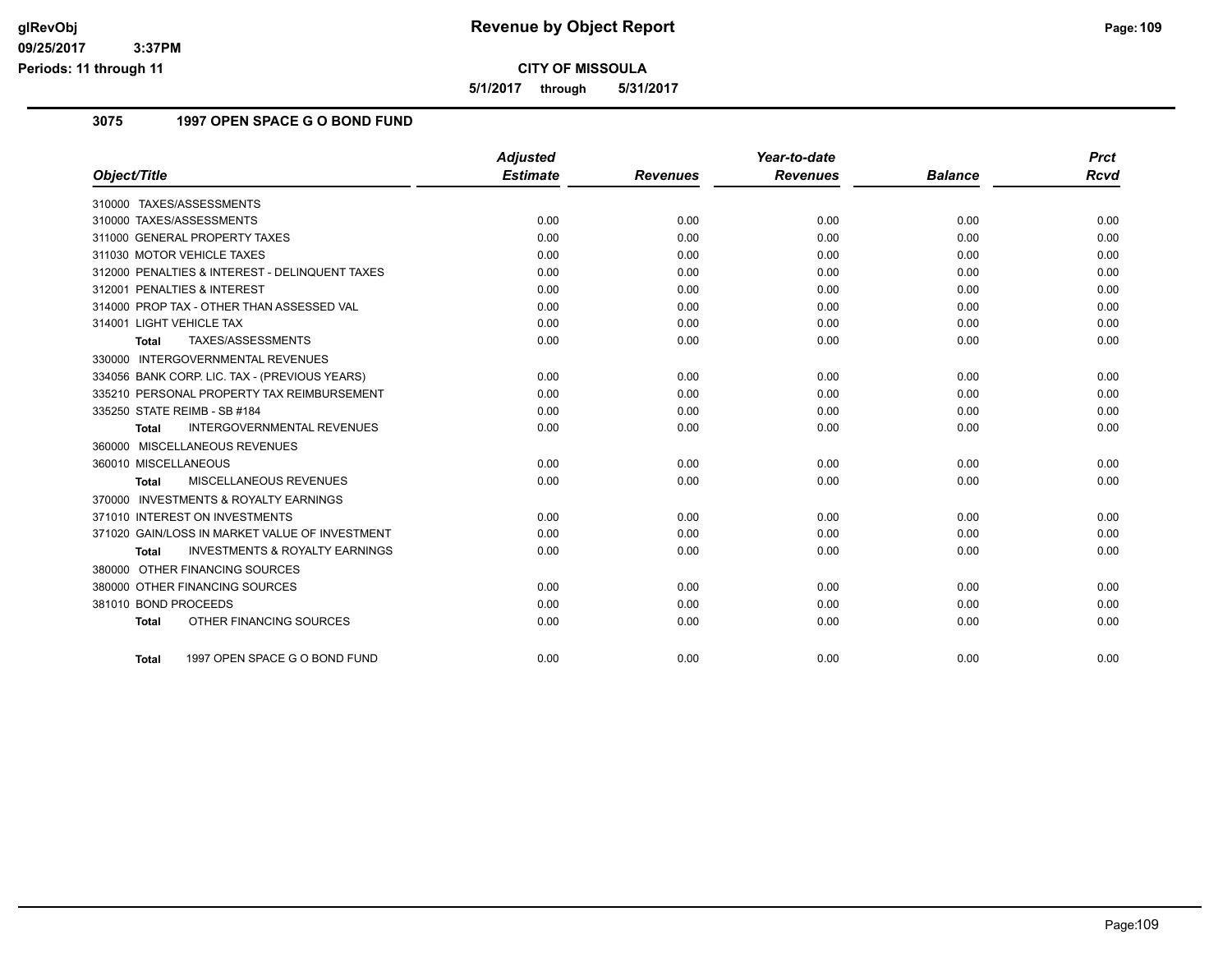**5/1/2017 through 5/31/2017**

# **3075 1997 OPEN SPACE G O BOND FUND**

|                                                           | <b>Adjusted</b> |                 | Year-to-date    |                | <b>Prct</b> |
|-----------------------------------------------------------|-----------------|-----------------|-----------------|----------------|-------------|
| Object/Title                                              | <b>Estimate</b> | <b>Revenues</b> | <b>Revenues</b> | <b>Balance</b> | Rcvd        |
| 310000 TAXES/ASSESSMENTS                                  |                 |                 |                 |                |             |
| 310000 TAXES/ASSESSMENTS                                  | 0.00            | 0.00            | 0.00            | 0.00           | 0.00        |
| 311000 GENERAL PROPERTY TAXES                             | 0.00            | 0.00            | 0.00            | 0.00           | 0.00        |
| 311030 MOTOR VEHICLE TAXES                                | 0.00            | 0.00            | 0.00            | 0.00           | 0.00        |
| 312000 PENALTIES & INTEREST - DELINQUENT TAXES            | 0.00            | 0.00            | 0.00            | 0.00           | 0.00        |
| 312001 PENALTIES & INTEREST                               | 0.00            | 0.00            | 0.00            | 0.00           | 0.00        |
| 314000 PROP TAX - OTHER THAN ASSESSED VAL                 | 0.00            | 0.00            | 0.00            | 0.00           | 0.00        |
| 314001 LIGHT VEHICLE TAX                                  | 0.00            | 0.00            | 0.00            | 0.00           | 0.00        |
| TAXES/ASSESSMENTS<br><b>Total</b>                         | 0.00            | 0.00            | 0.00            | 0.00           | 0.00        |
| 330000 INTERGOVERNMENTAL REVENUES                         |                 |                 |                 |                |             |
| 334056 BANK CORP. LIC. TAX - (PREVIOUS YEARS)             | 0.00            | 0.00            | 0.00            | 0.00           | 0.00        |
| 335210 PERSONAL PROPERTY TAX REIMBURSEMENT                | 0.00            | 0.00            | 0.00            | 0.00           | 0.00        |
| 335250 STATE REIMB - SB #184                              | 0.00            | 0.00            | 0.00            | 0.00           | 0.00        |
| <b>INTERGOVERNMENTAL REVENUES</b><br><b>Total</b>         | 0.00            | 0.00            | 0.00            | 0.00           | 0.00        |
| 360000 MISCELLANEOUS REVENUES                             |                 |                 |                 |                |             |
| 360010 MISCELLANEOUS                                      | 0.00            | 0.00            | 0.00            | 0.00           | 0.00        |
| <b>MISCELLANEOUS REVENUES</b><br><b>Total</b>             | 0.00            | 0.00            | 0.00            | 0.00           | 0.00        |
| 370000 INVESTMENTS & ROYALTY EARNINGS                     |                 |                 |                 |                |             |
| 371010 INTEREST ON INVESTMENTS                            | 0.00            | 0.00            | 0.00            | 0.00           | 0.00        |
| 371020 GAIN/LOSS IN MARKET VALUE OF INVESTMENT            | 0.00            | 0.00            | 0.00            | 0.00           | 0.00        |
| <b>INVESTMENTS &amp; ROYALTY EARNINGS</b><br><b>Total</b> | 0.00            | 0.00            | 0.00            | 0.00           | 0.00        |
| 380000 OTHER FINANCING SOURCES                            |                 |                 |                 |                |             |
| 380000 OTHER FINANCING SOURCES                            | 0.00            | 0.00            | 0.00            | 0.00           | 0.00        |
| 381010 BOND PROCEEDS                                      | 0.00            | 0.00            | 0.00            | 0.00           | 0.00        |
| OTHER FINANCING SOURCES<br><b>Total</b>                   | 0.00            | 0.00            | 0.00            | 0.00           | 0.00        |
| 1997 OPEN SPACE G O BOND FUND<br><b>Total</b>             | 0.00            | 0.00            | 0.00            | 0.00           | 0.00        |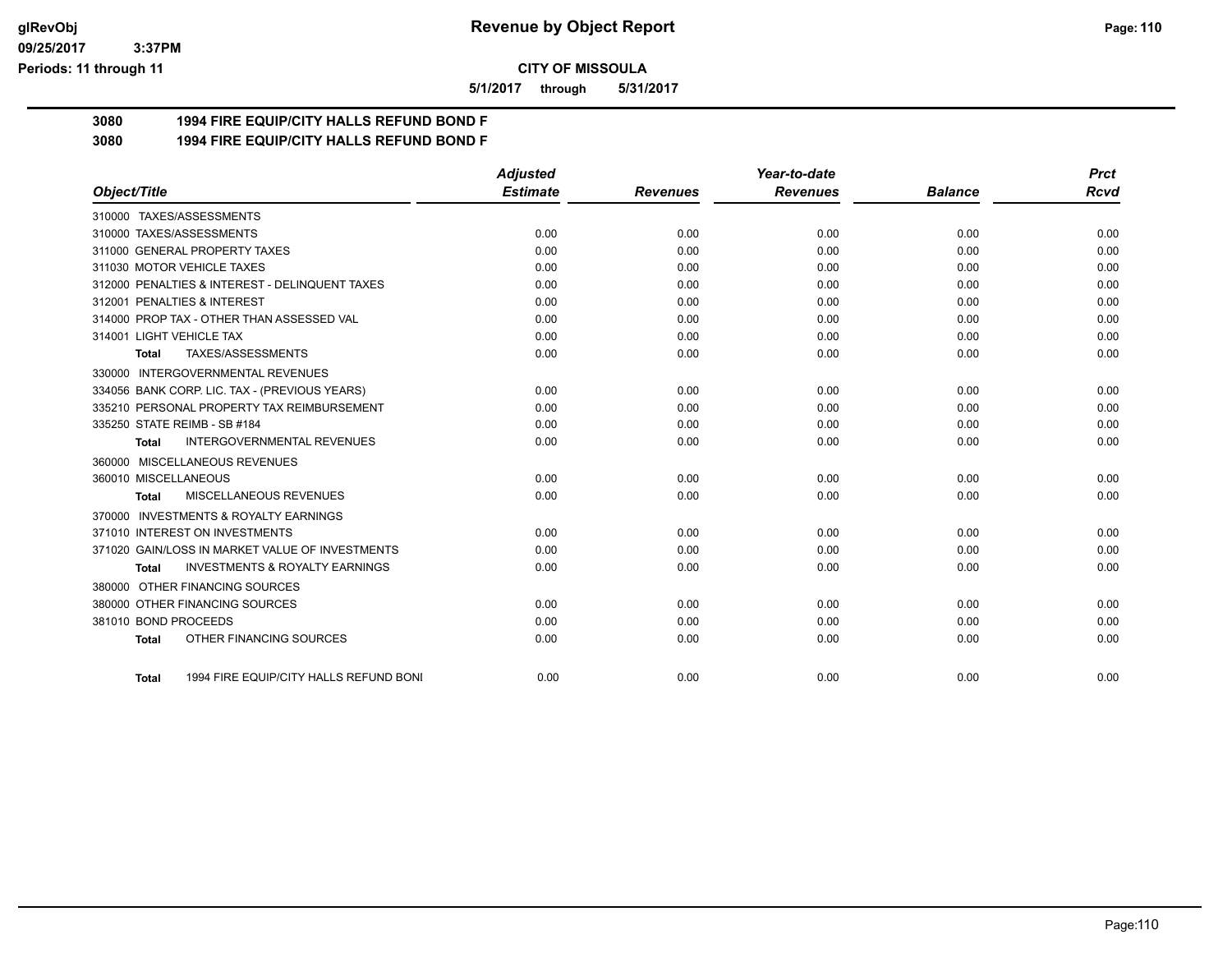**5/1/2017 through 5/31/2017**

# **3080 1994 FIRE EQUIP/CITY HALLS REFUND BOND F**

**3080 1994 FIRE EQUIP/CITY HALLS REFUND BOND F**

|                                                           | <b>Adjusted</b> |                 | Year-to-date    |                | <b>Prct</b> |
|-----------------------------------------------------------|-----------------|-----------------|-----------------|----------------|-------------|
| Object/Title                                              | <b>Estimate</b> | <b>Revenues</b> | <b>Revenues</b> | <b>Balance</b> | <b>Rcvd</b> |
| 310000 TAXES/ASSESSMENTS                                  |                 |                 |                 |                |             |
| 310000 TAXES/ASSESSMENTS                                  | 0.00            | 0.00            | 0.00            | 0.00           | 0.00        |
| 311000 GENERAL PROPERTY TAXES                             | 0.00            | 0.00            | 0.00            | 0.00           | 0.00        |
| 311030 MOTOR VEHICLE TAXES                                | 0.00            | 0.00            | 0.00            | 0.00           | 0.00        |
| 312000 PENALTIES & INTEREST - DELINQUENT TAXES            | 0.00            | 0.00            | 0.00            | 0.00           | 0.00        |
| 312001 PENALTIES & INTEREST                               | 0.00            | 0.00            | 0.00            | 0.00           | 0.00        |
| 314000 PROP TAX - OTHER THAN ASSESSED VAL                 | 0.00            | 0.00            | 0.00            | 0.00           | 0.00        |
| 314001 LIGHT VEHICLE TAX                                  | 0.00            | 0.00            | 0.00            | 0.00           | 0.00        |
| TAXES/ASSESSMENTS<br>Total                                | 0.00            | 0.00            | 0.00            | 0.00           | 0.00        |
| 330000 INTERGOVERNMENTAL REVENUES                         |                 |                 |                 |                |             |
| 334056 BANK CORP. LIC. TAX - (PREVIOUS YEARS)             | 0.00            | 0.00            | 0.00            | 0.00           | 0.00        |
| 335210 PERSONAL PROPERTY TAX REIMBURSEMENT                | 0.00            | 0.00            | 0.00            | 0.00           | 0.00        |
| 335250 STATE REIMB - SB #184                              | 0.00            | 0.00            | 0.00            | 0.00           | 0.00        |
| <b>INTERGOVERNMENTAL REVENUES</b><br><b>Total</b>         | 0.00            | 0.00            | 0.00            | 0.00           | 0.00        |
| 360000 MISCELLANEOUS REVENUES                             |                 |                 |                 |                |             |
| 360010 MISCELLANEOUS                                      | 0.00            | 0.00            | 0.00            | 0.00           | 0.00        |
| MISCELLANEOUS REVENUES<br><b>Total</b>                    | 0.00            | 0.00            | 0.00            | 0.00           | 0.00        |
| <b>INVESTMENTS &amp; ROYALTY EARNINGS</b><br>370000       |                 |                 |                 |                |             |
| 371010 INTEREST ON INVESTMENTS                            | 0.00            | 0.00            | 0.00            | 0.00           | 0.00        |
| 371020 GAIN/LOSS IN MARKET VALUE OF INVESTMENTS           | 0.00            | 0.00            | 0.00            | 0.00           | 0.00        |
| <b>INVESTMENTS &amp; ROYALTY EARNINGS</b><br><b>Total</b> | 0.00            | 0.00            | 0.00            | 0.00           | 0.00        |
| 380000 OTHER FINANCING SOURCES                            |                 |                 |                 |                |             |
| 380000 OTHER FINANCING SOURCES                            | 0.00            | 0.00            | 0.00            | 0.00           | 0.00        |
| 381010 BOND PROCEEDS                                      | 0.00            | 0.00            | 0.00            | 0.00           | 0.00        |
| OTHER FINANCING SOURCES<br><b>Total</b>                   | 0.00            | 0.00            | 0.00            | 0.00           | 0.00        |
|                                                           |                 |                 |                 |                |             |
| 1994 FIRE EQUIP/CITY HALLS REFUND BONI<br><b>Total</b>    | 0.00            | 0.00            | 0.00            | 0.00           | 0.00        |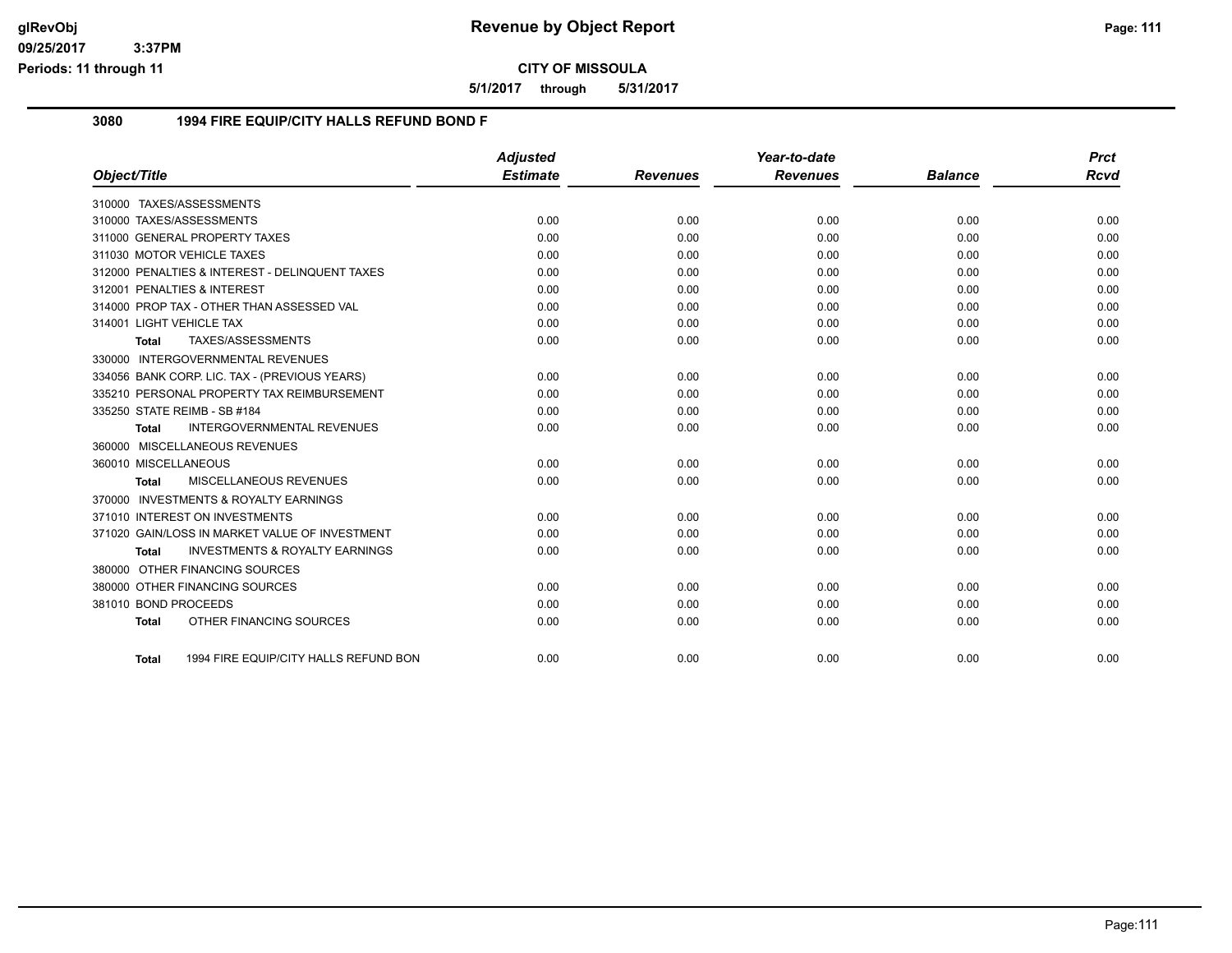**5/1/2017 through 5/31/2017**

# **3080 1994 FIRE EQUIP/CITY HALLS REFUND BOND F**

|                                                           | <b>Adjusted</b> |                 | Year-to-date    |                | <b>Prct</b> |
|-----------------------------------------------------------|-----------------|-----------------|-----------------|----------------|-------------|
| Object/Title                                              | <b>Estimate</b> | <b>Revenues</b> | <b>Revenues</b> | <b>Balance</b> | <b>Rcvd</b> |
| 310000 TAXES/ASSESSMENTS                                  |                 |                 |                 |                |             |
| 310000 TAXES/ASSESSMENTS                                  | 0.00            | 0.00            | 0.00            | 0.00           | 0.00        |
| 311000 GENERAL PROPERTY TAXES                             | 0.00            | 0.00            | 0.00            | 0.00           | 0.00        |
| 311030 MOTOR VEHICLE TAXES                                | 0.00            | 0.00            | 0.00            | 0.00           | 0.00        |
| 312000 PENALTIES & INTEREST - DELINQUENT TAXES            | 0.00            | 0.00            | 0.00            | 0.00           | 0.00        |
| 312001 PENALTIES & INTEREST                               | 0.00            | 0.00            | 0.00            | 0.00           | 0.00        |
| 314000 PROP TAX - OTHER THAN ASSESSED VAL                 | 0.00            | 0.00            | 0.00            | 0.00           | 0.00        |
| 314001 LIGHT VEHICLE TAX                                  | 0.00            | 0.00            | 0.00            | 0.00           | 0.00        |
| TAXES/ASSESSMENTS<br><b>Total</b>                         | 0.00            | 0.00            | 0.00            | 0.00           | 0.00        |
| 330000 INTERGOVERNMENTAL REVENUES                         |                 |                 |                 |                |             |
| 334056 BANK CORP. LIC. TAX - (PREVIOUS YEARS)             | 0.00            | 0.00            | 0.00            | 0.00           | 0.00        |
| 335210 PERSONAL PROPERTY TAX REIMBURSEMENT                | 0.00            | 0.00            | 0.00            | 0.00           | 0.00        |
| 335250 STATE REIMB - SB #184                              | 0.00            | 0.00            | 0.00            | 0.00           | 0.00        |
| <b>INTERGOVERNMENTAL REVENUES</b><br><b>Total</b>         | 0.00            | 0.00            | 0.00            | 0.00           | 0.00        |
| 360000 MISCELLANEOUS REVENUES                             |                 |                 |                 |                |             |
| 360010 MISCELLANEOUS                                      | 0.00            | 0.00            | 0.00            | 0.00           | 0.00        |
| <b>MISCELLANEOUS REVENUES</b><br><b>Total</b>             | 0.00            | 0.00            | 0.00            | 0.00           | 0.00        |
| 370000 INVESTMENTS & ROYALTY EARNINGS                     |                 |                 |                 |                |             |
| 371010 INTEREST ON INVESTMENTS                            | 0.00            | 0.00            | 0.00            | 0.00           | 0.00        |
| 371020 GAIN/LOSS IN MARKET VALUE OF INVESTMENT            | 0.00            | 0.00            | 0.00            | 0.00           | 0.00        |
| <b>INVESTMENTS &amp; ROYALTY EARNINGS</b><br><b>Total</b> | 0.00            | 0.00            | 0.00            | 0.00           | 0.00        |
| 380000 OTHER FINANCING SOURCES                            |                 |                 |                 |                |             |
| 380000 OTHER FINANCING SOURCES                            | 0.00            | 0.00            | 0.00            | 0.00           | 0.00        |
| 381010 BOND PROCEEDS                                      | 0.00            | 0.00            | 0.00            | 0.00           | 0.00        |
| OTHER FINANCING SOURCES<br><b>Total</b>                   | 0.00            | 0.00            | 0.00            | 0.00           | 0.00        |
| 1994 FIRE EQUIP/CITY HALLS REFUND BON<br>Total            | 0.00            | 0.00            | 0.00            | 0.00           | 0.00        |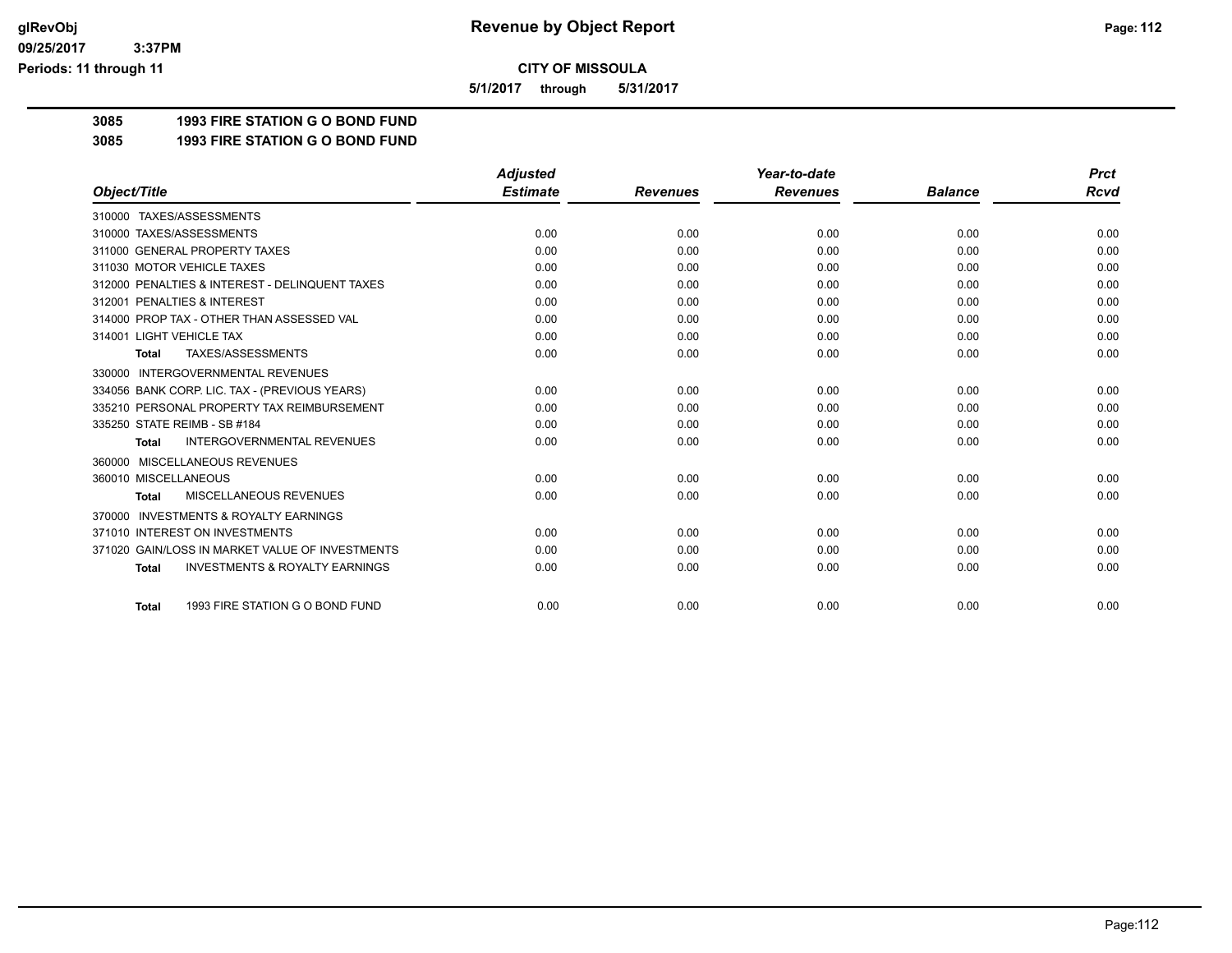**5/1/2017 through 5/31/2017**

# **3085 1993 FIRE STATION G O BOND FUND**

**3085 1993 FIRE STATION G O BOND FUND**

|                                                           | <b>Adjusted</b> |                 | Year-to-date    |                | <b>Prct</b> |
|-----------------------------------------------------------|-----------------|-----------------|-----------------|----------------|-------------|
| Object/Title                                              | <b>Estimate</b> | <b>Revenues</b> | <b>Revenues</b> | <b>Balance</b> | <b>Rcvd</b> |
| 310000 TAXES/ASSESSMENTS                                  |                 |                 |                 |                |             |
| 310000 TAXES/ASSESSMENTS                                  | 0.00            | 0.00            | 0.00            | 0.00           | 0.00        |
| 311000 GENERAL PROPERTY TAXES                             | 0.00            | 0.00            | 0.00            | 0.00           | 0.00        |
| 311030 MOTOR VEHICLE TAXES                                | 0.00            | 0.00            | 0.00            | 0.00           | 0.00        |
| 312000 PENALTIES & INTEREST - DELINQUENT TAXES            | 0.00            | 0.00            | 0.00            | 0.00           | 0.00        |
| 312001 PENALTIES & INTEREST                               | 0.00            | 0.00            | 0.00            | 0.00           | 0.00        |
| 314000 PROP TAX - OTHER THAN ASSESSED VAL                 | 0.00            | 0.00            | 0.00            | 0.00           | 0.00        |
| 314001 LIGHT VEHICLE TAX                                  | 0.00            | 0.00            | 0.00            | 0.00           | 0.00        |
| TAXES/ASSESSMENTS<br><b>Total</b>                         | 0.00            | 0.00            | 0.00            | 0.00           | 0.00        |
| <b>INTERGOVERNMENTAL REVENUES</b><br>330000               |                 |                 |                 |                |             |
| 334056 BANK CORP. LIC. TAX - (PREVIOUS YEARS)             | 0.00            | 0.00            | 0.00            | 0.00           | 0.00        |
| 335210 PERSONAL PROPERTY TAX REIMBURSEMENT                | 0.00            | 0.00            | 0.00            | 0.00           | 0.00        |
| 335250 STATE REIMB - SB #184                              | 0.00            | 0.00            | 0.00            | 0.00           | 0.00        |
| <b>INTERGOVERNMENTAL REVENUES</b><br><b>Total</b>         | 0.00            | 0.00            | 0.00            | 0.00           | 0.00        |
| MISCELLANEOUS REVENUES<br>360000                          |                 |                 |                 |                |             |
| 360010 MISCELLANEOUS                                      | 0.00            | 0.00            | 0.00            | 0.00           | 0.00        |
| MISCELLANEOUS REVENUES<br><b>Total</b>                    | 0.00            | 0.00            | 0.00            | 0.00           | 0.00        |
| <b>INVESTMENTS &amp; ROYALTY EARNINGS</b><br>370000       |                 |                 |                 |                |             |
| 371010 INTEREST ON INVESTMENTS                            | 0.00            | 0.00            | 0.00            | 0.00           | 0.00        |
| 371020 GAIN/LOSS IN MARKET VALUE OF INVESTMENTS           | 0.00            | 0.00            | 0.00            | 0.00           | 0.00        |
| <b>INVESTMENTS &amp; ROYALTY EARNINGS</b><br><b>Total</b> | 0.00            | 0.00            | 0.00            | 0.00           | 0.00        |
| 1993 FIRE STATION G O BOND FUND<br><b>Total</b>           | 0.00            | 0.00            | 0.00            | 0.00           | 0.00        |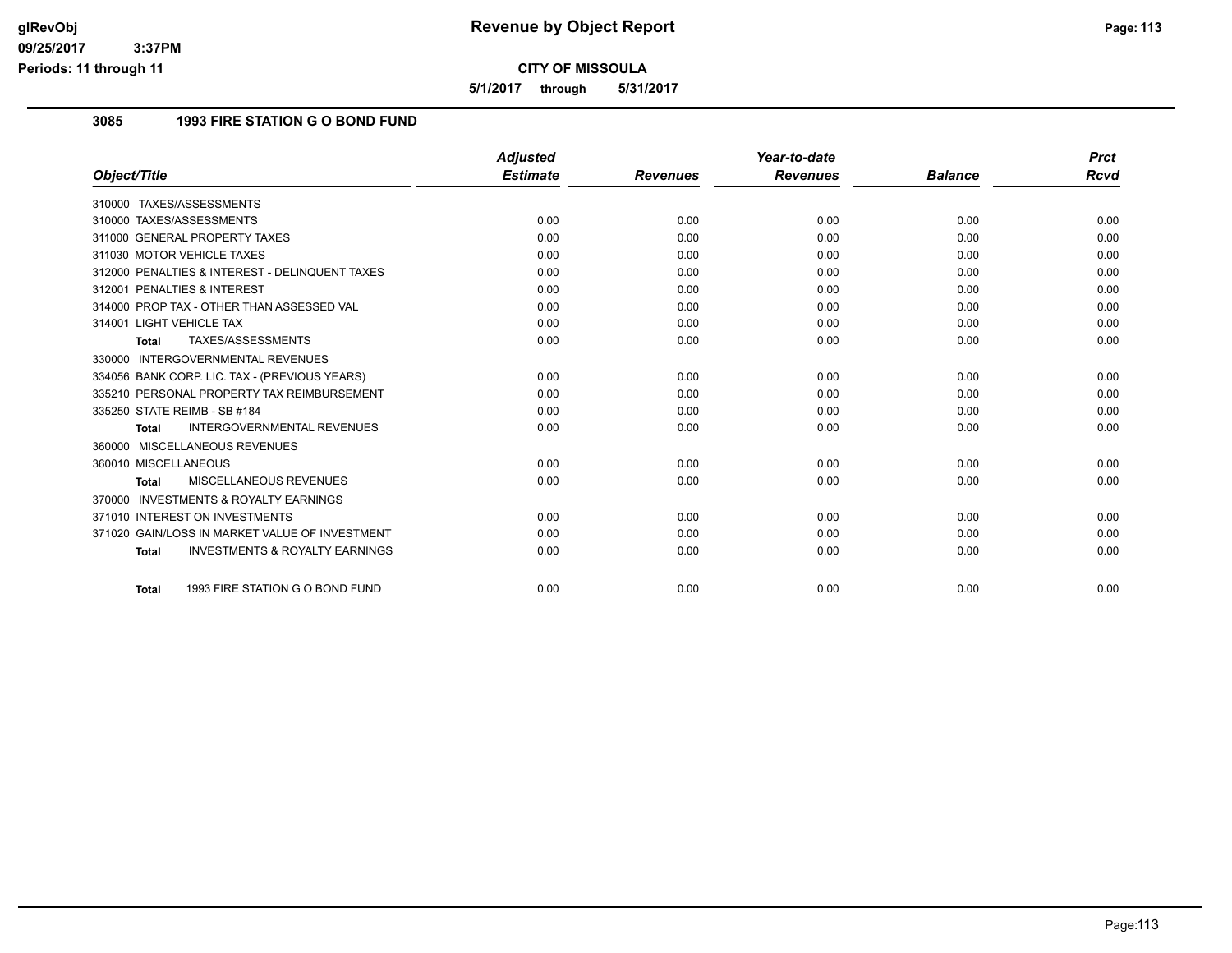**5/1/2017 through 5/31/2017**

# **3085 1993 FIRE STATION G O BOND FUND**

|                                                           | <b>Adjusted</b> |                 | Year-to-date    |                | <b>Prct</b> |
|-----------------------------------------------------------|-----------------|-----------------|-----------------|----------------|-------------|
| Object/Title                                              | <b>Estimate</b> | <b>Revenues</b> | <b>Revenues</b> | <b>Balance</b> | Rcvd        |
| 310000 TAXES/ASSESSMENTS                                  |                 |                 |                 |                |             |
| 310000 TAXES/ASSESSMENTS                                  | 0.00            | 0.00            | 0.00            | 0.00           | 0.00        |
| 311000 GENERAL PROPERTY TAXES                             | 0.00            | 0.00            | 0.00            | 0.00           | 0.00        |
| 311030 MOTOR VEHICLE TAXES                                | 0.00            | 0.00            | 0.00            | 0.00           | 0.00        |
| 312000 PENALTIES & INTEREST - DELINQUENT TAXES            | 0.00            | 0.00            | 0.00            | 0.00           | 0.00        |
| 312001 PENALTIES & INTEREST                               | 0.00            | 0.00            | 0.00            | 0.00           | 0.00        |
| 314000 PROP TAX - OTHER THAN ASSESSED VAL                 | 0.00            | 0.00            | 0.00            | 0.00           | 0.00        |
| 314001 LIGHT VEHICLE TAX                                  | 0.00            | 0.00            | 0.00            | 0.00           | 0.00        |
| TAXES/ASSESSMENTS<br>Total                                | 0.00            | 0.00            | 0.00            | 0.00           | 0.00        |
| 330000 INTERGOVERNMENTAL REVENUES                         |                 |                 |                 |                |             |
| 334056 BANK CORP. LIC. TAX - (PREVIOUS YEARS)             | 0.00            | 0.00            | 0.00            | 0.00           | 0.00        |
| 335210 PERSONAL PROPERTY TAX REIMBURSEMENT                | 0.00            | 0.00            | 0.00            | 0.00           | 0.00        |
| 335250 STATE REIMB - SB #184                              | 0.00            | 0.00            | 0.00            | 0.00           | 0.00        |
| <b>INTERGOVERNMENTAL REVENUES</b><br><b>Total</b>         | 0.00            | 0.00            | 0.00            | 0.00           | 0.00        |
| 360000 MISCELLANEOUS REVENUES                             |                 |                 |                 |                |             |
| 360010 MISCELLANEOUS                                      | 0.00            | 0.00            | 0.00            | 0.00           | 0.00        |
| MISCELLANEOUS REVENUES<br><b>Total</b>                    | 0.00            | 0.00            | 0.00            | 0.00           | 0.00        |
| 370000 INVESTMENTS & ROYALTY EARNINGS                     |                 |                 |                 |                |             |
| 371010 INTEREST ON INVESTMENTS                            | 0.00            | 0.00            | 0.00            | 0.00           | 0.00        |
| 371020 GAIN/LOSS IN MARKET VALUE OF INVESTMENT            | 0.00            | 0.00            | 0.00            | 0.00           | 0.00        |
| <b>INVESTMENTS &amp; ROYALTY EARNINGS</b><br><b>Total</b> | 0.00            | 0.00            | 0.00            | 0.00           | 0.00        |
| 1993 FIRE STATION G O BOND FUND<br>Total                  | 0.00            | 0.00            | 0.00            | 0.00           | 0.00        |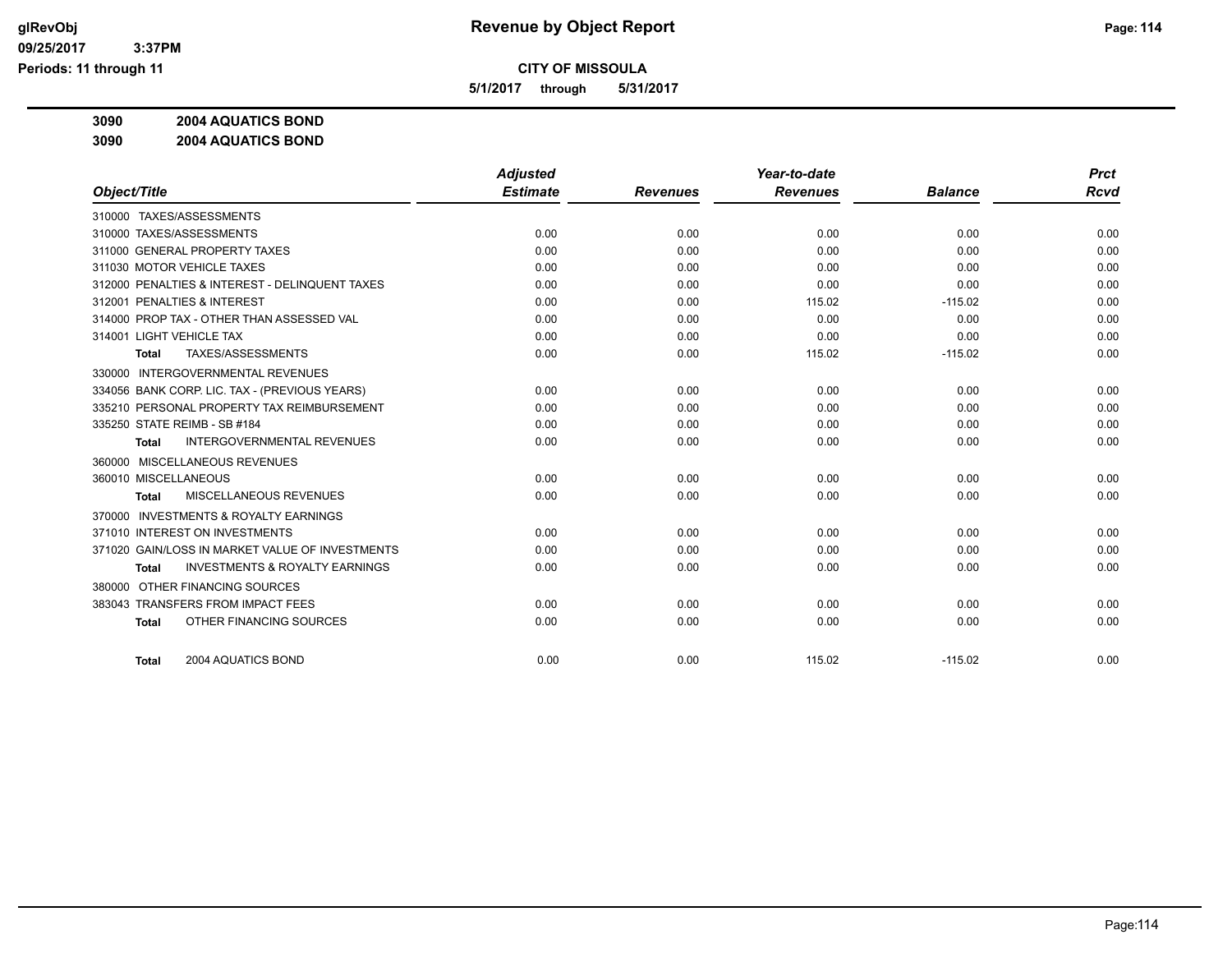**5/1/2017 through 5/31/2017**

**3090 2004 AQUATICS BOND**

**3090 2004 AQUATICS BOND**

|                                                           | <b>Adjusted</b> |                 | Year-to-date    |                | <b>Prct</b> |
|-----------------------------------------------------------|-----------------|-----------------|-----------------|----------------|-------------|
| Object/Title                                              | <b>Estimate</b> | <b>Revenues</b> | <b>Revenues</b> | <b>Balance</b> | <b>Rcvd</b> |
| 310000 TAXES/ASSESSMENTS                                  |                 |                 |                 |                |             |
| 310000 TAXES/ASSESSMENTS                                  | 0.00            | 0.00            | 0.00            | 0.00           | 0.00        |
| 311000 GENERAL PROPERTY TAXES                             | 0.00            | 0.00            | 0.00            | 0.00           | 0.00        |
| 311030 MOTOR VEHICLE TAXES                                | 0.00            | 0.00            | 0.00            | 0.00           | 0.00        |
| 312000 PENALTIES & INTEREST - DELINQUENT TAXES            | 0.00            | 0.00            | 0.00            | 0.00           | 0.00        |
| 312001 PENALTIES & INTEREST                               | 0.00            | 0.00            | 115.02          | $-115.02$      | 0.00        |
| 314000 PROP TAX - OTHER THAN ASSESSED VAL                 | 0.00            | 0.00            | 0.00            | 0.00           | 0.00        |
| 314001 LIGHT VEHICLE TAX                                  | 0.00            | 0.00            | 0.00            | 0.00           | 0.00        |
| TAXES/ASSESSMENTS<br><b>Total</b>                         | 0.00            | 0.00            | 115.02          | $-115.02$      | 0.00        |
| 330000 INTERGOVERNMENTAL REVENUES                         |                 |                 |                 |                |             |
| 334056 BANK CORP. LIC. TAX - (PREVIOUS YEARS)             | 0.00            | 0.00            | 0.00            | 0.00           | 0.00        |
| 335210 PERSONAL PROPERTY TAX REIMBURSEMENT                | 0.00            | 0.00            | 0.00            | 0.00           | 0.00        |
| 335250 STATE REIMB - SB #184                              | 0.00            | 0.00            | 0.00            | 0.00           | 0.00        |
| <b>INTERGOVERNMENTAL REVENUES</b><br><b>Total</b>         | 0.00            | 0.00            | 0.00            | 0.00           | 0.00        |
| MISCELLANEOUS REVENUES<br>360000                          |                 |                 |                 |                |             |
| 360010 MISCELLANEOUS                                      | 0.00            | 0.00            | 0.00            | 0.00           | 0.00        |
| MISCELLANEOUS REVENUES<br><b>Total</b>                    | 0.00            | 0.00            | 0.00            | 0.00           | 0.00        |
| <b>INVESTMENTS &amp; ROYALTY EARNINGS</b><br>370000       |                 |                 |                 |                |             |
| 371010 INTEREST ON INVESTMENTS                            | 0.00            | 0.00            | 0.00            | 0.00           | 0.00        |
| 371020 GAIN/LOSS IN MARKET VALUE OF INVESTMENTS           | 0.00            | 0.00            | 0.00            | 0.00           | 0.00        |
| <b>INVESTMENTS &amp; ROYALTY EARNINGS</b><br><b>Total</b> | 0.00            | 0.00            | 0.00            | 0.00           | 0.00        |
| OTHER FINANCING SOURCES<br>380000                         |                 |                 |                 |                |             |
| 383043 TRANSFERS FROM IMPACT FEES                         | 0.00            | 0.00            | 0.00            | 0.00           | 0.00        |
| OTHER FINANCING SOURCES<br><b>Total</b>                   | 0.00            | 0.00            | 0.00            | 0.00           | 0.00        |
| 2004 AQUATICS BOND<br><b>Total</b>                        | 0.00            | 0.00            | 115.02          | $-115.02$      | 0.00        |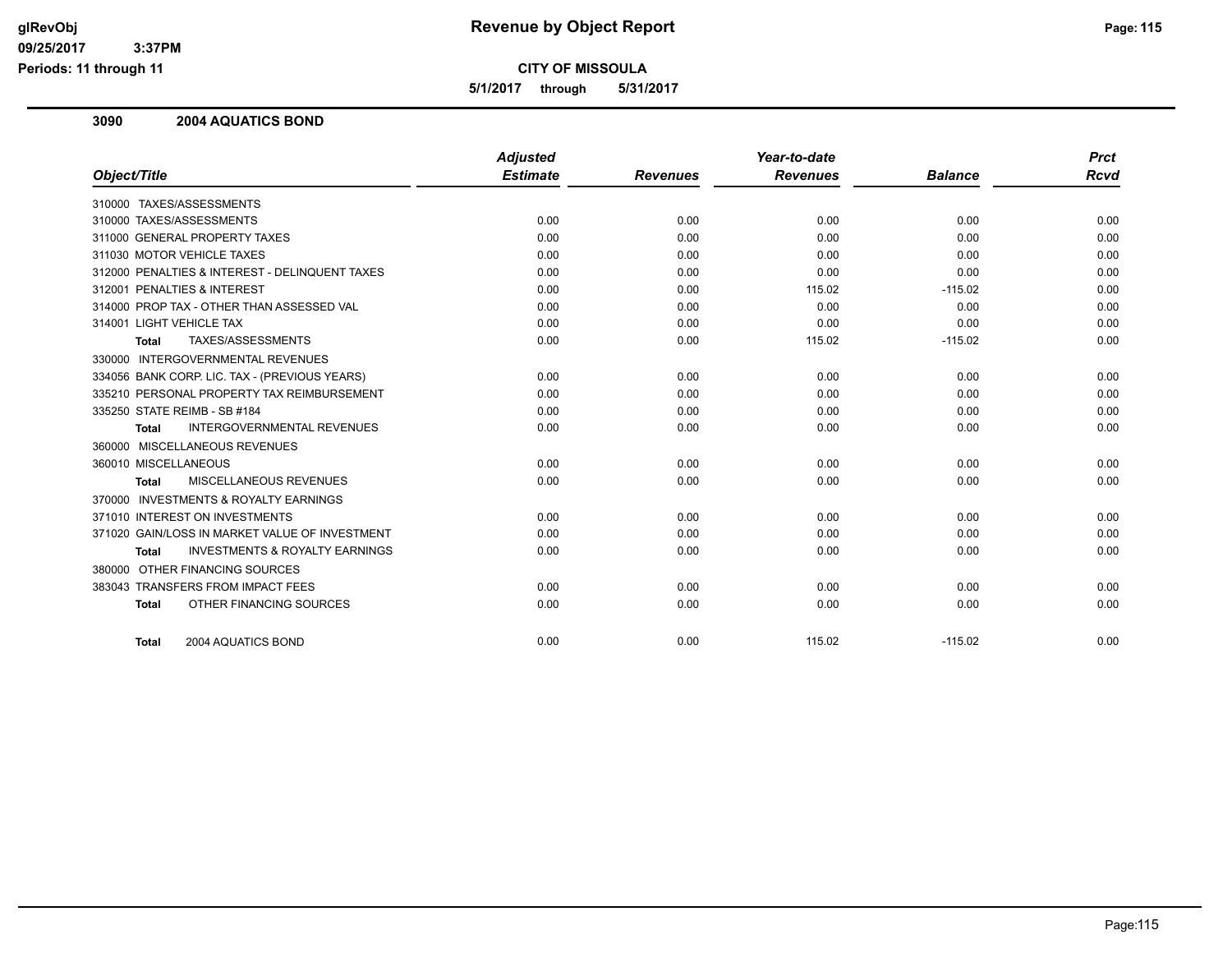**Periods: 11 through 11**

**CITY OF MISSOULA**

**5/1/2017 through 5/31/2017**

# **3090 2004 AQUATICS BOND**

|                                                           | <b>Adjusted</b> |                 | Year-to-date    |                | <b>Prct</b> |
|-----------------------------------------------------------|-----------------|-----------------|-----------------|----------------|-------------|
| Object/Title                                              | <b>Estimate</b> | <b>Revenues</b> | <b>Revenues</b> | <b>Balance</b> | <b>Rcvd</b> |
| 310000 TAXES/ASSESSMENTS                                  |                 |                 |                 |                |             |
| 310000 TAXES/ASSESSMENTS                                  | 0.00            | 0.00            | 0.00            | 0.00           | 0.00        |
| 311000 GENERAL PROPERTY TAXES                             | 0.00            | 0.00            | 0.00            | 0.00           | 0.00        |
| 311030 MOTOR VEHICLE TAXES                                | 0.00            | 0.00            | 0.00            | 0.00           | 0.00        |
| 312000 PENALTIES & INTEREST - DELINQUENT TAXES            | 0.00            | 0.00            | 0.00            | 0.00           | 0.00        |
| 312001 PENALTIES & INTEREST                               | 0.00            | 0.00            | 115.02          | $-115.02$      | 0.00        |
| 314000 PROP TAX - OTHER THAN ASSESSED VAL                 | 0.00            | 0.00            | 0.00            | 0.00           | 0.00        |
| 314001 LIGHT VEHICLE TAX                                  | 0.00            | 0.00            | 0.00            | 0.00           | 0.00        |
| TAXES/ASSESSMENTS<br>Total                                | 0.00            | 0.00            | 115.02          | $-115.02$      | 0.00        |
| 330000 INTERGOVERNMENTAL REVENUES                         |                 |                 |                 |                |             |
| 334056 BANK CORP. LIC. TAX - (PREVIOUS YEARS)             | 0.00            | 0.00            | 0.00            | 0.00           | 0.00        |
| 335210 PERSONAL PROPERTY TAX REIMBURSEMENT                | 0.00            | 0.00            | 0.00            | 0.00           | 0.00        |
| 335250 STATE REIMB - SB #184                              | 0.00            | 0.00            | 0.00            | 0.00           | 0.00        |
| <b>INTERGOVERNMENTAL REVENUES</b><br><b>Total</b>         | 0.00            | 0.00            | 0.00            | 0.00           | 0.00        |
| 360000 MISCELLANEOUS REVENUES                             |                 |                 |                 |                |             |
| 360010 MISCELLANEOUS                                      | 0.00            | 0.00            | 0.00            | 0.00           | 0.00        |
| MISCELLANEOUS REVENUES<br>Total                           | 0.00            | 0.00            | 0.00            | 0.00           | 0.00        |
| 370000 INVESTMENTS & ROYALTY EARNINGS                     |                 |                 |                 |                |             |
| 371010 INTEREST ON INVESTMENTS                            | 0.00            | 0.00            | 0.00            | 0.00           | 0.00        |
| 371020 GAIN/LOSS IN MARKET VALUE OF INVESTMENT            | 0.00            | 0.00            | 0.00            | 0.00           | 0.00        |
| <b>INVESTMENTS &amp; ROYALTY EARNINGS</b><br><b>Total</b> | 0.00            | 0.00            | 0.00            | 0.00           | 0.00        |
| 380000 OTHER FINANCING SOURCES                            |                 |                 |                 |                |             |
| 383043 TRANSFERS FROM IMPACT FEES                         | 0.00            | 0.00            | 0.00            | 0.00           | 0.00        |
| OTHER FINANCING SOURCES<br><b>Total</b>                   | 0.00            | 0.00            | 0.00            | 0.00           | 0.00        |
| 2004 AQUATICS BOND<br><b>Total</b>                        | 0.00            | 0.00            | 115.02          | $-115.02$      | 0.00        |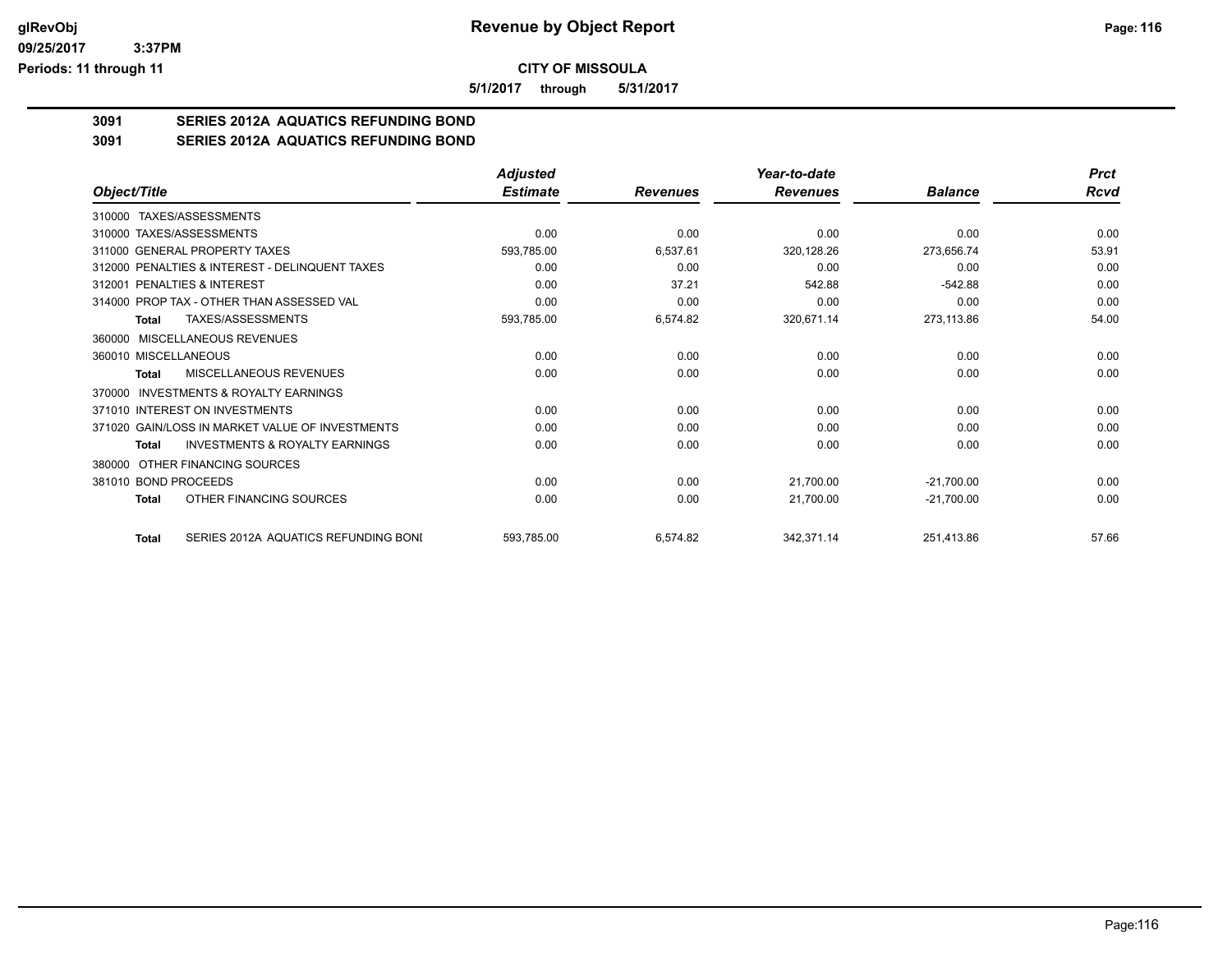**5/1/2017 through 5/31/2017**

# **3091 SERIES 2012A AQUATICS REFUNDING BOND**

# **3091 SERIES 2012A AQUATICS REFUNDING BOND**

|                                                           | <b>Adjusted</b> |                 | Year-to-date    |                | <b>Prct</b> |
|-----------------------------------------------------------|-----------------|-----------------|-----------------|----------------|-------------|
| Object/Title                                              | <b>Estimate</b> | <b>Revenues</b> | <b>Revenues</b> | <b>Balance</b> | Rcvd        |
| 310000 TAXES/ASSESSMENTS                                  |                 |                 |                 |                |             |
| 310000 TAXES/ASSESSMENTS                                  | 0.00            | 0.00            | 0.00            | 0.00           | 0.00        |
| 311000 GENERAL PROPERTY TAXES                             | 593,785.00      | 6,537.61        | 320,128.26      | 273,656.74     | 53.91       |
| 312000 PENALTIES & INTEREST - DELINQUENT TAXES            | 0.00            | 0.00            | 0.00            | 0.00           | 0.00        |
| 312001 PENALTIES & INTEREST                               | 0.00            | 37.21           | 542.88          | $-542.88$      | 0.00        |
| 314000 PROP TAX - OTHER THAN ASSESSED VAL                 | 0.00            | 0.00            | 0.00            | 0.00           | 0.00        |
| TAXES/ASSESSMENTS<br>Total                                | 593,785.00      | 6,574.82        | 320,671.14      | 273,113.86     | 54.00       |
| 360000 MISCELLANEOUS REVENUES                             |                 |                 |                 |                |             |
| 360010 MISCELLANEOUS                                      | 0.00            | 0.00            | 0.00            | 0.00           | 0.00        |
| <b>MISCELLANEOUS REVENUES</b><br>Total                    | 0.00            | 0.00            | 0.00            | 0.00           | 0.00        |
| <b>INVESTMENTS &amp; ROYALTY EARNINGS</b><br>370000       |                 |                 |                 |                |             |
| 371010 INTEREST ON INVESTMENTS                            | 0.00            | 0.00            | 0.00            | 0.00           | 0.00        |
| 371020 GAIN/LOSS IN MARKET VALUE OF INVESTMENTS           | 0.00            | 0.00            | 0.00            | 0.00           | 0.00        |
| <b>INVESTMENTS &amp; ROYALTY EARNINGS</b><br><b>Total</b> | 0.00            | 0.00            | 0.00            | 0.00           | 0.00        |
| OTHER FINANCING SOURCES<br>380000                         |                 |                 |                 |                |             |
| 381010 BOND PROCEEDS                                      | 0.00            | 0.00            | 21,700.00       | $-21,700.00$   | 0.00        |
| OTHER FINANCING SOURCES<br>Total                          | 0.00            | 0.00            | 21,700.00       | $-21,700.00$   | 0.00        |
| SERIES 2012A AQUATICS REFUNDING BONI<br>Total             | 593,785.00      | 6,574.82        | 342,371.14      | 251,413.86     | 57.66       |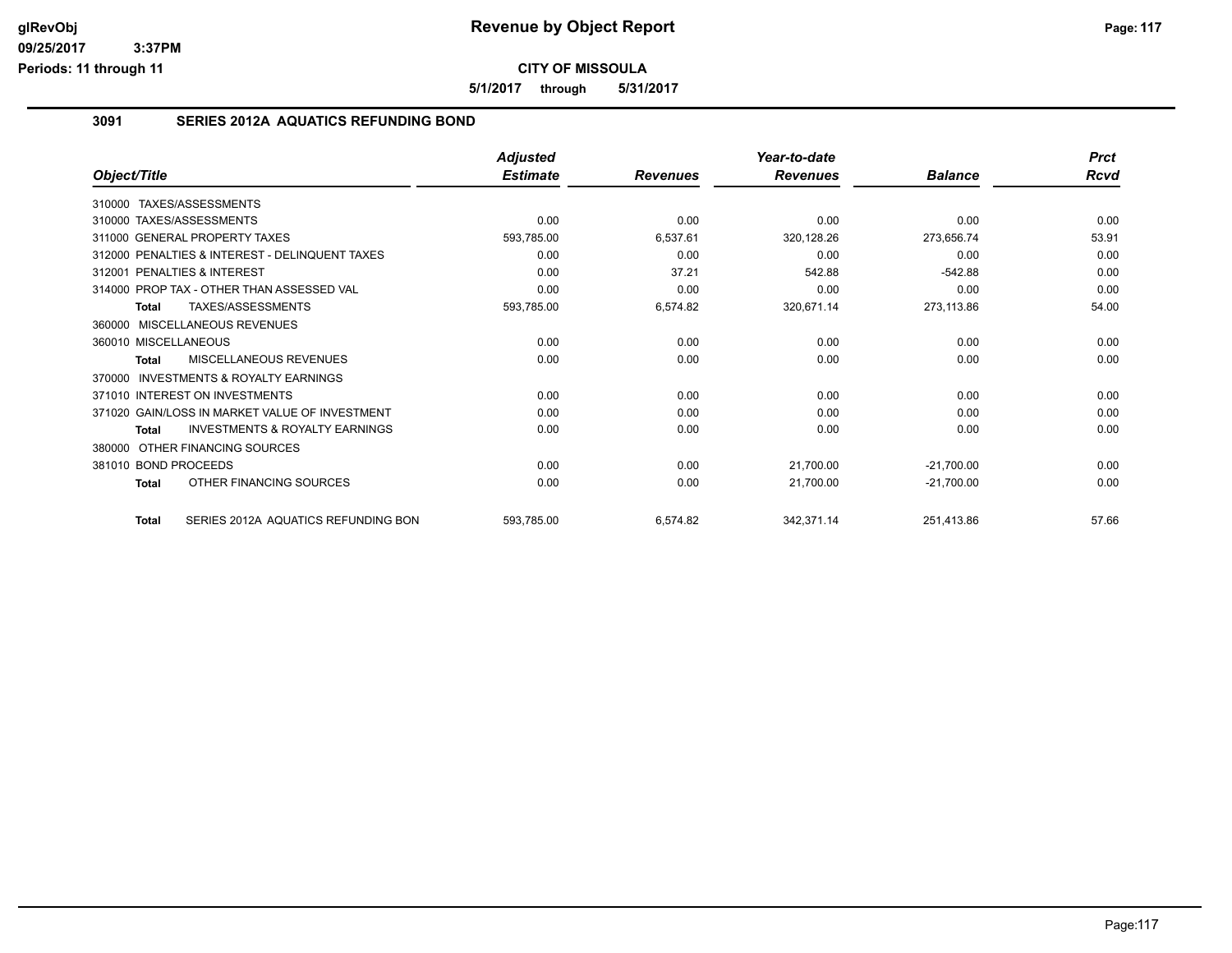**5/1/2017 through 5/31/2017**

# **3091 SERIES 2012A AQUATICS REFUNDING BOND**

|                                                           | <b>Adjusted</b> |                 | Year-to-date    |                | <b>Prct</b> |
|-----------------------------------------------------------|-----------------|-----------------|-----------------|----------------|-------------|
| Object/Title                                              | <b>Estimate</b> | <b>Revenues</b> | <b>Revenues</b> | <b>Balance</b> | <b>Rcvd</b> |
| 310000 TAXES/ASSESSMENTS                                  |                 |                 |                 |                |             |
| 310000 TAXES/ASSESSMENTS                                  | 0.00            | 0.00            | 0.00            | 0.00           | 0.00        |
| 311000 GENERAL PROPERTY TAXES                             | 593,785.00      | 6,537.61        | 320,128.26      | 273,656.74     | 53.91       |
| 312000 PENALTIES & INTEREST - DELINQUENT TAXES            | 0.00            | 0.00            | 0.00            | 0.00           | 0.00        |
| PENALTIES & INTEREST<br>312001                            | 0.00            | 37.21           | 542.88          | $-542.88$      | 0.00        |
| 314000 PROP TAX - OTHER THAN ASSESSED VAL                 | 0.00            | 0.00            | 0.00            | 0.00           | 0.00        |
| TAXES/ASSESSMENTS<br>Total                                | 593,785.00      | 6,574.82        | 320,671.14      | 273,113.86     | 54.00       |
| 360000 MISCELLANEOUS REVENUES                             |                 |                 |                 |                |             |
| 360010 MISCELLANEOUS                                      | 0.00            | 0.00            | 0.00            | 0.00           | 0.00        |
| MISCELLANEOUS REVENUES<br>Total                           | 0.00            | 0.00            | 0.00            | 0.00           | 0.00        |
| <b>INVESTMENTS &amp; ROYALTY EARNINGS</b><br>370000       |                 |                 |                 |                |             |
| 371010 INTEREST ON INVESTMENTS                            | 0.00            | 0.00            | 0.00            | 0.00           | 0.00        |
| 371020 GAIN/LOSS IN MARKET VALUE OF INVESTMENT            | 0.00            | 0.00            | 0.00            | 0.00           | 0.00        |
| <b>INVESTMENTS &amp; ROYALTY EARNINGS</b><br><b>Total</b> | 0.00            | 0.00            | 0.00            | 0.00           | 0.00        |
| OTHER FINANCING SOURCES<br>380000                         |                 |                 |                 |                |             |
| 381010 BOND PROCEEDS                                      | 0.00            | 0.00            | 21,700.00       | $-21,700.00$   | 0.00        |
| OTHER FINANCING SOURCES<br><b>Total</b>                   | 0.00            | 0.00            | 21,700.00       | $-21,700.00$   | 0.00        |
| SERIES 2012A AQUATICS REFUNDING BON<br><b>Total</b>       | 593,785.00      | 6,574.82        | 342,371.14      | 251,413.86     | 57.66       |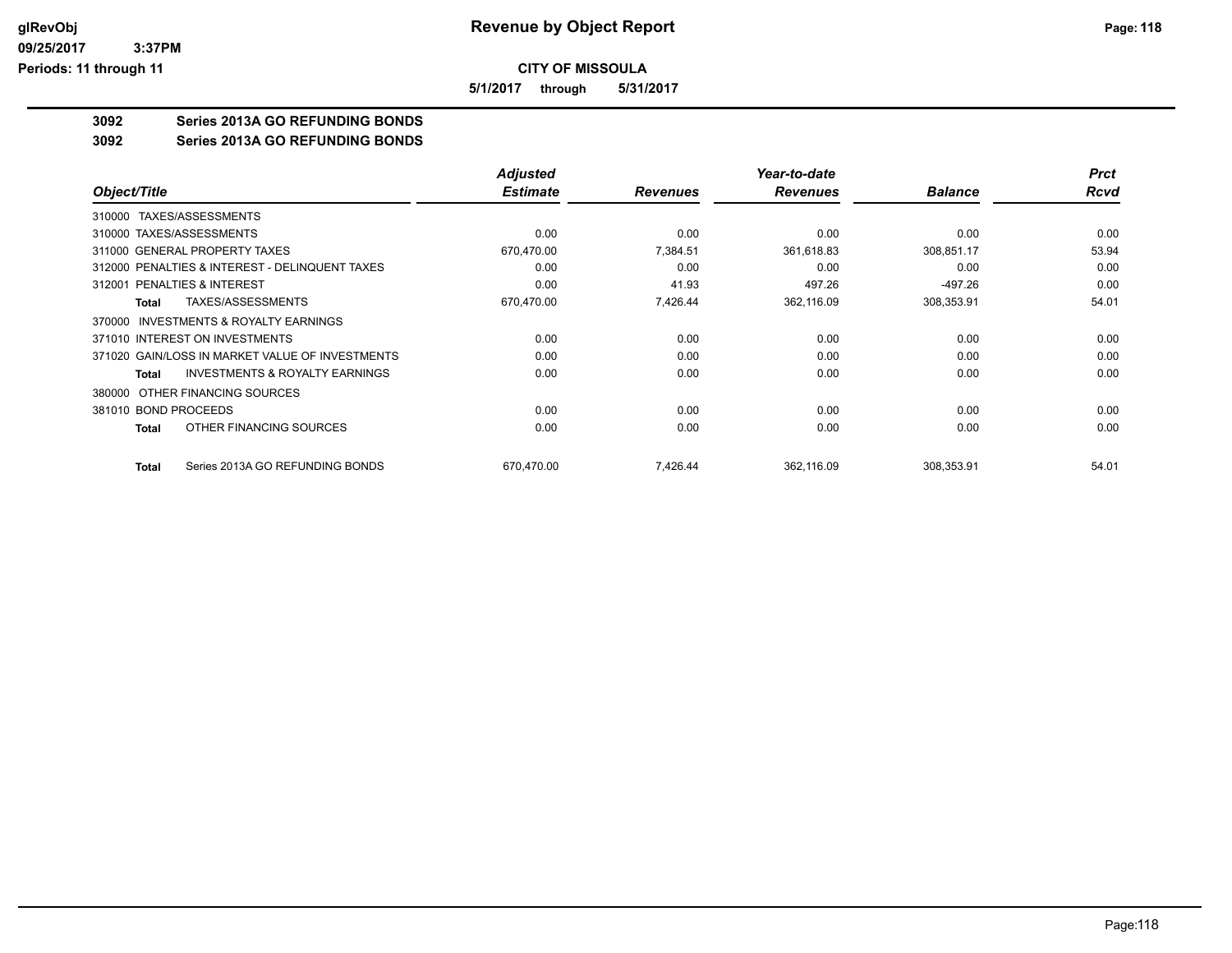**5/1/2017 through 5/31/2017**

# **3092 Series 2013A GO REFUNDING BONDS**

# **3092 Series 2013A GO REFUNDING BONDS**

|                                                     | <b>Adjusted</b> |                 | Year-to-date    |                | <b>Prct</b> |
|-----------------------------------------------------|-----------------|-----------------|-----------------|----------------|-------------|
| Object/Title                                        | <b>Estimate</b> | <b>Revenues</b> | <b>Revenues</b> | <b>Balance</b> | <b>Rcvd</b> |
| TAXES/ASSESSMENTS<br>310000                         |                 |                 |                 |                |             |
| 310000 TAXES/ASSESSMENTS                            | 0.00            | 0.00            | 0.00            | 0.00           | 0.00        |
| 311000 GENERAL PROPERTY TAXES                       | 670,470.00      | 7,384.51        | 361,618.83      | 308,851.17     | 53.94       |
| 312000 PENALTIES & INTEREST - DELINQUENT TAXES      | 0.00            | 0.00            | 0.00            | 0.00           | 0.00        |
| 312001 PENALTIES & INTEREST                         | 0.00            | 41.93           | 497.26          | $-497.26$      | 0.00        |
| <b>TAXES/ASSESSMENTS</b><br>Total                   | 670,470.00      | 7,426.44        | 362,116.09      | 308,353.91     | 54.01       |
| <b>INVESTMENTS &amp; ROYALTY EARNINGS</b><br>370000 |                 |                 |                 |                |             |
| 371010 INTEREST ON INVESTMENTS                      | 0.00            | 0.00            | 0.00            | 0.00           | 0.00        |
| 371020 GAIN/LOSS IN MARKET VALUE OF INVESTMENTS     | 0.00            | 0.00            | 0.00            | 0.00           | 0.00        |
| <b>INVESTMENTS &amp; ROYALTY EARNINGS</b><br>Total  | 0.00            | 0.00            | 0.00            | 0.00           | 0.00        |
| OTHER FINANCING SOURCES<br>380000                   |                 |                 |                 |                |             |
| 381010 BOND PROCEEDS                                | 0.00            | 0.00            | 0.00            | 0.00           | 0.00        |
| OTHER FINANCING SOURCES<br>Total                    | 0.00            | 0.00            | 0.00            | 0.00           | 0.00        |
| Series 2013A GO REFUNDING BONDS<br>Total            | 670,470.00      | 7,426.44        | 362,116.09      | 308,353.91     | 54.01       |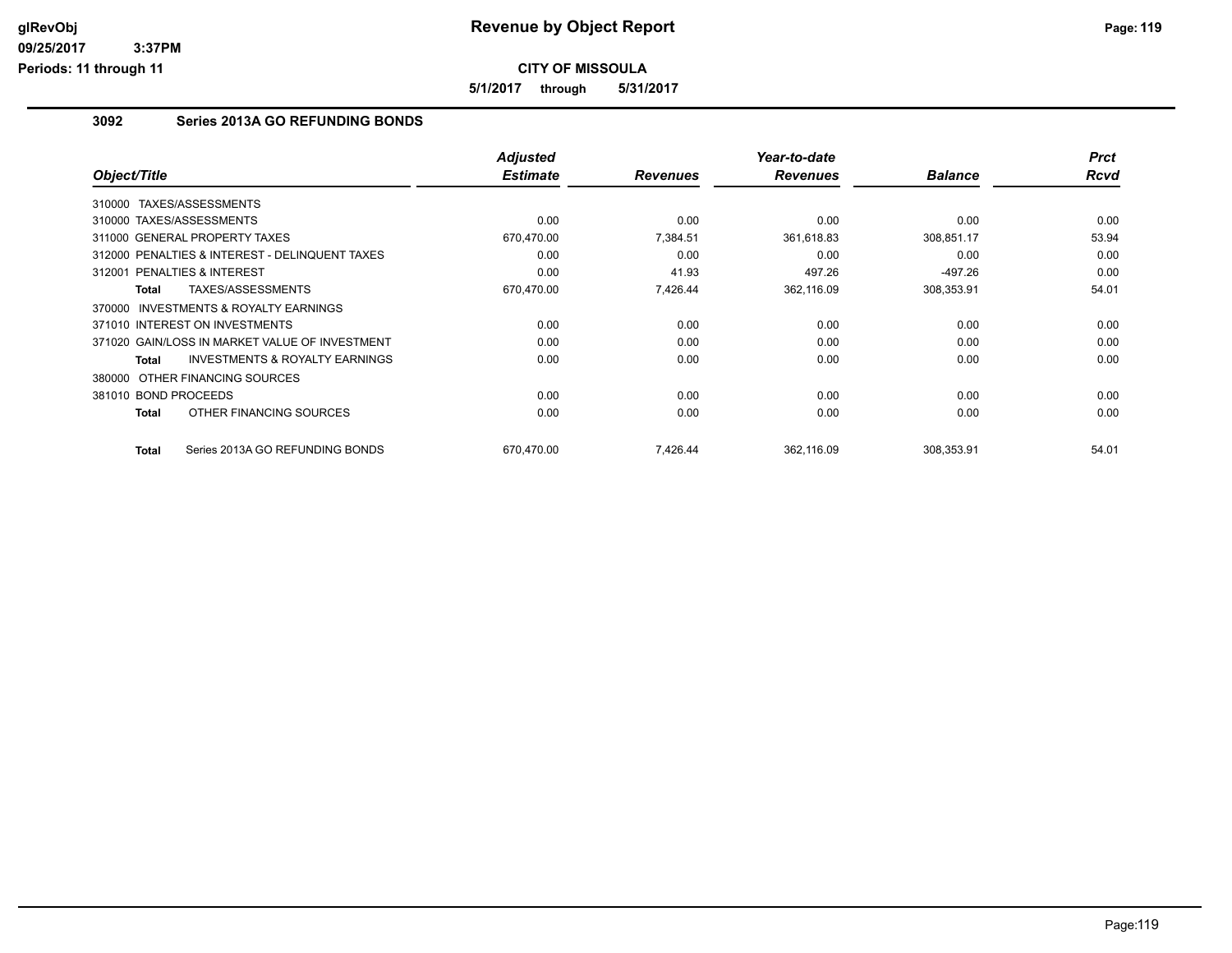**5/1/2017 through 5/31/2017**

# **3092 Series 2013A GO REFUNDING BONDS**

|                                                           | <b>Adjusted</b> |                 | Year-to-date    |                | <b>Prct</b> |
|-----------------------------------------------------------|-----------------|-----------------|-----------------|----------------|-------------|
| Object/Title                                              | <b>Estimate</b> | <b>Revenues</b> | <b>Revenues</b> | <b>Balance</b> | <b>Rcvd</b> |
| 310000 TAXES/ASSESSMENTS                                  |                 |                 |                 |                |             |
| 310000 TAXES/ASSESSMENTS                                  | 0.00            | 0.00            | 0.00            | 0.00           | 0.00        |
| 311000 GENERAL PROPERTY TAXES                             | 670,470.00      | 7,384.51        | 361,618.83      | 308,851.17     | 53.94       |
| 312000 PENALTIES & INTEREST - DELINQUENT TAXES            | 0.00            | 0.00            | 0.00            | 0.00           | 0.00        |
| 312001 PENALTIES & INTEREST                               | 0.00            | 41.93           | 497.26          | $-497.26$      | 0.00        |
| TAXES/ASSESSMENTS<br><b>Total</b>                         | 670,470.00      | 7,426.44        | 362,116.09      | 308,353.91     | 54.01       |
| <b>INVESTMENTS &amp; ROYALTY EARNINGS</b><br>370000       |                 |                 |                 |                |             |
| 371010 INTEREST ON INVESTMENTS                            | 0.00            | 0.00            | 0.00            | 0.00           | 0.00        |
| 371020 GAIN/LOSS IN MARKET VALUE OF INVESTMENT            | 0.00            | 0.00            | 0.00            | 0.00           | 0.00        |
| <b>INVESTMENTS &amp; ROYALTY EARNINGS</b><br><b>Total</b> | 0.00            | 0.00            | 0.00            | 0.00           | 0.00        |
| 380000 OTHER FINANCING SOURCES                            |                 |                 |                 |                |             |
| 381010 BOND PROCEEDS                                      | 0.00            | 0.00            | 0.00            | 0.00           | 0.00        |
| OTHER FINANCING SOURCES<br><b>Total</b>                   | 0.00            | 0.00            | 0.00            | 0.00           | 0.00        |
| Series 2013A GO REFUNDING BONDS<br><b>Total</b>           | 670,470.00      | 7,426.44        | 362,116.09      | 308,353.91     | 54.01       |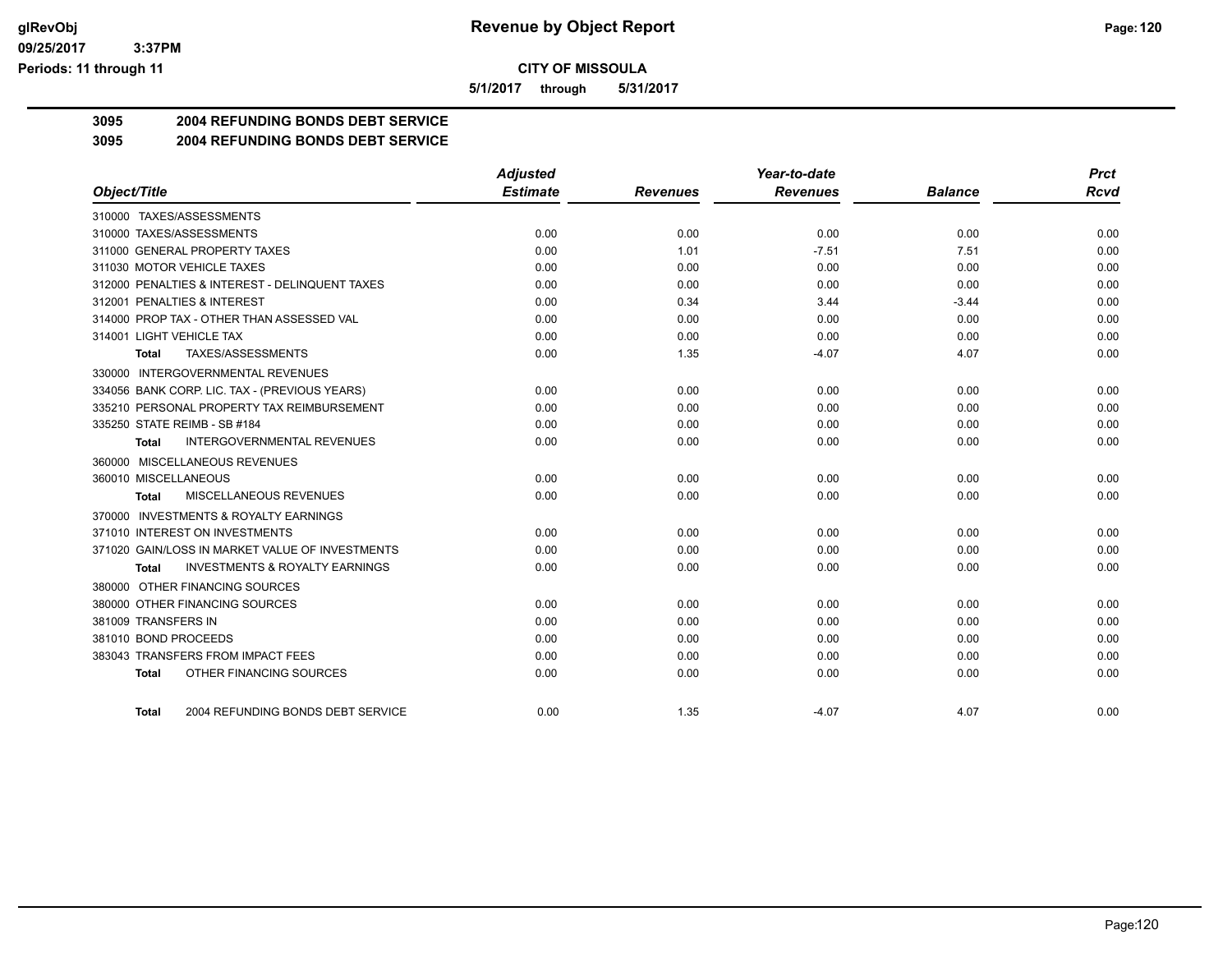**5/1/2017 through 5/31/2017**

# **3095 2004 REFUNDING BONDS DEBT SERVICE**

# **3095 2004 REFUNDING BONDS DEBT SERVICE**

|                                                           | <b>Adjusted</b> |                 | Year-to-date    |                | <b>Prct</b> |
|-----------------------------------------------------------|-----------------|-----------------|-----------------|----------------|-------------|
| Object/Title                                              | <b>Estimate</b> | <b>Revenues</b> | <b>Revenues</b> | <b>Balance</b> | <b>Rcvd</b> |
| 310000 TAXES/ASSESSMENTS                                  |                 |                 |                 |                |             |
| 310000 TAXES/ASSESSMENTS                                  | 0.00            | 0.00            | 0.00            | 0.00           | 0.00        |
| 311000 GENERAL PROPERTY TAXES                             | 0.00            | 1.01            | $-7.51$         | 7.51           | 0.00        |
| 311030 MOTOR VEHICLE TAXES                                | 0.00            | 0.00            | 0.00            | 0.00           | 0.00        |
| 312000 PENALTIES & INTEREST - DELINQUENT TAXES            | 0.00            | 0.00            | 0.00            | 0.00           | 0.00        |
| 312001 PENALTIES & INTEREST                               | 0.00            | 0.34            | 3.44            | $-3.44$        | 0.00        |
| 314000 PROP TAX - OTHER THAN ASSESSED VAL                 | 0.00            | 0.00            | 0.00            | 0.00           | 0.00        |
| 314001 LIGHT VEHICLE TAX                                  | 0.00            | 0.00            | 0.00            | 0.00           | 0.00        |
| TAXES/ASSESSMENTS<br>Total                                | 0.00            | 1.35            | $-4.07$         | 4.07           | 0.00        |
| 330000 INTERGOVERNMENTAL REVENUES                         |                 |                 |                 |                |             |
| 334056 BANK CORP. LIC. TAX - (PREVIOUS YEARS)             | 0.00            | 0.00            | 0.00            | 0.00           | 0.00        |
| 335210 PERSONAL PROPERTY TAX REIMBURSEMENT                | 0.00            | 0.00            | 0.00            | 0.00           | 0.00        |
| 335250 STATE REIMB - SB #184                              | 0.00            | 0.00            | 0.00            | 0.00           | 0.00        |
| <b>INTERGOVERNMENTAL REVENUES</b><br><b>Total</b>         | 0.00            | 0.00            | 0.00            | 0.00           | 0.00        |
| 360000 MISCELLANEOUS REVENUES                             |                 |                 |                 |                |             |
| 360010 MISCELLANEOUS                                      | 0.00            | 0.00            | 0.00            | 0.00           | 0.00        |
| <b>MISCELLANEOUS REVENUES</b><br><b>Total</b>             | 0.00            | 0.00            | 0.00            | 0.00           | 0.00        |
| 370000 INVESTMENTS & ROYALTY EARNINGS                     |                 |                 |                 |                |             |
| 371010 INTEREST ON INVESTMENTS                            | 0.00            | 0.00            | 0.00            | 0.00           | 0.00        |
| 371020 GAIN/LOSS IN MARKET VALUE OF INVESTMENTS           | 0.00            | 0.00            | 0.00            | 0.00           | 0.00        |
| <b>INVESTMENTS &amp; ROYALTY EARNINGS</b><br><b>Total</b> | 0.00            | 0.00            | 0.00            | 0.00           | 0.00        |
| 380000 OTHER FINANCING SOURCES                            |                 |                 |                 |                |             |
| 380000 OTHER FINANCING SOURCES                            | 0.00            | 0.00            | 0.00            | 0.00           | 0.00        |
| 381009 TRANSFERS IN                                       | 0.00            | 0.00            | 0.00            | 0.00           | 0.00        |
| 381010 BOND PROCEEDS                                      | 0.00            | 0.00            | 0.00            | 0.00           | 0.00        |
| 383043 TRANSFERS FROM IMPACT FEES                         | 0.00            | 0.00            | 0.00            | 0.00           | 0.00        |
| OTHER FINANCING SOURCES<br><b>Total</b>                   | 0.00            | 0.00            | 0.00            | 0.00           | 0.00        |
| 2004 REFUNDING BONDS DEBT SERVICE<br>Total                | 0.00            | 1.35            | $-4.07$         | 4.07           | 0.00        |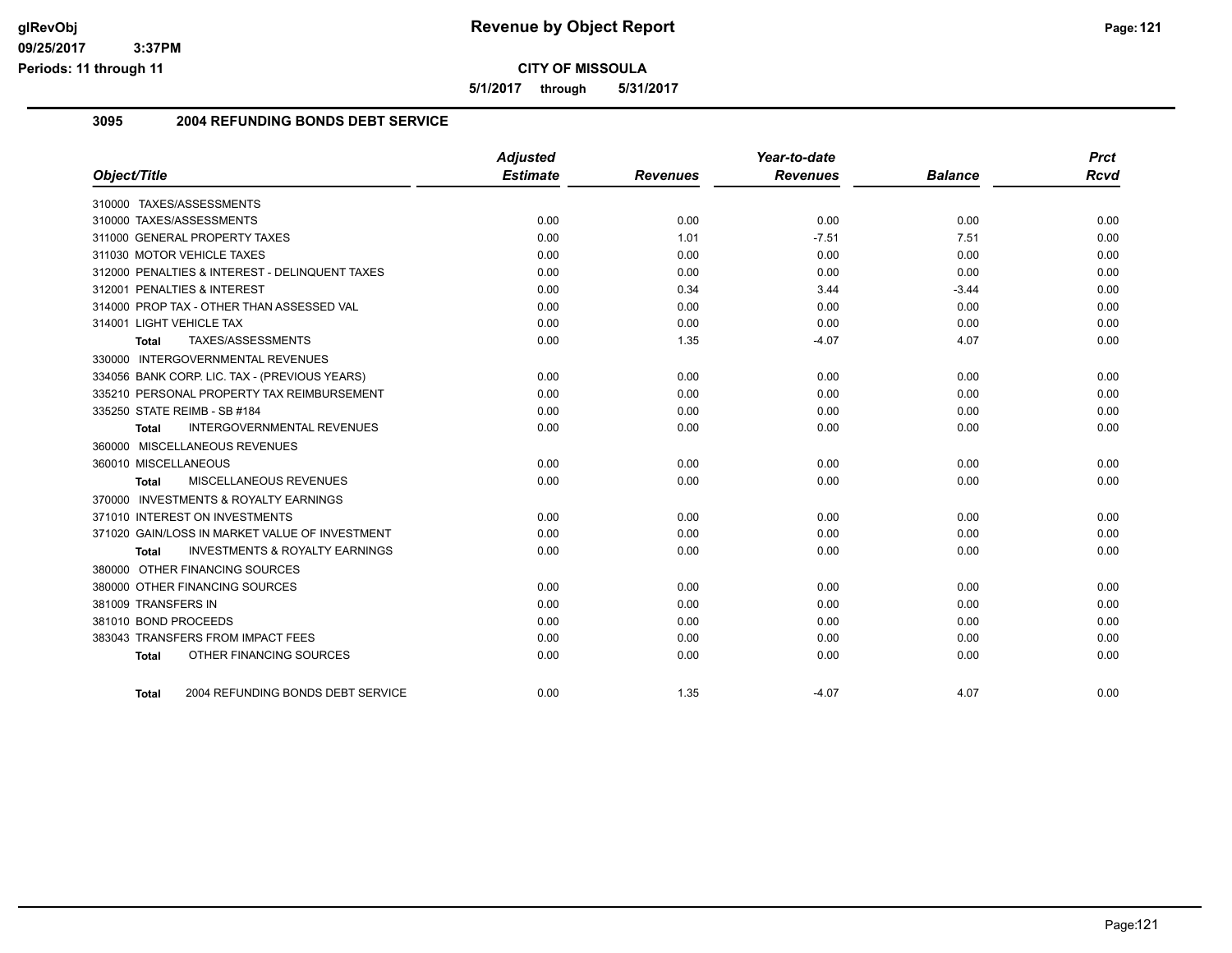**5/1/2017 through 5/31/2017**

# **3095 2004 REFUNDING BONDS DEBT SERVICE**

|                                                    | <b>Adjusted</b> |                 | Year-to-date    |                | <b>Prct</b> |
|----------------------------------------------------|-----------------|-----------------|-----------------|----------------|-------------|
| Object/Title                                       | <b>Estimate</b> | <b>Revenues</b> | <b>Revenues</b> | <b>Balance</b> | <b>Rcvd</b> |
| 310000 TAXES/ASSESSMENTS                           |                 |                 |                 |                |             |
| 310000 TAXES/ASSESSMENTS                           | 0.00            | 0.00            | 0.00            | 0.00           | 0.00        |
| 311000 GENERAL PROPERTY TAXES                      | 0.00            | 1.01            | $-7.51$         | 7.51           | 0.00        |
| 311030 MOTOR VEHICLE TAXES                         | 0.00            | 0.00            | 0.00            | 0.00           | 0.00        |
| 312000 PENALTIES & INTEREST - DELINQUENT TAXES     | 0.00            | 0.00            | 0.00            | 0.00           | 0.00        |
| 312001 PENALTIES & INTEREST                        | 0.00            | 0.34            | 3.44            | $-3.44$        | 0.00        |
| 314000 PROP TAX - OTHER THAN ASSESSED VAL          | 0.00            | 0.00            | 0.00            | 0.00           | 0.00        |
| 314001 LIGHT VEHICLE TAX                           | 0.00            | 0.00            | 0.00            | 0.00           | 0.00        |
| TAXES/ASSESSMENTS<br><b>Total</b>                  | 0.00            | 1.35            | $-4.07$         | 4.07           | 0.00        |
| 330000 INTERGOVERNMENTAL REVENUES                  |                 |                 |                 |                |             |
| 334056 BANK CORP. LIC. TAX - (PREVIOUS YEARS)      | 0.00            | 0.00            | 0.00            | 0.00           | 0.00        |
| 335210 PERSONAL PROPERTY TAX REIMBURSEMENT         | 0.00            | 0.00            | 0.00            | 0.00           | 0.00        |
| 335250 STATE REIMB - SB #184                       | 0.00            | 0.00            | 0.00            | 0.00           | 0.00        |
| <b>INTERGOVERNMENTAL REVENUES</b><br><b>Total</b>  | 0.00            | 0.00            | 0.00            | 0.00           | 0.00        |
| 360000 MISCELLANEOUS REVENUES                      |                 |                 |                 |                |             |
| 360010 MISCELLANEOUS                               | 0.00            | 0.00            | 0.00            | 0.00           | 0.00        |
| <b>MISCELLANEOUS REVENUES</b><br><b>Total</b>      | 0.00            | 0.00            | 0.00            | 0.00           | 0.00        |
| 370000 INVESTMENTS & ROYALTY EARNINGS              |                 |                 |                 |                |             |
| 371010 INTEREST ON INVESTMENTS                     | 0.00            | 0.00            | 0.00            | 0.00           | 0.00        |
| 371020 GAIN/LOSS IN MARKET VALUE OF INVESTMENT     | 0.00            | 0.00            | 0.00            | 0.00           | 0.00        |
| <b>INVESTMENTS &amp; ROYALTY EARNINGS</b><br>Total | 0.00            | 0.00            | 0.00            | 0.00           | 0.00        |
| 380000 OTHER FINANCING SOURCES                     |                 |                 |                 |                |             |
| 380000 OTHER FINANCING SOURCES                     | 0.00            | 0.00            | 0.00            | 0.00           | 0.00        |
| 381009 TRANSFERS IN                                | 0.00            | 0.00            | 0.00            | 0.00           | 0.00        |
| 381010 BOND PROCEEDS                               | 0.00            | 0.00            | 0.00            | 0.00           | 0.00        |
| 383043 TRANSFERS FROM IMPACT FEES                  | 0.00            | 0.00            | 0.00            | 0.00           | 0.00        |
| OTHER FINANCING SOURCES<br><b>Total</b>            | 0.00            | 0.00            | 0.00            | 0.00           | 0.00        |
| 2004 REFUNDING BONDS DEBT SERVICE<br><b>Total</b>  | 0.00            | 1.35            | $-4.07$         | 4.07           | 0.00        |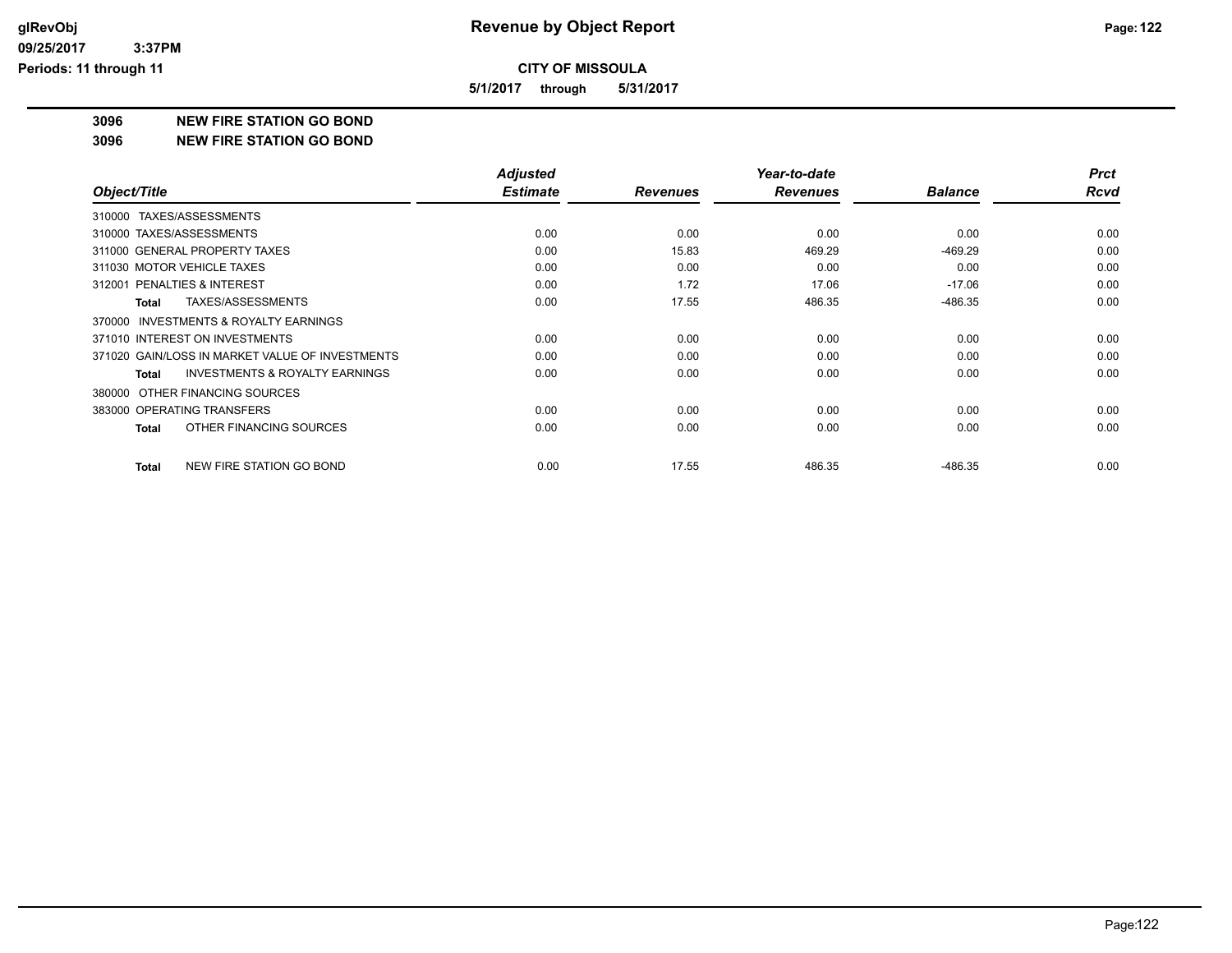**5/1/2017 through 5/31/2017**

**3096 NEW FIRE STATION GO BOND**

**3096 NEW FIRE STATION GO BOND**

|                                                    | <b>Adjusted</b> |                 | Year-to-date    |                | <b>Prct</b> |
|----------------------------------------------------|-----------------|-----------------|-----------------|----------------|-------------|
| Object/Title                                       | <b>Estimate</b> | <b>Revenues</b> | <b>Revenues</b> | <b>Balance</b> | <b>Rcvd</b> |
| 310000 TAXES/ASSESSMENTS                           |                 |                 |                 |                |             |
| 310000 TAXES/ASSESSMENTS                           | 0.00            | 0.00            | 0.00            | 0.00           | 0.00        |
| 311000 GENERAL PROPERTY TAXES                      | 0.00            | 15.83           | 469.29          | $-469.29$      | 0.00        |
| 311030 MOTOR VEHICLE TAXES                         | 0.00            | 0.00            | 0.00            | 0.00           | 0.00        |
| PENALTIES & INTEREST<br>312001                     | 0.00            | 1.72            | 17.06           | $-17.06$       | 0.00        |
| TAXES/ASSESSMENTS<br>Total                         | 0.00            | 17.55           | 486.35          | $-486.35$      | 0.00        |
| 370000 INVESTMENTS & ROYALTY EARNINGS              |                 |                 |                 |                |             |
| 371010 INTEREST ON INVESTMENTS                     | 0.00            | 0.00            | 0.00            | 0.00           | 0.00        |
| 371020 GAIN/LOSS IN MARKET VALUE OF INVESTMENTS    | 0.00            | 0.00            | 0.00            | 0.00           | 0.00        |
| <b>INVESTMENTS &amp; ROYALTY EARNINGS</b><br>Total | 0.00            | 0.00            | 0.00            | 0.00           | 0.00        |
| OTHER FINANCING SOURCES<br>380000                  |                 |                 |                 |                |             |
| 383000 OPERATING TRANSFERS                         | 0.00            | 0.00            | 0.00            | 0.00           | 0.00        |
| OTHER FINANCING SOURCES<br>Total                   | 0.00            | 0.00            | 0.00            | 0.00           | 0.00        |
| NEW FIRE STATION GO BOND<br><b>Total</b>           | 0.00            | 17.55           | 486.35          | $-486.35$      | 0.00        |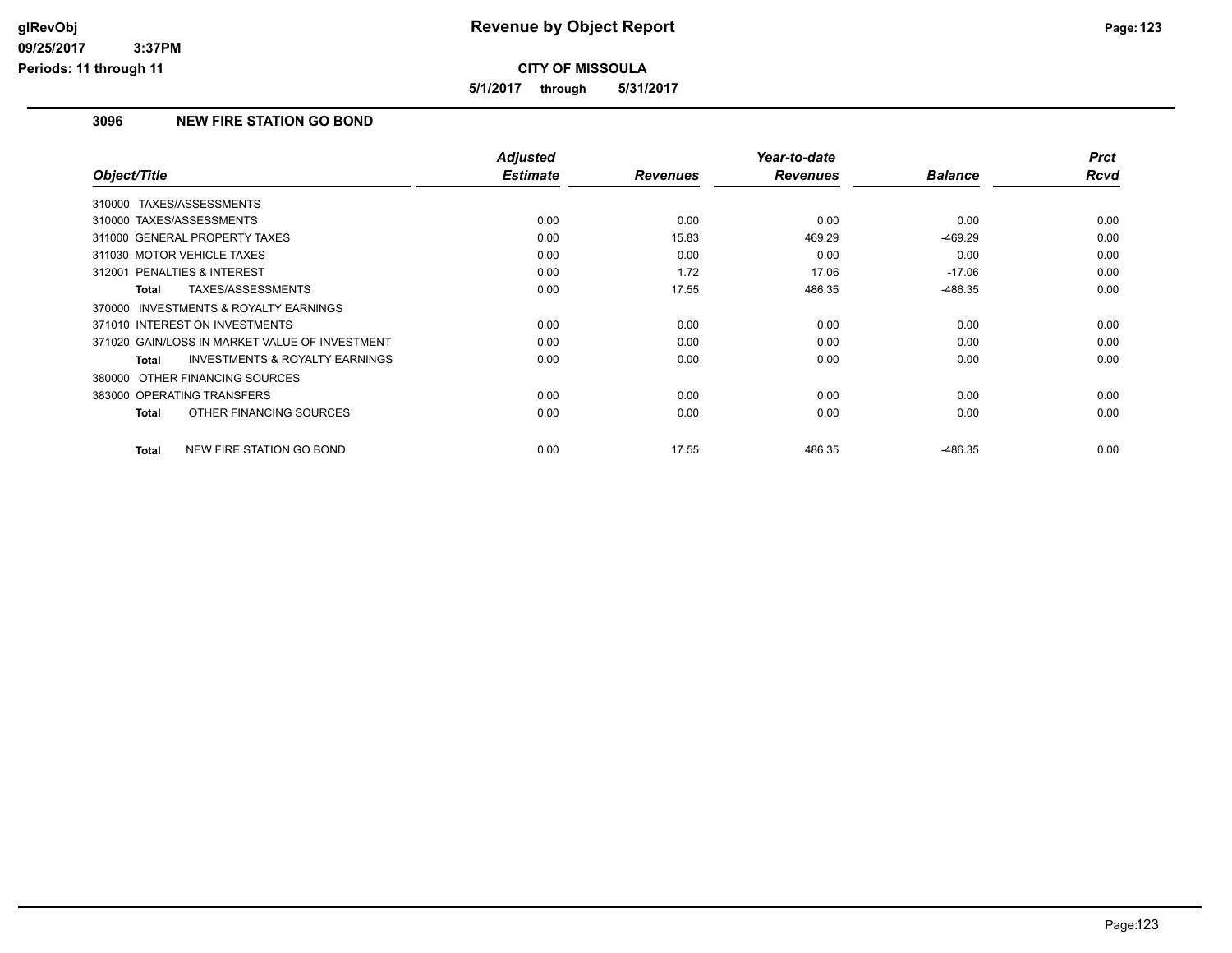**5/1/2017 through 5/31/2017**

# **3096 NEW FIRE STATION GO BOND**

| Object/Title                                              | <b>Adjusted</b><br><b>Estimate</b> | <b>Revenues</b> | Year-to-date<br><b>Revenues</b> | <b>Balance</b> | <b>Prct</b><br>Rcvd |
|-----------------------------------------------------------|------------------------------------|-----------------|---------------------------------|----------------|---------------------|
|                                                           |                                    |                 |                                 |                |                     |
| 310000 TAXES/ASSESSMENTS                                  |                                    |                 |                                 |                |                     |
| 310000 TAXES/ASSESSMENTS                                  | 0.00                               | 0.00            | 0.00                            | 0.00           | 0.00                |
| 311000 GENERAL PROPERTY TAXES                             | 0.00                               | 15.83           | 469.29                          | $-469.29$      | 0.00                |
| 311030 MOTOR VEHICLE TAXES                                | 0.00                               | 0.00            | 0.00                            | 0.00           | 0.00                |
| 312001 PENALTIES & INTEREST                               | 0.00                               | 1.72            | 17.06                           | $-17.06$       | 0.00                |
| TAXES/ASSESSMENTS<br><b>Total</b>                         | 0.00                               | 17.55           | 486.35                          | $-486.35$      | 0.00                |
| <b>INVESTMENTS &amp; ROYALTY EARNINGS</b><br>370000       |                                    |                 |                                 |                |                     |
| 371010 INTEREST ON INVESTMENTS                            | 0.00                               | 0.00            | 0.00                            | 0.00           | 0.00                |
| 371020 GAIN/LOSS IN MARKET VALUE OF INVESTMENT            | 0.00                               | 0.00            | 0.00                            | 0.00           | 0.00                |
| <b>INVESTMENTS &amp; ROYALTY EARNINGS</b><br><b>Total</b> | 0.00                               | 0.00            | 0.00                            | 0.00           | 0.00                |
| 380000 OTHER FINANCING SOURCES                            |                                    |                 |                                 |                |                     |
| 383000 OPERATING TRANSFERS                                | 0.00                               | 0.00            | 0.00                            | 0.00           | 0.00                |
| OTHER FINANCING SOURCES<br><b>Total</b>                   | 0.00                               | 0.00            | 0.00                            | 0.00           | 0.00                |
|                                                           |                                    |                 |                                 |                |                     |
| NEW FIRE STATION GO BOND<br><b>Total</b>                  | 0.00                               | 17.55           | 486.35                          | $-486.35$      | 0.00                |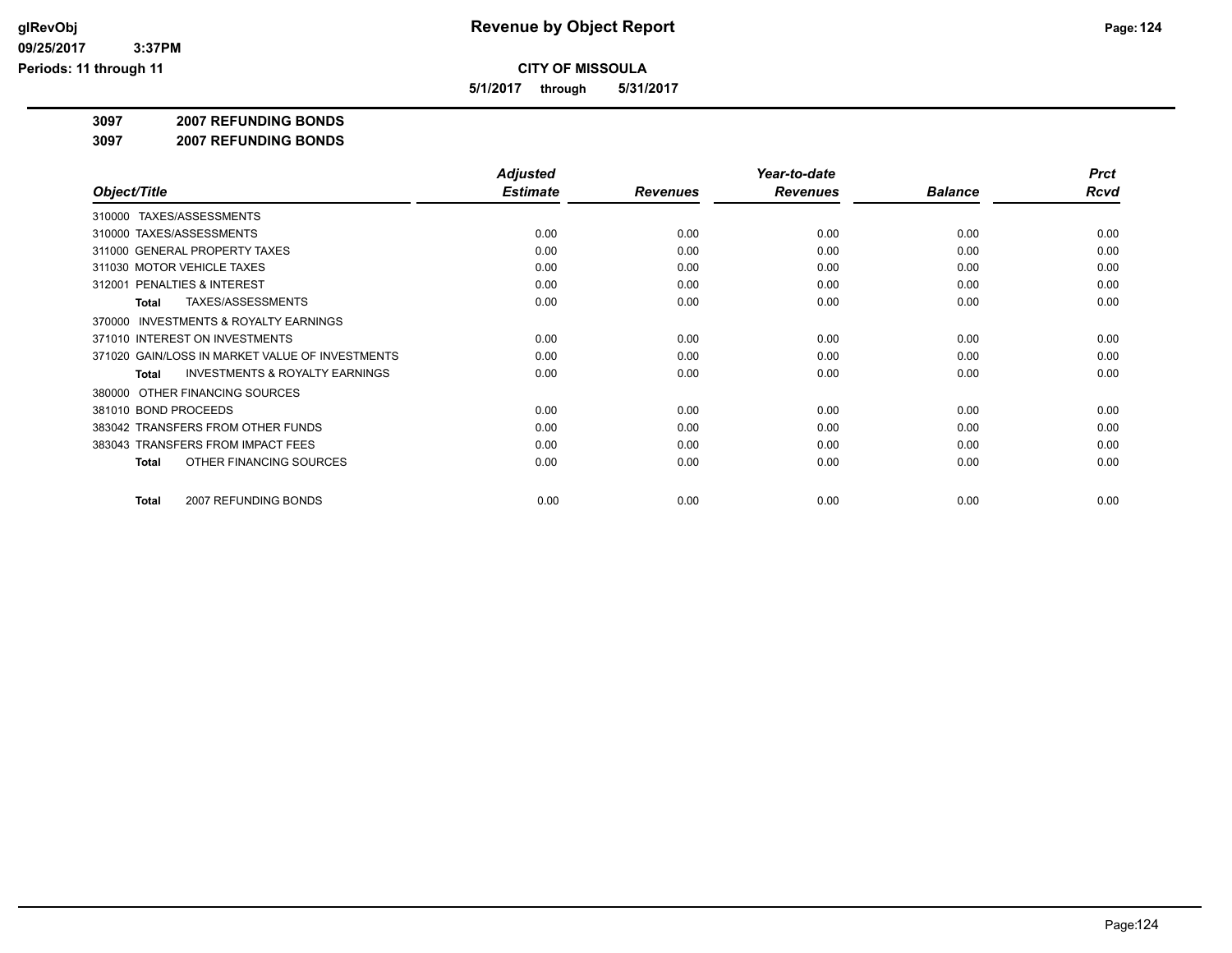**5/1/2017 through 5/31/2017**

**3097 2007 REFUNDING BONDS**

**3097 2007 REFUNDING BONDS**

|                                                     | <b>Adjusted</b> |                 | Year-to-date    |                | <b>Prct</b> |
|-----------------------------------------------------|-----------------|-----------------|-----------------|----------------|-------------|
| Object/Title                                        | <b>Estimate</b> | <b>Revenues</b> | <b>Revenues</b> | <b>Balance</b> | Rcvd        |
| 310000 TAXES/ASSESSMENTS                            |                 |                 |                 |                |             |
| 310000 TAXES/ASSESSMENTS                            | 0.00            | 0.00            | 0.00            | 0.00           | 0.00        |
| 311000 GENERAL PROPERTY TAXES                       | 0.00            | 0.00            | 0.00            | 0.00           | 0.00        |
| 311030 MOTOR VEHICLE TAXES                          | 0.00            | 0.00            | 0.00            | 0.00           | 0.00        |
| 312001 PENALTIES & INTEREST                         | 0.00            | 0.00            | 0.00            | 0.00           | 0.00        |
| TAXES/ASSESSMENTS<br>Total                          | 0.00            | 0.00            | 0.00            | 0.00           | 0.00        |
| <b>INVESTMENTS &amp; ROYALTY EARNINGS</b><br>370000 |                 |                 |                 |                |             |
| 371010 INTEREST ON INVESTMENTS                      | 0.00            | 0.00            | 0.00            | 0.00           | 0.00        |
| 371020 GAIN/LOSS IN MARKET VALUE OF INVESTMENTS     | 0.00            | 0.00            | 0.00            | 0.00           | 0.00        |
| <b>INVESTMENTS &amp; ROYALTY EARNINGS</b><br>Total  | 0.00            | 0.00            | 0.00            | 0.00           | 0.00        |
| OTHER FINANCING SOURCES<br>380000                   |                 |                 |                 |                |             |
| 381010 BOND PROCEEDS                                | 0.00            | 0.00            | 0.00            | 0.00           | 0.00        |
| 383042 TRANSFERS FROM OTHER FUNDS                   | 0.00            | 0.00            | 0.00            | 0.00           | 0.00        |
| 383043 TRANSFERS FROM IMPACT FEES                   | 0.00            | 0.00            | 0.00            | 0.00           | 0.00        |
| OTHER FINANCING SOURCES<br>Total                    | 0.00            | 0.00            | 0.00            | 0.00           | 0.00        |
| 2007 REFUNDING BONDS<br>Total                       | 0.00            | 0.00            | 0.00            | 0.00           | 0.00        |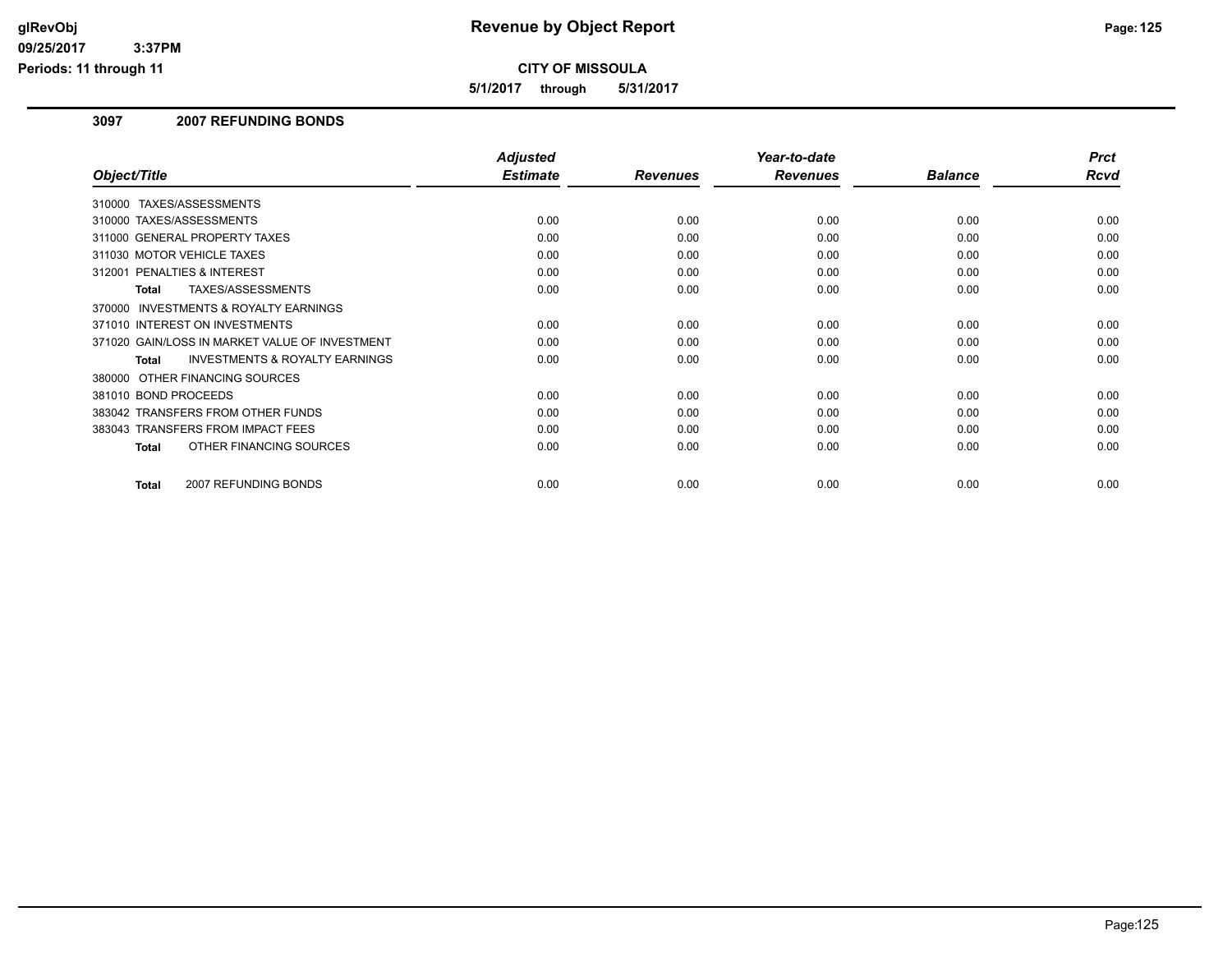**5/1/2017 through 5/31/2017**

# **3097 2007 REFUNDING BONDS**

|                                                           | <b>Adjusted</b> |                 | Year-to-date    |                | <b>Prct</b> |
|-----------------------------------------------------------|-----------------|-----------------|-----------------|----------------|-------------|
| Object/Title                                              | <b>Estimate</b> | <b>Revenues</b> | <b>Revenues</b> | <b>Balance</b> | <b>Rcvd</b> |
| 310000 TAXES/ASSESSMENTS                                  |                 |                 |                 |                |             |
| 310000 TAXES/ASSESSMENTS                                  | 0.00            | 0.00            | 0.00            | 0.00           | 0.00        |
| 311000 GENERAL PROPERTY TAXES                             | 0.00            | 0.00            | 0.00            | 0.00           | 0.00        |
| 311030 MOTOR VEHICLE TAXES                                | 0.00            | 0.00            | 0.00            | 0.00           | 0.00        |
| 312001 PENALTIES & INTEREST                               | 0.00            | 0.00            | 0.00            | 0.00           | 0.00        |
| TAXES/ASSESSMENTS<br><b>Total</b>                         | 0.00            | 0.00            | 0.00            | 0.00           | 0.00        |
| <b>INVESTMENTS &amp; ROYALTY EARNINGS</b><br>370000       |                 |                 |                 |                |             |
| 371010 INTEREST ON INVESTMENTS                            | 0.00            | 0.00            | 0.00            | 0.00           | 0.00        |
| 371020 GAIN/LOSS IN MARKET VALUE OF INVESTMENT            | 0.00            | 0.00            | 0.00            | 0.00           | 0.00        |
| <b>INVESTMENTS &amp; ROYALTY EARNINGS</b><br><b>Total</b> | 0.00            | 0.00            | 0.00            | 0.00           | 0.00        |
| 380000 OTHER FINANCING SOURCES                            |                 |                 |                 |                |             |
| 381010 BOND PROCEEDS                                      | 0.00            | 0.00            | 0.00            | 0.00           | 0.00        |
| 383042 TRANSFERS FROM OTHER FUNDS                         | 0.00            | 0.00            | 0.00            | 0.00           | 0.00        |
| 383043 TRANSFERS FROM IMPACT FEES                         | 0.00            | 0.00            | 0.00            | 0.00           | 0.00        |
| OTHER FINANCING SOURCES<br><b>Total</b>                   | 0.00            | 0.00            | 0.00            | 0.00           | 0.00        |
| 2007 REFUNDING BONDS<br>Total                             | 0.00            | 0.00            | 0.00            | 0.00           | 0.00        |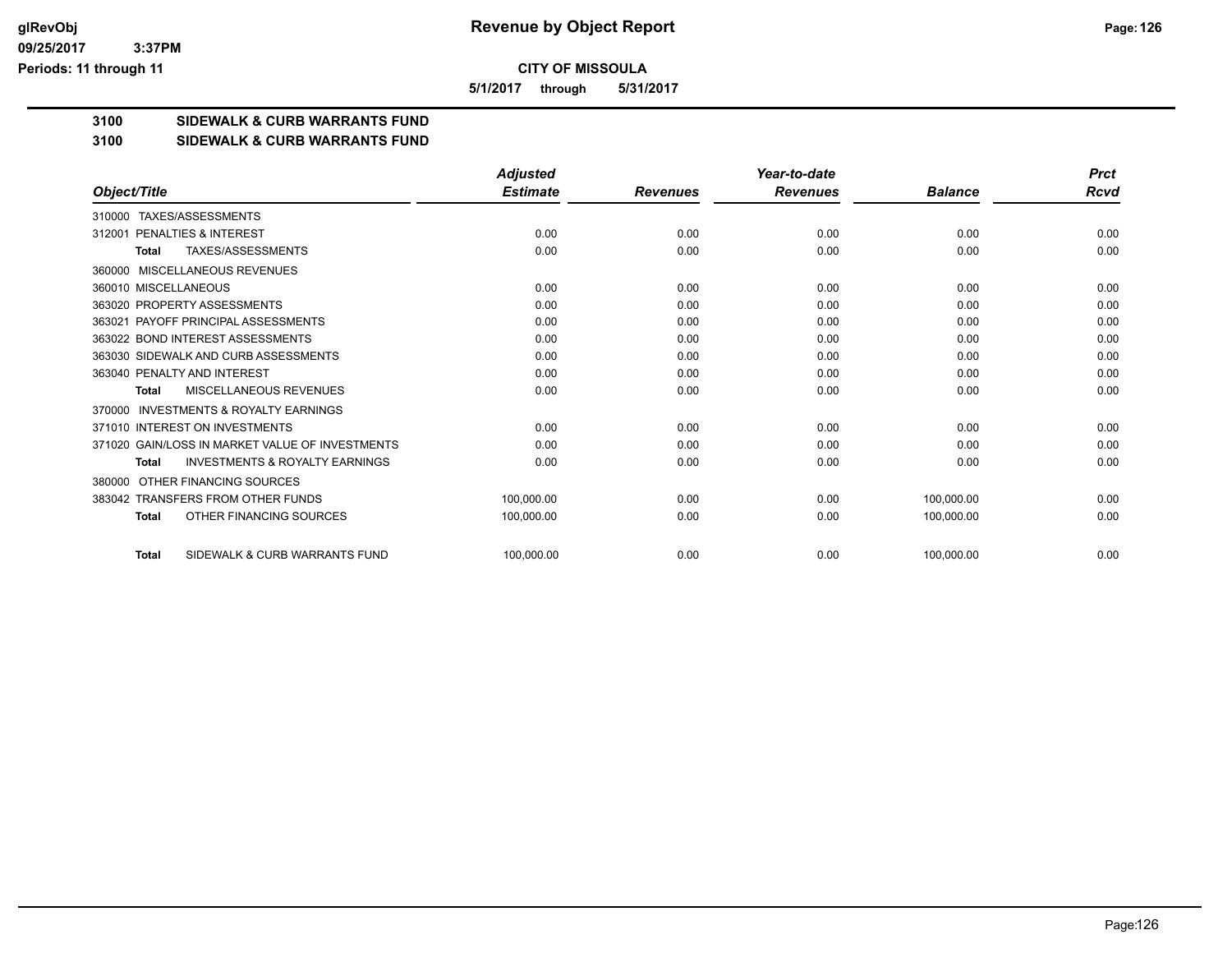**Periods: 11 through 11**

 **3:37PM**

**CITY OF MISSOULA**

**5/1/2017 through 5/31/2017**

# **3100 SIDEWALK & CURB WARRANTS FUND**

# **3100 SIDEWALK & CURB WARRANTS FUND**

|                                                     | <b>Adjusted</b> |                 | Year-to-date    |                | <b>Prct</b> |
|-----------------------------------------------------|-----------------|-----------------|-----------------|----------------|-------------|
| Object/Title                                        | <b>Estimate</b> | <b>Revenues</b> | <b>Revenues</b> | <b>Balance</b> | Rcvd        |
| TAXES/ASSESSMENTS<br>310000                         |                 |                 |                 |                |             |
| 312001 PENALTIES & INTEREST                         | 0.00            | 0.00            | 0.00            | 0.00           | 0.00        |
| <b>TAXES/ASSESSMENTS</b><br><b>Total</b>            | 0.00            | 0.00            | 0.00            | 0.00           | 0.00        |
| MISCELLANEOUS REVENUES<br>360000                    |                 |                 |                 |                |             |
| 360010 MISCELLANEOUS                                | 0.00            | 0.00            | 0.00            | 0.00           | 0.00        |
| 363020 PROPERTY ASSESSMENTS                         | 0.00            | 0.00            | 0.00            | 0.00           | 0.00        |
| PAYOFF PRINCIPAL ASSESSMENTS<br>363021              | 0.00            | 0.00            | 0.00            | 0.00           | 0.00        |
| 363022 BOND INTEREST ASSESSMENTS                    | 0.00            | 0.00            | 0.00            | 0.00           | 0.00        |
| 363030 SIDEWALK AND CURB ASSESSMENTS                | 0.00            | 0.00            | 0.00            | 0.00           | 0.00        |
| 363040 PENALTY AND INTEREST                         | 0.00            | 0.00            | 0.00            | 0.00           | 0.00        |
| MISCELLANEOUS REVENUES<br><b>Total</b>              | 0.00            | 0.00            | 0.00            | 0.00           | 0.00        |
| <b>INVESTMENTS &amp; ROYALTY EARNINGS</b><br>370000 |                 |                 |                 |                |             |
| 371010 INTEREST ON INVESTMENTS                      | 0.00            | 0.00            | 0.00            | 0.00           | 0.00        |
| 371020 GAIN/LOSS IN MARKET VALUE OF INVESTMENTS     | 0.00            | 0.00            | 0.00            | 0.00           | 0.00        |
| <b>INVESTMENTS &amp; ROYALTY EARNINGS</b><br>Total  | 0.00            | 0.00            | 0.00            | 0.00           | 0.00        |
| OTHER FINANCING SOURCES<br>380000                   |                 |                 |                 |                |             |
| 383042 TRANSFERS FROM OTHER FUNDS                   | 100,000.00      | 0.00            | 0.00            | 100,000.00     | 0.00        |
| OTHER FINANCING SOURCES<br><b>Total</b>             | 100,000.00      | 0.00            | 0.00            | 100,000.00     | 0.00        |
| SIDEWALK & CURB WARRANTS FUND<br><b>Total</b>       | 100.000.00      | 0.00            | 0.00            | 100.000.00     | 0.00        |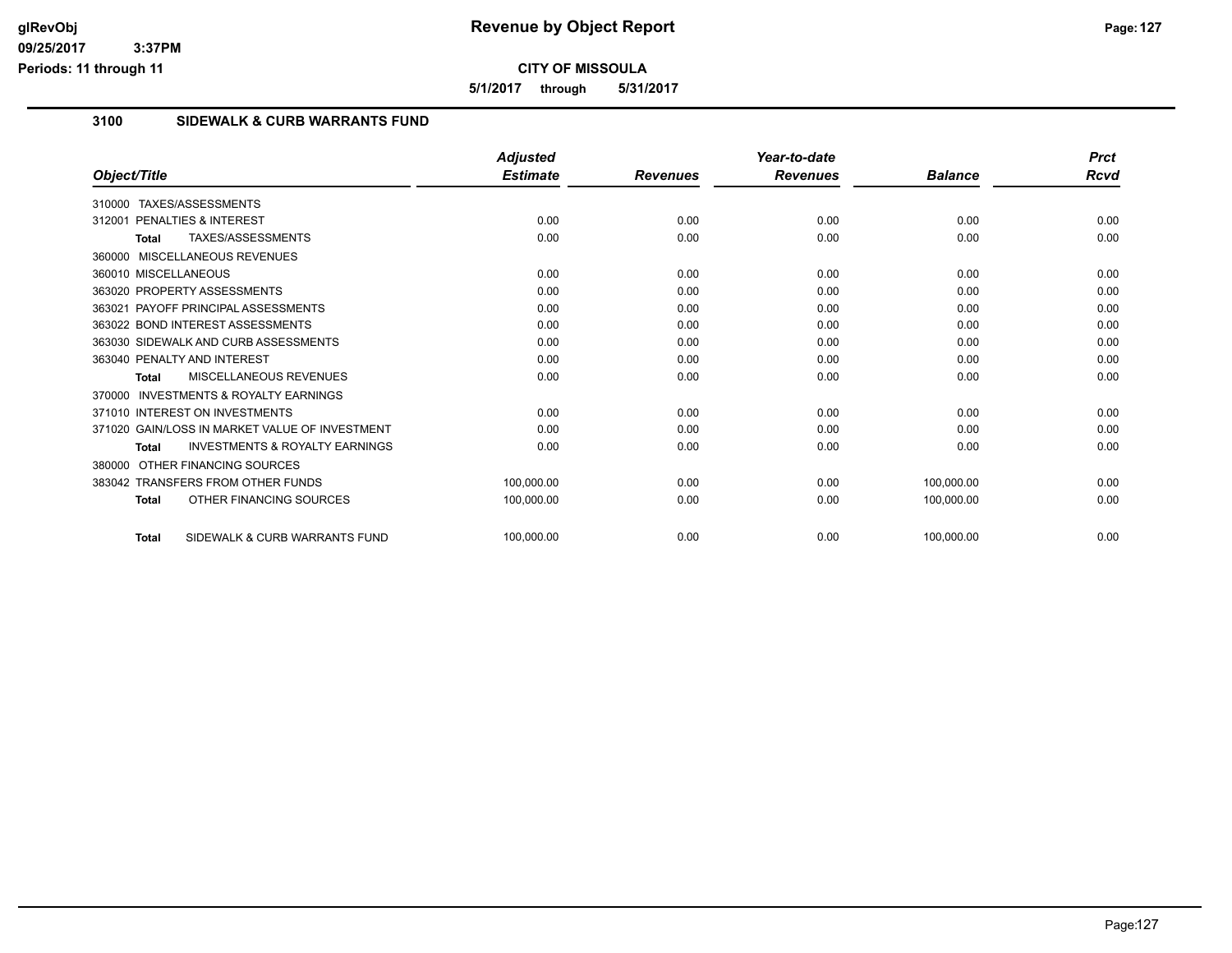**5/1/2017 through 5/31/2017**

# **3100 SIDEWALK & CURB WARRANTS FUND**

|                                                           | <b>Adjusted</b> |                 | Year-to-date    |                | <b>Prct</b> |
|-----------------------------------------------------------|-----------------|-----------------|-----------------|----------------|-------------|
| Object/Title                                              | <b>Estimate</b> | <b>Revenues</b> | <b>Revenues</b> | <b>Balance</b> | Rcvd        |
| TAXES/ASSESSMENTS<br>310000                               |                 |                 |                 |                |             |
| <b>PENALTIES &amp; INTEREST</b><br>312001                 | 0.00            | 0.00            | 0.00            | 0.00           | 0.00        |
| <b>TAXES/ASSESSMENTS</b><br><b>Total</b>                  | 0.00            | 0.00            | 0.00            | 0.00           | 0.00        |
| 360000 MISCELLANEOUS REVENUES                             |                 |                 |                 |                |             |
| 360010 MISCELLANEOUS                                      | 0.00            | 0.00            | 0.00            | 0.00           | 0.00        |
| 363020 PROPERTY ASSESSMENTS                               | 0.00            | 0.00            | 0.00            | 0.00           | 0.00        |
| 363021 PAYOFF PRINCIPAL ASSESSMENTS                       | 0.00            | 0.00            | 0.00            | 0.00           | 0.00        |
| 363022 BOND INTEREST ASSESSMENTS                          | 0.00            | 0.00            | 0.00            | 0.00           | 0.00        |
| 363030 SIDEWALK AND CURB ASSESSMENTS                      | 0.00            | 0.00            | 0.00            | 0.00           | 0.00        |
| 363040 PENALTY AND INTEREST                               | 0.00            | 0.00            | 0.00            | 0.00           | 0.00        |
| <b>MISCELLANEOUS REVENUES</b><br><b>Total</b>             | 0.00            | 0.00            | 0.00            | 0.00           | 0.00        |
| <b>INVESTMENTS &amp; ROYALTY EARNINGS</b><br>370000       |                 |                 |                 |                |             |
| 371010 INTEREST ON INVESTMENTS                            | 0.00            | 0.00            | 0.00            | 0.00           | 0.00        |
| 371020 GAIN/LOSS IN MARKET VALUE OF INVESTMENT            | 0.00            | 0.00            | 0.00            | 0.00           | 0.00        |
| <b>INVESTMENTS &amp; ROYALTY EARNINGS</b><br><b>Total</b> | 0.00            | 0.00            | 0.00            | 0.00           | 0.00        |
| OTHER FINANCING SOURCES<br>380000                         |                 |                 |                 |                |             |
| 383042 TRANSFERS FROM OTHER FUNDS                         | 100,000.00      | 0.00            | 0.00            | 100,000.00     | 0.00        |
| OTHER FINANCING SOURCES<br><b>Total</b>                   | 100,000.00      | 0.00            | 0.00            | 100,000.00     | 0.00        |
| SIDEWALK & CURB WARRANTS FUND<br><b>Total</b>             | 100.000.00      | 0.00            | 0.00            | 100.000.00     | 0.00        |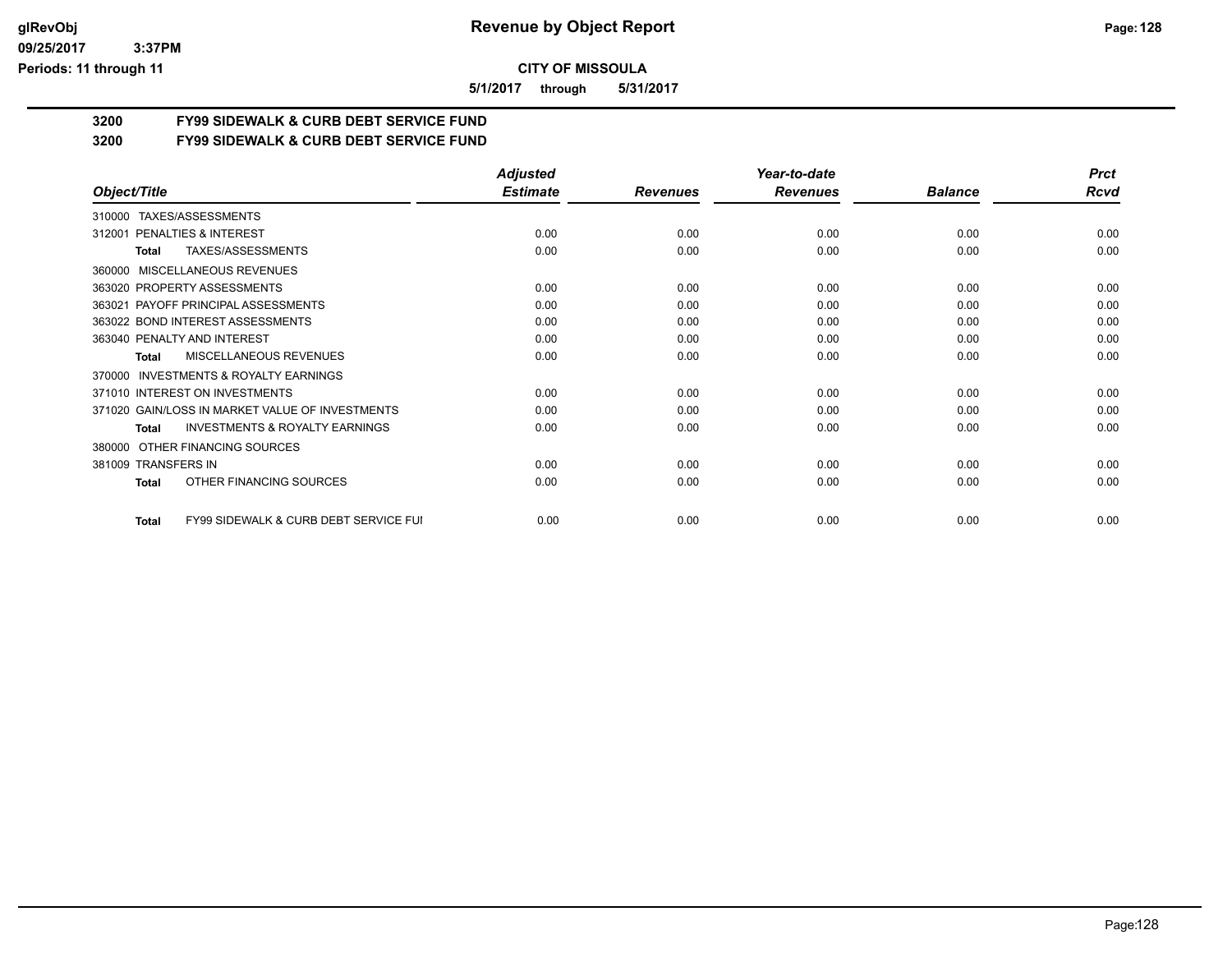**09/25/2017 3:37PM Periods: 11 through 11**

**CITY OF MISSOULA**

**5/1/2017 through 5/31/2017**

# **3200 FY99 SIDEWALK & CURB DEBT SERVICE FUND**

# **3200 FY99 SIDEWALK & CURB DEBT SERVICE FUND**

|                                                                  | <b>Adjusted</b> |                 | Year-to-date    |                | <b>Prct</b> |
|------------------------------------------------------------------|-----------------|-----------------|-----------------|----------------|-------------|
| Object/Title                                                     | <b>Estimate</b> | <b>Revenues</b> | <b>Revenues</b> | <b>Balance</b> | Rcvd        |
| TAXES/ASSESSMENTS<br>310000                                      |                 |                 |                 |                |             |
| PENALTIES & INTEREST<br>312001                                   | 0.00            | 0.00            | 0.00            | 0.00           | 0.00        |
| TAXES/ASSESSMENTS<br>Total                                       | 0.00            | 0.00            | 0.00            | 0.00           | 0.00        |
| <b>MISCELLANEOUS REVENUES</b><br>360000                          |                 |                 |                 |                |             |
| 363020 PROPERTY ASSESSMENTS                                      | 0.00            | 0.00            | 0.00            | 0.00           | 0.00        |
| 363021 PAYOFF PRINCIPAL ASSESSMENTS                              | 0.00            | 0.00            | 0.00            | 0.00           | 0.00        |
| 363022 BOND INTEREST ASSESSMENTS                                 | 0.00            | 0.00            | 0.00            | 0.00           | 0.00        |
| 363040 PENALTY AND INTEREST                                      | 0.00            | 0.00            | 0.00            | 0.00           | 0.00        |
| MISCELLANEOUS REVENUES<br><b>Total</b>                           | 0.00            | 0.00            | 0.00            | 0.00           | 0.00        |
| <b>INVESTMENTS &amp; ROYALTY EARNINGS</b><br>370000              |                 |                 |                 |                |             |
| 371010 INTEREST ON INVESTMENTS                                   | 0.00            | 0.00            | 0.00            | 0.00           | 0.00        |
| 371020 GAIN/LOSS IN MARKET VALUE OF INVESTMENTS                  | 0.00            | 0.00            | 0.00            | 0.00           | 0.00        |
| <b>INVESTMENTS &amp; ROYALTY EARNINGS</b><br>Total               | 0.00            | 0.00            | 0.00            | 0.00           | 0.00        |
| OTHER FINANCING SOURCES<br>380000                                |                 |                 |                 |                |             |
| 381009 TRANSFERS IN                                              | 0.00            | 0.00            | 0.00            | 0.00           | 0.00        |
| OTHER FINANCING SOURCES<br><b>Total</b>                          | 0.00            | 0.00            | 0.00            | 0.00           | 0.00        |
|                                                                  |                 |                 |                 |                |             |
| <b>FY99 SIDEWALK &amp; CURB DEBT SERVICE FUI</b><br><b>Total</b> | 0.00            | 0.00            | 0.00            | 0.00           | 0.00        |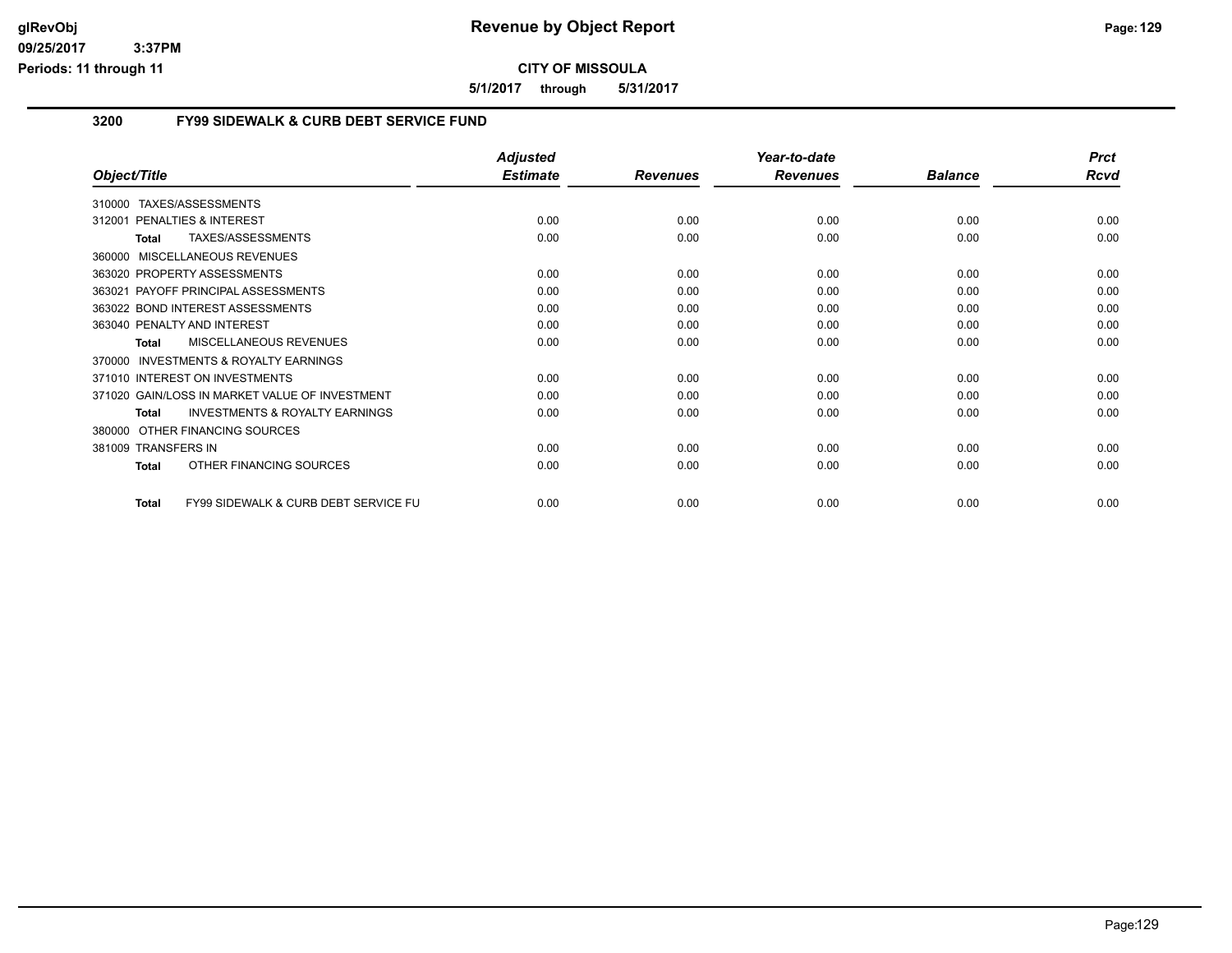**5/1/2017 through 5/31/2017**

# **3200 FY99 SIDEWALK & CURB DEBT SERVICE FUND**

|                                                           | <b>Adjusted</b> |                 | Year-to-date    |                | <b>Prct</b> |
|-----------------------------------------------------------|-----------------|-----------------|-----------------|----------------|-------------|
| Object/Title                                              | <b>Estimate</b> | <b>Revenues</b> | <b>Revenues</b> | <b>Balance</b> | <b>Rcvd</b> |
| TAXES/ASSESSMENTS<br>310000                               |                 |                 |                 |                |             |
| <b>PENALTIES &amp; INTEREST</b><br>312001                 | 0.00            | 0.00            | 0.00            | 0.00           | 0.00        |
| TAXES/ASSESSMENTS<br>Total                                | 0.00            | 0.00            | 0.00            | 0.00           | 0.00        |
| MISCELLANEOUS REVENUES<br>360000                          |                 |                 |                 |                |             |
| 363020 PROPERTY ASSESSMENTS                               | 0.00            | 0.00            | 0.00            | 0.00           | 0.00        |
| PAYOFF PRINCIPAL ASSESSMENTS<br>363021                    | 0.00            | 0.00            | 0.00            | 0.00           | 0.00        |
| 363022 BOND INTEREST ASSESSMENTS                          | 0.00            | 0.00            | 0.00            | 0.00           | 0.00        |
| 363040 PENALTY AND INTEREST                               | 0.00            | 0.00            | 0.00            | 0.00           | 0.00        |
| <b>MISCELLANEOUS REVENUES</b><br>Total                    | 0.00            | 0.00            | 0.00            | 0.00           | 0.00        |
| INVESTMENTS & ROYALTY EARNINGS<br>370000                  |                 |                 |                 |                |             |
| 371010 INTEREST ON INVESTMENTS                            | 0.00            | 0.00            | 0.00            | 0.00           | 0.00        |
| 371020 GAIN/LOSS IN MARKET VALUE OF INVESTMENT            | 0.00            | 0.00            | 0.00            | 0.00           | 0.00        |
| <b>INVESTMENTS &amp; ROYALTY EARNINGS</b><br><b>Total</b> | 0.00            | 0.00            | 0.00            | 0.00           | 0.00        |
| OTHER FINANCING SOURCES<br>380000                         |                 |                 |                 |                |             |
| 381009 TRANSFERS IN                                       | 0.00            | 0.00            | 0.00            | 0.00           | 0.00        |
| OTHER FINANCING SOURCES<br><b>Total</b>                   | 0.00            | 0.00            | 0.00            | 0.00           | 0.00        |
| FY99 SIDEWALK & CURB DEBT SERVICE FU<br><b>Total</b>      | 0.00            | 0.00            | 0.00            | 0.00           | 0.00        |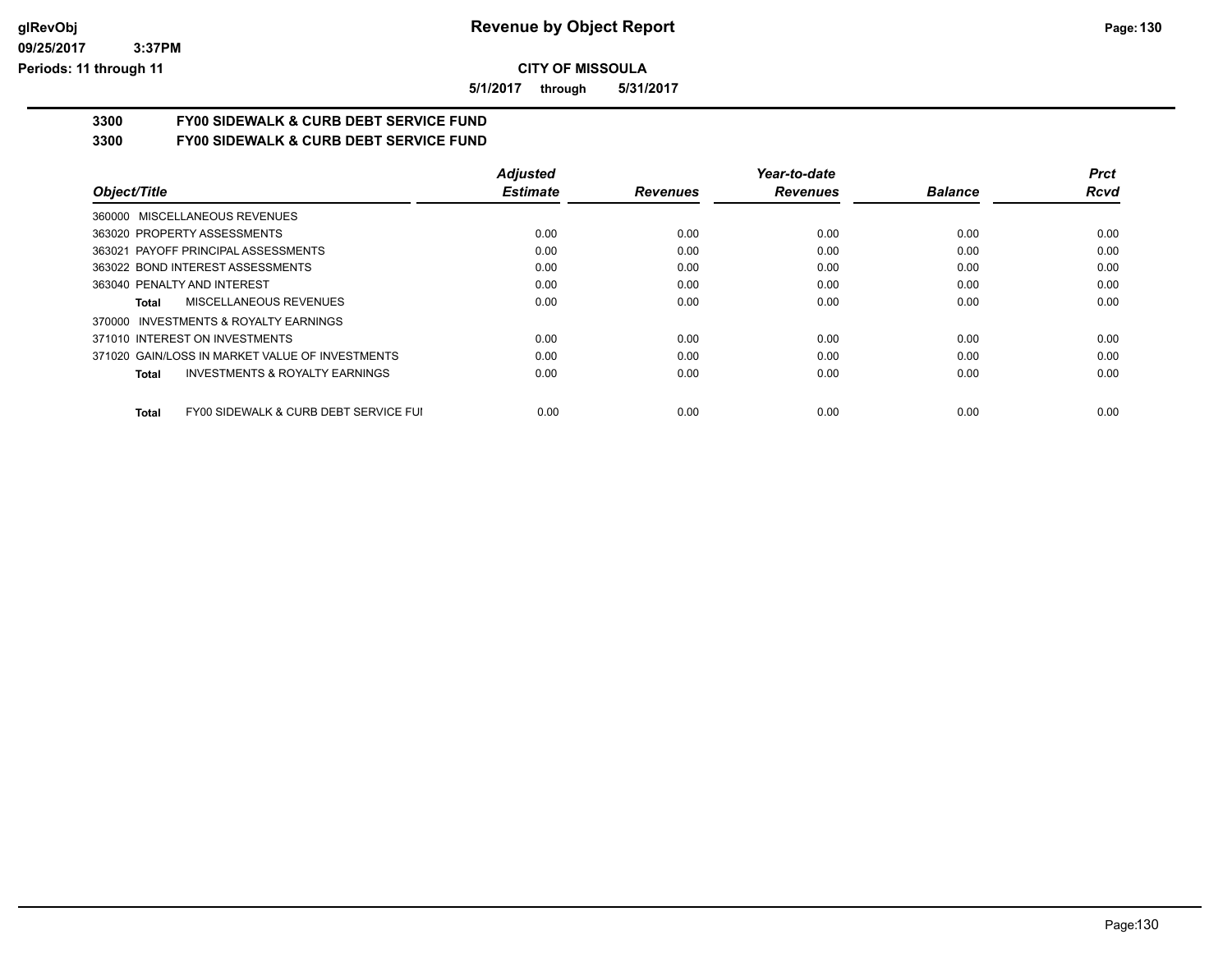### **09/25/2017 3:37PM Periods: 11 through 11**

**CITY OF MISSOULA**

**5/1/2017 through 5/31/2017**

# **3300 FY00 SIDEWALK & CURB DEBT SERVICE FUND**

# **3300 FY00 SIDEWALK & CURB DEBT SERVICE FUND**

|                                                       | <b>Adjusted</b> |                 | Year-to-date    |                | <b>Prct</b> |
|-------------------------------------------------------|-----------------|-----------------|-----------------|----------------|-------------|
| Object/Title                                          | <b>Estimate</b> | <b>Revenues</b> | <b>Revenues</b> | <b>Balance</b> | <b>Rcvd</b> |
| 360000 MISCELLANEOUS REVENUES                         |                 |                 |                 |                |             |
| 363020 PROPERTY ASSESSMENTS                           | 0.00            | 0.00            | 0.00            | 0.00           | 0.00        |
| 363021 PAYOFF PRINCIPAL ASSESSMENTS                   | 0.00            | 0.00            | 0.00            | 0.00           | 0.00        |
| 363022 BOND INTEREST ASSESSMENTS                      | 0.00            | 0.00            | 0.00            | 0.00           | 0.00        |
| 363040 PENALTY AND INTEREST                           | 0.00            | 0.00            | 0.00            | 0.00           | 0.00        |
| MISCELLANEOUS REVENUES<br>Total                       | 0.00            | 0.00            | 0.00            | 0.00           | 0.00        |
| INVESTMENTS & ROYALTY EARNINGS<br>370000              |                 |                 |                 |                |             |
| 371010 INTEREST ON INVESTMENTS                        | 0.00            | 0.00            | 0.00            | 0.00           | 0.00        |
| 371020 GAIN/LOSS IN MARKET VALUE OF INVESTMENTS       | 0.00            | 0.00            | 0.00            | 0.00           | 0.00        |
| <b>INVESTMENTS &amp; ROYALTY EARNINGS</b><br>Total    | 0.00            | 0.00            | 0.00            | 0.00           | 0.00        |
| FY00 SIDEWALK & CURB DEBT SERVICE FUI<br><b>Total</b> | 0.00            | 0.00            | 0.00            | 0.00           | 0.00        |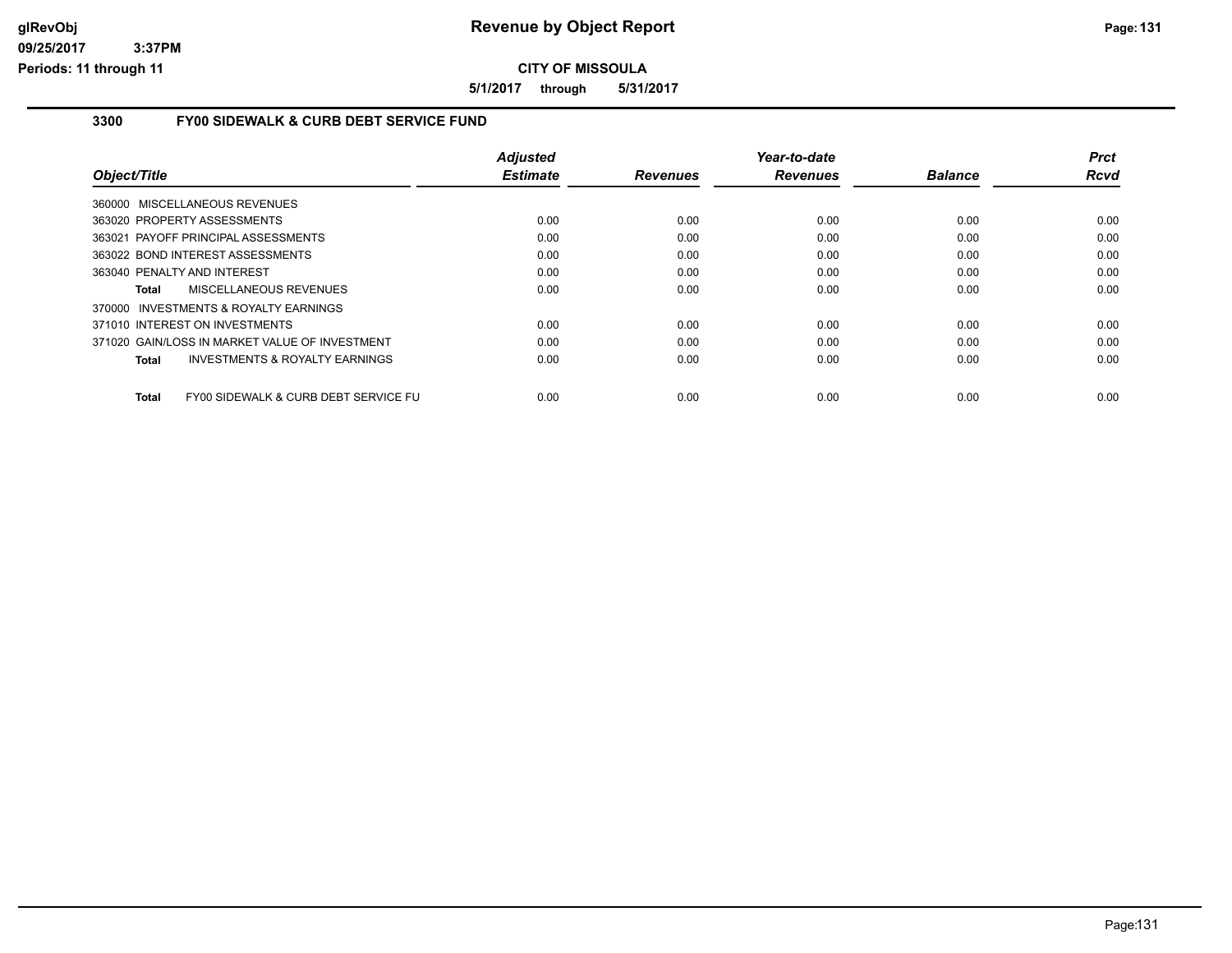**5/1/2017 through 5/31/2017**

# **3300 FY00 SIDEWALK & CURB DEBT SERVICE FUND**

|                                                      | <b>Adjusted</b> |                 | Year-to-date    |                | <b>Prct</b> |
|------------------------------------------------------|-----------------|-----------------|-----------------|----------------|-------------|
| Object/Title                                         | <b>Estimate</b> | <b>Revenues</b> | <b>Revenues</b> | <b>Balance</b> | Rcvd        |
| 360000 MISCELLANEOUS REVENUES                        |                 |                 |                 |                |             |
| 363020 PROPERTY ASSESSMENTS                          | 0.00            | 0.00            | 0.00            | 0.00           | 0.00        |
| 363021 PAYOFF PRINCIPAL ASSESSMENTS                  | 0.00            | 0.00            | 0.00            | 0.00           | 0.00        |
| 363022 BOND INTEREST ASSESSMENTS                     | 0.00            | 0.00            | 0.00            | 0.00           | 0.00        |
| 363040 PENALTY AND INTEREST                          | 0.00            | 0.00            | 0.00            | 0.00           | 0.00        |
| <b>MISCELLANEOUS REVENUES</b><br>Total               | 0.00            | 0.00            | 0.00            | 0.00           | 0.00        |
| 370000 INVESTMENTS & ROYALTY EARNINGS                |                 |                 |                 |                |             |
| 371010 INTEREST ON INVESTMENTS                       | 0.00            | 0.00            | 0.00            | 0.00           | 0.00        |
| 371020 GAIN/LOSS IN MARKET VALUE OF INVESTMENT       | 0.00            | 0.00            | 0.00            | 0.00           | 0.00        |
| <b>INVESTMENTS &amp; ROYALTY EARNINGS</b><br>Total   | 0.00            | 0.00            | 0.00            | 0.00           | 0.00        |
| FY00 SIDEWALK & CURB DEBT SERVICE FU<br><b>Total</b> | 0.00            | 0.00            | 0.00            | 0.00           | 0.00        |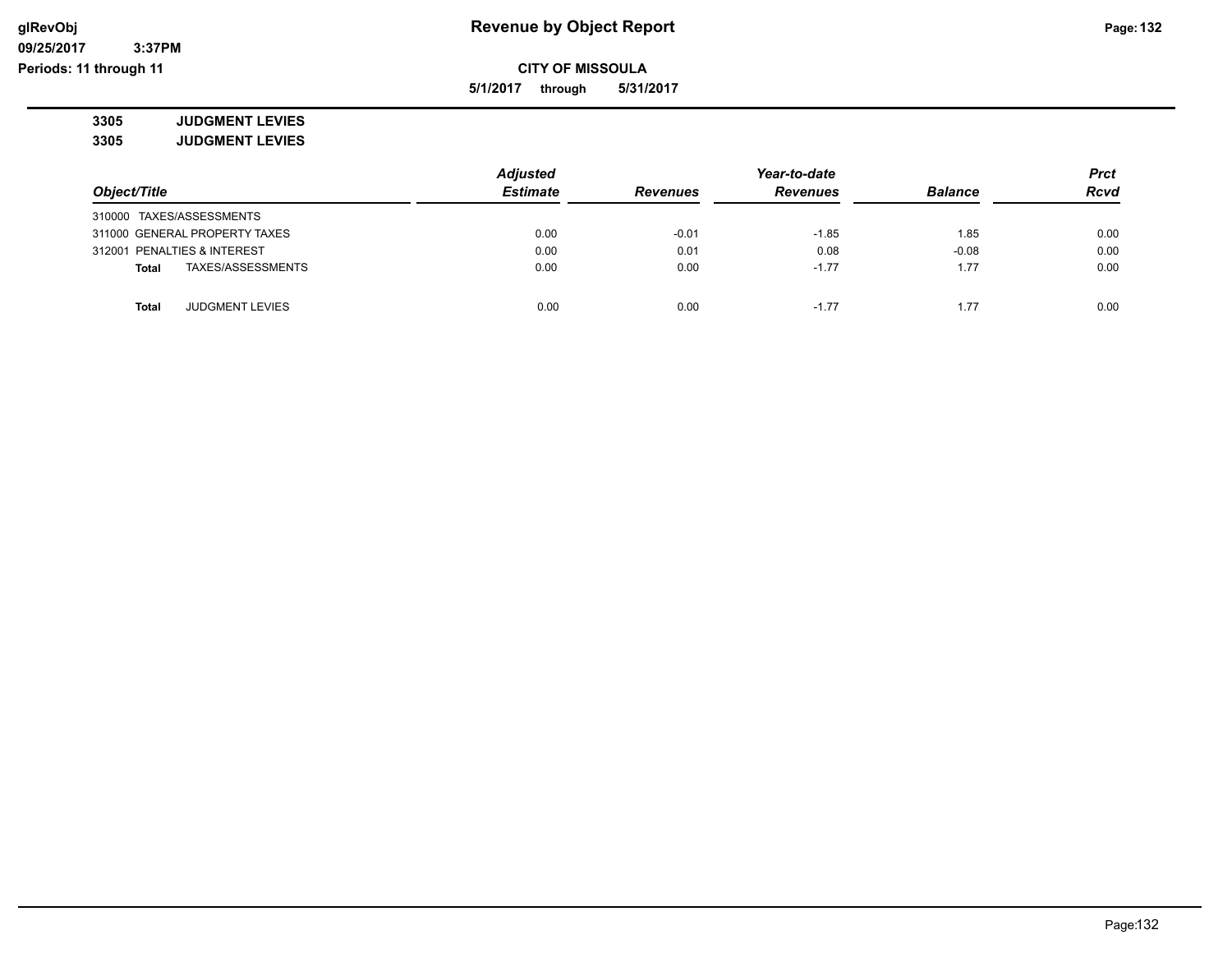**09/25/2017 3:37PM Periods: 11 through 11**

**CITY OF MISSOULA**

**5/1/2017 through 5/31/2017**

**3305 JUDGMENT LEVIES**

**3305 JUDGMENT LEVIES**

|                                 | <b>Adjusted</b> |                 | Year-to-date    |                | <b>Prct</b> |
|---------------------------------|-----------------|-----------------|-----------------|----------------|-------------|
| Object/Title                    | <b>Estimate</b> | <b>Revenues</b> | <b>Revenues</b> | <b>Balance</b> | <b>Rcvd</b> |
| 310000 TAXES/ASSESSMENTS        |                 |                 |                 |                |             |
| 311000 GENERAL PROPERTY TAXES   | 0.00            | $-0.01$         | $-1.85$         | 1.85           | 0.00        |
| 312001 PENALTIES & INTEREST     | 0.00            | 0.01            | 0.08            | $-0.08$        | 0.00        |
| TAXES/ASSESSMENTS<br>Total      | 0.00            | 0.00            | $-1.77$         | 1.77           | 0.00        |
|                                 |                 |                 |                 |                |             |
| <b>JUDGMENT LEVIES</b><br>Total | 0.00            | 0.00            | $-1.77$         | 1.77           | 0.00        |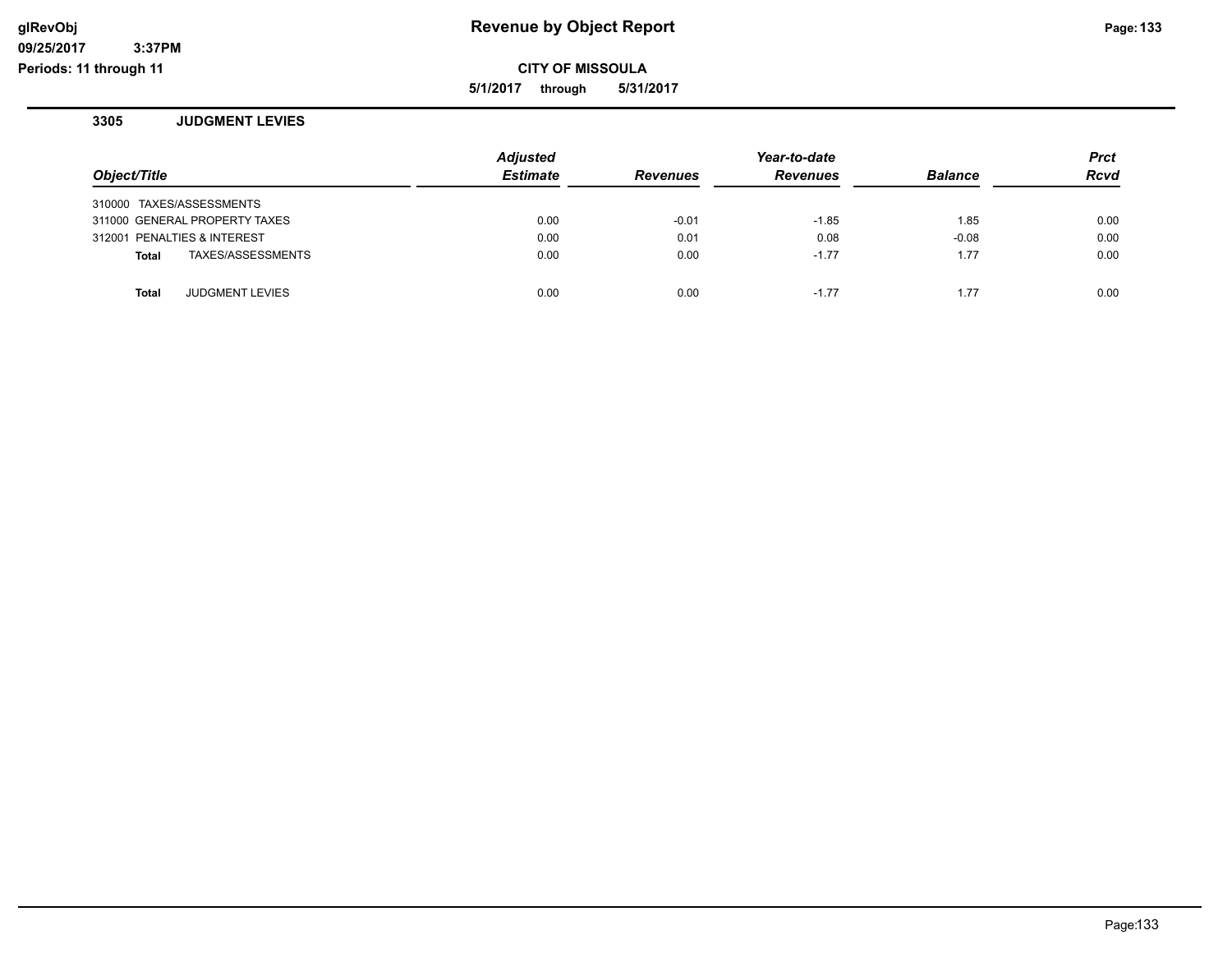**Periods: 11 through 11**

**CITY OF MISSOULA**

**5/1/2017 through 5/31/2017**

#### **3305 JUDGMENT LEVIES**

 **3:37PM**

|                                        | Adjusted        |                 | <b>Prct</b>     |                |             |
|----------------------------------------|-----------------|-----------------|-----------------|----------------|-------------|
| Object/Title                           | <b>Estimate</b> | <b>Revenues</b> | <b>Revenues</b> | <b>Balance</b> | <b>Rcvd</b> |
| 310000 TAXES/ASSESSMENTS               |                 |                 |                 |                |             |
| 311000 GENERAL PROPERTY TAXES          | 0.00            | $-0.01$         | $-1.85$         | 1.85           | 0.00        |
| 312001 PENALTIES & INTEREST            | 0.00            | 0.01            | 0.08            | $-0.08$        | 0.00        |
| TAXES/ASSESSMENTS<br><b>Total</b>      | 0.00            | 0.00            | $-1.77$         | 1.77           | 0.00        |
|                                        |                 |                 |                 |                |             |
| <b>JUDGMENT LEVIES</b><br><b>Total</b> | 0.00            | 0.00            | $-1.77$         | 1.77           | 0.00        |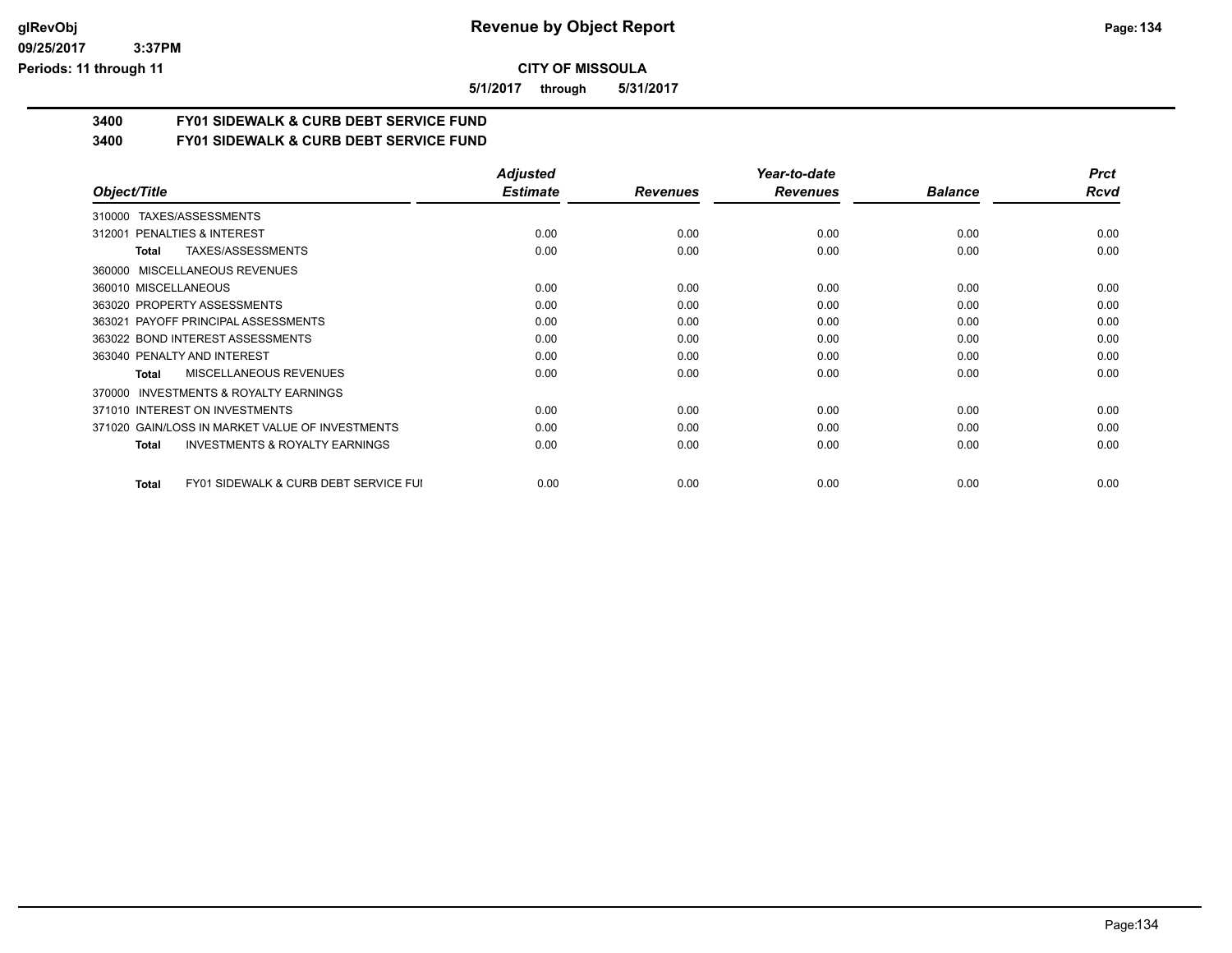**09/25/2017 3:37PM Periods: 11 through 11**

**CITY OF MISSOULA**

**5/1/2017 through 5/31/2017**

# **3400 FY01 SIDEWALK & CURB DEBT SERVICE FUND**

# **3400 FY01 SIDEWALK & CURB DEBT SERVICE FUND**

|                                                                  | <b>Adjusted</b> |                 | Year-to-date    |                | <b>Prct</b> |
|------------------------------------------------------------------|-----------------|-----------------|-----------------|----------------|-------------|
| Object/Title                                                     | <b>Estimate</b> | <b>Revenues</b> | <b>Revenues</b> | <b>Balance</b> | Rcvd        |
| 310000 TAXES/ASSESSMENTS                                         |                 |                 |                 |                |             |
| 312001 PENALTIES & INTEREST                                      | 0.00            | 0.00            | 0.00            | 0.00           | 0.00        |
| TAXES/ASSESSMENTS<br>Total                                       | 0.00            | 0.00            | 0.00            | 0.00           | 0.00        |
| MISCELLANEOUS REVENUES<br>360000                                 |                 |                 |                 |                |             |
| 360010 MISCELLANEOUS                                             | 0.00            | 0.00            | 0.00            | 0.00           | 0.00        |
| 363020 PROPERTY ASSESSMENTS                                      | 0.00            | 0.00            | 0.00            | 0.00           | 0.00        |
| 363021 PAYOFF PRINCIPAL ASSESSMENTS                              | 0.00            | 0.00            | 0.00            | 0.00           | 0.00        |
| 363022 BOND INTEREST ASSESSMENTS                                 | 0.00            | 0.00            | 0.00            | 0.00           | 0.00        |
| 363040 PENALTY AND INTEREST                                      | 0.00            | 0.00            | 0.00            | 0.00           | 0.00        |
| MISCELLANEOUS REVENUES<br>Total                                  | 0.00            | 0.00            | 0.00            | 0.00           | 0.00        |
| <b>INVESTMENTS &amp; ROYALTY EARNINGS</b><br>370000              |                 |                 |                 |                |             |
| 371010 INTEREST ON INVESTMENTS                                   | 0.00            | 0.00            | 0.00            | 0.00           | 0.00        |
| 371020 GAIN/LOSS IN MARKET VALUE OF INVESTMENTS                  | 0.00            | 0.00            | 0.00            | 0.00           | 0.00        |
| <b>INVESTMENTS &amp; ROYALTY EARNINGS</b><br>Total               | 0.00            | 0.00            | 0.00            | 0.00           | 0.00        |
| <b>FY01 SIDEWALK &amp; CURB DEBT SERVICE FUI</b><br><b>Total</b> | 0.00            | 0.00            | 0.00            | 0.00           | 0.00        |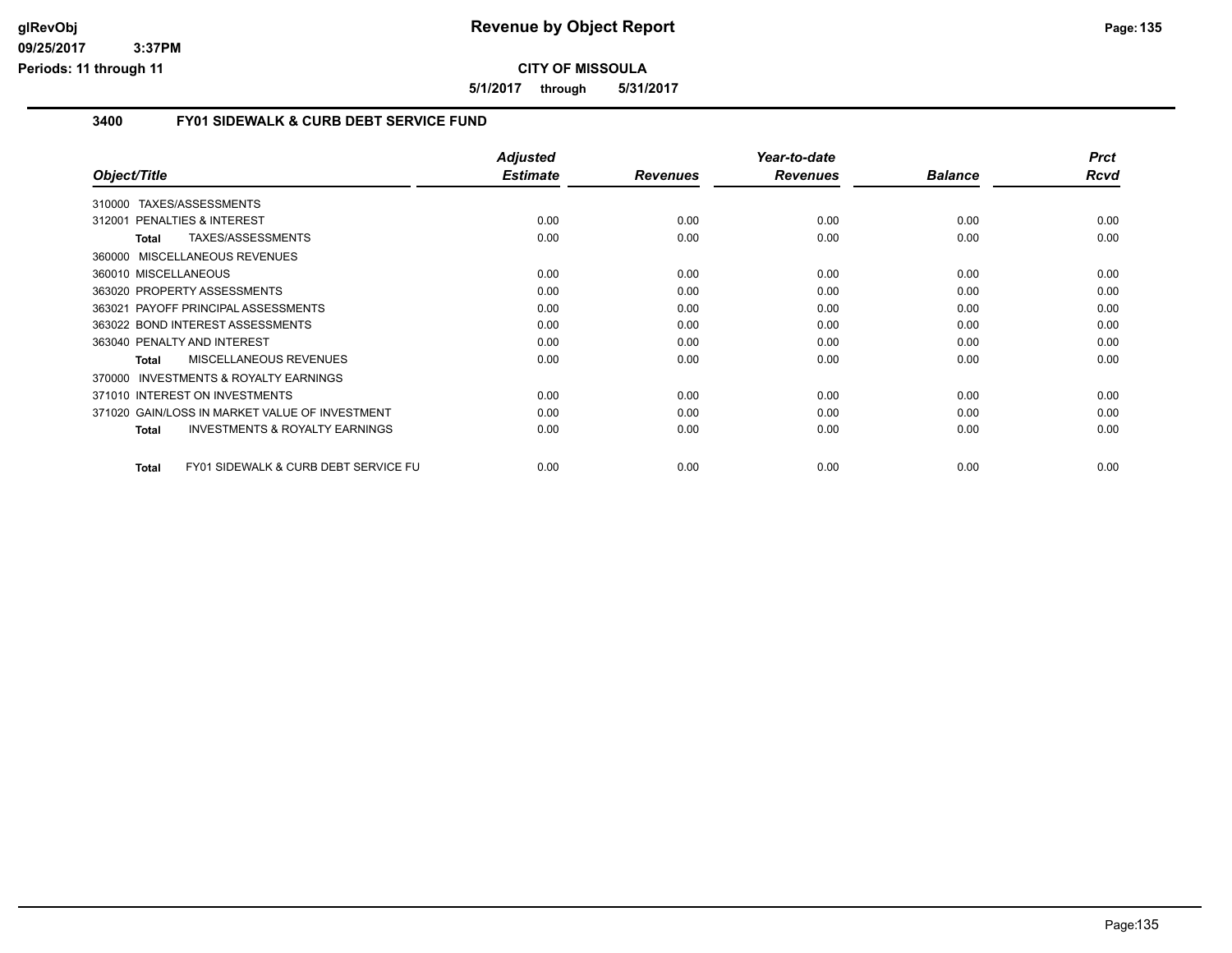**5/1/2017 through 5/31/2017**

# **3400 FY01 SIDEWALK & CURB DEBT SERVICE FUND**

|                                                           | <b>Adjusted</b> |                 | Year-to-date    |                | <b>Prct</b> |
|-----------------------------------------------------------|-----------------|-----------------|-----------------|----------------|-------------|
| Object/Title                                              | <b>Estimate</b> | <b>Revenues</b> | <b>Revenues</b> | <b>Balance</b> | <b>Rcvd</b> |
| 310000 TAXES/ASSESSMENTS                                  |                 |                 |                 |                |             |
| PENALTIES & INTEREST<br>312001                            | 0.00            | 0.00            | 0.00            | 0.00           | 0.00        |
| TAXES/ASSESSMENTS<br><b>Total</b>                         | 0.00            | 0.00            | 0.00            | 0.00           | 0.00        |
| 360000 MISCELLANEOUS REVENUES                             |                 |                 |                 |                |             |
| 360010 MISCELLANEOUS                                      | 0.00            | 0.00            | 0.00            | 0.00           | 0.00        |
| 363020 PROPERTY ASSESSMENTS                               | 0.00            | 0.00            | 0.00            | 0.00           | 0.00        |
| PAYOFF PRINCIPAL ASSESSMENTS<br>363021                    | 0.00            | 0.00            | 0.00            | 0.00           | 0.00        |
| 363022 BOND INTEREST ASSESSMENTS                          | 0.00            | 0.00            | 0.00            | 0.00           | 0.00        |
| 363040 PENALTY AND INTEREST                               | 0.00            | 0.00            | 0.00            | 0.00           | 0.00        |
| <b>MISCELLANEOUS REVENUES</b><br>Total                    | 0.00            | 0.00            | 0.00            | 0.00           | 0.00        |
| INVESTMENTS & ROYALTY EARNINGS<br>370000                  |                 |                 |                 |                |             |
| 371010 INTEREST ON INVESTMENTS                            | 0.00            | 0.00            | 0.00            | 0.00           | 0.00        |
| 371020 GAIN/LOSS IN MARKET VALUE OF INVESTMENT            | 0.00            | 0.00            | 0.00            | 0.00           | 0.00        |
| <b>INVESTMENTS &amp; ROYALTY EARNINGS</b><br><b>Total</b> | 0.00            | 0.00            | 0.00            | 0.00           | 0.00        |
| FY01 SIDEWALK & CURB DEBT SERVICE FU<br><b>Total</b>      | 0.00            | 0.00            | 0.00            | 0.00           | 0.00        |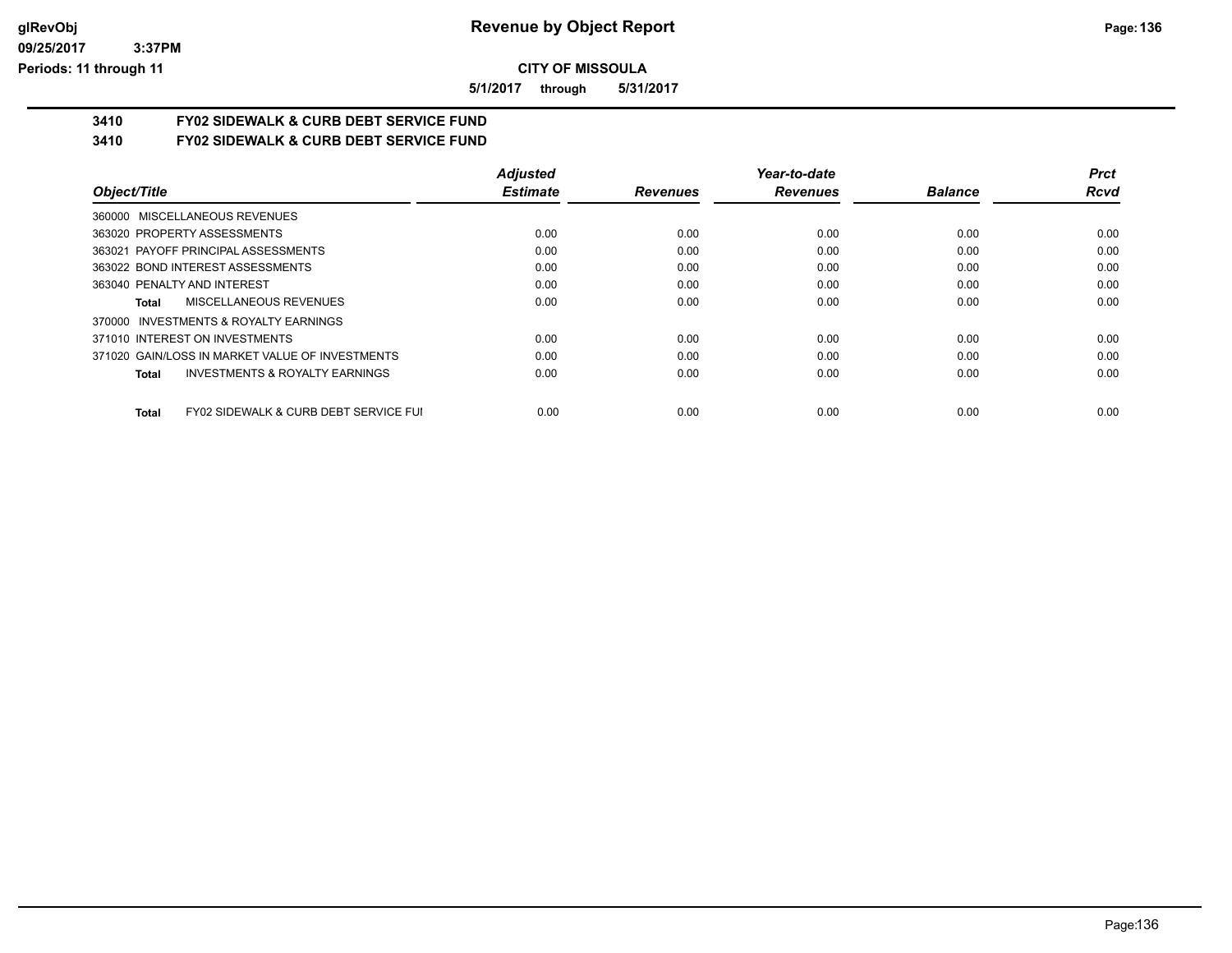# **09/25/2017**

**Periods: 11 through 11**

 **3:37PM**

**glRevObj Revenue by Object Report Page:136** 

**CITY OF MISSOULA**

**5/1/2017 through 5/31/2017**

# **3410 FY02 SIDEWALK & CURB DEBT SERVICE FUND**

# **3410 FY02 SIDEWALK & CURB DEBT SERVICE FUND**

|                                                                  | <b>Adjusted</b> |                 | Year-to-date    |                | <b>Prct</b> |
|------------------------------------------------------------------|-----------------|-----------------|-----------------|----------------|-------------|
| Object/Title                                                     | <b>Estimate</b> | <b>Revenues</b> | <b>Revenues</b> | <b>Balance</b> | <b>Rcvd</b> |
| 360000 MISCELLANEOUS REVENUES                                    |                 |                 |                 |                |             |
| 363020 PROPERTY ASSESSMENTS                                      | 0.00            | 0.00            | 0.00            | 0.00           | 0.00        |
| 363021 PAYOFF PRINCIPAL ASSESSMENTS                              | 0.00            | 0.00            | 0.00            | 0.00           | 0.00        |
| 363022 BOND INTEREST ASSESSMENTS                                 | 0.00            | 0.00            | 0.00            | 0.00           | 0.00        |
| 363040 PENALTY AND INTEREST                                      | 0.00            | 0.00            | 0.00            | 0.00           | 0.00        |
| MISCELLANEOUS REVENUES<br>Total                                  | 0.00            | 0.00            | 0.00            | 0.00           | 0.00        |
| INVESTMENTS & ROYALTY EARNINGS<br>370000                         |                 |                 |                 |                |             |
| 371010 INTEREST ON INVESTMENTS                                   | 0.00            | 0.00            | 0.00            | 0.00           | 0.00        |
| 371020 GAIN/LOSS IN MARKET VALUE OF INVESTMENTS                  | 0.00            | 0.00            | 0.00            | 0.00           | 0.00        |
| <b>INVESTMENTS &amp; ROYALTY EARNINGS</b><br>Total               | 0.00            | 0.00            | 0.00            | 0.00           | 0.00        |
| <b>FY02 SIDEWALK &amp; CURB DEBT SERVICE FUI</b><br><b>Total</b> | 0.00            | 0.00            | 0.00            | 0.00           | 0.00        |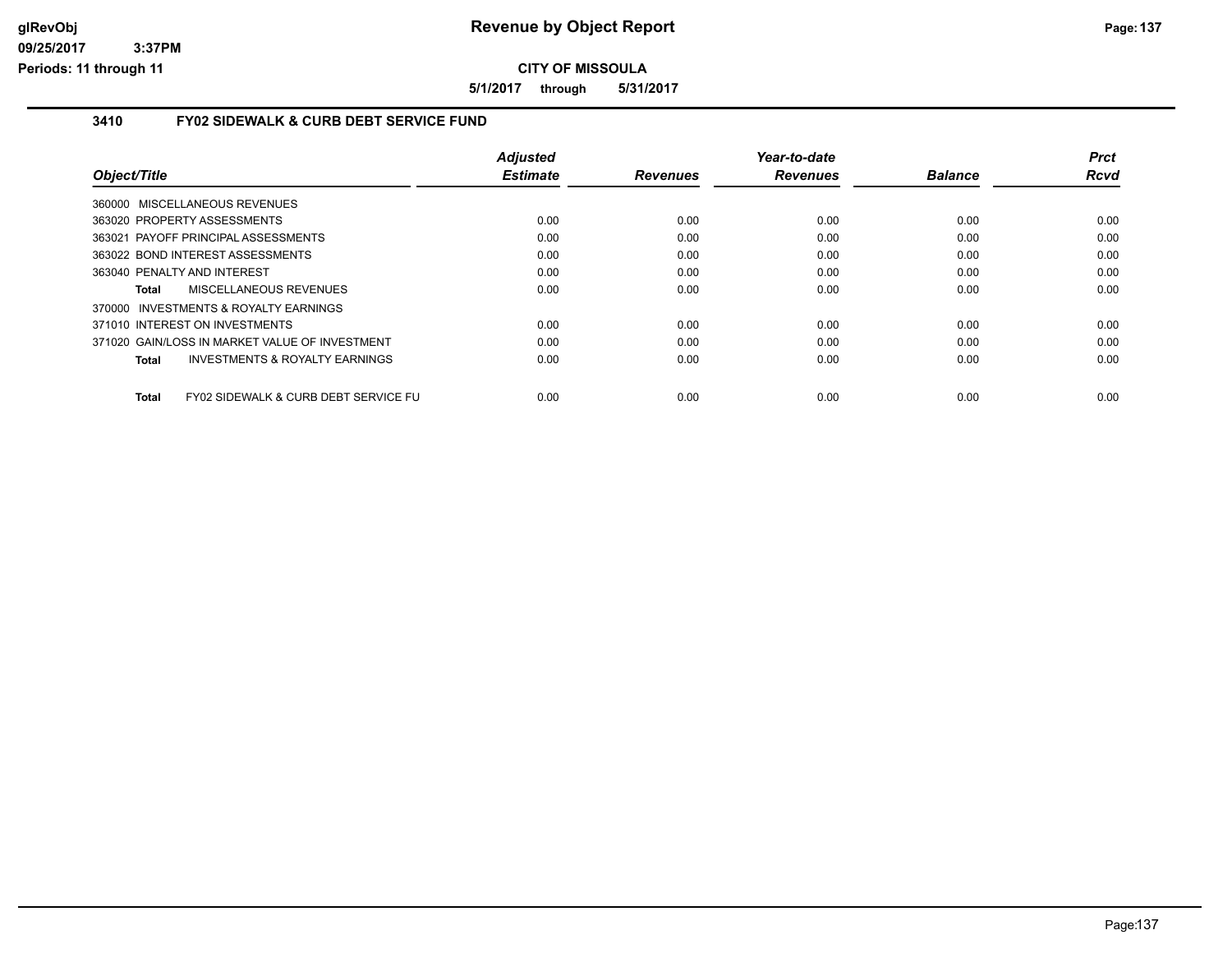**5/1/2017 through 5/31/2017**

# **3410 FY02 SIDEWALK & CURB DEBT SERVICE FUND**

|                                                                 | <b>Adjusted</b> |                 | Year-to-date    |                | <b>Prct</b> |
|-----------------------------------------------------------------|-----------------|-----------------|-----------------|----------------|-------------|
| Object/Title                                                    | <b>Estimate</b> | <b>Revenues</b> | <b>Revenues</b> | <b>Balance</b> | <b>Rcvd</b> |
| 360000 MISCELLANEOUS REVENUES                                   |                 |                 |                 |                |             |
| 363020 PROPERTY ASSESSMENTS                                     | 0.00            | 0.00            | 0.00            | 0.00           | 0.00        |
| 363021 PAYOFF PRINCIPAL ASSESSMENTS                             | 0.00            | 0.00            | 0.00            | 0.00           | 0.00        |
| 363022 BOND INTEREST ASSESSMENTS                                | 0.00            | 0.00            | 0.00            | 0.00           | 0.00        |
| 363040 PENALTY AND INTEREST                                     | 0.00            | 0.00            | 0.00            | 0.00           | 0.00        |
| <b>MISCELLANEOUS REVENUES</b><br>Total                          | 0.00            | 0.00            | 0.00            | 0.00           | 0.00        |
| 370000 INVESTMENTS & ROYALTY EARNINGS                           |                 |                 |                 |                |             |
| 371010 INTEREST ON INVESTMENTS                                  | 0.00            | 0.00            | 0.00            | 0.00           | 0.00        |
| 371020 GAIN/LOSS IN MARKET VALUE OF INVESTMENT                  | 0.00            | 0.00            | 0.00            | 0.00           | 0.00        |
| <b>INVESTMENTS &amp; ROYALTY EARNINGS</b><br>Total              | 0.00            | 0.00            | 0.00            | 0.00           | 0.00        |
| <b>FY02 SIDEWALK &amp; CURB DEBT SERVICE FU</b><br><b>Total</b> | 0.00            | 0.00            | 0.00            | 0.00           | 0.00        |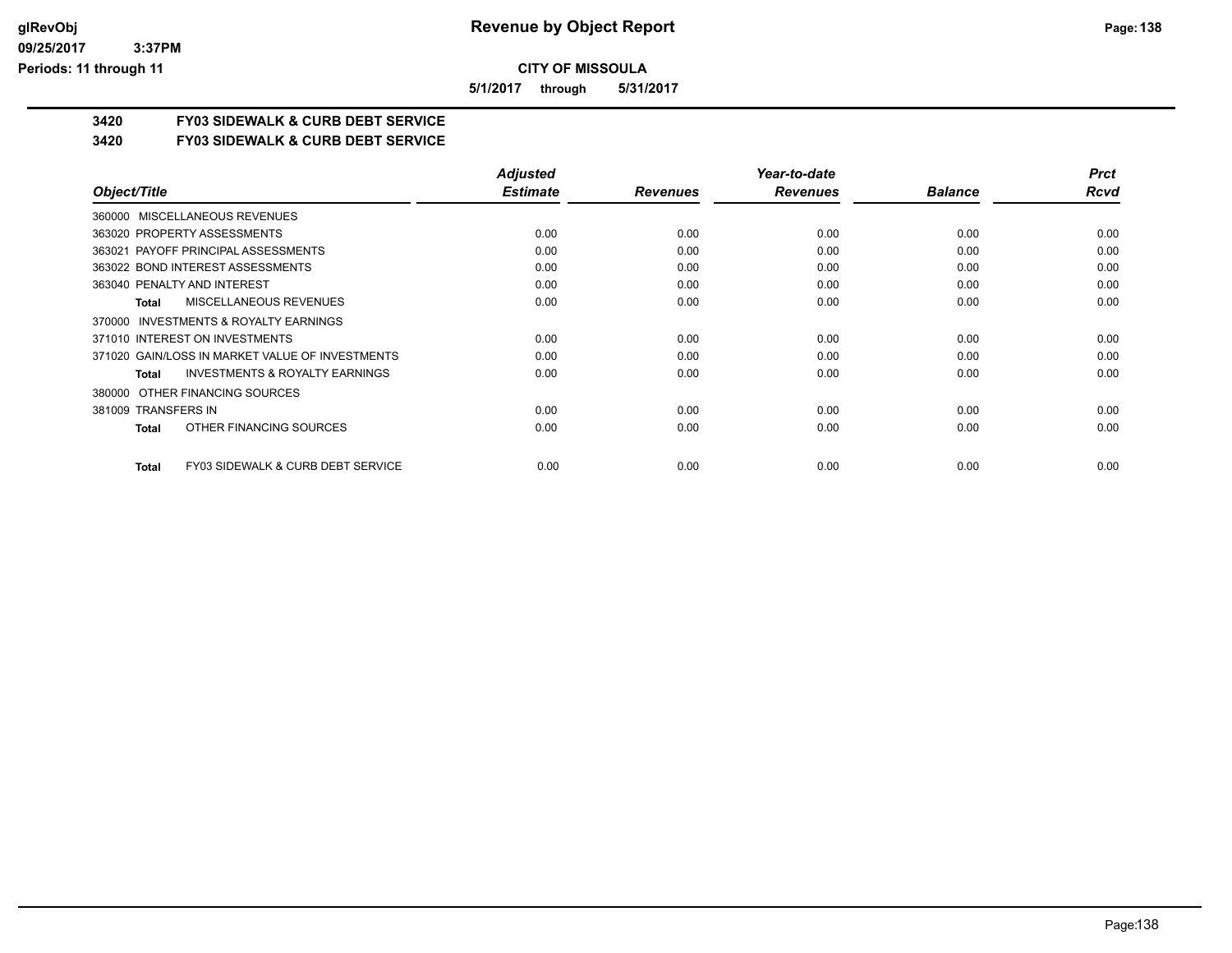**5/1/2017 through 5/31/2017**

# **3420 FY03 SIDEWALK & CURB DEBT SERVICE**

**3420 FY03 SIDEWALK & CURB DEBT SERVICE**

|                                                    | <b>Adjusted</b> |                 | Year-to-date    |                | <b>Prct</b> |
|----------------------------------------------------|-----------------|-----------------|-----------------|----------------|-------------|
| Object/Title                                       | <b>Estimate</b> | <b>Revenues</b> | <b>Revenues</b> | <b>Balance</b> | <b>Rcvd</b> |
| 360000 MISCELLANEOUS REVENUES                      |                 |                 |                 |                |             |
| 363020 PROPERTY ASSESSMENTS                        | 0.00            | 0.00            | 0.00            | 0.00           | 0.00        |
| 363021 PAYOFF PRINCIPAL ASSESSMENTS                | 0.00            | 0.00            | 0.00            | 0.00           | 0.00        |
| 363022 BOND INTEREST ASSESSMENTS                   | 0.00            | 0.00            | 0.00            | 0.00           | 0.00        |
| 363040 PENALTY AND INTEREST                        | 0.00            | 0.00            | 0.00            | 0.00           | 0.00        |
| <b>MISCELLANEOUS REVENUES</b><br>Total             | 0.00            | 0.00            | 0.00            | 0.00           | 0.00        |
| 370000 INVESTMENTS & ROYALTY EARNINGS              |                 |                 |                 |                |             |
| 371010 INTEREST ON INVESTMENTS                     | 0.00            | 0.00            | 0.00            | 0.00           | 0.00        |
| 371020 GAIN/LOSS IN MARKET VALUE OF INVESTMENTS    | 0.00            | 0.00            | 0.00            | 0.00           | 0.00        |
| <b>INVESTMENTS &amp; ROYALTY EARNINGS</b><br>Total | 0.00            | 0.00            | 0.00            | 0.00           | 0.00        |
| OTHER FINANCING SOURCES<br>380000                  |                 |                 |                 |                |             |
| 381009 TRANSFERS IN                                | 0.00            | 0.00            | 0.00            | 0.00           | 0.00        |
| OTHER FINANCING SOURCES<br>Total                   | 0.00            | 0.00            | 0.00            | 0.00           | 0.00        |
| FY03 SIDEWALK & CURB DEBT SERVICE<br><b>Total</b>  | 0.00            | 0.00            | 0.00            | 0.00           | 0.00        |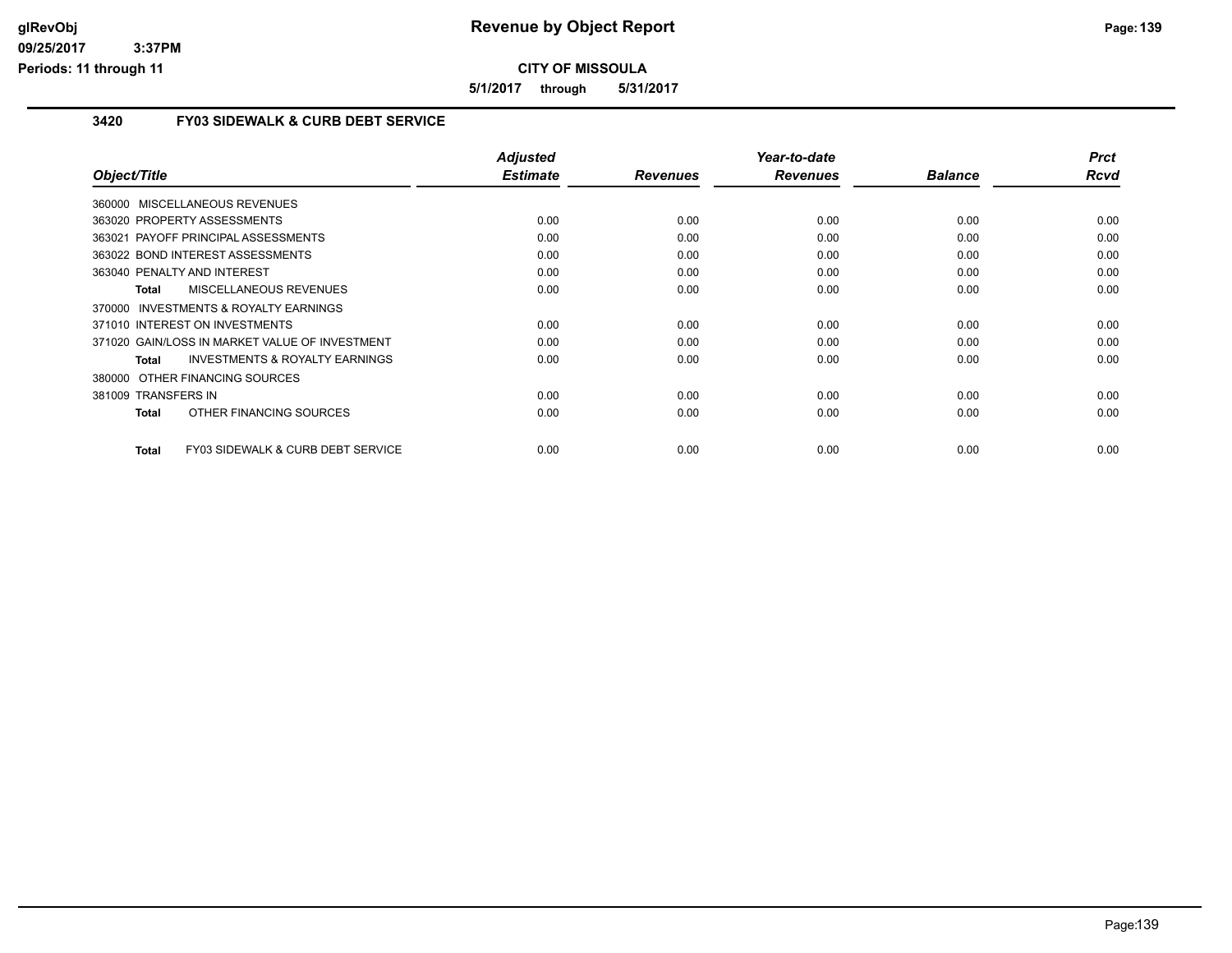**5/1/2017 through 5/31/2017**

# **3420 FY03 SIDEWALK & CURB DEBT SERVICE**

| Object/Title                                       | <b>Adjusted</b><br><b>Estimate</b> | <b>Revenues</b> | Year-to-date<br><b>Revenues</b> | <b>Balance</b> | <b>Prct</b><br>Rcvd |
|----------------------------------------------------|------------------------------------|-----------------|---------------------------------|----------------|---------------------|
| 360000 MISCELLANEOUS REVENUES                      |                                    |                 |                                 |                |                     |
|                                                    |                                    |                 |                                 |                |                     |
| 363020 PROPERTY ASSESSMENTS                        | 0.00                               | 0.00            | 0.00                            | 0.00           | 0.00                |
| 363021 PAYOFF PRINCIPAL ASSESSMENTS                | 0.00                               | 0.00            | 0.00                            | 0.00           | 0.00                |
| 363022 BOND INTEREST ASSESSMENTS                   | 0.00                               | 0.00            | 0.00                            | 0.00           | 0.00                |
| 363040 PENALTY AND INTEREST                        | 0.00                               | 0.00            | 0.00                            | 0.00           | 0.00                |
| MISCELLANEOUS REVENUES<br>Total                    | 0.00                               | 0.00            | 0.00                            | 0.00           | 0.00                |
| 370000 INVESTMENTS & ROYALTY EARNINGS              |                                    |                 |                                 |                |                     |
| 371010 INTEREST ON INVESTMENTS                     | 0.00                               | 0.00            | 0.00                            | 0.00           | 0.00                |
| 371020 GAIN/LOSS IN MARKET VALUE OF INVESTMENT     | 0.00                               | 0.00            | 0.00                            | 0.00           | 0.00                |
| <b>INVESTMENTS &amp; ROYALTY EARNINGS</b><br>Total | 0.00                               | 0.00            | 0.00                            | 0.00           | 0.00                |
| 380000 OTHER FINANCING SOURCES                     |                                    |                 |                                 |                |                     |
| 381009 TRANSFERS IN                                | 0.00                               | 0.00            | 0.00                            | 0.00           | 0.00                |
| OTHER FINANCING SOURCES<br>Total                   | 0.00                               | 0.00            | 0.00                            | 0.00           | 0.00                |
| FY03 SIDEWALK & CURB DEBT SERVICE<br>Total         | 0.00                               | 0.00            | 0.00                            | 0.00           | 0.00                |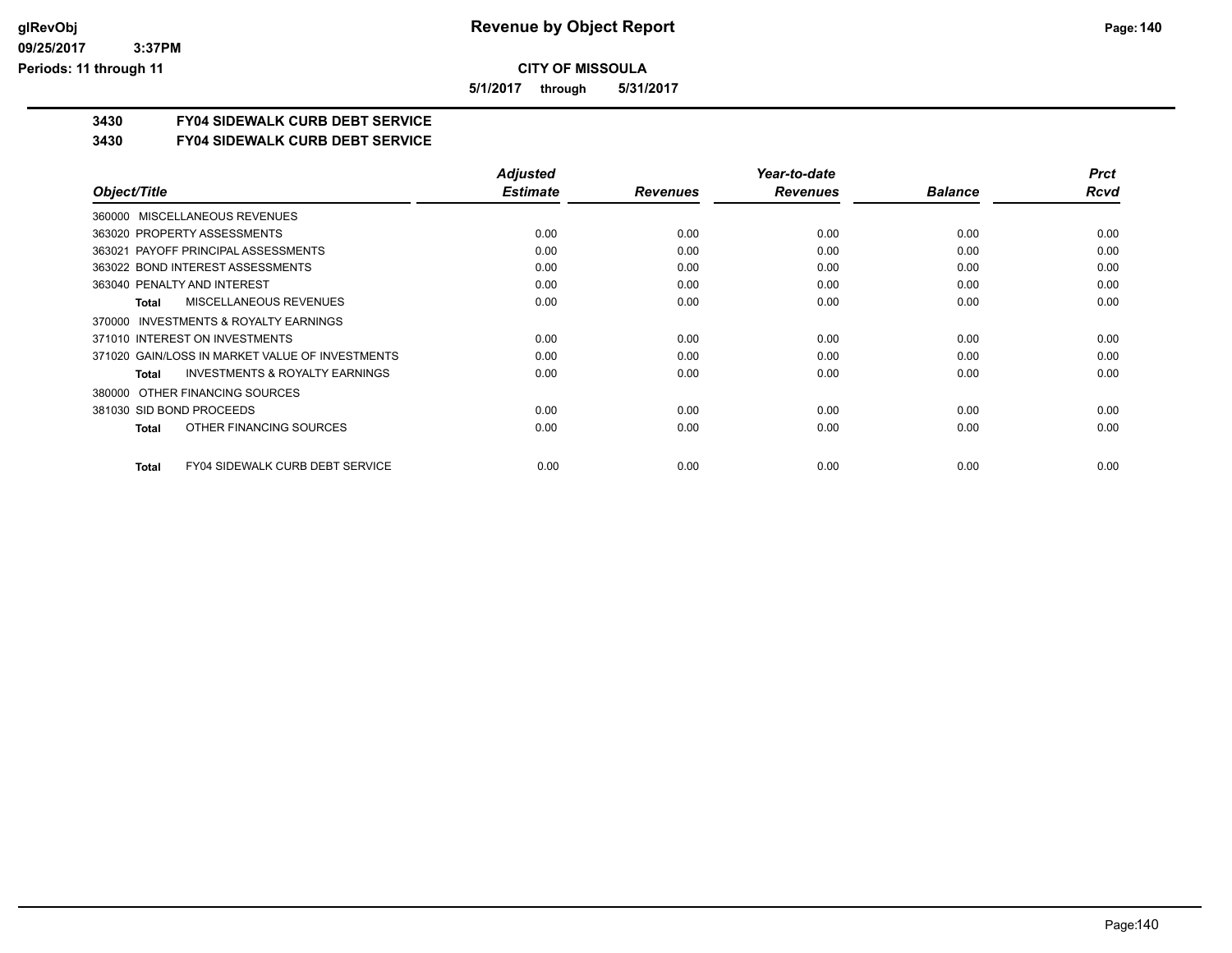**5/1/2017 through 5/31/2017**

# **3430 FY04 SIDEWALK CURB DEBT SERVICE**

# **3430 FY04 SIDEWALK CURB DEBT SERVICE**

|                                                           | <b>Adjusted</b> |                 | Year-to-date    |                | <b>Prct</b> |
|-----------------------------------------------------------|-----------------|-----------------|-----------------|----------------|-------------|
| Object/Title                                              | <b>Estimate</b> | <b>Revenues</b> | <b>Revenues</b> | <b>Balance</b> | Rcvd        |
| MISCELLANEOUS REVENUES<br>360000                          |                 |                 |                 |                |             |
| 363020 PROPERTY ASSESSMENTS                               | 0.00            | 0.00            | 0.00            | 0.00           | 0.00        |
| 363021 PAYOFF PRINCIPAL ASSESSMENTS                       | 0.00            | 0.00            | 0.00            | 0.00           | 0.00        |
| 363022 BOND INTEREST ASSESSMENTS                          | 0.00            | 0.00            | 0.00            | 0.00           | 0.00        |
| 363040 PENALTY AND INTEREST                               | 0.00            | 0.00            | 0.00            | 0.00           | 0.00        |
| MISCELLANEOUS REVENUES<br><b>Total</b>                    | 0.00            | 0.00            | 0.00            | 0.00           | 0.00        |
| 370000 INVESTMENTS & ROYALTY EARNINGS                     |                 |                 |                 |                |             |
| 371010 INTEREST ON INVESTMENTS                            | 0.00            | 0.00            | 0.00            | 0.00           | 0.00        |
| 371020 GAIN/LOSS IN MARKET VALUE OF INVESTMENTS           | 0.00            | 0.00            | 0.00            | 0.00           | 0.00        |
| <b>INVESTMENTS &amp; ROYALTY EARNINGS</b><br><b>Total</b> | 0.00            | 0.00            | 0.00            | 0.00           | 0.00        |
| OTHER FINANCING SOURCES<br>380000                         |                 |                 |                 |                |             |
| 381030 SID BOND PROCEEDS                                  | 0.00            | 0.00            | 0.00            | 0.00           | 0.00        |
| OTHER FINANCING SOURCES<br><b>Total</b>                   | 0.00            | 0.00            | 0.00            | 0.00           | 0.00        |
| FY04 SIDEWALK CURB DEBT SERVICE<br><b>Total</b>           | 0.00            | 0.00            | 0.00            | 0.00           | 0.00        |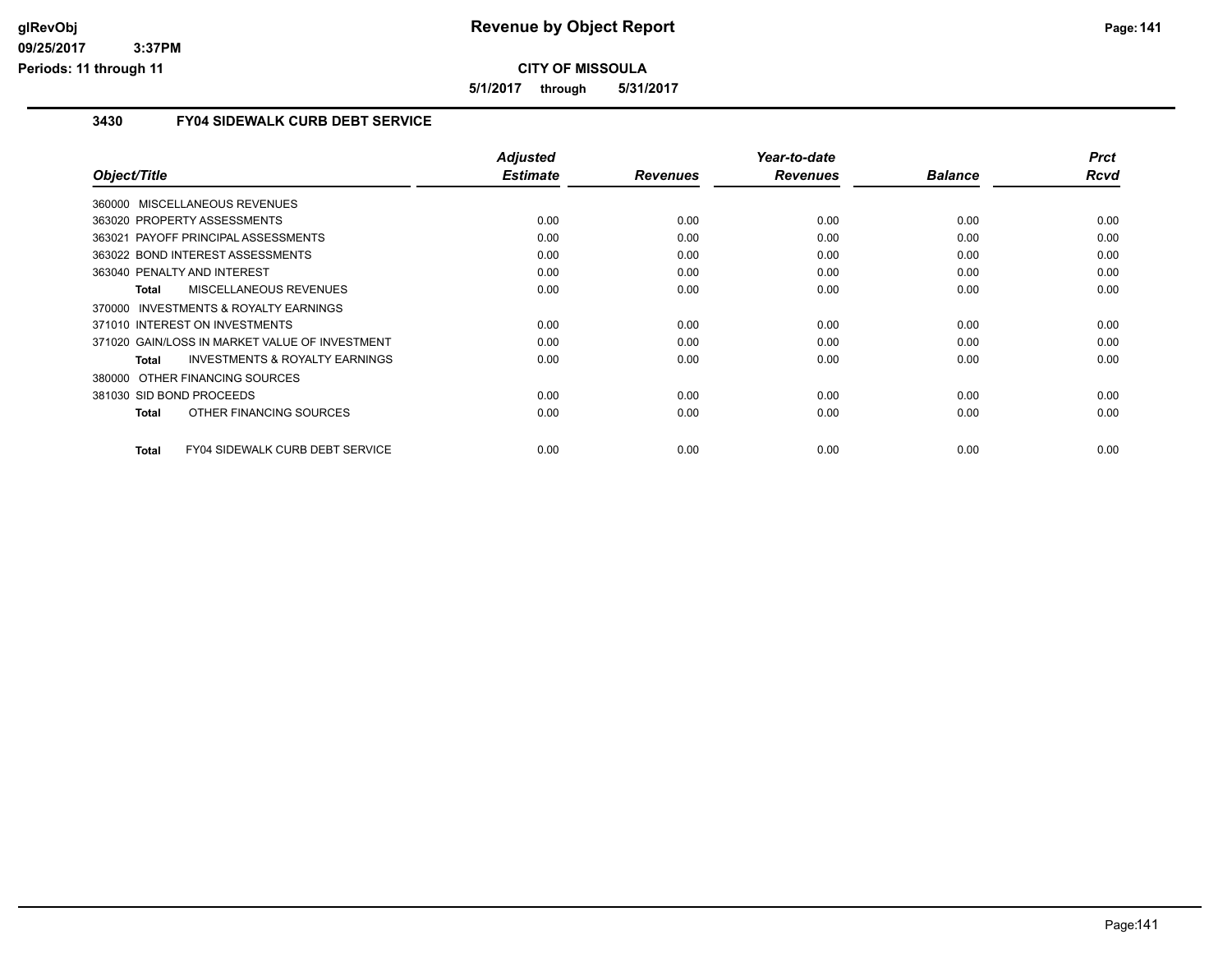**5/1/2017 through 5/31/2017**

# **3430 FY04 SIDEWALK CURB DEBT SERVICE**

| Object/Title                                        | <b>Adjusted</b><br><b>Estimate</b> | <b>Revenues</b> | Year-to-date<br><b>Revenues</b> | <b>Balance</b> | <b>Prct</b><br><b>Rcvd</b> |
|-----------------------------------------------------|------------------------------------|-----------------|---------------------------------|----------------|----------------------------|
| 360000 MISCELLANEOUS REVENUES                       |                                    |                 |                                 |                |                            |
|                                                     |                                    |                 |                                 |                |                            |
| 363020 PROPERTY ASSESSMENTS                         | 0.00                               | 0.00            | 0.00                            | 0.00           | 0.00                       |
| 363021 PAYOFF PRINCIPAL ASSESSMENTS                 | 0.00                               | 0.00            | 0.00                            | 0.00           | 0.00                       |
| 363022 BOND INTEREST ASSESSMENTS                    | 0.00                               | 0.00            | 0.00                            | 0.00           | 0.00                       |
| 363040 PENALTY AND INTEREST                         | 0.00                               | 0.00            | 0.00                            | 0.00           | 0.00                       |
| <b>MISCELLANEOUS REVENUES</b><br>Total              | 0.00                               | 0.00            | 0.00                            | 0.00           | 0.00                       |
| <b>INVESTMENTS &amp; ROYALTY EARNINGS</b><br>370000 |                                    |                 |                                 |                |                            |
| 371010 INTEREST ON INVESTMENTS                      | 0.00                               | 0.00            | 0.00                            | 0.00           | 0.00                       |
| 371020 GAIN/LOSS IN MARKET VALUE OF INVESTMENT      | 0.00                               | 0.00            | 0.00                            | 0.00           | 0.00                       |
| <b>INVESTMENTS &amp; ROYALTY EARNINGS</b><br>Total  | 0.00                               | 0.00            | 0.00                            | 0.00           | 0.00                       |
| 380000 OTHER FINANCING SOURCES                      |                                    |                 |                                 |                |                            |
| 381030 SID BOND PROCEEDS                            | 0.00                               | 0.00            | 0.00                            | 0.00           | 0.00                       |
| OTHER FINANCING SOURCES<br><b>Total</b>             | 0.00                               | 0.00            | 0.00                            | 0.00           | 0.00                       |
| FY04 SIDEWALK CURB DEBT SERVICE<br><b>Total</b>     | 0.00                               | 0.00            | 0.00                            | 0.00           | 0.00                       |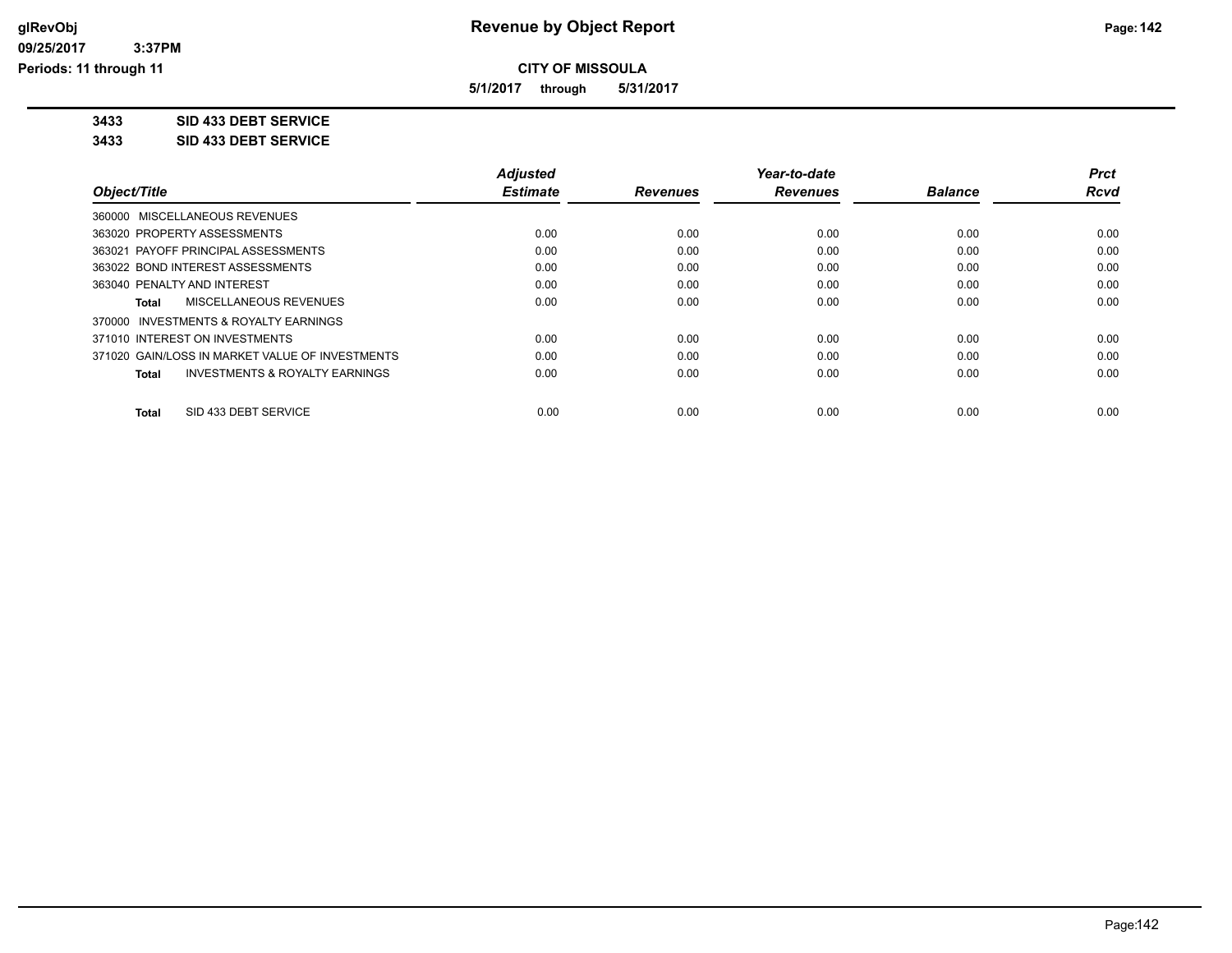**5/1/2017 through 5/31/2017**

**3433 SID 433 DEBT SERVICE**

**3433 SID 433 DEBT SERVICE**

|                                                           | <b>Adiusted</b> |                 | Year-to-date    |                | <b>Prct</b> |
|-----------------------------------------------------------|-----------------|-----------------|-----------------|----------------|-------------|
| Object/Title                                              | <b>Estimate</b> | <b>Revenues</b> | <b>Revenues</b> | <b>Balance</b> | Rcvd        |
| 360000 MISCELLANEOUS REVENUES                             |                 |                 |                 |                |             |
| 363020 PROPERTY ASSESSMENTS                               | 0.00            | 0.00            | 0.00            | 0.00           | 0.00        |
| 363021 PAYOFF PRINCIPAL ASSESSMENTS                       | 0.00            | 0.00            | 0.00            | 0.00           | 0.00        |
| 363022 BOND INTEREST ASSESSMENTS                          | 0.00            | 0.00            | 0.00            | 0.00           | 0.00        |
| 363040 PENALTY AND INTEREST                               | 0.00            | 0.00            | 0.00            | 0.00           | 0.00        |
| MISCELLANEOUS REVENUES<br>Total                           | 0.00            | 0.00            | 0.00            | 0.00           | 0.00        |
| 370000 INVESTMENTS & ROYALTY EARNINGS                     |                 |                 |                 |                |             |
| 371010 INTEREST ON INVESTMENTS                            | 0.00            | 0.00            | 0.00            | 0.00           | 0.00        |
| 371020 GAIN/LOSS IN MARKET VALUE OF INVESTMENTS           | 0.00            | 0.00            | 0.00            | 0.00           | 0.00        |
| <b>INVESTMENTS &amp; ROYALTY EARNINGS</b><br><b>Total</b> | 0.00            | 0.00            | 0.00            | 0.00           | 0.00        |
| SID 433 DEBT SERVICE<br>Total                             | 0.00            | 0.00            | 0.00            | 0.00           | 0.00        |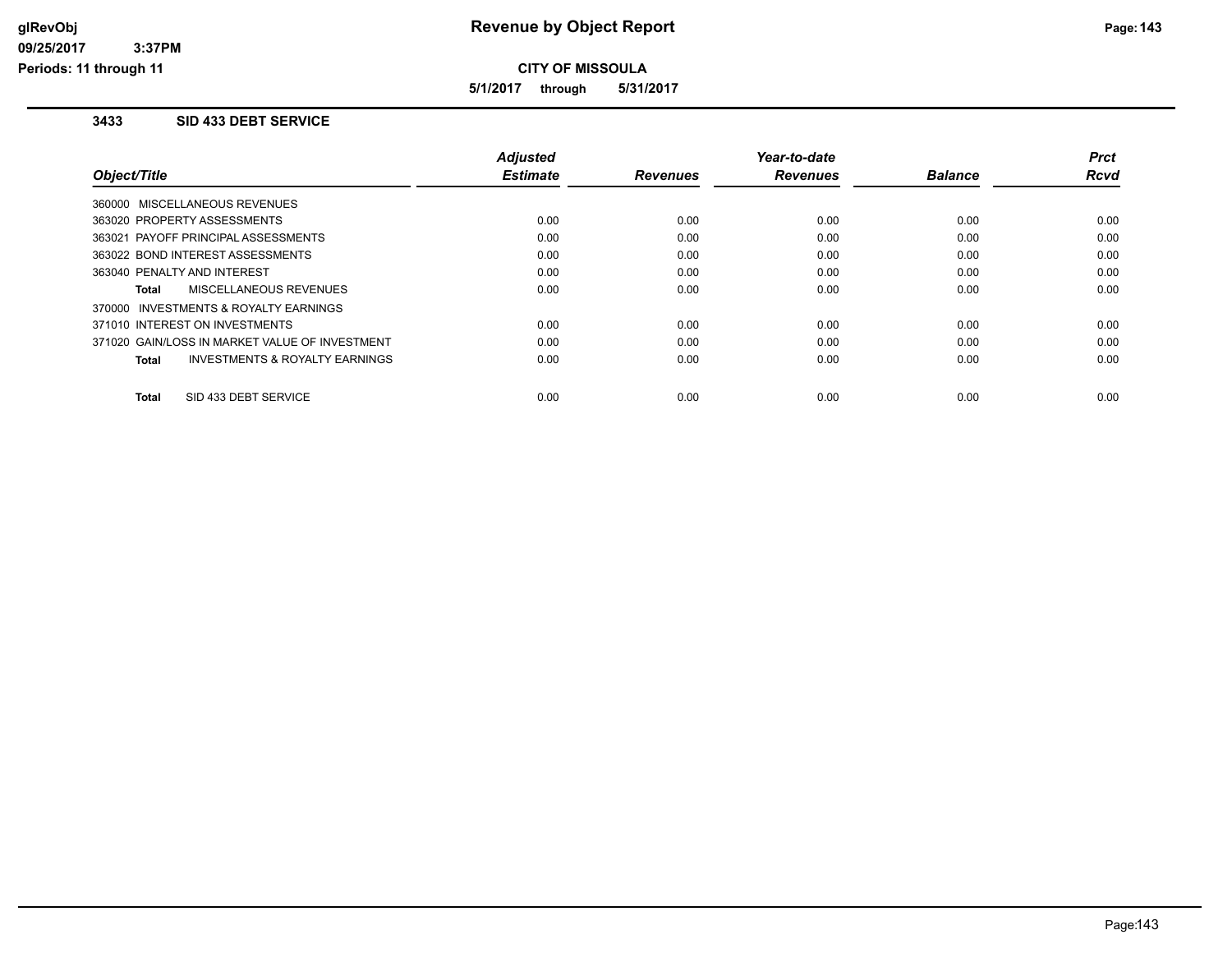**5/1/2017 through 5/31/2017**

### **3433 SID 433 DEBT SERVICE**

|                                                     | <b>Adjusted</b> |                 | Year-to-date    |                | <b>Prct</b> |
|-----------------------------------------------------|-----------------|-----------------|-----------------|----------------|-------------|
| Object/Title                                        | <b>Estimate</b> | <b>Revenues</b> | <b>Revenues</b> | <b>Balance</b> | <b>Rcvd</b> |
| 360000 MISCELLANEOUS REVENUES                       |                 |                 |                 |                |             |
| 363020 PROPERTY ASSESSMENTS                         | 0.00            | 0.00            | 0.00            | 0.00           | 0.00        |
| 363021 PAYOFF PRINCIPAL ASSESSMENTS                 | 0.00            | 0.00            | 0.00            | 0.00           | 0.00        |
| 363022 BOND INTEREST ASSESSMENTS                    | 0.00            | 0.00            | 0.00            | 0.00           | 0.00        |
| 363040 PENALTY AND INTEREST                         | 0.00            | 0.00            | 0.00            | 0.00           | 0.00        |
| MISCELLANEOUS REVENUES<br>Total                     | 0.00            | 0.00            | 0.00            | 0.00           | 0.00        |
| <b>INVESTMENTS &amp; ROYALTY EARNINGS</b><br>370000 |                 |                 |                 |                |             |
| 371010 INTEREST ON INVESTMENTS                      | 0.00            | 0.00            | 0.00            | 0.00           | 0.00        |
| 371020 GAIN/LOSS IN MARKET VALUE OF INVESTMENT      | 0.00            | 0.00            | 0.00            | 0.00           | 0.00        |
| <b>INVESTMENTS &amp; ROYALTY EARNINGS</b><br>Total  | 0.00            | 0.00            | 0.00            | 0.00           | 0.00        |
|                                                     |                 |                 |                 |                |             |
| SID 433 DEBT SERVICE<br>Total                       | 0.00            | 0.00            | 0.00            | 0.00           | 0.00        |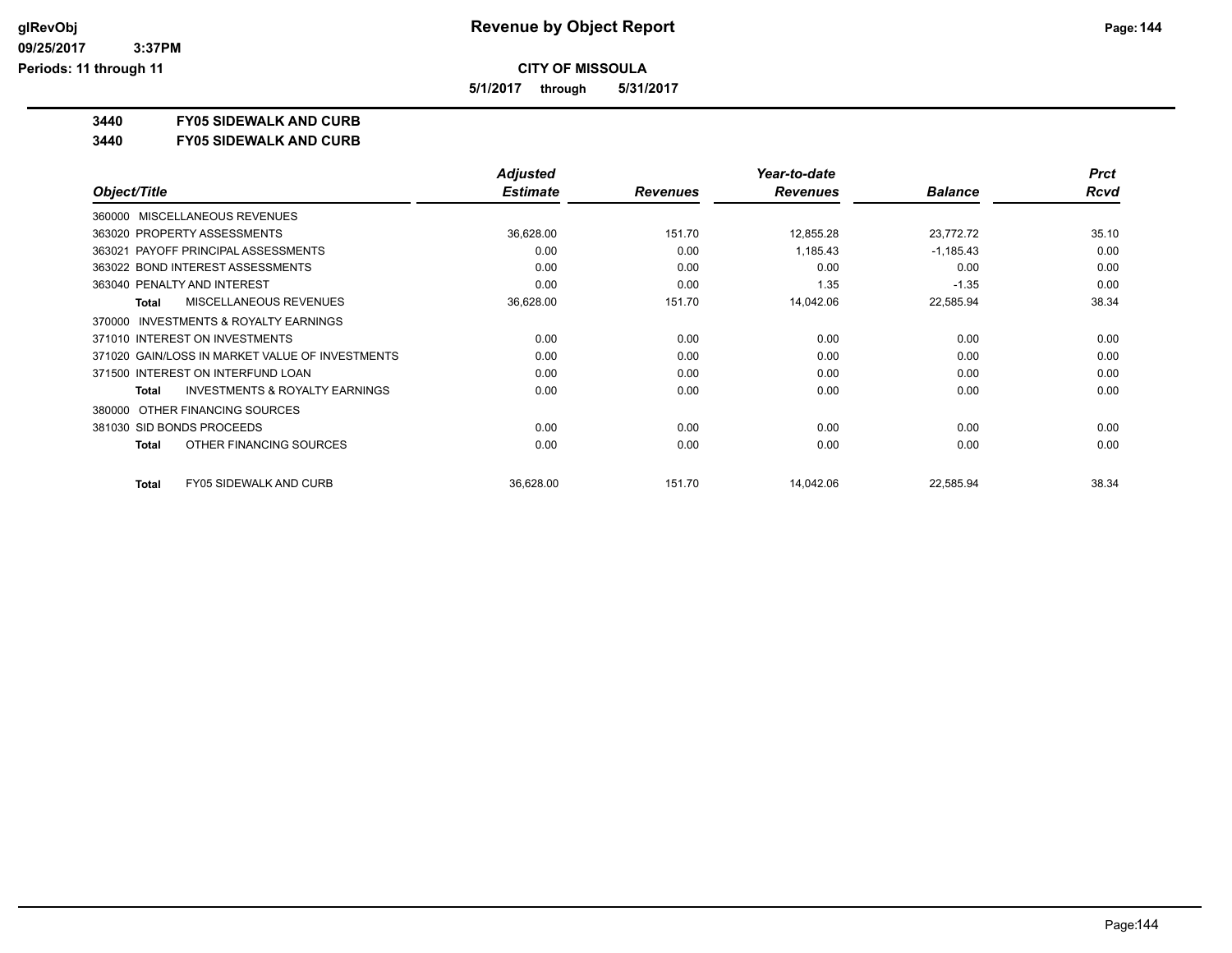**5/1/2017 through 5/31/2017**

**3440 FY05 SIDEWALK AND CURB**

**3440 FY05 SIDEWALK AND CURB**

|                                                    | <b>Adjusted</b> |                 | Year-to-date    |                | <b>Prct</b> |
|----------------------------------------------------|-----------------|-----------------|-----------------|----------------|-------------|
| Object/Title                                       | <b>Estimate</b> | <b>Revenues</b> | <b>Revenues</b> | <b>Balance</b> | <b>Rcvd</b> |
| MISCELLANEOUS REVENUES<br>360000                   |                 |                 |                 |                |             |
| 363020 PROPERTY ASSESSMENTS                        | 36,628.00       | 151.70          | 12,855.28       | 23,772.72      | 35.10       |
| 363021 PAYOFF PRINCIPAL ASSESSMENTS                | 0.00            | 0.00            | 1,185.43        | $-1,185.43$    | 0.00        |
| 363022 BOND INTEREST ASSESSMENTS                   | 0.00            | 0.00            | 0.00            | 0.00           | 0.00        |
| 363040 PENALTY AND INTEREST                        | 0.00            | 0.00            | 1.35            | $-1.35$        | 0.00        |
| <b>MISCELLANEOUS REVENUES</b><br><b>Total</b>      | 36,628.00       | 151.70          | 14,042.06       | 22,585.94      | 38.34       |
| 370000 INVESTMENTS & ROYALTY EARNINGS              |                 |                 |                 |                |             |
| 371010 INTEREST ON INVESTMENTS                     | 0.00            | 0.00            | 0.00            | 0.00           | 0.00        |
| 371020 GAIN/LOSS IN MARKET VALUE OF INVESTMENTS    | 0.00            | 0.00            | 0.00            | 0.00           | 0.00        |
| 371500 INTEREST ON INTERFUND LOAN                  | 0.00            | 0.00            | 0.00            | 0.00           | 0.00        |
| <b>INVESTMENTS &amp; ROYALTY EARNINGS</b><br>Total | 0.00            | 0.00            | 0.00            | 0.00           | 0.00        |
| OTHER FINANCING SOURCES<br>380000                  |                 |                 |                 |                |             |
| 381030 SID BONDS PROCEEDS                          | 0.00            | 0.00            | 0.00            | 0.00           | 0.00        |
| OTHER FINANCING SOURCES<br>Total                   | 0.00            | 0.00            | 0.00            | 0.00           | 0.00        |
| <b>FY05 SIDEWALK AND CURB</b><br><b>Total</b>      | 36,628.00       | 151.70          | 14,042.06       | 22,585.94      | 38.34       |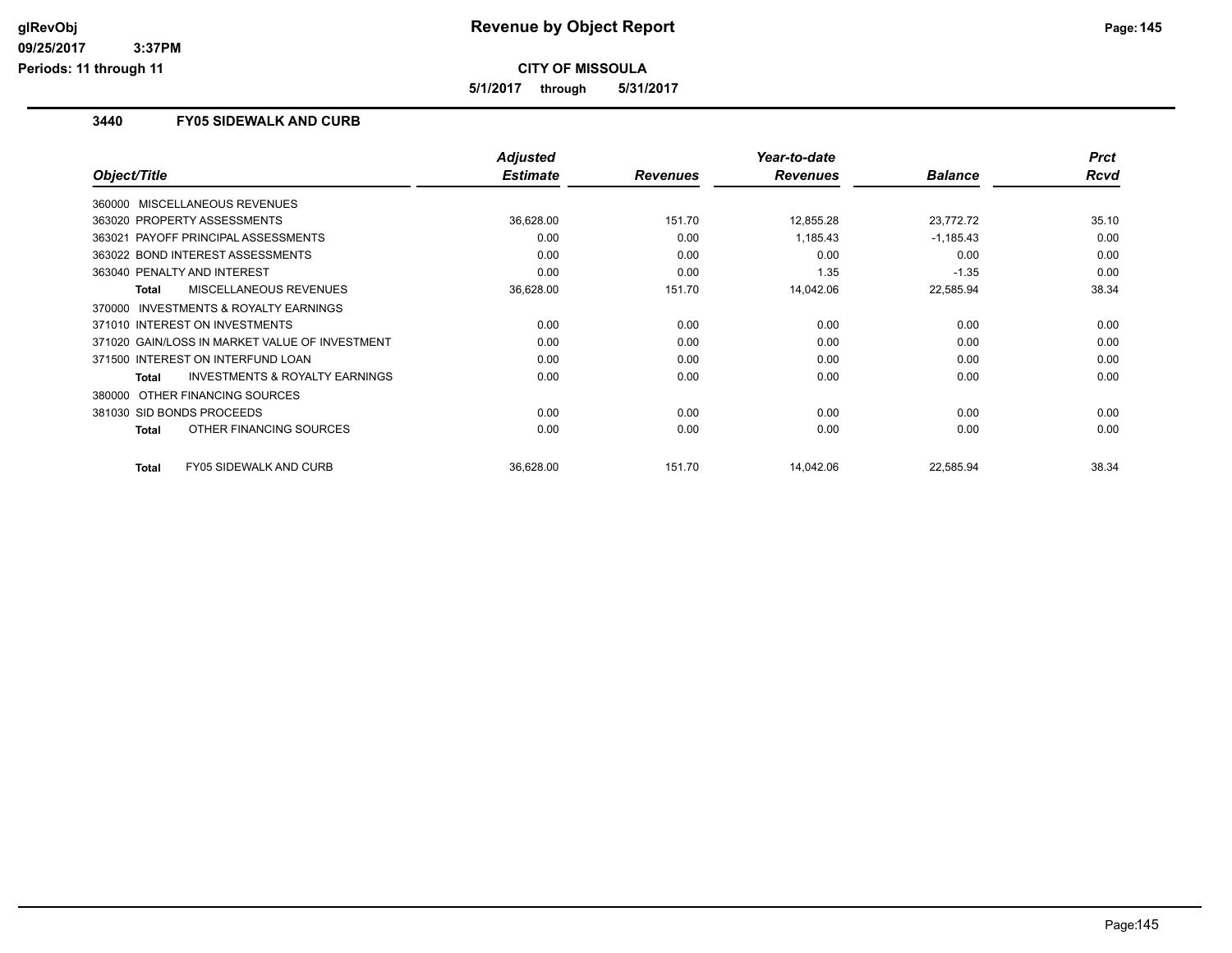**5/1/2017 through 5/31/2017**

# **3440 FY05 SIDEWALK AND CURB**

|                                                    | <b>Adjusted</b> |                 | Year-to-date    |                | <b>Prct</b> |
|----------------------------------------------------|-----------------|-----------------|-----------------|----------------|-------------|
| Object/Title                                       | <b>Estimate</b> | <b>Revenues</b> | <b>Revenues</b> | <b>Balance</b> | Rcvd        |
| 360000 MISCELLANEOUS REVENUES                      |                 |                 |                 |                |             |
| 363020 PROPERTY ASSESSMENTS                        | 36,628.00       | 151.70          | 12,855.28       | 23,772.72      | 35.10       |
| 363021 PAYOFF PRINCIPAL ASSESSMENTS                | 0.00            | 0.00            | 1,185.43        | $-1,185.43$    | 0.00        |
| 363022 BOND INTEREST ASSESSMENTS                   | 0.00            | 0.00            | 0.00            | 0.00           | 0.00        |
| 363040 PENALTY AND INTEREST                        | 0.00            | 0.00            | 1.35            | $-1.35$        | 0.00        |
| <b>MISCELLANEOUS REVENUES</b><br>Total             | 36,628.00       | 151.70          | 14,042.06       | 22,585.94      | 38.34       |
| 370000 INVESTMENTS & ROYALTY EARNINGS              |                 |                 |                 |                |             |
| 371010 INTEREST ON INVESTMENTS                     | 0.00            | 0.00            | 0.00            | 0.00           | 0.00        |
| 371020 GAIN/LOSS IN MARKET VALUE OF INVESTMENT     | 0.00            | 0.00            | 0.00            | 0.00           | 0.00        |
| 371500 INTEREST ON INTERFUND LOAN                  | 0.00            | 0.00            | 0.00            | 0.00           | 0.00        |
| <b>INVESTMENTS &amp; ROYALTY EARNINGS</b><br>Total | 0.00            | 0.00            | 0.00            | 0.00           | 0.00        |
| 380000 OTHER FINANCING SOURCES                     |                 |                 |                 |                |             |
| 381030 SID BONDS PROCEEDS                          | 0.00            | 0.00            | 0.00            | 0.00           | 0.00        |
| OTHER FINANCING SOURCES<br>Total                   | 0.00            | 0.00            | 0.00            | 0.00           | 0.00        |
| <b>FY05 SIDEWALK AND CURB</b><br><b>Total</b>      | 36,628.00       | 151.70          | 14,042.06       | 22,585.94      | 38.34       |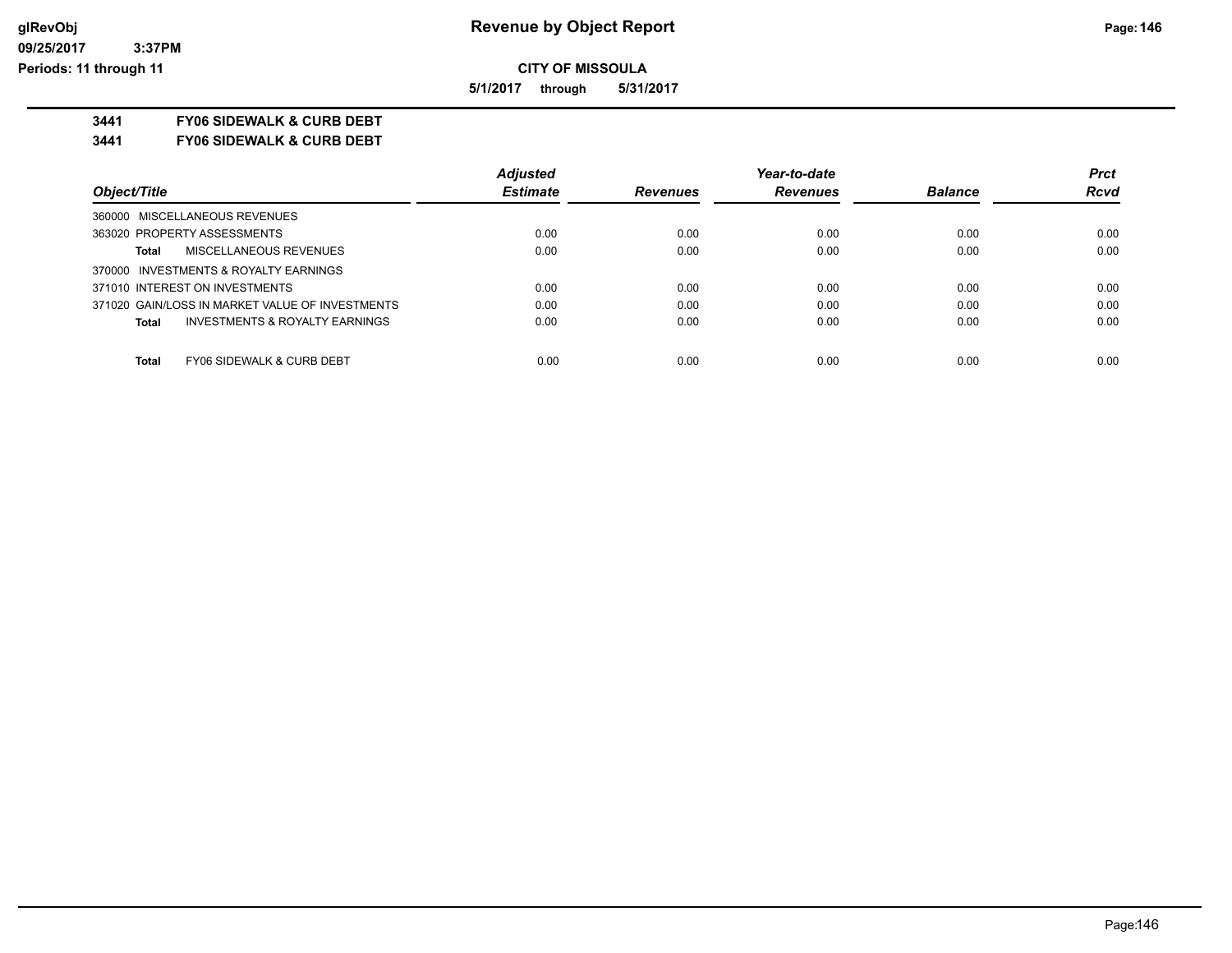**5/1/2017 through 5/31/2017**

**3441 FY06 SIDEWALK & CURB DEBT**

**3441 FY06 SIDEWALK & CURB DEBT**

|                                                 | <b>Adjusted</b> |                 | Year-to-date    |                | <b>Prct</b> |
|-------------------------------------------------|-----------------|-----------------|-----------------|----------------|-------------|
| Object/Title                                    | <b>Estimate</b> | <b>Revenues</b> | <b>Revenues</b> | <b>Balance</b> | <b>Rcvd</b> |
| 360000 MISCELLANEOUS REVENUES                   |                 |                 |                 |                |             |
| 363020 PROPERTY ASSESSMENTS                     | 0.00            | 0.00            | 0.00            | 0.00           | 0.00        |
| MISCELLANEOUS REVENUES<br>Total                 | 0.00            | 0.00            | 0.00            | 0.00           | 0.00        |
| 370000 INVESTMENTS & ROYALTY EARNINGS           |                 |                 |                 |                |             |
| 371010 INTEREST ON INVESTMENTS                  | 0.00            | 0.00            | 0.00            | 0.00           | 0.00        |
| 371020 GAIN/LOSS IN MARKET VALUE OF INVESTMENTS | 0.00            | 0.00            | 0.00            | 0.00           | 0.00        |
| INVESTMENTS & ROYALTY EARNINGS<br>Total         | 0.00            | 0.00            | 0.00            | 0.00           | 0.00        |
|                                                 |                 |                 |                 |                |             |
| Total<br><b>FY06 SIDEWALK &amp; CURB DEBT</b>   | 0.00            | 0.00            | 0.00            | 0.00           | 0.00        |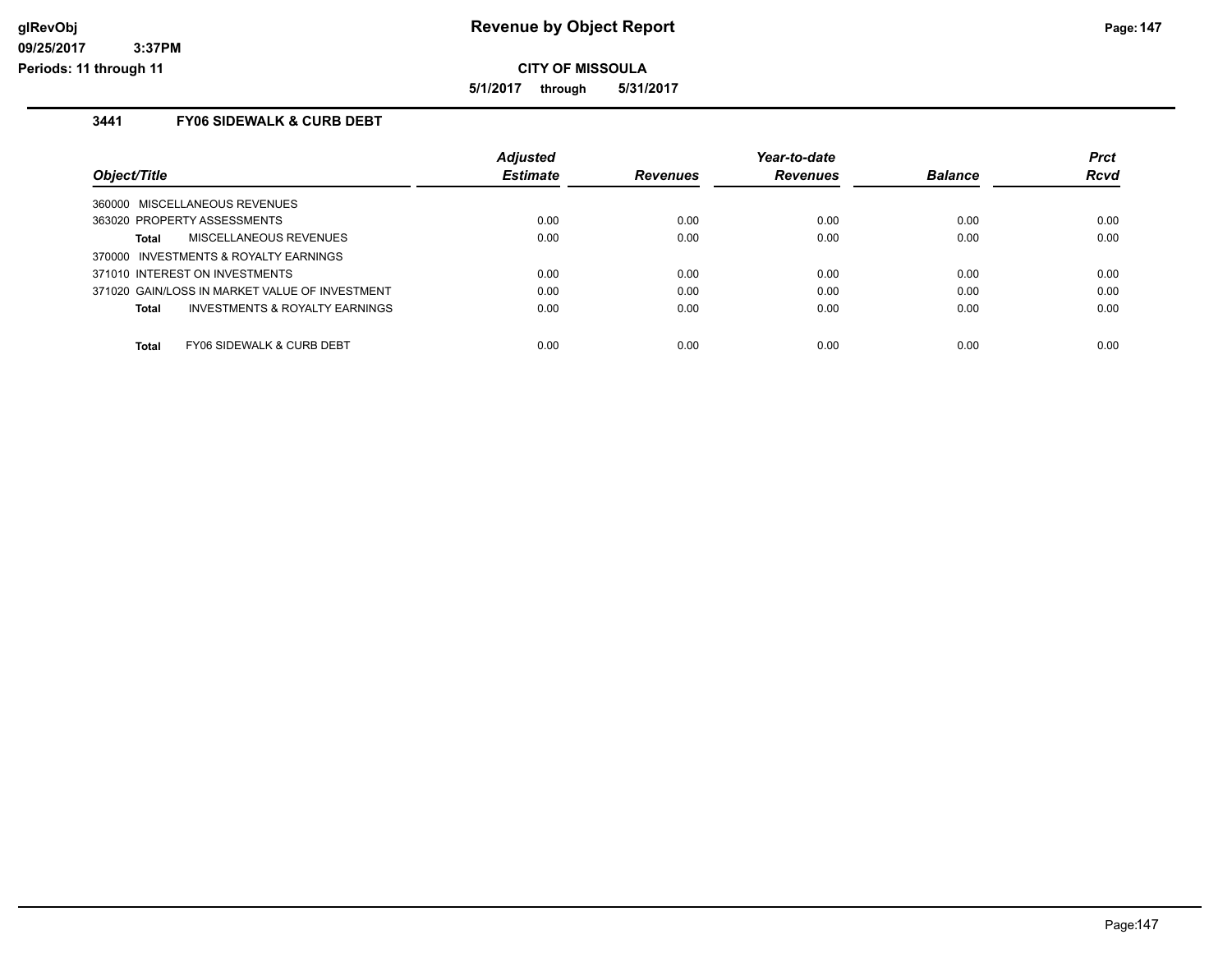**CITY OF MISSOULA**

**5/1/2017 through 5/31/2017**

## **3441 FY06 SIDEWALK & CURB DEBT**

 **3:37PM**

|                                                    | <b>Adjusted</b> |                 | Year-to-date    |                | <b>Prct</b> |
|----------------------------------------------------|-----------------|-----------------|-----------------|----------------|-------------|
| Object/Title                                       | <b>Estimate</b> | <b>Revenues</b> | <b>Revenues</b> | <b>Balance</b> | <b>Rcvd</b> |
| 360000 MISCELLANEOUS REVENUES                      |                 |                 |                 |                |             |
| 363020 PROPERTY ASSESSMENTS                        | 0.00            | 0.00            | 0.00            | 0.00           | 0.00        |
| MISCELLANEOUS REVENUES<br>Total                    | 0.00            | 0.00            | 0.00            | 0.00           | 0.00        |
| 370000 INVESTMENTS & ROYALTY EARNINGS              |                 |                 |                 |                |             |
| 371010 INTEREST ON INVESTMENTS                     | 0.00            | 0.00            | 0.00            | 0.00           | 0.00        |
| 371020 GAIN/LOSS IN MARKET VALUE OF INVESTMENT     | 0.00            | 0.00            | 0.00            | 0.00           | 0.00        |
| <b>INVESTMENTS &amp; ROYALTY EARNINGS</b><br>Total | 0.00            | 0.00            | 0.00            | 0.00           | 0.00        |
|                                                    |                 |                 |                 |                |             |
| Total<br><b>FY06 SIDEWALK &amp; CURB DEBT</b>      | 0.00            | 0.00            | 0.00            | 0.00           | 0.00        |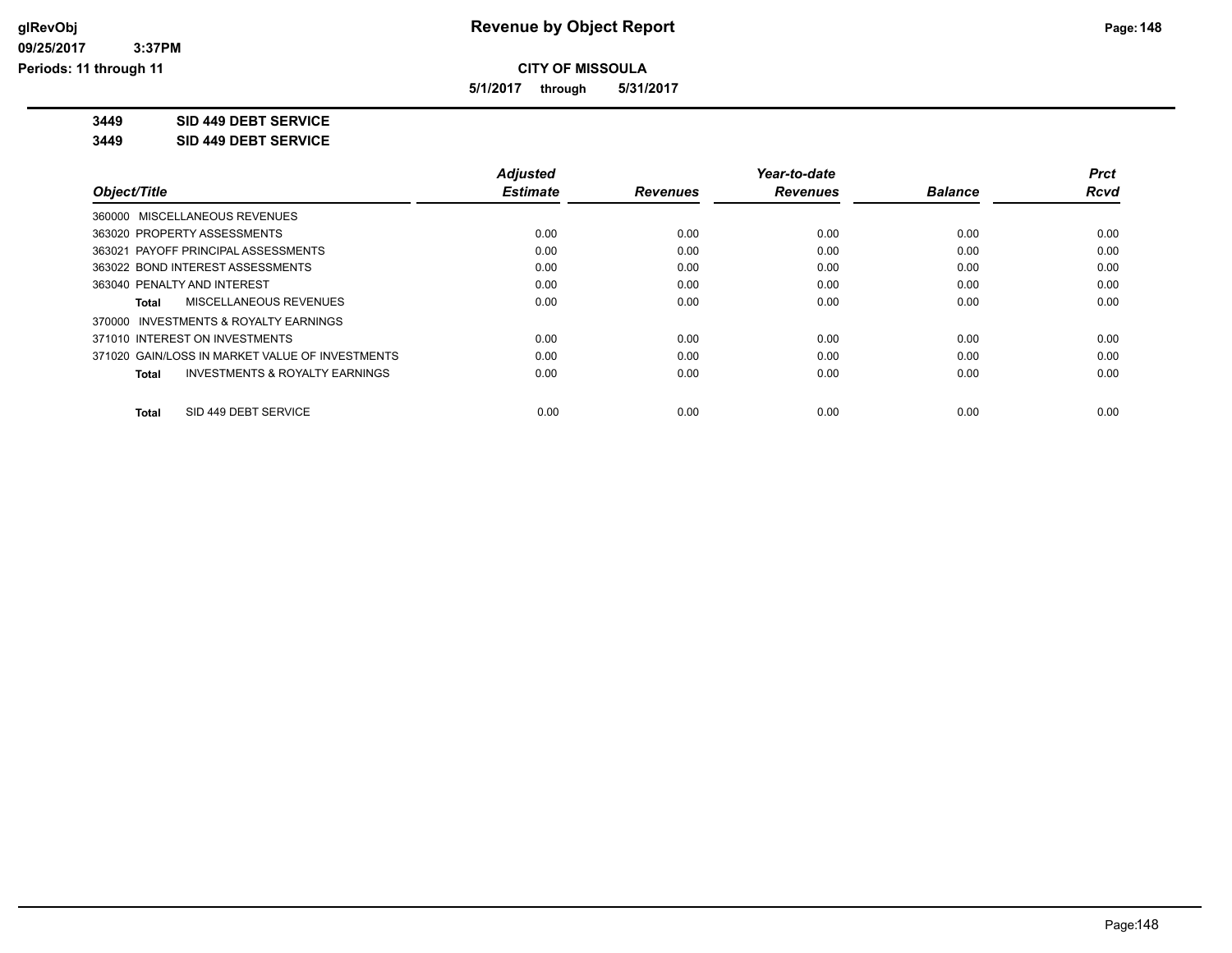**5/1/2017 through 5/31/2017**

**3449 SID 449 DEBT SERVICE**

**3449 SID 449 DEBT SERVICE**

|                                                    | <b>Adjusted</b> |                 | Year-to-date    |                | <b>Prct</b> |
|----------------------------------------------------|-----------------|-----------------|-----------------|----------------|-------------|
| Object/Title                                       | <b>Estimate</b> | <b>Revenues</b> | <b>Revenues</b> | <b>Balance</b> | <b>Rcvd</b> |
| 360000 MISCELLANEOUS REVENUES                      |                 |                 |                 |                |             |
| 363020 PROPERTY ASSESSMENTS                        | 0.00            | 0.00            | 0.00            | 0.00           | 0.00        |
| 363021 PAYOFF PRINCIPAL ASSESSMENTS                | 0.00            | 0.00            | 0.00            | 0.00           | 0.00        |
| 363022 BOND INTEREST ASSESSMENTS                   | 0.00            | 0.00            | 0.00            | 0.00           | 0.00        |
| 363040 PENALTY AND INTEREST                        | 0.00            | 0.00            | 0.00            | 0.00           | 0.00        |
| MISCELLANEOUS REVENUES<br>Total                    | 0.00            | 0.00            | 0.00            | 0.00           | 0.00        |
| 370000 INVESTMENTS & ROYALTY EARNINGS              |                 |                 |                 |                |             |
| 371010 INTEREST ON INVESTMENTS                     | 0.00            | 0.00            | 0.00            | 0.00           | 0.00        |
| 371020 GAIN/LOSS IN MARKET VALUE OF INVESTMENTS    | 0.00            | 0.00            | 0.00            | 0.00           | 0.00        |
| <b>INVESTMENTS &amp; ROYALTY EARNINGS</b><br>Total | 0.00            | 0.00            | 0.00            | 0.00           | 0.00        |
| SID 449 DEBT SERVICE<br>Total                      | 0.00            | 0.00            | 0.00            | 0.00           | 0.00        |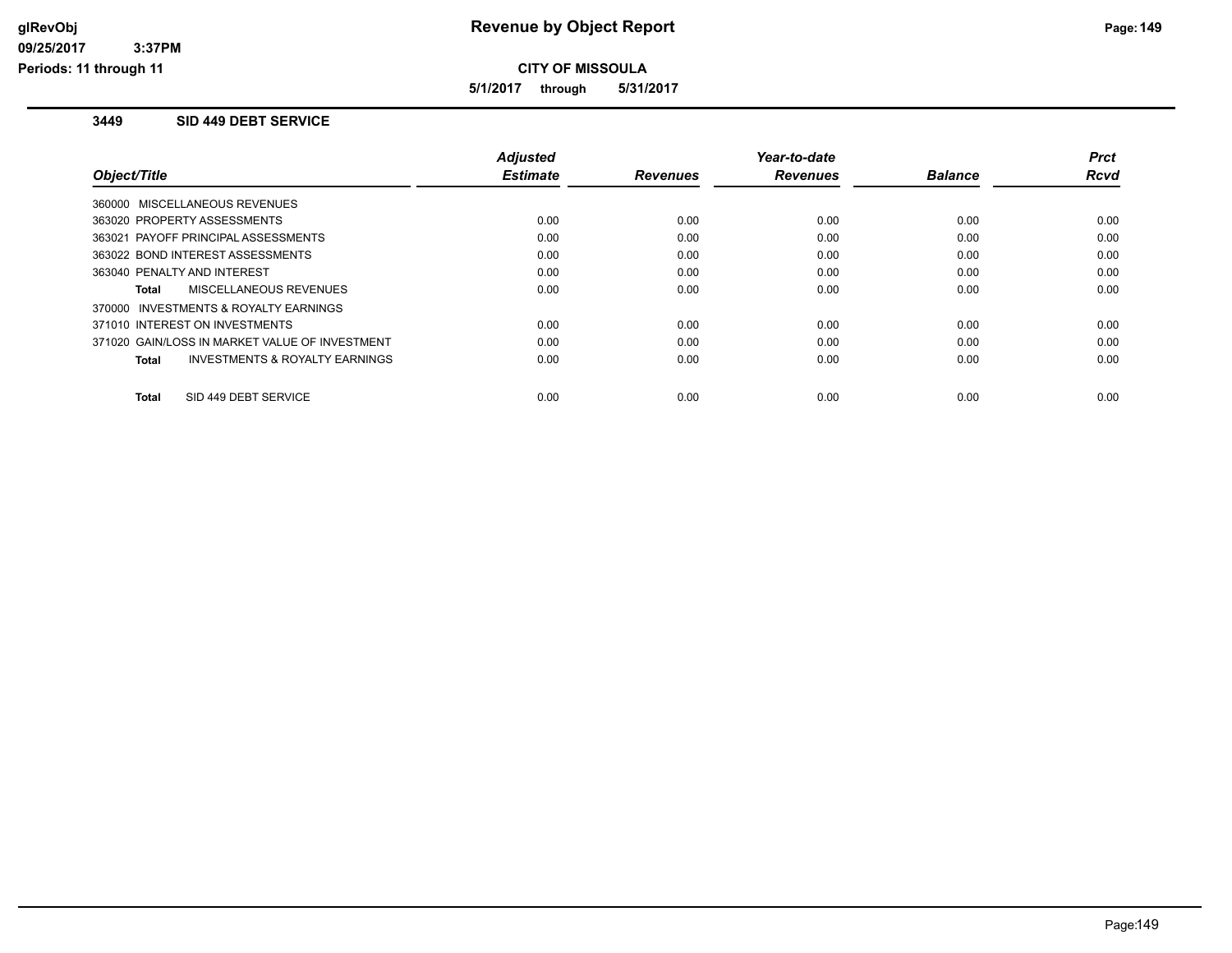**5/1/2017 through 5/31/2017**

### **3449 SID 449 DEBT SERVICE**

|                                                           | <b>Adjusted</b> |                 | Year-to-date    |                | <b>Prct</b> |
|-----------------------------------------------------------|-----------------|-----------------|-----------------|----------------|-------------|
| Object/Title                                              | <b>Estimate</b> | <b>Revenues</b> | <b>Revenues</b> | <b>Balance</b> | <b>Rcvd</b> |
| 360000 MISCELLANEOUS REVENUES                             |                 |                 |                 |                |             |
| 363020 PROPERTY ASSESSMENTS                               | 0.00            | 0.00            | 0.00            | 0.00           | 0.00        |
| 363021 PAYOFF PRINCIPAL ASSESSMENTS                       | 0.00            | 0.00            | 0.00            | 0.00           | 0.00        |
| 363022 BOND INTEREST ASSESSMENTS                          | 0.00            | 0.00            | 0.00            | 0.00           | 0.00        |
| 363040 PENALTY AND INTEREST                               | 0.00            | 0.00            | 0.00            | 0.00           | 0.00        |
| MISCELLANEOUS REVENUES<br>Total                           | 0.00            | 0.00            | 0.00            | 0.00           | 0.00        |
| INVESTMENTS & ROYALTY EARNINGS<br>370000                  |                 |                 |                 |                |             |
| 371010 INTEREST ON INVESTMENTS                            | 0.00            | 0.00            | 0.00            | 0.00           | 0.00        |
| 371020 GAIN/LOSS IN MARKET VALUE OF INVESTMENT            | 0.00            | 0.00            | 0.00            | 0.00           | 0.00        |
| <b>INVESTMENTS &amp; ROYALTY EARNINGS</b><br><b>Total</b> | 0.00            | 0.00            | 0.00            | 0.00           | 0.00        |
|                                                           |                 |                 |                 |                |             |
| SID 449 DEBT SERVICE<br><b>Total</b>                      | 0.00            | 0.00            | 0.00            | 0.00           | 0.00        |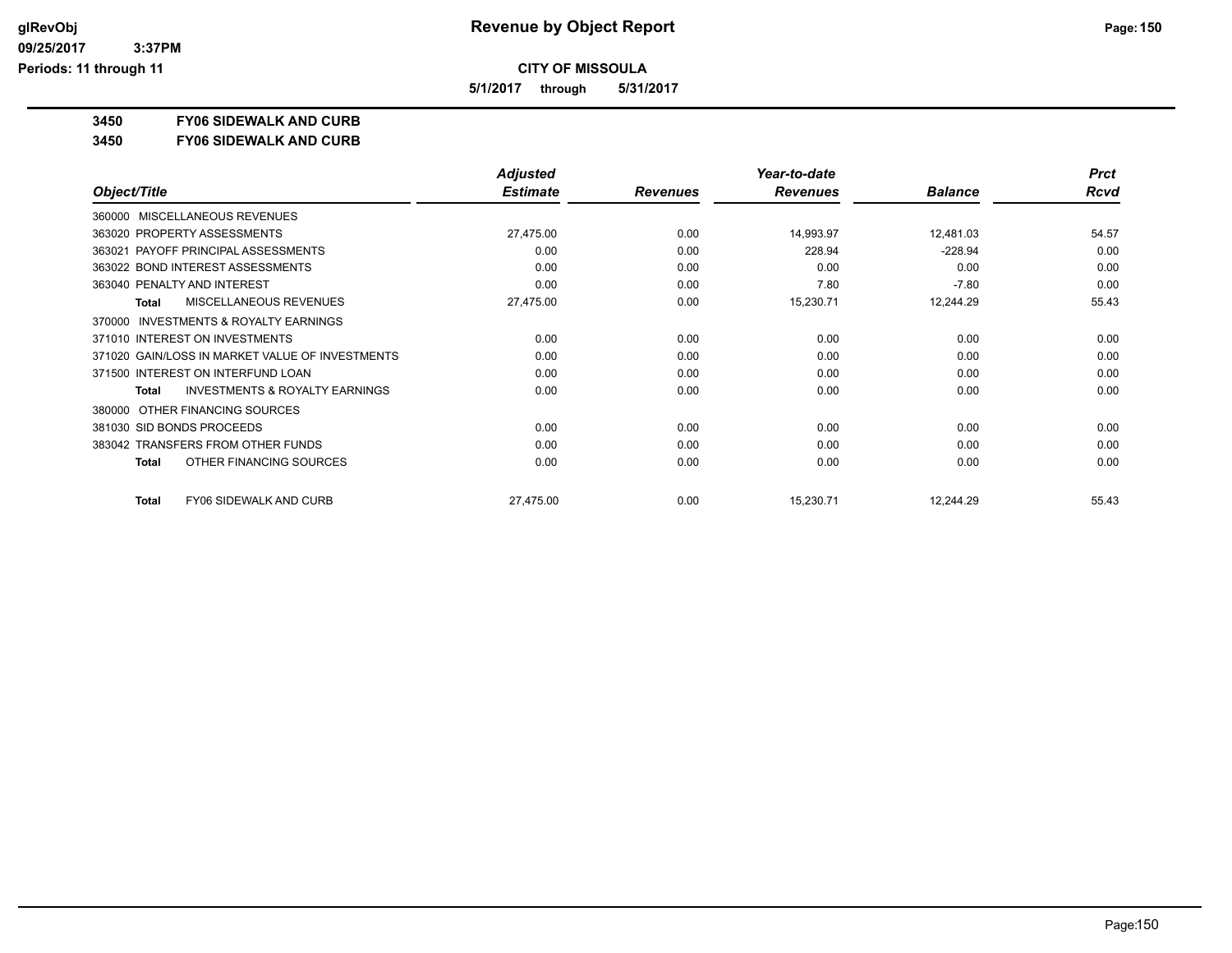**5/1/2017 through 5/31/2017**

**3450 FY06 SIDEWALK AND CURB**

**3450 FY06 SIDEWALK AND CURB**

|                                                           | <b>Adjusted</b> |                 | Year-to-date    |                | <b>Prct</b> |
|-----------------------------------------------------------|-----------------|-----------------|-----------------|----------------|-------------|
| Object/Title                                              | <b>Estimate</b> | <b>Revenues</b> | <b>Revenues</b> | <b>Balance</b> | <b>Rcvd</b> |
| MISCELLANEOUS REVENUES<br>360000                          |                 |                 |                 |                |             |
| 363020 PROPERTY ASSESSMENTS                               | 27,475.00       | 0.00            | 14,993.97       | 12,481.03      | 54.57       |
| 363021 PAYOFF PRINCIPAL ASSESSMENTS                       | 0.00            | 0.00            | 228.94          | $-228.94$      | 0.00        |
| 363022 BOND INTEREST ASSESSMENTS                          | 0.00            | 0.00            | 0.00            | 0.00           | 0.00        |
| 363040 PENALTY AND INTEREST                               | 0.00            | 0.00            | 7.80            | $-7.80$        | 0.00        |
| MISCELLANEOUS REVENUES<br><b>Total</b>                    | 27,475.00       | 0.00            | 15,230.71       | 12,244.29      | 55.43       |
| <b>INVESTMENTS &amp; ROYALTY EARNINGS</b><br>370000       |                 |                 |                 |                |             |
| 371010 INTEREST ON INVESTMENTS                            | 0.00            | 0.00            | 0.00            | 0.00           | 0.00        |
| 371020 GAIN/LOSS IN MARKET VALUE OF INVESTMENTS           | 0.00            | 0.00            | 0.00            | 0.00           | 0.00        |
| 371500 INTEREST ON INTERFUND LOAN                         | 0.00            | 0.00            | 0.00            | 0.00           | 0.00        |
| <b>INVESTMENTS &amp; ROYALTY EARNINGS</b><br><b>Total</b> | 0.00            | 0.00            | 0.00            | 0.00           | 0.00        |
| OTHER FINANCING SOURCES<br>380000                         |                 |                 |                 |                |             |
| 381030 SID BONDS PROCEEDS                                 | 0.00            | 0.00            | 0.00            | 0.00           | 0.00        |
| 383042 TRANSFERS FROM OTHER FUNDS                         | 0.00            | 0.00            | 0.00            | 0.00           | 0.00        |
| OTHER FINANCING SOURCES<br><b>Total</b>                   | 0.00            | 0.00            | 0.00            | 0.00           | 0.00        |
| FY06 SIDEWALK AND CURB<br>Total                           | 27,475.00       | 0.00            | 15,230.71       | 12,244.29      | 55.43       |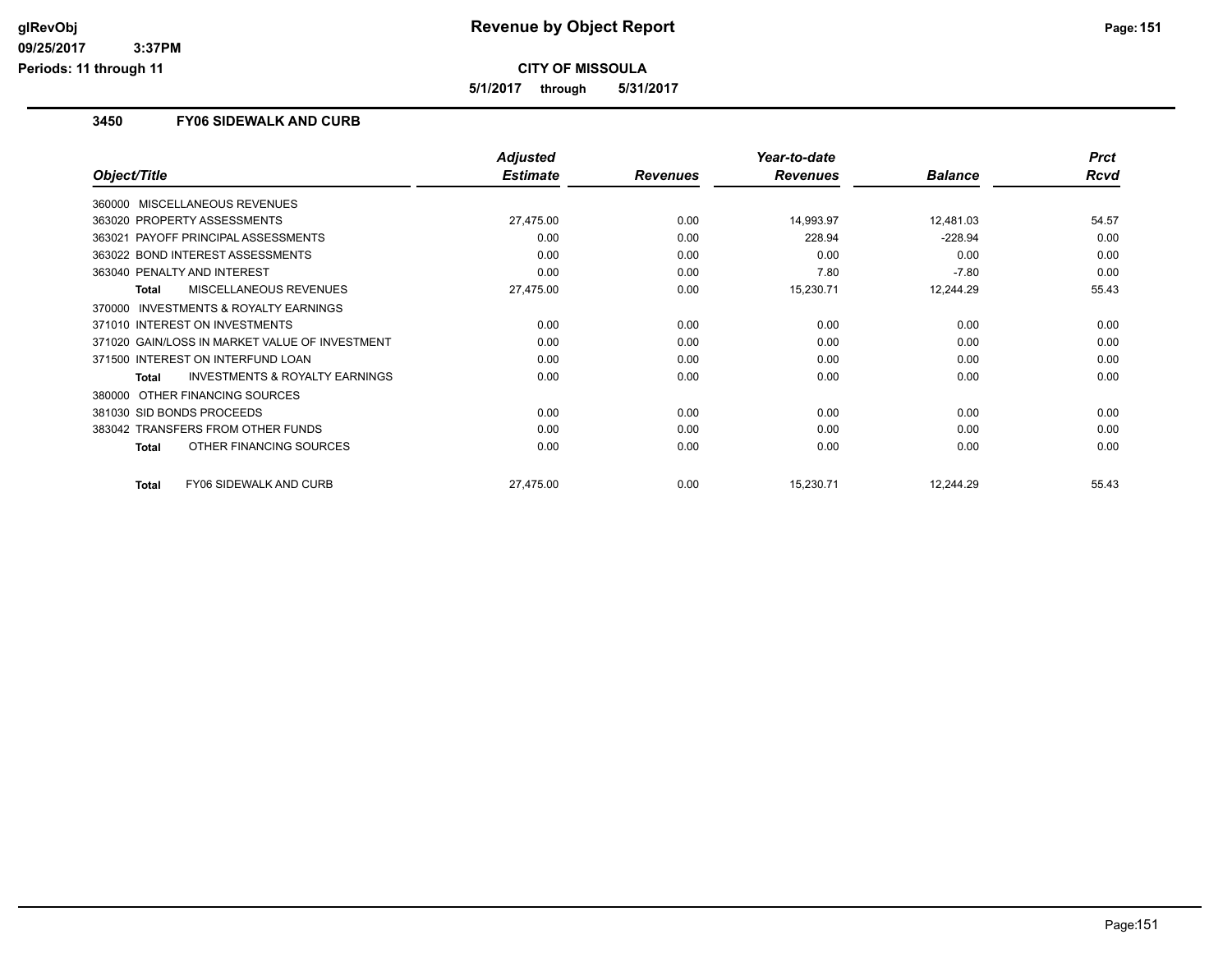**5/1/2017 through 5/31/2017**

## **3450 FY06 SIDEWALK AND CURB**

|                                                    | <b>Adjusted</b> |                 | Year-to-date    |                | <b>Prct</b> |
|----------------------------------------------------|-----------------|-----------------|-----------------|----------------|-------------|
| Object/Title                                       | <b>Estimate</b> | <b>Revenues</b> | <b>Revenues</b> | <b>Balance</b> | <b>Rcvd</b> |
| 360000 MISCELLANEOUS REVENUES                      |                 |                 |                 |                |             |
| 363020 PROPERTY ASSESSMENTS                        | 27,475.00       | 0.00            | 14,993.97       | 12,481.03      | 54.57       |
| PAYOFF PRINCIPAL ASSESSMENTS<br>363021             | 0.00            | 0.00            | 228.94          | $-228.94$      | 0.00        |
| 363022 BOND INTEREST ASSESSMENTS                   | 0.00            | 0.00            | 0.00            | 0.00           | 0.00        |
| 363040 PENALTY AND INTEREST                        | 0.00            | 0.00            | 7.80            | $-7.80$        | 0.00        |
| <b>MISCELLANEOUS REVENUES</b><br>Total             | 27,475.00       | 0.00            | 15,230.71       | 12,244.29      | 55.43       |
| 370000 INVESTMENTS & ROYALTY EARNINGS              |                 |                 |                 |                |             |
| 371010 INTEREST ON INVESTMENTS                     | 0.00            | 0.00            | 0.00            | 0.00           | 0.00        |
| 371020 GAIN/LOSS IN MARKET VALUE OF INVESTMENT     | 0.00            | 0.00            | 0.00            | 0.00           | 0.00        |
| 371500 INTEREST ON INTERFUND LOAN                  | 0.00            | 0.00            | 0.00            | 0.00           | 0.00        |
| <b>INVESTMENTS &amp; ROYALTY EARNINGS</b><br>Total | 0.00            | 0.00            | 0.00            | 0.00           | 0.00        |
| 380000 OTHER FINANCING SOURCES                     |                 |                 |                 |                |             |
| 381030 SID BONDS PROCEEDS                          | 0.00            | 0.00            | 0.00            | 0.00           | 0.00        |
| 383042 TRANSFERS FROM OTHER FUNDS                  | 0.00            | 0.00            | 0.00            | 0.00           | 0.00        |
| OTHER FINANCING SOURCES<br><b>Total</b>            | 0.00            | 0.00            | 0.00            | 0.00           | 0.00        |
| FY06 SIDEWALK AND CURB<br><b>Total</b>             | 27,475.00       | 0.00            | 15,230.71       | 12,244.29      | 55.43       |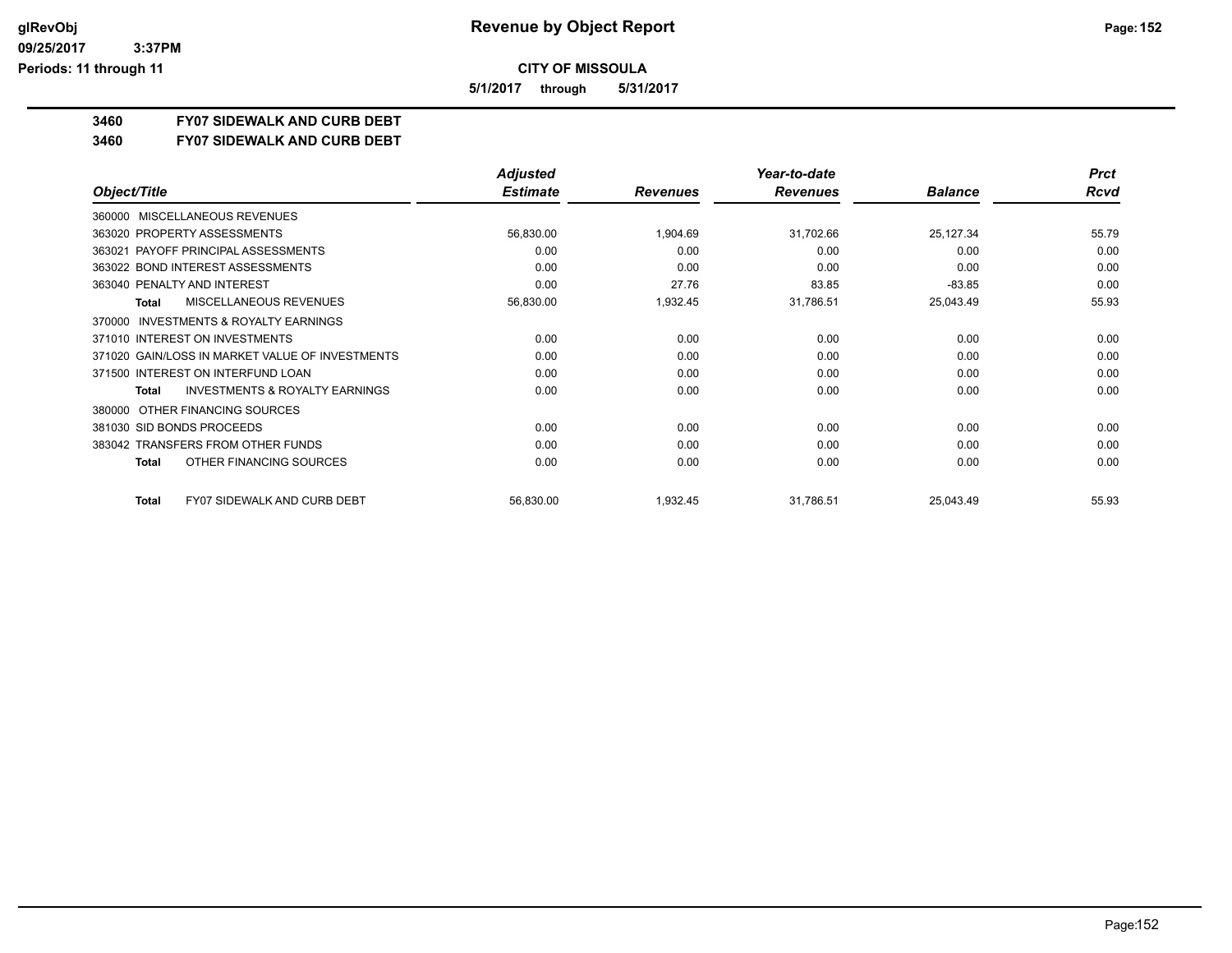**5/1/2017 through 5/31/2017**

**3460 FY07 SIDEWALK AND CURB DEBT**

### **3460 FY07 SIDEWALK AND CURB DEBT**

|                                                     | <b>Adjusted</b> |                 | Year-to-date    |                | <b>Prct</b> |
|-----------------------------------------------------|-----------------|-----------------|-----------------|----------------|-------------|
| Object/Title                                        | <b>Estimate</b> | <b>Revenues</b> | <b>Revenues</b> | <b>Balance</b> | Rcvd        |
| MISCELLANEOUS REVENUES<br>360000                    |                 |                 |                 |                |             |
| 363020 PROPERTY ASSESSMENTS                         | 56,830.00       | 1,904.69        | 31,702.66       | 25,127.34      | 55.79       |
| PAYOFF PRINCIPAL ASSESSMENTS<br>363021              | 0.00            | 0.00            | 0.00            | 0.00           | 0.00        |
| 363022 BOND INTEREST ASSESSMENTS                    | 0.00            | 0.00            | 0.00            | 0.00           | 0.00        |
| 363040 PENALTY AND INTEREST                         | 0.00            | 27.76           | 83.85           | $-83.85$       | 0.00        |
| <b>MISCELLANEOUS REVENUES</b><br>Total              | 56,830.00       | 1,932.45        | 31,786.51       | 25,043.49      | 55.93       |
| <b>INVESTMENTS &amp; ROYALTY EARNINGS</b><br>370000 |                 |                 |                 |                |             |
| 371010 INTEREST ON INVESTMENTS                      | 0.00            | 0.00            | 0.00            | 0.00           | 0.00        |
| 371020 GAIN/LOSS IN MARKET VALUE OF INVESTMENTS     | 0.00            | 0.00            | 0.00            | 0.00           | 0.00        |
| 371500 INTEREST ON INTERFUND LOAN                   | 0.00            | 0.00            | 0.00            | 0.00           | 0.00        |
| <b>INVESTMENTS &amp; ROYALTY EARNINGS</b><br>Total  | 0.00            | 0.00            | 0.00            | 0.00           | 0.00        |
| OTHER FINANCING SOURCES<br>380000                   |                 |                 |                 |                |             |
| 381030 SID BONDS PROCEEDS                           | 0.00            | 0.00            | 0.00            | 0.00           | 0.00        |
| 383042 TRANSFERS FROM OTHER FUNDS                   | 0.00            | 0.00            | 0.00            | 0.00           | 0.00        |
| OTHER FINANCING SOURCES<br>Total                    | 0.00            | 0.00            | 0.00            | 0.00           | 0.00        |
| <b>FY07 SIDEWALK AND CURB DEBT</b><br><b>Total</b>  | 56,830.00       | 1,932.45        | 31,786.51       | 25,043.49      | 55.93       |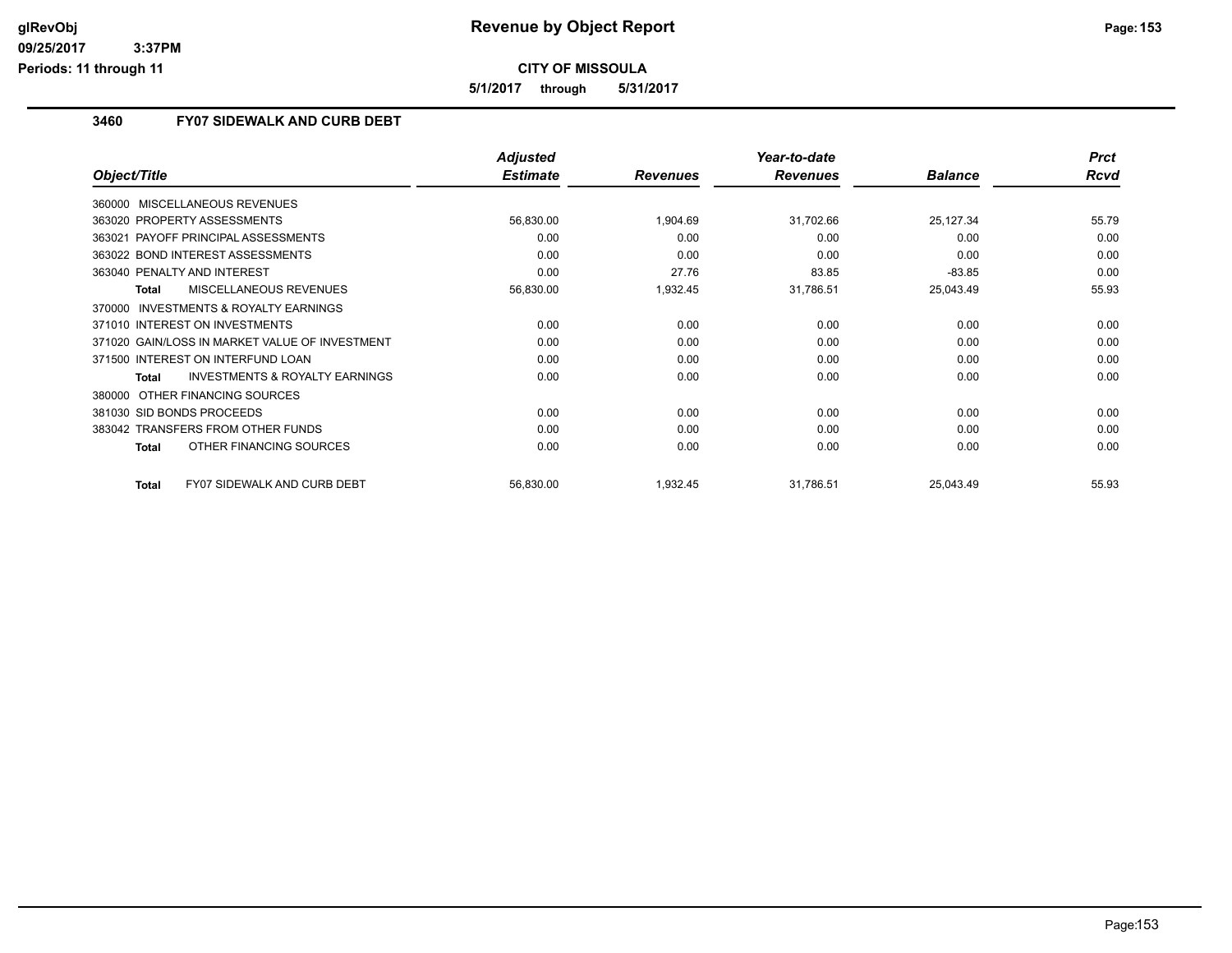**CITY OF MISSOULA**

**5/1/2017 through 5/31/2017**

## **3460 FY07 SIDEWALK AND CURB DEBT**

|                                                           | <b>Adjusted</b> |                 | Year-to-date    |                | <b>Prct</b> |
|-----------------------------------------------------------|-----------------|-----------------|-----------------|----------------|-------------|
| Object/Title                                              | <b>Estimate</b> | <b>Revenues</b> | <b>Revenues</b> | <b>Balance</b> | <b>Rcvd</b> |
| 360000 MISCELLANEOUS REVENUES                             |                 |                 |                 |                |             |
| 363020 PROPERTY ASSESSMENTS                               | 56,830.00       | 1,904.69        | 31,702.66       | 25,127.34      | 55.79       |
| 363021 PAYOFF PRINCIPAL ASSESSMENTS                       | 0.00            | 0.00            | 0.00            | 0.00           | 0.00        |
| 363022 BOND INTEREST ASSESSMENTS                          | 0.00            | 0.00            | 0.00            | 0.00           | 0.00        |
| 363040 PENALTY AND INTEREST                               | 0.00            | 27.76           | 83.85           | $-83.85$       | 0.00        |
| <b>MISCELLANEOUS REVENUES</b><br><b>Total</b>             | 56,830.00       | 1,932.45        | 31,786.51       | 25,043.49      | 55.93       |
| INVESTMENTS & ROYALTY EARNINGS<br>370000                  |                 |                 |                 |                |             |
| 371010 INTEREST ON INVESTMENTS                            | 0.00            | 0.00            | 0.00            | 0.00           | 0.00        |
| 371020 GAIN/LOSS IN MARKET VALUE OF INVESTMENT            | 0.00            | 0.00            | 0.00            | 0.00           | 0.00        |
| 371500 INTEREST ON INTERFUND LOAN                         | 0.00            | 0.00            | 0.00            | 0.00           | 0.00        |
| <b>INVESTMENTS &amp; ROYALTY EARNINGS</b><br><b>Total</b> | 0.00            | 0.00            | 0.00            | 0.00           | 0.00        |
| 380000 OTHER FINANCING SOURCES                            |                 |                 |                 |                |             |
| 381030 SID BONDS PROCEEDS                                 | 0.00            | 0.00            | 0.00            | 0.00           | 0.00        |
| 383042 TRANSFERS FROM OTHER FUNDS                         | 0.00            | 0.00            | 0.00            | 0.00           | 0.00        |
| OTHER FINANCING SOURCES<br><b>Total</b>                   | 0.00            | 0.00            | 0.00            | 0.00           | 0.00        |
| <b>FY07 SIDEWALK AND CURB DEBT</b><br>Total               | 56,830.00       | 1,932.45        | 31,786.51       | 25,043.49      | 55.93       |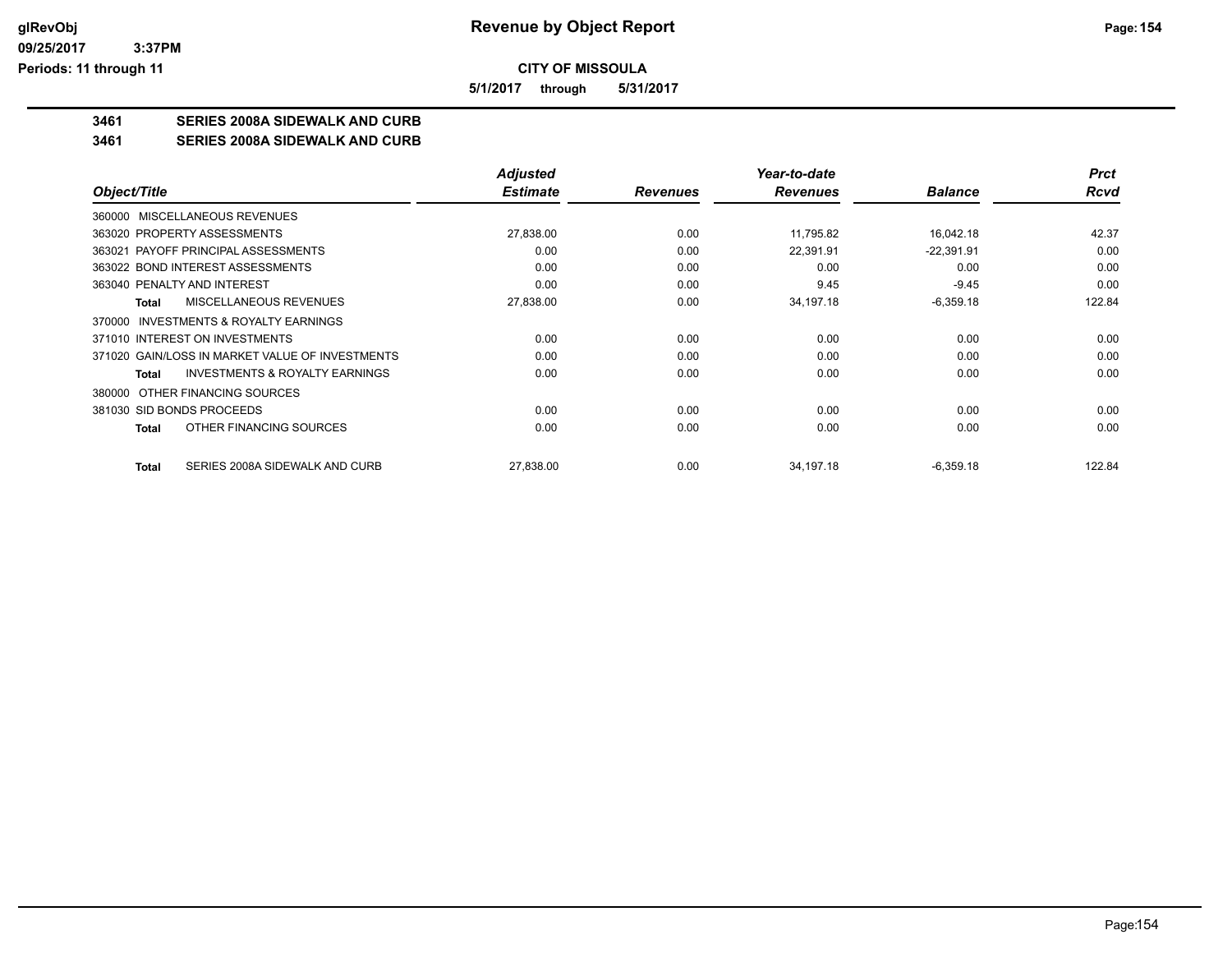**5/1/2017 through 5/31/2017**

# **3461 SERIES 2008A SIDEWALK AND CURB**

### **3461 SERIES 2008A SIDEWALK AND CURB**

|                                                           | <b>Adjusted</b> |                 | Year-to-date    |                | <b>Prct</b> |
|-----------------------------------------------------------|-----------------|-----------------|-----------------|----------------|-------------|
| Object/Title                                              | <b>Estimate</b> | <b>Revenues</b> | <b>Revenues</b> | <b>Balance</b> | <b>Rcvd</b> |
| 360000 MISCELLANEOUS REVENUES                             |                 |                 |                 |                |             |
| 363020 PROPERTY ASSESSMENTS                               | 27,838.00       | 0.00            | 11,795.82       | 16.042.18      | 42.37       |
| 363021 PAYOFF PRINCIPAL ASSESSMENTS                       | 0.00            | 0.00            | 22,391.91       | $-22,391.91$   | 0.00        |
| 363022 BOND INTEREST ASSESSMENTS                          | 0.00            | 0.00            | 0.00            | 0.00           | 0.00        |
| 363040 PENALTY AND INTEREST                               | 0.00            | 0.00            | 9.45            | $-9.45$        | 0.00        |
| MISCELLANEOUS REVENUES<br><b>Total</b>                    | 27,838.00       | 0.00            | 34,197.18       | $-6,359.18$    | 122.84      |
| 370000 INVESTMENTS & ROYALTY EARNINGS                     |                 |                 |                 |                |             |
| 371010 INTEREST ON INVESTMENTS                            | 0.00            | 0.00            | 0.00            | 0.00           | 0.00        |
| 371020 GAIN/LOSS IN MARKET VALUE OF INVESTMENTS           | 0.00            | 0.00            | 0.00            | 0.00           | 0.00        |
| <b>INVESTMENTS &amp; ROYALTY EARNINGS</b><br><b>Total</b> | 0.00            | 0.00            | 0.00            | 0.00           | 0.00        |
| OTHER FINANCING SOURCES<br>380000                         |                 |                 |                 |                |             |
| 381030 SID BONDS PROCEEDS                                 | 0.00            | 0.00            | 0.00            | 0.00           | 0.00        |
| OTHER FINANCING SOURCES<br><b>Total</b>                   | 0.00            | 0.00            | 0.00            | 0.00           | 0.00        |
| SERIES 2008A SIDEWALK AND CURB<br><b>Total</b>            | 27.838.00       | 0.00            | 34,197.18       | $-6,359.18$    | 122.84      |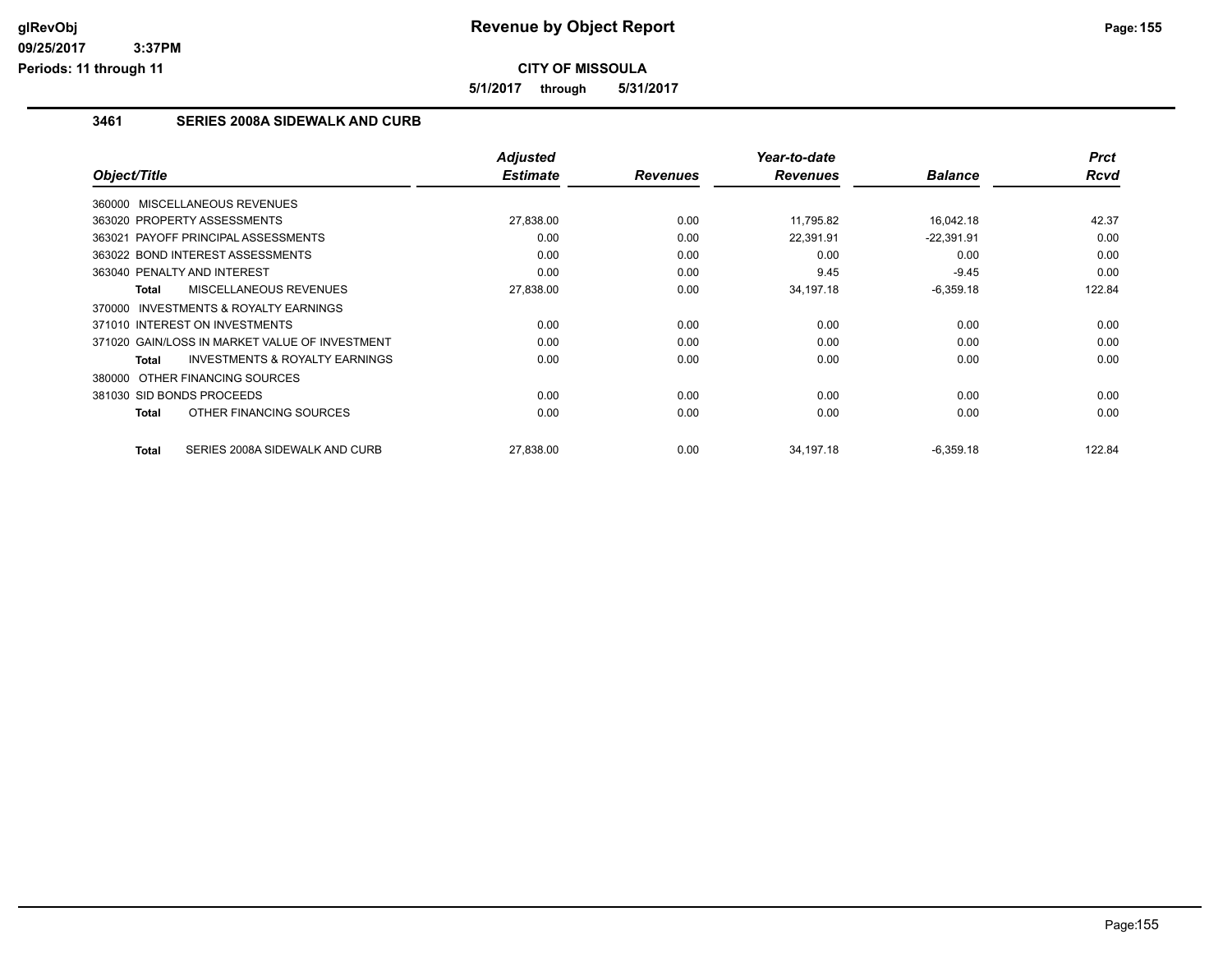**5/1/2017 through 5/31/2017**

### **3461 SERIES 2008A SIDEWALK AND CURB**

|                                                    | <b>Adjusted</b> |                 | Year-to-date    |                | <b>Prct</b> |
|----------------------------------------------------|-----------------|-----------------|-----------------|----------------|-------------|
| Object/Title                                       | <b>Estimate</b> | <b>Revenues</b> | <b>Revenues</b> | <b>Balance</b> | <b>Rcvd</b> |
| 360000 MISCELLANEOUS REVENUES                      |                 |                 |                 |                |             |
| 363020 PROPERTY ASSESSMENTS                        | 27,838.00       | 0.00            | 11,795.82       | 16.042.18      | 42.37       |
| 363021 PAYOFF PRINCIPAL ASSESSMENTS                | 0.00            | 0.00            | 22,391.91       | $-22,391.91$   | 0.00        |
| 363022 BOND INTEREST ASSESSMENTS                   | 0.00            | 0.00            | 0.00            | 0.00           | 0.00        |
| 363040 PENALTY AND INTEREST                        | 0.00            | 0.00            | 9.45            | $-9.45$        | 0.00        |
| MISCELLANEOUS REVENUES<br>Total                    | 27,838.00       | 0.00            | 34,197.18       | $-6,359.18$    | 122.84      |
| 370000 INVESTMENTS & ROYALTY EARNINGS              |                 |                 |                 |                |             |
| 371010 INTEREST ON INVESTMENTS                     | 0.00            | 0.00            | 0.00            | 0.00           | 0.00        |
| 371020 GAIN/LOSS IN MARKET VALUE OF INVESTMENT     | 0.00            | 0.00            | 0.00            | 0.00           | 0.00        |
| <b>INVESTMENTS &amp; ROYALTY EARNINGS</b><br>Total | 0.00            | 0.00            | 0.00            | 0.00           | 0.00        |
| 380000 OTHER FINANCING SOURCES                     |                 |                 |                 |                |             |
| 381030 SID BONDS PROCEEDS                          | 0.00            | 0.00            | 0.00            | 0.00           | 0.00        |
| OTHER FINANCING SOURCES<br>Total                   | 0.00            | 0.00            | 0.00            | 0.00           | 0.00        |
| SERIES 2008A SIDEWALK AND CURB<br>Total            | 27,838.00       | 0.00            | 34,197.18       | $-6,359.18$    | 122.84      |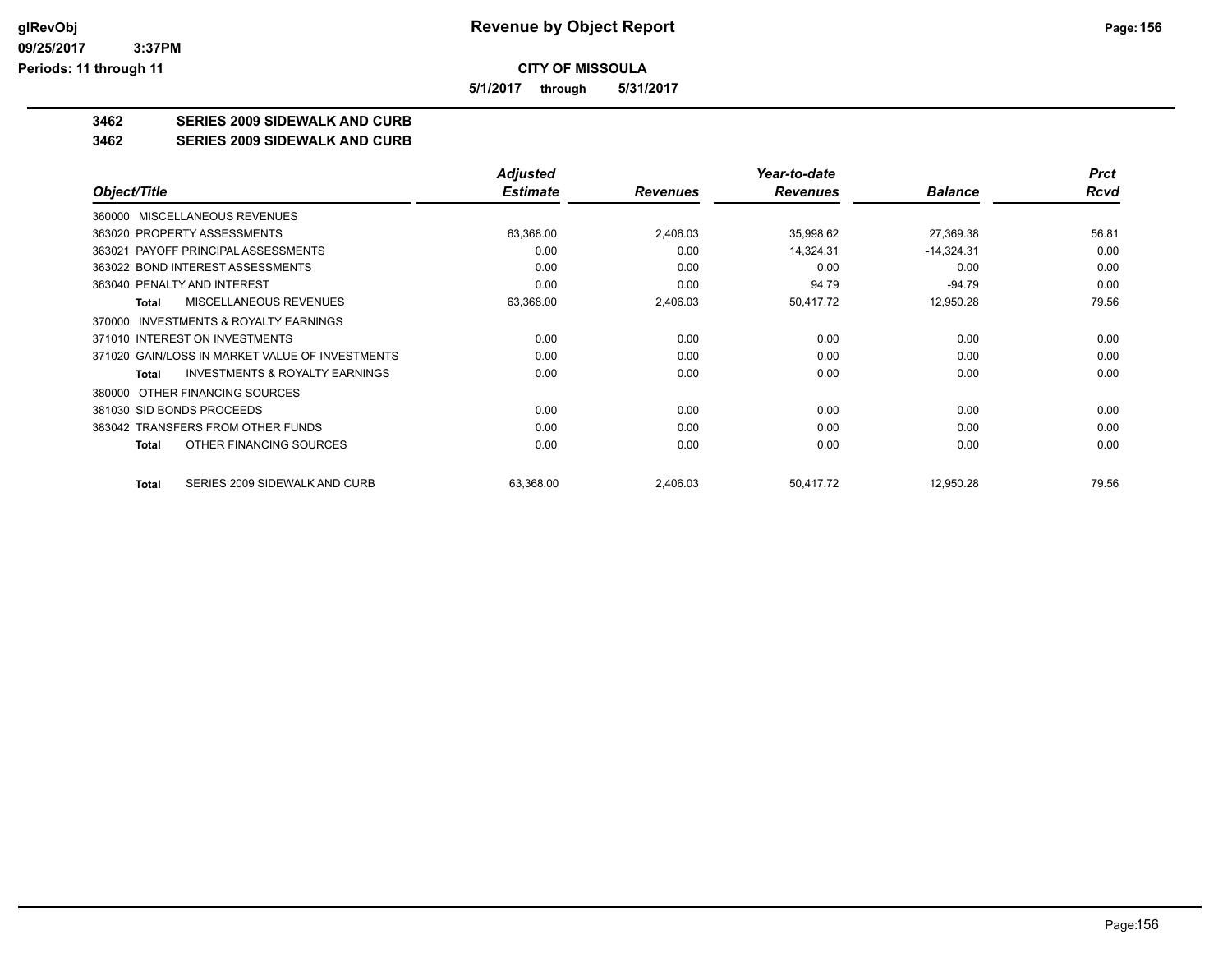**5/1/2017 through 5/31/2017**

# **3462 SERIES 2009 SIDEWALK AND CURB**

### **3462 SERIES 2009 SIDEWALK AND CURB**

|                                                           | <b>Adjusted</b> |                 | Year-to-date    |                | <b>Prct</b> |
|-----------------------------------------------------------|-----------------|-----------------|-----------------|----------------|-------------|
| Object/Title                                              | <b>Estimate</b> | <b>Revenues</b> | <b>Revenues</b> | <b>Balance</b> | Rcvd        |
| MISCELLANEOUS REVENUES<br>360000                          |                 |                 |                 |                |             |
| 363020 PROPERTY ASSESSMENTS                               | 63,368.00       | 2,406.03        | 35,998.62       | 27,369.38      | 56.81       |
| 363021 PAYOFF PRINCIPAL ASSESSMENTS                       | 0.00            | 0.00            | 14,324.31       | $-14,324.31$   | 0.00        |
| 363022 BOND INTEREST ASSESSMENTS                          | 0.00            | 0.00            | 0.00            | 0.00           | 0.00        |
| 363040 PENALTY AND INTEREST                               | 0.00            | 0.00            | 94.79           | $-94.79$       | 0.00        |
| <b>MISCELLANEOUS REVENUES</b><br><b>Total</b>             | 63,368.00       | 2,406.03        | 50,417.72       | 12,950.28      | 79.56       |
| <b>INVESTMENTS &amp; ROYALTY EARNINGS</b><br>370000       |                 |                 |                 |                |             |
| 371010 INTEREST ON INVESTMENTS                            | 0.00            | 0.00            | 0.00            | 0.00           | 0.00        |
| 371020 GAIN/LOSS IN MARKET VALUE OF INVESTMENTS           | 0.00            | 0.00            | 0.00            | 0.00           | 0.00        |
| <b>INVESTMENTS &amp; ROYALTY EARNINGS</b><br><b>Total</b> | 0.00            | 0.00            | 0.00            | 0.00           | 0.00        |
| OTHER FINANCING SOURCES<br>380000                         |                 |                 |                 |                |             |
| 381030 SID BONDS PROCEEDS                                 | 0.00            | 0.00            | 0.00            | 0.00           | 0.00        |
| 383042 TRANSFERS FROM OTHER FUNDS                         | 0.00            | 0.00            | 0.00            | 0.00           | 0.00        |
| OTHER FINANCING SOURCES<br><b>Total</b>                   | 0.00            | 0.00            | 0.00            | 0.00           | 0.00        |
| SERIES 2009 SIDEWALK AND CURB<br><b>Total</b>             | 63,368.00       | 2,406.03        | 50,417.72       | 12,950.28      | 79.56       |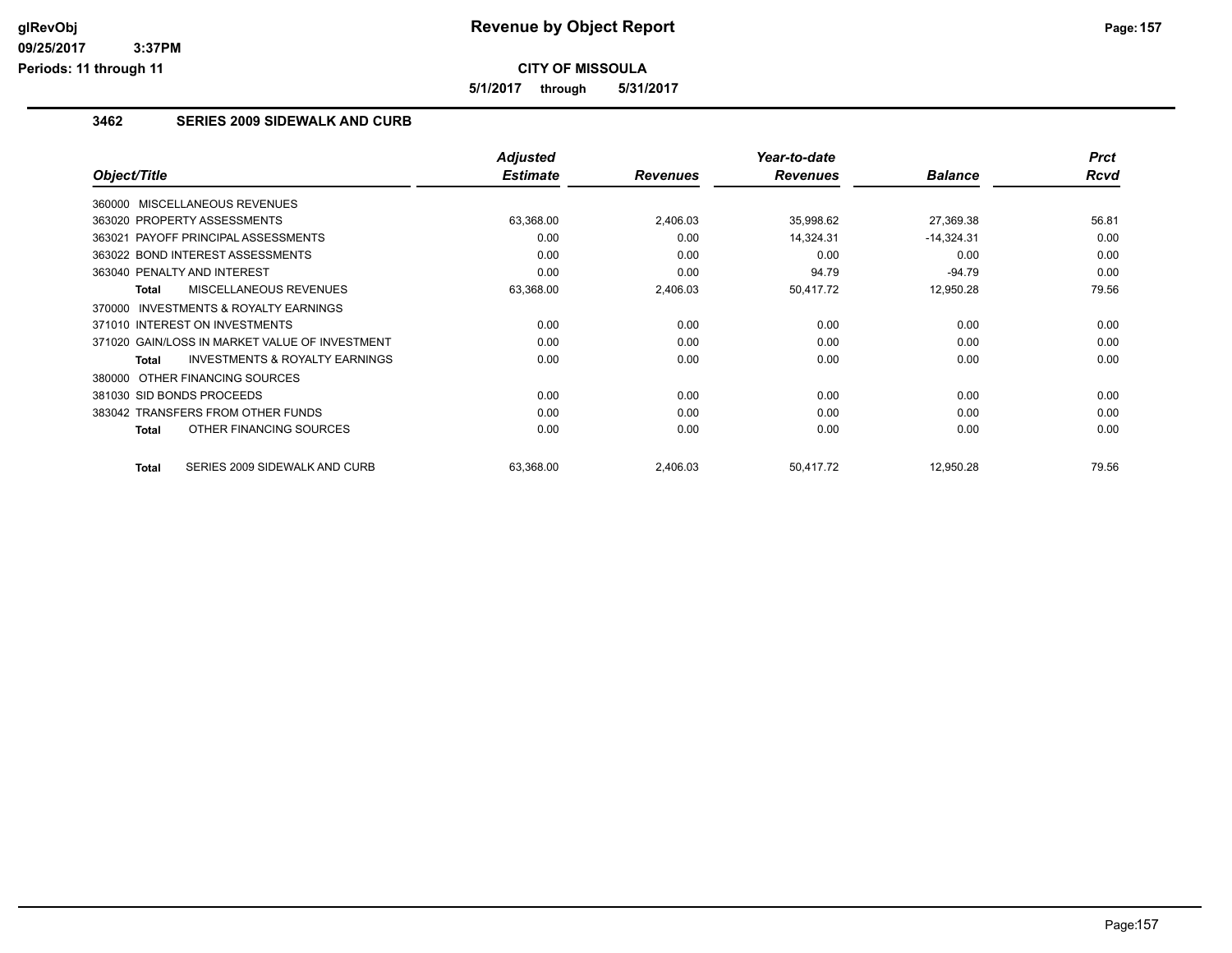**5/1/2017 through 5/31/2017**

## **3462 SERIES 2009 SIDEWALK AND CURB**

|                                                     | <b>Adjusted</b> |                 | Year-to-date    |                | <b>Prct</b> |
|-----------------------------------------------------|-----------------|-----------------|-----------------|----------------|-------------|
| Object/Title                                        | <b>Estimate</b> | <b>Revenues</b> | <b>Revenues</b> | <b>Balance</b> | Rcvd        |
| 360000 MISCELLANEOUS REVENUES                       |                 |                 |                 |                |             |
| 363020 PROPERTY ASSESSMENTS                         | 63,368.00       | 2,406.03        | 35,998.62       | 27,369.38      | 56.81       |
| 363021 PAYOFF PRINCIPAL ASSESSMENTS                 | 0.00            | 0.00            | 14,324.31       | $-14,324.31$   | 0.00        |
| 363022 BOND INTEREST ASSESSMENTS                    | 0.00            | 0.00            | 0.00            | 0.00           | 0.00        |
| 363040 PENALTY AND INTEREST                         | 0.00            | 0.00            | 94.79           | $-94.79$       | 0.00        |
| <b>MISCELLANEOUS REVENUES</b><br>Total              | 63,368.00       | 2,406.03        | 50,417.72       | 12,950.28      | 79.56       |
| <b>INVESTMENTS &amp; ROYALTY EARNINGS</b><br>370000 |                 |                 |                 |                |             |
| 371010 INTEREST ON INVESTMENTS                      | 0.00            | 0.00            | 0.00            | 0.00           | 0.00        |
| 371020 GAIN/LOSS IN MARKET VALUE OF INVESTMENT      | 0.00            | 0.00            | 0.00            | 0.00           | 0.00        |
| <b>INVESTMENTS &amp; ROYALTY EARNINGS</b><br>Total  | 0.00            | 0.00            | 0.00            | 0.00           | 0.00        |
| OTHER FINANCING SOURCES<br>380000                   |                 |                 |                 |                |             |
| 381030 SID BONDS PROCEEDS                           | 0.00            | 0.00            | 0.00            | 0.00           | 0.00        |
| 383042 TRANSFERS FROM OTHER FUNDS                   | 0.00            | 0.00            | 0.00            | 0.00           | 0.00        |
| OTHER FINANCING SOURCES<br>Total                    | 0.00            | 0.00            | 0.00            | 0.00           | 0.00        |
| SERIES 2009 SIDEWALK AND CURB<br><b>Total</b>       | 63,368.00       | 2,406.03        | 50,417.72       | 12,950.28      | 79.56       |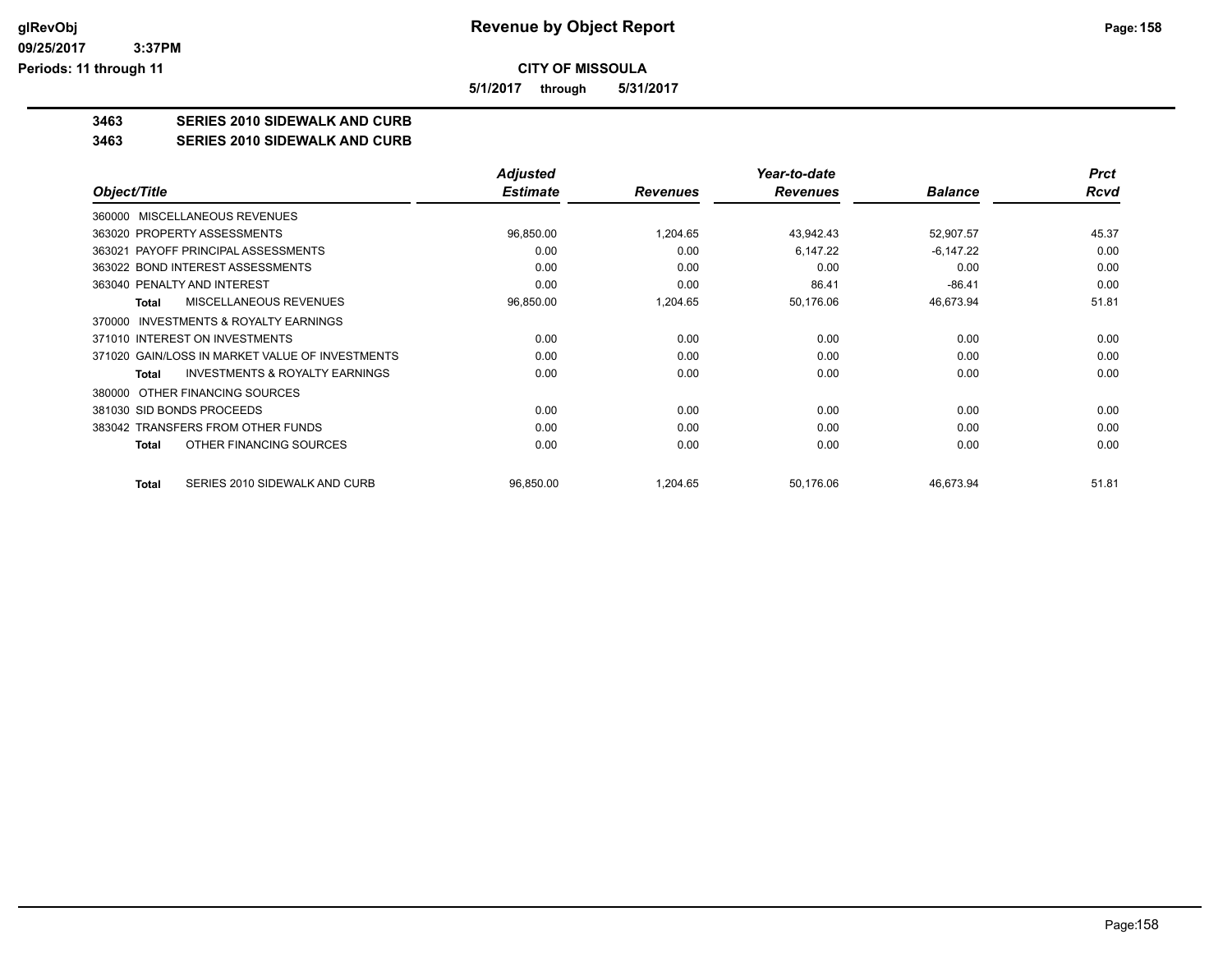**5/1/2017 through 5/31/2017**

# **3463 SERIES 2010 SIDEWALK AND CURB**

### **3463 SERIES 2010 SIDEWALK AND CURB**

|                                                           | <b>Adjusted</b> |                 | Year-to-date    |                | <b>Prct</b> |
|-----------------------------------------------------------|-----------------|-----------------|-----------------|----------------|-------------|
| Object/Title                                              | <b>Estimate</b> | <b>Revenues</b> | <b>Revenues</b> | <b>Balance</b> | Rcvd        |
| MISCELLANEOUS REVENUES<br>360000                          |                 |                 |                 |                |             |
| 363020 PROPERTY ASSESSMENTS                               | 96,850.00       | 1,204.65        | 43,942.43       | 52,907.57      | 45.37       |
| 363021 PAYOFF PRINCIPAL ASSESSMENTS                       | 0.00            | 0.00            | 6,147.22        | $-6,147.22$    | 0.00        |
| 363022 BOND INTEREST ASSESSMENTS                          | 0.00            | 0.00            | 0.00            | 0.00           | 0.00        |
| 363040 PENALTY AND INTEREST                               | 0.00            | 0.00            | 86.41           | $-86.41$       | 0.00        |
| <b>MISCELLANEOUS REVENUES</b><br><b>Total</b>             | 96,850.00       | 1,204.65        | 50,176.06       | 46,673.94      | 51.81       |
| <b>INVESTMENTS &amp; ROYALTY EARNINGS</b><br>370000       |                 |                 |                 |                |             |
| 371010 INTEREST ON INVESTMENTS                            | 0.00            | 0.00            | 0.00            | 0.00           | 0.00        |
| 371020 GAIN/LOSS IN MARKET VALUE OF INVESTMENTS           | 0.00            | 0.00            | 0.00            | 0.00           | 0.00        |
| <b>INVESTMENTS &amp; ROYALTY EARNINGS</b><br><b>Total</b> | 0.00            | 0.00            | 0.00            | 0.00           | 0.00        |
| OTHER FINANCING SOURCES<br>380000                         |                 |                 |                 |                |             |
| 381030 SID BONDS PROCEEDS                                 | 0.00            | 0.00            | 0.00            | 0.00           | 0.00        |
| 383042 TRANSFERS FROM OTHER FUNDS                         | 0.00            | 0.00            | 0.00            | 0.00           | 0.00        |
| OTHER FINANCING SOURCES<br><b>Total</b>                   | 0.00            | 0.00            | 0.00            | 0.00           | 0.00        |
| SERIES 2010 SIDEWALK AND CURB<br><b>Total</b>             | 96,850.00       | 1,204.65        | 50,176.06       | 46,673.94      | 51.81       |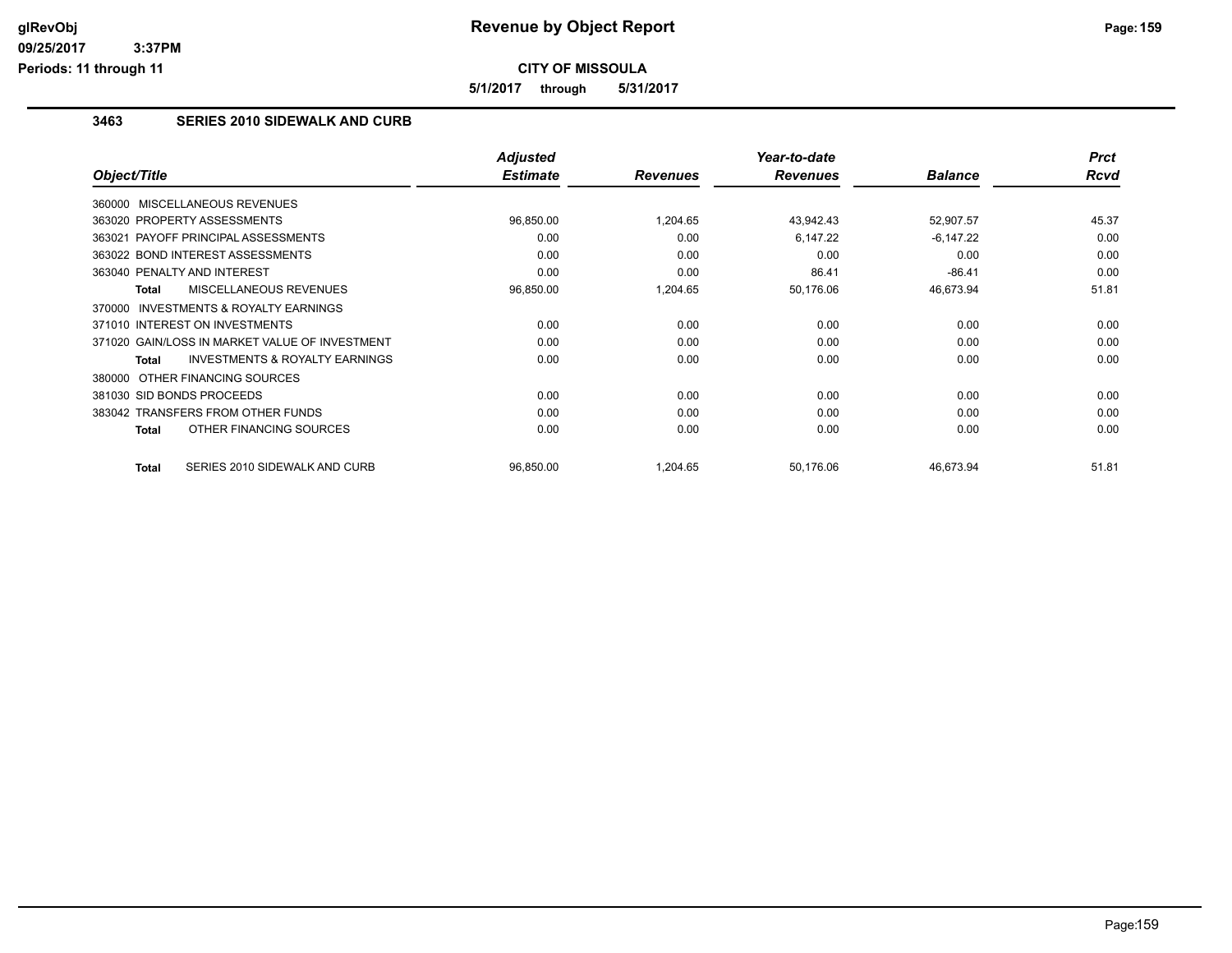**5/1/2017 through 5/31/2017**

## **3463 SERIES 2010 SIDEWALK AND CURB**

|                                                           | <b>Adjusted</b> |                 | Year-to-date    |                | <b>Prct</b> |
|-----------------------------------------------------------|-----------------|-----------------|-----------------|----------------|-------------|
| Object/Title                                              | <b>Estimate</b> | <b>Revenues</b> | <b>Revenues</b> | <b>Balance</b> | Rcvd        |
| 360000 MISCELLANEOUS REVENUES                             |                 |                 |                 |                |             |
| 363020 PROPERTY ASSESSMENTS                               | 96,850.00       | 1,204.65        | 43,942.43       | 52,907.57      | 45.37       |
| 363021 PAYOFF PRINCIPAL ASSESSMENTS                       | 0.00            | 0.00            | 6,147.22        | $-6,147.22$    | 0.00        |
| 363022 BOND INTEREST ASSESSMENTS                          | 0.00            | 0.00            | 0.00            | 0.00           | 0.00        |
| 363040 PENALTY AND INTEREST                               | 0.00            | 0.00            | 86.41           | $-86.41$       | 0.00        |
| <b>MISCELLANEOUS REVENUES</b><br><b>Total</b>             | 96,850.00       | 1,204.65        | 50,176.06       | 46,673.94      | 51.81       |
| <b>INVESTMENTS &amp; ROYALTY EARNINGS</b><br>370000       |                 |                 |                 |                |             |
| 371010 INTEREST ON INVESTMENTS                            | 0.00            | 0.00            | 0.00            | 0.00           | 0.00        |
| 371020 GAIN/LOSS IN MARKET VALUE OF INVESTMENT            | 0.00            | 0.00            | 0.00            | 0.00           | 0.00        |
| <b>INVESTMENTS &amp; ROYALTY EARNINGS</b><br><b>Total</b> | 0.00            | 0.00            | 0.00            | 0.00           | 0.00        |
| OTHER FINANCING SOURCES<br>380000                         |                 |                 |                 |                |             |
| 381030 SID BONDS PROCEEDS                                 | 0.00            | 0.00            | 0.00            | 0.00           | 0.00        |
| 383042 TRANSFERS FROM OTHER FUNDS                         | 0.00            | 0.00            | 0.00            | 0.00           | 0.00        |
| OTHER FINANCING SOURCES<br>Total                          | 0.00            | 0.00            | 0.00            | 0.00           | 0.00        |
| SERIES 2010 SIDEWALK AND CURB<br><b>Total</b>             | 96,850.00       | 1,204.65        | 50,176.06       | 46,673.94      | 51.81       |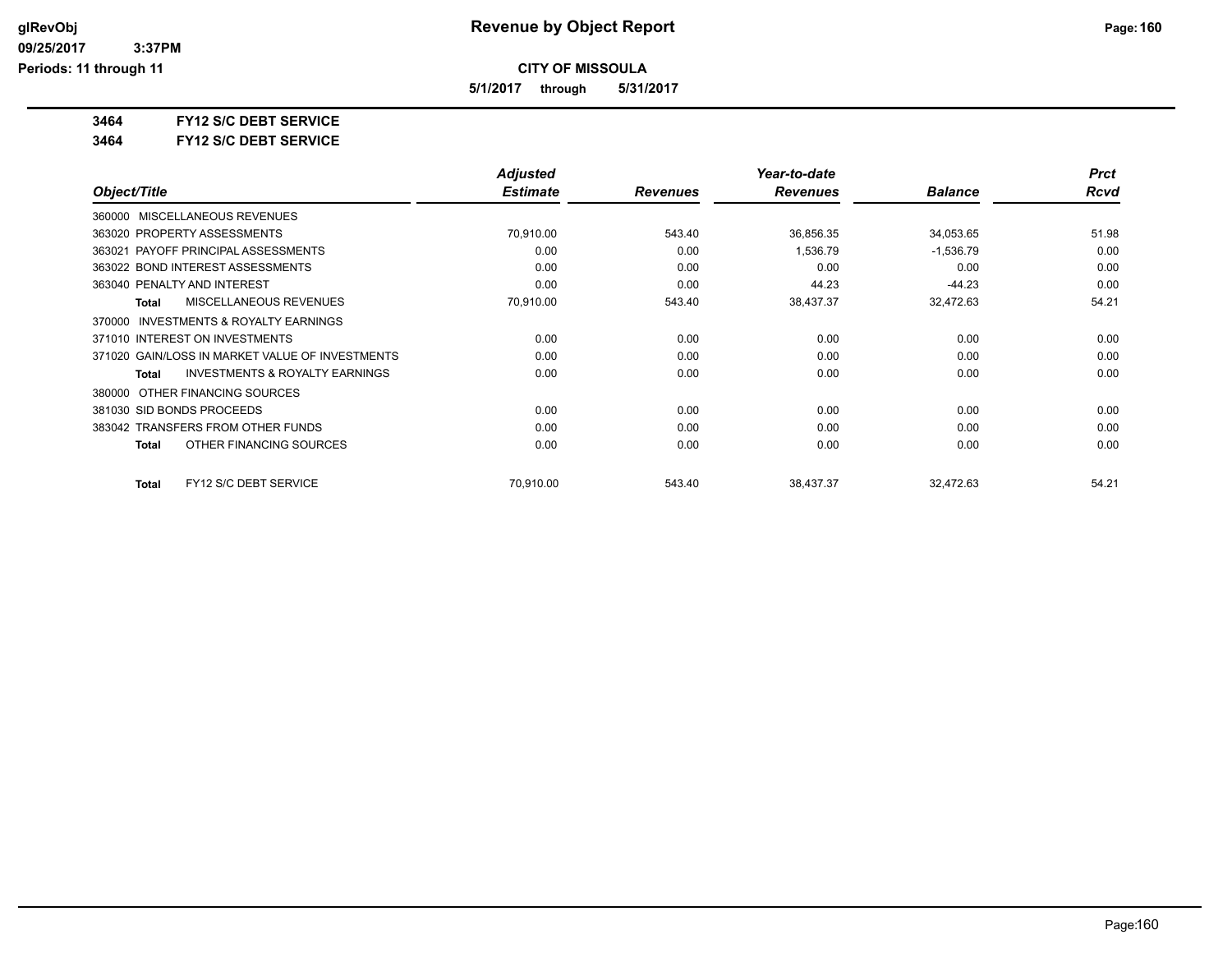**5/1/2017 through 5/31/2017**

**3464 FY12 S/C DEBT SERVICE**

**3464 FY12 S/C DEBT SERVICE**

|                                                           | <b>Adjusted</b> |                 | Year-to-date    |                | <b>Prct</b> |
|-----------------------------------------------------------|-----------------|-----------------|-----------------|----------------|-------------|
| Object/Title                                              | <b>Estimate</b> | <b>Revenues</b> | <b>Revenues</b> | <b>Balance</b> | Rcvd        |
| 360000 MISCELLANEOUS REVENUES                             |                 |                 |                 |                |             |
| 363020 PROPERTY ASSESSMENTS                               | 70,910.00       | 543.40          | 36,856.35       | 34,053.65      | 51.98       |
| 363021 PAYOFF PRINCIPAL ASSESSMENTS                       | 0.00            | 0.00            | 1,536.79        | $-1,536.79$    | 0.00        |
| 363022 BOND INTEREST ASSESSMENTS                          | 0.00            | 0.00            | 0.00            | 0.00           | 0.00        |
| 363040 PENALTY AND INTEREST                               | 0.00            | 0.00            | 44.23           | $-44.23$       | 0.00        |
| <b>MISCELLANEOUS REVENUES</b><br><b>Total</b>             | 70,910.00       | 543.40          | 38,437.37       | 32,472.63      | 54.21       |
| 370000 INVESTMENTS & ROYALTY EARNINGS                     |                 |                 |                 |                |             |
| 371010 INTEREST ON INVESTMENTS                            | 0.00            | 0.00            | 0.00            | 0.00           | 0.00        |
| 371020 GAIN/LOSS IN MARKET VALUE OF INVESTMENTS           | 0.00            | 0.00            | 0.00            | 0.00           | 0.00        |
| <b>INVESTMENTS &amp; ROYALTY EARNINGS</b><br><b>Total</b> | 0.00            | 0.00            | 0.00            | 0.00           | 0.00        |
| OTHER FINANCING SOURCES<br>380000                         |                 |                 |                 |                |             |
| 381030 SID BONDS PROCEEDS                                 | 0.00            | 0.00            | 0.00            | 0.00           | 0.00        |
| 383042 TRANSFERS FROM OTHER FUNDS                         | 0.00            | 0.00            | 0.00            | 0.00           | 0.00        |
| OTHER FINANCING SOURCES<br><b>Total</b>                   | 0.00            | 0.00            | 0.00            | 0.00           | 0.00        |
| FY12 S/C DEBT SERVICE<br><b>Total</b>                     | 70,910.00       | 543.40          | 38,437.37       | 32,472.63      | 54.21       |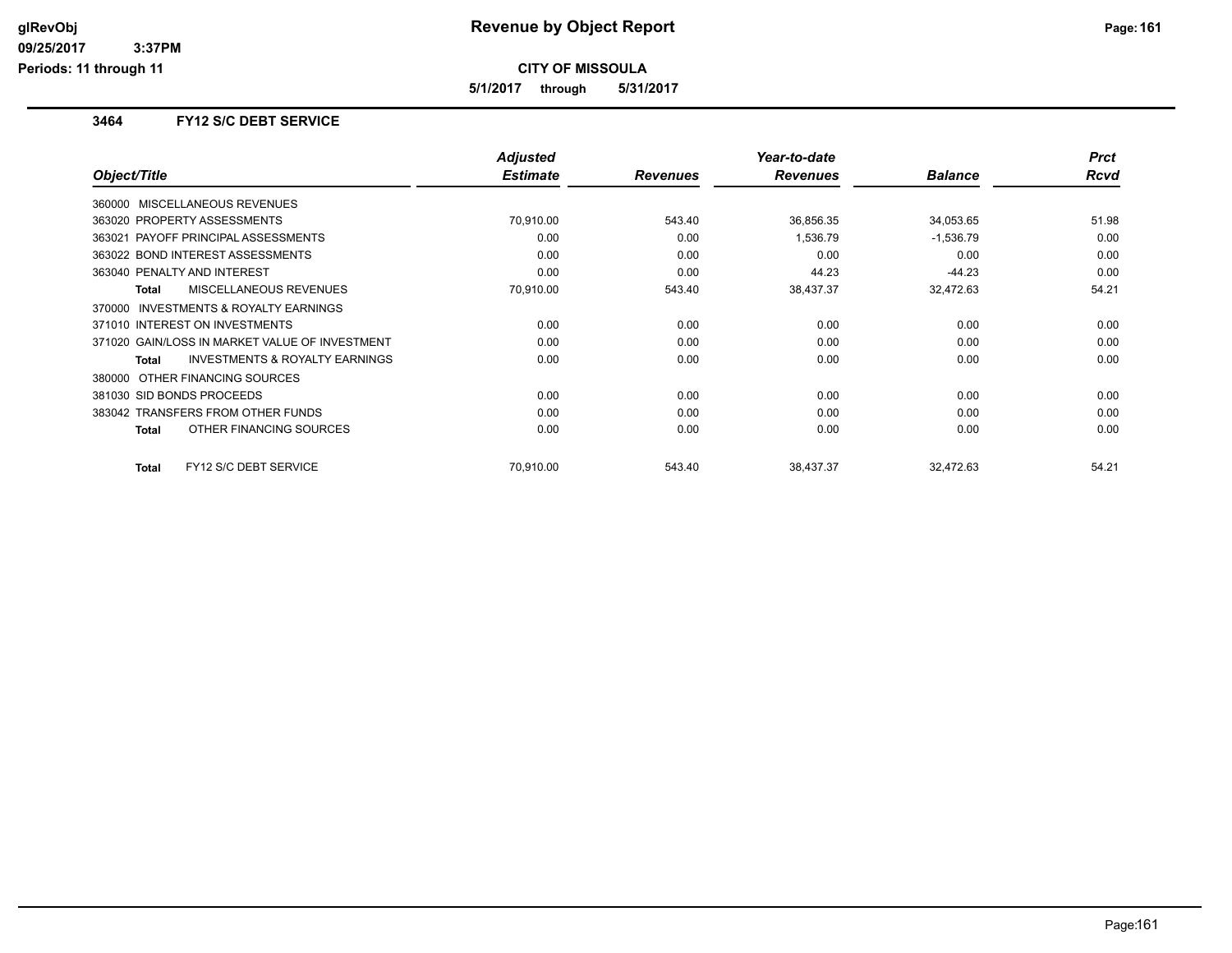**5/1/2017 through 5/31/2017**

### **3464 FY12 S/C DEBT SERVICE**

|                                                     | <b>Adjusted</b> |                 | Year-to-date    |                | <b>Prct</b> |
|-----------------------------------------------------|-----------------|-----------------|-----------------|----------------|-------------|
| Object/Title                                        | <b>Estimate</b> | <b>Revenues</b> | <b>Revenues</b> | <b>Balance</b> | Rcvd        |
| 360000 MISCELLANEOUS REVENUES                       |                 |                 |                 |                |             |
| 363020 PROPERTY ASSESSMENTS                         | 70,910.00       | 543.40          | 36,856.35       | 34,053.65      | 51.98       |
| 363021 PAYOFF PRINCIPAL ASSESSMENTS                 | 0.00            | 0.00            | 1,536.79        | $-1,536.79$    | 0.00        |
| 363022 BOND INTEREST ASSESSMENTS                    | 0.00            | 0.00            | 0.00            | 0.00           | 0.00        |
| 363040 PENALTY AND INTEREST                         | 0.00            | 0.00            | 44.23           | $-44.23$       | 0.00        |
| <b>MISCELLANEOUS REVENUES</b><br>Total              | 70,910.00       | 543.40          | 38,437.37       | 32,472.63      | 54.21       |
| <b>INVESTMENTS &amp; ROYALTY EARNINGS</b><br>370000 |                 |                 |                 |                |             |
| 371010 INTEREST ON INVESTMENTS                      | 0.00            | 0.00            | 0.00            | 0.00           | 0.00        |
| 371020 GAIN/LOSS IN MARKET VALUE OF INVESTMENT      | 0.00            | 0.00            | 0.00            | 0.00           | 0.00        |
| <b>INVESTMENTS &amp; ROYALTY EARNINGS</b><br>Total  | 0.00            | 0.00            | 0.00            | 0.00           | 0.00        |
| 380000 OTHER FINANCING SOURCES                      |                 |                 |                 |                |             |
| 381030 SID BONDS PROCEEDS                           | 0.00            | 0.00            | 0.00            | 0.00           | 0.00        |
| 383042 TRANSFERS FROM OTHER FUNDS                   | 0.00            | 0.00            | 0.00            | 0.00           | 0.00        |
| OTHER FINANCING SOURCES<br>Total                    | 0.00            | 0.00            | 0.00            | 0.00           | 0.00        |
| FY12 S/C DEBT SERVICE<br><b>Total</b>               | 70.910.00       | 543.40          | 38,437.37       | 32,472.63      | 54.21       |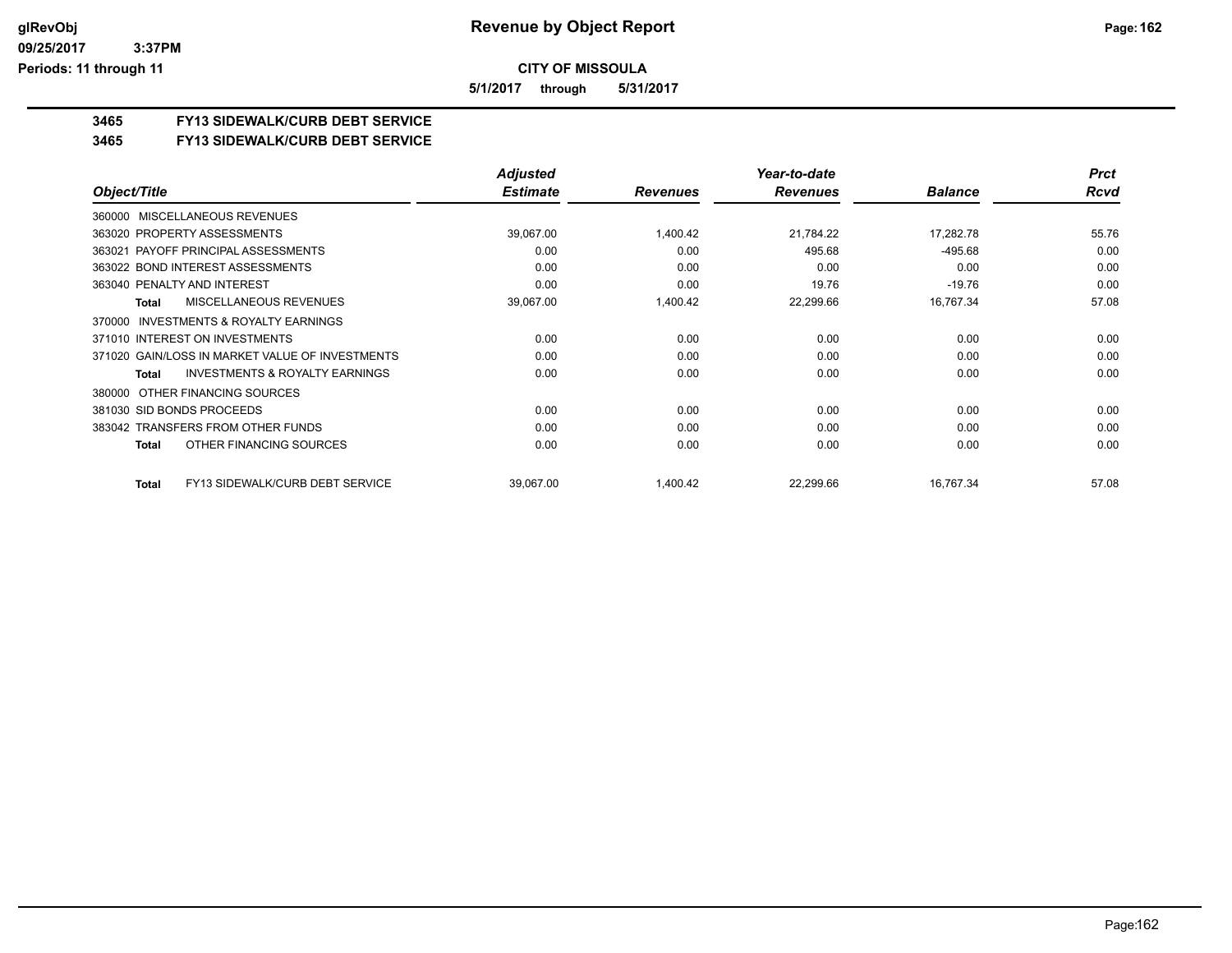**5/1/2017 through 5/31/2017**

# **3465 FY13 SIDEWALK/CURB DEBT SERVICE**

### **3465 FY13 SIDEWALK/CURB DEBT SERVICE**

|                                                    | <b>Adjusted</b> |                 | Year-to-date    |                | <b>Prct</b> |
|----------------------------------------------------|-----------------|-----------------|-----------------|----------------|-------------|
| Object/Title                                       | <b>Estimate</b> | <b>Revenues</b> | <b>Revenues</b> | <b>Balance</b> | Rcvd        |
| MISCELLANEOUS REVENUES<br>360000                   |                 |                 |                 |                |             |
| 363020 PROPERTY ASSESSMENTS                        | 39,067.00       | 1,400.42        | 21.784.22       | 17.282.78      | 55.76       |
| 363021 PAYOFF PRINCIPAL ASSESSMENTS                | 0.00            | 0.00            | 495.68          | -495.68        | 0.00        |
| 363022 BOND INTEREST ASSESSMENTS                   | 0.00            | 0.00            | 0.00            | 0.00           | 0.00        |
| 363040 PENALTY AND INTEREST                        | 0.00            | 0.00            | 19.76           | $-19.76$       | 0.00        |
| MISCELLANEOUS REVENUES<br>Total                    | 39,067.00       | 1,400.42        | 22,299.66       | 16,767.34      | 57.08       |
| INVESTMENTS & ROYALTY EARNINGS<br>370000           |                 |                 |                 |                |             |
| 371010 INTEREST ON INVESTMENTS                     | 0.00            | 0.00            | 0.00            | 0.00           | 0.00        |
| 371020 GAIN/LOSS IN MARKET VALUE OF INVESTMENTS    | 0.00            | 0.00            | 0.00            | 0.00           | 0.00        |
| <b>INVESTMENTS &amp; ROYALTY EARNINGS</b><br>Total | 0.00            | 0.00            | 0.00            | 0.00           | 0.00        |
| OTHER FINANCING SOURCES<br>380000                  |                 |                 |                 |                |             |
| 381030 SID BONDS PROCEEDS                          | 0.00            | 0.00            | 0.00            | 0.00           | 0.00        |
| 383042 TRANSFERS FROM OTHER FUNDS                  | 0.00            | 0.00            | 0.00            | 0.00           | 0.00        |
| OTHER FINANCING SOURCES<br>Total                   | 0.00            | 0.00            | 0.00            | 0.00           | 0.00        |
| FY13 SIDEWALK/CURB DEBT SERVICE<br>Total           | 39,067.00       | 1,400.42        | 22,299.66       | 16,767.34      | 57.08       |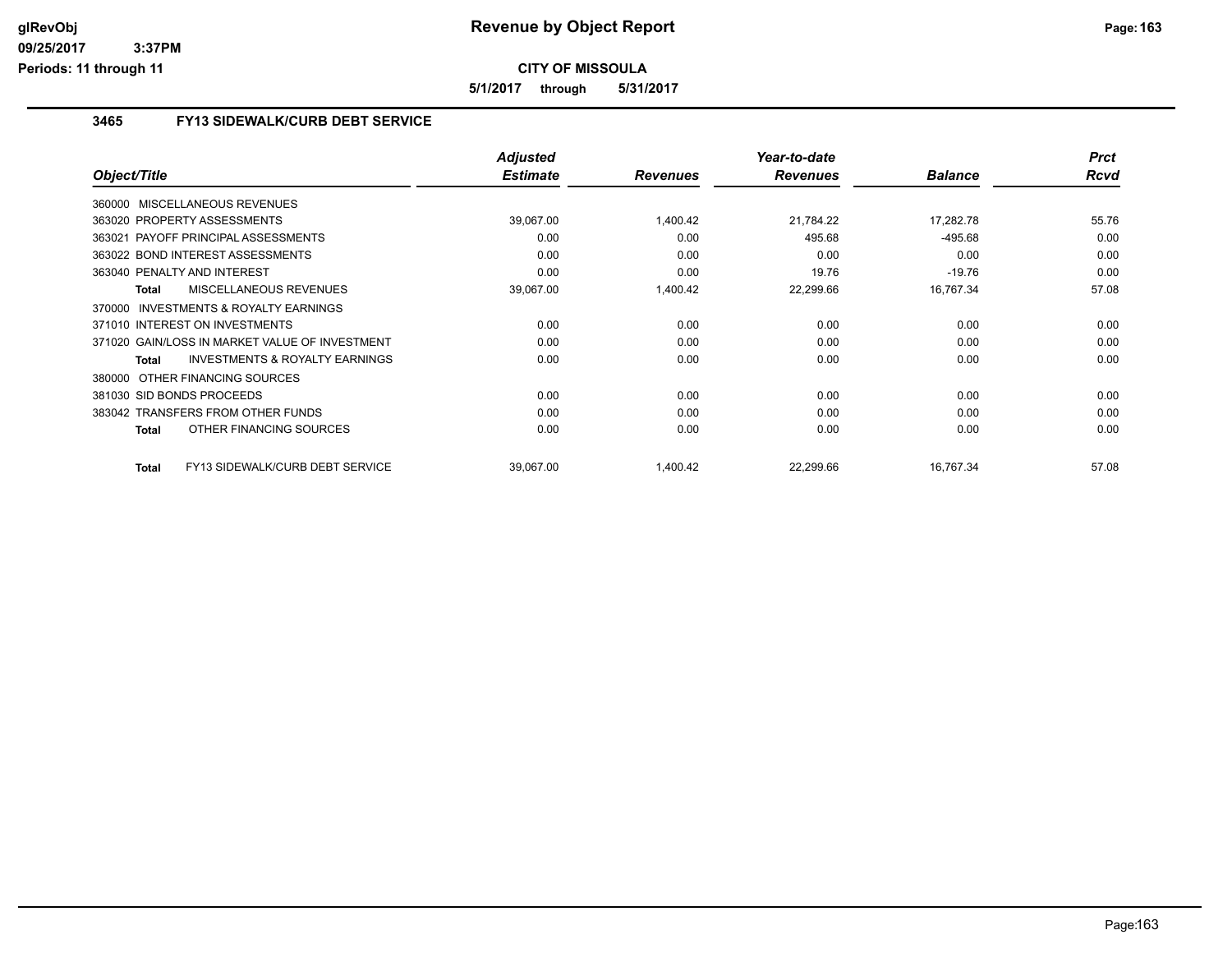**5/1/2017 through 5/31/2017**

## **3465 FY13 SIDEWALK/CURB DEBT SERVICE**

|                                                           | <b>Adjusted</b> |                 | Year-to-date    |                | <b>Prct</b> |
|-----------------------------------------------------------|-----------------|-----------------|-----------------|----------------|-------------|
| Object/Title                                              | <b>Estimate</b> | <b>Revenues</b> | <b>Revenues</b> | <b>Balance</b> | Rcvd        |
| 360000 MISCELLANEOUS REVENUES                             |                 |                 |                 |                |             |
| 363020 PROPERTY ASSESSMENTS                               | 39,067.00       | 1,400.42        | 21,784.22       | 17,282.78      | 55.76       |
| PAYOFF PRINCIPAL ASSESSMENTS<br>363021                    | 0.00            | 0.00            | 495.68          | -495.68        | 0.00        |
| 363022 BOND INTEREST ASSESSMENTS                          | 0.00            | 0.00            | 0.00            | 0.00           | 0.00        |
| 363040 PENALTY AND INTEREST                               | 0.00            | 0.00            | 19.76           | $-19.76$       | 0.00        |
| <b>MISCELLANEOUS REVENUES</b><br><b>Total</b>             | 39,067.00       | 1,400.42        | 22,299.66       | 16,767.34      | 57.08       |
| 370000 INVESTMENTS & ROYALTY EARNINGS                     |                 |                 |                 |                |             |
| 371010 INTEREST ON INVESTMENTS                            | 0.00            | 0.00            | 0.00            | 0.00           | 0.00        |
| 371020 GAIN/LOSS IN MARKET VALUE OF INVESTMENT            | 0.00            | 0.00            | 0.00            | 0.00           | 0.00        |
| <b>INVESTMENTS &amp; ROYALTY EARNINGS</b><br><b>Total</b> | 0.00            | 0.00            | 0.00            | 0.00           | 0.00        |
| OTHER FINANCING SOURCES<br>380000                         |                 |                 |                 |                |             |
| 381030 SID BONDS PROCEEDS                                 | 0.00            | 0.00            | 0.00            | 0.00           | 0.00        |
| 383042 TRANSFERS FROM OTHER FUNDS                         | 0.00            | 0.00            | 0.00            | 0.00           | 0.00        |
| OTHER FINANCING SOURCES<br><b>Total</b>                   | 0.00            | 0.00            | 0.00            | 0.00           | 0.00        |
| FY13 SIDEWALK/CURB DEBT SERVICE<br><b>Total</b>           | 39,067.00       | 1,400.42        | 22,299.66       | 16,767.34      | 57.08       |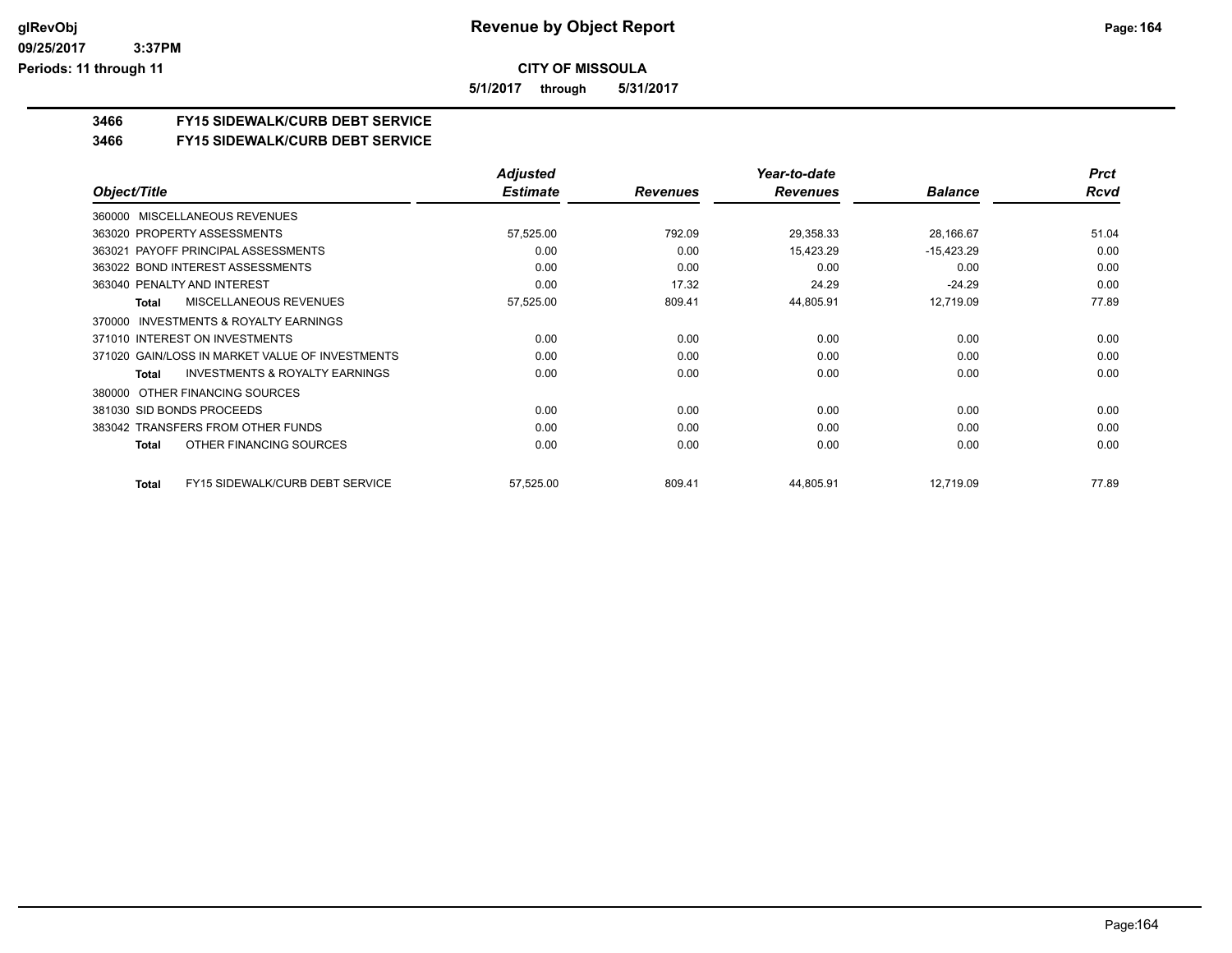**5/1/2017 through 5/31/2017**

# **3466 FY15 SIDEWALK/CURB DEBT SERVICE**

## **3466 FY15 SIDEWALK/CURB DEBT SERVICE**

|                                                    | <b>Adjusted</b> |                 | Year-to-date    |                | <b>Prct</b> |
|----------------------------------------------------|-----------------|-----------------|-----------------|----------------|-------------|
| Object/Title                                       | <b>Estimate</b> | <b>Revenues</b> | <b>Revenues</b> | <b>Balance</b> | Rcvd        |
| MISCELLANEOUS REVENUES<br>360000                   |                 |                 |                 |                |             |
| 363020 PROPERTY ASSESSMENTS                        | 57,525.00       | 792.09          | 29,358.33       | 28,166.67      | 51.04       |
| 363021 PAYOFF PRINCIPAL ASSESSMENTS                | 0.00            | 0.00            | 15,423.29       | $-15,423.29$   | 0.00        |
| 363022 BOND INTEREST ASSESSMENTS                   | 0.00            | 0.00            | 0.00            | 0.00           | 0.00        |
| 363040 PENALTY AND INTEREST                        | 0.00            | 17.32           | 24.29           | $-24.29$       | 0.00        |
| MISCELLANEOUS REVENUES<br><b>Total</b>             | 57,525.00       | 809.41          | 44,805.91       | 12,719.09      | 77.89       |
| INVESTMENTS & ROYALTY EARNINGS<br>370000           |                 |                 |                 |                |             |
| 371010 INTEREST ON INVESTMENTS                     | 0.00            | 0.00            | 0.00            | 0.00           | 0.00        |
| 371020 GAIN/LOSS IN MARKET VALUE OF INVESTMENTS    | 0.00            | 0.00            | 0.00            | 0.00           | 0.00        |
| <b>INVESTMENTS &amp; ROYALTY EARNINGS</b><br>Total | 0.00            | 0.00            | 0.00            | 0.00           | 0.00        |
| OTHER FINANCING SOURCES<br>380000                  |                 |                 |                 |                |             |
| 381030 SID BONDS PROCEEDS                          | 0.00            | 0.00            | 0.00            | 0.00           | 0.00        |
| 383042 TRANSFERS FROM OTHER FUNDS                  | 0.00            | 0.00            | 0.00            | 0.00           | 0.00        |
| OTHER FINANCING SOURCES<br><b>Total</b>            | 0.00            | 0.00            | 0.00            | 0.00           | 0.00        |
| FY15 SIDEWALK/CURB DEBT SERVICE<br>Total           | 57,525.00       | 809.41          | 44,805.91       | 12,719.09      | 77.89       |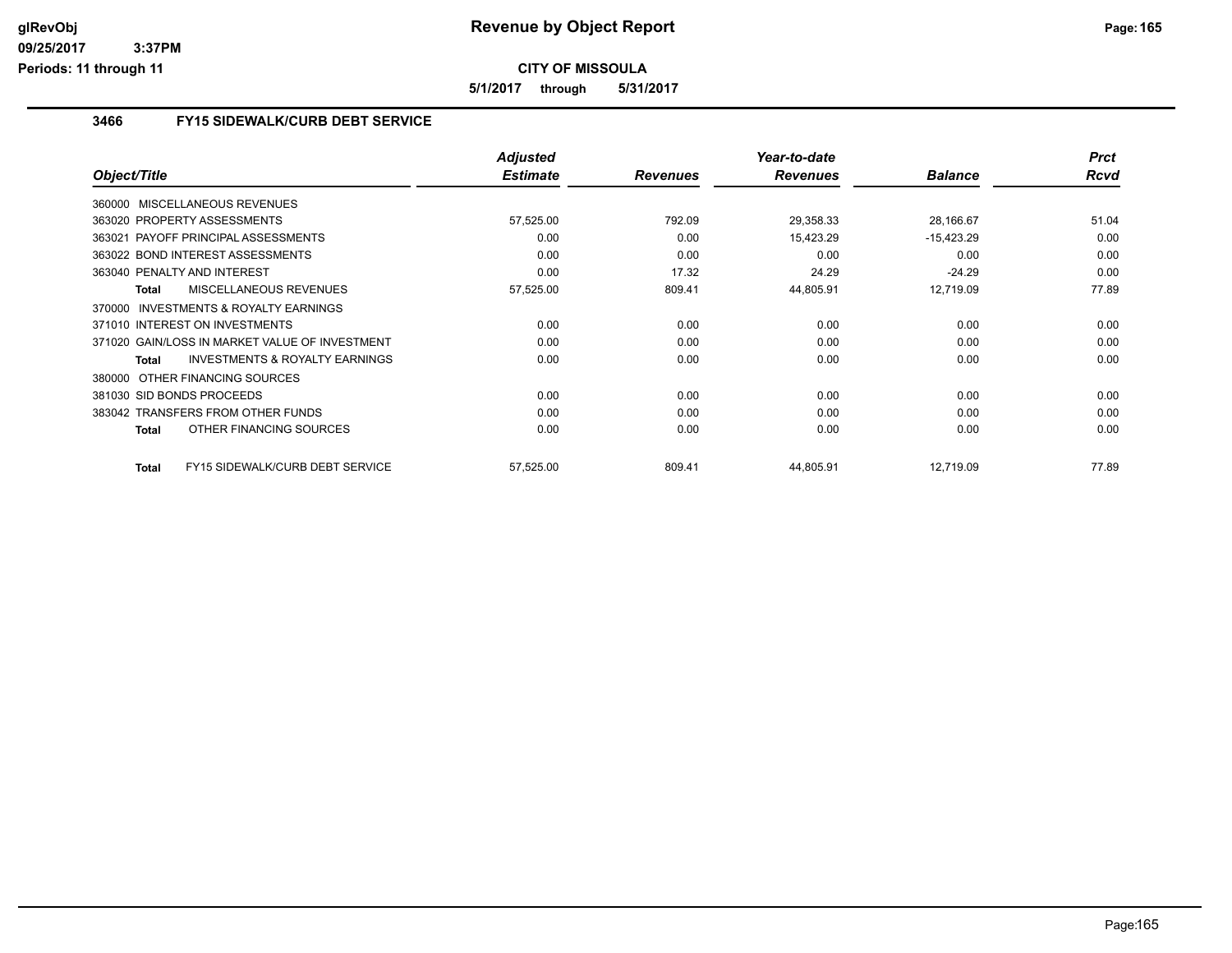**5/1/2017 through 5/31/2017**

## **3466 FY15 SIDEWALK/CURB DEBT SERVICE**

|                                                           | <b>Adjusted</b> |                 | Year-to-date    |                | <b>Prct</b> |
|-----------------------------------------------------------|-----------------|-----------------|-----------------|----------------|-------------|
| Object/Title                                              | <b>Estimate</b> | <b>Revenues</b> | <b>Revenues</b> | <b>Balance</b> | Rcvd        |
| 360000 MISCELLANEOUS REVENUES                             |                 |                 |                 |                |             |
| 363020 PROPERTY ASSESSMENTS                               | 57,525.00       | 792.09          | 29,358.33       | 28,166.67      | 51.04       |
| PAYOFF PRINCIPAL ASSESSMENTS<br>363021                    | 0.00            | 0.00            | 15,423.29       | $-15,423.29$   | 0.00        |
| 363022 BOND INTEREST ASSESSMENTS                          | 0.00            | 0.00            | 0.00            | 0.00           | 0.00        |
| 363040 PENALTY AND INTEREST                               | 0.00            | 17.32           | 24.29           | $-24.29$       | 0.00        |
| <b>MISCELLANEOUS REVENUES</b><br><b>Total</b>             | 57,525.00       | 809.41          | 44,805.91       | 12,719.09      | 77.89       |
| 370000 INVESTMENTS & ROYALTY EARNINGS                     |                 |                 |                 |                |             |
| 371010 INTEREST ON INVESTMENTS                            | 0.00            | 0.00            | 0.00            | 0.00           | 0.00        |
| 371020 GAIN/LOSS IN MARKET VALUE OF INVESTMENT            | 0.00            | 0.00            | 0.00            | 0.00           | 0.00        |
| <b>INVESTMENTS &amp; ROYALTY EARNINGS</b><br><b>Total</b> | 0.00            | 0.00            | 0.00            | 0.00           | 0.00        |
| OTHER FINANCING SOURCES<br>380000                         |                 |                 |                 |                |             |
| 381030 SID BONDS PROCEEDS                                 | 0.00            | 0.00            | 0.00            | 0.00           | 0.00        |
| 383042 TRANSFERS FROM OTHER FUNDS                         | 0.00            | 0.00            | 0.00            | 0.00           | 0.00        |
| OTHER FINANCING SOURCES<br><b>Total</b>                   | 0.00            | 0.00            | 0.00            | 0.00           | 0.00        |
| FY15 SIDEWALK/CURB DEBT SERVICE<br><b>Total</b>           | 57,525.00       | 809.41          | 44,805.91       | 12,719.09      | 77.89       |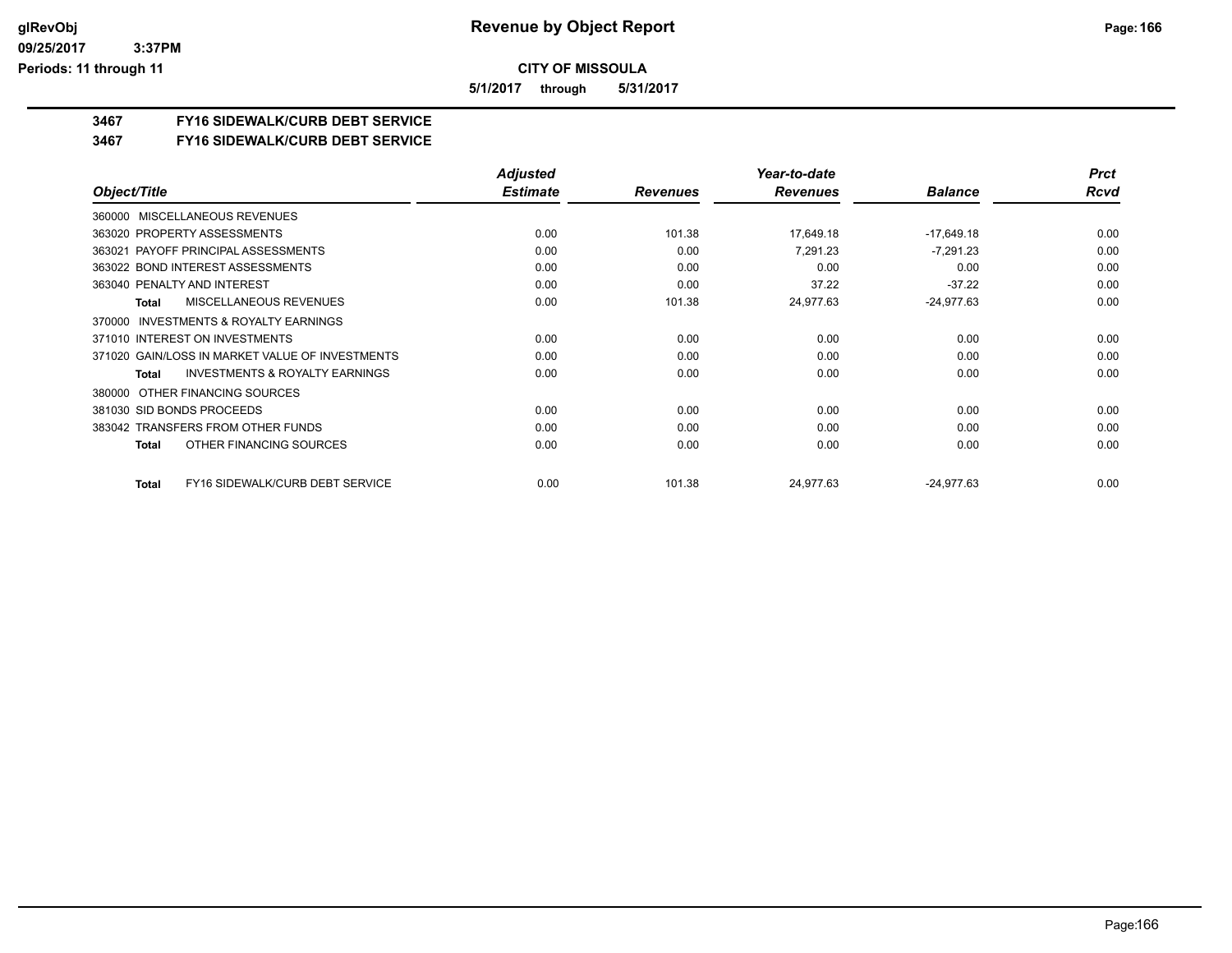**5/1/2017 through 5/31/2017**

# **3467 FY16 SIDEWALK/CURB DEBT SERVICE**

## **3467 FY16 SIDEWALK/CURB DEBT SERVICE**

|                                                           | <b>Adjusted</b> |                 | Year-to-date    |                | <b>Prct</b> |
|-----------------------------------------------------------|-----------------|-----------------|-----------------|----------------|-------------|
| Object/Title                                              | <b>Estimate</b> | <b>Revenues</b> | <b>Revenues</b> | <b>Balance</b> | Rcvd        |
| 360000 MISCELLANEOUS REVENUES                             |                 |                 |                 |                |             |
| 363020 PROPERTY ASSESSMENTS                               | 0.00            | 101.38          | 17,649.18       | $-17,649.18$   | 0.00        |
| 363021 PAYOFF PRINCIPAL ASSESSMENTS                       | 0.00            | 0.00            | 7.291.23        | $-7.291.23$    | 0.00        |
| 363022 BOND INTEREST ASSESSMENTS                          | 0.00            | 0.00            | 0.00            | 0.00           | 0.00        |
| 363040 PENALTY AND INTEREST                               | 0.00            | 0.00            | 37.22           | $-37.22$       | 0.00        |
| MISCELLANEOUS REVENUES<br><b>Total</b>                    | 0.00            | 101.38          | 24,977.63       | $-24,977.63$   | 0.00        |
| INVESTMENTS & ROYALTY EARNINGS<br>370000                  |                 |                 |                 |                |             |
| 371010 INTEREST ON INVESTMENTS                            | 0.00            | 0.00            | 0.00            | 0.00           | 0.00        |
| 371020 GAIN/LOSS IN MARKET VALUE OF INVESTMENTS           | 0.00            | 0.00            | 0.00            | 0.00           | 0.00        |
| <b>INVESTMENTS &amp; ROYALTY EARNINGS</b><br><b>Total</b> | 0.00            | 0.00            | 0.00            | 0.00           | 0.00        |
| 380000 OTHER FINANCING SOURCES                            |                 |                 |                 |                |             |
| 381030 SID BONDS PROCEEDS                                 | 0.00            | 0.00            | 0.00            | 0.00           | 0.00        |
| 383042 TRANSFERS FROM OTHER FUNDS                         | 0.00            | 0.00            | 0.00            | 0.00           | 0.00        |
| OTHER FINANCING SOURCES<br><b>Total</b>                   | 0.00            | 0.00            | 0.00            | 0.00           | 0.00        |
| FY16 SIDEWALK/CURB DEBT SERVICE<br><b>Total</b>           | 0.00            | 101.38          | 24,977.63       | $-24,977.63$   | 0.00        |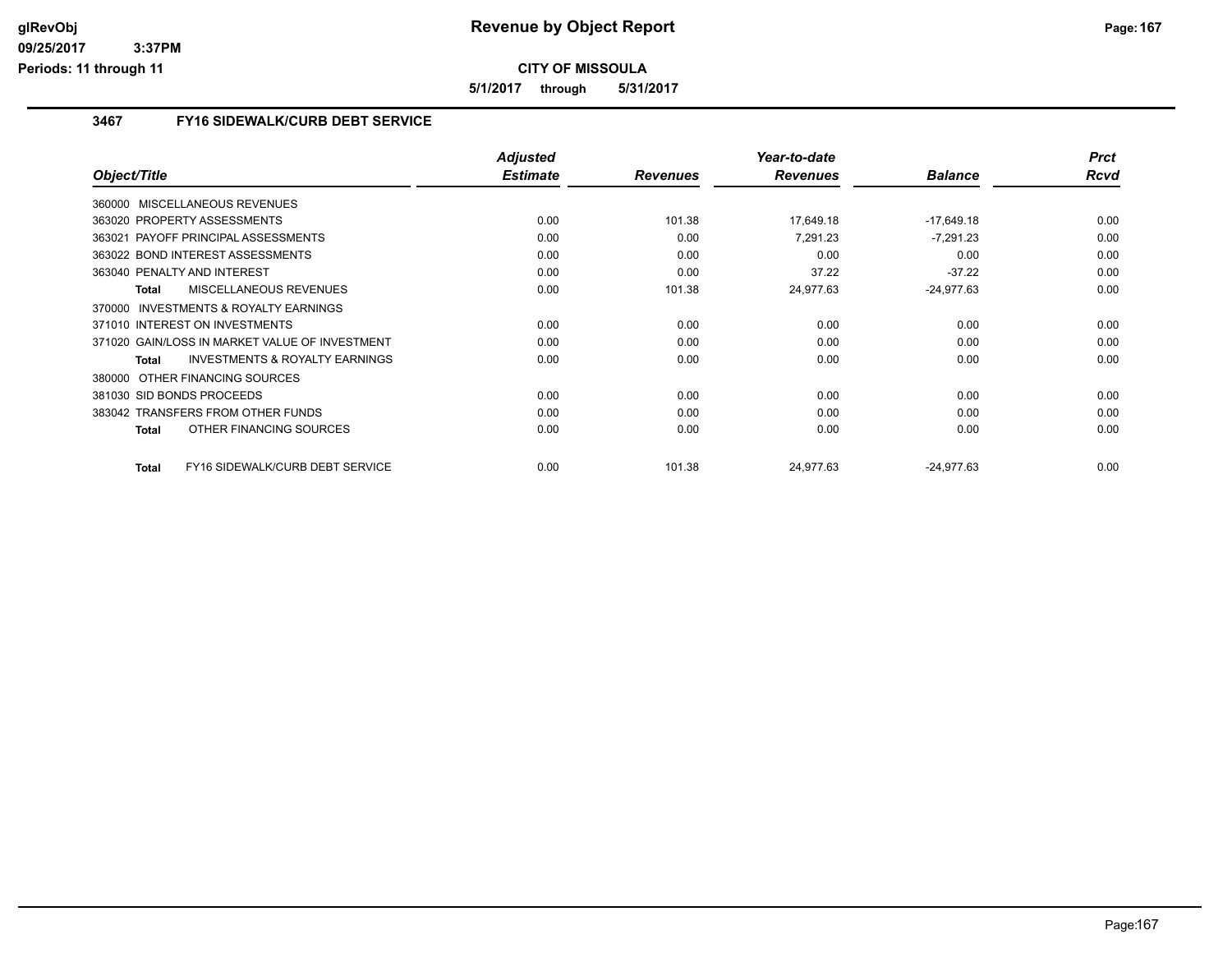**5/1/2017 through 5/31/2017**

## **3467 FY16 SIDEWALK/CURB DEBT SERVICE**

|                                                     | <b>Adjusted</b> |                 | Year-to-date    |                | <b>Prct</b> |
|-----------------------------------------------------|-----------------|-----------------|-----------------|----------------|-------------|
| Object/Title                                        | <b>Estimate</b> | <b>Revenues</b> | <b>Revenues</b> | <b>Balance</b> | <b>Rcvd</b> |
| 360000 MISCELLANEOUS REVENUES                       |                 |                 |                 |                |             |
| 363020 PROPERTY ASSESSMENTS                         | 0.00            | 101.38          | 17,649.18       | $-17,649.18$   | 0.00        |
| 363021 PAYOFF PRINCIPAL ASSESSMENTS                 | 0.00            | 0.00            | 7,291.23        | $-7,291.23$    | 0.00        |
| 363022 BOND INTEREST ASSESSMENTS                    | 0.00            | 0.00            | 0.00            | 0.00           | 0.00        |
| 363040 PENALTY AND INTEREST                         | 0.00            | 0.00            | 37.22           | $-37.22$       | 0.00        |
| MISCELLANEOUS REVENUES<br>Total                     | 0.00            | 101.38          | 24,977.63       | $-24,977.63$   | 0.00        |
| <b>INVESTMENTS &amp; ROYALTY EARNINGS</b><br>370000 |                 |                 |                 |                |             |
| 371010 INTEREST ON INVESTMENTS                      | 0.00            | 0.00            | 0.00            | 0.00           | 0.00        |
| 371020 GAIN/LOSS IN MARKET VALUE OF INVESTMENT      | 0.00            | 0.00            | 0.00            | 0.00           | 0.00        |
| <b>INVESTMENTS &amp; ROYALTY EARNINGS</b><br>Total  | 0.00            | 0.00            | 0.00            | 0.00           | 0.00        |
| 380000 OTHER FINANCING SOURCES                      |                 |                 |                 |                |             |
| 381030 SID BONDS PROCEEDS                           | 0.00            | 0.00            | 0.00            | 0.00           | 0.00        |
| 383042 TRANSFERS FROM OTHER FUNDS                   | 0.00            | 0.00            | 0.00            | 0.00           | 0.00        |
| OTHER FINANCING SOURCES<br>Total                    | 0.00            | 0.00            | 0.00            | 0.00           | 0.00        |
| FY16 SIDEWALK/CURB DEBT SERVICE<br>Total            | 0.00            | 101.38          | 24,977.63       | $-24,977.63$   | 0.00        |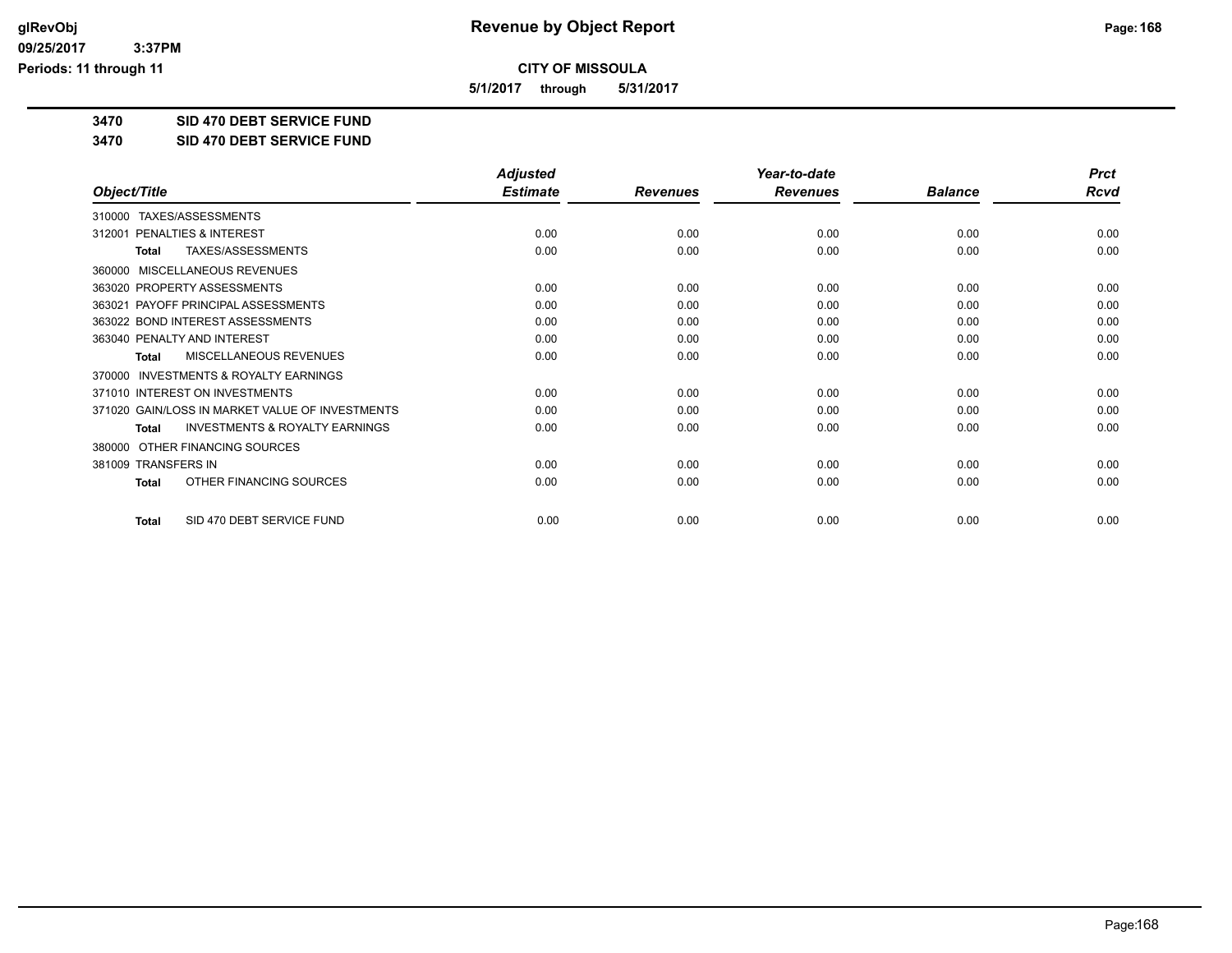**CITY OF MISSOULA**

**5/1/2017 through 5/31/2017**

**3470 SID 470 DEBT SERVICE FUND**

**3470 SID 470 DEBT SERVICE FUND**

|                                                           | <b>Adjusted</b> |                 | Year-to-date    |                | <b>Prct</b> |
|-----------------------------------------------------------|-----------------|-----------------|-----------------|----------------|-------------|
| Object/Title                                              | <b>Estimate</b> | <b>Revenues</b> | <b>Revenues</b> | <b>Balance</b> | <b>Rcvd</b> |
| TAXES/ASSESSMENTS<br>310000                               |                 |                 |                 |                |             |
| PENALTIES & INTEREST<br>312001                            | 0.00            | 0.00            | 0.00            | 0.00           | 0.00        |
| TAXES/ASSESSMENTS<br><b>Total</b>                         | 0.00            | 0.00            | 0.00            | 0.00           | 0.00        |
| MISCELLANEOUS REVENUES<br>360000                          |                 |                 |                 |                |             |
| 363020 PROPERTY ASSESSMENTS                               | 0.00            | 0.00            | 0.00            | 0.00           | 0.00        |
| 363021 PAYOFF PRINCIPAL ASSESSMENTS                       | 0.00            | 0.00            | 0.00            | 0.00           | 0.00        |
| 363022 BOND INTEREST ASSESSMENTS                          | 0.00            | 0.00            | 0.00            | 0.00           | 0.00        |
| 363040 PENALTY AND INTEREST                               | 0.00            | 0.00            | 0.00            | 0.00           | 0.00        |
| <b>MISCELLANEOUS REVENUES</b><br><b>Total</b>             | 0.00            | 0.00            | 0.00            | 0.00           | 0.00        |
| <b>INVESTMENTS &amp; ROYALTY EARNINGS</b><br>370000       |                 |                 |                 |                |             |
| 371010 INTEREST ON INVESTMENTS                            | 0.00            | 0.00            | 0.00            | 0.00           | 0.00        |
| 371020 GAIN/LOSS IN MARKET VALUE OF INVESTMENTS           | 0.00            | 0.00            | 0.00            | 0.00           | 0.00        |
| <b>INVESTMENTS &amp; ROYALTY EARNINGS</b><br><b>Total</b> | 0.00            | 0.00            | 0.00            | 0.00           | 0.00        |
| OTHER FINANCING SOURCES<br>380000                         |                 |                 |                 |                |             |
| 381009 TRANSFERS IN                                       | 0.00            | 0.00            | 0.00            | 0.00           | 0.00        |
| OTHER FINANCING SOURCES<br><b>Total</b>                   | 0.00            | 0.00            | 0.00            | 0.00           | 0.00        |
| SID 470 DEBT SERVICE FUND<br><b>Total</b>                 | 0.00            | 0.00            | 0.00            | 0.00           | 0.00        |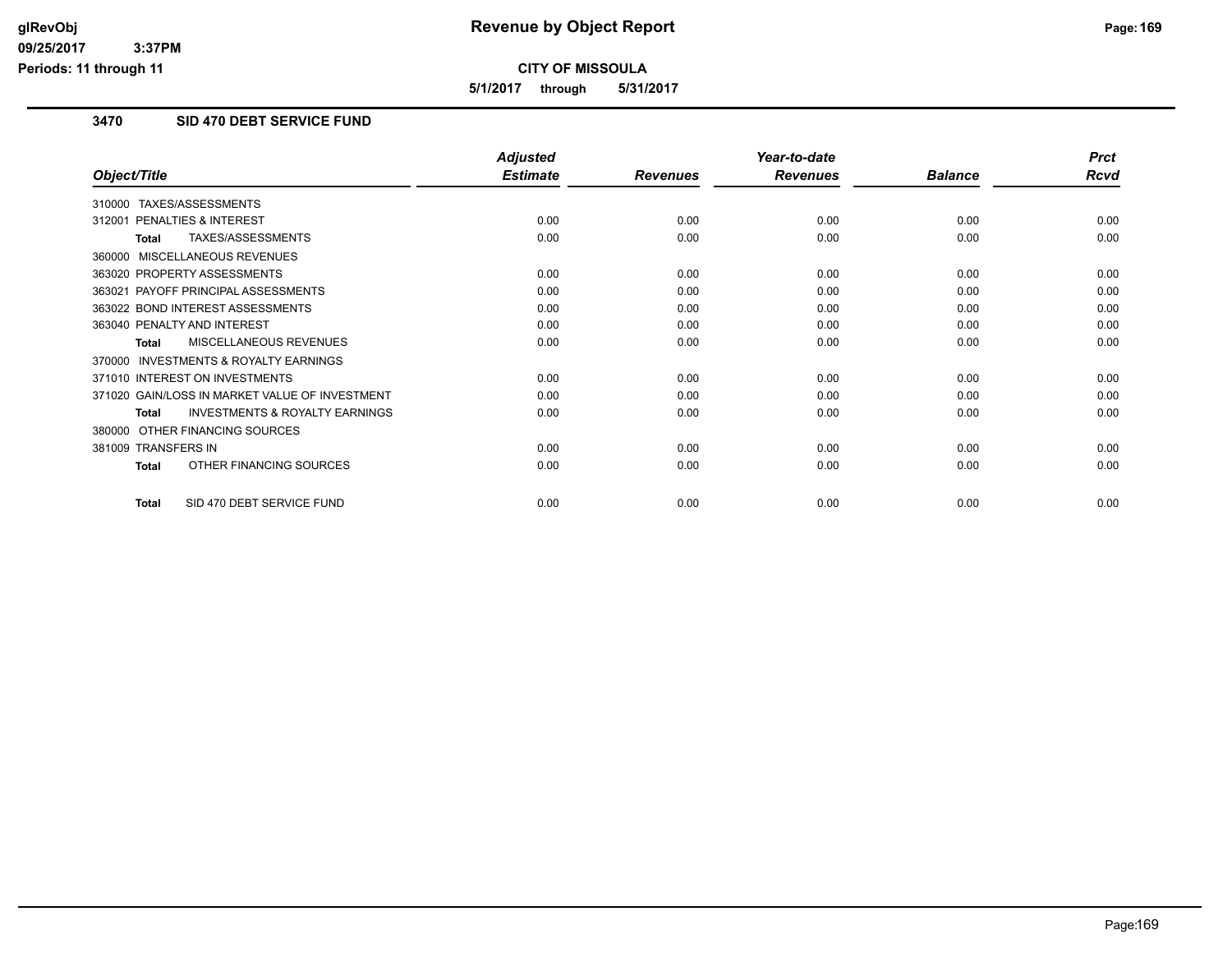**3:37PM**

**CITY OF MISSOULA**

**5/1/2017 through 5/31/2017**

# **3470 SID 470 DEBT SERVICE FUND**

|                                                           | <b>Adjusted</b> |                 | Year-to-date    |                | <b>Prct</b> |
|-----------------------------------------------------------|-----------------|-----------------|-----------------|----------------|-------------|
| Object/Title                                              | <b>Estimate</b> | <b>Revenues</b> | <b>Revenues</b> | <b>Balance</b> | <b>Rcvd</b> |
| TAXES/ASSESSMENTS<br>310000                               |                 |                 |                 |                |             |
| 312001 PENALTIES & INTEREST                               | 0.00            | 0.00            | 0.00            | 0.00           | 0.00        |
| TAXES/ASSESSMENTS<br>Total                                | 0.00            | 0.00            | 0.00            | 0.00           | 0.00        |
| MISCELLANEOUS REVENUES<br>360000                          |                 |                 |                 |                |             |
| 363020 PROPERTY ASSESSMENTS                               | 0.00            | 0.00            | 0.00            | 0.00           | 0.00        |
| 363021 PAYOFF PRINCIPAL ASSESSMENTS                       | 0.00            | 0.00            | 0.00            | 0.00           | 0.00        |
| 363022 BOND INTEREST ASSESSMENTS                          | 0.00            | 0.00            | 0.00            | 0.00           | 0.00        |
| 363040 PENALTY AND INTEREST                               | 0.00            | 0.00            | 0.00            | 0.00           | 0.00        |
| MISCELLANEOUS REVENUES<br><b>Total</b>                    | 0.00            | 0.00            | 0.00            | 0.00           | 0.00        |
| <b>INVESTMENTS &amp; ROYALTY EARNINGS</b><br>370000       |                 |                 |                 |                |             |
| 371010 INTEREST ON INVESTMENTS                            | 0.00            | 0.00            | 0.00            | 0.00           | 0.00        |
| 371020 GAIN/LOSS IN MARKET VALUE OF INVESTMENT            | 0.00            | 0.00            | 0.00            | 0.00           | 0.00        |
| <b>INVESTMENTS &amp; ROYALTY EARNINGS</b><br><b>Total</b> | 0.00            | 0.00            | 0.00            | 0.00           | 0.00        |
| OTHER FINANCING SOURCES<br>380000                         |                 |                 |                 |                |             |
| 381009 TRANSFERS IN                                       | 0.00            | 0.00            | 0.00            | 0.00           | 0.00        |
| OTHER FINANCING SOURCES<br><b>Total</b>                   | 0.00            | 0.00            | 0.00            | 0.00           | 0.00        |
| SID 470 DEBT SERVICE FUND<br><b>Total</b>                 | 0.00            | 0.00            | 0.00            | 0.00           | 0.00        |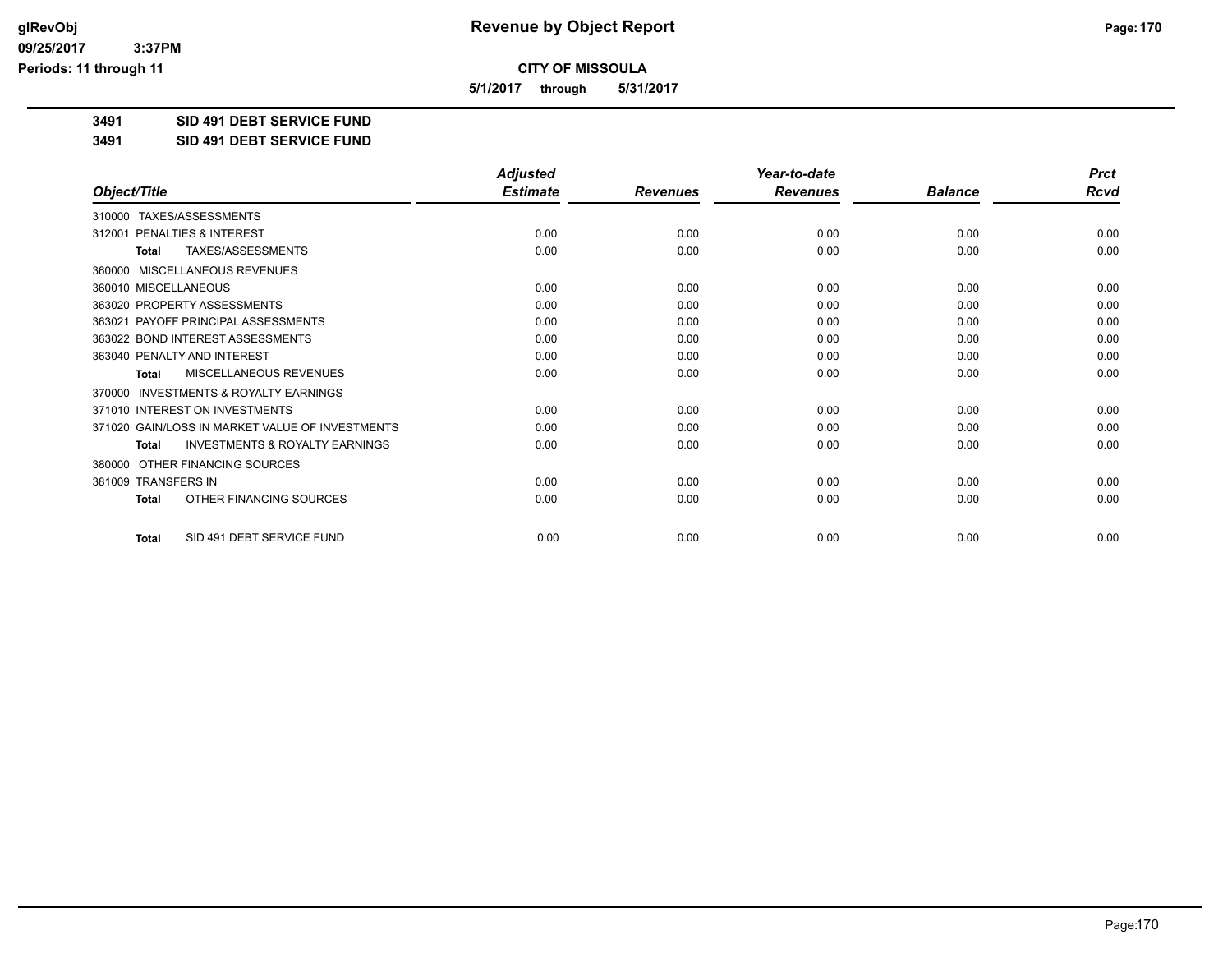**CITY OF MISSOULA**

**5/1/2017 through 5/31/2017**

**3491 SID 491 DEBT SERVICE FUND**

 **3:37PM**

**3491 SID 491 DEBT SERVICE FUND**

|                                                           | <b>Adjusted</b> |                 | Year-to-date    |                | <b>Prct</b> |
|-----------------------------------------------------------|-----------------|-----------------|-----------------|----------------|-------------|
| Object/Title                                              | <b>Estimate</b> | <b>Revenues</b> | <b>Revenues</b> | <b>Balance</b> | <b>Rcvd</b> |
| TAXES/ASSESSMENTS<br>310000                               |                 |                 |                 |                |             |
| PENALTIES & INTEREST<br>312001                            | 0.00            | 0.00            | 0.00            | 0.00           | 0.00        |
| TAXES/ASSESSMENTS<br>Total                                | 0.00            | 0.00            | 0.00            | 0.00           | 0.00        |
| MISCELLANEOUS REVENUES<br>360000                          |                 |                 |                 |                |             |
| 360010 MISCELLANEOUS                                      | 0.00            | 0.00            | 0.00            | 0.00           | 0.00        |
| 363020 PROPERTY ASSESSMENTS                               | 0.00            | 0.00            | 0.00            | 0.00           | 0.00        |
| 363021 PAYOFF PRINCIPAL ASSESSMENTS                       | 0.00            | 0.00            | 0.00            | 0.00           | 0.00        |
| 363022 BOND INTEREST ASSESSMENTS                          | 0.00            | 0.00            | 0.00            | 0.00           | 0.00        |
| 363040 PENALTY AND INTEREST                               | 0.00            | 0.00            | 0.00            | 0.00           | 0.00        |
| MISCELLANEOUS REVENUES<br><b>Total</b>                    | 0.00            | 0.00            | 0.00            | 0.00           | 0.00        |
| <b>INVESTMENTS &amp; ROYALTY EARNINGS</b><br>370000       |                 |                 |                 |                |             |
| 371010 INTEREST ON INVESTMENTS                            | 0.00            | 0.00            | 0.00            | 0.00           | 0.00        |
| 371020 GAIN/LOSS IN MARKET VALUE OF INVESTMENTS           | 0.00            | 0.00            | 0.00            | 0.00           | 0.00        |
| <b>INVESTMENTS &amp; ROYALTY EARNINGS</b><br><b>Total</b> | 0.00            | 0.00            | 0.00            | 0.00           | 0.00        |
| OTHER FINANCING SOURCES<br>380000                         |                 |                 |                 |                |             |
| 381009 TRANSFERS IN                                       | 0.00            | 0.00            | 0.00            | 0.00           | 0.00        |
| OTHER FINANCING SOURCES<br>Total                          | 0.00            | 0.00            | 0.00            | 0.00           | 0.00        |
| SID 491 DEBT SERVICE FUND<br><b>Total</b>                 | 0.00            | 0.00            | 0.00            | 0.00           | 0.00        |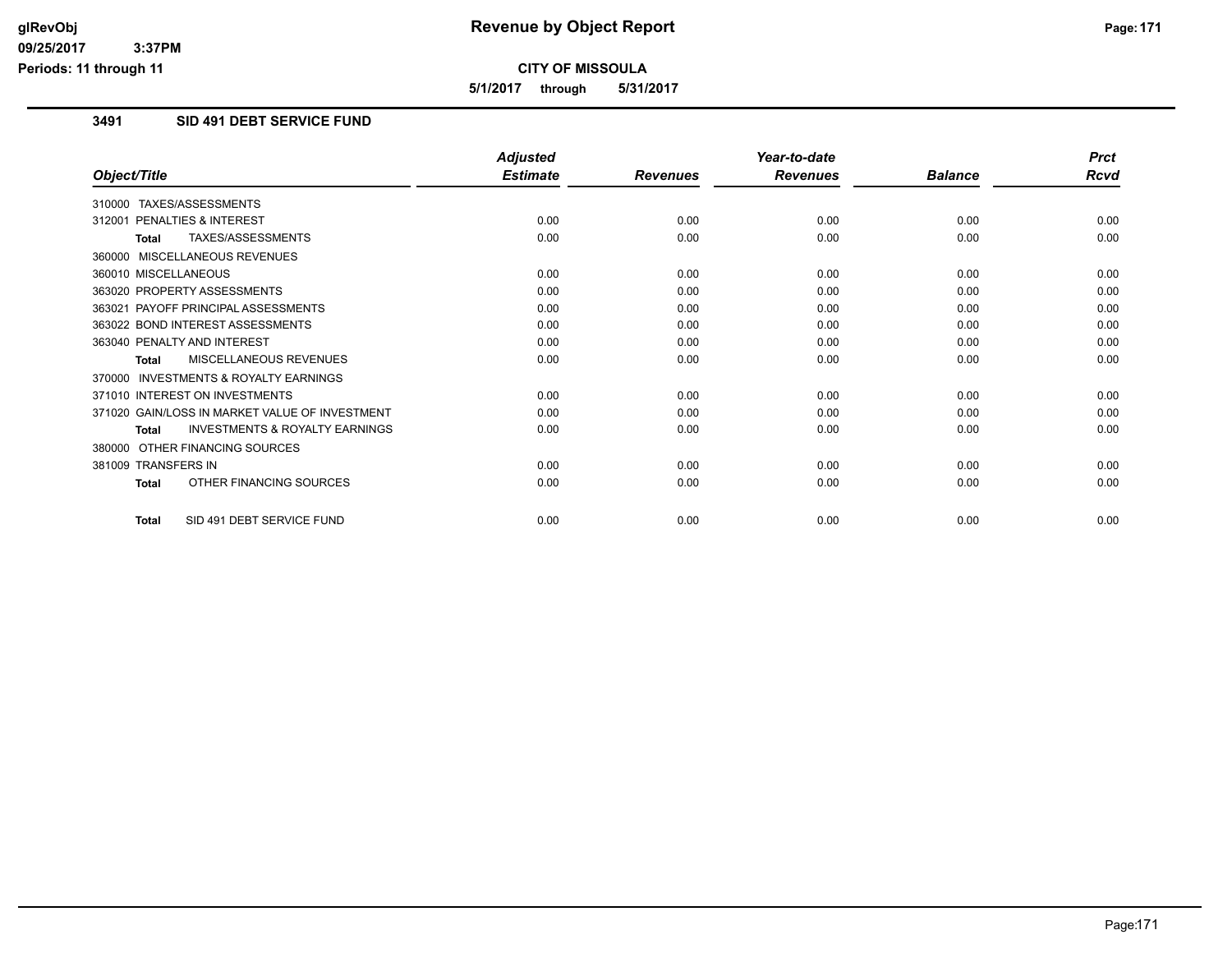**CITY OF MISSOULA**

**5/1/2017 through 5/31/2017**

# **3491 SID 491 DEBT SERVICE FUND**

 **3:37PM**

|                                                           | <b>Adjusted</b> |                 | Year-to-date    |                | <b>Prct</b> |
|-----------------------------------------------------------|-----------------|-----------------|-----------------|----------------|-------------|
| Object/Title                                              | <b>Estimate</b> | <b>Revenues</b> | <b>Revenues</b> | <b>Balance</b> | <b>Rcvd</b> |
| 310000 TAXES/ASSESSMENTS                                  |                 |                 |                 |                |             |
| 312001 PENALTIES & INTEREST                               | 0.00            | 0.00            | 0.00            | 0.00           | 0.00        |
| TAXES/ASSESSMENTS<br><b>Total</b>                         | 0.00            | 0.00            | 0.00            | 0.00           | 0.00        |
| 360000 MISCELLANEOUS REVENUES                             |                 |                 |                 |                |             |
| 360010 MISCELLANEOUS                                      | 0.00            | 0.00            | 0.00            | 0.00           | 0.00        |
| 363020 PROPERTY ASSESSMENTS                               | 0.00            | 0.00            | 0.00            | 0.00           | 0.00        |
| 363021 PAYOFF PRINCIPAL ASSESSMENTS                       | 0.00            | 0.00            | 0.00            | 0.00           | 0.00        |
| 363022 BOND INTEREST ASSESSMENTS                          | 0.00            | 0.00            | 0.00            | 0.00           | 0.00        |
| 363040 PENALTY AND INTEREST                               | 0.00            | 0.00            | 0.00            | 0.00           | 0.00        |
| MISCELLANEOUS REVENUES<br><b>Total</b>                    | 0.00            | 0.00            | 0.00            | 0.00           | 0.00        |
| <b>INVESTMENTS &amp; ROYALTY EARNINGS</b><br>370000       |                 |                 |                 |                |             |
| 371010 INTEREST ON INVESTMENTS                            | 0.00            | 0.00            | 0.00            | 0.00           | 0.00        |
| 371020 GAIN/LOSS IN MARKET VALUE OF INVESTMENT            | 0.00            | 0.00            | 0.00            | 0.00           | 0.00        |
| <b>INVESTMENTS &amp; ROYALTY EARNINGS</b><br><b>Total</b> | 0.00            | 0.00            | 0.00            | 0.00           | 0.00        |
| OTHER FINANCING SOURCES<br>380000                         |                 |                 |                 |                |             |
| 381009 TRANSFERS IN                                       | 0.00            | 0.00            | 0.00            | 0.00           | 0.00        |
| OTHER FINANCING SOURCES<br><b>Total</b>                   | 0.00            | 0.00            | 0.00            | 0.00           | 0.00        |
| SID 491 DEBT SERVICE FUND<br>Total                        | 0.00            | 0.00            | 0.00            | 0.00           | 0.00        |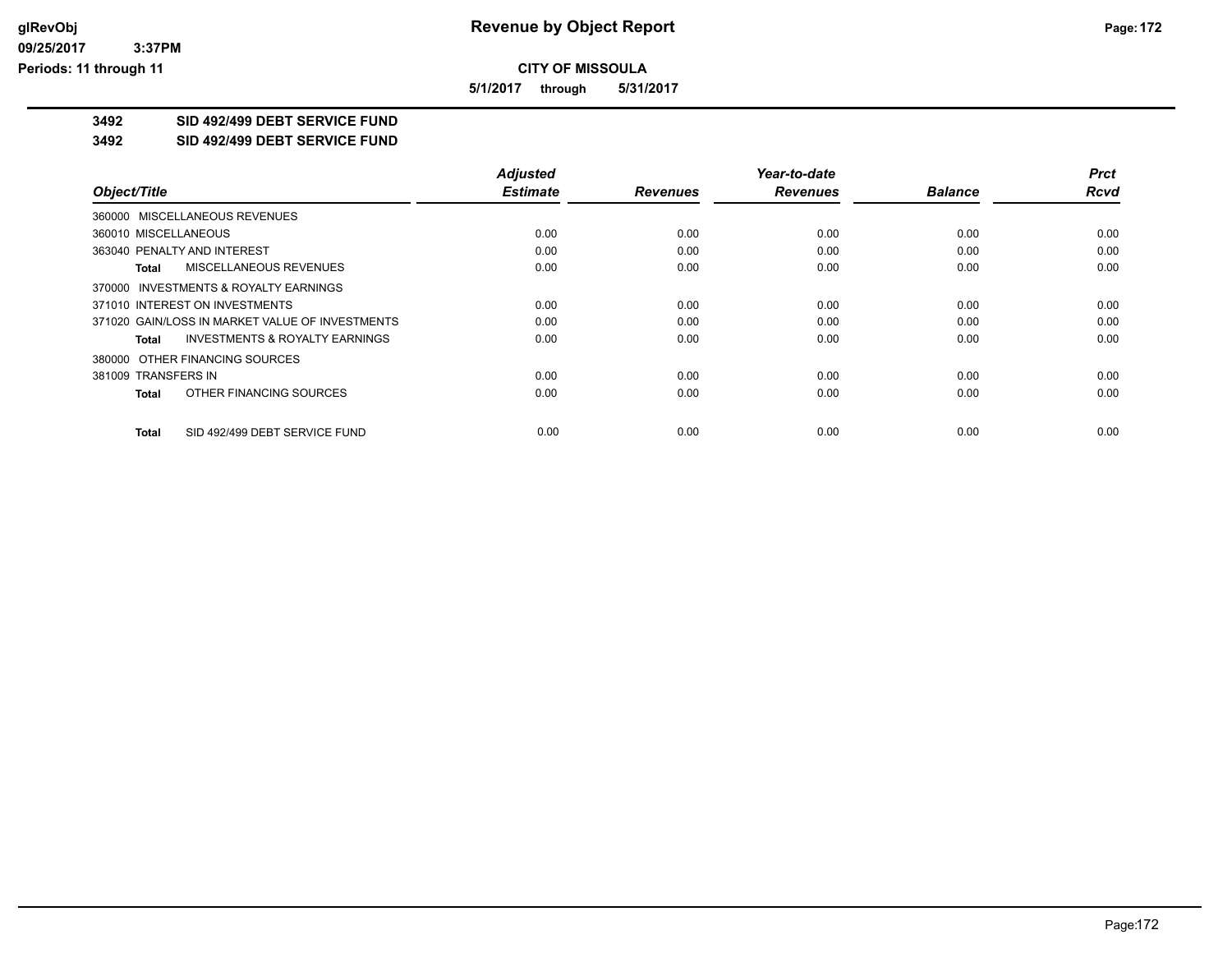**5/1/2017 through 5/31/2017**

**3492 SID 492/499 DEBT SERVICE FUND**

**3492 SID 492/499 DEBT SERVICE FUND**

|                                                    | <b>Adjusted</b> |                 | Year-to-date    |                | <b>Prct</b> |
|----------------------------------------------------|-----------------|-----------------|-----------------|----------------|-------------|
| Object/Title                                       | <b>Estimate</b> | <b>Revenues</b> | <b>Revenues</b> | <b>Balance</b> | <b>Rcvd</b> |
| 360000 MISCELLANEOUS REVENUES                      |                 |                 |                 |                |             |
| 360010 MISCELLANEOUS                               | 0.00            | 0.00            | 0.00            | 0.00           | 0.00        |
| 363040 PENALTY AND INTEREST                        | 0.00            | 0.00            | 0.00            | 0.00           | 0.00        |
| <b>MISCELLANEOUS REVENUES</b><br>Total             | 0.00            | 0.00            | 0.00            | 0.00           | 0.00        |
| 370000 INVESTMENTS & ROYALTY EARNINGS              |                 |                 |                 |                |             |
| 371010 INTEREST ON INVESTMENTS                     | 0.00            | 0.00            | 0.00            | 0.00           | 0.00        |
| 371020 GAIN/LOSS IN MARKET VALUE OF INVESTMENTS    | 0.00            | 0.00            | 0.00            | 0.00           | 0.00        |
| <b>INVESTMENTS &amp; ROYALTY EARNINGS</b><br>Total | 0.00            | 0.00            | 0.00            | 0.00           | 0.00        |
| 380000 OTHER FINANCING SOURCES                     |                 |                 |                 |                |             |
| 381009 TRANSFERS IN                                | 0.00            | 0.00            | 0.00            | 0.00           | 0.00        |
| OTHER FINANCING SOURCES<br><b>Total</b>            | 0.00            | 0.00            | 0.00            | 0.00           | 0.00        |
| SID 492/499 DEBT SERVICE FUND<br><b>Total</b>      | 0.00            | 0.00            | 0.00            | 0.00           | 0.00        |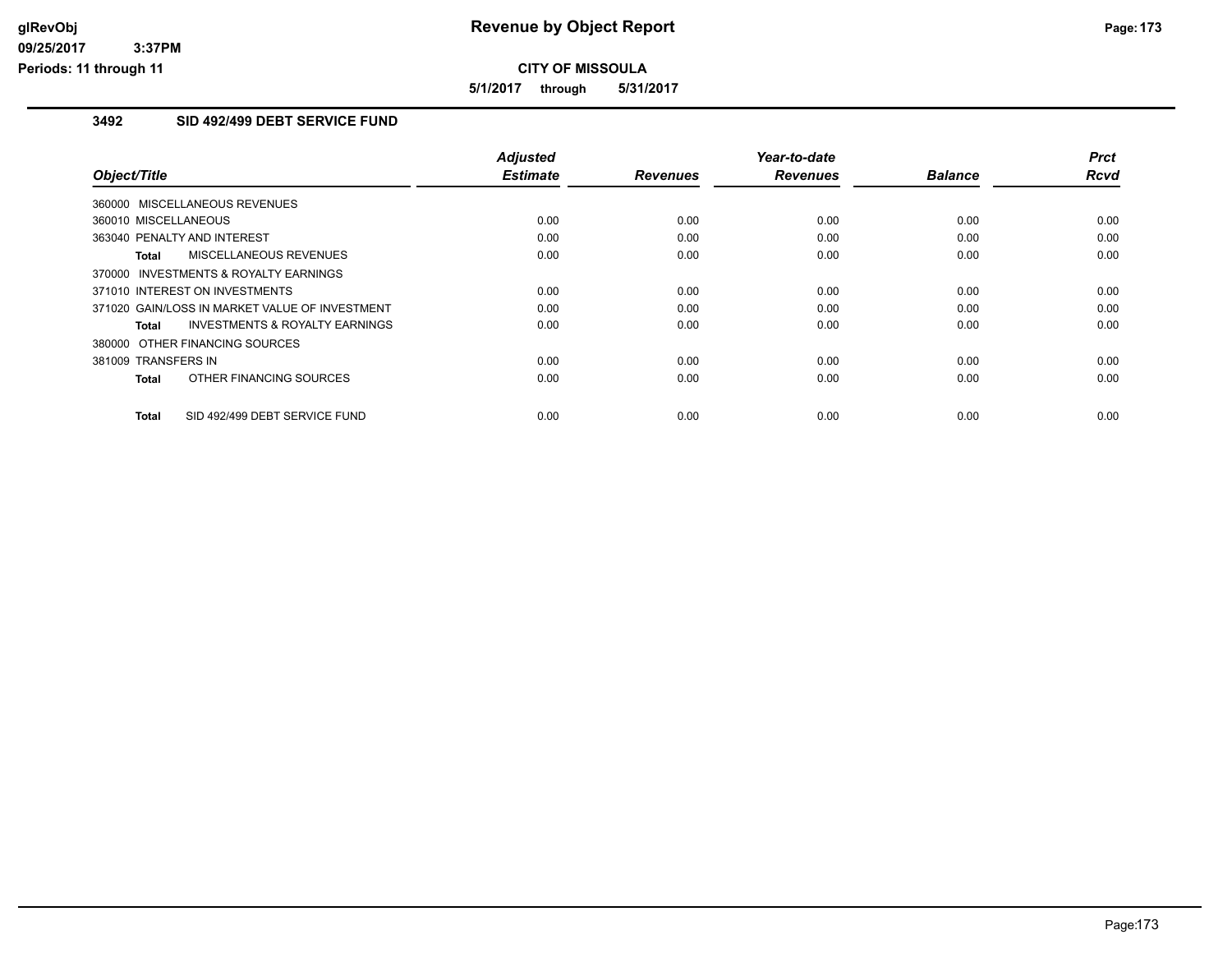**5/1/2017 through 5/31/2017**

### **3492 SID 492/499 DEBT SERVICE FUND**

| Object/Title                                        | <b>Adjusted</b><br><b>Estimate</b> | <b>Revenues</b> | Year-to-date<br><b>Revenues</b> | <b>Balance</b> | <b>Prct</b><br><b>Rcvd</b> |
|-----------------------------------------------------|------------------------------------|-----------------|---------------------------------|----------------|----------------------------|
|                                                     |                                    |                 |                                 |                |                            |
| 360000 MISCELLANEOUS REVENUES                       |                                    |                 |                                 |                |                            |
| 360010 MISCELLANEOUS                                | 0.00                               | 0.00            | 0.00                            | 0.00           | 0.00                       |
| 363040 PENALTY AND INTEREST                         | 0.00                               | 0.00            | 0.00                            | 0.00           | 0.00                       |
| MISCELLANEOUS REVENUES<br><b>Total</b>              | 0.00                               | 0.00            | 0.00                            | 0.00           | 0.00                       |
| <b>INVESTMENTS &amp; ROYALTY EARNINGS</b><br>370000 |                                    |                 |                                 |                |                            |
| 371010 INTEREST ON INVESTMENTS                      | 0.00                               | 0.00            | 0.00                            | 0.00           | 0.00                       |
| 371020 GAIN/LOSS IN MARKET VALUE OF INVESTMENT      | 0.00                               | 0.00            | 0.00                            | 0.00           | 0.00                       |
| <b>INVESTMENTS &amp; ROYALTY EARNINGS</b><br>Total  | 0.00                               | 0.00            | 0.00                            | 0.00           | 0.00                       |
| 380000 OTHER FINANCING SOURCES                      |                                    |                 |                                 |                |                            |
| 381009 TRANSFERS IN                                 | 0.00                               | 0.00            | 0.00                            | 0.00           | 0.00                       |
| OTHER FINANCING SOURCES<br>Total                    | 0.00                               | 0.00            | 0.00                            | 0.00           | 0.00                       |
| SID 492/499 DEBT SERVICE FUND<br><b>Total</b>       | 0.00                               | 0.00            | 0.00                            | 0.00           | 0.00                       |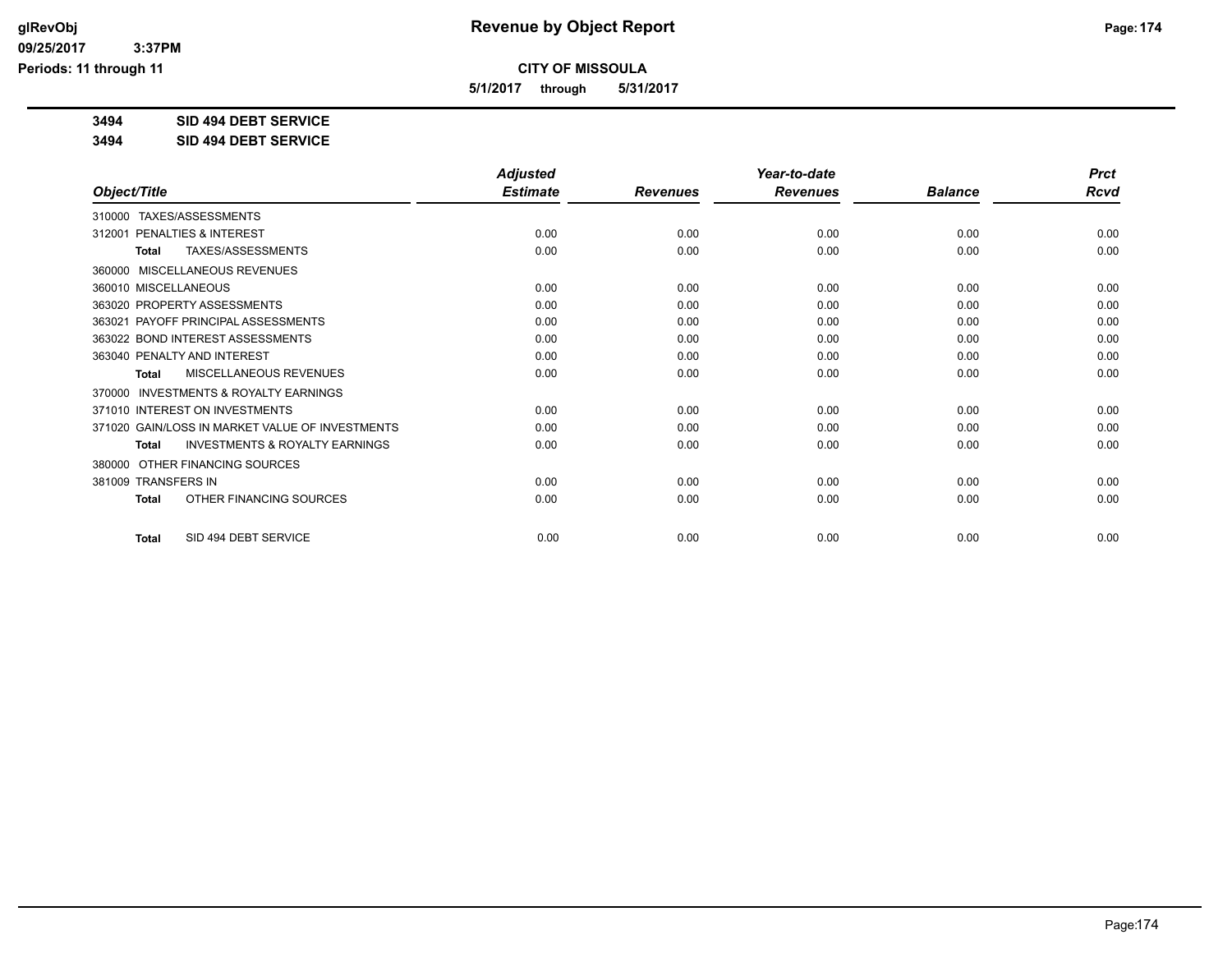**5/1/2017 through 5/31/2017**

**3494 SID 494 DEBT SERVICE**

**3494 SID 494 DEBT SERVICE**

|                                                           | <b>Adjusted</b> |                 | Year-to-date    |                | <b>Prct</b> |
|-----------------------------------------------------------|-----------------|-----------------|-----------------|----------------|-------------|
| Object/Title                                              | <b>Estimate</b> | <b>Revenues</b> | <b>Revenues</b> | <b>Balance</b> | <b>Rcvd</b> |
| TAXES/ASSESSMENTS<br>310000                               |                 |                 |                 |                |             |
| PENALTIES & INTEREST<br>312001                            | 0.00            | 0.00            | 0.00            | 0.00           | 0.00        |
| TAXES/ASSESSMENTS<br><b>Total</b>                         | 0.00            | 0.00            | 0.00            | 0.00           | 0.00        |
| MISCELLANEOUS REVENUES<br>360000                          |                 |                 |                 |                |             |
| 360010 MISCELLANEOUS                                      | 0.00            | 0.00            | 0.00            | 0.00           | 0.00        |
| 363020 PROPERTY ASSESSMENTS                               | 0.00            | 0.00            | 0.00            | 0.00           | 0.00        |
| 363021 PAYOFF PRINCIPAL ASSESSMENTS                       | 0.00            | 0.00            | 0.00            | 0.00           | 0.00        |
| 363022 BOND INTEREST ASSESSMENTS                          | 0.00            | 0.00            | 0.00            | 0.00           | 0.00        |
| 363040 PENALTY AND INTEREST                               | 0.00            | 0.00            | 0.00            | 0.00           | 0.00        |
| MISCELLANEOUS REVENUES<br>Total                           | 0.00            | 0.00            | 0.00            | 0.00           | 0.00        |
| <b>INVESTMENTS &amp; ROYALTY EARNINGS</b><br>370000       |                 |                 |                 |                |             |
| 371010 INTEREST ON INVESTMENTS                            | 0.00            | 0.00            | 0.00            | 0.00           | 0.00        |
| 371020 GAIN/LOSS IN MARKET VALUE OF INVESTMENTS           | 0.00            | 0.00            | 0.00            | 0.00           | 0.00        |
| <b>INVESTMENTS &amp; ROYALTY EARNINGS</b><br><b>Total</b> | 0.00            | 0.00            | 0.00            | 0.00           | 0.00        |
| OTHER FINANCING SOURCES<br>380000                         |                 |                 |                 |                |             |
| 381009 TRANSFERS IN                                       | 0.00            | 0.00            | 0.00            | 0.00           | 0.00        |
| OTHER FINANCING SOURCES<br><b>Total</b>                   | 0.00            | 0.00            | 0.00            | 0.00           | 0.00        |
| SID 494 DEBT SERVICE<br><b>Total</b>                      | 0.00            | 0.00            | 0.00            | 0.00           | 0.00        |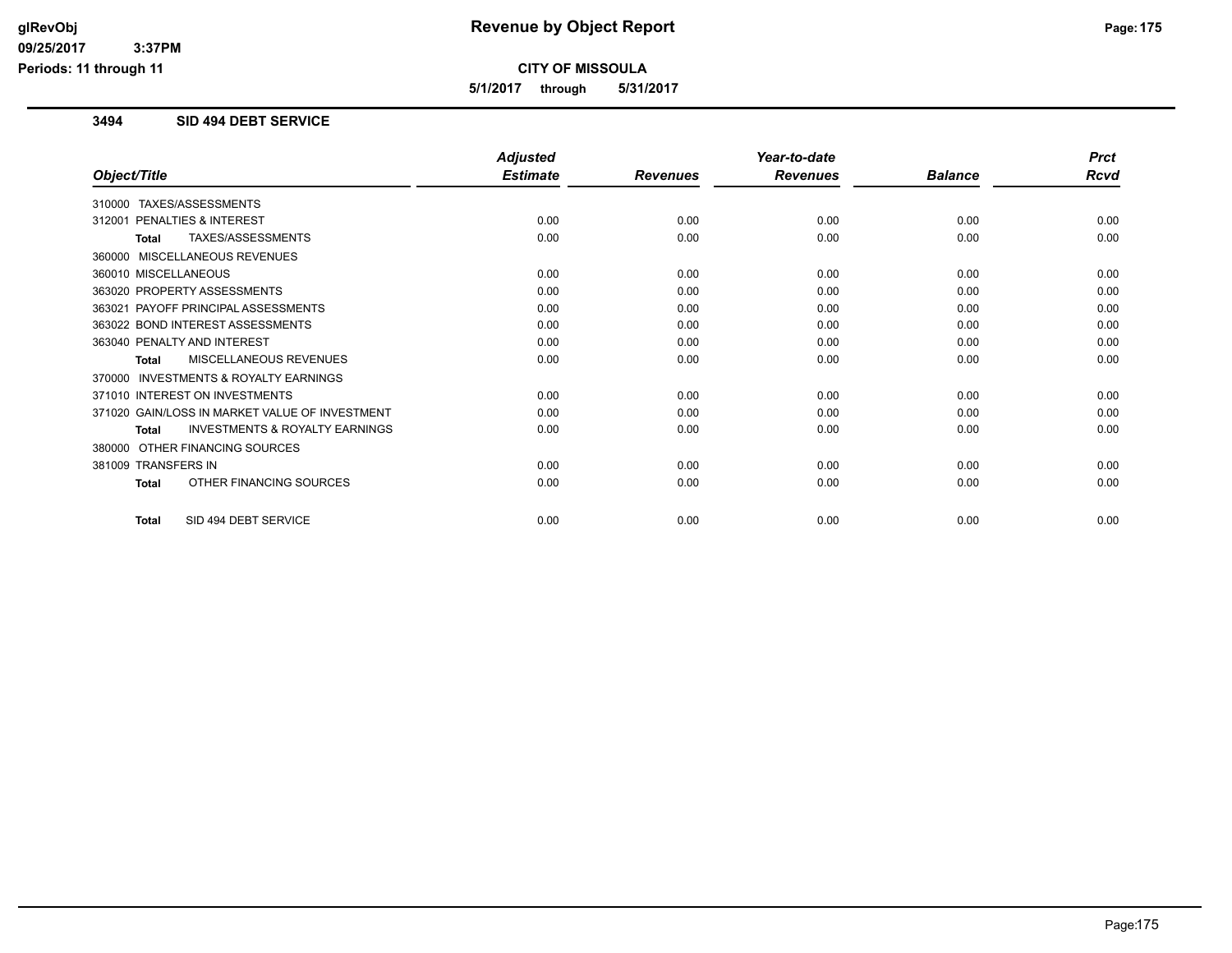**CITY OF MISSOULA**

**5/1/2017 through 5/31/2017**

### **3494 SID 494 DEBT SERVICE**

|                                                    | <b>Adjusted</b> |                 | Year-to-date    |                | <b>Prct</b> |
|----------------------------------------------------|-----------------|-----------------|-----------------|----------------|-------------|
| Object/Title                                       | <b>Estimate</b> | <b>Revenues</b> | <b>Revenues</b> | <b>Balance</b> | <b>Rcvd</b> |
| 310000 TAXES/ASSESSMENTS                           |                 |                 |                 |                |             |
| PENALTIES & INTEREST<br>312001                     | 0.00            | 0.00            | 0.00            | 0.00           | 0.00        |
| TAXES/ASSESSMENTS<br>Total                         | 0.00            | 0.00            | 0.00            | 0.00           | 0.00        |
| 360000 MISCELLANEOUS REVENUES                      |                 |                 |                 |                |             |
| 360010 MISCELLANEOUS                               | 0.00            | 0.00            | 0.00            | 0.00           | 0.00        |
| 363020 PROPERTY ASSESSMENTS                        | 0.00            | 0.00            | 0.00            | 0.00           | 0.00        |
| 363021 PAYOFF PRINCIPAL ASSESSMENTS                | 0.00            | 0.00            | 0.00            | 0.00           | 0.00        |
| 363022 BOND INTEREST ASSESSMENTS                   | 0.00            | 0.00            | 0.00            | 0.00           | 0.00        |
| 363040 PENALTY AND INTEREST                        | 0.00            | 0.00            | 0.00            | 0.00           | 0.00        |
| MISCELLANEOUS REVENUES<br><b>Total</b>             | 0.00            | 0.00            | 0.00            | 0.00           | 0.00        |
| 370000 INVESTMENTS & ROYALTY EARNINGS              |                 |                 |                 |                |             |
| 371010 INTEREST ON INVESTMENTS                     | 0.00            | 0.00            | 0.00            | 0.00           | 0.00        |
| 371020 GAIN/LOSS IN MARKET VALUE OF INVESTMENT     | 0.00            | 0.00            | 0.00            | 0.00           | 0.00        |
| <b>INVESTMENTS &amp; ROYALTY EARNINGS</b><br>Total | 0.00            | 0.00            | 0.00            | 0.00           | 0.00        |
| 380000 OTHER FINANCING SOURCES                     |                 |                 |                 |                |             |
| 381009 TRANSFERS IN                                | 0.00            | 0.00            | 0.00            | 0.00           | 0.00        |
| OTHER FINANCING SOURCES<br>Total                   | 0.00            | 0.00            | 0.00            | 0.00           | 0.00        |
| SID 494 DEBT SERVICE<br><b>Total</b>               | 0.00            | 0.00            | 0.00            | 0.00           | 0.00        |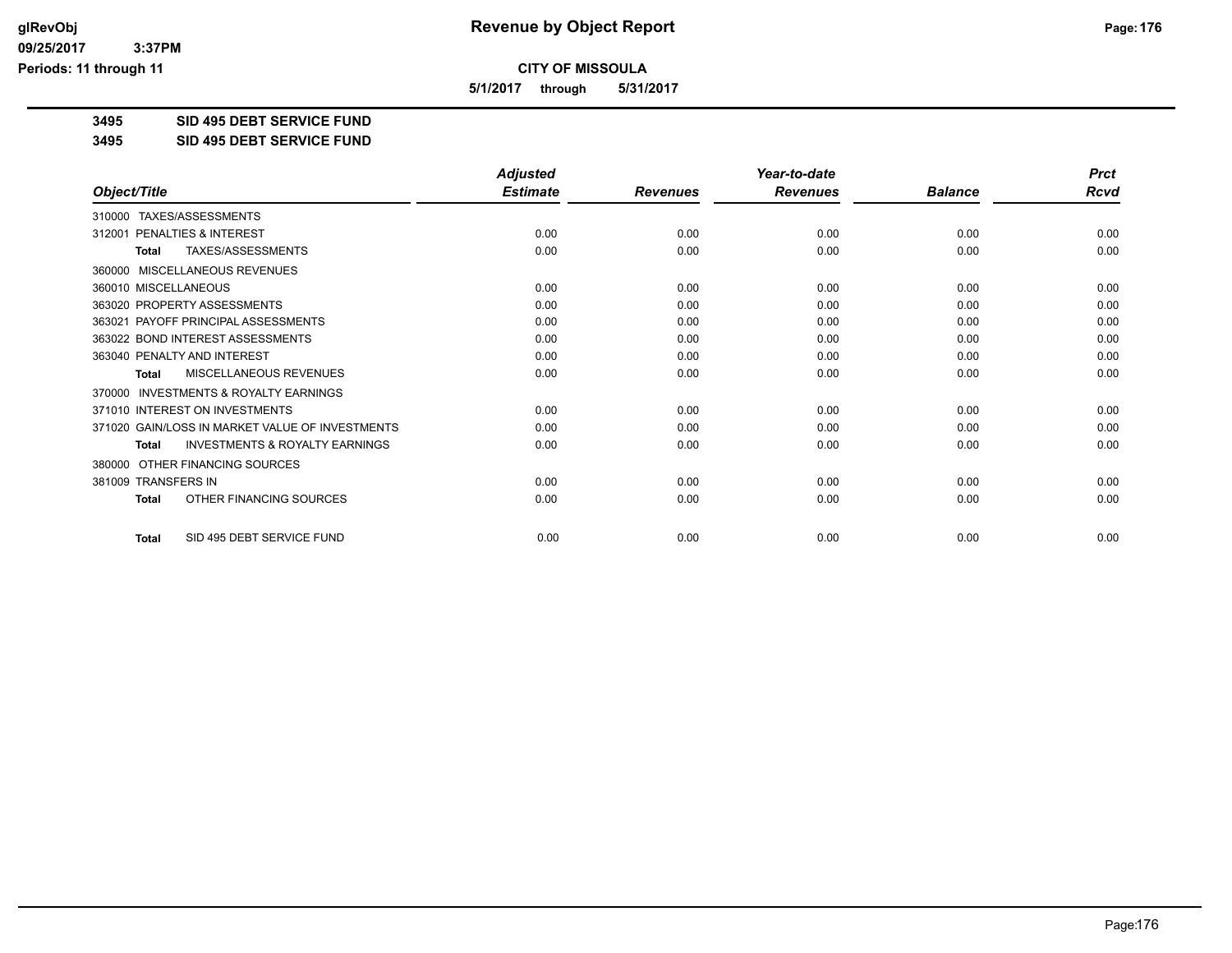**5/1/2017 through 5/31/2017**

**3495 SID 495 DEBT SERVICE FUND**

**3495 SID 495 DEBT SERVICE FUND**

|                                                           | <b>Adjusted</b> |                 | Year-to-date    |                | <b>Prct</b> |
|-----------------------------------------------------------|-----------------|-----------------|-----------------|----------------|-------------|
| Object/Title                                              | <b>Estimate</b> | <b>Revenues</b> | <b>Revenues</b> | <b>Balance</b> | <b>Rcvd</b> |
| TAXES/ASSESSMENTS<br>310000                               |                 |                 |                 |                |             |
| PENALTIES & INTEREST<br>312001                            | 0.00            | 0.00            | 0.00            | 0.00           | 0.00        |
| TAXES/ASSESSMENTS<br>Total                                | 0.00            | 0.00            | 0.00            | 0.00           | 0.00        |
| MISCELLANEOUS REVENUES<br>360000                          |                 |                 |                 |                |             |
| 360010 MISCELLANEOUS                                      | 0.00            | 0.00            | 0.00            | 0.00           | 0.00        |
| 363020 PROPERTY ASSESSMENTS                               | 0.00            | 0.00            | 0.00            | 0.00           | 0.00        |
| 363021 PAYOFF PRINCIPAL ASSESSMENTS                       | 0.00            | 0.00            | 0.00            | 0.00           | 0.00        |
| 363022 BOND INTEREST ASSESSMENTS                          | 0.00            | 0.00            | 0.00            | 0.00           | 0.00        |
| 363040 PENALTY AND INTEREST                               | 0.00            | 0.00            | 0.00            | 0.00           | 0.00        |
| MISCELLANEOUS REVENUES<br><b>Total</b>                    | 0.00            | 0.00            | 0.00            | 0.00           | 0.00        |
| <b>INVESTMENTS &amp; ROYALTY EARNINGS</b><br>370000       |                 |                 |                 |                |             |
| 371010 INTEREST ON INVESTMENTS                            | 0.00            | 0.00            | 0.00            | 0.00           | 0.00        |
| 371020 GAIN/LOSS IN MARKET VALUE OF INVESTMENTS           | 0.00            | 0.00            | 0.00            | 0.00           | 0.00        |
| <b>INVESTMENTS &amp; ROYALTY EARNINGS</b><br><b>Total</b> | 0.00            | 0.00            | 0.00            | 0.00           | 0.00        |
| OTHER FINANCING SOURCES<br>380000                         |                 |                 |                 |                |             |
| 381009 TRANSFERS IN                                       | 0.00            | 0.00            | 0.00            | 0.00           | 0.00        |
| OTHER FINANCING SOURCES<br>Total                          | 0.00            | 0.00            | 0.00            | 0.00           | 0.00        |
| SID 495 DEBT SERVICE FUND<br><b>Total</b>                 | 0.00            | 0.00            | 0.00            | 0.00           | 0.00        |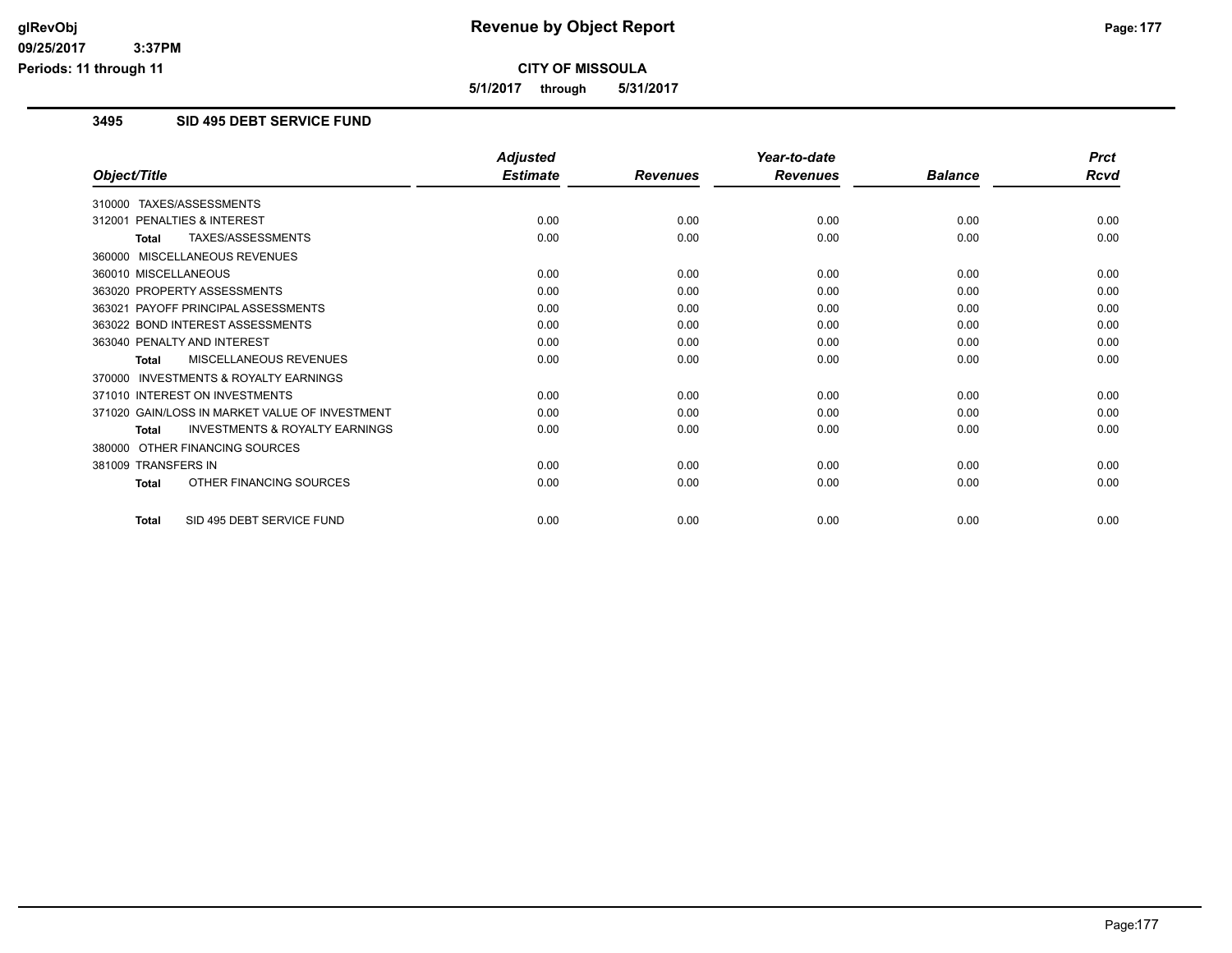**CITY OF MISSOULA**

**5/1/2017 through 5/31/2017**

# **3495 SID 495 DEBT SERVICE FUND**

 **3:37PM**

|                                                           | <b>Adjusted</b> |                 | Year-to-date    |                | <b>Prct</b> |
|-----------------------------------------------------------|-----------------|-----------------|-----------------|----------------|-------------|
| Object/Title                                              | <b>Estimate</b> | <b>Revenues</b> | <b>Revenues</b> | <b>Balance</b> | <b>Rcvd</b> |
| 310000 TAXES/ASSESSMENTS                                  |                 |                 |                 |                |             |
| PENALTIES & INTEREST<br>312001                            | 0.00            | 0.00            | 0.00            | 0.00           | 0.00        |
| TAXES/ASSESSMENTS<br><b>Total</b>                         | 0.00            | 0.00            | 0.00            | 0.00           | 0.00        |
| 360000 MISCELLANEOUS REVENUES                             |                 |                 |                 |                |             |
| 360010 MISCELLANEOUS                                      | 0.00            | 0.00            | 0.00            | 0.00           | 0.00        |
| 363020 PROPERTY ASSESSMENTS                               | 0.00            | 0.00            | 0.00            | 0.00           | 0.00        |
| 363021 PAYOFF PRINCIPAL ASSESSMENTS                       | 0.00            | 0.00            | 0.00            | 0.00           | 0.00        |
| 363022 BOND INTEREST ASSESSMENTS                          | 0.00            | 0.00            | 0.00            | 0.00           | 0.00        |
| 363040 PENALTY AND INTEREST                               | 0.00            | 0.00            | 0.00            | 0.00           | 0.00        |
| <b>MISCELLANEOUS REVENUES</b><br><b>Total</b>             | 0.00            | 0.00            | 0.00            | 0.00           | 0.00        |
| 370000 INVESTMENTS & ROYALTY EARNINGS                     |                 |                 |                 |                |             |
| 371010 INTEREST ON INVESTMENTS                            | 0.00            | 0.00            | 0.00            | 0.00           | 0.00        |
| 371020 GAIN/LOSS IN MARKET VALUE OF INVESTMENT            | 0.00            | 0.00            | 0.00            | 0.00           | 0.00        |
| <b>INVESTMENTS &amp; ROYALTY EARNINGS</b><br><b>Total</b> | 0.00            | 0.00            | 0.00            | 0.00           | 0.00        |
| 380000 OTHER FINANCING SOURCES                            |                 |                 |                 |                |             |
| 381009 TRANSFERS IN                                       | 0.00            | 0.00            | 0.00            | 0.00           | 0.00        |
| OTHER FINANCING SOURCES<br>Total                          | 0.00            | 0.00            | 0.00            | 0.00           | 0.00        |
| SID 495 DEBT SERVICE FUND<br><b>Total</b>                 | 0.00            | 0.00            | 0.00            | 0.00           | 0.00        |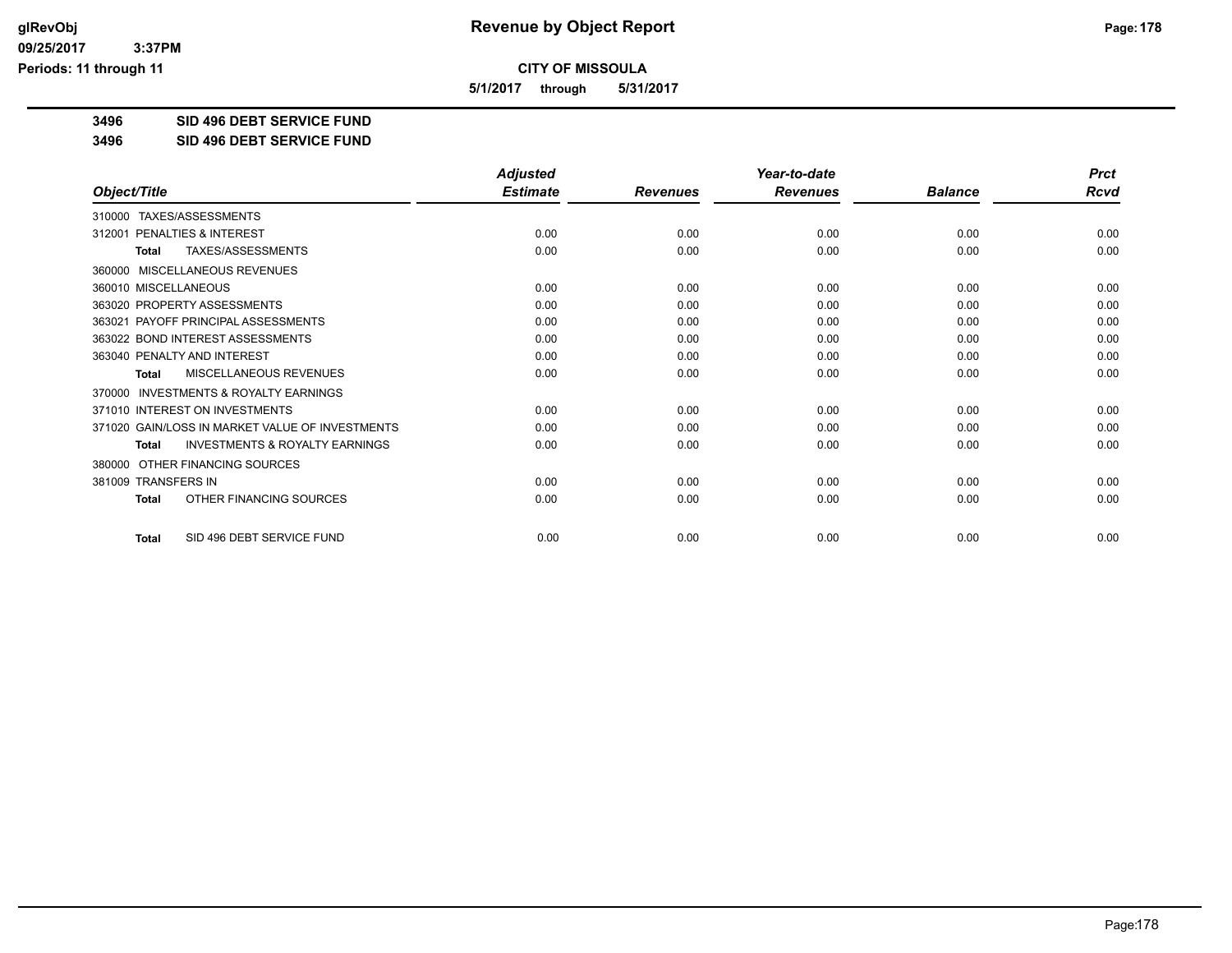**5/1/2017 through 5/31/2017**

**3496 SID 496 DEBT SERVICE FUND**

**3496 SID 496 DEBT SERVICE FUND**

|                                                           | <b>Adjusted</b> |                 | Year-to-date    |                | <b>Prct</b> |
|-----------------------------------------------------------|-----------------|-----------------|-----------------|----------------|-------------|
| Object/Title                                              | <b>Estimate</b> | <b>Revenues</b> | <b>Revenues</b> | <b>Balance</b> | <b>Rcvd</b> |
| TAXES/ASSESSMENTS<br>310000                               |                 |                 |                 |                |             |
| PENALTIES & INTEREST<br>312001                            | 0.00            | 0.00            | 0.00            | 0.00           | 0.00        |
| TAXES/ASSESSMENTS<br>Total                                | 0.00            | 0.00            | 0.00            | 0.00           | 0.00        |
| MISCELLANEOUS REVENUES<br>360000                          |                 |                 |                 |                |             |
| 360010 MISCELLANEOUS                                      | 0.00            | 0.00            | 0.00            | 0.00           | 0.00        |
| 363020 PROPERTY ASSESSMENTS                               | 0.00            | 0.00            | 0.00            | 0.00           | 0.00        |
| 363021 PAYOFF PRINCIPAL ASSESSMENTS                       | 0.00            | 0.00            | 0.00            | 0.00           | 0.00        |
| 363022 BOND INTEREST ASSESSMENTS                          | 0.00            | 0.00            | 0.00            | 0.00           | 0.00        |
| 363040 PENALTY AND INTEREST                               | 0.00            | 0.00            | 0.00            | 0.00           | 0.00        |
| MISCELLANEOUS REVENUES<br><b>Total</b>                    | 0.00            | 0.00            | 0.00            | 0.00           | 0.00        |
| <b>INVESTMENTS &amp; ROYALTY EARNINGS</b><br>370000       |                 |                 |                 |                |             |
| 371010 INTEREST ON INVESTMENTS                            | 0.00            | 0.00            | 0.00            | 0.00           | 0.00        |
| 371020 GAIN/LOSS IN MARKET VALUE OF INVESTMENTS           | 0.00            | 0.00            | 0.00            | 0.00           | 0.00        |
| <b>INVESTMENTS &amp; ROYALTY EARNINGS</b><br><b>Total</b> | 0.00            | 0.00            | 0.00            | 0.00           | 0.00        |
| OTHER FINANCING SOURCES<br>380000                         |                 |                 |                 |                |             |
| 381009 TRANSFERS IN                                       | 0.00            | 0.00            | 0.00            | 0.00           | 0.00        |
| OTHER FINANCING SOURCES<br>Total                          | 0.00            | 0.00            | 0.00            | 0.00           | 0.00        |
| SID 496 DEBT SERVICE FUND<br><b>Total</b>                 | 0.00            | 0.00            | 0.00            | 0.00           | 0.00        |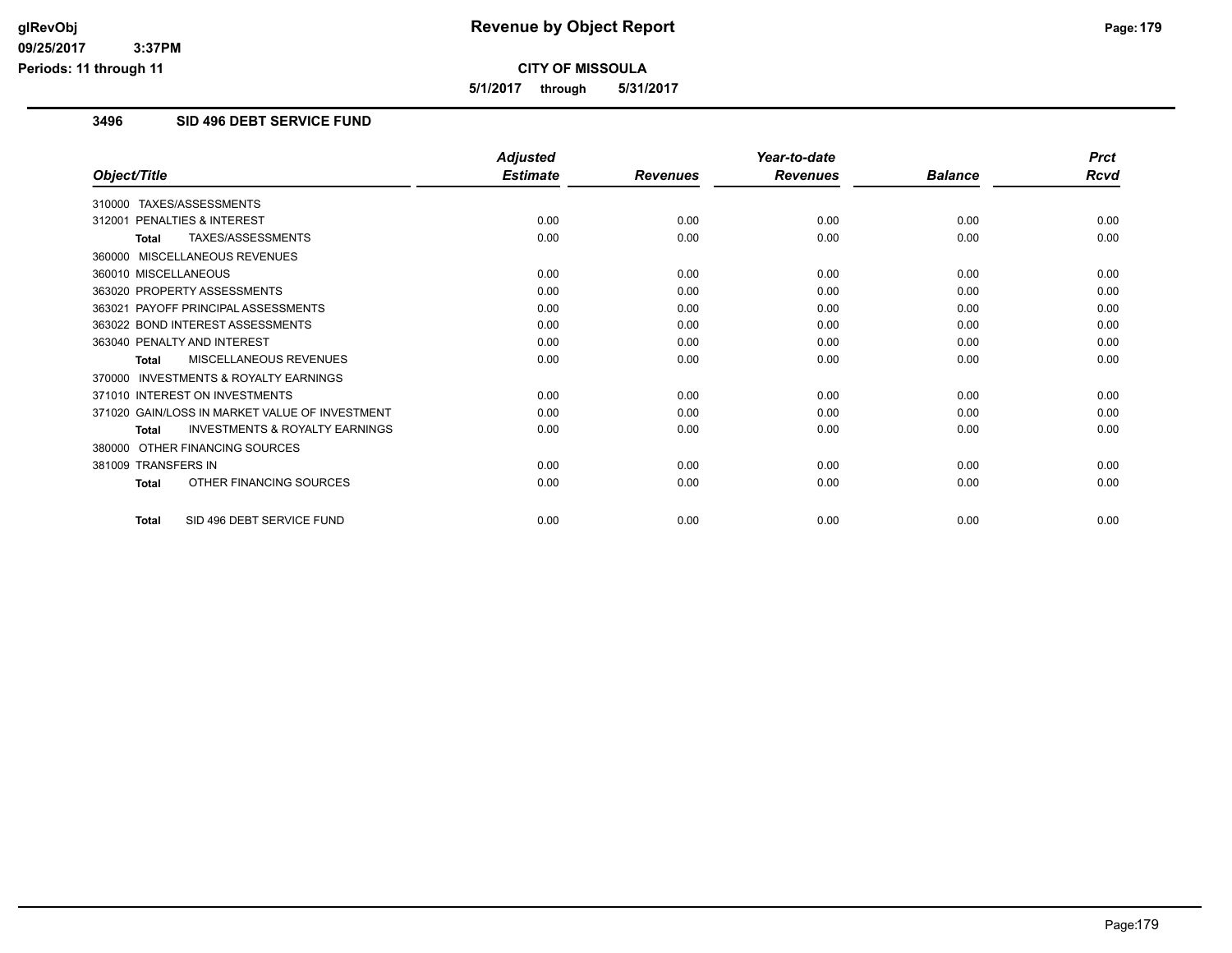**CITY OF MISSOULA**

**5/1/2017 through 5/31/2017**

# **3496 SID 496 DEBT SERVICE FUND**

 **3:37PM**

|                                                           | <b>Adjusted</b> |                 | Year-to-date    |                | <b>Prct</b> |
|-----------------------------------------------------------|-----------------|-----------------|-----------------|----------------|-------------|
| Object/Title                                              | <b>Estimate</b> | <b>Revenues</b> | <b>Revenues</b> | <b>Balance</b> | <b>Rcvd</b> |
| 310000 TAXES/ASSESSMENTS                                  |                 |                 |                 |                |             |
| PENALTIES & INTEREST<br>312001                            | 0.00            | 0.00            | 0.00            | 0.00           | 0.00        |
| TAXES/ASSESSMENTS<br><b>Total</b>                         | 0.00            | 0.00            | 0.00            | 0.00           | 0.00        |
| 360000 MISCELLANEOUS REVENUES                             |                 |                 |                 |                |             |
| 360010 MISCELLANEOUS                                      | 0.00            | 0.00            | 0.00            | 0.00           | 0.00        |
| 363020 PROPERTY ASSESSMENTS                               | 0.00            | 0.00            | 0.00            | 0.00           | 0.00        |
| 363021 PAYOFF PRINCIPAL ASSESSMENTS                       | 0.00            | 0.00            | 0.00            | 0.00           | 0.00        |
| 363022 BOND INTEREST ASSESSMENTS                          | 0.00            | 0.00            | 0.00            | 0.00           | 0.00        |
| 363040 PENALTY AND INTEREST                               | 0.00            | 0.00            | 0.00            | 0.00           | 0.00        |
| MISCELLANEOUS REVENUES<br><b>Total</b>                    | 0.00            | 0.00            | 0.00            | 0.00           | 0.00        |
| 370000 INVESTMENTS & ROYALTY EARNINGS                     |                 |                 |                 |                |             |
| 371010 INTEREST ON INVESTMENTS                            | 0.00            | 0.00            | 0.00            | 0.00           | 0.00        |
| 371020 GAIN/LOSS IN MARKET VALUE OF INVESTMENT            | 0.00            | 0.00            | 0.00            | 0.00           | 0.00        |
| <b>INVESTMENTS &amp; ROYALTY EARNINGS</b><br><b>Total</b> | 0.00            | 0.00            | 0.00            | 0.00           | 0.00        |
| 380000 OTHER FINANCING SOURCES                            |                 |                 |                 |                |             |
| 381009 TRANSFERS IN                                       | 0.00            | 0.00            | 0.00            | 0.00           | 0.00        |
| OTHER FINANCING SOURCES<br>Total                          | 0.00            | 0.00            | 0.00            | 0.00           | 0.00        |
| SID 496 DEBT SERVICE FUND<br><b>Total</b>                 | 0.00            | 0.00            | 0.00            | 0.00           | 0.00        |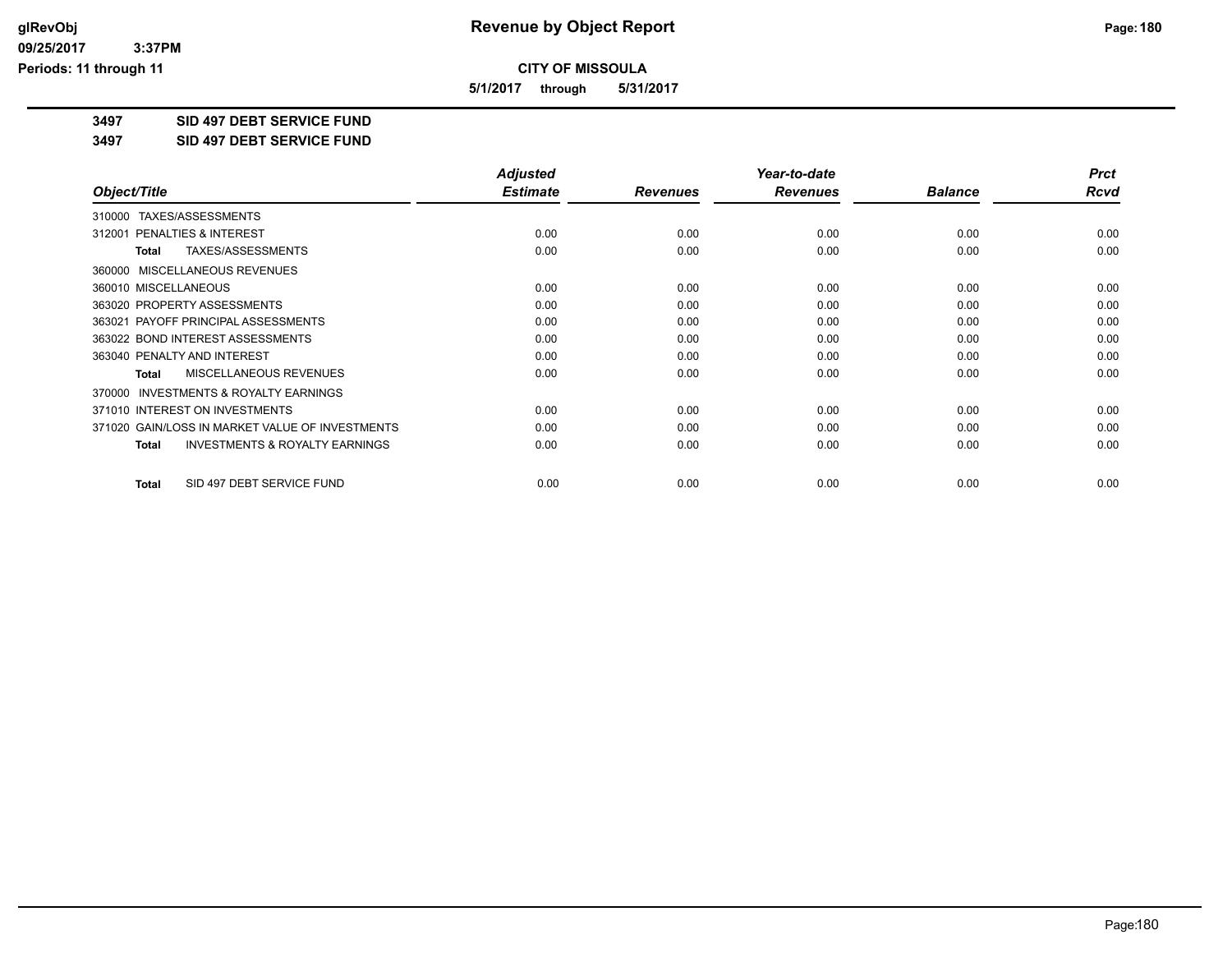**CITY OF MISSOULA**

**5/1/2017 through 5/31/2017**

**3497 SID 497 DEBT SERVICE FUND**

 **3:37PM**

**3497 SID 497 DEBT SERVICE FUND**

|                                                           | <b>Adjusted</b> |                 | Year-to-date    |                | <b>Prct</b> |
|-----------------------------------------------------------|-----------------|-----------------|-----------------|----------------|-------------|
| Object/Title                                              | <b>Estimate</b> | <b>Revenues</b> | <b>Revenues</b> | <b>Balance</b> | <b>Rcvd</b> |
| 310000 TAXES/ASSESSMENTS                                  |                 |                 |                 |                |             |
| 312001 PENALTIES & INTEREST                               | 0.00            | 0.00            | 0.00            | 0.00           | 0.00        |
| TAXES/ASSESSMENTS<br><b>Total</b>                         | 0.00            | 0.00            | 0.00            | 0.00           | 0.00        |
| 360000 MISCELLANEOUS REVENUES                             |                 |                 |                 |                |             |
| 360010 MISCELLANEOUS                                      | 0.00            | 0.00            | 0.00            | 0.00           | 0.00        |
| 363020 PROPERTY ASSESSMENTS                               | 0.00            | 0.00            | 0.00            | 0.00           | 0.00        |
| 363021 PAYOFF PRINCIPAL ASSESSMENTS                       | 0.00            | 0.00            | 0.00            | 0.00           | 0.00        |
| 363022 BOND INTEREST ASSESSMENTS                          | 0.00            | 0.00            | 0.00            | 0.00           | 0.00        |
| 363040 PENALTY AND INTEREST                               | 0.00            | 0.00            | 0.00            | 0.00           | 0.00        |
| <b>MISCELLANEOUS REVENUES</b><br><b>Total</b>             | 0.00            | 0.00            | 0.00            | 0.00           | 0.00        |
| <b>INVESTMENTS &amp; ROYALTY EARNINGS</b><br>370000       |                 |                 |                 |                |             |
| 371010 INTEREST ON INVESTMENTS                            | 0.00            | 0.00            | 0.00            | 0.00           | 0.00        |
| 371020 GAIN/LOSS IN MARKET VALUE OF INVESTMENTS           | 0.00            | 0.00            | 0.00            | 0.00           | 0.00        |
| <b>INVESTMENTS &amp; ROYALTY EARNINGS</b><br><b>Total</b> | 0.00            | 0.00            | 0.00            | 0.00           | 0.00        |
| SID 497 DEBT SERVICE FUND<br><b>Total</b>                 | 0.00            | 0.00            | 0.00            | 0.00           | 0.00        |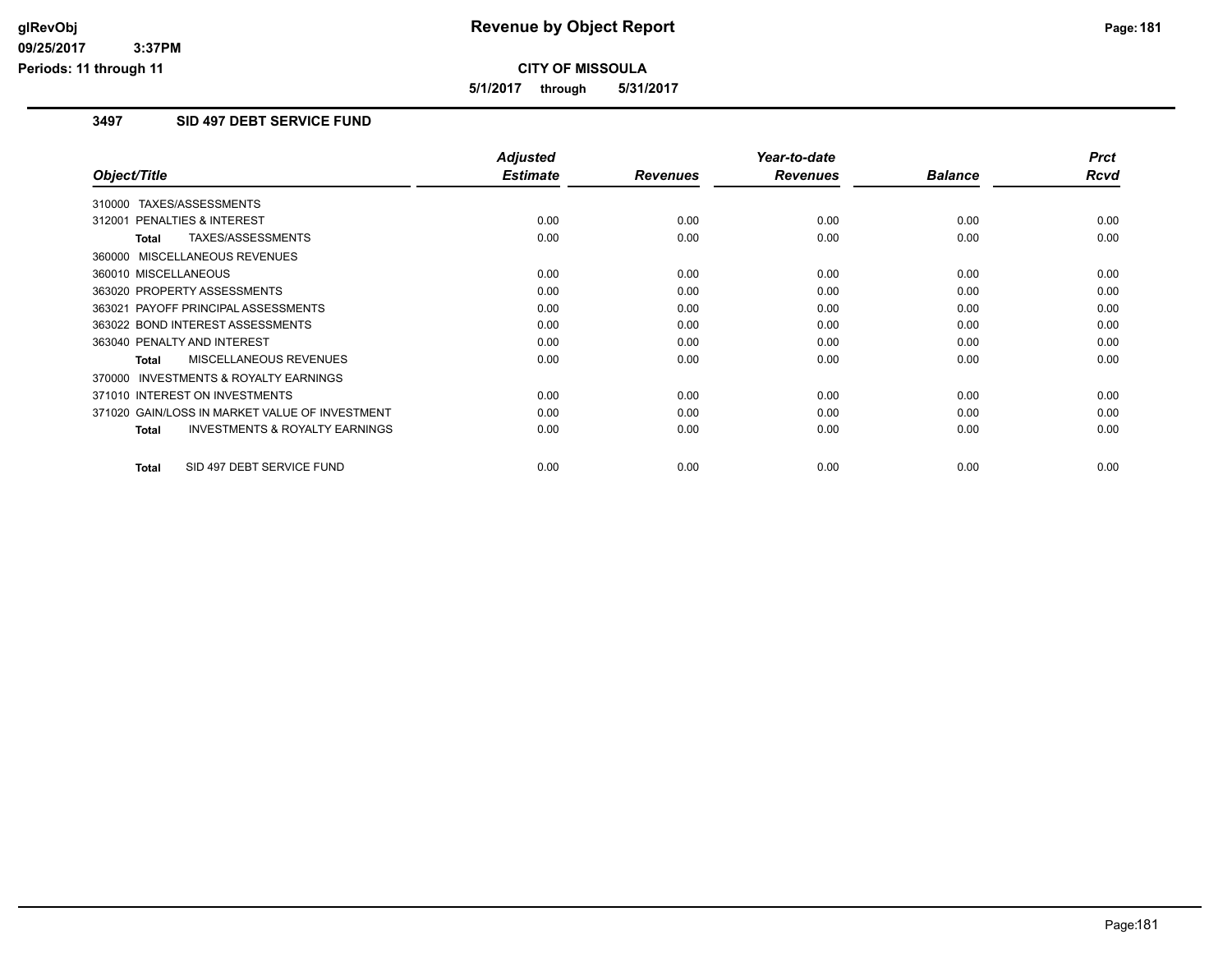**CITY OF MISSOULA**

**5/1/2017 through 5/31/2017**

# **3497 SID 497 DEBT SERVICE FUND**

 **3:37PM**

|                                                           | <b>Adjusted</b> |                 | Year-to-date    |                | <b>Prct</b> |
|-----------------------------------------------------------|-----------------|-----------------|-----------------|----------------|-------------|
| Object/Title                                              | <b>Estimate</b> | <b>Revenues</b> | <b>Revenues</b> | <b>Balance</b> | Rcvd        |
| 310000 TAXES/ASSESSMENTS                                  |                 |                 |                 |                |             |
| 312001 PENALTIES & INTEREST                               | 0.00            | 0.00            | 0.00            | 0.00           | 0.00        |
| TAXES/ASSESSMENTS<br><b>Total</b>                         | 0.00            | 0.00            | 0.00            | 0.00           | 0.00        |
| 360000 MISCELLANEOUS REVENUES                             |                 |                 |                 |                |             |
| 360010 MISCELLANEOUS                                      | 0.00            | 0.00            | 0.00            | 0.00           | 0.00        |
| 363020 PROPERTY ASSESSMENTS                               | 0.00            | 0.00            | 0.00            | 0.00           | 0.00        |
| 363021 PAYOFF PRINCIPAL ASSESSMENTS                       | 0.00            | 0.00            | 0.00            | 0.00           | 0.00        |
| 363022 BOND INTEREST ASSESSMENTS                          | 0.00            | 0.00            | 0.00            | 0.00           | 0.00        |
| 363040 PENALTY AND INTEREST                               | 0.00            | 0.00            | 0.00            | 0.00           | 0.00        |
| MISCELLANEOUS REVENUES<br><b>Total</b>                    | 0.00            | 0.00            | 0.00            | 0.00           | 0.00        |
| 370000 INVESTMENTS & ROYALTY EARNINGS                     |                 |                 |                 |                |             |
| 371010 INTEREST ON INVESTMENTS                            | 0.00            | 0.00            | 0.00            | 0.00           | 0.00        |
| 371020 GAIN/LOSS IN MARKET VALUE OF INVESTMENT            | 0.00            | 0.00            | 0.00            | 0.00           | 0.00        |
| <b>INVESTMENTS &amp; ROYALTY EARNINGS</b><br><b>Total</b> | 0.00            | 0.00            | 0.00            | 0.00           | 0.00        |
| SID 497 DEBT SERVICE FUND<br><b>Total</b>                 | 0.00            | 0.00            | 0.00            | 0.00           | 0.00        |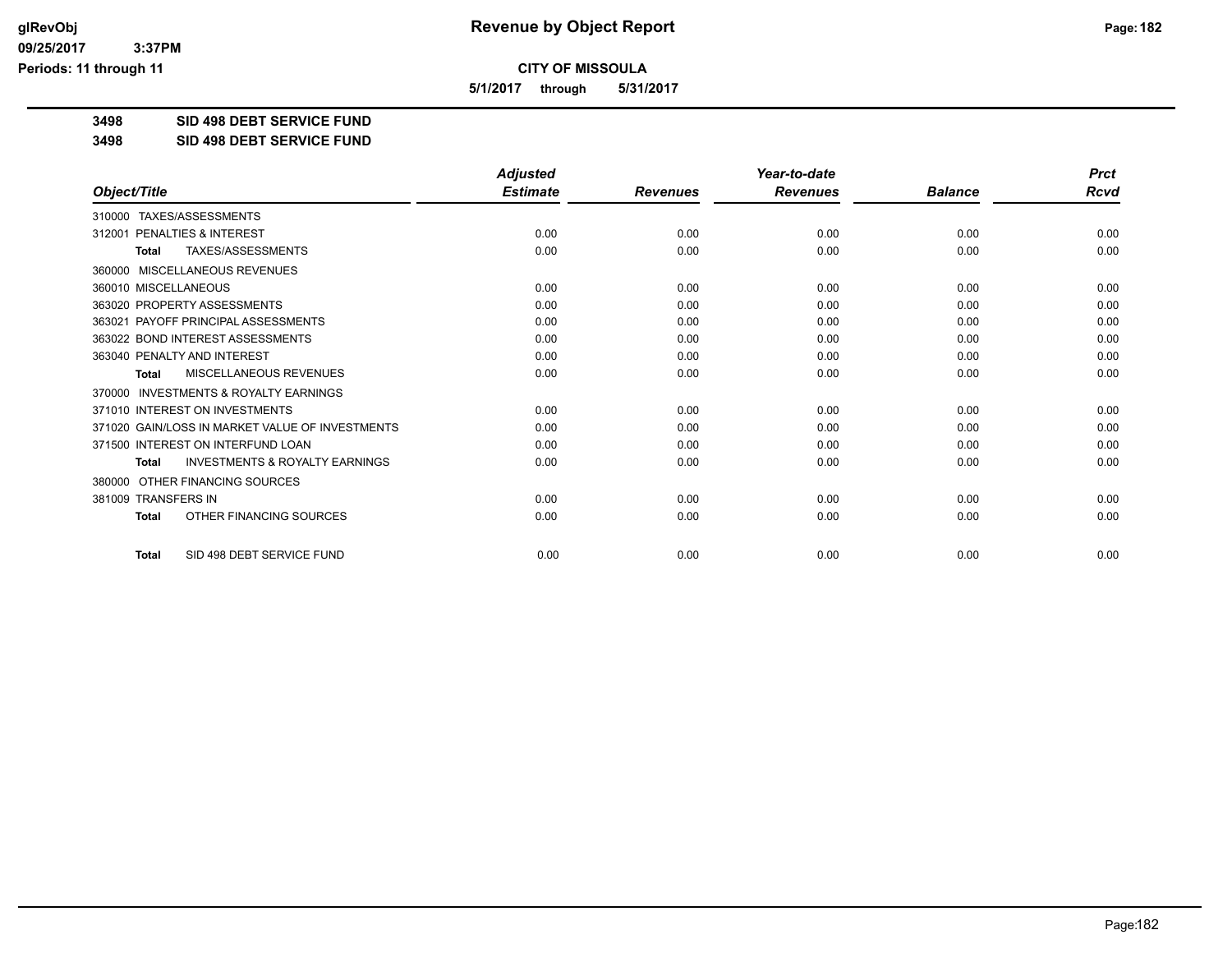**CITY OF MISSOULA**

**5/1/2017 through 5/31/2017**

**3498 SID 498 DEBT SERVICE FUND**

**3498 SID 498 DEBT SERVICE FUND**

|                                                           | <b>Adjusted</b> |                 | Year-to-date    |                | <b>Prct</b> |
|-----------------------------------------------------------|-----------------|-----------------|-----------------|----------------|-------------|
| Object/Title                                              | <b>Estimate</b> | <b>Revenues</b> | <b>Revenues</b> | <b>Balance</b> | <b>Rcvd</b> |
| <b>TAXES/ASSESSMENTS</b><br>310000                        |                 |                 |                 |                |             |
| 312001 PENALTIES & INTEREST                               | 0.00            | 0.00            | 0.00            | 0.00           | 0.00        |
| <b>TAXES/ASSESSMENTS</b><br><b>Total</b>                  | 0.00            | 0.00            | 0.00            | 0.00           | 0.00        |
| MISCELLANEOUS REVENUES<br>360000                          |                 |                 |                 |                |             |
| 360010 MISCELLANEOUS                                      | 0.00            | 0.00            | 0.00            | 0.00           | 0.00        |
| 363020 PROPERTY ASSESSMENTS                               | 0.00            | 0.00            | 0.00            | 0.00           | 0.00        |
| 363021 PAYOFF PRINCIPAL ASSESSMENTS                       | 0.00            | 0.00            | 0.00            | 0.00           | 0.00        |
| 363022 BOND INTEREST ASSESSMENTS                          | 0.00            | 0.00            | 0.00            | 0.00           | 0.00        |
| 363040 PENALTY AND INTEREST                               | 0.00            | 0.00            | 0.00            | 0.00           | 0.00        |
| <b>MISCELLANEOUS REVENUES</b><br><b>Total</b>             | 0.00            | 0.00            | 0.00            | 0.00           | 0.00        |
| <b>INVESTMENTS &amp; ROYALTY EARNINGS</b><br>370000       |                 |                 |                 |                |             |
| 371010 INTEREST ON INVESTMENTS                            | 0.00            | 0.00            | 0.00            | 0.00           | 0.00        |
| 371020 GAIN/LOSS IN MARKET VALUE OF INVESTMENTS           | 0.00            | 0.00            | 0.00            | 0.00           | 0.00        |
| 371500 INTEREST ON INTERFUND LOAN                         | 0.00            | 0.00            | 0.00            | 0.00           | 0.00        |
| <b>INVESTMENTS &amp; ROYALTY EARNINGS</b><br><b>Total</b> | 0.00            | 0.00            | 0.00            | 0.00           | 0.00        |
| OTHER FINANCING SOURCES<br>380000                         |                 |                 |                 |                |             |
| 381009 TRANSFERS IN                                       | 0.00            | 0.00            | 0.00            | 0.00           | 0.00        |
| OTHER FINANCING SOURCES<br><b>Total</b>                   | 0.00            | 0.00            | 0.00            | 0.00           | 0.00        |
| SID 498 DEBT SERVICE FUND<br>Total                        | 0.00            | 0.00            | 0.00            | 0.00           | 0.00        |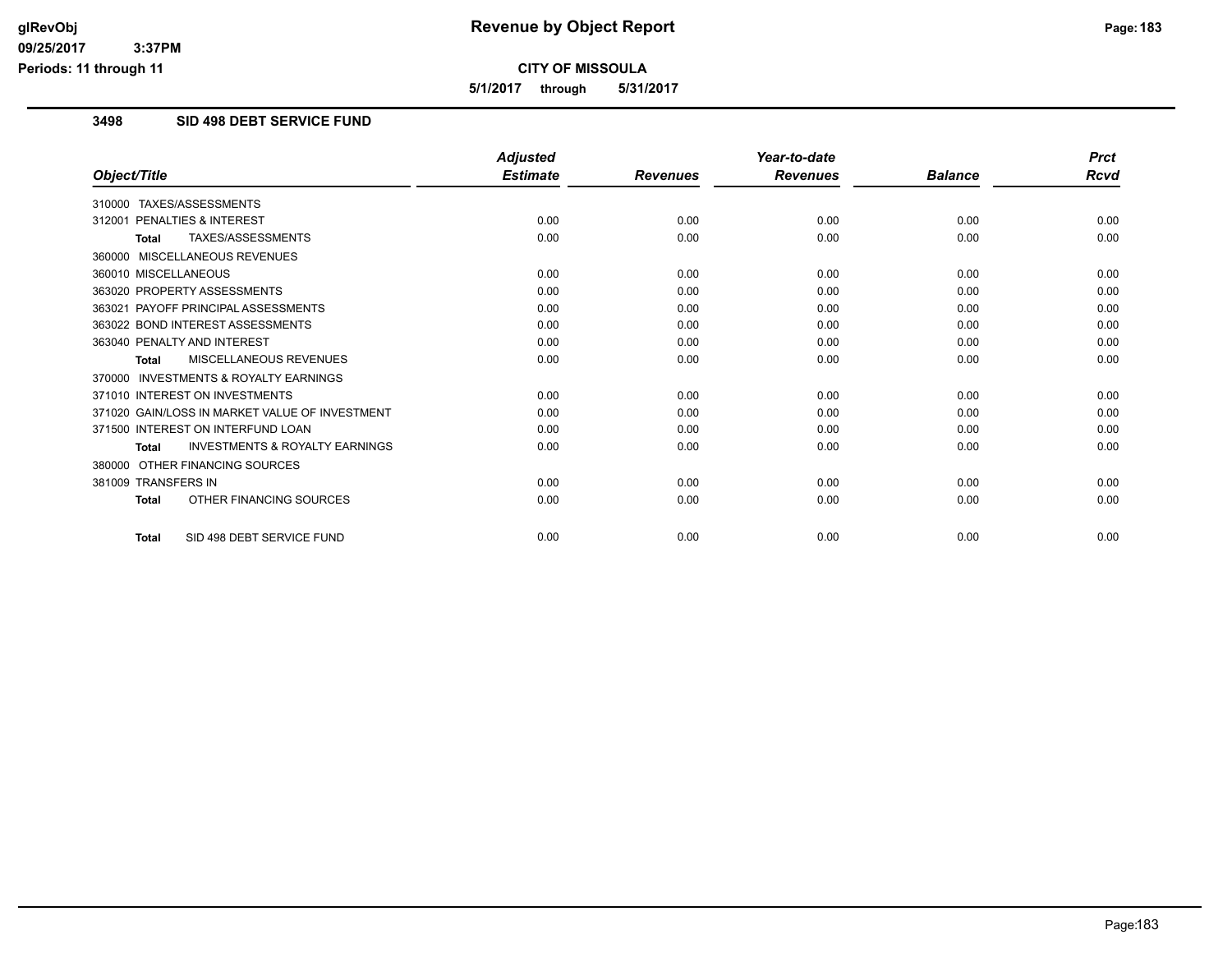**CITY OF MISSOULA**

**5/1/2017 through 5/31/2017**

# **3498 SID 498 DEBT SERVICE FUND**

 **3:37PM**

|                                                           | <b>Adjusted</b> |                 | Year-to-date    |                | <b>Prct</b> |
|-----------------------------------------------------------|-----------------|-----------------|-----------------|----------------|-------------|
| Object/Title                                              | <b>Estimate</b> | <b>Revenues</b> | <b>Revenues</b> | <b>Balance</b> | <b>Rcvd</b> |
| TAXES/ASSESSMENTS<br>310000                               |                 |                 |                 |                |             |
| <b>PENALTIES &amp; INTEREST</b><br>312001                 | 0.00            | 0.00            | 0.00            | 0.00           | 0.00        |
| TAXES/ASSESSMENTS<br><b>Total</b>                         | 0.00            | 0.00            | 0.00            | 0.00           | 0.00        |
| 360000 MISCELLANEOUS REVENUES                             |                 |                 |                 |                |             |
| 360010 MISCELLANEOUS                                      | 0.00            | 0.00            | 0.00            | 0.00           | 0.00        |
| 363020 PROPERTY ASSESSMENTS                               | 0.00            | 0.00            | 0.00            | 0.00           | 0.00        |
| 363021 PAYOFF PRINCIPAL ASSESSMENTS                       | 0.00            | 0.00            | 0.00            | 0.00           | 0.00        |
| 363022 BOND INTEREST ASSESSMENTS                          | 0.00            | 0.00            | 0.00            | 0.00           | 0.00        |
| 363040 PENALTY AND INTEREST                               | 0.00            | 0.00            | 0.00            | 0.00           | 0.00        |
| <b>MISCELLANEOUS REVENUES</b><br>Total                    | 0.00            | 0.00            | 0.00            | 0.00           | 0.00        |
| 370000 INVESTMENTS & ROYALTY EARNINGS                     |                 |                 |                 |                |             |
| 371010 INTEREST ON INVESTMENTS                            | 0.00            | 0.00            | 0.00            | 0.00           | 0.00        |
| 371020 GAIN/LOSS IN MARKET VALUE OF INVESTMENT            | 0.00            | 0.00            | 0.00            | 0.00           | 0.00        |
| 371500 INTEREST ON INTERFUND LOAN                         | 0.00            | 0.00            | 0.00            | 0.00           | 0.00        |
| <b>INVESTMENTS &amp; ROYALTY EARNINGS</b><br><b>Total</b> | 0.00            | 0.00            | 0.00            | 0.00           | 0.00        |
| 380000 OTHER FINANCING SOURCES                            |                 |                 |                 |                |             |
| 381009 TRANSFERS IN                                       | 0.00            | 0.00            | 0.00            | 0.00           | 0.00        |
| OTHER FINANCING SOURCES<br><b>Total</b>                   | 0.00            | 0.00            | 0.00            | 0.00           | 0.00        |
| SID 498 DEBT SERVICE FUND<br><b>Total</b>                 | 0.00            | 0.00            | 0.00            | 0.00           | 0.00        |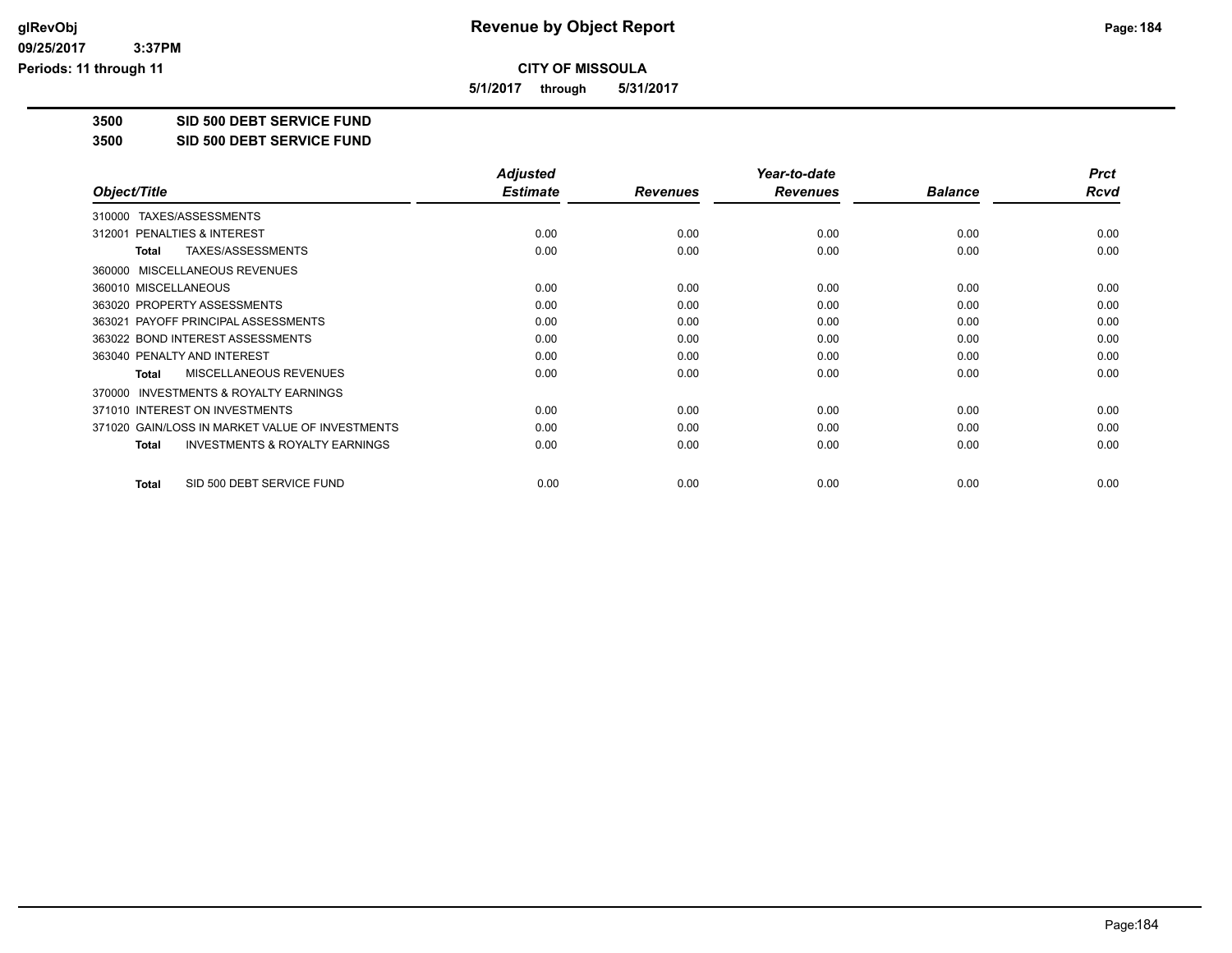**5/1/2017 through 5/31/2017**

**3500 SID 500 DEBT SERVICE FUND**

**3500 SID 500 DEBT SERVICE FUND**

|                                                           | <b>Adjusted</b> |                 | Year-to-date    |                | <b>Prct</b> |
|-----------------------------------------------------------|-----------------|-----------------|-----------------|----------------|-------------|
| Object/Title                                              | <b>Estimate</b> | <b>Revenues</b> | <b>Revenues</b> | <b>Balance</b> | Rcvd        |
| 310000 TAXES/ASSESSMENTS                                  |                 |                 |                 |                |             |
| 312001 PENALTIES & INTEREST                               | 0.00            | 0.00            | 0.00            | 0.00           | 0.00        |
| TAXES/ASSESSMENTS<br><b>Total</b>                         | 0.00            | 0.00            | 0.00            | 0.00           | 0.00        |
| MISCELLANEOUS REVENUES<br>360000                          |                 |                 |                 |                |             |
| 360010 MISCELLANEOUS                                      | 0.00            | 0.00            | 0.00            | 0.00           | 0.00        |
| 363020 PROPERTY ASSESSMENTS                               | 0.00            | 0.00            | 0.00            | 0.00           | 0.00        |
| 363021 PAYOFF PRINCIPAL ASSESSMENTS                       | 0.00            | 0.00            | 0.00            | 0.00           | 0.00        |
| 363022 BOND INTEREST ASSESSMENTS                          | 0.00            | 0.00            | 0.00            | 0.00           | 0.00        |
| 363040 PENALTY AND INTEREST                               | 0.00            | 0.00            | 0.00            | 0.00           | 0.00        |
| <b>MISCELLANEOUS REVENUES</b><br>Total                    | 0.00            | 0.00            | 0.00            | 0.00           | 0.00        |
| 370000 INVESTMENTS & ROYALTY EARNINGS                     |                 |                 |                 |                |             |
| 371010 INTEREST ON INVESTMENTS                            | 0.00            | 0.00            | 0.00            | 0.00           | 0.00        |
| 371020 GAIN/LOSS IN MARKET VALUE OF INVESTMENTS           | 0.00            | 0.00            | 0.00            | 0.00           | 0.00        |
| <b>INVESTMENTS &amp; ROYALTY EARNINGS</b><br><b>Total</b> | 0.00            | 0.00            | 0.00            | 0.00           | 0.00        |
| SID 500 DEBT SERVICE FUND<br><b>Total</b>                 | 0.00            | 0.00            | 0.00            | 0.00           | 0.00        |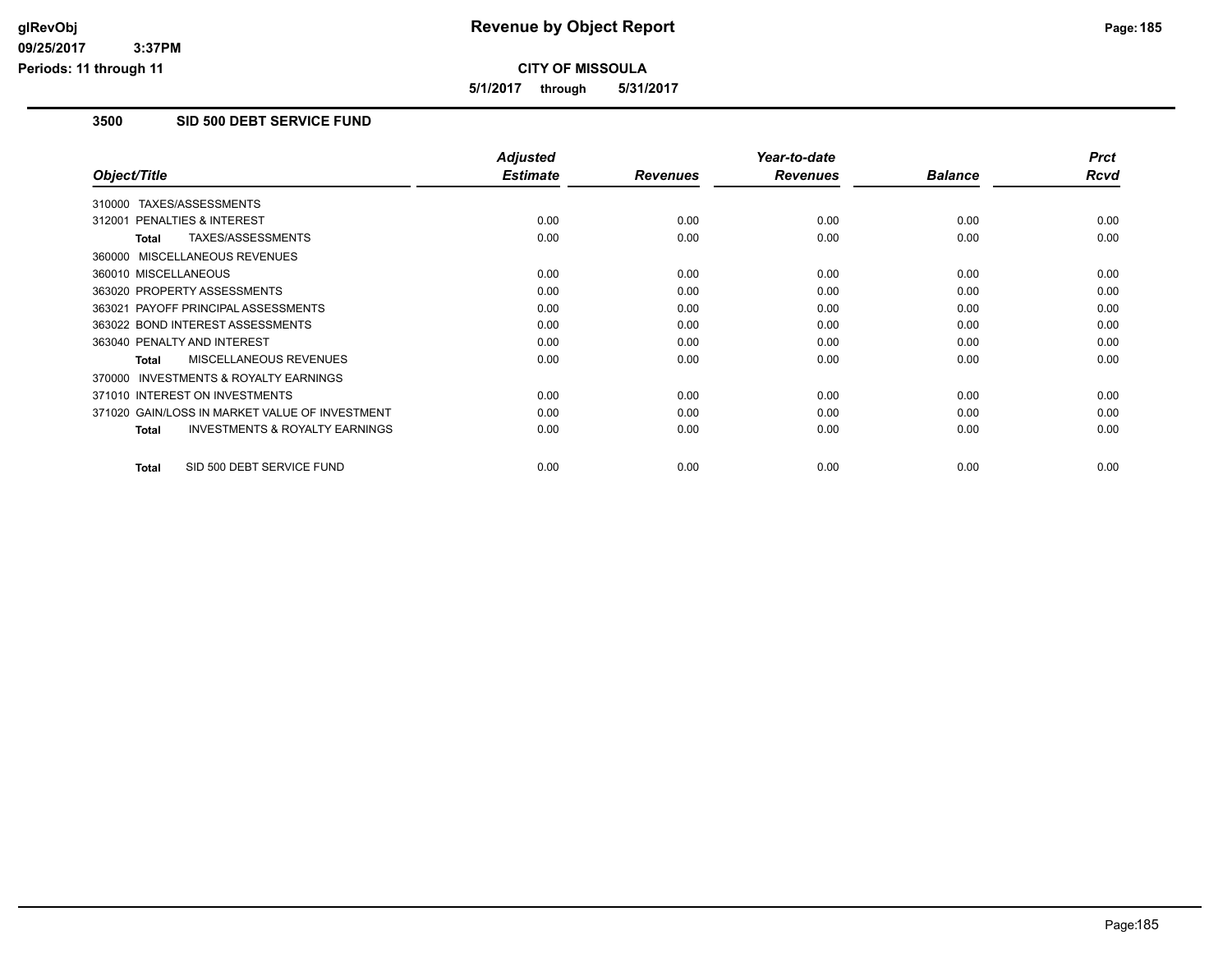**CITY OF MISSOULA**

**5/1/2017 through 5/31/2017**

# **3500 SID 500 DEBT SERVICE FUND**

 **3:37PM**

|                                                           | <b>Adjusted</b> |                 | Year-to-date    |                | <b>Prct</b> |
|-----------------------------------------------------------|-----------------|-----------------|-----------------|----------------|-------------|
| Object/Title                                              | <b>Estimate</b> | <b>Revenues</b> | <b>Revenues</b> | <b>Balance</b> | Rcvd        |
| 310000 TAXES/ASSESSMENTS                                  |                 |                 |                 |                |             |
| 312001 PENALTIES & INTEREST                               | 0.00            | 0.00            | 0.00            | 0.00           | 0.00        |
| TAXES/ASSESSMENTS<br>Total                                | 0.00            | 0.00            | 0.00            | 0.00           | 0.00        |
| 360000 MISCELLANEOUS REVENUES                             |                 |                 |                 |                |             |
| 360010 MISCELLANEOUS                                      | 0.00            | 0.00            | 0.00            | 0.00           | 0.00        |
| 363020 PROPERTY ASSESSMENTS                               | 0.00            | 0.00            | 0.00            | 0.00           | 0.00        |
| 363021 PAYOFF PRINCIPAL ASSESSMENTS                       | 0.00            | 0.00            | 0.00            | 0.00           | 0.00        |
| 363022 BOND INTEREST ASSESSMENTS                          | 0.00            | 0.00            | 0.00            | 0.00           | 0.00        |
| 363040 PENALTY AND INTEREST                               | 0.00            | 0.00            | 0.00            | 0.00           | 0.00        |
| MISCELLANEOUS REVENUES<br>Total                           | 0.00            | 0.00            | 0.00            | 0.00           | 0.00        |
| <b>INVESTMENTS &amp; ROYALTY EARNINGS</b><br>370000       |                 |                 |                 |                |             |
| 371010 INTEREST ON INVESTMENTS                            | 0.00            | 0.00            | 0.00            | 0.00           | 0.00        |
| 371020 GAIN/LOSS IN MARKET VALUE OF INVESTMENT            | 0.00            | 0.00            | 0.00            | 0.00           | 0.00        |
| <b>INVESTMENTS &amp; ROYALTY EARNINGS</b><br><b>Total</b> | 0.00            | 0.00            | 0.00            | 0.00           | 0.00        |
| SID 500 DEBT SERVICE FUND<br><b>Total</b>                 | 0.00            | 0.00            | 0.00            | 0.00           | 0.00        |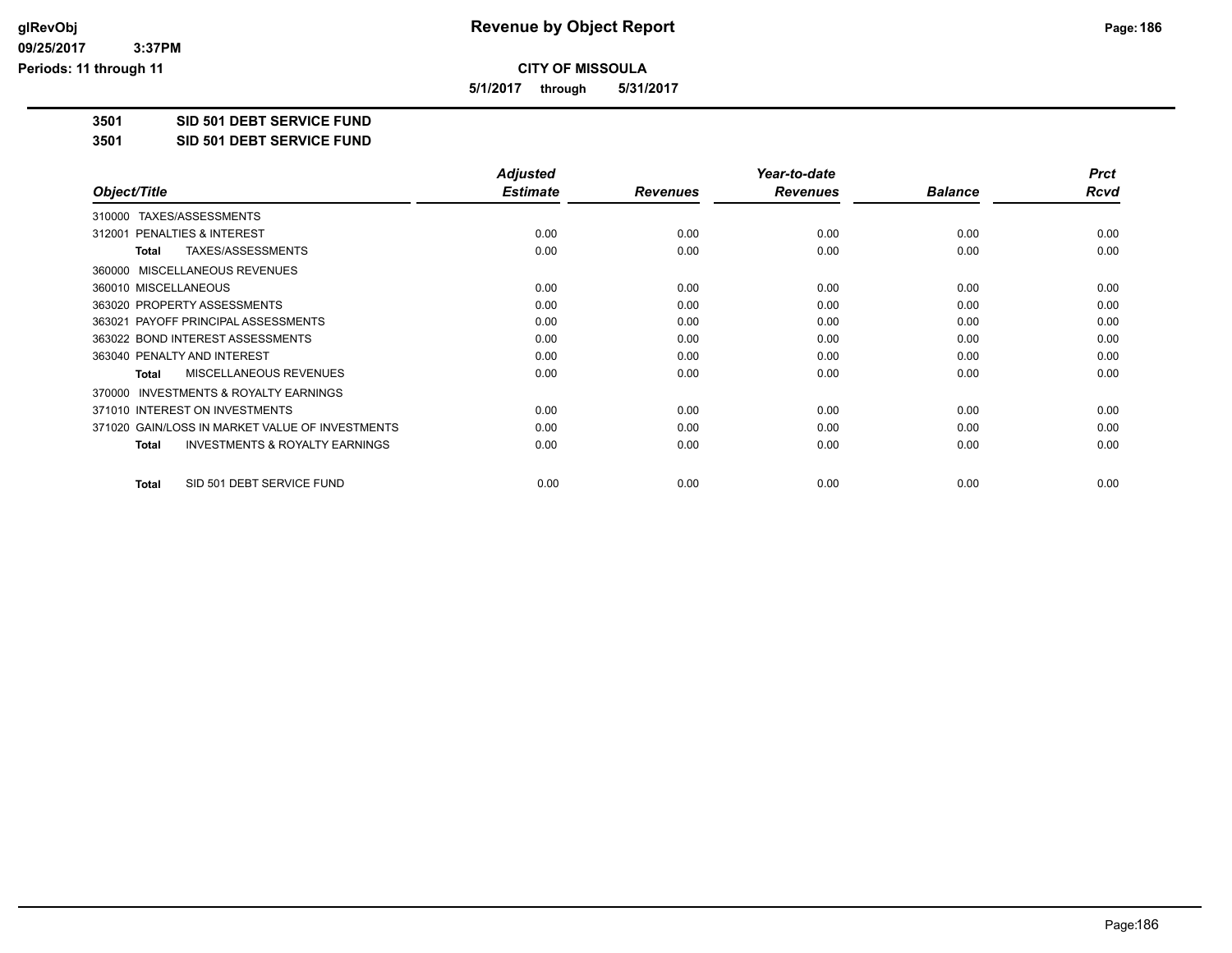**5/1/2017 through 5/31/2017**

**3501 SID 501 DEBT SERVICE FUND**

**3501 SID 501 DEBT SERVICE FUND**

|                                                           | <b>Adjusted</b> |                 | Year-to-date    |                | <b>Prct</b> |
|-----------------------------------------------------------|-----------------|-----------------|-----------------|----------------|-------------|
| Object/Title                                              | <b>Estimate</b> | <b>Revenues</b> | <b>Revenues</b> | <b>Balance</b> | <b>Rcvd</b> |
| 310000 TAXES/ASSESSMENTS                                  |                 |                 |                 |                |             |
| 312001 PENALTIES & INTEREST                               | 0.00            | 0.00            | 0.00            | 0.00           | 0.00        |
| TAXES/ASSESSMENTS<br>Total                                | 0.00            | 0.00            | 0.00            | 0.00           | 0.00        |
| MISCELLANEOUS REVENUES<br>360000                          |                 |                 |                 |                |             |
| 360010 MISCELLANEOUS                                      | 0.00            | 0.00            | 0.00            | 0.00           | 0.00        |
| 363020 PROPERTY ASSESSMENTS                               | 0.00            | 0.00            | 0.00            | 0.00           | 0.00        |
| 363021 PAYOFF PRINCIPAL ASSESSMENTS                       | 0.00            | 0.00            | 0.00            | 0.00           | 0.00        |
| 363022 BOND INTEREST ASSESSMENTS                          | 0.00            | 0.00            | 0.00            | 0.00           | 0.00        |
| 363040 PENALTY AND INTEREST                               | 0.00            | 0.00            | 0.00            | 0.00           | 0.00        |
| MISCELLANEOUS REVENUES<br>Total                           | 0.00            | 0.00            | 0.00            | 0.00           | 0.00        |
| INVESTMENTS & ROYALTY EARNINGS<br>370000                  |                 |                 |                 |                |             |
| 371010 INTEREST ON INVESTMENTS                            | 0.00            | 0.00            | 0.00            | 0.00           | 0.00        |
| 371020 GAIN/LOSS IN MARKET VALUE OF INVESTMENTS           | 0.00            | 0.00            | 0.00            | 0.00           | 0.00        |
| <b>INVESTMENTS &amp; ROYALTY EARNINGS</b><br><b>Total</b> | 0.00            | 0.00            | 0.00            | 0.00           | 0.00        |
| SID 501 DEBT SERVICE FUND<br><b>Total</b>                 | 0.00            | 0.00            | 0.00            | 0.00           | 0.00        |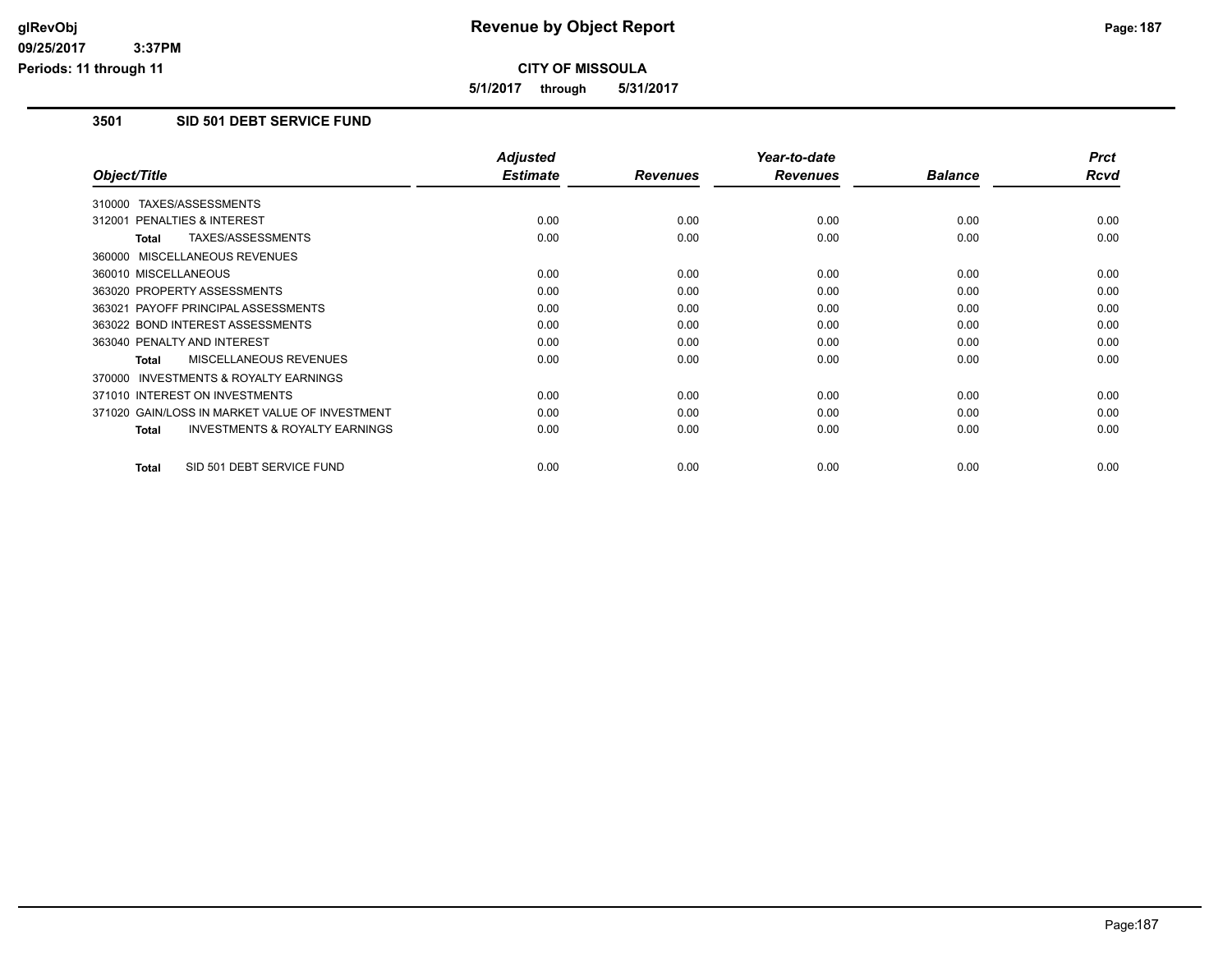**CITY OF MISSOULA**

**5/1/2017 through 5/31/2017**

# **3501 SID 501 DEBT SERVICE FUND**

| Object/Title                                       | <b>Adjusted</b><br><b>Estimate</b> | <b>Revenues</b> | Year-to-date<br><b>Revenues</b> | <b>Balance</b> | <b>Prct</b><br><b>Rcvd</b> |
|----------------------------------------------------|------------------------------------|-----------------|---------------------------------|----------------|----------------------------|
|                                                    |                                    |                 |                                 |                |                            |
| 310000 TAXES/ASSESSMENTS                           |                                    |                 |                                 |                |                            |
| 312001 PENALTIES & INTEREST                        | 0.00                               | 0.00            | 0.00                            | 0.00           | 0.00                       |
| TAXES/ASSESSMENTS<br>Total                         | 0.00                               | 0.00            | 0.00                            | 0.00           | 0.00                       |
| 360000 MISCELLANEOUS REVENUES                      |                                    |                 |                                 |                |                            |
| 360010 MISCELLANEOUS                               | 0.00                               | 0.00            | 0.00                            | 0.00           | 0.00                       |
| 363020 PROPERTY ASSESSMENTS                        | 0.00                               | 0.00            | 0.00                            | 0.00           | 0.00                       |
| 363021 PAYOFF PRINCIPAL ASSESSMENTS                | 0.00                               | 0.00            | 0.00                            | 0.00           | 0.00                       |
| 363022 BOND INTEREST ASSESSMENTS                   | 0.00                               | 0.00            | 0.00                            | 0.00           | 0.00                       |
| 363040 PENALTY AND INTEREST                        | 0.00                               | 0.00            | 0.00                            | 0.00           | 0.00                       |
| MISCELLANEOUS REVENUES<br>Total                    | 0.00                               | 0.00            | 0.00                            | 0.00           | 0.00                       |
| INVESTMENTS & ROYALTY EARNINGS<br>370000           |                                    |                 |                                 |                |                            |
| 371010 INTEREST ON INVESTMENTS                     | 0.00                               | 0.00            | 0.00                            | 0.00           | 0.00                       |
| 371020 GAIN/LOSS IN MARKET VALUE OF INVESTMENT     | 0.00                               | 0.00            | 0.00                            | 0.00           | 0.00                       |
| <b>INVESTMENTS &amp; ROYALTY EARNINGS</b><br>Total | 0.00                               | 0.00            | 0.00                            | 0.00           | 0.00                       |
|                                                    |                                    |                 |                                 |                |                            |
| SID 501 DEBT SERVICE FUND<br><b>Total</b>          | 0.00                               | 0.00            | 0.00                            | 0.00           | 0.00                       |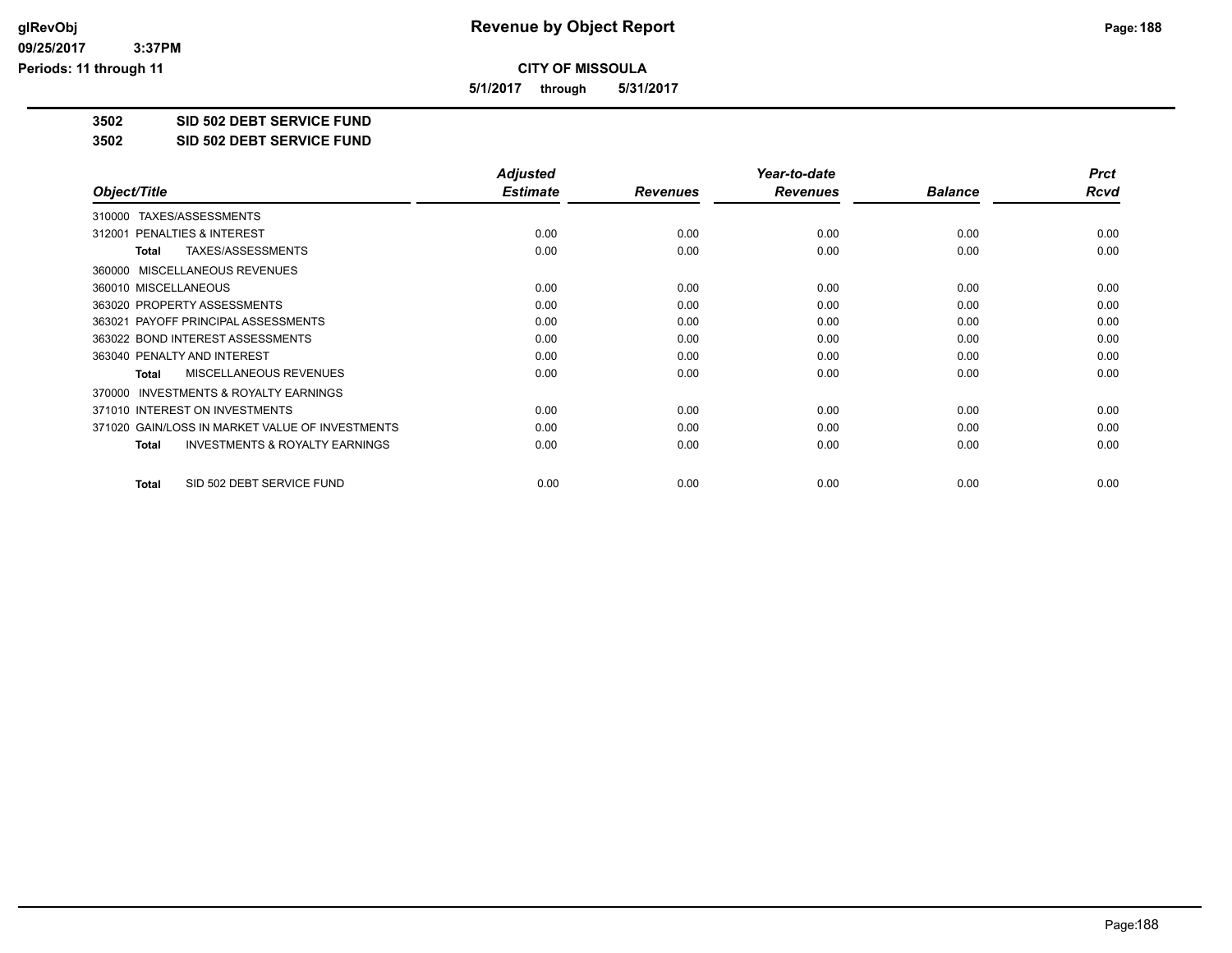**5/1/2017 through 5/31/2017**

**3502 SID 502 DEBT SERVICE FUND**

**3502 SID 502 DEBT SERVICE FUND**

|                                                           | <b>Adjusted</b> |                 | Year-to-date    |                | <b>Prct</b> |
|-----------------------------------------------------------|-----------------|-----------------|-----------------|----------------|-------------|
| Object/Title                                              | <b>Estimate</b> | <b>Revenues</b> | <b>Revenues</b> | <b>Balance</b> | Rcvd        |
| TAXES/ASSESSMENTS<br>310000                               |                 |                 |                 |                |             |
| 312001 PENALTIES & INTEREST                               | 0.00            | 0.00            | 0.00            | 0.00           | 0.00        |
| TAXES/ASSESSMENTS<br><b>Total</b>                         | 0.00            | 0.00            | 0.00            | 0.00           | 0.00        |
| MISCELLANEOUS REVENUES<br>360000                          |                 |                 |                 |                |             |
| 360010 MISCELLANEOUS                                      | 0.00            | 0.00            | 0.00            | 0.00           | 0.00        |
| 363020 PROPERTY ASSESSMENTS                               | 0.00            | 0.00            | 0.00            | 0.00           | 0.00        |
| 363021 PAYOFF PRINCIPAL ASSESSMENTS                       | 0.00            | 0.00            | 0.00            | 0.00           | 0.00        |
| 363022 BOND INTEREST ASSESSMENTS                          | 0.00            | 0.00            | 0.00            | 0.00           | 0.00        |
| 363040 PENALTY AND INTEREST                               | 0.00            | 0.00            | 0.00            | 0.00           | 0.00        |
| <b>MISCELLANEOUS REVENUES</b><br><b>Total</b>             | 0.00            | 0.00            | 0.00            | 0.00           | 0.00        |
| 370000 INVESTMENTS & ROYALTY EARNINGS                     |                 |                 |                 |                |             |
| 371010 INTEREST ON INVESTMENTS                            | 0.00            | 0.00            | 0.00            | 0.00           | 0.00        |
| 371020 GAIN/LOSS IN MARKET VALUE OF INVESTMENTS           | 0.00            | 0.00            | 0.00            | 0.00           | 0.00        |
| <b>INVESTMENTS &amp; ROYALTY EARNINGS</b><br><b>Total</b> | 0.00            | 0.00            | 0.00            | 0.00           | 0.00        |
| SID 502 DEBT SERVICE FUND<br><b>Total</b>                 | 0.00            | 0.00            | 0.00            | 0.00           | 0.00        |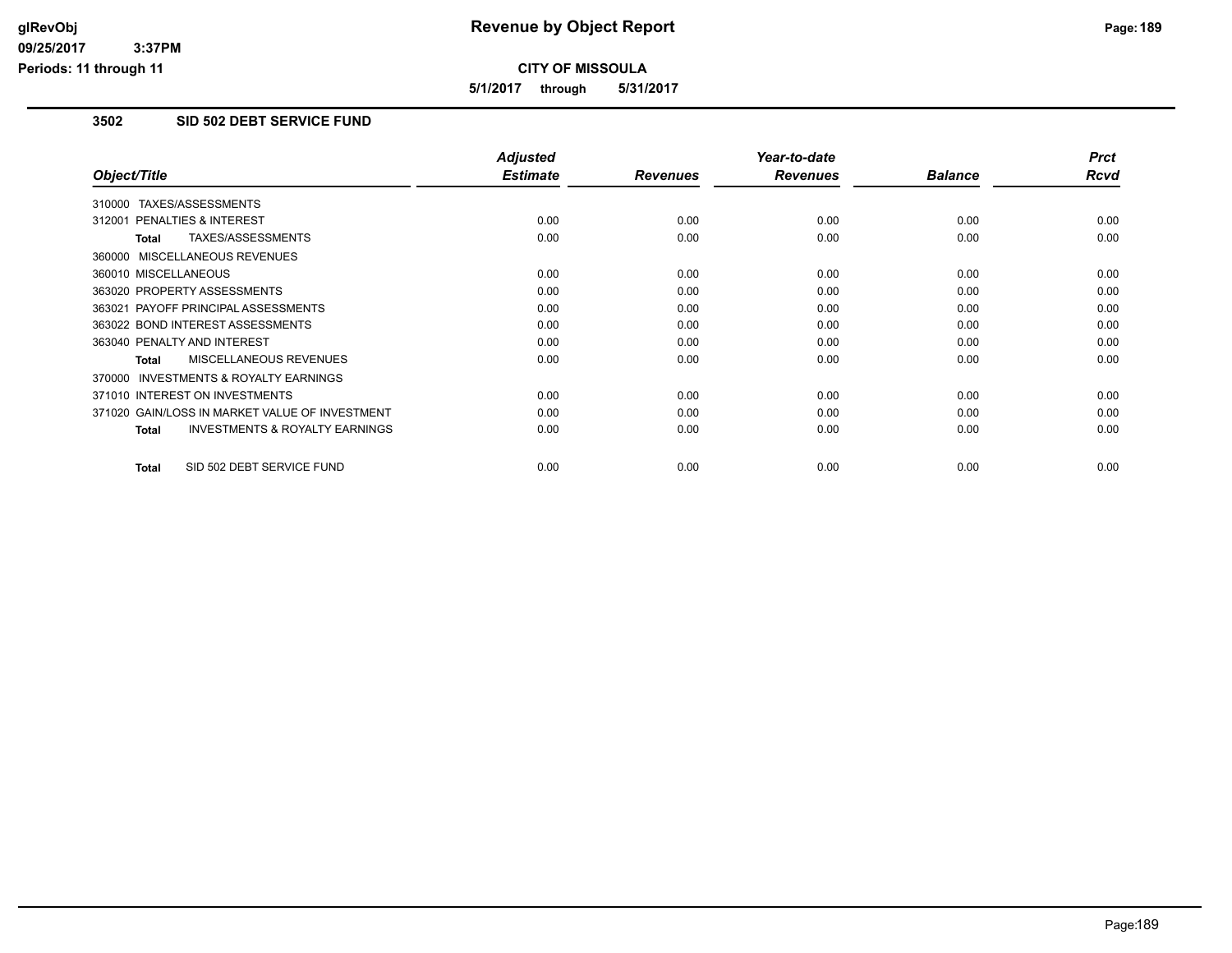**5/1/2017 through 5/31/2017**

# **3502 SID 502 DEBT SERVICE FUND**

|                                                           | <b>Adjusted</b><br><b>Estimate</b> |                 | Year-to-date    |                | <b>Prct</b> |
|-----------------------------------------------------------|------------------------------------|-----------------|-----------------|----------------|-------------|
| Object/Title                                              |                                    | <b>Revenues</b> | <b>Revenues</b> | <b>Balance</b> | Rcvd        |
| 310000 TAXES/ASSESSMENTS                                  |                                    |                 |                 |                |             |
| 312001 PENALTIES & INTEREST                               | 0.00                               | 0.00            | 0.00            | 0.00           | 0.00        |
| TAXES/ASSESSMENTS<br><b>Total</b>                         | 0.00                               | 0.00            | 0.00            | 0.00           | 0.00        |
| 360000 MISCELLANEOUS REVENUES                             |                                    |                 |                 |                |             |
| 360010 MISCELLANEOUS                                      | 0.00                               | 0.00            | 0.00            | 0.00           | 0.00        |
| 363020 PROPERTY ASSESSMENTS                               | 0.00                               | 0.00            | 0.00            | 0.00           | 0.00        |
| 363021 PAYOFF PRINCIPAL ASSESSMENTS                       | 0.00                               | 0.00            | 0.00            | 0.00           | 0.00        |
| 363022 BOND INTEREST ASSESSMENTS                          | 0.00                               | 0.00            | 0.00            | 0.00           | 0.00        |
| 363040 PENALTY AND INTEREST                               | 0.00                               | 0.00            | 0.00            | 0.00           | 0.00        |
| MISCELLANEOUS REVENUES<br>Total                           | 0.00                               | 0.00            | 0.00            | 0.00           | 0.00        |
| <b>INVESTMENTS &amp; ROYALTY EARNINGS</b><br>370000       |                                    |                 |                 |                |             |
| 371010 INTEREST ON INVESTMENTS                            | 0.00                               | 0.00            | 0.00            | 0.00           | 0.00        |
| 371020 GAIN/LOSS IN MARKET VALUE OF INVESTMENT            | 0.00                               | 0.00            | 0.00            | 0.00           | 0.00        |
| <b>INVESTMENTS &amp; ROYALTY EARNINGS</b><br><b>Total</b> | 0.00                               | 0.00            | 0.00            | 0.00           | 0.00        |
|                                                           |                                    |                 |                 |                |             |
| SID 502 DEBT SERVICE FUND<br><b>Total</b>                 | 0.00                               | 0.00            | 0.00            | 0.00           | 0.00        |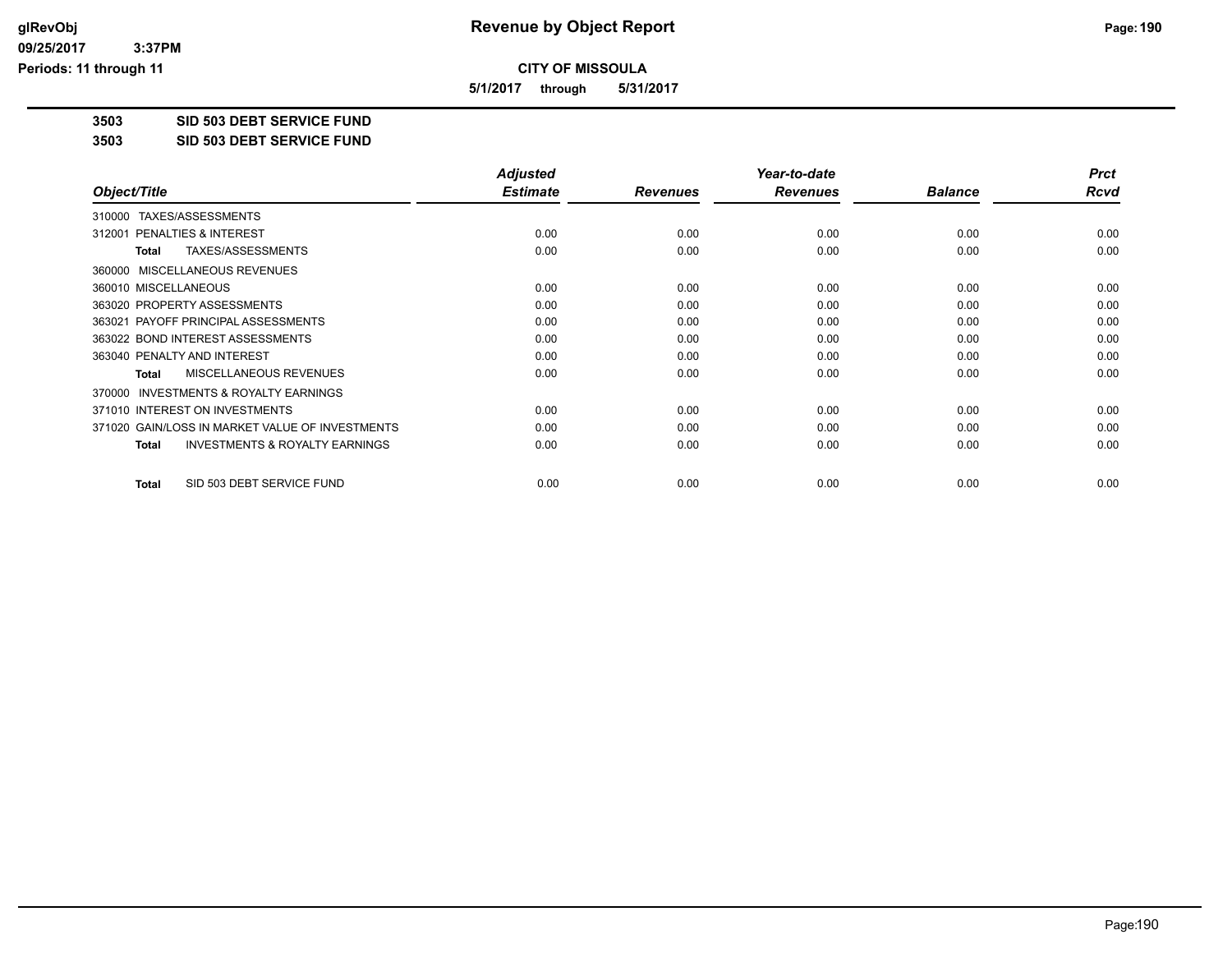**5/1/2017 through 5/31/2017**

**3503 SID 503 DEBT SERVICE FUND**

**3503 SID 503 DEBT SERVICE FUND**

|                                                     | <b>Adjusted</b> |                 | Year-to-date    |                | <b>Prct</b> |
|-----------------------------------------------------|-----------------|-----------------|-----------------|----------------|-------------|
| Object/Title                                        | <b>Estimate</b> | <b>Revenues</b> | <b>Revenues</b> | <b>Balance</b> | <b>Rcvd</b> |
| 310000 TAXES/ASSESSMENTS                            |                 |                 |                 |                |             |
| 312001 PENALTIES & INTEREST                         | 0.00            | 0.00            | 0.00            | 0.00           | 0.00        |
| TAXES/ASSESSMENTS<br>Total                          | 0.00            | 0.00            | 0.00            | 0.00           | 0.00        |
| 360000 MISCELLANEOUS REVENUES                       |                 |                 |                 |                |             |
| 360010 MISCELLANEOUS                                | 0.00            | 0.00            | 0.00            | 0.00           | 0.00        |
| 363020 PROPERTY ASSESSMENTS                         | 0.00            | 0.00            | 0.00            | 0.00           | 0.00        |
| 363021 PAYOFF PRINCIPAL ASSESSMENTS                 | 0.00            | 0.00            | 0.00            | 0.00           | 0.00        |
| 363022 BOND INTEREST ASSESSMENTS                    | 0.00            | 0.00            | 0.00            | 0.00           | 0.00        |
| 363040 PENALTY AND INTEREST                         | 0.00            | 0.00            | 0.00            | 0.00           | 0.00        |
| <b>MISCELLANEOUS REVENUES</b><br>Total              | 0.00            | 0.00            | 0.00            | 0.00           | 0.00        |
| <b>INVESTMENTS &amp; ROYALTY EARNINGS</b><br>370000 |                 |                 |                 |                |             |
| 371010 INTEREST ON INVESTMENTS                      | 0.00            | 0.00            | 0.00            | 0.00           | 0.00        |
| 371020 GAIN/LOSS IN MARKET VALUE OF INVESTMENTS     | 0.00            | 0.00            | 0.00            | 0.00           | 0.00        |
| <b>INVESTMENTS &amp; ROYALTY EARNINGS</b><br>Total  | 0.00            | 0.00            | 0.00            | 0.00           | 0.00        |
| SID 503 DEBT SERVICE FUND<br><b>Total</b>           | 0.00            | 0.00            | 0.00            | 0.00           | 0.00        |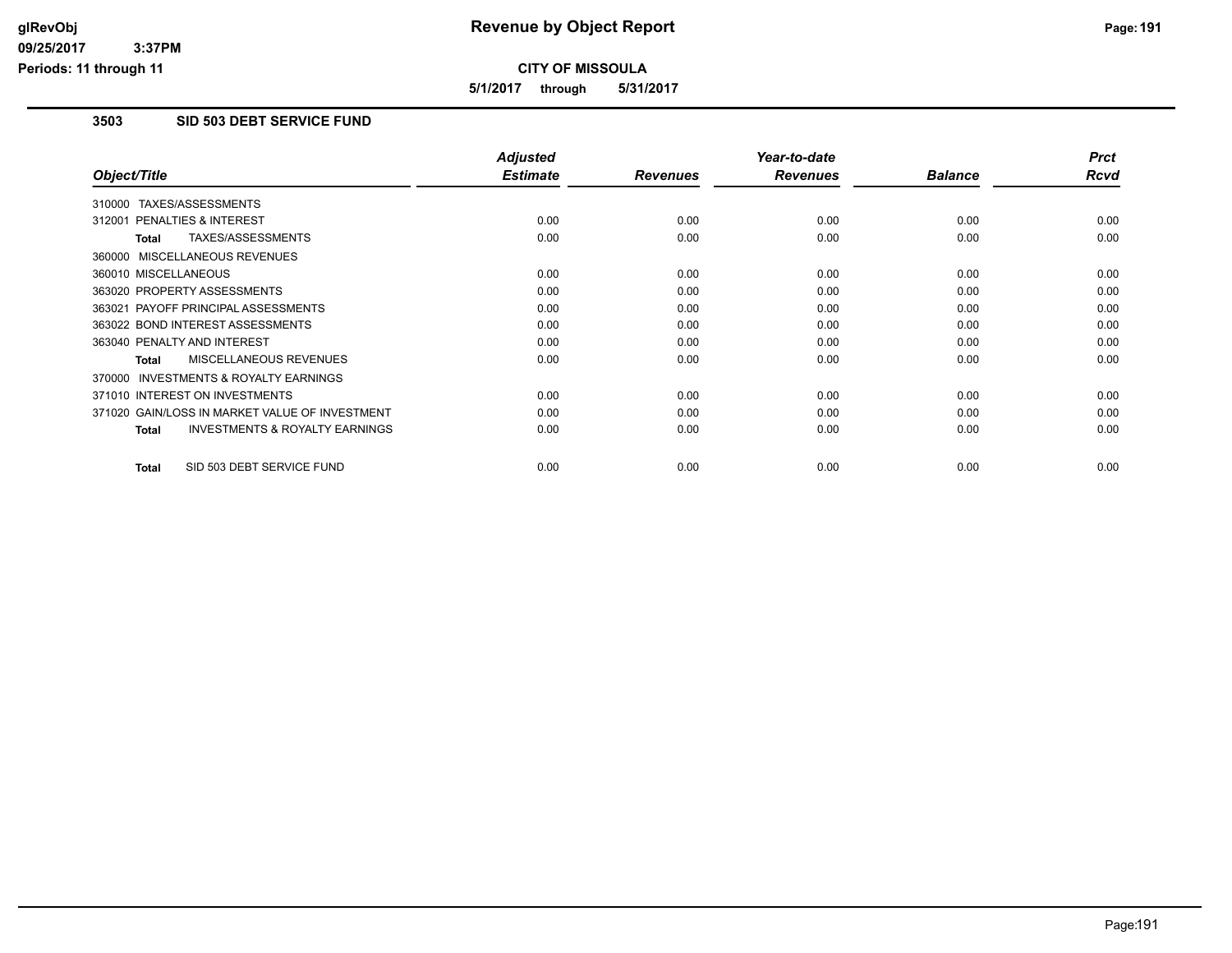**CITY OF MISSOULA**

**5/1/2017 through 5/31/2017**

# **3503 SID 503 DEBT SERVICE FUND**

|                                                           | <b>Adjusted</b> |                 | Year-to-date    |                | <b>Prct</b> |
|-----------------------------------------------------------|-----------------|-----------------|-----------------|----------------|-------------|
| Object/Title                                              | <b>Estimate</b> | <b>Revenues</b> | <b>Revenues</b> | <b>Balance</b> | <b>Rcvd</b> |
| 310000 TAXES/ASSESSMENTS                                  |                 |                 |                 |                |             |
| 312001 PENALTIES & INTEREST                               | 0.00            | 0.00            | 0.00            | 0.00           | 0.00        |
| TAXES/ASSESSMENTS<br><b>Total</b>                         | 0.00            | 0.00            | 0.00            | 0.00           | 0.00        |
| 360000 MISCELLANEOUS REVENUES                             |                 |                 |                 |                |             |
| 360010 MISCELLANEOUS                                      | 0.00            | 0.00            | 0.00            | 0.00           | 0.00        |
| 363020 PROPERTY ASSESSMENTS                               | 0.00            | 0.00            | 0.00            | 0.00           | 0.00        |
| 363021 PAYOFF PRINCIPAL ASSESSMENTS                       | 0.00            | 0.00            | 0.00            | 0.00           | 0.00        |
| 363022 BOND INTEREST ASSESSMENTS                          | 0.00            | 0.00            | 0.00            | 0.00           | 0.00        |
| 363040 PENALTY AND INTEREST                               | 0.00            | 0.00            | 0.00            | 0.00           | 0.00        |
| MISCELLANEOUS REVENUES<br><b>Total</b>                    | 0.00            | 0.00            | 0.00            | 0.00           | 0.00        |
| 370000 INVESTMENTS & ROYALTY EARNINGS                     |                 |                 |                 |                |             |
| 371010 INTEREST ON INVESTMENTS                            | 0.00            | 0.00            | 0.00            | 0.00           | 0.00        |
| 371020 GAIN/LOSS IN MARKET VALUE OF INVESTMENT            | 0.00            | 0.00            | 0.00            | 0.00           | 0.00        |
| <b>INVESTMENTS &amp; ROYALTY EARNINGS</b><br><b>Total</b> | 0.00            | 0.00            | 0.00            | 0.00           | 0.00        |
| SID 503 DEBT SERVICE FUND<br><b>Total</b>                 | 0.00            | 0.00            | 0.00            | 0.00           | 0.00        |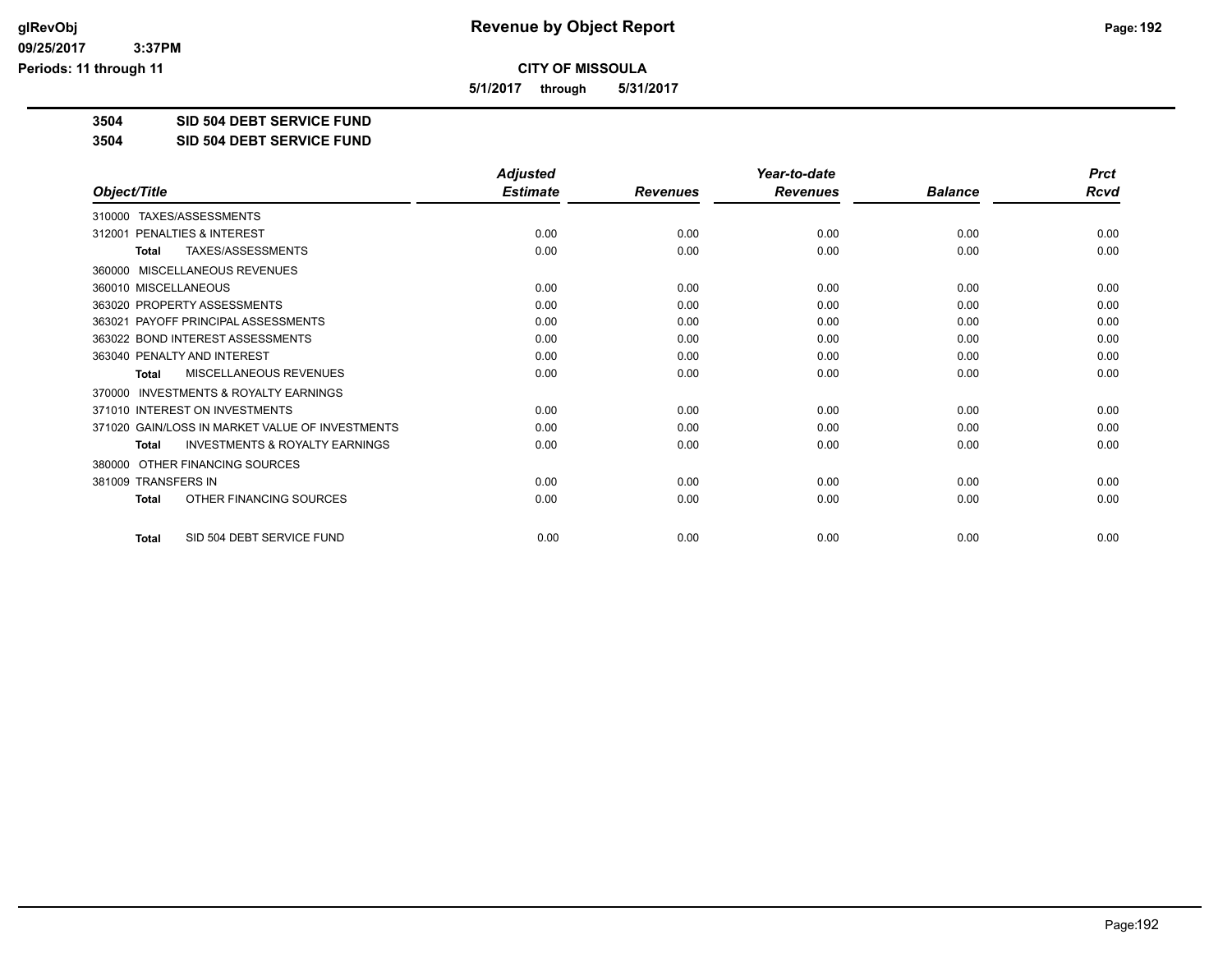**5/1/2017 through 5/31/2017**

**3504 SID 504 DEBT SERVICE FUND**

**3504 SID 504 DEBT SERVICE FUND**

|                                                           | <b>Adjusted</b> |                 | Year-to-date    |                | <b>Prct</b> |
|-----------------------------------------------------------|-----------------|-----------------|-----------------|----------------|-------------|
| Object/Title                                              | <b>Estimate</b> | <b>Revenues</b> | <b>Revenues</b> | <b>Balance</b> | <b>Rcvd</b> |
| TAXES/ASSESSMENTS<br>310000                               |                 |                 |                 |                |             |
| PENALTIES & INTEREST<br>312001                            | 0.00            | 0.00            | 0.00            | 0.00           | 0.00        |
| <b>TAXES/ASSESSMENTS</b><br>Total                         | 0.00            | 0.00            | 0.00            | 0.00           | 0.00        |
| MISCELLANEOUS REVENUES<br>360000                          |                 |                 |                 |                |             |
| 360010 MISCELLANEOUS                                      | 0.00            | 0.00            | 0.00            | 0.00           | 0.00        |
| 363020 PROPERTY ASSESSMENTS                               | 0.00            | 0.00            | 0.00            | 0.00           | 0.00        |
| 363021 PAYOFF PRINCIPAL ASSESSMENTS                       | 0.00            | 0.00            | 0.00            | 0.00           | 0.00        |
| 363022 BOND INTEREST ASSESSMENTS                          | 0.00            | 0.00            | 0.00            | 0.00           | 0.00        |
| 363040 PENALTY AND INTEREST                               | 0.00            | 0.00            | 0.00            | 0.00           | 0.00        |
| MISCELLANEOUS REVENUES<br>Total                           | 0.00            | 0.00            | 0.00            | 0.00           | 0.00        |
| <b>INVESTMENTS &amp; ROYALTY EARNINGS</b><br>370000       |                 |                 |                 |                |             |
| 371010 INTEREST ON INVESTMENTS                            | 0.00            | 0.00            | 0.00            | 0.00           | 0.00        |
| 371020 GAIN/LOSS IN MARKET VALUE OF INVESTMENTS           | 0.00            | 0.00            | 0.00            | 0.00           | 0.00        |
| <b>INVESTMENTS &amp; ROYALTY EARNINGS</b><br><b>Total</b> | 0.00            | 0.00            | 0.00            | 0.00           | 0.00        |
| OTHER FINANCING SOURCES<br>380000                         |                 |                 |                 |                |             |
| 381009 TRANSFERS IN                                       | 0.00            | 0.00            | 0.00            | 0.00           | 0.00        |
| OTHER FINANCING SOURCES<br><b>Total</b>                   | 0.00            | 0.00            | 0.00            | 0.00           | 0.00        |
| SID 504 DEBT SERVICE FUND<br><b>Total</b>                 | 0.00            | 0.00            | 0.00            | 0.00           | 0.00        |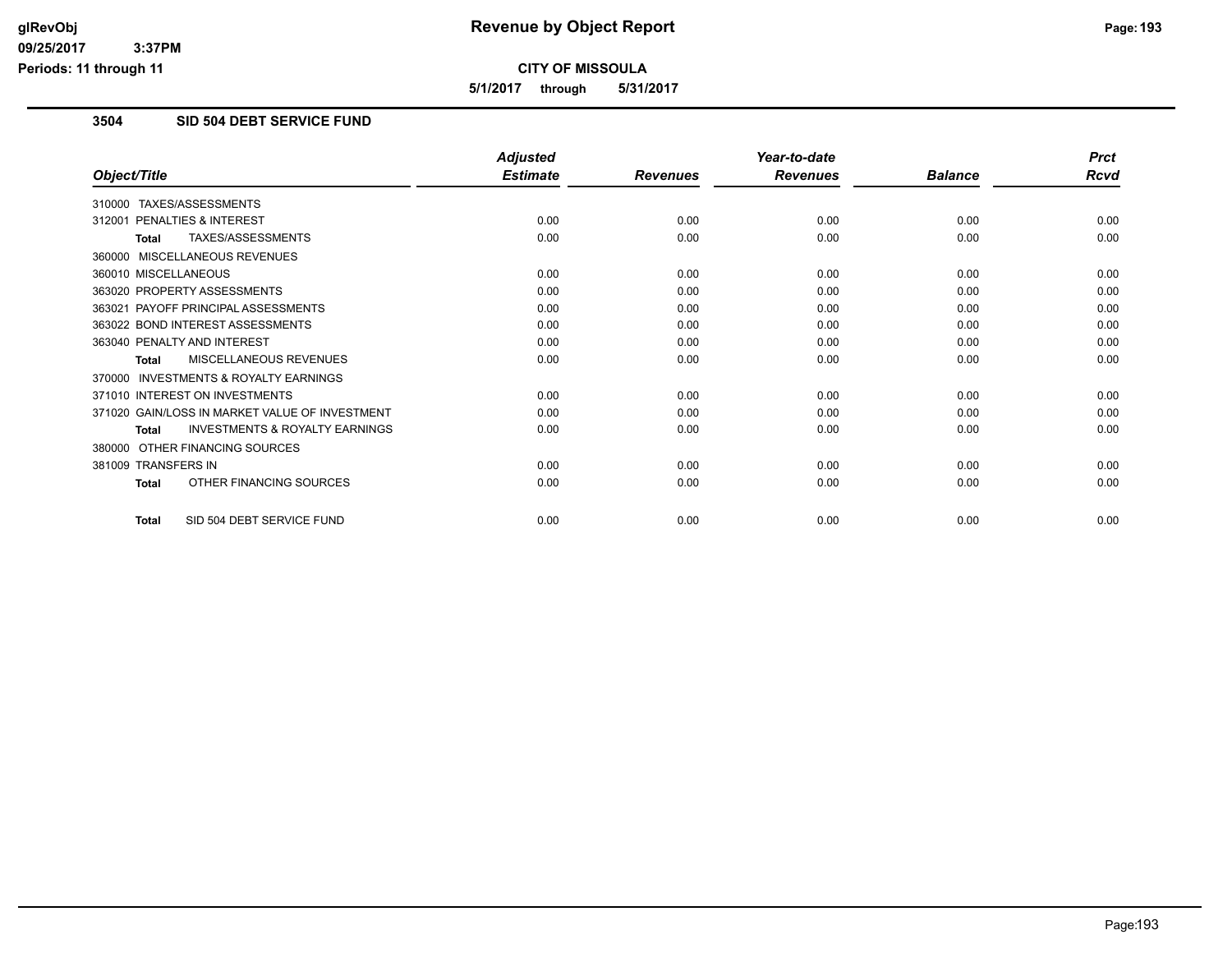**CITY OF MISSOULA**

**5/1/2017 through 5/31/2017**

# **3504 SID 504 DEBT SERVICE FUND**

 **3:37PM**

|                                                           | <b>Adjusted</b> |                 | Year-to-date    |                | <b>Prct</b> |
|-----------------------------------------------------------|-----------------|-----------------|-----------------|----------------|-------------|
| Object/Title                                              | <b>Estimate</b> | <b>Revenues</b> | <b>Revenues</b> | <b>Balance</b> | <b>Rcvd</b> |
| 310000 TAXES/ASSESSMENTS                                  |                 |                 |                 |                |             |
| 312001 PENALTIES & INTEREST                               | 0.00            | 0.00            | 0.00            | 0.00           | 0.00        |
| TAXES/ASSESSMENTS<br>Total                                | 0.00            | 0.00            | 0.00            | 0.00           | 0.00        |
| 360000 MISCELLANEOUS REVENUES                             |                 |                 |                 |                |             |
| 360010 MISCELLANEOUS                                      | 0.00            | 0.00            | 0.00            | 0.00           | 0.00        |
| 363020 PROPERTY ASSESSMENTS                               | 0.00            | 0.00            | 0.00            | 0.00           | 0.00        |
| 363021 PAYOFF PRINCIPAL ASSESSMENTS                       | 0.00            | 0.00            | 0.00            | 0.00           | 0.00        |
| 363022 BOND INTEREST ASSESSMENTS                          | 0.00            | 0.00            | 0.00            | 0.00           | 0.00        |
| 363040 PENALTY AND INTEREST                               | 0.00            | 0.00            | 0.00            | 0.00           | 0.00        |
| <b>MISCELLANEOUS REVENUES</b><br><b>Total</b>             | 0.00            | 0.00            | 0.00            | 0.00           | 0.00        |
| <b>INVESTMENTS &amp; ROYALTY EARNINGS</b><br>370000       |                 |                 |                 |                |             |
| 371010 INTEREST ON INVESTMENTS                            | 0.00            | 0.00            | 0.00            | 0.00           | 0.00        |
| 371020 GAIN/LOSS IN MARKET VALUE OF INVESTMENT            | 0.00            | 0.00            | 0.00            | 0.00           | 0.00        |
| <b>INVESTMENTS &amp; ROYALTY EARNINGS</b><br><b>Total</b> | 0.00            | 0.00            | 0.00            | 0.00           | 0.00        |
| OTHER FINANCING SOURCES<br>380000                         |                 |                 |                 |                |             |
| 381009 TRANSFERS IN                                       | 0.00            | 0.00            | 0.00            | 0.00           | 0.00        |
| OTHER FINANCING SOURCES<br><b>Total</b>                   | 0.00            | 0.00            | 0.00            | 0.00           | 0.00        |
| SID 504 DEBT SERVICE FUND<br><b>Total</b>                 | 0.00            | 0.00            | 0.00            | 0.00           | 0.00        |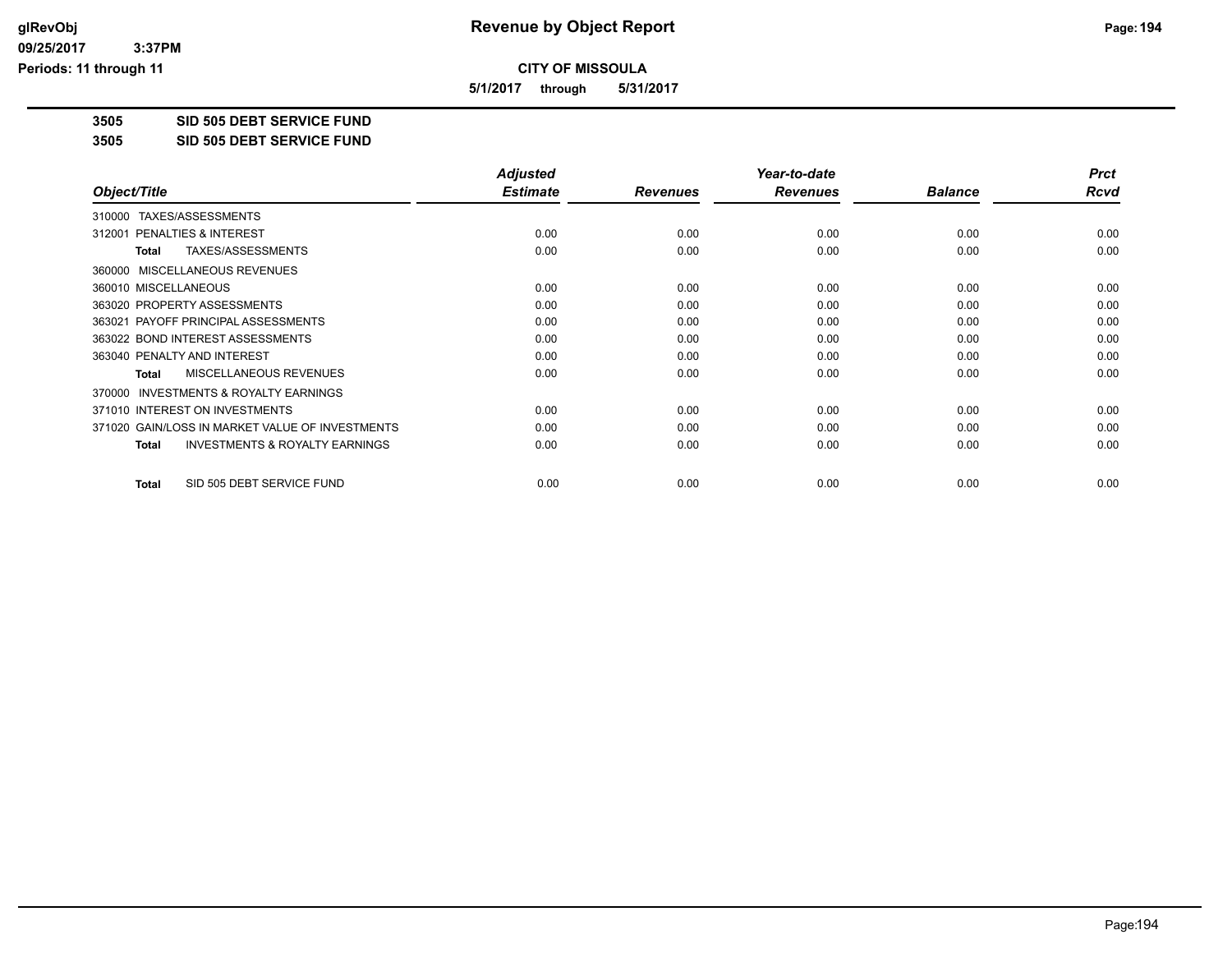**5/1/2017 through 5/31/2017**

**3505 SID 505 DEBT SERVICE FUND**

**3505 SID 505 DEBT SERVICE FUND**

|                                                     | <b>Adjusted</b> |                 | Year-to-date    |                | <b>Prct</b> |
|-----------------------------------------------------|-----------------|-----------------|-----------------|----------------|-------------|
| Object/Title                                        | <b>Estimate</b> | <b>Revenues</b> | <b>Revenues</b> | <b>Balance</b> | <b>Rcvd</b> |
| 310000 TAXES/ASSESSMENTS                            |                 |                 |                 |                |             |
| 312001 PENALTIES & INTEREST                         | 0.00            | 0.00            | 0.00            | 0.00           | 0.00        |
| TAXES/ASSESSMENTS<br>Total                          | 0.00            | 0.00            | 0.00            | 0.00           | 0.00        |
| 360000 MISCELLANEOUS REVENUES                       |                 |                 |                 |                |             |
| 360010 MISCELLANEOUS                                | 0.00            | 0.00            | 0.00            | 0.00           | 0.00        |
| 363020 PROPERTY ASSESSMENTS                         | 0.00            | 0.00            | 0.00            | 0.00           | 0.00        |
| 363021 PAYOFF PRINCIPAL ASSESSMENTS                 | 0.00            | 0.00            | 0.00            | 0.00           | 0.00        |
| 363022 BOND INTEREST ASSESSMENTS                    | 0.00            | 0.00            | 0.00            | 0.00           | 0.00        |
| 363040 PENALTY AND INTEREST                         | 0.00            | 0.00            | 0.00            | 0.00           | 0.00        |
| <b>MISCELLANEOUS REVENUES</b><br>Total              | 0.00            | 0.00            | 0.00            | 0.00           | 0.00        |
| <b>INVESTMENTS &amp; ROYALTY EARNINGS</b><br>370000 |                 |                 |                 |                |             |
| 371010 INTEREST ON INVESTMENTS                      | 0.00            | 0.00            | 0.00            | 0.00           | 0.00        |
| 371020 GAIN/LOSS IN MARKET VALUE OF INVESTMENTS     | 0.00            | 0.00            | 0.00            | 0.00           | 0.00        |
| <b>INVESTMENTS &amp; ROYALTY EARNINGS</b><br>Total  | 0.00            | 0.00            | 0.00            | 0.00           | 0.00        |
| SID 505 DEBT SERVICE FUND<br><b>Total</b>           | 0.00            | 0.00            | 0.00            | 0.00           | 0.00        |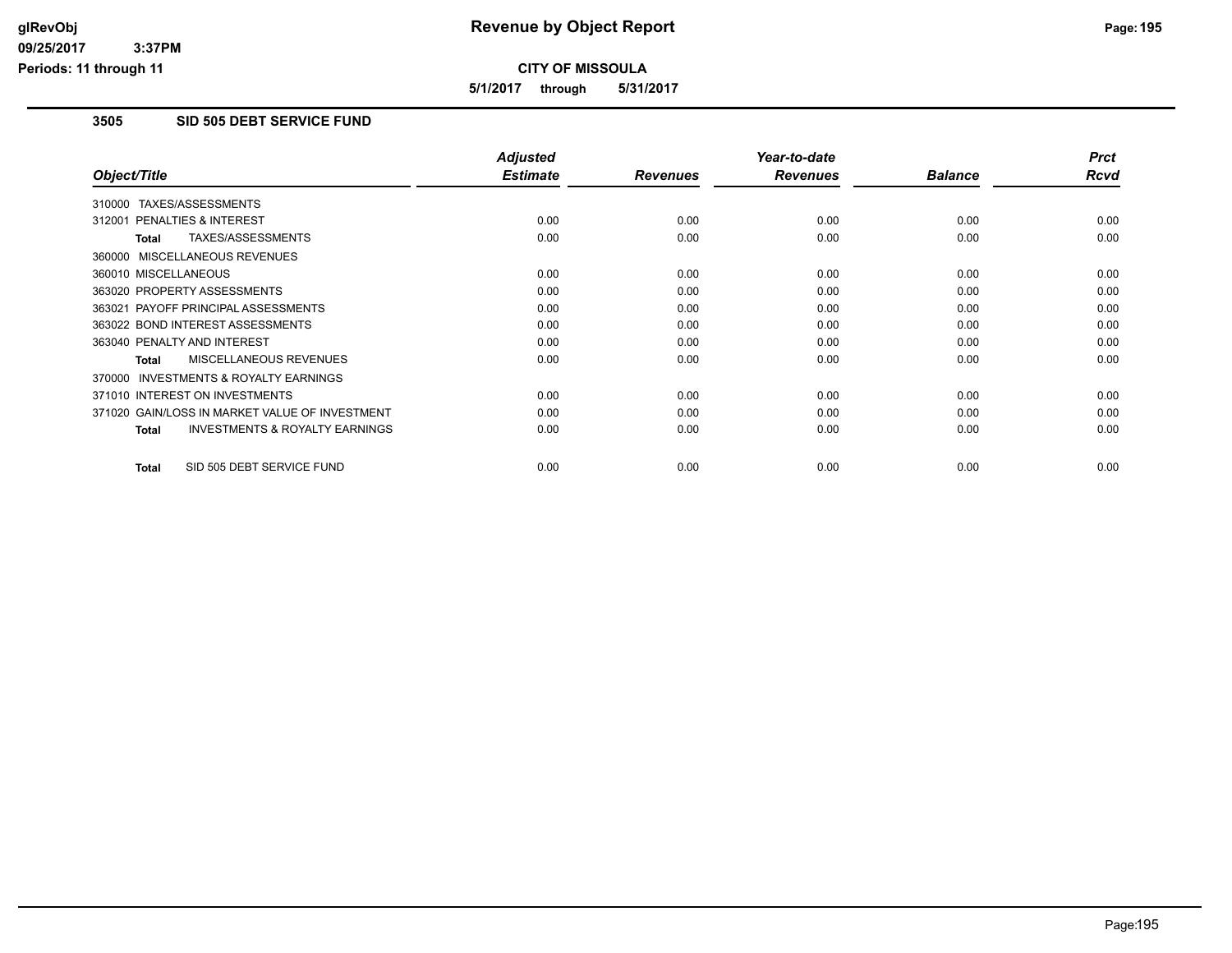**3:37PM**

**CITY OF MISSOULA**

**5/1/2017 through 5/31/2017**

# **3505 SID 505 DEBT SERVICE FUND**

|                                                           | <b>Adjusted</b> |                 | Year-to-date    |                | <b>Prct</b> |
|-----------------------------------------------------------|-----------------|-----------------|-----------------|----------------|-------------|
| Object/Title                                              | <b>Estimate</b> | <b>Revenues</b> | <b>Revenues</b> | <b>Balance</b> | Rcvd        |
| 310000 TAXES/ASSESSMENTS                                  |                 |                 |                 |                |             |
| 312001 PENALTIES & INTEREST                               | 0.00            | 0.00            | 0.00            | 0.00           | 0.00        |
| TAXES/ASSESSMENTS<br>Total                                | 0.00            | 0.00            | 0.00            | 0.00           | 0.00        |
| 360000 MISCELLANEOUS REVENUES                             |                 |                 |                 |                |             |
| 360010 MISCELLANEOUS                                      | 0.00            | 0.00            | 0.00            | 0.00           | 0.00        |
| 363020 PROPERTY ASSESSMENTS                               | 0.00            | 0.00            | 0.00            | 0.00           | 0.00        |
| 363021 PAYOFF PRINCIPAL ASSESSMENTS                       | 0.00            | 0.00            | 0.00            | 0.00           | 0.00        |
| 363022 BOND INTEREST ASSESSMENTS                          | 0.00            | 0.00            | 0.00            | 0.00           | 0.00        |
| 363040 PENALTY AND INTEREST                               | 0.00            | 0.00            | 0.00            | 0.00           | 0.00        |
| MISCELLANEOUS REVENUES<br>Total                           | 0.00            | 0.00            | 0.00            | 0.00           | 0.00        |
| <b>INVESTMENTS &amp; ROYALTY EARNINGS</b><br>370000       |                 |                 |                 |                |             |
| 371010 INTEREST ON INVESTMENTS                            | 0.00            | 0.00            | 0.00            | 0.00           | 0.00        |
| 371020 GAIN/LOSS IN MARKET VALUE OF INVESTMENT            | 0.00            | 0.00            | 0.00            | 0.00           | 0.00        |
| <b>INVESTMENTS &amp; ROYALTY EARNINGS</b><br><b>Total</b> | 0.00            | 0.00            | 0.00            | 0.00           | 0.00        |
| SID 505 DEBT SERVICE FUND<br><b>Total</b>                 | 0.00            | 0.00            | 0.00            | 0.00           | 0.00        |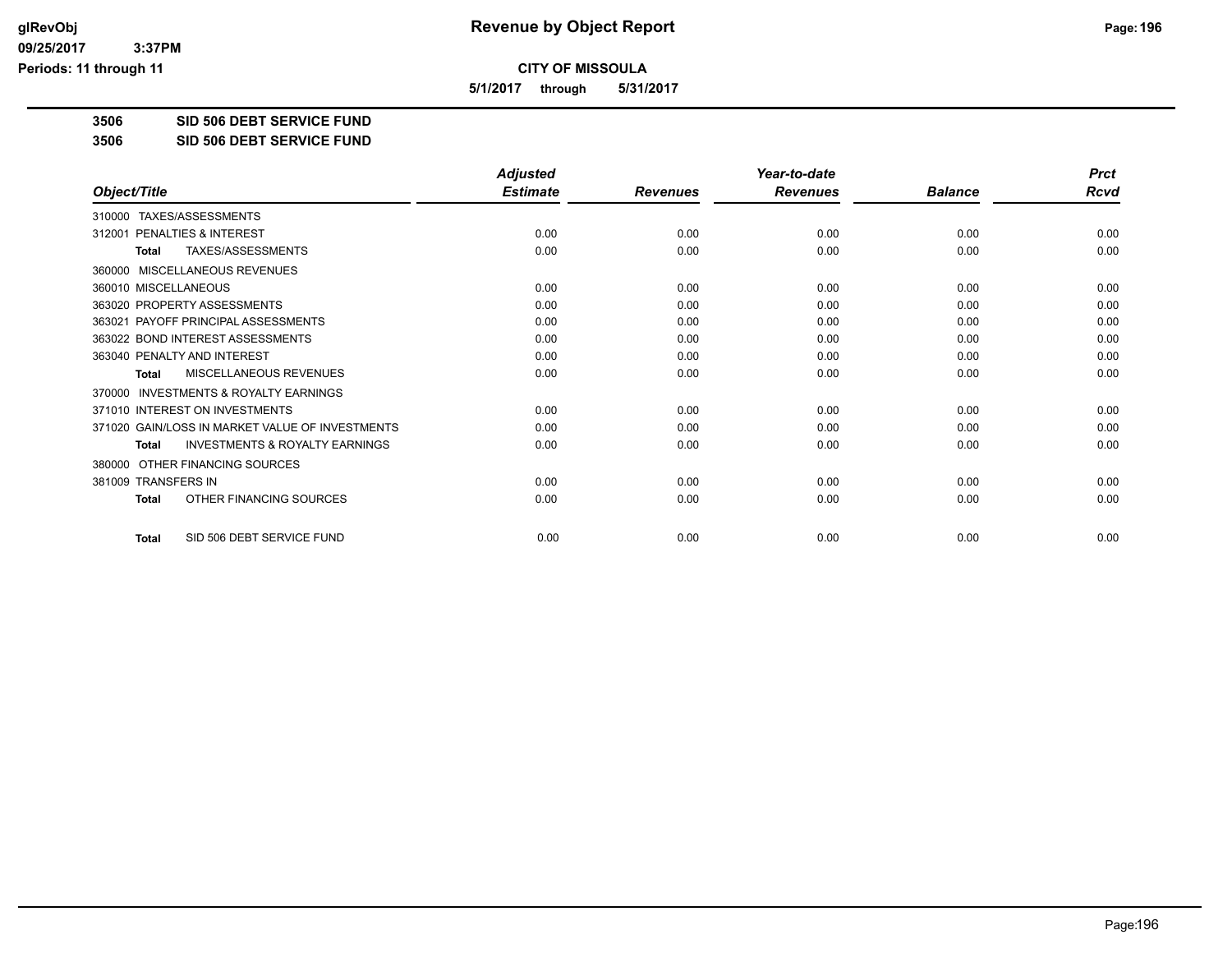**5/1/2017 through 5/31/2017**

**3506 SID 506 DEBT SERVICE FUND**

**3506 SID 506 DEBT SERVICE FUND**

|                                                           | <b>Adjusted</b> |                 | Year-to-date    |                | <b>Prct</b> |
|-----------------------------------------------------------|-----------------|-----------------|-----------------|----------------|-------------|
| Object/Title                                              | <b>Estimate</b> | <b>Revenues</b> | <b>Revenues</b> | <b>Balance</b> | <b>Rcvd</b> |
| <b>TAXES/ASSESSMENTS</b><br>310000                        |                 |                 |                 |                |             |
| PENALTIES & INTEREST<br>312001                            | 0.00            | 0.00            | 0.00            | 0.00           | 0.00        |
| TAXES/ASSESSMENTS<br>Total                                | 0.00            | 0.00            | 0.00            | 0.00           | 0.00        |
| MISCELLANEOUS REVENUES<br>360000                          |                 |                 |                 |                |             |
| 360010 MISCELLANEOUS                                      | 0.00            | 0.00            | 0.00            | 0.00           | 0.00        |
| 363020 PROPERTY ASSESSMENTS                               | 0.00            | 0.00            | 0.00            | 0.00           | 0.00        |
| 363021 PAYOFF PRINCIPAL ASSESSMENTS                       | 0.00            | 0.00            | 0.00            | 0.00           | 0.00        |
| 363022 BOND INTEREST ASSESSMENTS                          | 0.00            | 0.00            | 0.00            | 0.00           | 0.00        |
| 363040 PENALTY AND INTEREST                               | 0.00            | 0.00            | 0.00            | 0.00           | 0.00        |
| MISCELLANEOUS REVENUES<br><b>Total</b>                    | 0.00            | 0.00            | 0.00            | 0.00           | 0.00        |
| <b>INVESTMENTS &amp; ROYALTY EARNINGS</b><br>370000       |                 |                 |                 |                |             |
| 371010 INTEREST ON INVESTMENTS                            | 0.00            | 0.00            | 0.00            | 0.00           | 0.00        |
| 371020 GAIN/LOSS IN MARKET VALUE OF INVESTMENTS           | 0.00            | 0.00            | 0.00            | 0.00           | 0.00        |
| <b>INVESTMENTS &amp; ROYALTY EARNINGS</b><br><b>Total</b> | 0.00            | 0.00            | 0.00            | 0.00           | 0.00        |
| OTHER FINANCING SOURCES<br>380000                         |                 |                 |                 |                |             |
| 381009 TRANSFERS IN                                       | 0.00            | 0.00            | 0.00            | 0.00           | 0.00        |
| OTHER FINANCING SOURCES<br><b>Total</b>                   | 0.00            | 0.00            | 0.00            | 0.00           | 0.00        |
| SID 506 DEBT SERVICE FUND<br><b>Total</b>                 | 0.00            | 0.00            | 0.00            | 0.00           | 0.00        |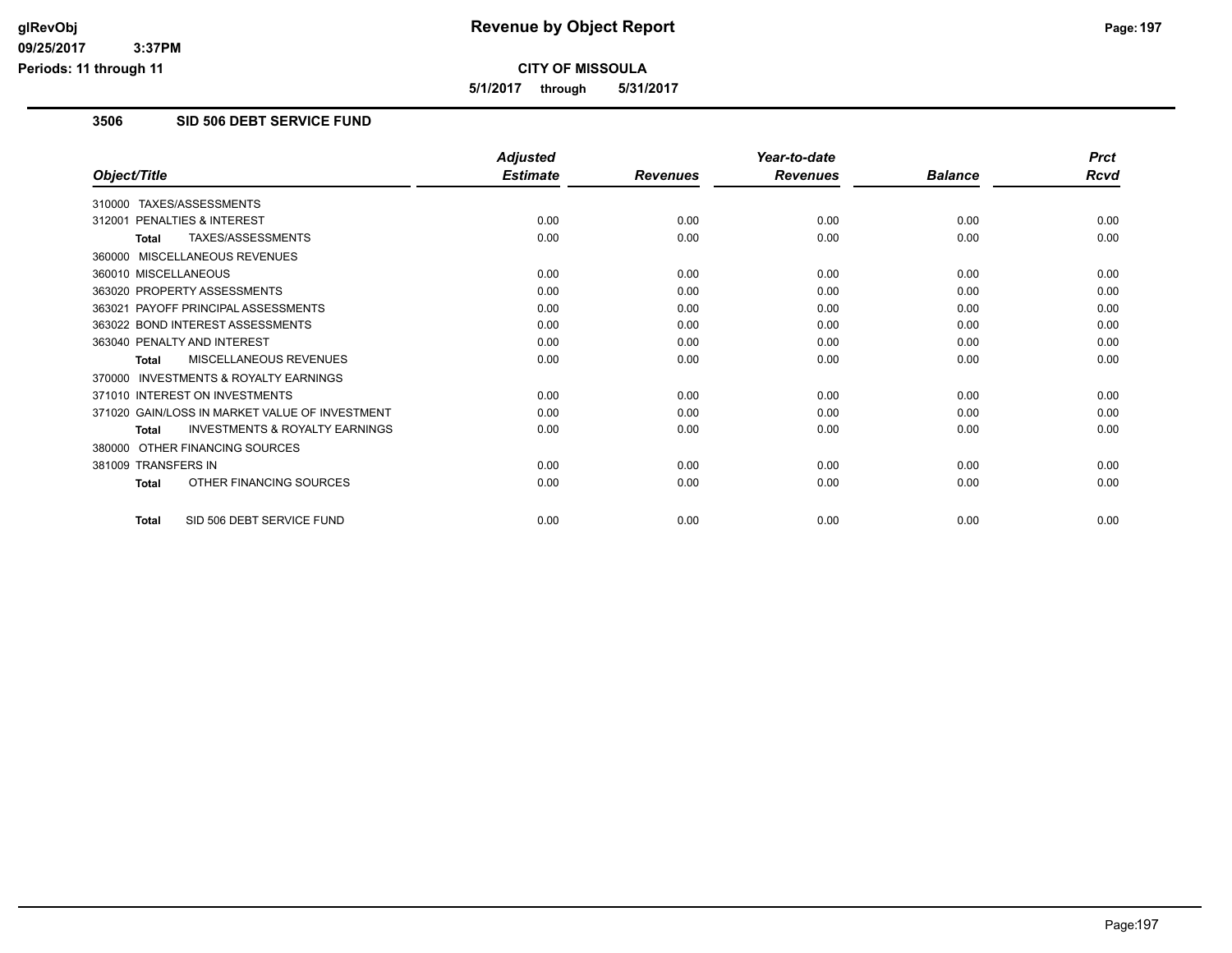**CITY OF MISSOULA**

**5/1/2017 through 5/31/2017**

# **3506 SID 506 DEBT SERVICE FUND**

 **3:37PM**

|                                                    | <b>Adjusted</b> |                 | Year-to-date    |                | <b>Prct</b> |
|----------------------------------------------------|-----------------|-----------------|-----------------|----------------|-------------|
| Object/Title                                       | <b>Estimate</b> | <b>Revenues</b> | <b>Revenues</b> | <b>Balance</b> | <b>Rcvd</b> |
| 310000 TAXES/ASSESSMENTS                           |                 |                 |                 |                |             |
| PENALTIES & INTEREST<br>312001                     | 0.00            | 0.00            | 0.00            | 0.00           | 0.00        |
| TAXES/ASSESSMENTS<br>Total                         | 0.00            | 0.00            | 0.00            | 0.00           | 0.00        |
| 360000 MISCELLANEOUS REVENUES                      |                 |                 |                 |                |             |
| 360010 MISCELLANEOUS                               | 0.00            | 0.00            | 0.00            | 0.00           | 0.00        |
| 363020 PROPERTY ASSESSMENTS                        | 0.00            | 0.00            | 0.00            | 0.00           | 0.00        |
| 363021 PAYOFF PRINCIPAL ASSESSMENTS                | 0.00            | 0.00            | 0.00            | 0.00           | 0.00        |
| 363022 BOND INTEREST ASSESSMENTS                   | 0.00            | 0.00            | 0.00            | 0.00           | 0.00        |
| 363040 PENALTY AND INTEREST                        | 0.00            | 0.00            | 0.00            | 0.00           | 0.00        |
| <b>MISCELLANEOUS REVENUES</b><br>Total             | 0.00            | 0.00            | 0.00            | 0.00           | 0.00        |
| 370000 INVESTMENTS & ROYALTY EARNINGS              |                 |                 |                 |                |             |
| 371010 INTEREST ON INVESTMENTS                     | 0.00            | 0.00            | 0.00            | 0.00           | 0.00        |
| 371020 GAIN/LOSS IN MARKET VALUE OF INVESTMENT     | 0.00            | 0.00            | 0.00            | 0.00           | 0.00        |
| <b>INVESTMENTS &amp; ROYALTY EARNINGS</b><br>Total | 0.00            | 0.00            | 0.00            | 0.00           | 0.00        |
| 380000 OTHER FINANCING SOURCES                     |                 |                 |                 |                |             |
| 381009 TRANSFERS IN                                | 0.00            | 0.00            | 0.00            | 0.00           | 0.00        |
| OTHER FINANCING SOURCES<br>Total                   | 0.00            | 0.00            | 0.00            | 0.00           | 0.00        |
| SID 506 DEBT SERVICE FUND<br><b>Total</b>          | 0.00            | 0.00            | 0.00            | 0.00           | 0.00        |
|                                                    |                 |                 |                 |                |             |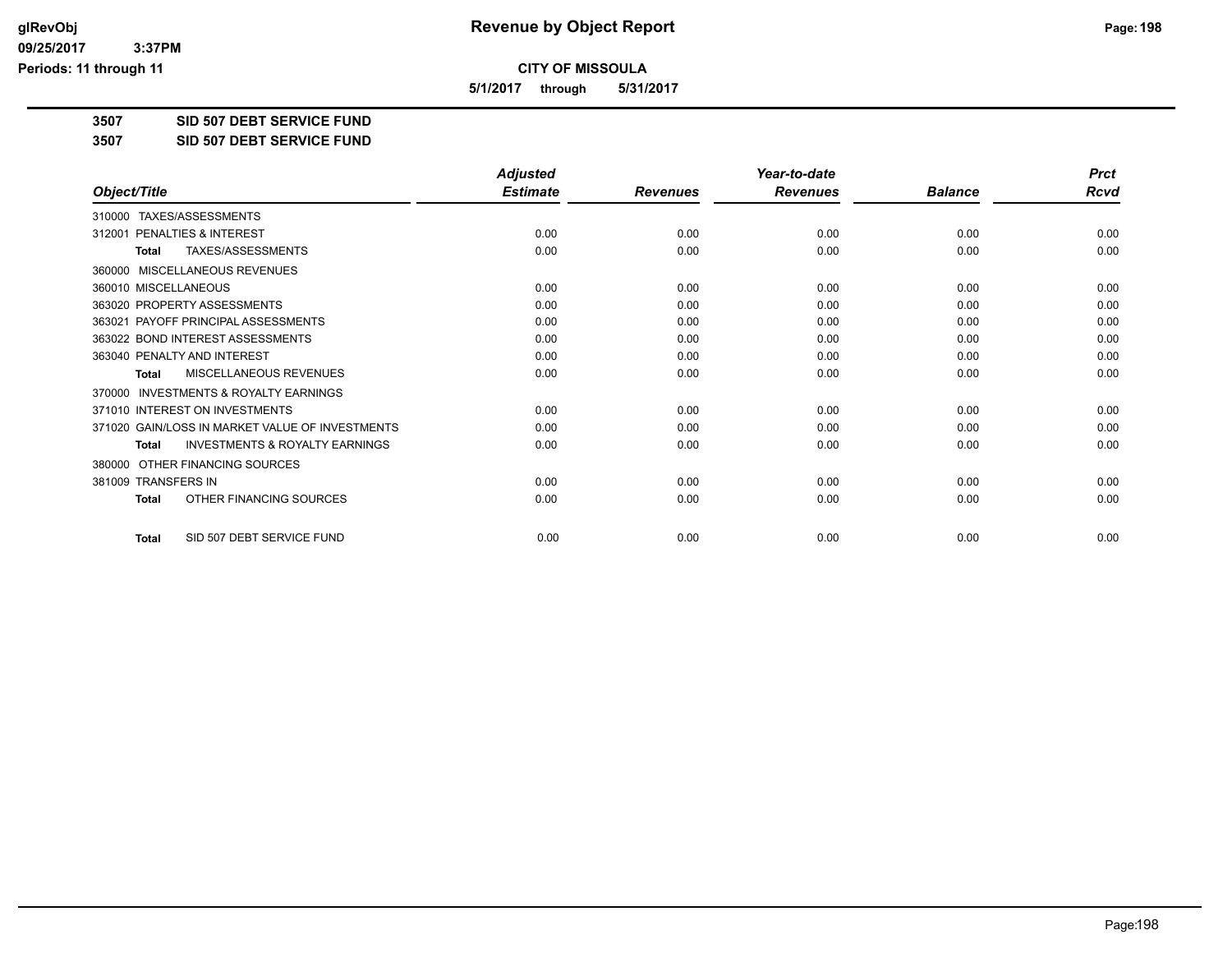**CITY OF MISSOULA**

**5/1/2017 through 5/31/2017**

**3507 SID 507 DEBT SERVICE FUND**

 **3:37PM**

**3507 SID 507 DEBT SERVICE FUND**

|                                                           | <b>Adjusted</b> |                 | Year-to-date    |                | <b>Prct</b> |
|-----------------------------------------------------------|-----------------|-----------------|-----------------|----------------|-------------|
| Object/Title                                              | <b>Estimate</b> | <b>Revenues</b> | <b>Revenues</b> | <b>Balance</b> | Rcvd        |
| TAXES/ASSESSMENTS<br>310000                               |                 |                 |                 |                |             |
| PENALTIES & INTEREST<br>312001                            | 0.00            | 0.00            | 0.00            | 0.00           | 0.00        |
| TAXES/ASSESSMENTS<br><b>Total</b>                         | 0.00            | 0.00            | 0.00            | 0.00           | 0.00        |
| MISCELLANEOUS REVENUES<br>360000                          |                 |                 |                 |                |             |
| 360010 MISCELLANEOUS                                      | 0.00            | 0.00            | 0.00            | 0.00           | 0.00        |
| 363020 PROPERTY ASSESSMENTS                               | 0.00            | 0.00            | 0.00            | 0.00           | 0.00        |
| 363021 PAYOFF PRINCIPAL ASSESSMENTS                       | 0.00            | 0.00            | 0.00            | 0.00           | 0.00        |
| 363022 BOND INTEREST ASSESSMENTS                          | 0.00            | 0.00            | 0.00            | 0.00           | 0.00        |
| 363040 PENALTY AND INTEREST                               | 0.00            | 0.00            | 0.00            | 0.00           | 0.00        |
| MISCELLANEOUS REVENUES<br><b>Total</b>                    | 0.00            | 0.00            | 0.00            | 0.00           | 0.00        |
| <b>INVESTMENTS &amp; ROYALTY EARNINGS</b><br>370000       |                 |                 |                 |                |             |
| 371010 INTEREST ON INVESTMENTS                            | 0.00            | 0.00            | 0.00            | 0.00           | 0.00        |
| 371020 GAIN/LOSS IN MARKET VALUE OF INVESTMENTS           | 0.00            | 0.00            | 0.00            | 0.00           | 0.00        |
| <b>INVESTMENTS &amp; ROYALTY EARNINGS</b><br><b>Total</b> | 0.00            | 0.00            | 0.00            | 0.00           | 0.00        |
| OTHER FINANCING SOURCES<br>380000                         |                 |                 |                 |                |             |
| 381009 TRANSFERS IN                                       | 0.00            | 0.00            | 0.00            | 0.00           | 0.00        |
| OTHER FINANCING SOURCES<br><b>Total</b>                   | 0.00            | 0.00            | 0.00            | 0.00           | 0.00        |
| SID 507 DEBT SERVICE FUND<br><b>Total</b>                 | 0.00            | 0.00            | 0.00            | 0.00           | 0.00        |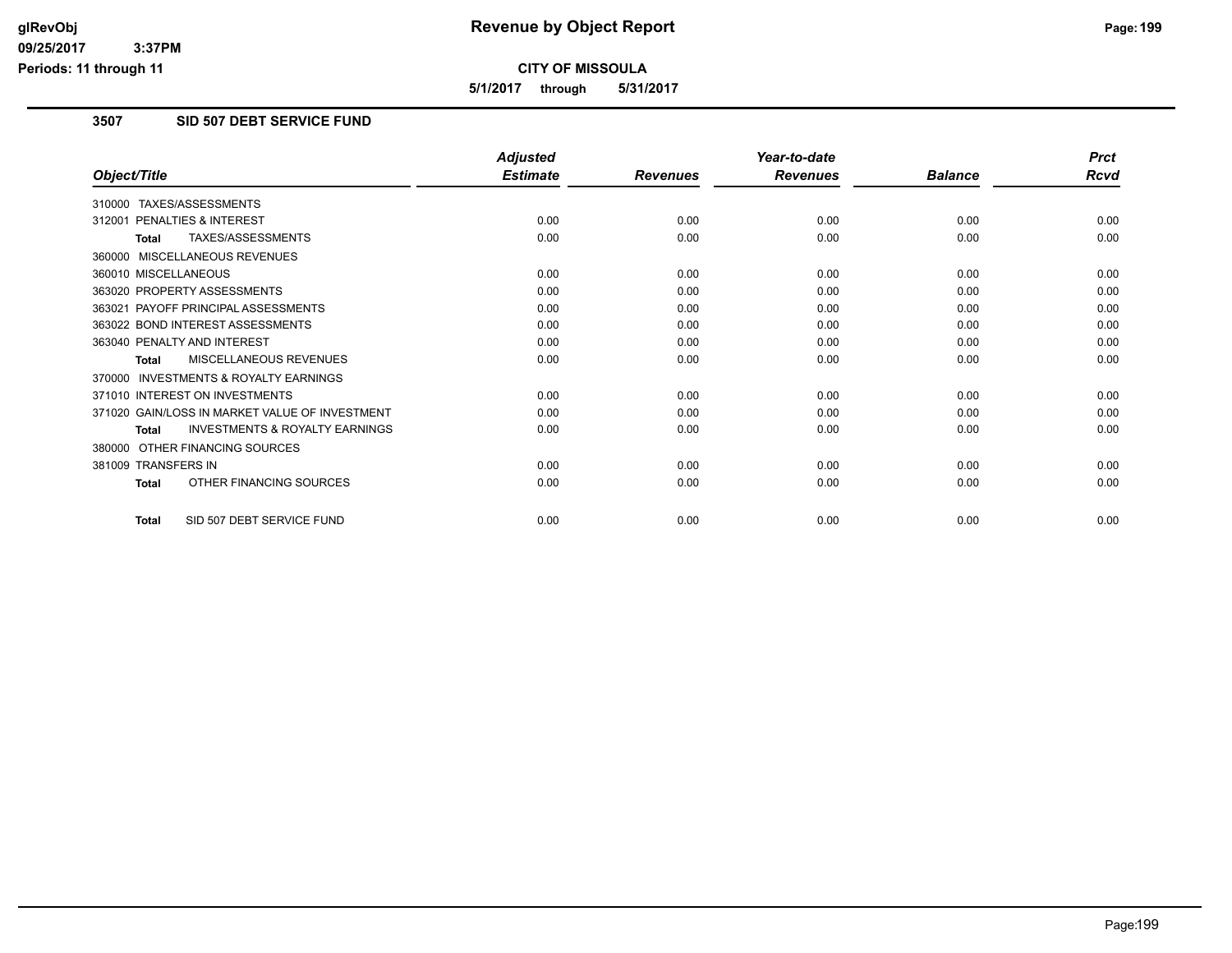**CITY OF MISSOULA**

**5/1/2017 through 5/31/2017**

# **3507 SID 507 DEBT SERVICE FUND**

 **3:37PM**

|                                                           | <b>Adjusted</b> |                 | Year-to-date    |                | <b>Prct</b> |
|-----------------------------------------------------------|-----------------|-----------------|-----------------|----------------|-------------|
| Object/Title                                              | <b>Estimate</b> | <b>Revenues</b> | <b>Revenues</b> | <b>Balance</b> | <b>Rcvd</b> |
| 310000 TAXES/ASSESSMENTS                                  |                 |                 |                 |                |             |
| PENALTIES & INTEREST<br>312001                            | 0.00            | 0.00            | 0.00            | 0.00           | 0.00        |
| TAXES/ASSESSMENTS<br><b>Total</b>                         | 0.00            | 0.00            | 0.00            | 0.00           | 0.00        |
| 360000 MISCELLANEOUS REVENUES                             |                 |                 |                 |                |             |
| 360010 MISCELLANEOUS                                      | 0.00            | 0.00            | 0.00            | 0.00           | 0.00        |
| 363020 PROPERTY ASSESSMENTS                               | 0.00            | 0.00            | 0.00            | 0.00           | 0.00        |
| 363021 PAYOFF PRINCIPAL ASSESSMENTS                       | 0.00            | 0.00            | 0.00            | 0.00           | 0.00        |
| 363022 BOND INTEREST ASSESSMENTS                          | 0.00            | 0.00            | 0.00            | 0.00           | 0.00        |
| 363040 PENALTY AND INTEREST                               | 0.00            | 0.00            | 0.00            | 0.00           | 0.00        |
| MISCELLANEOUS REVENUES<br><b>Total</b>                    | 0.00            | 0.00            | 0.00            | 0.00           | 0.00        |
| <b>INVESTMENTS &amp; ROYALTY EARNINGS</b><br>370000       |                 |                 |                 |                |             |
| 371010 INTEREST ON INVESTMENTS                            | 0.00            | 0.00            | 0.00            | 0.00           | 0.00        |
| 371020 GAIN/LOSS IN MARKET VALUE OF INVESTMENT            | 0.00            | 0.00            | 0.00            | 0.00           | 0.00        |
| <b>INVESTMENTS &amp; ROYALTY EARNINGS</b><br><b>Total</b> | 0.00            | 0.00            | 0.00            | 0.00           | 0.00        |
| OTHER FINANCING SOURCES<br>380000                         |                 |                 |                 |                |             |
| 381009 TRANSFERS IN                                       | 0.00            | 0.00            | 0.00            | 0.00           | 0.00        |
| OTHER FINANCING SOURCES<br><b>Total</b>                   | 0.00            | 0.00            | 0.00            | 0.00           | 0.00        |
| SID 507 DEBT SERVICE FUND<br><b>Total</b>                 | 0.00            | 0.00            | 0.00            | 0.00           | 0.00        |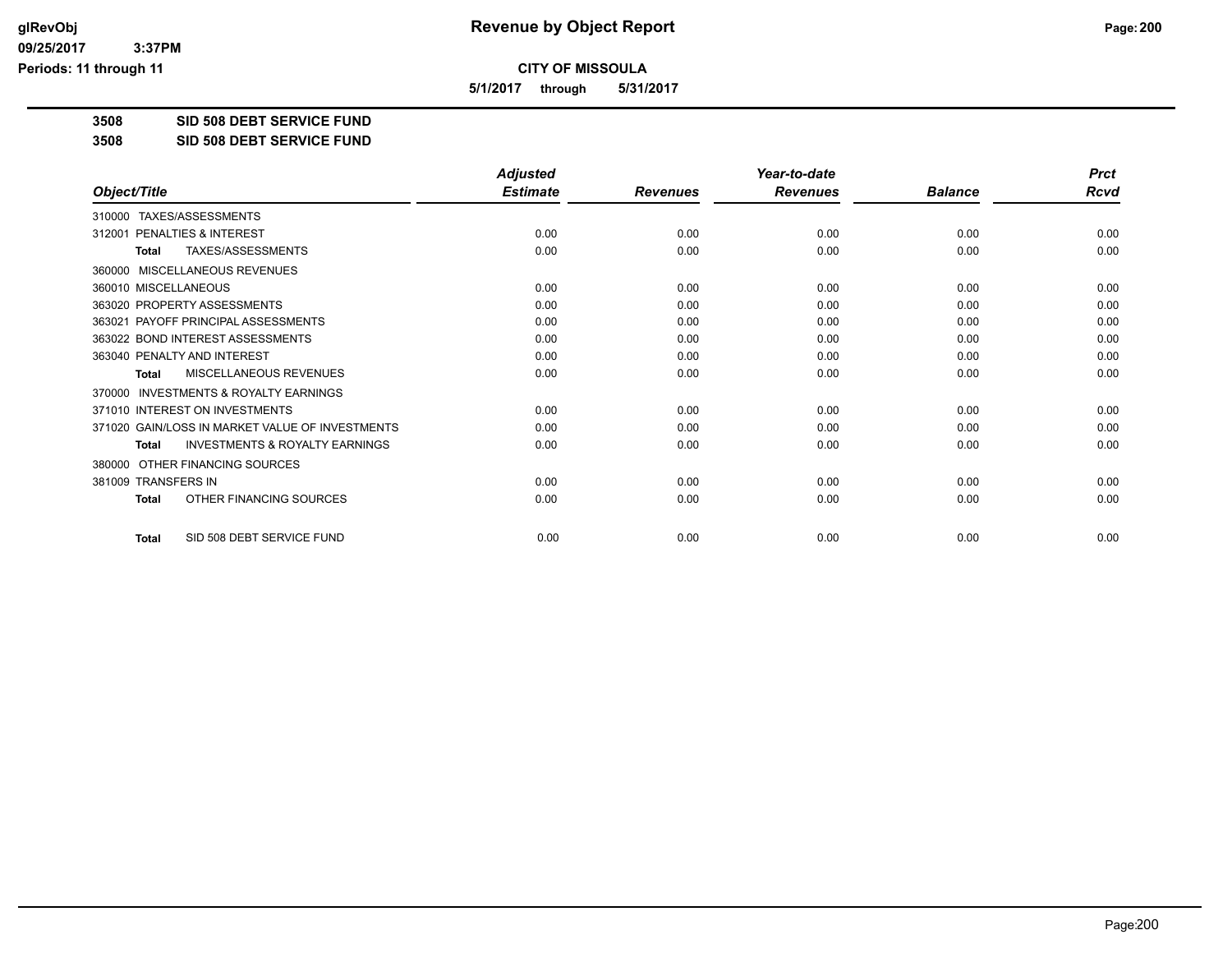**5/1/2017 through 5/31/2017**

**3508 SID 508 DEBT SERVICE FUND**

**3508 SID 508 DEBT SERVICE FUND**

|                                                           | <b>Adjusted</b> |                 | Year-to-date    |                | <b>Prct</b> |
|-----------------------------------------------------------|-----------------|-----------------|-----------------|----------------|-------------|
| Object/Title                                              | <b>Estimate</b> | <b>Revenues</b> | <b>Revenues</b> | <b>Balance</b> | <b>Rcvd</b> |
| TAXES/ASSESSMENTS<br>310000                               |                 |                 |                 |                |             |
| PENALTIES & INTEREST<br>312001                            | 0.00            | 0.00            | 0.00            | 0.00           | 0.00        |
| <b>TAXES/ASSESSMENTS</b><br>Total                         | 0.00            | 0.00            | 0.00            | 0.00           | 0.00        |
| MISCELLANEOUS REVENUES<br>360000                          |                 |                 |                 |                |             |
| 360010 MISCELLANEOUS                                      | 0.00            | 0.00            | 0.00            | 0.00           | 0.00        |
| 363020 PROPERTY ASSESSMENTS                               | 0.00            | 0.00            | 0.00            | 0.00           | 0.00        |
| 363021 PAYOFF PRINCIPAL ASSESSMENTS                       | 0.00            | 0.00            | 0.00            | 0.00           | 0.00        |
| 363022 BOND INTEREST ASSESSMENTS                          | 0.00            | 0.00            | 0.00            | 0.00           | 0.00        |
| 363040 PENALTY AND INTEREST                               | 0.00            | 0.00            | 0.00            | 0.00           | 0.00        |
| MISCELLANEOUS REVENUES<br>Total                           | 0.00            | 0.00            | 0.00            | 0.00           | 0.00        |
| <b>INVESTMENTS &amp; ROYALTY EARNINGS</b><br>370000       |                 |                 |                 |                |             |
| 371010 INTEREST ON INVESTMENTS                            | 0.00            | 0.00            | 0.00            | 0.00           | 0.00        |
| 371020 GAIN/LOSS IN MARKET VALUE OF INVESTMENTS           | 0.00            | 0.00            | 0.00            | 0.00           | 0.00        |
| <b>INVESTMENTS &amp; ROYALTY EARNINGS</b><br><b>Total</b> | 0.00            | 0.00            | 0.00            | 0.00           | 0.00        |
| OTHER FINANCING SOURCES<br>380000                         |                 |                 |                 |                |             |
| 381009 TRANSFERS IN                                       | 0.00            | 0.00            | 0.00            | 0.00           | 0.00        |
| OTHER FINANCING SOURCES<br><b>Total</b>                   | 0.00            | 0.00            | 0.00            | 0.00           | 0.00        |
| SID 508 DEBT SERVICE FUND<br><b>Total</b>                 | 0.00            | 0.00            | 0.00            | 0.00           | 0.00        |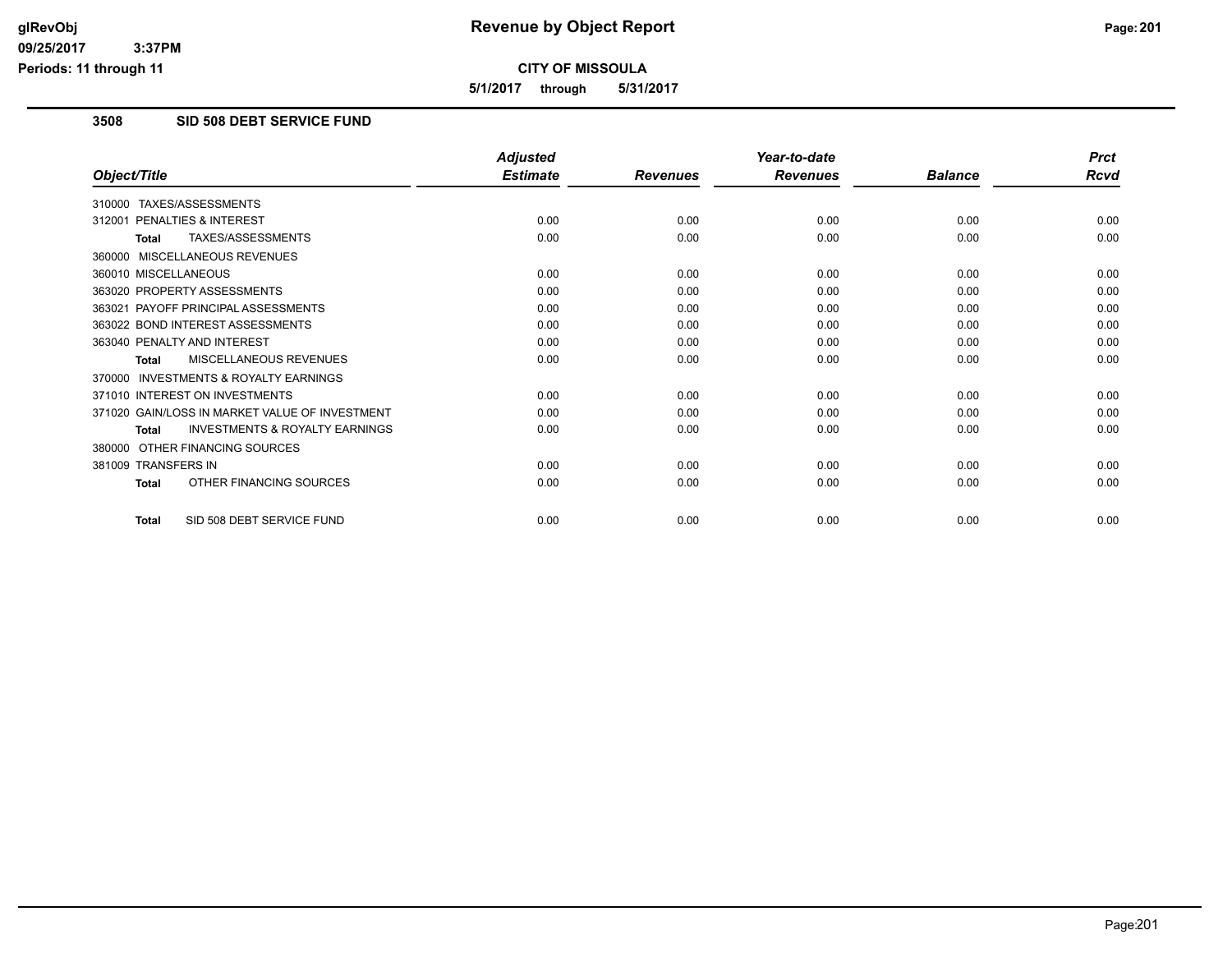**CITY OF MISSOULA**

**5/1/2017 through 5/31/2017**

# **3508 SID 508 DEBT SERVICE FUND**

 **3:37PM**

|                                                           | <b>Adjusted</b> |                 | Year-to-date    |                | <b>Prct</b> |
|-----------------------------------------------------------|-----------------|-----------------|-----------------|----------------|-------------|
| Object/Title                                              | <b>Estimate</b> | <b>Revenues</b> | <b>Revenues</b> | <b>Balance</b> | <b>Rcvd</b> |
| 310000 TAXES/ASSESSMENTS                                  |                 |                 |                 |                |             |
| PENALTIES & INTEREST<br>312001                            | 0.00            | 0.00            | 0.00            | 0.00           | 0.00        |
| TAXES/ASSESSMENTS<br><b>Total</b>                         | 0.00            | 0.00            | 0.00            | 0.00           | 0.00        |
| 360000 MISCELLANEOUS REVENUES                             |                 |                 |                 |                |             |
| 360010 MISCELLANEOUS                                      | 0.00            | 0.00            | 0.00            | 0.00           | 0.00        |
| 363020 PROPERTY ASSESSMENTS                               | 0.00            | 0.00            | 0.00            | 0.00           | 0.00        |
| 363021 PAYOFF PRINCIPAL ASSESSMENTS                       | 0.00            | 0.00            | 0.00            | 0.00           | 0.00        |
| 363022 BOND INTEREST ASSESSMENTS                          | 0.00            | 0.00            | 0.00            | 0.00           | 0.00        |
| 363040 PENALTY AND INTEREST                               | 0.00            | 0.00            | 0.00            | 0.00           | 0.00        |
| MISCELLANEOUS REVENUES<br><b>Total</b>                    | 0.00            | 0.00            | 0.00            | 0.00           | 0.00        |
| <b>INVESTMENTS &amp; ROYALTY EARNINGS</b><br>370000       |                 |                 |                 |                |             |
| 371010 INTEREST ON INVESTMENTS                            | 0.00            | 0.00            | 0.00            | 0.00           | 0.00        |
| 371020 GAIN/LOSS IN MARKET VALUE OF INVESTMENT            | 0.00            | 0.00            | 0.00            | 0.00           | 0.00        |
| <b>INVESTMENTS &amp; ROYALTY EARNINGS</b><br><b>Total</b> | 0.00            | 0.00            | 0.00            | 0.00           | 0.00        |
| OTHER FINANCING SOURCES<br>380000                         |                 |                 |                 |                |             |
| 381009 TRANSFERS IN                                       | 0.00            | 0.00            | 0.00            | 0.00           | 0.00        |
| OTHER FINANCING SOURCES<br><b>Total</b>                   | 0.00            | 0.00            | 0.00            | 0.00           | 0.00        |
| SID 508 DEBT SERVICE FUND<br><b>Total</b>                 | 0.00            | 0.00            | 0.00            | 0.00           | 0.00        |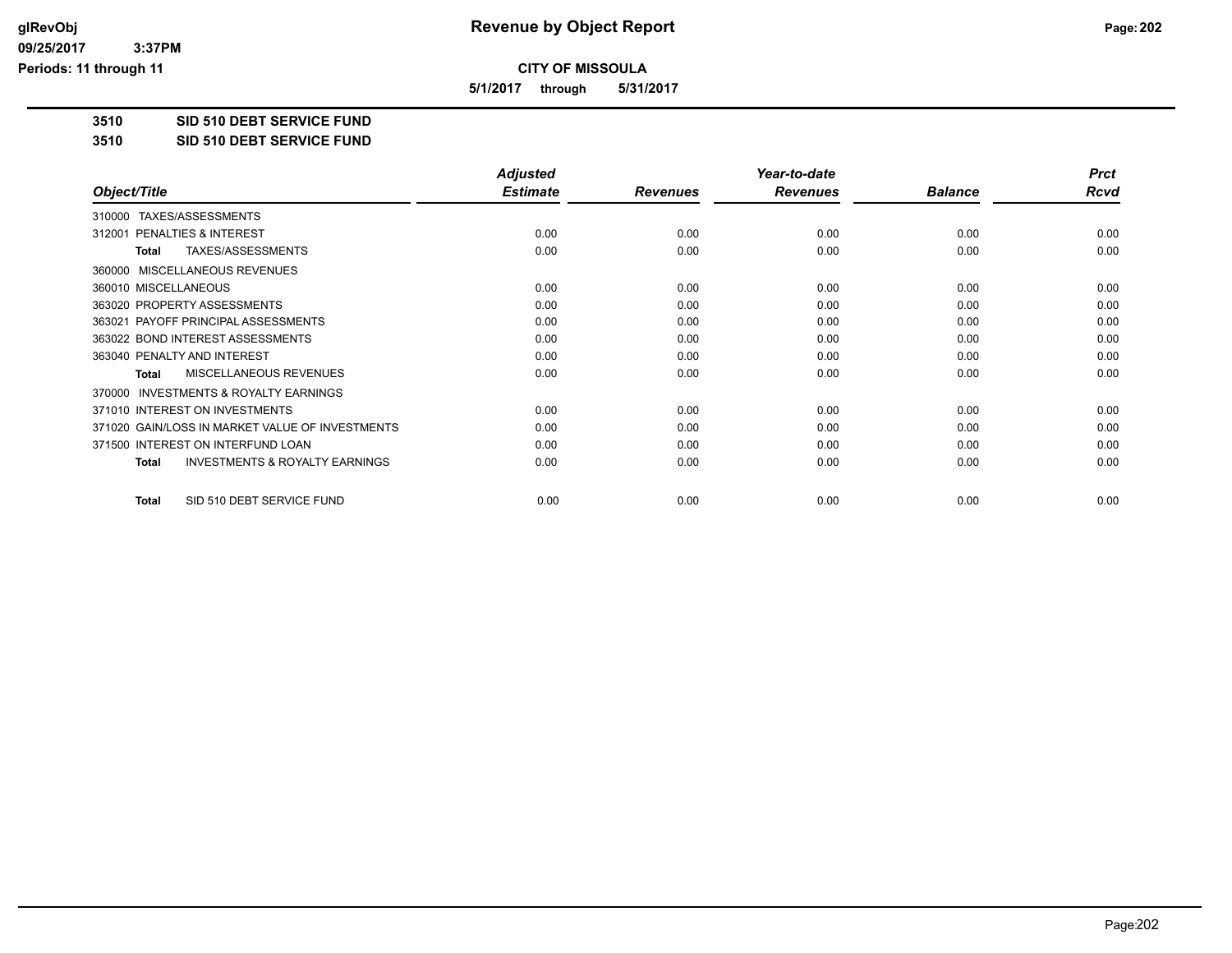**5/1/2017 through 5/31/2017**

**3510 SID 510 DEBT SERVICE FUND**

**3510 SID 510 DEBT SERVICE FUND**

|                                                           | <b>Adjusted</b> |                 | Year-to-date    |                | <b>Prct</b> |
|-----------------------------------------------------------|-----------------|-----------------|-----------------|----------------|-------------|
| Object/Title                                              | <b>Estimate</b> | <b>Revenues</b> | <b>Revenues</b> | <b>Balance</b> | <b>Rcvd</b> |
| TAXES/ASSESSMENTS<br>310000                               |                 |                 |                 |                |             |
| 312001 PENALTIES & INTEREST                               | 0.00            | 0.00            | 0.00            | 0.00           | 0.00        |
| TAXES/ASSESSMENTS<br><b>Total</b>                         | 0.00            | 0.00            | 0.00            | 0.00           | 0.00        |
| MISCELLANEOUS REVENUES<br>360000                          |                 |                 |                 |                |             |
| 360010 MISCELLANEOUS                                      | 0.00            | 0.00            | 0.00            | 0.00           | 0.00        |
| 363020 PROPERTY ASSESSMENTS                               | 0.00            | 0.00            | 0.00            | 0.00           | 0.00        |
| 363021 PAYOFF PRINCIPAL ASSESSMENTS                       | 0.00            | 0.00            | 0.00            | 0.00           | 0.00        |
| 363022 BOND INTEREST ASSESSMENTS                          | 0.00            | 0.00            | 0.00            | 0.00           | 0.00        |
| 363040 PENALTY AND INTEREST                               | 0.00            | 0.00            | 0.00            | 0.00           | 0.00        |
| <b>MISCELLANEOUS REVENUES</b><br>Total                    | 0.00            | 0.00            | 0.00            | 0.00           | 0.00        |
| <b>INVESTMENTS &amp; ROYALTY EARNINGS</b><br>370000       |                 |                 |                 |                |             |
| 371010 INTEREST ON INVESTMENTS                            | 0.00            | 0.00            | 0.00            | 0.00           | 0.00        |
| 371020 GAIN/LOSS IN MARKET VALUE OF INVESTMENTS           | 0.00            | 0.00            | 0.00            | 0.00           | 0.00        |
| 371500 INTEREST ON INTERFUND LOAN                         | 0.00            | 0.00            | 0.00            | 0.00           | 0.00        |
| <b>INVESTMENTS &amp; ROYALTY EARNINGS</b><br><b>Total</b> | 0.00            | 0.00            | 0.00            | 0.00           | 0.00        |
| SID 510 DEBT SERVICE FUND<br><b>Total</b>                 | 0.00            | 0.00            | 0.00            | 0.00           | 0.00        |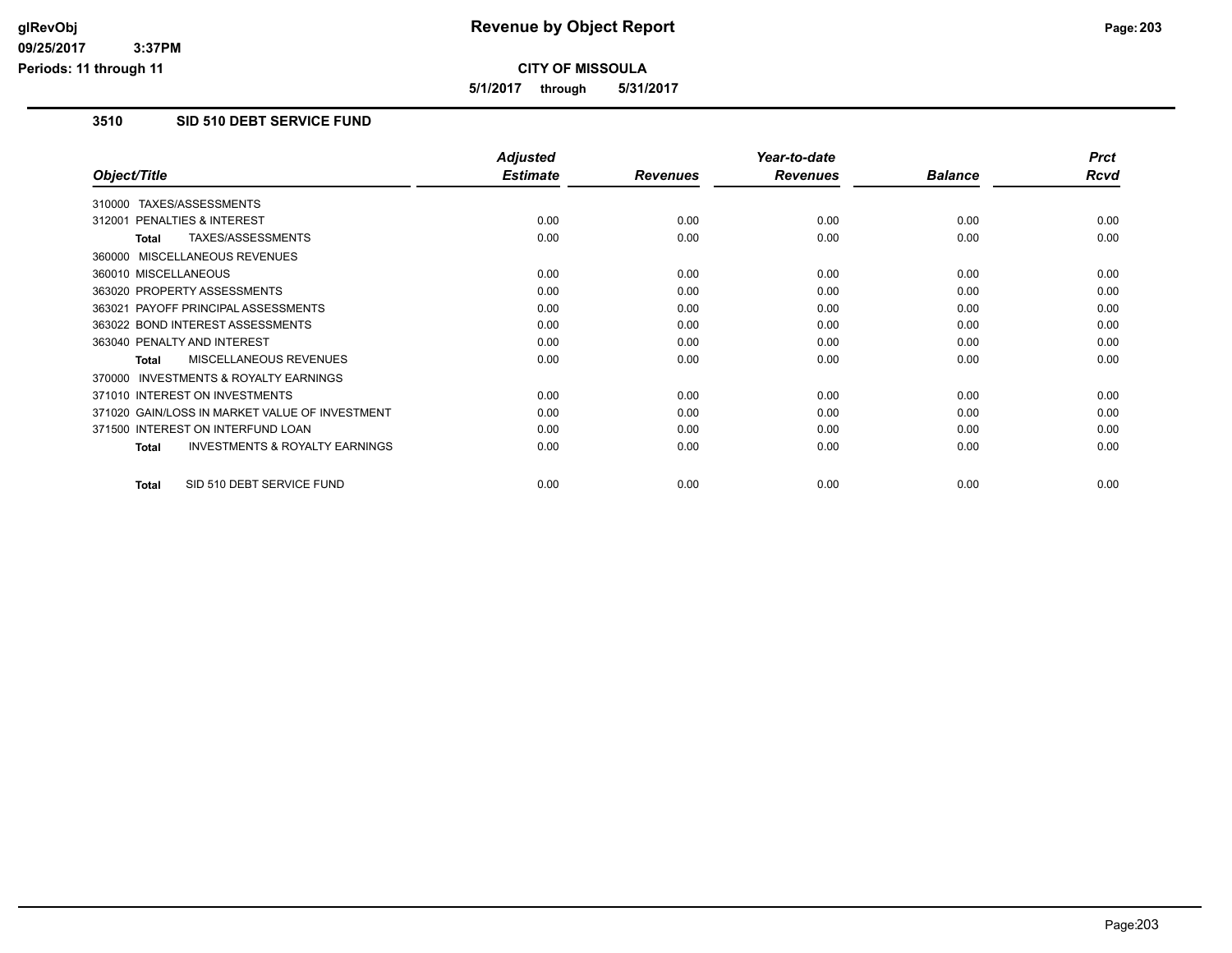**CITY OF MISSOULA**

**5/1/2017 through 5/31/2017**

# **3510 SID 510 DEBT SERVICE FUND**

|                                                           | <b>Adjusted</b> |                 | Year-to-date    |                | <b>Prct</b> |
|-----------------------------------------------------------|-----------------|-----------------|-----------------|----------------|-------------|
| Object/Title                                              | <b>Estimate</b> | <b>Revenues</b> | <b>Revenues</b> | <b>Balance</b> | <b>Rcvd</b> |
| TAXES/ASSESSMENTS<br>310000                               |                 |                 |                 |                |             |
| 312001 PENALTIES & INTEREST                               | 0.00            | 0.00            | 0.00            | 0.00           | 0.00        |
| TAXES/ASSESSMENTS<br><b>Total</b>                         | 0.00            | 0.00            | 0.00            | 0.00           | 0.00        |
| 360000 MISCELLANEOUS REVENUES                             |                 |                 |                 |                |             |
| 360010 MISCELLANEOUS                                      | 0.00            | 0.00            | 0.00            | 0.00           | 0.00        |
| 363020 PROPERTY ASSESSMENTS                               | 0.00            | 0.00            | 0.00            | 0.00           | 0.00        |
| 363021 PAYOFF PRINCIPAL ASSESSMENTS                       | 0.00            | 0.00            | 0.00            | 0.00           | 0.00        |
| 363022 BOND INTEREST ASSESSMENTS                          | 0.00            | 0.00            | 0.00            | 0.00           | 0.00        |
| 363040 PENALTY AND INTEREST                               | 0.00            | 0.00            | 0.00            | 0.00           | 0.00        |
| MISCELLANEOUS REVENUES<br><b>Total</b>                    | 0.00            | 0.00            | 0.00            | 0.00           | 0.00        |
| 370000 INVESTMENTS & ROYALTY EARNINGS                     |                 |                 |                 |                |             |
| 371010 INTEREST ON INVESTMENTS                            | 0.00            | 0.00            | 0.00            | 0.00           | 0.00        |
| 371020 GAIN/LOSS IN MARKET VALUE OF INVESTMENT            | 0.00            | 0.00            | 0.00            | 0.00           | 0.00        |
| 371500 INTEREST ON INTERFUND LOAN                         | 0.00            | 0.00            | 0.00            | 0.00           | 0.00        |
| <b>INVESTMENTS &amp; ROYALTY EARNINGS</b><br><b>Total</b> | 0.00            | 0.00            | 0.00            | 0.00           | 0.00        |
| SID 510 DEBT SERVICE FUND<br><b>Total</b>                 | 0.00            | 0.00            | 0.00            | 0.00           | 0.00        |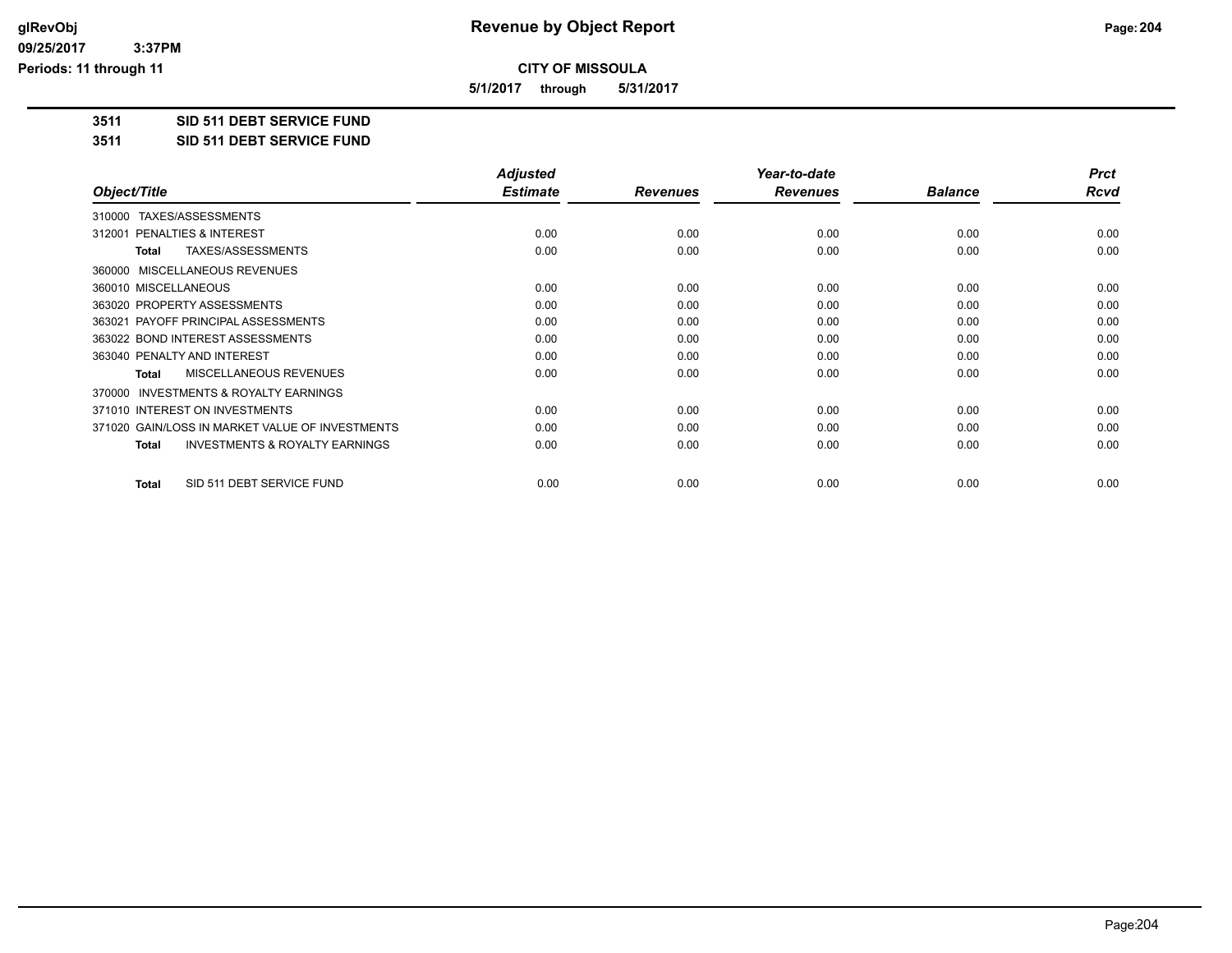**5/1/2017 through 5/31/2017**

**3511 SID 511 DEBT SERVICE FUND**

**3511 SID 511 DEBT SERVICE FUND**

|                                                           | <b>Adjusted</b> |                 | Year-to-date    |                | <b>Prct</b> |
|-----------------------------------------------------------|-----------------|-----------------|-----------------|----------------|-------------|
| Object/Title                                              | <b>Estimate</b> | <b>Revenues</b> | <b>Revenues</b> | <b>Balance</b> | Rcvd        |
| 310000 TAXES/ASSESSMENTS                                  |                 |                 |                 |                |             |
| 312001 PENALTIES & INTEREST                               | 0.00            | 0.00            | 0.00            | 0.00           | 0.00        |
| TAXES/ASSESSMENTS<br>Total                                | 0.00            | 0.00            | 0.00            | 0.00           | 0.00        |
| 360000 MISCELLANEOUS REVENUES                             |                 |                 |                 |                |             |
| 360010 MISCELLANEOUS                                      | 0.00            | 0.00            | 0.00            | 0.00           | 0.00        |
| 363020 PROPERTY ASSESSMENTS                               | 0.00            | 0.00            | 0.00            | 0.00           | 0.00        |
| 363021 PAYOFF PRINCIPAL ASSESSMENTS                       | 0.00            | 0.00            | 0.00            | 0.00           | 0.00        |
| 363022 BOND INTEREST ASSESSMENTS                          | 0.00            | 0.00            | 0.00            | 0.00           | 0.00        |
| 363040 PENALTY AND INTEREST                               | 0.00            | 0.00            | 0.00            | 0.00           | 0.00        |
| MISCELLANEOUS REVENUES<br><b>Total</b>                    | 0.00            | 0.00            | 0.00            | 0.00           | 0.00        |
| 370000 INVESTMENTS & ROYALTY EARNINGS                     |                 |                 |                 |                |             |
| 371010 INTEREST ON INVESTMENTS                            | 0.00            | 0.00            | 0.00            | 0.00           | 0.00        |
| 371020 GAIN/LOSS IN MARKET VALUE OF INVESTMENTS           | 0.00            | 0.00            | 0.00            | 0.00           | 0.00        |
| <b>INVESTMENTS &amp; ROYALTY EARNINGS</b><br><b>Total</b> | 0.00            | 0.00            | 0.00            | 0.00           | 0.00        |
| SID 511 DEBT SERVICE FUND<br><b>Total</b>                 | 0.00            | 0.00            | 0.00            | 0.00           | 0.00        |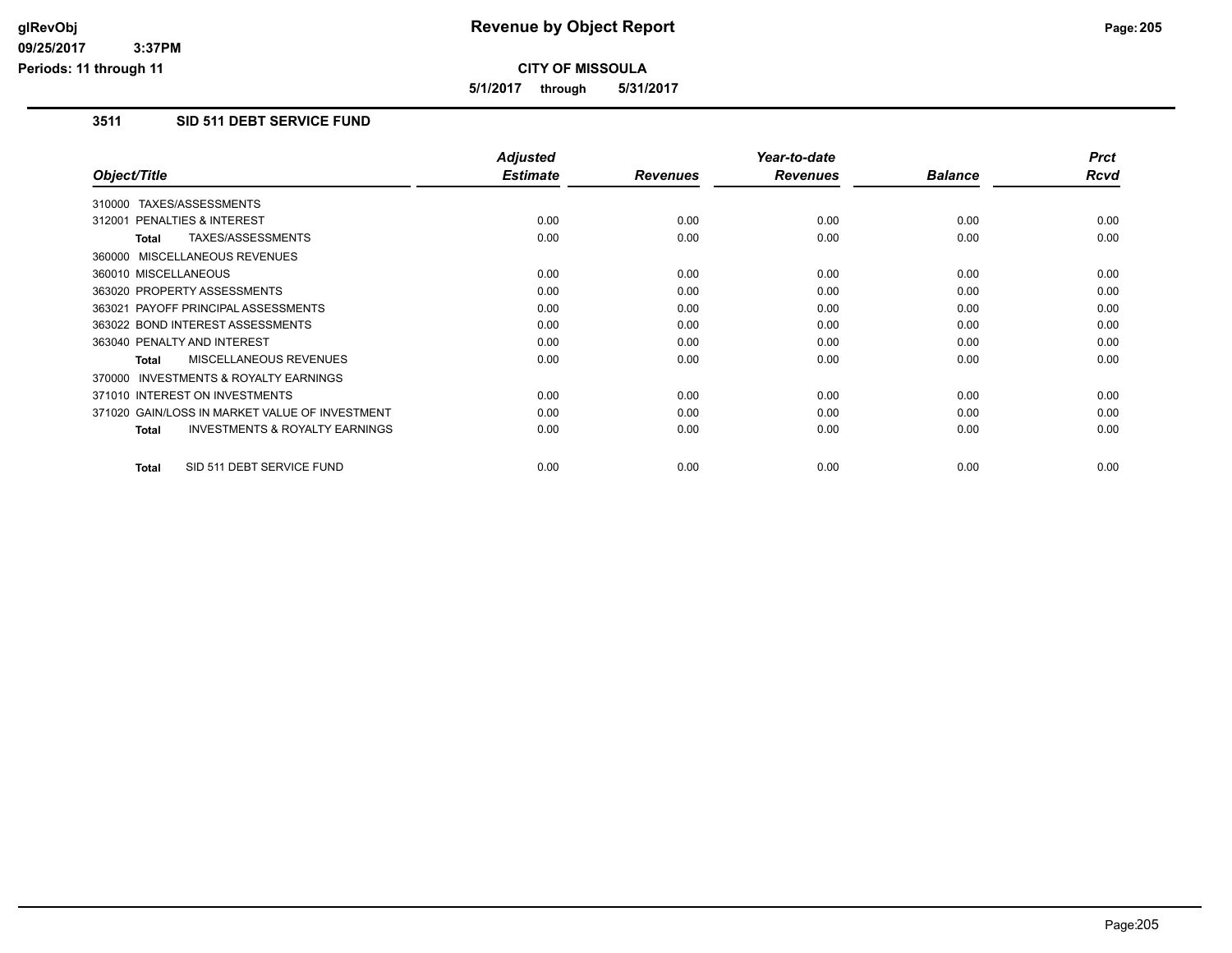**5/1/2017 through 5/31/2017**

# **3511 SID 511 DEBT SERVICE FUND**

|                                                           | <b>Adjusted</b> |                 | Year-to-date    |                | <b>Prct</b> |
|-----------------------------------------------------------|-----------------|-----------------|-----------------|----------------|-------------|
| Object/Title                                              | <b>Estimate</b> | <b>Revenues</b> | <b>Revenues</b> | <b>Balance</b> | <b>Rcvd</b> |
| TAXES/ASSESSMENTS<br>310000                               |                 |                 |                 |                |             |
| 312001 PENALTIES & INTEREST                               | 0.00            | 0.00            | 0.00            | 0.00           | 0.00        |
| TAXES/ASSESSMENTS<br><b>Total</b>                         | 0.00            | 0.00            | 0.00            | 0.00           | 0.00        |
| 360000 MISCELLANEOUS REVENUES                             |                 |                 |                 |                |             |
| 360010 MISCELLANEOUS                                      | 0.00            | 0.00            | 0.00            | 0.00           | 0.00        |
| 363020 PROPERTY ASSESSMENTS                               | 0.00            | 0.00            | 0.00            | 0.00           | 0.00        |
| 363021 PAYOFF PRINCIPAL ASSESSMENTS                       | 0.00            | 0.00            | 0.00            | 0.00           | 0.00        |
| 363022 BOND INTEREST ASSESSMENTS                          | 0.00            | 0.00            | 0.00            | 0.00           | 0.00        |
| 363040 PENALTY AND INTEREST                               | 0.00            | 0.00            | 0.00            | 0.00           | 0.00        |
| <b>MISCELLANEOUS REVENUES</b><br><b>Total</b>             | 0.00            | 0.00            | 0.00            | 0.00           | 0.00        |
| 370000 INVESTMENTS & ROYALTY EARNINGS                     |                 |                 |                 |                |             |
| 371010 INTEREST ON INVESTMENTS                            | 0.00            | 0.00            | 0.00            | 0.00           | 0.00        |
| 371020 GAIN/LOSS IN MARKET VALUE OF INVESTMENT            | 0.00            | 0.00            | 0.00            | 0.00           | 0.00        |
| <b>INVESTMENTS &amp; ROYALTY EARNINGS</b><br><b>Total</b> | 0.00            | 0.00            | 0.00            | 0.00           | 0.00        |
| SID 511 DEBT SERVICE FUND<br><b>Total</b>                 | 0.00            | 0.00            | 0.00            | 0.00           | 0.00        |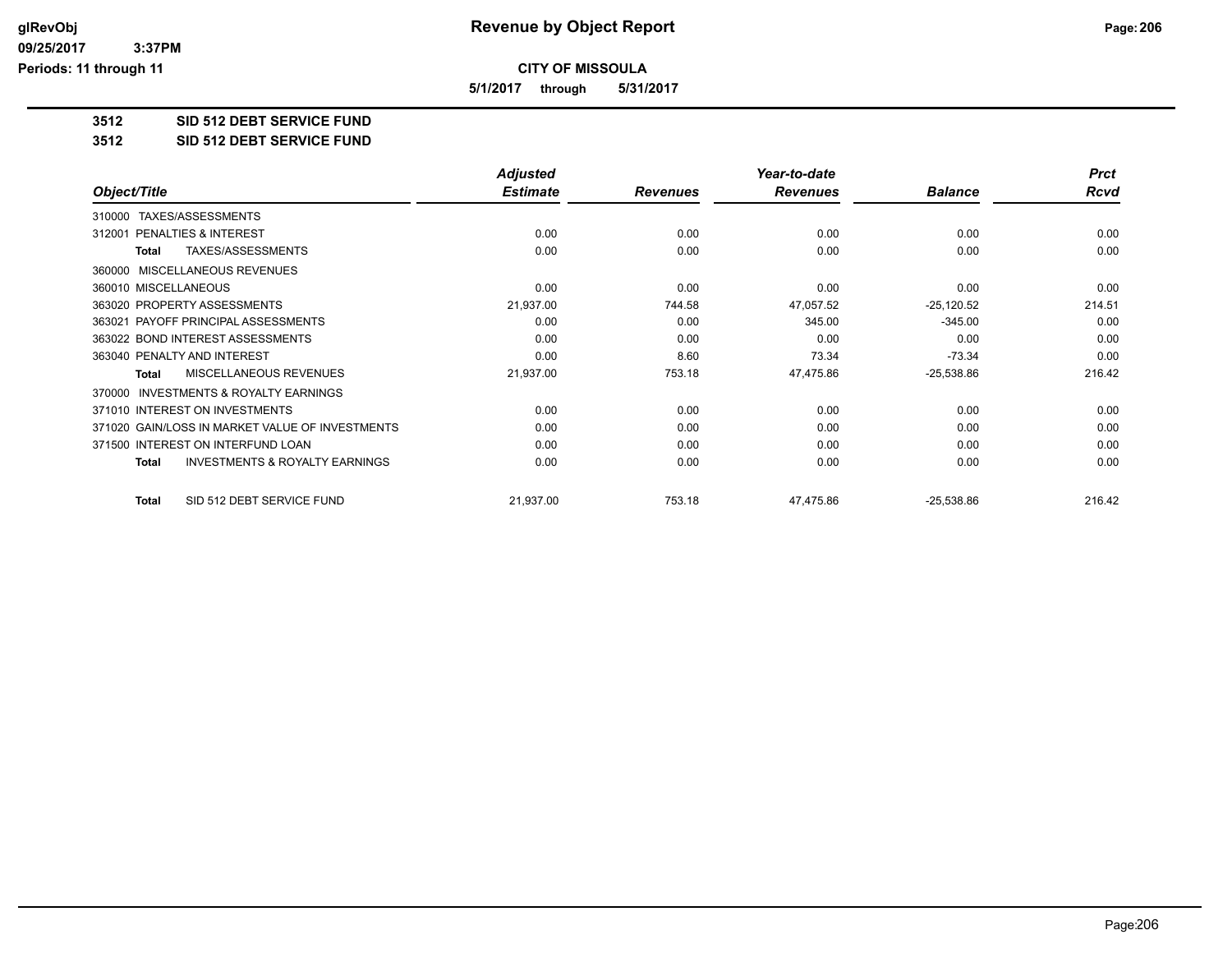**5/1/2017 through 5/31/2017**

**3512 SID 512 DEBT SERVICE FUND**

**3512 SID 512 DEBT SERVICE FUND**

|                                                           | <b>Adjusted</b> |                 | Year-to-date    |                | <b>Prct</b> |
|-----------------------------------------------------------|-----------------|-----------------|-----------------|----------------|-------------|
| Object/Title                                              | <b>Estimate</b> | <b>Revenues</b> | <b>Revenues</b> | <b>Balance</b> | <b>Rcvd</b> |
| TAXES/ASSESSMENTS<br>310000                               |                 |                 |                 |                |             |
| PENALTIES & INTEREST<br>312001                            | 0.00            | 0.00            | 0.00            | 0.00           | 0.00        |
| TAXES/ASSESSMENTS<br>Total                                | 0.00            | 0.00            | 0.00            | 0.00           | 0.00        |
| MISCELLANEOUS REVENUES<br>360000                          |                 |                 |                 |                |             |
| 360010 MISCELLANEOUS                                      | 0.00            | 0.00            | 0.00            | 0.00           | 0.00        |
| 363020 PROPERTY ASSESSMENTS                               | 21,937.00       | 744.58          | 47,057.52       | $-25,120.52$   | 214.51      |
| 363021 PAYOFF PRINCIPAL ASSESSMENTS                       | 0.00            | 0.00            | 345.00          | $-345.00$      | 0.00        |
| 363022 BOND INTEREST ASSESSMENTS                          | 0.00            | 0.00            | 0.00            | 0.00           | 0.00        |
| 363040 PENALTY AND INTEREST                               | 0.00            | 8.60            | 73.34           | $-73.34$       | 0.00        |
| <b>MISCELLANEOUS REVENUES</b><br><b>Total</b>             | 21,937.00       | 753.18          | 47,475.86       | $-25,538.86$   | 216.42      |
| <b>INVESTMENTS &amp; ROYALTY EARNINGS</b><br>370000       |                 |                 |                 |                |             |
| 371010 INTEREST ON INVESTMENTS                            | 0.00            | 0.00            | 0.00            | 0.00           | 0.00        |
| 371020 GAIN/LOSS IN MARKET VALUE OF INVESTMENTS           | 0.00            | 0.00            | 0.00            | 0.00           | 0.00        |
| 371500 INTEREST ON INTERFUND LOAN                         | 0.00            | 0.00            | 0.00            | 0.00           | 0.00        |
| <b>INVESTMENTS &amp; ROYALTY EARNINGS</b><br><b>Total</b> | 0.00            | 0.00            | 0.00            | 0.00           | 0.00        |
| SID 512 DEBT SERVICE FUND<br><b>Total</b>                 | 21,937.00       | 753.18          | 47,475.86       | $-25,538.86$   | 216.42      |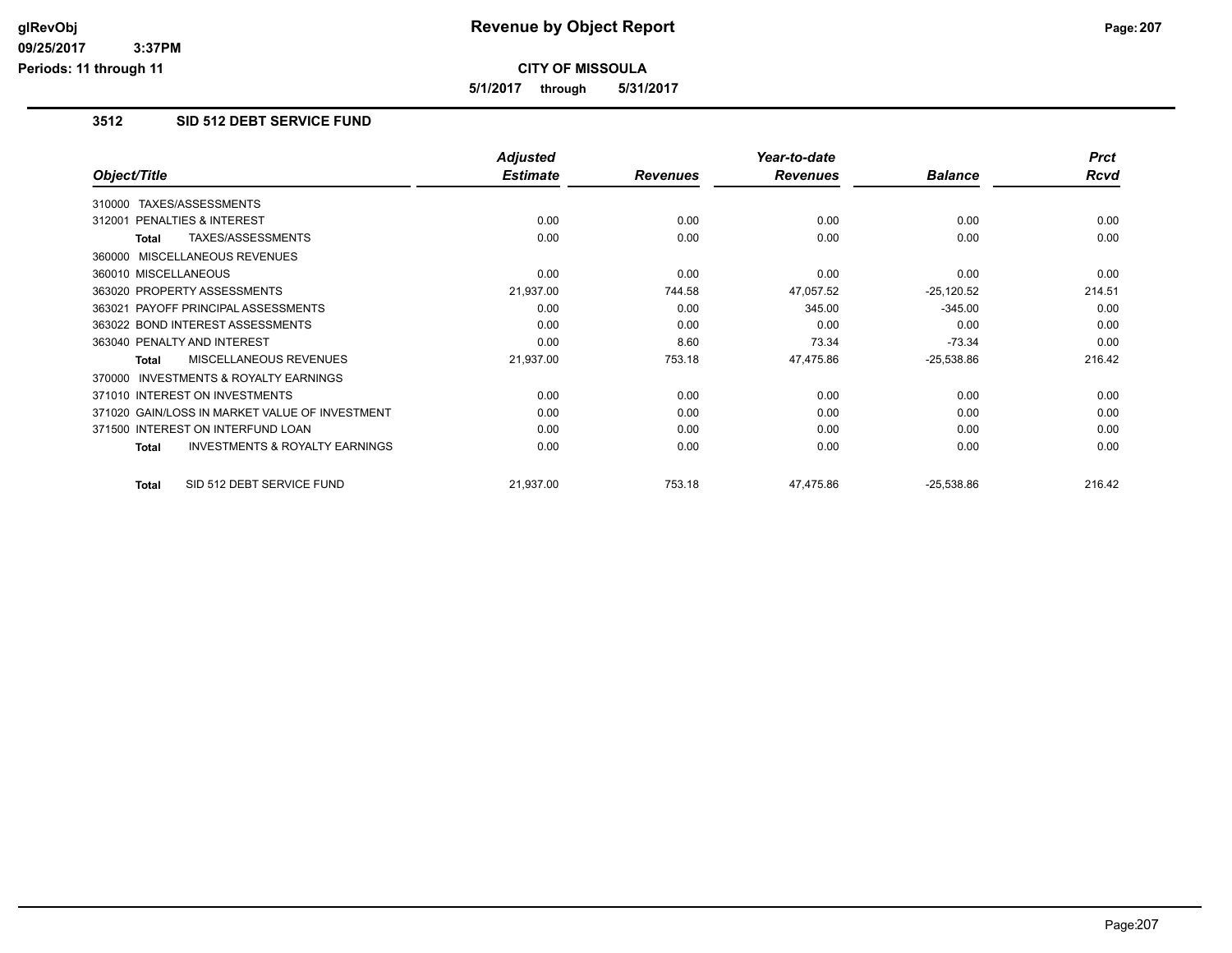**5/1/2017 through 5/31/2017**

# **3512 SID 512 DEBT SERVICE FUND**

|                                                           | <b>Adjusted</b> |                 | Year-to-date    |                | <b>Prct</b> |
|-----------------------------------------------------------|-----------------|-----------------|-----------------|----------------|-------------|
| Object/Title                                              | <b>Estimate</b> | <b>Revenues</b> | <b>Revenues</b> | <b>Balance</b> | <b>Rcvd</b> |
| TAXES/ASSESSMENTS<br>310000                               |                 |                 |                 |                |             |
| PENALTIES & INTEREST<br>312001                            | 0.00            | 0.00            | 0.00            | 0.00           | 0.00        |
| TAXES/ASSESSMENTS<br><b>Total</b>                         | 0.00            | 0.00            | 0.00            | 0.00           | 0.00        |
| 360000 MISCELLANEOUS REVENUES                             |                 |                 |                 |                |             |
| 360010 MISCELLANEOUS                                      | 0.00            | 0.00            | 0.00            | 0.00           | 0.00        |
| 363020 PROPERTY ASSESSMENTS                               | 21,937.00       | 744.58          | 47,057.52       | $-25,120.52$   | 214.51      |
| 363021 PAYOFF PRINCIPAL ASSESSMENTS                       | 0.00            | 0.00            | 345.00          | $-345.00$      | 0.00        |
| 363022 BOND INTEREST ASSESSMENTS                          | 0.00            | 0.00            | 0.00            | 0.00           | 0.00        |
| 363040 PENALTY AND INTEREST                               | 0.00            | 8.60            | 73.34           | $-73.34$       | 0.00        |
| <b>MISCELLANEOUS REVENUES</b><br><b>Total</b>             | 21,937.00       | 753.18          | 47,475.86       | $-25,538.86$   | 216.42      |
| <b>INVESTMENTS &amp; ROYALTY EARNINGS</b><br>370000       |                 |                 |                 |                |             |
| 371010 INTEREST ON INVESTMENTS                            | 0.00            | 0.00            | 0.00            | 0.00           | 0.00        |
| 371020 GAIN/LOSS IN MARKET VALUE OF INVESTMENT            | 0.00            | 0.00            | 0.00            | 0.00           | 0.00        |
| 371500 INTEREST ON INTERFUND LOAN                         | 0.00            | 0.00            | 0.00            | 0.00           | 0.00        |
| <b>INVESTMENTS &amp; ROYALTY EARNINGS</b><br><b>Total</b> | 0.00            | 0.00            | 0.00            | 0.00           | 0.00        |
| SID 512 DEBT SERVICE FUND<br><b>Total</b>                 | 21,937.00       | 753.18          | 47,475.86       | $-25,538.86$   | 216.42      |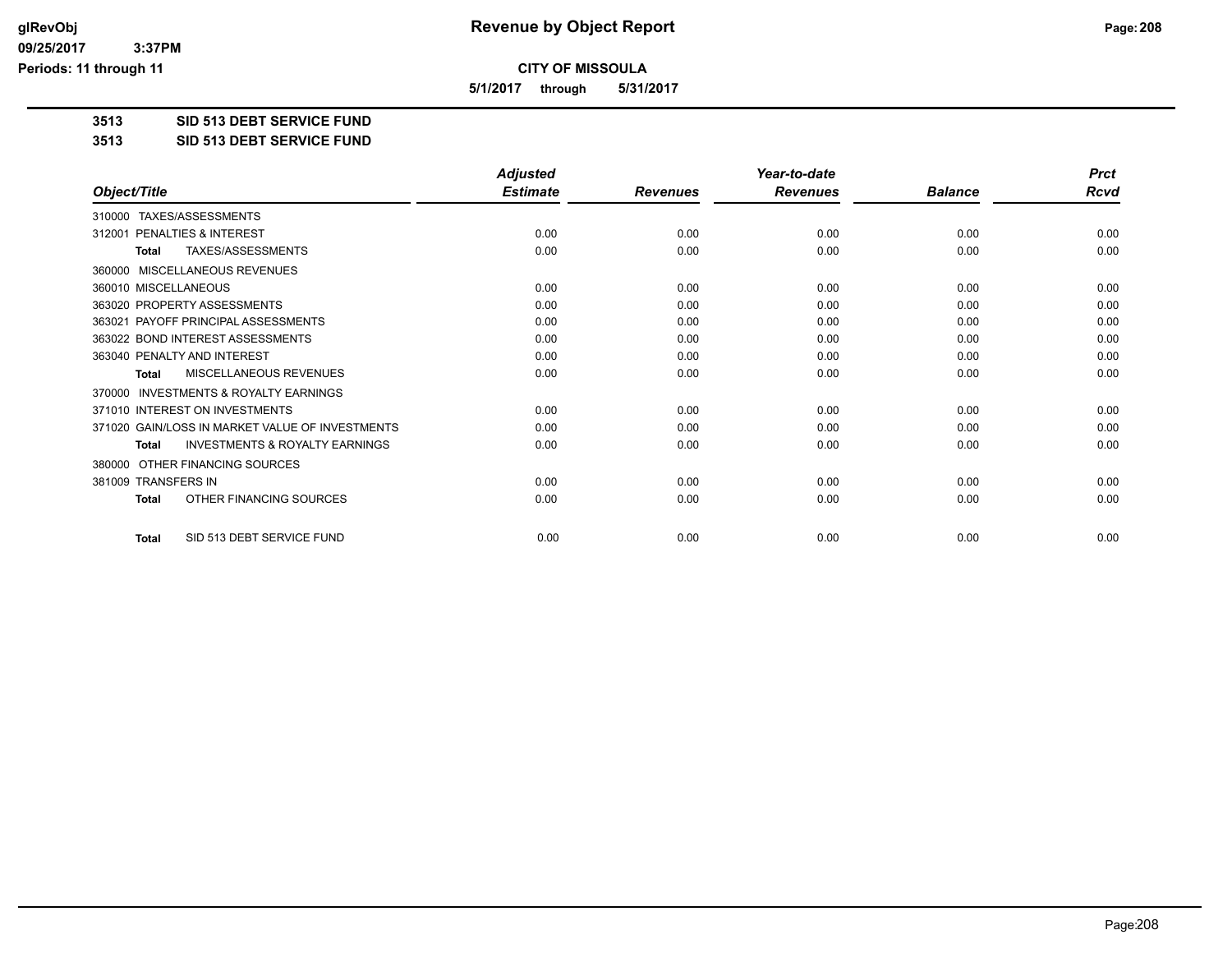**5/1/2017 through 5/31/2017**

**3513 SID 513 DEBT SERVICE FUND**

**3513 SID 513 DEBT SERVICE FUND**

|                                                           | <b>Adjusted</b> |                 | Year-to-date    |                | <b>Prct</b> |
|-----------------------------------------------------------|-----------------|-----------------|-----------------|----------------|-------------|
| Object/Title                                              | <b>Estimate</b> | <b>Revenues</b> | <b>Revenues</b> | <b>Balance</b> | <b>Rcvd</b> |
| TAXES/ASSESSMENTS<br>310000                               |                 |                 |                 |                |             |
| PENALTIES & INTEREST<br>312001                            | 0.00            | 0.00            | 0.00            | 0.00           | 0.00        |
| <b>TAXES/ASSESSMENTS</b><br><b>Total</b>                  | 0.00            | 0.00            | 0.00            | 0.00           | 0.00        |
| <b>MISCELLANEOUS REVENUES</b><br>360000                   |                 |                 |                 |                |             |
| 360010 MISCELLANEOUS                                      | 0.00            | 0.00            | 0.00            | 0.00           | 0.00        |
| 363020 PROPERTY ASSESSMENTS                               | 0.00            | 0.00            | 0.00            | 0.00           | 0.00        |
| 363021 PAYOFF PRINCIPAL ASSESSMENTS                       | 0.00            | 0.00            | 0.00            | 0.00           | 0.00        |
| 363022 BOND INTEREST ASSESSMENTS                          | 0.00            | 0.00            | 0.00            | 0.00           | 0.00        |
| 363040 PENALTY AND INTEREST                               | 0.00            | 0.00            | 0.00            | 0.00           | 0.00        |
| <b>MISCELLANEOUS REVENUES</b><br><b>Total</b>             | 0.00            | 0.00            | 0.00            | 0.00           | 0.00        |
| <b>INVESTMENTS &amp; ROYALTY EARNINGS</b><br>370000       |                 |                 |                 |                |             |
| 371010 INTEREST ON INVESTMENTS                            | 0.00            | 0.00            | 0.00            | 0.00           | 0.00        |
| 371020 GAIN/LOSS IN MARKET VALUE OF INVESTMENTS           | 0.00            | 0.00            | 0.00            | 0.00           | 0.00        |
| <b>INVESTMENTS &amp; ROYALTY EARNINGS</b><br><b>Total</b> | 0.00            | 0.00            | 0.00            | 0.00           | 0.00        |
| OTHER FINANCING SOURCES<br>380000                         |                 |                 |                 |                |             |
| 381009 TRANSFERS IN                                       | 0.00            | 0.00            | 0.00            | 0.00           | 0.00        |
| OTHER FINANCING SOURCES<br><b>Total</b>                   | 0.00            | 0.00            | 0.00            | 0.00           | 0.00        |
| SID 513 DEBT SERVICE FUND<br><b>Total</b>                 | 0.00            | 0.00            | 0.00            | 0.00           | 0.00        |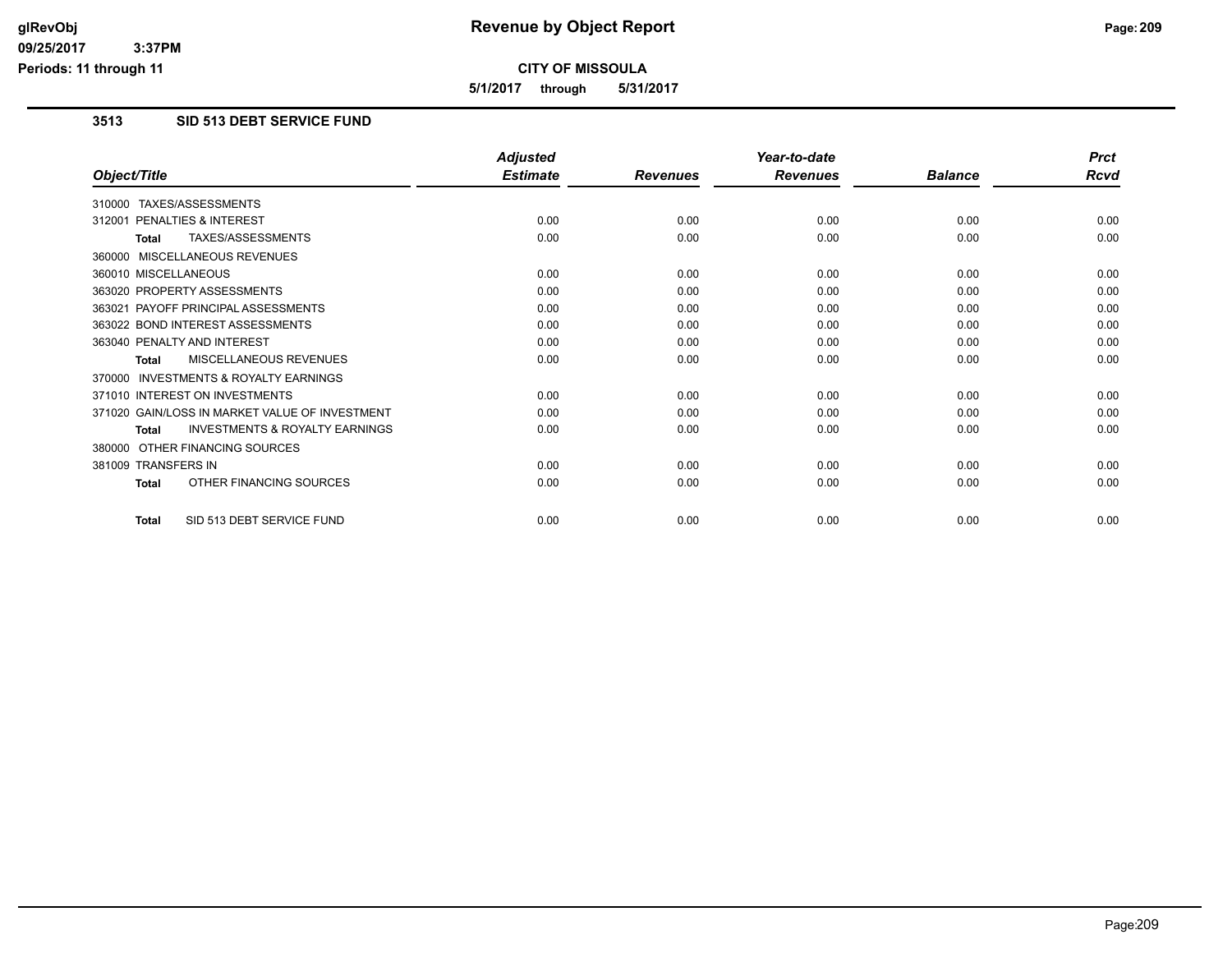**5/1/2017 through 5/31/2017**

# **3513 SID 513 DEBT SERVICE FUND**

|                                                           | <b>Adjusted</b> |                 | Year-to-date    |                | <b>Prct</b> |
|-----------------------------------------------------------|-----------------|-----------------|-----------------|----------------|-------------|
| Object/Title                                              | <b>Estimate</b> | <b>Revenues</b> | <b>Revenues</b> | <b>Balance</b> | <b>Rcvd</b> |
| 310000 TAXES/ASSESSMENTS                                  |                 |                 |                 |                |             |
| PENALTIES & INTEREST<br>312001                            | 0.00            | 0.00            | 0.00            | 0.00           | 0.00        |
| TAXES/ASSESSMENTS<br><b>Total</b>                         | 0.00            | 0.00            | 0.00            | 0.00           | 0.00        |
| 360000 MISCELLANEOUS REVENUES                             |                 |                 |                 |                |             |
| 360010 MISCELLANEOUS                                      | 0.00            | 0.00            | 0.00            | 0.00           | 0.00        |
| 363020 PROPERTY ASSESSMENTS                               | 0.00            | 0.00            | 0.00            | 0.00           | 0.00        |
| 363021 PAYOFF PRINCIPAL ASSESSMENTS                       | 0.00            | 0.00            | 0.00            | 0.00           | 0.00        |
| 363022 BOND INTEREST ASSESSMENTS                          | 0.00            | 0.00            | 0.00            | 0.00           | 0.00        |
| 363040 PENALTY AND INTEREST                               | 0.00            | 0.00            | 0.00            | 0.00           | 0.00        |
| <b>MISCELLANEOUS REVENUES</b><br><b>Total</b>             | 0.00            | 0.00            | 0.00            | 0.00           | 0.00        |
| 370000 INVESTMENTS & ROYALTY EARNINGS                     |                 |                 |                 |                |             |
| 371010 INTEREST ON INVESTMENTS                            | 0.00            | 0.00            | 0.00            | 0.00           | 0.00        |
| 371020 GAIN/LOSS IN MARKET VALUE OF INVESTMENT            | 0.00            | 0.00            | 0.00            | 0.00           | 0.00        |
| <b>INVESTMENTS &amp; ROYALTY EARNINGS</b><br><b>Total</b> | 0.00            | 0.00            | 0.00            | 0.00           | 0.00        |
| 380000 OTHER FINANCING SOURCES                            |                 |                 |                 |                |             |
| 381009 TRANSFERS IN                                       | 0.00            | 0.00            | 0.00            | 0.00           | 0.00        |
| OTHER FINANCING SOURCES<br>Total                          | 0.00            | 0.00            | 0.00            | 0.00           | 0.00        |
| SID 513 DEBT SERVICE FUND<br><b>Total</b>                 | 0.00            | 0.00            | 0.00            | 0.00           | 0.00        |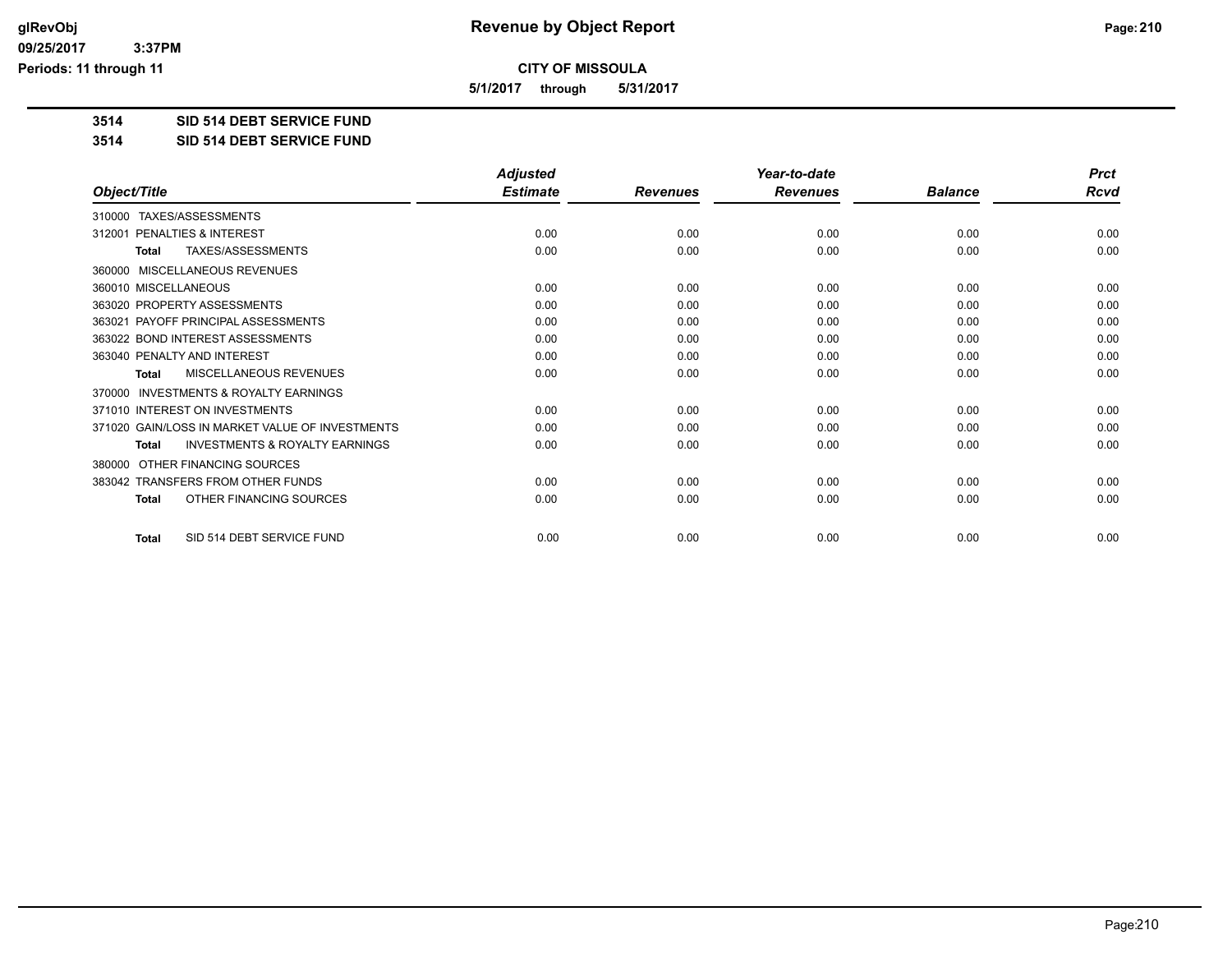**5/1/2017 through 5/31/2017**

**3514 SID 514 DEBT SERVICE FUND**

**3514 SID 514 DEBT SERVICE FUND**

|                                                           | <b>Adjusted</b> |                 | Year-to-date    |                | <b>Prct</b> |
|-----------------------------------------------------------|-----------------|-----------------|-----------------|----------------|-------------|
| Object/Title                                              | <b>Estimate</b> | <b>Revenues</b> | <b>Revenues</b> | <b>Balance</b> | <b>Rcvd</b> |
| TAXES/ASSESSMENTS<br>310000                               |                 |                 |                 |                |             |
| PENALTIES & INTEREST<br>312001                            | 0.00            | 0.00            | 0.00            | 0.00           | 0.00        |
| TAXES/ASSESSMENTS<br>Total                                | 0.00            | 0.00            | 0.00            | 0.00           | 0.00        |
| MISCELLANEOUS REVENUES<br>360000                          |                 |                 |                 |                |             |
| 360010 MISCELLANEOUS                                      | 0.00            | 0.00            | 0.00            | 0.00           | 0.00        |
| 363020 PROPERTY ASSESSMENTS                               | 0.00            | 0.00            | 0.00            | 0.00           | 0.00        |
| 363021 PAYOFF PRINCIPAL ASSESSMENTS                       | 0.00            | 0.00            | 0.00            | 0.00           | 0.00        |
| 363022 BOND INTEREST ASSESSMENTS                          | 0.00            | 0.00            | 0.00            | 0.00           | 0.00        |
| 363040 PENALTY AND INTEREST                               | 0.00            | 0.00            | 0.00            | 0.00           | 0.00        |
| MISCELLANEOUS REVENUES<br><b>Total</b>                    | 0.00            | 0.00            | 0.00            | 0.00           | 0.00        |
| INVESTMENTS & ROYALTY EARNINGS<br>370000                  |                 |                 |                 |                |             |
| 371010 INTEREST ON INVESTMENTS                            | 0.00            | 0.00            | 0.00            | 0.00           | 0.00        |
| 371020 GAIN/LOSS IN MARKET VALUE OF INVESTMENTS           | 0.00            | 0.00            | 0.00            | 0.00           | 0.00        |
| <b>INVESTMENTS &amp; ROYALTY EARNINGS</b><br><b>Total</b> | 0.00            | 0.00            | 0.00            | 0.00           | 0.00        |
| OTHER FINANCING SOURCES<br>380000                         |                 |                 |                 |                |             |
| 383042 TRANSFERS FROM OTHER FUNDS                         | 0.00            | 0.00            | 0.00            | 0.00           | 0.00        |
| OTHER FINANCING SOURCES<br><b>Total</b>                   | 0.00            | 0.00            | 0.00            | 0.00           | 0.00        |
| SID 514 DEBT SERVICE FUND<br><b>Total</b>                 | 0.00            | 0.00            | 0.00            | 0.00           | 0.00        |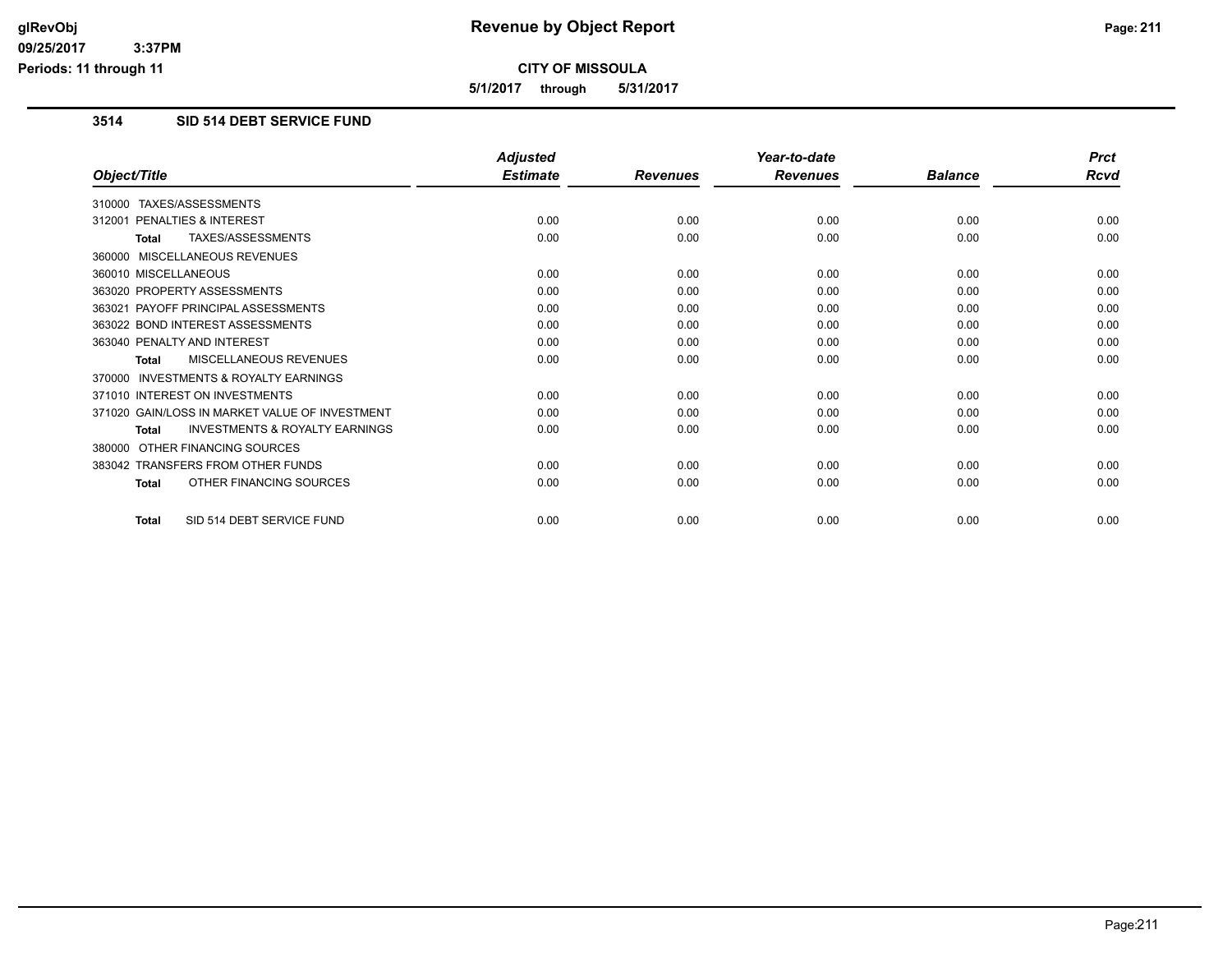**CITY OF MISSOULA**

**5/1/2017 through 5/31/2017**

# **3514 SID 514 DEBT SERVICE FUND**

|                                                           | <b>Adjusted</b> |                 | Year-to-date    |                | <b>Prct</b> |
|-----------------------------------------------------------|-----------------|-----------------|-----------------|----------------|-------------|
| Object/Title                                              | <b>Estimate</b> | <b>Revenues</b> | <b>Revenues</b> | <b>Balance</b> | <b>Rcvd</b> |
| 310000 TAXES/ASSESSMENTS                                  |                 |                 |                 |                |             |
| PENALTIES & INTEREST<br>312001                            | 0.00            | 0.00            | 0.00            | 0.00           | 0.00        |
| TAXES/ASSESSMENTS<br><b>Total</b>                         | 0.00            | 0.00            | 0.00            | 0.00           | 0.00        |
| 360000 MISCELLANEOUS REVENUES                             |                 |                 |                 |                |             |
| 360010 MISCELLANEOUS                                      | 0.00            | 0.00            | 0.00            | 0.00           | 0.00        |
| 363020 PROPERTY ASSESSMENTS                               | 0.00            | 0.00            | 0.00            | 0.00           | 0.00        |
| 363021 PAYOFF PRINCIPAL ASSESSMENTS                       | 0.00            | 0.00            | 0.00            | 0.00           | 0.00        |
| 363022 BOND INTEREST ASSESSMENTS                          | 0.00            | 0.00            | 0.00            | 0.00           | 0.00        |
| 363040 PENALTY AND INTEREST                               | 0.00            | 0.00            | 0.00            | 0.00           | 0.00        |
| <b>MISCELLANEOUS REVENUES</b><br><b>Total</b>             | 0.00            | 0.00            | 0.00            | 0.00           | 0.00        |
| 370000 INVESTMENTS & ROYALTY EARNINGS                     |                 |                 |                 |                |             |
| 371010 INTEREST ON INVESTMENTS                            | 0.00            | 0.00            | 0.00            | 0.00           | 0.00        |
| 371020 GAIN/LOSS IN MARKET VALUE OF INVESTMENT            | 0.00            | 0.00            | 0.00            | 0.00           | 0.00        |
| <b>INVESTMENTS &amp; ROYALTY EARNINGS</b><br><b>Total</b> | 0.00            | 0.00            | 0.00            | 0.00           | 0.00        |
| 380000 OTHER FINANCING SOURCES                            |                 |                 |                 |                |             |
| 383042 TRANSFERS FROM OTHER FUNDS                         | 0.00            | 0.00            | 0.00            | 0.00           | 0.00        |
| OTHER FINANCING SOURCES<br><b>Total</b>                   | 0.00            | 0.00            | 0.00            | 0.00           | 0.00        |
| SID 514 DEBT SERVICE FUND<br><b>Total</b>                 | 0.00            | 0.00            | 0.00            | 0.00           | 0.00        |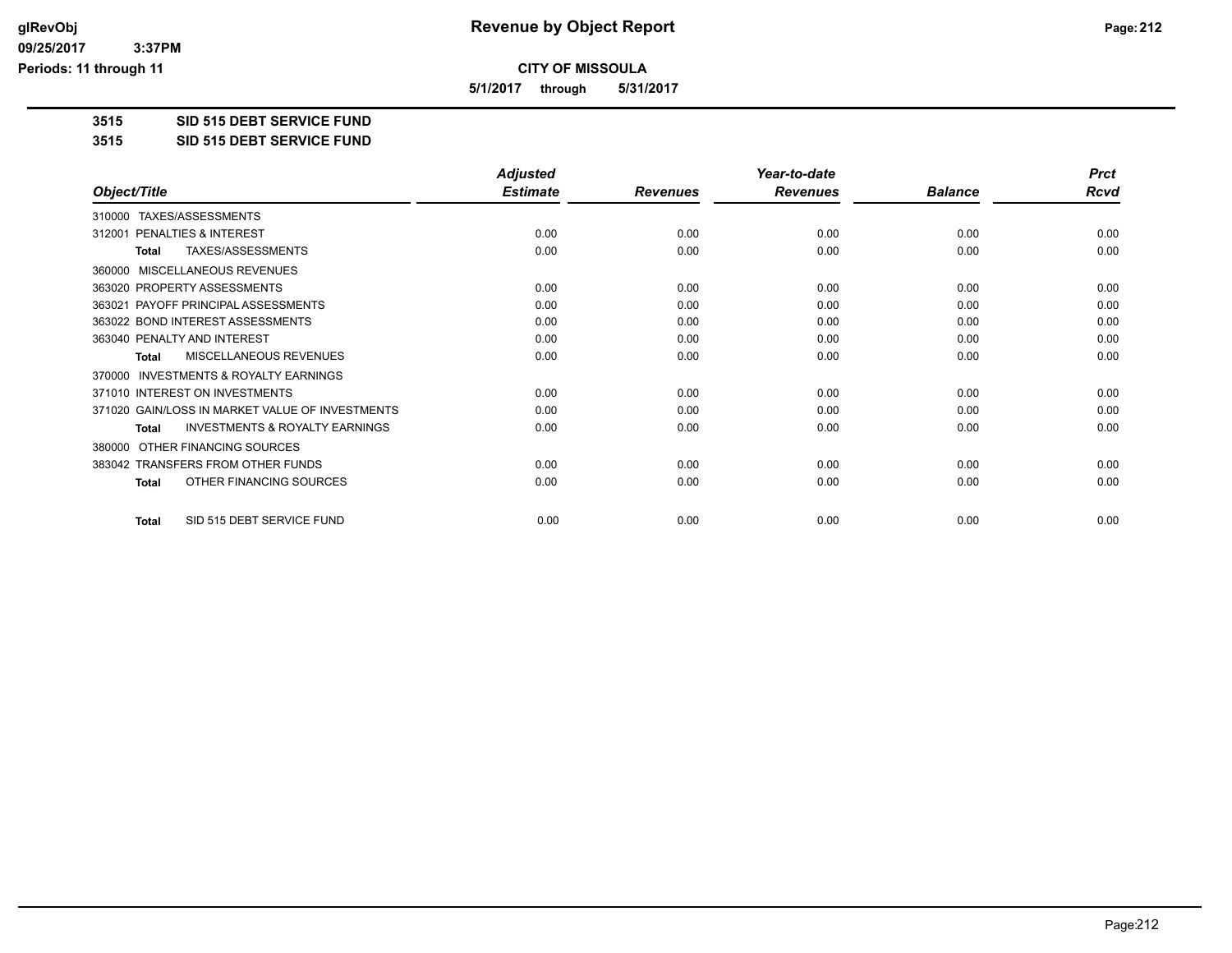**5/1/2017 through 5/31/2017**

**3515 SID 515 DEBT SERVICE FUND**

**3515 SID 515 DEBT SERVICE FUND**

|                                                           | <b>Adjusted</b> |                 | Year-to-date    |                | <b>Prct</b> |
|-----------------------------------------------------------|-----------------|-----------------|-----------------|----------------|-------------|
| Object/Title                                              | <b>Estimate</b> | <b>Revenues</b> | <b>Revenues</b> | <b>Balance</b> | <b>Rcvd</b> |
| TAXES/ASSESSMENTS<br>310000                               |                 |                 |                 |                |             |
| PENALTIES & INTEREST<br>312001                            | 0.00            | 0.00            | 0.00            | 0.00           | 0.00        |
| TAXES/ASSESSMENTS<br>Total                                | 0.00            | 0.00            | 0.00            | 0.00           | 0.00        |
| <b>MISCELLANEOUS REVENUES</b><br>360000                   |                 |                 |                 |                |             |
| 363020 PROPERTY ASSESSMENTS                               | 0.00            | 0.00            | 0.00            | 0.00           | 0.00        |
| 363021 PAYOFF PRINCIPAL ASSESSMENTS                       | 0.00            | 0.00            | 0.00            | 0.00           | 0.00        |
| 363022 BOND INTEREST ASSESSMENTS                          | 0.00            | 0.00            | 0.00            | 0.00           | 0.00        |
| 363040 PENALTY AND INTEREST                               | 0.00            | 0.00            | 0.00            | 0.00           | 0.00        |
| <b>MISCELLANEOUS REVENUES</b><br><b>Total</b>             | 0.00            | 0.00            | 0.00            | 0.00           | 0.00        |
| <b>INVESTMENTS &amp; ROYALTY EARNINGS</b><br>370000       |                 |                 |                 |                |             |
| 371010 INTEREST ON INVESTMENTS                            | 0.00            | 0.00            | 0.00            | 0.00           | 0.00        |
| 371020 GAIN/LOSS IN MARKET VALUE OF INVESTMENTS           | 0.00            | 0.00            | 0.00            | 0.00           | 0.00        |
| <b>INVESTMENTS &amp; ROYALTY EARNINGS</b><br><b>Total</b> | 0.00            | 0.00            | 0.00            | 0.00           | 0.00        |
| OTHER FINANCING SOURCES<br>380000                         |                 |                 |                 |                |             |
| 383042 TRANSFERS FROM OTHER FUNDS                         | 0.00            | 0.00            | 0.00            | 0.00           | 0.00        |
| OTHER FINANCING SOURCES<br><b>Total</b>                   | 0.00            | 0.00            | 0.00            | 0.00           | 0.00        |
|                                                           |                 |                 |                 |                |             |
| SID 515 DEBT SERVICE FUND<br><b>Total</b>                 | 0.00            | 0.00            | 0.00            | 0.00           | 0.00        |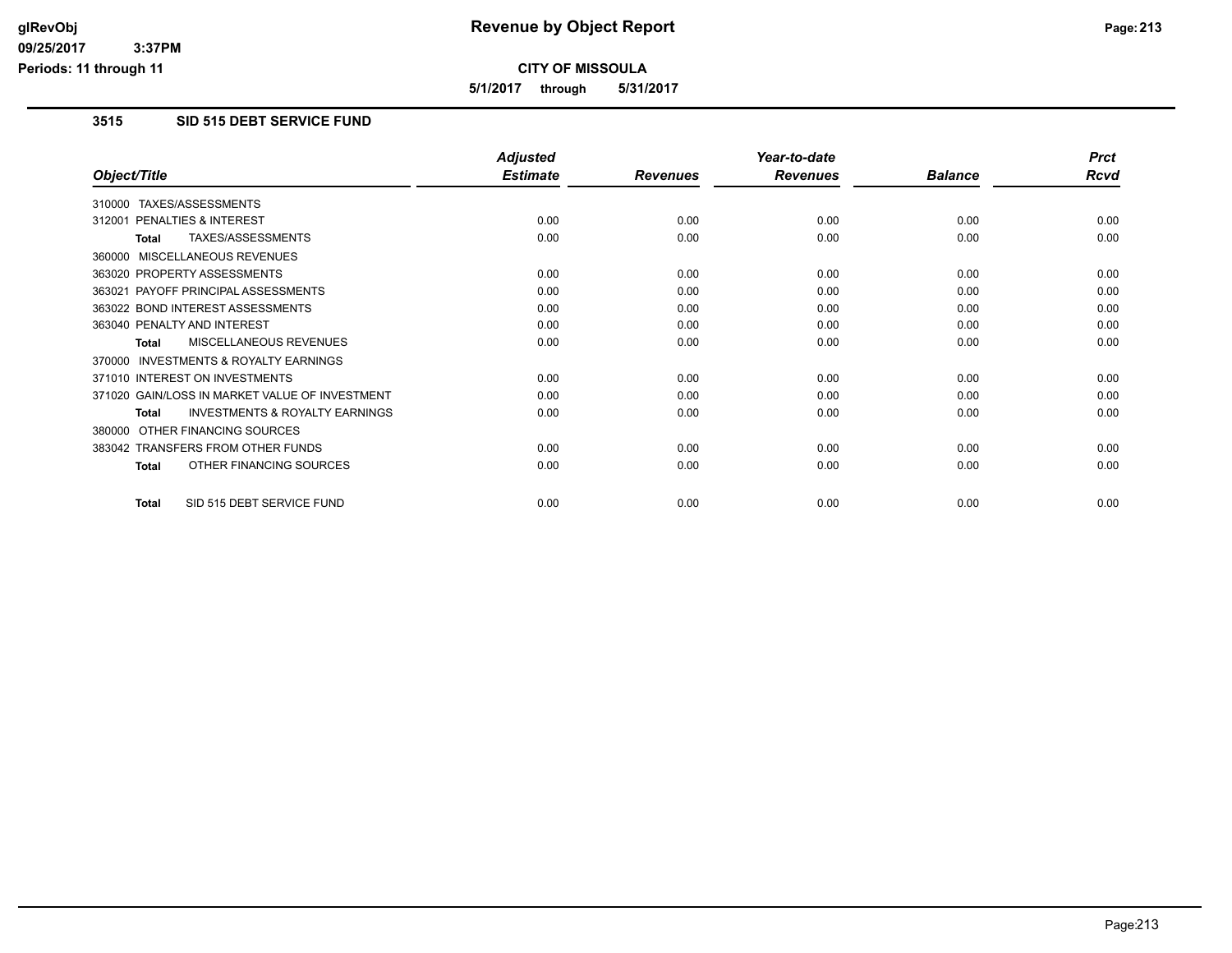**5/1/2017 through 5/31/2017**

# **3515 SID 515 DEBT SERVICE FUND**

|                                                           | <b>Adjusted</b> |                 | Year-to-date    |                | <b>Prct</b> |
|-----------------------------------------------------------|-----------------|-----------------|-----------------|----------------|-------------|
| Object/Title                                              | <b>Estimate</b> | <b>Revenues</b> | <b>Revenues</b> | <b>Balance</b> | <b>Rcvd</b> |
| TAXES/ASSESSMENTS<br>310000                               |                 |                 |                 |                |             |
| 312001 PENALTIES & INTEREST                               | 0.00            | 0.00            | 0.00            | 0.00           | 0.00        |
| TAXES/ASSESSMENTS<br><b>Total</b>                         | 0.00            | 0.00            | 0.00            | 0.00           | 0.00        |
| <b>MISCELLANEOUS REVENUES</b><br>360000                   |                 |                 |                 |                |             |
| 363020 PROPERTY ASSESSMENTS                               | 0.00            | 0.00            | 0.00            | 0.00           | 0.00        |
| 363021 PAYOFF PRINCIPAL ASSESSMENTS                       | 0.00            | 0.00            | 0.00            | 0.00           | 0.00        |
| 363022 BOND INTEREST ASSESSMENTS                          | 0.00            | 0.00            | 0.00            | 0.00           | 0.00        |
| 363040 PENALTY AND INTEREST                               | 0.00            | 0.00            | 0.00            | 0.00           | 0.00        |
| MISCELLANEOUS REVENUES<br><b>Total</b>                    | 0.00            | 0.00            | 0.00            | 0.00           | 0.00        |
| <b>INVESTMENTS &amp; ROYALTY EARNINGS</b><br>370000       |                 |                 |                 |                |             |
| 371010 INTEREST ON INVESTMENTS                            | 0.00            | 0.00            | 0.00            | 0.00           | 0.00        |
| 371020 GAIN/LOSS IN MARKET VALUE OF INVESTMENT            | 0.00            | 0.00            | 0.00            | 0.00           | 0.00        |
| <b>INVESTMENTS &amp; ROYALTY EARNINGS</b><br><b>Total</b> | 0.00            | 0.00            | 0.00            | 0.00           | 0.00        |
| OTHER FINANCING SOURCES<br>380000                         |                 |                 |                 |                |             |
| 383042 TRANSFERS FROM OTHER FUNDS                         | 0.00            | 0.00            | 0.00            | 0.00           | 0.00        |
| OTHER FINANCING SOURCES<br><b>Total</b>                   | 0.00            | 0.00            | 0.00            | 0.00           | 0.00        |
| SID 515 DEBT SERVICE FUND<br><b>Total</b>                 | 0.00            | 0.00            | 0.00            | 0.00           | 0.00        |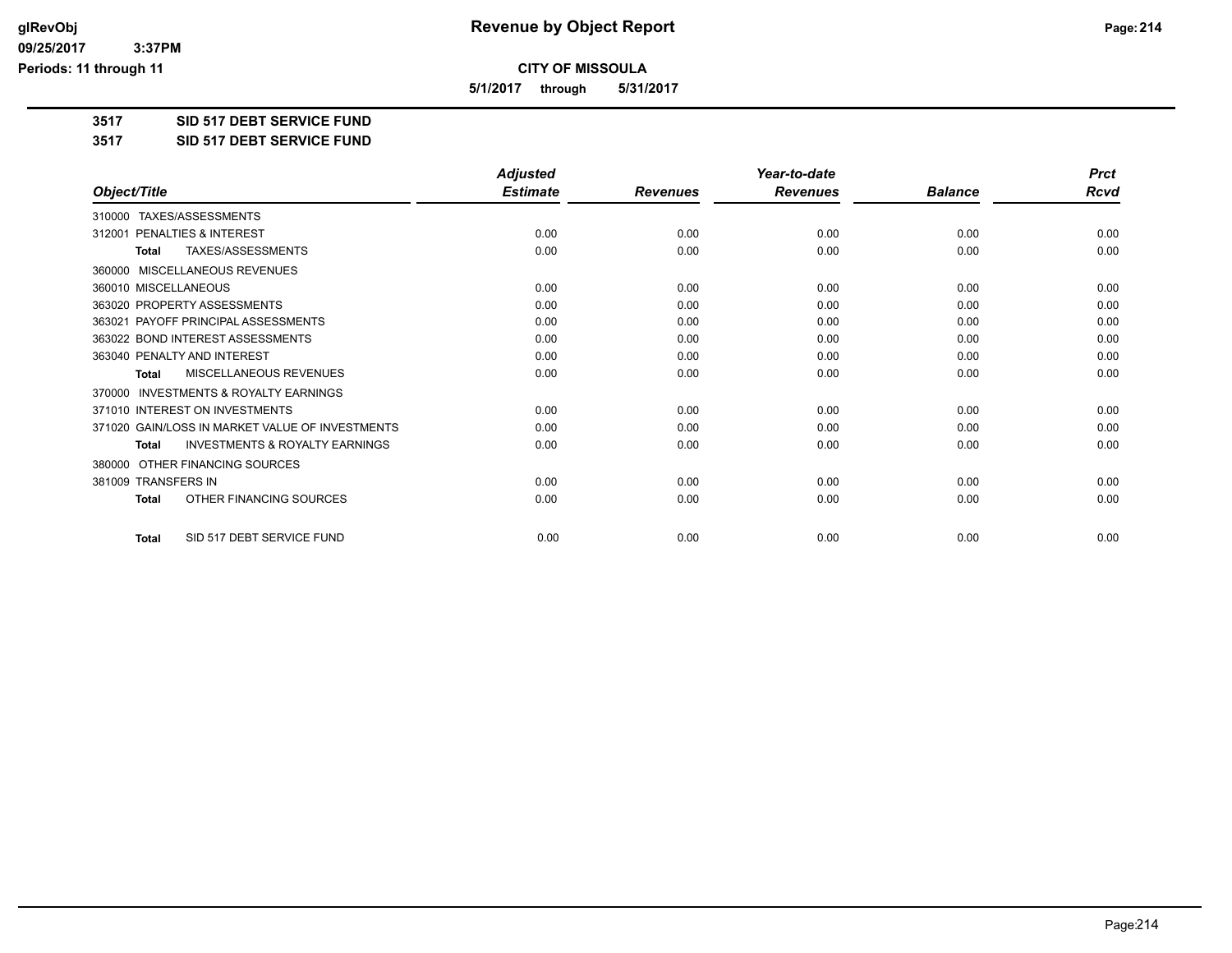**CITY OF MISSOULA**

**5/1/2017 through 5/31/2017**

**3517 SID 517 DEBT SERVICE FUND**

 **3:37PM**

**3517 SID 517 DEBT SERVICE FUND**

|                                                           | <b>Adjusted</b> |                 | Year-to-date    |                | <b>Prct</b> |
|-----------------------------------------------------------|-----------------|-----------------|-----------------|----------------|-------------|
| Object/Title                                              | <b>Estimate</b> | <b>Revenues</b> | <b>Revenues</b> | <b>Balance</b> | Rcvd        |
| TAXES/ASSESSMENTS<br>310000                               |                 |                 |                 |                |             |
| <b>PENALTIES &amp; INTEREST</b><br>312001                 | 0.00            | 0.00            | 0.00            | 0.00           | 0.00        |
| TAXES/ASSESSMENTS<br><b>Total</b>                         | 0.00            | 0.00            | 0.00            | 0.00           | 0.00        |
| 360000 MISCELLANEOUS REVENUES                             |                 |                 |                 |                |             |
| 360010 MISCELLANEOUS                                      | 0.00            | 0.00            | 0.00            | 0.00           | 0.00        |
| 363020 PROPERTY ASSESSMENTS                               | 0.00            | 0.00            | 0.00            | 0.00           | 0.00        |
| 363021 PAYOFF PRINCIPAL ASSESSMENTS                       | 0.00            | 0.00            | 0.00            | 0.00           | 0.00        |
| 363022 BOND INTEREST ASSESSMENTS                          | 0.00            | 0.00            | 0.00            | 0.00           | 0.00        |
| 363040 PENALTY AND INTEREST                               | 0.00            | 0.00            | 0.00            | 0.00           | 0.00        |
| MISCELLANEOUS REVENUES<br><b>Total</b>                    | 0.00            | 0.00            | 0.00            | 0.00           | 0.00        |
| <b>INVESTMENTS &amp; ROYALTY EARNINGS</b><br>370000       |                 |                 |                 |                |             |
| 371010 INTEREST ON INVESTMENTS                            | 0.00            | 0.00            | 0.00            | 0.00           | 0.00        |
| 371020 GAIN/LOSS IN MARKET VALUE OF INVESTMENTS           | 0.00            | 0.00            | 0.00            | 0.00           | 0.00        |
| <b>INVESTMENTS &amp; ROYALTY EARNINGS</b><br><b>Total</b> | 0.00            | 0.00            | 0.00            | 0.00           | 0.00        |
| OTHER FINANCING SOURCES<br>380000                         |                 |                 |                 |                |             |
| 381009 TRANSFERS IN                                       | 0.00            | 0.00            | 0.00            | 0.00           | 0.00        |
| OTHER FINANCING SOURCES<br><b>Total</b>                   | 0.00            | 0.00            | 0.00            | 0.00           | 0.00        |
| SID 517 DEBT SERVICE FUND<br><b>Total</b>                 | 0.00            | 0.00            | 0.00            | 0.00           | 0.00        |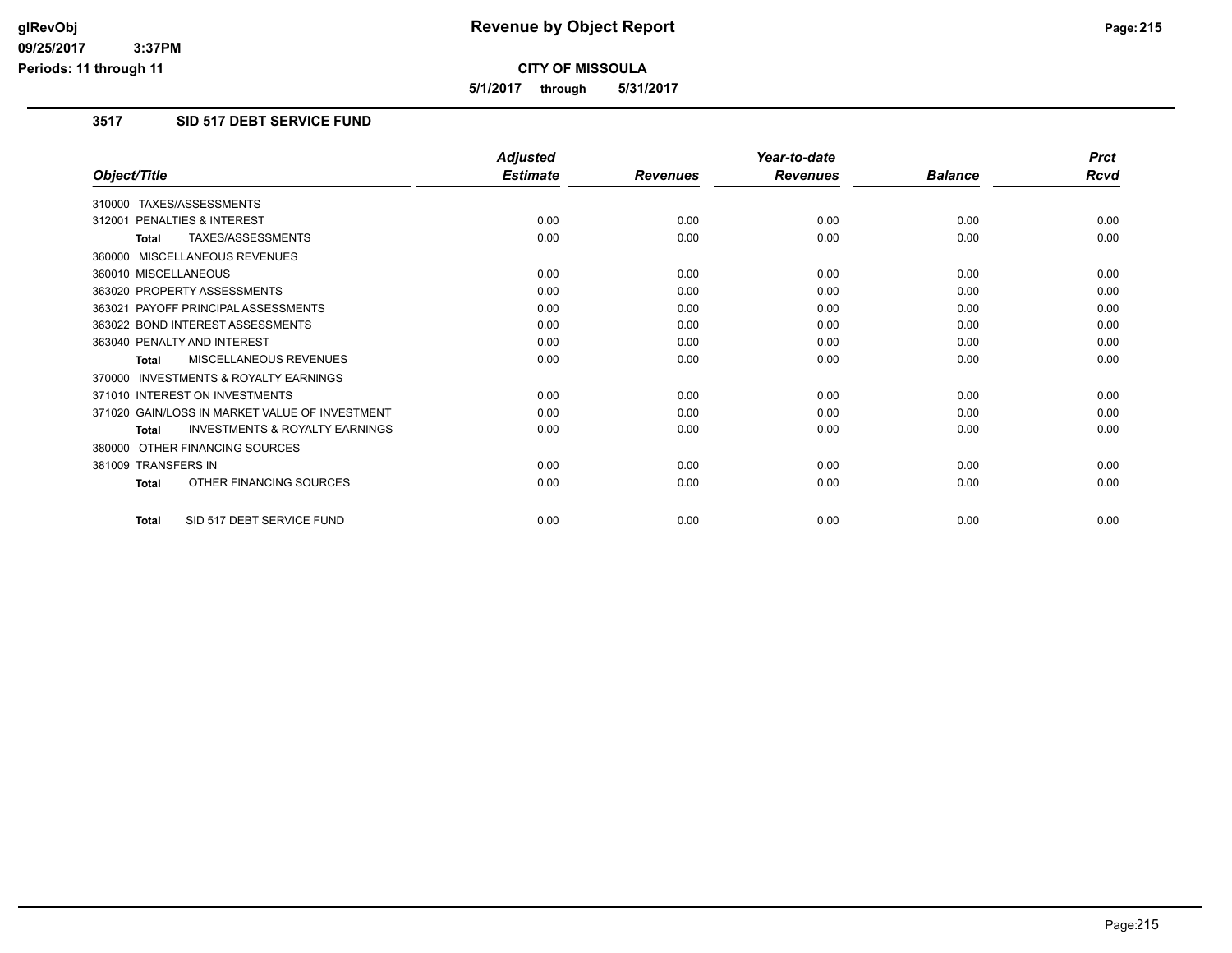**CITY OF MISSOULA**

**5/1/2017 through 5/31/2017**

# **3517 SID 517 DEBT SERVICE FUND**

|                                                           | <b>Adjusted</b> |                 | Year-to-date    |                | <b>Prct</b> |
|-----------------------------------------------------------|-----------------|-----------------|-----------------|----------------|-------------|
| Object/Title                                              | <b>Estimate</b> | <b>Revenues</b> | <b>Revenues</b> | <b>Balance</b> | <b>Rcvd</b> |
| 310000 TAXES/ASSESSMENTS                                  |                 |                 |                 |                |             |
| PENALTIES & INTEREST<br>312001                            | 0.00            | 0.00            | 0.00            | 0.00           | 0.00        |
| TAXES/ASSESSMENTS<br><b>Total</b>                         | 0.00            | 0.00            | 0.00            | 0.00           | 0.00        |
| 360000 MISCELLANEOUS REVENUES                             |                 |                 |                 |                |             |
| 360010 MISCELLANEOUS                                      | 0.00            | 0.00            | 0.00            | 0.00           | 0.00        |
| 363020 PROPERTY ASSESSMENTS                               | 0.00            | 0.00            | 0.00            | 0.00           | 0.00        |
| 363021 PAYOFF PRINCIPAL ASSESSMENTS                       | 0.00            | 0.00            | 0.00            | 0.00           | 0.00        |
| 363022 BOND INTEREST ASSESSMENTS                          | 0.00            | 0.00            | 0.00            | 0.00           | 0.00        |
| 363040 PENALTY AND INTEREST                               | 0.00            | 0.00            | 0.00            | 0.00           | 0.00        |
| MISCELLANEOUS REVENUES<br><b>Total</b>                    | 0.00            | 0.00            | 0.00            | 0.00           | 0.00        |
| 370000 INVESTMENTS & ROYALTY EARNINGS                     |                 |                 |                 |                |             |
| 371010 INTEREST ON INVESTMENTS                            | 0.00            | 0.00            | 0.00            | 0.00           | 0.00        |
| 371020 GAIN/LOSS IN MARKET VALUE OF INVESTMENT            | 0.00            | 0.00            | 0.00            | 0.00           | 0.00        |
| <b>INVESTMENTS &amp; ROYALTY EARNINGS</b><br><b>Total</b> | 0.00            | 0.00            | 0.00            | 0.00           | 0.00        |
| 380000 OTHER FINANCING SOURCES                            |                 |                 |                 |                |             |
| 381009 TRANSFERS IN                                       | 0.00            | 0.00            | 0.00            | 0.00           | 0.00        |
| OTHER FINANCING SOURCES<br><b>Total</b>                   | 0.00            | 0.00            | 0.00            | 0.00           | 0.00        |
| SID 517 DEBT SERVICE FUND<br><b>Total</b>                 | 0.00            | 0.00            | 0.00            | 0.00           | 0.00        |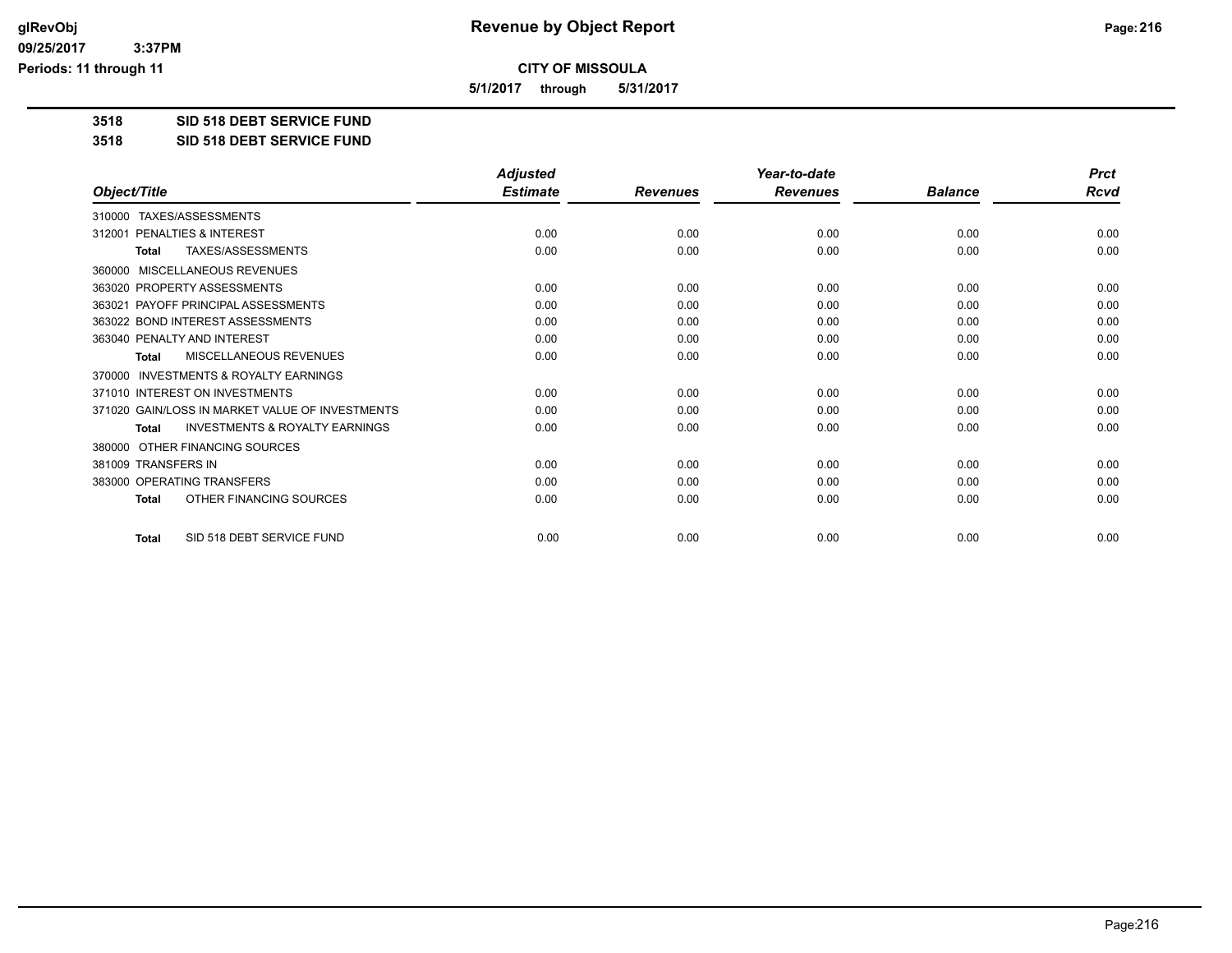**5/1/2017 through 5/31/2017**

**3518 SID 518 DEBT SERVICE FUND**

**3518 SID 518 DEBT SERVICE FUND**

|                                                           | <b>Adjusted</b> |                 | Year-to-date    |                | <b>Prct</b> |
|-----------------------------------------------------------|-----------------|-----------------|-----------------|----------------|-------------|
| Object/Title                                              | <b>Estimate</b> | <b>Revenues</b> | <b>Revenues</b> | <b>Balance</b> | <b>Rcvd</b> |
| TAXES/ASSESSMENTS<br>310000                               |                 |                 |                 |                |             |
| PENALTIES & INTEREST<br>312001                            | 0.00            | 0.00            | 0.00            | 0.00           | 0.00        |
| TAXES/ASSESSMENTS<br><b>Total</b>                         | 0.00            | 0.00            | 0.00            | 0.00           | 0.00        |
| MISCELLANEOUS REVENUES<br>360000                          |                 |                 |                 |                |             |
| 363020 PROPERTY ASSESSMENTS                               | 0.00            | 0.00            | 0.00            | 0.00           | 0.00        |
| 363021 PAYOFF PRINCIPAL ASSESSMENTS                       | 0.00            | 0.00            | 0.00            | 0.00           | 0.00        |
| 363022 BOND INTEREST ASSESSMENTS                          | 0.00            | 0.00            | 0.00            | 0.00           | 0.00        |
| 363040 PENALTY AND INTEREST                               | 0.00            | 0.00            | 0.00            | 0.00           | 0.00        |
| MISCELLANEOUS REVENUES<br><b>Total</b>                    | 0.00            | 0.00            | 0.00            | 0.00           | 0.00        |
| <b>INVESTMENTS &amp; ROYALTY EARNINGS</b><br>370000       |                 |                 |                 |                |             |
| 371010 INTEREST ON INVESTMENTS                            | 0.00            | 0.00            | 0.00            | 0.00           | 0.00        |
| 371020 GAIN/LOSS IN MARKET VALUE OF INVESTMENTS           | 0.00            | 0.00            | 0.00            | 0.00           | 0.00        |
| <b>INVESTMENTS &amp; ROYALTY EARNINGS</b><br><b>Total</b> | 0.00            | 0.00            | 0.00            | 0.00           | 0.00        |
| OTHER FINANCING SOURCES<br>380000                         |                 |                 |                 |                |             |
| 381009 TRANSFERS IN                                       | 0.00            | 0.00            | 0.00            | 0.00           | 0.00        |
| 383000 OPERATING TRANSFERS                                | 0.00            | 0.00            | 0.00            | 0.00           | 0.00        |
| OTHER FINANCING SOURCES<br><b>Total</b>                   | 0.00            | 0.00            | 0.00            | 0.00           | 0.00        |
| SID 518 DEBT SERVICE FUND<br><b>Total</b>                 | 0.00            | 0.00            | 0.00            | 0.00           | 0.00        |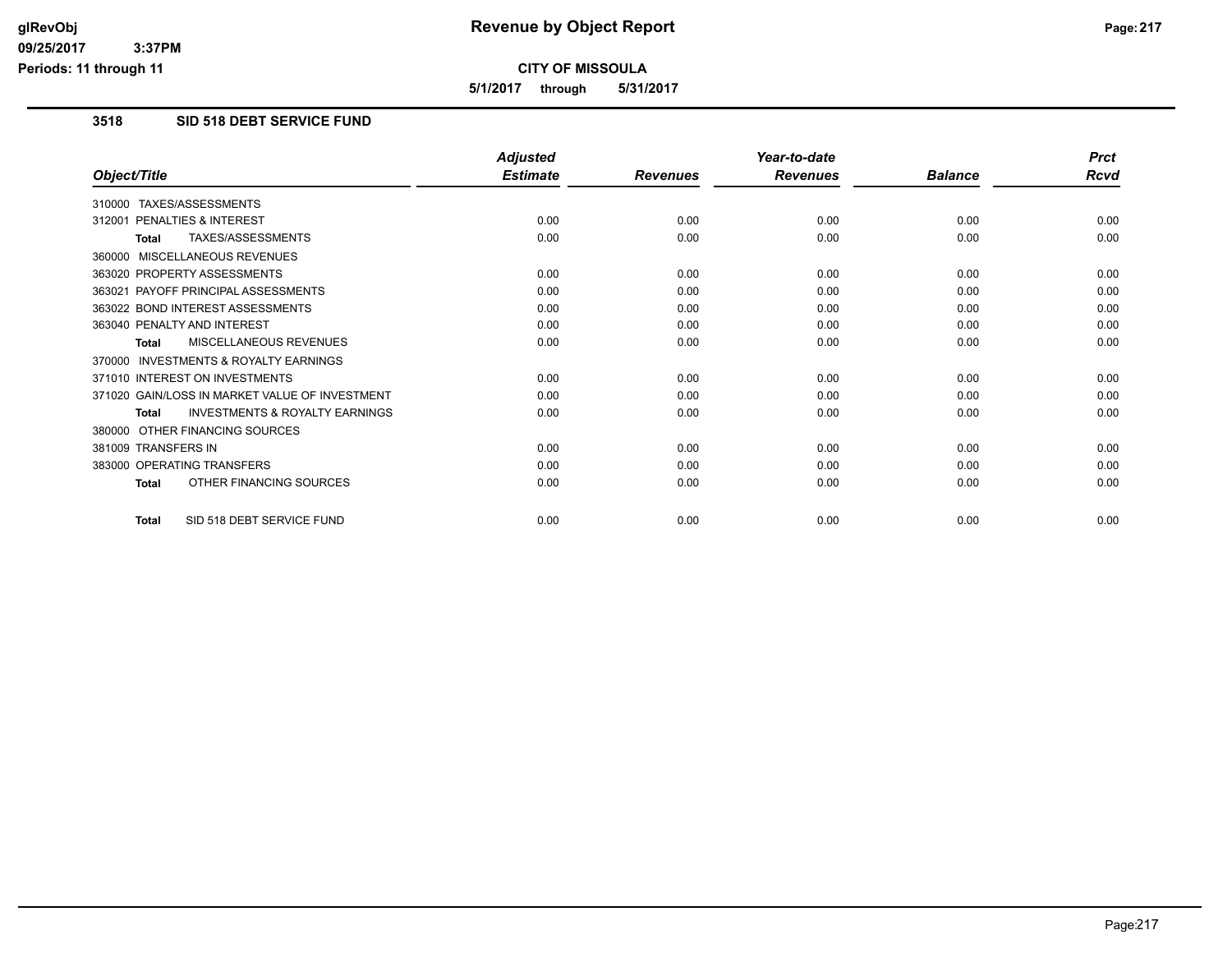**5/1/2017 through 5/31/2017**

# **3518 SID 518 DEBT SERVICE FUND**

|                                                           | <b>Adjusted</b> |                 | Year-to-date    |                | <b>Prct</b> |
|-----------------------------------------------------------|-----------------|-----------------|-----------------|----------------|-------------|
| Object/Title                                              | <b>Estimate</b> | <b>Revenues</b> | <b>Revenues</b> | <b>Balance</b> | <b>Rcvd</b> |
| 310000 TAXES/ASSESSMENTS                                  |                 |                 |                 |                |             |
| PENALTIES & INTEREST<br>312001                            | 0.00            | 0.00            | 0.00            | 0.00           | 0.00        |
| TAXES/ASSESSMENTS<br><b>Total</b>                         | 0.00            | 0.00            | 0.00            | 0.00           | 0.00        |
| 360000 MISCELLANEOUS REVENUES                             |                 |                 |                 |                |             |
| 363020 PROPERTY ASSESSMENTS                               | 0.00            | 0.00            | 0.00            | 0.00           | 0.00        |
| 363021 PAYOFF PRINCIPAL ASSESSMENTS                       | 0.00            | 0.00            | 0.00            | 0.00           | 0.00        |
| 363022 BOND INTEREST ASSESSMENTS                          | 0.00            | 0.00            | 0.00            | 0.00           | 0.00        |
| 363040 PENALTY AND INTEREST                               | 0.00            | 0.00            | 0.00            | 0.00           | 0.00        |
| <b>MISCELLANEOUS REVENUES</b><br><b>Total</b>             | 0.00            | 0.00            | 0.00            | 0.00           | 0.00        |
| 370000 INVESTMENTS & ROYALTY EARNINGS                     |                 |                 |                 |                |             |
| 371010 INTEREST ON INVESTMENTS                            | 0.00            | 0.00            | 0.00            | 0.00           | 0.00        |
| 371020 GAIN/LOSS IN MARKET VALUE OF INVESTMENT            | 0.00            | 0.00            | 0.00            | 0.00           | 0.00        |
| <b>INVESTMENTS &amp; ROYALTY EARNINGS</b><br><b>Total</b> | 0.00            | 0.00            | 0.00            | 0.00           | 0.00        |
| 380000 OTHER FINANCING SOURCES                            |                 |                 |                 |                |             |
| 381009 TRANSFERS IN                                       | 0.00            | 0.00            | 0.00            | 0.00           | 0.00        |
| 383000 OPERATING TRANSFERS                                | 0.00            | 0.00            | 0.00            | 0.00           | 0.00        |
| OTHER FINANCING SOURCES<br><b>Total</b>                   | 0.00            | 0.00            | 0.00            | 0.00           | 0.00        |
| SID 518 DEBT SERVICE FUND<br><b>Total</b>                 | 0.00            | 0.00            | 0.00            | 0.00           | 0.00        |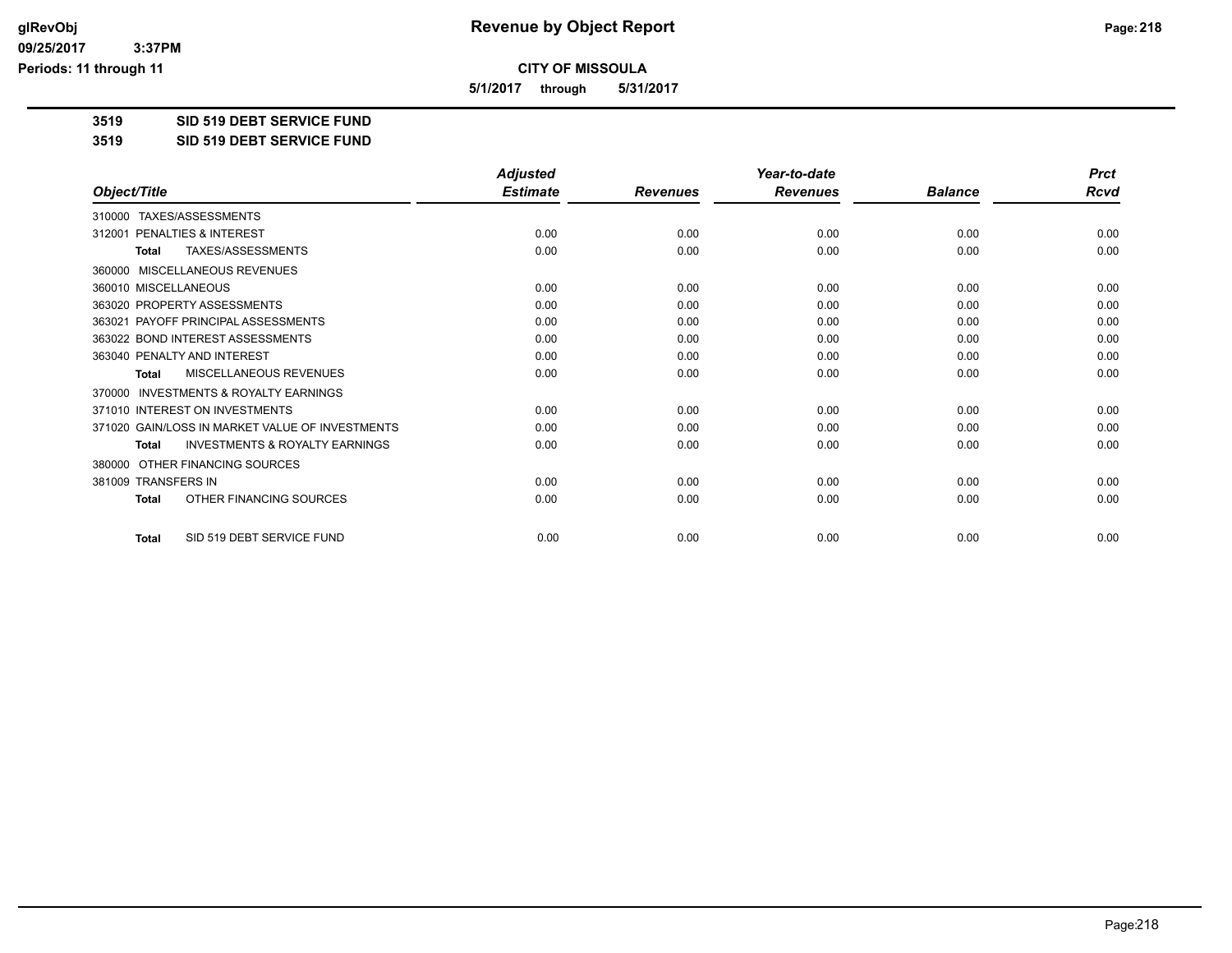**5/1/2017 through 5/31/2017**

**3519 SID 519 DEBT SERVICE FUND**

**3519 SID 519 DEBT SERVICE FUND**

|                                                           | <b>Adjusted</b> |                 | Year-to-date    |                | <b>Prct</b> |
|-----------------------------------------------------------|-----------------|-----------------|-----------------|----------------|-------------|
| Object/Title                                              | <b>Estimate</b> | <b>Revenues</b> | <b>Revenues</b> | <b>Balance</b> | Rcvd        |
| TAXES/ASSESSMENTS<br>310000                               |                 |                 |                 |                |             |
| PENALTIES & INTEREST<br>312001                            | 0.00            | 0.00            | 0.00            | 0.00           | 0.00        |
| TAXES/ASSESSMENTS<br>Total                                | 0.00            | 0.00            | 0.00            | 0.00           | 0.00        |
| MISCELLANEOUS REVENUES<br>360000                          |                 |                 |                 |                |             |
| 360010 MISCELLANEOUS                                      | 0.00            | 0.00            | 0.00            | 0.00           | 0.00        |
| 363020 PROPERTY ASSESSMENTS                               | 0.00            | 0.00            | 0.00            | 0.00           | 0.00        |
| 363021 PAYOFF PRINCIPAL ASSESSMENTS                       | 0.00            | 0.00            | 0.00            | 0.00           | 0.00        |
| 363022 BOND INTEREST ASSESSMENTS                          | 0.00            | 0.00            | 0.00            | 0.00           | 0.00        |
| 363040 PENALTY AND INTEREST                               | 0.00            | 0.00            | 0.00            | 0.00           | 0.00        |
| MISCELLANEOUS REVENUES<br><b>Total</b>                    | 0.00            | 0.00            | 0.00            | 0.00           | 0.00        |
| <b>INVESTMENTS &amp; ROYALTY EARNINGS</b><br>370000       |                 |                 |                 |                |             |
| 371010 INTEREST ON INVESTMENTS                            | 0.00            | 0.00            | 0.00            | 0.00           | 0.00        |
| 371020 GAIN/LOSS IN MARKET VALUE OF INVESTMENTS           | 0.00            | 0.00            | 0.00            | 0.00           | 0.00        |
| <b>INVESTMENTS &amp; ROYALTY EARNINGS</b><br><b>Total</b> | 0.00            | 0.00            | 0.00            | 0.00           | 0.00        |
| OTHER FINANCING SOURCES<br>380000                         |                 |                 |                 |                |             |
| 381009 TRANSFERS IN                                       | 0.00            | 0.00            | 0.00            | 0.00           | 0.00        |
| OTHER FINANCING SOURCES<br><b>Total</b>                   | 0.00            | 0.00            | 0.00            | 0.00           | 0.00        |
| SID 519 DEBT SERVICE FUND<br><b>Total</b>                 | 0.00            | 0.00            | 0.00            | 0.00           | 0.00        |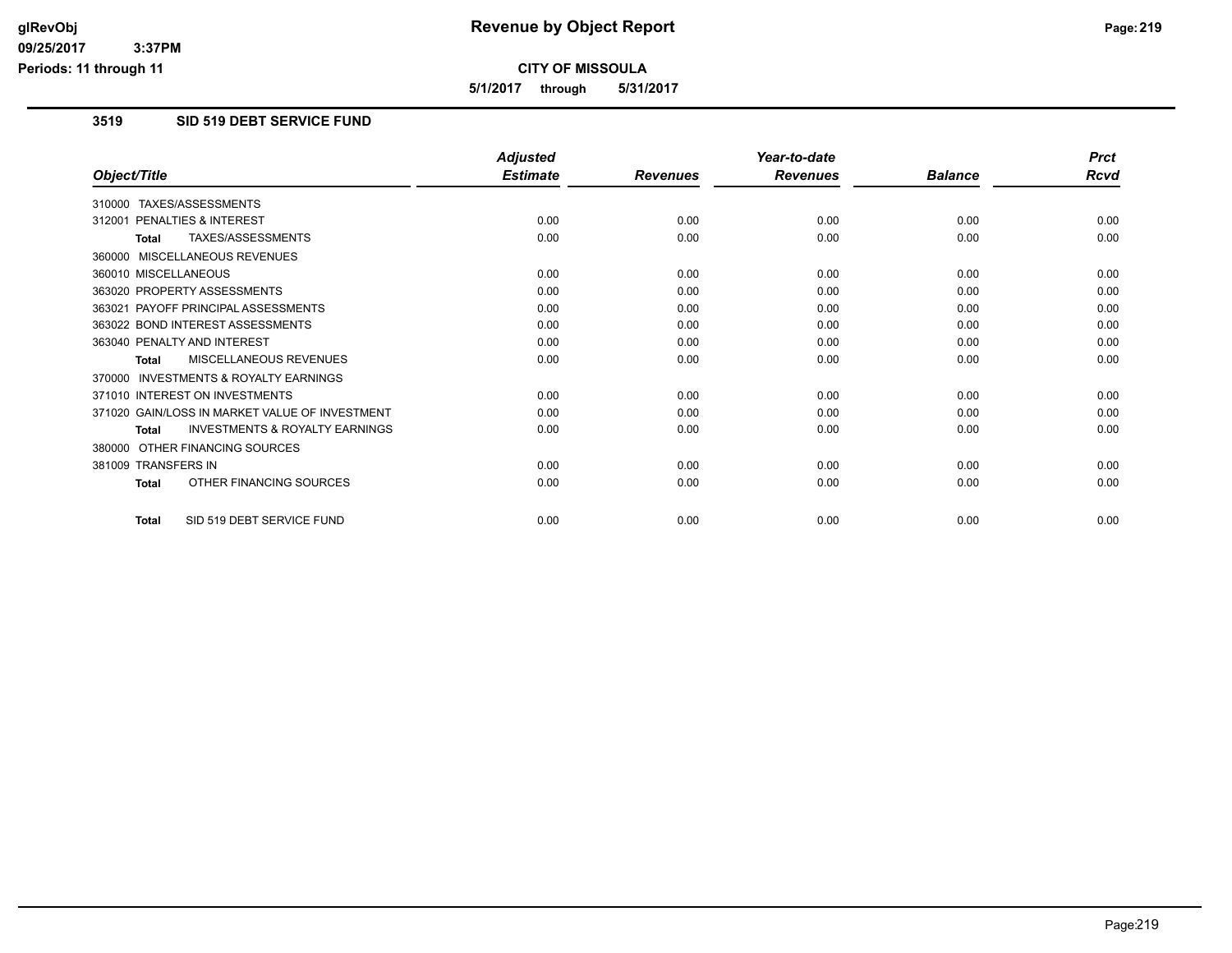**Periods: 11 through 11**

**CITY OF MISSOULA**

**5/1/2017 through 5/31/2017**

# **3519 SID 519 DEBT SERVICE FUND**

|                                                           | <b>Adjusted</b> |                 | Year-to-date    |                | <b>Prct</b> |
|-----------------------------------------------------------|-----------------|-----------------|-----------------|----------------|-------------|
| Object/Title                                              | <b>Estimate</b> | <b>Revenues</b> | <b>Revenues</b> | <b>Balance</b> | <b>Rcvd</b> |
| 310000 TAXES/ASSESSMENTS                                  |                 |                 |                 |                |             |
| PENALTIES & INTEREST<br>312001                            | 0.00            | 0.00            | 0.00            | 0.00           | 0.00        |
| TAXES/ASSESSMENTS<br><b>Total</b>                         | 0.00            | 0.00            | 0.00            | 0.00           | 0.00        |
| 360000 MISCELLANEOUS REVENUES                             |                 |                 |                 |                |             |
| 360010 MISCELLANEOUS                                      | 0.00            | 0.00            | 0.00            | 0.00           | 0.00        |
| 363020 PROPERTY ASSESSMENTS                               | 0.00            | 0.00            | 0.00            | 0.00           | 0.00        |
| 363021 PAYOFF PRINCIPAL ASSESSMENTS                       | 0.00            | 0.00            | 0.00            | 0.00           | 0.00        |
| 363022 BOND INTEREST ASSESSMENTS                          | 0.00            | 0.00            | 0.00            | 0.00           | 0.00        |
| 363040 PENALTY AND INTEREST                               | 0.00            | 0.00            | 0.00            | 0.00           | 0.00        |
| MISCELLANEOUS REVENUES<br><b>Total</b>                    | 0.00            | 0.00            | 0.00            | 0.00           | 0.00        |
| 370000 INVESTMENTS & ROYALTY EARNINGS                     |                 |                 |                 |                |             |
| 371010 INTEREST ON INVESTMENTS                            | 0.00            | 0.00            | 0.00            | 0.00           | 0.00        |
| 371020 GAIN/LOSS IN MARKET VALUE OF INVESTMENT            | 0.00            | 0.00            | 0.00            | 0.00           | 0.00        |
| <b>INVESTMENTS &amp; ROYALTY EARNINGS</b><br><b>Total</b> | 0.00            | 0.00            | 0.00            | 0.00           | 0.00        |
| 380000 OTHER FINANCING SOURCES                            |                 |                 |                 |                |             |
| 381009 TRANSFERS IN                                       | 0.00            | 0.00            | 0.00            | 0.00           | 0.00        |
| OTHER FINANCING SOURCES<br><b>Total</b>                   | 0.00            | 0.00            | 0.00            | 0.00           | 0.00        |
| SID 519 DEBT SERVICE FUND<br><b>Total</b>                 | 0.00            | 0.00            | 0.00            | 0.00           | 0.00        |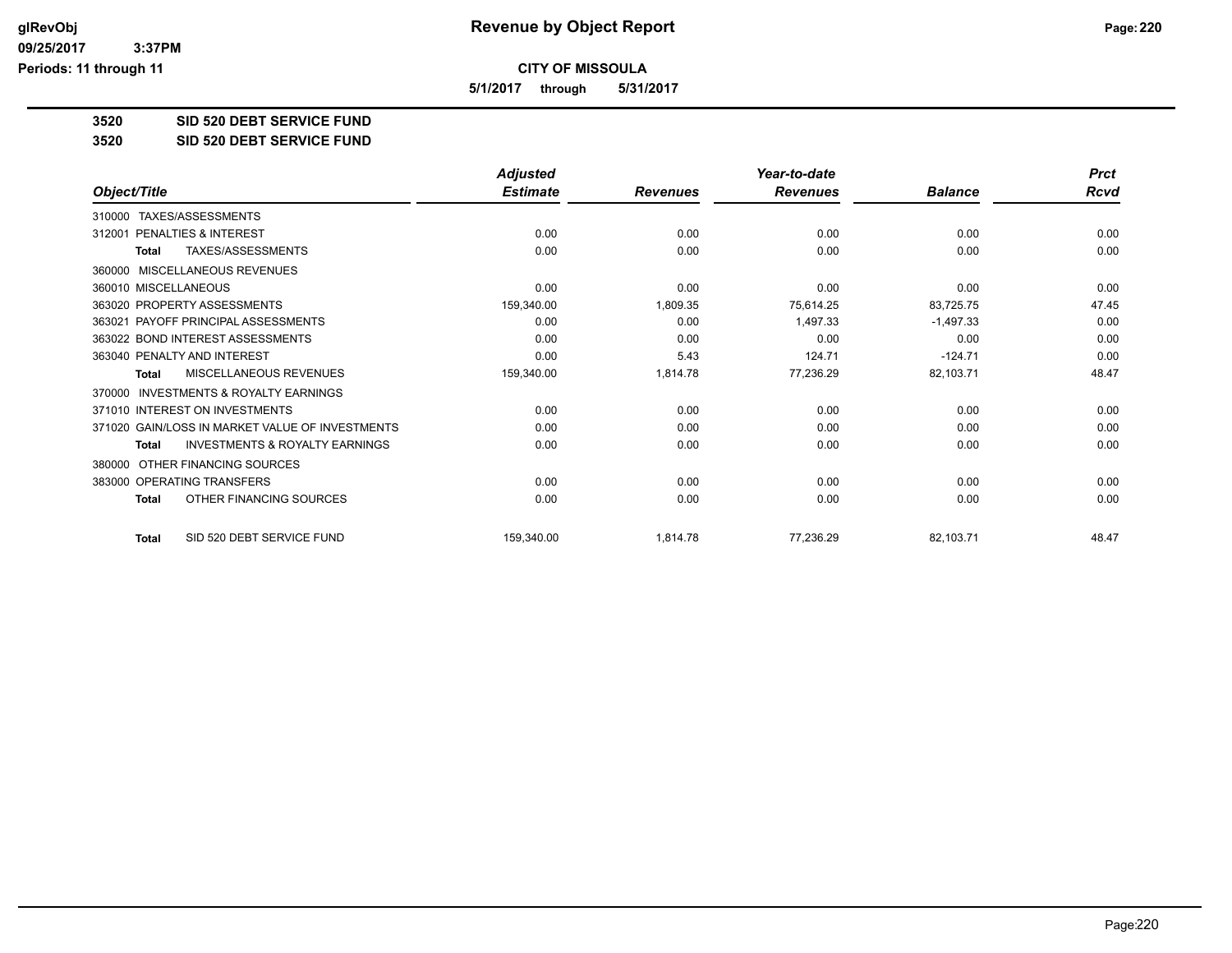**5/1/2017 through 5/31/2017**

**3520 SID 520 DEBT SERVICE FUND**

**3520 SID 520 DEBT SERVICE FUND**

|                                                           | <b>Adjusted</b> |                 | Year-to-date    |                | <b>Prct</b> |
|-----------------------------------------------------------|-----------------|-----------------|-----------------|----------------|-------------|
| Object/Title                                              | <b>Estimate</b> | <b>Revenues</b> | <b>Revenues</b> | <b>Balance</b> | <b>Rcvd</b> |
| TAXES/ASSESSMENTS<br>310000                               |                 |                 |                 |                |             |
| PENALTIES & INTEREST<br>312001                            | 0.00            | 0.00            | 0.00            | 0.00           | 0.00        |
| TAXES/ASSESSMENTS<br>Total                                | 0.00            | 0.00            | 0.00            | 0.00           | 0.00        |
| MISCELLANEOUS REVENUES<br>360000                          |                 |                 |                 |                |             |
| 360010 MISCELLANEOUS                                      | 0.00            | 0.00            | 0.00            | 0.00           | 0.00        |
| 363020 PROPERTY ASSESSMENTS                               | 159,340.00      | 1,809.35        | 75,614.25       | 83,725.75      | 47.45       |
| 363021 PAYOFF PRINCIPAL ASSESSMENTS                       | 0.00            | 0.00            | 1,497.33        | $-1,497.33$    | 0.00        |
| 363022 BOND INTEREST ASSESSMENTS                          | 0.00            | 0.00            | 0.00            | 0.00           | 0.00        |
| 363040 PENALTY AND INTEREST                               | 0.00            | 5.43            | 124.71          | $-124.71$      | 0.00        |
| MISCELLANEOUS REVENUES<br><b>Total</b>                    | 159,340.00      | 1,814.78        | 77,236.29       | 82,103.71      | 48.47       |
| <b>INVESTMENTS &amp; ROYALTY EARNINGS</b><br>370000       |                 |                 |                 |                |             |
| 371010 INTEREST ON INVESTMENTS                            | 0.00            | 0.00            | 0.00            | 0.00           | 0.00        |
| 371020 GAIN/LOSS IN MARKET VALUE OF INVESTMENTS           | 0.00            | 0.00            | 0.00            | 0.00           | 0.00        |
| <b>INVESTMENTS &amp; ROYALTY EARNINGS</b><br><b>Total</b> | 0.00            | 0.00            | 0.00            | 0.00           | 0.00        |
| OTHER FINANCING SOURCES<br>380000                         |                 |                 |                 |                |             |
| 383000 OPERATING TRANSFERS                                | 0.00            | 0.00            | 0.00            | 0.00           | 0.00        |
| OTHER FINANCING SOURCES<br>Total                          | 0.00            | 0.00            | 0.00            | 0.00           | 0.00        |
| SID 520 DEBT SERVICE FUND<br><b>Total</b>                 | 159,340.00      | 1,814.78        | 77,236.29       | 82,103.71      | 48.47       |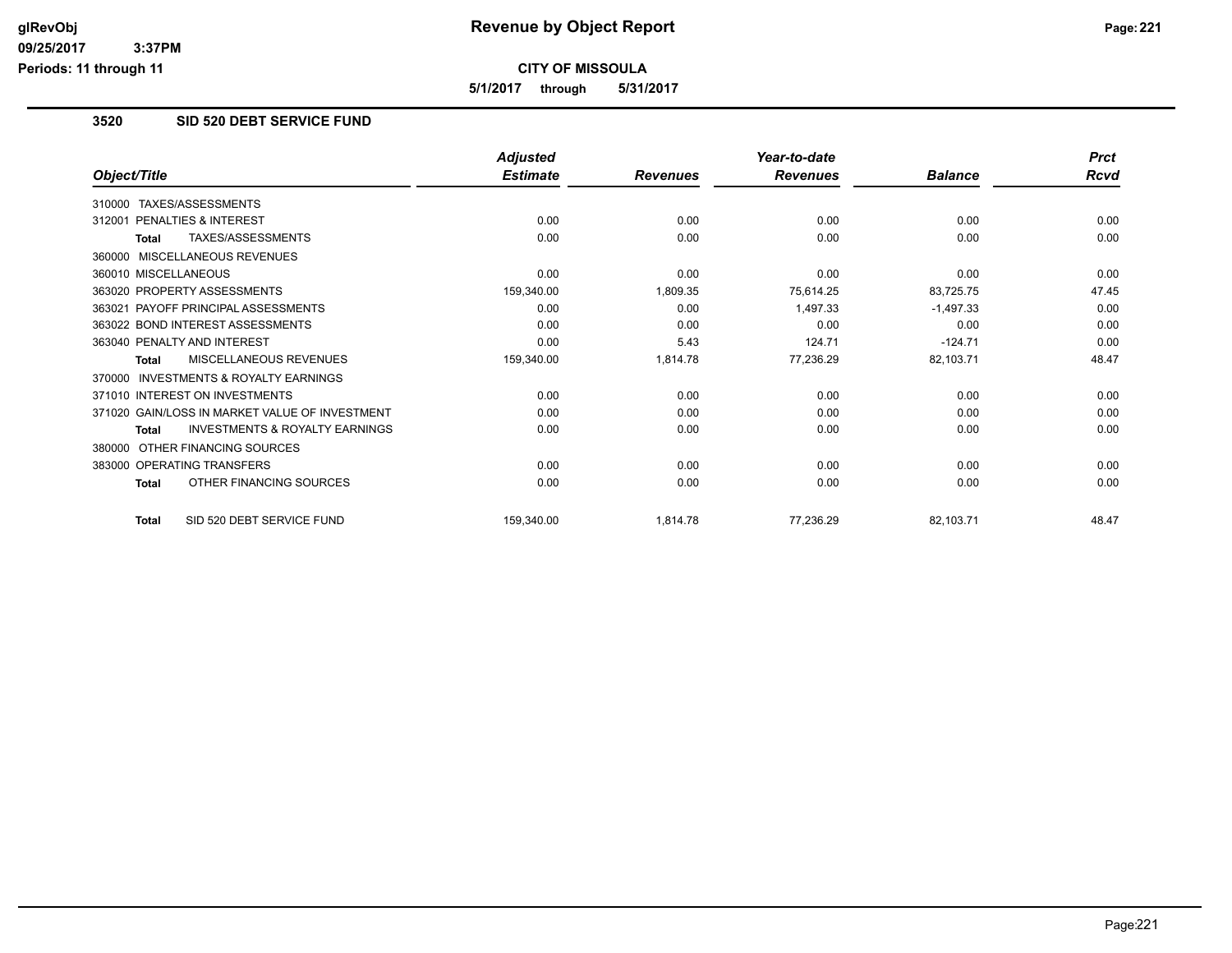**5/1/2017 through 5/31/2017**

# **3520 SID 520 DEBT SERVICE FUND**

|                                                           | <b>Adjusted</b> |                 | Year-to-date    |                | <b>Prct</b> |
|-----------------------------------------------------------|-----------------|-----------------|-----------------|----------------|-------------|
| Object/Title                                              | <b>Estimate</b> | <b>Revenues</b> | <b>Revenues</b> | <b>Balance</b> | Rcvd        |
| 310000 TAXES/ASSESSMENTS                                  |                 |                 |                 |                |             |
| PENALTIES & INTEREST<br>312001                            | 0.00            | 0.00            | 0.00            | 0.00           | 0.00        |
| TAXES/ASSESSMENTS<br><b>Total</b>                         | 0.00            | 0.00            | 0.00            | 0.00           | 0.00        |
| MISCELLANEOUS REVENUES<br>360000                          |                 |                 |                 |                |             |
| 360010 MISCELLANEOUS                                      | 0.00            | 0.00            | 0.00            | 0.00           | 0.00        |
| 363020 PROPERTY ASSESSMENTS                               | 159,340.00      | 1,809.35        | 75,614.25       | 83,725.75      | 47.45       |
| 363021 PAYOFF PRINCIPAL ASSESSMENTS                       | 0.00            | 0.00            | 1,497.33        | $-1,497.33$    | 0.00        |
| 363022 BOND INTEREST ASSESSMENTS                          | 0.00            | 0.00            | 0.00            | 0.00           | 0.00        |
| 363040 PENALTY AND INTEREST                               | 0.00            | 5.43            | 124.71          | $-124.71$      | 0.00        |
| MISCELLANEOUS REVENUES<br><b>Total</b>                    | 159,340.00      | 1,814.78        | 77,236.29       | 82,103.71      | 48.47       |
| <b>INVESTMENTS &amp; ROYALTY EARNINGS</b><br>370000       |                 |                 |                 |                |             |
| 371010 INTEREST ON INVESTMENTS                            | 0.00            | 0.00            | 0.00            | 0.00           | 0.00        |
| 371020 GAIN/LOSS IN MARKET VALUE OF INVESTMENT            | 0.00            | 0.00            | 0.00            | 0.00           | 0.00        |
| <b>INVESTMENTS &amp; ROYALTY EARNINGS</b><br><b>Total</b> | 0.00            | 0.00            | 0.00            | 0.00           | 0.00        |
| OTHER FINANCING SOURCES<br>380000                         |                 |                 |                 |                |             |
| 383000 OPERATING TRANSFERS                                | 0.00            | 0.00            | 0.00            | 0.00           | 0.00        |
| OTHER FINANCING SOURCES<br><b>Total</b>                   | 0.00            | 0.00            | 0.00            | 0.00           | 0.00        |
| SID 520 DEBT SERVICE FUND<br><b>Total</b>                 | 159,340.00      | 1,814.78        | 77,236.29       | 82,103.71      | 48.47       |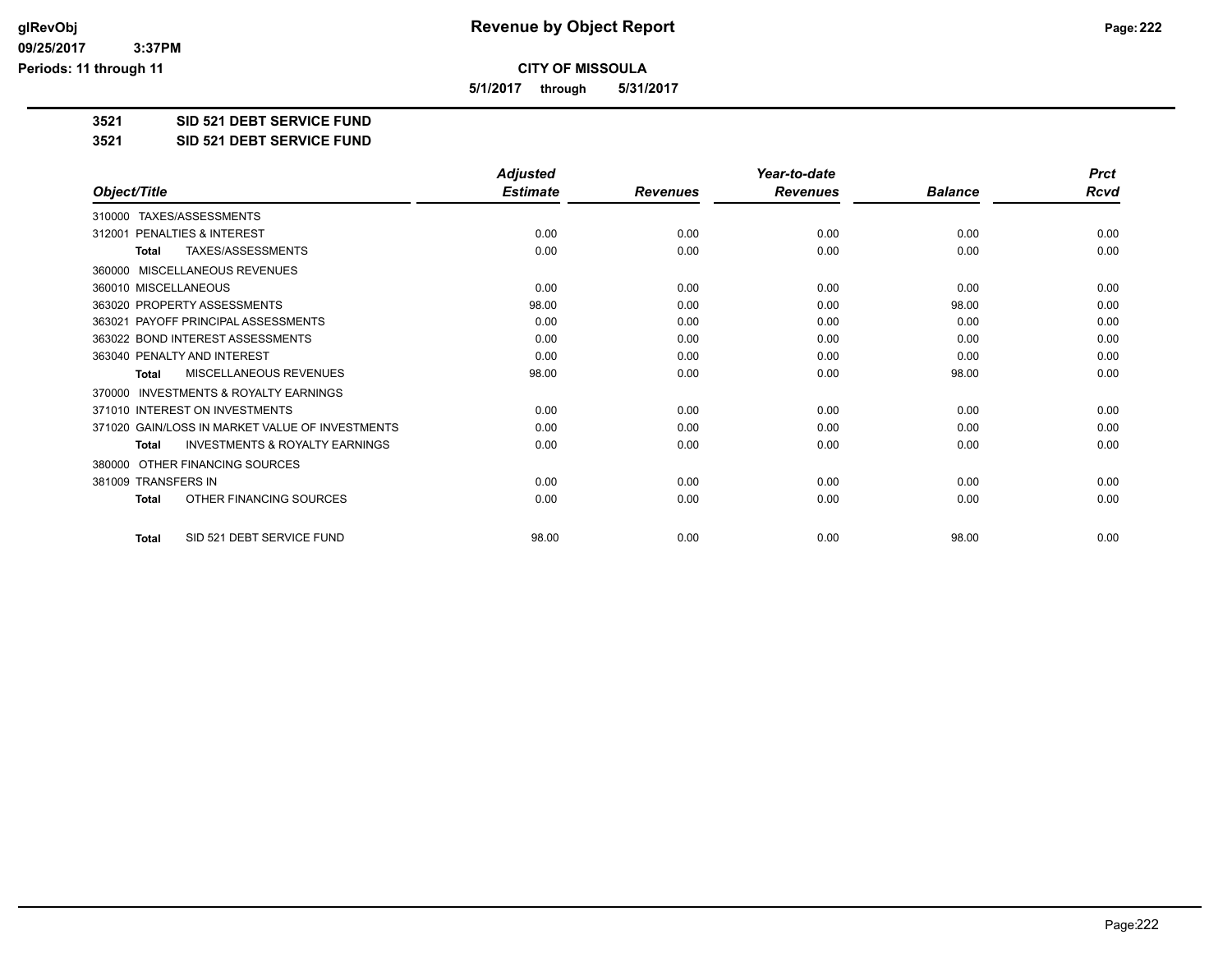**5/1/2017 through 5/31/2017**

**3521 SID 521 DEBT SERVICE FUND**

**3521 SID 521 DEBT SERVICE FUND**

|                                                           | <b>Adjusted</b> |                 | Year-to-date    |                | <b>Prct</b> |
|-----------------------------------------------------------|-----------------|-----------------|-----------------|----------------|-------------|
| Object/Title                                              | <b>Estimate</b> | <b>Revenues</b> | <b>Revenues</b> | <b>Balance</b> | <b>Rcvd</b> |
| TAXES/ASSESSMENTS<br>310000                               |                 |                 |                 |                |             |
| PENALTIES & INTEREST<br>312001                            | 0.00            | 0.00            | 0.00            | 0.00           | 0.00        |
| TAXES/ASSESSMENTS<br>Total                                | 0.00            | 0.00            | 0.00            | 0.00           | 0.00        |
| MISCELLANEOUS REVENUES<br>360000                          |                 |                 |                 |                |             |
| 360010 MISCELLANEOUS                                      | 0.00            | 0.00            | 0.00            | 0.00           | 0.00        |
| 363020 PROPERTY ASSESSMENTS                               | 98.00           | 0.00            | 0.00            | 98.00          | 0.00        |
| 363021 PAYOFF PRINCIPAL ASSESSMENTS                       | 0.00            | 0.00            | 0.00            | 0.00           | 0.00        |
| 363022 BOND INTEREST ASSESSMENTS                          | 0.00            | 0.00            | 0.00            | 0.00           | 0.00        |
| 363040 PENALTY AND INTEREST                               | 0.00            | 0.00            | 0.00            | 0.00           | 0.00        |
| <b>MISCELLANEOUS REVENUES</b><br><b>Total</b>             | 98.00           | 0.00            | 0.00            | 98.00          | 0.00        |
| <b>INVESTMENTS &amp; ROYALTY EARNINGS</b><br>370000       |                 |                 |                 |                |             |
| 371010 INTEREST ON INVESTMENTS                            | 0.00            | 0.00            | 0.00            | 0.00           | 0.00        |
| 371020 GAIN/LOSS IN MARKET VALUE OF INVESTMENTS           | 0.00            | 0.00            | 0.00            | 0.00           | 0.00        |
| <b>INVESTMENTS &amp; ROYALTY EARNINGS</b><br><b>Total</b> | 0.00            | 0.00            | 0.00            | 0.00           | 0.00        |
| OTHER FINANCING SOURCES<br>380000                         |                 |                 |                 |                |             |
| 381009 TRANSFERS IN                                       | 0.00            | 0.00            | 0.00            | 0.00           | 0.00        |
| OTHER FINANCING SOURCES<br><b>Total</b>                   | 0.00            | 0.00            | 0.00            | 0.00           | 0.00        |
| SID 521 DEBT SERVICE FUND<br><b>Total</b>                 | 98.00           | 0.00            | 0.00            | 98.00          | 0.00        |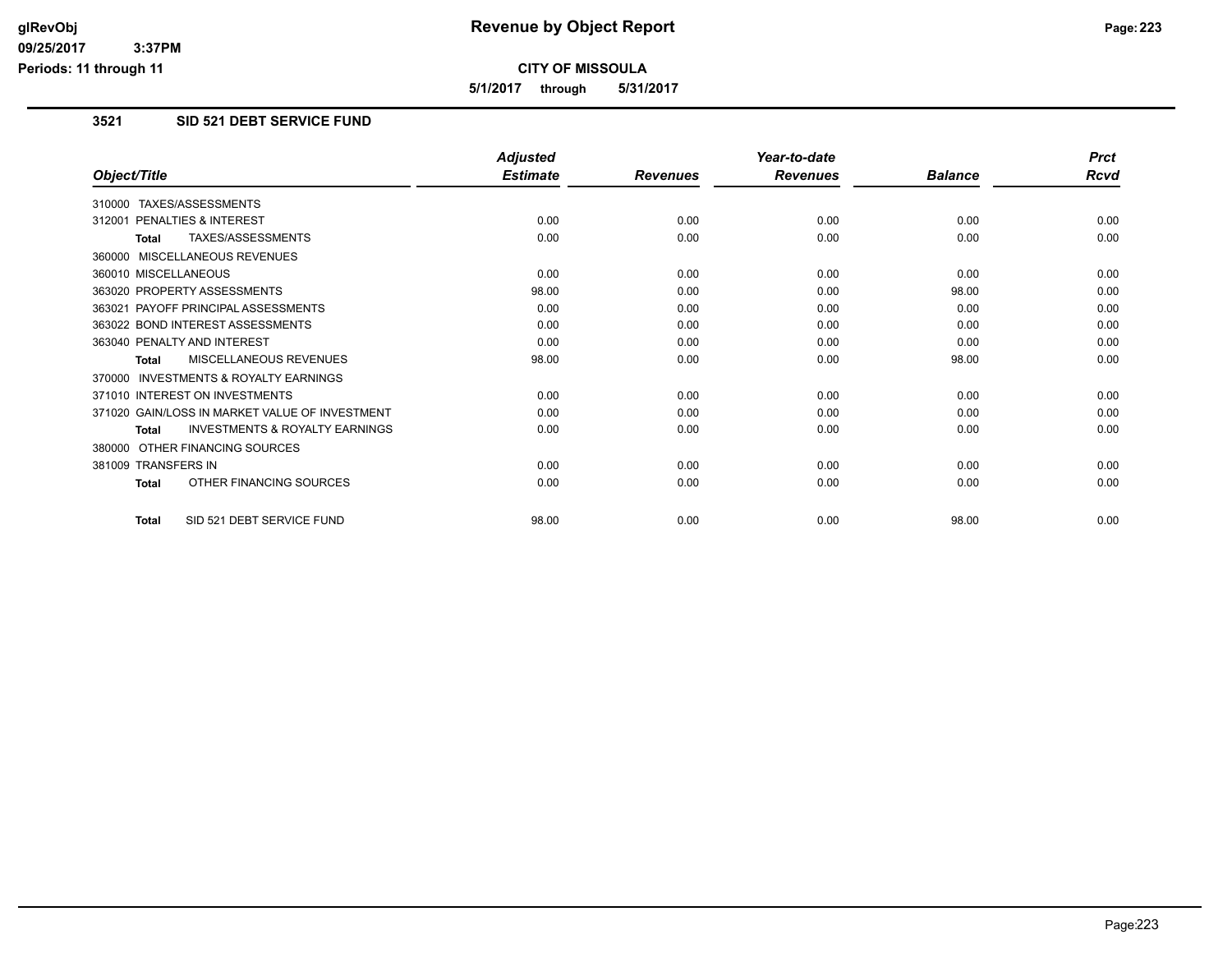**5/1/2017 through 5/31/2017**

# **3521 SID 521 DEBT SERVICE FUND**

|                                                           | <b>Adjusted</b> |                 | Year-to-date    |                | <b>Prct</b> |
|-----------------------------------------------------------|-----------------|-----------------|-----------------|----------------|-------------|
| Object/Title                                              | <b>Estimate</b> | <b>Revenues</b> | <b>Revenues</b> | <b>Balance</b> | <b>Rcvd</b> |
| 310000 TAXES/ASSESSMENTS                                  |                 |                 |                 |                |             |
| PENALTIES & INTEREST<br>312001                            | 0.00            | 0.00            | 0.00            | 0.00           | 0.00        |
| TAXES/ASSESSMENTS<br><b>Total</b>                         | 0.00            | 0.00            | 0.00            | 0.00           | 0.00        |
| 360000 MISCELLANEOUS REVENUES                             |                 |                 |                 |                |             |
| 360010 MISCELLANEOUS                                      | 0.00            | 0.00            | 0.00            | 0.00           | 0.00        |
| 363020 PROPERTY ASSESSMENTS                               | 98.00           | 0.00            | 0.00            | 98.00          | 0.00        |
| 363021 PAYOFF PRINCIPAL ASSESSMENTS                       | 0.00            | 0.00            | 0.00            | 0.00           | 0.00        |
| 363022 BOND INTEREST ASSESSMENTS                          | 0.00            | 0.00            | 0.00            | 0.00           | 0.00        |
| 363040 PENALTY AND INTEREST                               | 0.00            | 0.00            | 0.00            | 0.00           | 0.00        |
| <b>MISCELLANEOUS REVENUES</b><br><b>Total</b>             | 98.00           | 0.00            | 0.00            | 98.00          | 0.00        |
| 370000 INVESTMENTS & ROYALTY EARNINGS                     |                 |                 |                 |                |             |
| 371010 INTEREST ON INVESTMENTS                            | 0.00            | 0.00            | 0.00            | 0.00           | 0.00        |
| 371020 GAIN/LOSS IN MARKET VALUE OF INVESTMENT            | 0.00            | 0.00            | 0.00            | 0.00           | 0.00        |
| <b>INVESTMENTS &amp; ROYALTY EARNINGS</b><br><b>Total</b> | 0.00            | 0.00            | 0.00            | 0.00           | 0.00        |
| 380000 OTHER FINANCING SOURCES                            |                 |                 |                 |                |             |
| 381009 TRANSFERS IN                                       | 0.00            | 0.00            | 0.00            | 0.00           | 0.00        |
| OTHER FINANCING SOURCES<br>Total                          | 0.00            | 0.00            | 0.00            | 0.00           | 0.00        |
| SID 521 DEBT SERVICE FUND<br><b>Total</b>                 | 98.00           | 0.00            | 0.00            | 98.00          | 0.00        |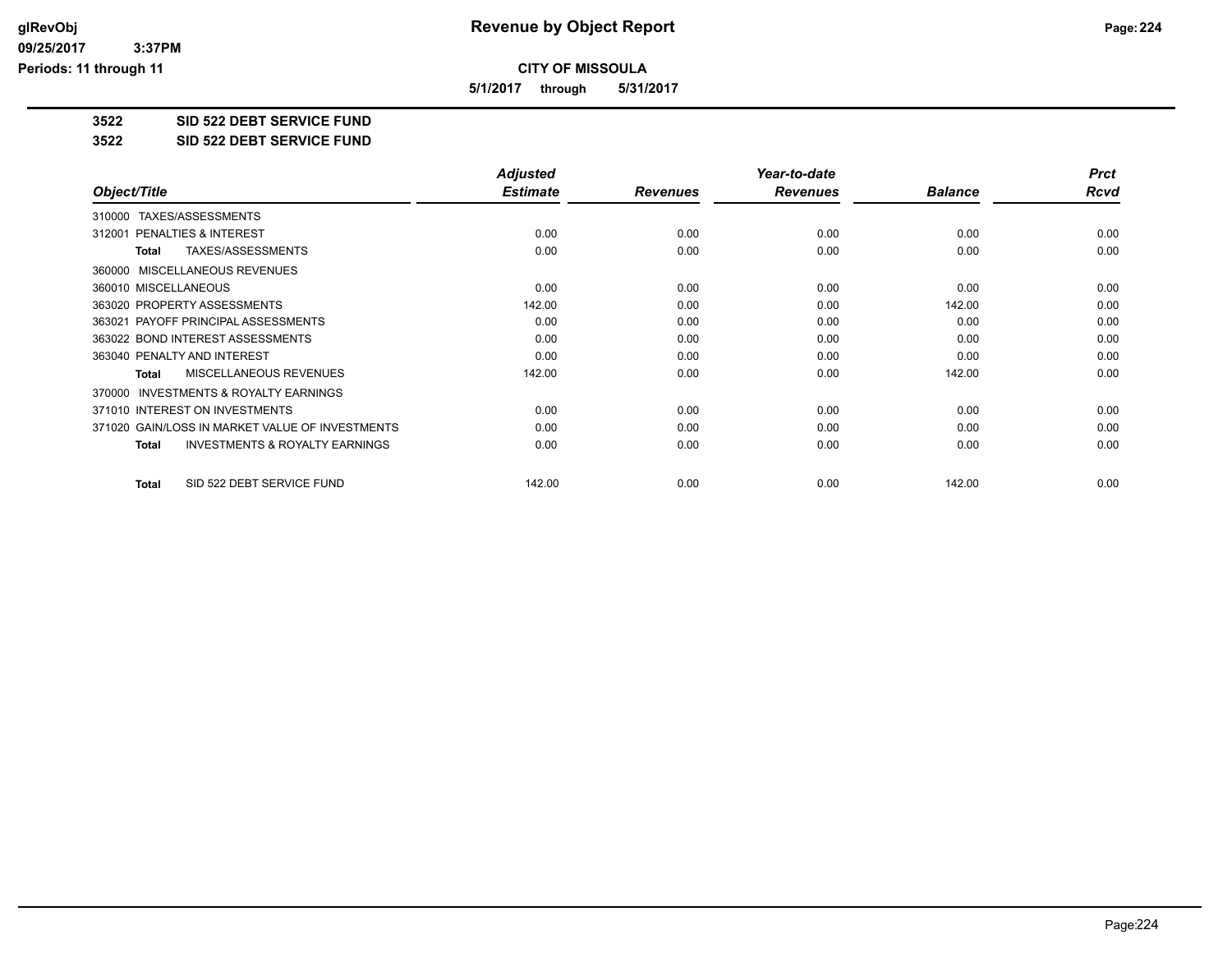**5/1/2017 through 5/31/2017**

**3522 SID 522 DEBT SERVICE FUND**

**3522 SID 522 DEBT SERVICE FUND**

|                                                    | <b>Adjusted</b> |                 | Year-to-date    |                | <b>Prct</b> |
|----------------------------------------------------|-----------------|-----------------|-----------------|----------------|-------------|
| Object/Title                                       | <b>Estimate</b> | <b>Revenues</b> | <b>Revenues</b> | <b>Balance</b> | Rcvd        |
| 310000 TAXES/ASSESSMENTS                           |                 |                 |                 |                |             |
| PENALTIES & INTEREST<br>312001                     | 0.00            | 0.00            | 0.00            | 0.00           | 0.00        |
| TAXES/ASSESSMENTS<br>Total                         | 0.00            | 0.00            | 0.00            | 0.00           | 0.00        |
| 360000 MISCELLANEOUS REVENUES                      |                 |                 |                 |                |             |
| 360010 MISCELLANEOUS                               | 0.00            | 0.00            | 0.00            | 0.00           | 0.00        |
| 363020 PROPERTY ASSESSMENTS                        | 142.00          | 0.00            | 0.00            | 142.00         | 0.00        |
| 363021 PAYOFF PRINCIPAL ASSESSMENTS                | 0.00            | 0.00            | 0.00            | 0.00           | 0.00        |
| 363022 BOND INTEREST ASSESSMENTS                   | 0.00            | 0.00            | 0.00            | 0.00           | 0.00        |
| 363040 PENALTY AND INTEREST                        | 0.00            | 0.00            | 0.00            | 0.00           | 0.00        |
| MISCELLANEOUS REVENUES<br>Total                    | 142.00          | 0.00            | 0.00            | 142.00         | 0.00        |
| 370000 INVESTMENTS & ROYALTY EARNINGS              |                 |                 |                 |                |             |
| 371010 INTEREST ON INVESTMENTS                     | 0.00            | 0.00            | 0.00            | 0.00           | 0.00        |
| 371020 GAIN/LOSS IN MARKET VALUE OF INVESTMENTS    | 0.00            | 0.00            | 0.00            | 0.00           | 0.00        |
| <b>INVESTMENTS &amp; ROYALTY EARNINGS</b><br>Total | 0.00            | 0.00            | 0.00            | 0.00           | 0.00        |
| SID 522 DEBT SERVICE FUND<br>Total                 | 142.00          | 0.00            | 0.00            | 142.00         | 0.00        |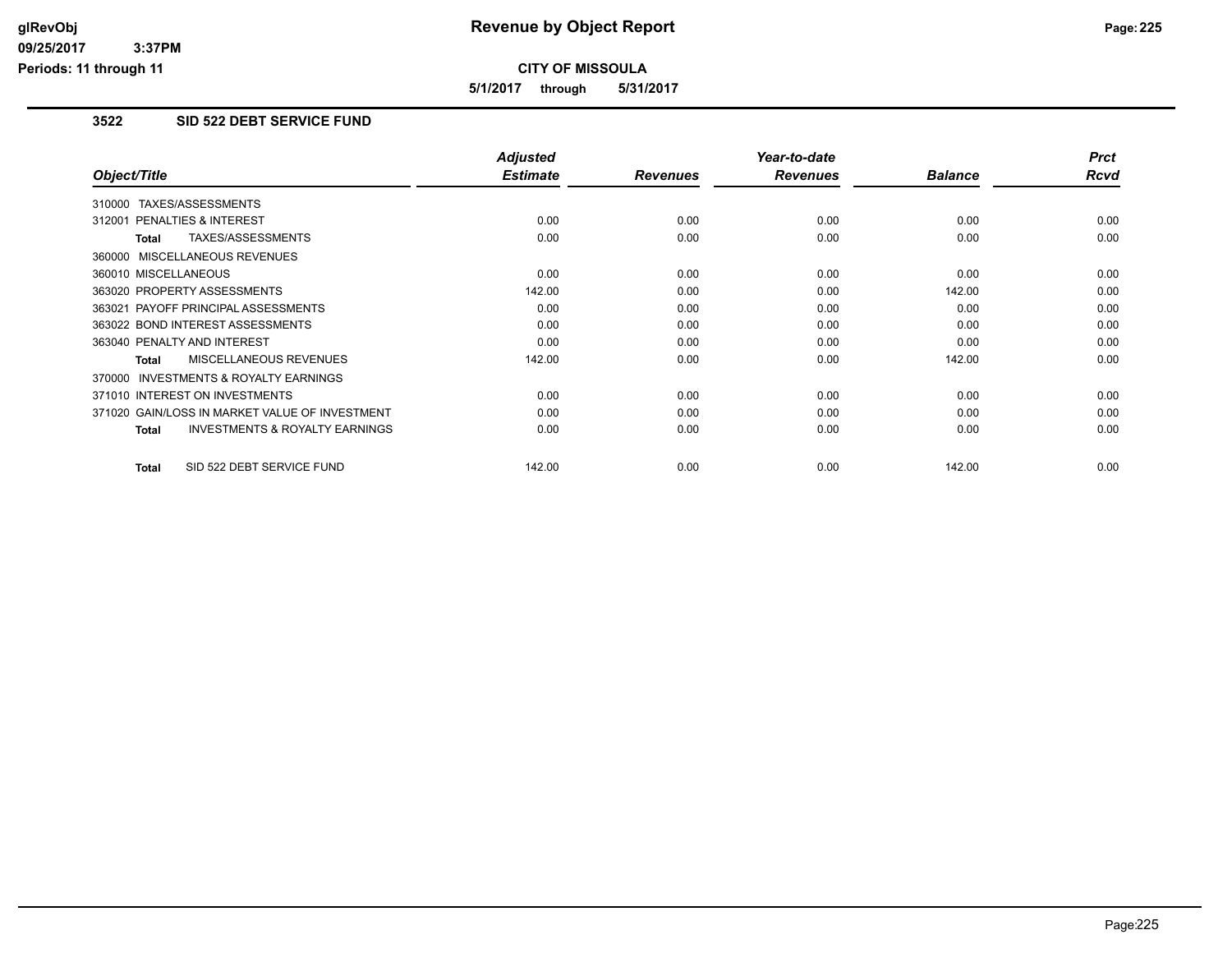**5/1/2017 through 5/31/2017**

# **3522 SID 522 DEBT SERVICE FUND**

|                                                           | <b>Adjusted</b> |                 | Year-to-date    |                | <b>Prct</b> |
|-----------------------------------------------------------|-----------------|-----------------|-----------------|----------------|-------------|
| Object/Title                                              | <b>Estimate</b> | <b>Revenues</b> | <b>Revenues</b> | <b>Balance</b> | <b>Rcvd</b> |
| 310000 TAXES/ASSESSMENTS                                  |                 |                 |                 |                |             |
| 312001 PENALTIES & INTEREST                               | 0.00            | 0.00            | 0.00            | 0.00           | 0.00        |
| TAXES/ASSESSMENTS<br><b>Total</b>                         | 0.00            | 0.00            | 0.00            | 0.00           | 0.00        |
| 360000 MISCELLANEOUS REVENUES                             |                 |                 |                 |                |             |
| 360010 MISCELLANEOUS                                      | 0.00            | 0.00            | 0.00            | 0.00           | 0.00        |
| 363020 PROPERTY ASSESSMENTS                               | 142.00          | 0.00            | 0.00            | 142.00         | 0.00        |
| 363021 PAYOFF PRINCIPAL ASSESSMENTS                       | 0.00            | 0.00            | 0.00            | 0.00           | 0.00        |
| 363022 BOND INTEREST ASSESSMENTS                          | 0.00            | 0.00            | 0.00            | 0.00           | 0.00        |
| 363040 PENALTY AND INTEREST                               | 0.00            | 0.00            | 0.00            | 0.00           | 0.00        |
| MISCELLANEOUS REVENUES<br>Total                           | 142.00          | 0.00            | 0.00            | 142.00         | 0.00        |
| INVESTMENTS & ROYALTY EARNINGS<br>370000                  |                 |                 |                 |                |             |
| 371010 INTEREST ON INVESTMENTS                            | 0.00            | 0.00            | 0.00            | 0.00           | 0.00        |
| 371020 GAIN/LOSS IN MARKET VALUE OF INVESTMENT            | 0.00            | 0.00            | 0.00            | 0.00           | 0.00        |
| <b>INVESTMENTS &amp; ROYALTY EARNINGS</b><br><b>Total</b> | 0.00            | 0.00            | 0.00            | 0.00           | 0.00        |
| SID 522 DEBT SERVICE FUND<br><b>Total</b>                 | 142.00          | 0.00            | 0.00            | 142.00         | 0.00        |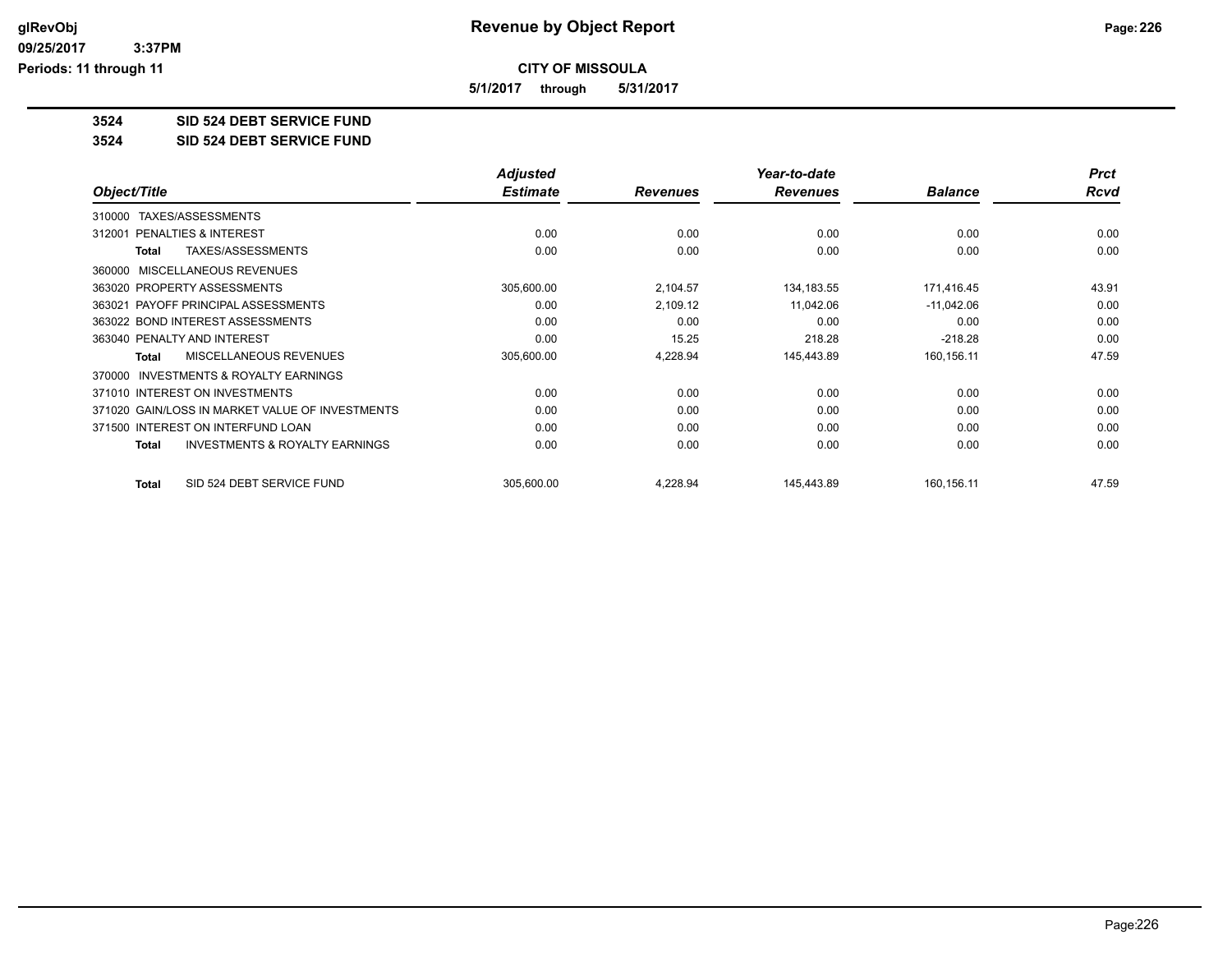**5/1/2017 through 5/31/2017**

**3524 SID 524 DEBT SERVICE FUND**

**3524 SID 524 DEBT SERVICE FUND**

|                                                    | <b>Adjusted</b> |                 | Year-to-date    |                | <b>Prct</b> |
|----------------------------------------------------|-----------------|-----------------|-----------------|----------------|-------------|
| Object/Title                                       | <b>Estimate</b> | <b>Revenues</b> | <b>Revenues</b> | <b>Balance</b> | Rcvd        |
| 310000 TAXES/ASSESSMENTS                           |                 |                 |                 |                |             |
| 312001 PENALTIES & INTEREST                        | 0.00            | 0.00            | 0.00            | 0.00           | 0.00        |
| TAXES/ASSESSMENTS<br>Total                         | 0.00            | 0.00            | 0.00            | 0.00           | 0.00        |
| MISCELLANEOUS REVENUES<br>360000                   |                 |                 |                 |                |             |
| 363020 PROPERTY ASSESSMENTS                        | 305,600.00      | 2,104.57        | 134,183.55      | 171,416.45     | 43.91       |
| 363021 PAYOFF PRINCIPAL ASSESSMENTS                | 0.00            | 2,109.12        | 11,042.06       | $-11,042.06$   | 0.00        |
| 363022 BOND INTEREST ASSESSMENTS                   | 0.00            | 0.00            | 0.00            | 0.00           | 0.00        |
| 363040 PENALTY AND INTEREST                        | 0.00            | 15.25           | 218.28          | $-218.28$      | 0.00        |
| MISCELLANEOUS REVENUES<br>Total                    | 305,600.00      | 4,228.94        | 145,443.89      | 160,156.11     | 47.59       |
| INVESTMENTS & ROYALTY EARNINGS<br>370000           |                 |                 |                 |                |             |
| 371010 INTEREST ON INVESTMENTS                     | 0.00            | 0.00            | 0.00            | 0.00           | 0.00        |
| 371020 GAIN/LOSS IN MARKET VALUE OF INVESTMENTS    | 0.00            | 0.00            | 0.00            | 0.00           | 0.00        |
| 371500 INTEREST ON INTERFUND LOAN                  | 0.00            | 0.00            | 0.00            | 0.00           | 0.00        |
| <b>INVESTMENTS &amp; ROYALTY EARNINGS</b><br>Total | 0.00            | 0.00            | 0.00            | 0.00           | 0.00        |
| SID 524 DEBT SERVICE FUND<br><b>Total</b>          | 305,600.00      | 4,228.94        | 145,443.89      | 160,156.11     | 47.59       |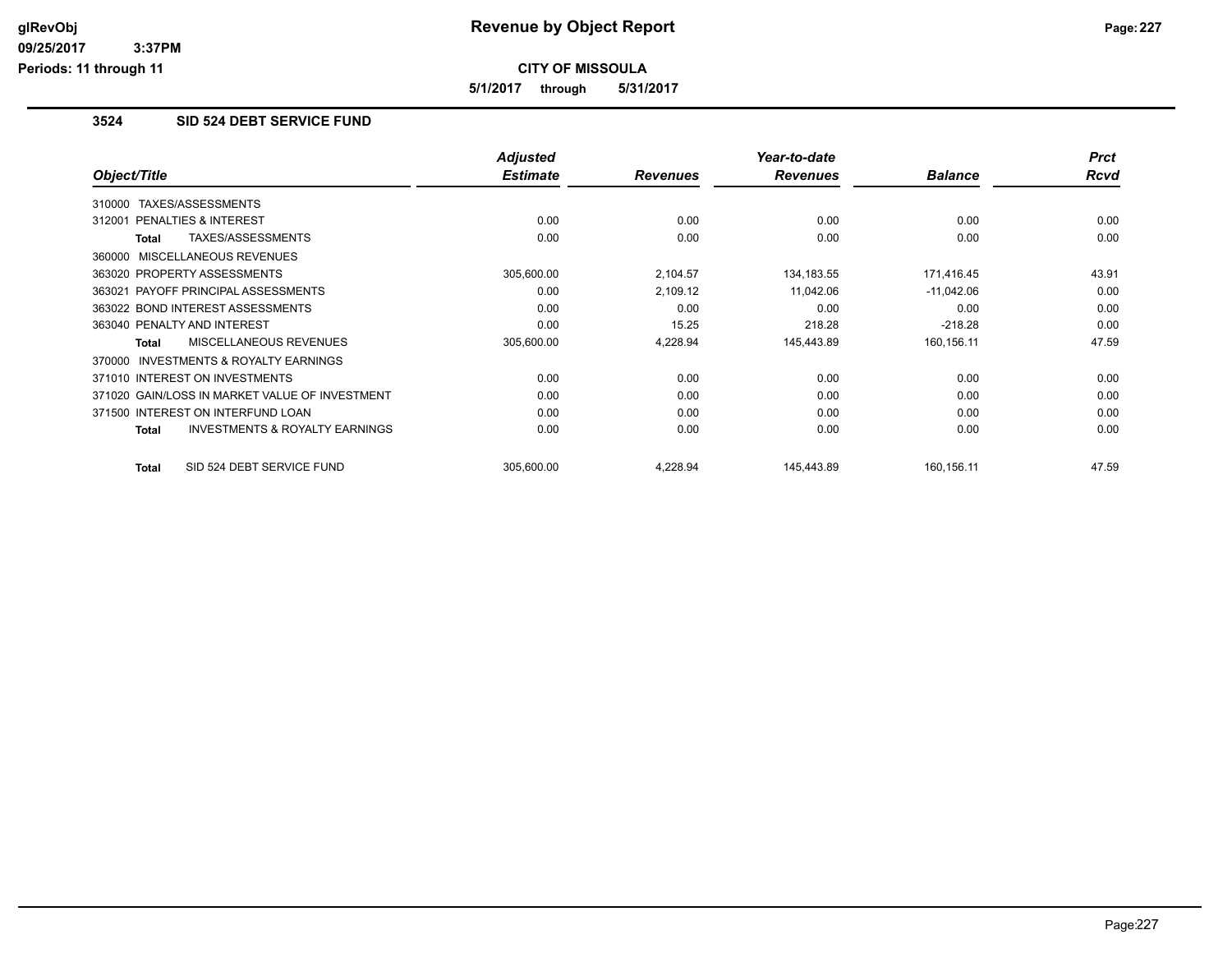**5/1/2017 through 5/31/2017**

# **3524 SID 524 DEBT SERVICE FUND**

|                                                    | Adjusted        |                 | Year-to-date    |                | <b>Prct</b> |
|----------------------------------------------------|-----------------|-----------------|-----------------|----------------|-------------|
| Object/Title                                       | <b>Estimate</b> | <b>Revenues</b> | <b>Revenues</b> | <b>Balance</b> | Rcvd        |
| 310000 TAXES/ASSESSMENTS                           |                 |                 |                 |                |             |
| 312001 PENALTIES & INTEREST                        | 0.00            | 0.00            | 0.00            | 0.00           | 0.00        |
| TAXES/ASSESSMENTS<br><b>Total</b>                  | 0.00            | 0.00            | 0.00            | 0.00           | 0.00        |
| 360000 MISCELLANEOUS REVENUES                      |                 |                 |                 |                |             |
| 363020 PROPERTY ASSESSMENTS                        | 305,600.00      | 2,104.57        | 134,183.55      | 171,416.45     | 43.91       |
| 363021 PAYOFF PRINCIPAL ASSESSMENTS                | 0.00            | 2,109.12        | 11,042.06       | $-11,042.06$   | 0.00        |
| 363022 BOND INTEREST ASSESSMENTS                   | 0.00            | 0.00            | 0.00            | 0.00           | 0.00        |
| 363040 PENALTY AND INTEREST                        | 0.00            | 15.25           | 218.28          | $-218.28$      | 0.00        |
| MISCELLANEOUS REVENUES<br>Total                    | 305,600.00      | 4,228.94        | 145,443.89      | 160,156.11     | 47.59       |
| INVESTMENTS & ROYALTY EARNINGS<br>370000           |                 |                 |                 |                |             |
| 371010 INTEREST ON INVESTMENTS                     | 0.00            | 0.00            | 0.00            | 0.00           | 0.00        |
| 371020 GAIN/LOSS IN MARKET VALUE OF INVESTMENT     | 0.00            | 0.00            | 0.00            | 0.00           | 0.00        |
| 371500 INTEREST ON INTERFUND LOAN                  | 0.00            | 0.00            | 0.00            | 0.00           | 0.00        |
| <b>INVESTMENTS &amp; ROYALTY EARNINGS</b><br>Total | 0.00            | 0.00            | 0.00            | 0.00           | 0.00        |
| SID 524 DEBT SERVICE FUND<br>Total                 | 305,600.00      | 4,228.94        | 145.443.89      | 160,156.11     | 47.59       |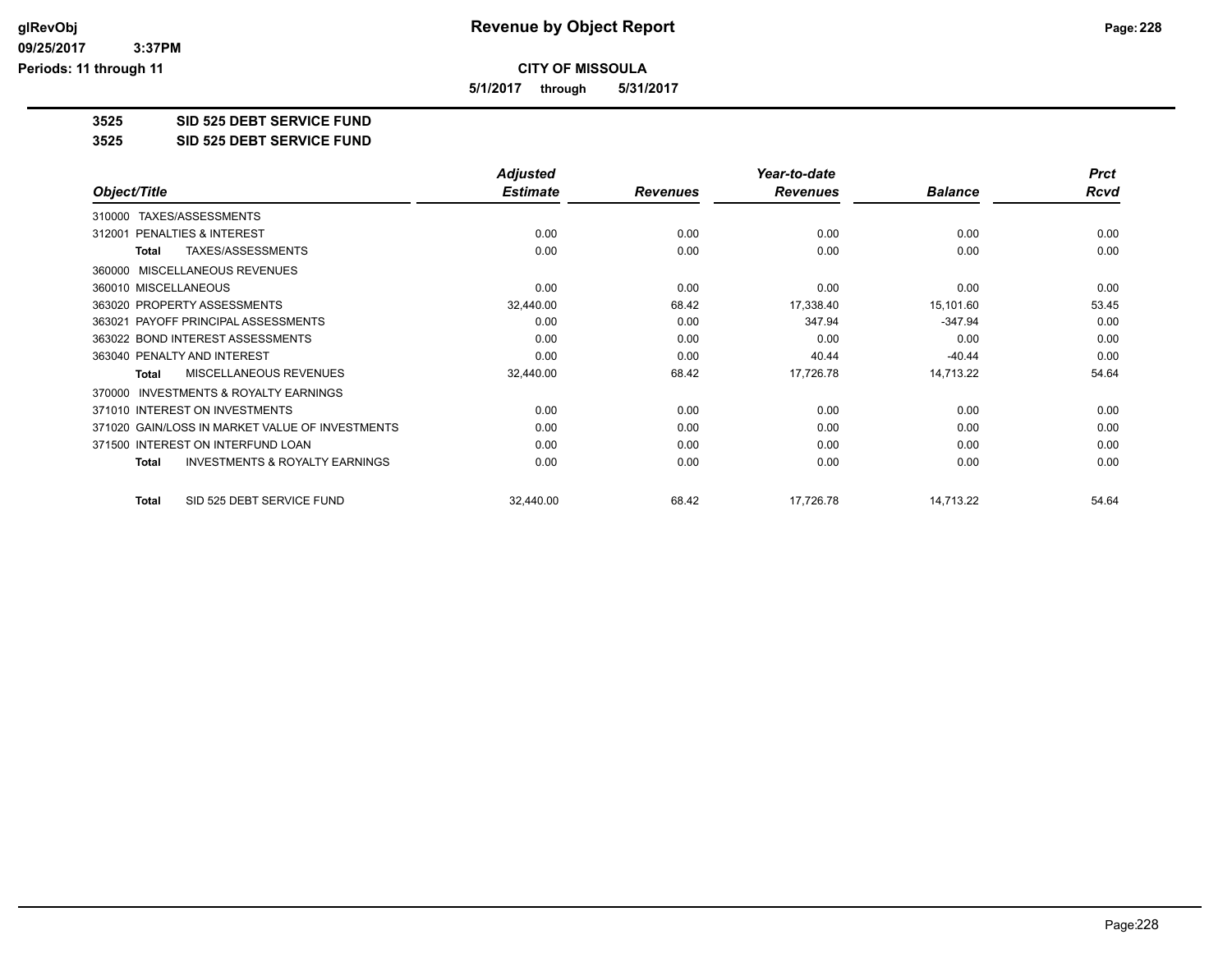**5/1/2017 through 5/31/2017**

**3525 SID 525 DEBT SERVICE FUND**

**3525 SID 525 DEBT SERVICE FUND**

|                                                           | <b>Adjusted</b> |                 | Year-to-date    |                | <b>Prct</b> |
|-----------------------------------------------------------|-----------------|-----------------|-----------------|----------------|-------------|
| Object/Title                                              | <b>Estimate</b> | <b>Revenues</b> | <b>Revenues</b> | <b>Balance</b> | <b>Rcvd</b> |
| TAXES/ASSESSMENTS<br>310000                               |                 |                 |                 |                |             |
| <b>PENALTIES &amp; INTEREST</b><br>312001                 | 0.00            | 0.00            | 0.00            | 0.00           | 0.00        |
| TAXES/ASSESSMENTS<br>Total                                | 0.00            | 0.00            | 0.00            | 0.00           | 0.00        |
| MISCELLANEOUS REVENUES<br>360000                          |                 |                 |                 |                |             |
| 360010 MISCELLANEOUS                                      | 0.00            | 0.00            | 0.00            | 0.00           | 0.00        |
| 363020 PROPERTY ASSESSMENTS                               | 32,440.00       | 68.42           | 17,338.40       | 15,101.60      | 53.45       |
| 363021 PAYOFF PRINCIPAL ASSESSMENTS                       | 0.00            | 0.00            | 347.94          | $-347.94$      | 0.00        |
| 363022 BOND INTEREST ASSESSMENTS                          | 0.00            | 0.00            | 0.00            | 0.00           | 0.00        |
| 363040 PENALTY AND INTEREST                               | 0.00            | 0.00            | 40.44           | $-40.44$       | 0.00        |
| <b>MISCELLANEOUS REVENUES</b><br><b>Total</b>             | 32,440.00       | 68.42           | 17,726.78       | 14,713.22      | 54.64       |
| <b>INVESTMENTS &amp; ROYALTY EARNINGS</b><br>370000       |                 |                 |                 |                |             |
| 371010 INTEREST ON INVESTMENTS                            | 0.00            | 0.00            | 0.00            | 0.00           | 0.00        |
| 371020 GAIN/LOSS IN MARKET VALUE OF INVESTMENTS           | 0.00            | 0.00            | 0.00            | 0.00           | 0.00        |
| 371500 INTEREST ON INTERFUND LOAN                         | 0.00            | 0.00            | 0.00            | 0.00           | 0.00        |
| <b>INVESTMENTS &amp; ROYALTY EARNINGS</b><br><b>Total</b> | 0.00            | 0.00            | 0.00            | 0.00           | 0.00        |
| SID 525 DEBT SERVICE FUND<br><b>Total</b>                 | 32,440.00       | 68.42           | 17,726.78       | 14,713.22      | 54.64       |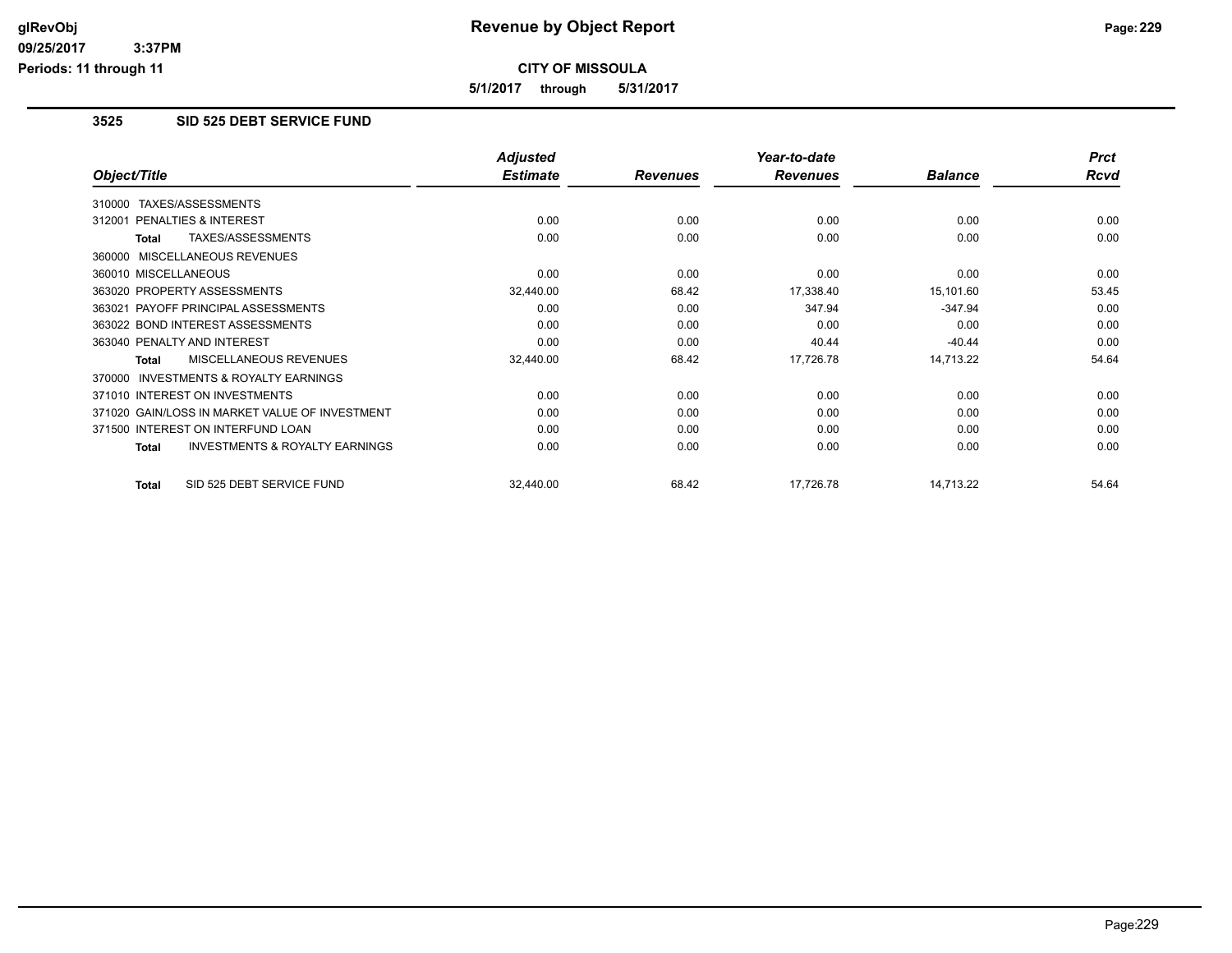**5/1/2017 through 5/31/2017**

# **3525 SID 525 DEBT SERVICE FUND**

|                                                           | <b>Adjusted</b> |                 | Year-to-date    |                | <b>Prct</b> |
|-----------------------------------------------------------|-----------------|-----------------|-----------------|----------------|-------------|
| Object/Title                                              | <b>Estimate</b> | <b>Revenues</b> | <b>Revenues</b> | <b>Balance</b> | Rcvd        |
| TAXES/ASSESSMENTS<br>310000                               |                 |                 |                 |                |             |
| <b>PENALTIES &amp; INTEREST</b><br>312001                 | 0.00            | 0.00            | 0.00            | 0.00           | 0.00        |
| TAXES/ASSESSMENTS<br>Total                                | 0.00            | 0.00            | 0.00            | 0.00           | 0.00        |
| 360000 MISCELLANEOUS REVENUES                             |                 |                 |                 |                |             |
| 360010 MISCELLANEOUS                                      | 0.00            | 0.00            | 0.00            | 0.00           | 0.00        |
| 363020 PROPERTY ASSESSMENTS                               | 32,440.00       | 68.42           | 17,338.40       | 15,101.60      | 53.45       |
| 363021 PAYOFF PRINCIPAL ASSESSMENTS                       | 0.00            | 0.00            | 347.94          | $-347.94$      | 0.00        |
| 363022 BOND INTEREST ASSESSMENTS                          | 0.00            | 0.00            | 0.00            | 0.00           | 0.00        |
| 363040 PENALTY AND INTEREST                               | 0.00            | 0.00            | 40.44           | $-40.44$       | 0.00        |
| <b>MISCELLANEOUS REVENUES</b><br><b>Total</b>             | 32,440.00       | 68.42           | 17,726.78       | 14,713.22      | 54.64       |
| <b>INVESTMENTS &amp; ROYALTY EARNINGS</b><br>370000       |                 |                 |                 |                |             |
| 371010 INTEREST ON INVESTMENTS                            | 0.00            | 0.00            | 0.00            | 0.00           | 0.00        |
| 371020 GAIN/LOSS IN MARKET VALUE OF INVESTMENT            | 0.00            | 0.00            | 0.00            | 0.00           | 0.00        |
| 371500 INTEREST ON INTERFUND LOAN                         | 0.00            | 0.00            | 0.00            | 0.00           | 0.00        |
| <b>INVESTMENTS &amp; ROYALTY EARNINGS</b><br><b>Total</b> | 0.00            | 0.00            | 0.00            | 0.00           | 0.00        |
| SID 525 DEBT SERVICE FUND<br><b>Total</b>                 | 32,440.00       | 68.42           | 17,726.78       | 14,713.22      | 54.64       |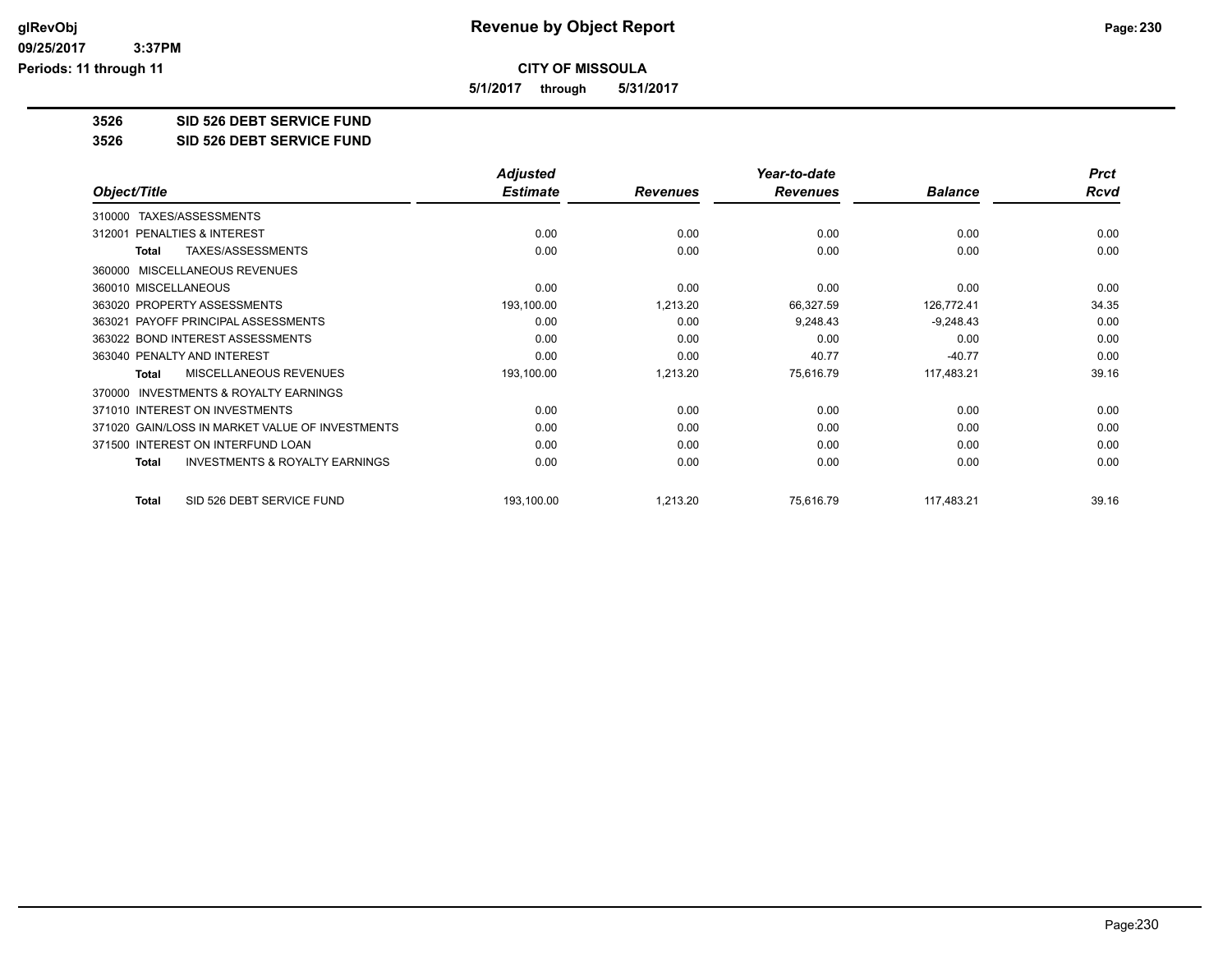**5/1/2017 through 5/31/2017**

**3526 SID 526 DEBT SERVICE FUND**

**3526 SID 526 DEBT SERVICE FUND**

|                                                           | <b>Adjusted</b> |                 | Year-to-date    |                | <b>Prct</b> |
|-----------------------------------------------------------|-----------------|-----------------|-----------------|----------------|-------------|
| Object/Title                                              | <b>Estimate</b> | <b>Revenues</b> | <b>Revenues</b> | <b>Balance</b> | <b>Rcvd</b> |
| TAXES/ASSESSMENTS<br>310000                               |                 |                 |                 |                |             |
| PENALTIES & INTEREST<br>312001                            | 0.00            | 0.00            | 0.00            | 0.00           | 0.00        |
| <b>TAXES/ASSESSMENTS</b><br>Total                         | 0.00            | 0.00            | 0.00            | 0.00           | 0.00        |
| MISCELLANEOUS REVENUES<br>360000                          |                 |                 |                 |                |             |
| 360010 MISCELLANEOUS                                      | 0.00            | 0.00            | 0.00            | 0.00           | 0.00        |
| 363020 PROPERTY ASSESSMENTS                               | 193,100.00      | 1,213.20        | 66,327.59       | 126,772.41     | 34.35       |
| 363021 PAYOFF PRINCIPAL ASSESSMENTS                       | 0.00            | 0.00            | 9,248.43        | $-9,248.43$    | 0.00        |
| 363022 BOND INTEREST ASSESSMENTS                          | 0.00            | 0.00            | 0.00            | 0.00           | 0.00        |
| 363040 PENALTY AND INTEREST                               | 0.00            | 0.00            | 40.77           | $-40.77$       | 0.00        |
| MISCELLANEOUS REVENUES<br>Total                           | 193,100.00      | 1,213.20        | 75,616.79       | 117,483.21     | 39.16       |
| INVESTMENTS & ROYALTY EARNINGS<br>370000                  |                 |                 |                 |                |             |
| 371010 INTEREST ON INVESTMENTS                            | 0.00            | 0.00            | 0.00            | 0.00           | 0.00        |
| 371020 GAIN/LOSS IN MARKET VALUE OF INVESTMENTS           | 0.00            | 0.00            | 0.00            | 0.00           | 0.00        |
| 371500 INTEREST ON INTERFUND LOAN                         | 0.00            | 0.00            | 0.00            | 0.00           | 0.00        |
| <b>INVESTMENTS &amp; ROYALTY EARNINGS</b><br><b>Total</b> | 0.00            | 0.00            | 0.00            | 0.00           | 0.00        |
| SID 526 DEBT SERVICE FUND<br>Total                        | 193,100.00      | 1,213.20        | 75,616.79       | 117,483.21     | 39.16       |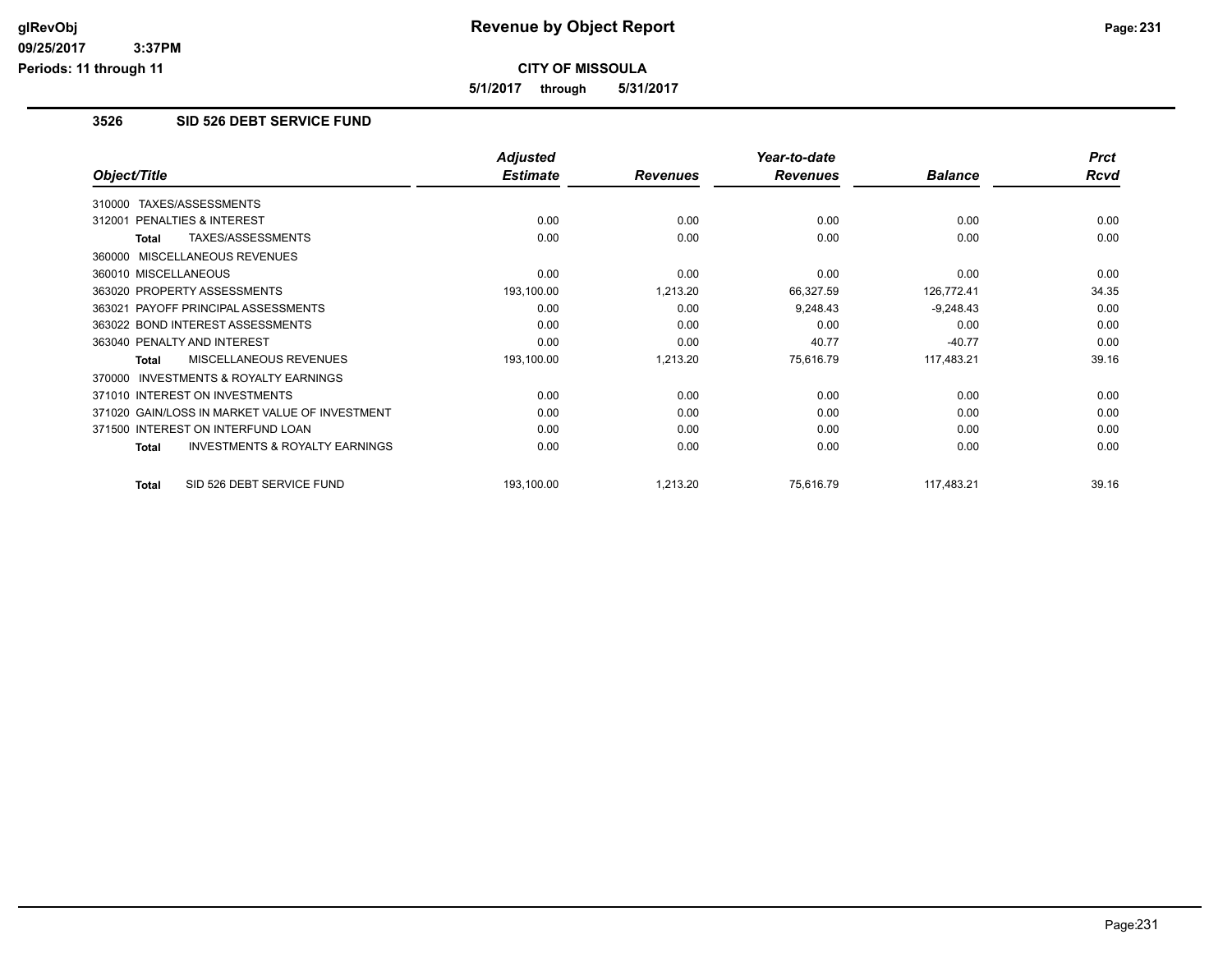**5/1/2017 through 5/31/2017**

# **3526 SID 526 DEBT SERVICE FUND**

|                                                           | <b>Adjusted</b> |                 | Year-to-date    |                | <b>Prct</b> |
|-----------------------------------------------------------|-----------------|-----------------|-----------------|----------------|-------------|
| Object/Title                                              | <b>Estimate</b> | <b>Revenues</b> | <b>Revenues</b> | <b>Balance</b> | <b>Rcvd</b> |
| TAXES/ASSESSMENTS<br>310000                               |                 |                 |                 |                |             |
| PENALTIES & INTEREST<br>312001                            | 0.00            | 0.00            | 0.00            | 0.00           | 0.00        |
| TAXES/ASSESSMENTS<br><b>Total</b>                         | 0.00            | 0.00            | 0.00            | 0.00           | 0.00        |
| 360000 MISCELLANEOUS REVENUES                             |                 |                 |                 |                |             |
| 360010 MISCELLANEOUS                                      | 0.00            | 0.00            | 0.00            | 0.00           | 0.00        |
| 363020 PROPERTY ASSESSMENTS                               | 193,100.00      | 1,213.20        | 66,327.59       | 126,772.41     | 34.35       |
| 363021 PAYOFF PRINCIPAL ASSESSMENTS                       | 0.00            | 0.00            | 9,248.43        | $-9,248.43$    | 0.00        |
| 363022 BOND INTEREST ASSESSMENTS                          | 0.00            | 0.00            | 0.00            | 0.00           | 0.00        |
| 363040 PENALTY AND INTEREST                               | 0.00            | 0.00            | 40.77           | $-40.77$       | 0.00        |
| <b>MISCELLANEOUS REVENUES</b><br><b>Total</b>             | 193,100.00      | 1,213.20        | 75,616.79       | 117,483.21     | 39.16       |
| <b>INVESTMENTS &amp; ROYALTY EARNINGS</b><br>370000       |                 |                 |                 |                |             |
| 371010 INTEREST ON INVESTMENTS                            | 0.00            | 0.00            | 0.00            | 0.00           | 0.00        |
| 371020 GAIN/LOSS IN MARKET VALUE OF INVESTMENT            | 0.00            | 0.00            | 0.00            | 0.00           | 0.00        |
| 371500 INTEREST ON INTERFUND LOAN                         | 0.00            | 0.00            | 0.00            | 0.00           | 0.00        |
| <b>INVESTMENTS &amp; ROYALTY EARNINGS</b><br><b>Total</b> | 0.00            | 0.00            | 0.00            | 0.00           | 0.00        |
| SID 526 DEBT SERVICE FUND<br><b>Total</b>                 | 193,100.00      | 1,213.20        | 75,616.79       | 117,483.21     | 39.16       |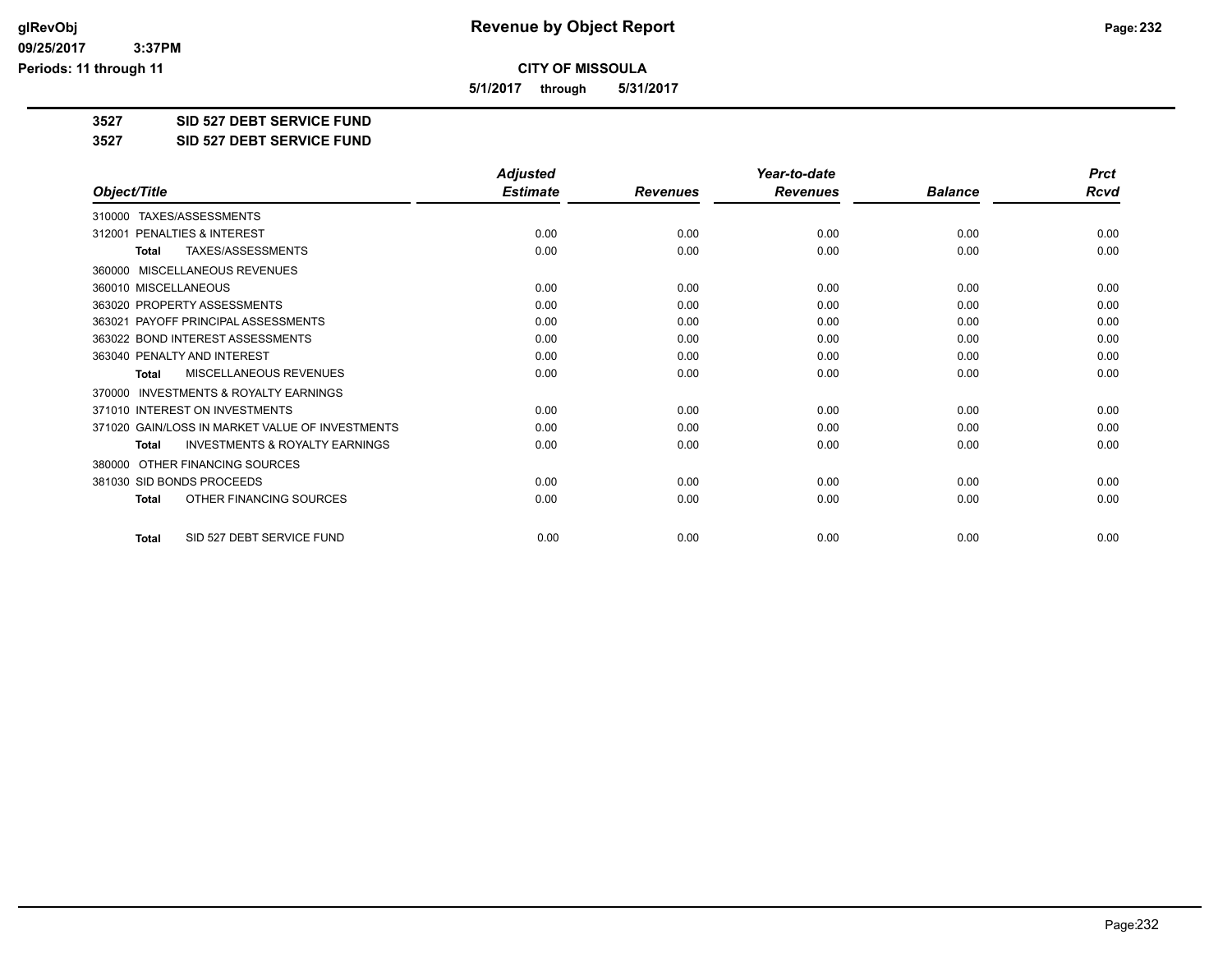**Periods: 11 through 11**

**CITY OF MISSOULA**

**5/1/2017 through 5/31/2017**

**3527 SID 527 DEBT SERVICE FUND**

**3527 SID 527 DEBT SERVICE FUND**

|                                                           | <b>Adjusted</b> |                 | Year-to-date    |                | <b>Prct</b> |
|-----------------------------------------------------------|-----------------|-----------------|-----------------|----------------|-------------|
| Object/Title                                              | <b>Estimate</b> | <b>Revenues</b> | <b>Revenues</b> | <b>Balance</b> | <b>Rcvd</b> |
| TAXES/ASSESSMENTS<br>310000                               |                 |                 |                 |                |             |
| PENALTIES & INTEREST<br>312001                            | 0.00            | 0.00            | 0.00            | 0.00           | 0.00        |
| TAXES/ASSESSMENTS<br>Total                                | 0.00            | 0.00            | 0.00            | 0.00           | 0.00        |
| MISCELLANEOUS REVENUES<br>360000                          |                 |                 |                 |                |             |
| 360010 MISCELLANEOUS                                      | 0.00            | 0.00            | 0.00            | 0.00           | 0.00        |
| 363020 PROPERTY ASSESSMENTS                               | 0.00            | 0.00            | 0.00            | 0.00           | 0.00        |
| 363021 PAYOFF PRINCIPAL ASSESSMENTS                       | 0.00            | 0.00            | 0.00            | 0.00           | 0.00        |
| 363022 BOND INTEREST ASSESSMENTS                          | 0.00            | 0.00            | 0.00            | 0.00           | 0.00        |
| 363040 PENALTY AND INTEREST                               | 0.00            | 0.00            | 0.00            | 0.00           | 0.00        |
| MISCELLANEOUS REVENUES<br><b>Total</b>                    | 0.00            | 0.00            | 0.00            | 0.00           | 0.00        |
| <b>INVESTMENTS &amp; ROYALTY EARNINGS</b><br>370000       |                 |                 |                 |                |             |
| 371010 INTEREST ON INVESTMENTS                            | 0.00            | 0.00            | 0.00            | 0.00           | 0.00        |
| 371020 GAIN/LOSS IN MARKET VALUE OF INVESTMENTS           | 0.00            | 0.00            | 0.00            | 0.00           | 0.00        |
| <b>INVESTMENTS &amp; ROYALTY EARNINGS</b><br><b>Total</b> | 0.00            | 0.00            | 0.00            | 0.00           | 0.00        |
| OTHER FINANCING SOURCES<br>380000                         |                 |                 |                 |                |             |
| 381030 SID BONDS PROCEEDS                                 | 0.00            | 0.00            | 0.00            | 0.00           | 0.00        |
| OTHER FINANCING SOURCES<br><b>Total</b>                   | 0.00            | 0.00            | 0.00            | 0.00           | 0.00        |
| SID 527 DEBT SERVICE FUND<br><b>Total</b>                 | 0.00            | 0.00            | 0.00            | 0.00           | 0.00        |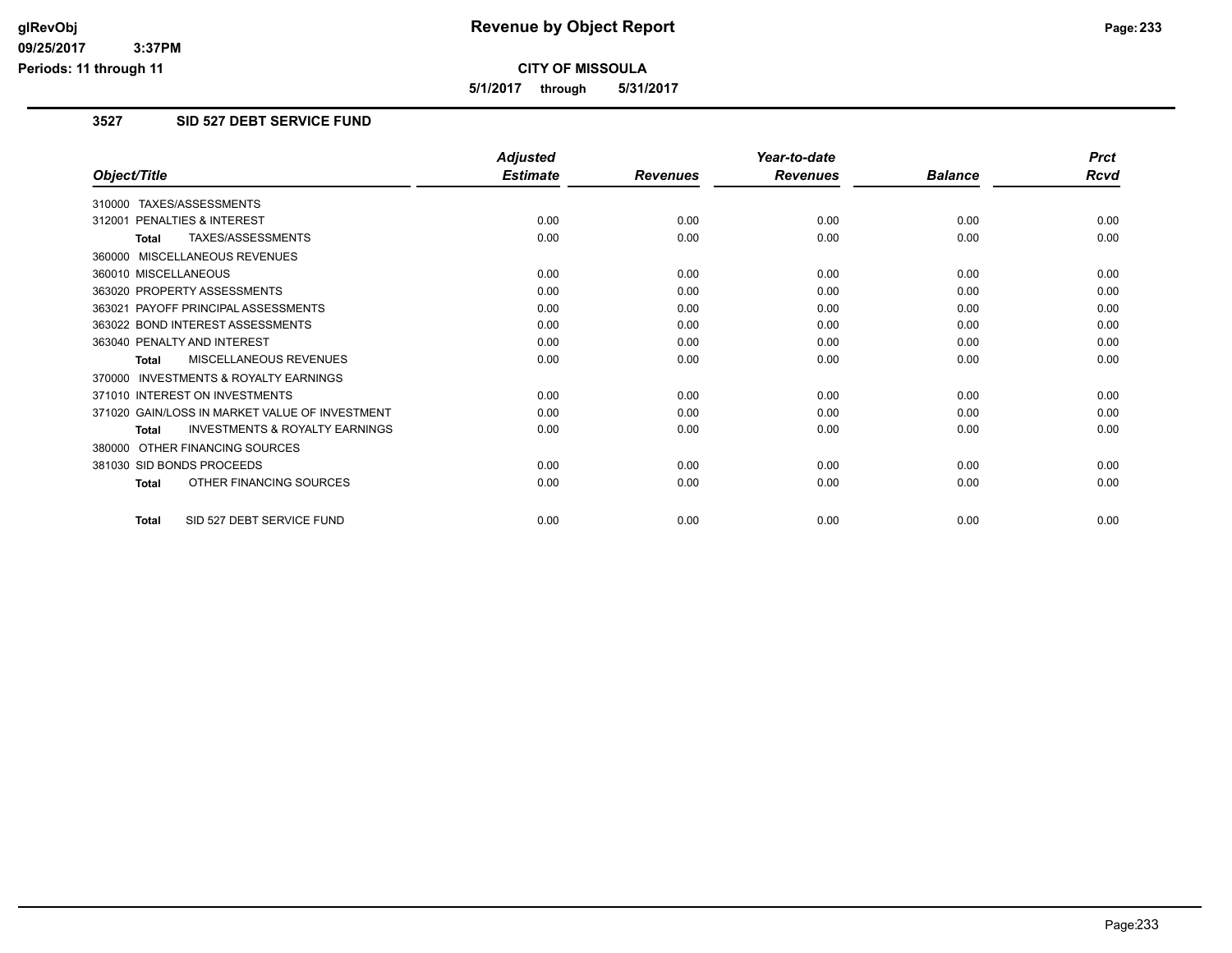**5/1/2017 through 5/31/2017**

# **3527 SID 527 DEBT SERVICE FUND**

|                                                           | <b>Adjusted</b> |                 | Year-to-date    |                | <b>Prct</b> |
|-----------------------------------------------------------|-----------------|-----------------|-----------------|----------------|-------------|
| Object/Title                                              | <b>Estimate</b> | <b>Revenues</b> | <b>Revenues</b> | <b>Balance</b> | <b>Rcvd</b> |
| 310000 TAXES/ASSESSMENTS                                  |                 |                 |                 |                |             |
| 312001 PENALTIES & INTEREST                               | 0.00            | 0.00            | 0.00            | 0.00           | 0.00        |
| TAXES/ASSESSMENTS<br><b>Total</b>                         | 0.00            | 0.00            | 0.00            | 0.00           | 0.00        |
| 360000 MISCELLANEOUS REVENUES                             |                 |                 |                 |                |             |
| 360010 MISCELLANEOUS                                      | 0.00            | 0.00            | 0.00            | 0.00           | 0.00        |
| 363020 PROPERTY ASSESSMENTS                               | 0.00            | 0.00            | 0.00            | 0.00           | 0.00        |
| 363021 PAYOFF PRINCIPAL ASSESSMENTS                       | 0.00            | 0.00            | 0.00            | 0.00           | 0.00        |
| 363022 BOND INTEREST ASSESSMENTS                          | 0.00            | 0.00            | 0.00            | 0.00           | 0.00        |
| 363040 PENALTY AND INTEREST                               | 0.00            | 0.00            | 0.00            | 0.00           | 0.00        |
| MISCELLANEOUS REVENUES<br><b>Total</b>                    | 0.00            | 0.00            | 0.00            | 0.00           | 0.00        |
| INVESTMENTS & ROYALTY EARNINGS<br>370000                  |                 |                 |                 |                |             |
| 371010 INTEREST ON INVESTMENTS                            | 0.00            | 0.00            | 0.00            | 0.00           | 0.00        |
| 371020 GAIN/LOSS IN MARKET VALUE OF INVESTMENT            | 0.00            | 0.00            | 0.00            | 0.00           | 0.00        |
| <b>INVESTMENTS &amp; ROYALTY EARNINGS</b><br><b>Total</b> | 0.00            | 0.00            | 0.00            | 0.00           | 0.00        |
| 380000 OTHER FINANCING SOURCES                            |                 |                 |                 |                |             |
| 381030 SID BONDS PROCEEDS                                 | 0.00            | 0.00            | 0.00            | 0.00           | 0.00        |
| OTHER FINANCING SOURCES<br><b>Total</b>                   | 0.00            | 0.00            | 0.00            | 0.00           | 0.00        |
| SID 527 DEBT SERVICE FUND<br><b>Total</b>                 | 0.00            | 0.00            | 0.00            | 0.00           | 0.00        |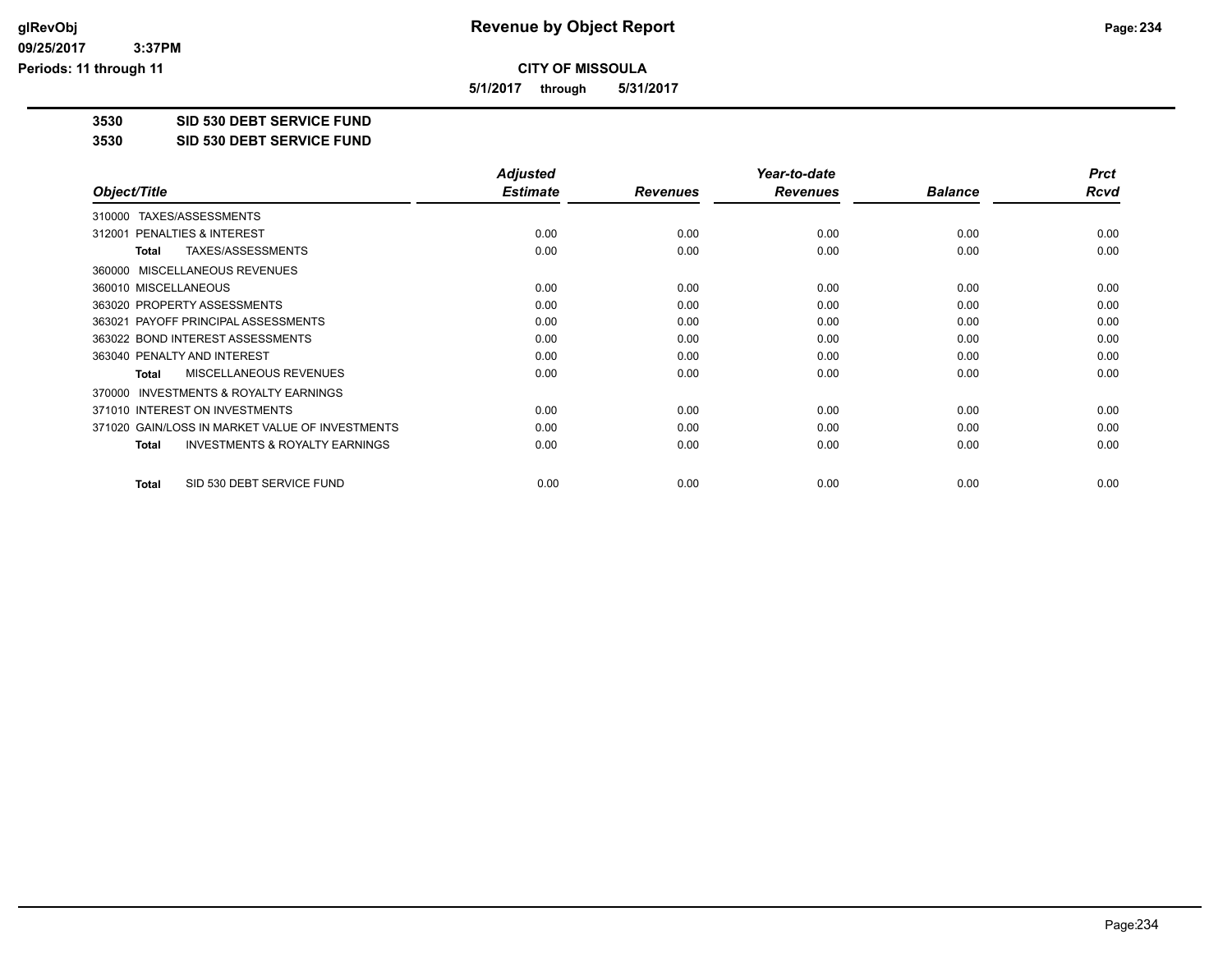**5/1/2017 through 5/31/2017**

**3530 SID 530 DEBT SERVICE FUND**

**3530 SID 530 DEBT SERVICE FUND**

|                                                           | <b>Adjusted</b> |                 | Year-to-date    |                | <b>Prct</b> |
|-----------------------------------------------------------|-----------------|-----------------|-----------------|----------------|-------------|
| Object/Title                                              | <b>Estimate</b> | <b>Revenues</b> | <b>Revenues</b> | <b>Balance</b> | Rcvd        |
| 310000 TAXES/ASSESSMENTS                                  |                 |                 |                 |                |             |
| 312001 PENALTIES & INTEREST                               | 0.00            | 0.00            | 0.00            | 0.00           | 0.00        |
| TAXES/ASSESSMENTS<br><b>Total</b>                         | 0.00            | 0.00            | 0.00            | 0.00           | 0.00        |
| MISCELLANEOUS REVENUES<br>360000                          |                 |                 |                 |                |             |
| 360010 MISCELLANEOUS                                      | 0.00            | 0.00            | 0.00            | 0.00           | 0.00        |
| 363020 PROPERTY ASSESSMENTS                               | 0.00            | 0.00            | 0.00            | 0.00           | 0.00        |
| 363021 PAYOFF PRINCIPAL ASSESSMENTS                       | 0.00            | 0.00            | 0.00            | 0.00           | 0.00        |
| 363022 BOND INTEREST ASSESSMENTS                          | 0.00            | 0.00            | 0.00            | 0.00           | 0.00        |
| 363040 PENALTY AND INTEREST                               | 0.00            | 0.00            | 0.00            | 0.00           | 0.00        |
| <b>MISCELLANEOUS REVENUES</b><br>Total                    | 0.00            | 0.00            | 0.00            | 0.00           | 0.00        |
| 370000 INVESTMENTS & ROYALTY EARNINGS                     |                 |                 |                 |                |             |
| 371010 INTEREST ON INVESTMENTS                            | 0.00            | 0.00            | 0.00            | 0.00           | 0.00        |
| 371020 GAIN/LOSS IN MARKET VALUE OF INVESTMENTS           | 0.00            | 0.00            | 0.00            | 0.00           | 0.00        |
| <b>INVESTMENTS &amp; ROYALTY EARNINGS</b><br><b>Total</b> | 0.00            | 0.00            | 0.00            | 0.00           | 0.00        |
| SID 530 DEBT SERVICE FUND<br><b>Total</b>                 | 0.00            | 0.00            | 0.00            | 0.00           | 0.00        |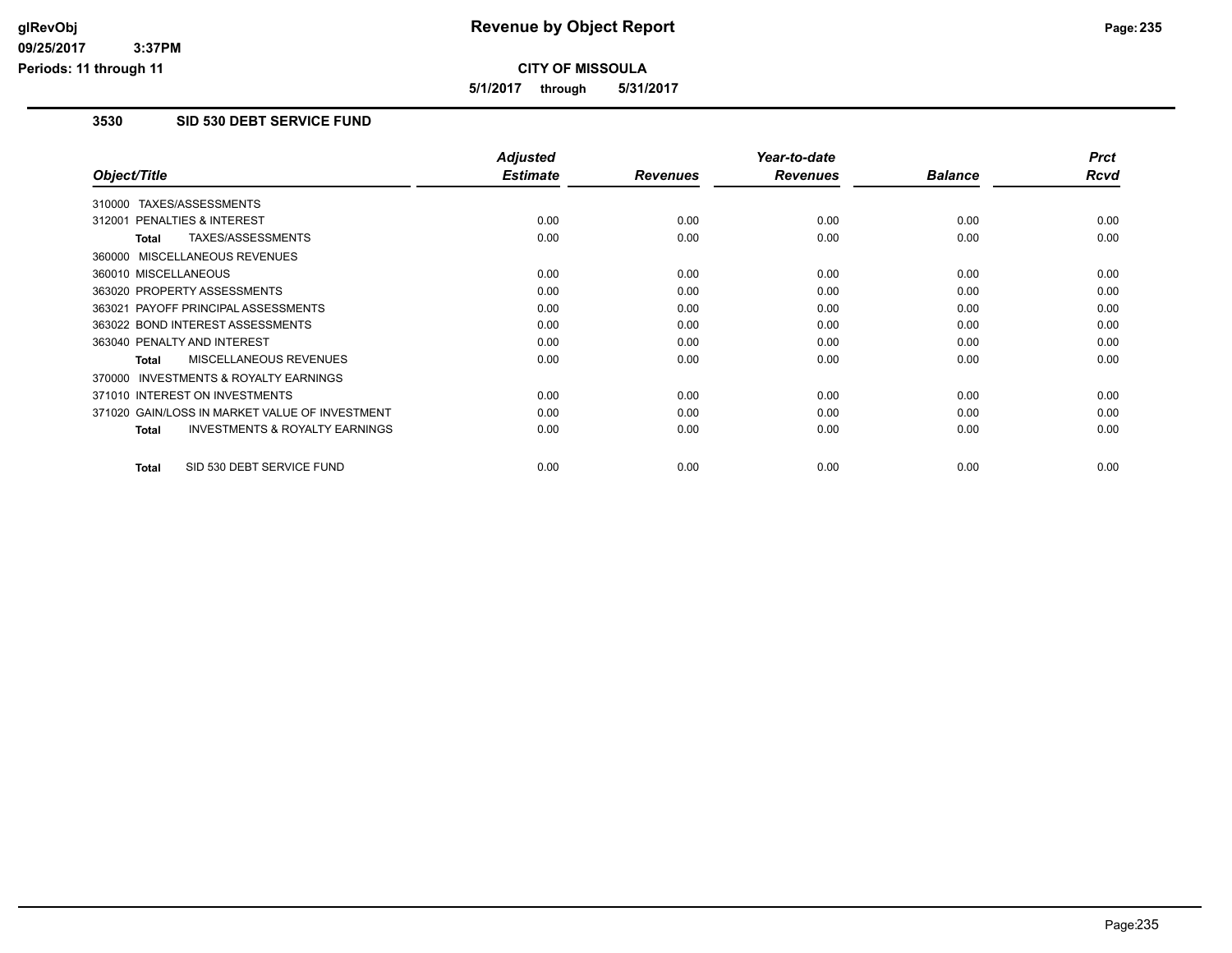**Periods: 11 through 11**

**CITY OF MISSOULA**

**5/1/2017 through 5/31/2017**

# **3530 SID 530 DEBT SERVICE FUND**

|                                                           | <b>Adjusted</b> |                 | Year-to-date    |                | <b>Prct</b> |
|-----------------------------------------------------------|-----------------|-----------------|-----------------|----------------|-------------|
| Object/Title                                              | <b>Estimate</b> | <b>Revenues</b> | <b>Revenues</b> | <b>Balance</b> | Rcvd        |
| 310000 TAXES/ASSESSMENTS                                  |                 |                 |                 |                |             |
| 312001 PENALTIES & INTEREST                               | 0.00            | 0.00            | 0.00            | 0.00           | 0.00        |
| TAXES/ASSESSMENTS<br><b>Total</b>                         | 0.00            | 0.00            | 0.00            | 0.00           | 0.00        |
| 360000 MISCELLANEOUS REVENUES                             |                 |                 |                 |                |             |
| 360010 MISCELLANEOUS                                      | 0.00            | 0.00            | 0.00            | 0.00           | 0.00        |
| 363020 PROPERTY ASSESSMENTS                               | 0.00            | 0.00            | 0.00            | 0.00           | 0.00        |
| 363021 PAYOFF PRINCIPAL ASSESSMENTS                       | 0.00            | 0.00            | 0.00            | 0.00           | 0.00        |
| 363022 BOND INTEREST ASSESSMENTS                          | 0.00            | 0.00            | 0.00            | 0.00           | 0.00        |
| 363040 PENALTY AND INTEREST                               | 0.00            | 0.00            | 0.00            | 0.00           | 0.00        |
| MISCELLANEOUS REVENUES<br>Total                           | 0.00            | 0.00            | 0.00            | 0.00           | 0.00        |
| INVESTMENTS & ROYALTY EARNINGS<br>370000                  |                 |                 |                 |                |             |
| 371010 INTEREST ON INVESTMENTS                            | 0.00            | 0.00            | 0.00            | 0.00           | 0.00        |
| 371020 GAIN/LOSS IN MARKET VALUE OF INVESTMENT            | 0.00            | 0.00            | 0.00            | 0.00           | 0.00        |
| <b>INVESTMENTS &amp; ROYALTY EARNINGS</b><br><b>Total</b> | 0.00            | 0.00            | 0.00            | 0.00           | 0.00        |
| SID 530 DEBT SERVICE FUND<br><b>Total</b>                 | 0.00            | 0.00            | 0.00            | 0.00           | 0.00        |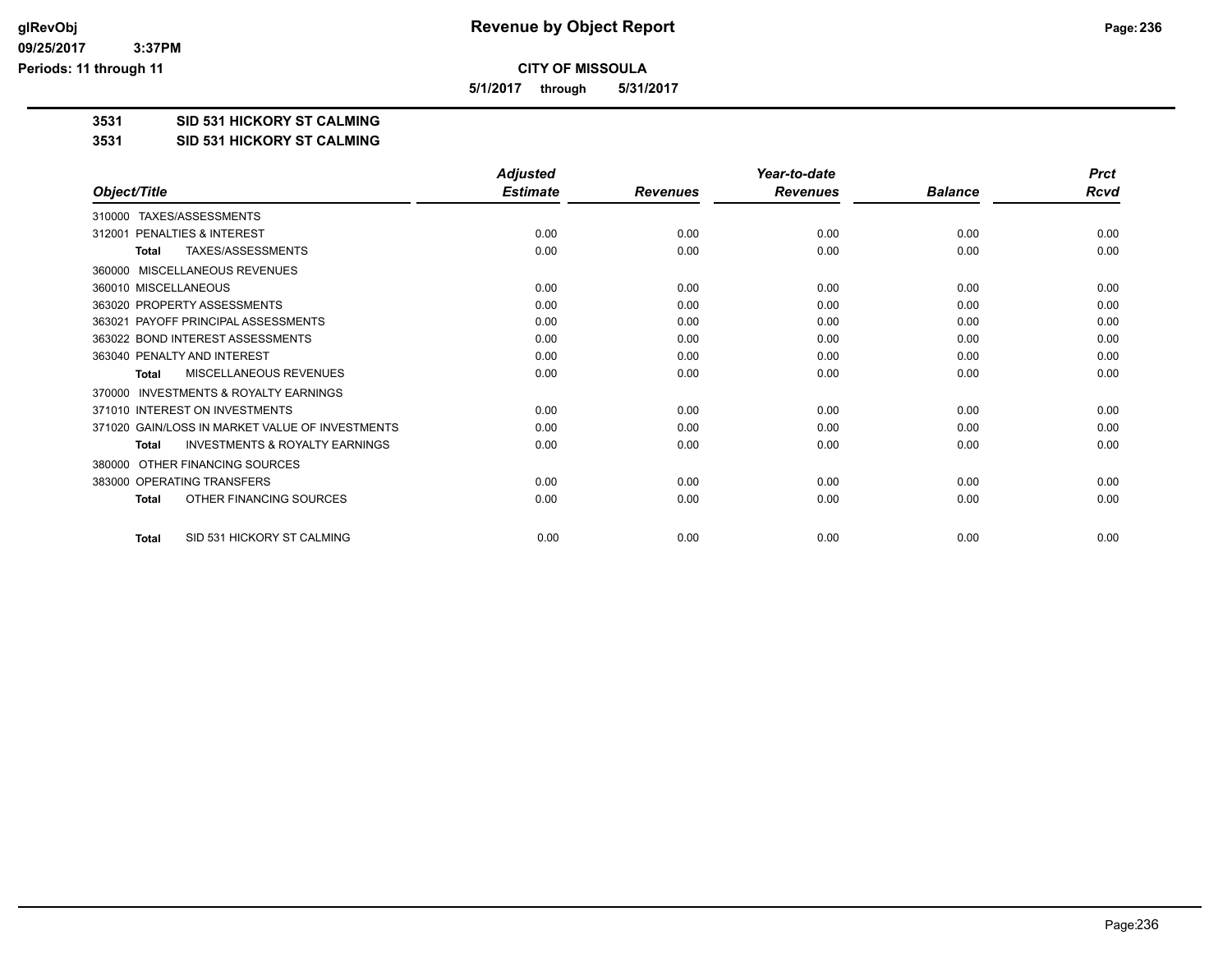**5/1/2017 through 5/31/2017**

**3531 SID 531 HICKORY ST CALMING**

**3531 SID 531 HICKORY ST CALMING**

|                                                           | <b>Adjusted</b> |                 | Year-to-date    |                | <b>Prct</b> |
|-----------------------------------------------------------|-----------------|-----------------|-----------------|----------------|-------------|
| Object/Title                                              | <b>Estimate</b> | <b>Revenues</b> | <b>Revenues</b> | <b>Balance</b> | Rcvd        |
| 310000 TAXES/ASSESSMENTS                                  |                 |                 |                 |                |             |
| 312001 PENALTIES & INTEREST                               | 0.00            | 0.00            | 0.00            | 0.00           | 0.00        |
| TAXES/ASSESSMENTS<br><b>Total</b>                         | 0.00            | 0.00            | 0.00            | 0.00           | 0.00        |
| <b>MISCELLANEOUS REVENUES</b><br>360000                   |                 |                 |                 |                |             |
| 360010 MISCELLANEOUS                                      | 0.00            | 0.00            | 0.00            | 0.00           | 0.00        |
| 363020 PROPERTY ASSESSMENTS                               | 0.00            | 0.00            | 0.00            | 0.00           | 0.00        |
| PAYOFF PRINCIPAL ASSESSMENTS<br>363021                    | 0.00            | 0.00            | 0.00            | 0.00           | 0.00        |
| 363022 BOND INTEREST ASSESSMENTS                          | 0.00            | 0.00            | 0.00            | 0.00           | 0.00        |
| 363040 PENALTY AND INTEREST                               | 0.00            | 0.00            | 0.00            | 0.00           | 0.00        |
| <b>MISCELLANEOUS REVENUES</b><br><b>Total</b>             | 0.00            | 0.00            | 0.00            | 0.00           | 0.00        |
| <b>INVESTMENTS &amp; ROYALTY EARNINGS</b><br>370000       |                 |                 |                 |                |             |
| 371010 INTEREST ON INVESTMENTS                            | 0.00            | 0.00            | 0.00            | 0.00           | 0.00        |
| 371020 GAIN/LOSS IN MARKET VALUE OF INVESTMENTS           | 0.00            | 0.00            | 0.00            | 0.00           | 0.00        |
| <b>INVESTMENTS &amp; ROYALTY EARNINGS</b><br><b>Total</b> | 0.00            | 0.00            | 0.00            | 0.00           | 0.00        |
| OTHER FINANCING SOURCES<br>380000                         |                 |                 |                 |                |             |
| 383000 OPERATING TRANSFERS                                | 0.00            | 0.00            | 0.00            | 0.00           | 0.00        |
| OTHER FINANCING SOURCES<br><b>Total</b>                   | 0.00            | 0.00            | 0.00            | 0.00           | 0.00        |
| SID 531 HICKORY ST CALMING<br><b>Total</b>                | 0.00            | 0.00            | 0.00            | 0.00           | 0.00        |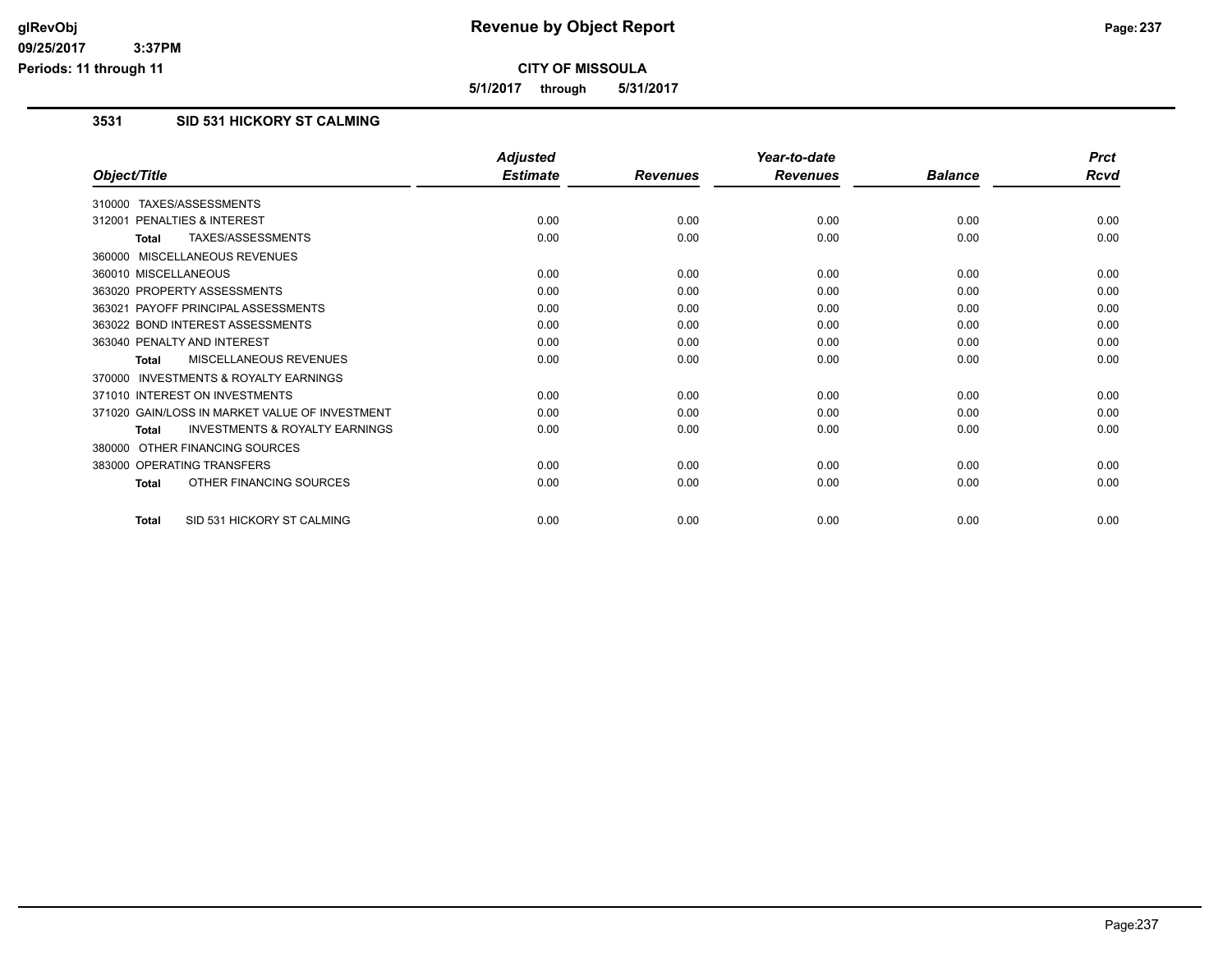**5/1/2017 through 5/31/2017**

# **3531 SID 531 HICKORY ST CALMING**

|                                                           | <b>Adjusted</b> |                 | Year-to-date    |                | <b>Prct</b> |
|-----------------------------------------------------------|-----------------|-----------------|-----------------|----------------|-------------|
| Object/Title                                              | <b>Estimate</b> | <b>Revenues</b> | <b>Revenues</b> | <b>Balance</b> | <b>Rcvd</b> |
| 310000 TAXES/ASSESSMENTS                                  |                 |                 |                 |                |             |
| 312001 PENALTIES & INTEREST                               | 0.00            | 0.00            | 0.00            | 0.00           | 0.00        |
| TAXES/ASSESSMENTS<br><b>Total</b>                         | 0.00            | 0.00            | 0.00            | 0.00           | 0.00        |
| 360000 MISCELLANEOUS REVENUES                             |                 |                 |                 |                |             |
| 360010 MISCELLANEOUS                                      | 0.00            | 0.00            | 0.00            | 0.00           | 0.00        |
| 363020 PROPERTY ASSESSMENTS                               | 0.00            | 0.00            | 0.00            | 0.00           | 0.00        |
| 363021 PAYOFF PRINCIPAL ASSESSMENTS                       | 0.00            | 0.00            | 0.00            | 0.00           | 0.00        |
| 363022 BOND INTEREST ASSESSMENTS                          | 0.00            | 0.00            | 0.00            | 0.00           | 0.00        |
| 363040 PENALTY AND INTEREST                               | 0.00            | 0.00            | 0.00            | 0.00           | 0.00        |
| MISCELLANEOUS REVENUES<br><b>Total</b>                    | 0.00            | 0.00            | 0.00            | 0.00           | 0.00        |
| INVESTMENTS & ROYALTY EARNINGS<br>370000                  |                 |                 |                 |                |             |
| 371010 INTEREST ON INVESTMENTS                            | 0.00            | 0.00            | 0.00            | 0.00           | 0.00        |
| 371020 GAIN/LOSS IN MARKET VALUE OF INVESTMENT            | 0.00            | 0.00            | 0.00            | 0.00           | 0.00        |
| <b>INVESTMENTS &amp; ROYALTY EARNINGS</b><br><b>Total</b> | 0.00            | 0.00            | 0.00            | 0.00           | 0.00        |
| OTHER FINANCING SOURCES<br>380000                         |                 |                 |                 |                |             |
| 383000 OPERATING TRANSFERS                                | 0.00            | 0.00            | 0.00            | 0.00           | 0.00        |
| OTHER FINANCING SOURCES<br><b>Total</b>                   | 0.00            | 0.00            | 0.00            | 0.00           | 0.00        |
| SID 531 HICKORY ST CALMING<br><b>Total</b>                | 0.00            | 0.00            | 0.00            | 0.00           | 0.00        |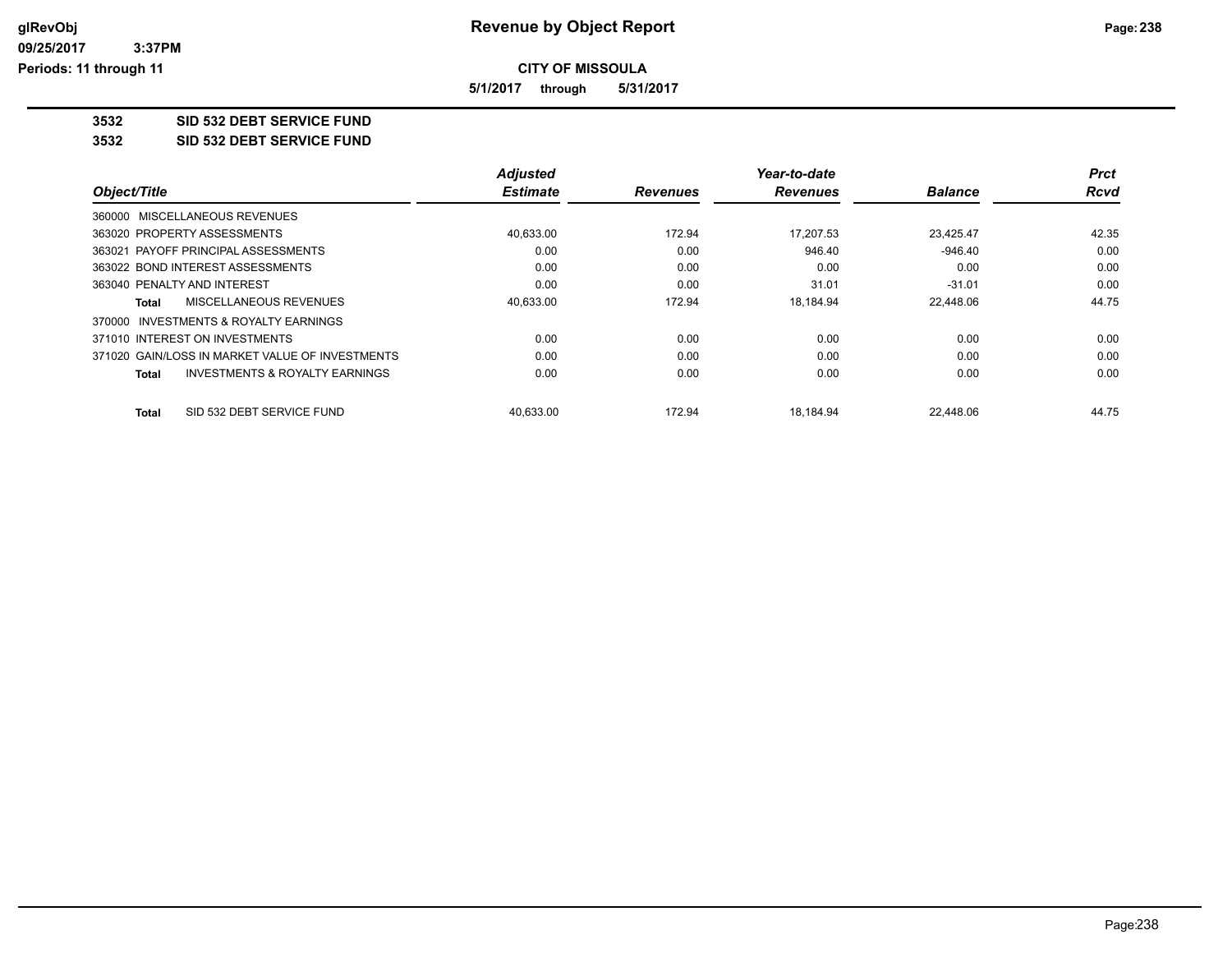**5/1/2017 through 5/31/2017**

**3532 SID 532 DEBT SERVICE FUND**

**3532 SID 532 DEBT SERVICE FUND**

|                                                           | <b>Adjusted</b> |                 | Year-to-date    |                | <b>Prct</b> |
|-----------------------------------------------------------|-----------------|-----------------|-----------------|----------------|-------------|
| Object/Title                                              | <b>Estimate</b> | <b>Revenues</b> | <b>Revenues</b> | <b>Balance</b> | Rcvd        |
| 360000 MISCELLANEOUS REVENUES                             |                 |                 |                 |                |             |
| 363020 PROPERTY ASSESSMENTS                               | 40,633.00       | 172.94          | 17.207.53       | 23.425.47      | 42.35       |
| 363021 PAYOFF PRINCIPAL ASSESSMENTS                       | 0.00            | 0.00            | 946.40          | $-946.40$      | 0.00        |
| 363022 BOND INTEREST ASSESSMENTS                          | 0.00            | 0.00            | 0.00            | 0.00           | 0.00        |
| 363040 PENALTY AND INTEREST                               | 0.00            | 0.00            | 31.01           | $-31.01$       | 0.00        |
| MISCELLANEOUS REVENUES<br><b>Total</b>                    | 40,633.00       | 172.94          | 18.184.94       | 22.448.06      | 44.75       |
| 370000 INVESTMENTS & ROYALTY EARNINGS                     |                 |                 |                 |                |             |
| 371010 INTEREST ON INVESTMENTS                            | 0.00            | 0.00            | 0.00            | 0.00           | 0.00        |
| 371020 GAIN/LOSS IN MARKET VALUE OF INVESTMENTS           | 0.00            | 0.00            | 0.00            | 0.00           | 0.00        |
| <b>INVESTMENTS &amp; ROYALTY EARNINGS</b><br><b>Total</b> | 0.00            | 0.00            | 0.00            | 0.00           | 0.00        |
| SID 532 DEBT SERVICE FUND<br><b>Total</b>                 | 40.633.00       | 172.94          | 18.184.94       | 22.448.06      | 44.75       |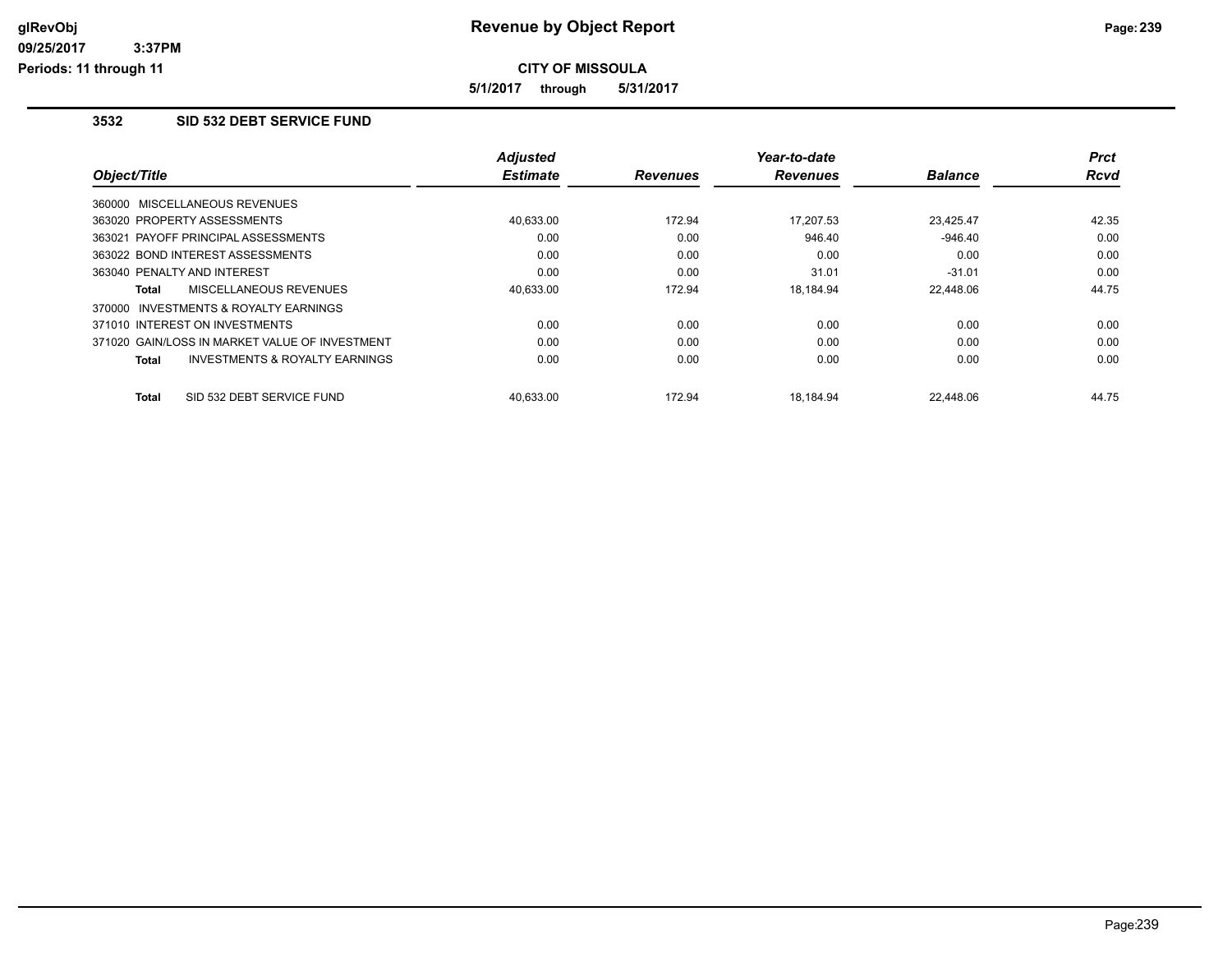**5/1/2017 through 5/31/2017**

# **3532 SID 532 DEBT SERVICE FUND**

|                                                     | <b>Adjusted</b> |                 | Year-to-date    |                | Prct        |
|-----------------------------------------------------|-----------------|-----------------|-----------------|----------------|-------------|
| Object/Title                                        | <b>Estimate</b> | <b>Revenues</b> | <b>Revenues</b> | <b>Balance</b> | <b>Rcvd</b> |
| 360000 MISCELLANEOUS REVENUES                       |                 |                 |                 |                |             |
| 363020 PROPERTY ASSESSMENTS                         | 40.633.00       | 172.94          | 17.207.53       | 23.425.47      | 42.35       |
| 363021 PAYOFF PRINCIPAL ASSESSMENTS                 | 0.00            | 0.00            | 946.40          | $-946.40$      | 0.00        |
| 363022 BOND INTEREST ASSESSMENTS                    | 0.00            | 0.00            | 0.00            | 0.00           | 0.00        |
| 363040 PENALTY AND INTEREST                         | 0.00            | 0.00            | 31.01           | $-31.01$       | 0.00        |
| MISCELLANEOUS REVENUES<br>Total                     | 40,633.00       | 172.94          | 18.184.94       | 22.448.06      | 44.75       |
| <b>INVESTMENTS &amp; ROYALTY EARNINGS</b><br>370000 |                 |                 |                 |                |             |
| 371010 INTEREST ON INVESTMENTS                      | 0.00            | 0.00            | 0.00            | 0.00           | 0.00        |
| 371020 GAIN/LOSS IN MARKET VALUE OF INVESTMENT      | 0.00            | 0.00            | 0.00            | 0.00           | 0.00        |
| <b>INVESTMENTS &amp; ROYALTY EARNINGS</b><br>Total  | 0.00            | 0.00            | 0.00            | 0.00           | 0.00        |
| SID 532 DEBT SERVICE FUND<br><b>Total</b>           | 40.633.00       | 172.94          | 18.184.94       | 22.448.06      | 44.75       |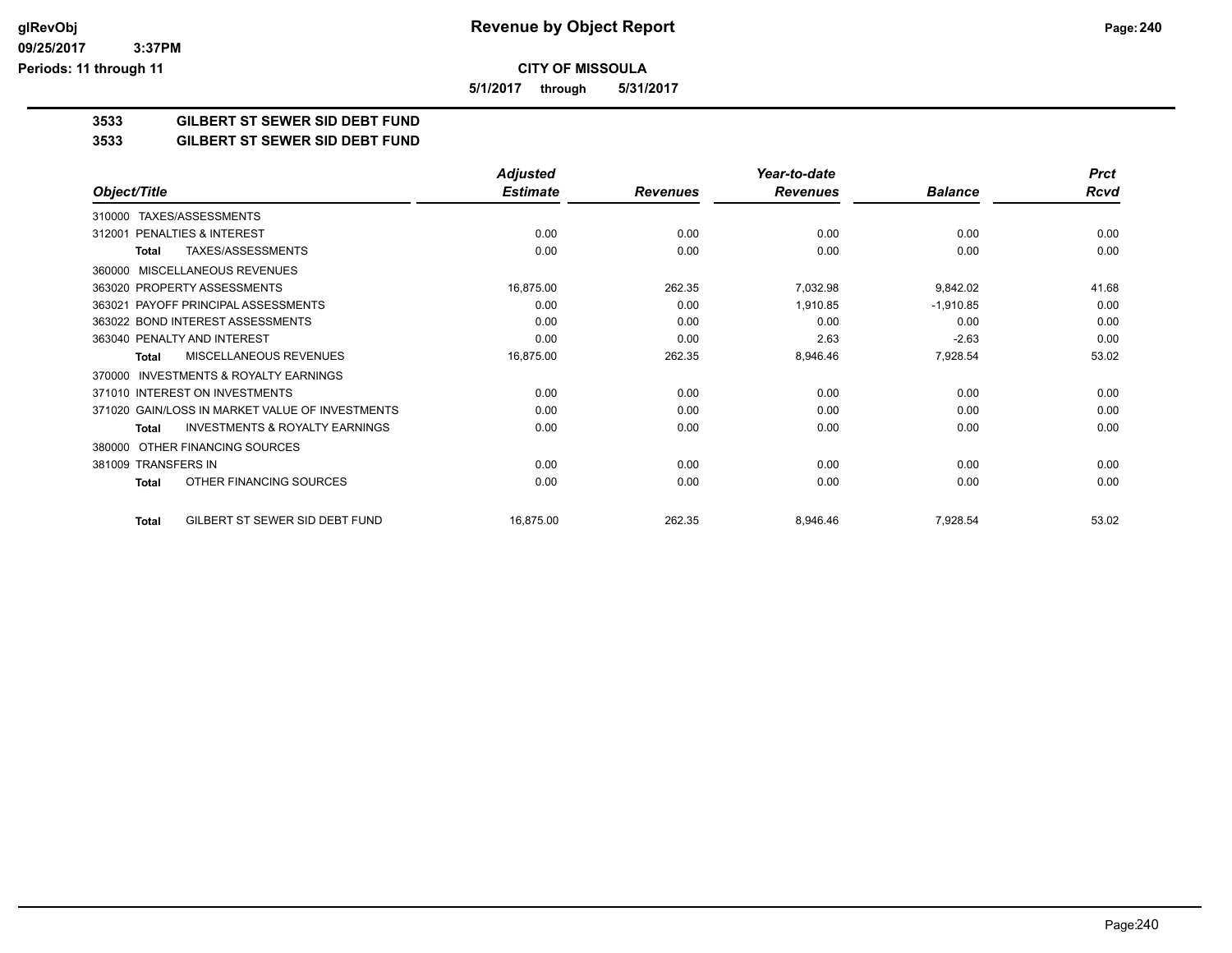**5/1/2017 through 5/31/2017**

# **3533 GILBERT ST SEWER SID DEBT FUND**

#### **3533 GILBERT ST SEWER SID DEBT FUND**

|                                                     | <b>Adjusted</b> |                 | Year-to-date    |                | <b>Prct</b> |
|-----------------------------------------------------|-----------------|-----------------|-----------------|----------------|-------------|
| Object/Title                                        | <b>Estimate</b> | <b>Revenues</b> | <b>Revenues</b> | <b>Balance</b> | <b>Rcvd</b> |
| TAXES/ASSESSMENTS<br>310000                         |                 |                 |                 |                |             |
| PENALTIES & INTEREST<br>312001                      | 0.00            | 0.00            | 0.00            | 0.00           | 0.00        |
| <b>TAXES/ASSESSMENTS</b><br><b>Total</b>            | 0.00            | 0.00            | 0.00            | 0.00           | 0.00        |
| MISCELLANEOUS REVENUES<br>360000                    |                 |                 |                 |                |             |
| 363020 PROPERTY ASSESSMENTS                         | 16,875.00       | 262.35          | 7,032.98        | 9,842.02       | 41.68       |
| PAYOFF PRINCIPAL ASSESSMENTS<br>363021              | 0.00            | 0.00            | 1,910.85        | $-1,910.85$    | 0.00        |
| 363022 BOND INTEREST ASSESSMENTS                    | 0.00            | 0.00            | 0.00            | 0.00           | 0.00        |
| 363040 PENALTY AND INTEREST                         | 0.00            | 0.00            | 2.63            | $-2.63$        | 0.00        |
| <b>MISCELLANEOUS REVENUES</b><br>Total              | 16,875.00       | 262.35          | 8,946.46        | 7,928.54       | 53.02       |
| <b>INVESTMENTS &amp; ROYALTY EARNINGS</b><br>370000 |                 |                 |                 |                |             |
| 371010 INTEREST ON INVESTMENTS                      | 0.00            | 0.00            | 0.00            | 0.00           | 0.00        |
| 371020 GAIN/LOSS IN MARKET VALUE OF INVESTMENTS     | 0.00            | 0.00            | 0.00            | 0.00           | 0.00        |
| <b>INVESTMENTS &amp; ROYALTY EARNINGS</b><br>Total  | 0.00            | 0.00            | 0.00            | 0.00           | 0.00        |
| OTHER FINANCING SOURCES<br>380000                   |                 |                 |                 |                |             |
| 381009 TRANSFERS IN                                 | 0.00            | 0.00            | 0.00            | 0.00           | 0.00        |
| OTHER FINANCING SOURCES<br><b>Total</b>             | 0.00            | 0.00            | 0.00            | 0.00           | 0.00        |
| GILBERT ST SEWER SID DEBT FUND<br><b>Total</b>      | 16,875.00       | 262.35          | 8,946.46        | 7,928.54       | 53.02       |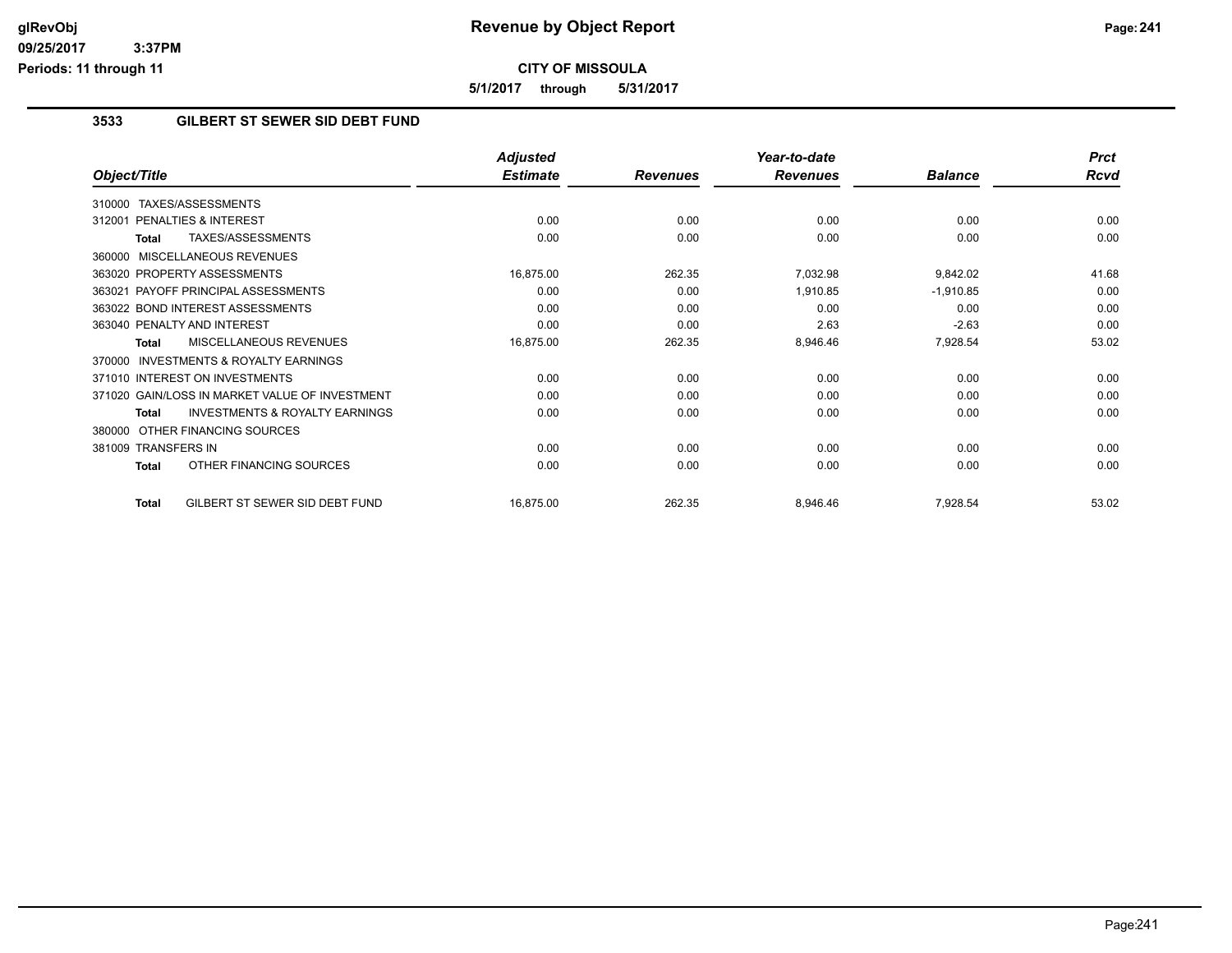**5/1/2017 through 5/31/2017**

# **3533 GILBERT ST SEWER SID DEBT FUND**

|                                                           | <b>Adjusted</b> |                 | Year-to-date    |                | <b>Prct</b> |
|-----------------------------------------------------------|-----------------|-----------------|-----------------|----------------|-------------|
| Object/Title                                              | <b>Estimate</b> | <b>Revenues</b> | <b>Revenues</b> | <b>Balance</b> | <b>Rcvd</b> |
| TAXES/ASSESSMENTS<br>310000                               |                 |                 |                 |                |             |
| 312001 PENALTIES & INTEREST                               | 0.00            | 0.00            | 0.00            | 0.00           | 0.00        |
| TAXES/ASSESSMENTS<br><b>Total</b>                         | 0.00            | 0.00            | 0.00            | 0.00           | 0.00        |
| MISCELLANEOUS REVENUES<br>360000                          |                 |                 |                 |                |             |
| 363020 PROPERTY ASSESSMENTS                               | 16,875.00       | 262.35          | 7,032.98        | 9,842.02       | 41.68       |
| 363021 PAYOFF PRINCIPAL ASSESSMENTS                       | 0.00            | 0.00            | 1,910.85        | $-1,910.85$    | 0.00        |
| 363022 BOND INTEREST ASSESSMENTS                          | 0.00            | 0.00            | 0.00            | 0.00           | 0.00        |
| 363040 PENALTY AND INTEREST                               | 0.00            | 0.00            | 2.63            | $-2.63$        | 0.00        |
| MISCELLANEOUS REVENUES<br>Total                           | 16,875.00       | 262.35          | 8,946.46        | 7,928.54       | 53.02       |
| 370000 INVESTMENTS & ROYALTY EARNINGS                     |                 |                 |                 |                |             |
| 371010 INTEREST ON INVESTMENTS                            | 0.00            | 0.00            | 0.00            | 0.00           | 0.00        |
| 371020 GAIN/LOSS IN MARKET VALUE OF INVESTMENT            | 0.00            | 0.00            | 0.00            | 0.00           | 0.00        |
| <b>INVESTMENTS &amp; ROYALTY EARNINGS</b><br><b>Total</b> | 0.00            | 0.00            | 0.00            | 0.00           | 0.00        |
| 380000 OTHER FINANCING SOURCES                            |                 |                 |                 |                |             |
| 381009 TRANSFERS IN                                       | 0.00            | 0.00            | 0.00            | 0.00           | 0.00        |
| OTHER FINANCING SOURCES<br><b>Total</b>                   | 0.00            | 0.00            | 0.00            | 0.00           | 0.00        |
| GILBERT ST SEWER SID DEBT FUND<br><b>Total</b>            | 16,875.00       | 262.35          | 8,946.46        | 7,928.54       | 53.02       |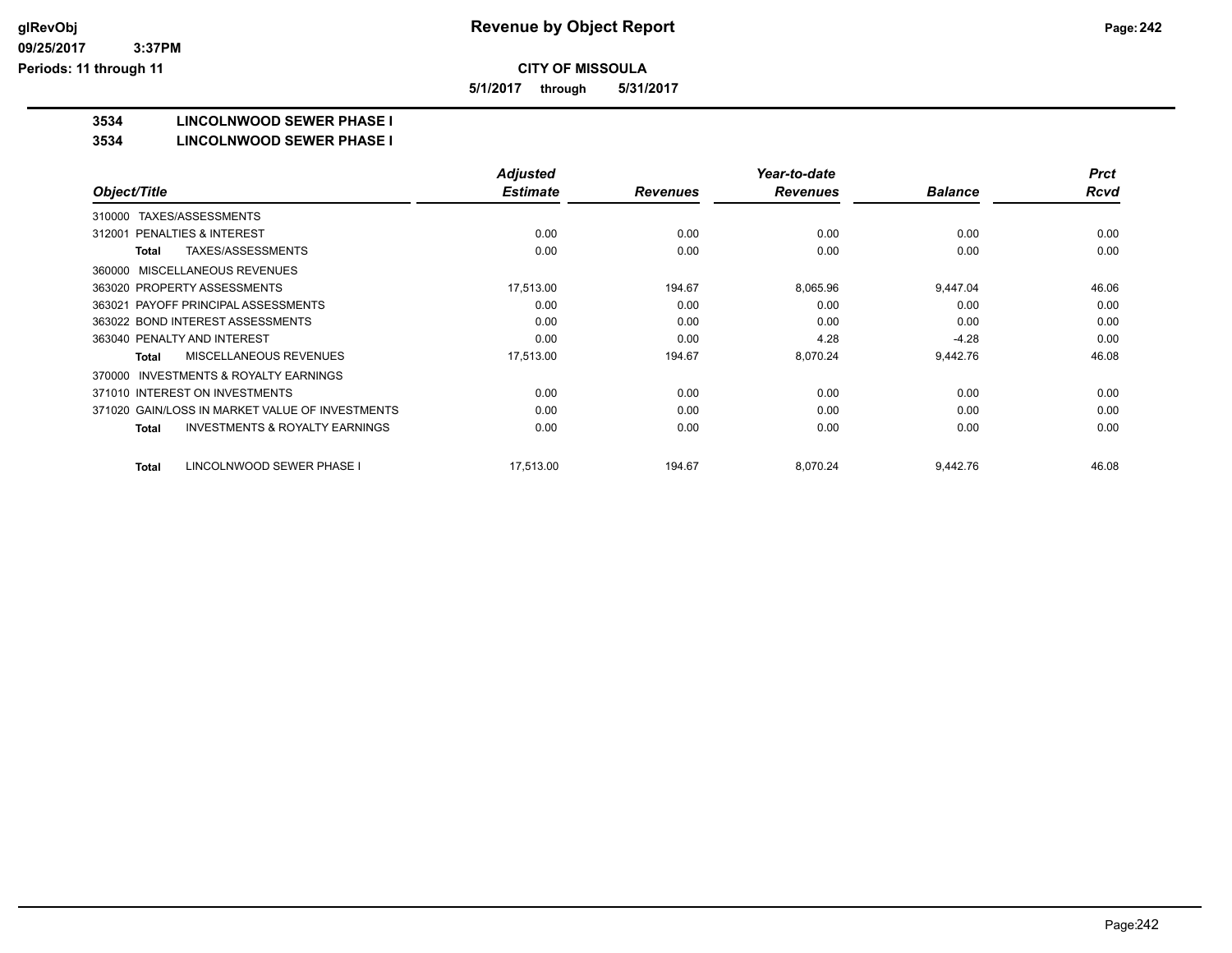**5/1/2017 through 5/31/2017**

### **3534 LINCOLNWOOD SEWER PHASE I**

#### **3534 LINCOLNWOOD SEWER PHASE I**

|                                                     | <b>Adjusted</b> |                 | Year-to-date    |                | <b>Prct</b> |
|-----------------------------------------------------|-----------------|-----------------|-----------------|----------------|-------------|
| Object/Title                                        | <b>Estimate</b> | <b>Revenues</b> | <b>Revenues</b> | <b>Balance</b> | <b>Rcvd</b> |
| TAXES/ASSESSMENTS<br>310000                         |                 |                 |                 |                |             |
| <b>PENALTIES &amp; INTEREST</b><br>312001           | 0.00            | 0.00            | 0.00            | 0.00           | 0.00        |
| TAXES/ASSESSMENTS<br>Total                          | 0.00            | 0.00            | 0.00            | 0.00           | 0.00        |
| MISCELLANEOUS REVENUES<br>360000                    |                 |                 |                 |                |             |
| 363020 PROPERTY ASSESSMENTS                         | 17,513.00       | 194.67          | 8,065.96        | 9,447.04       | 46.06       |
| 363021 PAYOFF PRINCIPAL ASSESSMENTS                 | 0.00            | 0.00            | 0.00            | 0.00           | 0.00        |
| 363022 BOND INTEREST ASSESSMENTS                    | 0.00            | 0.00            | 0.00            | 0.00           | 0.00        |
| 363040 PENALTY AND INTEREST                         | 0.00            | 0.00            | 4.28            | $-4.28$        | 0.00        |
| <b>MISCELLANEOUS REVENUES</b><br>Total              | 17,513.00       | 194.67          | 8,070.24        | 9,442.76       | 46.08       |
| <b>INVESTMENTS &amp; ROYALTY EARNINGS</b><br>370000 |                 |                 |                 |                |             |
| 371010 INTEREST ON INVESTMENTS                      | 0.00            | 0.00            | 0.00            | 0.00           | 0.00        |
| 371020 GAIN/LOSS IN MARKET VALUE OF INVESTMENTS     | 0.00            | 0.00            | 0.00            | 0.00           | 0.00        |
| <b>INVESTMENTS &amp; ROYALTY EARNINGS</b><br>Total  | 0.00            | 0.00            | 0.00            | 0.00           | 0.00        |
| LINCOLNWOOD SEWER PHASE I<br><b>Total</b>           | 17,513.00       | 194.67          | 8,070.24        | 9,442.76       | 46.08       |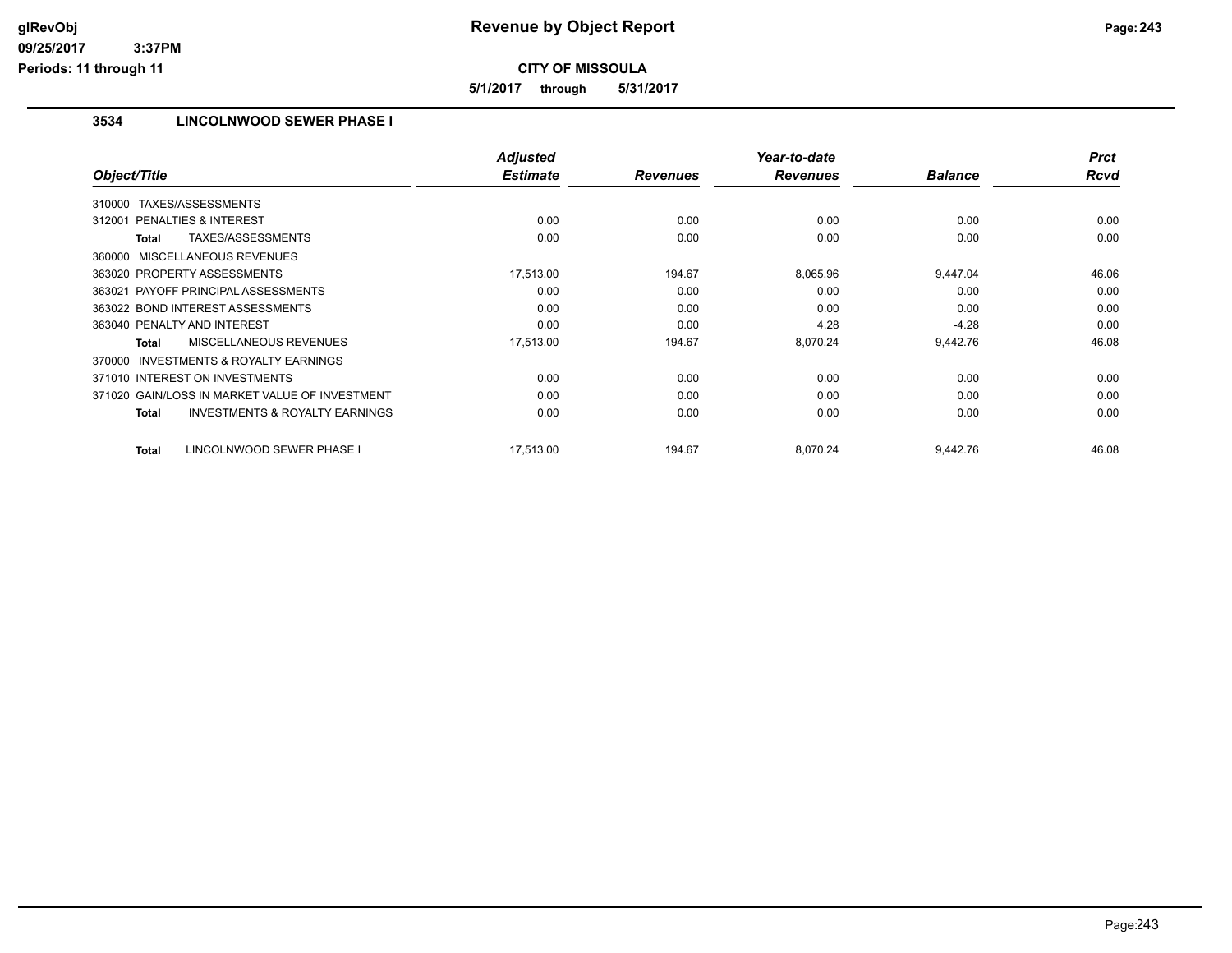**5/1/2017 through 5/31/2017**

# **3534 LINCOLNWOOD SEWER PHASE I**

|                                                     | <b>Adjusted</b> |                 | Year-to-date    |                | <b>Prct</b> |
|-----------------------------------------------------|-----------------|-----------------|-----------------|----------------|-------------|
| Object/Title                                        | <b>Estimate</b> | <b>Revenues</b> | <b>Revenues</b> | <b>Balance</b> | <b>Rcvd</b> |
| TAXES/ASSESSMENTS<br>310000                         |                 |                 |                 |                |             |
| PENALTIES & INTEREST<br>312001                      | 0.00            | 0.00            | 0.00            | 0.00           | 0.00        |
| TAXES/ASSESSMENTS<br>Total                          | 0.00            | 0.00            | 0.00            | 0.00           | 0.00        |
| 360000 MISCELLANEOUS REVENUES                       |                 |                 |                 |                |             |
| 363020 PROPERTY ASSESSMENTS                         | 17,513.00       | 194.67          | 8,065.96        | 9,447.04       | 46.06       |
| 363021 PAYOFF PRINCIPAL ASSESSMENTS                 | 0.00            | 0.00            | 0.00            | 0.00           | 0.00        |
| 363022 BOND INTEREST ASSESSMENTS                    | 0.00            | 0.00            | 0.00            | 0.00           | 0.00        |
| 363040 PENALTY AND INTEREST                         | 0.00            | 0.00            | 4.28            | $-4.28$        | 0.00        |
| <b>MISCELLANEOUS REVENUES</b><br>Total              | 17,513.00       | 194.67          | 8,070.24        | 9,442.76       | 46.08       |
| <b>INVESTMENTS &amp; ROYALTY EARNINGS</b><br>370000 |                 |                 |                 |                |             |
| 371010 INTEREST ON INVESTMENTS                      | 0.00            | 0.00            | 0.00            | 0.00           | 0.00        |
| 371020 GAIN/LOSS IN MARKET VALUE OF INVESTMENT      | 0.00            | 0.00            | 0.00            | 0.00           | 0.00        |
| <b>INVESTMENTS &amp; ROYALTY EARNINGS</b><br>Total  | 0.00            | 0.00            | 0.00            | 0.00           | 0.00        |
| LINCOLNWOOD SEWER PHASE I<br>Total                  | 17.513.00       | 194.67          | 8,070.24        | 9,442.76       | 46.08       |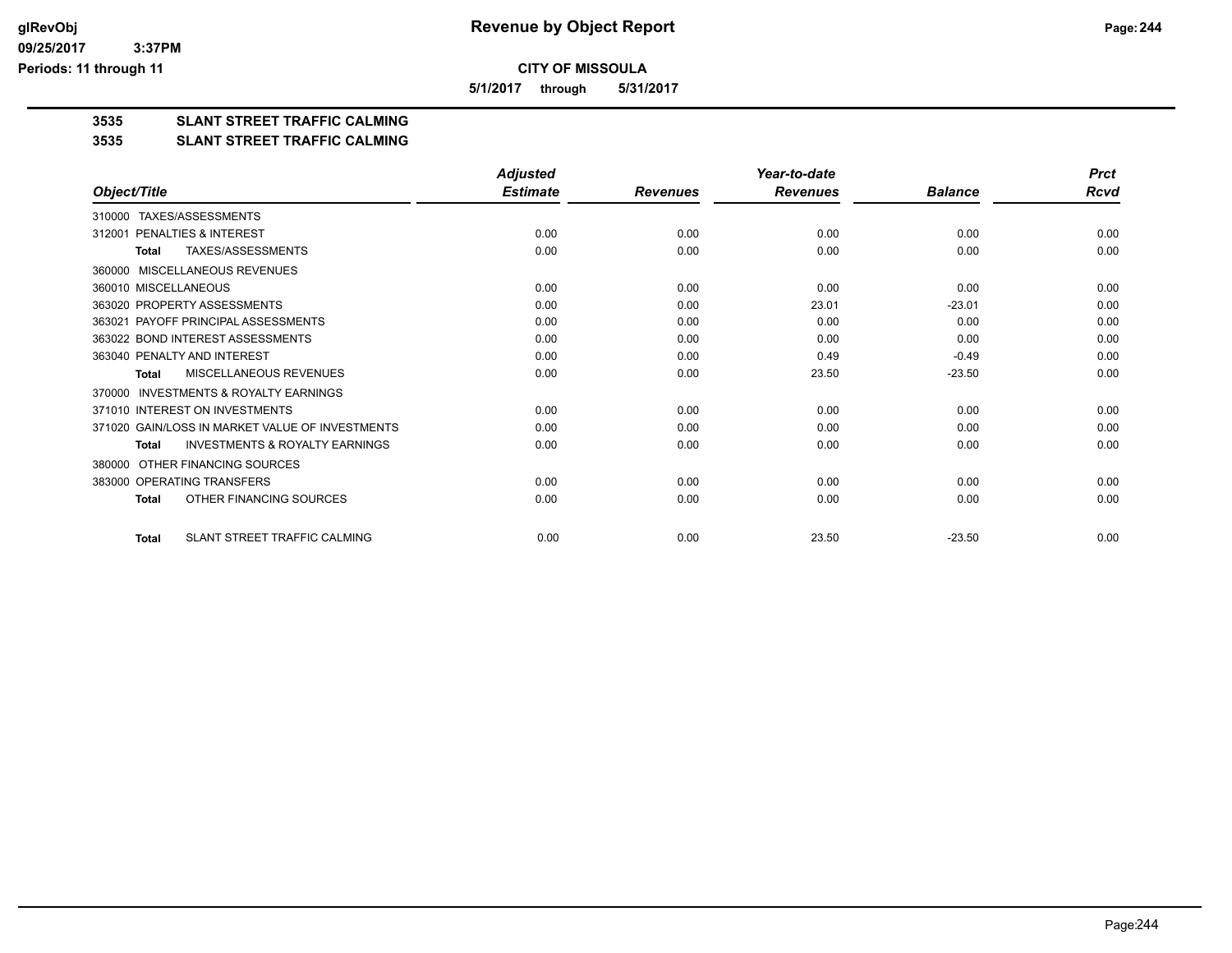**5/1/2017 through 5/31/2017**

# **3535 SLANT STREET TRAFFIC CALMING**

#### **3535 SLANT STREET TRAFFIC CALMING**

|                                                           | <b>Adjusted</b> |                 | Year-to-date    |                | <b>Prct</b> |
|-----------------------------------------------------------|-----------------|-----------------|-----------------|----------------|-------------|
| Object/Title                                              | <b>Estimate</b> | <b>Revenues</b> | <b>Revenues</b> | <b>Balance</b> | Rcvd        |
| TAXES/ASSESSMENTS<br>310000                               |                 |                 |                 |                |             |
| PENALTIES & INTEREST<br>312001                            | 0.00            | 0.00            | 0.00            | 0.00           | 0.00        |
| <b>TAXES/ASSESSMENTS</b><br><b>Total</b>                  | 0.00            | 0.00            | 0.00            | 0.00           | 0.00        |
| <b>MISCELLANEOUS REVENUES</b><br>360000                   |                 |                 |                 |                |             |
| 360010 MISCELLANEOUS                                      | 0.00            | 0.00            | 0.00            | 0.00           | 0.00        |
| 363020 PROPERTY ASSESSMENTS                               | 0.00            | 0.00            | 23.01           | $-23.01$       | 0.00        |
| 363021 PAYOFF PRINCIPAL ASSESSMENTS                       | 0.00            | 0.00            | 0.00            | 0.00           | 0.00        |
| 363022 BOND INTEREST ASSESSMENTS                          | 0.00            | 0.00            | 0.00            | 0.00           | 0.00        |
| 363040 PENALTY AND INTEREST                               | 0.00            | 0.00            | 0.49            | $-0.49$        | 0.00        |
| MISCELLANEOUS REVENUES<br><b>Total</b>                    | 0.00            | 0.00            | 23.50           | $-23.50$       | 0.00        |
| <b>INVESTMENTS &amp; ROYALTY EARNINGS</b><br>370000       |                 |                 |                 |                |             |
| 371010 INTEREST ON INVESTMENTS                            | 0.00            | 0.00            | 0.00            | 0.00           | 0.00        |
| 371020 GAIN/LOSS IN MARKET VALUE OF INVESTMENTS           | 0.00            | 0.00            | 0.00            | 0.00           | 0.00        |
| <b>INVESTMENTS &amp; ROYALTY EARNINGS</b><br><b>Total</b> | 0.00            | 0.00            | 0.00            | 0.00           | 0.00        |
| OTHER FINANCING SOURCES<br>380000                         |                 |                 |                 |                |             |
| 383000 OPERATING TRANSFERS                                | 0.00            | 0.00            | 0.00            | 0.00           | 0.00        |
| OTHER FINANCING SOURCES<br><b>Total</b>                   | 0.00            | 0.00            | 0.00            | 0.00           | 0.00        |
| SLANT STREET TRAFFIC CALMING<br><b>Total</b>              | 0.00            | 0.00            | 23.50           | $-23.50$       | 0.00        |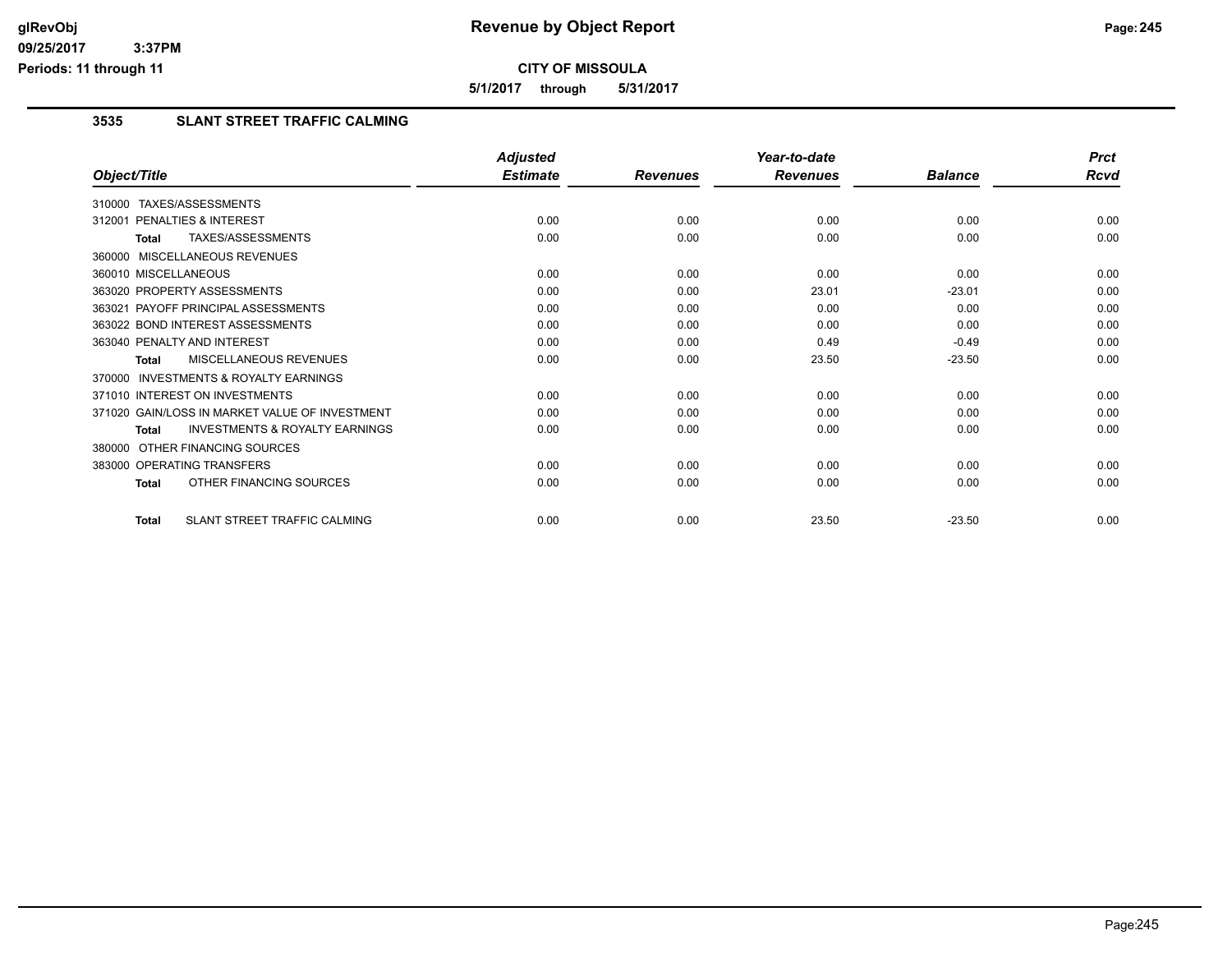**5/1/2017 through 5/31/2017**

### **3535 SLANT STREET TRAFFIC CALMING**

|                                                           | <b>Adjusted</b> |                 | Year-to-date    |                | <b>Prct</b> |
|-----------------------------------------------------------|-----------------|-----------------|-----------------|----------------|-------------|
| Object/Title                                              | <b>Estimate</b> | <b>Revenues</b> | <b>Revenues</b> | <b>Balance</b> | <b>Rcvd</b> |
| 310000 TAXES/ASSESSMENTS                                  |                 |                 |                 |                |             |
| PENALTIES & INTEREST<br>312001                            | 0.00            | 0.00            | 0.00            | 0.00           | 0.00        |
| TAXES/ASSESSMENTS<br><b>Total</b>                         | 0.00            | 0.00            | 0.00            | 0.00           | 0.00        |
| 360000 MISCELLANEOUS REVENUES                             |                 |                 |                 |                |             |
| 360010 MISCELLANEOUS                                      | 0.00            | 0.00            | 0.00            | 0.00           | 0.00        |
| 363020 PROPERTY ASSESSMENTS                               | 0.00            | 0.00            | 23.01           | $-23.01$       | 0.00        |
| 363021 PAYOFF PRINCIPAL ASSESSMENTS                       | 0.00            | 0.00            | 0.00            | 0.00           | 0.00        |
| 363022 BOND INTEREST ASSESSMENTS                          | 0.00            | 0.00            | 0.00            | 0.00           | 0.00        |
| 363040 PENALTY AND INTEREST                               | 0.00            | 0.00            | 0.49            | $-0.49$        | 0.00        |
| MISCELLANEOUS REVENUES<br><b>Total</b>                    | 0.00            | 0.00            | 23.50           | $-23.50$       | 0.00        |
| INVESTMENTS & ROYALTY EARNINGS<br>370000                  |                 |                 |                 |                |             |
| 371010 INTEREST ON INVESTMENTS                            | 0.00            | 0.00            | 0.00            | 0.00           | 0.00        |
| 371020 GAIN/LOSS IN MARKET VALUE OF INVESTMENT            | 0.00            | 0.00            | 0.00            | 0.00           | 0.00        |
| <b>INVESTMENTS &amp; ROYALTY EARNINGS</b><br><b>Total</b> | 0.00            | 0.00            | 0.00            | 0.00           | 0.00        |
| OTHER FINANCING SOURCES<br>380000                         |                 |                 |                 |                |             |
| 383000 OPERATING TRANSFERS                                | 0.00            | 0.00            | 0.00            | 0.00           | 0.00        |
| OTHER FINANCING SOURCES<br><b>Total</b>                   | 0.00            | 0.00            | 0.00            | 0.00           | 0.00        |
| SLANT STREET TRAFFIC CALMING<br><b>Total</b>              | 0.00            | 0.00            | 23.50           | $-23.50$       | 0.00        |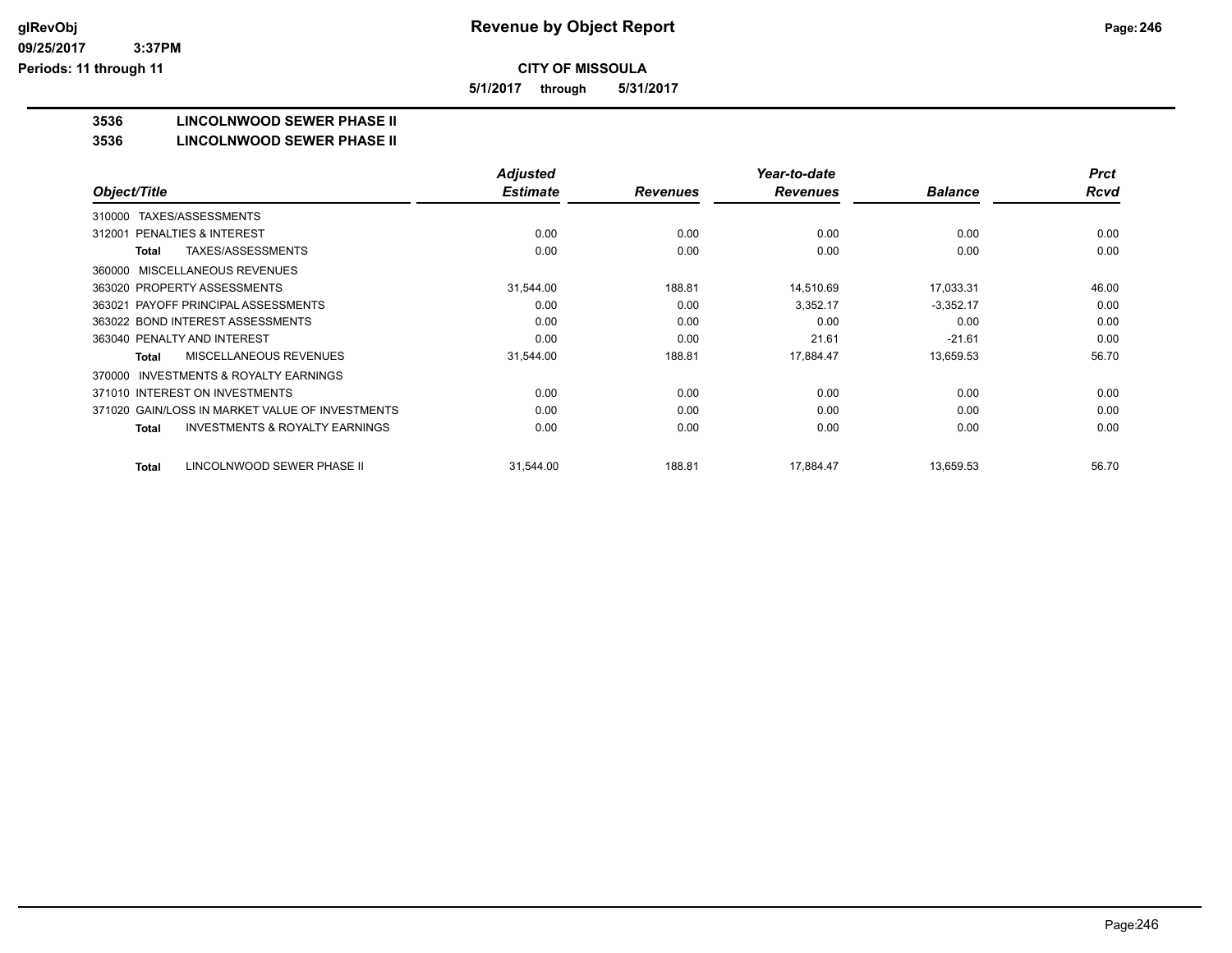**5/1/2017 through 5/31/2017**

# **3536 LINCOLNWOOD SEWER PHASE II**

#### **3536 LINCOLNWOOD SEWER PHASE II**

|                                                           | <b>Adjusted</b> |                 | Year-to-date    |                | <b>Prct</b> |
|-----------------------------------------------------------|-----------------|-----------------|-----------------|----------------|-------------|
| Object/Title                                              | <b>Estimate</b> | <b>Revenues</b> | <b>Revenues</b> | <b>Balance</b> | <b>Rcvd</b> |
| TAXES/ASSESSMENTS<br>310000                               |                 |                 |                 |                |             |
| PENALTIES & INTEREST<br>312001                            | 0.00            | 0.00            | 0.00            | 0.00           | 0.00        |
| TAXES/ASSESSMENTS<br>Total                                | 0.00            | 0.00            | 0.00            | 0.00           | 0.00        |
| MISCELLANEOUS REVENUES<br>360000                          |                 |                 |                 |                |             |
| 363020 PROPERTY ASSESSMENTS                               | 31,544.00       | 188.81          | 14,510.69       | 17,033.31      | 46.00       |
| 363021 PAYOFF PRINCIPAL ASSESSMENTS                       | 0.00            | 0.00            | 3,352.17        | $-3,352.17$    | 0.00        |
| 363022 BOND INTEREST ASSESSMENTS                          | 0.00            | 0.00            | 0.00            | 0.00           | 0.00        |
| 363040 PENALTY AND INTEREST                               | 0.00            | 0.00            | 21.61           | $-21.61$       | 0.00        |
| MISCELLANEOUS REVENUES<br>Total                           | 31,544.00       | 188.81          | 17,884.47       | 13,659.53      | 56.70       |
| INVESTMENTS & ROYALTY EARNINGS<br>370000                  |                 |                 |                 |                |             |
| 371010 INTEREST ON INVESTMENTS                            | 0.00            | 0.00            | 0.00            | 0.00           | 0.00        |
| 371020 GAIN/LOSS IN MARKET VALUE OF INVESTMENTS           | 0.00            | 0.00            | 0.00            | 0.00           | 0.00        |
| <b>INVESTMENTS &amp; ROYALTY EARNINGS</b><br><b>Total</b> | 0.00            | 0.00            | 0.00            | 0.00           | 0.00        |
| LINCOLNWOOD SEWER PHASE II<br>Total                       | 31,544.00       | 188.81          | 17,884.47       | 13,659.53      | 56.70       |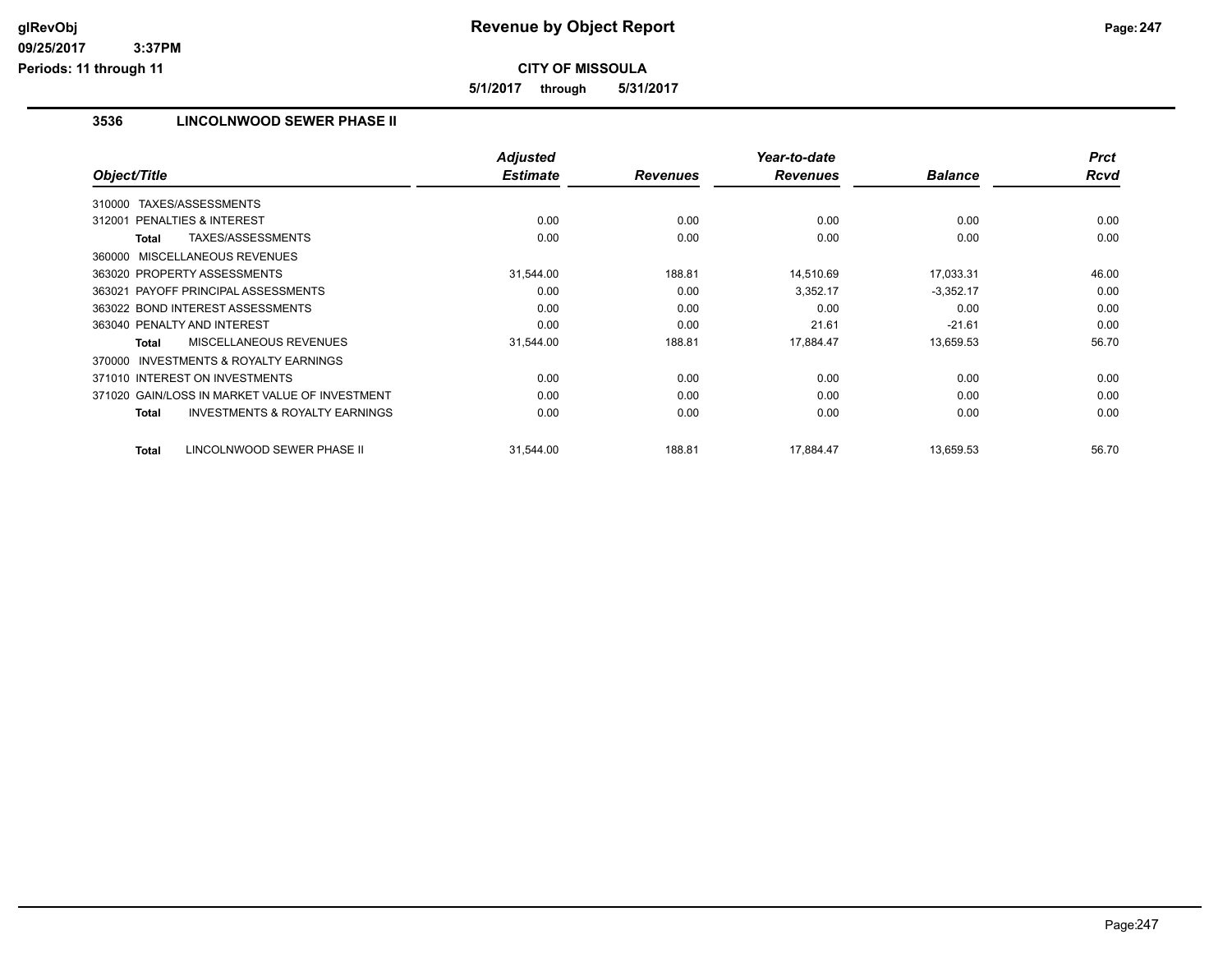**5/1/2017 through 5/31/2017**

# **3536 LINCOLNWOOD SEWER PHASE II**

|                                                           | <b>Adjusted</b> |                 | Year-to-date    |                | <b>Prct</b> |
|-----------------------------------------------------------|-----------------|-----------------|-----------------|----------------|-------------|
| Object/Title                                              | <b>Estimate</b> | <b>Revenues</b> | <b>Revenues</b> | <b>Balance</b> | <b>Rcvd</b> |
| TAXES/ASSESSMENTS<br>310000                               |                 |                 |                 |                |             |
| 312001 PENALTIES & INTEREST                               | 0.00            | 0.00            | 0.00            | 0.00           | 0.00        |
| TAXES/ASSESSMENTS<br>Total                                | 0.00            | 0.00            | 0.00            | 0.00           | 0.00        |
| 360000 MISCELLANEOUS REVENUES                             |                 |                 |                 |                |             |
| 363020 PROPERTY ASSESSMENTS                               | 31,544.00       | 188.81          | 14,510.69       | 17,033.31      | 46.00       |
| 363021 PAYOFF PRINCIPAL ASSESSMENTS                       | 0.00            | 0.00            | 3,352.17        | $-3,352.17$    | 0.00        |
| 363022 BOND INTEREST ASSESSMENTS                          | 0.00            | 0.00            | 0.00            | 0.00           | 0.00        |
| 363040 PENALTY AND INTEREST                               | 0.00            | 0.00            | 21.61           | $-21.61$       | 0.00        |
| MISCELLANEOUS REVENUES<br>Total                           | 31,544.00       | 188.81          | 17,884.47       | 13,659.53      | 56.70       |
| INVESTMENTS & ROYALTY EARNINGS<br>370000                  |                 |                 |                 |                |             |
| 371010 INTEREST ON INVESTMENTS                            | 0.00            | 0.00            | 0.00            | 0.00           | 0.00        |
| 371020 GAIN/LOSS IN MARKET VALUE OF INVESTMENT            | 0.00            | 0.00            | 0.00            | 0.00           | 0.00        |
| <b>INVESTMENTS &amp; ROYALTY EARNINGS</b><br><b>Total</b> | 0.00            | 0.00            | 0.00            | 0.00           | 0.00        |
| LINCOLNWOOD SEWER PHASE II<br><b>Total</b>                | 31,544.00       | 188.81          | 17.884.47       | 13.659.53      | 56.70       |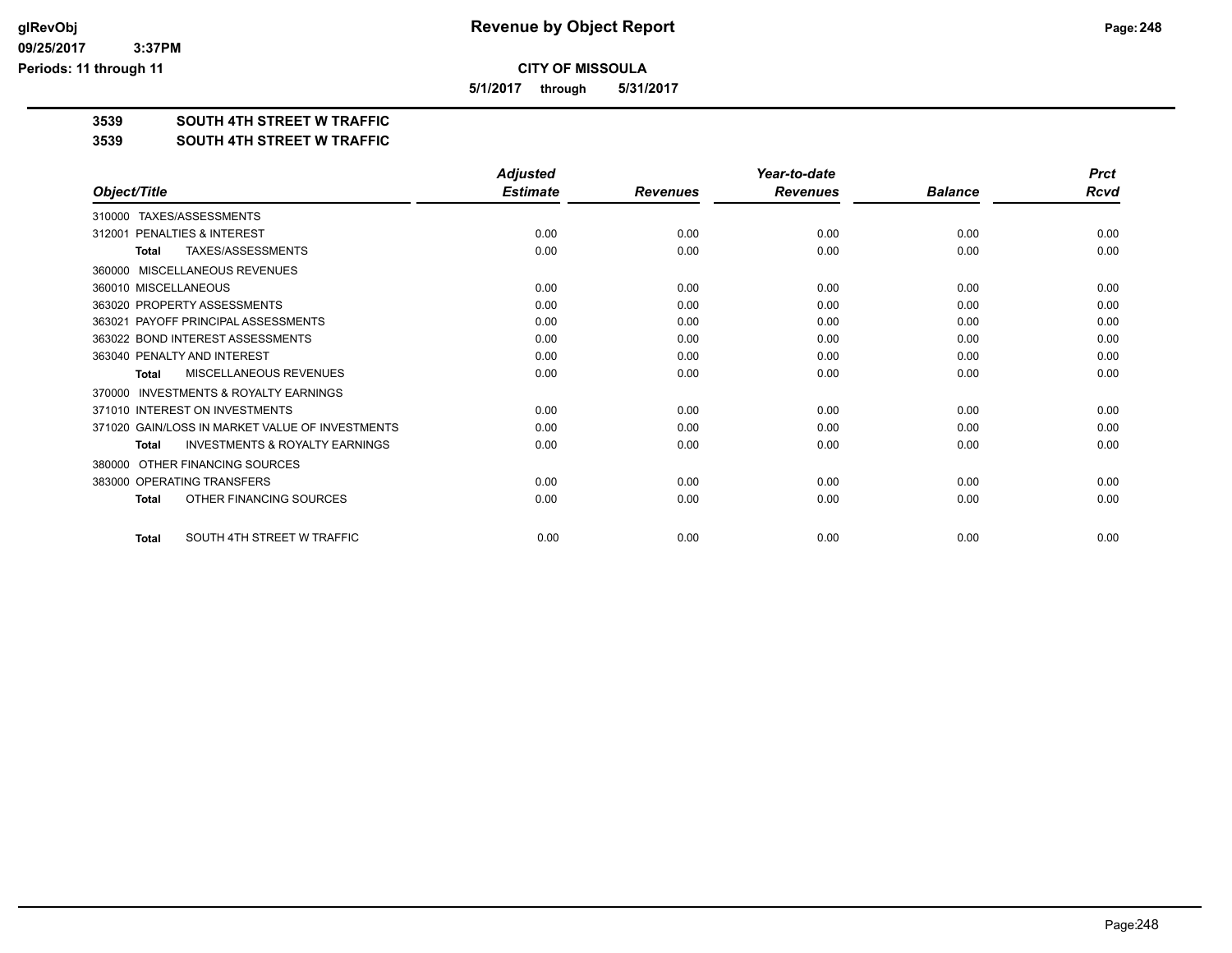**5/1/2017 through 5/31/2017**

#### **3539 SOUTH 4TH STREET W TRAFFIC**

#### **3539 SOUTH 4TH STREET W TRAFFIC**

|                                                           | <b>Adjusted</b> |                 | Year-to-date    |                | <b>Prct</b> |
|-----------------------------------------------------------|-----------------|-----------------|-----------------|----------------|-------------|
| Object/Title                                              | <b>Estimate</b> | <b>Revenues</b> | <b>Revenues</b> | <b>Balance</b> | <b>Rcvd</b> |
| TAXES/ASSESSMENTS<br>310000                               |                 |                 |                 |                |             |
| PENALTIES & INTEREST<br>312001                            | 0.00            | 0.00            | 0.00            | 0.00           | 0.00        |
| TAXES/ASSESSMENTS<br><b>Total</b>                         | 0.00            | 0.00            | 0.00            | 0.00           | 0.00        |
| MISCELLANEOUS REVENUES<br>360000                          |                 |                 |                 |                |             |
| 360010 MISCELLANEOUS                                      | 0.00            | 0.00            | 0.00            | 0.00           | 0.00        |
| 363020 PROPERTY ASSESSMENTS                               | 0.00            | 0.00            | 0.00            | 0.00           | 0.00        |
| 363021 PAYOFF PRINCIPAL ASSESSMENTS                       | 0.00            | 0.00            | 0.00            | 0.00           | 0.00        |
| 363022 BOND INTEREST ASSESSMENTS                          | 0.00            | 0.00            | 0.00            | 0.00           | 0.00        |
| 363040 PENALTY AND INTEREST                               | 0.00            | 0.00            | 0.00            | 0.00           | 0.00        |
| MISCELLANEOUS REVENUES<br><b>Total</b>                    | 0.00            | 0.00            | 0.00            | 0.00           | 0.00        |
| INVESTMENTS & ROYALTY EARNINGS<br>370000                  |                 |                 |                 |                |             |
| 371010 INTEREST ON INVESTMENTS                            | 0.00            | 0.00            | 0.00            | 0.00           | 0.00        |
| 371020 GAIN/LOSS IN MARKET VALUE OF INVESTMENTS           | 0.00            | 0.00            | 0.00            | 0.00           | 0.00        |
| <b>INVESTMENTS &amp; ROYALTY EARNINGS</b><br><b>Total</b> | 0.00            | 0.00            | 0.00            | 0.00           | 0.00        |
| OTHER FINANCING SOURCES<br>380000                         |                 |                 |                 |                |             |
| 383000 OPERATING TRANSFERS                                | 0.00            | 0.00            | 0.00            | 0.00           | 0.00        |
| OTHER FINANCING SOURCES<br><b>Total</b>                   | 0.00            | 0.00            | 0.00            | 0.00           | 0.00        |
| SOUTH 4TH STREET W TRAFFIC<br><b>Total</b>                | 0.00            | 0.00            | 0.00            | 0.00           | 0.00        |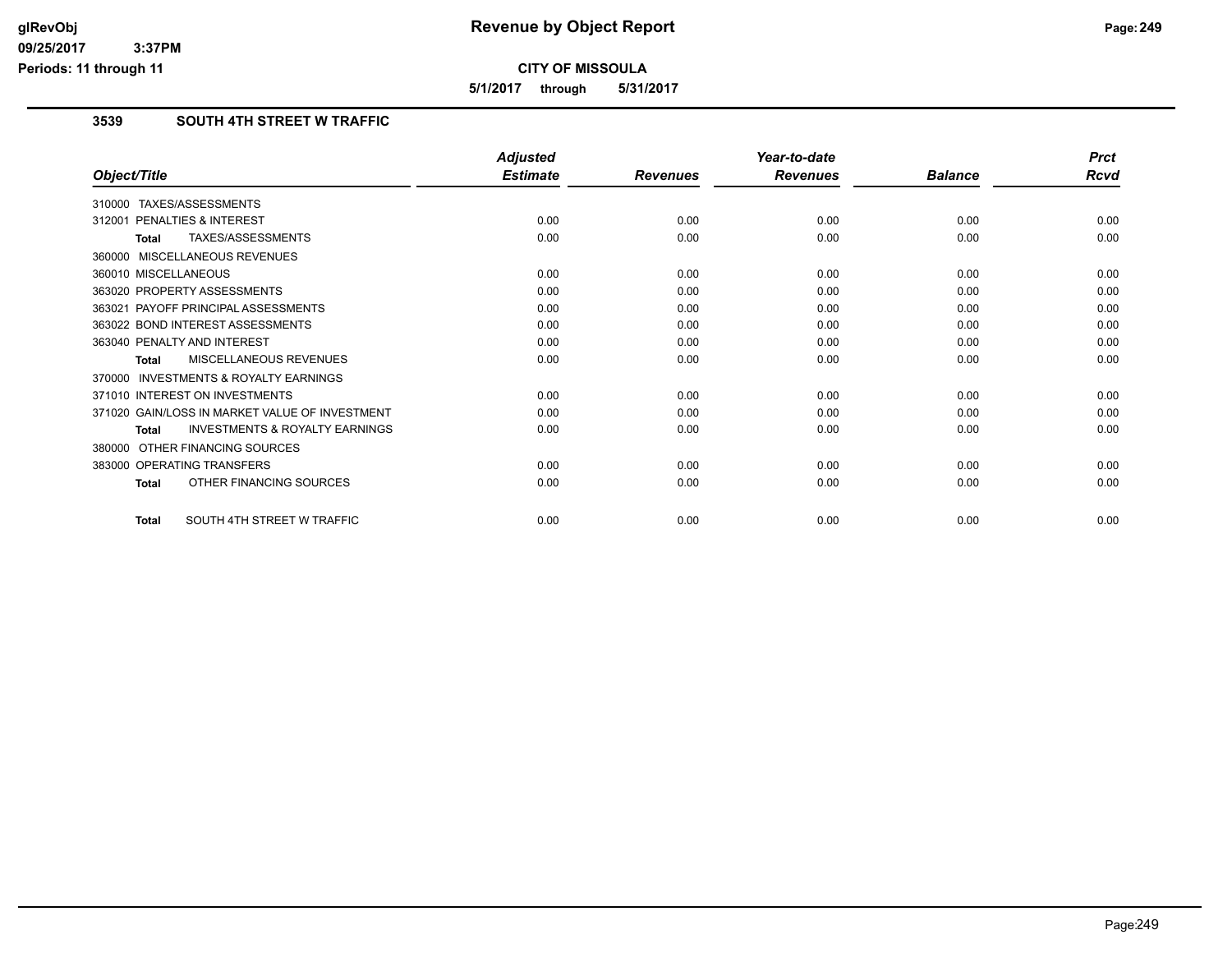**5/1/2017 through 5/31/2017**

# **3539 SOUTH 4TH STREET W TRAFFIC**

|                                                           | <b>Adjusted</b> |                 | Year-to-date    |                | <b>Prct</b> |
|-----------------------------------------------------------|-----------------|-----------------|-----------------|----------------|-------------|
| Object/Title                                              | <b>Estimate</b> | <b>Revenues</b> | <b>Revenues</b> | <b>Balance</b> | <b>Rcvd</b> |
| 310000 TAXES/ASSESSMENTS                                  |                 |                 |                 |                |             |
| 312001 PENALTIES & INTEREST                               | 0.00            | 0.00            | 0.00            | 0.00           | 0.00        |
| TAXES/ASSESSMENTS<br>Total                                | 0.00            | 0.00            | 0.00            | 0.00           | 0.00        |
| 360000 MISCELLANEOUS REVENUES                             |                 |                 |                 |                |             |
| 360010 MISCELLANEOUS                                      | 0.00            | 0.00            | 0.00            | 0.00           | 0.00        |
| 363020 PROPERTY ASSESSMENTS                               | 0.00            | 0.00            | 0.00            | 0.00           | 0.00        |
| 363021 PAYOFF PRINCIPAL ASSESSMENTS                       | 0.00            | 0.00            | 0.00            | 0.00           | 0.00        |
| 363022 BOND INTEREST ASSESSMENTS                          | 0.00            | 0.00            | 0.00            | 0.00           | 0.00        |
| 363040 PENALTY AND INTEREST                               | 0.00            | 0.00            | 0.00            | 0.00           | 0.00        |
| MISCELLANEOUS REVENUES<br><b>Total</b>                    | 0.00            | 0.00            | 0.00            | 0.00           | 0.00        |
| <b>INVESTMENTS &amp; ROYALTY EARNINGS</b><br>370000       |                 |                 |                 |                |             |
| 371010 INTEREST ON INVESTMENTS                            | 0.00            | 0.00            | 0.00            | 0.00           | 0.00        |
| 371020 GAIN/LOSS IN MARKET VALUE OF INVESTMENT            | 0.00            | 0.00            | 0.00            | 0.00           | 0.00        |
| <b>INVESTMENTS &amp; ROYALTY EARNINGS</b><br><b>Total</b> | 0.00            | 0.00            | 0.00            | 0.00           | 0.00        |
| OTHER FINANCING SOURCES<br>380000                         |                 |                 |                 |                |             |
| 383000 OPERATING TRANSFERS                                | 0.00            | 0.00            | 0.00            | 0.00           | 0.00        |
| OTHER FINANCING SOURCES<br><b>Total</b>                   | 0.00            | 0.00            | 0.00            | 0.00           | 0.00        |
| SOUTH 4TH STREET W TRAFFIC<br><b>Total</b>                | 0.00            | 0.00            | 0.00            | 0.00           | 0.00        |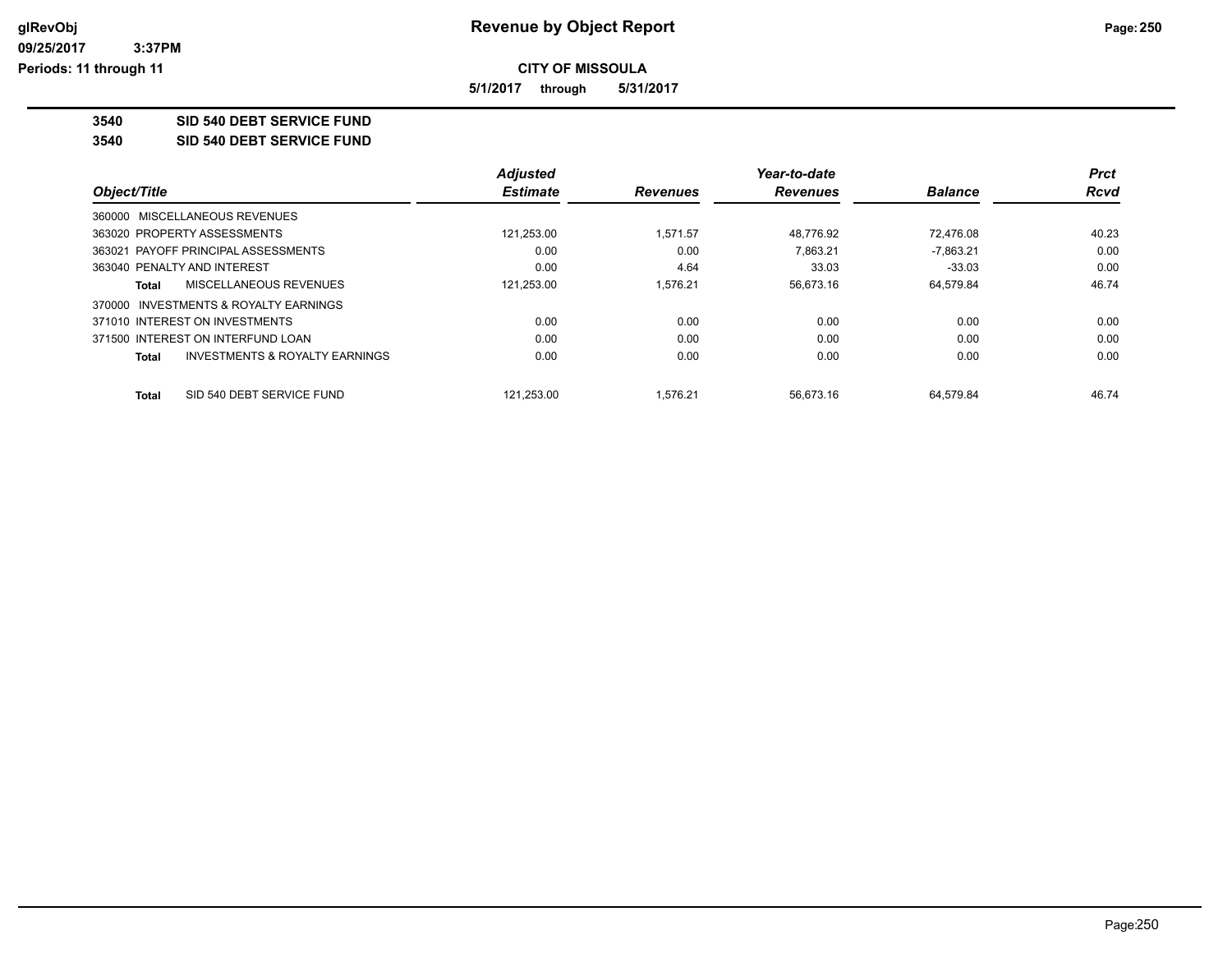**5/1/2017 through 5/31/2017**

**3540 SID 540 DEBT SERVICE FUND**

**3540 SID 540 DEBT SERVICE FUND**

|                                       |                                           | <b>Adjusted</b> |                 | Year-to-date    |                | <b>Prct</b> |
|---------------------------------------|-------------------------------------------|-----------------|-----------------|-----------------|----------------|-------------|
| Object/Title                          |                                           | <b>Estimate</b> | <b>Revenues</b> | <b>Revenues</b> | <b>Balance</b> | Rcvd        |
| 360000 MISCELLANEOUS REVENUES         |                                           |                 |                 |                 |                |             |
| 363020 PROPERTY ASSESSMENTS           |                                           | 121,253.00      | 1.571.57        | 48.776.92       | 72.476.08      | 40.23       |
| 363021 PAYOFF PRINCIPAL ASSESSMENTS   |                                           | 0.00            | 0.00            | 7.863.21        | $-7.863.21$    | 0.00        |
| 363040 PENALTY AND INTEREST           |                                           | 0.00            | 4.64            | 33.03           | $-33.03$       | 0.00        |
| Total                                 | MISCELLANEOUS REVENUES                    | 121,253.00      | 1.576.21        | 56.673.16       | 64.579.84      | 46.74       |
| 370000 INVESTMENTS & ROYALTY EARNINGS |                                           |                 |                 |                 |                |             |
| 371010 INTEREST ON INVESTMENTS        |                                           | 0.00            | 0.00            | 0.00            | 0.00           | 0.00        |
| 371500 INTEREST ON INTERFUND LOAN     |                                           | 0.00            | 0.00            | 0.00            | 0.00           | 0.00        |
| <b>Total</b>                          | <b>INVESTMENTS &amp; ROYALTY EARNINGS</b> | 0.00            | 0.00            | 0.00            | 0.00           | 0.00        |
| <b>Total</b>                          | SID 540 DEBT SERVICE FUND                 | 121.253.00      | 1.576.21        | 56.673.16       | 64.579.84      | 46.74       |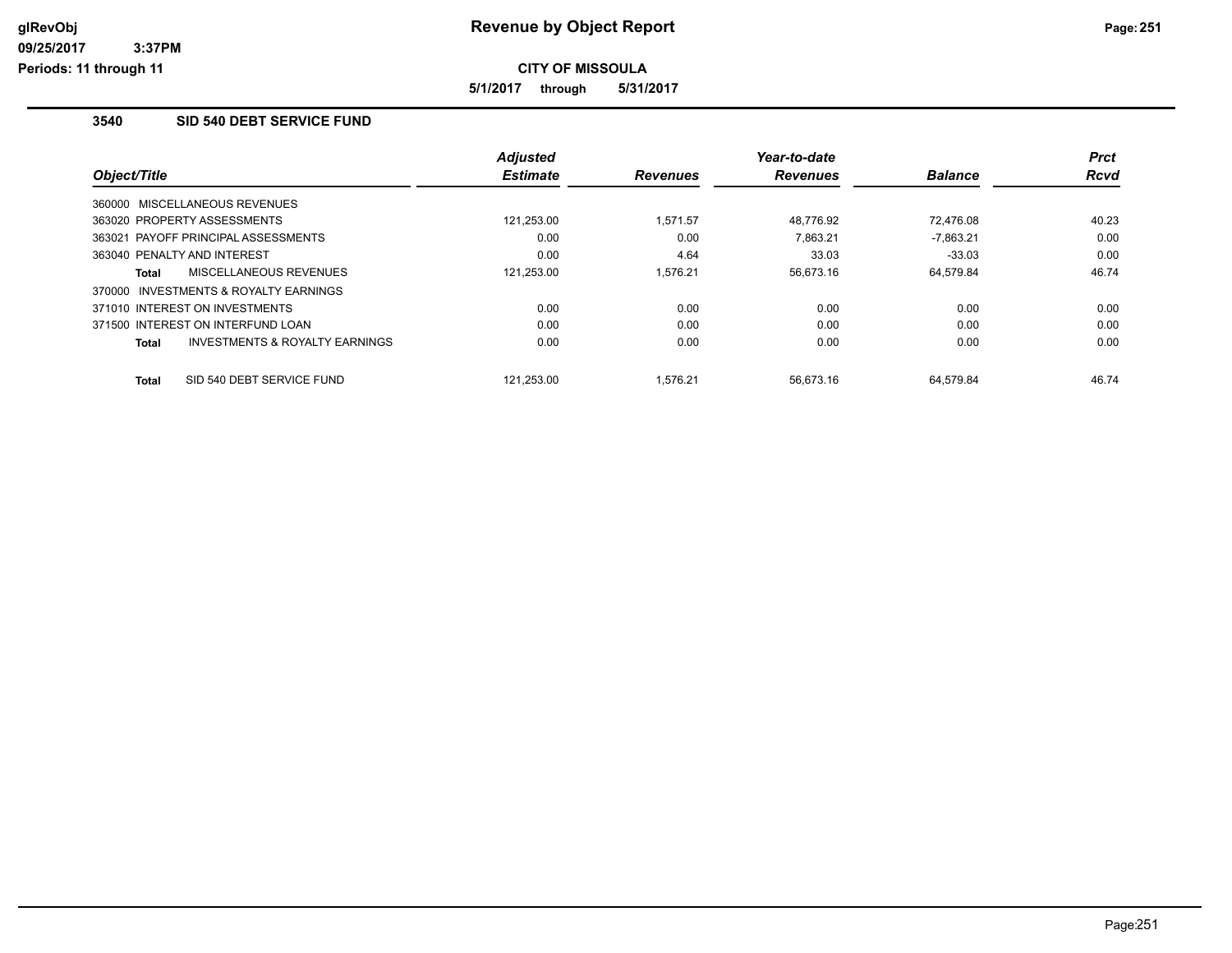**5/1/2017 through 5/31/2017**

# **3540 SID 540 DEBT SERVICE FUND**

| Object/Title                                              | <b>Adiusted</b><br><b>Estimate</b> | <b>Revenues</b> | Year-to-date<br><b>Revenues</b> | <b>Balance</b> | <b>Prct</b><br><b>Rcvd</b> |
|-----------------------------------------------------------|------------------------------------|-----------------|---------------------------------|----------------|----------------------------|
| 360000 MISCELLANEOUS REVENUES                             |                                    |                 |                                 |                |                            |
| 363020 PROPERTY ASSESSMENTS                               | 121.253.00                         | 1.571.57        | 48.776.92                       | 72.476.08      | 40.23                      |
| 363021 PAYOFF PRINCIPAL ASSESSMENTS                       | 0.00                               | 0.00            | 7.863.21                        | $-7.863.21$    | 0.00                       |
| 363040 PENALTY AND INTEREST                               | 0.00                               | 4.64            | 33.03                           | $-33.03$       | 0.00                       |
| MISCELLANEOUS REVENUES<br>Total                           | 121,253.00                         | 1.576.21        | 56.673.16                       | 64.579.84      | 46.74                      |
| 370000 INVESTMENTS & ROYALTY EARNINGS                     |                                    |                 |                                 |                |                            |
| 371010 INTEREST ON INVESTMENTS                            | 0.00                               | 0.00            | 0.00                            | 0.00           | 0.00                       |
| 371500 INTEREST ON INTERFUND LOAN                         | 0.00                               | 0.00            | 0.00                            | 0.00           | 0.00                       |
| <b>INVESTMENTS &amp; ROYALTY EARNINGS</b><br><b>Total</b> | 0.00                               | 0.00            | 0.00                            | 0.00           | 0.00                       |
| SID 540 DEBT SERVICE FUND<br><b>Total</b>                 | 121.253.00                         | 1.576.21        | 56.673.16                       | 64.579.84      | 46.74                      |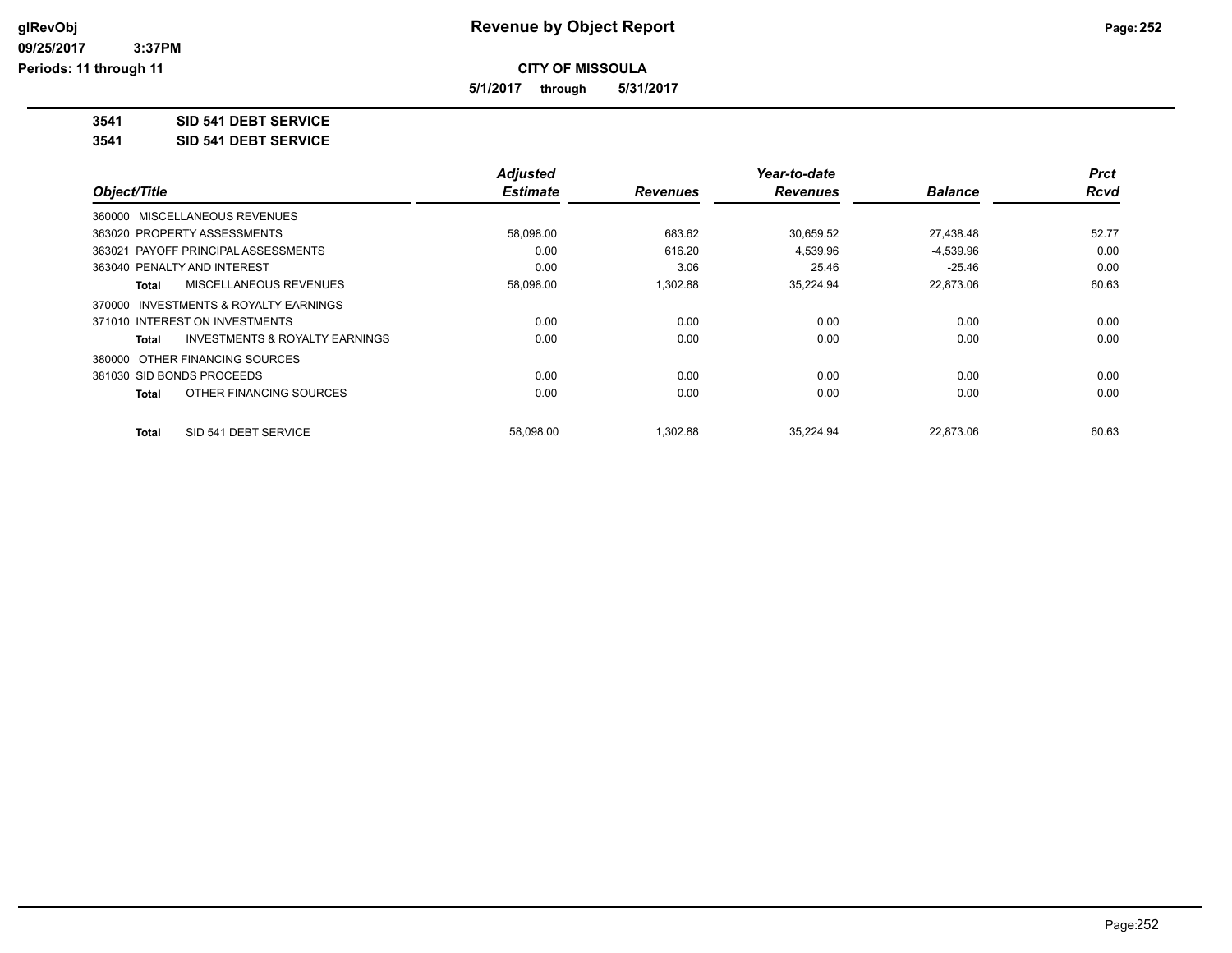**5/1/2017 through 5/31/2017**

**3541 SID 541 DEBT SERVICE**

**3541 SID 541 DEBT SERVICE**

|                                                    | <b>Adjusted</b> |                 | Year-to-date    |                | <b>Prct</b> |
|----------------------------------------------------|-----------------|-----------------|-----------------|----------------|-------------|
| Object/Title                                       | <b>Estimate</b> | <b>Revenues</b> | <b>Revenues</b> | <b>Balance</b> | <b>Rcvd</b> |
| 360000 MISCELLANEOUS REVENUES                      |                 |                 |                 |                |             |
| 363020 PROPERTY ASSESSMENTS                        | 58,098.00       | 683.62          | 30,659.52       | 27,438.48      | 52.77       |
| PAYOFF PRINCIPAL ASSESSMENTS<br>363021             | 0.00            | 616.20          | 4,539.96        | $-4,539.96$    | 0.00        |
| 363040 PENALTY AND INTEREST                        | 0.00            | 3.06            | 25.46           | $-25.46$       | 0.00        |
| MISCELLANEOUS REVENUES<br>Total                    | 58,098.00       | 1,302.88        | 35,224.94       | 22.873.06      | 60.63       |
| 370000 INVESTMENTS & ROYALTY EARNINGS              |                 |                 |                 |                |             |
| 371010 INTEREST ON INVESTMENTS                     | 0.00            | 0.00            | 0.00            | 0.00           | 0.00        |
| <b>INVESTMENTS &amp; ROYALTY EARNINGS</b><br>Total | 0.00            | 0.00            | 0.00            | 0.00           | 0.00        |
| 380000 OTHER FINANCING SOURCES                     |                 |                 |                 |                |             |
| 381030 SID BONDS PROCEEDS                          | 0.00            | 0.00            | 0.00            | 0.00           | 0.00        |
| OTHER FINANCING SOURCES<br>Total                   | 0.00            | 0.00            | 0.00            | 0.00           | 0.00        |
| SID 541 DEBT SERVICE<br>Total                      | 58.098.00       | 1,302.88        | 35.224.94       | 22.873.06      | 60.63       |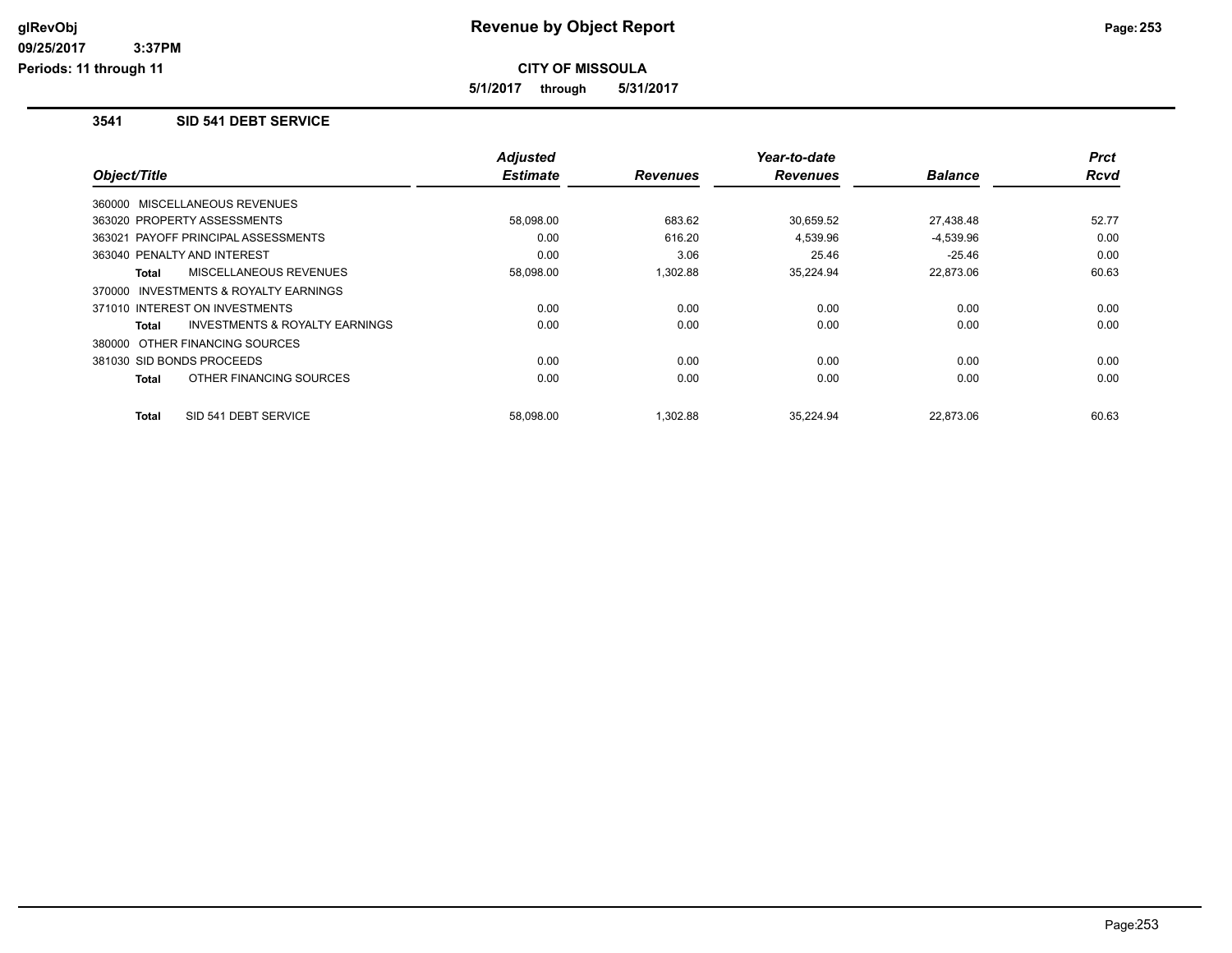**5/1/2017 through 5/31/2017**

#### **3541 SID 541 DEBT SERVICE**

| Object/Title                                        | <b>Adjusted</b><br><b>Estimate</b> | <b>Revenues</b> | Year-to-date<br><b>Revenues</b> | <b>Balance</b> | <b>Prct</b><br>Rcvd |
|-----------------------------------------------------|------------------------------------|-----------------|---------------------------------|----------------|---------------------|
|                                                     |                                    |                 |                                 |                |                     |
| 360000 MISCELLANEOUS REVENUES                       |                                    |                 |                                 |                |                     |
| 363020 PROPERTY ASSESSMENTS                         | 58,098.00                          | 683.62          | 30,659.52                       | 27,438.48      | 52.77               |
| 363021 PAYOFF PRINCIPAL ASSESSMENTS                 | 0.00                               | 616.20          | 4,539.96                        | $-4,539.96$    | 0.00                |
| 363040 PENALTY AND INTEREST                         | 0.00                               | 3.06            | 25.46                           | $-25.46$       | 0.00                |
| MISCELLANEOUS REVENUES<br>Total                     | 58,098.00                          | 1,302.88        | 35,224.94                       | 22.873.06      | 60.63               |
| <b>INVESTMENTS &amp; ROYALTY EARNINGS</b><br>370000 |                                    |                 |                                 |                |                     |
| 371010 INTEREST ON INVESTMENTS                      | 0.00                               | 0.00            | 0.00                            | 0.00           | 0.00                |
| <b>INVESTMENTS &amp; ROYALTY EARNINGS</b><br>Total  | 0.00                               | 0.00            | 0.00                            | 0.00           | 0.00                |
| 380000 OTHER FINANCING SOURCES                      |                                    |                 |                                 |                |                     |
| 381030 SID BONDS PROCEEDS                           | 0.00                               | 0.00            | 0.00                            | 0.00           | 0.00                |
| OTHER FINANCING SOURCES<br><b>Total</b>             | 0.00                               | 0.00            | 0.00                            | 0.00           | 0.00                |
| SID 541 DEBT SERVICE<br><b>Total</b>                | 58.098.00                          | 1.302.88        | 35.224.94                       | 22.873.06      | 60.63               |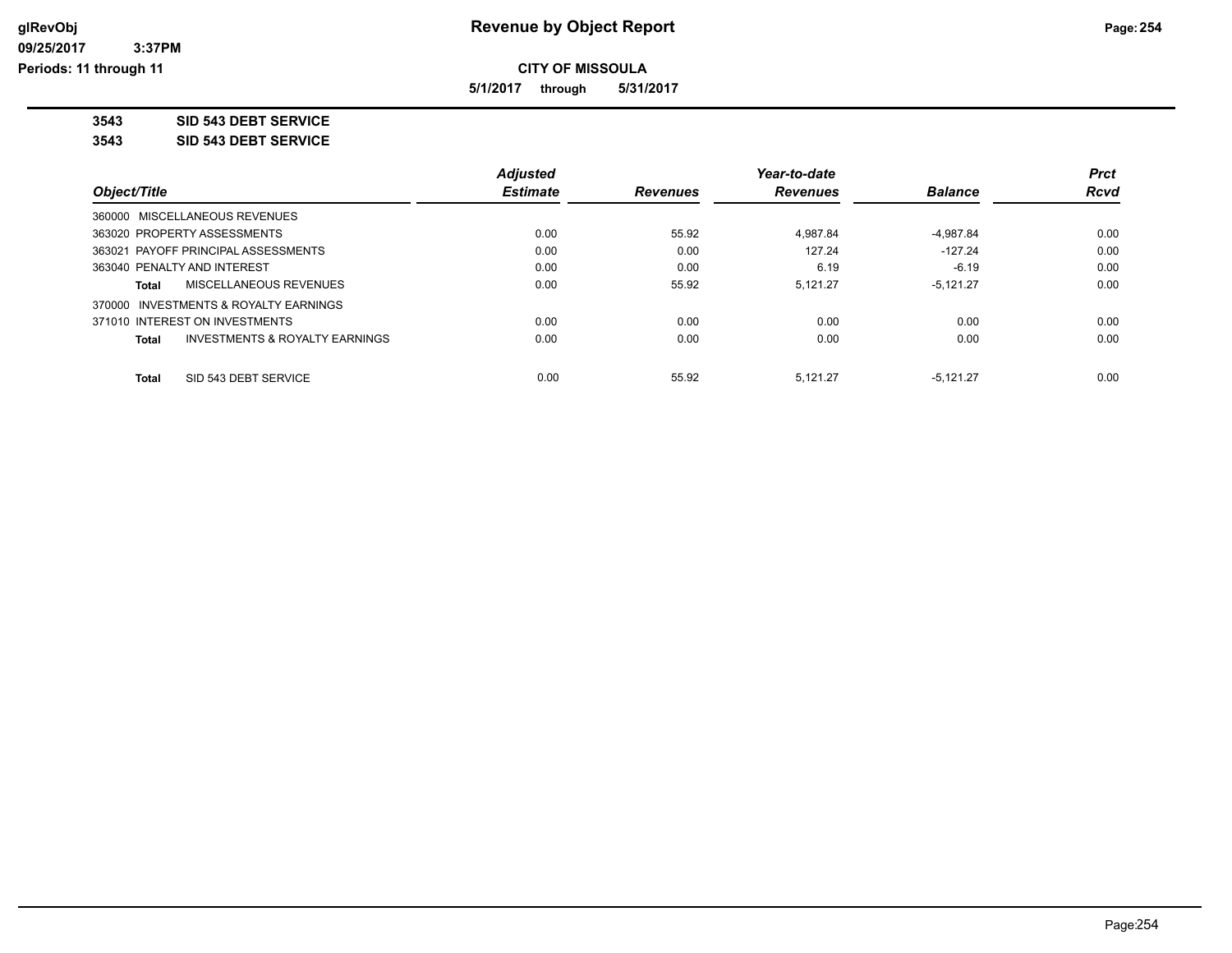**5/1/2017 through 5/31/2017**

**3543 SID 543 DEBT SERVICE**

**3543 SID 543 DEBT SERVICE**

|                                                           | <b>Adjusted</b> |                 | Year-to-date    |                | <b>Prct</b> |
|-----------------------------------------------------------|-----------------|-----------------|-----------------|----------------|-------------|
| Object/Title                                              | <b>Estimate</b> | <b>Revenues</b> | <b>Revenues</b> | <b>Balance</b> | Rcvd        |
| 360000 MISCELLANEOUS REVENUES                             |                 |                 |                 |                |             |
| 363020 PROPERTY ASSESSMENTS                               | 0.00            | 55.92           | 4.987.84        | $-4.987.84$    | 0.00        |
| 363021 PAYOFF PRINCIPAL ASSESSMENTS                       | 0.00            | 0.00            | 127.24          | $-127.24$      | 0.00        |
| 363040 PENALTY AND INTEREST                               | 0.00            | 0.00            | 6.19            | $-6.19$        | 0.00        |
| MISCELLANEOUS REVENUES<br>Total                           | 0.00            | 55.92           | 5.121.27        | $-5.121.27$    | 0.00        |
| 370000 INVESTMENTS & ROYALTY EARNINGS                     |                 |                 |                 |                |             |
| 371010 INTEREST ON INVESTMENTS                            | 0.00            | 0.00            | 0.00            | 0.00           | 0.00        |
| <b>INVESTMENTS &amp; ROYALTY EARNINGS</b><br><b>Total</b> | 0.00            | 0.00            | 0.00            | 0.00           | 0.00        |
| SID 543 DEBT SERVICE<br><b>Total</b>                      | 0.00            | 55.92           | 5.121.27        | $-5.121.27$    | 0.00        |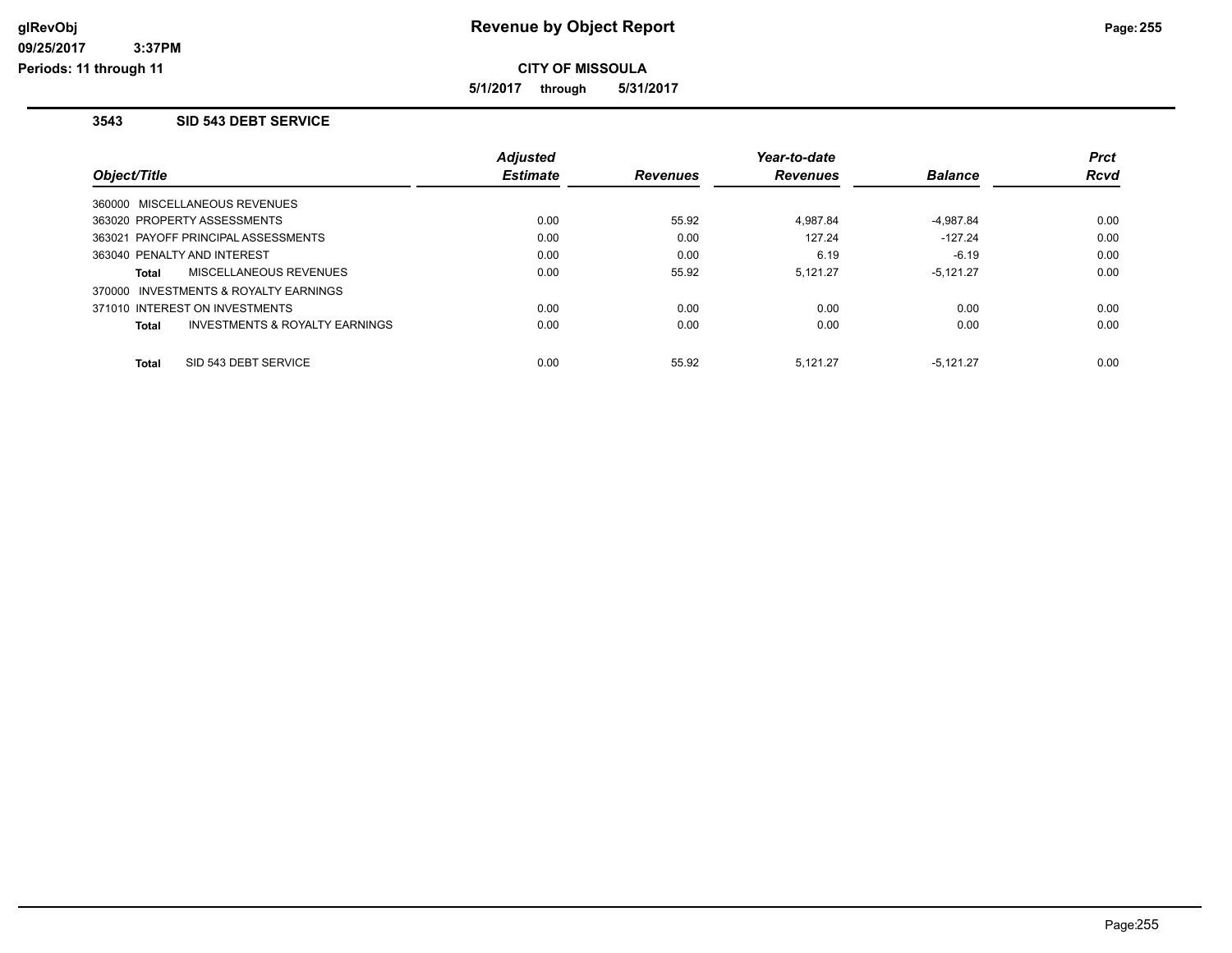**5/1/2017 through 5/31/2017**

#### **3543 SID 543 DEBT SERVICE**

|                                          | <b>Adjusted</b> |                 | Year-to-date    |                | <b>Prct</b> |
|------------------------------------------|-----------------|-----------------|-----------------|----------------|-------------|
| Object/Title                             | <b>Estimate</b> | <b>Revenues</b> | <b>Revenues</b> | <b>Balance</b> | <b>Rcvd</b> |
| 360000 MISCELLANEOUS REVENUES            |                 |                 |                 |                |             |
| 363020 PROPERTY ASSESSMENTS              | 0.00            | 55.92           | 4.987.84        | $-4,987.84$    | 0.00        |
| 363021 PAYOFF PRINCIPAL ASSESSMENTS      | 0.00            | 0.00            | 127.24          | $-127.24$      | 0.00        |
| 363040 PENALTY AND INTEREST              | 0.00            | 0.00            | 6.19            | $-6.19$        | 0.00        |
| MISCELLANEOUS REVENUES<br>Total          | 0.00            | 55.92           | 5.121.27        | $-5.121.27$    | 0.00        |
| INVESTMENTS & ROYALTY EARNINGS<br>370000 |                 |                 |                 |                |             |
| 371010 INTEREST ON INVESTMENTS           | 0.00            | 0.00            | 0.00            | 0.00           | 0.00        |
| INVESTMENTS & ROYALTY EARNINGS<br>Total  | 0.00            | 0.00            | 0.00            | 0.00           | 0.00        |
| SID 543 DEBT SERVICE<br><b>Total</b>     | 0.00            | 55.92           | 5.121.27        | $-5.121.27$    | 0.00        |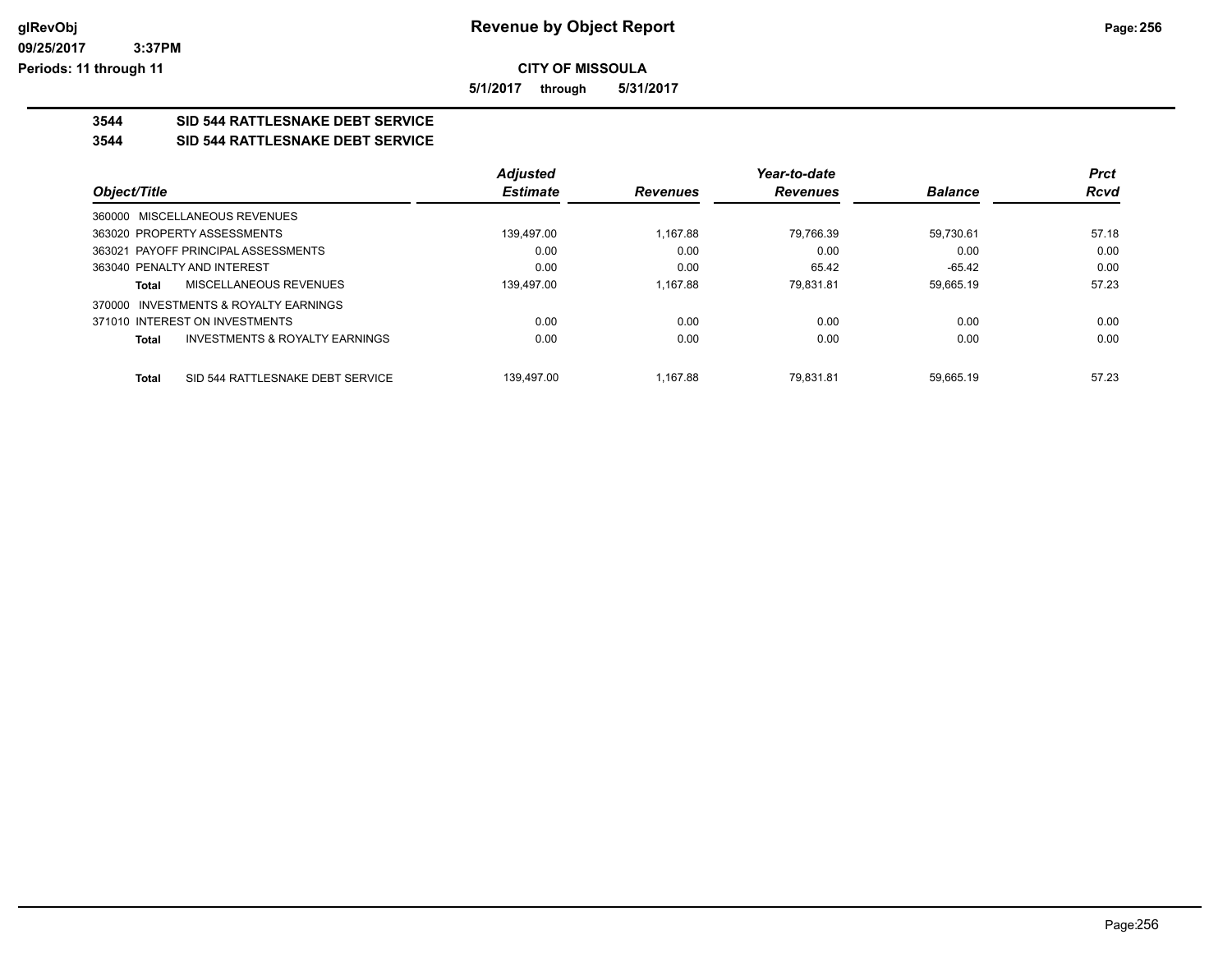**5/1/2017 through 5/31/2017**

# **3544 SID 544 RATTLESNAKE DEBT SERVICE**

#### **3544 SID 544 RATTLESNAKE DEBT SERVICE**

|                                                           | <b>Adjusted</b> |                 | Year-to-date    |                | <b>Prct</b> |
|-----------------------------------------------------------|-----------------|-----------------|-----------------|----------------|-------------|
| Object/Title                                              | <b>Estimate</b> | <b>Revenues</b> | <b>Revenues</b> | <b>Balance</b> | <b>Rcvd</b> |
| 360000 MISCELLANEOUS REVENUES                             |                 |                 |                 |                |             |
| 363020 PROPERTY ASSESSMENTS                               | 139.497.00      | 1.167.88        | 79.766.39       | 59.730.61      | 57.18       |
| 363021 PAYOFF PRINCIPAL ASSESSMENTS                       | 0.00            | 0.00            | 0.00            | 0.00           | 0.00        |
| 363040 PENALTY AND INTEREST                               | 0.00            | 0.00            | 65.42           | $-65.42$       | 0.00        |
| MISCELLANEOUS REVENUES<br>Total                           | 139.497.00      | 1.167.88        | 79.831.81       | 59.665.19      | 57.23       |
| INVESTMENTS & ROYALTY EARNINGS<br>370000                  |                 |                 |                 |                |             |
| 371010 INTEREST ON INVESTMENTS                            | 0.00            | 0.00            | 0.00            | 0.00           | 0.00        |
| <b>INVESTMENTS &amp; ROYALTY EARNINGS</b><br><b>Total</b> | 0.00            | 0.00            | 0.00            | 0.00           | 0.00        |
| SID 544 RATTLESNAKE DEBT SERVICE<br><b>Total</b>          | 139.497.00      | 1.167.88        | 79.831.81       | 59.665.19      | 57.23       |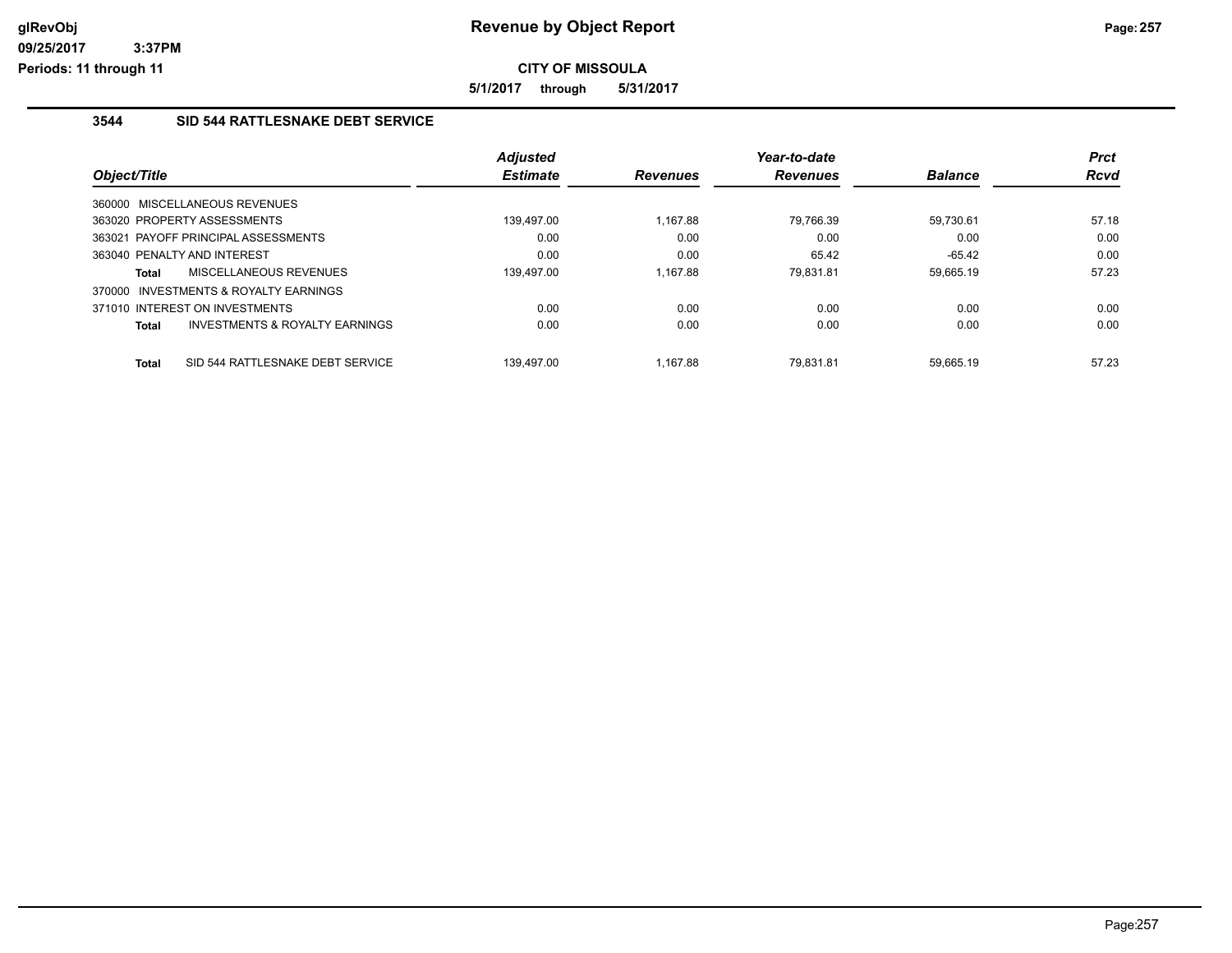**5/1/2017 through 5/31/2017**

#### **3544 SID 544 RATTLESNAKE DEBT SERVICE**

|                                     |                                  | <b>Adjusted</b> |                 | Year-to-date    |                | <b>Prct</b> |
|-------------------------------------|----------------------------------|-----------------|-----------------|-----------------|----------------|-------------|
| Object/Title                        |                                  | <b>Estimate</b> | <b>Revenues</b> | <b>Revenues</b> | <b>Balance</b> | <b>Rcvd</b> |
| 360000 MISCELLANEOUS REVENUES       |                                  |                 |                 |                 |                |             |
| 363020 PROPERTY ASSESSMENTS         |                                  | 139,497.00      | 1.167.88        | 79.766.39       | 59.730.61      | 57.18       |
| 363021 PAYOFF PRINCIPAL ASSESSMENTS |                                  | 0.00            | 0.00            | 0.00            | 0.00           | 0.00        |
| 363040 PENALTY AND INTEREST         |                                  | 0.00            | 0.00            | 65.42           | $-65.42$       | 0.00        |
| Total                               | MISCELLANEOUS REVENUES           | 139.497.00      | 1.167.88        | 79.831.81       | 59.665.19      | 57.23       |
| 370000                              | INVESTMENTS & ROYALTY EARNINGS   |                 |                 |                 |                |             |
| 371010 INTEREST ON INVESTMENTS      |                                  | 0.00            | 0.00            | 0.00            | 0.00           | 0.00        |
| Total                               | INVESTMENTS & ROYALTY EARNINGS   | 0.00            | 0.00            | 0.00            | 0.00           | 0.00        |
| <b>Total</b>                        | SID 544 RATTLESNAKE DEBT SERVICE | 139.497.00      | 1.167.88        | 79.831.81       | 59.665.19      | 57.23       |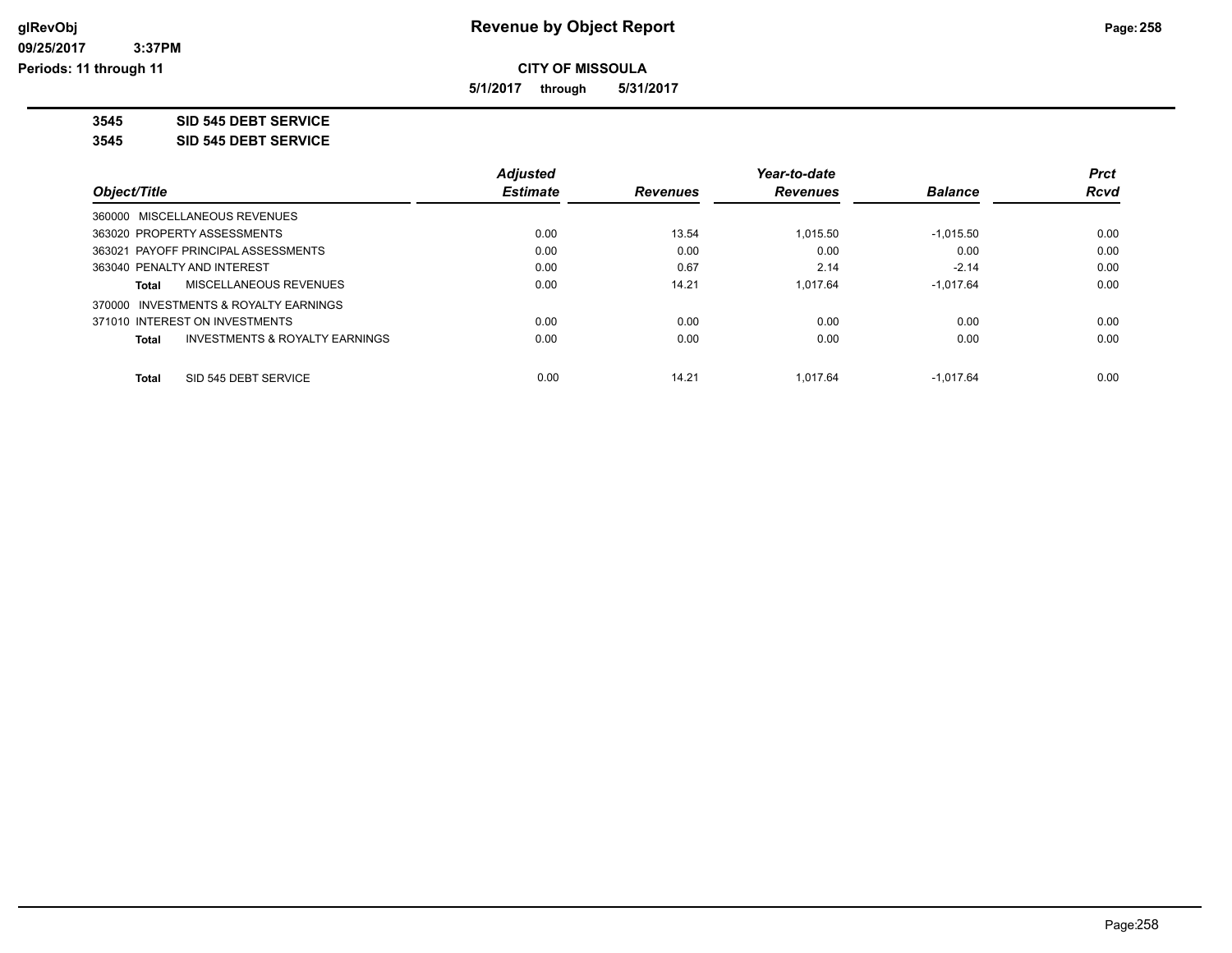**5/1/2017 through 5/31/2017**

**3545 SID 545 DEBT SERVICE**

**3545 SID 545 DEBT SERVICE**

|                                                           | <b>Adjusted</b> |                 | Year-to-date    |                | <b>Prct</b> |
|-----------------------------------------------------------|-----------------|-----------------|-----------------|----------------|-------------|
| Object/Title                                              | <b>Estimate</b> | <b>Revenues</b> | <b>Revenues</b> | <b>Balance</b> | Rcvd        |
| 360000 MISCELLANEOUS REVENUES                             |                 |                 |                 |                |             |
| 363020 PROPERTY ASSESSMENTS                               | 0.00            | 13.54           | 1.015.50        | $-1.015.50$    | 0.00        |
| 363021 PAYOFF PRINCIPAL ASSESSMENTS                       | 0.00            | 0.00            | 0.00            | 0.00           | 0.00        |
| 363040 PENALTY AND INTEREST                               | 0.00            | 0.67            | 2.14            | $-2.14$        | 0.00        |
| MISCELLANEOUS REVENUES<br>Total                           | 0.00            | 14.21           | 1.017.64        | $-1.017.64$    | 0.00        |
| 370000 INVESTMENTS & ROYALTY EARNINGS                     |                 |                 |                 |                |             |
| 371010 INTEREST ON INVESTMENTS                            | 0.00            | 0.00            | 0.00            | 0.00           | 0.00        |
| <b>INVESTMENTS &amp; ROYALTY EARNINGS</b><br><b>Total</b> | 0.00            | 0.00            | 0.00            | 0.00           | 0.00        |
| SID 545 DEBT SERVICE<br><b>Total</b>                      | 0.00            | 14.21           | 1.017.64        | $-1.017.64$    | 0.00        |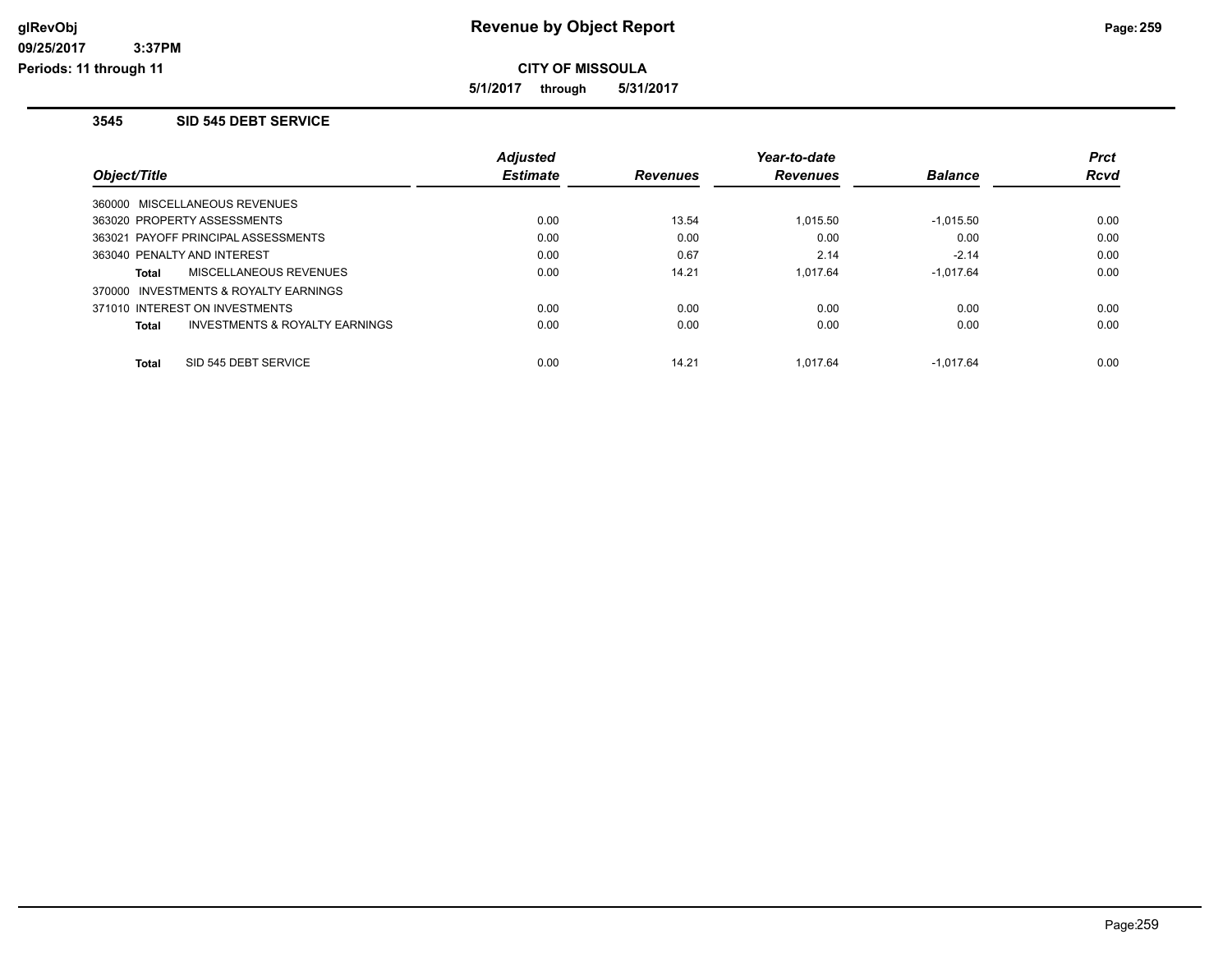**5/1/2017 through 5/31/2017**

#### **3545 SID 545 DEBT SERVICE**

|                                                | <b>Adjusted</b> |                 | Year-to-date    |                | <b>Prct</b> |
|------------------------------------------------|-----------------|-----------------|-----------------|----------------|-------------|
| Object/Title                                   | <b>Estimate</b> | <b>Revenues</b> | <b>Revenues</b> | <b>Balance</b> | <b>Rcvd</b> |
| 360000 MISCELLANEOUS REVENUES                  |                 |                 |                 |                |             |
| 363020 PROPERTY ASSESSMENTS                    | 0.00            | 13.54           | 1.015.50        | $-1.015.50$    | 0.00        |
| 363021 PAYOFF PRINCIPAL ASSESSMENTS            | 0.00            | 0.00            | 0.00            | 0.00           | 0.00        |
| 363040 PENALTY AND INTEREST                    | 0.00            | 0.67            | 2.14            | $-2.14$        | 0.00        |
| MISCELLANEOUS REVENUES<br><b>Total</b>         | 0.00            | 14.21           | 1.017.64        | $-1.017.64$    | 0.00        |
| 370000 INVESTMENTS & ROYALTY EARNINGS          |                 |                 |                 |                |             |
| 371010 INTEREST ON INVESTMENTS                 | 0.00            | 0.00            | 0.00            | 0.00           | 0.00        |
| INVESTMENTS & ROYALTY EARNINGS<br><b>Total</b> | 0.00            | 0.00            | 0.00            | 0.00           | 0.00        |
| SID 545 DEBT SERVICE<br><b>Total</b>           | 0.00            | 14.21           | 1.017.64        | $-1.017.64$    | 0.00        |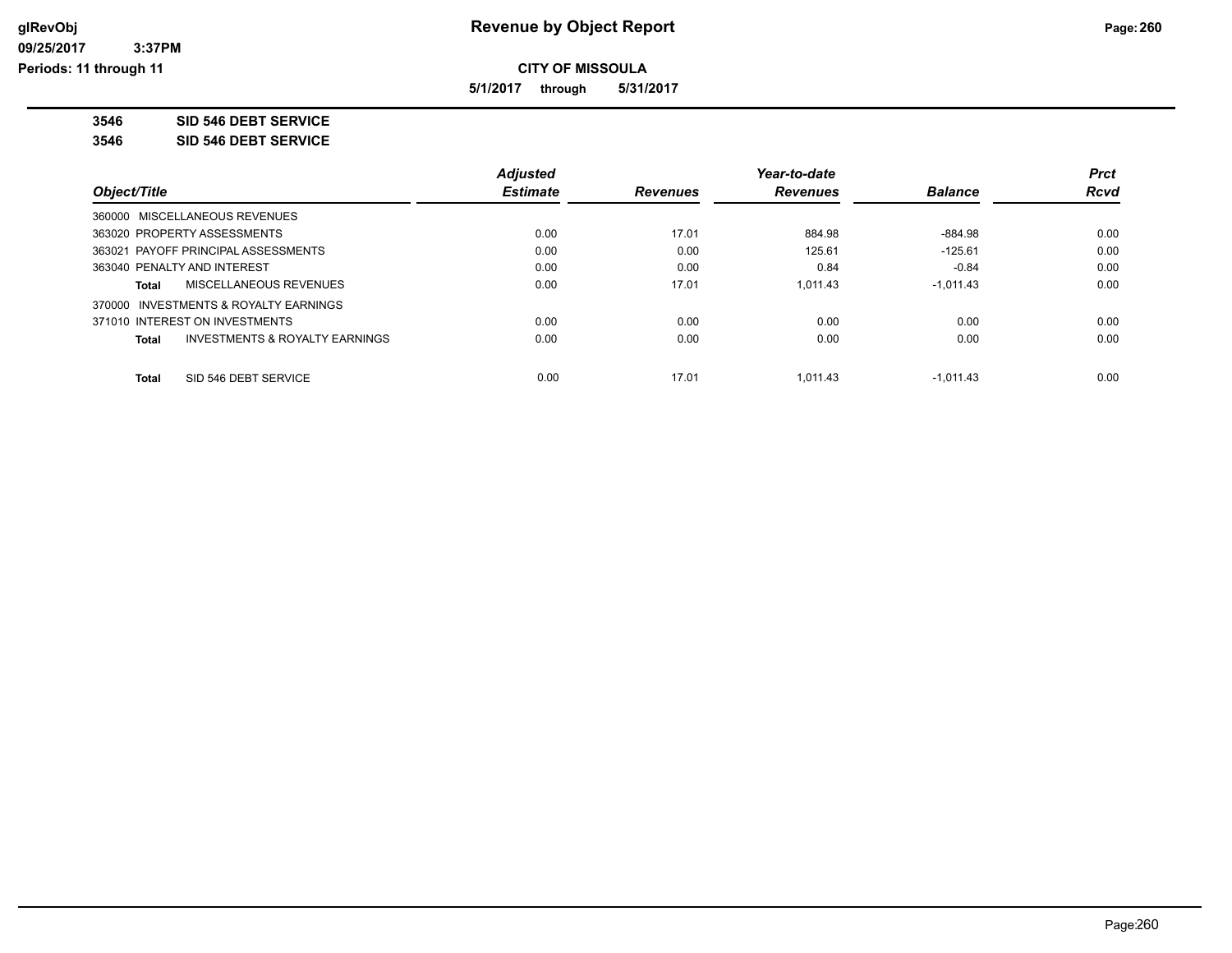**5/1/2017 through 5/31/2017**

**3546 SID 546 DEBT SERVICE**

**3546 SID 546 DEBT SERVICE**

|                                                | <b>Adjusted</b> |                 | Year-to-date    |                | <b>Prct</b> |
|------------------------------------------------|-----------------|-----------------|-----------------|----------------|-------------|
| Object/Title                                   | <b>Estimate</b> | <b>Revenues</b> | <b>Revenues</b> | <b>Balance</b> | <b>Rcvd</b> |
| 360000 MISCELLANEOUS REVENUES                  |                 |                 |                 |                |             |
| 363020 PROPERTY ASSESSMENTS                    | 0.00            | 17.01           | 884.98          | -884.98        | 0.00        |
| 363021 PAYOFF PRINCIPAL ASSESSMENTS            | 0.00            | 0.00            | 125.61          | $-125.61$      | 0.00        |
| 363040 PENALTY AND INTEREST                    | 0.00            | 0.00            | 0.84            | $-0.84$        | 0.00        |
| MISCELLANEOUS REVENUES<br>Total                | 0.00            | 17.01           | 1.011.43        | $-1.011.43$    | 0.00        |
| 370000 INVESTMENTS & ROYALTY EARNINGS          |                 |                 |                 |                |             |
| 371010 INTEREST ON INVESTMENTS                 | 0.00            | 0.00            | 0.00            | 0.00           | 0.00        |
| INVESTMENTS & ROYALTY EARNINGS<br><b>Total</b> | 0.00            | 0.00            | 0.00            | 0.00           | 0.00        |
| SID 546 DEBT SERVICE<br><b>Total</b>           | 0.00            | 17.01           | 1.011.43        | $-1.011.43$    | 0.00        |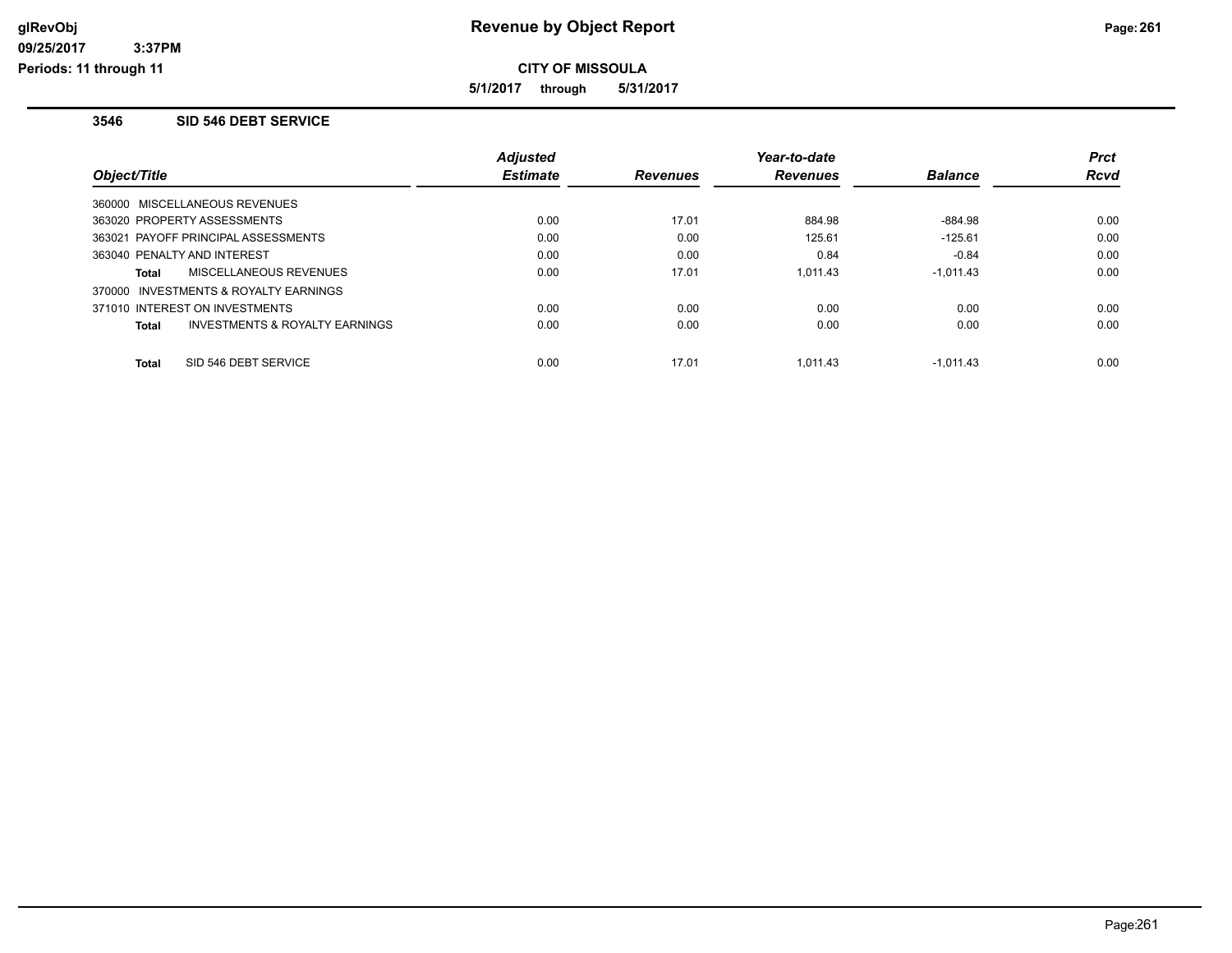**5/1/2017 through 5/31/2017**

#### **3546 SID 546 DEBT SERVICE**

|                             |                                     | <b>Adjusted</b> |                 | Year-to-date    |                | <b>Prct</b> |
|-----------------------------|-------------------------------------|-----------------|-----------------|-----------------|----------------|-------------|
| <i><b>Object/Title</b></i>  |                                     | <b>Estimate</b> | <b>Revenues</b> | <b>Revenues</b> | <b>Balance</b> | <b>Rcvd</b> |
|                             | 360000 MISCELLANEOUS REVENUES       |                 |                 |                 |                |             |
|                             | 363020 PROPERTY ASSESSMENTS         | 0.00            | 17.01           | 884.98          | $-884.98$      | 0.00        |
|                             | 363021 PAYOFF PRINCIPAL ASSESSMENTS | 0.00            | 0.00            | 125.61          | $-125.61$      | 0.00        |
| 363040 PENALTY AND INTEREST |                                     | 0.00            | 0.00            | 0.84            | $-0.84$        | 0.00        |
| Total                       | MISCELLANEOUS REVENUES              | 0.00            | 17.01           | 1.011.43        | $-1,011.43$    | 0.00        |
| 370000                      | INVESTMENTS & ROYALTY EARNINGS      |                 |                 |                 |                |             |
|                             | 371010 INTEREST ON INVESTMENTS      | 0.00            | 0.00            | 0.00            | 0.00           | 0.00        |
| Total                       | INVESTMENTS & ROYALTY EARNINGS      | 0.00            | 0.00            | 0.00            | 0.00           | 0.00        |
| <b>Total</b>                | SID 546 DEBT SERVICE                | 0.00            | 17.01           | 1.011.43        | $-1.011.43$    | 0.00        |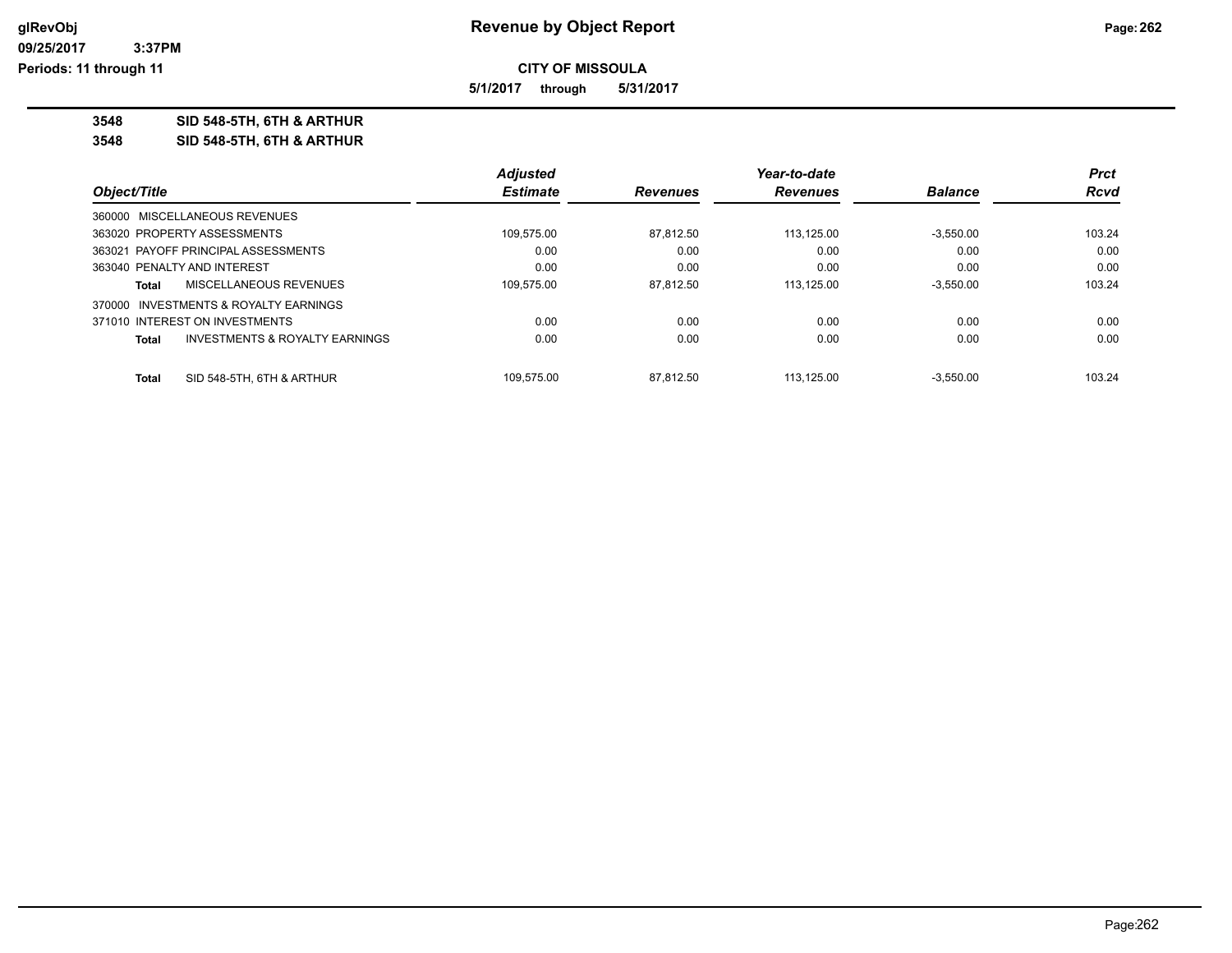**5/1/2017 through 5/31/2017**

**3548 SID 548-5TH, 6TH & ARTHUR**

**3548 SID 548-5TH, 6TH & ARTHUR**

|              |                                       | <b>Adjusted</b> |                 | Year-to-date    |                | <b>Prct</b> |
|--------------|---------------------------------------|-----------------|-----------------|-----------------|----------------|-------------|
| Object/Title |                                       | <b>Estimate</b> | <b>Revenues</b> | <b>Revenues</b> | <b>Balance</b> | Rcvd        |
|              | 360000 MISCELLANEOUS REVENUES         |                 |                 |                 |                |             |
|              | 363020 PROPERTY ASSESSMENTS           | 109,575.00      | 87.812.50       | 113.125.00      | $-3,550.00$    | 103.24      |
|              | 363021 PAYOFF PRINCIPAL ASSESSMENTS   | 0.00            | 0.00            | 0.00            | 0.00           | 0.00        |
|              | 363040 PENALTY AND INTEREST           | 0.00            | 0.00            | 0.00            | 0.00           | 0.00        |
| Total        | MISCELLANEOUS REVENUES                | 109.575.00      | 87.812.50       | 113.125.00      | $-3.550.00$    | 103.24      |
|              | 370000 INVESTMENTS & ROYALTY EARNINGS |                 |                 |                 |                |             |
|              | 371010 INTEREST ON INVESTMENTS        | 0.00            | 0.00            | 0.00            | 0.00           | 0.00        |
| <b>Total</b> | INVESTMENTS & ROYALTY EARNINGS        | 0.00            | 0.00            | 0.00            | 0.00           | 0.00        |
| <b>Total</b> | SID 548-5TH, 6TH & ARTHUR             | 109.575.00      | 87.812.50       | 113.125.00      | $-3.550.00$    | 103.24      |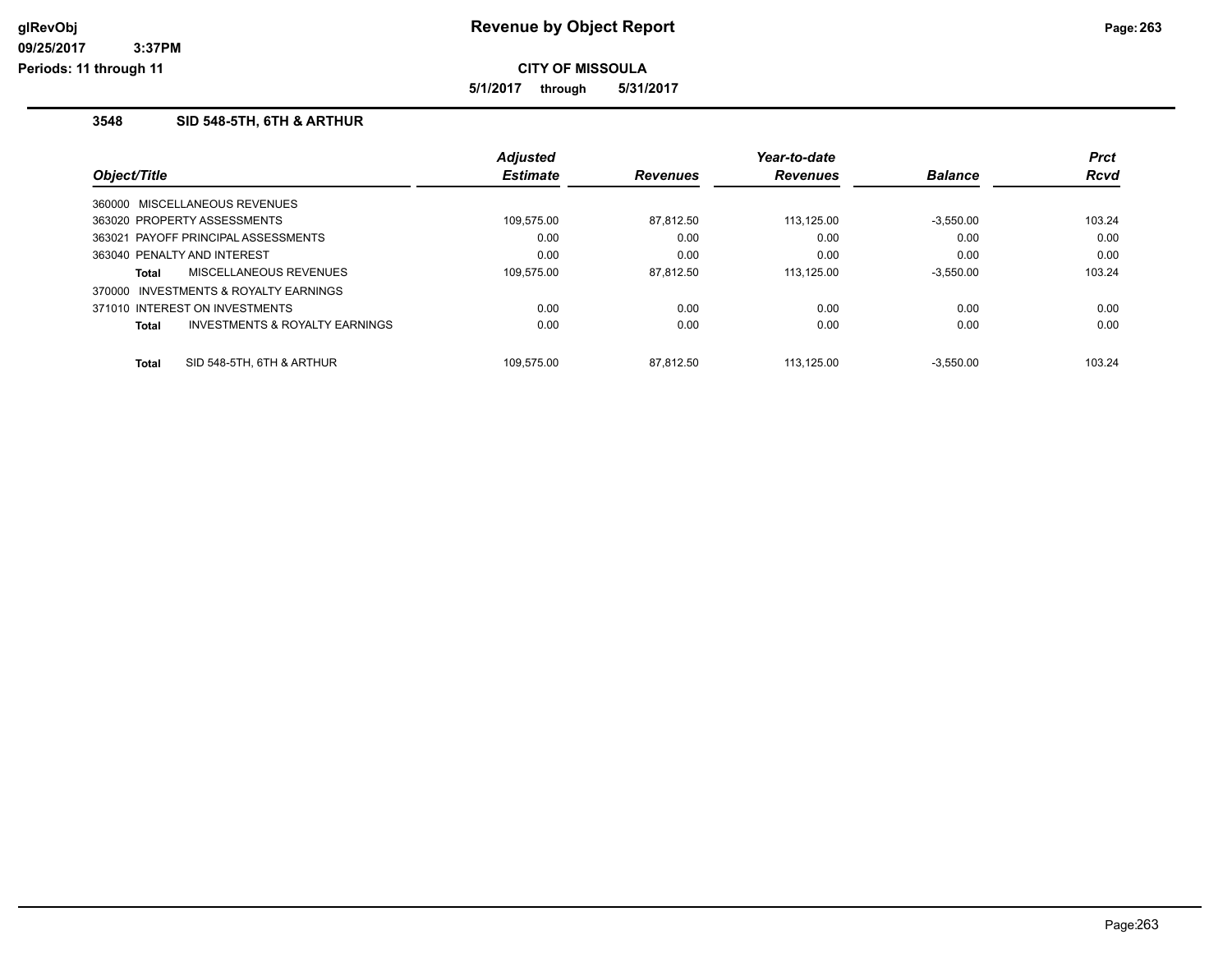**5/1/2017 through 5/31/2017**

#### **3548 SID 548-5TH, 6TH & ARTHUR**

|              |                                     | <b>Adjusted</b> |                 | Year-to-date    |                | <b>Prct</b> |
|--------------|-------------------------------------|-----------------|-----------------|-----------------|----------------|-------------|
| Object/Title |                                     | <b>Estimate</b> | <b>Revenues</b> | <b>Revenues</b> | <b>Balance</b> | <b>Rcvd</b> |
|              | 360000 MISCELLANEOUS REVENUES       |                 |                 |                 |                |             |
|              | 363020 PROPERTY ASSESSMENTS         | 109.575.00      | 87.812.50       | 113,125.00      | $-3,550.00$    | 103.24      |
|              | 363021 PAYOFF PRINCIPAL ASSESSMENTS | 0.00            | 0.00            | 0.00            | 0.00           | 0.00        |
|              | 363040 PENALTY AND INTEREST         | 0.00            | 0.00            | 0.00            | 0.00           | 0.00        |
| Total        | MISCELLANEOUS REVENUES              | 109.575.00      | 87.812.50       | 113.125.00      | $-3.550.00$    | 103.24      |
| 370000       | INVESTMENTS & ROYALTY EARNINGS      |                 |                 |                 |                |             |
|              | 371010 INTEREST ON INVESTMENTS      | 0.00            | 0.00            | 0.00            | 0.00           | 0.00        |
| <b>Total</b> | INVESTMENTS & ROYALTY EARNINGS      | 0.00            | 0.00            | 0.00            | 0.00           | 0.00        |
| <b>Total</b> | SID 548-5TH, 6TH & ARTHUR           | 109.575.00      | 87.812.50       | 113.125.00      | $-3.550.00$    | 103.24      |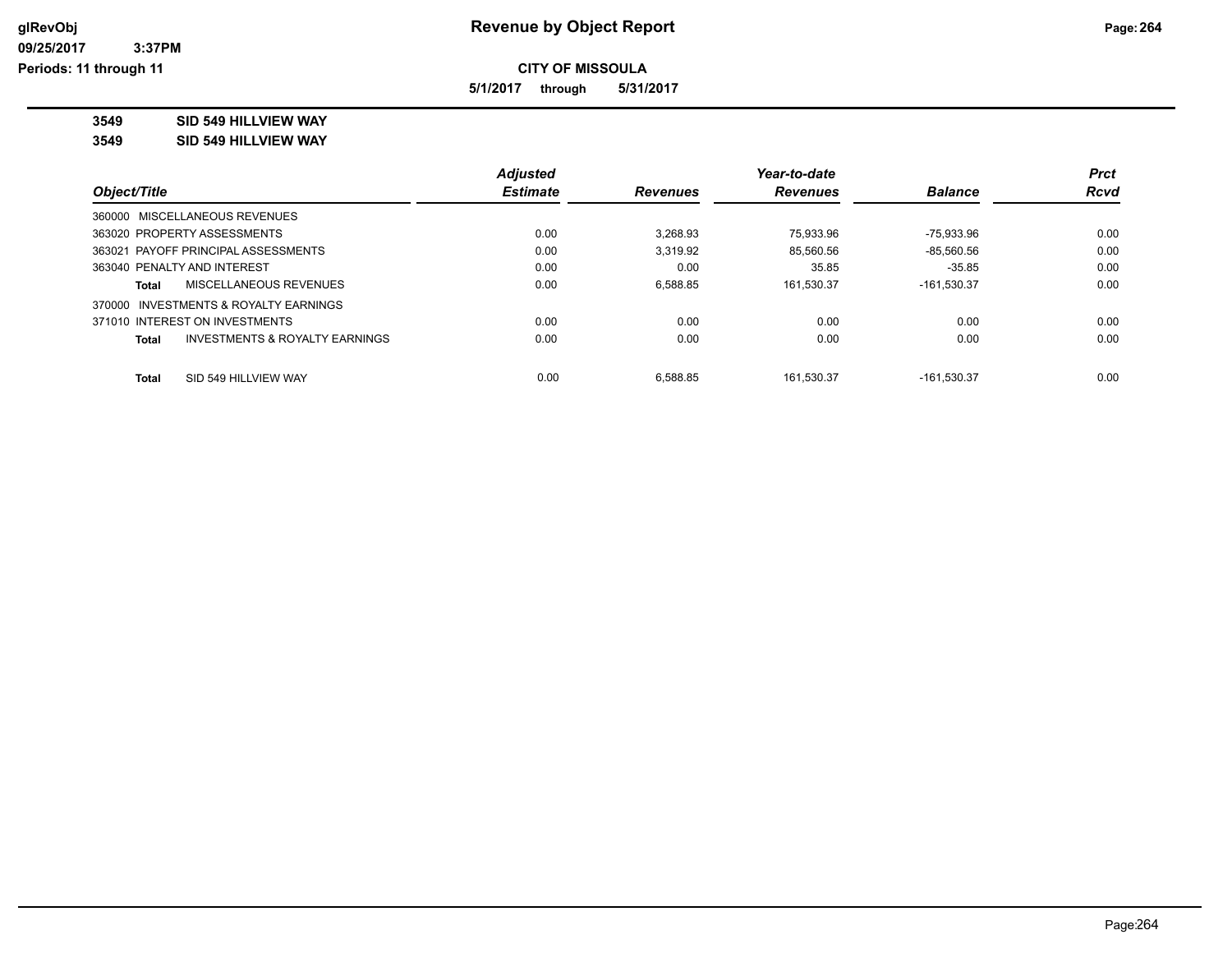**5/1/2017 through 5/31/2017**

**3549 SID 549 HILLVIEW WAY**

**3549 SID 549 HILLVIEW WAY**

|                                                           | <b>Adjusted</b> |                 | Year-to-date    |                | <b>Prct</b> |
|-----------------------------------------------------------|-----------------|-----------------|-----------------|----------------|-------------|
| Object/Title                                              | <b>Estimate</b> | <b>Revenues</b> | <b>Revenues</b> | <b>Balance</b> | Rcvd        |
| 360000 MISCELLANEOUS REVENUES                             |                 |                 |                 |                |             |
| 363020 PROPERTY ASSESSMENTS                               | 0.00            | 3.268.93        | 75.933.96       | -75.933.96     | 0.00        |
| 363021 PAYOFF PRINCIPAL ASSESSMENTS                       | 0.00            | 3.319.92        | 85.560.56       | $-85.560.56$   | 0.00        |
| 363040 PENALTY AND INTEREST                               | 0.00            | 0.00            | 35.85           | $-35.85$       | 0.00        |
| <b>MISCELLANEOUS REVENUES</b><br><b>Total</b>             | 0.00            | 6,588.85        | 161,530.37      | $-161,530.37$  | 0.00        |
| 370000 INVESTMENTS & ROYALTY EARNINGS                     |                 |                 |                 |                |             |
| 371010 INTEREST ON INVESTMENTS                            | 0.00            | 0.00            | 0.00            | 0.00           | 0.00        |
| <b>INVESTMENTS &amp; ROYALTY EARNINGS</b><br><b>Total</b> | 0.00            | 0.00            | 0.00            | 0.00           | 0.00        |
| SID 549 HILLVIEW WAY<br><b>Total</b>                      | 0.00            | 6.588.85        | 161.530.37      | $-161.530.37$  | 0.00        |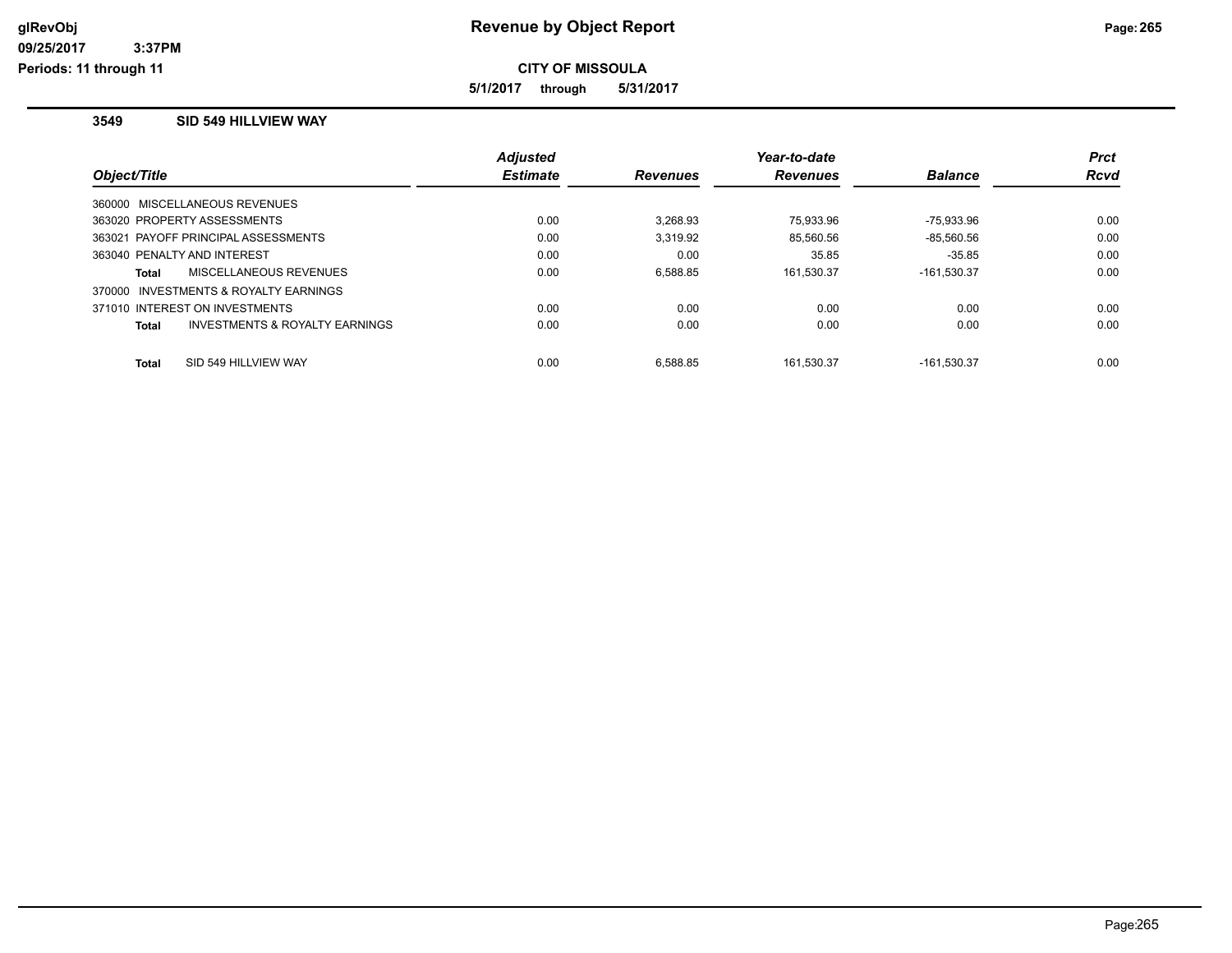**5/1/2017 through 5/31/2017**

#### **3549 SID 549 HILLVIEW WAY**

|                                                | <b>Adjusted</b> |                 | Year-to-date    |                | <b>Prct</b> |
|------------------------------------------------|-----------------|-----------------|-----------------|----------------|-------------|
| Object/Title                                   | <b>Estimate</b> | <b>Revenues</b> | <b>Revenues</b> | <b>Balance</b> | Rcvd        |
| 360000 MISCELLANEOUS REVENUES                  |                 |                 |                 |                |             |
| 363020 PROPERTY ASSESSMENTS                    | 0.00            | 3.268.93        | 75.933.96       | -75,933.96     | 0.00        |
| 363021 PAYOFF PRINCIPAL ASSESSMENTS            | 0.00            | 3.319.92        | 85.560.56       | $-85.560.56$   | 0.00        |
| 363040 PENALTY AND INTEREST                    | 0.00            | 0.00            | 35.85           | $-35.85$       | 0.00        |
| MISCELLANEOUS REVENUES<br>Total                | 0.00            | 6.588.85        | 161.530.37      | $-161.530.37$  | 0.00        |
| 370000 INVESTMENTS & ROYALTY EARNINGS          |                 |                 |                 |                |             |
| 371010 INTEREST ON INVESTMENTS                 | 0.00            | 0.00            | 0.00            | 0.00           | 0.00        |
| <b>Total</b><br>INVESTMENTS & ROYALTY EARNINGS | 0.00            | 0.00            | 0.00            | 0.00           | 0.00        |
| SID 549 HILLVIEW WAY<br><b>Total</b>           | 0.00            | 6.588.85        | 161.530.37      | $-161.530.37$  | 0.00        |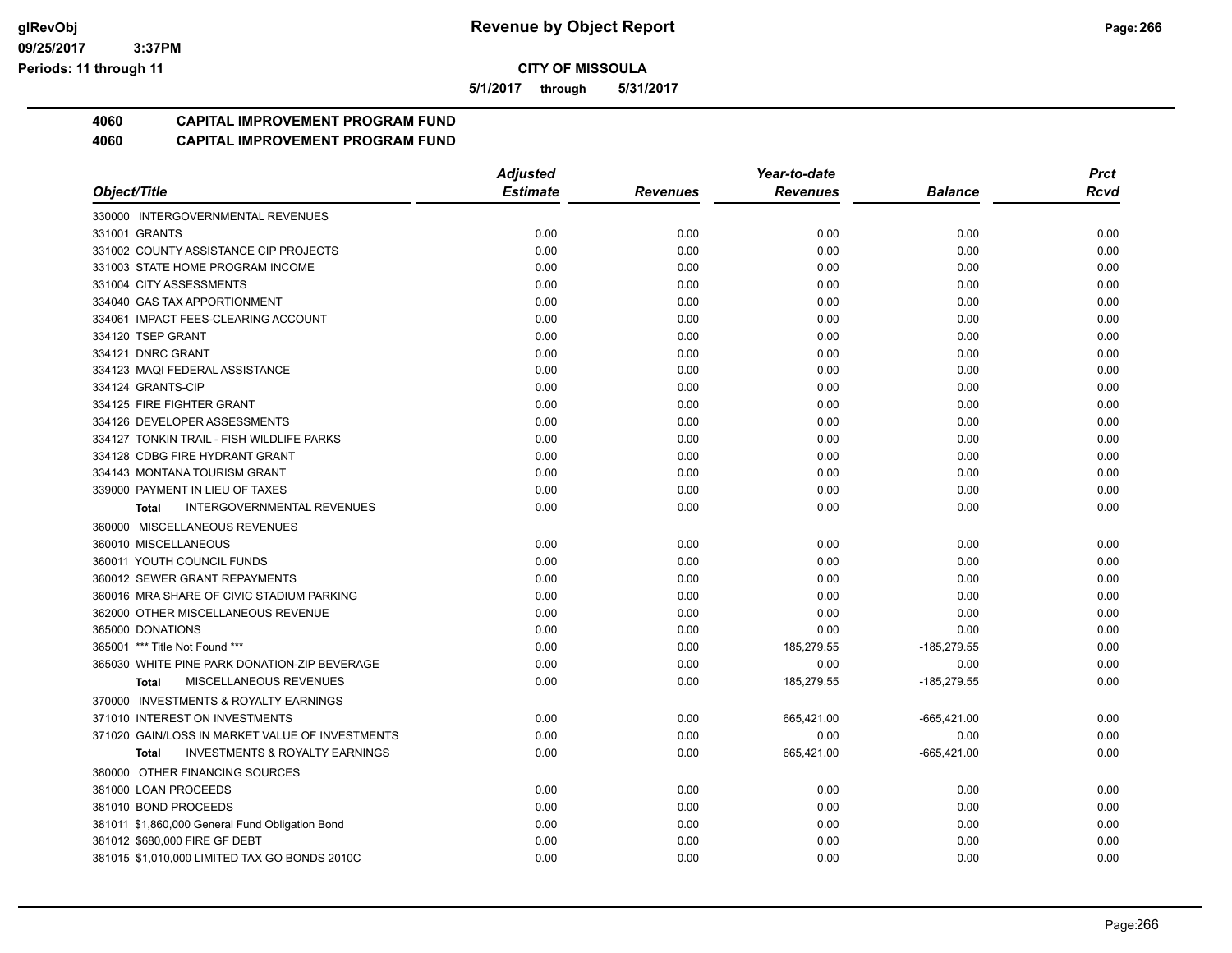**5/1/2017 through 5/31/2017**

# **4060 CAPITAL IMPROVEMENT PROGRAM FUND**

|                                                    | <b>Adjusted</b> |                 | Year-to-date    |                | <b>Prct</b> |
|----------------------------------------------------|-----------------|-----------------|-----------------|----------------|-------------|
| Object/Title                                       | <b>Estimate</b> | <b>Revenues</b> | <b>Revenues</b> | <b>Balance</b> | <b>Rcvd</b> |
| 330000 INTERGOVERNMENTAL REVENUES                  |                 |                 |                 |                |             |
| 331001 GRANTS                                      | 0.00            | 0.00            | 0.00            | 0.00           | 0.00        |
| 331002 COUNTY ASSISTANCE CIP PROJECTS              | 0.00            | 0.00            | 0.00            | 0.00           | 0.00        |
| 331003 STATE HOME PROGRAM INCOME                   | 0.00            | 0.00            | 0.00            | 0.00           | 0.00        |
| 331004 CITY ASSESSMENTS                            | 0.00            | 0.00            | 0.00            | 0.00           | 0.00        |
| 334040 GAS TAX APPORTIONMENT                       | 0.00            | 0.00            | 0.00            | 0.00           | 0.00        |
| 334061 IMPACT FEES-CLEARING ACCOUNT                | 0.00            | 0.00            | 0.00            | 0.00           | 0.00        |
| 334120 TSEP GRANT                                  | 0.00            | 0.00            | 0.00            | 0.00           | 0.00        |
| 334121 DNRC GRANT                                  | 0.00            | 0.00            | 0.00            | 0.00           | 0.00        |
| 334123 MAQI FEDERAL ASSISTANCE                     | 0.00            | 0.00            | 0.00            | 0.00           | 0.00        |
| 334124 GRANTS-CIP                                  | 0.00            | 0.00            | 0.00            | 0.00           | 0.00        |
| 334125 FIRE FIGHTER GRANT                          | 0.00            | 0.00            | 0.00            | 0.00           | 0.00        |
| 334126 DEVELOPER ASSESSMENTS                       | 0.00            | 0.00            | 0.00            | 0.00           | 0.00        |
| 334127 TONKIN TRAIL - FISH WILDLIFE PARKS          | 0.00            | 0.00            | 0.00            | 0.00           | 0.00        |
| 334128 CDBG FIRE HYDRANT GRANT                     | 0.00            | 0.00            | 0.00            | 0.00           | 0.00        |
| 334143 MONTANA TOURISM GRANT                       | 0.00            | 0.00            | 0.00            | 0.00           | 0.00        |
| 339000 PAYMENT IN LIEU OF TAXES                    | 0.00            | 0.00            | 0.00            | 0.00           | 0.00        |
| <b>INTERGOVERNMENTAL REVENUES</b><br><b>Total</b>  | 0.00            | 0.00            | 0.00            | 0.00           | 0.00        |
| 360000 MISCELLANEOUS REVENUES                      |                 |                 |                 |                |             |
| 360010 MISCELLANEOUS                               | 0.00            | 0.00            | 0.00            | 0.00           | 0.00        |
| 360011 YOUTH COUNCIL FUNDS                         | 0.00            | 0.00            | 0.00            | 0.00           | 0.00        |
| 360012 SEWER GRANT REPAYMENTS                      | 0.00            | 0.00            | 0.00            | 0.00           | 0.00        |
| 360016 MRA SHARE OF CIVIC STADIUM PARKING          | 0.00            | 0.00            | 0.00            | 0.00           | 0.00        |
| 362000 OTHER MISCELLANEOUS REVENUE                 | 0.00            | 0.00            | 0.00            | 0.00           | 0.00        |
| 365000 DONATIONS                                   | 0.00            | 0.00            | 0.00            | 0.00           | 0.00        |
| 365001 *** Title Not Found ***                     | 0.00            | 0.00            | 185,279.55      | $-185,279.55$  | 0.00        |
| 365030 WHITE PINE PARK DONATION-ZIP BEVERAGE       | 0.00            | 0.00            | 0.00            | 0.00           | 0.00        |
| MISCELLANEOUS REVENUES<br><b>Total</b>             | 0.00            | 0.00            | 185,279.55      | $-185,279.55$  | 0.00        |
| 370000 INVESTMENTS & ROYALTY EARNINGS              |                 |                 |                 |                |             |
| 371010 INTEREST ON INVESTMENTS                     | 0.00            | 0.00            | 665,421.00      | $-665,421.00$  | 0.00        |
| 371020 GAIN/LOSS IN MARKET VALUE OF INVESTMENTS    | 0.00            | 0.00            | 0.00            | 0.00           | 0.00        |
| <b>INVESTMENTS &amp; ROYALTY EARNINGS</b><br>Total | 0.00            | 0.00            | 665,421.00      | $-665,421.00$  | 0.00        |
| 380000 OTHER FINANCING SOURCES                     |                 |                 |                 |                |             |
| 381000 LOAN PROCEEDS                               | 0.00            | 0.00            | 0.00            | 0.00           | 0.00        |
| 381010 BOND PROCEEDS                               | 0.00            | 0.00            | 0.00            | 0.00           | 0.00        |
| 381011 \$1,860,000 General Fund Obligation Bond    | 0.00            | 0.00            | 0.00            | 0.00           | 0.00        |
| 381012 \$680,000 FIRE GF DEBT                      | 0.00            | 0.00            | 0.00            | 0.00           | 0.00        |
| 381015 \$1,010,000 LIMITED TAX GO BONDS 2010C      | 0.00            | 0.00            | 0.00            | 0.00           | 0.00        |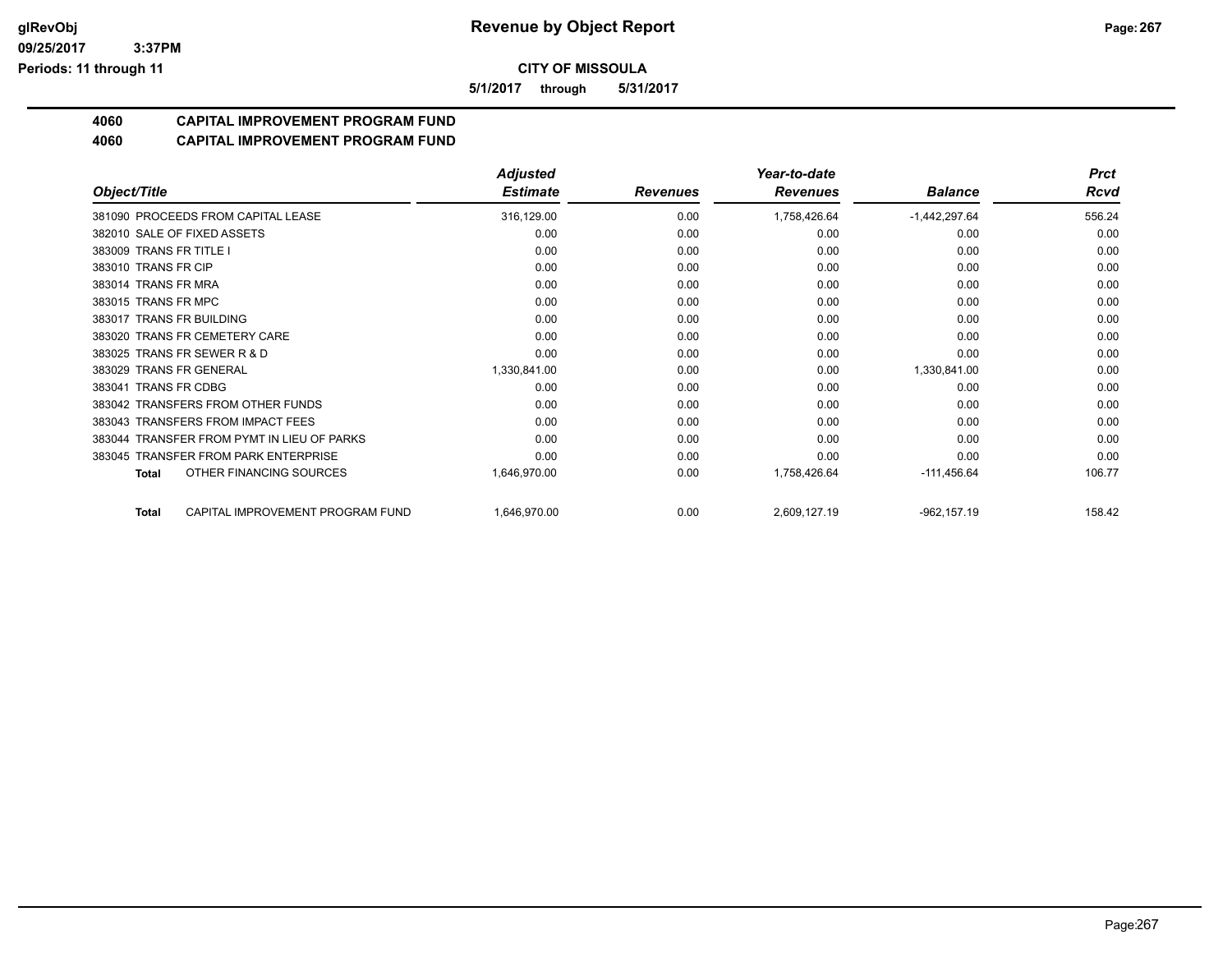**5/1/2017 through 5/31/2017**

# **4060 CAPITAL IMPROVEMENT PROGRAM FUND**

|                                                  | <b>Adjusted</b> |                 | Year-to-date    |                 | <b>Prct</b> |  |
|--------------------------------------------------|-----------------|-----------------|-----------------|-----------------|-------------|--|
| Object/Title                                     | <b>Estimate</b> | <b>Revenues</b> | <b>Revenues</b> | <b>Balance</b>  | Rcvd        |  |
| 381090 PROCEEDS FROM CAPITAL LEASE               | 316,129.00      | 0.00            | 1,758,426.64    | $-1,442,297.64$ | 556.24      |  |
| 382010 SALE OF FIXED ASSETS                      | 0.00            | 0.00            | 0.00            | 0.00            | 0.00        |  |
| 383009 TRANS FR TITLE I                          | 0.00            | 0.00            | 0.00            | 0.00            | 0.00        |  |
| 383010 TRANS FR CIP                              | 0.00            | 0.00            | 0.00            | 0.00            | 0.00        |  |
| 383014 TRANS FR MRA                              | 0.00            | 0.00            | 0.00            | 0.00            | 0.00        |  |
| 383015 TRANS FR MPC                              | 0.00            | 0.00            | 0.00            | 0.00            | 0.00        |  |
| 383017 TRANS FR BUILDING                         | 0.00            | 0.00            | 0.00            | 0.00            | 0.00        |  |
| 383020 TRANS FR CEMETERY CARE                    | 0.00            | 0.00            | 0.00            | 0.00            | 0.00        |  |
| 383025 TRANS FR SEWER R & D                      | 0.00            | 0.00            | 0.00            | 0.00            | 0.00        |  |
| 383029 TRANS FR GENERAL                          | 1,330,841.00    | 0.00            | 0.00            | 1,330,841.00    | 0.00        |  |
| <b>TRANS FR CDBG</b><br>383041                   | 0.00            | 0.00            | 0.00            | 0.00            | 0.00        |  |
| 383042 TRANSFERS FROM OTHER FUNDS                | 0.00            | 0.00            | 0.00            | 0.00            | 0.00        |  |
| 383043 TRANSFERS FROM IMPACT FEES                | 0.00            | 0.00            | 0.00            | 0.00            | 0.00        |  |
| 383044 TRANSFER FROM PYMT IN LIEU OF PARKS       | 0.00            | 0.00            | 0.00            | 0.00            | 0.00        |  |
| 383045 TRANSFER FROM PARK ENTERPRISE             | 0.00            | 0.00            | 0.00            | 0.00            | 0.00        |  |
| OTHER FINANCING SOURCES<br>Total                 | 1,646,970.00    | 0.00            | 1,758,426.64    | $-111,456.64$   | 106.77      |  |
| CAPITAL IMPROVEMENT PROGRAM FUND<br><b>Total</b> | 1,646,970.00    | 0.00            | 2,609,127.19    | $-962, 157.19$  | 158.42      |  |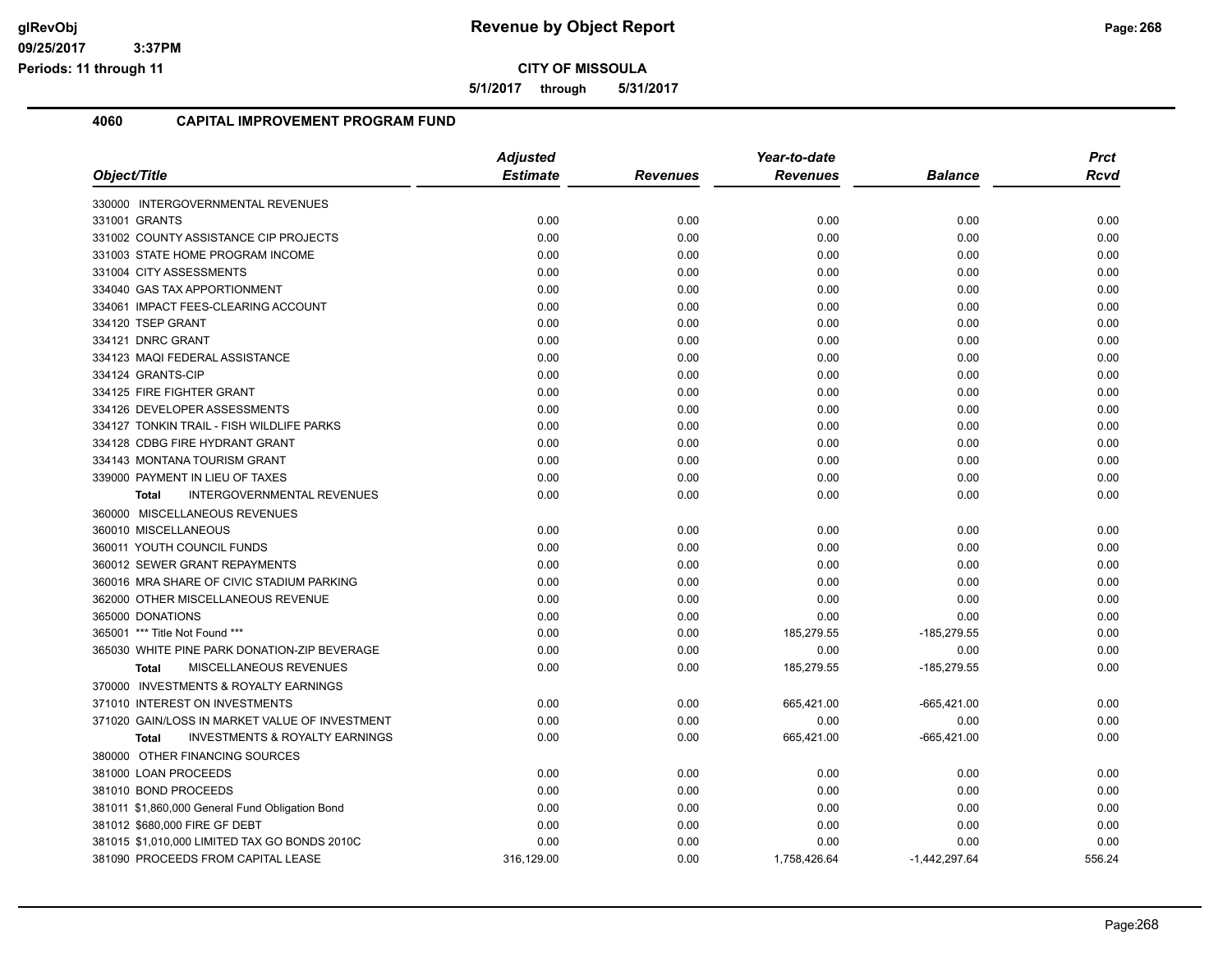**5/1/2017 through 5/31/2017**

|                                                           | <b>Adjusted</b> |                 | Year-to-date    |                 | <b>Prct</b> |
|-----------------------------------------------------------|-----------------|-----------------|-----------------|-----------------|-------------|
| Object/Title                                              | <b>Estimate</b> | <b>Revenues</b> | <b>Revenues</b> | <b>Balance</b>  | <b>Rcvd</b> |
| 330000 INTERGOVERNMENTAL REVENUES                         |                 |                 |                 |                 |             |
| 331001 GRANTS                                             | 0.00            | 0.00            | 0.00            | 0.00            | 0.00        |
| 331002 COUNTY ASSISTANCE CIP PROJECTS                     | 0.00            | 0.00            | 0.00            | 0.00            | 0.00        |
| 331003 STATE HOME PROGRAM INCOME                          | 0.00            | 0.00            | 0.00            | 0.00            | 0.00        |
| 331004 CITY ASSESSMENTS                                   | 0.00            | 0.00            | 0.00            | 0.00            | 0.00        |
| 334040 GAS TAX APPORTIONMENT                              | 0.00            | 0.00            | 0.00            | 0.00            | 0.00        |
| 334061 IMPACT FEES-CLEARING ACCOUNT                       | 0.00            | 0.00            | 0.00            | 0.00            | 0.00        |
| 334120 TSEP GRANT                                         | 0.00            | 0.00            | 0.00            | 0.00            | 0.00        |
| 334121 DNRC GRANT                                         | 0.00            | 0.00            | 0.00            | 0.00            | 0.00        |
| 334123 MAQI FEDERAL ASSISTANCE                            | 0.00            | 0.00            | 0.00            | 0.00            | 0.00        |
| 334124 GRANTS-CIP                                         | 0.00            | 0.00            | 0.00            | 0.00            | 0.00        |
| 334125 FIRE FIGHTER GRANT                                 | 0.00            | 0.00            | 0.00            | 0.00            | 0.00        |
| 334126 DEVELOPER ASSESSMENTS                              | 0.00            | 0.00            | 0.00            | 0.00            | 0.00        |
| 334127 TONKIN TRAIL - FISH WILDLIFE PARKS                 | 0.00            | 0.00            | 0.00            | 0.00            | 0.00        |
| 334128 CDBG FIRE HYDRANT GRANT                            | 0.00            | 0.00            | 0.00            | 0.00            | 0.00        |
| 334143 MONTANA TOURISM GRANT                              | 0.00            | 0.00            | 0.00            | 0.00            | 0.00        |
| 339000 PAYMENT IN LIEU OF TAXES                           | 0.00            | 0.00            | 0.00            | 0.00            | 0.00        |
| <b>INTERGOVERNMENTAL REVENUES</b><br><b>Total</b>         | 0.00            | 0.00            | 0.00            | 0.00            | 0.00        |
| 360000 MISCELLANEOUS REVENUES                             |                 |                 |                 |                 |             |
| 360010 MISCELLANEOUS                                      | 0.00            | 0.00            | 0.00            | 0.00            | 0.00        |
| 360011 YOUTH COUNCIL FUNDS                                | 0.00            | 0.00            | 0.00            | 0.00            | 0.00        |
| 360012 SEWER GRANT REPAYMENTS                             | 0.00            | 0.00            | 0.00            | 0.00            | 0.00        |
| 360016 MRA SHARE OF CIVIC STADIUM PARKING                 | 0.00            | 0.00            | 0.00            | 0.00            | 0.00        |
| 362000 OTHER MISCELLANEOUS REVENUE                        | 0.00            | 0.00            | 0.00            | 0.00            | 0.00        |
| 365000 DONATIONS                                          | 0.00            | 0.00            | 0.00            | 0.00            | 0.00        |
| 365001 *** Title Not Found ***                            | 0.00            | 0.00            | 185,279.55      | $-185,279.55$   | 0.00        |
| 365030 WHITE PINE PARK DONATION-ZIP BEVERAGE              | 0.00            | 0.00            | 0.00            | 0.00            | 0.00        |
| <b>MISCELLANEOUS REVENUES</b><br><b>Total</b>             | 0.00            | 0.00            | 185,279.55      | $-185,279.55$   | 0.00        |
| 370000 INVESTMENTS & ROYALTY EARNINGS                     |                 |                 |                 |                 |             |
| 371010 INTEREST ON INVESTMENTS                            | 0.00            | 0.00            | 665,421.00      | $-665,421.00$   | 0.00        |
| 371020 GAIN/LOSS IN MARKET VALUE OF INVESTMENT            | 0.00            | 0.00            | 0.00            | 0.00            | 0.00        |
| <b>INVESTMENTS &amp; ROYALTY EARNINGS</b><br><b>Total</b> | 0.00            | 0.00            | 665,421.00      | $-665,421.00$   | 0.00        |
| 380000 OTHER FINANCING SOURCES                            |                 |                 |                 |                 |             |
| 381000 LOAN PROCEEDS                                      | 0.00            | 0.00            | 0.00            | 0.00            | 0.00        |
| 381010 BOND PROCEEDS                                      | 0.00            | 0.00            | 0.00            | 0.00            | 0.00        |
| 381011 \$1,860,000 General Fund Obligation Bond           | 0.00            | 0.00            | 0.00            | 0.00            | 0.00        |
| 381012 \$680,000 FIRE GF DEBT                             | 0.00            | 0.00            | 0.00            | 0.00            | 0.00        |
| 381015 \$1,010,000 LIMITED TAX GO BONDS 2010C             | 0.00            | 0.00            | 0.00            | 0.00            | 0.00        |
| 381090 PROCEEDS FROM CAPITAL LEASE                        | 316.129.00      | 0.00            | 1,758,426.64    | $-1.442.297.64$ | 556.24      |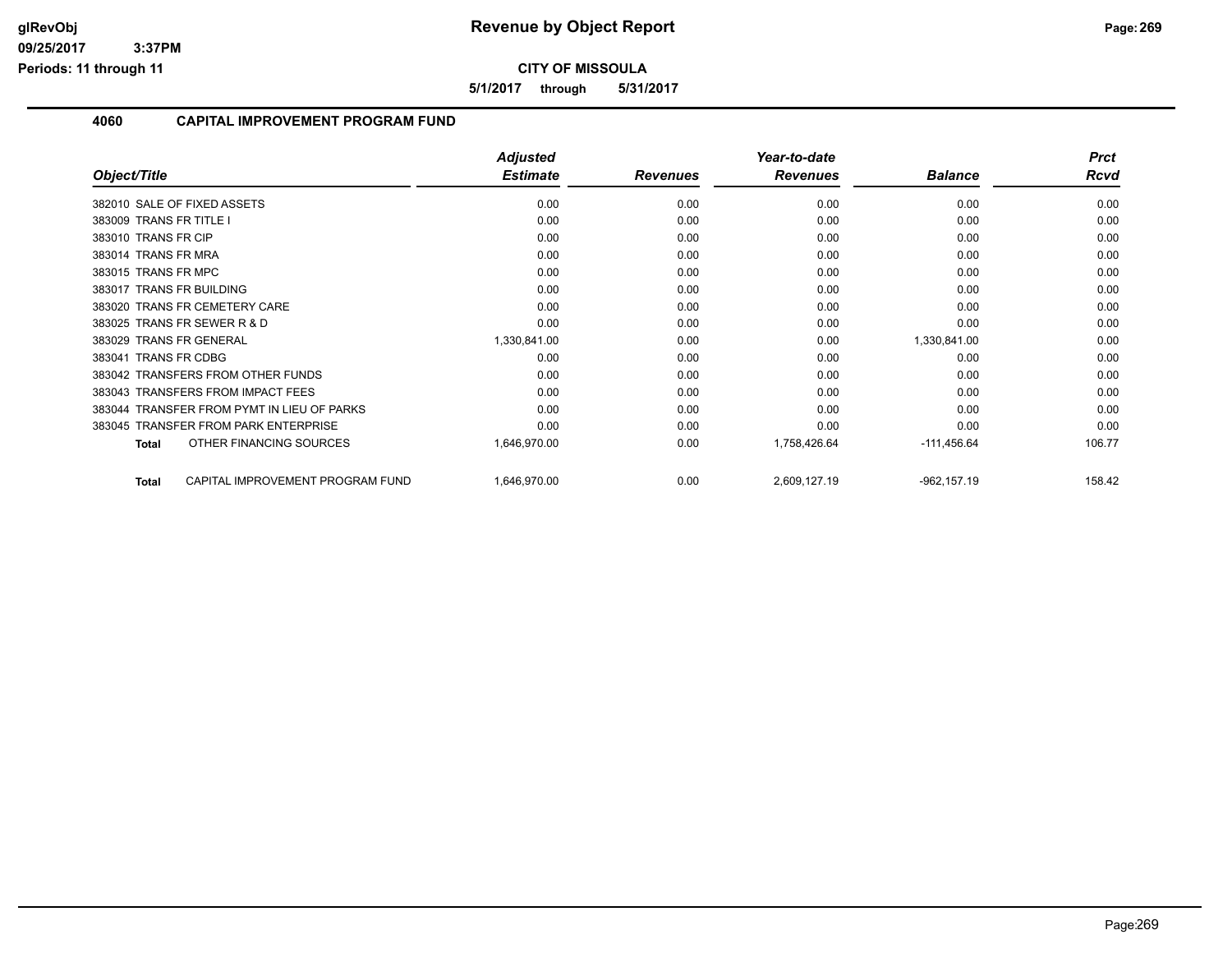**5/1/2017 through 5/31/2017**

|                                            | <b>Adjusted</b> |                 | Year-to-date    |                | <b>Prct</b> |
|--------------------------------------------|-----------------|-----------------|-----------------|----------------|-------------|
| Object/Title                               | <b>Estimate</b> | <b>Revenues</b> | <b>Revenues</b> | <b>Balance</b> | Rcvd        |
| 382010 SALE OF FIXED ASSETS                | 0.00            | 0.00            | 0.00            | 0.00           | 0.00        |
| 383009 TRANS FR TITLE I                    | 0.00            | 0.00            | 0.00            | 0.00           | 0.00        |
| 383010 TRANS FR CIP                        | 0.00            | 0.00            | 0.00            | 0.00           | 0.00        |
| 383014 TRANS FR MRA                        | 0.00            | 0.00            | 0.00            | 0.00           | 0.00        |
| 383015 TRANS FR MPC                        | 0.00            | 0.00            | 0.00            | 0.00           | 0.00        |
| 383017 TRANS FR BUILDING                   | 0.00            | 0.00            | 0.00            | 0.00           | 0.00        |
| 383020 TRANS FR CEMETERY CARE              | 0.00            | 0.00            | 0.00            | 0.00           | 0.00        |
| 383025 TRANS FR SEWER R & D                | 0.00            | 0.00            | 0.00            | 0.00           | 0.00        |
| 383029 TRANS FR GENERAL                    | 1,330,841.00    | 0.00            | 0.00            | 1,330,841.00   | 0.00        |
| 383041 TRANS FR CDBG                       | 0.00            | 0.00            | 0.00            | 0.00           | 0.00        |
| 383042 TRANSFERS FROM OTHER FUNDS          | 0.00            | 0.00            | 0.00            | 0.00           | 0.00        |
| 383043 TRANSFERS FROM IMPACT FEES          | 0.00            | 0.00            | 0.00            | 0.00           | 0.00        |
| 383044 TRANSFER FROM PYMT IN LIEU OF PARKS | 0.00            | 0.00            | 0.00            | 0.00           | 0.00        |
| 383045 TRANSFER FROM PARK ENTERPRISE       | 0.00            | 0.00            | 0.00            | 0.00           | 0.00        |
| OTHER FINANCING SOURCES<br><b>Total</b>    | 1,646,970.00    | 0.00            | 1,758,426.64    | $-111,456.64$  | 106.77      |
| CAPITAL IMPROVEMENT PROGRAM FUND<br>Total  | 1,646,970.00    | 0.00            | 2,609,127.19    | $-962, 157.19$ | 158.42      |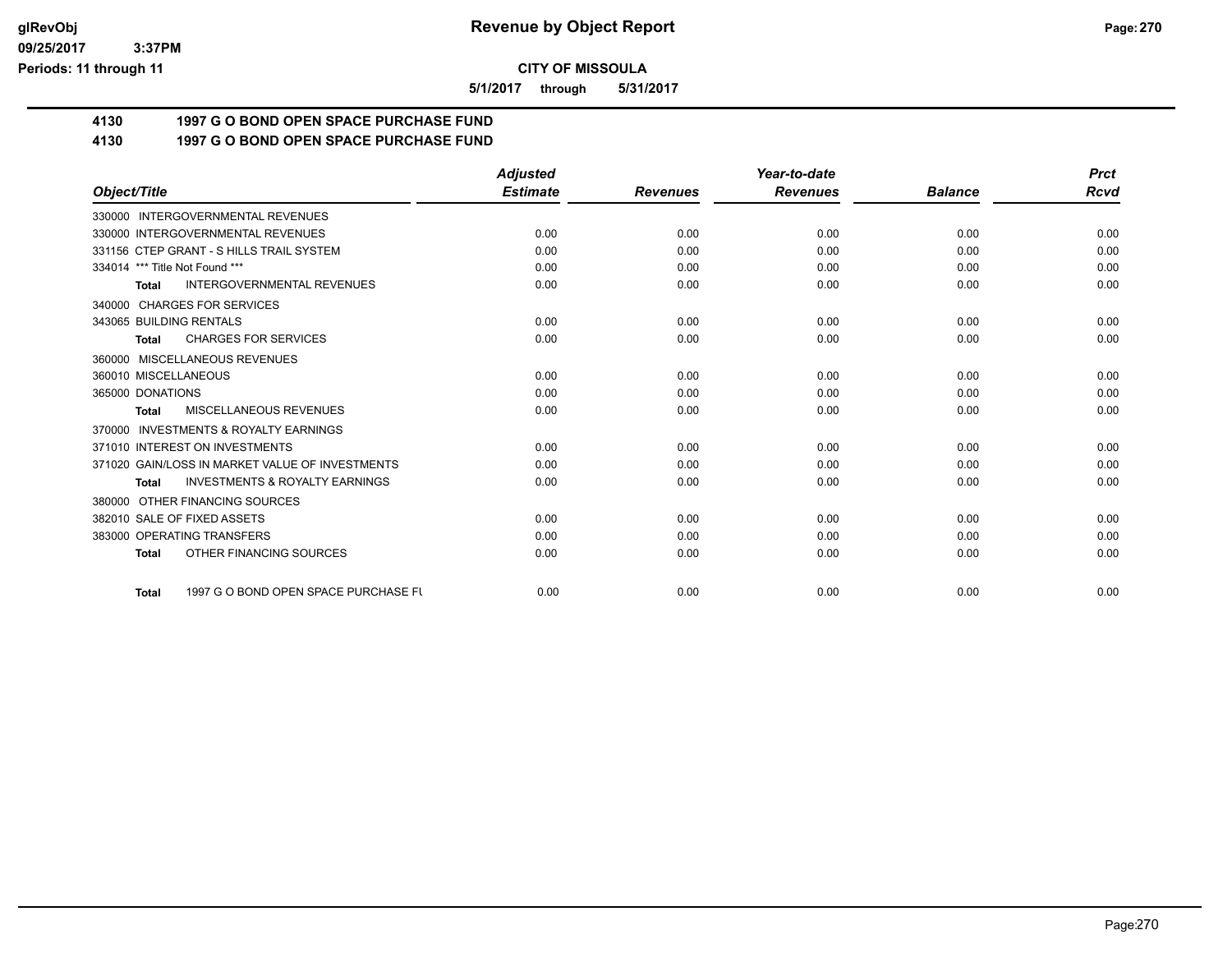**glRevObj Revenue by Object Report Page:270** 

**09/25/2017 3:37PM Periods: 11 through 11**

#### **CITY OF MISSOULA**

**5/1/2017 through 5/31/2017**

# **4130 1997 G O BOND OPEN SPACE PURCHASE FUND**

## **4130 1997 G O BOND OPEN SPACE PURCHASE FUND**

|                                                           | <b>Adjusted</b> |                 | Year-to-date    |                | <b>Prct</b> |
|-----------------------------------------------------------|-----------------|-----------------|-----------------|----------------|-------------|
| Object/Title                                              | <b>Estimate</b> | <b>Revenues</b> | <b>Revenues</b> | <b>Balance</b> | <b>Rcvd</b> |
| 330000 INTERGOVERNMENTAL REVENUES                         |                 |                 |                 |                |             |
| 330000 INTERGOVERNMENTAL REVENUES                         | 0.00            | 0.00            | 0.00            | 0.00           | 0.00        |
| 331156 CTEP GRANT - S HILLS TRAIL SYSTEM                  | 0.00            | 0.00            | 0.00            | 0.00           | 0.00        |
| 334014 *** Title Not Found ***                            | 0.00            | 0.00            | 0.00            | 0.00           | 0.00        |
| <b>INTERGOVERNMENTAL REVENUES</b><br>Total                | 0.00            | 0.00            | 0.00            | 0.00           | 0.00        |
| 340000 CHARGES FOR SERVICES                               |                 |                 |                 |                |             |
| 343065 BUILDING RENTALS                                   | 0.00            | 0.00            | 0.00            | 0.00           | 0.00        |
| <b>CHARGES FOR SERVICES</b><br><b>Total</b>               | 0.00            | 0.00            | 0.00            | 0.00           | 0.00        |
| 360000 MISCELLANEOUS REVENUES                             |                 |                 |                 |                |             |
| 360010 MISCELLANEOUS                                      | 0.00            | 0.00            | 0.00            | 0.00           | 0.00        |
| 365000 DONATIONS                                          | 0.00            | 0.00            | 0.00            | 0.00           | 0.00        |
| MISCELLANEOUS REVENUES<br><b>Total</b>                    | 0.00            | 0.00            | 0.00            | 0.00           | 0.00        |
| <b>INVESTMENTS &amp; ROYALTY EARNINGS</b><br>370000       |                 |                 |                 |                |             |
| 371010 INTEREST ON INVESTMENTS                            | 0.00            | 0.00            | 0.00            | 0.00           | 0.00        |
| 371020 GAIN/LOSS IN MARKET VALUE OF INVESTMENTS           | 0.00            | 0.00            | 0.00            | 0.00           | 0.00        |
| <b>INVESTMENTS &amp; ROYALTY EARNINGS</b><br><b>Total</b> | 0.00            | 0.00            | 0.00            | 0.00           | 0.00        |
| 380000 OTHER FINANCING SOURCES                            |                 |                 |                 |                |             |
| 382010 SALE OF FIXED ASSETS                               | 0.00            | 0.00            | 0.00            | 0.00           | 0.00        |
| 383000 OPERATING TRANSFERS                                | 0.00            | 0.00            | 0.00            | 0.00           | 0.00        |
| OTHER FINANCING SOURCES<br><b>Total</b>                   | 0.00            | 0.00            | 0.00            | 0.00           | 0.00        |
| 1997 G O BOND OPEN SPACE PURCHASE FI<br><b>Total</b>      | 0.00            | 0.00            | 0.00            | 0.00           | 0.00        |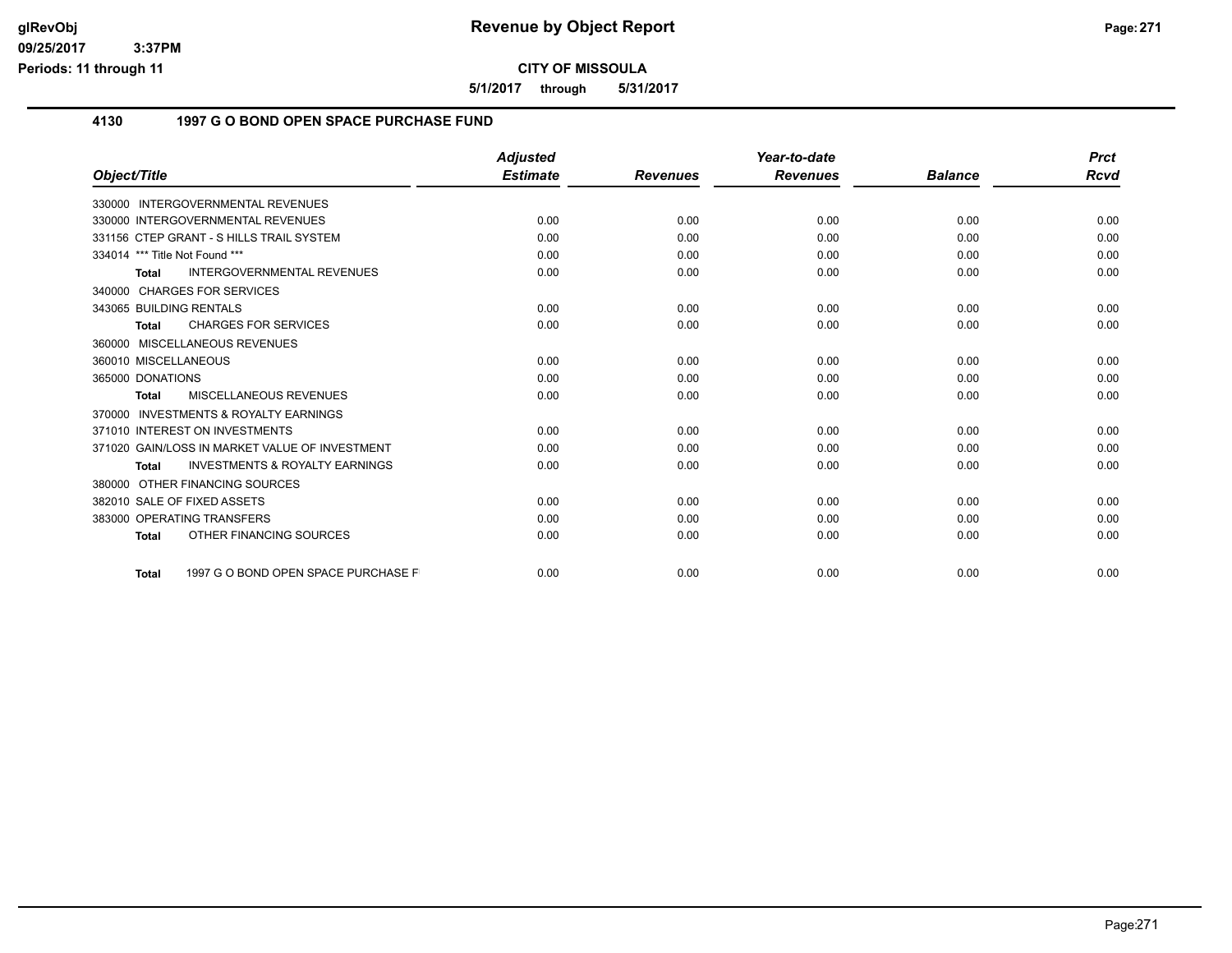**5/1/2017 through 5/31/2017**

#### **4130 1997 G O BOND OPEN SPACE PURCHASE FUND**

|                                                           | <b>Adjusted</b> |                 | Year-to-date    |                | <b>Prct</b> |
|-----------------------------------------------------------|-----------------|-----------------|-----------------|----------------|-------------|
| Object/Title                                              | <b>Estimate</b> | <b>Revenues</b> | <b>Revenues</b> | <b>Balance</b> | Rcvd        |
| 330000 INTERGOVERNMENTAL REVENUES                         |                 |                 |                 |                |             |
| 330000 INTERGOVERNMENTAL REVENUES                         | 0.00            | 0.00            | 0.00            | 0.00           | 0.00        |
| 331156 CTEP GRANT - S HILLS TRAIL SYSTEM                  | 0.00            | 0.00            | 0.00            | 0.00           | 0.00        |
| 334014 *** Title Not Found ***                            | 0.00            | 0.00            | 0.00            | 0.00           | 0.00        |
| <b>INTERGOVERNMENTAL REVENUES</b><br><b>Total</b>         | 0.00            | 0.00            | 0.00            | 0.00           | 0.00        |
| 340000 CHARGES FOR SERVICES                               |                 |                 |                 |                |             |
| 343065 BUILDING RENTALS                                   | 0.00            | 0.00            | 0.00            | 0.00           | 0.00        |
| <b>CHARGES FOR SERVICES</b><br><b>Total</b>               | 0.00            | 0.00            | 0.00            | 0.00           | 0.00        |
| 360000 MISCELLANEOUS REVENUES                             |                 |                 |                 |                |             |
| 360010 MISCELLANEOUS                                      | 0.00            | 0.00            | 0.00            | 0.00           | 0.00        |
| 365000 DONATIONS                                          | 0.00            | 0.00            | 0.00            | 0.00           | 0.00        |
| MISCELLANEOUS REVENUES<br><b>Total</b>                    | 0.00            | 0.00            | 0.00            | 0.00           | 0.00        |
| <b>INVESTMENTS &amp; ROYALTY EARNINGS</b><br>370000       |                 |                 |                 |                |             |
| 371010 INTEREST ON INVESTMENTS                            | 0.00            | 0.00            | 0.00            | 0.00           | 0.00        |
| 371020 GAIN/LOSS IN MARKET VALUE OF INVESTMENT            | 0.00            | 0.00            | 0.00            | 0.00           | 0.00        |
| <b>INVESTMENTS &amp; ROYALTY EARNINGS</b><br><b>Total</b> | 0.00            | 0.00            | 0.00            | 0.00           | 0.00        |
| OTHER FINANCING SOURCES<br>380000                         |                 |                 |                 |                |             |
| 382010 SALE OF FIXED ASSETS                               | 0.00            | 0.00            | 0.00            | 0.00           | 0.00        |
| 383000 OPERATING TRANSFERS                                | 0.00            | 0.00            | 0.00            | 0.00           | 0.00        |
| OTHER FINANCING SOURCES<br><b>Total</b>                   | 0.00            | 0.00            | 0.00            | 0.00           | 0.00        |
| 1997 G O BOND OPEN SPACE PURCHASE F<br><b>Total</b>       | 0.00            | 0.00            | 0.00            | 0.00           | 0.00        |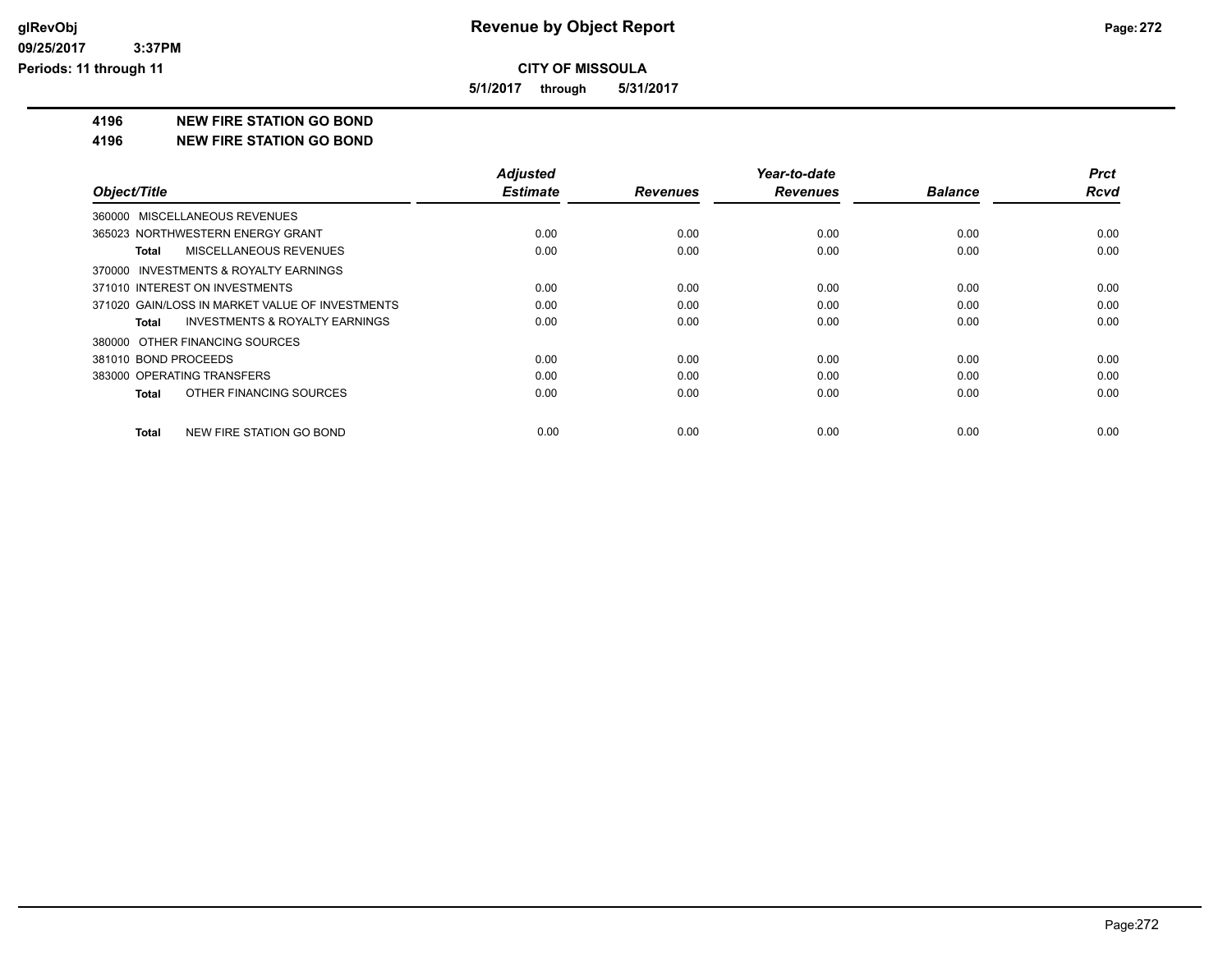**5/1/2017 through 5/31/2017**

#### **4196 NEW FIRE STATION GO BOND**

#### **4196 NEW FIRE STATION GO BOND**

|                                                    | <b>Adjusted</b> |                 | Year-to-date    |                | <b>Prct</b> |
|----------------------------------------------------|-----------------|-----------------|-----------------|----------------|-------------|
| Object/Title                                       | <b>Estimate</b> | <b>Revenues</b> | <b>Revenues</b> | <b>Balance</b> | <b>Rcvd</b> |
| 360000 MISCELLANEOUS REVENUES                      |                 |                 |                 |                |             |
| 365023 NORTHWESTERN ENERGY GRANT                   | 0.00            | 0.00            | 0.00            | 0.00           | 0.00        |
| MISCELLANEOUS REVENUES<br>Total                    | 0.00            | 0.00            | 0.00            | 0.00           | 0.00        |
| 370000 INVESTMENTS & ROYALTY EARNINGS              |                 |                 |                 |                |             |
| 371010 INTEREST ON INVESTMENTS                     | 0.00            | 0.00            | 0.00            | 0.00           | 0.00        |
| 371020 GAIN/LOSS IN MARKET VALUE OF INVESTMENTS    | 0.00            | 0.00            | 0.00            | 0.00           | 0.00        |
| <b>INVESTMENTS &amp; ROYALTY EARNINGS</b><br>Total | 0.00            | 0.00            | 0.00            | 0.00           | 0.00        |
| 380000 OTHER FINANCING SOURCES                     |                 |                 |                 |                |             |
| 381010 BOND PROCEEDS                               | 0.00            | 0.00            | 0.00            | 0.00           | 0.00        |
| 383000 OPERATING TRANSFERS                         | 0.00            | 0.00            | 0.00            | 0.00           | 0.00        |
| OTHER FINANCING SOURCES<br>Total                   | 0.00            | 0.00            | 0.00            | 0.00           | 0.00        |
| NEW FIRE STATION GO BOND<br>Total                  | 0.00            | 0.00            | 0.00            | 0.00           | 0.00        |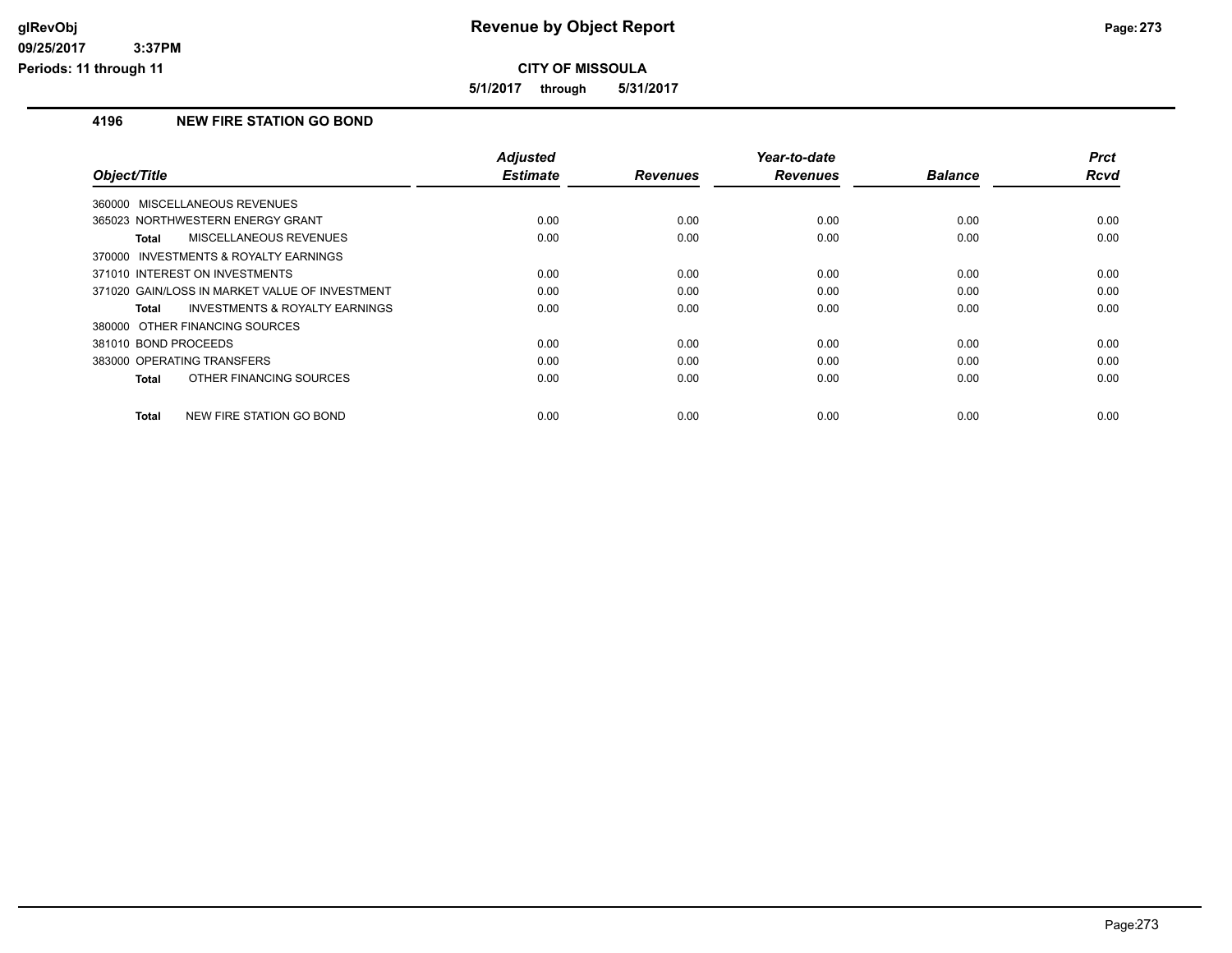**Periods: 11 through 11**

**CITY OF MISSOULA**

**5/1/2017 through 5/31/2017**

#### **4196 NEW FIRE STATION GO BOND**

|                                                | <b>Adjusted</b> |                 | Year-to-date    |                | <b>Prct</b> |
|------------------------------------------------|-----------------|-----------------|-----------------|----------------|-------------|
| Object/Title                                   | <b>Estimate</b> | <b>Revenues</b> | <b>Revenues</b> | <b>Balance</b> | <b>Rcvd</b> |
| 360000 MISCELLANEOUS REVENUES                  |                 |                 |                 |                |             |
| 365023 NORTHWESTERN ENERGY GRANT               | 0.00            | 0.00            | 0.00            | 0.00           | 0.00        |
| MISCELLANEOUS REVENUES<br><b>Total</b>         | 0.00            | 0.00            | 0.00            | 0.00           | 0.00        |
| 370000 INVESTMENTS & ROYALTY EARNINGS          |                 |                 |                 |                |             |
| 371010 INTEREST ON INVESTMENTS                 | 0.00            | 0.00            | 0.00            | 0.00           | 0.00        |
| 371020 GAIN/LOSS IN MARKET VALUE OF INVESTMENT | 0.00            | 0.00            | 0.00            | 0.00           | 0.00        |
| INVESTMENTS & ROYALTY EARNINGS<br>Total        | 0.00            | 0.00            | 0.00            | 0.00           | 0.00        |
| 380000 OTHER FINANCING SOURCES                 |                 |                 |                 |                |             |
| 381010 BOND PROCEEDS                           | 0.00            | 0.00            | 0.00            | 0.00           | 0.00        |
| 383000 OPERATING TRANSFERS                     | 0.00            | 0.00            | 0.00            | 0.00           | 0.00        |
| OTHER FINANCING SOURCES<br><b>Total</b>        | 0.00            | 0.00            | 0.00            | 0.00           | 0.00        |
| NEW FIRE STATION GO BOND<br><b>Total</b>       | 0.00            | 0.00            | 0.00            | 0.00           | 0.00        |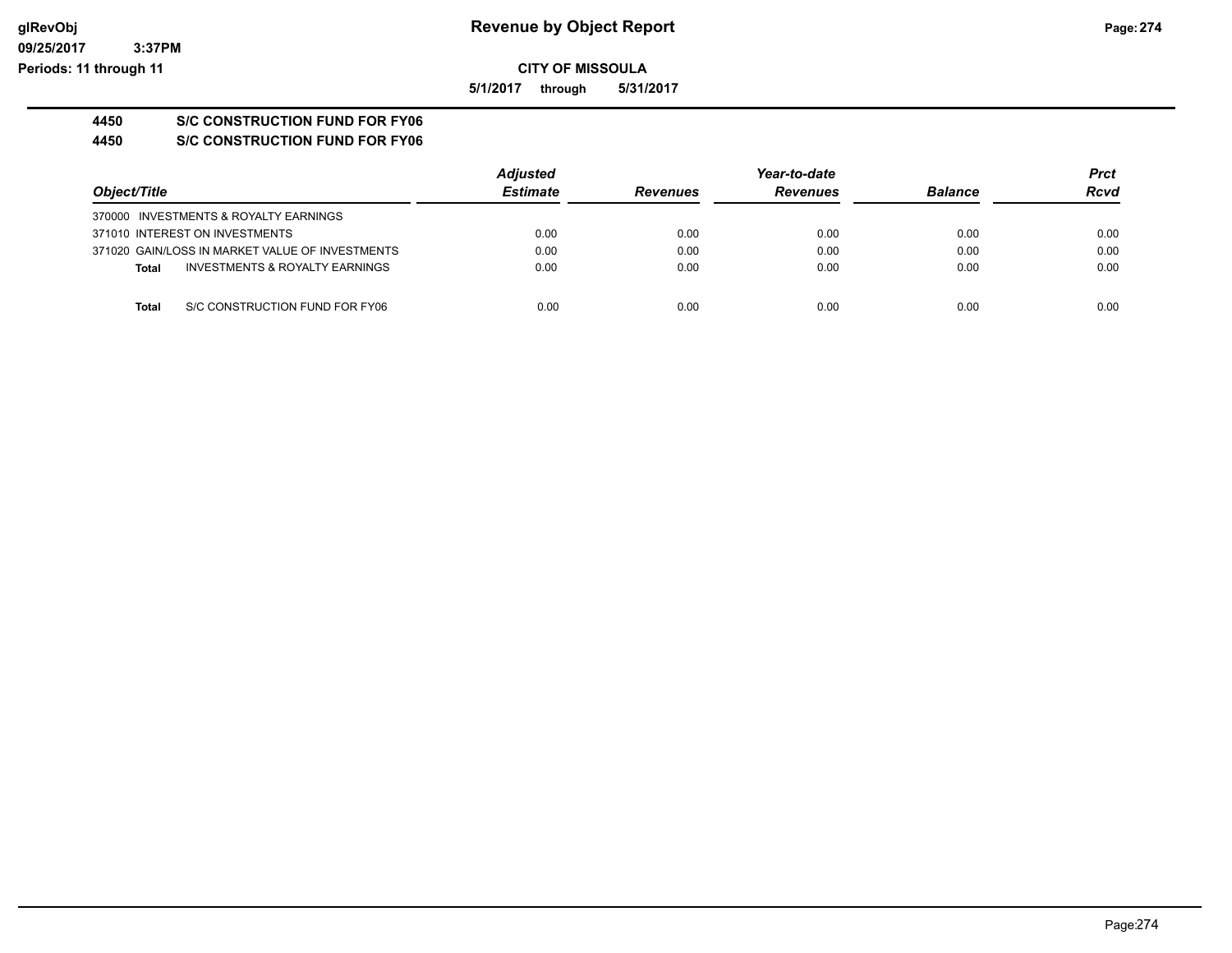**09/25/2017 3:37PM**

**Periods: 11 through 11**

**CITY OF MISSOULA**

**5/1/2017 through 5/31/2017**

# **4450 S/C CONSTRUCTION FUND FOR FY06**

**4450 S/C CONSTRUCTION FUND FOR FY06**

|                                                 | <b>Adjusted</b> |                 | Year-to-date    |                | Prct |
|-------------------------------------------------|-----------------|-----------------|-----------------|----------------|------|
| Object/Title                                    | <b>Estimate</b> | <b>Revenues</b> | <b>Revenues</b> | <b>Balance</b> | Rcvd |
| 370000 INVESTMENTS & ROYALTY EARNINGS           |                 |                 |                 |                |      |
| 371010 INTEREST ON INVESTMENTS                  | 0.00            | 0.00            | 0.00            | 0.00           | 0.00 |
| 371020 GAIN/LOSS IN MARKET VALUE OF INVESTMENTS | 0.00            | 0.00            | 0.00            | 0.00           | 0.00 |
| INVESTMENTS & ROYALTY EARNINGS<br><b>Total</b>  | 0.00            | 0.00            | 0.00            | 0.00           | 0.00 |
|                                                 |                 |                 |                 |                |      |
| S/C CONSTRUCTION FUND FOR FY06<br><b>Total</b>  | 0.00            | 0.00            | 0.00            | 0.00           | 0.00 |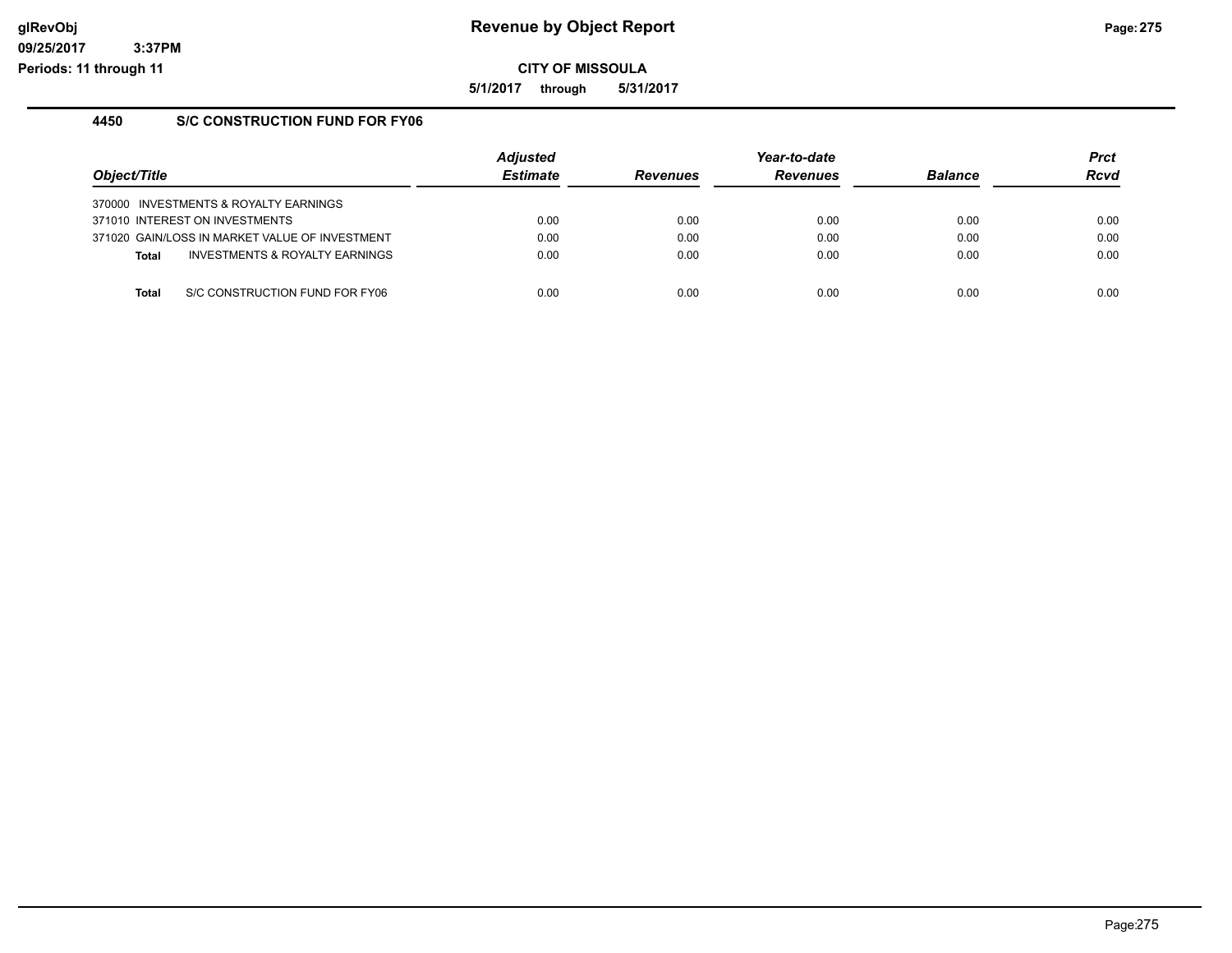**Periods: 11 through 11**

**CITY OF MISSOULA**

**5/1/2017 through 5/31/2017**

#### **4450 S/C CONSTRUCTION FUND FOR FY06**

| Object/Title                   |                                                | <b>Adjusted</b><br><b>Estimate</b> | <b>Revenues</b> | Year-to-date<br><b>Revenues</b> | <b>Balance</b> | <b>Prct</b><br><b>Rcvd</b> |
|--------------------------------|------------------------------------------------|------------------------------------|-----------------|---------------------------------|----------------|----------------------------|
|                                | 370000 INVESTMENTS & ROYALTY EARNINGS          |                                    |                 |                                 |                |                            |
| 371010 INTEREST ON INVESTMENTS |                                                | 0.00                               | 0.00            | 0.00                            | 0.00           | 0.00                       |
|                                | 371020 GAIN/LOSS IN MARKET VALUE OF INVESTMENT | 0.00                               | 0.00            | 0.00                            | 0.00           | 0.00                       |
| Total                          | INVESTMENTS & ROYALTY EARNINGS                 | 0.00                               | 0.00            | 0.00                            | 0.00           | 0.00                       |
|                                |                                                |                                    |                 |                                 |                |                            |
| Total                          | S/C CONSTRUCTION FUND FOR FY06                 | 0.00                               | 0.00            | 0.00                            | 0.00           | 0.00                       |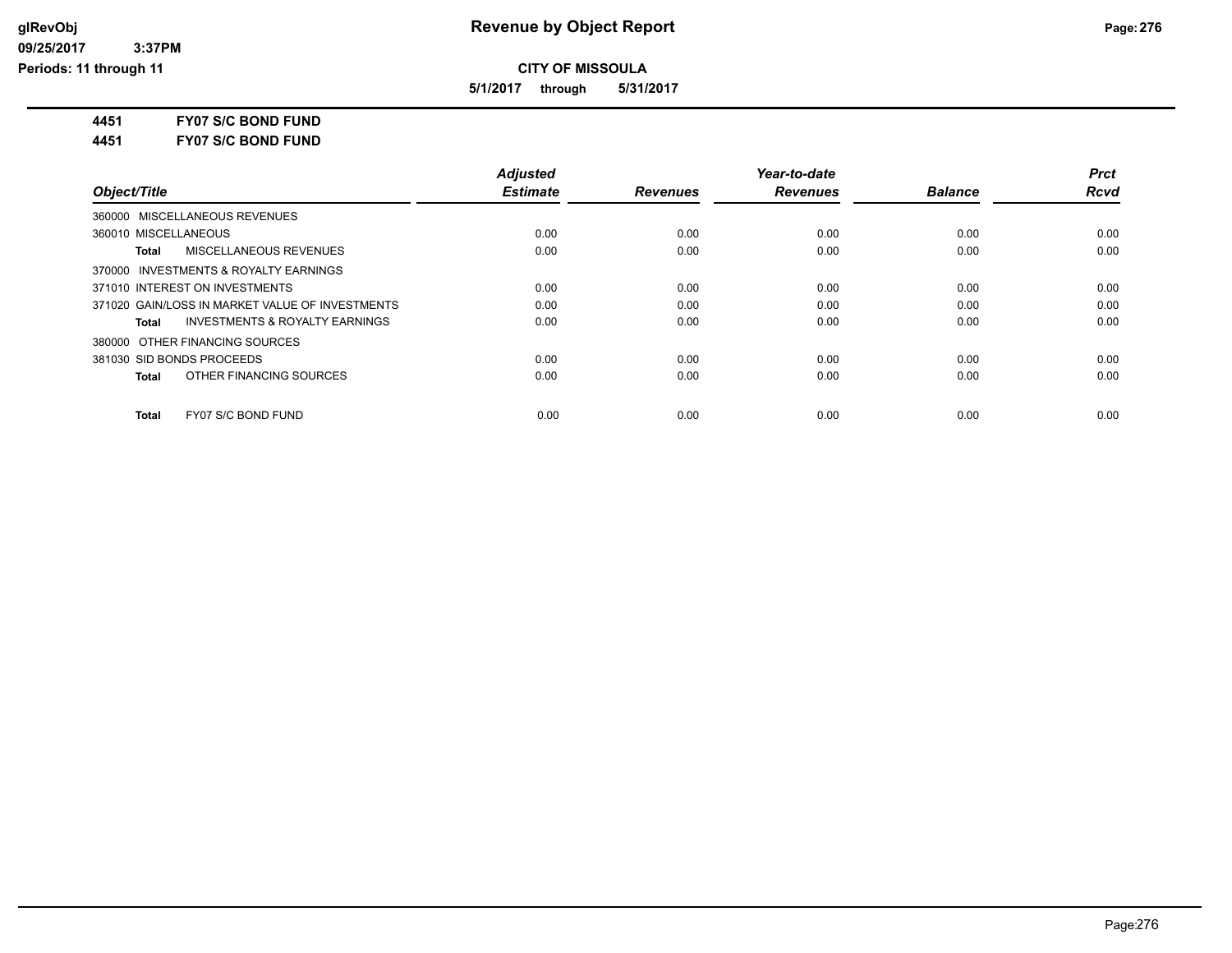**5/1/2017 through 5/31/2017**

**4451 FY07 S/C BOND FUND**

**4451 FY07 S/C BOND FUND**

| Object/Title                                       | <b>Adjusted</b><br><b>Estimate</b> | <b>Revenues</b> | Year-to-date<br><b>Revenues</b> | <b>Balance</b> | <b>Prct</b><br><b>Rcvd</b> |
|----------------------------------------------------|------------------------------------|-----------------|---------------------------------|----------------|----------------------------|
| 360000 MISCELLANEOUS REVENUES                      |                                    |                 |                                 |                |                            |
| 360010 MISCELLANEOUS                               | 0.00                               | 0.00            | 0.00                            | 0.00           | 0.00                       |
| MISCELLANEOUS REVENUES<br>Total                    | 0.00                               | 0.00            | 0.00                            | 0.00           | 0.00                       |
| 370000 INVESTMENTS & ROYALTY EARNINGS              |                                    |                 |                                 |                |                            |
| 371010 INTEREST ON INVESTMENTS                     | 0.00                               | 0.00            | 0.00                            | 0.00           | 0.00                       |
| 371020 GAIN/LOSS IN MARKET VALUE OF INVESTMENTS    | 0.00                               | 0.00            | 0.00                            | 0.00           | 0.00                       |
| <b>INVESTMENTS &amp; ROYALTY EARNINGS</b><br>Total | 0.00                               | 0.00            | 0.00                            | 0.00           | 0.00                       |
| 380000 OTHER FINANCING SOURCES                     |                                    |                 |                                 |                |                            |
| 381030 SID BONDS PROCEEDS                          | 0.00                               | 0.00            | 0.00                            | 0.00           | 0.00                       |
| OTHER FINANCING SOURCES<br>Total                   | 0.00                               | 0.00            | 0.00                            | 0.00           | 0.00                       |
| FY07 S/C BOND FUND<br><b>Total</b>                 | 0.00                               | 0.00            | 0.00                            | 0.00           | 0.00                       |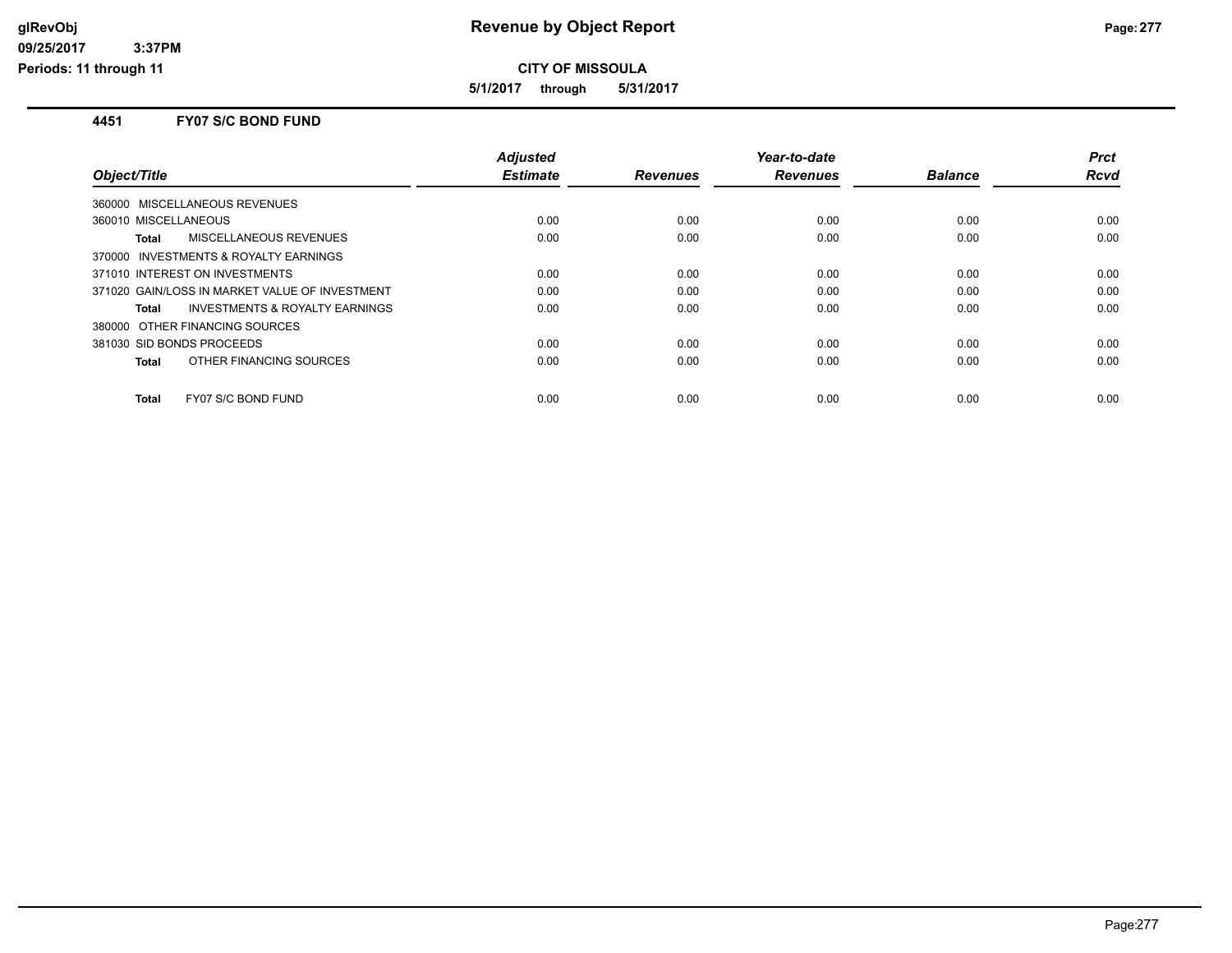**Periods: 11 through 11**

**CITY OF MISSOULA**

**5/1/2017 through 5/31/2017**

#### **4451 FY07 S/C BOND FUND**

 **3:37PM**

| Object/Title                                       | <b>Adjusted</b><br><b>Estimate</b> | <b>Revenues</b> | Year-to-date<br><b>Revenues</b> | <b>Balance</b> | <b>Prct</b><br><b>Rcvd</b> |
|----------------------------------------------------|------------------------------------|-----------------|---------------------------------|----------------|----------------------------|
| 360000 MISCELLANEOUS REVENUES                      |                                    |                 |                                 |                |                            |
| 360010 MISCELLANEOUS                               | 0.00                               | 0.00            | 0.00                            | 0.00           | 0.00                       |
| MISCELLANEOUS REVENUES<br>Total                    | 0.00                               | 0.00            | 0.00                            | 0.00           | 0.00                       |
| 370000 INVESTMENTS & ROYALTY EARNINGS              |                                    |                 |                                 |                |                            |
| 371010 INTEREST ON INVESTMENTS                     | 0.00                               | 0.00            | 0.00                            | 0.00           | 0.00                       |
| 371020 GAIN/LOSS IN MARKET VALUE OF INVESTMENT     | 0.00                               | 0.00            | 0.00                            | 0.00           | 0.00                       |
| <b>INVESTMENTS &amp; ROYALTY EARNINGS</b><br>Total | 0.00                               | 0.00            | 0.00                            | 0.00           | 0.00                       |
| 380000 OTHER FINANCING SOURCES                     |                                    |                 |                                 |                |                            |
| 381030 SID BONDS PROCEEDS                          | 0.00                               | 0.00            | 0.00                            | 0.00           | 0.00                       |
| OTHER FINANCING SOURCES<br>Total                   | 0.00                               | 0.00            | 0.00                            | 0.00           | 0.00                       |
| FY07 S/C BOND FUND<br><b>Total</b>                 | 0.00                               | 0.00            | 0.00                            | 0.00           | 0.00                       |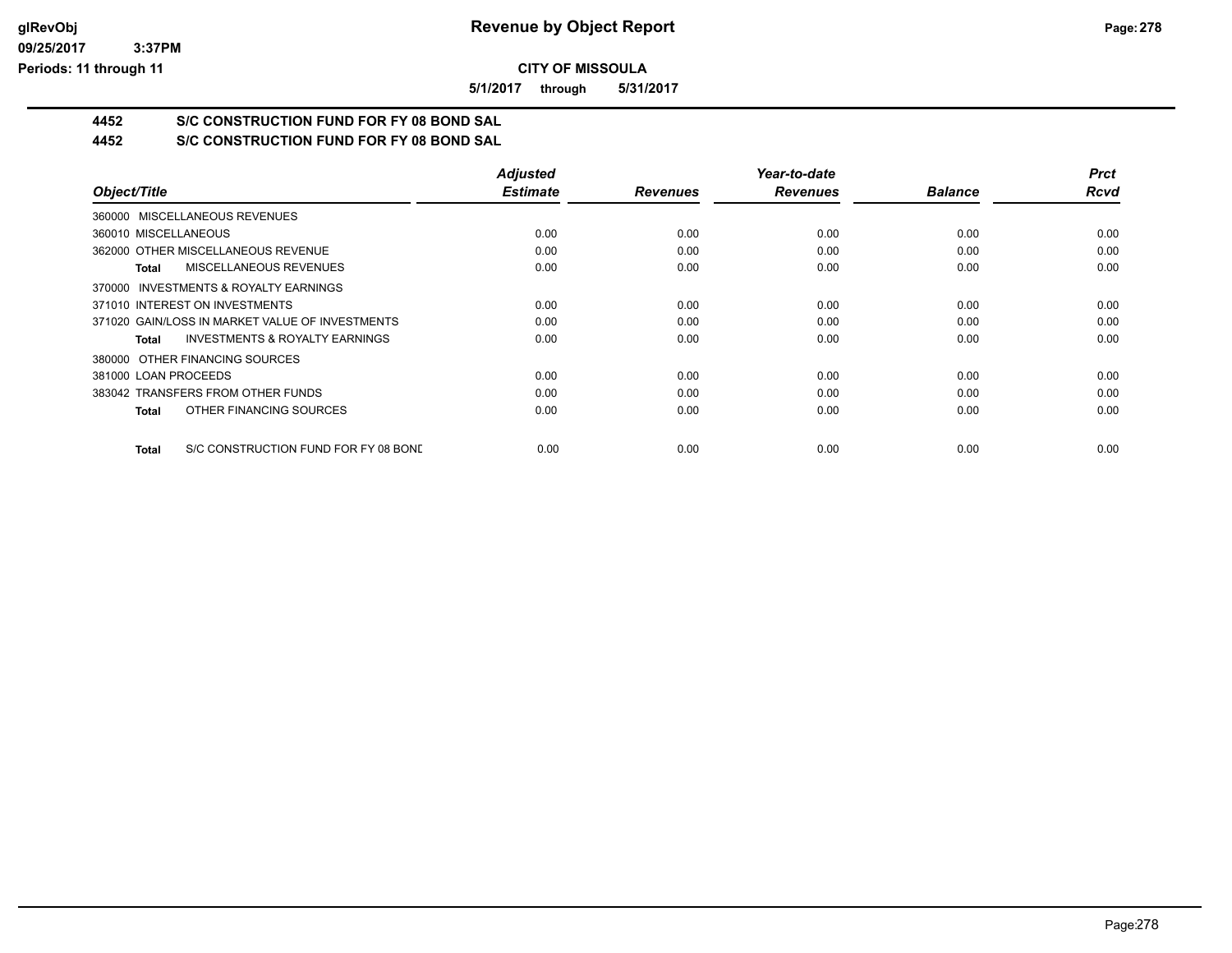**09/25/2017 3:37PM**

**Periods: 11 through 11**

**CITY OF MISSOULA**

**5/1/2017 through 5/31/2017**

# **4452 S/C CONSTRUCTION FUND FOR FY 08 BOND SAL**

# **4452 S/C CONSTRUCTION FUND FOR FY 08 BOND SAL**

|                                                      | <b>Adjusted</b> |                 | Year-to-date    |                | <b>Prct</b> |
|------------------------------------------------------|-----------------|-----------------|-----------------|----------------|-------------|
| Object/Title                                         | <b>Estimate</b> | <b>Revenues</b> | <b>Revenues</b> | <b>Balance</b> | <b>Rcvd</b> |
| 360000 MISCELLANEOUS REVENUES                        |                 |                 |                 |                |             |
| 360010 MISCELLANEOUS                                 | 0.00            | 0.00            | 0.00            | 0.00           | 0.00        |
| 362000 OTHER MISCELLANEOUS REVENUE                   | 0.00            | 0.00            | 0.00            | 0.00           | 0.00        |
| <b>MISCELLANEOUS REVENUES</b><br>Total               | 0.00            | 0.00            | 0.00            | 0.00           | 0.00        |
| 370000 INVESTMENTS & ROYALTY EARNINGS                |                 |                 |                 |                |             |
| 371010 INTEREST ON INVESTMENTS                       | 0.00            | 0.00            | 0.00            | 0.00           | 0.00        |
| 371020 GAIN/LOSS IN MARKET VALUE OF INVESTMENTS      | 0.00            | 0.00            | 0.00            | 0.00           | 0.00        |
| <b>INVESTMENTS &amp; ROYALTY EARNINGS</b><br>Total   | 0.00            | 0.00            | 0.00            | 0.00           | 0.00        |
| 380000 OTHER FINANCING SOURCES                       |                 |                 |                 |                |             |
| 381000 LOAN PROCEEDS                                 | 0.00            | 0.00            | 0.00            | 0.00           | 0.00        |
| 383042 TRANSFERS FROM OTHER FUNDS                    | 0.00            | 0.00            | 0.00            | 0.00           | 0.00        |
| OTHER FINANCING SOURCES<br>Total                     | 0.00            | 0.00            | 0.00            | 0.00           | 0.00        |
| S/C CONSTRUCTION FUND FOR FY 08 BONE<br><b>Total</b> | 0.00            | 0.00            | 0.00            | 0.00           | 0.00        |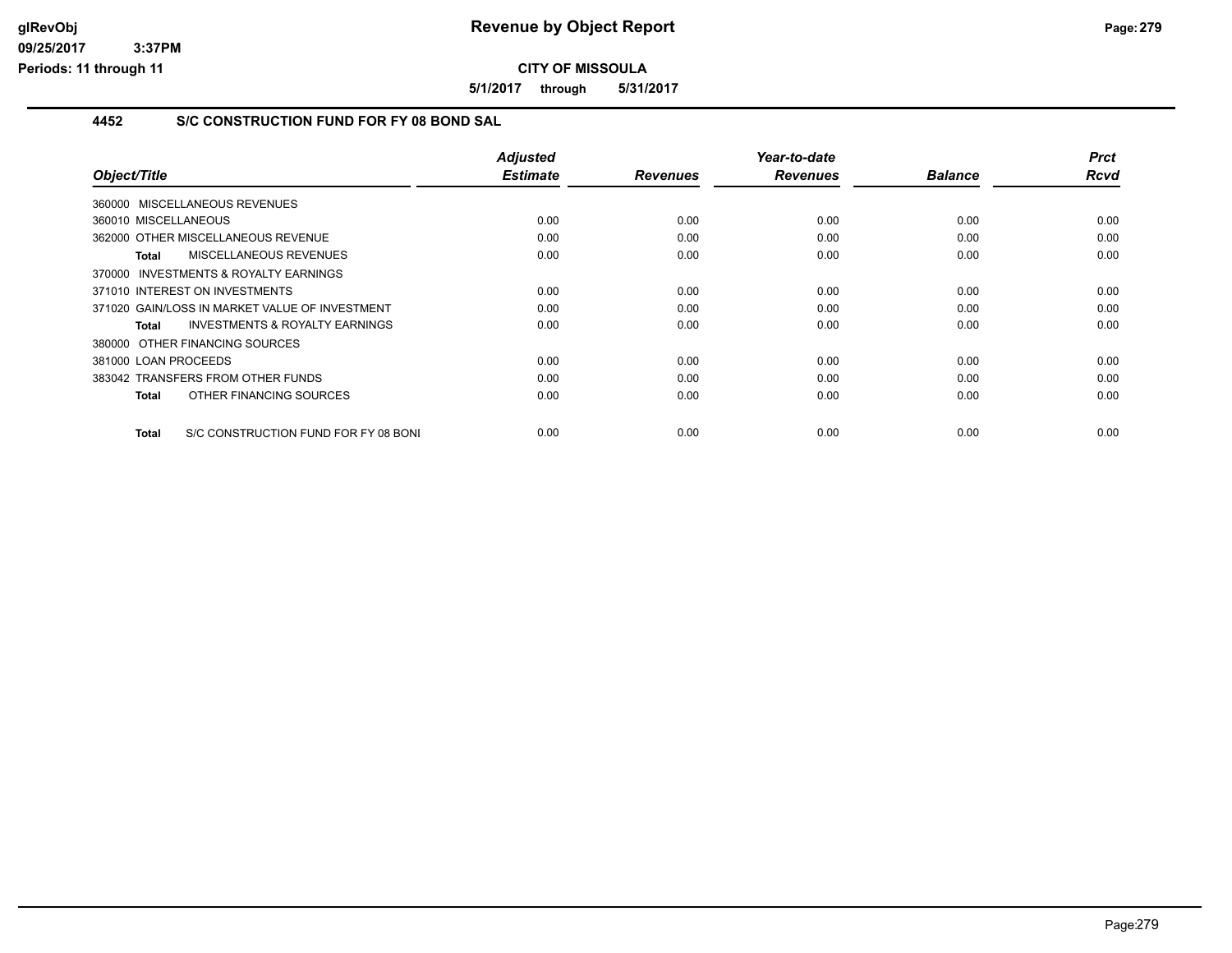**5/1/2017 through 5/31/2017**

#### **4452 S/C CONSTRUCTION FUND FOR FY 08 BOND SAL**

| Object/Title                                         | <b>Adjusted</b><br><b>Estimate</b> | <b>Revenues</b> | Year-to-date<br><b>Revenues</b> | <b>Balance</b> | <b>Prct</b><br><b>Rcvd</b> |
|------------------------------------------------------|------------------------------------|-----------------|---------------------------------|----------------|----------------------------|
|                                                      |                                    |                 |                                 |                |                            |
| 360000 MISCELLANEOUS REVENUES                        |                                    |                 |                                 |                |                            |
| 360010 MISCELLANEOUS                                 | 0.00                               | 0.00            | 0.00                            | 0.00           | 0.00                       |
| 362000 OTHER MISCELLANEOUS REVENUE                   | 0.00                               | 0.00            | 0.00                            | 0.00           | 0.00                       |
| MISCELLANEOUS REVENUES<br>Total                      | 0.00                               | 0.00            | 0.00                            | 0.00           | 0.00                       |
| 370000 INVESTMENTS & ROYALTY EARNINGS                |                                    |                 |                                 |                |                            |
| 371010 INTEREST ON INVESTMENTS                       | 0.00                               | 0.00            | 0.00                            | 0.00           | 0.00                       |
| 371020 GAIN/LOSS IN MARKET VALUE OF INVESTMENT       | 0.00                               | 0.00            | 0.00                            | 0.00           | 0.00                       |
| <b>INVESTMENTS &amp; ROYALTY EARNINGS</b><br>Total   | 0.00                               | 0.00            | 0.00                            | 0.00           | 0.00                       |
| 380000 OTHER FINANCING SOURCES                       |                                    |                 |                                 |                |                            |
| 381000 LOAN PROCEEDS                                 | 0.00                               | 0.00            | 0.00                            | 0.00           | 0.00                       |
| 383042 TRANSFERS FROM OTHER FUNDS                    | 0.00                               | 0.00            | 0.00                            | 0.00           | 0.00                       |
| OTHER FINANCING SOURCES<br>Total                     | 0.00                               | 0.00            | 0.00                            | 0.00           | 0.00                       |
|                                                      |                                    |                 |                                 |                |                            |
| S/C CONSTRUCTION FUND FOR FY 08 BONI<br><b>Total</b> | 0.00                               | 0.00            | 0.00                            | 0.00           | 0.00                       |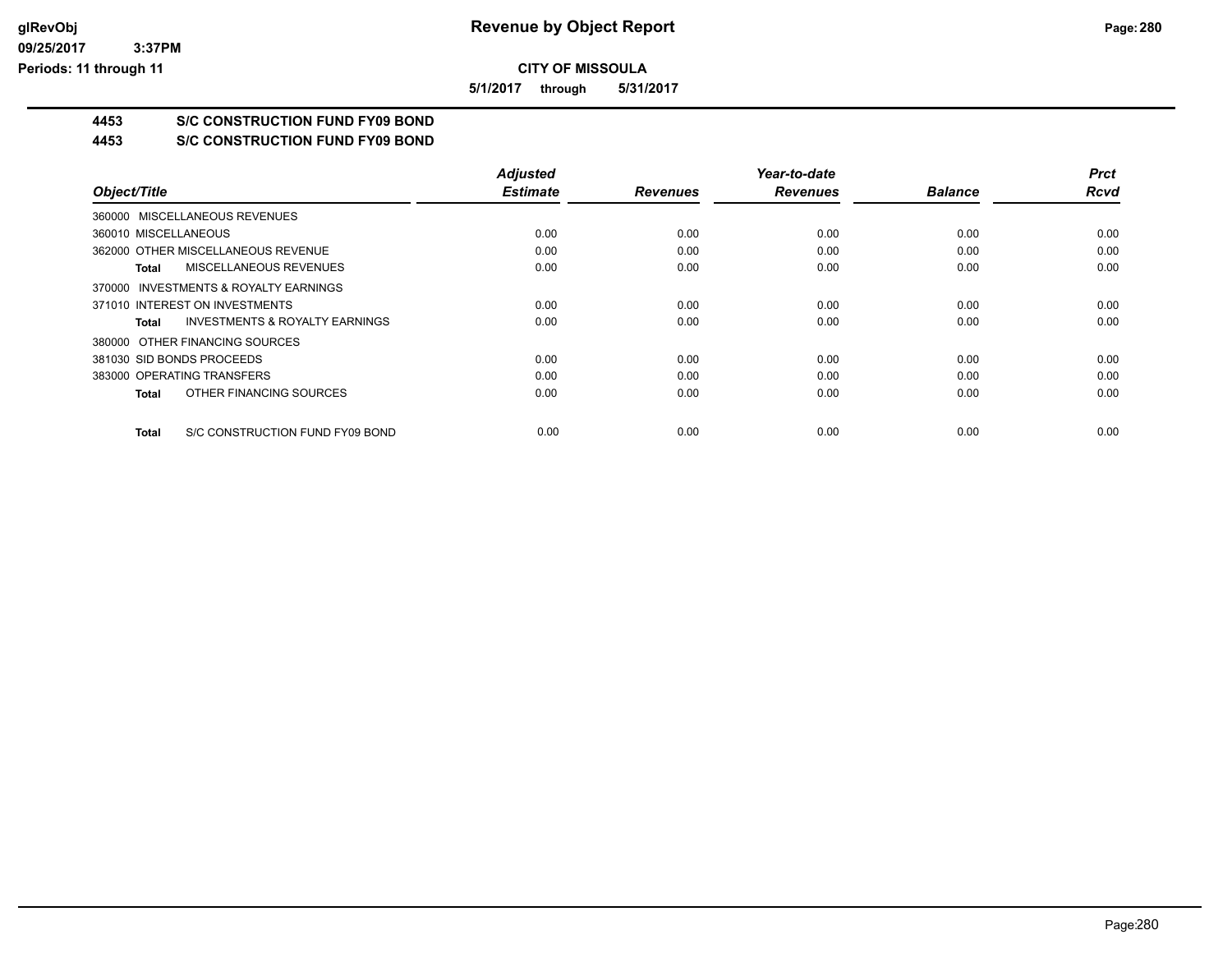**5/1/2017 through 5/31/2017**

## **4453 S/C CONSTRUCTION FUND FY09 BOND**

#### **4453 S/C CONSTRUCTION FUND FY09 BOND**

|                                                    | <b>Adjusted</b> |                 | Year-to-date    |                | <b>Prct</b> |
|----------------------------------------------------|-----------------|-----------------|-----------------|----------------|-------------|
| Object/Title                                       | <b>Estimate</b> | <b>Revenues</b> | <b>Revenues</b> | <b>Balance</b> | <b>Rcvd</b> |
| 360000 MISCELLANEOUS REVENUES                      |                 |                 |                 |                |             |
| 360010 MISCELLANEOUS                               | 0.00            | 0.00            | 0.00            | 0.00           | 0.00        |
| 362000 OTHER MISCELLANEOUS REVENUE                 | 0.00            | 0.00            | 0.00            | 0.00           | 0.00        |
| MISCELLANEOUS REVENUES<br>Total                    | 0.00            | 0.00            | 0.00            | 0.00           | 0.00        |
| 370000 INVESTMENTS & ROYALTY EARNINGS              |                 |                 |                 |                |             |
| 371010 INTEREST ON INVESTMENTS                     | 0.00            | 0.00            | 0.00            | 0.00           | 0.00        |
| <b>INVESTMENTS &amp; ROYALTY EARNINGS</b><br>Total | 0.00            | 0.00            | 0.00            | 0.00           | 0.00        |
| 380000 OTHER FINANCING SOURCES                     |                 |                 |                 |                |             |
| 381030 SID BONDS PROCEEDS                          | 0.00            | 0.00            | 0.00            | 0.00           | 0.00        |
| 383000 OPERATING TRANSFERS                         | 0.00            | 0.00            | 0.00            | 0.00           | 0.00        |
| OTHER FINANCING SOURCES<br>Total                   | 0.00            | 0.00            | 0.00            | 0.00           | 0.00        |
| S/C CONSTRUCTION FUND FY09 BOND<br>Total           | 0.00            | 0.00            | 0.00            | 0.00           | 0.00        |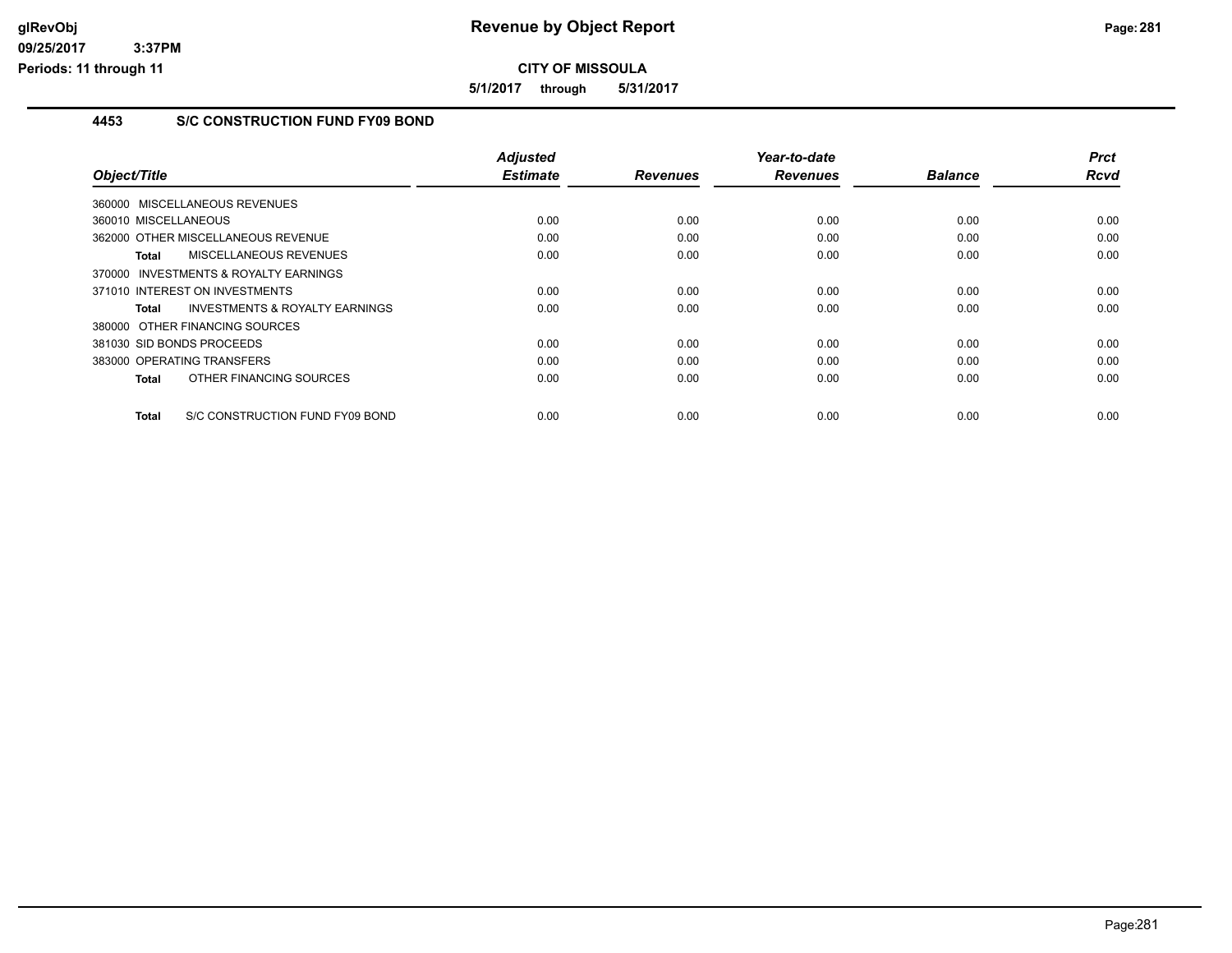**5/1/2017 through 5/31/2017**

#### **4453 S/C CONSTRUCTION FUND FY09 BOND**

| Object/Title                                       | <b>Adjusted</b><br><b>Estimate</b> | <b>Revenues</b> | Year-to-date<br><b>Revenues</b> | <b>Balance</b> | <b>Prct</b><br>Rcvd |
|----------------------------------------------------|------------------------------------|-----------------|---------------------------------|----------------|---------------------|
| 360000 MISCELLANEOUS REVENUES                      |                                    |                 |                                 |                |                     |
| 360010 MISCELLANEOUS                               | 0.00                               | 0.00            | 0.00                            | 0.00           | 0.00                |
| 362000 OTHER MISCELLANEOUS REVENUE                 | 0.00                               | 0.00            | 0.00                            | 0.00           | 0.00                |
| MISCELLANEOUS REVENUES<br>Total                    | 0.00                               | 0.00            | 0.00                            | 0.00           | 0.00                |
| 370000 INVESTMENTS & ROYALTY EARNINGS              |                                    |                 |                                 |                |                     |
| 371010 INTEREST ON INVESTMENTS                     | 0.00                               | 0.00            | 0.00                            | 0.00           | 0.00                |
| <b>INVESTMENTS &amp; ROYALTY EARNINGS</b><br>Total | 0.00                               | 0.00            | 0.00                            | 0.00           | 0.00                |
| 380000 OTHER FINANCING SOURCES                     |                                    |                 |                                 |                |                     |
| 381030 SID BONDS PROCEEDS                          | 0.00                               | 0.00            | 0.00                            | 0.00           | 0.00                |
| 383000 OPERATING TRANSFERS                         | 0.00                               | 0.00            | 0.00                            | 0.00           | 0.00                |
| OTHER FINANCING SOURCES<br>Total                   | 0.00                               | 0.00            | 0.00                            | 0.00           | 0.00                |
| S/C CONSTRUCTION FUND FY09 BOND<br>Total           | 0.00                               | 0.00            | 0.00                            | 0.00           | 0.00                |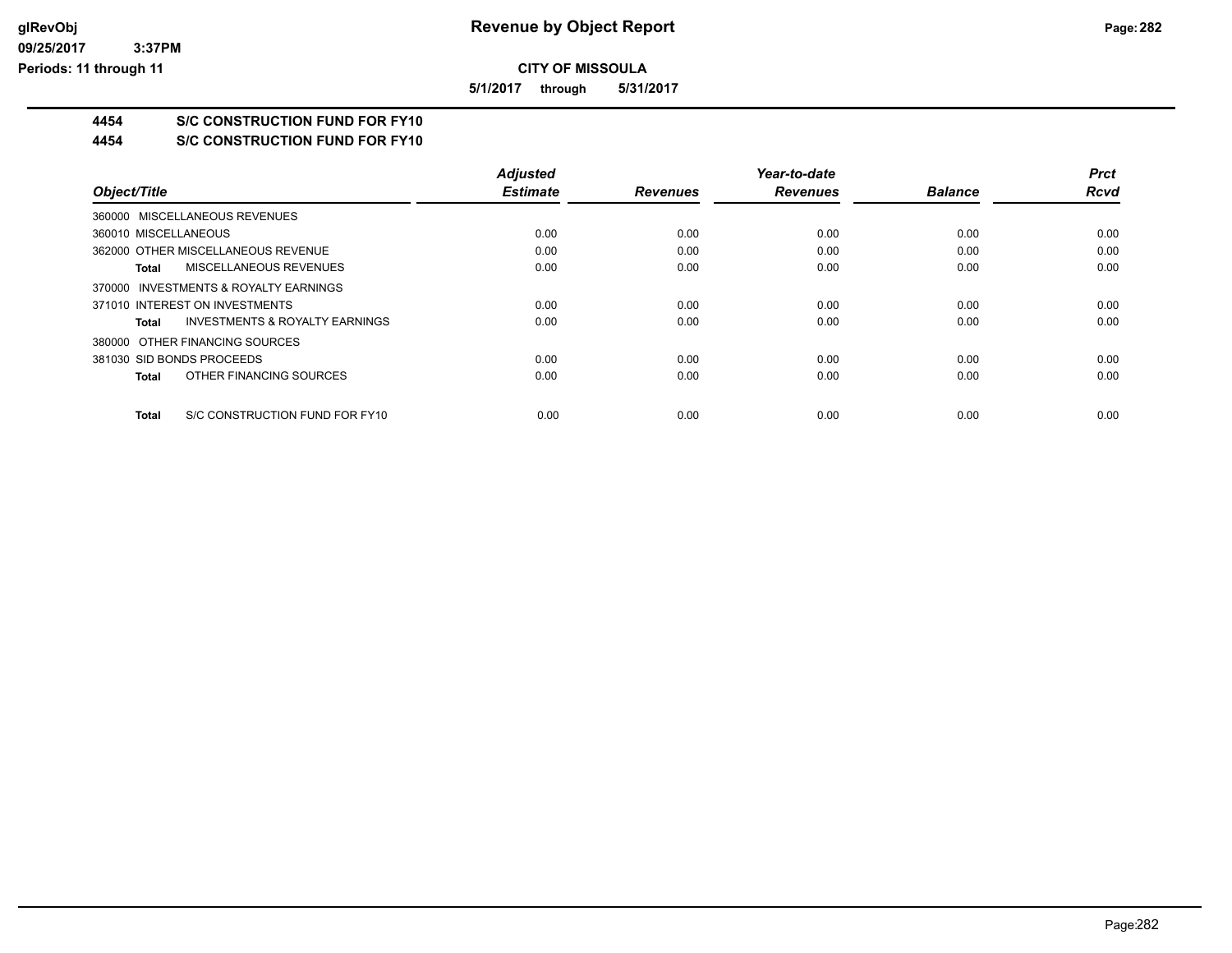**Periods: 11 through 11**

 **3:37PM**

**CITY OF MISSOULA**

**5/1/2017 through 5/31/2017**

# **4454 S/C CONSTRUCTION FUND FOR FY10**

**4454 S/C CONSTRUCTION FUND FOR FY10**

|                                                    | <b>Adjusted</b> |                 | Year-to-date    |                | <b>Prct</b> |
|----------------------------------------------------|-----------------|-----------------|-----------------|----------------|-------------|
| Object/Title                                       | <b>Estimate</b> | <b>Revenues</b> | <b>Revenues</b> | <b>Balance</b> | <b>Rcvd</b> |
| 360000 MISCELLANEOUS REVENUES                      |                 |                 |                 |                |             |
| 360010 MISCELLANEOUS                               | 0.00            | 0.00            | 0.00            | 0.00           | 0.00        |
| 362000 OTHER MISCELLANEOUS REVENUE                 | 0.00            | 0.00            | 0.00            | 0.00           | 0.00        |
| MISCELLANEOUS REVENUES<br>Total                    | 0.00            | 0.00            | 0.00            | 0.00           | 0.00        |
| 370000 INVESTMENTS & ROYALTY EARNINGS              |                 |                 |                 |                |             |
| 371010 INTEREST ON INVESTMENTS                     | 0.00            | 0.00            | 0.00            | 0.00           | 0.00        |
| <b>INVESTMENTS &amp; ROYALTY EARNINGS</b><br>Total | 0.00            | 0.00            | 0.00            | 0.00           | 0.00        |
| 380000 OTHER FINANCING SOURCES                     |                 |                 |                 |                |             |
| 381030 SID BONDS PROCEEDS                          | 0.00            | 0.00            | 0.00            | 0.00           | 0.00        |
| OTHER FINANCING SOURCES<br><b>Total</b>            | 0.00            | 0.00            | 0.00            | 0.00           | 0.00        |
| S/C CONSTRUCTION FUND FOR FY10<br><b>Total</b>     | 0.00            | 0.00            | 0.00            | 0.00           | 0.00        |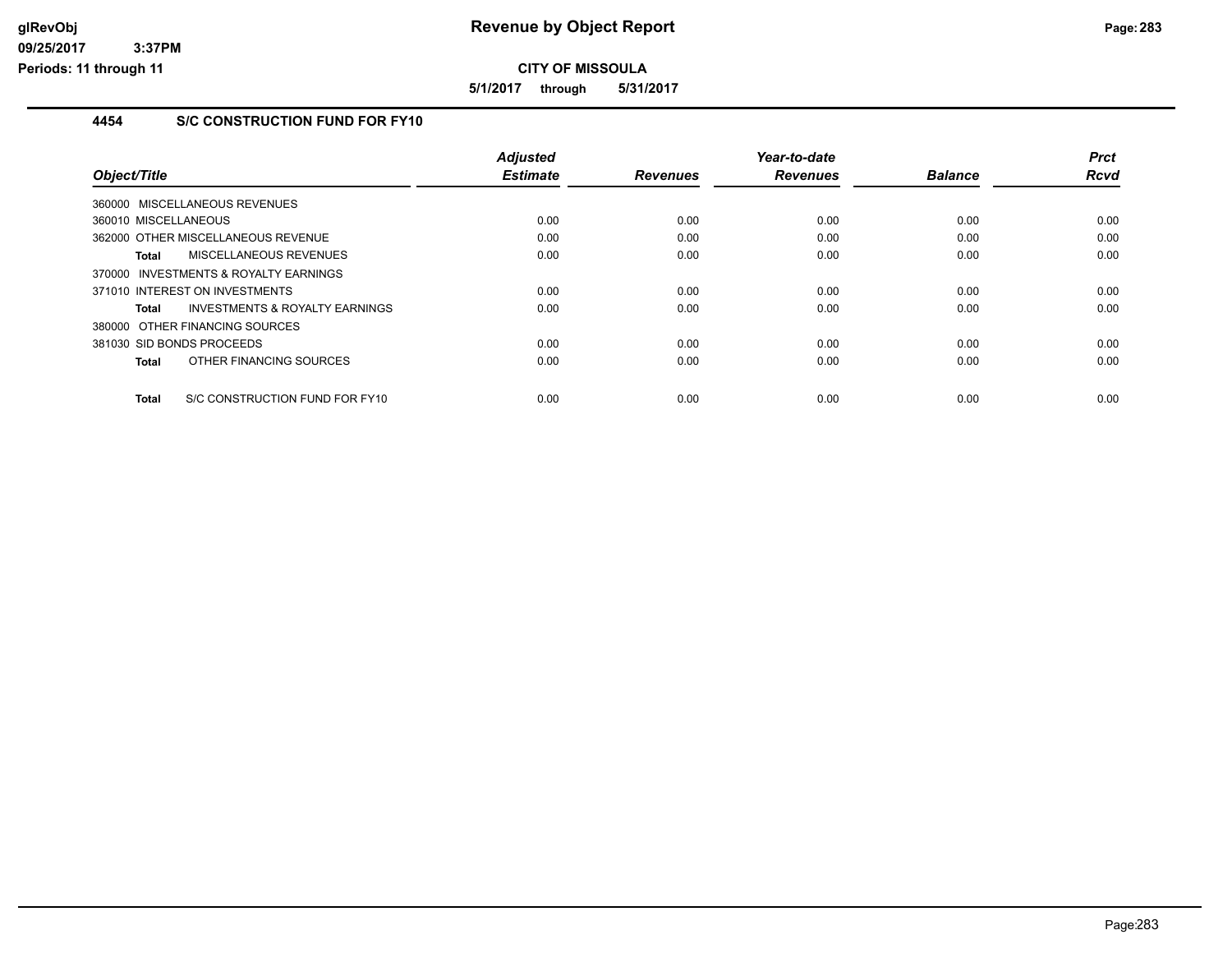**5/1/2017 through 5/31/2017**

#### **4454 S/C CONSTRUCTION FUND FOR FY10**

| Object/Title                                       | <b>Adjusted</b><br><b>Estimate</b> | <b>Revenues</b> | Year-to-date<br><b>Revenues</b> | <b>Balance</b> | <b>Prct</b><br><b>Rcvd</b> |
|----------------------------------------------------|------------------------------------|-----------------|---------------------------------|----------------|----------------------------|
| 360000 MISCELLANEOUS REVENUES                      |                                    |                 |                                 |                |                            |
| 360010 MISCELLANEOUS                               | 0.00                               | 0.00            | 0.00                            | 0.00           | 0.00                       |
| 362000 OTHER MISCELLANEOUS REVENUE                 | 0.00                               | 0.00            | 0.00                            | 0.00           | 0.00                       |
| MISCELLANEOUS REVENUES<br>Total                    | 0.00                               | 0.00            | 0.00                            | 0.00           | 0.00                       |
| INVESTMENTS & ROYALTY EARNINGS<br>370000           |                                    |                 |                                 |                |                            |
| 371010 INTEREST ON INVESTMENTS                     | 0.00                               | 0.00            | 0.00                            | 0.00           | 0.00                       |
| <b>INVESTMENTS &amp; ROYALTY EARNINGS</b><br>Total | 0.00                               | 0.00            | 0.00                            | 0.00           | 0.00                       |
| 380000 OTHER FINANCING SOURCES                     |                                    |                 |                                 |                |                            |
| 381030 SID BONDS PROCEEDS                          | 0.00                               | 0.00            | 0.00                            | 0.00           | 0.00                       |
| OTHER FINANCING SOURCES<br>Total                   | 0.00                               | 0.00            | 0.00                            | 0.00           | 0.00                       |
|                                                    |                                    |                 |                                 |                |                            |
| S/C CONSTRUCTION FUND FOR FY10<br><b>Total</b>     | 0.00                               | 0.00            | 0.00                            | 0.00           | 0.00                       |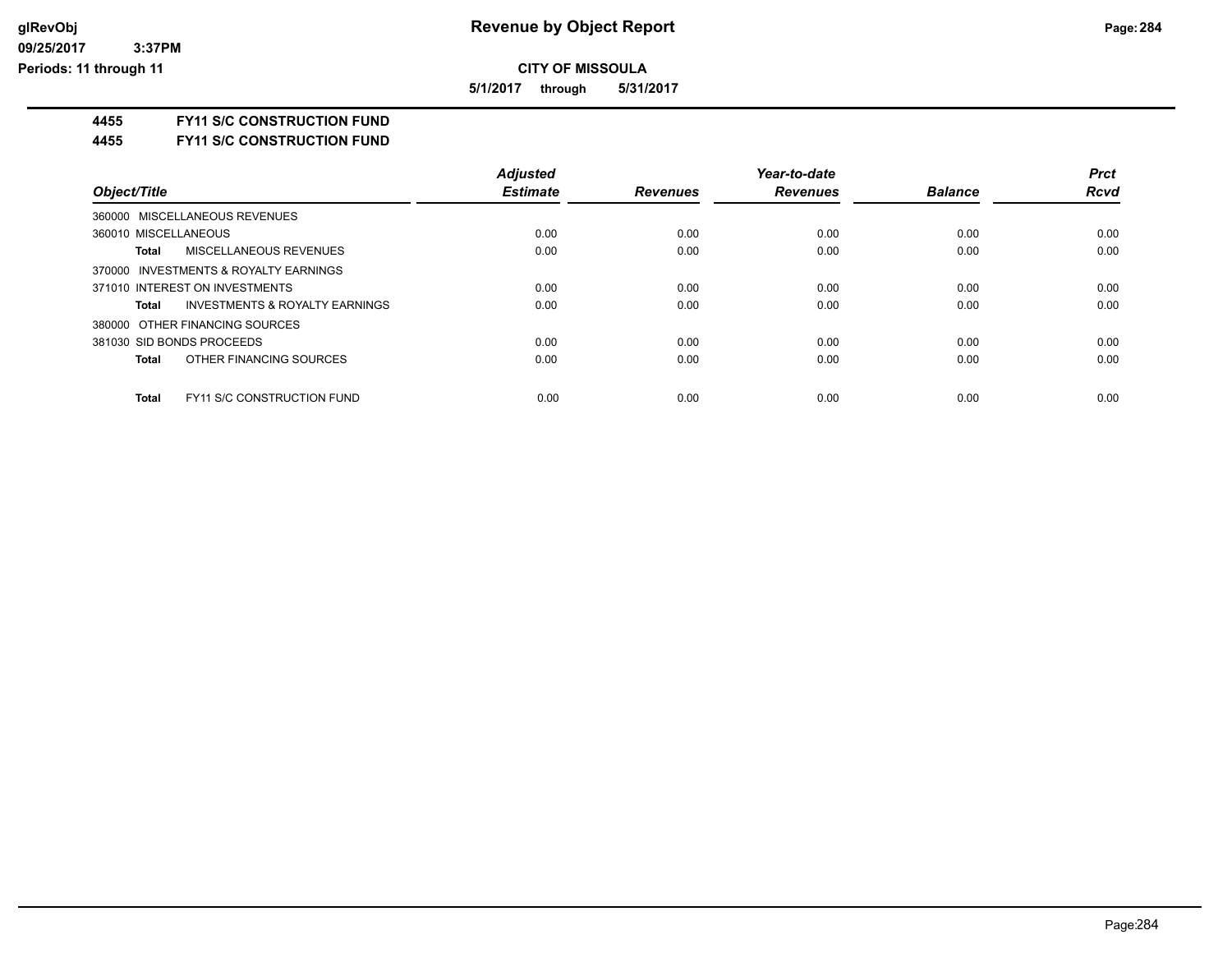**Periods: 11 through 11**

**CITY OF MISSOULA**

**5/1/2017 through 5/31/2017**

# **4455 FY11 S/C CONSTRUCTION FUND**

 **3:37PM**

## **4455 FY11 S/C CONSTRUCTION FUND**

|                                                    | <b>Adjusted</b> |                 | Year-to-date    |                | <b>Prct</b> |
|----------------------------------------------------|-----------------|-----------------|-----------------|----------------|-------------|
| Object/Title                                       | <b>Estimate</b> | <b>Revenues</b> | <b>Revenues</b> | <b>Balance</b> | <b>Rcvd</b> |
| 360000 MISCELLANEOUS REVENUES                      |                 |                 |                 |                |             |
| 360010 MISCELLANEOUS                               | 0.00            | 0.00            | 0.00            | 0.00           | 0.00        |
| <b>MISCELLANEOUS REVENUES</b><br><b>Total</b>      | 0.00            | 0.00            | 0.00            | 0.00           | 0.00        |
| 370000 INVESTMENTS & ROYALTY EARNINGS              |                 |                 |                 |                |             |
| 371010 INTEREST ON INVESTMENTS                     | 0.00            | 0.00            | 0.00            | 0.00           | 0.00        |
| <b>INVESTMENTS &amp; ROYALTY EARNINGS</b><br>Total | 0.00            | 0.00            | 0.00            | 0.00           | 0.00        |
| 380000 OTHER FINANCING SOURCES                     |                 |                 |                 |                |             |
| 381030 SID BONDS PROCEEDS                          | 0.00            | 0.00            | 0.00            | 0.00           | 0.00        |
| OTHER FINANCING SOURCES<br><b>Total</b>            | 0.00            | 0.00            | 0.00            | 0.00           | 0.00        |
|                                                    |                 |                 |                 |                |             |
| <b>FY11 S/C CONSTRUCTION FUND</b><br><b>Total</b>  | 0.00            | 0.00            | 0.00            | 0.00           | 0.00        |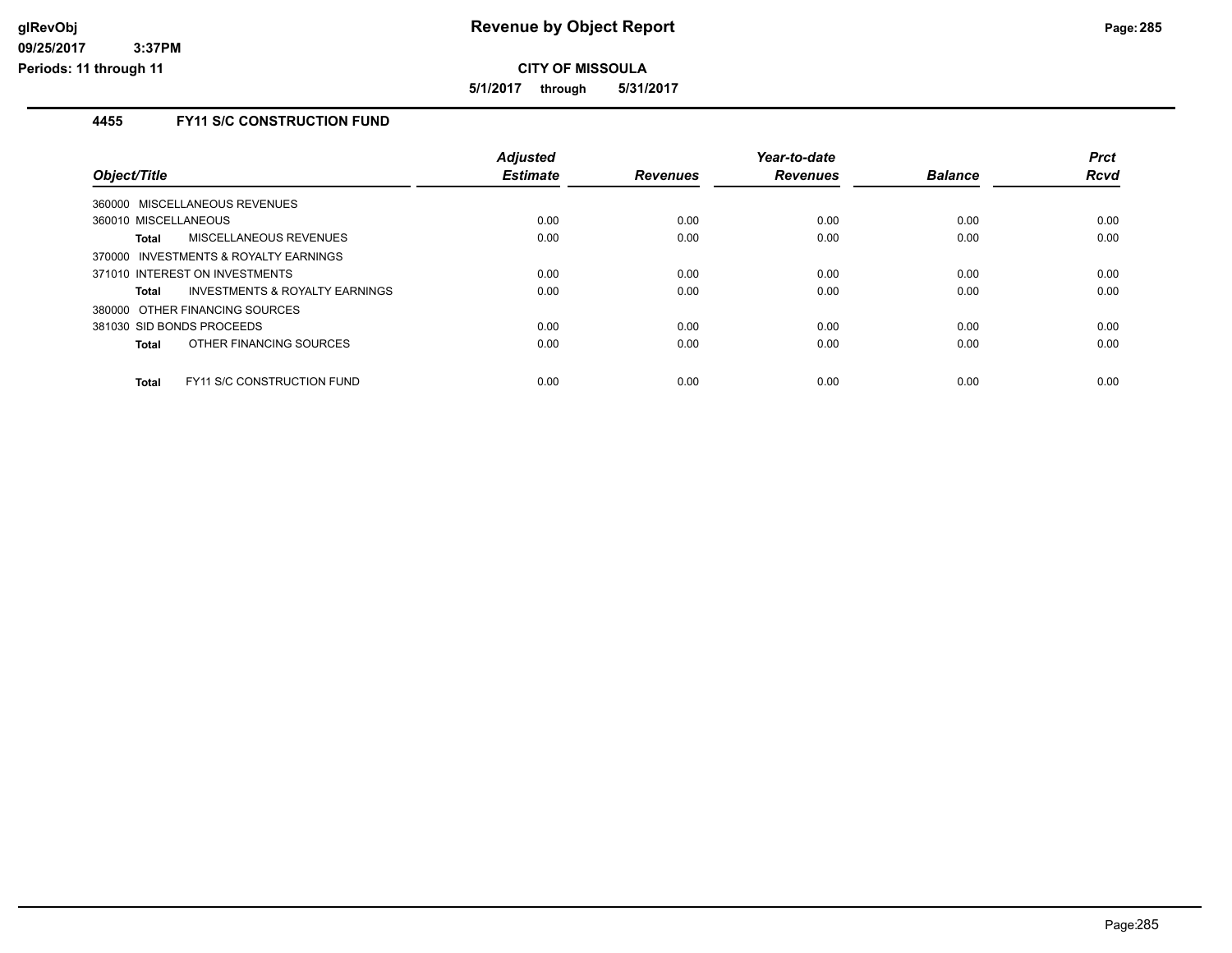**Periods: 11 through 11**

**CITY OF MISSOULA**

**5/1/2017 through 5/31/2017**

#### **4455 FY11 S/C CONSTRUCTION FUND**

 **3:37PM**

| Object/Title                          |                                   | <b>Adjusted</b><br><b>Estimate</b> | <b>Revenues</b> | Year-to-date<br><b>Revenues</b> | <b>Balance</b> | <b>Prct</b><br><b>Rcvd</b> |
|---------------------------------------|-----------------------------------|------------------------------------|-----------------|---------------------------------|----------------|----------------------------|
| 360000 MISCELLANEOUS REVENUES         |                                   |                                    |                 |                                 |                |                            |
| 360010 MISCELLANEOUS                  |                                   | 0.00                               | 0.00            | 0.00                            | 0.00           | 0.00                       |
| Total                                 | MISCELLANEOUS REVENUES            | 0.00                               | 0.00            | 0.00                            | 0.00           | 0.00                       |
| 370000 INVESTMENTS & ROYALTY EARNINGS |                                   |                                    |                 |                                 |                |                            |
| 371010 INTEREST ON INVESTMENTS        |                                   | 0.00                               | 0.00            | 0.00                            | 0.00           | 0.00                       |
| Total                                 | INVESTMENTS & ROYALTY EARNINGS    | 0.00                               | 0.00            | 0.00                            | 0.00           | 0.00                       |
| 380000 OTHER FINANCING SOURCES        |                                   |                                    |                 |                                 |                |                            |
| 381030 SID BONDS PROCEEDS             |                                   | 0.00                               | 0.00            | 0.00                            | 0.00           | 0.00                       |
| <b>Total</b>                          | OTHER FINANCING SOURCES           | 0.00                               | 0.00            | 0.00                            | 0.00           | 0.00                       |
| <b>Total</b>                          | <b>FY11 S/C CONSTRUCTION FUND</b> | 0.00                               | 0.00            | 0.00                            | 0.00           | 0.00                       |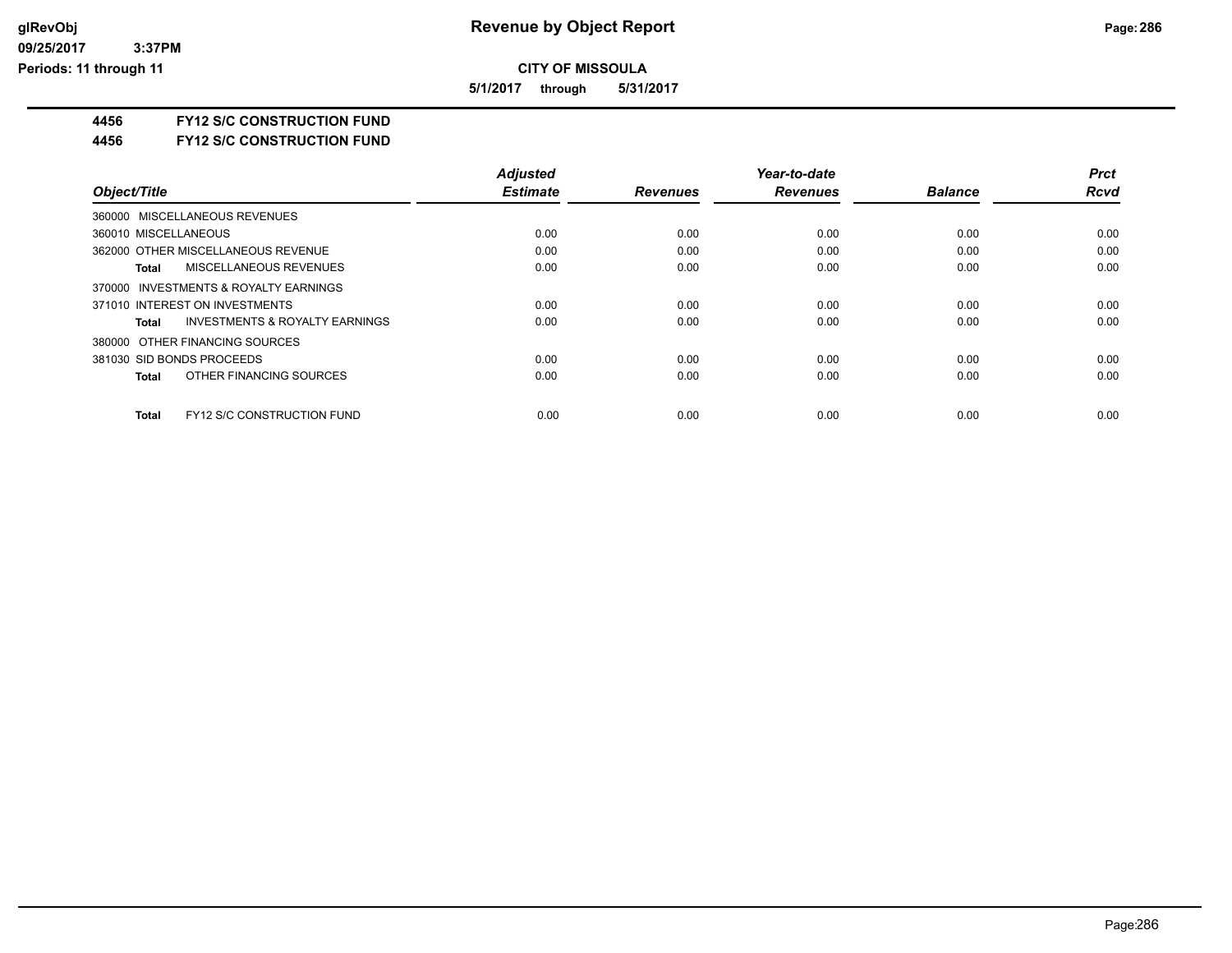**5/1/2017 through 5/31/2017**

#### **4456 FY12 S/C CONSTRUCTION FUND**

#### **4456 FY12 S/C CONSTRUCTION FUND**

|                                                    | <b>Adjusted</b> |                 | Year-to-date    |                | <b>Prct</b> |
|----------------------------------------------------|-----------------|-----------------|-----------------|----------------|-------------|
| Object/Title                                       | <b>Estimate</b> | <b>Revenues</b> | <b>Revenues</b> | <b>Balance</b> | <b>Rcvd</b> |
| 360000 MISCELLANEOUS REVENUES                      |                 |                 |                 |                |             |
| 360010 MISCELLANEOUS                               | 0.00            | 0.00            | 0.00            | 0.00           | 0.00        |
| 362000 OTHER MISCELLANEOUS REVENUE                 | 0.00            | 0.00            | 0.00            | 0.00           | 0.00        |
| <b>MISCELLANEOUS REVENUES</b><br>Total             | 0.00            | 0.00            | 0.00            | 0.00           | 0.00        |
| 370000 INVESTMENTS & ROYALTY EARNINGS              |                 |                 |                 |                |             |
| 371010 INTEREST ON INVESTMENTS                     | 0.00            | 0.00            | 0.00            | 0.00           | 0.00        |
| <b>INVESTMENTS &amp; ROYALTY EARNINGS</b><br>Total | 0.00            | 0.00            | 0.00            | 0.00           | 0.00        |
| 380000 OTHER FINANCING SOURCES                     |                 |                 |                 |                |             |
| 381030 SID BONDS PROCEEDS                          | 0.00            | 0.00            | 0.00            | 0.00           | 0.00        |
| OTHER FINANCING SOURCES<br>Total                   | 0.00            | 0.00            | 0.00            | 0.00           | 0.00        |
| <b>FY12 S/C CONSTRUCTION FUND</b><br>Total         | 0.00            | 0.00            | 0.00            | 0.00           | 0.00        |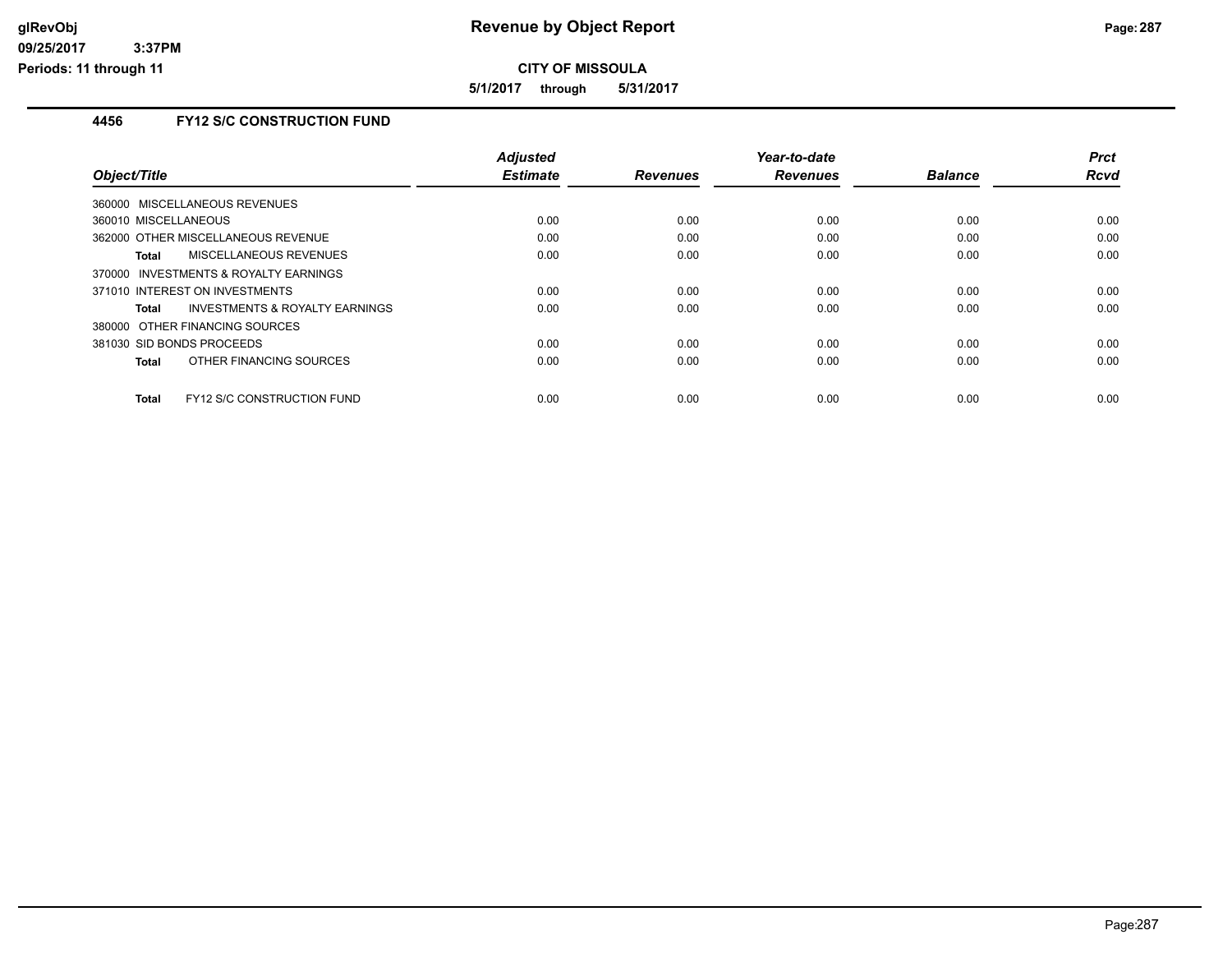**Periods: 11 through 11**

 **3:37PM**

**CITY OF MISSOULA**

**5/1/2017 through 5/31/2017**

#### **4456 FY12 S/C CONSTRUCTION FUND**

| Object/Title                                      | <b>Adjusted</b><br><b>Estimate</b> | <b>Revenues</b> | Year-to-date<br><b>Revenues</b> | <b>Balance</b> | <b>Prct</b><br>Rcvd |
|---------------------------------------------------|------------------------------------|-----------------|---------------------------------|----------------|---------------------|
|                                                   |                                    |                 |                                 |                |                     |
| 360000 MISCELLANEOUS REVENUES                     |                                    |                 |                                 |                |                     |
| 360010 MISCELLANEOUS                              | 0.00                               | 0.00            | 0.00                            | 0.00           | 0.00                |
| 362000 OTHER MISCELLANEOUS REVENUE                | 0.00                               | 0.00            | 0.00                            | 0.00           | 0.00                |
| <b>MISCELLANEOUS REVENUES</b><br>Total            | 0.00                               | 0.00            | 0.00                            | 0.00           | 0.00                |
| 370000 INVESTMENTS & ROYALTY EARNINGS             |                                    |                 |                                 |                |                     |
| 371010 INTEREST ON INVESTMENTS                    | 0.00                               | 0.00            | 0.00                            | 0.00           | 0.00                |
| INVESTMENTS & ROYALTY EARNINGS<br>Total           | 0.00                               | 0.00            | 0.00                            | 0.00           | 0.00                |
| 380000 OTHER FINANCING SOURCES                    |                                    |                 |                                 |                |                     |
| 381030 SID BONDS PROCEEDS                         | 0.00                               | 0.00            | 0.00                            | 0.00           | 0.00                |
| OTHER FINANCING SOURCES<br>Total                  | 0.00                               | 0.00            | 0.00                            | 0.00           | 0.00                |
| <b>FY12 S/C CONSTRUCTION FUND</b><br><b>Total</b> | 0.00                               | 0.00            | 0.00                            | 0.00           | 0.00                |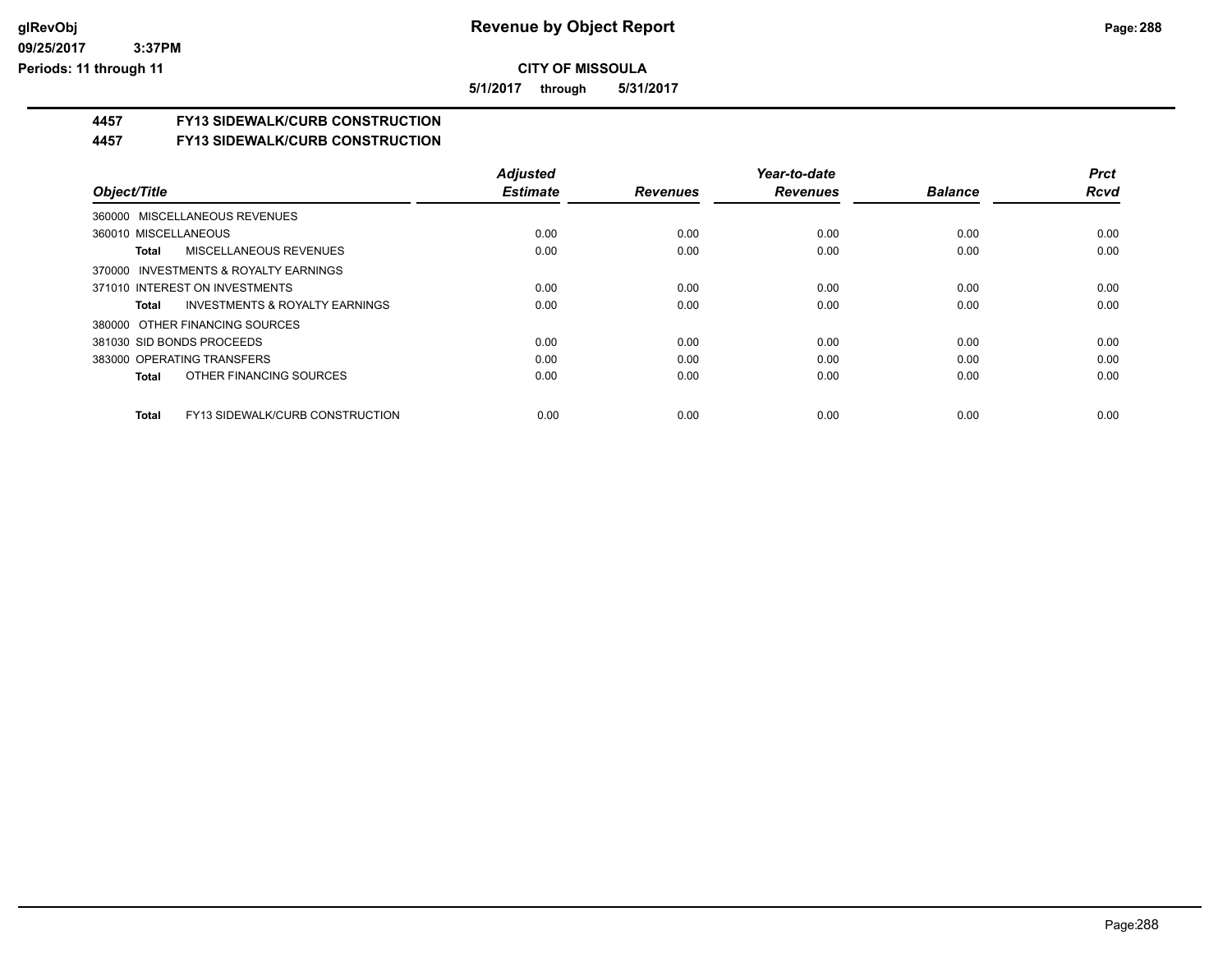**09/25/2017 3:37PM Periods: 11 through 11**

## **CITY OF MISSOULA**

**5/1/2017 through 5/31/2017**

## **4457 FY13 SIDEWALK/CURB CONSTRUCTION**

#### **4457 FY13 SIDEWALK/CURB CONSTRUCTION**

|                                                    | <b>Adjusted</b> |                 | Year-to-date    |                | <b>Prct</b> |
|----------------------------------------------------|-----------------|-----------------|-----------------|----------------|-------------|
| Object/Title                                       | <b>Estimate</b> | <b>Revenues</b> | <b>Revenues</b> | <b>Balance</b> | <b>Rcvd</b> |
| 360000 MISCELLANEOUS REVENUES                      |                 |                 |                 |                |             |
| 360010 MISCELLANEOUS                               | 0.00            | 0.00            | 0.00            | 0.00           | 0.00        |
| MISCELLANEOUS REVENUES<br>Total                    | 0.00            | 0.00            | 0.00            | 0.00           | 0.00        |
| 370000 INVESTMENTS & ROYALTY EARNINGS              |                 |                 |                 |                |             |
| 371010 INTEREST ON INVESTMENTS                     | 0.00            | 0.00            | 0.00            | 0.00           | 0.00        |
| <b>INVESTMENTS &amp; ROYALTY EARNINGS</b><br>Total | 0.00            | 0.00            | 0.00            | 0.00           | 0.00        |
| 380000 OTHER FINANCING SOURCES                     |                 |                 |                 |                |             |
| 381030 SID BONDS PROCEEDS                          | 0.00            | 0.00            | 0.00            | 0.00           | 0.00        |
| 383000 OPERATING TRANSFERS                         | 0.00            | 0.00            | 0.00            | 0.00           | 0.00        |
| OTHER FINANCING SOURCES<br>Total                   | 0.00            | 0.00            | 0.00            | 0.00           | 0.00        |
| FY13 SIDEWALK/CURB CONSTRUCTION<br>Total           | 0.00            | 0.00            | 0.00            | 0.00           | 0.00        |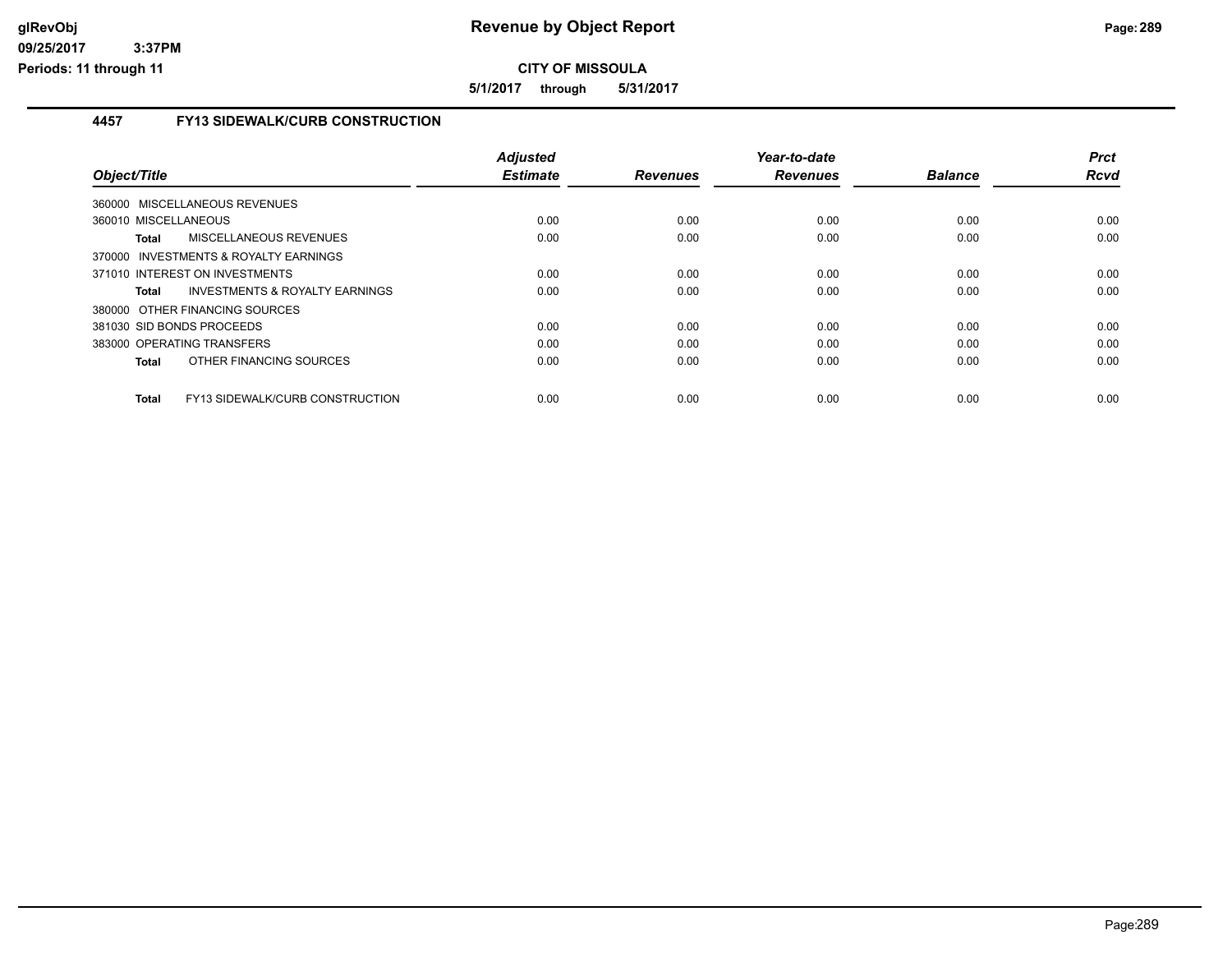**3:37PM**

**CITY OF MISSOULA**

**5/1/2017 through 5/31/2017**

# **4457 FY13 SIDEWALK/CURB CONSTRUCTION**

|                                                    | <b>Adjusted</b> |                 | Year-to-date    |                | <b>Prct</b> |
|----------------------------------------------------|-----------------|-----------------|-----------------|----------------|-------------|
| Object/Title                                       | <b>Estimate</b> | <b>Revenues</b> | <b>Revenues</b> | <b>Balance</b> | <b>Rcvd</b> |
| 360000 MISCELLANEOUS REVENUES                      |                 |                 |                 |                |             |
| 360010 MISCELLANEOUS                               | 0.00            | 0.00            | 0.00            | 0.00           | 0.00        |
| MISCELLANEOUS REVENUES<br><b>Total</b>             | 0.00            | 0.00            | 0.00            | 0.00           | 0.00        |
| 370000 INVESTMENTS & ROYALTY EARNINGS              |                 |                 |                 |                |             |
| 371010 INTEREST ON INVESTMENTS                     | 0.00            | 0.00            | 0.00            | 0.00           | 0.00        |
| <b>INVESTMENTS &amp; ROYALTY EARNINGS</b><br>Total | 0.00            | 0.00            | 0.00            | 0.00           | 0.00        |
| 380000 OTHER FINANCING SOURCES                     |                 |                 |                 |                |             |
| 381030 SID BONDS PROCEEDS                          | 0.00            | 0.00            | 0.00            | 0.00           | 0.00        |
| 383000 OPERATING TRANSFERS                         | 0.00            | 0.00            | 0.00            | 0.00           | 0.00        |
| OTHER FINANCING SOURCES<br><b>Total</b>            | 0.00            | 0.00            | 0.00            | 0.00           | 0.00        |
| <b>Total</b><br>FY13 SIDEWALK/CURB CONSTRUCTION    | 0.00            | 0.00            | 0.00            | 0.00           | 0.00        |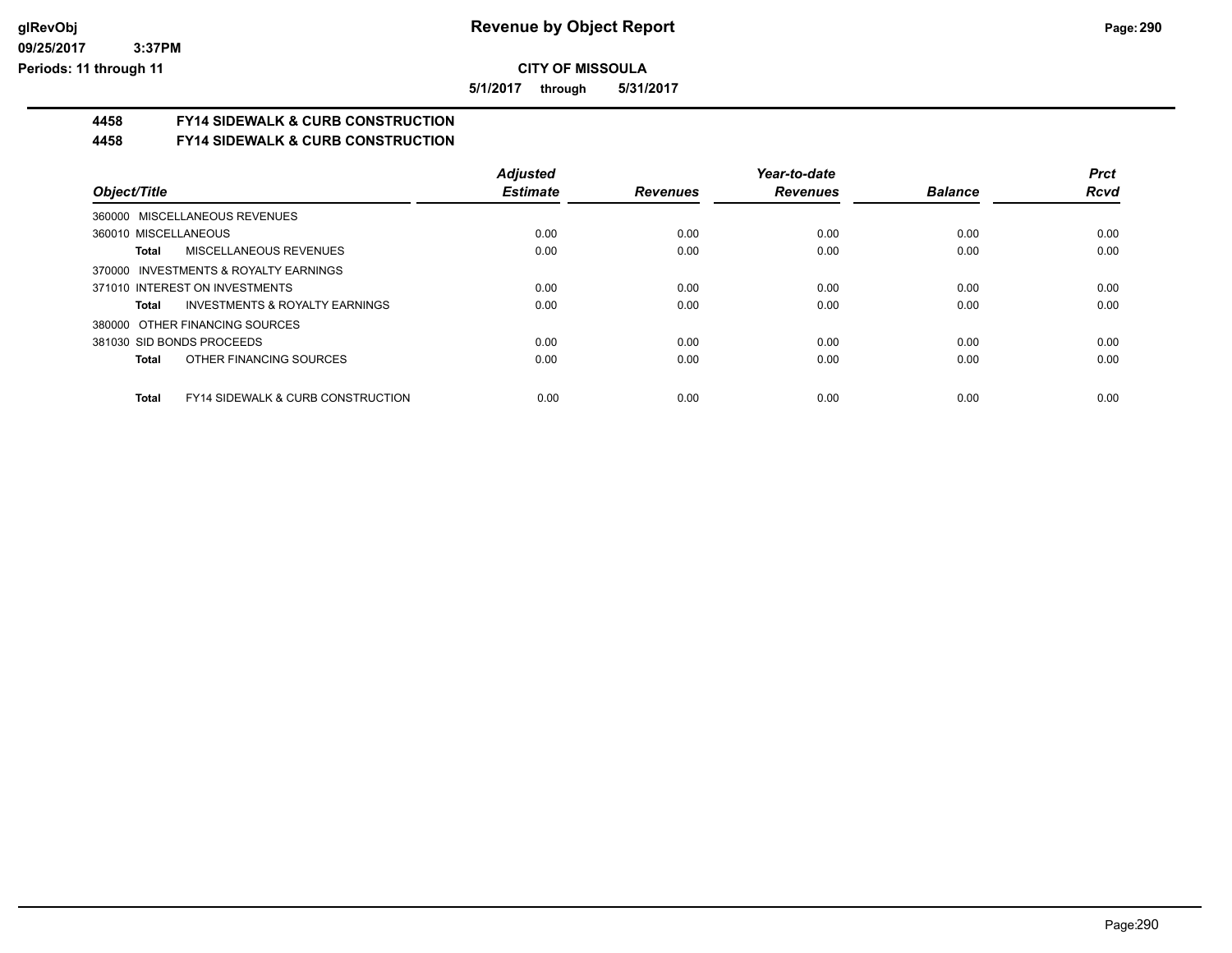**09/25/2017 3:37PM Periods: 11 through 11**

# **CITY OF MISSOULA**

**5/1/2017 through 5/31/2017**

# **4458 FY14 SIDEWALK & CURB CONSTRUCTION**

# **4458 FY14 SIDEWALK & CURB CONSTRUCTION**

|                                                              | <b>Adjusted</b> |                 | Year-to-date    |                | <b>Prct</b> |
|--------------------------------------------------------------|-----------------|-----------------|-----------------|----------------|-------------|
| Object/Title                                                 | <b>Estimate</b> | <b>Revenues</b> | <b>Revenues</b> | <b>Balance</b> | <b>Rcvd</b> |
| 360000 MISCELLANEOUS REVENUES                                |                 |                 |                 |                |             |
| 360010 MISCELLANEOUS                                         | 0.00            | 0.00            | 0.00            | 0.00           | 0.00        |
| <b>MISCELLANEOUS REVENUES</b><br>Total                       | 0.00            | 0.00            | 0.00            | 0.00           | 0.00        |
| 370000 INVESTMENTS & ROYALTY EARNINGS                        |                 |                 |                 |                |             |
| 371010 INTEREST ON INVESTMENTS                               | 0.00            | 0.00            | 0.00            | 0.00           | 0.00        |
| <b>INVESTMENTS &amp; ROYALTY EARNINGS</b><br>Total           | 0.00            | 0.00            | 0.00            | 0.00           | 0.00        |
| 380000 OTHER FINANCING SOURCES                               |                 |                 |                 |                |             |
| 381030 SID BONDS PROCEEDS                                    | 0.00            | 0.00            | 0.00            | 0.00           | 0.00        |
| OTHER FINANCING SOURCES<br>Total                             | 0.00            | 0.00            | 0.00            | 0.00           | 0.00        |
|                                                              |                 |                 |                 |                |             |
| <b>FY14 SIDEWALK &amp; CURB CONSTRUCTION</b><br><b>Total</b> | 0.00            | 0.00            | 0.00            | 0.00           | 0.00        |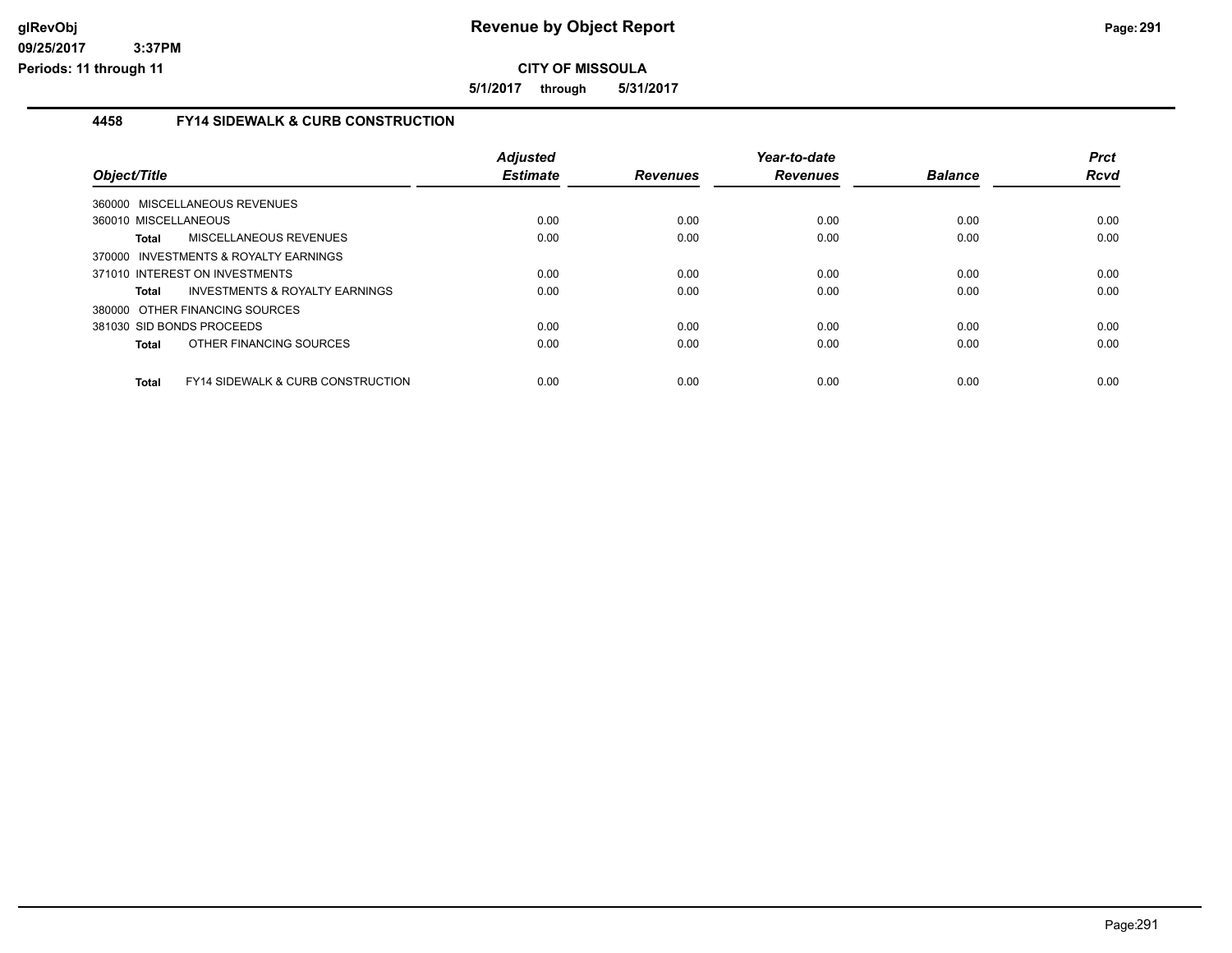**3:37PM**

**CITY OF MISSOULA**

**5/1/2017 through 5/31/2017**

# **4458 FY14 SIDEWALK & CURB CONSTRUCTION**

| Object/Title              |                                              | <b>Adjusted</b><br><b>Estimate</b> | <b>Revenues</b> | Year-to-date<br><b>Revenues</b> | <b>Balance</b> | <b>Prct</b><br>Rcvd |
|---------------------------|----------------------------------------------|------------------------------------|-----------------|---------------------------------|----------------|---------------------|
|                           | 360000 MISCELLANEOUS REVENUES                |                                    |                 |                                 |                |                     |
| 360010 MISCELLANEOUS      |                                              | 0.00                               | 0.00            | 0.00                            | 0.00           | 0.00                |
| <b>Total</b>              | MISCELLANEOUS REVENUES                       | 0.00                               | 0.00            | 0.00                            | 0.00           | 0.00                |
|                           | 370000 INVESTMENTS & ROYALTY EARNINGS        |                                    |                 |                                 |                |                     |
|                           | 371010 INTEREST ON INVESTMENTS               | 0.00                               | 0.00            | 0.00                            | 0.00           | 0.00                |
| <b>Total</b>              | INVESTMENTS & ROYALTY EARNINGS               | 0.00                               | 0.00            | 0.00                            | 0.00           | 0.00                |
|                           | 380000 OTHER FINANCING SOURCES               |                                    |                 |                                 |                |                     |
| 381030 SID BONDS PROCEEDS |                                              | 0.00                               | 0.00            | 0.00                            | 0.00           | 0.00                |
| <b>Total</b>              | OTHER FINANCING SOURCES                      | 0.00                               | 0.00            | 0.00                            | 0.00           | 0.00                |
| <b>Total</b>              | <b>FY14 SIDEWALK &amp; CURB CONSTRUCTION</b> | 0.00                               | 0.00            | 0.00                            | 0.00           | 0.00                |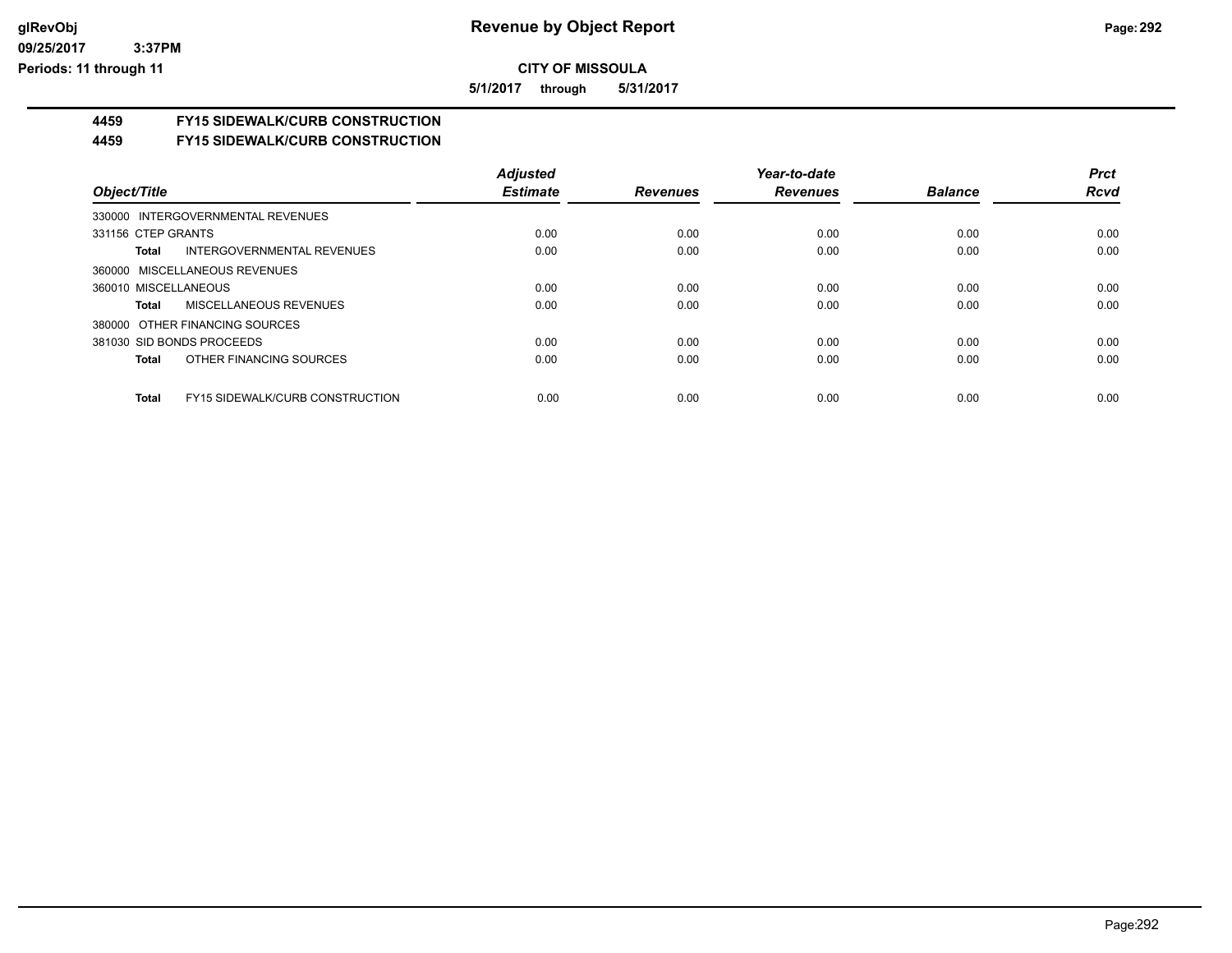**3:37PM**

**glRevObj Revenue by Object Report Page:292** 

**CITY OF MISSOULA**

**5/1/2017 through 5/31/2017**

# **4459 FY15 SIDEWALK/CURB CONSTRUCTION**

**4459 FY15 SIDEWALK/CURB CONSTRUCTION**

|                                                 | <b>Adjusted</b> |                 | Year-to-date    |                | <b>Prct</b> |
|-------------------------------------------------|-----------------|-----------------|-----------------|----------------|-------------|
| Object/Title                                    | <b>Estimate</b> | <b>Revenues</b> | <b>Revenues</b> | <b>Balance</b> | <b>Rcvd</b> |
| 330000 INTERGOVERNMENTAL REVENUES               |                 |                 |                 |                |             |
| 331156 CTEP GRANTS                              | 0.00            | 0.00            | 0.00            | 0.00           | 0.00        |
| INTERGOVERNMENTAL REVENUES<br>Total             | 0.00            | 0.00            | 0.00            | 0.00           | 0.00        |
| 360000 MISCELLANEOUS REVENUES                   |                 |                 |                 |                |             |
| 360010 MISCELLANEOUS                            | 0.00            | 0.00            | 0.00            | 0.00           | 0.00        |
| MISCELLANEOUS REVENUES<br>Total                 | 0.00            | 0.00            | 0.00            | 0.00           | 0.00        |
| 380000 OTHER FINANCING SOURCES                  |                 |                 |                 |                |             |
| 381030 SID BONDS PROCEEDS                       | 0.00            | 0.00            | 0.00            | 0.00           | 0.00        |
| OTHER FINANCING SOURCES<br>Total                | 0.00            | 0.00            | 0.00            | 0.00           | 0.00        |
| <b>FY15 SIDEWALK/CURB CONSTRUCTION</b><br>Total | 0.00            | 0.00            | 0.00            | 0.00           | 0.00        |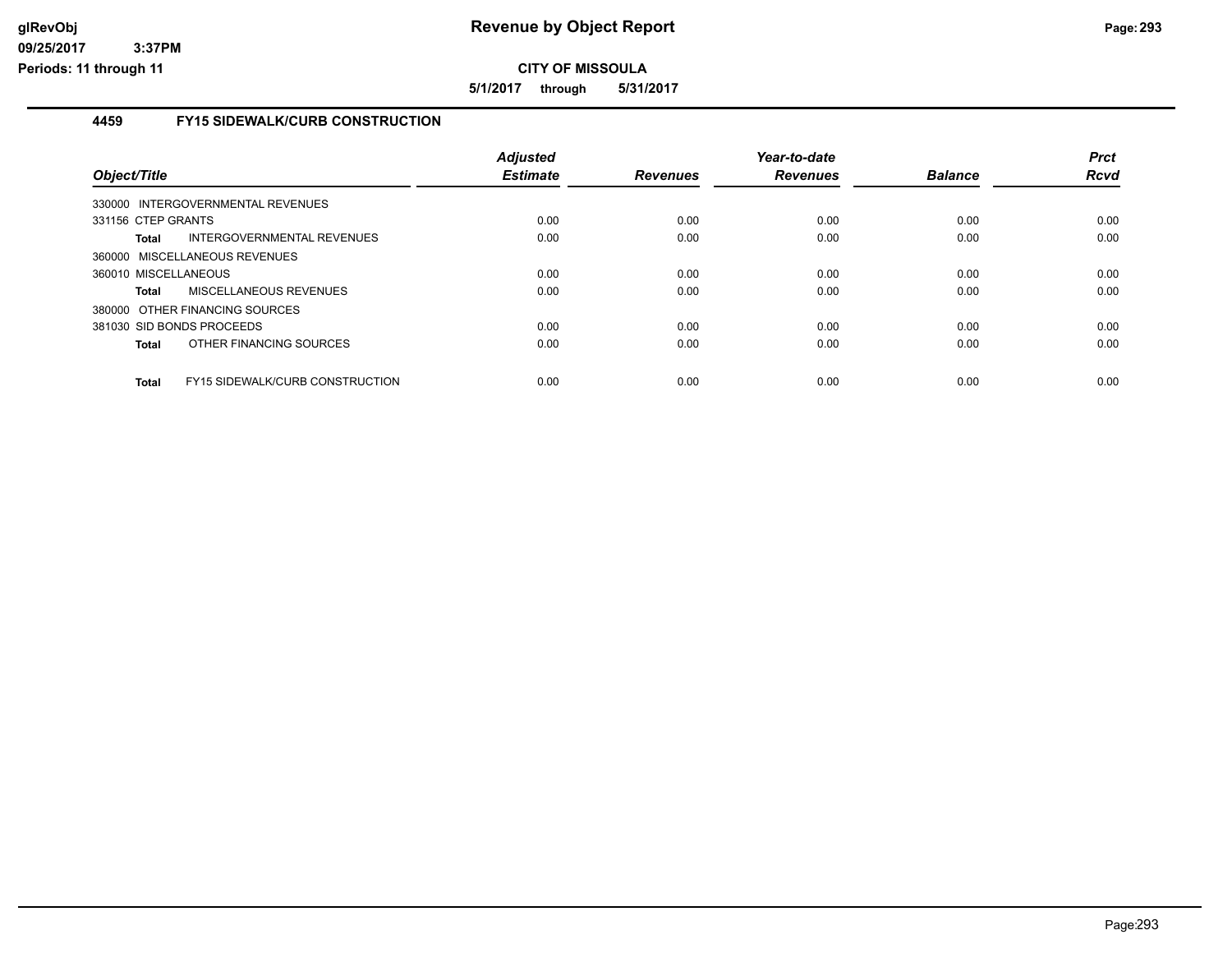**3:37PM**

**CITY OF MISSOULA**

**5/1/2017 through 5/31/2017**

# **4459 FY15 SIDEWALK/CURB CONSTRUCTION**

| Object/Title                      |                                 | <b>Adjusted</b><br><b>Estimate</b> | <b>Revenues</b> | Year-to-date<br><b>Revenues</b> | <b>Balance</b> | <b>Prct</b><br><b>Rcvd</b> |
|-----------------------------------|---------------------------------|------------------------------------|-----------------|---------------------------------|----------------|----------------------------|
| 330000 INTERGOVERNMENTAL REVENUES |                                 |                                    |                 |                                 |                |                            |
| 331156 CTEP GRANTS                |                                 | 0.00                               | 0.00            | 0.00                            | 0.00           | 0.00                       |
| <b>Total</b>                      | INTERGOVERNMENTAL REVENUES      | 0.00                               | 0.00            | 0.00                            | 0.00           | 0.00                       |
| 360000 MISCELLANEOUS REVENUES     |                                 |                                    |                 |                                 |                |                            |
| 360010 MISCELLANEOUS              |                                 | 0.00                               | 0.00            | 0.00                            | 0.00           | 0.00                       |
| <b>Total</b>                      | MISCELLANEOUS REVENUES          | 0.00                               | 0.00            | 0.00                            | 0.00           | 0.00                       |
| 380000 OTHER FINANCING SOURCES    |                                 |                                    |                 |                                 |                |                            |
| 381030 SID BONDS PROCEEDS         |                                 | 0.00                               | 0.00            | 0.00                            | 0.00           | 0.00                       |
| <b>Total</b>                      | OTHER FINANCING SOURCES         | 0.00                               | 0.00            | 0.00                            | 0.00           | 0.00                       |
| <b>Total</b>                      | FY15 SIDEWALK/CURB CONSTRUCTION | 0.00                               | 0.00            | 0.00                            | 0.00           | 0.00                       |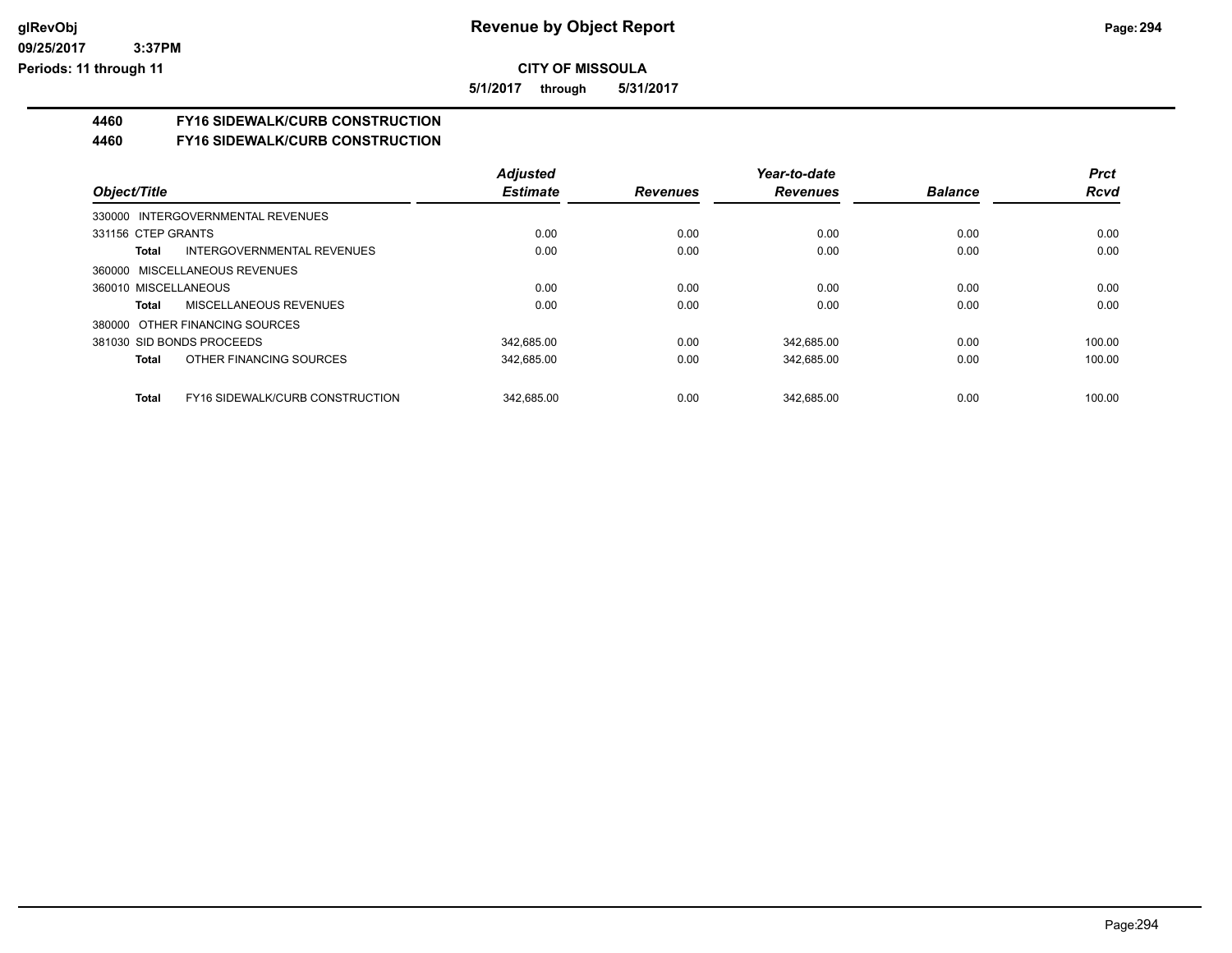**3:37PM**

**glRevObj Revenue by Object Report Page:294** 

**CITY OF MISSOULA**

**5/1/2017 through 5/31/2017**

# **4460 FY16 SIDEWALK/CURB CONSTRUCTION**

**4460 FY16 SIDEWALK/CURB CONSTRUCTION**

|                                                 | <b>Adjusted</b> |                 | Year-to-date    |                | <b>Prct</b> |
|-------------------------------------------------|-----------------|-----------------|-----------------|----------------|-------------|
| Object/Title                                    | <b>Estimate</b> | <b>Revenues</b> | <b>Revenues</b> | <b>Balance</b> | <b>Rcvd</b> |
| 330000 INTERGOVERNMENTAL REVENUES               |                 |                 |                 |                |             |
| 331156 CTEP GRANTS                              | 0.00            | 0.00            | 0.00            | 0.00           | 0.00        |
| INTERGOVERNMENTAL REVENUES<br>Total             | 0.00            | 0.00            | 0.00            | 0.00           | 0.00        |
| 360000 MISCELLANEOUS REVENUES                   |                 |                 |                 |                |             |
| 360010 MISCELLANEOUS                            | 0.00            | 0.00            | 0.00            | 0.00           | 0.00        |
| <b>MISCELLANEOUS REVENUES</b><br>Total          | 0.00            | 0.00            | 0.00            | 0.00           | 0.00        |
| 380000 OTHER FINANCING SOURCES                  |                 |                 |                 |                |             |
| 381030 SID BONDS PROCEEDS                       | 342,685.00      | 0.00            | 342,685.00      | 0.00           | 100.00      |
| OTHER FINANCING SOURCES<br>Total                | 342,685.00      | 0.00            | 342.685.00      | 0.00           | 100.00      |
| <b>FY16 SIDEWALK/CURB CONSTRUCTION</b><br>Total | 342.685.00      | 0.00            | 342.685.00      | 0.00           | 100.00      |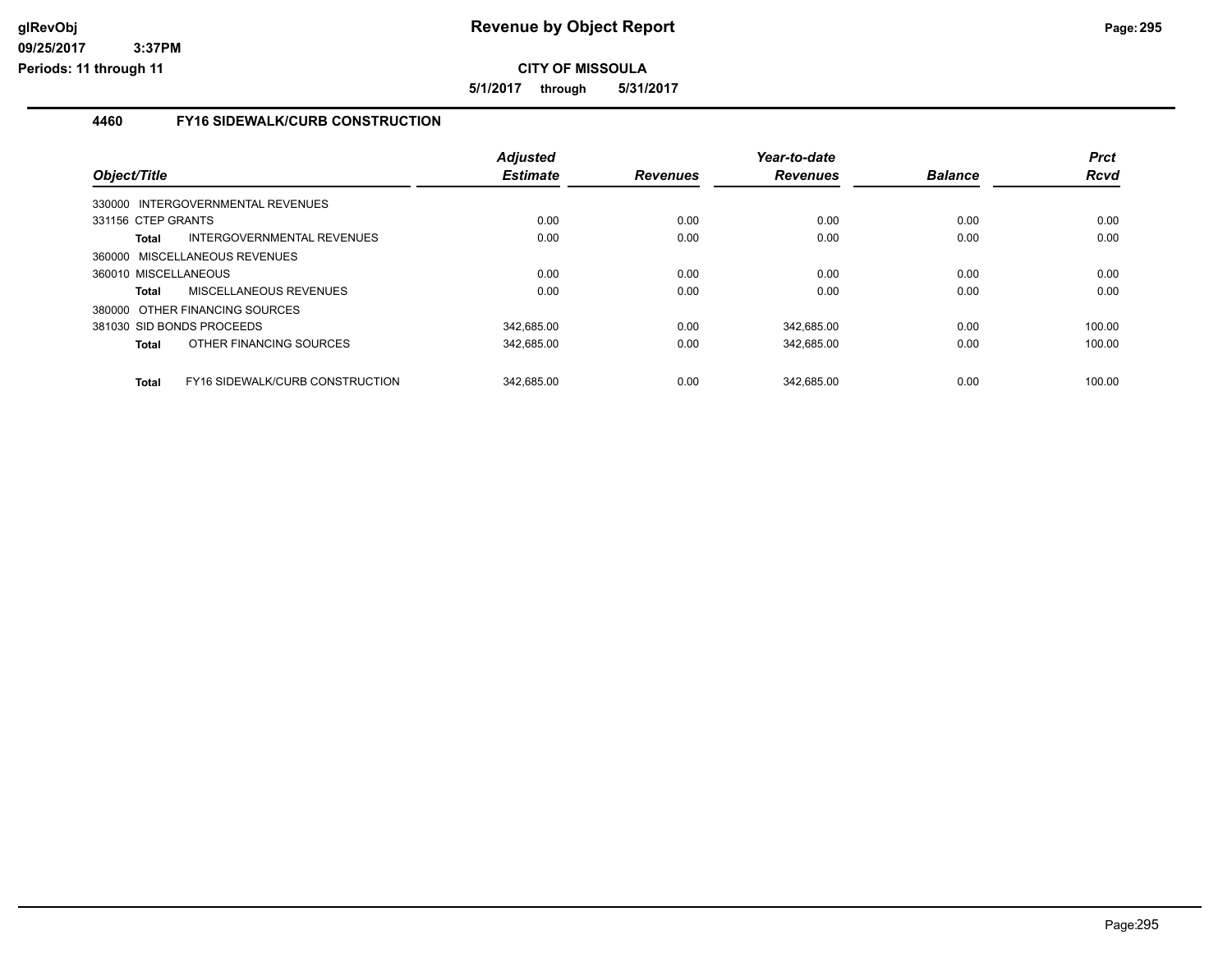**3:37PM**

**CITY OF MISSOULA**

**5/1/2017 through 5/31/2017**

# **4460 FY16 SIDEWALK/CURB CONSTRUCTION**

| Object/Title              |                                        | <b>Adjusted</b><br><b>Estimate</b> | <b>Revenues</b> | Year-to-date<br><b>Revenues</b> | <b>Balance</b> | <b>Prct</b><br><b>Rcvd</b> |
|---------------------------|----------------------------------------|------------------------------------|-----------------|---------------------------------|----------------|----------------------------|
|                           | 330000 INTERGOVERNMENTAL REVENUES      |                                    |                 |                                 |                |                            |
| 331156 CTEP GRANTS        |                                        | 0.00                               | 0.00            | 0.00                            | 0.00           | 0.00                       |
| <b>Total</b>              | INTERGOVERNMENTAL REVENUES             | 0.00                               | 0.00            | 0.00                            | 0.00           | 0.00                       |
|                           | 360000 MISCELLANEOUS REVENUES          |                                    |                 |                                 |                |                            |
| 360010 MISCELLANEOUS      |                                        | 0.00                               | 0.00            | 0.00                            | 0.00           | 0.00                       |
| <b>Total</b>              | MISCELLANEOUS REVENUES                 | 0.00                               | 0.00            | 0.00                            | 0.00           | 0.00                       |
|                           | 380000 OTHER FINANCING SOURCES         |                                    |                 |                                 |                |                            |
| 381030 SID BONDS PROCEEDS |                                        | 342,685.00                         | 0.00            | 342,685.00                      | 0.00           | 100.00                     |
| <b>Total</b>              | OTHER FINANCING SOURCES                | 342,685.00                         | 0.00            | 342,685.00                      | 0.00           | 100.00                     |
| <b>Total</b>              | <b>FY16 SIDEWALK/CURB CONSTRUCTION</b> | 342.685.00                         | 0.00            | 342.685.00                      | 0.00           | 100.00                     |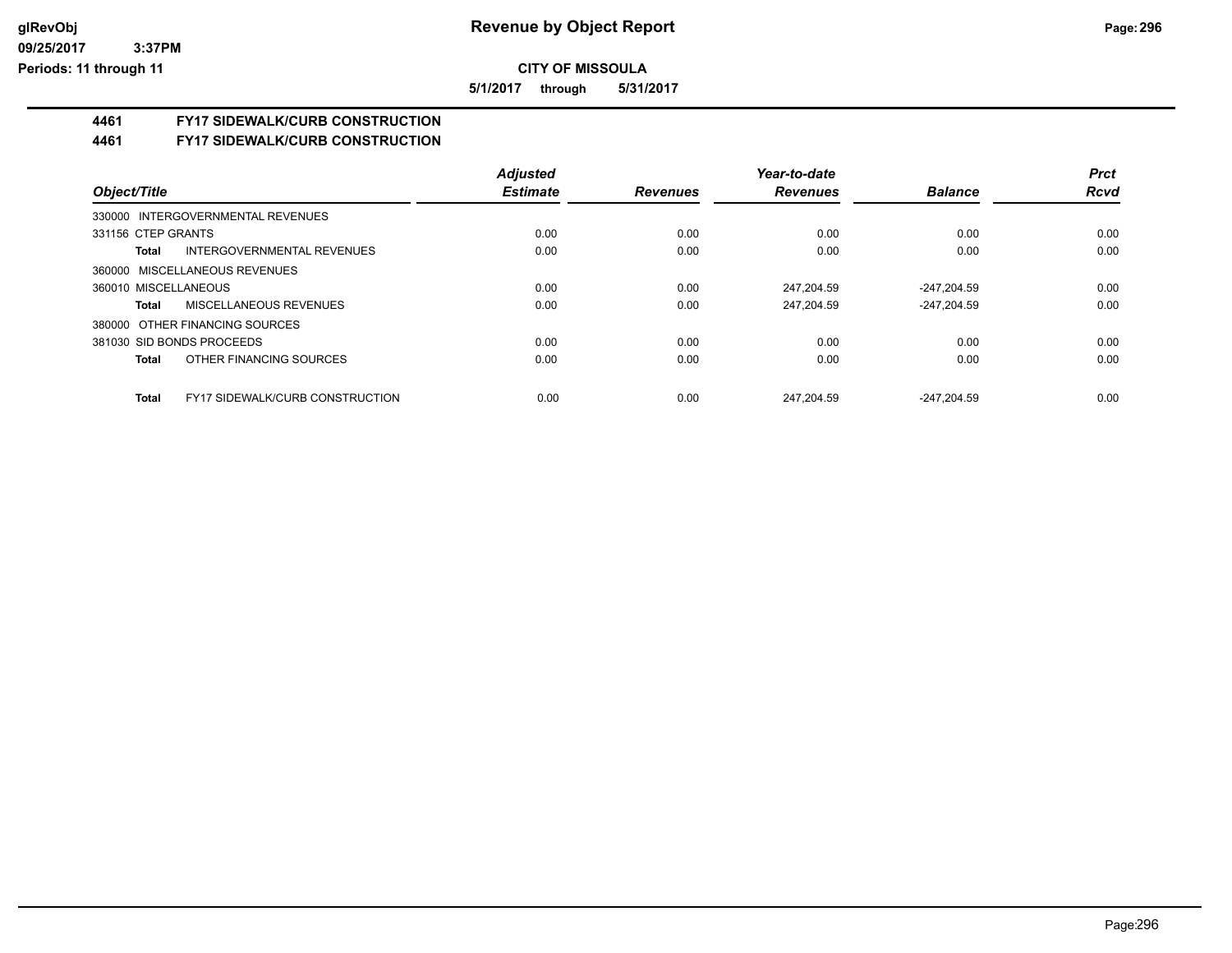**3:37PM**

**glRevObj Revenue by Object Report Page:296** 

**CITY OF MISSOULA**

**5/1/2017 through 5/31/2017**

# **4461 FY17 SIDEWALK/CURB CONSTRUCTION**

**4461 FY17 SIDEWALK/CURB CONSTRUCTION**

|                                                 | <b>Adjusted</b> |                 | Year-to-date    |                | <b>Prct</b> |
|-------------------------------------------------|-----------------|-----------------|-----------------|----------------|-------------|
| Object/Title                                    | <b>Estimate</b> | <b>Revenues</b> | <b>Revenues</b> | <b>Balance</b> | <b>Rcvd</b> |
| 330000 INTERGOVERNMENTAL REVENUES               |                 |                 |                 |                |             |
| 331156 CTEP GRANTS                              | 0.00            | 0.00            | 0.00            | 0.00           | 0.00        |
| INTERGOVERNMENTAL REVENUES<br>Total             | 0.00            | 0.00            | 0.00            | 0.00           | 0.00        |
| 360000 MISCELLANEOUS REVENUES                   |                 |                 |                 |                |             |
| 360010 MISCELLANEOUS                            | 0.00            | 0.00            | 247.204.59      | -247.204.59    | 0.00        |
| MISCELLANEOUS REVENUES<br>Total                 | 0.00            | 0.00            | 247,204.59      | -247,204.59    | 0.00        |
| 380000 OTHER FINANCING SOURCES                  |                 |                 |                 |                |             |
| 381030 SID BONDS PROCEEDS                       | 0.00            | 0.00            | 0.00            | 0.00           | 0.00        |
| OTHER FINANCING SOURCES<br>Total                | 0.00            | 0.00            | 0.00            | 0.00           | 0.00        |
| <b>FY17 SIDEWALK/CURB CONSTRUCTION</b><br>Total | 0.00            | 0.00            | 247.204.59      | -247.204.59    | 0.00        |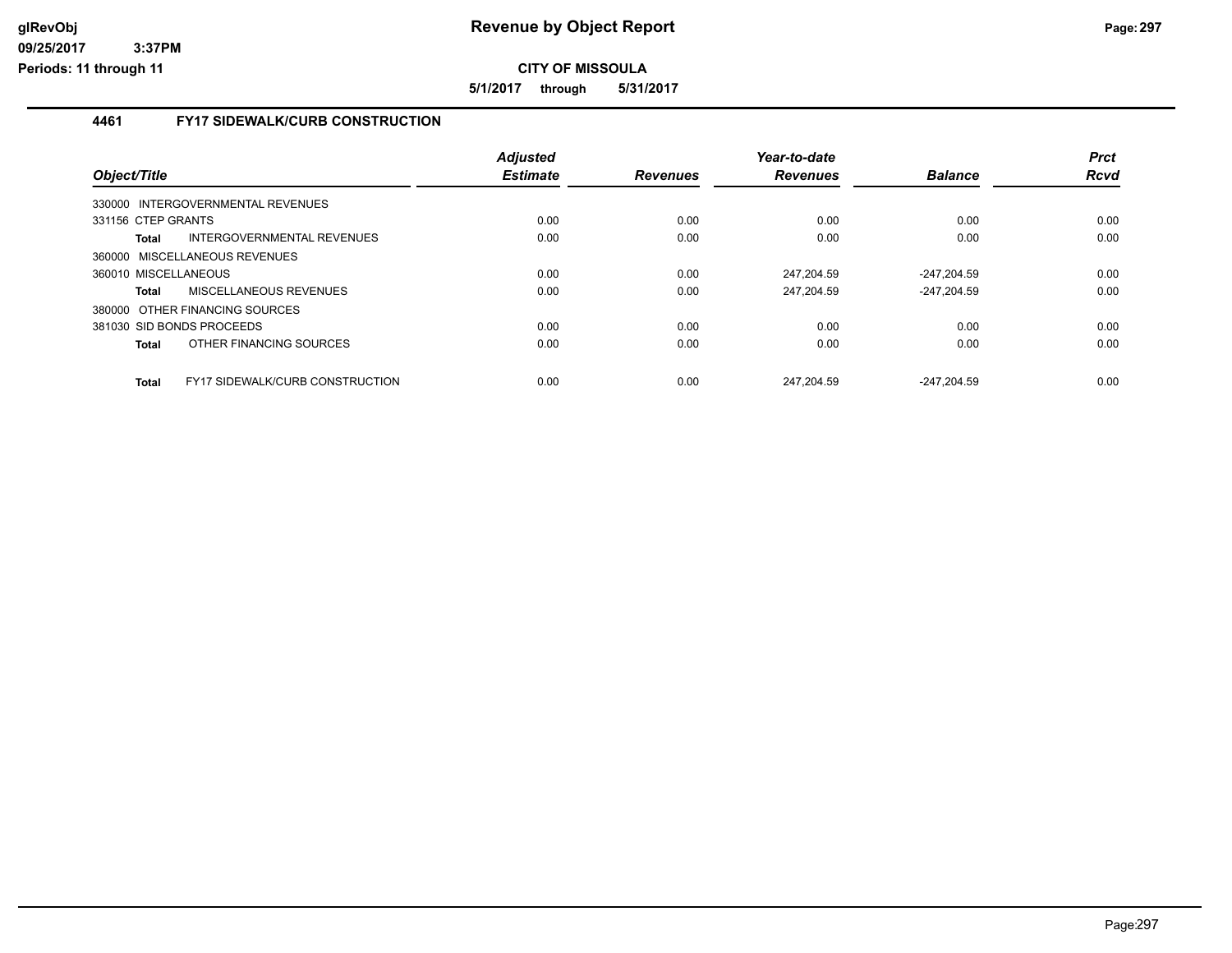**3:37PM**

**CITY OF MISSOULA**

**5/1/2017 through 5/31/2017**

# **4461 FY17 SIDEWALK/CURB CONSTRUCTION**

| Object/Title         |                                        | <b>Adjusted</b><br><b>Estimate</b> | <b>Revenues</b> | Year-to-date<br><b>Revenues</b> | <b>Balance</b> | <b>Prct</b><br><b>Rcvd</b> |
|----------------------|----------------------------------------|------------------------------------|-----------------|---------------------------------|----------------|----------------------------|
|                      | 330000 INTERGOVERNMENTAL REVENUES      |                                    |                 |                                 |                |                            |
| 331156 CTEP GRANTS   |                                        | 0.00                               | 0.00            | 0.00                            | 0.00           | 0.00                       |
| <b>Total</b>         | INTERGOVERNMENTAL REVENUES             | 0.00                               | 0.00            | 0.00                            | 0.00           | 0.00                       |
|                      | 360000 MISCELLANEOUS REVENUES          |                                    |                 |                                 |                |                            |
| 360010 MISCELLANEOUS |                                        | 0.00                               | 0.00            | 247.204.59                      | $-247.204.59$  | 0.00                       |
| <b>Total</b>         | MISCELLANEOUS REVENUES                 | 0.00                               | 0.00            | 247.204.59                      | $-247.204.59$  | 0.00                       |
|                      | 380000 OTHER FINANCING SOURCES         |                                    |                 |                                 |                |                            |
|                      | 381030 SID BONDS PROCEEDS              | 0.00                               | 0.00            | 0.00                            | 0.00           | 0.00                       |
| <b>Total</b>         | OTHER FINANCING SOURCES                | 0.00                               | 0.00            | 0.00                            | 0.00           | 0.00                       |
| <b>Total</b>         | <b>FY17 SIDEWALK/CURB CONSTRUCTION</b> | 0.00                               | 0.00            | 247.204.59                      | $-247.204.59$  | 0.00                       |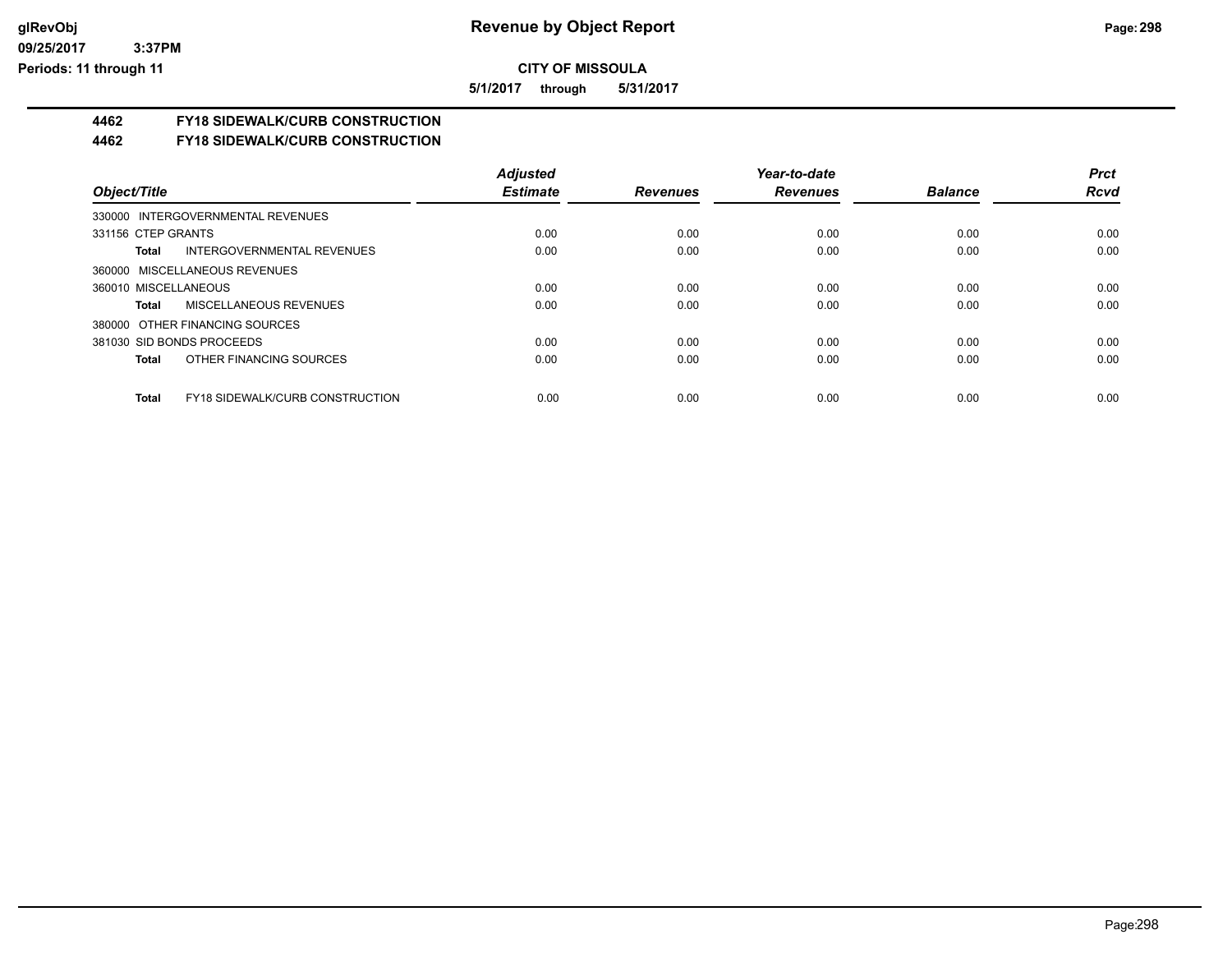**3:37PM**

**glRevObj Revenue by Object Report Page:298** 

**CITY OF MISSOULA**

**5/1/2017 through 5/31/2017**

# **4462 FY18 SIDEWALK/CURB CONSTRUCTION**

**4462 FY18 SIDEWALK/CURB CONSTRUCTION**

|                                                 | <b>Adjusted</b> |                 | Year-to-date    |                | <b>Prct</b> |
|-------------------------------------------------|-----------------|-----------------|-----------------|----------------|-------------|
| Object/Title                                    | <b>Estimate</b> | <b>Revenues</b> | <b>Revenues</b> | <b>Balance</b> | <b>Rcvd</b> |
| 330000 INTERGOVERNMENTAL REVENUES               |                 |                 |                 |                |             |
| 331156 CTEP GRANTS                              | 0.00            | 0.00            | 0.00            | 0.00           | 0.00        |
| INTERGOVERNMENTAL REVENUES<br>Total             | 0.00            | 0.00            | 0.00            | 0.00           | 0.00        |
| 360000 MISCELLANEOUS REVENUES                   |                 |                 |                 |                |             |
| 360010 MISCELLANEOUS                            | 0.00            | 0.00            | 0.00            | 0.00           | 0.00        |
| MISCELLANEOUS REVENUES<br>Total                 | 0.00            | 0.00            | 0.00            | 0.00           | 0.00        |
| 380000 OTHER FINANCING SOURCES                  |                 |                 |                 |                |             |
| 381030 SID BONDS PROCEEDS                       | 0.00            | 0.00            | 0.00            | 0.00           | 0.00        |
| OTHER FINANCING SOURCES<br>Total                | 0.00            | 0.00            | 0.00            | 0.00           | 0.00        |
| <b>FY18 SIDEWALK/CURB CONSTRUCTION</b><br>Total | 0.00            | 0.00            | 0.00            | 0.00           | 0.00        |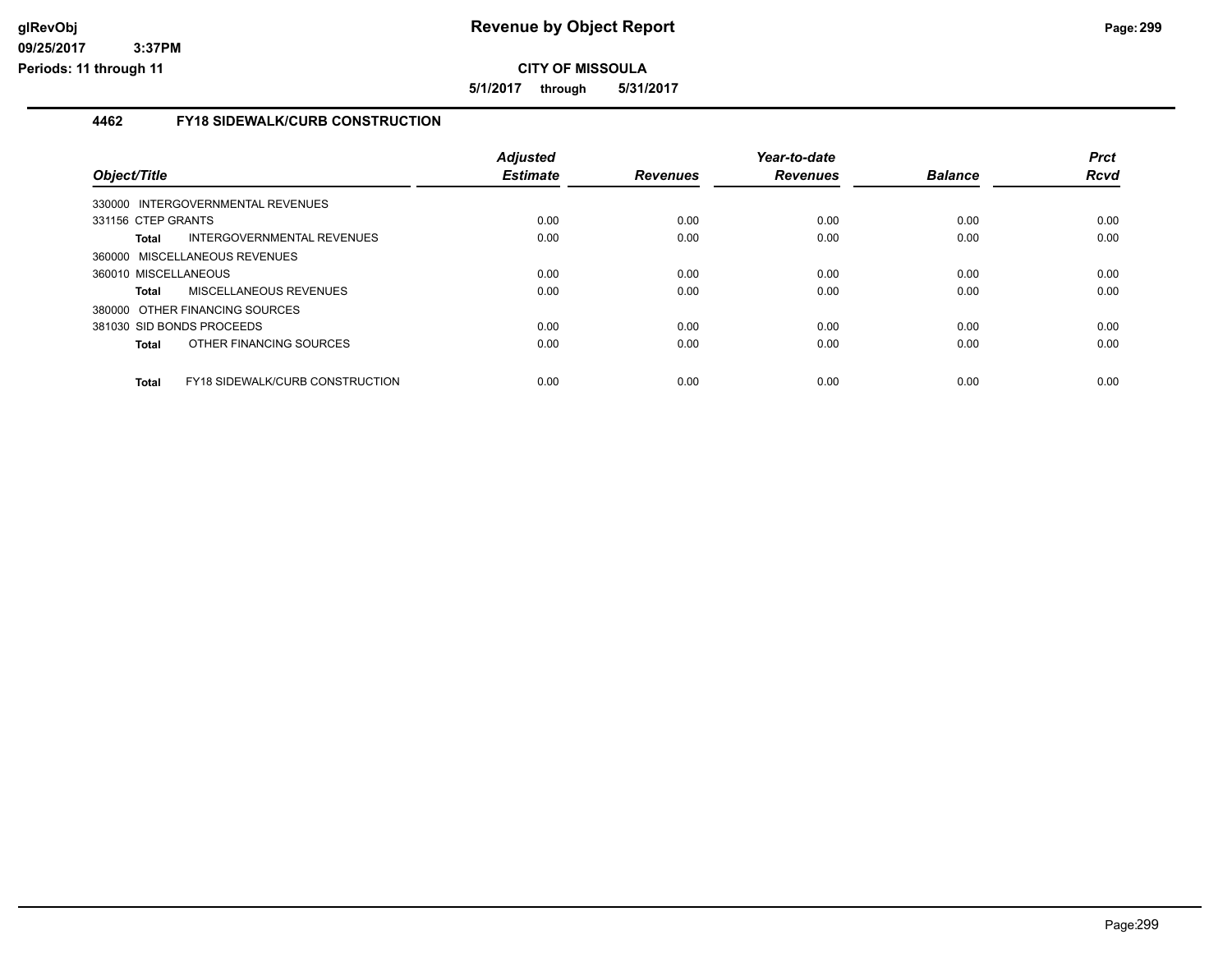**5/1/2017 through 5/31/2017**

# **4462 FY18 SIDEWALK/CURB CONSTRUCTION**

| Object/Title                                    | <b>Adjusted</b><br><b>Estimate</b> | <b>Revenues</b> | Year-to-date<br><b>Revenues</b> | <b>Balance</b> | <b>Prct</b><br><b>Rcvd</b> |
|-------------------------------------------------|------------------------------------|-----------------|---------------------------------|----------------|----------------------------|
| 330000 INTERGOVERNMENTAL REVENUES               |                                    |                 |                                 |                |                            |
| 331156 CTEP GRANTS                              | 0.00                               | 0.00            | 0.00                            | 0.00           | 0.00                       |
| INTERGOVERNMENTAL REVENUES<br><b>Total</b>      | 0.00                               | 0.00            | 0.00                            | 0.00           | 0.00                       |
| 360000 MISCELLANEOUS REVENUES                   |                                    |                 |                                 |                |                            |
| 360010 MISCELLANEOUS                            | 0.00                               | 0.00            | 0.00                            | 0.00           | 0.00                       |
| MISCELLANEOUS REVENUES<br><b>Total</b>          | 0.00                               | 0.00            | 0.00                            | 0.00           | 0.00                       |
| 380000 OTHER FINANCING SOURCES                  |                                    |                 |                                 |                |                            |
| 381030 SID BONDS PROCEEDS                       | 0.00                               | 0.00            | 0.00                            | 0.00           | 0.00                       |
| OTHER FINANCING SOURCES<br><b>Total</b>         | 0.00                               | 0.00            | 0.00                            | 0.00           | 0.00                       |
| FY18 SIDEWALK/CURB CONSTRUCTION<br><b>Total</b> | 0.00                               | 0.00            | 0.00                            | 0.00           | 0.00                       |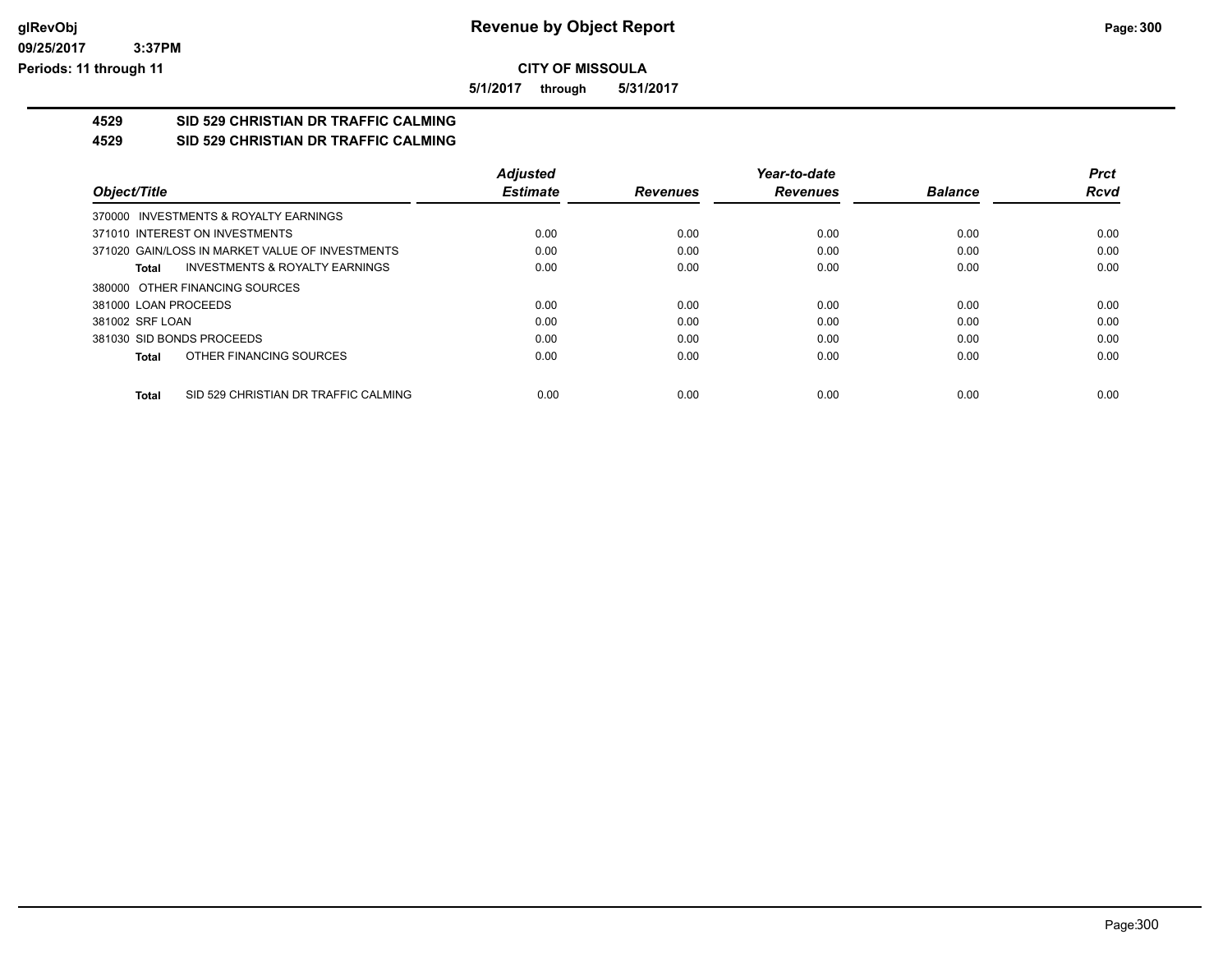**5/1/2017 through 5/31/2017**

#### **4529 SID 529 CHRISTIAN DR TRAFFIC CALMING 4529 SID 529 CHRISTIAN DR TRAFFIC CALMING**

#### *Object/Title Adjusted Estimate Revenues Year-to-date Revenues Balance Prct Rcvd* 370000 INVESTMENTS & ROYALTY EARNINGS 371010 INTEREST ON INVESTMENTS 0.00 0.00 0.00 0.00 0.00 371020 GAIN/LOSS IN MARKET VALUE OF INVESTMENTS 0.00 0.00 0.00 0.00 0.00 **Total** INVESTMENTS & ROYALTY EARNINGS 0.00 0.00 0.00 0.00 0.00 380000 OTHER FINANCING SOURCES 381000 LOAN PROCEEDS 0.00 0.00 0.00 0.00 0.00 381002 SRF LOAN 0.00 0.00 0.00 0.00 0.00 381030 SID BONDS PROCEEDS 0.00 0.00 0.00 0.00 0.00 **Total** OTHER FINANCING SOURCES 0.00 0.00 0.00 0.00 0.00 **Total** SID 529 CHRISTIAN DR TRAFFIC CALMING 0.00 0.00 0.00 0.00 0.00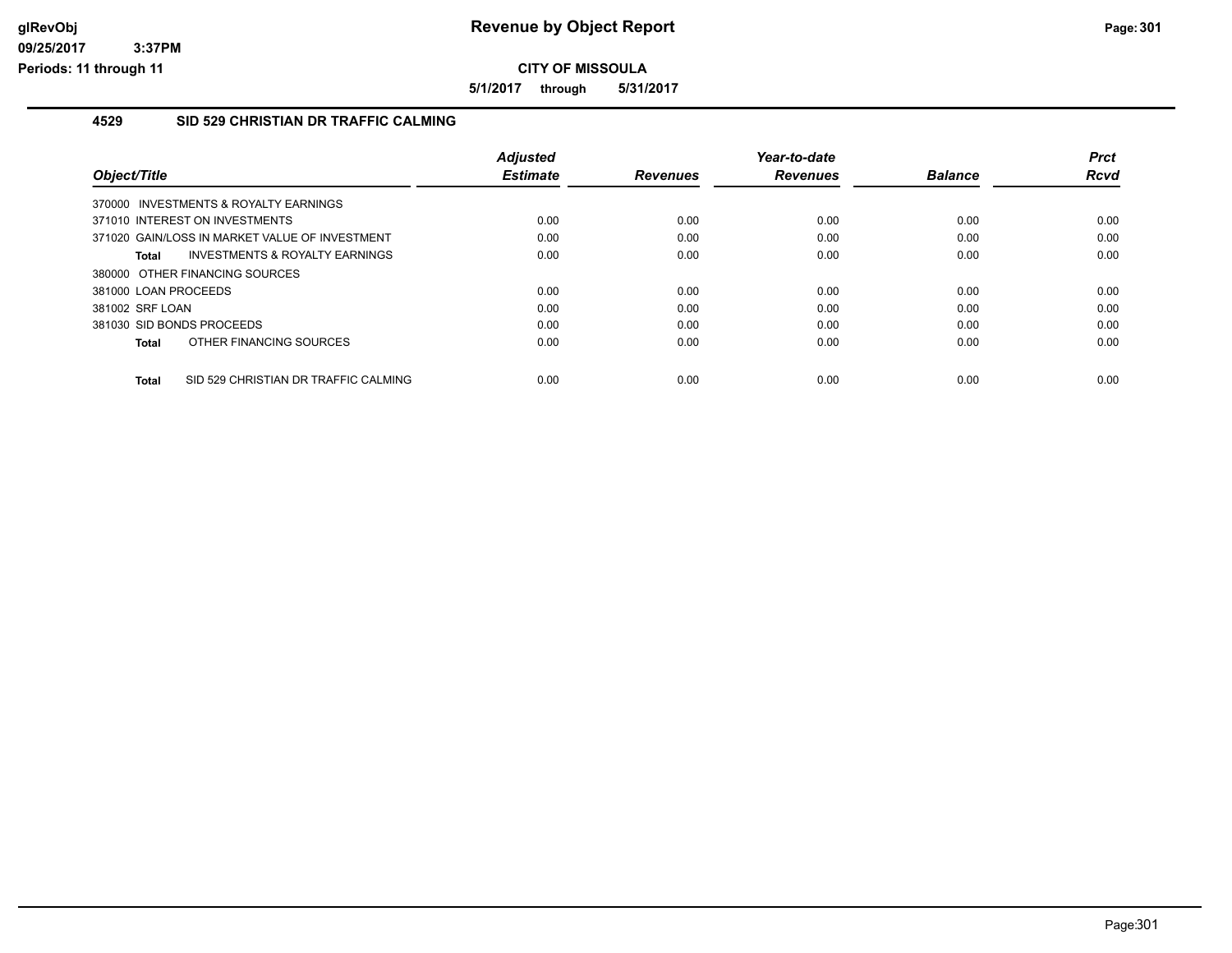**5/1/2017 through 5/31/2017**

## **4529 SID 529 CHRISTIAN DR TRAFFIC CALMING**

| Object/Title                                       | <b>Adjusted</b><br><b>Estimate</b> | <b>Revenues</b> | Year-to-date<br><b>Revenues</b> | <b>Balance</b> | <b>Prct</b><br>Rcvd |
|----------------------------------------------------|------------------------------------|-----------------|---------------------------------|----------------|---------------------|
| 370000 INVESTMENTS & ROYALTY EARNINGS              |                                    |                 |                                 |                |                     |
| 371010 INTEREST ON INVESTMENTS                     | 0.00                               | 0.00            | 0.00                            | 0.00           | 0.00                |
| 371020 GAIN/LOSS IN MARKET VALUE OF INVESTMENT     | 0.00                               | 0.00            | 0.00                            | 0.00           | 0.00                |
| <b>INVESTMENTS &amp; ROYALTY EARNINGS</b><br>Total | 0.00                               | 0.00            | 0.00                            | 0.00           | 0.00                |
| 380000 OTHER FINANCING SOURCES                     |                                    |                 |                                 |                |                     |
| 381000 LOAN PROCEEDS                               | 0.00                               | 0.00            | 0.00                            | 0.00           | 0.00                |
| 381002 SRF LOAN                                    | 0.00                               | 0.00            | 0.00                            | 0.00           | 0.00                |
| 381030 SID BONDS PROCEEDS                          | 0.00                               | 0.00            | 0.00                            | 0.00           | 0.00                |
| OTHER FINANCING SOURCES<br>Total                   | 0.00                               | 0.00            | 0.00                            | 0.00           | 0.00                |
| SID 529 CHRISTIAN DR TRAFFIC CALMING<br>Total      | 0.00                               | 0.00            | 0.00                            | 0.00           | 0.00                |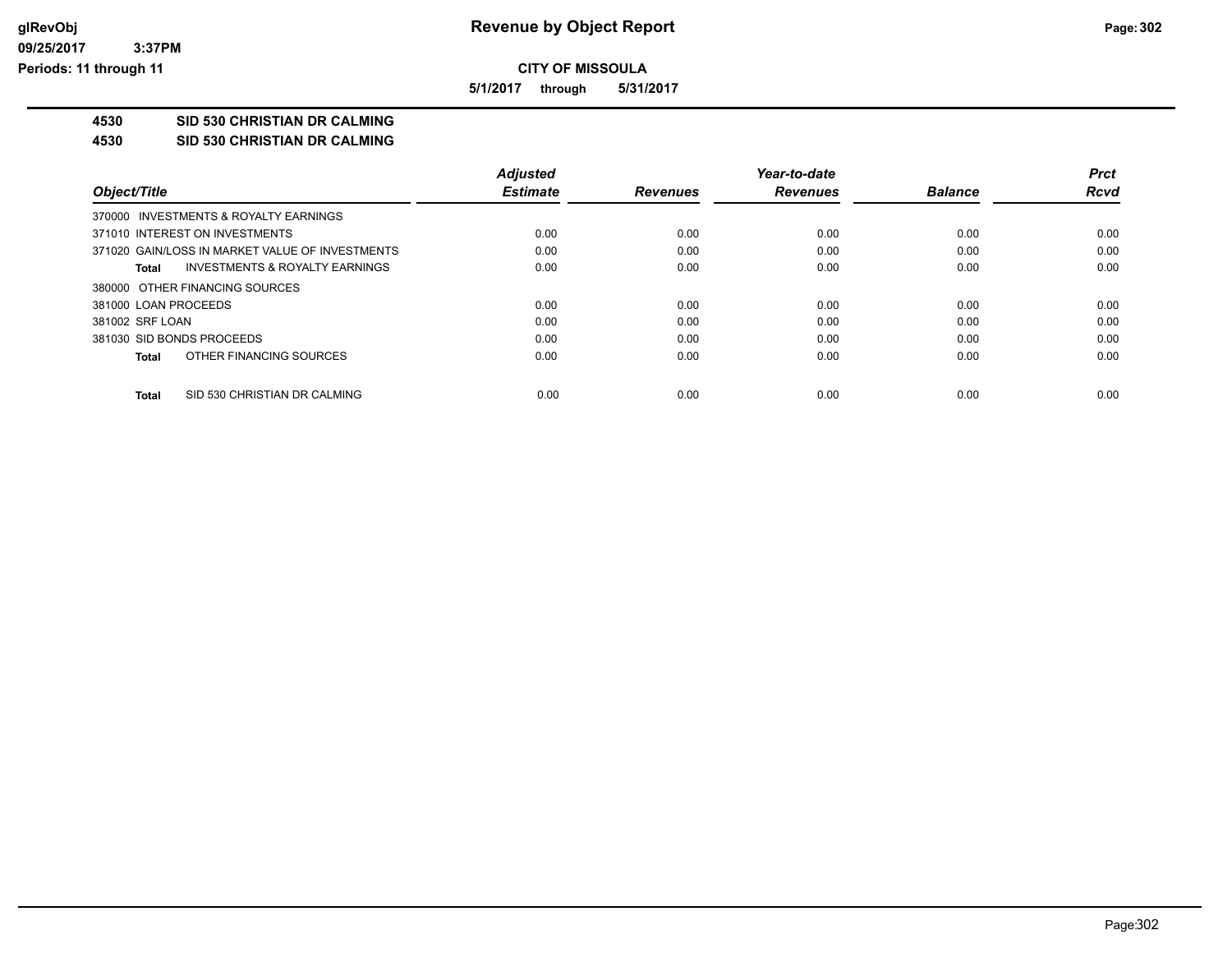**5/1/2017 through 5/31/2017**

# **4530 SID 530 CHRISTIAN DR CALMING**

#### **4530 SID 530 CHRISTIAN DR CALMING**

|                                                 | <b>Adjusted</b> |                 | Year-to-date    |                | <b>Prct</b> |
|-------------------------------------------------|-----------------|-----------------|-----------------|----------------|-------------|
| Object/Title                                    | <b>Estimate</b> | <b>Revenues</b> | <b>Revenues</b> | <b>Balance</b> | <b>Rcvd</b> |
| 370000 INVESTMENTS & ROYALTY EARNINGS           |                 |                 |                 |                |             |
| 371010 INTEREST ON INVESTMENTS                  | 0.00            | 0.00            | 0.00            | 0.00           | 0.00        |
| 371020 GAIN/LOSS IN MARKET VALUE OF INVESTMENTS | 0.00            | 0.00            | 0.00            | 0.00           | 0.00        |
| INVESTMENTS & ROYALTY EARNINGS<br>Total         | 0.00            | 0.00            | 0.00            | 0.00           | 0.00        |
| 380000 OTHER FINANCING SOURCES                  |                 |                 |                 |                |             |
| 381000 LOAN PROCEEDS                            | 0.00            | 0.00            | 0.00            | 0.00           | 0.00        |
| 381002 SRF LOAN                                 | 0.00            | 0.00            | 0.00            | 0.00           | 0.00        |
| 381030 SID BONDS PROCEEDS                       | 0.00            | 0.00            | 0.00            | 0.00           | 0.00        |
| OTHER FINANCING SOURCES<br>Total                | 0.00            | 0.00            | 0.00            | 0.00           | 0.00        |
|                                                 |                 |                 |                 |                |             |
| SID 530 CHRISTIAN DR CALMING<br>Total           | 0.00            | 0.00            | 0.00            | 0.00           | 0.00        |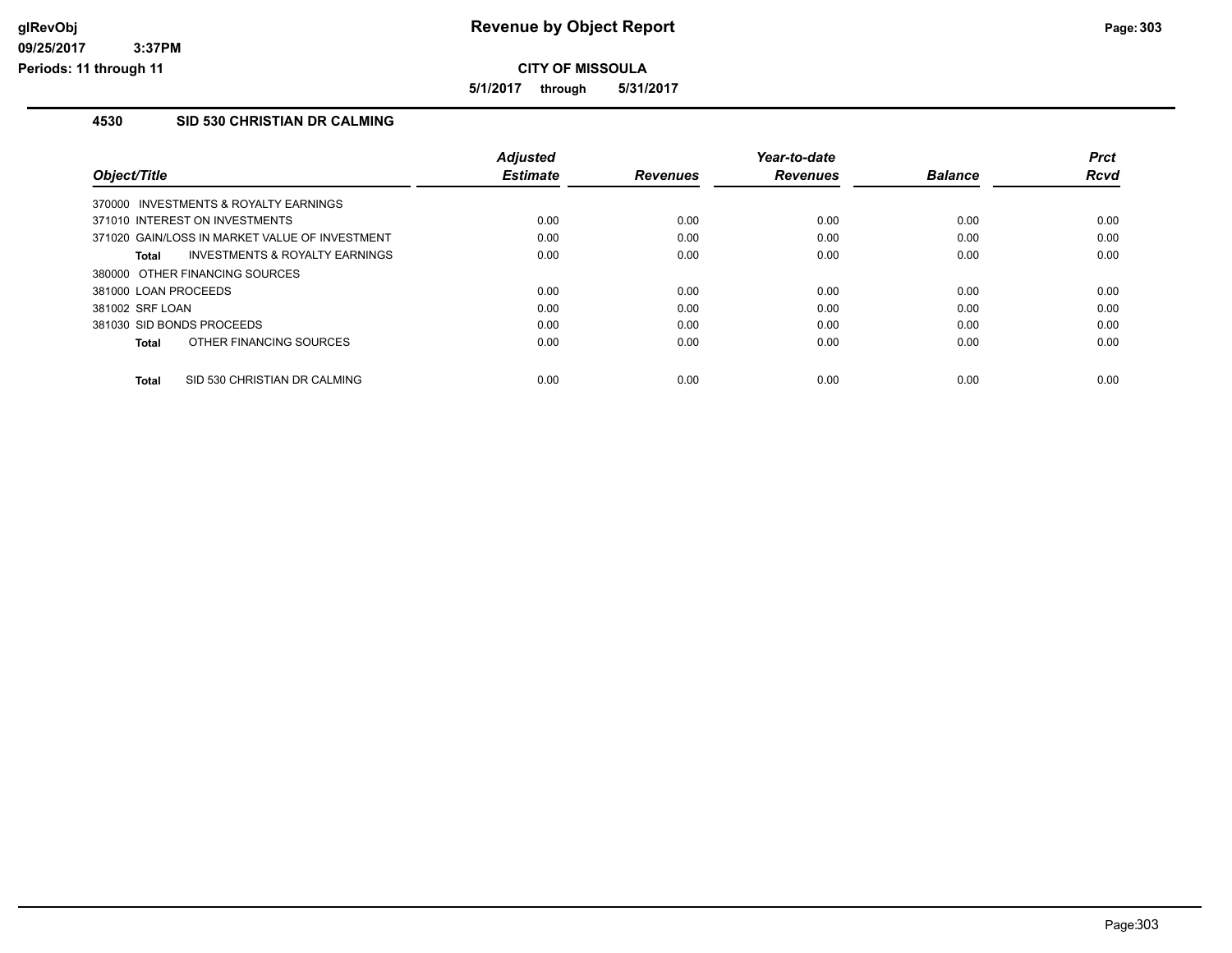**CITY OF MISSOULA**

**5/1/2017 through 5/31/2017**

# **4530 SID 530 CHRISTIAN DR CALMING**

| Object/Title                                       | <b>Adjusted</b><br><b>Estimate</b> | <b>Revenues</b> | Year-to-date<br><b>Revenues</b> | <b>Balance</b> | <b>Prct</b><br>Rcvd |
|----------------------------------------------------|------------------------------------|-----------------|---------------------------------|----------------|---------------------|
| 370000 INVESTMENTS & ROYALTY EARNINGS              |                                    |                 |                                 |                |                     |
| 371010 INTEREST ON INVESTMENTS                     | 0.00                               | 0.00            | 0.00                            | 0.00           | 0.00                |
| 371020 GAIN/LOSS IN MARKET VALUE OF INVESTMENT     | 0.00                               | 0.00            | 0.00                            | 0.00           | 0.00                |
| <b>INVESTMENTS &amp; ROYALTY EARNINGS</b><br>Total | 0.00                               | 0.00            | 0.00                            | 0.00           | 0.00                |
| 380000 OTHER FINANCING SOURCES                     |                                    |                 |                                 |                |                     |
| 381000 LOAN PROCEEDS                               | 0.00                               | 0.00            | 0.00                            | 0.00           | 0.00                |
| 381002 SRF LOAN                                    | 0.00                               | 0.00            | 0.00                            | 0.00           | 0.00                |
| 381030 SID BONDS PROCEEDS                          | 0.00                               | 0.00            | 0.00                            | 0.00           | 0.00                |
| OTHER FINANCING SOURCES<br><b>Total</b>            | 0.00                               | 0.00            | 0.00                            | 0.00           | 0.00                |
| SID 530 CHRISTIAN DR CALMING<br>Total              | 0.00                               | 0.00            | 0.00                            | 0.00           | 0.00                |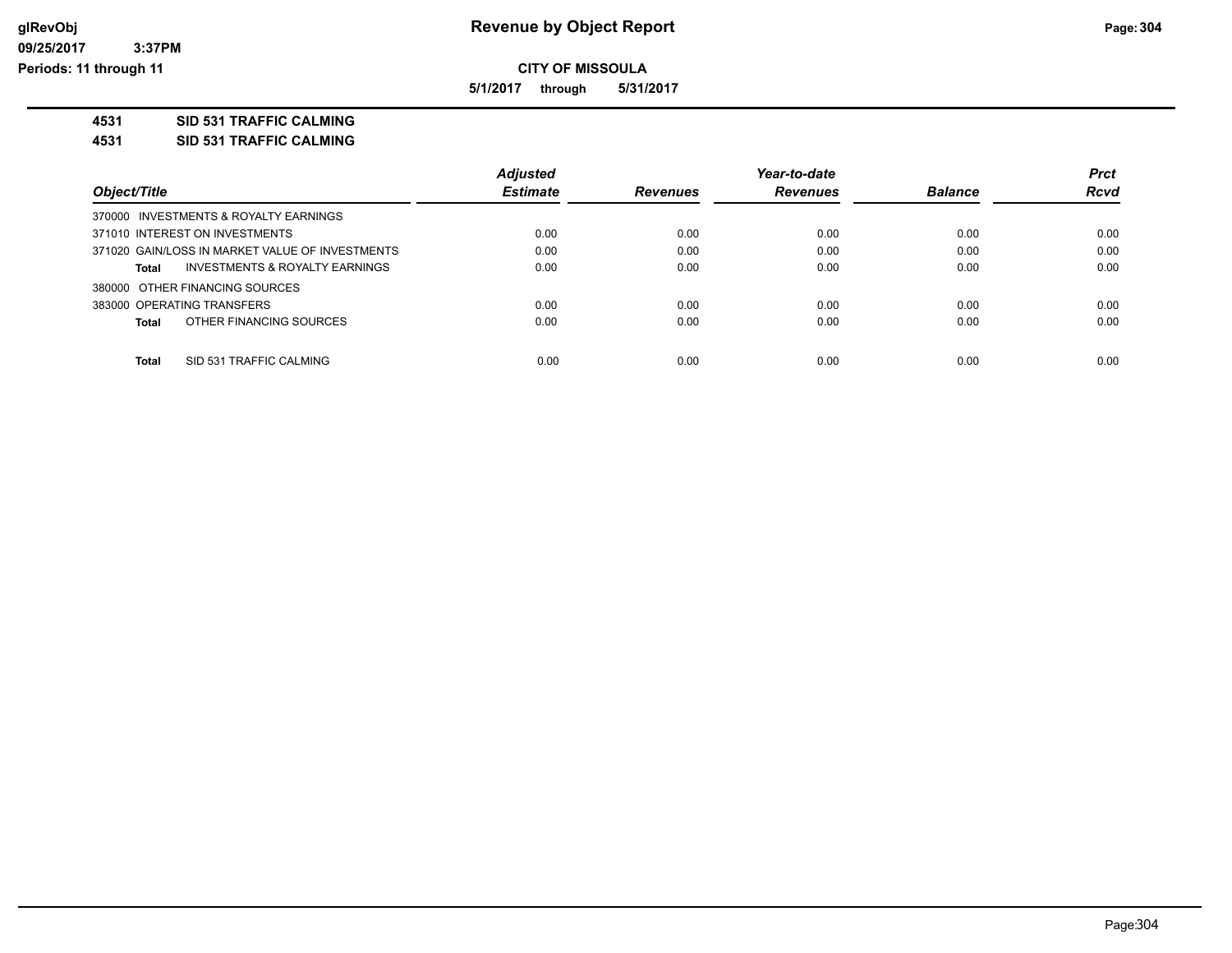**5/1/2017 through 5/31/2017**

**4531 SID 531 TRAFFIC CALMING**

**4531 SID 531 TRAFFIC CALMING**

|                                                    | <b>Adjusted</b> |                 | Year-to-date    |                | <b>Prct</b> |
|----------------------------------------------------|-----------------|-----------------|-----------------|----------------|-------------|
| Object/Title                                       | <b>Estimate</b> | <b>Revenues</b> | <b>Revenues</b> | <b>Balance</b> | <b>Rcvd</b> |
| 370000 INVESTMENTS & ROYALTY EARNINGS              |                 |                 |                 |                |             |
| 371010 INTEREST ON INVESTMENTS                     | 0.00            | 0.00            | 0.00            | 0.00           | 0.00        |
| 371020 GAIN/LOSS IN MARKET VALUE OF INVESTMENTS    | 0.00            | 0.00            | 0.00            | 0.00           | 0.00        |
| <b>INVESTMENTS &amp; ROYALTY EARNINGS</b><br>Total | 0.00            | 0.00            | 0.00            | 0.00           | 0.00        |
| 380000 OTHER FINANCING SOURCES                     |                 |                 |                 |                |             |
| 383000 OPERATING TRANSFERS                         | 0.00            | 0.00            | 0.00            | 0.00           | 0.00        |
| OTHER FINANCING SOURCES<br><b>Total</b>            | 0.00            | 0.00            | 0.00            | 0.00           | 0.00        |
| <b>Total</b><br>SID 531 TRAFFIC CALMING            | 0.00            | 0.00            | 0.00            | 0.00           | 0.00        |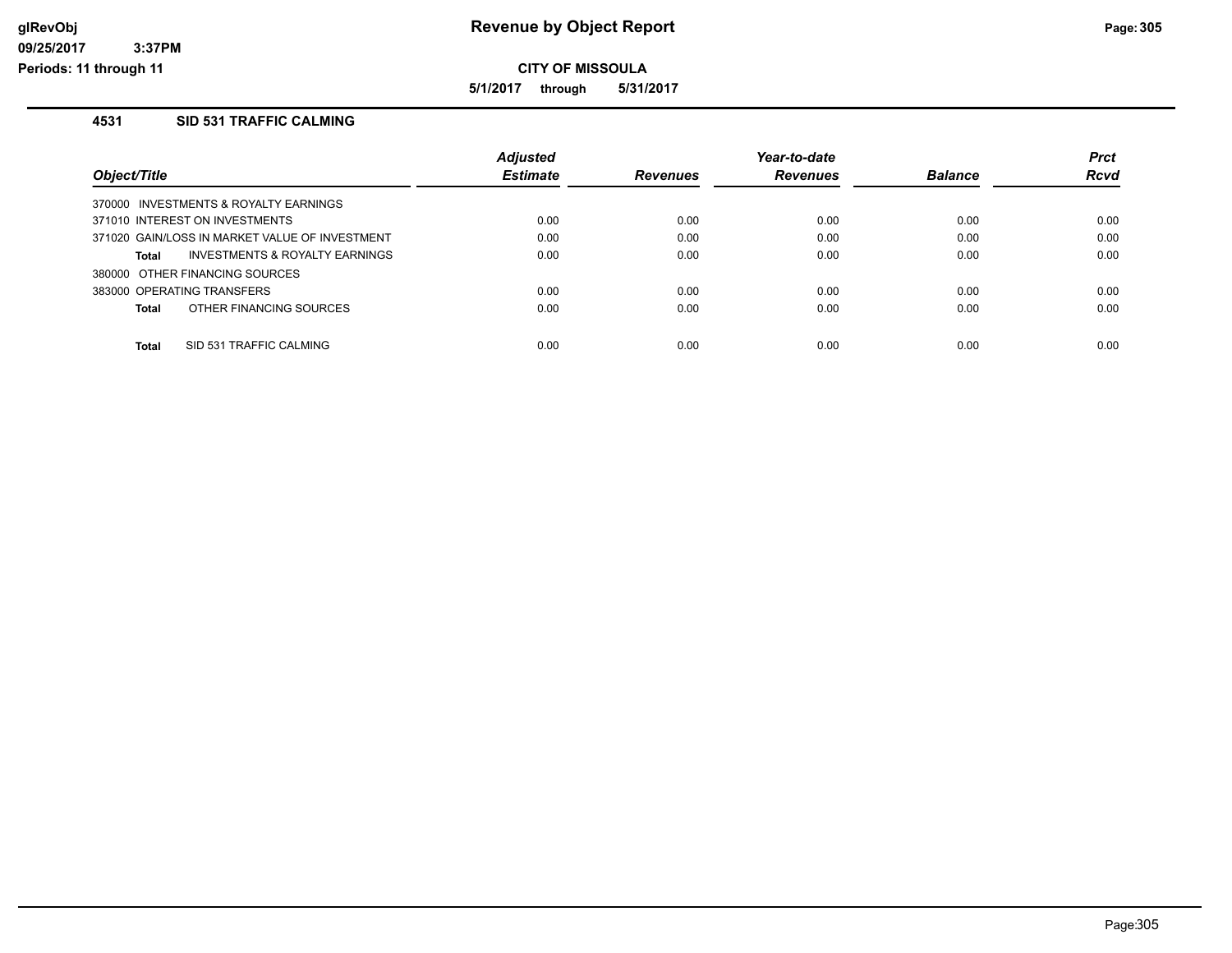**CITY OF MISSOULA**

**5/1/2017 through 5/31/2017**

## **4531 SID 531 TRAFFIC CALMING**

|              |                                                | <b>Adjusted</b> |                 | Year-to-date    |                | <b>Prct</b> |
|--------------|------------------------------------------------|-----------------|-----------------|-----------------|----------------|-------------|
| Object/Title |                                                | <b>Estimate</b> | <b>Revenues</b> | <b>Revenues</b> | <b>Balance</b> | <b>Rcvd</b> |
|              | 370000 INVESTMENTS & ROYALTY EARNINGS          |                 |                 |                 |                |             |
|              | 371010 INTEREST ON INVESTMENTS                 | 0.00            | 0.00            | 0.00            | 0.00           | 0.00        |
|              | 371020 GAIN/LOSS IN MARKET VALUE OF INVESTMENT | 0.00            | 0.00            | 0.00            | 0.00           | 0.00        |
| Total        | INVESTMENTS & ROYALTY EARNINGS                 | 0.00            | 0.00            | 0.00            | 0.00           | 0.00        |
|              | 380000 OTHER FINANCING SOURCES                 |                 |                 |                 |                |             |
|              | 383000 OPERATING TRANSFERS                     | 0.00            | 0.00            | 0.00            | 0.00           | 0.00        |
| Total        | OTHER FINANCING SOURCES                        | 0.00            | 0.00            | 0.00            | 0.00           | 0.00        |
| <b>Total</b> | SID 531 TRAFFIC CALMING                        | 0.00            | 0.00            | 0.00            | 0.00           | 0.00        |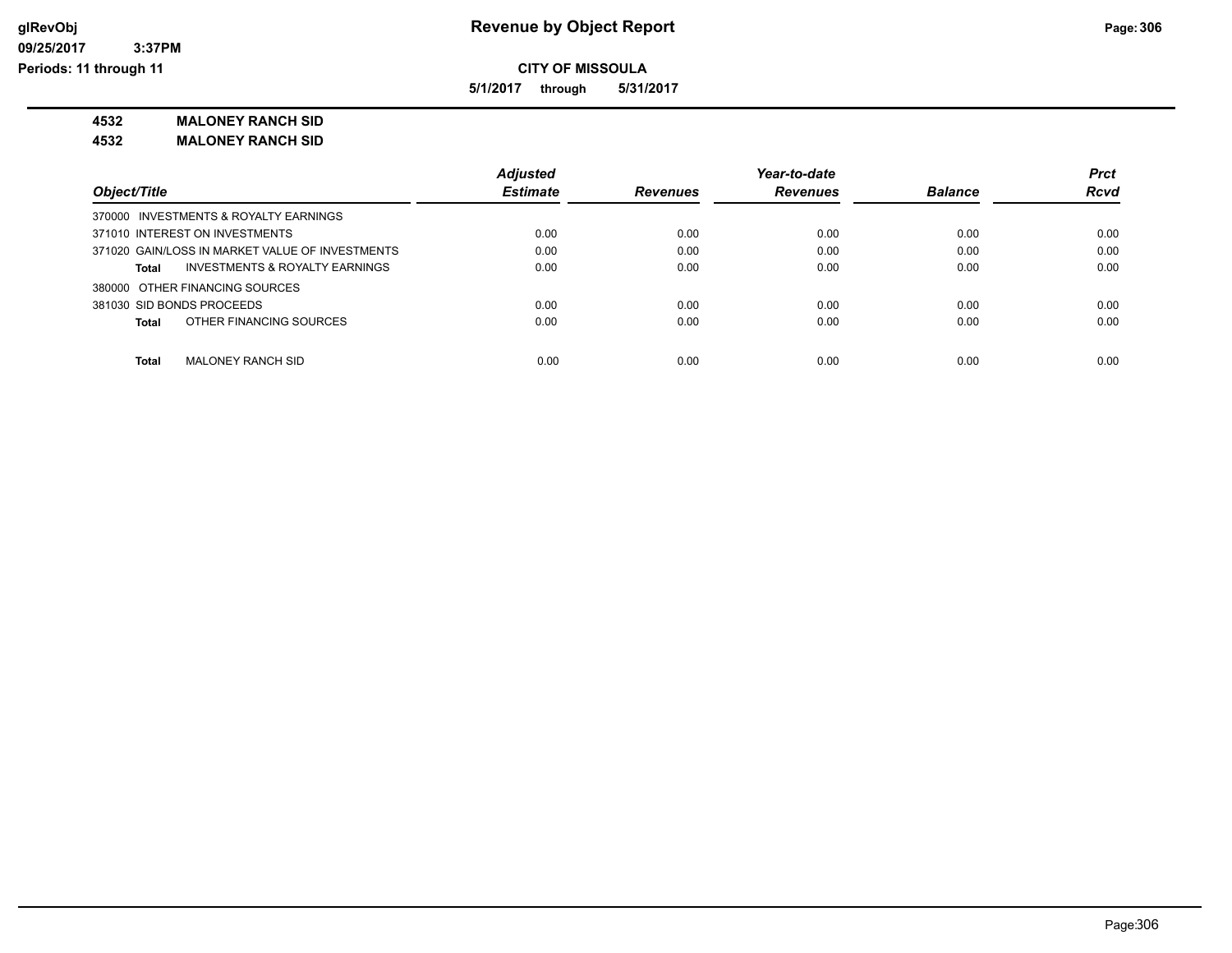**5/1/2017 through 5/31/2017**

#### **4532 MALONEY RANCH SID**

**4532 MALONEY RANCH SID**

|                                                    | <b>Adjusted</b> |                 | Year-to-date    |                | <b>Prct</b> |
|----------------------------------------------------|-----------------|-----------------|-----------------|----------------|-------------|
| Object/Title                                       | <b>Estimate</b> | <b>Revenues</b> | <b>Revenues</b> | <b>Balance</b> | <b>Rcvd</b> |
| 370000 INVESTMENTS & ROYALTY EARNINGS              |                 |                 |                 |                |             |
| 371010 INTEREST ON INVESTMENTS                     | 0.00            | 0.00            | 0.00            | 0.00           | 0.00        |
| 371020 GAIN/LOSS IN MARKET VALUE OF INVESTMENTS    | 0.00            | 0.00            | 0.00            | 0.00           | 0.00        |
| <b>INVESTMENTS &amp; ROYALTY EARNINGS</b><br>Total | 0.00            | 0.00            | 0.00            | 0.00           | 0.00        |
| 380000 OTHER FINANCING SOURCES                     |                 |                 |                 |                |             |
| 381030 SID BONDS PROCEEDS                          | 0.00            | 0.00            | 0.00            | 0.00           | 0.00        |
| OTHER FINANCING SOURCES<br><b>Total</b>            | 0.00            | 0.00            | 0.00            | 0.00           | 0.00        |
| <b>Total</b><br>MALONEY RANCH SID                  | 0.00            | 0.00            | 0.00            | 0.00           | 0.00        |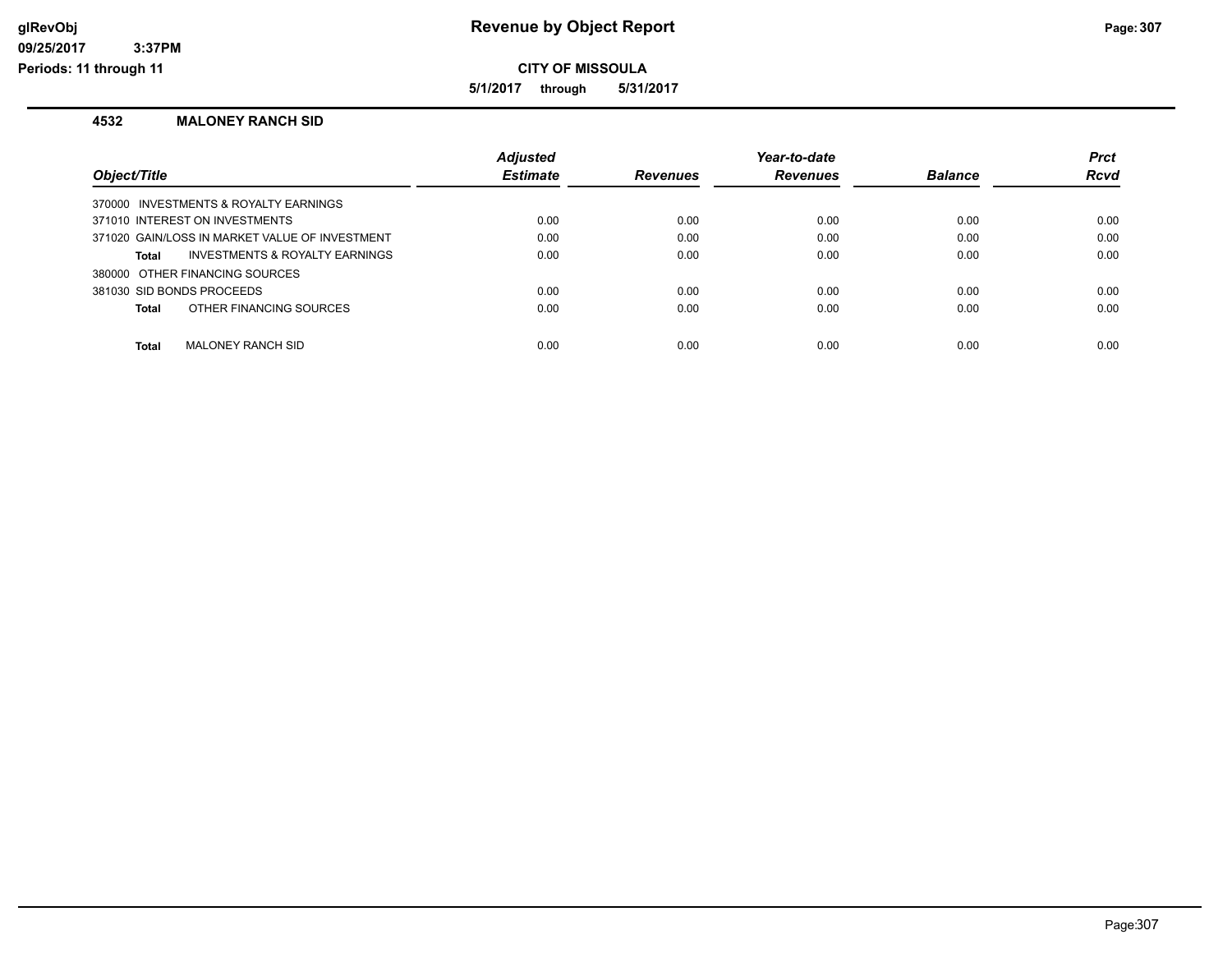**CITY OF MISSOULA**

**5/1/2017 through 5/31/2017**

#### **4532 MALONEY RANCH SID**

|                           |                                                | <b>Adjusted</b> |                 | Year-to-date    |                | <b>Prct</b> |
|---------------------------|------------------------------------------------|-----------------|-----------------|-----------------|----------------|-------------|
| Object/Title              |                                                | <b>Estimate</b> | <b>Revenues</b> | <b>Revenues</b> | <b>Balance</b> | <b>Rcvd</b> |
|                           | 370000 INVESTMENTS & ROYALTY EARNINGS          |                 |                 |                 |                |             |
|                           | 371010 INTEREST ON INVESTMENTS                 | 0.00            | 0.00            | 0.00            | 0.00           | 0.00        |
|                           | 371020 GAIN/LOSS IN MARKET VALUE OF INVESTMENT | 0.00            | 0.00            | 0.00            | 0.00           | 0.00        |
| <b>Total</b>              | INVESTMENTS & ROYALTY EARNINGS                 | 0.00            | 0.00            | 0.00            | 0.00           | 0.00        |
|                           | 380000 OTHER FINANCING SOURCES                 |                 |                 |                 |                |             |
| 381030 SID BONDS PROCEEDS |                                                | 0.00            | 0.00            | 0.00            | 0.00           | 0.00        |
| Total                     | OTHER FINANCING SOURCES                        | 0.00            | 0.00            | 0.00            | 0.00           | 0.00        |
| Total                     | MALONEY RANCH SID                              | 0.00            | 0.00            | 0.00            | 0.00           | 0.00        |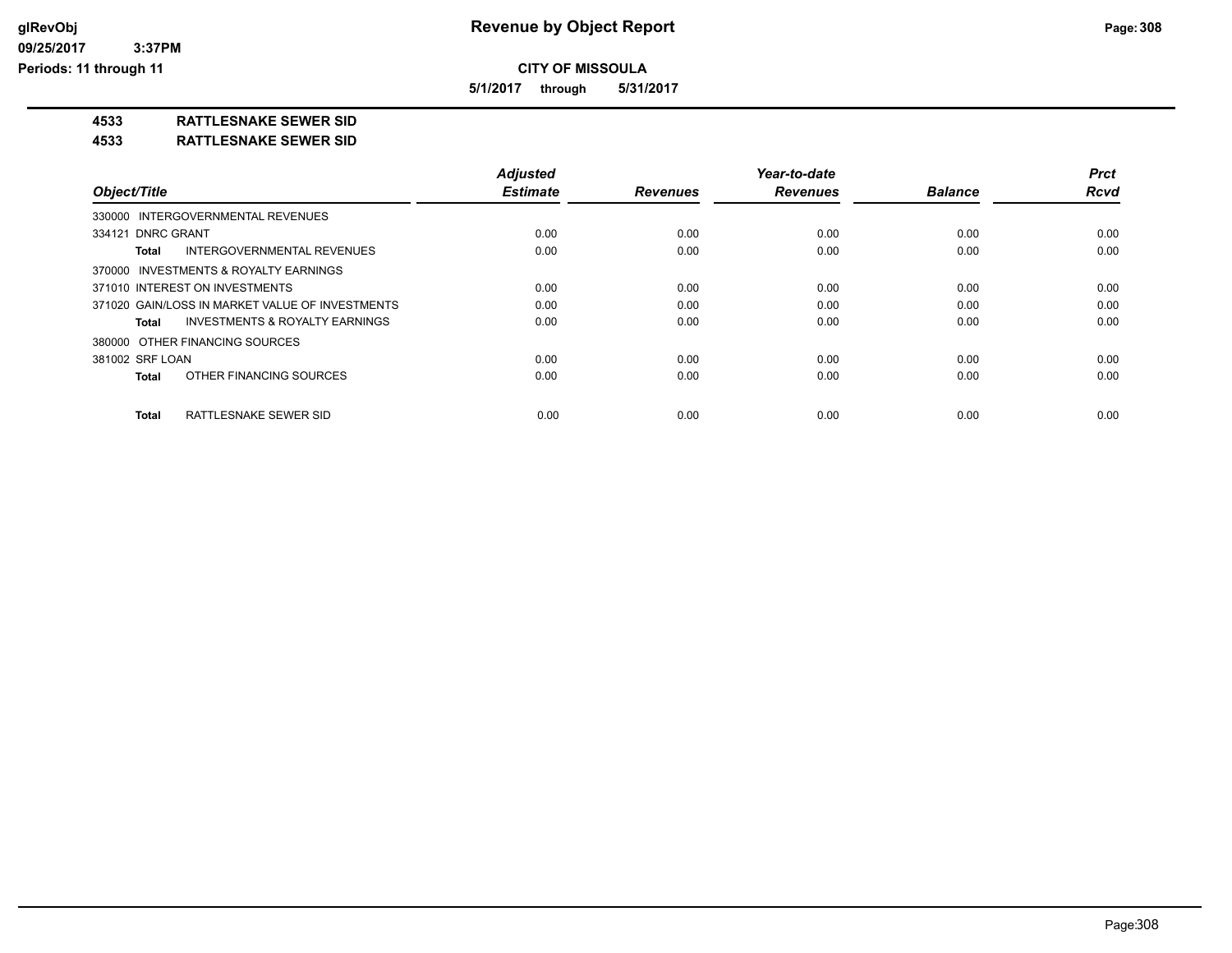**5/1/2017 through 5/31/2017**

## **4533 RATTLESNAKE SEWER SID**

**4533 RATTLESNAKE SEWER SID**

| Object/Title                                       | <b>Adjusted</b><br><b>Estimate</b> | <b>Revenues</b> | Year-to-date<br><b>Revenues</b> | <b>Balance</b> | <b>Prct</b><br><b>Rcvd</b> |
|----------------------------------------------------|------------------------------------|-----------------|---------------------------------|----------------|----------------------------|
| 330000 INTERGOVERNMENTAL REVENUES                  |                                    |                 |                                 |                |                            |
| 334121 DNRC GRANT                                  | 0.00                               | 0.00            | 0.00                            | 0.00           | 0.00                       |
| <b>INTERGOVERNMENTAL REVENUES</b><br>Total         | 0.00                               | 0.00            | 0.00                            | 0.00           | 0.00                       |
| 370000 INVESTMENTS & ROYALTY EARNINGS              |                                    |                 |                                 |                |                            |
| 371010 INTEREST ON INVESTMENTS                     | 0.00                               | 0.00            | 0.00                            | 0.00           | 0.00                       |
| 371020 GAIN/LOSS IN MARKET VALUE OF INVESTMENTS    | 0.00                               | 0.00            | 0.00                            | 0.00           | 0.00                       |
| <b>INVESTMENTS &amp; ROYALTY EARNINGS</b><br>Total | 0.00                               | 0.00            | 0.00                            | 0.00           | 0.00                       |
| 380000 OTHER FINANCING SOURCES                     |                                    |                 |                                 |                |                            |
| 381002 SRF LOAN                                    | 0.00                               | 0.00            | 0.00                            | 0.00           | 0.00                       |
| OTHER FINANCING SOURCES<br>Total                   | 0.00                               | 0.00            | 0.00                            | 0.00           | 0.00                       |
| RATTLESNAKE SEWER SID<br><b>Total</b>              | 0.00                               | 0.00            | 0.00                            | 0.00           | 0.00                       |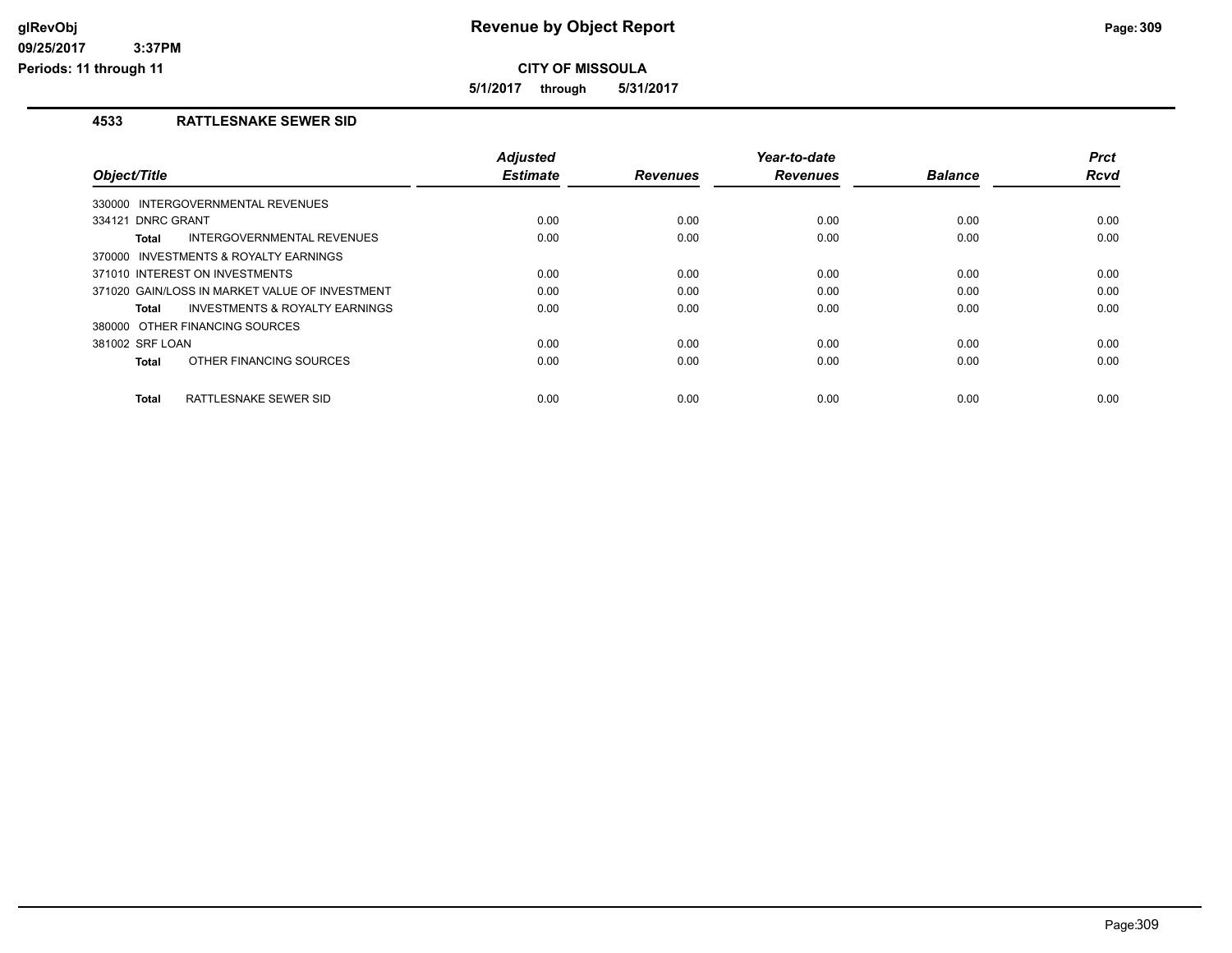**5/1/2017 through 5/31/2017**

# **4533 RATTLESNAKE SEWER SID**

|                                                    | <b>Adjusted</b> |                 | Year-to-date    |                | <b>Prct</b> |
|----------------------------------------------------|-----------------|-----------------|-----------------|----------------|-------------|
| Object/Title                                       | <b>Estimate</b> | <b>Revenues</b> | <b>Revenues</b> | <b>Balance</b> | <b>Rcvd</b> |
| INTERGOVERNMENTAL REVENUES<br>330000               |                 |                 |                 |                |             |
| 334121 DNRC GRANT                                  | 0.00            | 0.00            | 0.00            | 0.00           | 0.00        |
| INTERGOVERNMENTAL REVENUES<br>Total                | 0.00            | 0.00            | 0.00            | 0.00           | 0.00        |
| 370000 INVESTMENTS & ROYALTY EARNINGS              |                 |                 |                 |                |             |
| 371010 INTEREST ON INVESTMENTS                     | 0.00            | 0.00            | 0.00            | 0.00           | 0.00        |
| 371020 GAIN/LOSS IN MARKET VALUE OF INVESTMENT     | 0.00            | 0.00            | 0.00            | 0.00           | 0.00        |
| <b>INVESTMENTS &amp; ROYALTY EARNINGS</b><br>Total | 0.00            | 0.00            | 0.00            | 0.00           | 0.00        |
| 380000 OTHER FINANCING SOURCES                     |                 |                 |                 |                |             |
| 381002 SRF LOAN                                    | 0.00            | 0.00            | 0.00            | 0.00           | 0.00        |
| OTHER FINANCING SOURCES<br>Total                   | 0.00            | 0.00            | 0.00            | 0.00           | 0.00        |
| RATTLESNAKE SEWER SID<br><b>Total</b>              | 0.00            | 0.00            | 0.00            | 0.00           | 0.00        |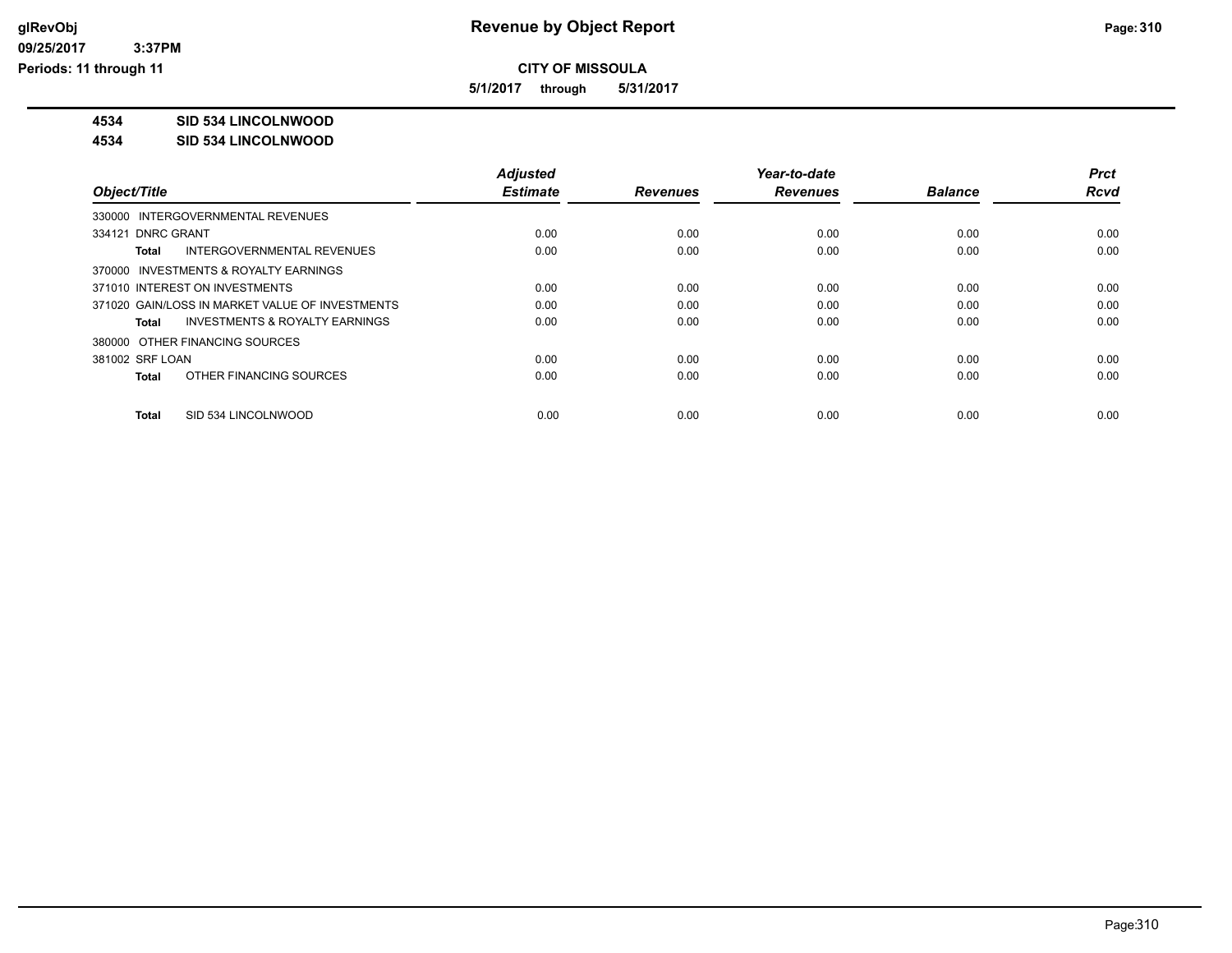**5/1/2017 through 5/31/2017**

## **4534 SID 534 LINCOLNWOOD**

#### **4534 SID 534 LINCOLNWOOD**

|                                                    | <b>Adjusted</b> |                 | Year-to-date    |                | Prct        |
|----------------------------------------------------|-----------------|-----------------|-----------------|----------------|-------------|
| Object/Title                                       | <b>Estimate</b> | <b>Revenues</b> | <b>Revenues</b> | <b>Balance</b> | <b>Rcvd</b> |
| 330000 INTERGOVERNMENTAL REVENUES                  |                 |                 |                 |                |             |
| 334121 DNRC GRANT                                  | 0.00            | 0.00            | 0.00            | 0.00           | 0.00        |
| INTERGOVERNMENTAL REVENUES<br>Total                | 0.00            | 0.00            | 0.00            | 0.00           | 0.00        |
| 370000 INVESTMENTS & ROYALTY EARNINGS              |                 |                 |                 |                |             |
| 371010 INTEREST ON INVESTMENTS                     | 0.00            | 0.00            | 0.00            | 0.00           | 0.00        |
| 371020 GAIN/LOSS IN MARKET VALUE OF INVESTMENTS    | 0.00            | 0.00            | 0.00            | 0.00           | 0.00        |
| <b>INVESTMENTS &amp; ROYALTY EARNINGS</b><br>Total | 0.00            | 0.00            | 0.00            | 0.00           | 0.00        |
| 380000 OTHER FINANCING SOURCES                     |                 |                 |                 |                |             |
| 381002 SRF LOAN                                    | 0.00            | 0.00            | 0.00            | 0.00           | 0.00        |
| OTHER FINANCING SOURCES<br>Total                   | 0.00            | 0.00            | 0.00            | 0.00           | 0.00        |
| SID 534 LINCOLNWOOD<br>Total                       | 0.00            | 0.00            | 0.00            | 0.00           | 0.00        |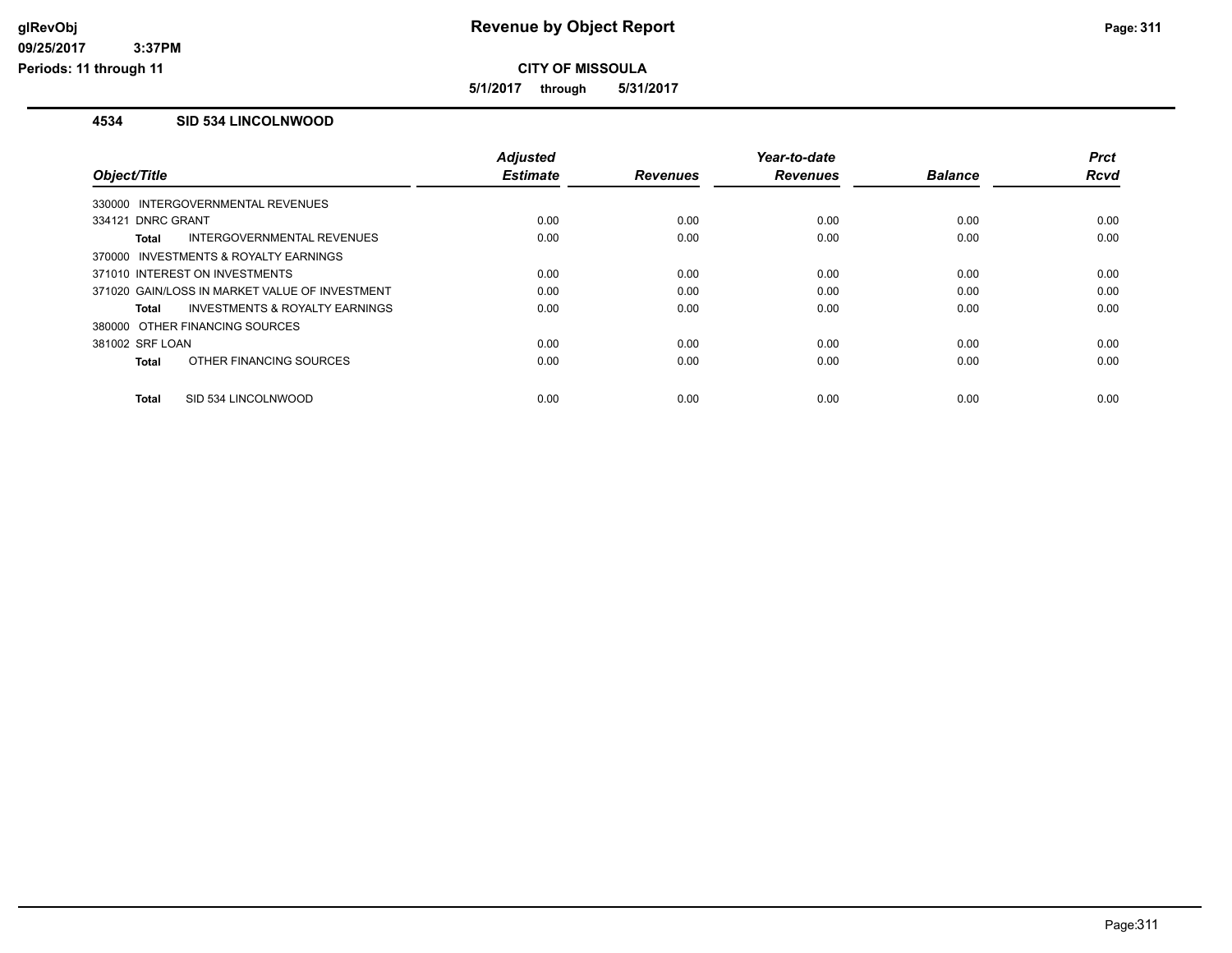**5/1/2017 through 5/31/2017**

### **4534 SID 534 LINCOLNWOOD**

|                                                    | <b>Adjusted</b> |                 | Year-to-date    |                | <b>Prct</b> |
|----------------------------------------------------|-----------------|-----------------|-----------------|----------------|-------------|
| Object/Title                                       | <b>Estimate</b> | <b>Revenues</b> | <b>Revenues</b> | <b>Balance</b> | <b>Rcvd</b> |
| 330000 INTERGOVERNMENTAL REVENUES                  |                 |                 |                 |                |             |
| 334121 DNRC GRANT                                  | 0.00            | 0.00            | 0.00            | 0.00           | 0.00        |
| INTERGOVERNMENTAL REVENUES<br><b>Total</b>         | 0.00            | 0.00            | 0.00            | 0.00           | 0.00        |
| 370000 INVESTMENTS & ROYALTY EARNINGS              |                 |                 |                 |                |             |
| 371010 INTEREST ON INVESTMENTS                     | 0.00            | 0.00            | 0.00            | 0.00           | 0.00        |
| 371020 GAIN/LOSS IN MARKET VALUE OF INVESTMENT     | 0.00            | 0.00            | 0.00            | 0.00           | 0.00        |
| <b>INVESTMENTS &amp; ROYALTY EARNINGS</b><br>Total | 0.00            | 0.00            | 0.00            | 0.00           | 0.00        |
| 380000 OTHER FINANCING SOURCES                     |                 |                 |                 |                |             |
| 381002 SRF LOAN                                    | 0.00            | 0.00            | 0.00            | 0.00           | 0.00        |
| OTHER FINANCING SOURCES<br><b>Total</b>            | 0.00            | 0.00            | 0.00            | 0.00           | 0.00        |
| SID 534 LINCOLNWOOD<br><b>Total</b>                | 0.00            | 0.00            | 0.00            | 0.00           | 0.00        |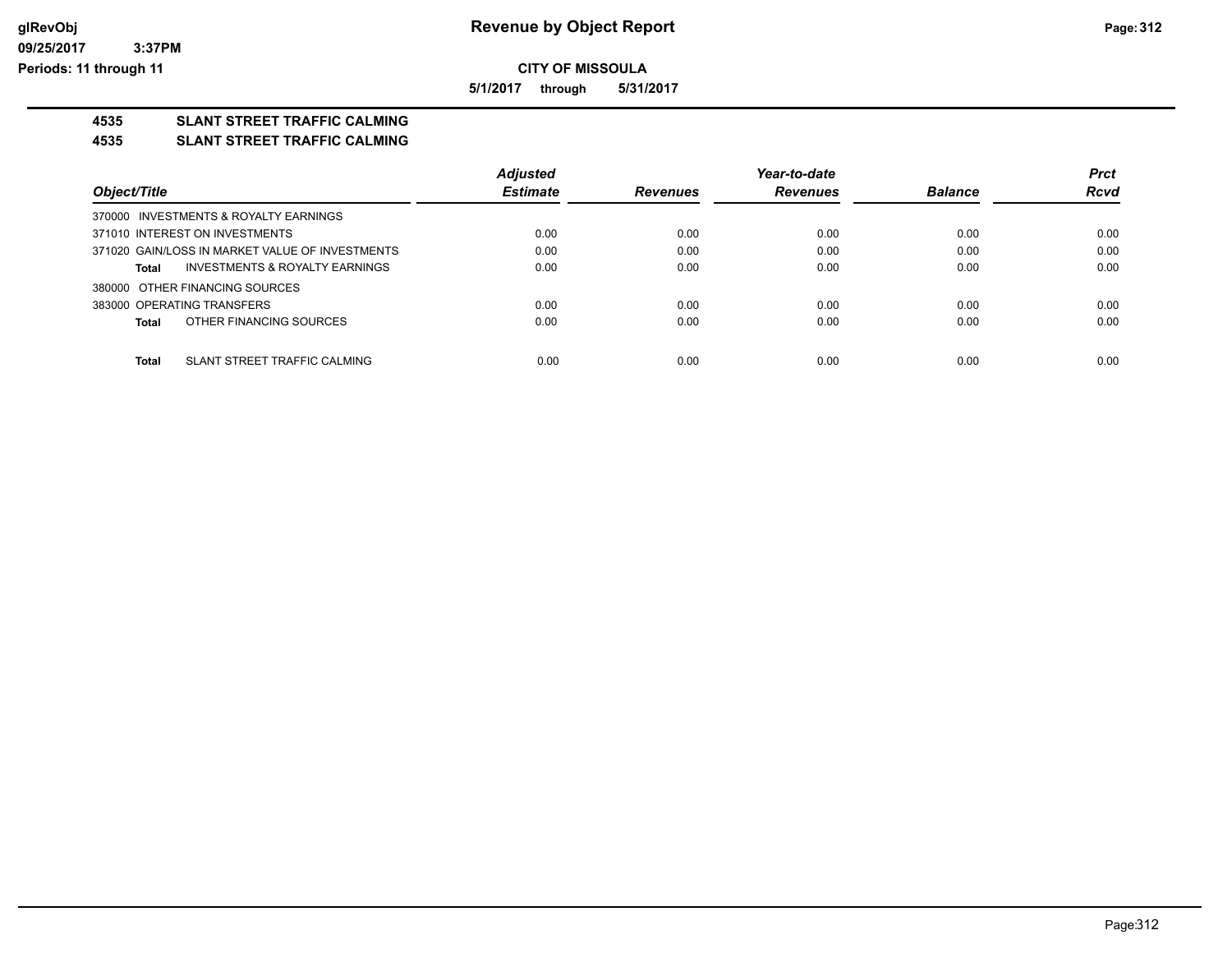**5/1/2017 through 5/31/2017**

# **4535 SLANT STREET TRAFFIC CALMING**

#### **4535 SLANT STREET TRAFFIC CALMING**

| <b>Adjusted</b> |                 | Year-to-date    |                | <b>Prct</b> |
|-----------------|-----------------|-----------------|----------------|-------------|
| <b>Estimate</b> | <b>Revenues</b> | <b>Revenues</b> | <b>Balance</b> | <b>Rcvd</b> |
|                 |                 |                 |                |             |
| 0.00            | 0.00            | 0.00            | 0.00           | 0.00        |
| 0.00            | 0.00            | 0.00            | 0.00           | 0.00        |
| 0.00            | 0.00            | 0.00            | 0.00           | 0.00        |
|                 |                 |                 |                |             |
| 0.00            | 0.00            | 0.00            | 0.00           | 0.00        |
| 0.00            | 0.00            | 0.00            | 0.00           | 0.00        |
|                 |                 |                 |                | 0.00        |
|                 | 0.00            | 0.00            | 0.00           | 0.00        |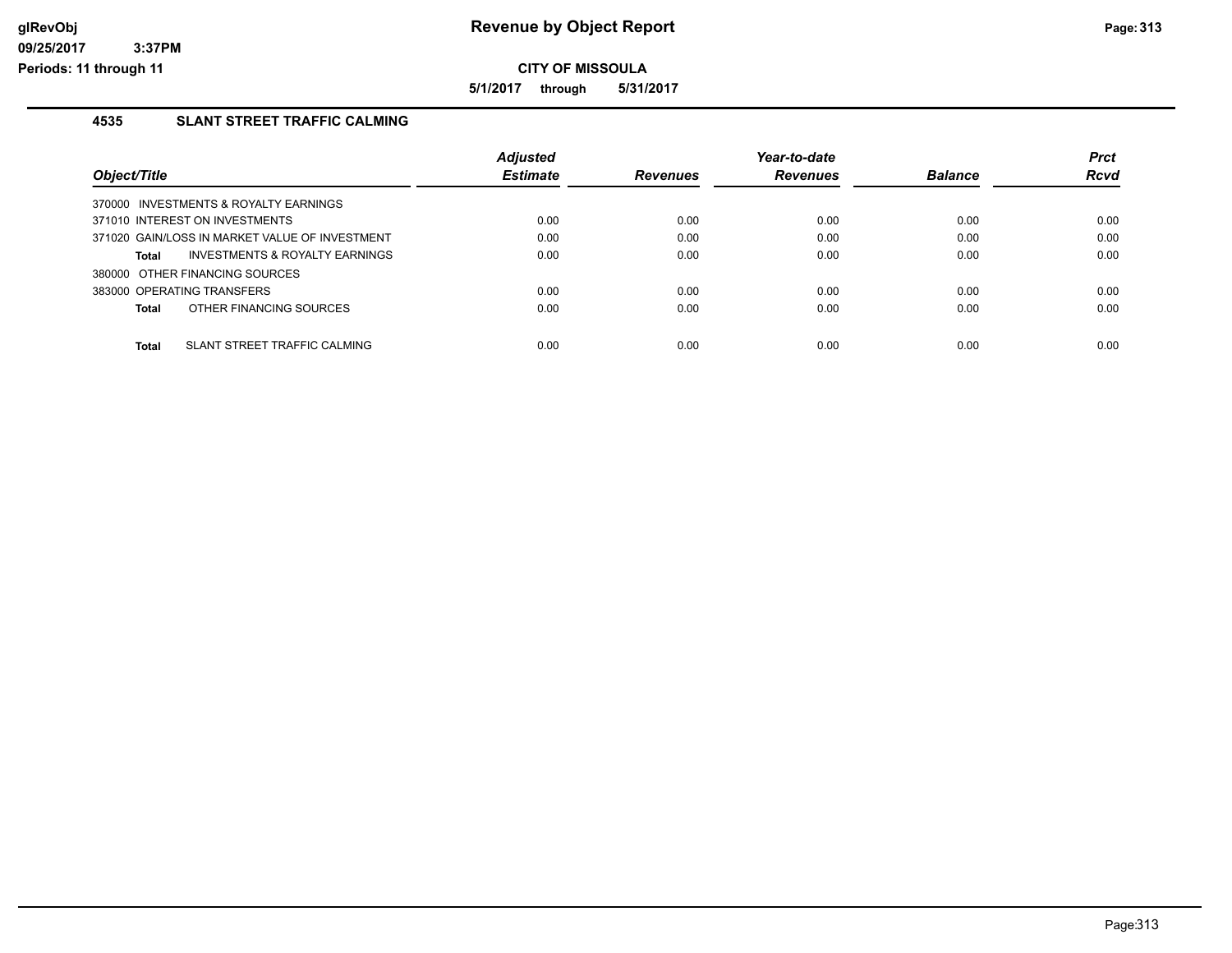**5/1/2017 through 5/31/2017**

# **4535 SLANT STREET TRAFFIC CALMING**

|                                                | <b>Adjusted</b> |                 | Year-to-date    |                | <b>Prct</b> |
|------------------------------------------------|-----------------|-----------------|-----------------|----------------|-------------|
| Object/Title                                   | <b>Estimate</b> | <b>Revenues</b> | <b>Revenues</b> | <b>Balance</b> | <b>Rcvd</b> |
| 370000 INVESTMENTS & ROYALTY EARNINGS          |                 |                 |                 |                |             |
| 371010 INTEREST ON INVESTMENTS                 | 0.00            | 0.00            | 0.00            | 0.00           | 0.00        |
| 371020 GAIN/LOSS IN MARKET VALUE OF INVESTMENT | 0.00            | 0.00            | 0.00            | 0.00           | 0.00        |
| INVESTMENTS & ROYALTY EARNINGS<br>Total        | 0.00            | 0.00            | 0.00            | 0.00           | 0.00        |
| 380000 OTHER FINANCING SOURCES                 |                 |                 |                 |                |             |
| 383000 OPERATING TRANSFERS                     | 0.00            | 0.00            | 0.00            | 0.00           | 0.00        |
| OTHER FINANCING SOURCES<br>Total               | 0.00            | 0.00            | 0.00            | 0.00           | 0.00        |
|                                                |                 |                 |                 |                |             |
| Total<br>SLANT STREET TRAFFIC CALMING          | 0.00            | 0.00            | 0.00            | 0.00           | 0.00        |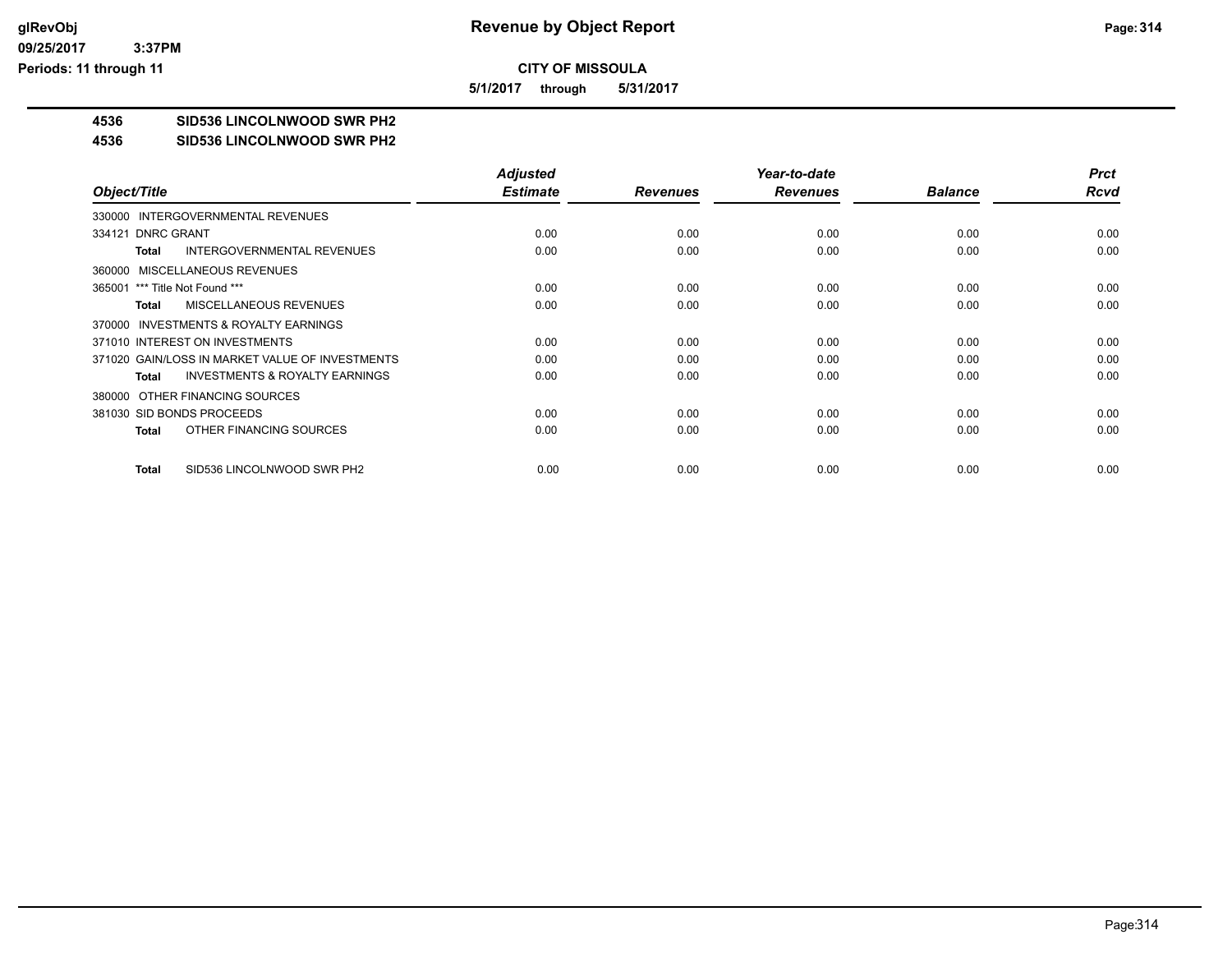**5/1/2017 through 5/31/2017**

# **4536 SID536 LINCOLNWOOD SWR PH2**

#### **4536 SID536 LINCOLNWOOD SWR PH2**

|                                                    | <b>Adjusted</b> |                 | Year-to-date    |                | <b>Prct</b> |
|----------------------------------------------------|-----------------|-----------------|-----------------|----------------|-------------|
| Object/Title                                       | <b>Estimate</b> | <b>Revenues</b> | <b>Revenues</b> | <b>Balance</b> | Rcvd        |
| 330000 INTERGOVERNMENTAL REVENUES                  |                 |                 |                 |                |             |
| 334121 DNRC GRANT                                  | 0.00            | 0.00            | 0.00            | 0.00           | 0.00        |
| <b>INTERGOVERNMENTAL REVENUES</b><br>Total         | 0.00            | 0.00            | 0.00            | 0.00           | 0.00        |
| 360000 MISCELLANEOUS REVENUES                      |                 |                 |                 |                |             |
| 365001 *** Title Not Found ***                     | 0.00            | 0.00            | 0.00            | 0.00           | 0.00        |
| <b>MISCELLANEOUS REVENUES</b><br>Total             | 0.00            | 0.00            | 0.00            | 0.00           | 0.00        |
| 370000 INVESTMENTS & ROYALTY EARNINGS              |                 |                 |                 |                |             |
| 371010 INTEREST ON INVESTMENTS                     | 0.00            | 0.00            | 0.00            | 0.00           | 0.00        |
| 371020 GAIN/LOSS IN MARKET VALUE OF INVESTMENTS    | 0.00            | 0.00            | 0.00            | 0.00           | 0.00        |
| <b>INVESTMENTS &amp; ROYALTY EARNINGS</b><br>Total | 0.00            | 0.00            | 0.00            | 0.00           | 0.00        |
| 380000 OTHER FINANCING SOURCES                     |                 |                 |                 |                |             |
| 381030 SID BONDS PROCEEDS                          | 0.00            | 0.00            | 0.00            | 0.00           | 0.00        |
| OTHER FINANCING SOURCES<br>Total                   | 0.00            | 0.00            | 0.00            | 0.00           | 0.00        |
|                                                    |                 |                 |                 |                |             |
| SID536 LINCOLNWOOD SWR PH2<br>Total                | 0.00            | 0.00            | 0.00            | 0.00           | 0.00        |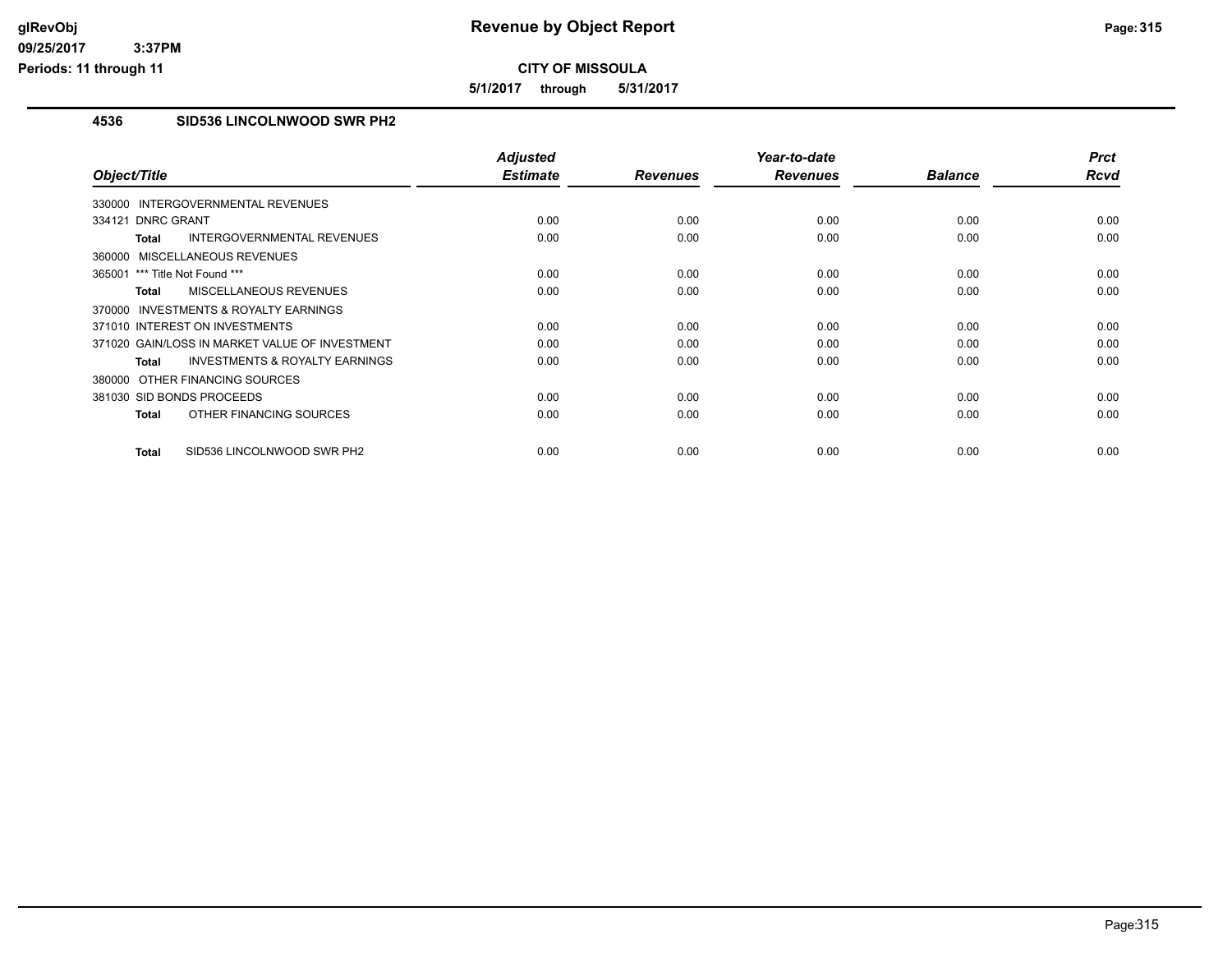**5/1/2017 through 5/31/2017**

# **4536 SID536 LINCOLNWOOD SWR PH2**

| Object/Title                                              | <b>Adjusted</b><br><b>Estimate</b> | <b>Revenues</b> | Year-to-date<br><b>Revenues</b> | <b>Balance</b> | <b>Prct</b><br><b>Rcvd</b> |
|-----------------------------------------------------------|------------------------------------|-----------------|---------------------------------|----------------|----------------------------|
|                                                           |                                    |                 |                                 |                |                            |
| INTERGOVERNMENTAL REVENUES<br>330000                      |                                    |                 |                                 |                |                            |
| 334121 DNRC GRANT                                         | 0.00                               | 0.00            | 0.00                            | 0.00           | 0.00                       |
| INTERGOVERNMENTAL REVENUES<br><b>Total</b>                | 0.00                               | 0.00            | 0.00                            | 0.00           | 0.00                       |
| MISCELLANEOUS REVENUES<br>360000                          |                                    |                 |                                 |                |                            |
| 365001 *** Title Not Found ***                            | 0.00                               | 0.00            | 0.00                            | 0.00           | 0.00                       |
| MISCELLANEOUS REVENUES<br><b>Total</b>                    | 0.00                               | 0.00            | 0.00                            | 0.00           | 0.00                       |
| 370000 INVESTMENTS & ROYALTY EARNINGS                     |                                    |                 |                                 |                |                            |
| 371010 INTEREST ON INVESTMENTS                            | 0.00                               | 0.00            | 0.00                            | 0.00           | 0.00                       |
| 371020 GAIN/LOSS IN MARKET VALUE OF INVESTMENT            | 0.00                               | 0.00            | 0.00                            | 0.00           | 0.00                       |
| <b>INVESTMENTS &amp; ROYALTY EARNINGS</b><br><b>Total</b> | 0.00                               | 0.00            | 0.00                            | 0.00           | 0.00                       |
| 380000 OTHER FINANCING SOURCES                            |                                    |                 |                                 |                |                            |
| 381030 SID BONDS PROCEEDS                                 | 0.00                               | 0.00            | 0.00                            | 0.00           | 0.00                       |
| OTHER FINANCING SOURCES<br><b>Total</b>                   | 0.00                               | 0.00            | 0.00                            | 0.00           | 0.00                       |
| SID536 LINCOLNWOOD SWR PH2<br><b>Total</b>                | 0.00                               | 0.00            | 0.00                            | 0.00           | 0.00                       |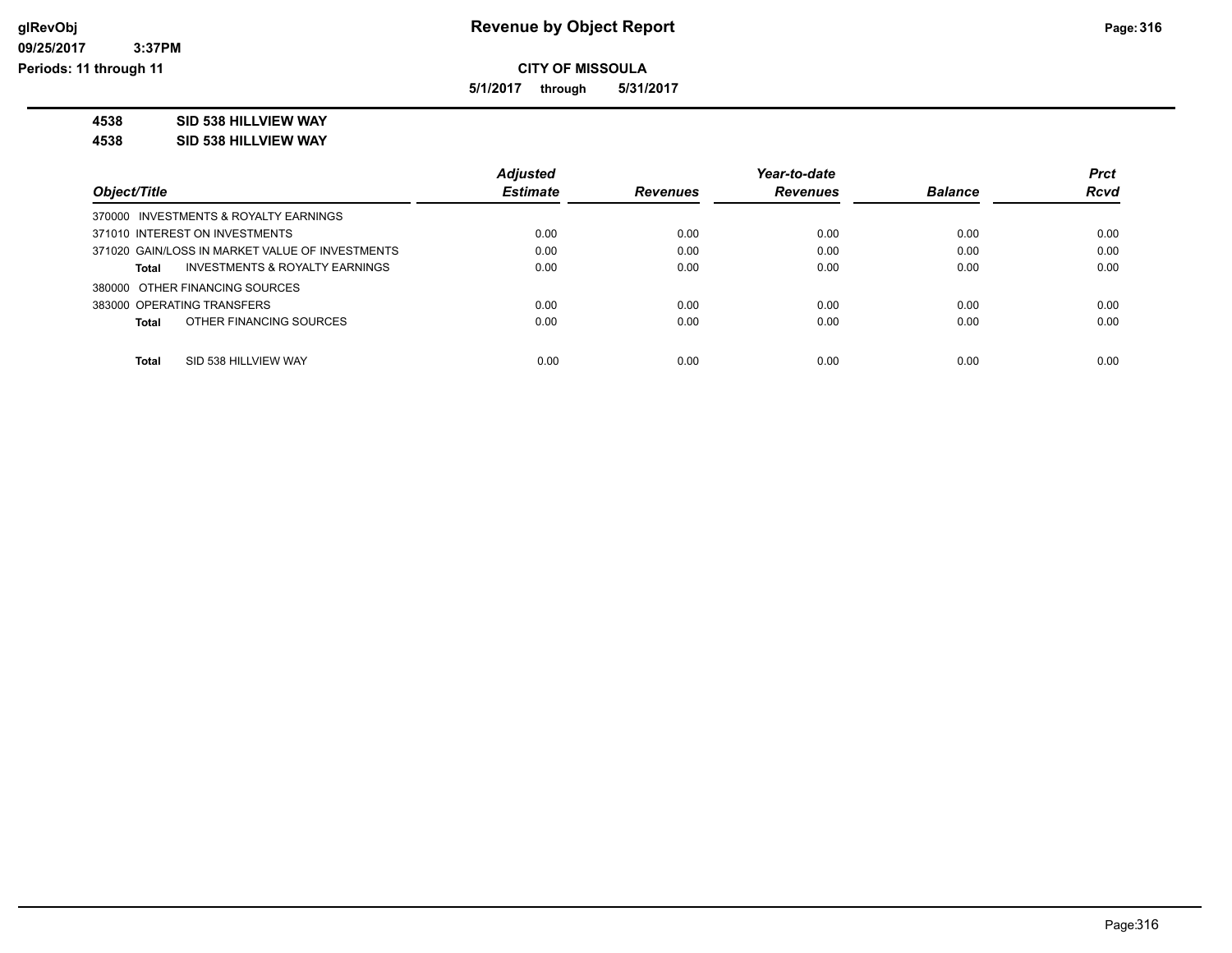**5/1/2017 through 5/31/2017**

### **4538 SID 538 HILLVIEW WAY**

**4538 SID 538 HILLVIEW WAY**

|                                                    | <b>Adjusted</b> |                 | Year-to-date    |                | <b>Prct</b> |
|----------------------------------------------------|-----------------|-----------------|-----------------|----------------|-------------|
| Object/Title                                       | <b>Estimate</b> | <b>Revenues</b> | <b>Revenues</b> | <b>Balance</b> | <b>Rcvd</b> |
| 370000 INVESTMENTS & ROYALTY EARNINGS              |                 |                 |                 |                |             |
| 371010 INTEREST ON INVESTMENTS                     | 0.00            | 0.00            | 0.00            | 0.00           | 0.00        |
| 371020 GAIN/LOSS IN MARKET VALUE OF INVESTMENTS    | 0.00            | 0.00            | 0.00            | 0.00           | 0.00        |
| <b>INVESTMENTS &amp; ROYALTY EARNINGS</b><br>Total | 0.00            | 0.00            | 0.00            | 0.00           | 0.00        |
| 380000 OTHER FINANCING SOURCES                     |                 |                 |                 |                |             |
| 383000 OPERATING TRANSFERS                         | 0.00            | 0.00            | 0.00            | 0.00           | 0.00        |
| OTHER FINANCING SOURCES<br>Total                   | 0.00            | 0.00            | 0.00            | 0.00           | 0.00        |
|                                                    |                 |                 |                 |                |             |
| Total<br>SID 538 HILLVIEW WAY                      | 0.00            | 0.00            | 0.00            | 0.00           | 0.00        |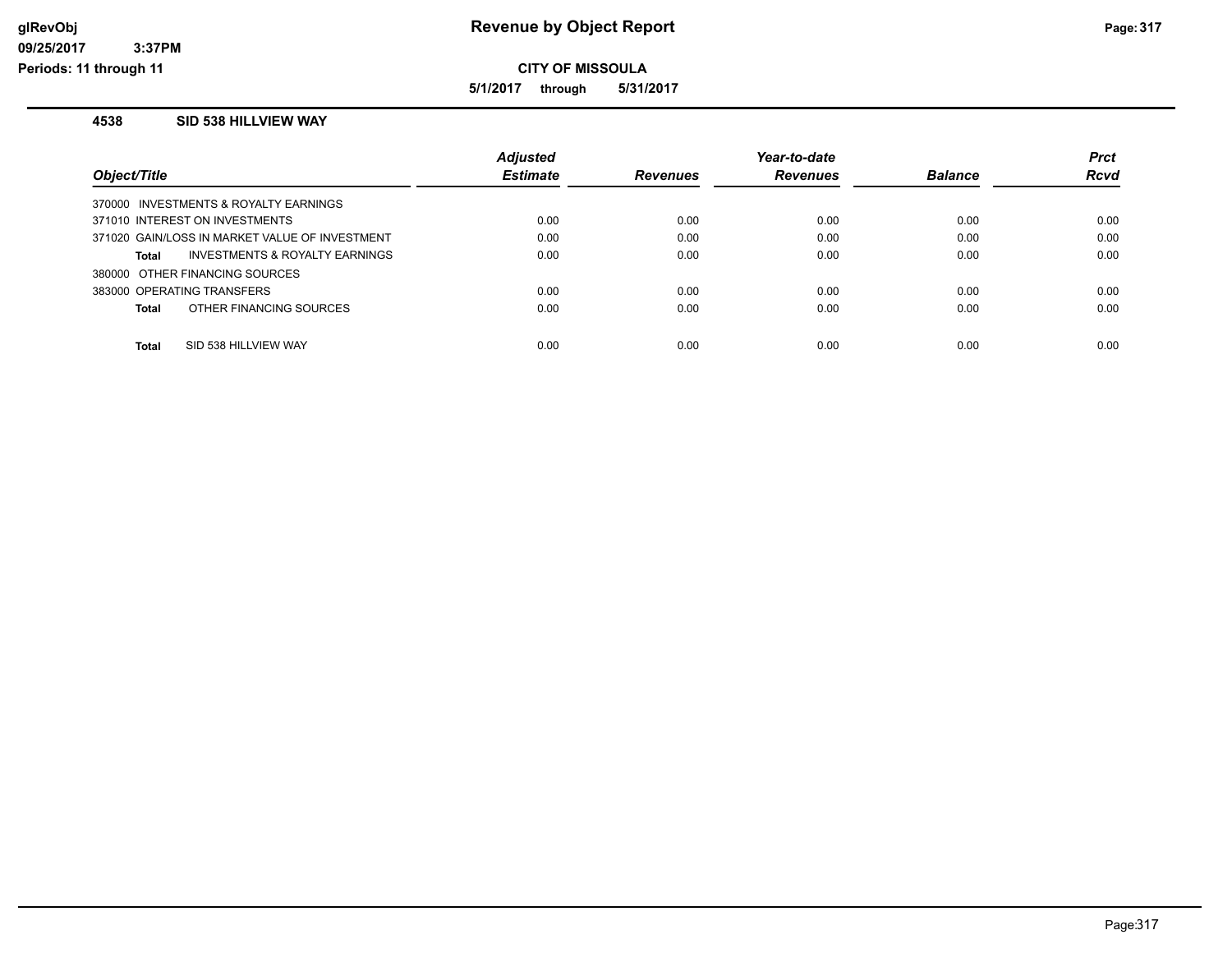**5/1/2017 through 5/31/2017**

#### **4538 SID 538 HILLVIEW WAY**

|                                                | <b>Adjusted</b> |                 | Year-to-date    |                | <b>Prct</b> |
|------------------------------------------------|-----------------|-----------------|-----------------|----------------|-------------|
| Object/Title                                   | <b>Estimate</b> | <b>Revenues</b> | <b>Revenues</b> | <b>Balance</b> | <b>Rcvd</b> |
| 370000 INVESTMENTS & ROYALTY EARNINGS          |                 |                 |                 |                |             |
| 371010 INTEREST ON INVESTMENTS                 | 0.00            | 0.00            | 0.00            | 0.00           | 0.00        |
| 371020 GAIN/LOSS IN MARKET VALUE OF INVESTMENT | 0.00            | 0.00            | 0.00            | 0.00           | 0.00        |
| INVESTMENTS & ROYALTY EARNINGS<br>Total        | 0.00            | 0.00            | 0.00            | 0.00           | 0.00        |
| 380000 OTHER FINANCING SOURCES                 |                 |                 |                 |                |             |
| 383000 OPERATING TRANSFERS                     | 0.00            | 0.00            | 0.00            | 0.00           | 0.00        |
| OTHER FINANCING SOURCES<br>Total               | 0.00            | 0.00            | 0.00            | 0.00           | 0.00        |
|                                                |                 |                 |                 |                |             |
| <b>Total</b><br>SID 538 HILLVIEW WAY           | 0.00            | 0.00            | 0.00            | 0.00           | 0.00        |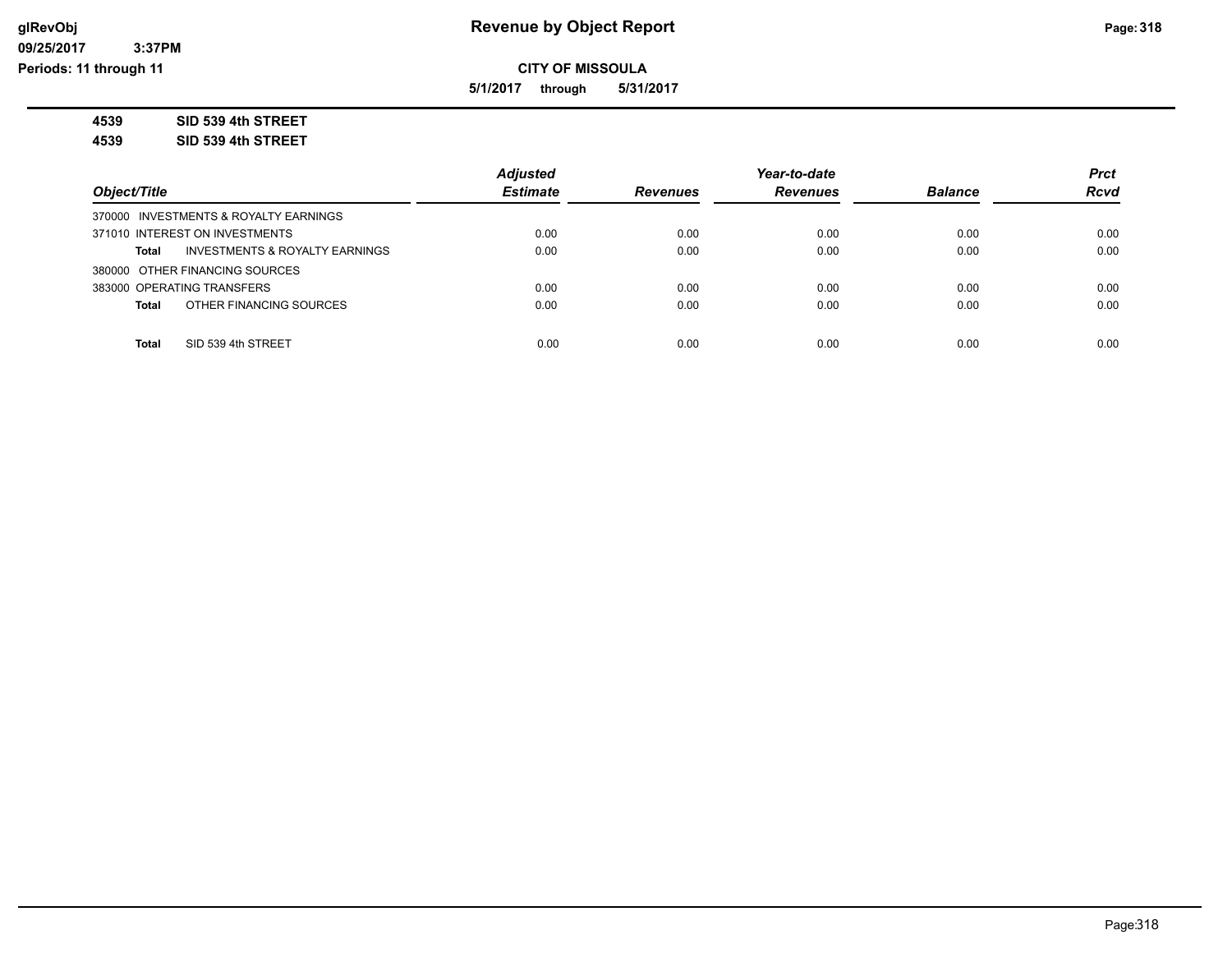**5/1/2017 through 5/31/2017**

**4539 SID 539 4th STREET**

**4539 SID 539 4th STREET**

|                                                           | <b>Adjusted</b> |                 | Year-to-date    |                | <b>Prct</b> |
|-----------------------------------------------------------|-----------------|-----------------|-----------------|----------------|-------------|
| Object/Title                                              | <b>Estimate</b> | <b>Revenues</b> | <b>Revenues</b> | <b>Balance</b> | <b>Rcvd</b> |
| 370000 INVESTMENTS & ROYALTY EARNINGS                     |                 |                 |                 |                |             |
| 371010 INTEREST ON INVESTMENTS                            | 0.00            | 0.00            | 0.00            | 0.00           | 0.00        |
| <b>INVESTMENTS &amp; ROYALTY EARNINGS</b><br><b>Total</b> | 0.00            | 0.00            | 0.00            | 0.00           | 0.00        |
| 380000 OTHER FINANCING SOURCES                            |                 |                 |                 |                |             |
| 383000 OPERATING TRANSFERS                                | 0.00            | 0.00            | 0.00            | 0.00           | 0.00        |
| OTHER FINANCING SOURCES<br><b>Total</b>                   | 0.00            | 0.00            | 0.00            | 0.00           | 0.00        |
|                                                           |                 |                 |                 |                |             |
| SID 539 4th STREET<br><b>Total</b>                        | 0.00            | 0.00            | 0.00            | 0.00           | 0.00        |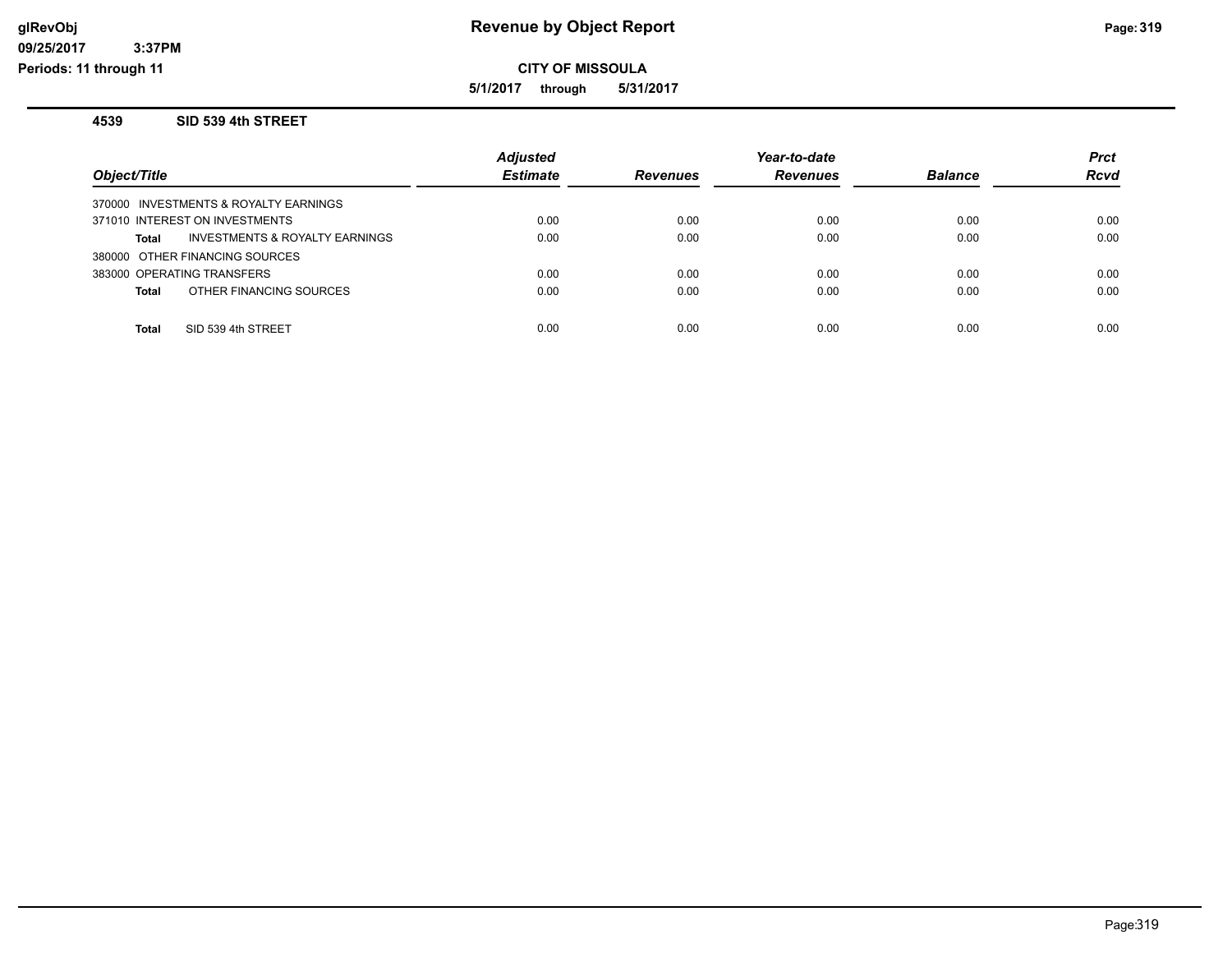**CITY OF MISSOULA**

**5/1/2017 through 5/31/2017**

#### **4539 SID 539 4th STREET**

 **3:37PM**

| Object/Title                                              | <b>Adjusted</b><br><b>Estimate</b> | <b>Revenues</b> | Year-to-date<br><b>Revenues</b> | <b>Balance</b> | <b>Prct</b><br><b>Rcvd</b> |
|-----------------------------------------------------------|------------------------------------|-----------------|---------------------------------|----------------|----------------------------|
| 370000 INVESTMENTS & ROYALTY EARNINGS                     |                                    |                 |                                 |                |                            |
| 371010 INTEREST ON INVESTMENTS                            | 0.00                               | 0.00            | 0.00                            | 0.00           | 0.00                       |
| <b>INVESTMENTS &amp; ROYALTY EARNINGS</b><br><b>Total</b> | 0.00                               | 0.00            | 0.00                            | 0.00           | 0.00                       |
| 380000 OTHER FINANCING SOURCES                            |                                    |                 |                                 |                |                            |
| 383000 OPERATING TRANSFERS                                | 0.00                               | 0.00            | 0.00                            | 0.00           | 0.00                       |
| OTHER FINANCING SOURCES<br><b>Total</b>                   | 0.00                               | 0.00            | 0.00                            | 0.00           | 0.00                       |
|                                                           |                                    |                 |                                 |                |                            |
| SID 539 4th STREET<br><b>Total</b>                        | 0.00                               | 0.00            | 0.00                            | 0.00           | 0.00                       |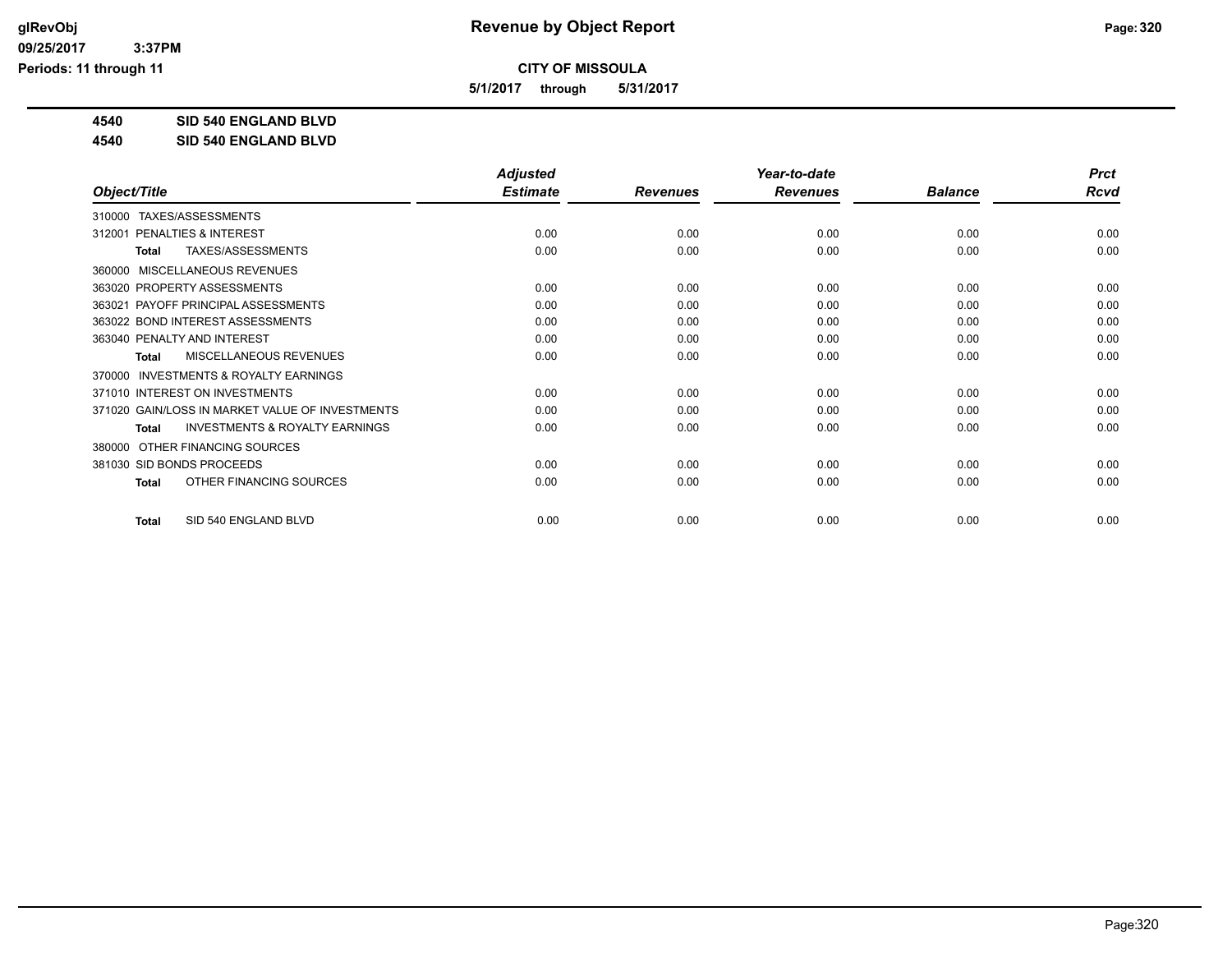**5/1/2017 through 5/31/2017**

#### **4540 SID 540 ENGLAND BLVD**

**4540 SID 540 ENGLAND BLVD**

|                                                           | <b>Adjusted</b> |                 | Year-to-date    |                | <b>Prct</b> |
|-----------------------------------------------------------|-----------------|-----------------|-----------------|----------------|-------------|
| Object/Title                                              | <b>Estimate</b> | <b>Revenues</b> | <b>Revenues</b> | <b>Balance</b> | <b>Rcvd</b> |
| TAXES/ASSESSMENTS<br>310000                               |                 |                 |                 |                |             |
| PENALTIES & INTEREST<br>312001                            | 0.00            | 0.00            | 0.00            | 0.00           | 0.00        |
| TAXES/ASSESSMENTS<br>Total                                | 0.00            | 0.00            | 0.00            | 0.00           | 0.00        |
| MISCELLANEOUS REVENUES<br>360000                          |                 |                 |                 |                |             |
| 363020 PROPERTY ASSESSMENTS                               | 0.00            | 0.00            | 0.00            | 0.00           | 0.00        |
| PAYOFF PRINCIPAL ASSESSMENTS<br>363021                    | 0.00            | 0.00            | 0.00            | 0.00           | 0.00        |
| 363022 BOND INTEREST ASSESSMENTS                          | 0.00            | 0.00            | 0.00            | 0.00           | 0.00        |
| 363040 PENALTY AND INTEREST                               | 0.00            | 0.00            | 0.00            | 0.00           | 0.00        |
| MISCELLANEOUS REVENUES<br>Total                           | 0.00            | 0.00            | 0.00            | 0.00           | 0.00        |
| <b>INVESTMENTS &amp; ROYALTY EARNINGS</b><br>370000       |                 |                 |                 |                |             |
| 371010 INTEREST ON INVESTMENTS                            | 0.00            | 0.00            | 0.00            | 0.00           | 0.00        |
| 371020 GAIN/LOSS IN MARKET VALUE OF INVESTMENTS           | 0.00            | 0.00            | 0.00            | 0.00           | 0.00        |
| <b>INVESTMENTS &amp; ROYALTY EARNINGS</b><br><b>Total</b> | 0.00            | 0.00            | 0.00            | 0.00           | 0.00        |
| OTHER FINANCING SOURCES<br>380000                         |                 |                 |                 |                |             |
| 381030 SID BONDS PROCEEDS                                 | 0.00            | 0.00            | 0.00            | 0.00           | 0.00        |
| OTHER FINANCING SOURCES<br><b>Total</b>                   | 0.00            | 0.00            | 0.00            | 0.00           | 0.00        |
| SID 540 ENGLAND BLVD<br><b>Total</b>                      | 0.00            | 0.00            | 0.00            | 0.00           | 0.00        |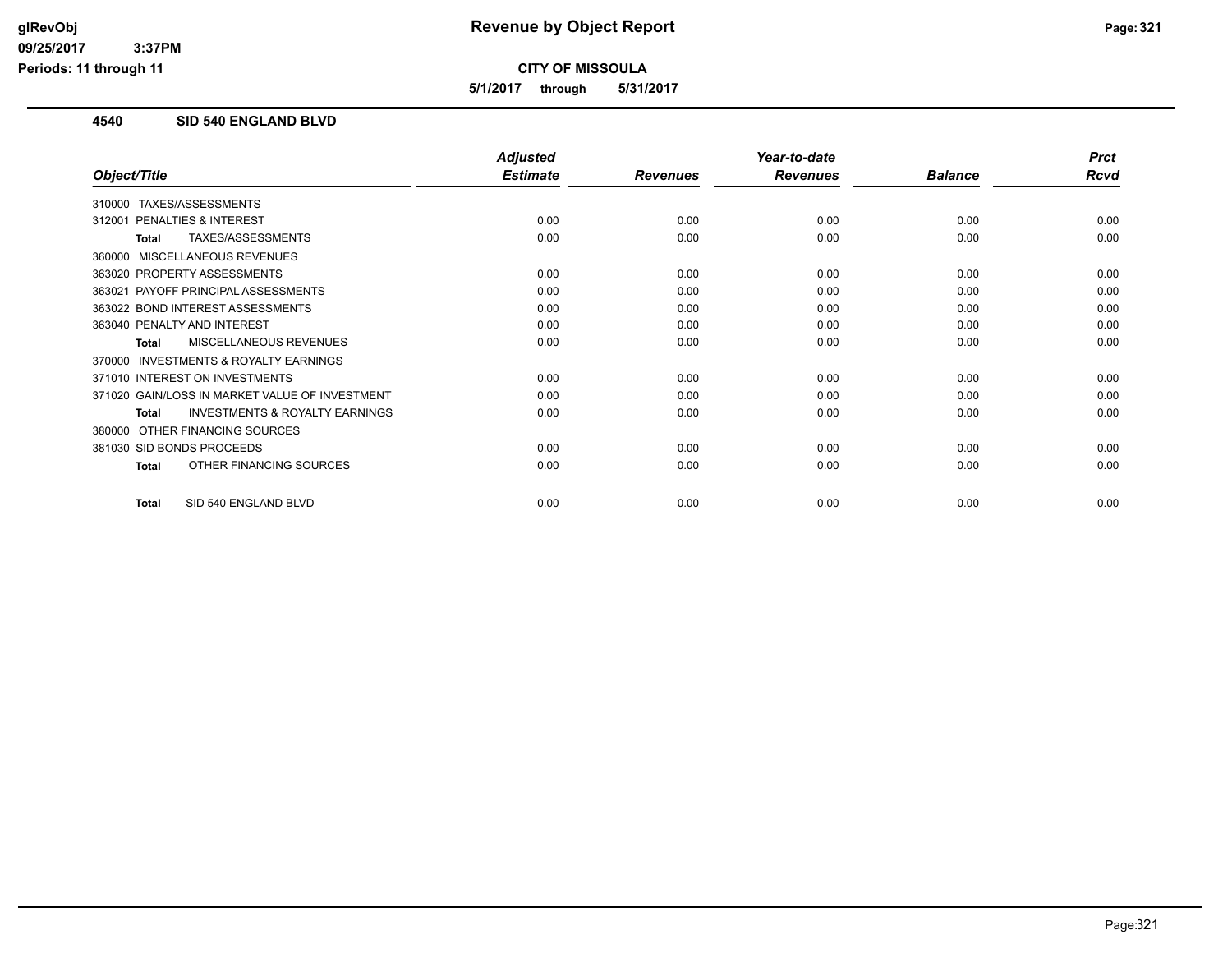**5/1/2017 through 5/31/2017**

## **4540 SID 540 ENGLAND BLVD**

|                                                           | <b>Adjusted</b> |                 | Year-to-date    |                | <b>Prct</b> |
|-----------------------------------------------------------|-----------------|-----------------|-----------------|----------------|-------------|
| Object/Title                                              | <b>Estimate</b> | <b>Revenues</b> | <b>Revenues</b> | <b>Balance</b> | <b>Rcvd</b> |
| <b>TAXES/ASSESSMENTS</b><br>310000                        |                 |                 |                 |                |             |
| 312001 PENALTIES & INTEREST                               | 0.00            | 0.00            | 0.00            | 0.00           | 0.00        |
| TAXES/ASSESSMENTS<br><b>Total</b>                         | 0.00            | 0.00            | 0.00            | 0.00           | 0.00        |
| MISCELLANEOUS REVENUES<br>360000                          |                 |                 |                 |                |             |
| 363020 PROPERTY ASSESSMENTS                               | 0.00            | 0.00            | 0.00            | 0.00           | 0.00        |
| 363021 PAYOFF PRINCIPAL ASSESSMENTS                       | 0.00            | 0.00            | 0.00            | 0.00           | 0.00        |
| 363022 BOND INTEREST ASSESSMENTS                          | 0.00            | 0.00            | 0.00            | 0.00           | 0.00        |
| 363040 PENALTY AND INTEREST                               | 0.00            | 0.00            | 0.00            | 0.00           | 0.00        |
| <b>MISCELLANEOUS REVENUES</b><br><b>Total</b>             | 0.00            | 0.00            | 0.00            | 0.00           | 0.00        |
| <b>INVESTMENTS &amp; ROYALTY EARNINGS</b><br>370000       |                 |                 |                 |                |             |
| 371010 INTEREST ON INVESTMENTS                            | 0.00            | 0.00            | 0.00            | 0.00           | 0.00        |
| 371020 GAIN/LOSS IN MARKET VALUE OF INVESTMENT            | 0.00            | 0.00            | 0.00            | 0.00           | 0.00        |
| <b>INVESTMENTS &amp; ROYALTY EARNINGS</b><br><b>Total</b> | 0.00            | 0.00            | 0.00            | 0.00           | 0.00        |
| OTHER FINANCING SOURCES<br>380000                         |                 |                 |                 |                |             |
| 381030 SID BONDS PROCEEDS                                 | 0.00            | 0.00            | 0.00            | 0.00           | 0.00        |
| OTHER FINANCING SOURCES<br><b>Total</b>                   | 0.00            | 0.00            | 0.00            | 0.00           | 0.00        |
| SID 540 ENGLAND BLVD<br><b>Total</b>                      | 0.00            | 0.00            | 0.00            | 0.00           | 0.00        |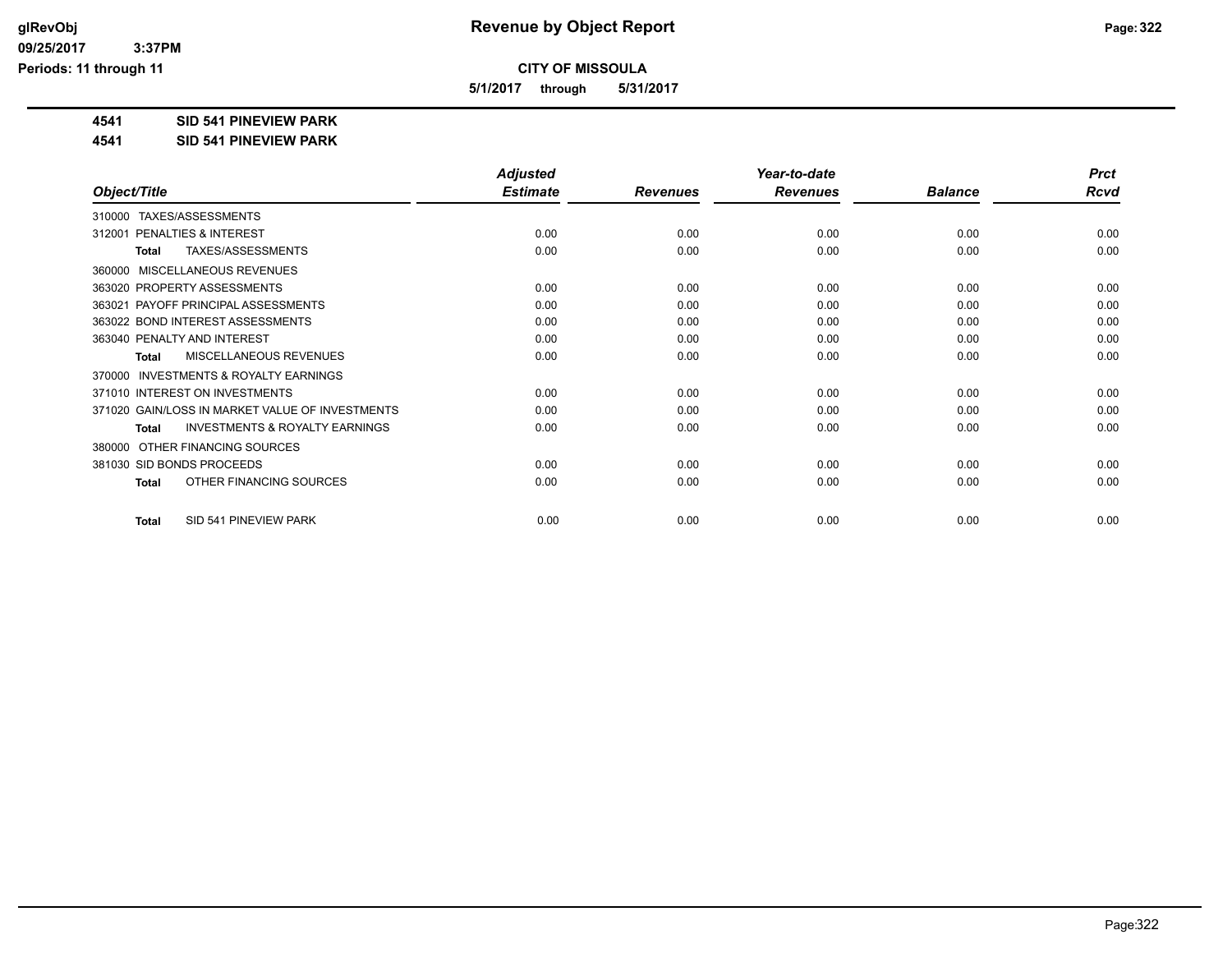**5/1/2017 through 5/31/2017**

#### **4541 SID 541 PINEVIEW PARK**

**4541 SID 541 PINEVIEW PARK**

|                                                           | <b>Adjusted</b> |                 | Year-to-date    |                | <b>Prct</b> |
|-----------------------------------------------------------|-----------------|-----------------|-----------------|----------------|-------------|
| Object/Title                                              | <b>Estimate</b> | <b>Revenues</b> | <b>Revenues</b> | <b>Balance</b> | <b>Rcvd</b> |
| TAXES/ASSESSMENTS<br>310000                               |                 |                 |                 |                |             |
| <b>PENALTIES &amp; INTEREST</b><br>312001                 | 0.00            | 0.00            | 0.00            | 0.00           | 0.00        |
| TAXES/ASSESSMENTS<br><b>Total</b>                         | 0.00            | 0.00            | 0.00            | 0.00           | 0.00        |
| MISCELLANEOUS REVENUES<br>360000                          |                 |                 |                 |                |             |
| 363020 PROPERTY ASSESSMENTS                               | 0.00            | 0.00            | 0.00            | 0.00           | 0.00        |
| PAYOFF PRINCIPAL ASSESSMENTS<br>363021                    | 0.00            | 0.00            | 0.00            | 0.00           | 0.00        |
| 363022 BOND INTEREST ASSESSMENTS                          | 0.00            | 0.00            | 0.00            | 0.00           | 0.00        |
| 363040 PENALTY AND INTEREST                               | 0.00            | 0.00            | 0.00            | 0.00           | 0.00        |
| <b>MISCELLANEOUS REVENUES</b><br><b>Total</b>             | 0.00            | 0.00            | 0.00            | 0.00           | 0.00        |
| <b>INVESTMENTS &amp; ROYALTY EARNINGS</b><br>370000       |                 |                 |                 |                |             |
| 371010 INTEREST ON INVESTMENTS                            | 0.00            | 0.00            | 0.00            | 0.00           | 0.00        |
| 371020 GAIN/LOSS IN MARKET VALUE OF INVESTMENTS           | 0.00            | 0.00            | 0.00            | 0.00           | 0.00        |
| <b>INVESTMENTS &amp; ROYALTY EARNINGS</b><br><b>Total</b> | 0.00            | 0.00            | 0.00            | 0.00           | 0.00        |
| OTHER FINANCING SOURCES<br>380000                         |                 |                 |                 |                |             |
| 381030 SID BONDS PROCEEDS                                 | 0.00            | 0.00            | 0.00            | 0.00           | 0.00        |
| OTHER FINANCING SOURCES<br><b>Total</b>                   | 0.00            | 0.00            | 0.00            | 0.00           | 0.00        |
|                                                           |                 |                 |                 |                |             |
| SID 541 PINEVIEW PARK<br><b>Total</b>                     | 0.00            | 0.00            | 0.00            | 0.00           | 0.00        |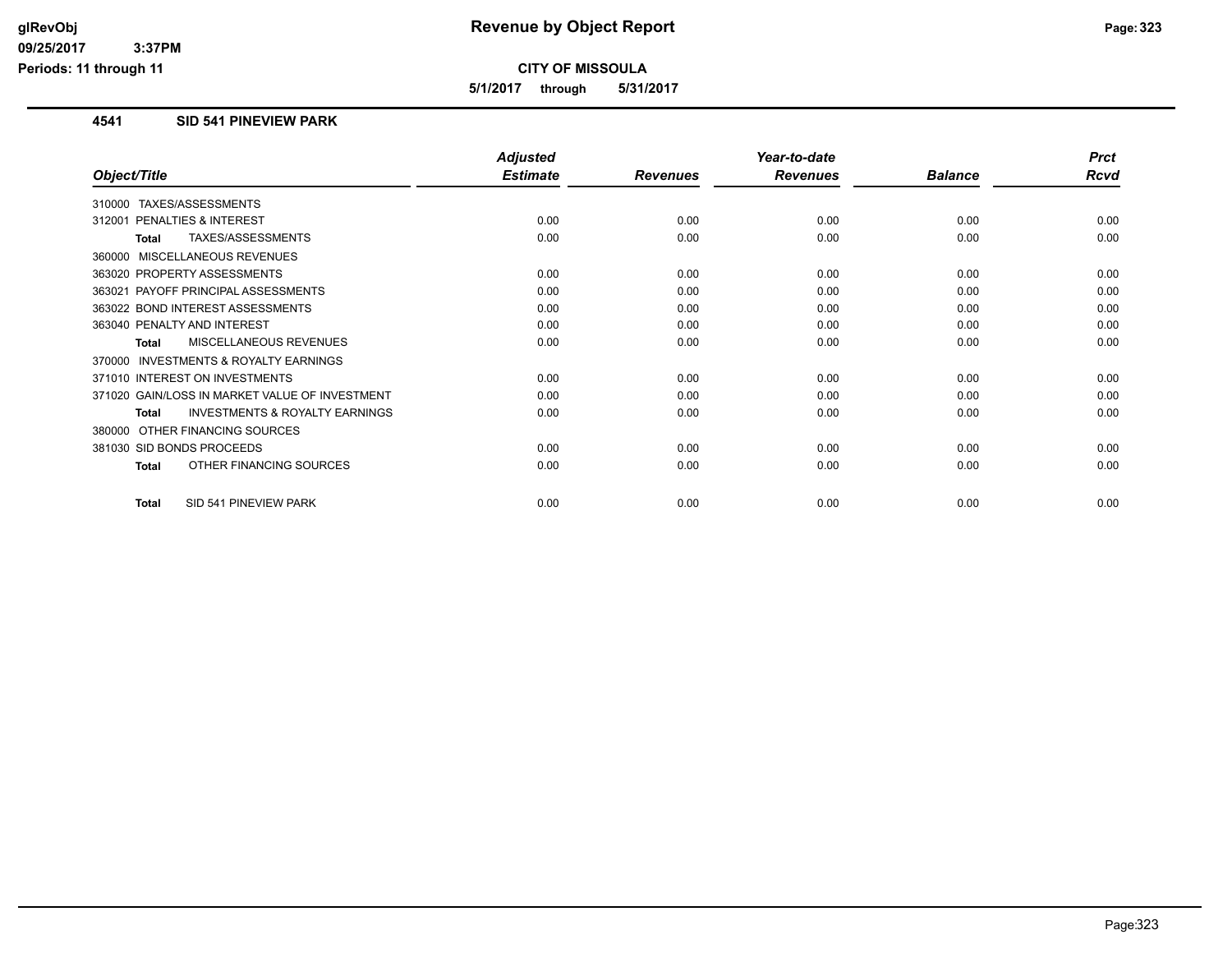**5/1/2017 through 5/31/2017**

# **4541 SID 541 PINEVIEW PARK**

|                                                    | <b>Adjusted</b> |                 | Year-to-date    |                | <b>Prct</b> |
|----------------------------------------------------|-----------------|-----------------|-----------------|----------------|-------------|
| Object/Title                                       | <b>Estimate</b> | <b>Revenues</b> | <b>Revenues</b> | <b>Balance</b> | <b>Rcvd</b> |
| TAXES/ASSESSMENTS<br>310000                        |                 |                 |                 |                |             |
| 312001 PENALTIES & INTEREST                        | 0.00            | 0.00            | 0.00            | 0.00           | 0.00        |
| TAXES/ASSESSMENTS<br><b>Total</b>                  | 0.00            | 0.00            | 0.00            | 0.00           | 0.00        |
| 360000 MISCELLANEOUS REVENUES                      |                 |                 |                 |                |             |
| 363020 PROPERTY ASSESSMENTS                        | 0.00            | 0.00            | 0.00            | 0.00           | 0.00        |
| 363021 PAYOFF PRINCIPAL ASSESSMENTS                | 0.00            | 0.00            | 0.00            | 0.00           | 0.00        |
| 363022 BOND INTEREST ASSESSMENTS                   | 0.00            | 0.00            | 0.00            | 0.00           | 0.00        |
| 363040 PENALTY AND INTEREST                        | 0.00            | 0.00            | 0.00            | 0.00           | 0.00        |
| MISCELLANEOUS REVENUES<br>Total                    | 0.00            | 0.00            | 0.00            | 0.00           | 0.00        |
| 370000 INVESTMENTS & ROYALTY EARNINGS              |                 |                 |                 |                |             |
| 371010 INTEREST ON INVESTMENTS                     | 0.00            | 0.00            | 0.00            | 0.00           | 0.00        |
| 371020 GAIN/LOSS IN MARKET VALUE OF INVESTMENT     | 0.00            | 0.00            | 0.00            | 0.00           | 0.00        |
| <b>INVESTMENTS &amp; ROYALTY EARNINGS</b><br>Total | 0.00            | 0.00            | 0.00            | 0.00           | 0.00        |
| 380000 OTHER FINANCING SOURCES                     |                 |                 |                 |                |             |
| 381030 SID BONDS PROCEEDS                          | 0.00            | 0.00            | 0.00            | 0.00           | 0.00        |
| OTHER FINANCING SOURCES<br><b>Total</b>            | 0.00            | 0.00            | 0.00            | 0.00           | 0.00        |
| SID 541 PINEVIEW PARK<br><b>Total</b>              | 0.00            | 0.00            | 0.00            | 0.00           | 0.00        |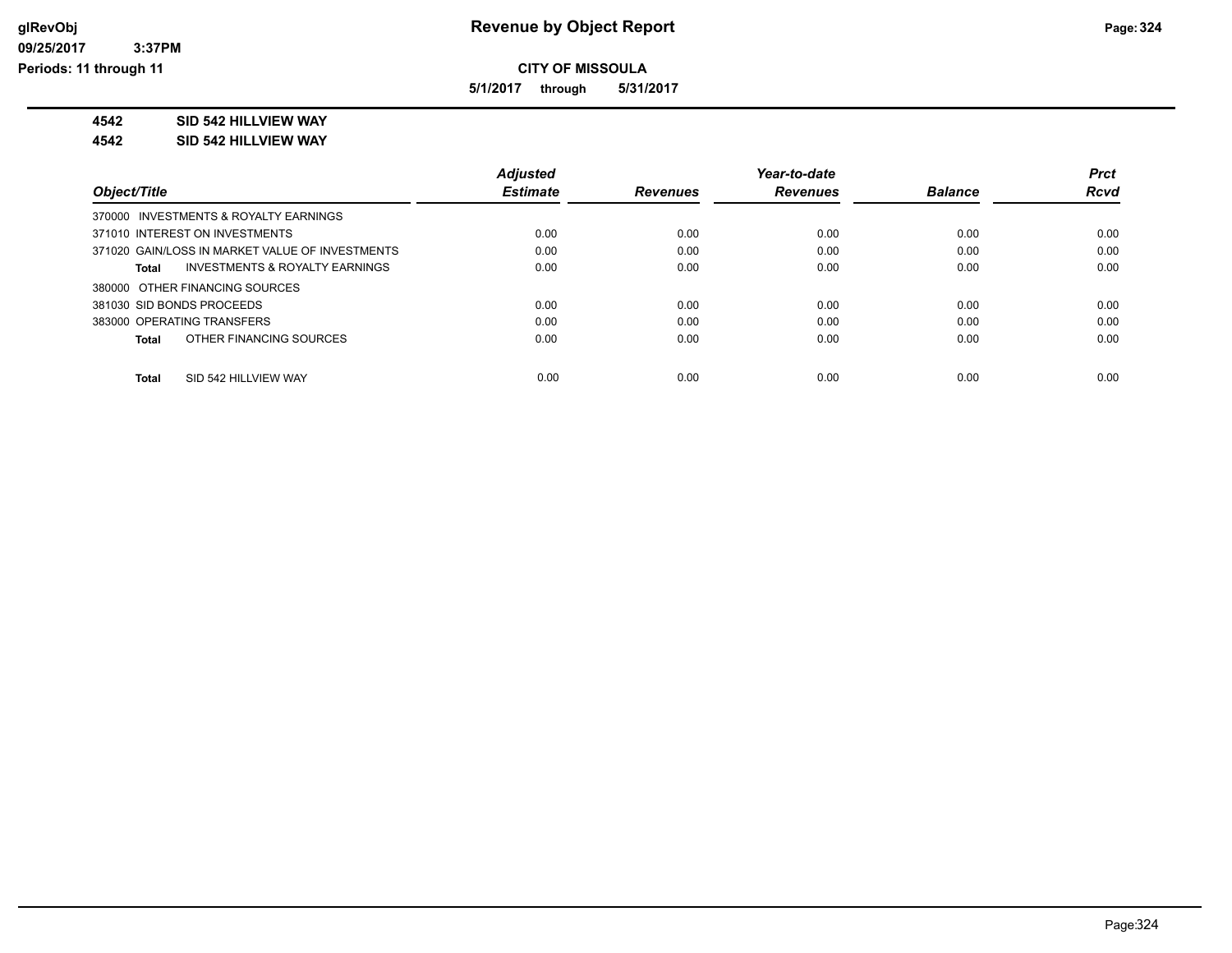**5/1/2017 through 5/31/2017**

## **4542 SID 542 HILLVIEW WAY**

**4542 SID 542 HILLVIEW WAY**

|                                                    | <b>Adjusted</b> |                 | Year-to-date    |                | <b>Prct</b> |
|----------------------------------------------------|-----------------|-----------------|-----------------|----------------|-------------|
| Object/Title                                       | <b>Estimate</b> | <b>Revenues</b> | <b>Revenues</b> | <b>Balance</b> | <b>Rcvd</b> |
| 370000 INVESTMENTS & ROYALTY EARNINGS              |                 |                 |                 |                |             |
| 371010 INTEREST ON INVESTMENTS                     | 0.00            | 0.00            | 0.00            | 0.00           | 0.00        |
| 371020 GAIN/LOSS IN MARKET VALUE OF INVESTMENTS    | 0.00            | 0.00            | 0.00            | 0.00           | 0.00        |
| <b>INVESTMENTS &amp; ROYALTY EARNINGS</b><br>Total | 0.00            | 0.00            | 0.00            | 0.00           | 0.00        |
| 380000 OTHER FINANCING SOURCES                     |                 |                 |                 |                |             |
| 381030 SID BONDS PROCEEDS                          | 0.00            | 0.00            | 0.00            | 0.00           | 0.00        |
| 383000 OPERATING TRANSFERS                         | 0.00            | 0.00            | 0.00            | 0.00           | 0.00        |
| OTHER FINANCING SOURCES<br>Total                   | 0.00            | 0.00            | 0.00            | 0.00           | 0.00        |
|                                                    |                 |                 |                 |                |             |
| SID 542 HILLVIEW WAY<br>Total                      | 0.00            | 0.00            | 0.00            | 0.00           | 0.00        |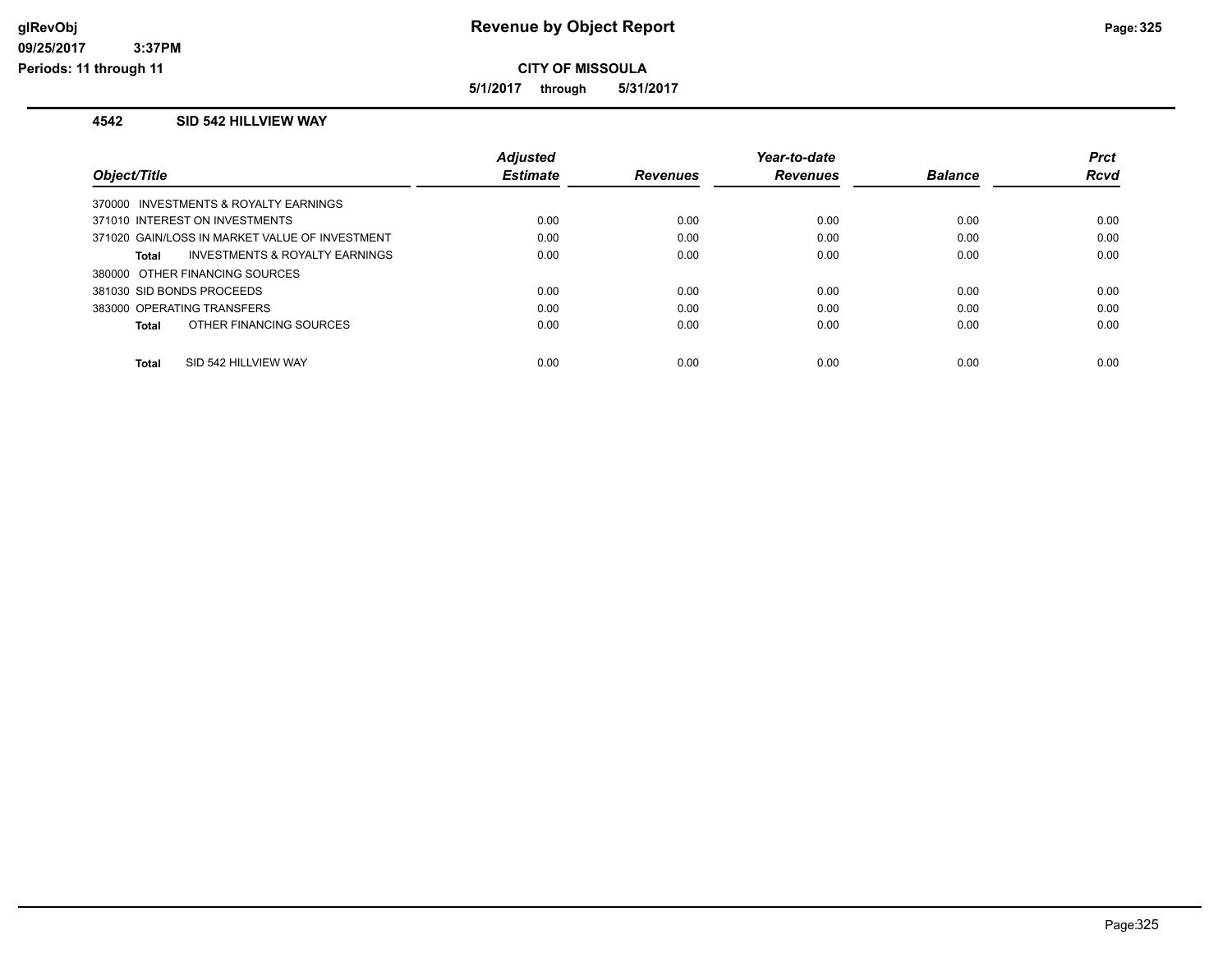**5/1/2017 through 5/31/2017**

#### **4542 SID 542 HILLVIEW WAY**

|                                                    | <b>Adjusted</b> |                 | Year-to-date    |                | <b>Prct</b> |
|----------------------------------------------------|-----------------|-----------------|-----------------|----------------|-------------|
| Object/Title                                       | <b>Estimate</b> | <b>Revenues</b> | <b>Revenues</b> | <b>Balance</b> | <b>Rcvd</b> |
| 370000 INVESTMENTS & ROYALTY EARNINGS              |                 |                 |                 |                |             |
| 371010 INTEREST ON INVESTMENTS                     | 0.00            | 0.00            | 0.00            | 0.00           | 0.00        |
| 371020 GAIN/LOSS IN MARKET VALUE OF INVESTMENT     | 0.00            | 0.00            | 0.00            | 0.00           | 0.00        |
| <b>INVESTMENTS &amp; ROYALTY EARNINGS</b><br>Total | 0.00            | 0.00            | 0.00            | 0.00           | 0.00        |
| 380000 OTHER FINANCING SOURCES                     |                 |                 |                 |                |             |
| 381030 SID BONDS PROCEEDS                          | 0.00            | 0.00            | 0.00            | 0.00           | 0.00        |
| 383000 OPERATING TRANSFERS                         | 0.00            | 0.00            | 0.00            | 0.00           | 0.00        |
| OTHER FINANCING SOURCES<br>Total                   | 0.00            | 0.00            | 0.00            | 0.00           | 0.00        |
| SID 542 HILLVIEW WAY<br><b>Total</b>               | 0.00            | 0.00            | 0.00            | 0.00           | 0.00        |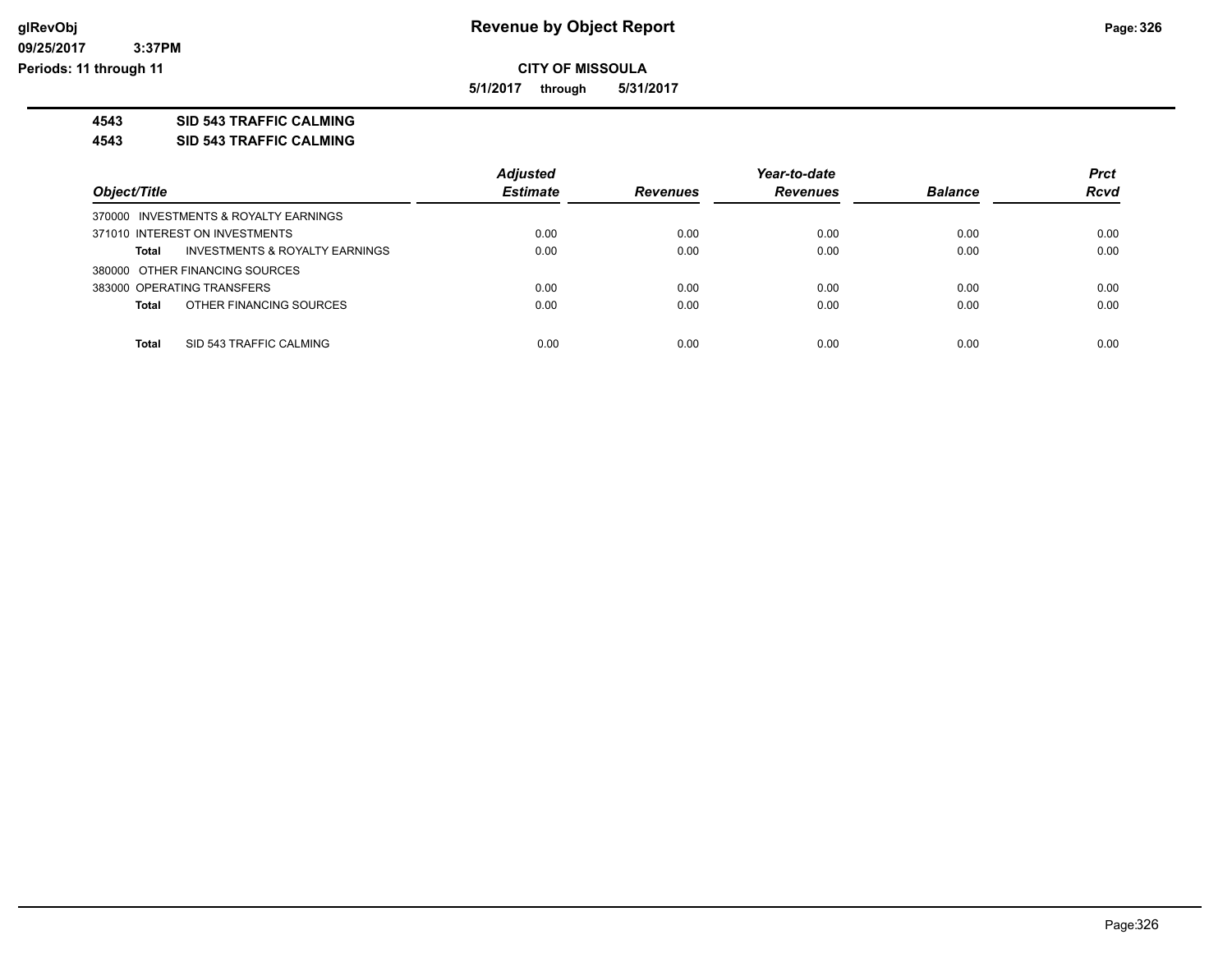**5/1/2017 through 5/31/2017**

#### **4543 SID 543 TRAFFIC CALMING**

#### **4543 SID 543 TRAFFIC CALMING**

|                                                           | <b>Adjusted</b> |                 | Year-to-date    |                | <b>Prct</b> |
|-----------------------------------------------------------|-----------------|-----------------|-----------------|----------------|-------------|
| Object/Title                                              | <b>Estimate</b> | <b>Revenues</b> | <b>Revenues</b> | <b>Balance</b> | <b>Rcvd</b> |
| 370000 INVESTMENTS & ROYALTY EARNINGS                     |                 |                 |                 |                |             |
| 371010 INTEREST ON INVESTMENTS                            | 0.00            | 0.00            | 0.00            | 0.00           | 0.00        |
| <b>INVESTMENTS &amp; ROYALTY EARNINGS</b><br><b>Total</b> | 0.00            | 0.00            | 0.00            | 0.00           | 0.00        |
| 380000 OTHER FINANCING SOURCES                            |                 |                 |                 |                |             |
| 383000 OPERATING TRANSFERS                                | 0.00            | 0.00            | 0.00            | 0.00           | 0.00        |
| OTHER FINANCING SOURCES<br><b>Total</b>                   | 0.00            | 0.00            | 0.00            | 0.00           | 0.00        |
|                                                           |                 |                 |                 |                |             |
| SID 543 TRAFFIC CALMING<br>Total                          | 0.00            | 0.00            | 0.00            | 0.00           | 0.00        |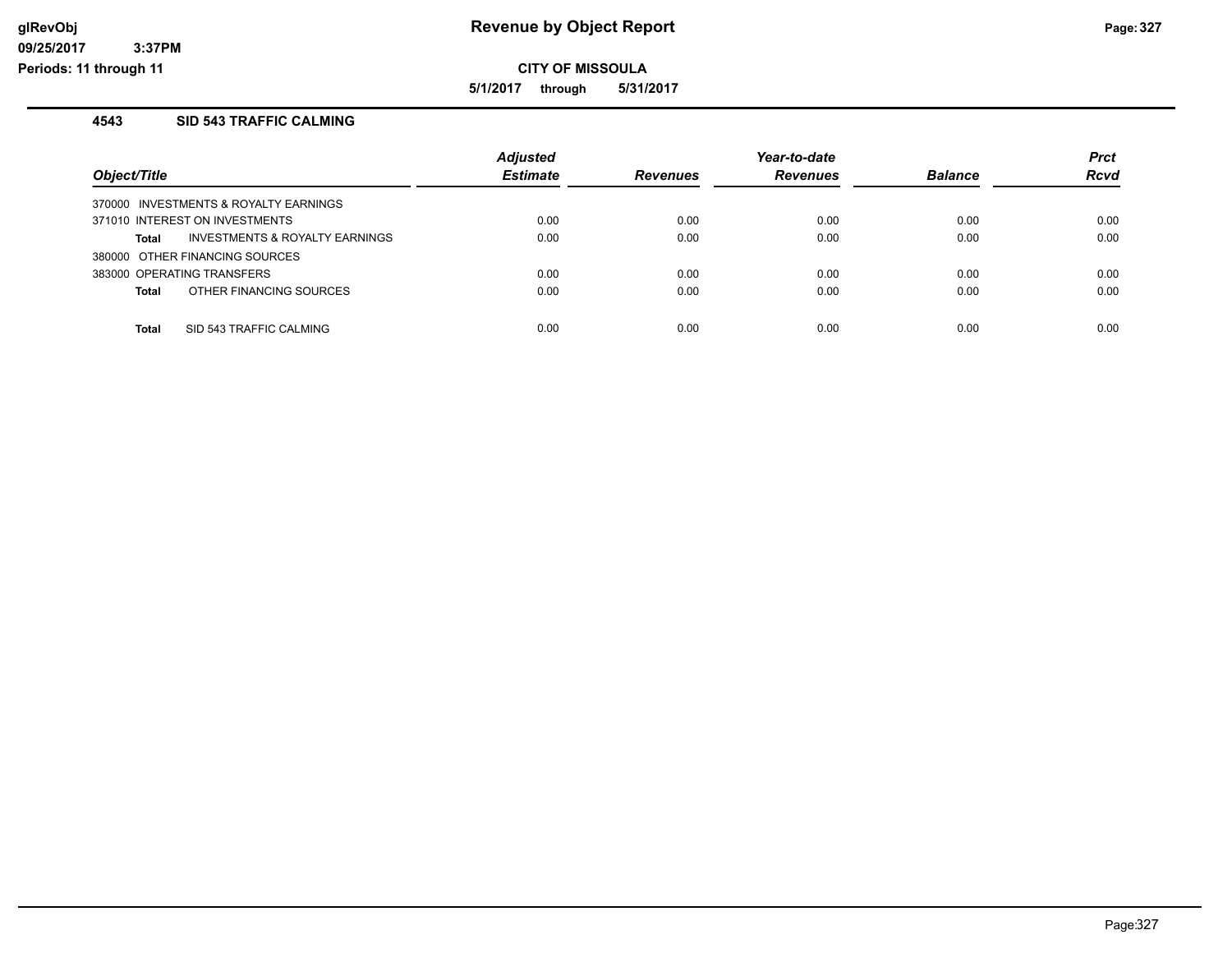**CITY OF MISSOULA**

**5/1/2017 through 5/31/2017**

#### **4543 SID 543 TRAFFIC CALMING**

| Object/Title                            | <b>Adjusted</b><br><b>Estimate</b> | <b>Revenues</b> | Year-to-date<br><b>Revenues</b> | <b>Balance</b> | <b>Prct</b><br><b>Rcvd</b> |
|-----------------------------------------|------------------------------------|-----------------|---------------------------------|----------------|----------------------------|
| 370000 INVESTMENTS & ROYALTY EARNINGS   |                                    |                 |                                 |                |                            |
| 371010 INTEREST ON INVESTMENTS          | 0.00                               | 0.00            | 0.00                            | 0.00           | 0.00                       |
| INVESTMENTS & ROYALTY EARNINGS<br>Total | 0.00                               | 0.00            | 0.00                            | 0.00           | 0.00                       |
| 380000 OTHER FINANCING SOURCES          |                                    |                 |                                 |                |                            |
| 383000 OPERATING TRANSFERS              | 0.00                               | 0.00            | 0.00                            | 0.00           | 0.00                       |
| OTHER FINANCING SOURCES<br>Total        | 0.00                               | 0.00            | 0.00                            | 0.00           | 0.00                       |
|                                         |                                    |                 |                                 |                |                            |
| SID 543 TRAFFIC CALMING<br><b>Total</b> | 0.00                               | 0.00            | 0.00                            | 0.00           | 0.00                       |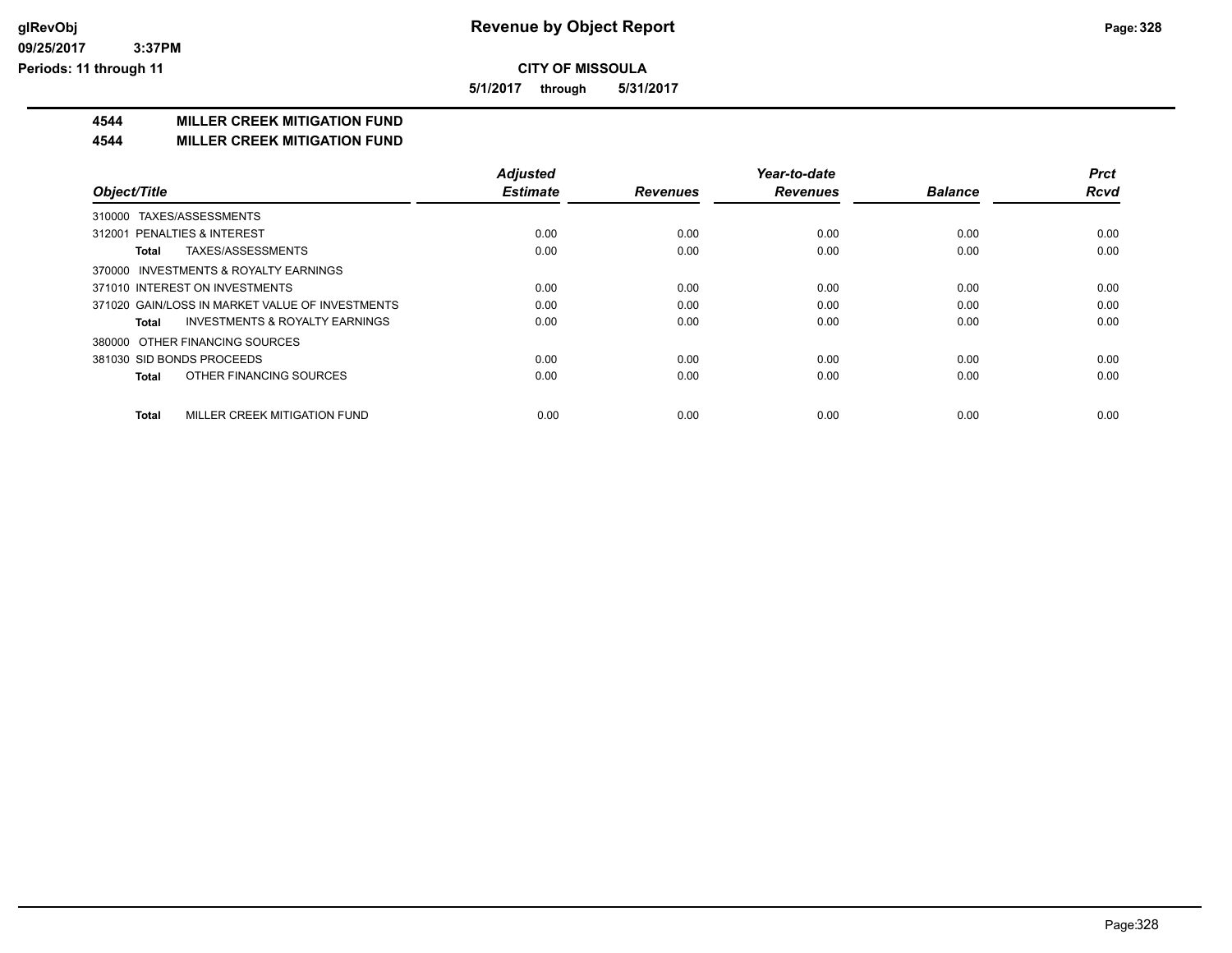**CITY OF MISSOULA**

**5/1/2017 through 5/31/2017**

## **4544 MILLER CREEK MITIGATION FUND**

 **3:37PM**

#### **4544 MILLER CREEK MITIGATION FUND**

|                                                    | <b>Adjusted</b> |                 | Year-to-date    |                | <b>Prct</b> |
|----------------------------------------------------|-----------------|-----------------|-----------------|----------------|-------------|
| Object/Title                                       | <b>Estimate</b> | <b>Revenues</b> | <b>Revenues</b> | <b>Balance</b> | <b>Rcvd</b> |
| TAXES/ASSESSMENTS<br>310000                        |                 |                 |                 |                |             |
| <b>PENALTIES &amp; INTEREST</b><br>312001          | 0.00            | 0.00            | 0.00            | 0.00           | 0.00        |
| TAXES/ASSESSMENTS<br>Total                         | 0.00            | 0.00            | 0.00            | 0.00           | 0.00        |
| 370000 INVESTMENTS & ROYALTY EARNINGS              |                 |                 |                 |                |             |
| 371010 INTEREST ON INVESTMENTS                     | 0.00            | 0.00            | 0.00            | 0.00           | 0.00        |
| 371020 GAIN/LOSS IN MARKET VALUE OF INVESTMENTS    | 0.00            | 0.00            | 0.00            | 0.00           | 0.00        |
| <b>INVESTMENTS &amp; ROYALTY EARNINGS</b><br>Total | 0.00            | 0.00            | 0.00            | 0.00           | 0.00        |
| 380000 OTHER FINANCING SOURCES                     |                 |                 |                 |                |             |
| 381030 SID BONDS PROCEEDS                          | 0.00            | 0.00            | 0.00            | 0.00           | 0.00        |
| OTHER FINANCING SOURCES<br>Total                   | 0.00            | 0.00            | 0.00            | 0.00           | 0.00        |
| MILLER CREEK MITIGATION FUND<br><b>Total</b>       | 0.00            | 0.00            | 0.00            | 0.00           | 0.00        |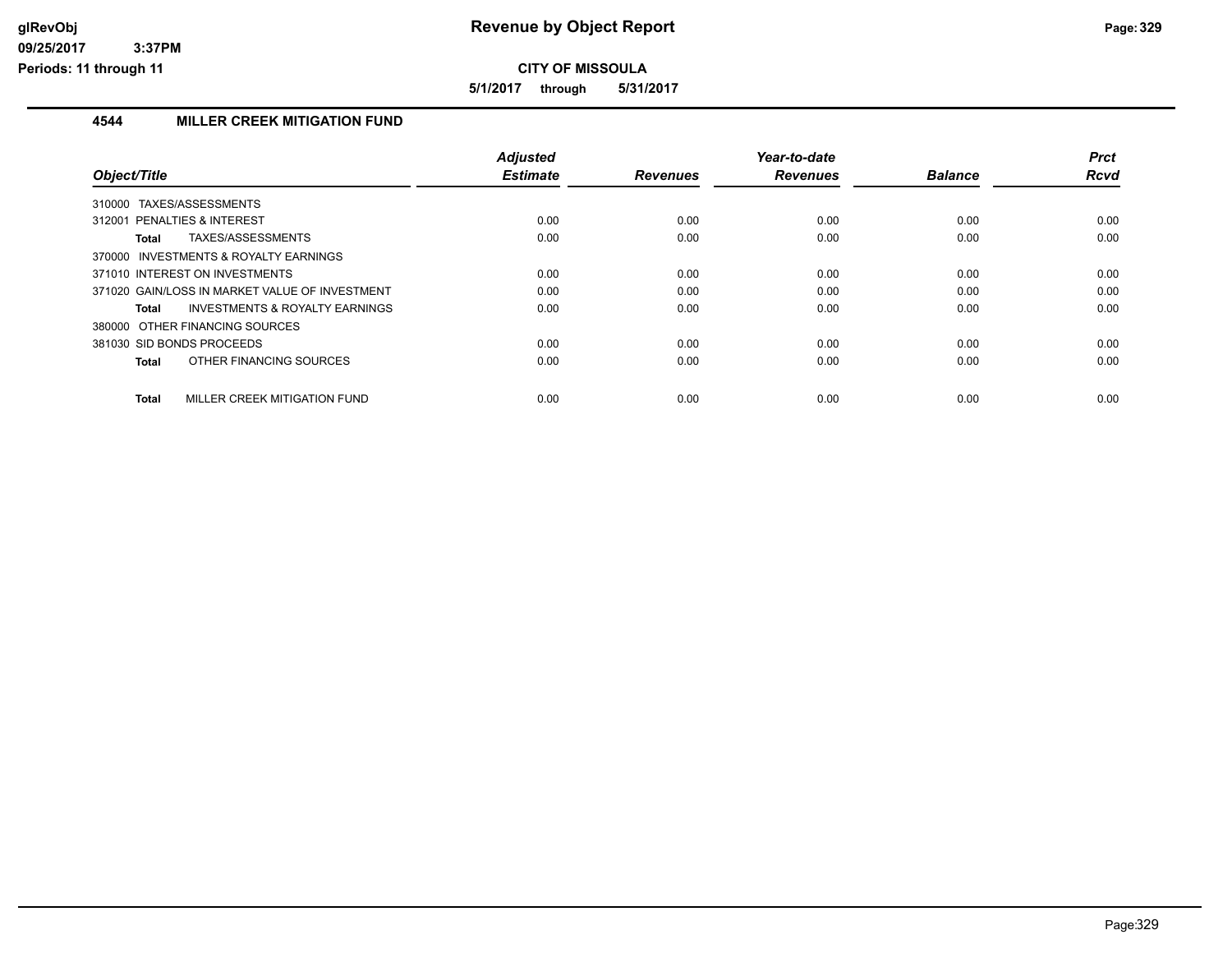**3:37PM**

**CITY OF MISSOULA**

**5/1/2017 through 5/31/2017**

#### **4544 MILLER CREEK MITIGATION FUND**

|                                                           | <b>Adjusted</b> |                 | Year-to-date    |                | <b>Prct</b> |
|-----------------------------------------------------------|-----------------|-----------------|-----------------|----------------|-------------|
| Object/Title                                              | <b>Estimate</b> | <b>Revenues</b> | <b>Revenues</b> | <b>Balance</b> | <b>Rcvd</b> |
| TAXES/ASSESSMENTS<br>310000                               |                 |                 |                 |                |             |
| 312001 PENALTIES & INTEREST                               | 0.00            | 0.00            | 0.00            | 0.00           | 0.00        |
| TAXES/ASSESSMENTS<br><b>Total</b>                         | 0.00            | 0.00            | 0.00            | 0.00           | 0.00        |
| 370000 INVESTMENTS & ROYALTY EARNINGS                     |                 |                 |                 |                |             |
| 371010 INTEREST ON INVESTMENTS                            | 0.00            | 0.00            | 0.00            | 0.00           | 0.00        |
| 371020 GAIN/LOSS IN MARKET VALUE OF INVESTMENT            | 0.00            | 0.00            | 0.00            | 0.00           | 0.00        |
| <b>INVESTMENTS &amp; ROYALTY EARNINGS</b><br><b>Total</b> | 0.00            | 0.00            | 0.00            | 0.00           | 0.00        |
| 380000 OTHER FINANCING SOURCES                            |                 |                 |                 |                |             |
| 381030 SID BONDS PROCEEDS                                 | 0.00            | 0.00            | 0.00            | 0.00           | 0.00        |
| OTHER FINANCING SOURCES<br><b>Total</b>                   | 0.00            | 0.00            | 0.00            | 0.00           | 0.00        |
| <b>Total</b><br>MILLER CREEK MITIGATION FUND              | 0.00            | 0.00            | 0.00            | 0.00           | 0.00        |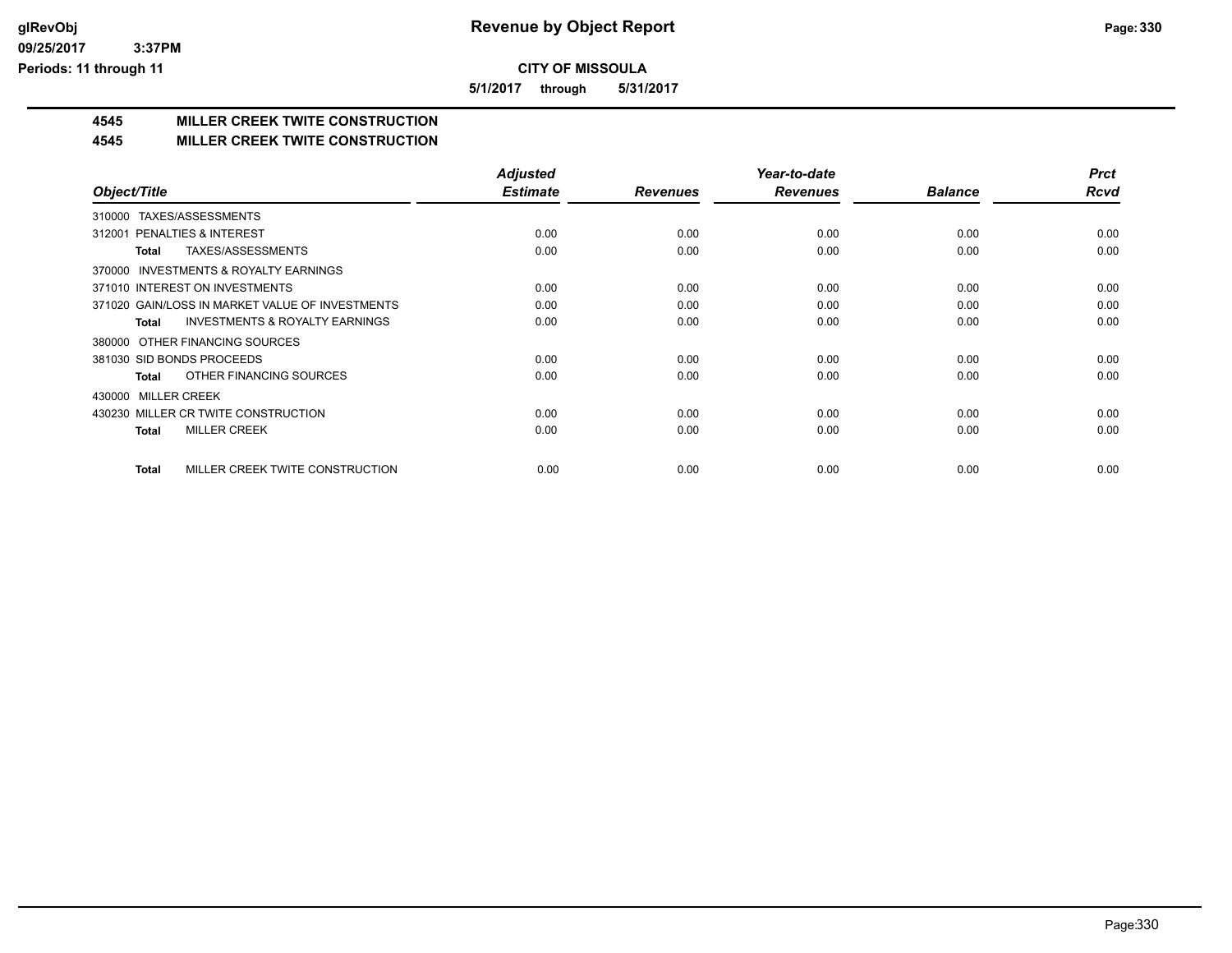**3:37PM**

**CITY OF MISSOULA**

**5/1/2017 through 5/31/2017**

## **4545 MILLER CREEK TWITE CONSTRUCTION**

### **4545 MILLER CREEK TWITE CONSTRUCTION**

|                                                     | <b>Adjusted</b> |                 | Year-to-date    |                | <b>Prct</b> |
|-----------------------------------------------------|-----------------|-----------------|-----------------|----------------|-------------|
| Object/Title                                        | <b>Estimate</b> | <b>Revenues</b> | <b>Revenues</b> | <b>Balance</b> | <b>Rcvd</b> |
| TAXES/ASSESSMENTS<br>310000                         |                 |                 |                 |                |             |
| 312001 PENALTIES & INTEREST                         | 0.00            | 0.00            | 0.00            | 0.00           | 0.00        |
| <b>TAXES/ASSESSMENTS</b><br>Total                   | 0.00            | 0.00            | 0.00            | 0.00           | 0.00        |
| <b>INVESTMENTS &amp; ROYALTY EARNINGS</b><br>370000 |                 |                 |                 |                |             |
| 371010 INTEREST ON INVESTMENTS                      | 0.00            | 0.00            | 0.00            | 0.00           | 0.00        |
| 371020 GAIN/LOSS IN MARKET VALUE OF INVESTMENTS     | 0.00            | 0.00            | 0.00            | 0.00           | 0.00        |
| <b>INVESTMENTS &amp; ROYALTY EARNINGS</b><br>Total  | 0.00            | 0.00            | 0.00            | 0.00           | 0.00        |
| OTHER FINANCING SOURCES<br>380000                   |                 |                 |                 |                |             |
| 381030 SID BONDS PROCEEDS                           | 0.00            | 0.00            | 0.00            | 0.00           | 0.00        |
| OTHER FINANCING SOURCES<br>Total                    | 0.00            | 0.00            | 0.00            | 0.00           | 0.00        |
| <b>MILLER CREEK</b><br>430000                       |                 |                 |                 |                |             |
| 430230 MILLER CR TWITE CONSTRUCTION                 | 0.00            | 0.00            | 0.00            | 0.00           | 0.00        |
| <b>MILLER CREEK</b><br>Total                        | 0.00            | 0.00            | 0.00            | 0.00           | 0.00        |
|                                                     |                 |                 |                 |                |             |
| MILLER CREEK TWITE CONSTRUCTION<br>Total            | 0.00            | 0.00            | 0.00            | 0.00           | 0.00        |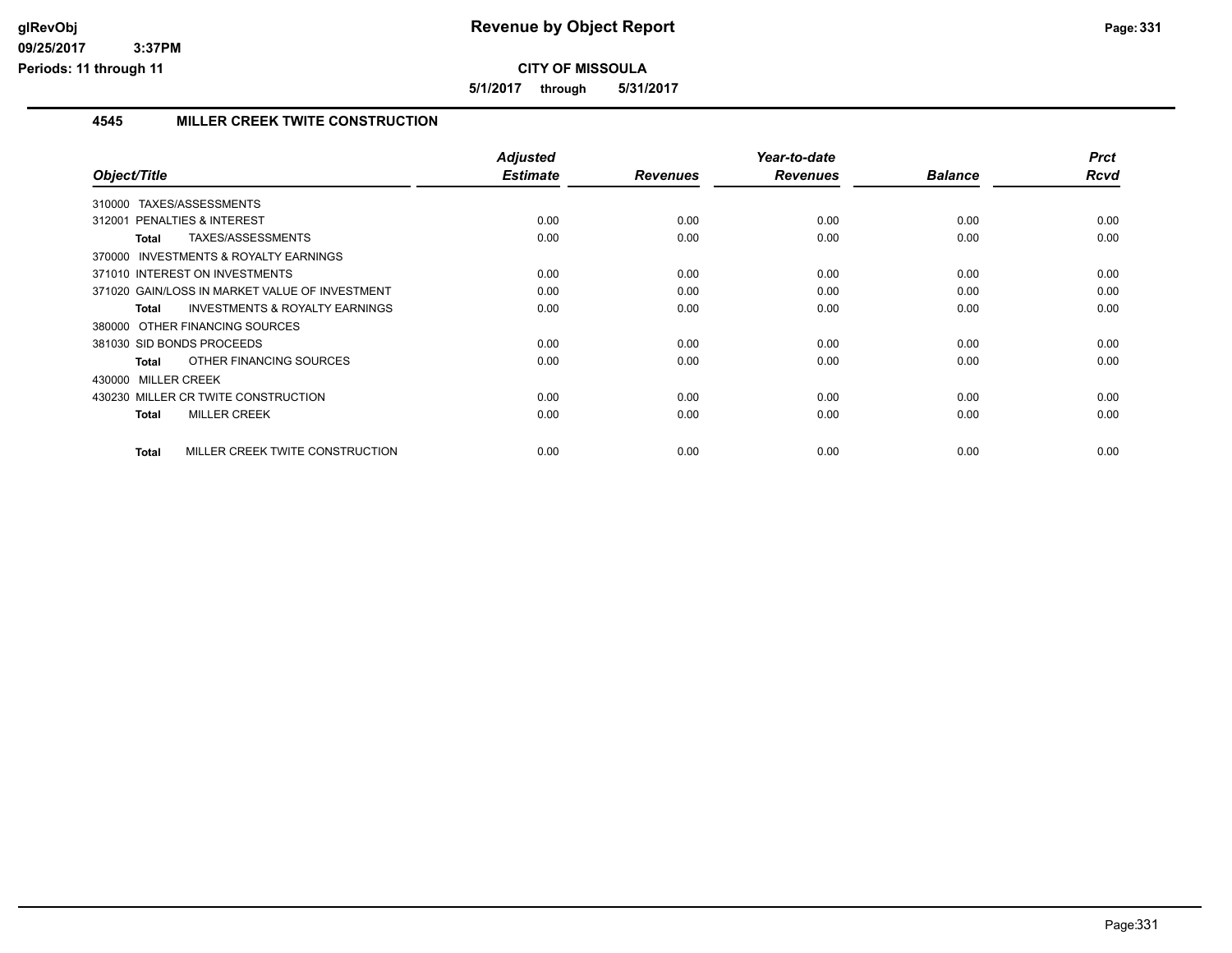**5/1/2017 through 5/31/2017**

#### **4545 MILLER CREEK TWITE CONSTRUCTION**

| Object/Title              |                                                | <b>Adjusted</b><br><b>Estimate</b> | <b>Revenues</b> | Year-to-date<br><b>Revenues</b> | <b>Balance</b> | <b>Prct</b><br><b>Rcvd</b> |
|---------------------------|------------------------------------------------|------------------------------------|-----------------|---------------------------------|----------------|----------------------------|
| 310000 TAXES/ASSESSMENTS  |                                                |                                    |                 |                                 |                |                            |
|                           | 312001 PENALTIES & INTEREST                    | 0.00                               | 0.00            | 0.00                            | 0.00           | 0.00                       |
| <b>Total</b>              | TAXES/ASSESSMENTS                              | 0.00                               | 0.00            | 0.00                            | 0.00           | 0.00                       |
|                           | 370000 INVESTMENTS & ROYALTY EARNINGS          |                                    |                 |                                 |                |                            |
|                           | 371010 INTEREST ON INVESTMENTS                 | 0.00                               | 0.00            | 0.00                            | 0.00           | 0.00                       |
|                           | 371020 GAIN/LOSS IN MARKET VALUE OF INVESTMENT | 0.00                               | 0.00            | 0.00                            | 0.00           | 0.00                       |
| <b>Total</b>              | <b>INVESTMENTS &amp; ROYALTY EARNINGS</b>      | 0.00                               | 0.00            | 0.00                            | 0.00           | 0.00                       |
|                           | 380000 OTHER FINANCING SOURCES                 |                                    |                 |                                 |                |                            |
| 381030 SID BONDS PROCEEDS |                                                | 0.00                               | 0.00            | 0.00                            | 0.00           | 0.00                       |
| <b>Total</b>              | OTHER FINANCING SOURCES                        | 0.00                               | 0.00            | 0.00                            | 0.00           | 0.00                       |
| 430000 MILLER CREEK       |                                                |                                    |                 |                                 |                |                            |
|                           | 430230 MILLER CR TWITE CONSTRUCTION            | 0.00                               | 0.00            | 0.00                            | 0.00           | 0.00                       |
| <b>Total</b>              | <b>MILLER CREEK</b>                            | 0.00                               | 0.00            | 0.00                            | 0.00           | 0.00                       |
| <b>Total</b>              | MILLER CREEK TWITE CONSTRUCTION                | 0.00                               | 0.00            | 0.00                            | 0.00           | 0.00                       |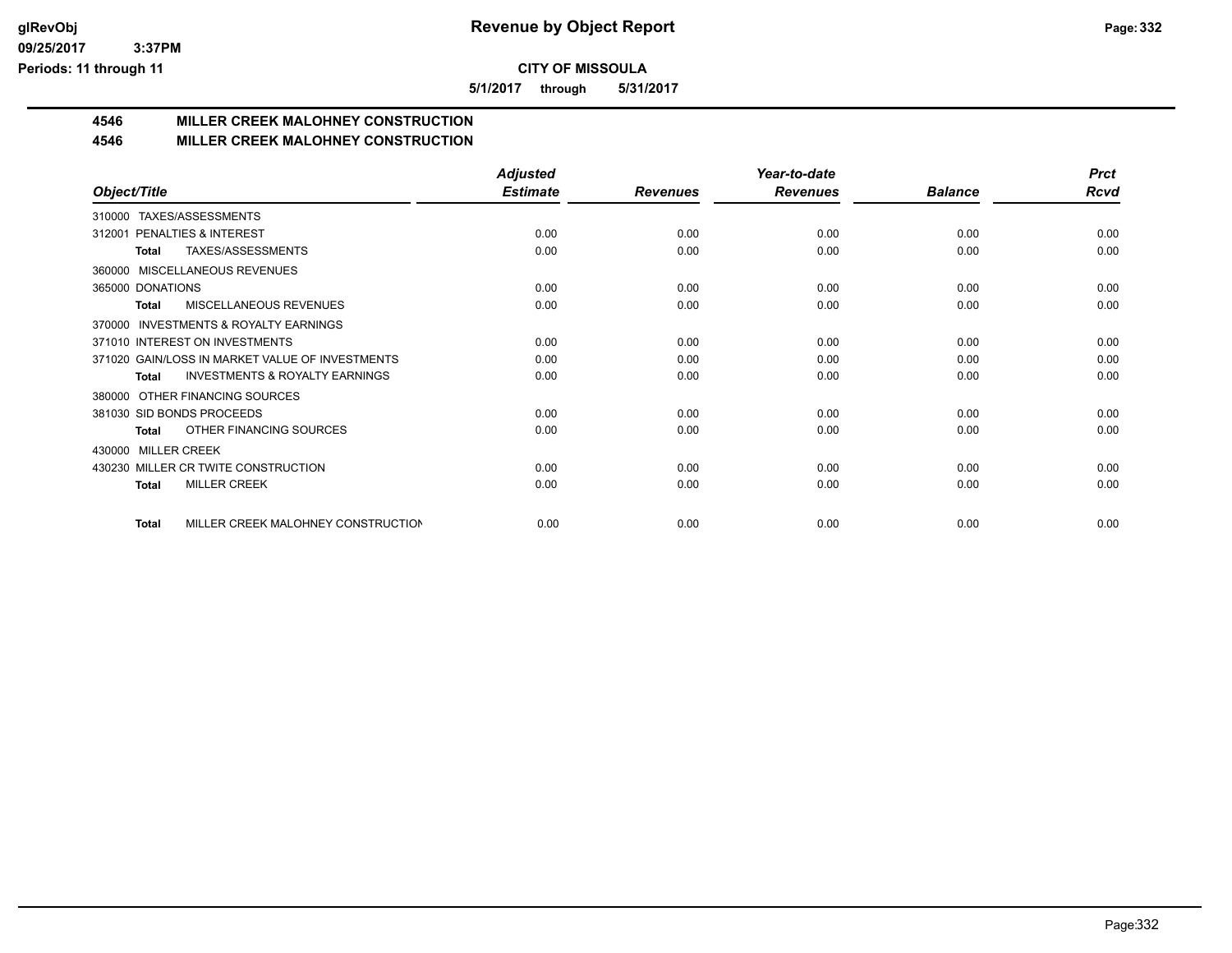**5/1/2017 through 5/31/2017**

## **4546 MILLER CREEK MALOHNEY CONSTRUCTION**

## **4546 MILLER CREEK MALOHNEY CONSTRUCTION**

|                                                           | <b>Adjusted</b> |                 | Year-to-date    |                | <b>Prct</b> |
|-----------------------------------------------------------|-----------------|-----------------|-----------------|----------------|-------------|
| Object/Title                                              | <b>Estimate</b> | <b>Revenues</b> | <b>Revenues</b> | <b>Balance</b> | Rcvd        |
| TAXES/ASSESSMENTS<br>310000                               |                 |                 |                 |                |             |
| PENALTIES & INTEREST<br>312001                            | 0.00            | 0.00            | 0.00            | 0.00           | 0.00        |
| TAXES/ASSESSMENTS<br><b>Total</b>                         | 0.00            | 0.00            | 0.00            | 0.00           | 0.00        |
| 360000 MISCELLANEOUS REVENUES                             |                 |                 |                 |                |             |
| 365000 DONATIONS                                          | 0.00            | 0.00            | 0.00            | 0.00           | 0.00        |
| <b>MISCELLANEOUS REVENUES</b><br><b>Total</b>             | 0.00            | 0.00            | 0.00            | 0.00           | 0.00        |
| <b>INVESTMENTS &amp; ROYALTY EARNINGS</b><br>370000       |                 |                 |                 |                |             |
| 371010 INTEREST ON INVESTMENTS                            | 0.00            | 0.00            | 0.00            | 0.00           | 0.00        |
| 371020 GAIN/LOSS IN MARKET VALUE OF INVESTMENTS           | 0.00            | 0.00            | 0.00            | 0.00           | 0.00        |
| <b>INVESTMENTS &amp; ROYALTY EARNINGS</b><br><b>Total</b> | 0.00            | 0.00            | 0.00            | 0.00           | 0.00        |
| OTHER FINANCING SOURCES<br>380000                         |                 |                 |                 |                |             |
| 381030 SID BONDS PROCEEDS                                 | 0.00            | 0.00            | 0.00            | 0.00           | 0.00        |
| OTHER FINANCING SOURCES<br><b>Total</b>                   | 0.00            | 0.00            | 0.00            | 0.00           | 0.00        |
| 430000 MILLER CREEK                                       |                 |                 |                 |                |             |
| 430230 MILLER CR TWITE CONSTRUCTION                       | 0.00            | 0.00            | 0.00            | 0.00           | 0.00        |
| <b>MILLER CREEK</b><br>Total                              | 0.00            | 0.00            | 0.00            | 0.00           | 0.00        |
|                                                           |                 |                 |                 |                |             |
| MILLER CREEK MALOHNEY CONSTRUCTION<br><b>Total</b>        | 0.00            | 0.00            | 0.00            | 0.00           | 0.00        |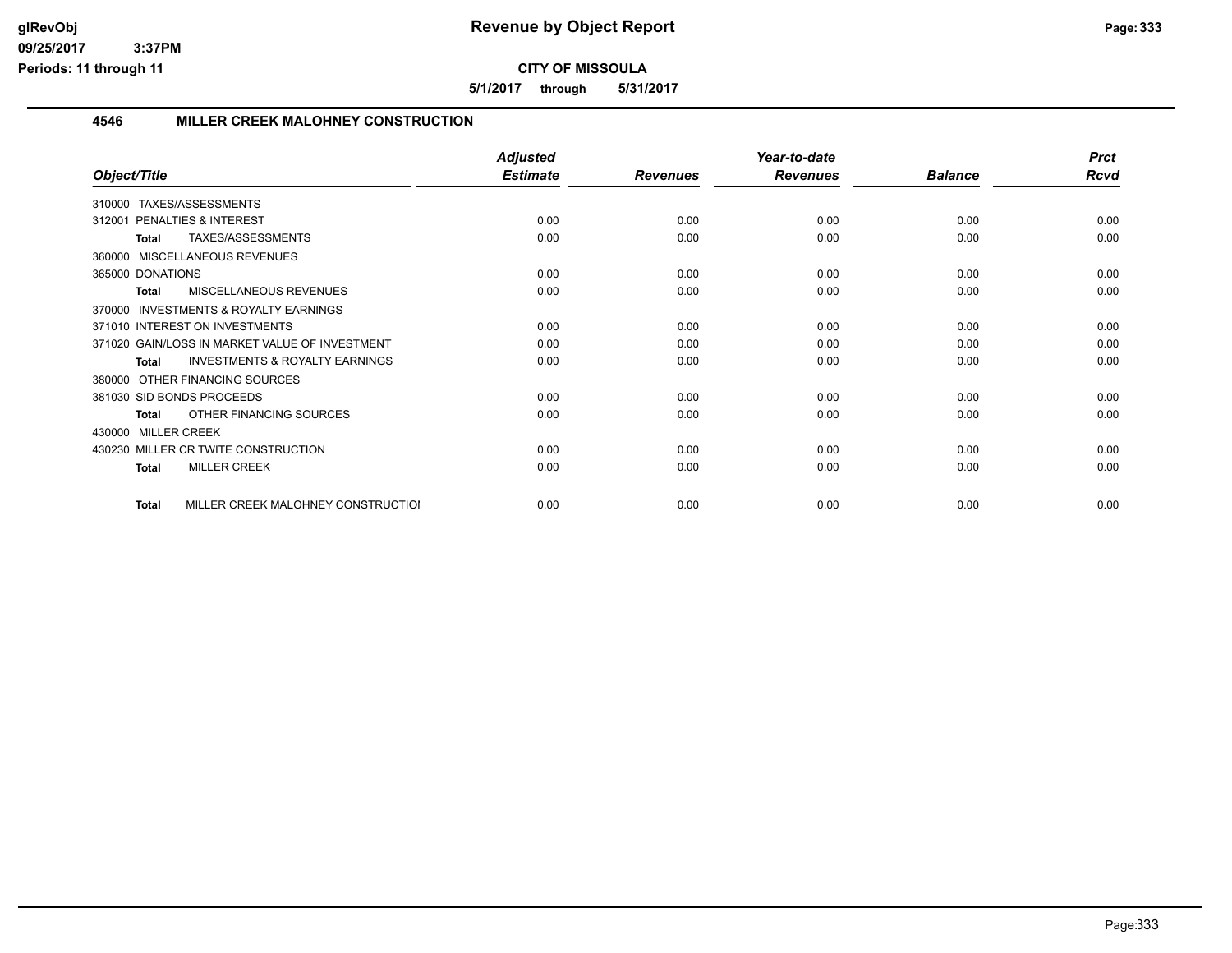**3:37PM**

**CITY OF MISSOULA**

**5/1/2017 through 5/31/2017**

#### **4546 MILLER CREEK MALOHNEY CONSTRUCTION**

|                                                    | <b>Adjusted</b> |                 | Year-to-date    |                | <b>Prct</b> |
|----------------------------------------------------|-----------------|-----------------|-----------------|----------------|-------------|
| Object/Title                                       | <b>Estimate</b> | <b>Revenues</b> | <b>Revenues</b> | <b>Balance</b> | <b>Rcvd</b> |
| TAXES/ASSESSMENTS<br>310000                        |                 |                 |                 |                |             |
| 312001 PENALTIES & INTEREST                        | 0.00            | 0.00            | 0.00            | 0.00           | 0.00        |
| TAXES/ASSESSMENTS<br><b>Total</b>                  | 0.00            | 0.00            | 0.00            | 0.00           | 0.00        |
| 360000 MISCELLANEOUS REVENUES                      |                 |                 |                 |                |             |
| 365000 DONATIONS                                   | 0.00            | 0.00            | 0.00            | 0.00           | 0.00        |
| MISCELLANEOUS REVENUES<br>Total                    | 0.00            | 0.00            | 0.00            | 0.00           | 0.00        |
| INVESTMENTS & ROYALTY EARNINGS<br>370000           |                 |                 |                 |                |             |
| 371010 INTEREST ON INVESTMENTS                     | 0.00            | 0.00            | 0.00            | 0.00           | 0.00        |
| 371020 GAIN/LOSS IN MARKET VALUE OF INVESTMENT     | 0.00            | 0.00            | 0.00            | 0.00           | 0.00        |
| <b>INVESTMENTS &amp; ROYALTY EARNINGS</b><br>Total | 0.00            | 0.00            | 0.00            | 0.00           | 0.00        |
| OTHER FINANCING SOURCES<br>380000                  |                 |                 |                 |                |             |
| 381030 SID BONDS PROCEEDS                          | 0.00            | 0.00            | 0.00            | 0.00           | 0.00        |
| OTHER FINANCING SOURCES<br><b>Total</b>            | 0.00            | 0.00            | 0.00            | 0.00           | 0.00        |
| 430000 MILLER CREEK                                |                 |                 |                 |                |             |
| 430230 MILLER CR TWITE CONSTRUCTION                | 0.00            | 0.00            | 0.00            | 0.00           | 0.00        |
| <b>MILLER CREEK</b><br><b>Total</b>                | 0.00            | 0.00            | 0.00            | 0.00           | 0.00        |
| MILLER CREEK MALOHNEY CONSTRUCTIOI<br><b>Total</b> | 0.00            | 0.00            | 0.00            | 0.00           | 0.00        |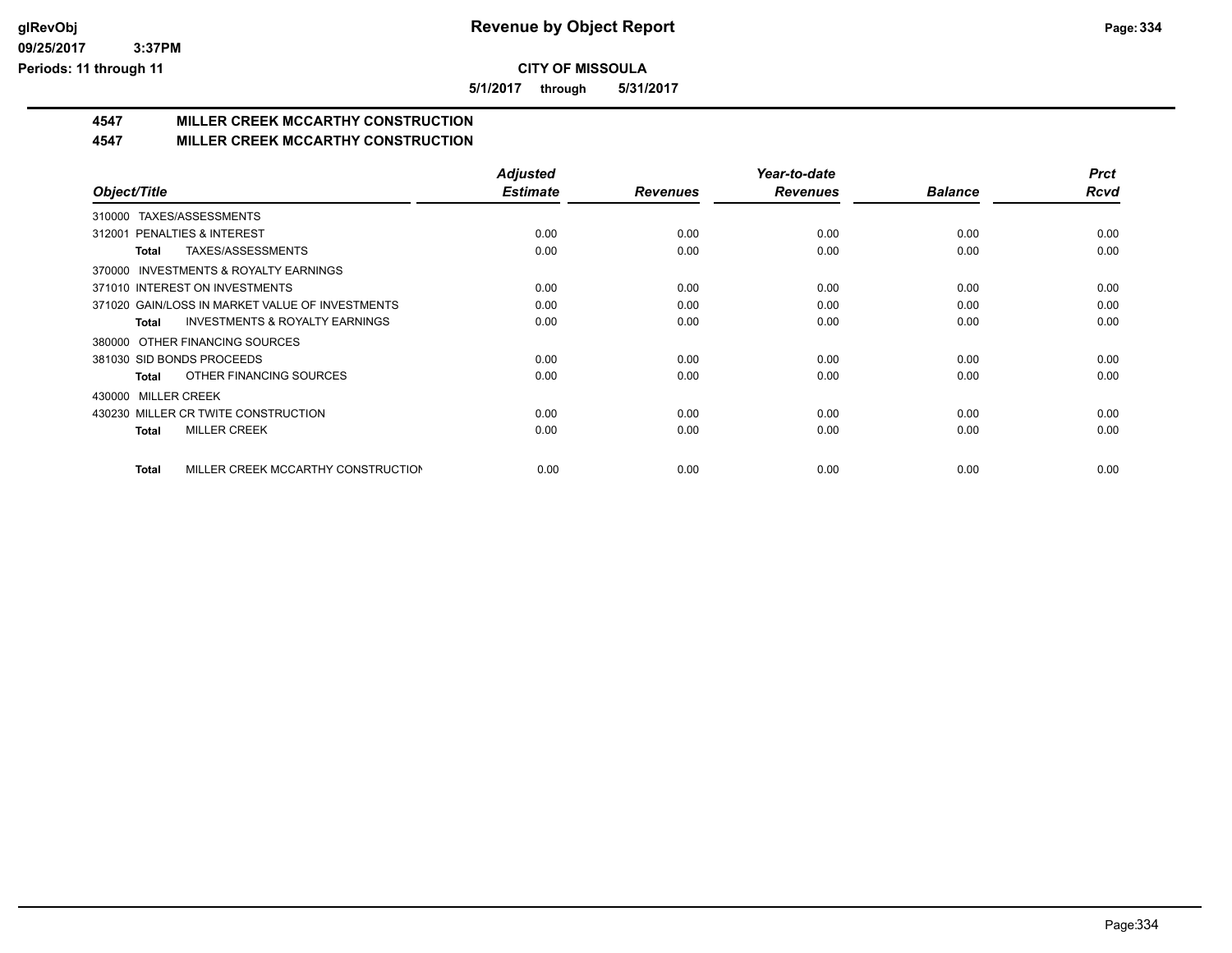**3:37PM**

**CITY OF MISSOULA**

**5/1/2017 through 5/31/2017**

## **4547 MILLER CREEK MCCARTHY CONSTRUCTION**

### **4547 MILLER CREEK MCCARTHY CONSTRUCTION**

|                                                     | <b>Adjusted</b> |                 | Year-to-date    |                | <b>Prct</b> |
|-----------------------------------------------------|-----------------|-----------------|-----------------|----------------|-------------|
| Object/Title                                        | <b>Estimate</b> | <b>Revenues</b> | <b>Revenues</b> | <b>Balance</b> | <b>Rcvd</b> |
| TAXES/ASSESSMENTS<br>310000                         |                 |                 |                 |                |             |
| <b>PENALTIES &amp; INTEREST</b><br>312001           | 0.00            | 0.00            | 0.00            | 0.00           | 0.00        |
| TAXES/ASSESSMENTS<br>Total                          | 0.00            | 0.00            | 0.00            | 0.00           | 0.00        |
| <b>INVESTMENTS &amp; ROYALTY EARNINGS</b><br>370000 |                 |                 |                 |                |             |
| 371010 INTEREST ON INVESTMENTS                      | 0.00            | 0.00            | 0.00            | 0.00           | 0.00        |
| 371020 GAIN/LOSS IN MARKET VALUE OF INVESTMENTS     | 0.00            | 0.00            | 0.00            | 0.00           | 0.00        |
| <b>INVESTMENTS &amp; ROYALTY EARNINGS</b><br>Total  | 0.00            | 0.00            | 0.00            | 0.00           | 0.00        |
| OTHER FINANCING SOURCES<br>380000                   |                 |                 |                 |                |             |
| 381030 SID BONDS PROCEEDS                           | 0.00            | 0.00            | 0.00            | 0.00           | 0.00        |
| OTHER FINANCING SOURCES<br>Total                    | 0.00            | 0.00            | 0.00            | 0.00           | 0.00        |
| <b>MILLER CREEK</b><br>430000                       |                 |                 |                 |                |             |
| 430230 MILLER CR TWITE CONSTRUCTION                 | 0.00            | 0.00            | 0.00            | 0.00           | 0.00        |
| <b>MILLER CREEK</b><br><b>Total</b>                 | 0.00            | 0.00            | 0.00            | 0.00           | 0.00        |
|                                                     |                 |                 |                 |                |             |
| MILLER CREEK MCCARTHY CONSTRUCTION<br><b>Total</b>  | 0.00            | 0.00            | 0.00            | 0.00           | 0.00        |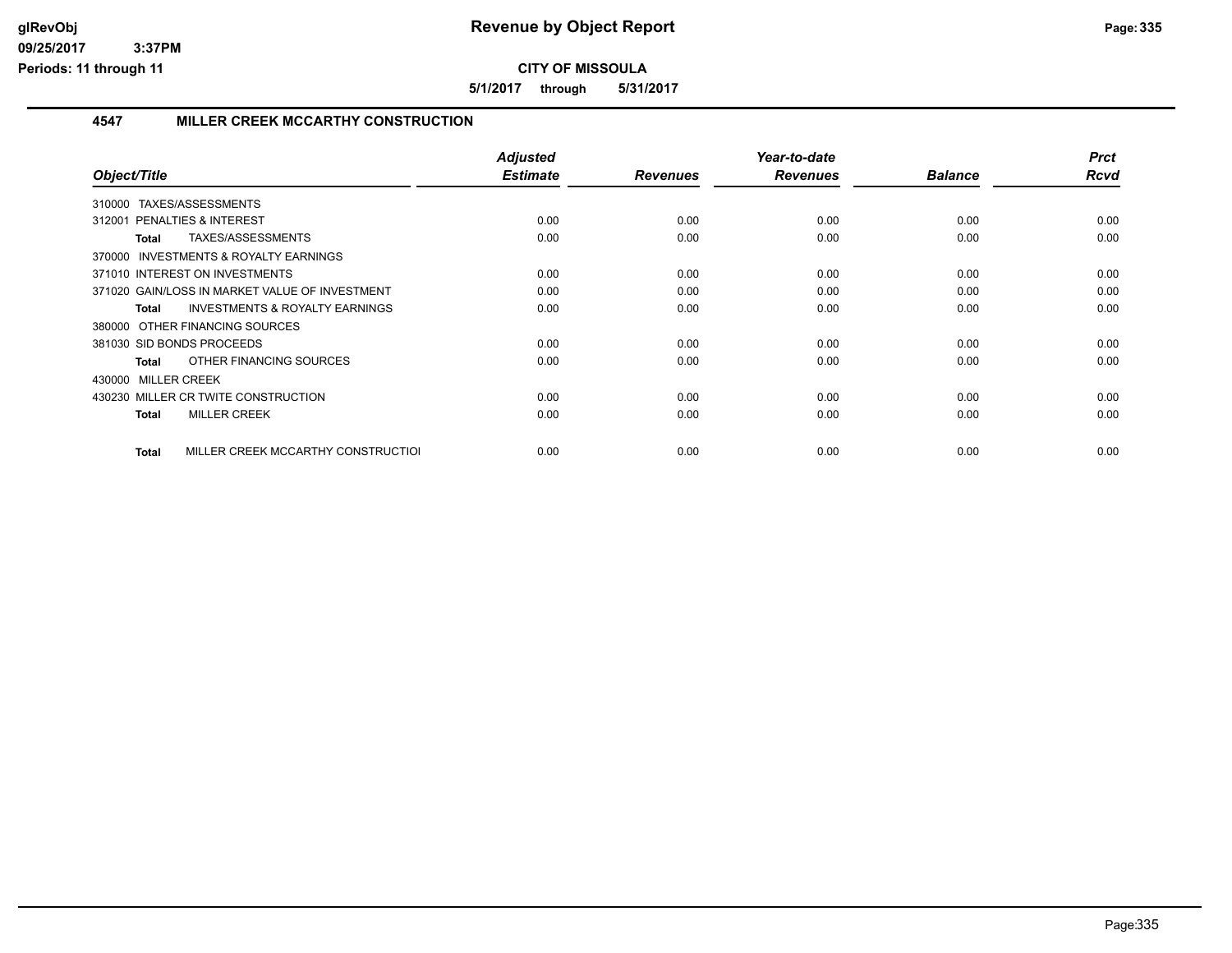**5/1/2017 through 5/31/2017**

#### **4547 MILLER CREEK MCCARTHY CONSTRUCTION**

| Object/Title                                              | <b>Adjusted</b><br><b>Estimate</b> | <b>Revenues</b> | Year-to-date<br><b>Revenues</b> | <b>Balance</b> | <b>Prct</b><br><b>Rcvd</b> |
|-----------------------------------------------------------|------------------------------------|-----------------|---------------------------------|----------------|----------------------------|
| 310000 TAXES/ASSESSMENTS                                  |                                    |                 |                                 |                |                            |
| 312001 PENALTIES & INTEREST                               | 0.00                               | 0.00            | 0.00                            | 0.00           | 0.00                       |
| TAXES/ASSESSMENTS<br>Total                                | 0.00                               | 0.00            | 0.00                            | 0.00           | 0.00                       |
| <b>INVESTMENTS &amp; ROYALTY EARNINGS</b><br>370000       |                                    |                 |                                 |                |                            |
| 371010 INTEREST ON INVESTMENTS                            | 0.00                               | 0.00            | 0.00                            | 0.00           | 0.00                       |
| 371020 GAIN/LOSS IN MARKET VALUE OF INVESTMENT            | 0.00                               | 0.00            | 0.00                            | 0.00           | 0.00                       |
| <b>INVESTMENTS &amp; ROYALTY EARNINGS</b><br><b>Total</b> | 0.00                               | 0.00            | 0.00                            | 0.00           | 0.00                       |
| 380000 OTHER FINANCING SOURCES                            |                                    |                 |                                 |                |                            |
| 381030 SID BONDS PROCEEDS                                 | 0.00                               | 0.00            | 0.00                            | 0.00           | 0.00                       |
| OTHER FINANCING SOURCES<br>Total                          | 0.00                               | 0.00            | 0.00                            | 0.00           | 0.00                       |
| 430000 MILLER CREEK                                       |                                    |                 |                                 |                |                            |
| 430230 MILLER CR TWITE CONSTRUCTION                       | 0.00                               | 0.00            | 0.00                            | 0.00           | 0.00                       |
| <b>MILLER CREEK</b><br><b>Total</b>                       | 0.00                               | 0.00            | 0.00                            | 0.00           | 0.00                       |
| MILLER CREEK MCCARTHY CONSTRUCTIOL<br><b>Total</b>        | 0.00                               | 0.00            | 0.00                            | 0.00           | 0.00                       |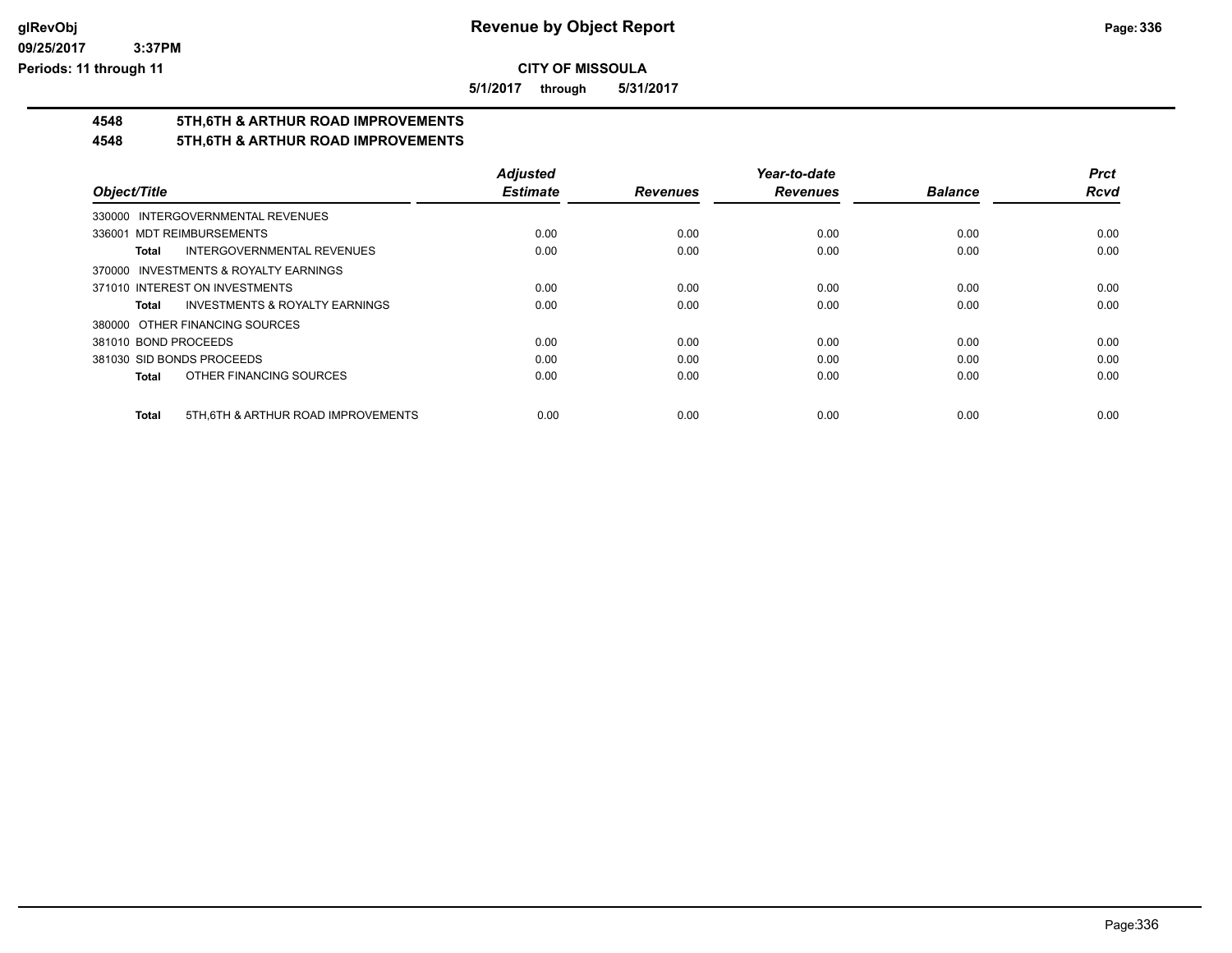**09/25/2017 3:37PM Periods: 11 through 11**

**CITY OF MISSOULA**

**5/1/2017 through 5/31/2017**

## **4548 5TH,6TH & ARTHUR ROAD IMPROVEMENTS**

## **4548 5TH,6TH & ARTHUR ROAD IMPROVEMENTS**

|                                                    | <b>Adjusted</b> |                 | Year-to-date    |                | <b>Prct</b> |
|----------------------------------------------------|-----------------|-----------------|-----------------|----------------|-------------|
| Object/Title                                       | <b>Estimate</b> | <b>Revenues</b> | <b>Revenues</b> | <b>Balance</b> | <b>Rcvd</b> |
| 330000 INTERGOVERNMENTAL REVENUES                  |                 |                 |                 |                |             |
| 336001 MDT REIMBURSEMENTS                          | 0.00            | 0.00            | 0.00            | 0.00           | 0.00        |
| <b>INTERGOVERNMENTAL REVENUES</b><br>Total         | 0.00            | 0.00            | 0.00            | 0.00           | 0.00        |
| 370000 INVESTMENTS & ROYALTY EARNINGS              |                 |                 |                 |                |             |
| 371010 INTEREST ON INVESTMENTS                     | 0.00            | 0.00            | 0.00            | 0.00           | 0.00        |
| <b>INVESTMENTS &amp; ROYALTY EARNINGS</b><br>Total | 0.00            | 0.00            | 0.00            | 0.00           | 0.00        |
| 380000 OTHER FINANCING SOURCES                     |                 |                 |                 |                |             |
| 381010 BOND PROCEEDS                               | 0.00            | 0.00            | 0.00            | 0.00           | 0.00        |
| 381030 SID BONDS PROCEEDS                          | 0.00            | 0.00            | 0.00            | 0.00           | 0.00        |
| OTHER FINANCING SOURCES<br><b>Total</b>            | 0.00            | 0.00            | 0.00            | 0.00           | 0.00        |
| 5TH.6TH & ARTHUR ROAD IMPROVEMENTS<br>Total        | 0.00            | 0.00            | 0.00            | 0.00           | 0.00        |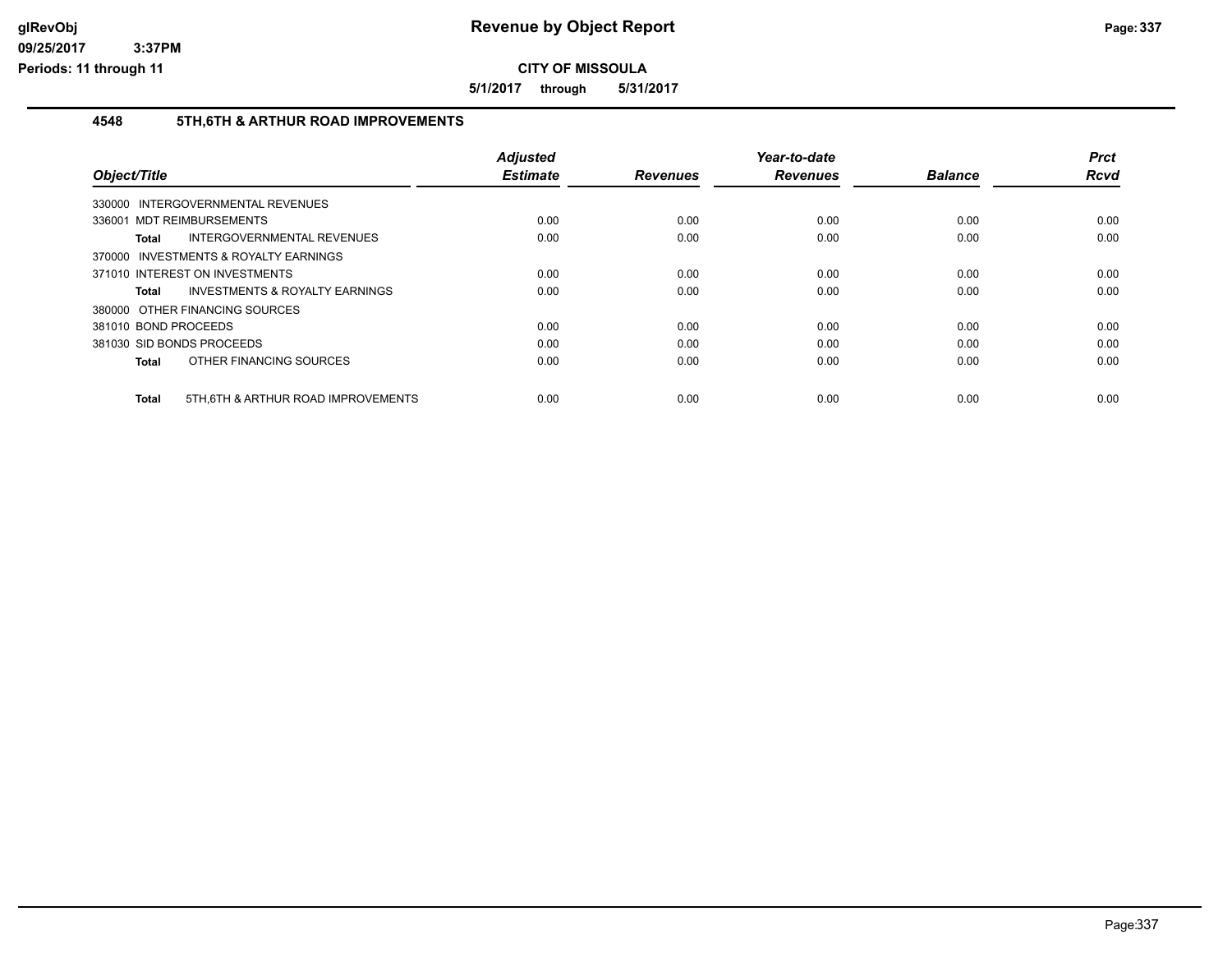**5/1/2017 through 5/31/2017**

#### **4548 5TH,6TH & ARTHUR ROAD IMPROVEMENTS**

|                                                     | <b>Adjusted</b> |                 | Year-to-date    |                | <b>Prct</b> |
|-----------------------------------------------------|-----------------|-----------------|-----------------|----------------|-------------|
| Object/Title                                        | <b>Estimate</b> | <b>Revenues</b> | <b>Revenues</b> | <b>Balance</b> | <b>Rcvd</b> |
| 330000 INTERGOVERNMENTAL REVENUES                   |                 |                 |                 |                |             |
| 336001 MDT REIMBURSEMENTS                           | 0.00            | 0.00            | 0.00            | 0.00           | 0.00        |
| <b>INTERGOVERNMENTAL REVENUES</b><br>Total          | 0.00            | 0.00            | 0.00            | 0.00           | 0.00        |
| 370000 INVESTMENTS & ROYALTY EARNINGS               |                 |                 |                 |                |             |
| 371010 INTEREST ON INVESTMENTS                      | 0.00            | 0.00            | 0.00            | 0.00           | 0.00        |
| <b>INVESTMENTS &amp; ROYALTY EARNINGS</b><br>Total  | 0.00            | 0.00            | 0.00            | 0.00           | 0.00        |
| 380000 OTHER FINANCING SOURCES                      |                 |                 |                 |                |             |
| 381010 BOND PROCEEDS                                | 0.00            | 0.00            | 0.00            | 0.00           | 0.00        |
| 381030 SID BONDS PROCEEDS                           | 0.00            | 0.00            | 0.00            | 0.00           | 0.00        |
| OTHER FINANCING SOURCES<br>Total                    | 0.00            | 0.00            | 0.00            | 0.00           | 0.00        |
| <b>Total</b><br>5TH, 6TH & ARTHUR ROAD IMPROVEMENTS | 0.00            | 0.00            | 0.00            | 0.00           | 0.00        |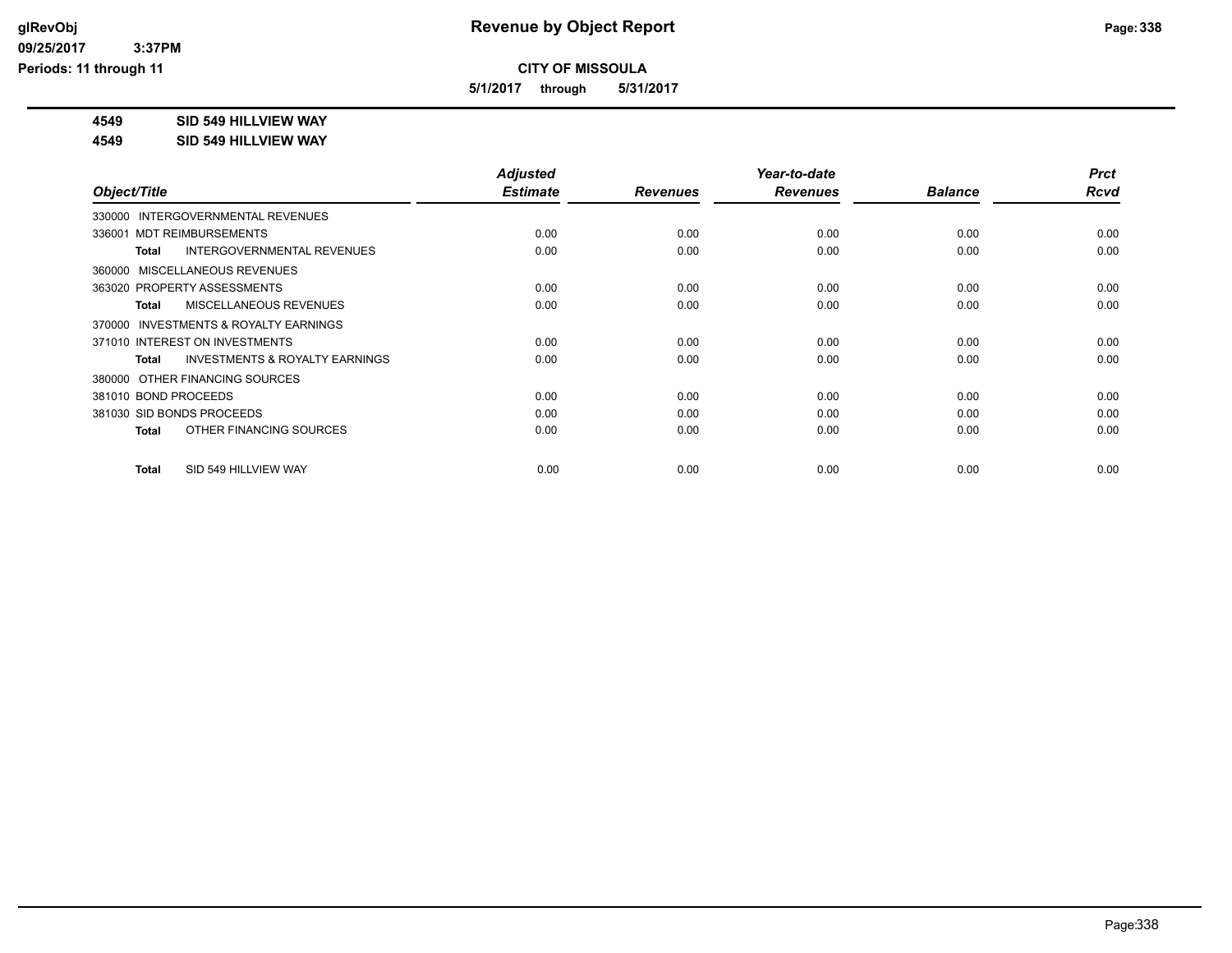**5/1/2017 through 5/31/2017**

**4549 SID 549 HILLVIEW WAY**

**4549 SID 549 HILLVIEW WAY**

|                                                    | <b>Adjusted</b> |                 | Year-to-date    |                | <b>Prct</b> |
|----------------------------------------------------|-----------------|-----------------|-----------------|----------------|-------------|
| Object/Title                                       | <b>Estimate</b> | <b>Revenues</b> | <b>Revenues</b> | <b>Balance</b> | <b>Rcvd</b> |
| INTERGOVERNMENTAL REVENUES<br>330000               |                 |                 |                 |                |             |
| <b>MDT REIMBURSEMENTS</b><br>336001                | 0.00            | 0.00            | 0.00            | 0.00           | 0.00        |
| <b>INTERGOVERNMENTAL REVENUES</b><br>Total         | 0.00            | 0.00            | 0.00            | 0.00           | 0.00        |
| 360000 MISCELLANEOUS REVENUES                      |                 |                 |                 |                |             |
| 363020 PROPERTY ASSESSMENTS                        | 0.00            | 0.00            | 0.00            | 0.00           | 0.00        |
| <b>MISCELLANEOUS REVENUES</b><br>Total             | 0.00            | 0.00            | 0.00            | 0.00           | 0.00        |
| 370000 INVESTMENTS & ROYALTY EARNINGS              |                 |                 |                 |                |             |
| 371010 INTEREST ON INVESTMENTS                     | 0.00            | 0.00            | 0.00            | 0.00           | 0.00        |
| <b>INVESTMENTS &amp; ROYALTY EARNINGS</b><br>Total | 0.00            | 0.00            | 0.00            | 0.00           | 0.00        |
| 380000 OTHER FINANCING SOURCES                     |                 |                 |                 |                |             |
| 381010 BOND PROCEEDS                               | 0.00            | 0.00            | 0.00            | 0.00           | 0.00        |
| 381030 SID BONDS PROCEEDS                          | 0.00            | 0.00            | 0.00            | 0.00           | 0.00        |
| OTHER FINANCING SOURCES<br><b>Total</b>            | 0.00            | 0.00            | 0.00            | 0.00           | 0.00        |
| SID 549 HILLVIEW WAY<br><b>Total</b>               | 0.00            | 0.00            | 0.00            | 0.00           | 0.00        |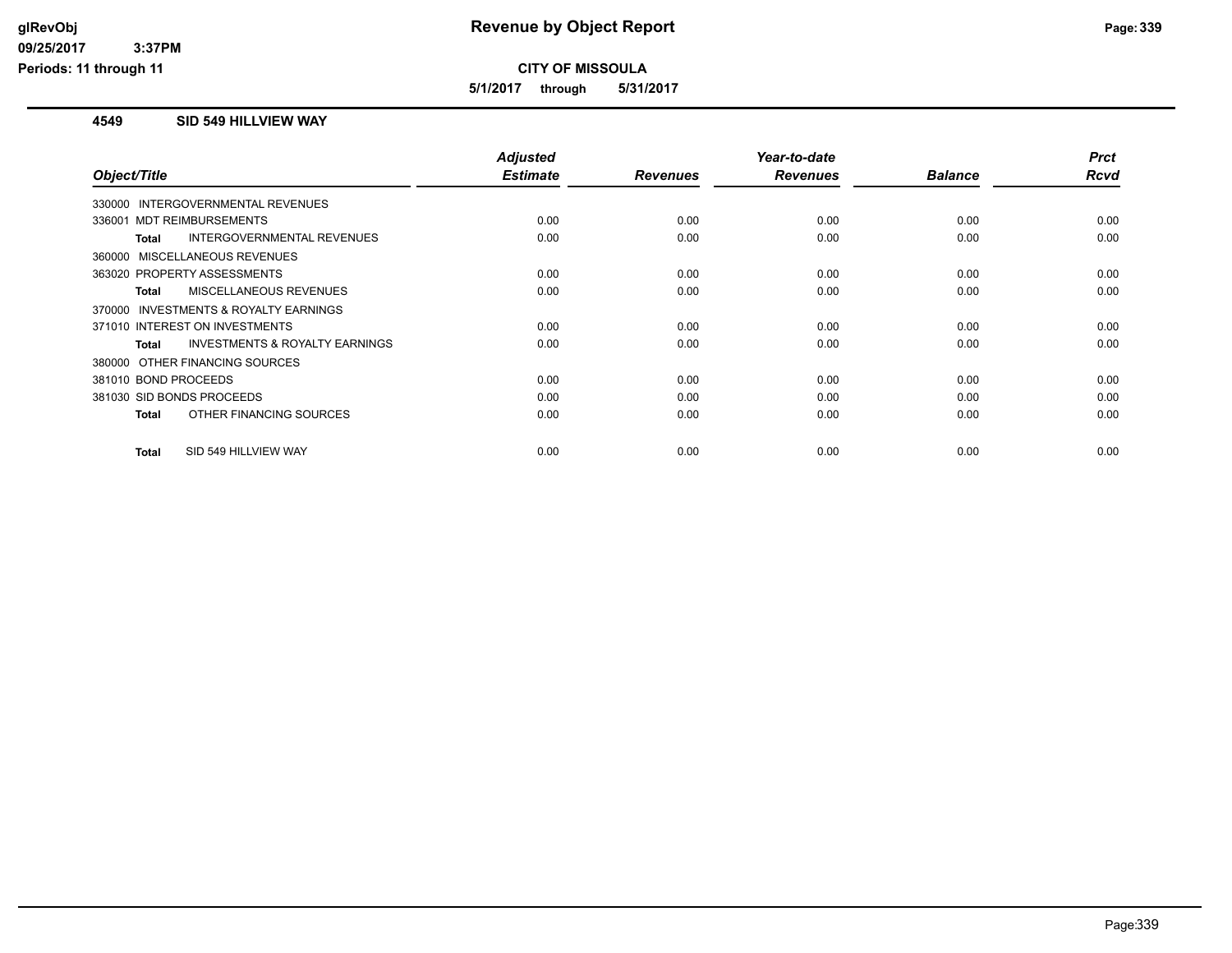**5/1/2017 through 5/31/2017**

#### **4549 SID 549 HILLVIEW WAY**

| Object/Title                                              | <b>Adjusted</b><br><b>Estimate</b> | <b>Revenues</b> | Year-to-date<br><b>Revenues</b> | <b>Balance</b> | <b>Prct</b><br><b>Rcvd</b> |
|-----------------------------------------------------------|------------------------------------|-----------------|---------------------------------|----------------|----------------------------|
|                                                           |                                    |                 |                                 |                |                            |
| 330000 INTERGOVERNMENTAL REVENUES                         |                                    |                 |                                 |                |                            |
| 336001 MDT REIMBURSEMENTS                                 | 0.00                               | 0.00            | 0.00                            | 0.00           | 0.00                       |
| INTERGOVERNMENTAL REVENUES<br><b>Total</b>                | 0.00                               | 0.00            | 0.00                            | 0.00           | 0.00                       |
| 360000 MISCELLANEOUS REVENUES                             |                                    |                 |                                 |                |                            |
| 363020 PROPERTY ASSESSMENTS                               | 0.00                               | 0.00            | 0.00                            | 0.00           | 0.00                       |
| MISCELLANEOUS REVENUES<br><b>Total</b>                    | 0.00                               | 0.00            | 0.00                            | 0.00           | 0.00                       |
| 370000 INVESTMENTS & ROYALTY EARNINGS                     |                                    |                 |                                 |                |                            |
| 371010 INTEREST ON INVESTMENTS                            | 0.00                               | 0.00            | 0.00                            | 0.00           | 0.00                       |
| <b>INVESTMENTS &amp; ROYALTY EARNINGS</b><br><b>Total</b> | 0.00                               | 0.00            | 0.00                            | 0.00           | 0.00                       |
| 380000 OTHER FINANCING SOURCES                            |                                    |                 |                                 |                |                            |
| 381010 BOND PROCEEDS                                      | 0.00                               | 0.00            | 0.00                            | 0.00           | 0.00                       |
| 381030 SID BONDS PROCEEDS                                 | 0.00                               | 0.00            | 0.00                            | 0.00           | 0.00                       |
| OTHER FINANCING SOURCES<br><b>Total</b>                   | 0.00                               | 0.00            | 0.00                            | 0.00           | 0.00                       |
| SID 549 HILLVIEW WAY<br><b>Total</b>                      | 0.00                               | 0.00            | 0.00                            | 0.00           | 0.00                       |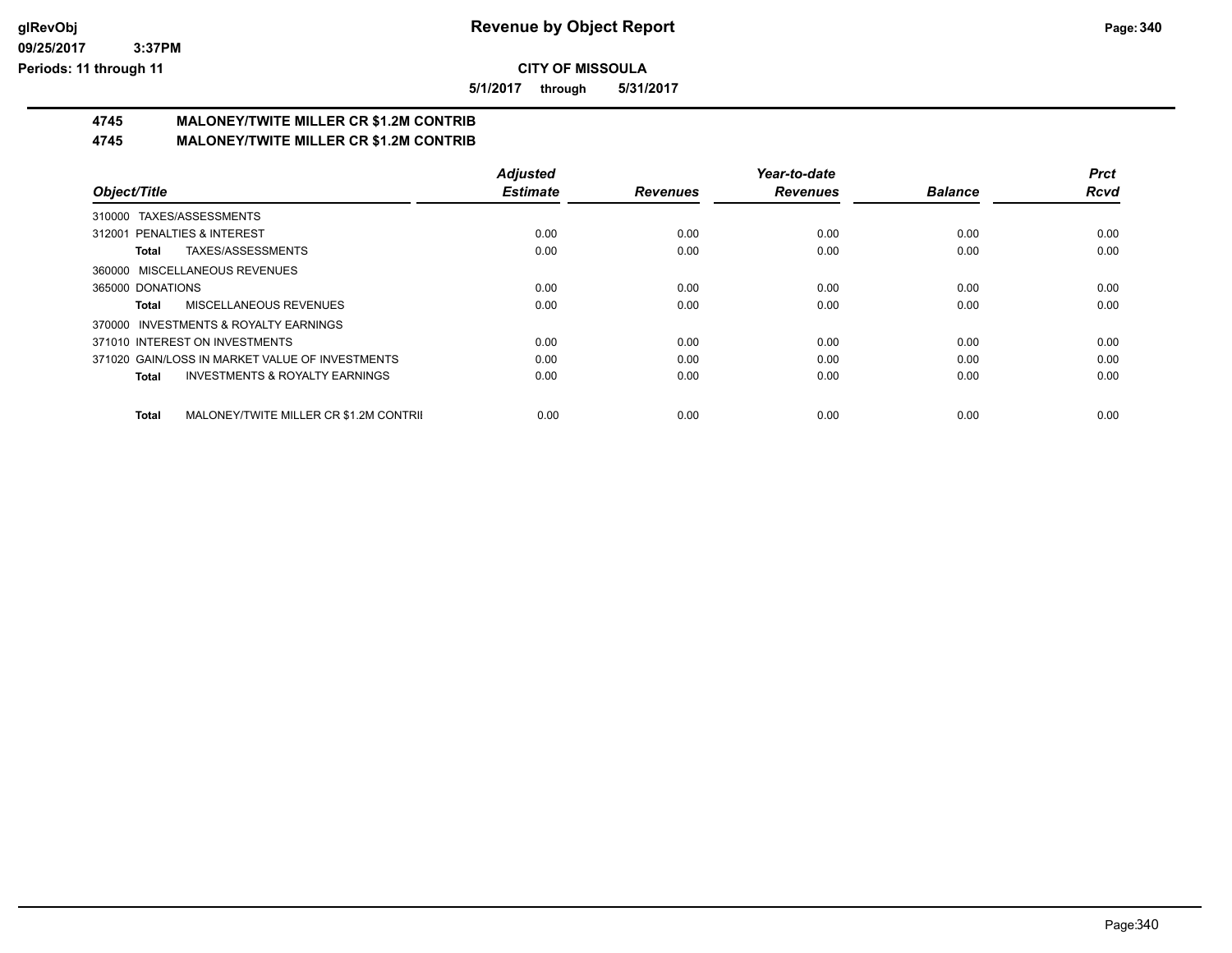**5/1/2017 through 5/31/2017**

## **4745 MALONEY/TWITE MILLER CR \$1.2M CONTRIB**

## **4745 MALONEY/TWITE MILLER CR \$1.2M CONTRIB**

|                                                 | <b>Adjusted</b> |                 | Year-to-date    |                | <b>Prct</b> |
|-------------------------------------------------|-----------------|-----------------|-----------------|----------------|-------------|
| Object/Title                                    | <b>Estimate</b> | <b>Revenues</b> | <b>Revenues</b> | <b>Balance</b> | <b>Rcvd</b> |
| TAXES/ASSESSMENTS<br>310000                     |                 |                 |                 |                |             |
| 312001 PENALTIES & INTEREST                     | 0.00            | 0.00            | 0.00            | 0.00           | 0.00        |
| TAXES/ASSESSMENTS<br>Total                      | 0.00            | 0.00            | 0.00            | 0.00           | 0.00        |
| 360000 MISCELLANEOUS REVENUES                   |                 |                 |                 |                |             |
| 365000 DONATIONS                                | 0.00            | 0.00            | 0.00            | 0.00           | 0.00        |
| MISCELLANEOUS REVENUES<br>Total                 | 0.00            | 0.00            | 0.00            | 0.00           | 0.00        |
| INVESTMENTS & ROYALTY EARNINGS<br>370000        |                 |                 |                 |                |             |
| 371010 INTEREST ON INVESTMENTS                  | 0.00            | 0.00            | 0.00            | 0.00           | 0.00        |
| 371020 GAIN/LOSS IN MARKET VALUE OF INVESTMENTS | 0.00            | 0.00            | 0.00            | 0.00           | 0.00        |
| INVESTMENTS & ROYALTY EARNINGS<br>Total         | 0.00            | 0.00            | 0.00            | 0.00           | 0.00        |
| MALONEY/TWITE MILLER CR \$1.2M CONTRII<br>Total | 0.00            | 0.00            | 0.00            | 0.00           | 0.00        |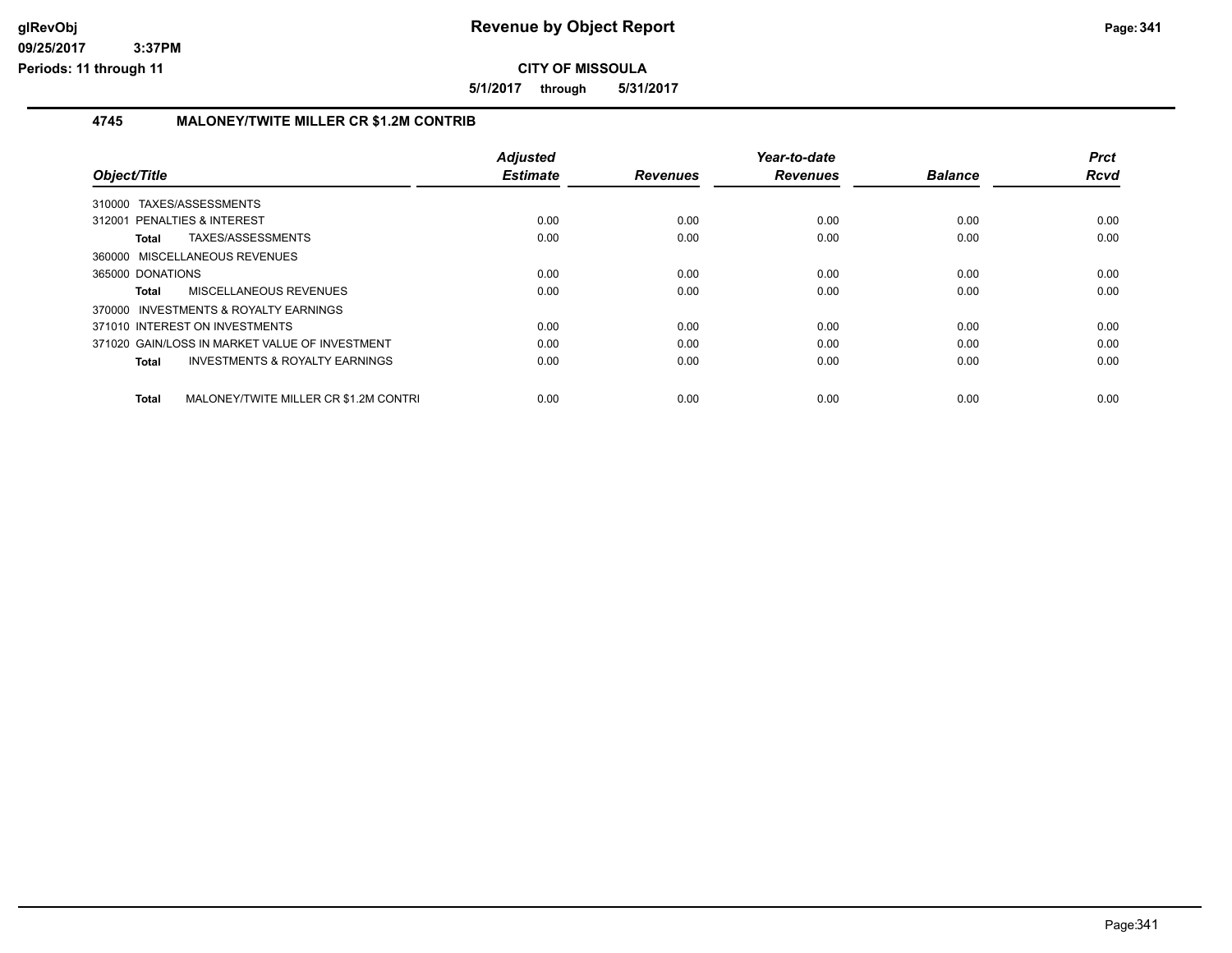**5/1/2017 through 5/31/2017**

#### **4745 MALONEY/TWITE MILLER CR \$1.2M CONTRIB**

| Object/Title                                       | <b>Adjusted</b><br><b>Estimate</b> | <b>Revenues</b> | Year-to-date<br><b>Revenues</b> | <b>Balance</b> | <b>Prct</b><br><b>Rcvd</b> |
|----------------------------------------------------|------------------------------------|-----------------|---------------------------------|----------------|----------------------------|
|                                                    |                                    |                 |                                 |                |                            |
| 310000 TAXES/ASSESSMENTS                           |                                    |                 |                                 |                |                            |
| 312001 PENALTIES & INTEREST                        | 0.00                               | 0.00            | 0.00                            | 0.00           | 0.00                       |
| TAXES/ASSESSMENTS<br>Total                         | 0.00                               | 0.00            | 0.00                            | 0.00           | 0.00                       |
| 360000 MISCELLANEOUS REVENUES                      |                                    |                 |                                 |                |                            |
| 365000 DONATIONS                                   | 0.00                               | 0.00            | 0.00                            | 0.00           | 0.00                       |
| MISCELLANEOUS REVENUES<br>Total                    | 0.00                               | 0.00            | 0.00                            | 0.00           | 0.00                       |
| 370000 INVESTMENTS & ROYALTY EARNINGS              |                                    |                 |                                 |                |                            |
| 371010 INTEREST ON INVESTMENTS                     | 0.00                               | 0.00            | 0.00                            | 0.00           | 0.00                       |
| 371020 GAIN/LOSS IN MARKET VALUE OF INVESTMENT     | 0.00                               | 0.00            | 0.00                            | 0.00           | 0.00                       |
| <b>INVESTMENTS &amp; ROYALTY EARNINGS</b><br>Total | 0.00                               | 0.00            | 0.00                            | 0.00           | 0.00                       |
| MALONEY/TWITE MILLER CR \$1.2M CONTRI<br>Total     | 0.00                               | 0.00            | 0.00                            | 0.00           | 0.00                       |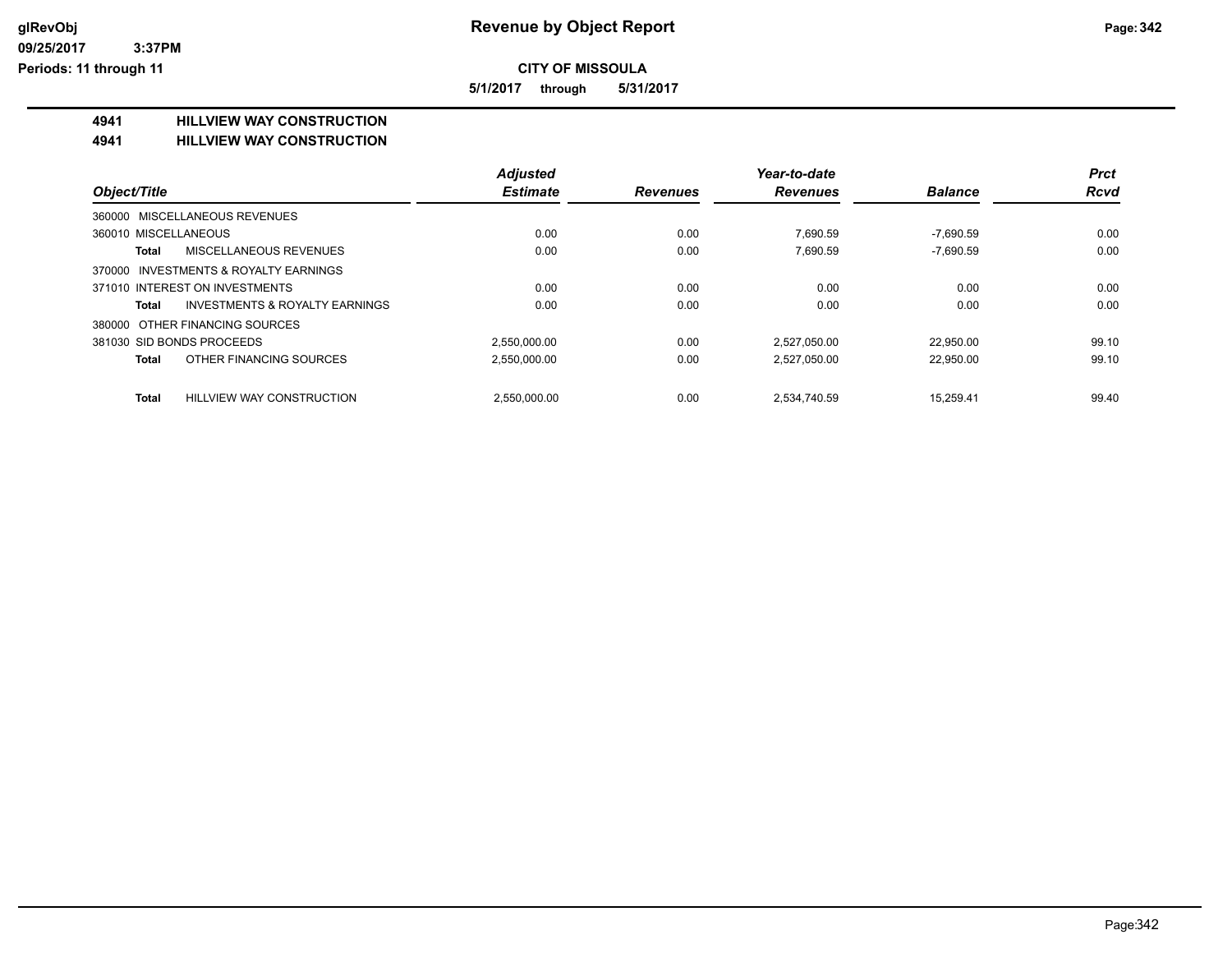**5/1/2017 through 5/31/2017**

#### **4941 HILLVIEW WAY CONSTRUCTION**

#### **4941 HILLVIEW WAY CONSTRUCTION**

|                                         | <b>Adjusted</b> |                 | Year-to-date    |                | <b>Prct</b> |
|-----------------------------------------|-----------------|-----------------|-----------------|----------------|-------------|
| Object/Title                            | <b>Estimate</b> | <b>Revenues</b> | <b>Revenues</b> | <b>Balance</b> | <b>Rcvd</b> |
| 360000 MISCELLANEOUS REVENUES           |                 |                 |                 |                |             |
| 360010 MISCELLANEOUS                    | 0.00            | 0.00            | 7.690.59        | $-7.690.59$    | 0.00        |
| <b>MISCELLANEOUS REVENUES</b><br>Total  | 0.00            | 0.00            | 7.690.59        | $-7.690.59$    | 0.00        |
| 370000 INVESTMENTS & ROYALTY EARNINGS   |                 |                 |                 |                |             |
| 371010 INTEREST ON INVESTMENTS          | 0.00            | 0.00            | 0.00            | 0.00           | 0.00        |
| INVESTMENTS & ROYALTY EARNINGS<br>Total | 0.00            | 0.00            | 0.00            | 0.00           | 0.00        |
| 380000 OTHER FINANCING SOURCES          |                 |                 |                 |                |             |
| 381030 SID BONDS PROCEEDS               | 2,550,000.00    | 0.00            | 2.527.050.00    | 22,950.00      | 99.10       |
| OTHER FINANCING SOURCES<br>Total        | 2,550,000.00    | 0.00            | 2,527,050.00    | 22.950.00      | 99.10       |
| HILLVIEW WAY CONSTRUCTION<br>Total      | 2.550.000.00    | 0.00            | 2.534.740.59    | 15.259.41      | 99.40       |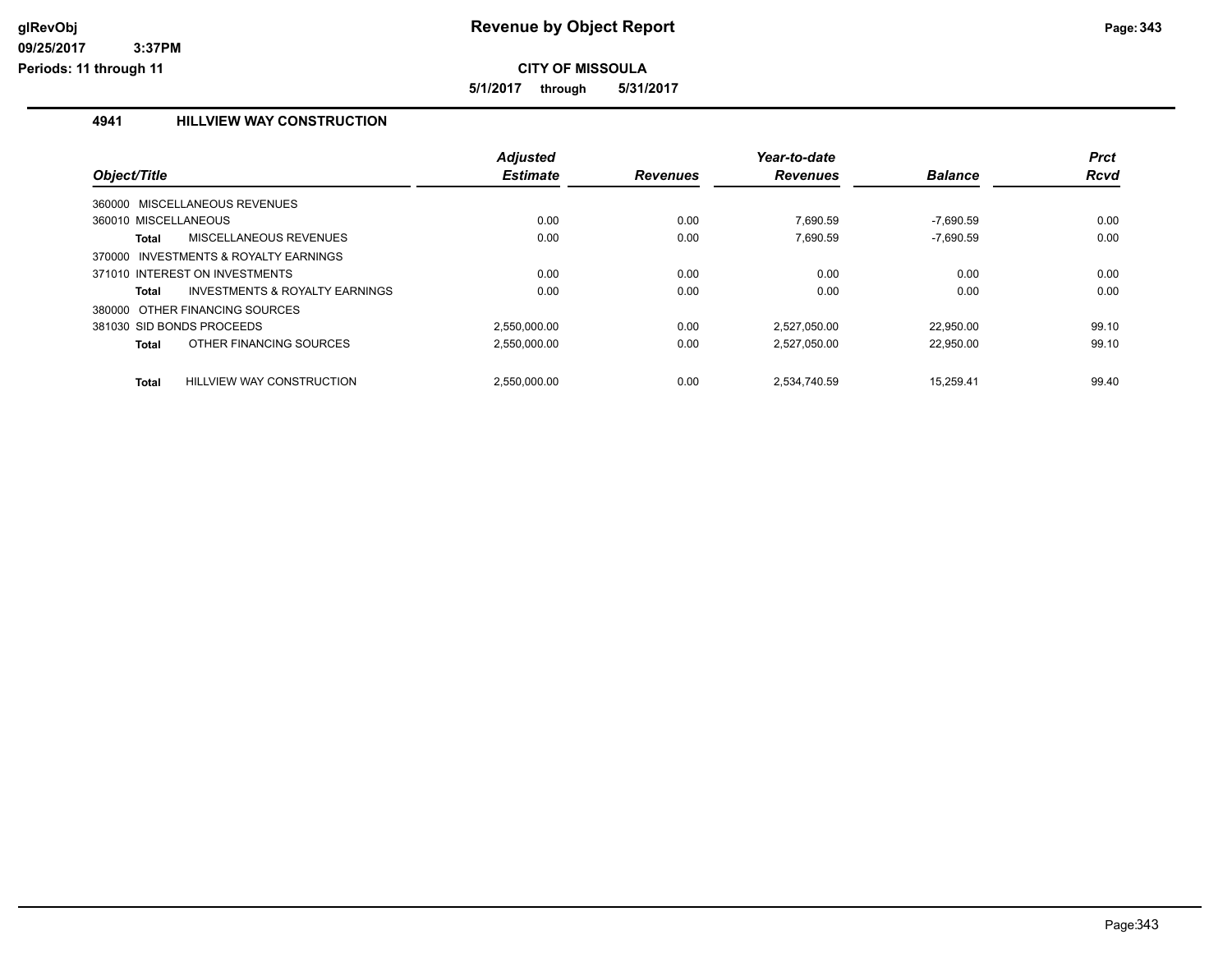**CITY OF MISSOULA**

**5/1/2017 through 5/31/2017**

#### **4941 HILLVIEW WAY CONSTRUCTION**

 **3:37PM**

| Object/Title                              | <b>Adjusted</b><br><b>Estimate</b> | <b>Revenues</b> | Year-to-date<br><b>Revenues</b> | <b>Balance</b> | <b>Prct</b><br><b>Rcvd</b> |
|-------------------------------------------|------------------------------------|-----------------|---------------------------------|----------------|----------------------------|
| 360000 MISCELLANEOUS REVENUES             |                                    |                 |                                 |                |                            |
| 360010 MISCELLANEOUS                      | 0.00                               | 0.00            | 7.690.59                        | $-7.690.59$    | 0.00                       |
| <b>MISCELLANEOUS REVENUES</b><br>Total    | 0.00                               | 0.00            | 7.690.59                        | $-7.690.59$    | 0.00                       |
| INVESTMENTS & ROYALTY EARNINGS<br>370000  |                                    |                 |                                 |                |                            |
| 371010 INTEREST ON INVESTMENTS            | 0.00                               | 0.00            | 0.00                            | 0.00           | 0.00                       |
| INVESTMENTS & ROYALTY EARNINGS<br>Total   | 0.00                               | 0.00            | 0.00                            | 0.00           | 0.00                       |
| 380000 OTHER FINANCING SOURCES            |                                    |                 |                                 |                |                            |
| 381030 SID BONDS PROCEEDS                 | 2.550.000.00                       | 0.00            | 2.527.050.00                    | 22.950.00      | 99.10                      |
| OTHER FINANCING SOURCES<br><b>Total</b>   | 2,550,000.00                       | 0.00            | 2,527,050.00                    | 22,950.00      | 99.10                      |
| HILLVIEW WAY CONSTRUCTION<br><b>Total</b> | 2.550.000.00                       | 0.00            | 2.534.740.59                    | 15.259.41      | 99.40                      |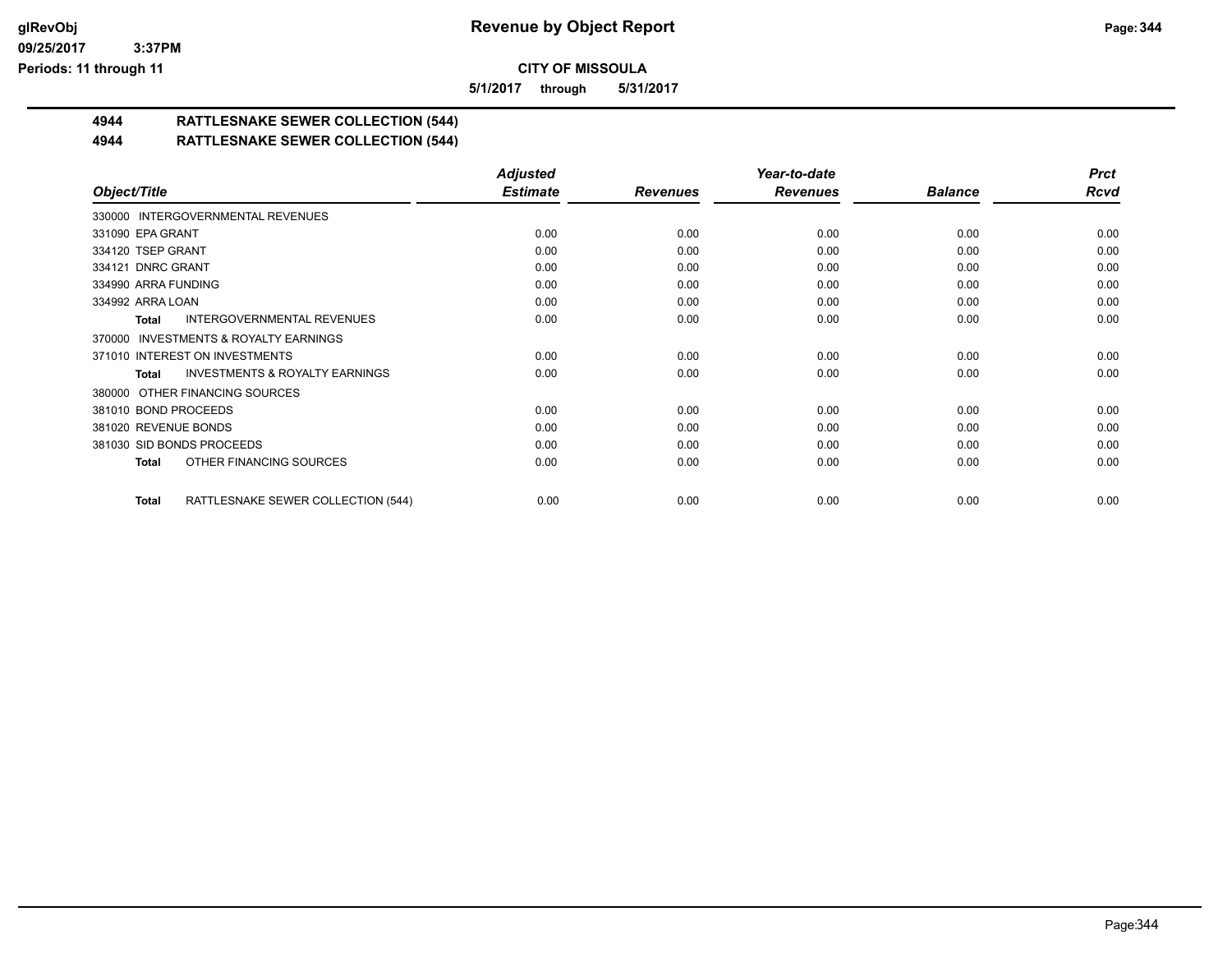**3:37PM**

**CITY OF MISSOULA**

**5/1/2017 through 5/31/2017**

## **4944 RATTLESNAKE SEWER COLLECTION (544)**

## **4944 RATTLESNAKE SEWER COLLECTION (544)**

|                                                     | <b>Adjusted</b> |                 | Year-to-date    |                | <b>Prct</b> |
|-----------------------------------------------------|-----------------|-----------------|-----------------|----------------|-------------|
| Object/Title                                        | <b>Estimate</b> | <b>Revenues</b> | <b>Revenues</b> | <b>Balance</b> | <b>Rcvd</b> |
| 330000 INTERGOVERNMENTAL REVENUES                   |                 |                 |                 |                |             |
| 331090 EPA GRANT                                    | 0.00            | 0.00            | 0.00            | 0.00           | 0.00        |
| 334120 TSEP GRANT                                   | 0.00            | 0.00            | 0.00            | 0.00           | 0.00        |
| 334121 DNRC GRANT                                   | 0.00            | 0.00            | 0.00            | 0.00           | 0.00        |
| 334990 ARRA FUNDING                                 | 0.00            | 0.00            | 0.00            | 0.00           | 0.00        |
| 334992 ARRA LOAN                                    | 0.00            | 0.00            | 0.00            | 0.00           | 0.00        |
| <b>INTERGOVERNMENTAL REVENUES</b><br>Total          | 0.00            | 0.00            | 0.00            | 0.00           | 0.00        |
| <b>INVESTMENTS &amp; ROYALTY EARNINGS</b><br>370000 |                 |                 |                 |                |             |
| 371010 INTEREST ON INVESTMENTS                      | 0.00            | 0.00            | 0.00            | 0.00           | 0.00        |
| <b>INVESTMENTS &amp; ROYALTY EARNINGS</b><br>Total  | 0.00            | 0.00            | 0.00            | 0.00           | 0.00        |
| 380000 OTHER FINANCING SOURCES                      |                 |                 |                 |                |             |
| 381010 BOND PROCEEDS                                | 0.00            | 0.00            | 0.00            | 0.00           | 0.00        |
| 381020 REVENUE BONDS                                | 0.00            | 0.00            | 0.00            | 0.00           | 0.00        |
| 381030 SID BONDS PROCEEDS                           | 0.00            | 0.00            | 0.00            | 0.00           | 0.00        |
| OTHER FINANCING SOURCES<br>Total                    | 0.00            | 0.00            | 0.00            | 0.00           | 0.00        |
| RATTLESNAKE SEWER COLLECTION (544)<br>Total         | 0.00            | 0.00            | 0.00            | 0.00           | 0.00        |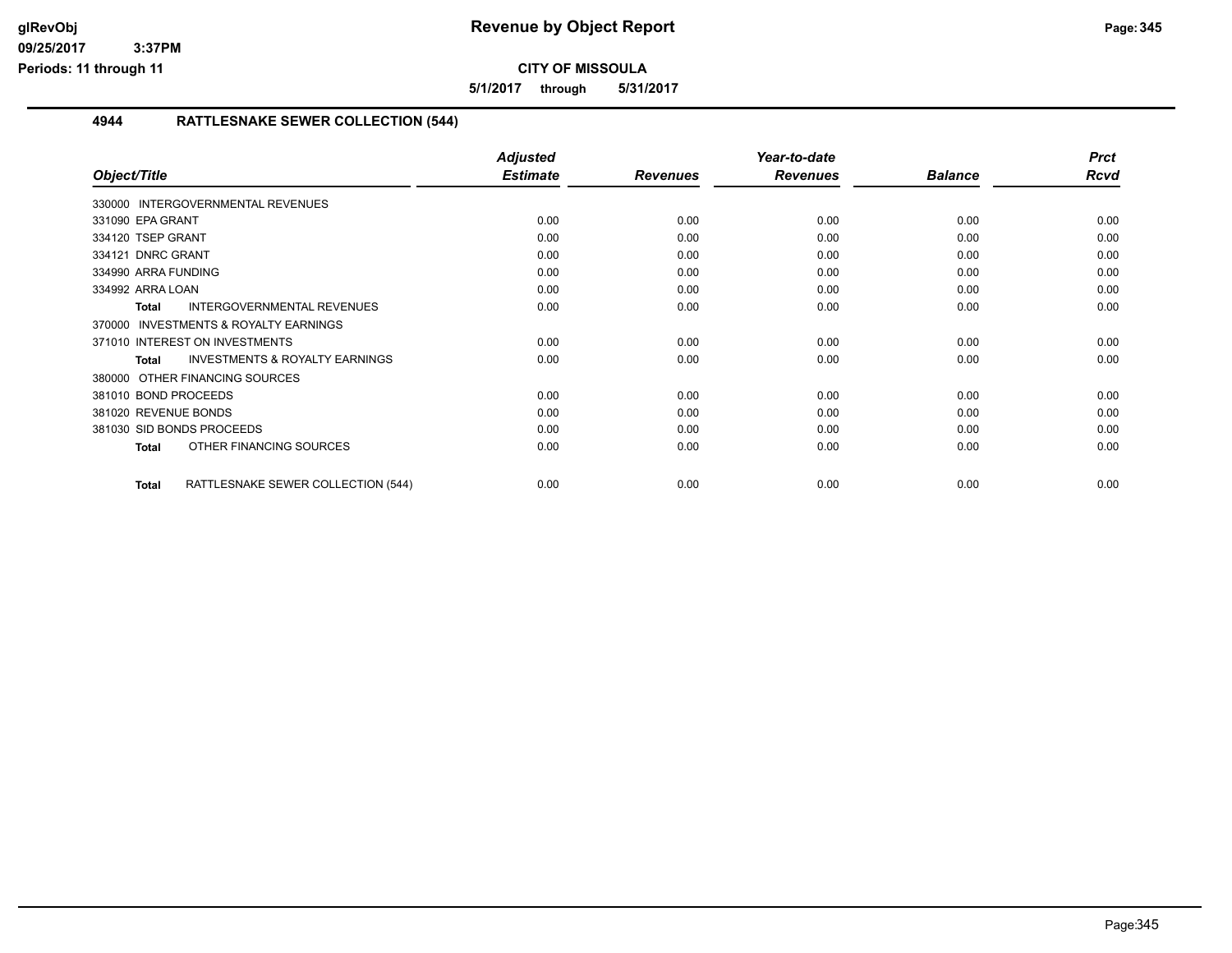**5/1/2017 through 5/31/2017**

#### **4944 RATTLESNAKE SEWER COLLECTION (544)**

|                                                           | <b>Adjusted</b> |                 | Year-to-date    |                | <b>Prct</b> |
|-----------------------------------------------------------|-----------------|-----------------|-----------------|----------------|-------------|
| Object/Title                                              | <b>Estimate</b> | <b>Revenues</b> | <b>Revenues</b> | <b>Balance</b> | <b>Rcvd</b> |
| 330000 INTERGOVERNMENTAL REVENUES                         |                 |                 |                 |                |             |
| 331090 EPA GRANT                                          | 0.00            | 0.00            | 0.00            | 0.00           | 0.00        |
| 334120 TSEP GRANT                                         | 0.00            | 0.00            | 0.00            | 0.00           | 0.00        |
| 334121 DNRC GRANT                                         | 0.00            | 0.00            | 0.00            | 0.00           | 0.00        |
| 334990 ARRA FUNDING                                       | 0.00            | 0.00            | 0.00            | 0.00           | 0.00        |
| 334992 ARRA LOAN                                          | 0.00            | 0.00            | 0.00            | 0.00           | 0.00        |
| <b>INTERGOVERNMENTAL REVENUES</b><br><b>Total</b>         | 0.00            | 0.00            | 0.00            | 0.00           | 0.00        |
| 370000 INVESTMENTS & ROYALTY EARNINGS                     |                 |                 |                 |                |             |
| 371010 INTEREST ON INVESTMENTS                            | 0.00            | 0.00            | 0.00            | 0.00           | 0.00        |
| <b>INVESTMENTS &amp; ROYALTY EARNINGS</b><br><b>Total</b> | 0.00            | 0.00            | 0.00            | 0.00           | 0.00        |
| 380000 OTHER FINANCING SOURCES                            |                 |                 |                 |                |             |
| 381010 BOND PROCEEDS                                      | 0.00            | 0.00            | 0.00            | 0.00           | 0.00        |
| 381020 REVENUE BONDS                                      | 0.00            | 0.00            | 0.00            | 0.00           | 0.00        |
| 381030 SID BONDS PROCEEDS                                 | 0.00            | 0.00            | 0.00            | 0.00           | 0.00        |
| OTHER FINANCING SOURCES<br><b>Total</b>                   | 0.00            | 0.00            | 0.00            | 0.00           | 0.00        |
| RATTLESNAKE SEWER COLLECTION (544)<br><b>Total</b>        | 0.00            | 0.00            | 0.00            | 0.00           | 0.00        |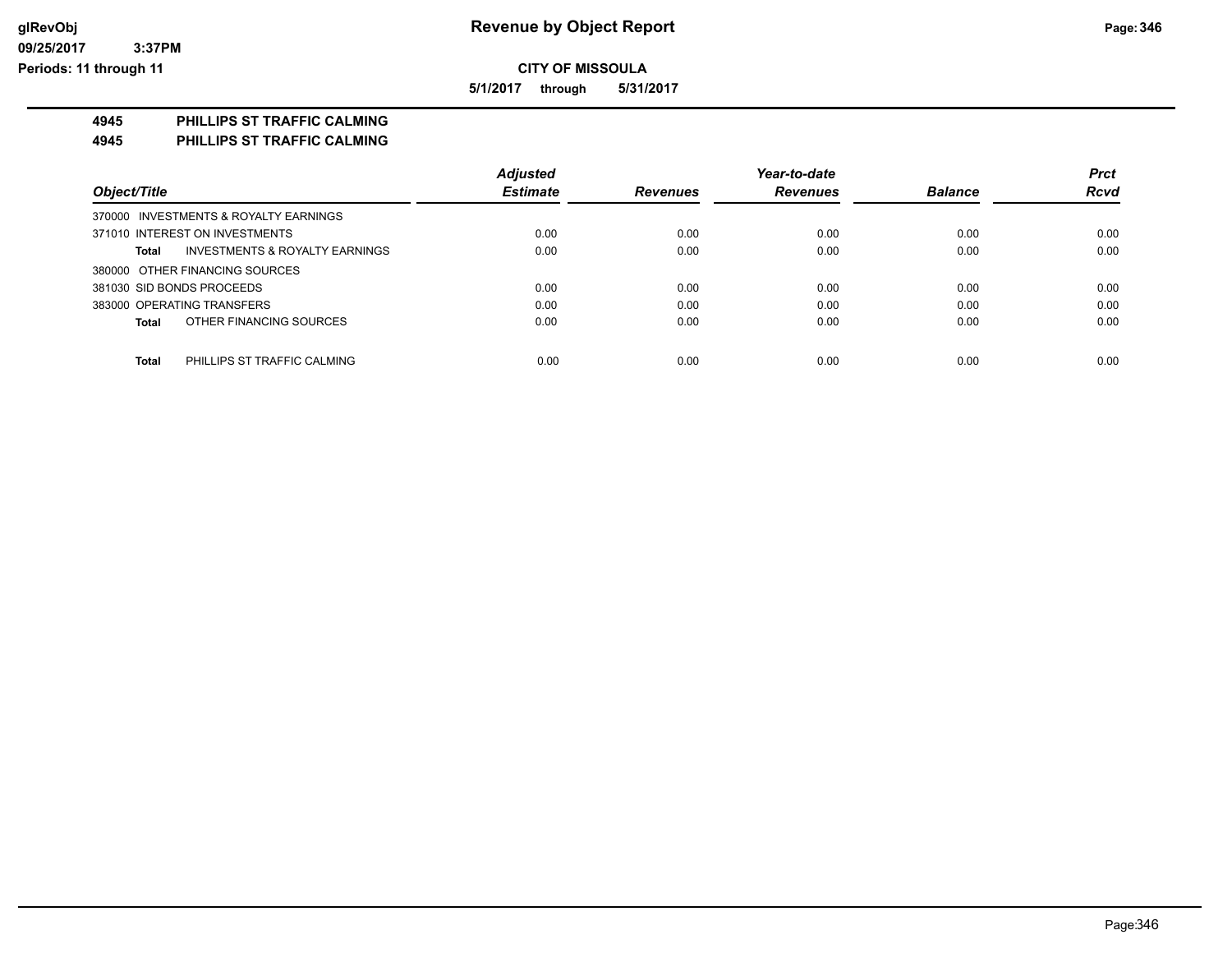**5/1/2017 through 5/31/2017**

### **4945 PHILLIPS ST TRAFFIC CALMING**

**4945 PHILLIPS ST TRAFFIC CALMING**

|                                                | <b>Adjusted</b> |                 | Year-to-date    |                | <b>Prct</b> |
|------------------------------------------------|-----------------|-----------------|-----------------|----------------|-------------|
| Object/Title                                   | <b>Estimate</b> | <b>Revenues</b> | <b>Revenues</b> | <b>Balance</b> | <b>Rcvd</b> |
| 370000 INVESTMENTS & ROYALTY EARNINGS          |                 |                 |                 |                |             |
| 371010 INTEREST ON INVESTMENTS                 | 0.00            | 0.00            | 0.00            | 0.00           | 0.00        |
| INVESTMENTS & ROYALTY EARNINGS<br><b>Total</b> | 0.00            | 0.00            | 0.00            | 0.00           | 0.00        |
| 380000 OTHER FINANCING SOURCES                 |                 |                 |                 |                |             |
| 381030 SID BONDS PROCEEDS                      | 0.00            | 0.00            | 0.00            | 0.00           | 0.00        |
| 383000 OPERATING TRANSFERS                     | 0.00            | 0.00            | 0.00            | 0.00           | 0.00        |
| OTHER FINANCING SOURCES<br><b>Total</b>        | 0.00            | 0.00            | 0.00            | 0.00           | 0.00        |
|                                                |                 |                 |                 |                |             |
| <b>Total</b><br>PHILLIPS ST TRAFFIC CALMING    | 0.00            | 0.00            | 0.00            | 0.00           | 0.00        |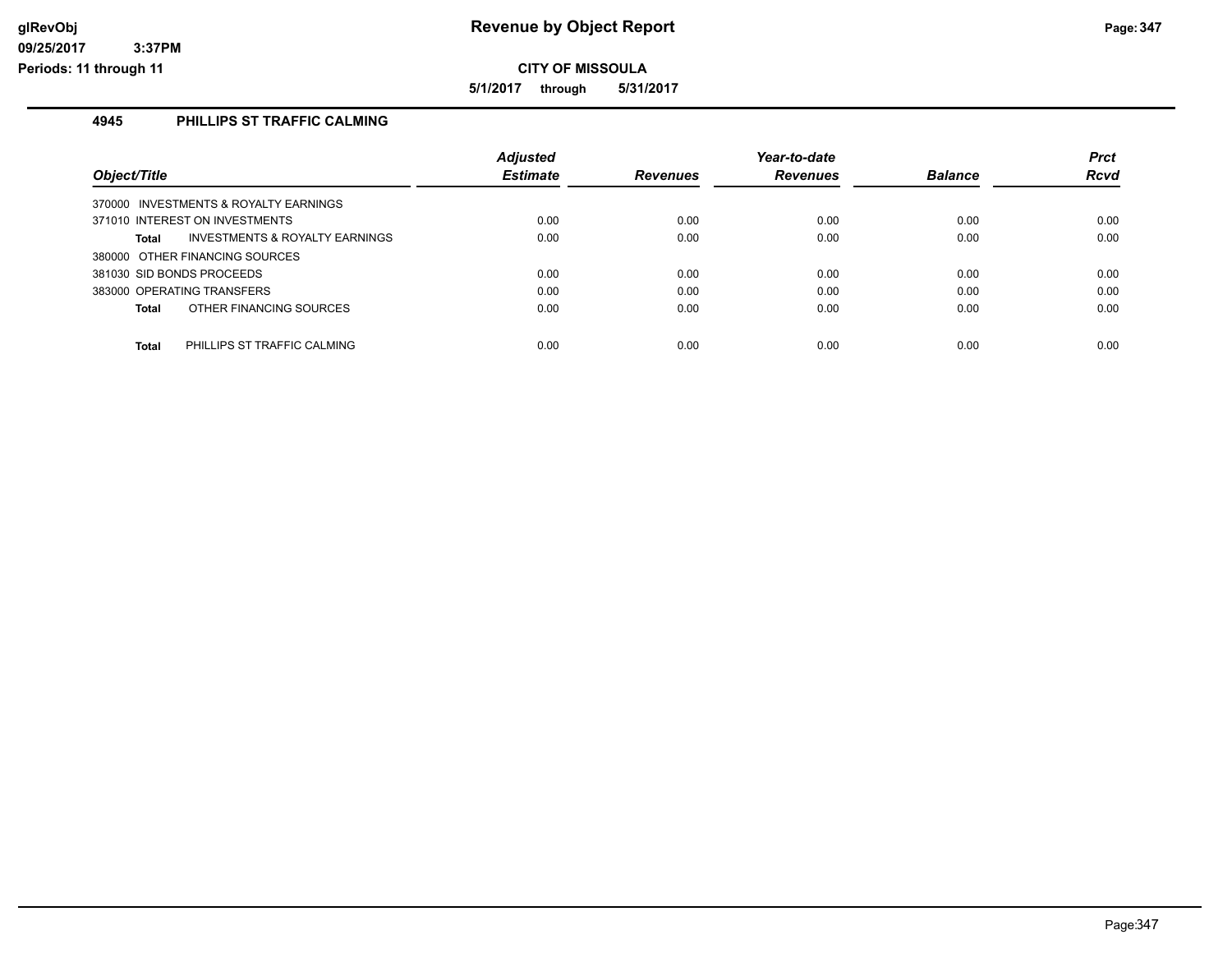**CITY OF MISSOULA**

**5/1/2017 through 5/31/2017**

#### **4945 PHILLIPS ST TRAFFIC CALMING**

 **3:37PM**

|                                                           | <b>Adjusted</b> |                 | Year-to-date    |                | <b>Prct</b> |
|-----------------------------------------------------------|-----------------|-----------------|-----------------|----------------|-------------|
| Object/Title                                              | <b>Estimate</b> | <b>Revenues</b> | <b>Revenues</b> | <b>Balance</b> | <b>Rcvd</b> |
| INVESTMENTS & ROYALTY EARNINGS<br>370000                  |                 |                 |                 |                |             |
| 371010 INTEREST ON INVESTMENTS                            | 0.00            | 0.00            | 0.00            | 0.00           | 0.00        |
| <b>INVESTMENTS &amp; ROYALTY EARNINGS</b><br><b>Total</b> | 0.00            | 0.00            | 0.00            | 0.00           | 0.00        |
| 380000 OTHER FINANCING SOURCES                            |                 |                 |                 |                |             |
| 381030 SID BONDS PROCEEDS                                 | 0.00            | 0.00            | 0.00            | 0.00           | 0.00        |
| 383000 OPERATING TRANSFERS                                | 0.00            | 0.00            | 0.00            | 0.00           | 0.00        |
| OTHER FINANCING SOURCES<br>Total                          | 0.00            | 0.00            | 0.00            | 0.00           | 0.00        |
| Total<br>PHILLIPS ST TRAFFIC CALMING                      | 0.00            | 0.00            | 0.00            | 0.00           | 0.00        |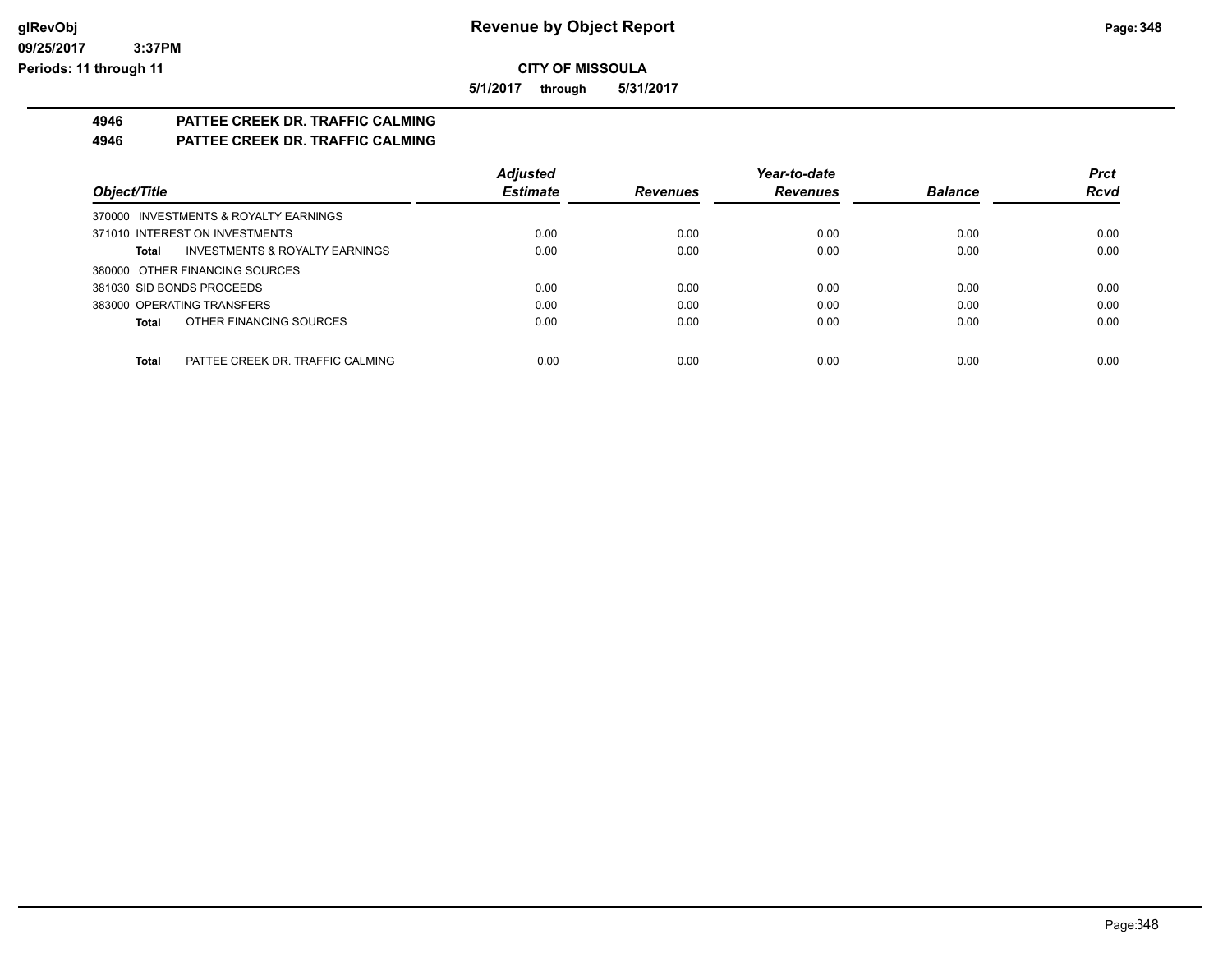**5/1/2017 through 5/31/2017**

# **4946 PATTEE CREEK DR. TRAFFIC CALMING**

## **4946 PATTEE CREEK DR. TRAFFIC CALMING**

|                                           | <b>Adjusted</b> |                 | Year-to-date    |                | <b>Prct</b> |
|-------------------------------------------|-----------------|-----------------|-----------------|----------------|-------------|
| Object/Title                              | <b>Estimate</b> | <b>Revenues</b> | <b>Revenues</b> | <b>Balance</b> | <b>Rcvd</b> |
| 370000 INVESTMENTS & ROYALTY EARNINGS     |                 |                 |                 |                |             |
| 371010 INTEREST ON INVESTMENTS            | 0.00            | 0.00            | 0.00            | 0.00           | 0.00        |
| INVESTMENTS & ROYALTY EARNINGS<br>Total   | 0.00            | 0.00            | 0.00            | 0.00           | 0.00        |
| 380000 OTHER FINANCING SOURCES            |                 |                 |                 |                |             |
| 381030 SID BONDS PROCEEDS                 | 0.00            | 0.00            | 0.00            | 0.00           | 0.00        |
| 383000 OPERATING TRANSFERS                | 0.00            | 0.00            | 0.00            | 0.00           | 0.00        |
| OTHER FINANCING SOURCES<br>Total          | 0.00            | 0.00            | 0.00            | 0.00           | 0.00        |
|                                           |                 |                 |                 |                |             |
| Total<br>PATTEE CREEK DR. TRAFFIC CALMING | 0.00            | 0.00            | 0.00            | 0.00           | 0.00        |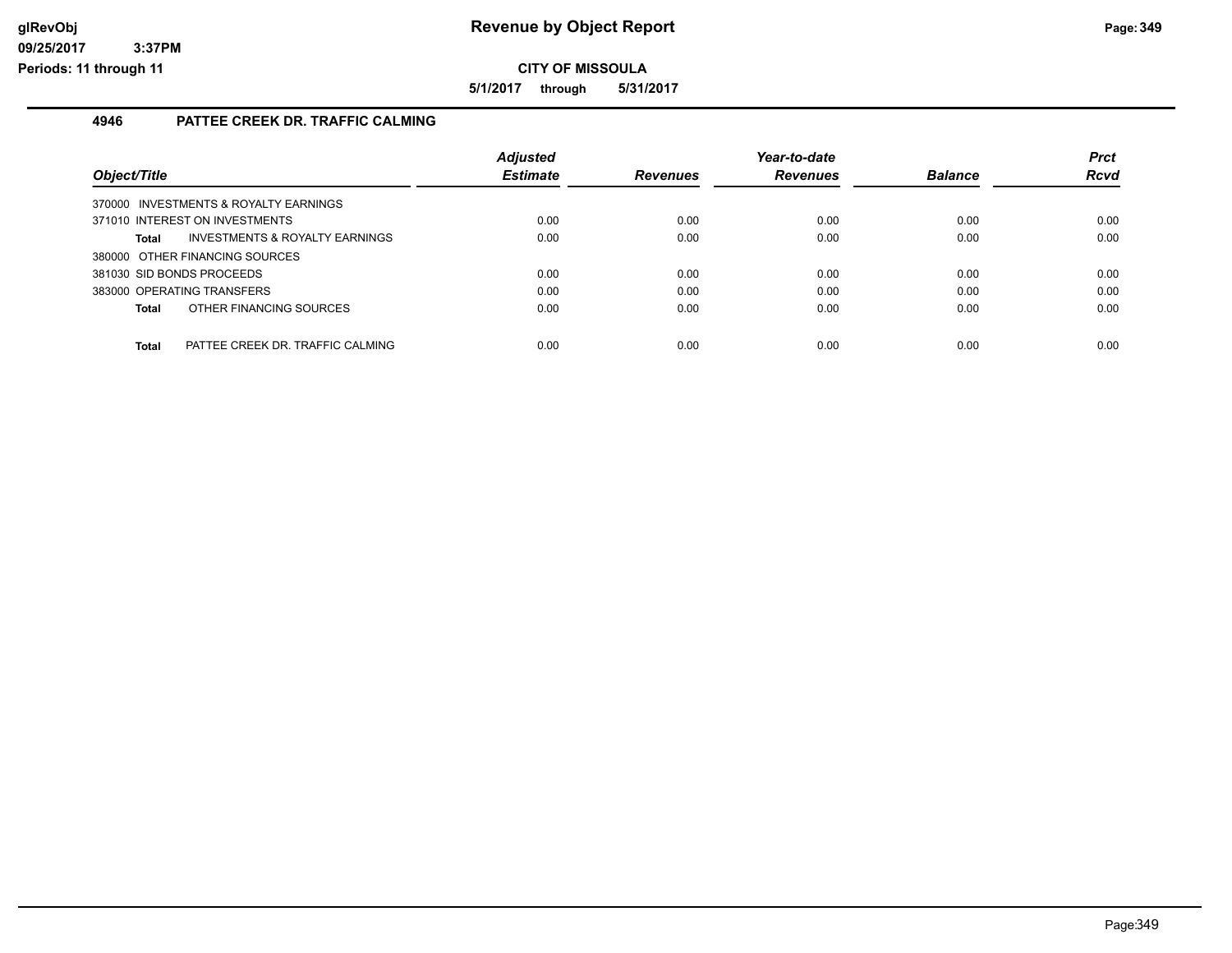**5/1/2017 through 5/31/2017**

#### **4946 PATTEE CREEK DR. TRAFFIC CALMING**

|                                                           | <b>Adjusted</b> |                 | Year-to-date    |                | <b>Prct</b> |
|-----------------------------------------------------------|-----------------|-----------------|-----------------|----------------|-------------|
| Object/Title                                              | <b>Estimate</b> | <b>Revenues</b> | <b>Revenues</b> | <b>Balance</b> | <b>Rcvd</b> |
| 370000 INVESTMENTS & ROYALTY EARNINGS                     |                 |                 |                 |                |             |
| 371010 INTEREST ON INVESTMENTS                            | 0.00            | 0.00            | 0.00            | 0.00           | 0.00        |
| <b>INVESTMENTS &amp; ROYALTY EARNINGS</b><br><b>Total</b> | 0.00            | 0.00            | 0.00            | 0.00           | 0.00        |
| 380000 OTHER FINANCING SOURCES                            |                 |                 |                 |                |             |
| 381030 SID BONDS PROCEEDS                                 | 0.00            | 0.00            | 0.00            | 0.00           | 0.00        |
| 383000 OPERATING TRANSFERS                                | 0.00            | 0.00            | 0.00            | 0.00           | 0.00        |
| OTHER FINANCING SOURCES<br><b>Total</b>                   | 0.00            | 0.00            | 0.00            | 0.00           | 0.00        |
|                                                           |                 |                 |                 |                |             |
| <b>Total</b><br>PATTEE CREEK DR. TRAFFIC CALMING          | 0.00            | 0.00            | 0.00            | 0.00           | 0.00        |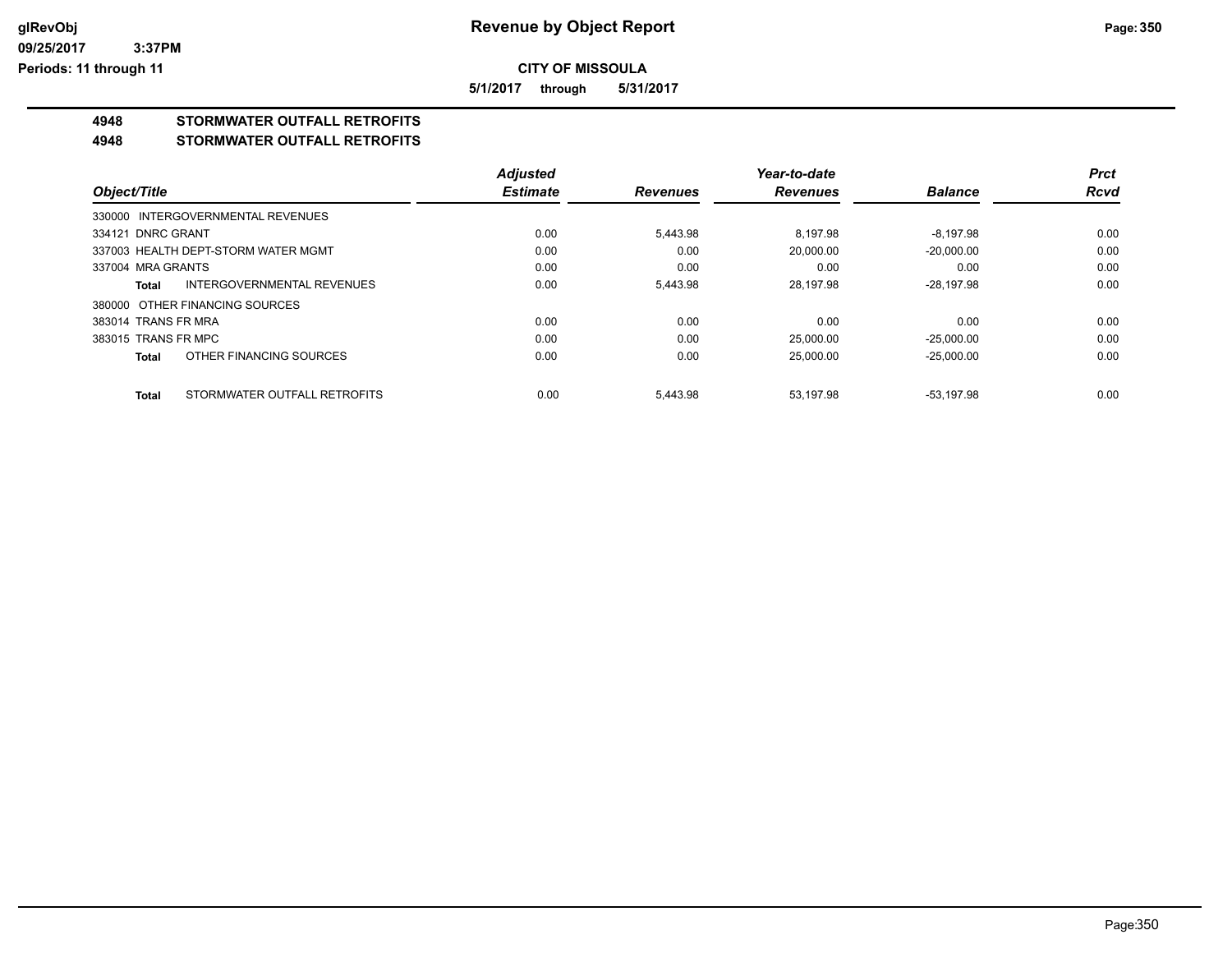**5/1/2017 through 5/31/2017**

## **4948 STORMWATER OUTFALL RETROFITS**

#### **4948 STORMWATER OUTFALL RETROFITS**

|                     |                                     | <b>Adjusted</b> |                 | Year-to-date    |                | <b>Prct</b> |
|---------------------|-------------------------------------|-----------------|-----------------|-----------------|----------------|-------------|
| Object/Title        |                                     | <b>Estimate</b> | <b>Revenues</b> | <b>Revenues</b> | <b>Balance</b> | Rcvd        |
|                     | 330000 INTERGOVERNMENTAL REVENUES   |                 |                 |                 |                |             |
| 334121 DNRC GRANT   |                                     | 0.00            | 5.443.98        | 8.197.98        | $-8.197.98$    | 0.00        |
|                     | 337003 HEALTH DEPT-STORM WATER MGMT | 0.00            | 0.00            | 20,000.00       | $-20.000.00$   | 0.00        |
| 337004 MRA GRANTS   |                                     | 0.00            | 0.00            | 0.00            | 0.00           | 0.00        |
| Total               | <b>INTERGOVERNMENTAL REVENUES</b>   | 0.00            | 5,443.98        | 28.197.98       | $-28.197.98$   | 0.00        |
|                     | 380000 OTHER FINANCING SOURCES      |                 |                 |                 |                |             |
| 383014 TRANS FR MRA |                                     | 0.00            | 0.00            | 0.00            | 0.00           | 0.00        |
| 383015 TRANS FR MPC |                                     | 0.00            | 0.00            | 25,000.00       | $-25.000.00$   | 0.00        |
| <b>Total</b>        | OTHER FINANCING SOURCES             | 0.00            | 0.00            | 25,000.00       | $-25.000.00$   | 0.00        |
| <b>Total</b>        | STORMWATER OUTFALL RETROFITS        | 0.00            | 5.443.98        | 53.197.98       | -53.197.98     | 0.00        |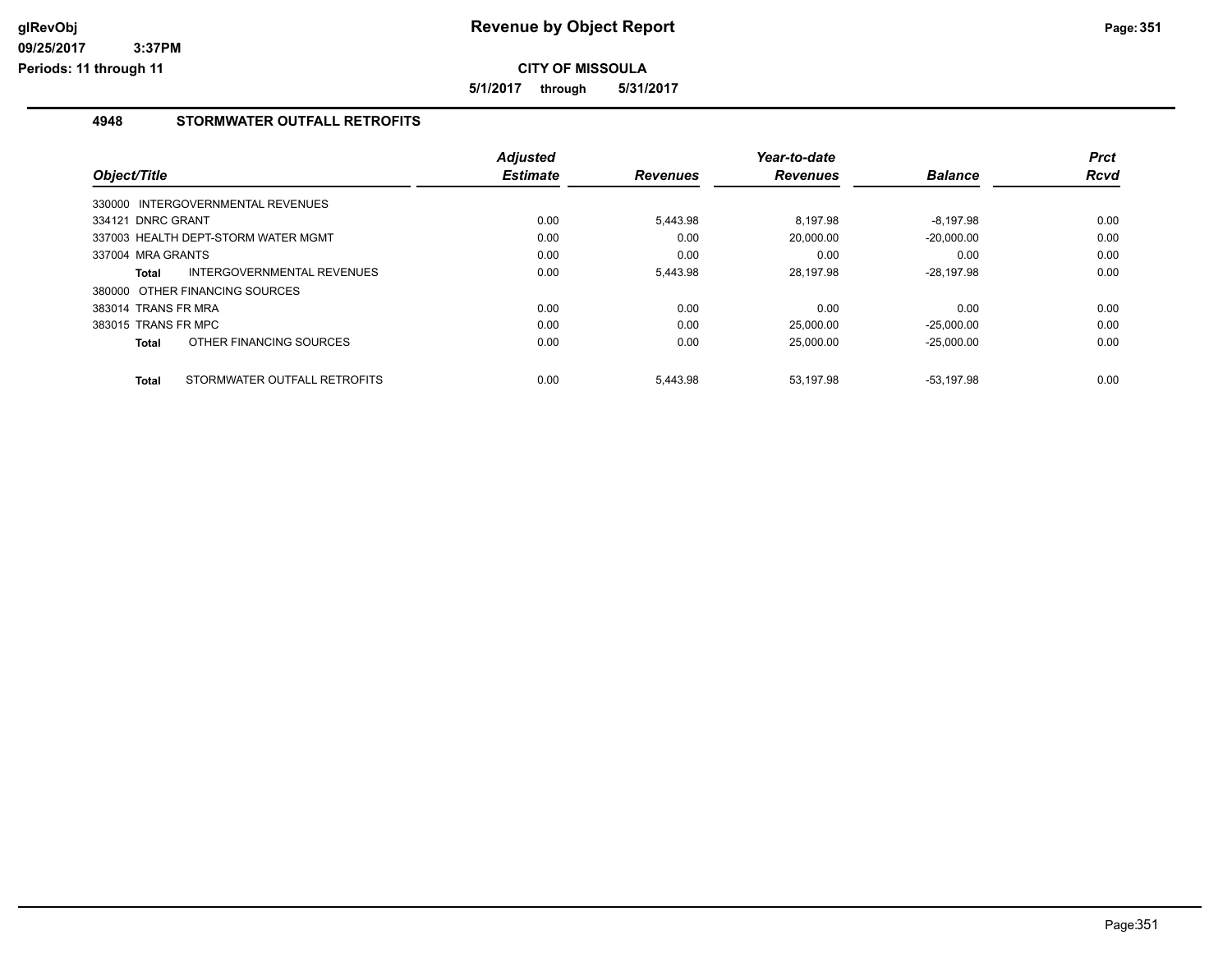**5/1/2017 through 5/31/2017**

#### **4948 STORMWATER OUTFALL RETROFITS**

| Object/Title                                 | <b>Adjusted</b><br><b>Estimate</b> | <b>Revenues</b> | Year-to-date<br><b>Revenues</b> | <b>Balance</b> | <b>Prct</b><br><b>Rcvd</b> |
|----------------------------------------------|------------------------------------|-----------------|---------------------------------|----------------|----------------------------|
| 330000 INTERGOVERNMENTAL REVENUES            |                                    |                 |                                 |                |                            |
| 334121 DNRC GRANT                            | 0.00                               | 5.443.98        | 8.197.98                        | $-8.197.98$    | 0.00                       |
| 337003 HEALTH DEPT-STORM WATER MGMT          | 0.00                               | 0.00            | 20.000.00                       | $-20.000.00$   | 0.00                       |
| 337004 MRA GRANTS                            | 0.00                               | 0.00            | 0.00                            | 0.00           | 0.00                       |
| INTERGOVERNMENTAL REVENUES<br><b>Total</b>   | 0.00                               | 5,443.98        | 28,197.98                       | $-28,197.98$   | 0.00                       |
| 380000 OTHER FINANCING SOURCES               |                                    |                 |                                 |                |                            |
| 383014 TRANS FR MRA                          | 0.00                               | 0.00            | 0.00                            | 0.00           | 0.00                       |
| 383015 TRANS FR MPC                          | 0.00                               | 0.00            | 25.000.00                       | $-25.000.00$   | 0.00                       |
| OTHER FINANCING SOURCES<br><b>Total</b>      | 0.00                               | 0.00            | 25,000.00                       | $-25,000.00$   | 0.00                       |
| STORMWATER OUTFALL RETROFITS<br><b>Total</b> | 0.00                               | 5.443.98        | 53.197.98                       | $-53.197.98$   | 0.00                       |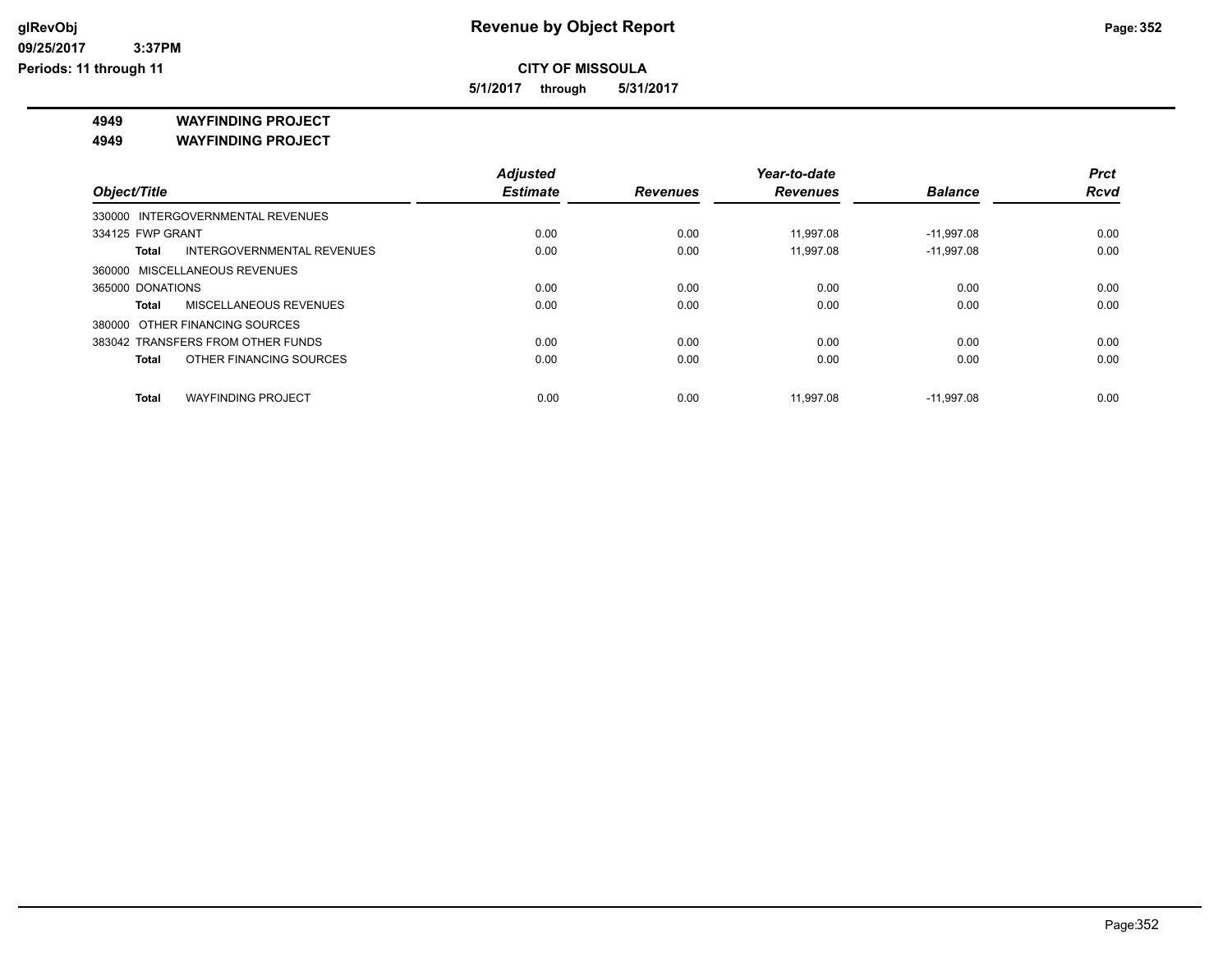**5/1/2017 through 5/31/2017**

**4949 WAYFINDING PROJECT**

**4949 WAYFINDING PROJECT**

|                                            | <b>Adjusted</b> |                 | Year-to-date    |                | <b>Prct</b> |
|--------------------------------------------|-----------------|-----------------|-----------------|----------------|-------------|
| Object/Title                               | <b>Estimate</b> | <b>Revenues</b> | <b>Revenues</b> | <b>Balance</b> | <b>Rcvd</b> |
| 330000 INTERGOVERNMENTAL REVENUES          |                 |                 |                 |                |             |
| 334125 FWP GRANT                           | 0.00            | 0.00            | 11.997.08       | $-11.997.08$   | 0.00        |
| <b>INTERGOVERNMENTAL REVENUES</b><br>Total | 0.00            | 0.00            | 11,997.08       | $-11,997.08$   | 0.00        |
| 360000 MISCELLANEOUS REVENUES              |                 |                 |                 |                |             |
| 365000 DONATIONS                           | 0.00            | 0.00            | 0.00            | 0.00           | 0.00        |
| <b>MISCELLANEOUS REVENUES</b><br>Total     | 0.00            | 0.00            | 0.00            | 0.00           | 0.00        |
| 380000 OTHER FINANCING SOURCES             |                 |                 |                 |                |             |
| 383042 TRANSFERS FROM OTHER FUNDS          | 0.00            | 0.00            | 0.00            | 0.00           | 0.00        |
| OTHER FINANCING SOURCES<br>Total           | 0.00            | 0.00            | 0.00            | 0.00           | 0.00        |
| <b>WAYFINDING PROJECT</b><br>Total         | 0.00            | 0.00            | 11.997.08       | $-11,997.08$   | 0.00        |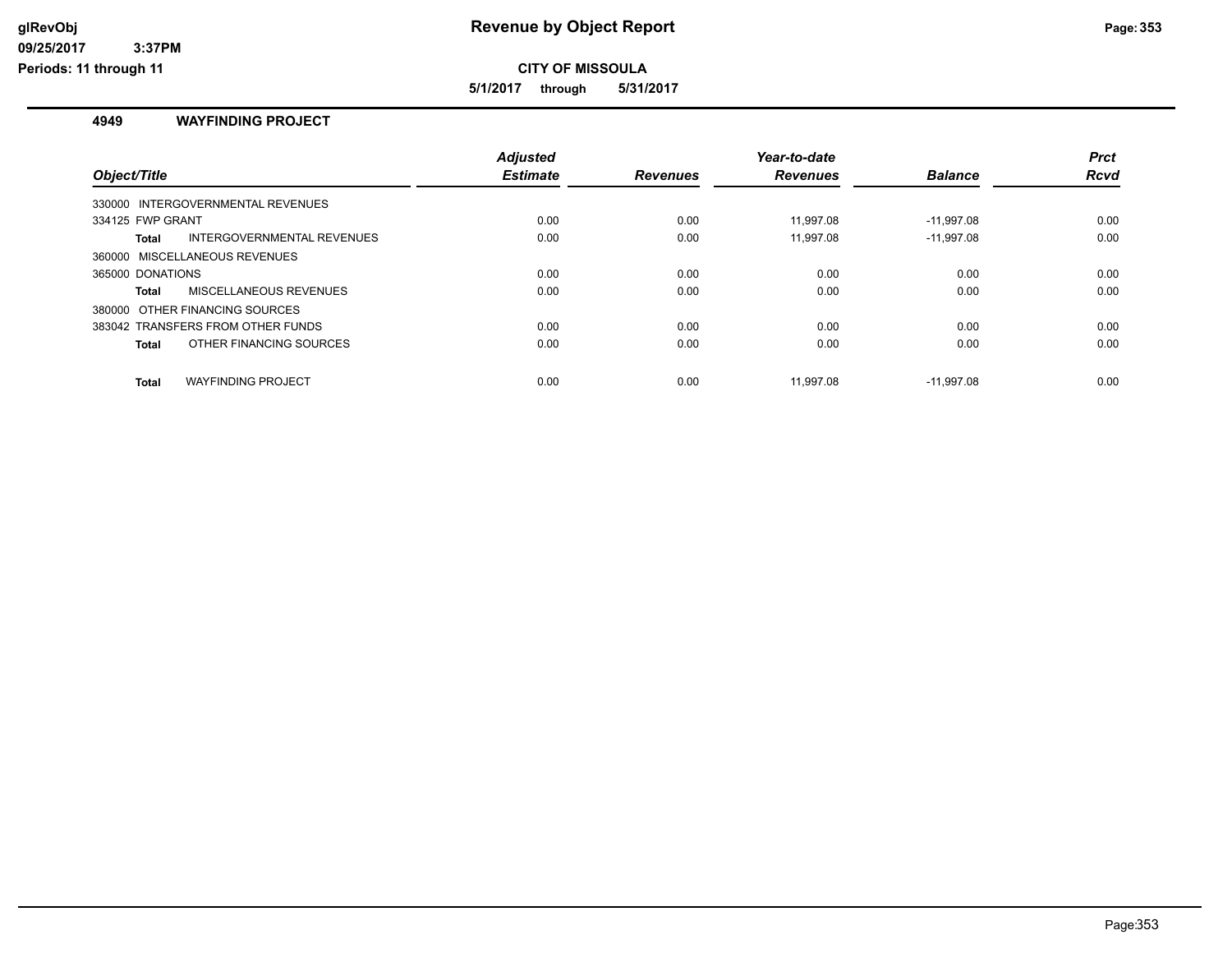**CITY OF MISSOULA**

**5/1/2017 through 5/31/2017**

#### **4949 WAYFINDING PROJECT**

 **3:37PM**

|                                            | <b>Adjusted</b> |                 | Year-to-date    |                | <b>Prct</b> |
|--------------------------------------------|-----------------|-----------------|-----------------|----------------|-------------|
| Object/Title                               | <b>Estimate</b> | <b>Revenues</b> | <b>Revenues</b> | <b>Balance</b> | <b>Rcvd</b> |
| 330000 INTERGOVERNMENTAL REVENUES          |                 |                 |                 |                |             |
| 334125 FWP GRANT                           | 0.00            | 0.00            | 11.997.08       | $-11,997.08$   | 0.00        |
| INTERGOVERNMENTAL REVENUES<br><b>Total</b> | 0.00            | 0.00            | 11.997.08       | $-11,997.08$   | 0.00        |
| 360000 MISCELLANEOUS REVENUES              |                 |                 |                 |                |             |
| 365000 DONATIONS                           | 0.00            | 0.00            | 0.00            | 0.00           | 0.00        |
| MISCELLANEOUS REVENUES<br>Total            | 0.00            | 0.00            | 0.00            | 0.00           | 0.00        |
| 380000 OTHER FINANCING SOURCES             |                 |                 |                 |                |             |
| 383042 TRANSFERS FROM OTHER FUNDS          | 0.00            | 0.00            | 0.00            | 0.00           | 0.00        |
| OTHER FINANCING SOURCES<br><b>Total</b>    | 0.00            | 0.00            | 0.00            | 0.00           | 0.00        |
| <b>WAYFINDING PROJECT</b><br><b>Total</b>  | 0.00            | 0.00            | 11.997.08       | $-11.997.08$   | 0.00        |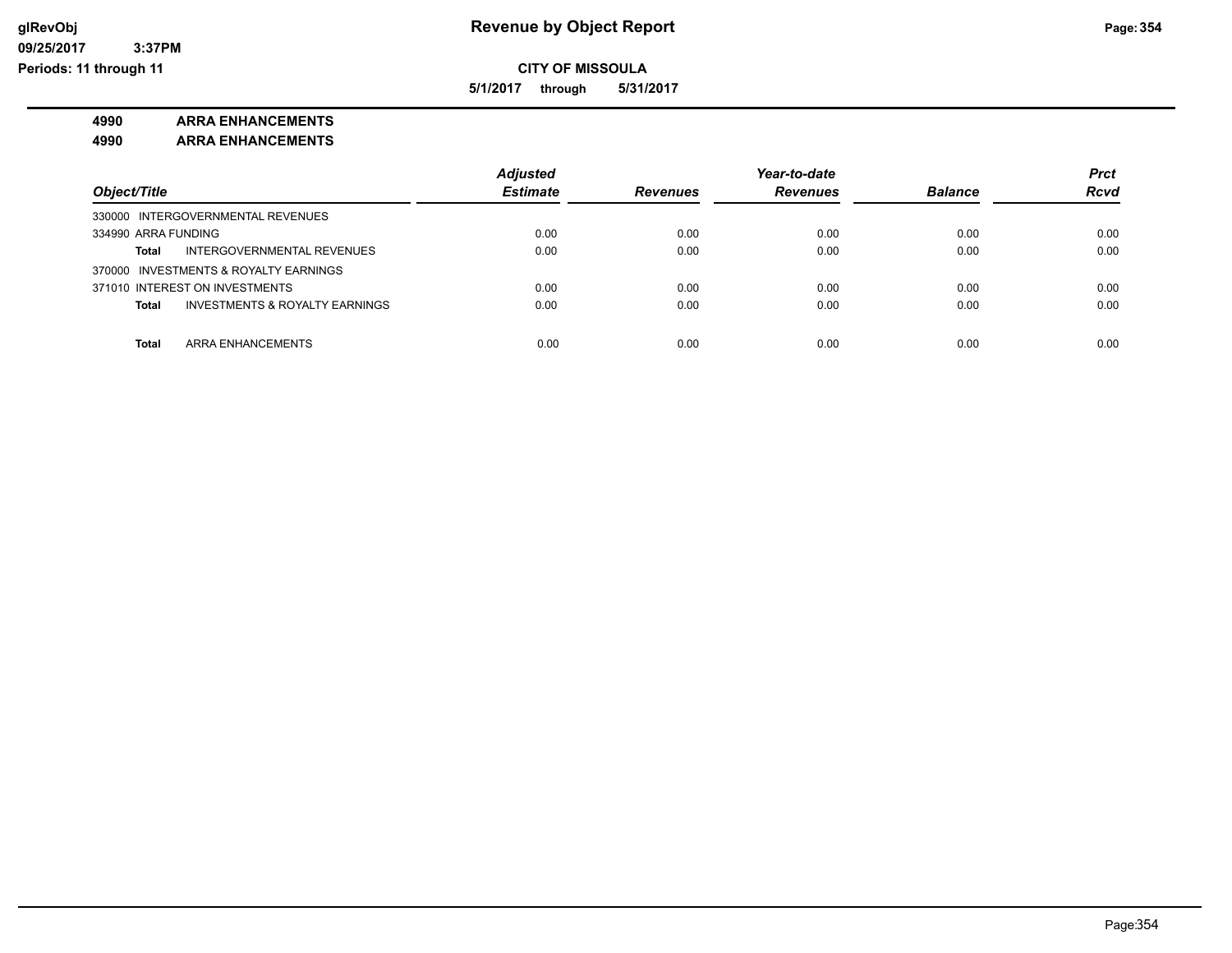**5/1/2017 through 5/31/2017**

#### **4990 ARRA ENHANCEMENTS**

**4990 ARRA ENHANCEMENTS**

|                                                | <b>Adjusted</b> |                 | Year-to-date    |                | <b>Prct</b> |
|------------------------------------------------|-----------------|-----------------|-----------------|----------------|-------------|
| Object/Title                                   | <b>Estimate</b> | <b>Revenues</b> | <b>Revenues</b> | <b>Balance</b> | <b>Rcvd</b> |
| 330000 INTERGOVERNMENTAL REVENUES              |                 |                 |                 |                |             |
| 334990 ARRA FUNDING                            | 0.00            | 0.00            | 0.00            | 0.00           | 0.00        |
| INTERGOVERNMENTAL REVENUES<br><b>Total</b>     | 0.00            | 0.00            | 0.00            | 0.00           | 0.00        |
| 370000 INVESTMENTS & ROYALTY EARNINGS          |                 |                 |                 |                |             |
| 371010 INTEREST ON INVESTMENTS                 | 0.00            | 0.00            | 0.00            | 0.00           | 0.00        |
| INVESTMENTS & ROYALTY EARNINGS<br><b>Total</b> | 0.00            | 0.00            | 0.00            | 0.00           | 0.00        |
|                                                |                 |                 |                 |                |             |
| ARRA ENHANCEMENTS<br><b>Total</b>              | 0.00            | 0.00            | 0.00            | 0.00           | 0.00        |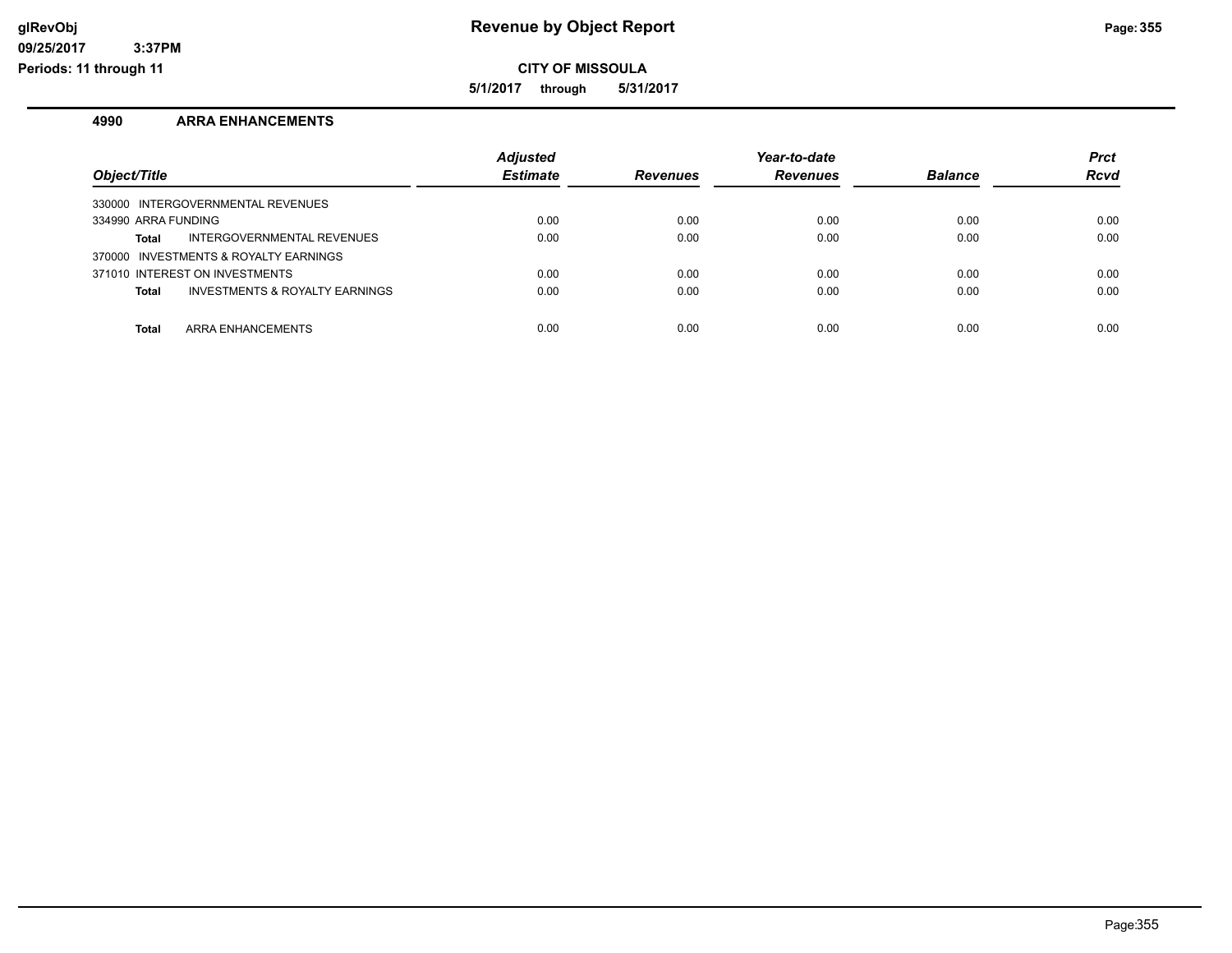**CITY OF MISSOULA**

**5/1/2017 through 5/31/2017**

#### **4990 ARRA ENHANCEMENTS**

 **3:37PM**

| Object/Title                                              | <b>Adjusted</b><br><b>Estimate</b> | <b>Revenues</b> | Year-to-date<br><b>Revenues</b> | <b>Balance</b> | <b>Prct</b><br><b>Rcvd</b> |
|-----------------------------------------------------------|------------------------------------|-----------------|---------------------------------|----------------|----------------------------|
| 330000 INTERGOVERNMENTAL REVENUES                         |                                    |                 |                                 |                |                            |
| 334990 ARRA FUNDING                                       | 0.00                               | 0.00            | 0.00                            | 0.00           | 0.00                       |
| INTERGOVERNMENTAL REVENUES<br>Total                       | 0.00                               | 0.00            | 0.00                            | 0.00           | 0.00                       |
| 370000 INVESTMENTS & ROYALTY EARNINGS                     |                                    |                 |                                 |                |                            |
| 371010 INTEREST ON INVESTMENTS                            | 0.00                               | 0.00            | 0.00                            | 0.00           | 0.00                       |
| <b>INVESTMENTS &amp; ROYALTY EARNINGS</b><br><b>Total</b> | 0.00                               | 0.00            | 0.00                            | 0.00           | 0.00                       |
|                                                           |                                    |                 |                                 |                |                            |
| ARRA ENHANCEMENTS<br>Total                                | 0.00                               | 0.00            | 0.00                            | 0.00           | 0.00                       |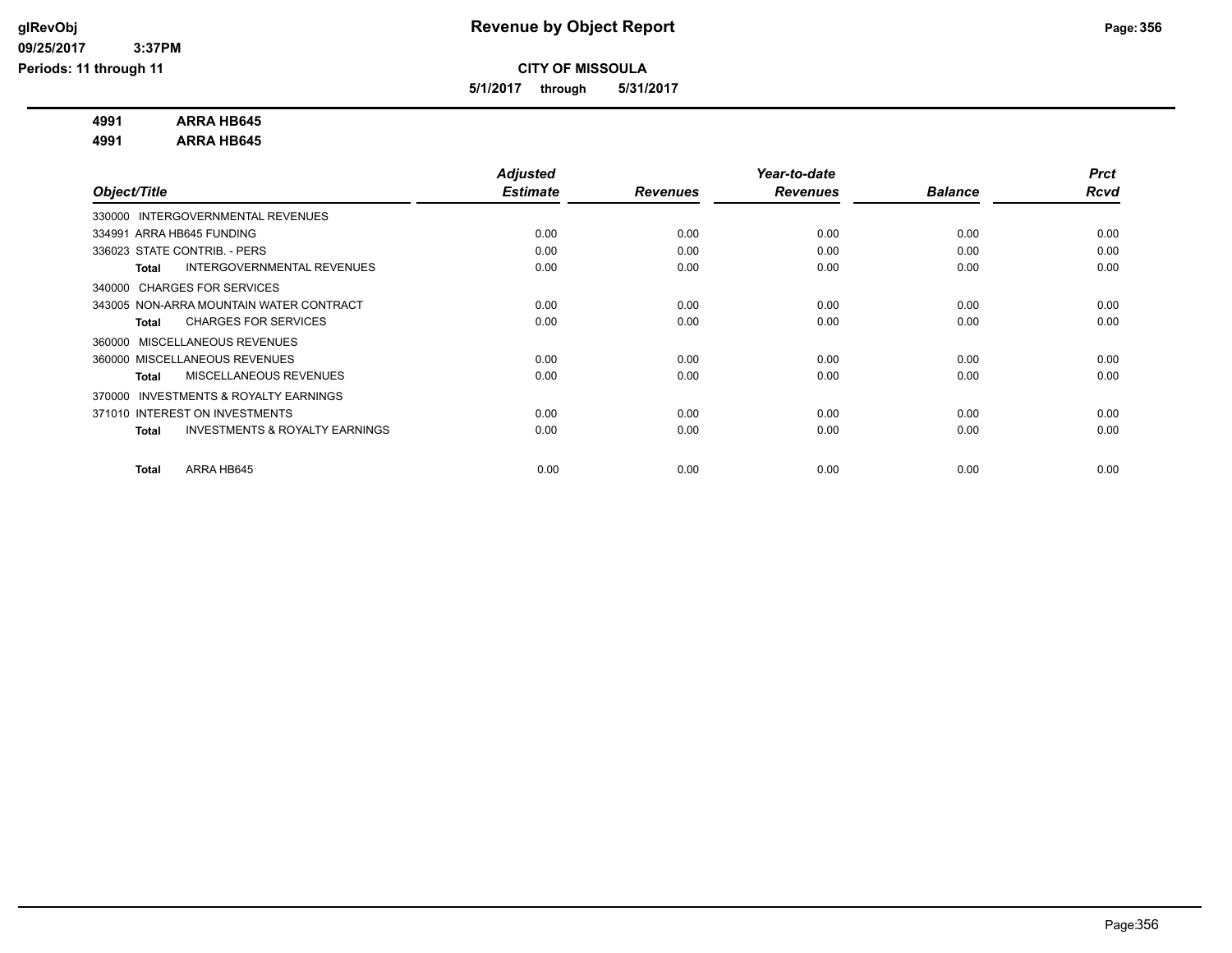**5/1/2017 through 5/31/2017**

#### **4991 ARRA HB645**

**4991 ARRA HB645**

|                                                           | <b>Adjusted</b> |                 | Year-to-date    |                | <b>Prct</b> |
|-----------------------------------------------------------|-----------------|-----------------|-----------------|----------------|-------------|
| Object/Title                                              | <b>Estimate</b> | <b>Revenues</b> | <b>Revenues</b> | <b>Balance</b> | <b>Rcvd</b> |
| 330000 INTERGOVERNMENTAL REVENUES                         |                 |                 |                 |                |             |
| 334991 ARRA HB645 FUNDING                                 | 0.00            | 0.00            | 0.00            | 0.00           | 0.00        |
| 336023 STATE CONTRIB. - PERS                              | 0.00            | 0.00            | 0.00            | 0.00           | 0.00        |
| <b>INTERGOVERNMENTAL REVENUES</b><br><b>Total</b>         | 0.00            | 0.00            | 0.00            | 0.00           | 0.00        |
| 340000 CHARGES FOR SERVICES                               |                 |                 |                 |                |             |
| 343005 NON-ARRA MOUNTAIN WATER CONTRACT                   | 0.00            | 0.00            | 0.00            | 0.00           | 0.00        |
| <b>CHARGES FOR SERVICES</b><br><b>Total</b>               | 0.00            | 0.00            | 0.00            | 0.00           | 0.00        |
| 360000 MISCELLANEOUS REVENUES                             |                 |                 |                 |                |             |
| 360000 MISCELLANEOUS REVENUES                             | 0.00            | 0.00            | 0.00            | 0.00           | 0.00        |
| MISCELLANEOUS REVENUES<br><b>Total</b>                    | 0.00            | 0.00            | 0.00            | 0.00           | 0.00        |
| 370000 INVESTMENTS & ROYALTY EARNINGS                     |                 |                 |                 |                |             |
| 371010 INTEREST ON INVESTMENTS                            | 0.00            | 0.00            | 0.00            | 0.00           | 0.00        |
| <b>INVESTMENTS &amp; ROYALTY EARNINGS</b><br><b>Total</b> | 0.00            | 0.00            | 0.00            | 0.00           | 0.00        |
|                                                           |                 |                 |                 |                |             |
| ARRA HB645<br><b>Total</b>                                | 0.00            | 0.00            | 0.00            | 0.00           | 0.00        |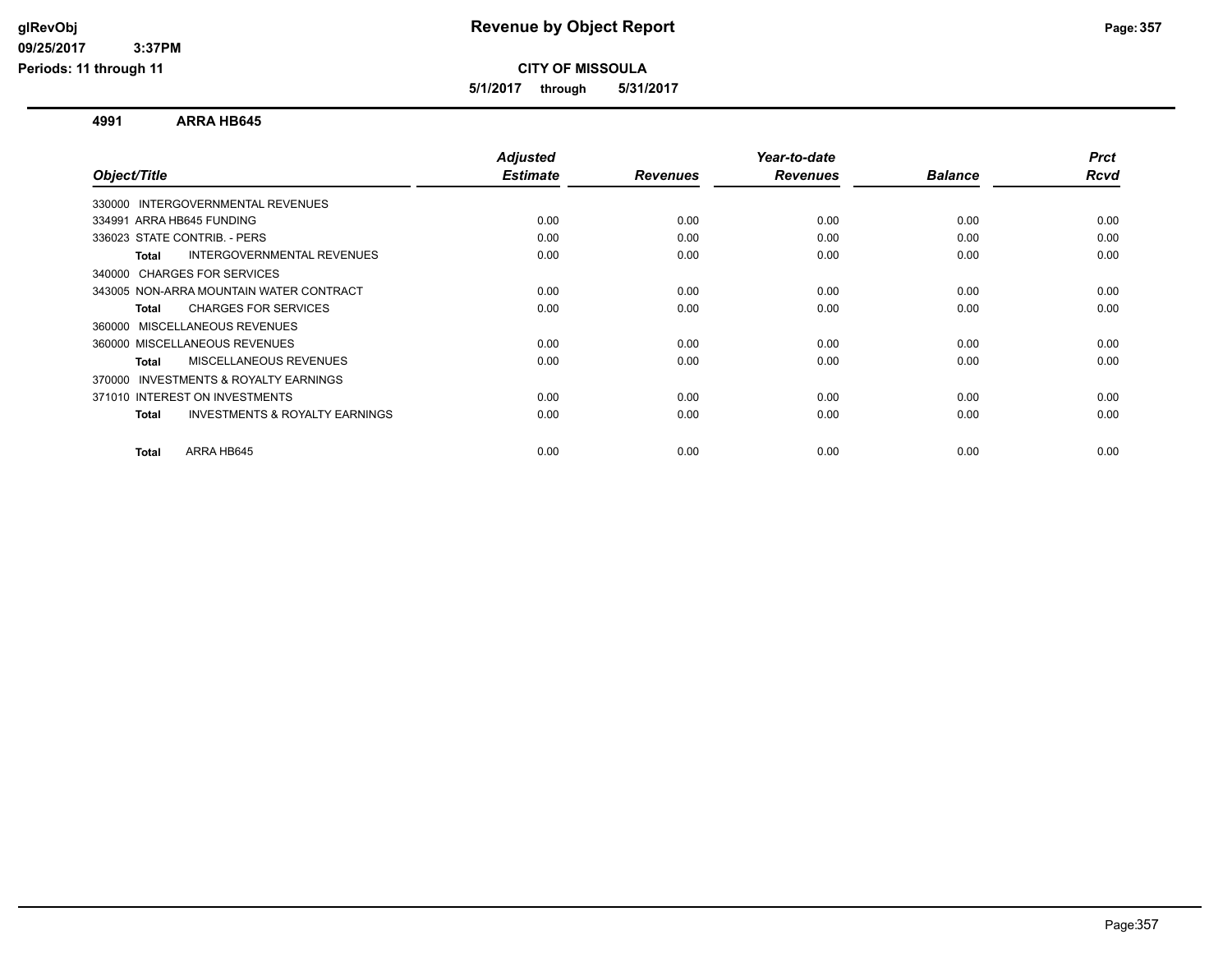**09/25/2017 3:37PM Periods: 11 through 11**

**CITY OF MISSOULA**

**5/1/2017 through 5/31/2017**

**4991 ARRA HB645**

| Object/Title                                              | <b>Adjusted</b><br><b>Estimate</b> | <b>Revenues</b> | Year-to-date<br><b>Revenues</b> | <b>Balance</b> | <b>Prct</b><br><b>Rcvd</b> |
|-----------------------------------------------------------|------------------------------------|-----------------|---------------------------------|----------------|----------------------------|
|                                                           |                                    |                 |                                 |                |                            |
| 330000 INTERGOVERNMENTAL REVENUES                         |                                    |                 |                                 |                |                            |
| 334991 ARRA HB645 FUNDING                                 | 0.00                               | 0.00            | 0.00                            | 0.00           | 0.00                       |
| 336023 STATE CONTRIB. - PERS                              | 0.00                               | 0.00            | 0.00                            | 0.00           | 0.00                       |
| <b>INTERGOVERNMENTAL REVENUES</b><br>Total                | 0.00                               | 0.00            | 0.00                            | 0.00           | 0.00                       |
| 340000 CHARGES FOR SERVICES                               |                                    |                 |                                 |                |                            |
| 343005 NON-ARRA MOUNTAIN WATER CONTRACT                   | 0.00                               | 0.00            | 0.00                            | 0.00           | 0.00                       |
| <b>CHARGES FOR SERVICES</b><br>Total                      | 0.00                               | 0.00            | 0.00                            | 0.00           | 0.00                       |
| 360000 MISCELLANEOUS REVENUES                             |                                    |                 |                                 |                |                            |
| 360000 MISCELLANEOUS REVENUES                             | 0.00                               | 0.00            | 0.00                            | 0.00           | 0.00                       |
| MISCELLANEOUS REVENUES<br>Total                           | 0.00                               | 0.00            | 0.00                            | 0.00           | 0.00                       |
| INVESTMENTS & ROYALTY EARNINGS<br>370000                  |                                    |                 |                                 |                |                            |
| 371010 INTEREST ON INVESTMENTS                            | 0.00                               | 0.00            | 0.00                            | 0.00           | 0.00                       |
| <b>INVESTMENTS &amp; ROYALTY EARNINGS</b><br><b>Total</b> | 0.00                               | 0.00            | 0.00                            | 0.00           | 0.00                       |
|                                                           |                                    |                 |                                 |                |                            |
| ARRA HB645<br>Total                                       | 0.00                               | 0.00            | 0.00                            | 0.00           | 0.00                       |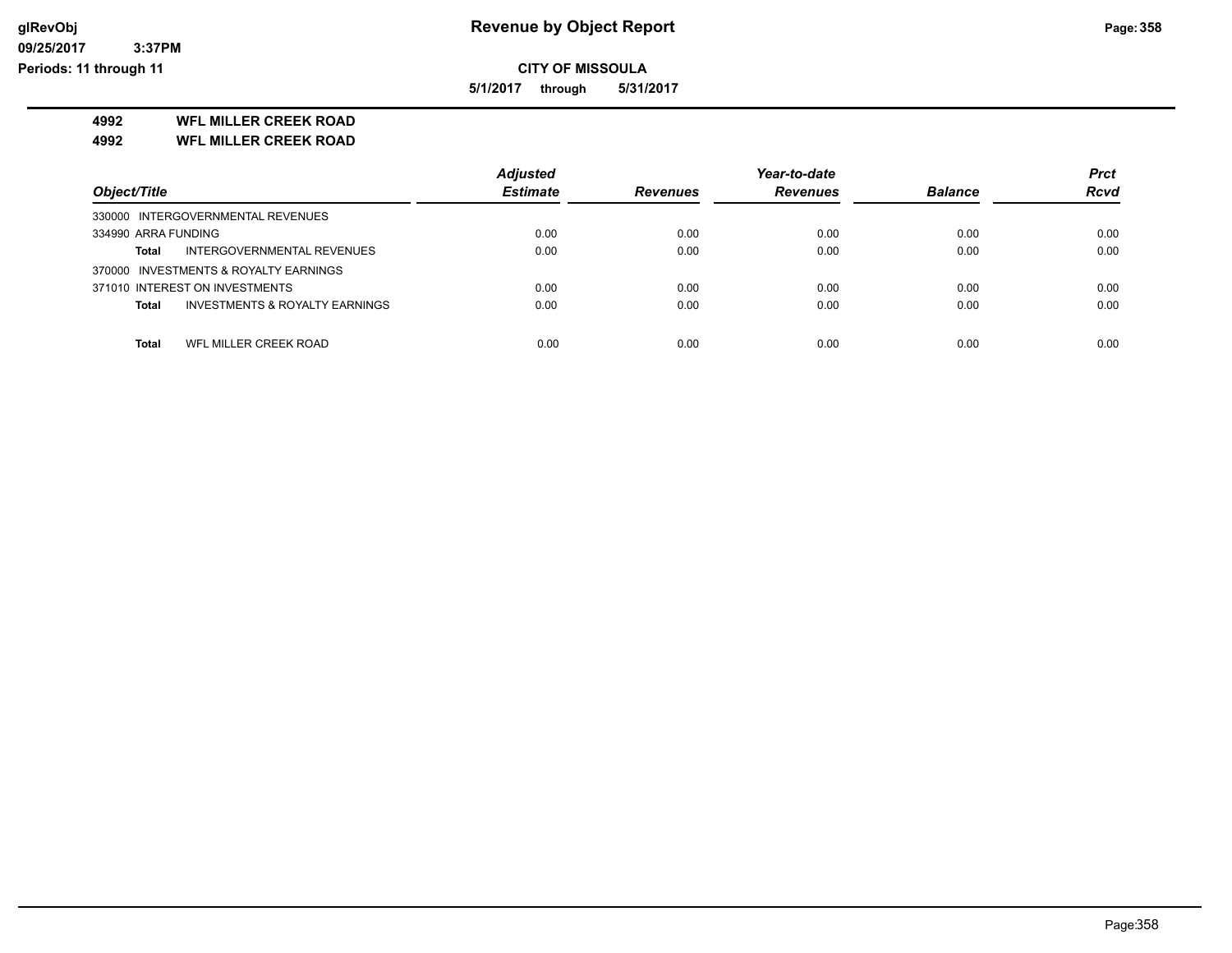**5/1/2017 through 5/31/2017**

#### **4992 WFL MILLER CREEK ROAD**

**4992 WFL MILLER CREEK ROAD**

|                                                    | <b>Adjusted</b> |                 | Year-to-date    |                | <b>Prct</b> |
|----------------------------------------------------|-----------------|-----------------|-----------------|----------------|-------------|
| Object/Title                                       | <b>Estimate</b> | <b>Revenues</b> | <b>Revenues</b> | <b>Balance</b> | <b>Rcvd</b> |
| 330000 INTERGOVERNMENTAL REVENUES                  |                 |                 |                 |                |             |
| 334990 ARRA FUNDING                                | 0.00            | 0.00            | 0.00            | 0.00           | 0.00        |
| INTERGOVERNMENTAL REVENUES<br><b>Total</b>         | 0.00            | 0.00            | 0.00            | 0.00           | 0.00        |
| 370000 INVESTMENTS & ROYALTY EARNINGS              |                 |                 |                 |                |             |
| 371010 INTEREST ON INVESTMENTS                     | 0.00            | 0.00            | 0.00            | 0.00           | 0.00        |
| <b>INVESTMENTS &amp; ROYALTY EARNINGS</b><br>Total | 0.00            | 0.00            | 0.00            | 0.00           | 0.00        |
|                                                    |                 |                 |                 |                |             |
| WFL MILLER CREEK ROAD<br>Total                     | 0.00            | 0.00            | 0.00            | 0.00           | 0.00        |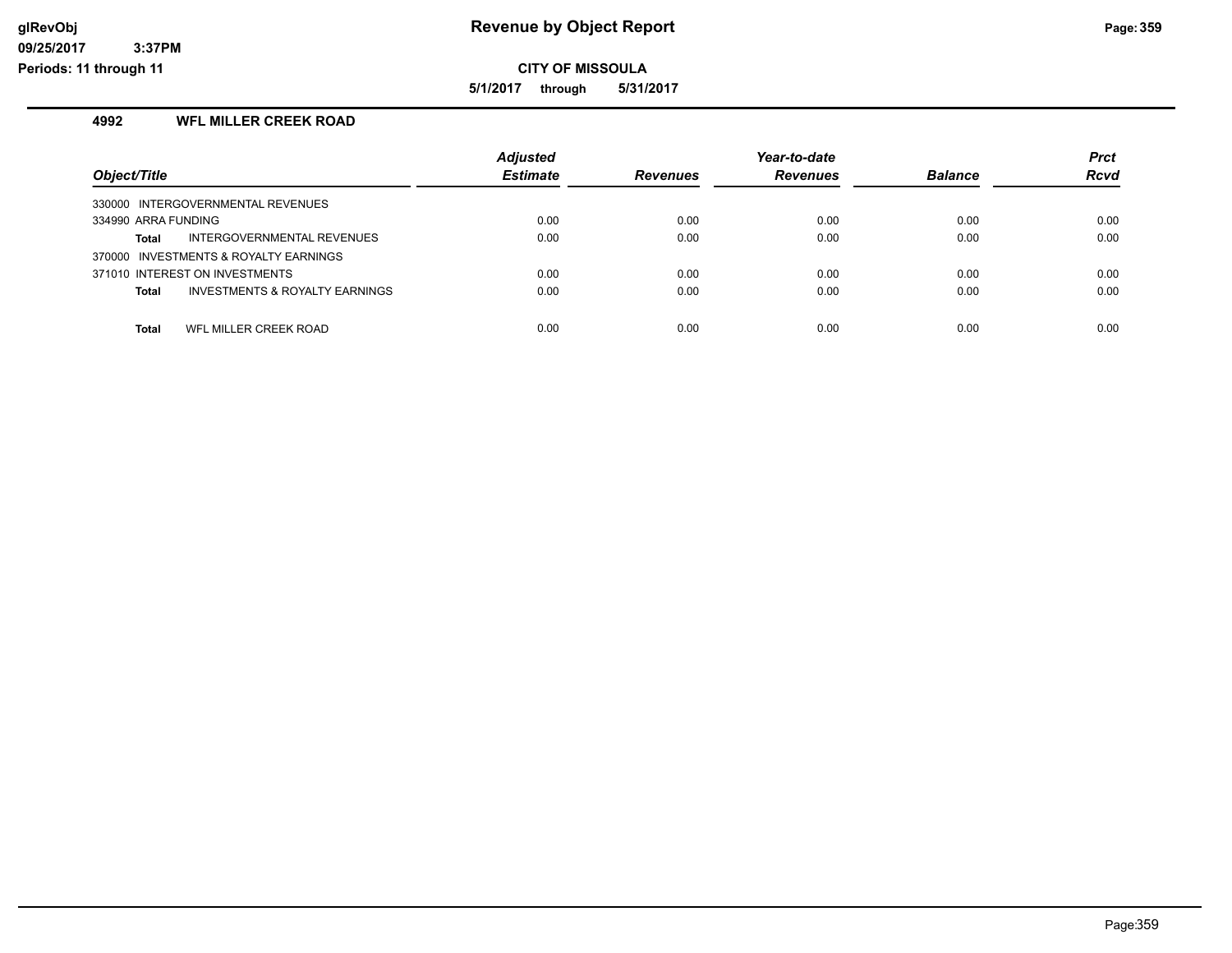**CITY OF MISSOULA**

**5/1/2017 through 5/31/2017**

#### **4992 WFL MILLER CREEK ROAD**

| Object/Title                                              | <b>Adjusted</b><br><b>Estimate</b> | <b>Revenues</b> | Year-to-date<br><b>Revenues</b> | <b>Balance</b> | <b>Prct</b><br><b>Rcvd</b> |
|-----------------------------------------------------------|------------------------------------|-----------------|---------------------------------|----------------|----------------------------|
| 330000 INTERGOVERNMENTAL REVENUES                         |                                    |                 |                                 |                |                            |
| 334990 ARRA FUNDING                                       | 0.00                               | 0.00            | 0.00                            | 0.00           | 0.00                       |
| INTERGOVERNMENTAL REVENUES<br>Total                       | 0.00                               | 0.00            | 0.00                            | 0.00           | 0.00                       |
| 370000 INVESTMENTS & ROYALTY EARNINGS                     |                                    |                 |                                 |                |                            |
| 371010 INTEREST ON INVESTMENTS                            | 0.00                               | 0.00            | 0.00                            | 0.00           | 0.00                       |
| <b>INVESTMENTS &amp; ROYALTY EARNINGS</b><br><b>Total</b> | 0.00                               | 0.00            | 0.00                            | 0.00           | 0.00                       |
| WFL MILLER CREEK ROAD<br>Total                            | 0.00                               | 0.00            | 0.00                            | 0.00           | 0.00                       |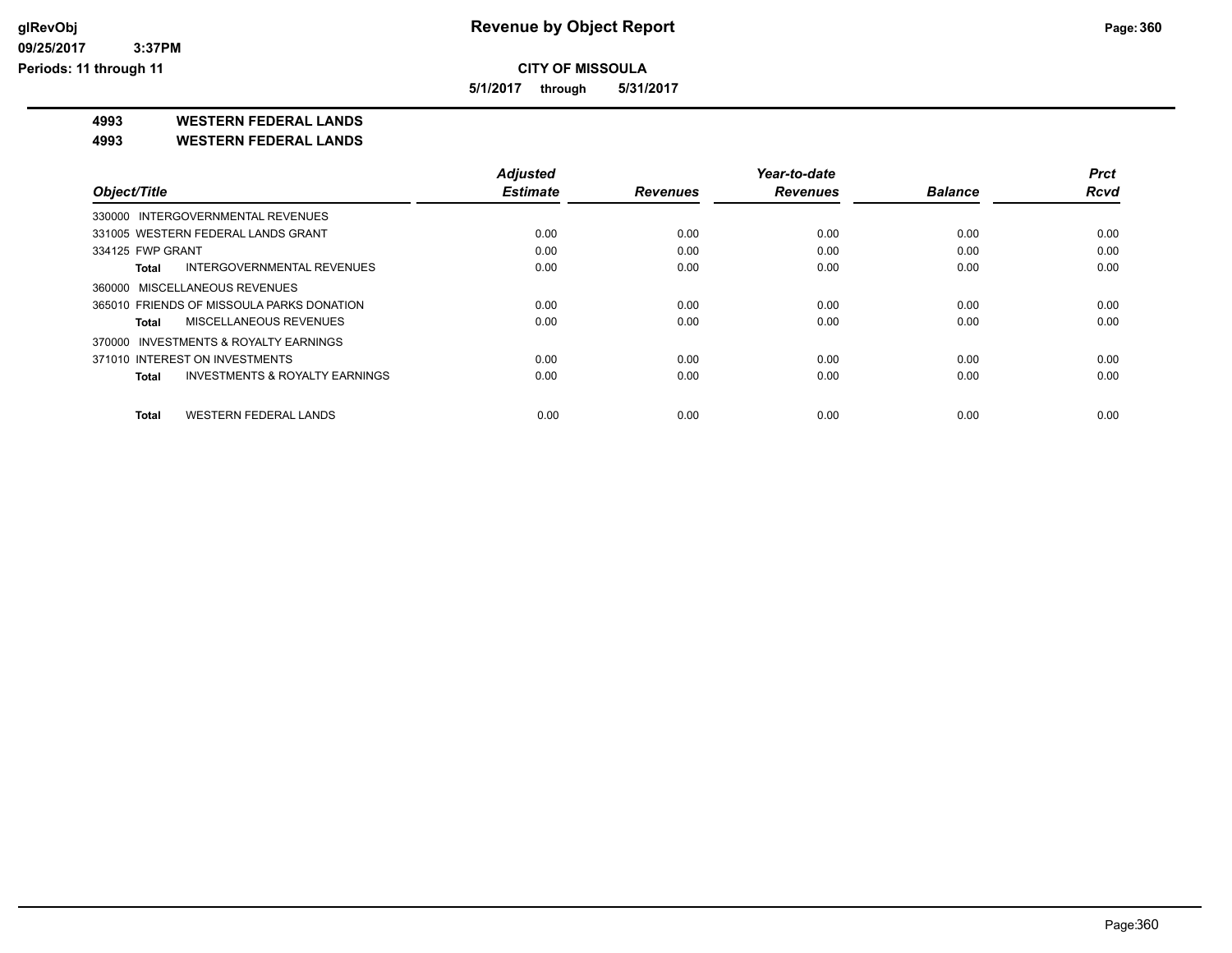**5/1/2017 through 5/31/2017**

**4993 WESTERN FEDERAL LANDS**

**4993 WESTERN FEDERAL LANDS**

|                                                           | <b>Adjusted</b> |                 | Year-to-date    |                | <b>Prct</b> |
|-----------------------------------------------------------|-----------------|-----------------|-----------------|----------------|-------------|
| Object/Title                                              | <b>Estimate</b> | <b>Revenues</b> | <b>Revenues</b> | <b>Balance</b> | <b>Rcvd</b> |
| 330000 INTERGOVERNMENTAL REVENUES                         |                 |                 |                 |                |             |
| 331005 WESTERN FEDERAL LANDS GRANT                        | 0.00            | 0.00            | 0.00            | 0.00           | 0.00        |
| 334125 FWP GRANT                                          | 0.00            | 0.00            | 0.00            | 0.00           | 0.00        |
| INTERGOVERNMENTAL REVENUES<br>Total                       | 0.00            | 0.00            | 0.00            | 0.00           | 0.00        |
| 360000 MISCELLANEOUS REVENUES                             |                 |                 |                 |                |             |
| 365010 FRIENDS OF MISSOULA PARKS DONATION                 | 0.00            | 0.00            | 0.00            | 0.00           | 0.00        |
| MISCELLANEOUS REVENUES<br>Total                           | 0.00            | 0.00            | 0.00            | 0.00           | 0.00        |
| 370000 INVESTMENTS & ROYALTY EARNINGS                     |                 |                 |                 |                |             |
| 371010 INTEREST ON INVESTMENTS                            | 0.00            | 0.00            | 0.00            | 0.00           | 0.00        |
| <b>INVESTMENTS &amp; ROYALTY EARNINGS</b><br><b>Total</b> | 0.00            | 0.00            | 0.00            | 0.00           | 0.00        |
| <b>WESTERN FEDERAL LANDS</b><br><b>Total</b>              | 0.00            | 0.00            | 0.00            | 0.00           | 0.00        |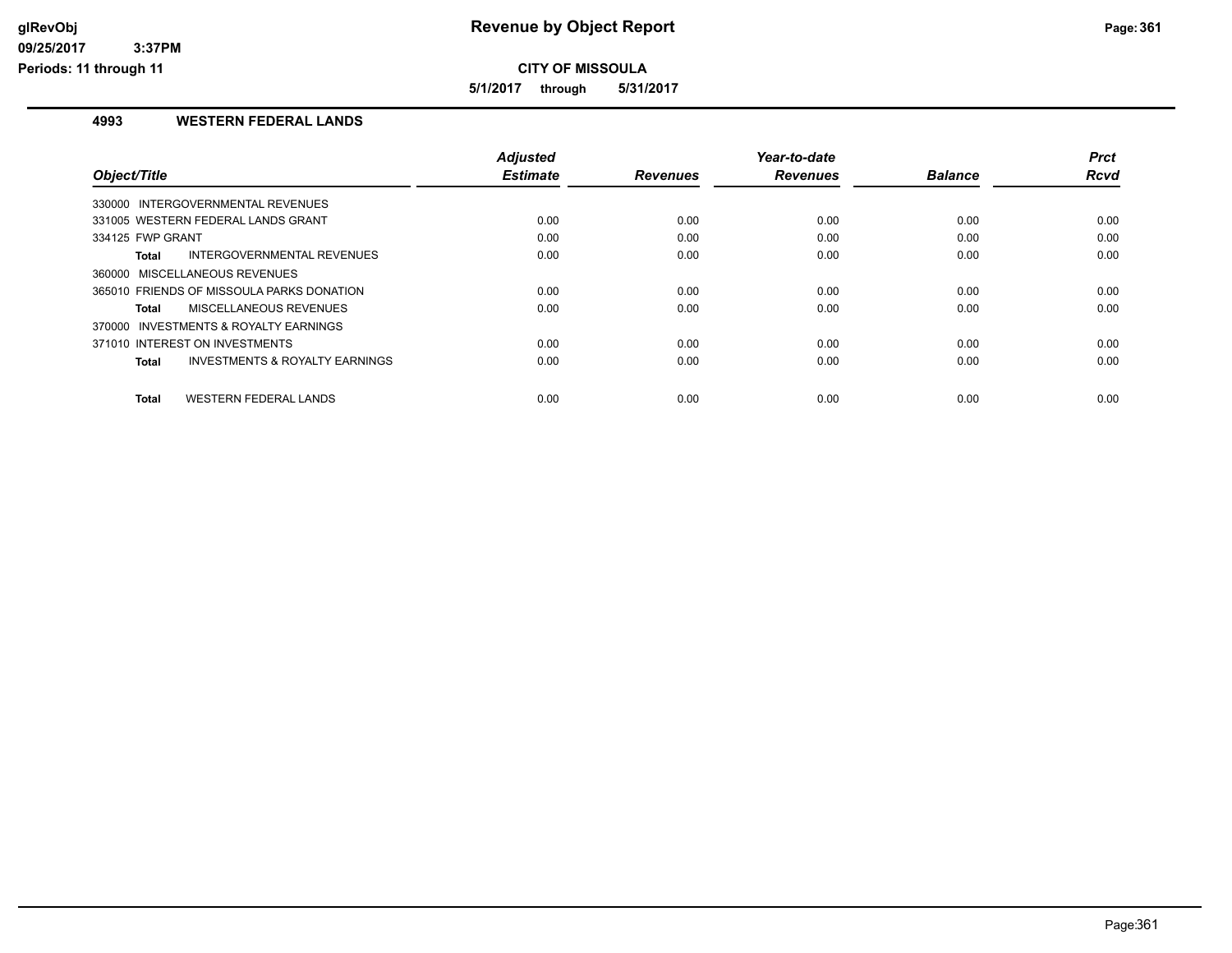**5/1/2017 through 5/31/2017**

#### **4993 WESTERN FEDERAL LANDS**

|                                                | <b>Adjusted</b> |                 | Year-to-date    |                | <b>Prct</b> |
|------------------------------------------------|-----------------|-----------------|-----------------|----------------|-------------|
| Object/Title                                   | <b>Estimate</b> | <b>Revenues</b> | <b>Revenues</b> | <b>Balance</b> | <b>Rcvd</b> |
| 330000 INTERGOVERNMENTAL REVENUES              |                 |                 |                 |                |             |
| 331005 WESTERN FEDERAL LANDS GRANT             | 0.00            | 0.00            | 0.00            | 0.00           | 0.00        |
| 334125 FWP GRANT                               | 0.00            | 0.00            | 0.00            | 0.00           | 0.00        |
| INTERGOVERNMENTAL REVENUES<br><b>Total</b>     | 0.00            | 0.00            | 0.00            | 0.00           | 0.00        |
| 360000 MISCELLANEOUS REVENUES                  |                 |                 |                 |                |             |
| 365010 FRIENDS OF MISSOULA PARKS DONATION      | 0.00            | 0.00            | 0.00            | 0.00           | 0.00        |
| <b>MISCELLANEOUS REVENUES</b><br><b>Total</b>  | 0.00            | 0.00            | 0.00            | 0.00           | 0.00        |
| 370000 INVESTMENTS & ROYALTY EARNINGS          |                 |                 |                 |                |             |
| 371010 INTEREST ON INVESTMENTS                 | 0.00            | 0.00            | 0.00            | 0.00           | 0.00        |
| INVESTMENTS & ROYALTY EARNINGS<br><b>Total</b> | 0.00            | 0.00            | 0.00            | 0.00           | 0.00        |
|                                                |                 |                 |                 |                |             |
| <b>WESTERN FEDERAL LANDS</b><br><b>Total</b>   | 0.00            | 0.00            | 0.00            | 0.00           | 0.00        |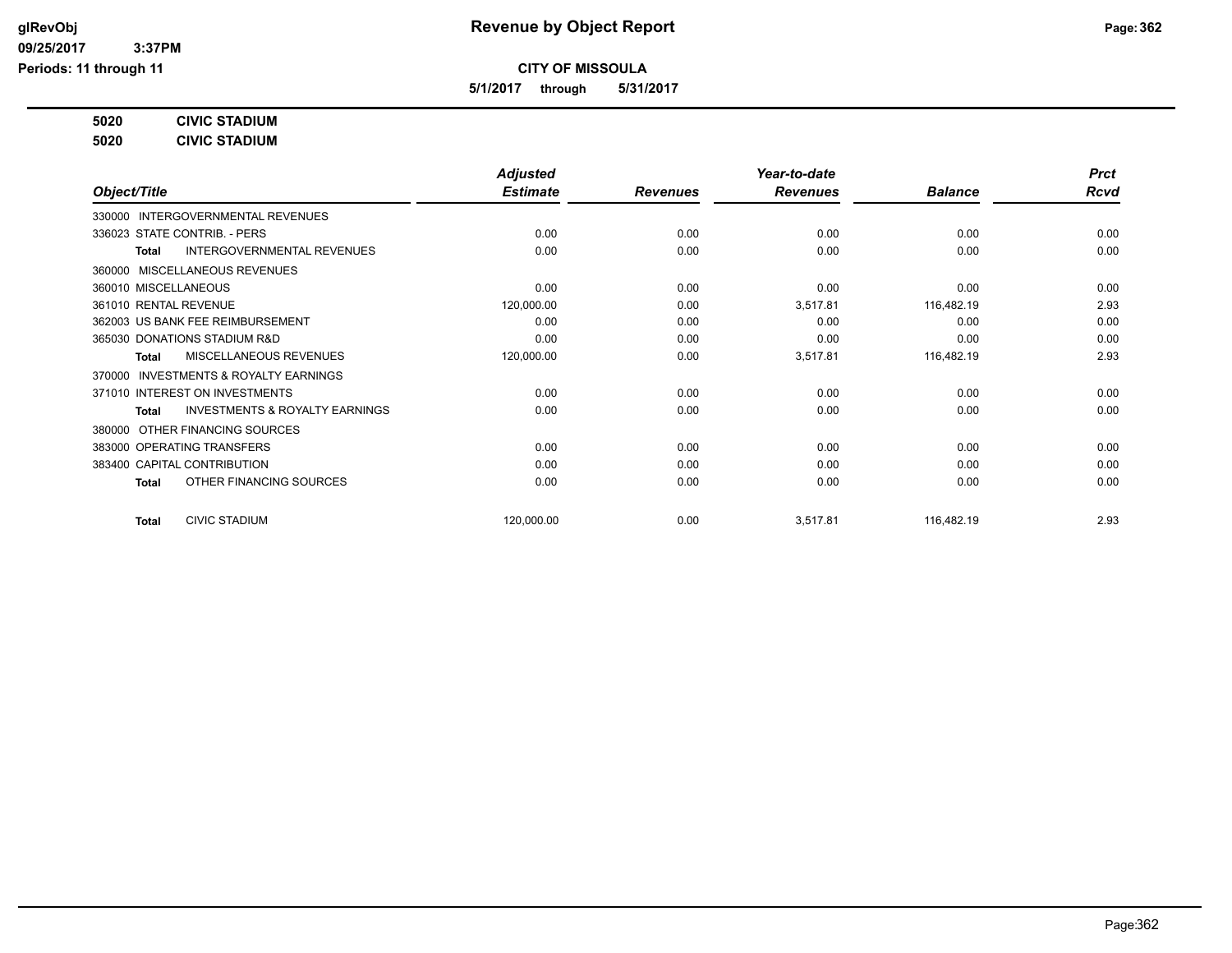**5/1/2017 through 5/31/2017**

**Periods: 11 through 11**

#### **5020 CIVIC STADIUM**

 **3:37PM**

**5020 CIVIC STADIUM**

|                                                           | <b>Adjusted</b> |                 | Year-to-date    |                | <b>Prct</b> |
|-----------------------------------------------------------|-----------------|-----------------|-----------------|----------------|-------------|
| Object/Title                                              | <b>Estimate</b> | <b>Revenues</b> | <b>Revenues</b> | <b>Balance</b> | <b>Rcvd</b> |
| INTERGOVERNMENTAL REVENUES<br>330000                      |                 |                 |                 |                |             |
| 336023 STATE CONTRIB. - PERS                              | 0.00            | 0.00            | 0.00            | 0.00           | 0.00        |
| <b>INTERGOVERNMENTAL REVENUES</b><br><b>Total</b>         | 0.00            | 0.00            | 0.00            | 0.00           | 0.00        |
| MISCELLANEOUS REVENUES<br>360000                          |                 |                 |                 |                |             |
| 360010 MISCELLANEOUS                                      | 0.00            | 0.00            | 0.00            | 0.00           | 0.00        |
| 361010 RENTAL REVENUE                                     | 120,000.00      | 0.00            | 3,517.81        | 116,482.19     | 2.93        |
| 362003 US BANK FEE REIMBURSEMENT                          | 0.00            | 0.00            | 0.00            | 0.00           | 0.00        |
| 365030 DONATIONS STADIUM R&D                              | 0.00            | 0.00            | 0.00            | 0.00           | 0.00        |
| MISCELLANEOUS REVENUES<br><b>Total</b>                    | 120,000.00      | 0.00            | 3,517.81        | 116,482.19     | 2.93        |
| <b>INVESTMENTS &amp; ROYALTY EARNINGS</b><br>370000       |                 |                 |                 |                |             |
| 371010 INTEREST ON INVESTMENTS                            | 0.00            | 0.00            | 0.00            | 0.00           | 0.00        |
| <b>INVESTMENTS &amp; ROYALTY EARNINGS</b><br><b>Total</b> | 0.00            | 0.00            | 0.00            | 0.00           | 0.00        |
| OTHER FINANCING SOURCES<br>380000                         |                 |                 |                 |                |             |
| 383000 OPERATING TRANSFERS                                | 0.00            | 0.00            | 0.00            | 0.00           | 0.00        |
| 383400 CAPITAL CONTRIBUTION                               | 0.00            | 0.00            | 0.00            | 0.00           | 0.00        |
| OTHER FINANCING SOURCES<br><b>Total</b>                   | 0.00            | 0.00            | 0.00            | 0.00           | 0.00        |
|                                                           |                 |                 |                 |                |             |
| <b>CIVIC STADIUM</b><br><b>Total</b>                      | 120,000.00      | 0.00            | 3,517.81        | 116,482.19     | 2.93        |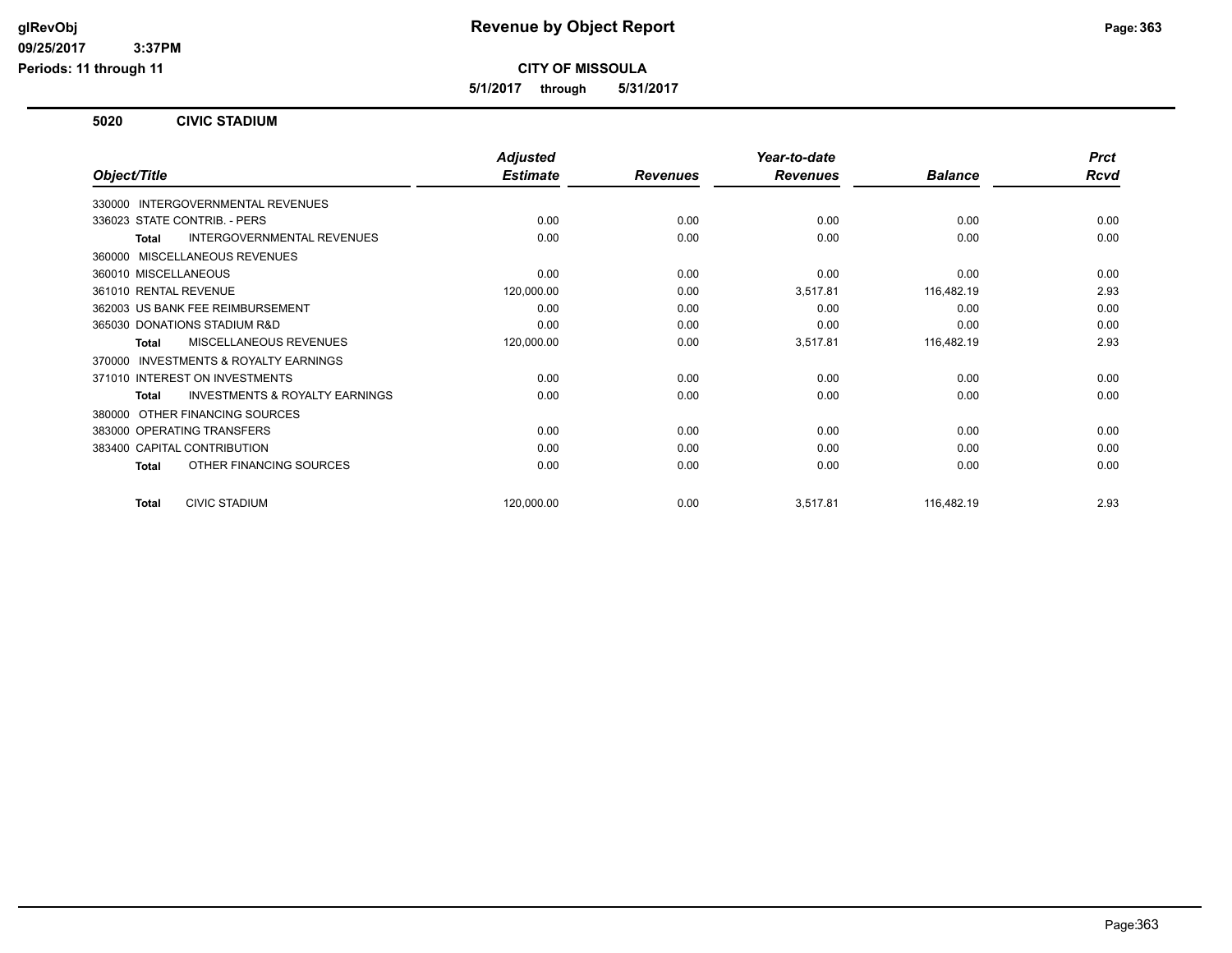**CITY OF MISSOULA**

**5/1/2017 through 5/31/2017**

#### **5020 CIVIC STADIUM**

 **3:37PM**

|                                                           | <b>Adjusted</b> |                 | Year-to-date    |                | <b>Prct</b> |
|-----------------------------------------------------------|-----------------|-----------------|-----------------|----------------|-------------|
| Object/Title                                              | <b>Estimate</b> | <b>Revenues</b> | <b>Revenues</b> | <b>Balance</b> | <b>Rcvd</b> |
| 330000 INTERGOVERNMENTAL REVENUES                         |                 |                 |                 |                |             |
| 336023 STATE CONTRIB. - PERS                              | 0.00            | 0.00            | 0.00            | 0.00           | 0.00        |
| <b>INTERGOVERNMENTAL REVENUES</b><br>Total                | 0.00            | 0.00            | 0.00            | 0.00           | 0.00        |
| 360000 MISCELLANEOUS REVENUES                             |                 |                 |                 |                |             |
| 360010 MISCELLANEOUS                                      | 0.00            | 0.00            | 0.00            | 0.00           | 0.00        |
| 361010 RENTAL REVENUE                                     | 120,000.00      | 0.00            | 3,517.81        | 116,482.19     | 2.93        |
| 362003 US BANK FEE REIMBURSEMENT                          | 0.00            | 0.00            | 0.00            | 0.00           | 0.00        |
| 365030 DONATIONS STADIUM R&D                              | 0.00            | 0.00            | 0.00            | 0.00           | 0.00        |
| MISCELLANEOUS REVENUES<br><b>Total</b>                    | 120,000.00      | 0.00            | 3,517.81        | 116,482.19     | 2.93        |
| 370000 INVESTMENTS & ROYALTY EARNINGS                     |                 |                 |                 |                |             |
| 371010 INTEREST ON INVESTMENTS                            | 0.00            | 0.00            | 0.00            | 0.00           | 0.00        |
| <b>INVESTMENTS &amp; ROYALTY EARNINGS</b><br><b>Total</b> | 0.00            | 0.00            | 0.00            | 0.00           | 0.00        |
| OTHER FINANCING SOURCES<br>380000                         |                 |                 |                 |                |             |
| 383000 OPERATING TRANSFERS                                | 0.00            | 0.00            | 0.00            | 0.00           | 0.00        |
| 383400 CAPITAL CONTRIBUTION                               | 0.00            | 0.00            | 0.00            | 0.00           | 0.00        |
| OTHER FINANCING SOURCES<br>Total                          | 0.00            | 0.00            | 0.00            | 0.00           | 0.00        |
| <b>CIVIC STADIUM</b><br><b>Total</b>                      | 120,000.00      | 0.00            | 3,517.81        | 116,482.19     | 2.93        |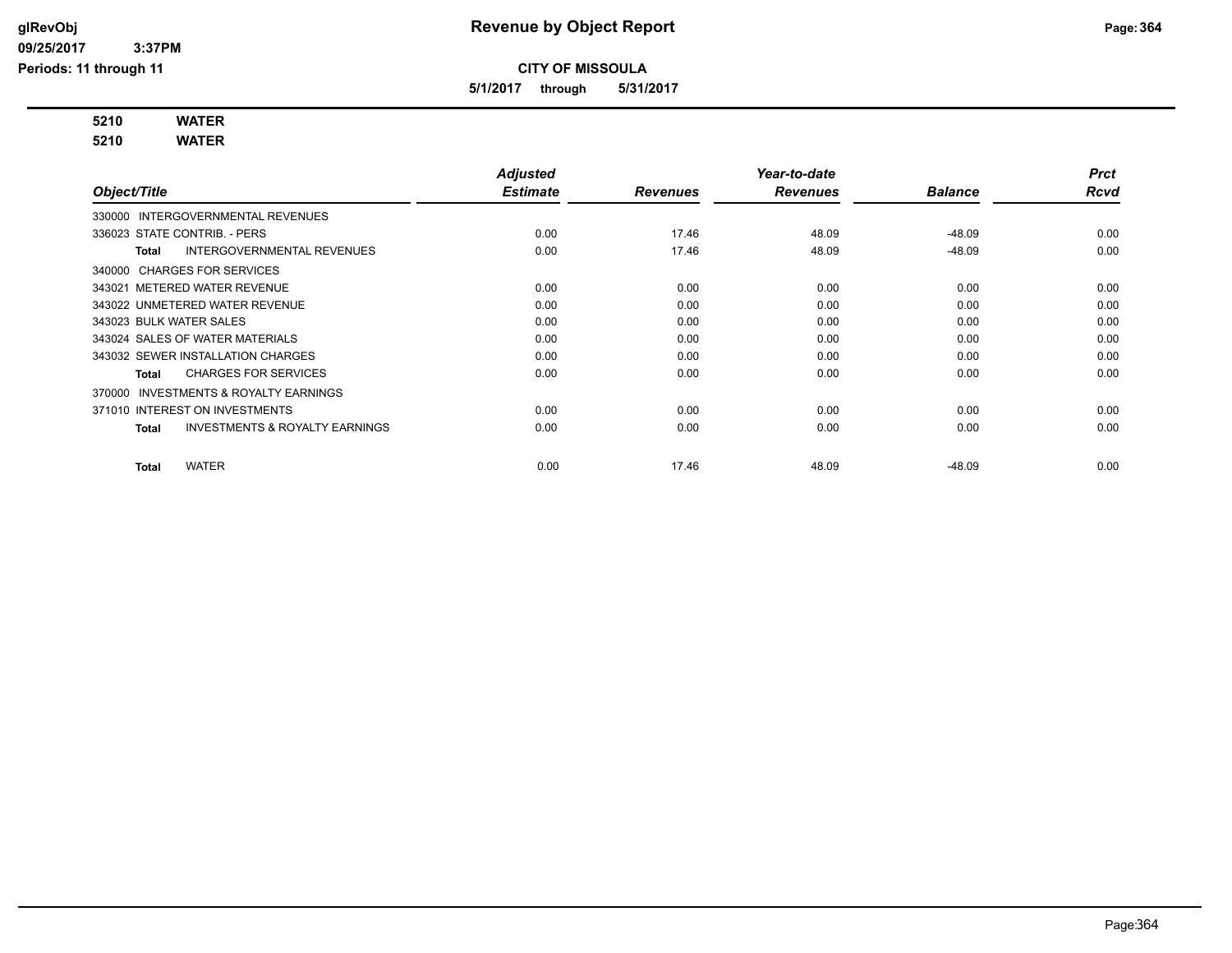**5/1/2017 through 5/31/2017**

### **5210 WATER**

**5210 WATER**

|                                                    | <b>Adjusted</b> |                 | Year-to-date    |                | <b>Prct</b> |
|----------------------------------------------------|-----------------|-----------------|-----------------|----------------|-------------|
| Object/Title                                       | <b>Estimate</b> | <b>Revenues</b> | <b>Revenues</b> | <b>Balance</b> | <b>Rcvd</b> |
| 330000 INTERGOVERNMENTAL REVENUES                  |                 |                 |                 |                |             |
| 336023 STATE CONTRIB. - PERS                       | 0.00            | 17.46           | 48.09           | $-48.09$       | 0.00        |
| INTERGOVERNMENTAL REVENUES<br>Total                | 0.00            | 17.46           | 48.09           | $-48.09$       | 0.00        |
| 340000 CHARGES FOR SERVICES                        |                 |                 |                 |                |             |
| 343021 METERED WATER REVENUE                       | 0.00            | 0.00            | 0.00            | 0.00           | 0.00        |
| 343022 UNMETERED WATER REVENUE                     | 0.00            | 0.00            | 0.00            | 0.00           | 0.00        |
| 343023 BULK WATER SALES                            | 0.00            | 0.00            | 0.00            | 0.00           | 0.00        |
| 343024 SALES OF WATER MATERIALS                    | 0.00            | 0.00            | 0.00            | 0.00           | 0.00        |
| 343032 SEWER INSTALLATION CHARGES                  | 0.00            | 0.00            | 0.00            | 0.00           | 0.00        |
| <b>CHARGES FOR SERVICES</b><br>Total               | 0.00            | 0.00            | 0.00            | 0.00           | 0.00        |
| 370000 INVESTMENTS & ROYALTY EARNINGS              |                 |                 |                 |                |             |
| 371010 INTEREST ON INVESTMENTS                     | 0.00            | 0.00            | 0.00            | 0.00           | 0.00        |
| <b>INVESTMENTS &amp; ROYALTY EARNINGS</b><br>Total | 0.00            | 0.00            | 0.00            | 0.00           | 0.00        |
| <b>WATER</b><br><b>Total</b>                       | 0.00            | 17.46           | 48.09           | $-48.09$       | 0.00        |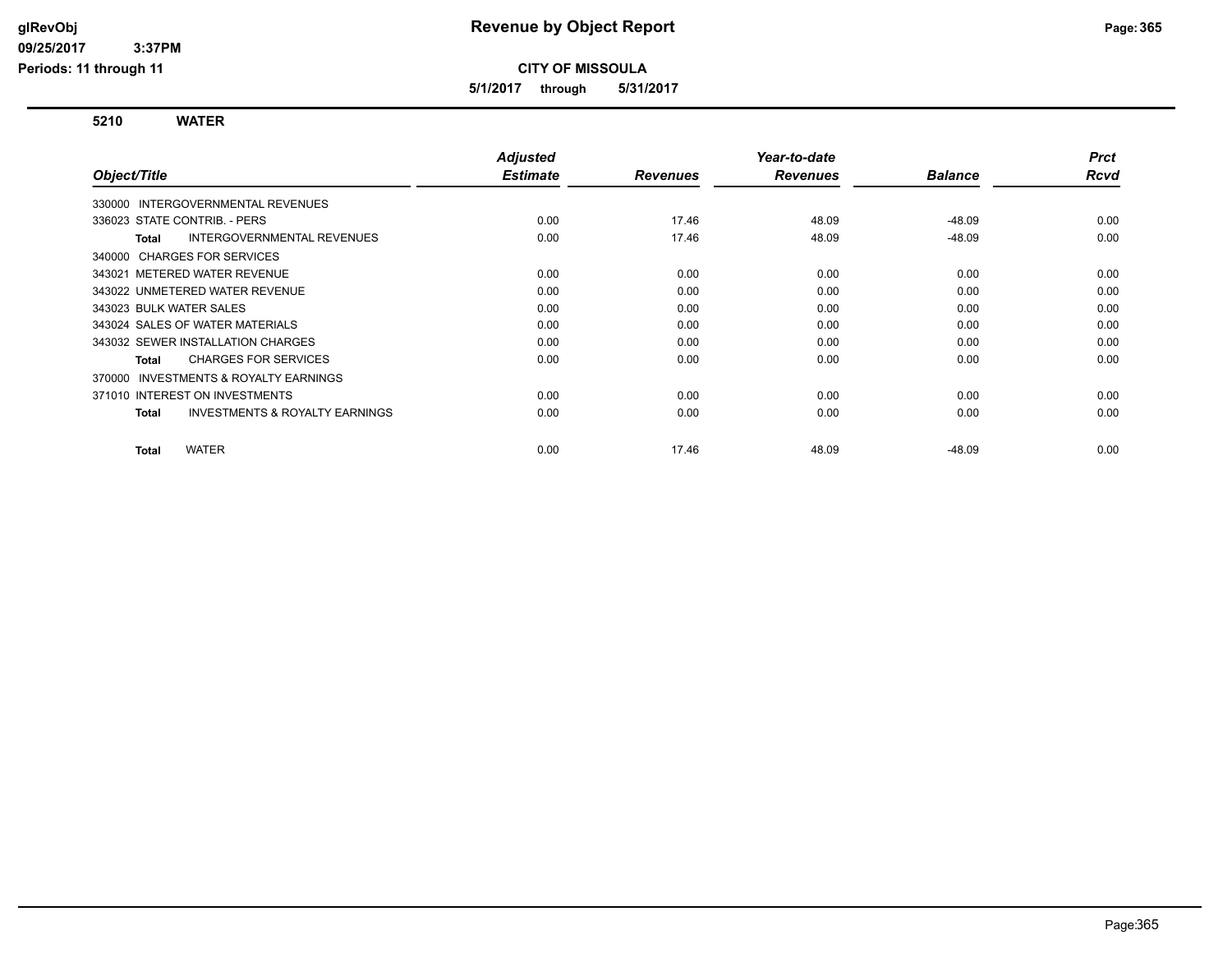#### **09/25/2017 3:37PM Periods: 11 through 11**

**CITY OF MISSOULA**

**5/1/2017 through 5/31/2017**

**5210 WATER**

| Object/Title                                              | <b>Adjusted</b><br><b>Estimate</b> | <b>Revenues</b> | Year-to-date<br><b>Revenues</b> | <b>Balance</b> | <b>Prct</b><br><b>Rcvd</b> |
|-----------------------------------------------------------|------------------------------------|-----------------|---------------------------------|----------------|----------------------------|
|                                                           |                                    |                 |                                 |                |                            |
| 330000 INTERGOVERNMENTAL REVENUES                         |                                    |                 |                                 |                |                            |
| 336023 STATE CONTRIB. - PERS                              | 0.00                               | 17.46           | 48.09                           | $-48.09$       | 0.00                       |
| <b>INTERGOVERNMENTAL REVENUES</b><br><b>Total</b>         | 0.00                               | 17.46           | 48.09                           | $-48.09$       | 0.00                       |
| 340000 CHARGES FOR SERVICES                               |                                    |                 |                                 |                |                            |
| METERED WATER REVENUE<br>343021                           | 0.00                               | 0.00            | 0.00                            | 0.00           | 0.00                       |
| 343022 UNMETERED WATER REVENUE                            | 0.00                               | 0.00            | 0.00                            | 0.00           | 0.00                       |
| 343023 BULK WATER SALES                                   | 0.00                               | 0.00            | 0.00                            | 0.00           | 0.00                       |
| 343024 SALES OF WATER MATERIALS                           | 0.00                               | 0.00            | 0.00                            | 0.00           | 0.00                       |
| 343032 SEWER INSTALLATION CHARGES                         | 0.00                               | 0.00            | 0.00                            | 0.00           | 0.00                       |
| <b>CHARGES FOR SERVICES</b><br><b>Total</b>               | 0.00                               | 0.00            | 0.00                            | 0.00           | 0.00                       |
| 370000 INVESTMENTS & ROYALTY EARNINGS                     |                                    |                 |                                 |                |                            |
| 371010 INTEREST ON INVESTMENTS                            | 0.00                               | 0.00            | 0.00                            | 0.00           | 0.00                       |
| <b>INVESTMENTS &amp; ROYALTY EARNINGS</b><br><b>Total</b> | 0.00                               | 0.00            | 0.00                            | 0.00           | 0.00                       |
| <b>WATER</b><br>Total                                     | 0.00                               | 17.46           | 48.09                           | $-48.09$       | 0.00                       |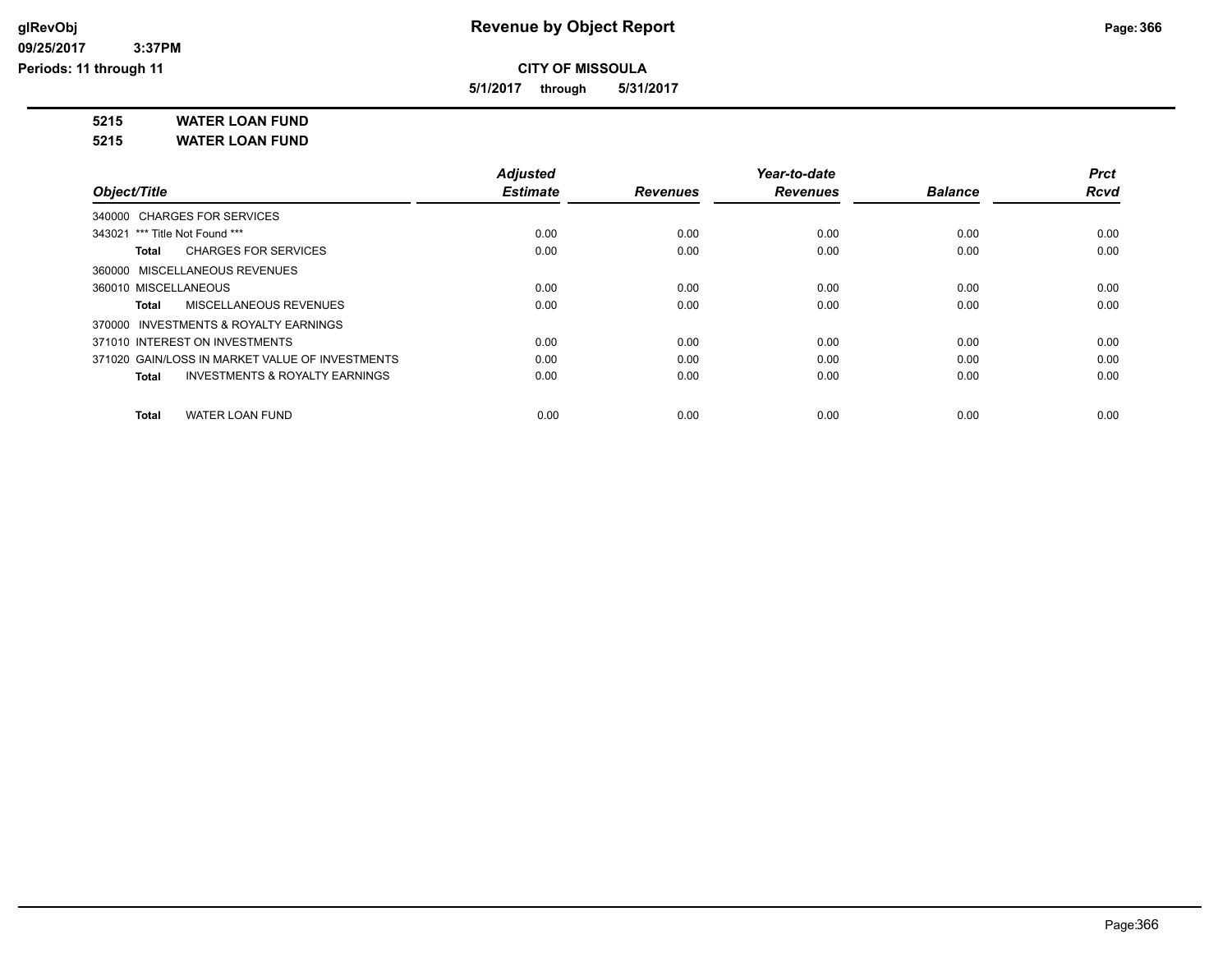**5/1/2017 through 5/31/2017**

**5215 WATER LOAN FUND**

**5215 WATER LOAN FUND**

|                                                 | <b>Adjusted</b> |                 | Year-to-date    |                | <b>Prct</b> |
|-------------------------------------------------|-----------------|-----------------|-----------------|----------------|-------------|
| Object/Title                                    | <b>Estimate</b> | <b>Revenues</b> | <b>Revenues</b> | <b>Balance</b> | <b>Rcvd</b> |
| 340000 CHARGES FOR SERVICES                     |                 |                 |                 |                |             |
| 343021 *** Title Not Found ***                  | 0.00            | 0.00            | 0.00            | 0.00           | 0.00        |
| <b>CHARGES FOR SERVICES</b><br>Total            | 0.00            | 0.00            | 0.00            | 0.00           | 0.00        |
| 360000 MISCELLANEOUS REVENUES                   |                 |                 |                 |                |             |
| 360010 MISCELLANEOUS                            | 0.00            | 0.00            | 0.00            | 0.00           | 0.00        |
| <b>MISCELLANEOUS REVENUES</b><br>Total          | 0.00            | 0.00            | 0.00            | 0.00           | 0.00        |
| 370000 INVESTMENTS & ROYALTY EARNINGS           |                 |                 |                 |                |             |
| 371010 INTEREST ON INVESTMENTS                  | 0.00            | 0.00            | 0.00            | 0.00           | 0.00        |
| 371020 GAIN/LOSS IN MARKET VALUE OF INVESTMENTS | 0.00            | 0.00            | 0.00            | 0.00           | 0.00        |
| INVESTMENTS & ROYALTY EARNINGS<br>Total         | 0.00            | 0.00            | 0.00            | 0.00           | 0.00        |
| <b>WATER LOAN FUND</b><br>Total                 | 0.00            | 0.00            | 0.00            | 0.00           | 0.00        |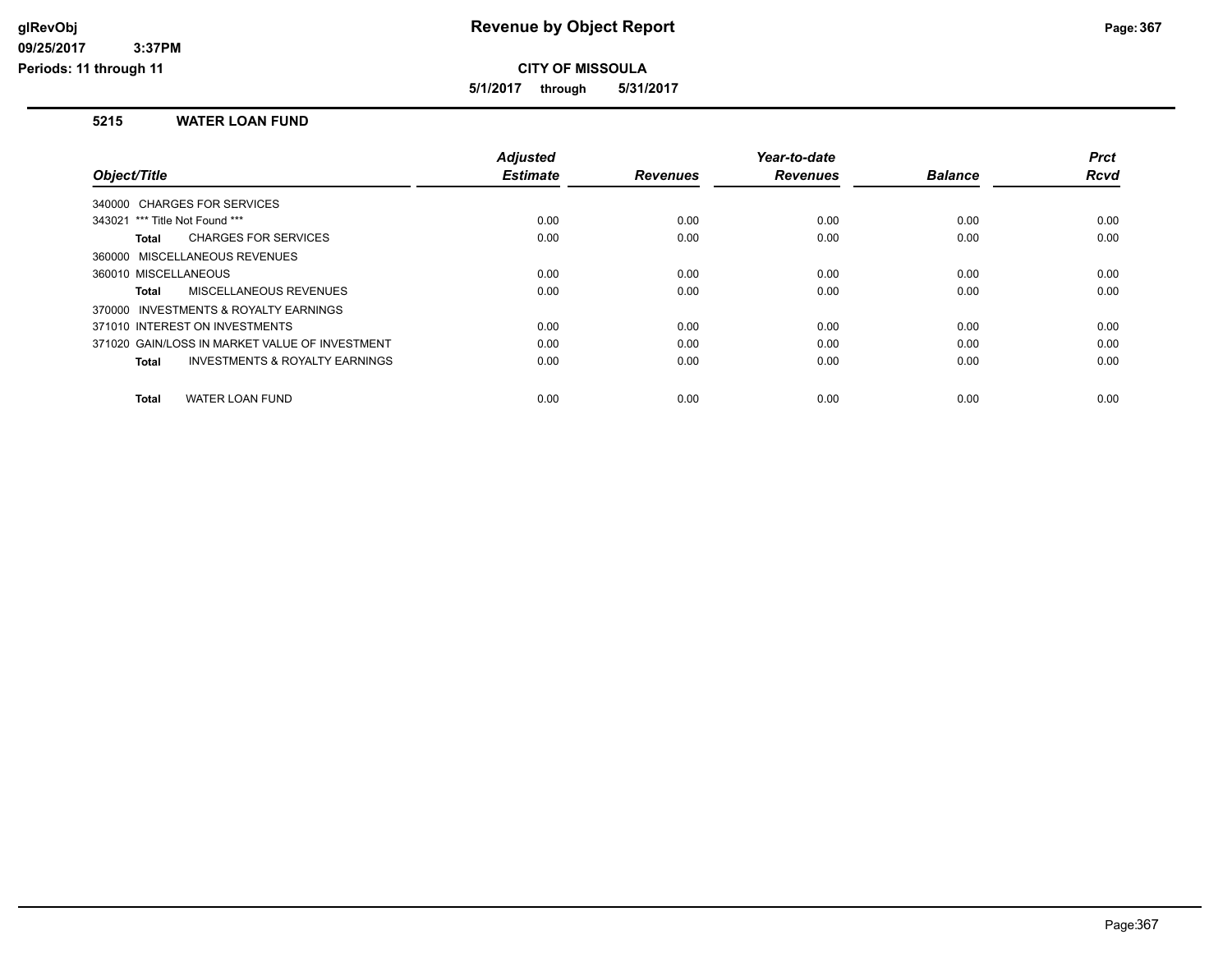**5/1/2017 through 5/31/2017**

#### **5215 WATER LOAN FUND**

|                                                           | <b>Adjusted</b> |                 | Year-to-date    |                | <b>Prct</b> |
|-----------------------------------------------------------|-----------------|-----------------|-----------------|----------------|-------------|
| Object/Title                                              | <b>Estimate</b> | <b>Revenues</b> | <b>Revenues</b> | <b>Balance</b> | <b>Rcvd</b> |
| 340000 CHARGES FOR SERVICES                               |                 |                 |                 |                |             |
| 343021 *** Title Not Found ***                            | 0.00            | 0.00            | 0.00            | 0.00           | 0.00        |
| <b>CHARGES FOR SERVICES</b><br><b>Total</b>               | 0.00            | 0.00            | 0.00            | 0.00           | 0.00        |
| 360000 MISCELLANEOUS REVENUES                             |                 |                 |                 |                |             |
| 360010 MISCELLANEOUS                                      | 0.00            | 0.00            | 0.00            | 0.00           | 0.00        |
| MISCELLANEOUS REVENUES<br>Total                           | 0.00            | 0.00            | 0.00            | 0.00           | 0.00        |
| 370000 INVESTMENTS & ROYALTY EARNINGS                     |                 |                 |                 |                |             |
| 371010 INTEREST ON INVESTMENTS                            | 0.00            | 0.00            | 0.00            | 0.00           | 0.00        |
| 371020 GAIN/LOSS IN MARKET VALUE OF INVESTMENT            | 0.00            | 0.00            | 0.00            | 0.00           | 0.00        |
| <b>INVESTMENTS &amp; ROYALTY EARNINGS</b><br><b>Total</b> | 0.00            | 0.00            | 0.00            | 0.00           | 0.00        |
|                                                           |                 |                 |                 |                |             |
| <b>WATER LOAN FUND</b><br><b>Total</b>                    | 0.00            | 0.00            | 0.00            | 0.00           | 0.00        |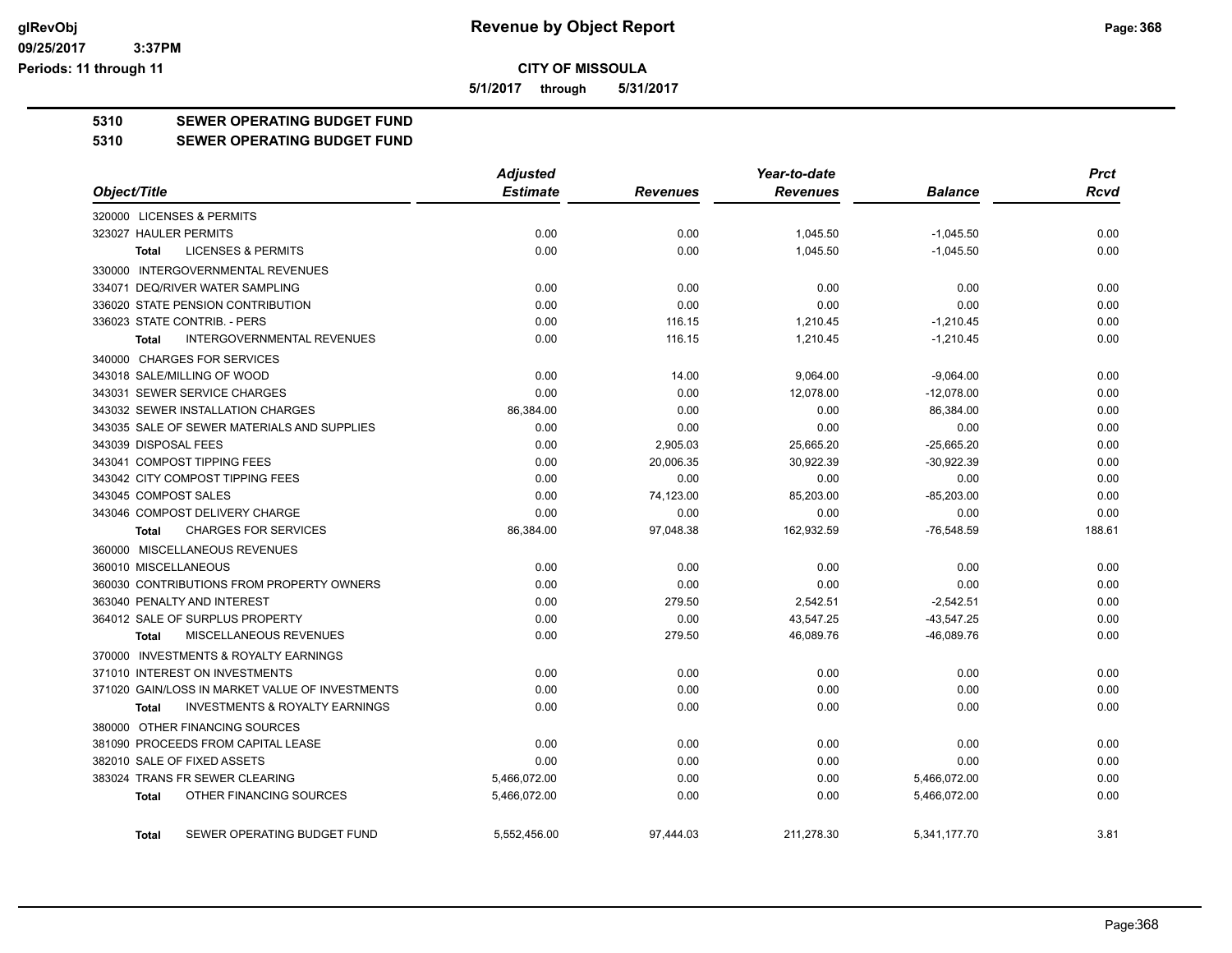**5/1/2017 through 5/31/2017**

### **5310 SEWER OPERATING BUDGET FUND**

#### **5310 SEWER OPERATING BUDGET FUND**

|                                                           | <b>Adjusted</b> |                 | Year-to-date    | <b>Prct</b>    |             |
|-----------------------------------------------------------|-----------------|-----------------|-----------------|----------------|-------------|
| Object/Title                                              | <b>Estimate</b> | <b>Revenues</b> | <b>Revenues</b> | <b>Balance</b> | <b>Rcvd</b> |
| 320000 LICENSES & PERMITS                                 |                 |                 |                 |                |             |
| 323027 HAULER PERMITS                                     | 0.00            | 0.00            | 1,045.50        | $-1,045.50$    | 0.00        |
| <b>LICENSES &amp; PERMITS</b><br><b>Total</b>             | 0.00            | 0.00            | 1,045.50        | $-1,045.50$    | 0.00        |
| 330000 INTERGOVERNMENTAL REVENUES                         |                 |                 |                 |                |             |
| 334071 DEQ/RIVER WATER SAMPLING                           | 0.00            | 0.00            | 0.00            | 0.00           | 0.00        |
| 336020 STATE PENSION CONTRIBUTION                         | 0.00            | 0.00            | 0.00            | 0.00           | 0.00        |
| 336023 STATE CONTRIB. - PERS                              | 0.00            | 116.15          | 1,210.45        | $-1,210.45$    | 0.00        |
| <b>INTERGOVERNMENTAL REVENUES</b><br><b>Total</b>         | 0.00            | 116.15          | 1,210.45        | $-1,210.45$    | 0.00        |
| 340000 CHARGES FOR SERVICES                               |                 |                 |                 |                |             |
| 343018 SALE/MILLING OF WOOD                               | 0.00            | 14.00           | 9,064.00        | $-9,064.00$    | 0.00        |
| 343031 SEWER SERVICE CHARGES                              | 0.00            | 0.00            | 12,078.00       | $-12,078.00$   | 0.00        |
| 343032 SEWER INSTALLATION CHARGES                         | 86,384.00       | 0.00            | 0.00            | 86,384.00      | 0.00        |
| 343035 SALE OF SEWER MATERIALS AND SUPPLIES               | 0.00            | 0.00            | 0.00            | 0.00           | 0.00        |
| 343039 DISPOSAL FEES                                      | 0.00            | 2,905.03        | 25,665.20       | $-25,665.20$   | 0.00        |
| 343041 COMPOST TIPPING FEES                               | 0.00            | 20,006.35       | 30,922.39       | $-30,922.39$   | 0.00        |
| 343042 CITY COMPOST TIPPING FEES                          | 0.00            | 0.00            | 0.00            | 0.00           | 0.00        |
| 343045 COMPOST SALES                                      | 0.00            | 74,123.00       | 85,203.00       | $-85,203.00$   | 0.00        |
| 343046 COMPOST DELIVERY CHARGE                            | 0.00            | 0.00            | 0.00            | 0.00           | 0.00        |
| <b>CHARGES FOR SERVICES</b><br><b>Total</b>               | 86,384.00       | 97,048.38       | 162,932.59      | $-76,548.59$   | 188.61      |
| 360000 MISCELLANEOUS REVENUES                             |                 |                 |                 |                |             |
| 360010 MISCELLANEOUS                                      | 0.00            | 0.00            | 0.00            | 0.00           | 0.00        |
| 360030 CONTRIBUTIONS FROM PROPERTY OWNERS                 | 0.00            | 0.00            | 0.00            | 0.00           | 0.00        |
| 363040 PENALTY AND INTEREST                               | 0.00            | 279.50          | 2,542.51        | $-2,542.51$    | 0.00        |
| 364012 SALE OF SURPLUS PROPERTY                           | 0.00            | 0.00            | 43,547.25       | $-43,547.25$   | 0.00        |
| <b>MISCELLANEOUS REVENUES</b><br><b>Total</b>             | 0.00            | 279.50          | 46,089.76       | -46,089.76     | 0.00        |
| 370000 INVESTMENTS & ROYALTY EARNINGS                     |                 |                 |                 |                |             |
| 371010 INTEREST ON INVESTMENTS                            | 0.00            | 0.00            | 0.00            | 0.00           | 0.00        |
| 371020 GAIN/LOSS IN MARKET VALUE OF INVESTMENTS           | 0.00            | 0.00            | 0.00            | 0.00           | 0.00        |
| <b>INVESTMENTS &amp; ROYALTY EARNINGS</b><br><b>Total</b> | 0.00            | 0.00            | 0.00            | 0.00           | 0.00        |
| 380000 OTHER FINANCING SOURCES                            |                 |                 |                 |                |             |
| 381090 PROCEEDS FROM CAPITAL LEASE                        | 0.00            | 0.00            | 0.00            | 0.00           | 0.00        |
| 382010 SALE OF FIXED ASSETS                               | 0.00            | 0.00            | 0.00            | 0.00           | 0.00        |
| 383024 TRANS FR SEWER CLEARING                            | 5,466,072.00    | 0.00            | 0.00            | 5,466,072.00   | 0.00        |
| OTHER FINANCING SOURCES<br><b>Total</b>                   | 5,466,072.00    | 0.00            | 0.00            | 5,466,072.00   | 0.00        |
| SEWER OPERATING BUDGET FUND<br><b>Total</b>               | 5,552,456.00    | 97,444.03       | 211,278.30      | 5,341,177.70   | 3.81        |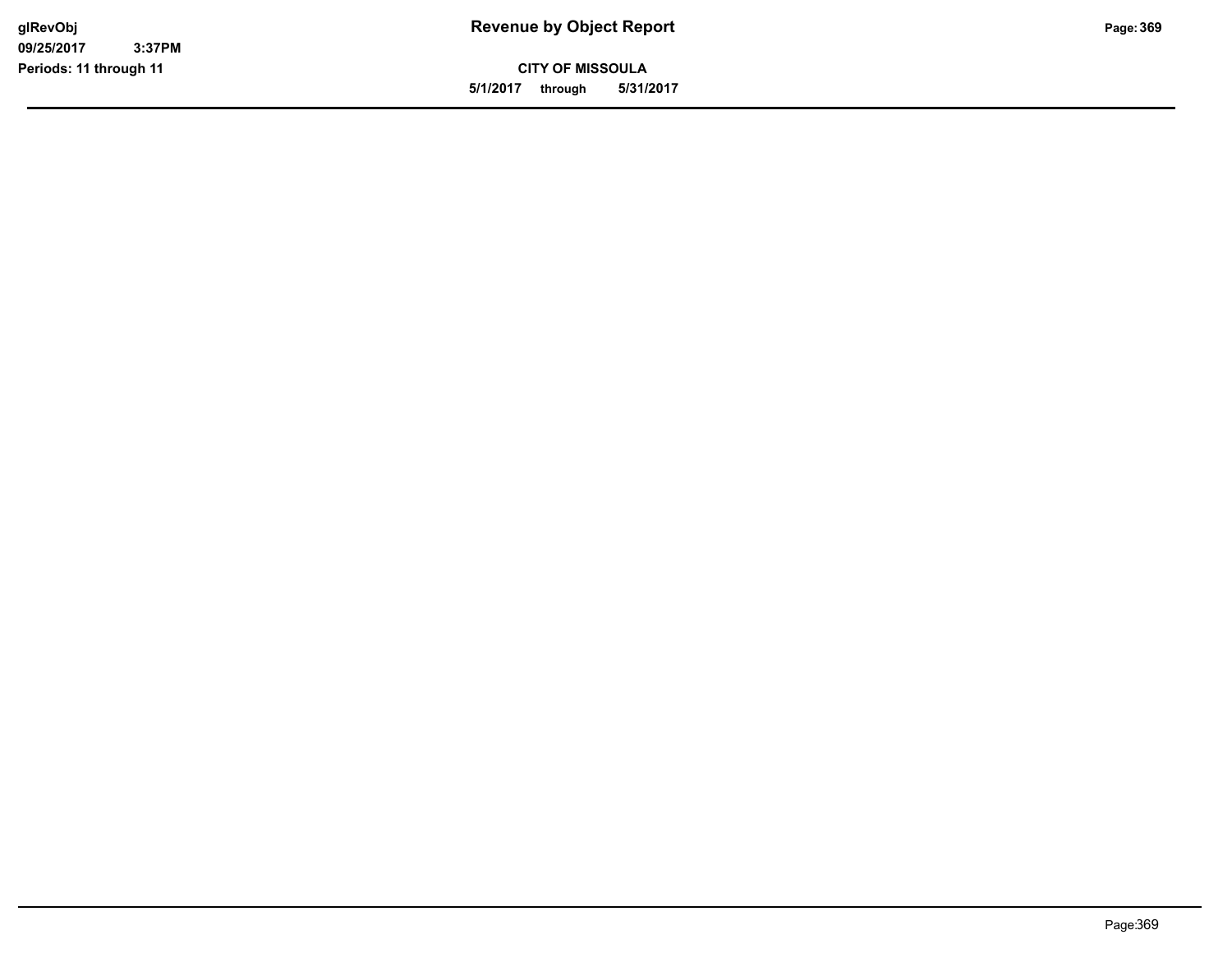**CITY OF MISSOULA 5/1/2017 through 5/31/2017**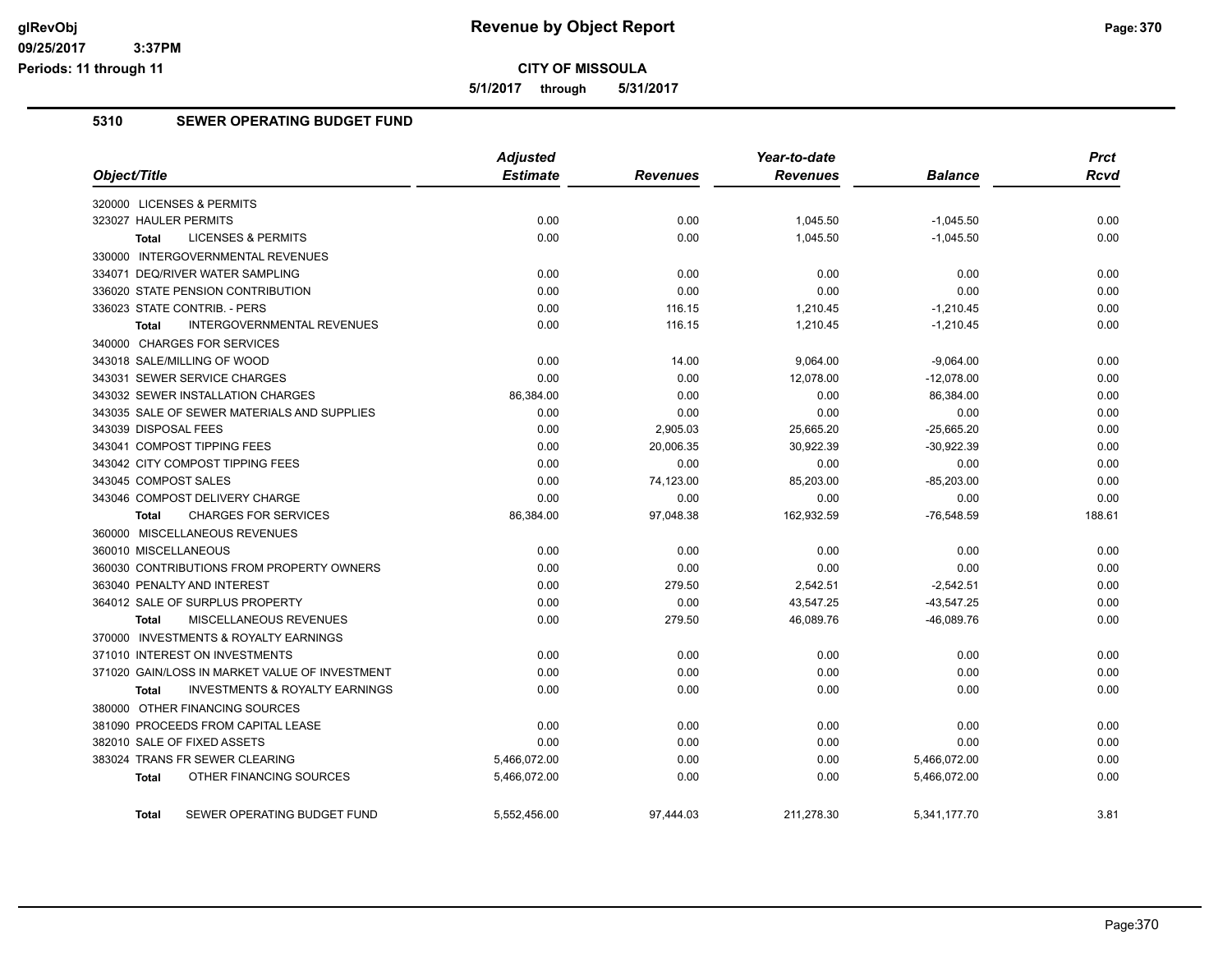**CITY OF MISSOULA**

**5/1/2017 through 5/31/2017**

#### **5310 SEWER OPERATING BUDGET FUND**

|                                                           | <b>Adjusted</b> |                 | Year-to-date    | <b>Prct</b>    |             |
|-----------------------------------------------------------|-----------------|-----------------|-----------------|----------------|-------------|
| Object/Title                                              | <b>Estimate</b> | <b>Revenues</b> | <b>Revenues</b> | <b>Balance</b> | <b>Rcvd</b> |
| 320000 LICENSES & PERMITS                                 |                 |                 |                 |                |             |
| 323027 HAULER PERMITS                                     | 0.00            | 0.00            | 1,045.50        | $-1,045.50$    | 0.00        |
| <b>LICENSES &amp; PERMITS</b><br><b>Total</b>             | 0.00            | 0.00            | 1,045.50        | $-1,045.50$    | 0.00        |
| 330000 INTERGOVERNMENTAL REVENUES                         |                 |                 |                 |                |             |
| 334071 DEQ/RIVER WATER SAMPLING                           | 0.00            | 0.00            | 0.00            | 0.00           | 0.00        |
| 336020 STATE PENSION CONTRIBUTION                         | 0.00            | 0.00            | 0.00            | 0.00           | 0.00        |
| 336023 STATE CONTRIB. - PERS                              | 0.00            | 116.15          | 1,210.45        | $-1,210.45$    | 0.00        |
| Total<br>INTERGOVERNMENTAL REVENUES                       | 0.00            | 116.15          | 1,210.45        | $-1,210.45$    | 0.00        |
| 340000 CHARGES FOR SERVICES                               |                 |                 |                 |                |             |
| 343018 SALE/MILLING OF WOOD                               | 0.00            | 14.00           | 9,064.00        | $-9,064.00$    | 0.00        |
| 343031 SEWER SERVICE CHARGES                              | 0.00            | 0.00            | 12,078.00       | $-12,078.00$   | 0.00        |
| 343032 SEWER INSTALLATION CHARGES                         | 86,384.00       | 0.00            | 0.00            | 86,384.00      | 0.00        |
| 343035 SALE OF SEWER MATERIALS AND SUPPLIES               | 0.00            | 0.00            | 0.00            | 0.00           | 0.00        |
| 343039 DISPOSAL FEES                                      | 0.00            | 2,905.03        | 25,665.20       | $-25,665.20$   | 0.00        |
| 343041 COMPOST TIPPING FEES                               | 0.00            | 20,006.35       | 30,922.39       | $-30,922.39$   | 0.00        |
| 343042 CITY COMPOST TIPPING FEES                          | 0.00            | 0.00            | 0.00            | 0.00           | 0.00        |
| 343045 COMPOST SALES                                      | 0.00            | 74,123.00       | 85,203.00       | $-85,203.00$   | 0.00        |
| 343046 COMPOST DELIVERY CHARGE                            | 0.00            | 0.00            | 0.00            | 0.00           | 0.00        |
| <b>CHARGES FOR SERVICES</b><br>Total                      | 86,384.00       | 97,048.38       | 162,932.59      | $-76,548.59$   | 188.61      |
| 360000 MISCELLANEOUS REVENUES                             |                 |                 |                 |                |             |
| 360010 MISCELLANEOUS                                      | 0.00            | 0.00            | 0.00            | 0.00           | 0.00        |
| 360030 CONTRIBUTIONS FROM PROPERTY OWNERS                 | 0.00            | 0.00            | 0.00            | 0.00           | 0.00        |
| 363040 PENALTY AND INTEREST                               | 0.00            | 279.50          | 2,542.51        | $-2,542.51$    | 0.00        |
| 364012 SALE OF SURPLUS PROPERTY                           | 0.00            | 0.00            | 43,547.25       | $-43,547.25$   | 0.00        |
| MISCELLANEOUS REVENUES<br><b>Total</b>                    | 0.00            | 279.50          | 46,089.76       | $-46,089.76$   | 0.00        |
| 370000 INVESTMENTS & ROYALTY EARNINGS                     |                 |                 |                 |                |             |
| 371010 INTEREST ON INVESTMENTS                            | 0.00            | 0.00            | 0.00            | 0.00           | 0.00        |
| 371020 GAIN/LOSS IN MARKET VALUE OF INVESTMENT            | 0.00            | 0.00            | 0.00            | 0.00           | 0.00        |
| <b>INVESTMENTS &amp; ROYALTY EARNINGS</b><br><b>Total</b> | 0.00            | 0.00            | 0.00            | 0.00           | 0.00        |
| 380000 OTHER FINANCING SOURCES                            |                 |                 |                 |                |             |
| 381090 PROCEEDS FROM CAPITAL LEASE                        | 0.00            | 0.00            | 0.00            | 0.00           | 0.00        |
| 382010 SALE OF FIXED ASSETS                               | 0.00            | 0.00            | 0.00            | 0.00           | 0.00        |
| 383024 TRANS FR SEWER CLEARING                            | 5,466,072.00    | 0.00            | 0.00            | 5,466,072.00   | 0.00        |
| OTHER FINANCING SOURCES<br><b>Total</b>                   | 5,466,072.00    | 0.00            | 0.00            | 5,466,072.00   | 0.00        |
| SEWER OPERATING BUDGET FUND<br>Total                      | 5,552,456.00    | 97,444.03       | 211,278.30      | 5,341,177.70   | 3.81        |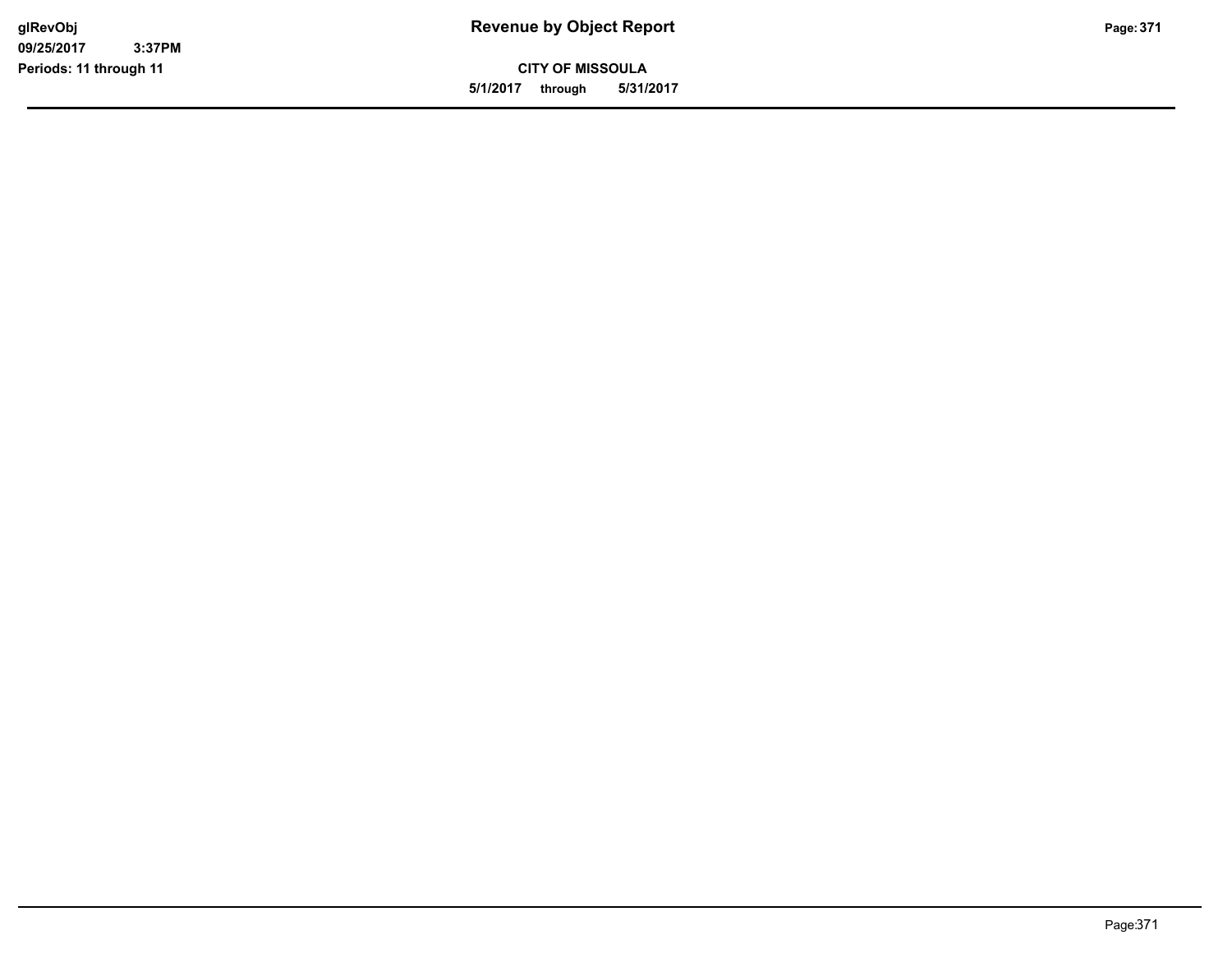**CITY OF MISSOULA 5/1/2017 through 5/31/2017**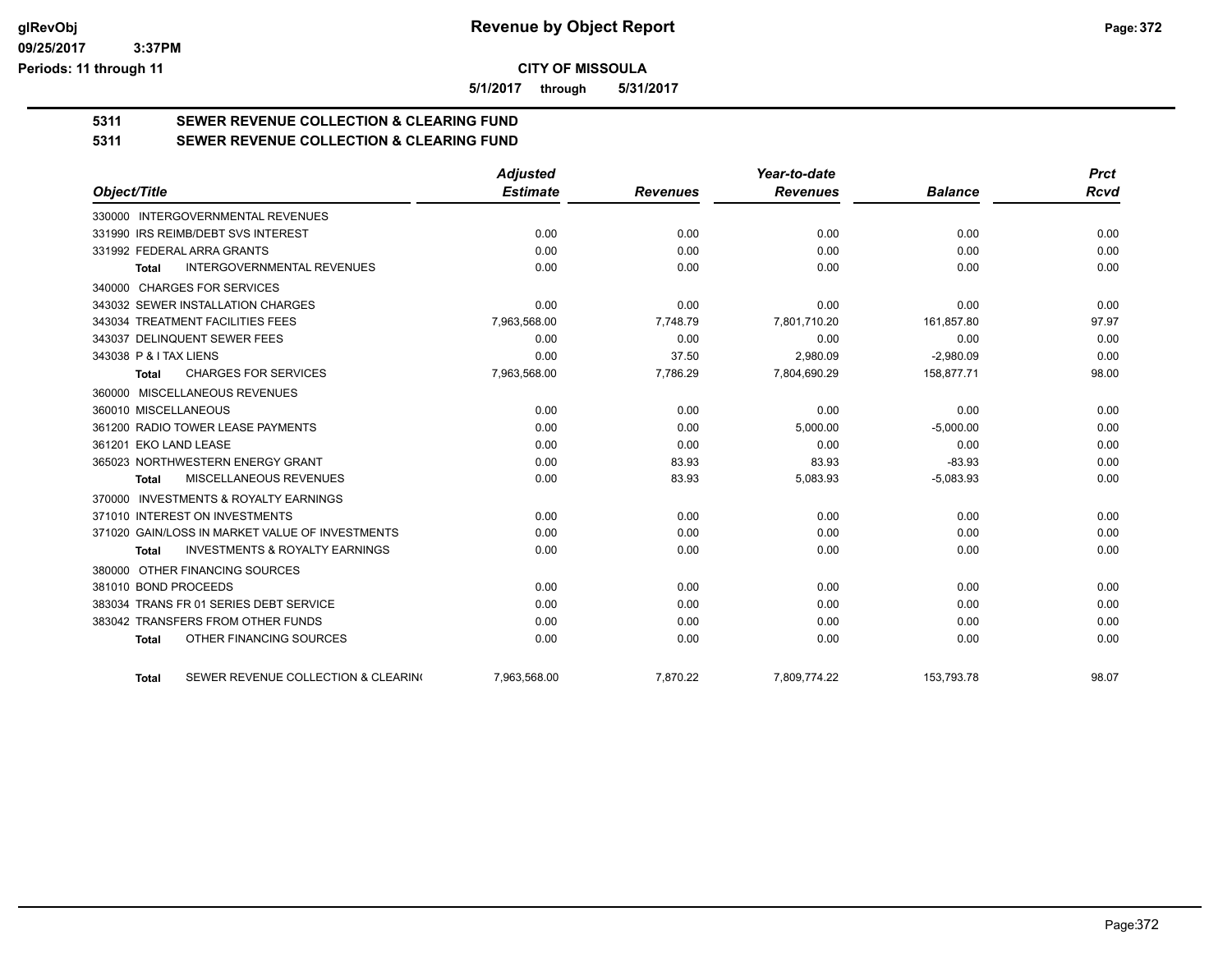**5/1/2017 through 5/31/2017**

# **5311 SEWER REVENUE COLLECTION & CLEARING FUND**

### **5311 SEWER REVENUE COLLECTION & CLEARING FUND**

|                                                           | Adjusted        |                 | Year-to-date    |                | <b>Prct</b> |
|-----------------------------------------------------------|-----------------|-----------------|-----------------|----------------|-------------|
| Object/Title                                              | <b>Estimate</b> | <b>Revenues</b> | <b>Revenues</b> | <b>Balance</b> | <b>Rcvd</b> |
| 330000 INTERGOVERNMENTAL REVENUES                         |                 |                 |                 |                |             |
| 331990 IRS REIMB/DEBT SVS INTEREST                        | 0.00            | 0.00            | 0.00            | 0.00           | 0.00        |
| 331992 FEDERAL ARRA GRANTS                                | 0.00            | 0.00            | 0.00            | 0.00           | 0.00        |
| <b>INTERGOVERNMENTAL REVENUES</b><br><b>Total</b>         | 0.00            | 0.00            | 0.00            | 0.00           | 0.00        |
| 340000 CHARGES FOR SERVICES                               |                 |                 |                 |                |             |
| 343032 SEWER INSTALLATION CHARGES                         | 0.00            | 0.00            | 0.00            | 0.00           | 0.00        |
| 343034 TREATMENT FACILITIES FEES                          | 7,963,568.00    | 7,748.79        | 7,801,710.20    | 161,857.80     | 97.97       |
| 343037 DELINQUENT SEWER FEES                              | 0.00            | 0.00            | 0.00            | 0.00           | 0.00        |
| 343038 P & I TAX LIENS                                    | 0.00            | 37.50           | 2,980.09        | $-2,980.09$    | 0.00        |
| <b>CHARGES FOR SERVICES</b><br>Total                      | 7,963,568.00    | 7,786.29        | 7,804,690.29    | 158,877.71     | 98.00       |
| 360000 MISCELLANEOUS REVENUES                             |                 |                 |                 |                |             |
| 360010 MISCELLANEOUS                                      | 0.00            | 0.00            | 0.00            | 0.00           | 0.00        |
| 361200 RADIO TOWER LEASE PAYMENTS                         | 0.00            | 0.00            | 5,000.00        | $-5,000.00$    | 0.00        |
| 361201 EKO LAND LEASE                                     | 0.00            | 0.00            | 0.00            | 0.00           | 0.00        |
| 365023 NORTHWESTERN ENERGY GRANT                          | 0.00            | 83.93           | 83.93           | $-83.93$       | 0.00        |
| MISCELLANEOUS REVENUES<br><b>Total</b>                    | 0.00            | 83.93           | 5,083.93        | $-5,083.93$    | 0.00        |
| 370000 INVESTMENTS & ROYALTY EARNINGS                     |                 |                 |                 |                |             |
| 371010 INTEREST ON INVESTMENTS                            | 0.00            | 0.00            | 0.00            | 0.00           | 0.00        |
| 371020 GAIN/LOSS IN MARKET VALUE OF INVESTMENTS           | 0.00            | 0.00            | 0.00            | 0.00           | 0.00        |
| <b>INVESTMENTS &amp; ROYALTY EARNINGS</b><br><b>Total</b> | 0.00            | 0.00            | 0.00            | 0.00           | 0.00        |
| OTHER FINANCING SOURCES<br>380000                         |                 |                 |                 |                |             |
| 381010 BOND PROCEEDS                                      | 0.00            | 0.00            | 0.00            | 0.00           | 0.00        |
| 383034 TRANS FR 01 SERIES DEBT SERVICE                    | 0.00            | 0.00            | 0.00            | 0.00           | 0.00        |
| 383042 TRANSFERS FROM OTHER FUNDS                         | 0.00            | 0.00            | 0.00            | 0.00           | 0.00        |
| OTHER FINANCING SOURCES<br><b>Total</b>                   | 0.00            | 0.00            | 0.00            | 0.00           | 0.00        |
| SEWER REVENUE COLLECTION & CLEARING<br><b>Total</b>       | 7,963,568.00    | 7,870.22        | 7,809,774.22    | 153,793.78     | 98.07       |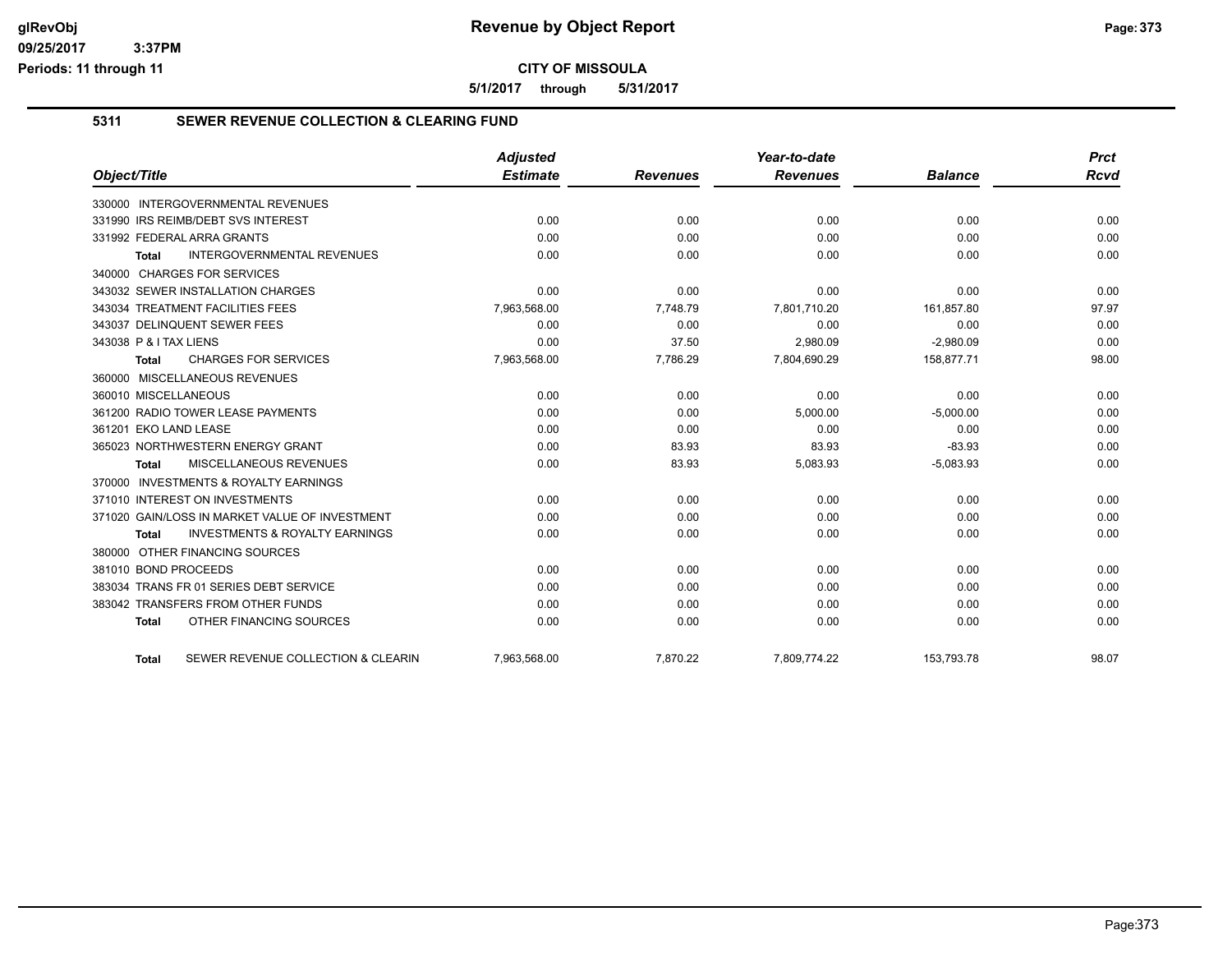**5/1/2017 through 5/31/2017**

#### **5311 SEWER REVENUE COLLECTION & CLEARING FUND**

|                                                           | <b>Adjusted</b> |                 | Year-to-date    |                | <b>Prct</b> |
|-----------------------------------------------------------|-----------------|-----------------|-----------------|----------------|-------------|
| Object/Title                                              | <b>Estimate</b> | <b>Revenues</b> | <b>Revenues</b> | <b>Balance</b> | <b>Rcvd</b> |
| 330000 INTERGOVERNMENTAL REVENUES                         |                 |                 |                 |                |             |
| 331990 IRS REIMB/DEBT SVS INTEREST                        | 0.00            | 0.00            | 0.00            | 0.00           | 0.00        |
| 331992 FEDERAL ARRA GRANTS                                | 0.00            | 0.00            | 0.00            | 0.00           | 0.00        |
| <b>INTERGOVERNMENTAL REVENUES</b><br>Total                | 0.00            | 0.00            | 0.00            | 0.00           | 0.00        |
| 340000 CHARGES FOR SERVICES                               |                 |                 |                 |                |             |
| 343032 SEWER INSTALLATION CHARGES                         | 0.00            | 0.00            | 0.00            | 0.00           | 0.00        |
| 343034 TREATMENT FACILITIES FEES                          | 7,963,568.00    | 7,748.79        | 7.801.710.20    | 161.857.80     | 97.97       |
| 343037 DELINQUENT SEWER FEES                              | 0.00            | 0.00            | 0.00            | 0.00           | 0.00        |
| 343038 P & I TAX LIENS                                    | 0.00            | 37.50           | 2,980.09        | $-2,980.09$    | 0.00        |
| <b>CHARGES FOR SERVICES</b><br>Total                      | 7,963,568.00    | 7,786.29        | 7,804,690.29    | 158,877.71     | 98.00       |
| 360000 MISCELLANEOUS REVENUES                             |                 |                 |                 |                |             |
| 360010 MISCELLANEOUS                                      | 0.00            | 0.00            | 0.00            | 0.00           | 0.00        |
| 361200 RADIO TOWER LEASE PAYMENTS                         | 0.00            | 0.00            | 5,000.00        | $-5,000.00$    | 0.00        |
| 361201 EKO LAND LEASE                                     | 0.00            | 0.00            | 0.00            | 0.00           | 0.00        |
| 365023 NORTHWESTERN ENERGY GRANT                          | 0.00            | 83.93           | 83.93           | $-83.93$       | 0.00        |
| MISCELLANEOUS REVENUES<br><b>Total</b>                    | 0.00            | 83.93           | 5,083.93        | $-5,083.93$    | 0.00        |
| 370000 INVESTMENTS & ROYALTY EARNINGS                     |                 |                 |                 |                |             |
| 371010 INTEREST ON INVESTMENTS                            | 0.00            | 0.00            | 0.00            | 0.00           | 0.00        |
| 371020 GAIN/LOSS IN MARKET VALUE OF INVESTMENT            | 0.00            | 0.00            | 0.00            | 0.00           | 0.00        |
| <b>INVESTMENTS &amp; ROYALTY EARNINGS</b><br><b>Total</b> | 0.00            | 0.00            | 0.00            | 0.00           | 0.00        |
| 380000 OTHER FINANCING SOURCES                            |                 |                 |                 |                |             |
| 381010 BOND PROCEEDS                                      | 0.00            | 0.00            | 0.00            | 0.00           | 0.00        |
| 383034 TRANS FR 01 SERIES DEBT SERVICE                    | 0.00            | 0.00            | 0.00            | 0.00           | 0.00        |
| 383042 TRANSFERS FROM OTHER FUNDS                         | 0.00            | 0.00            | 0.00            | 0.00           | 0.00        |
| OTHER FINANCING SOURCES<br><b>Total</b>                   | 0.00            | 0.00            | 0.00            | 0.00           | 0.00        |
| SEWER REVENUE COLLECTION & CLEARIN<br><b>Total</b>        | 7.963.568.00    | 7.870.22        | 7,809,774.22    | 153.793.78     | 98.07       |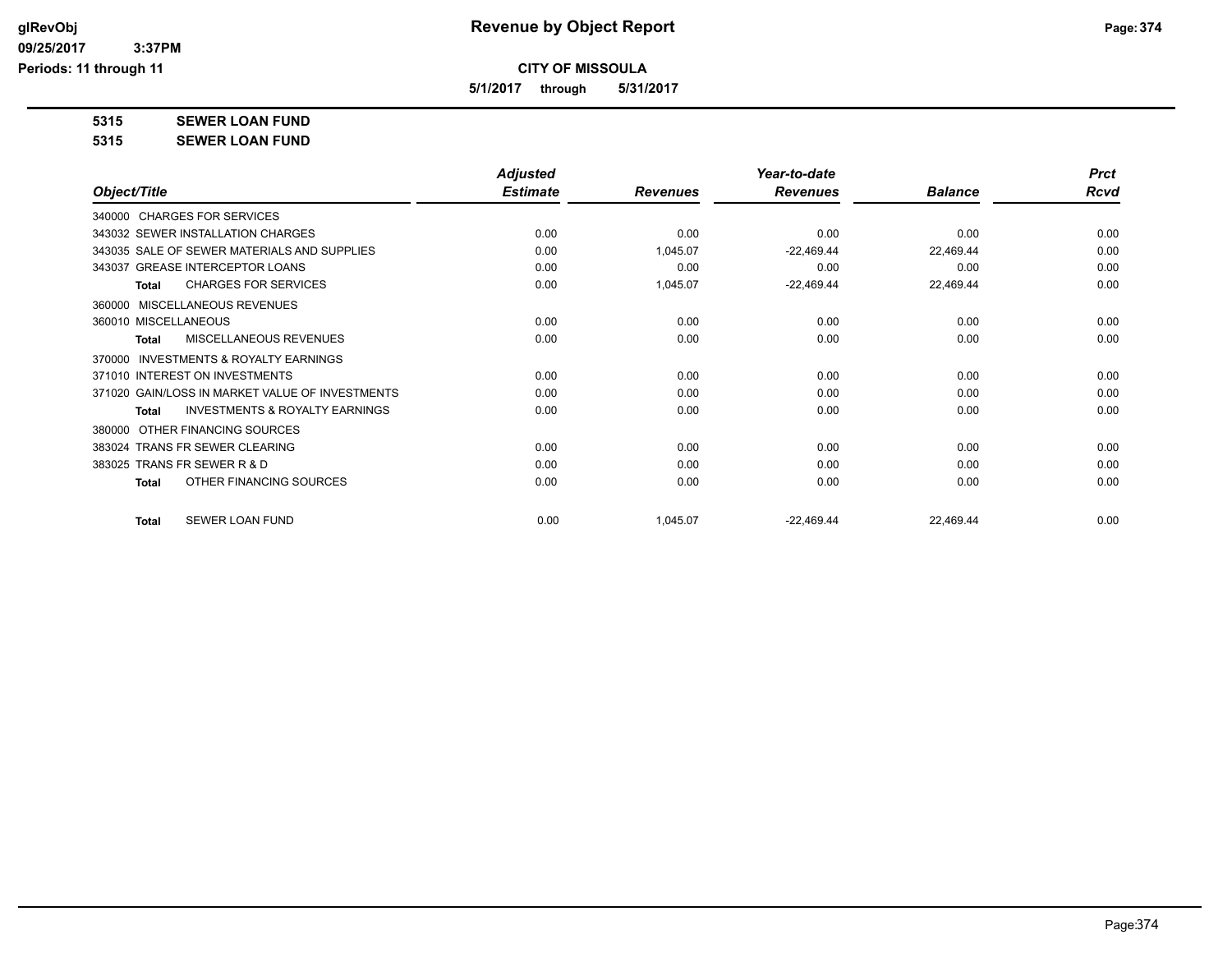**5/1/2017 through 5/31/2017**

#### **5315 SEWER LOAN FUND**

**5315 SEWER LOAN FUND**

|                                                           | <b>Adjusted</b> |                 | Year-to-date    |                | <b>Prct</b> |
|-----------------------------------------------------------|-----------------|-----------------|-----------------|----------------|-------------|
| Object/Title                                              | <b>Estimate</b> | <b>Revenues</b> | <b>Revenues</b> | <b>Balance</b> | Rcvd        |
| 340000 CHARGES FOR SERVICES                               |                 |                 |                 |                |             |
| 343032 SEWER INSTALLATION CHARGES                         | 0.00            | 0.00            | 0.00            | 0.00           | 0.00        |
| 343035 SALE OF SEWER MATERIALS AND SUPPLIES               | 0.00            | 1,045.07        | $-22,469.44$    | 22,469.44      | 0.00        |
| 343037 GREASE INTERCEPTOR LOANS                           | 0.00            | 0.00            | 0.00            | 0.00           | 0.00        |
| <b>CHARGES FOR SERVICES</b><br><b>Total</b>               | 0.00            | 1,045.07        | $-22,469.44$    | 22,469.44      | 0.00        |
| MISCELLANEOUS REVENUES<br>360000                          |                 |                 |                 |                |             |
| 360010 MISCELLANEOUS                                      | 0.00            | 0.00            | 0.00            | 0.00           | 0.00        |
| <b>MISCELLANEOUS REVENUES</b><br><b>Total</b>             | 0.00            | 0.00            | 0.00            | 0.00           | 0.00        |
| <b>INVESTMENTS &amp; ROYALTY EARNINGS</b><br>370000       |                 |                 |                 |                |             |
| 371010 INTEREST ON INVESTMENTS                            | 0.00            | 0.00            | 0.00            | 0.00           | 0.00        |
| 371020 GAIN/LOSS IN MARKET VALUE OF INVESTMENTS           | 0.00            | 0.00            | 0.00            | 0.00           | 0.00        |
| <b>INVESTMENTS &amp; ROYALTY EARNINGS</b><br><b>Total</b> | 0.00            | 0.00            | 0.00            | 0.00           | 0.00        |
| OTHER FINANCING SOURCES<br>380000                         |                 |                 |                 |                |             |
| 383024 TRANS FR SEWER CLEARING                            | 0.00            | 0.00            | 0.00            | 0.00           | 0.00        |
| 383025 TRANS FR SEWER R & D                               | 0.00            | 0.00            | 0.00            | 0.00           | 0.00        |
| OTHER FINANCING SOURCES<br><b>Total</b>                   | 0.00            | 0.00            | 0.00            | 0.00           | 0.00        |
| <b>SEWER LOAN FUND</b><br><b>Total</b>                    | 0.00            | 1,045.07        | $-22,469.44$    | 22,469.44      | 0.00        |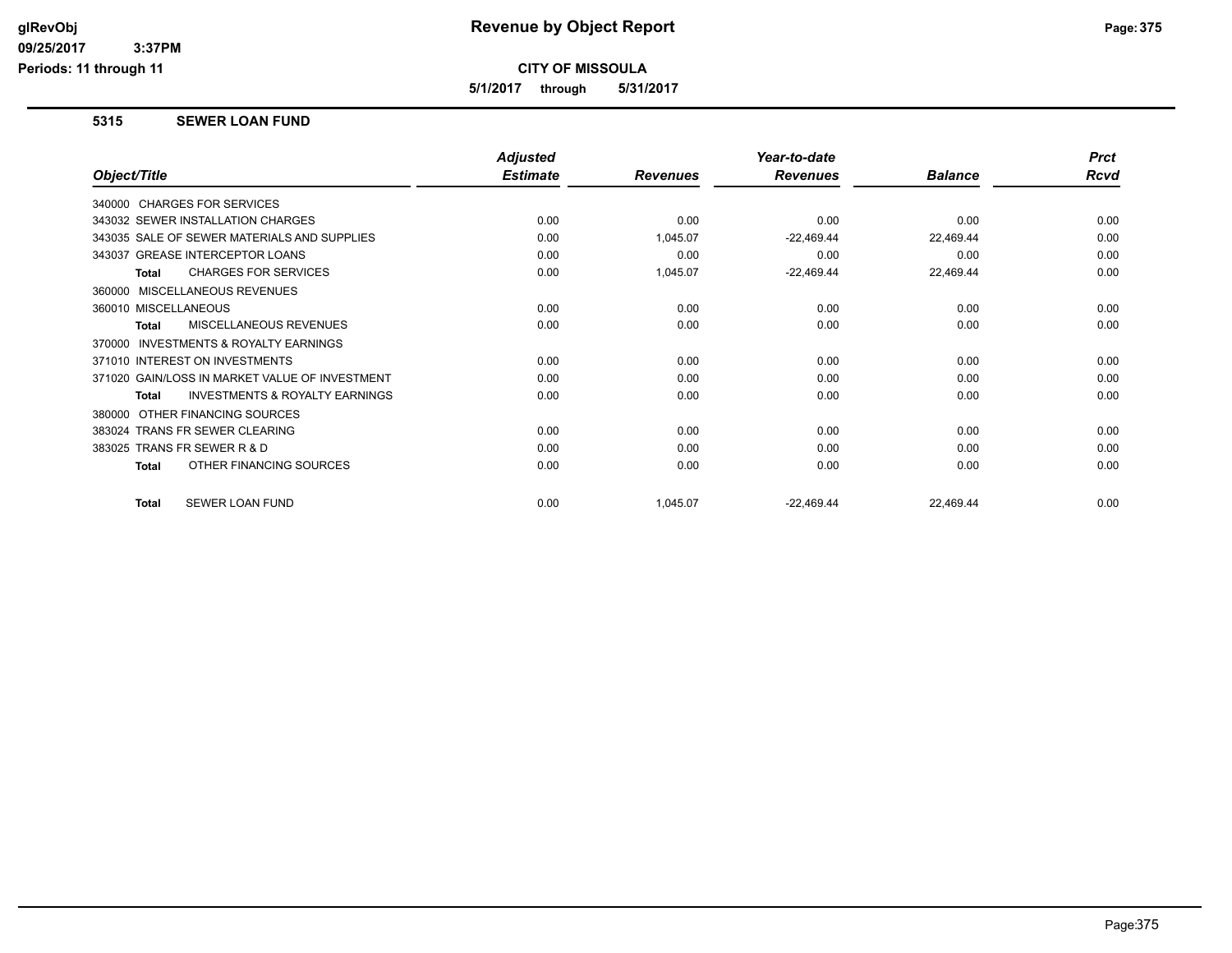**CITY OF MISSOULA**

**5/1/2017 through 5/31/2017**

#### **5315 SEWER LOAN FUND**

|                                                           | <b>Adjusted</b> |                 | Year-to-date    |                | <b>Prct</b> |
|-----------------------------------------------------------|-----------------|-----------------|-----------------|----------------|-------------|
| Object/Title                                              | <b>Estimate</b> | <b>Revenues</b> | <b>Revenues</b> | <b>Balance</b> | <b>Rcvd</b> |
| 340000 CHARGES FOR SERVICES                               |                 |                 |                 |                |             |
| 343032 SEWER INSTALLATION CHARGES                         | 0.00            | 0.00            | 0.00            | 0.00           | 0.00        |
| 343035 SALE OF SEWER MATERIALS AND SUPPLIES               | 0.00            | 1,045.07        | $-22,469.44$    | 22,469.44      | 0.00        |
| 343037 GREASE INTERCEPTOR LOANS                           | 0.00            | 0.00            | 0.00            | 0.00           | 0.00        |
| <b>CHARGES FOR SERVICES</b><br><b>Total</b>               | 0.00            | 1,045.07        | $-22,469.44$    | 22,469.44      | 0.00        |
| MISCELLANEOUS REVENUES<br>360000                          |                 |                 |                 |                |             |
| 360010 MISCELLANEOUS                                      | 0.00            | 0.00            | 0.00            | 0.00           | 0.00        |
| <b>MISCELLANEOUS REVENUES</b><br><b>Total</b>             | 0.00            | 0.00            | 0.00            | 0.00           | 0.00        |
| <b>INVESTMENTS &amp; ROYALTY EARNINGS</b><br>370000       |                 |                 |                 |                |             |
| 371010 INTEREST ON INVESTMENTS                            | 0.00            | 0.00            | 0.00            | 0.00           | 0.00        |
| 371020 GAIN/LOSS IN MARKET VALUE OF INVESTMENT            | 0.00            | 0.00            | 0.00            | 0.00           | 0.00        |
| <b>INVESTMENTS &amp; ROYALTY EARNINGS</b><br><b>Total</b> | 0.00            | 0.00            | 0.00            | 0.00           | 0.00        |
| OTHER FINANCING SOURCES<br>380000                         |                 |                 |                 |                |             |
| 383024 TRANS FR SEWER CLEARING                            | 0.00            | 0.00            | 0.00            | 0.00           | 0.00        |
| 383025 TRANS FR SEWER R & D                               | 0.00            | 0.00            | 0.00            | 0.00           | 0.00        |
| OTHER FINANCING SOURCES<br><b>Total</b>                   | 0.00            | 0.00            | 0.00            | 0.00           | 0.00        |
| SEWER LOAN FUND<br><b>Total</b>                           | 0.00            | 1,045.07        | $-22,469.44$    | 22,469.44      | 0.00        |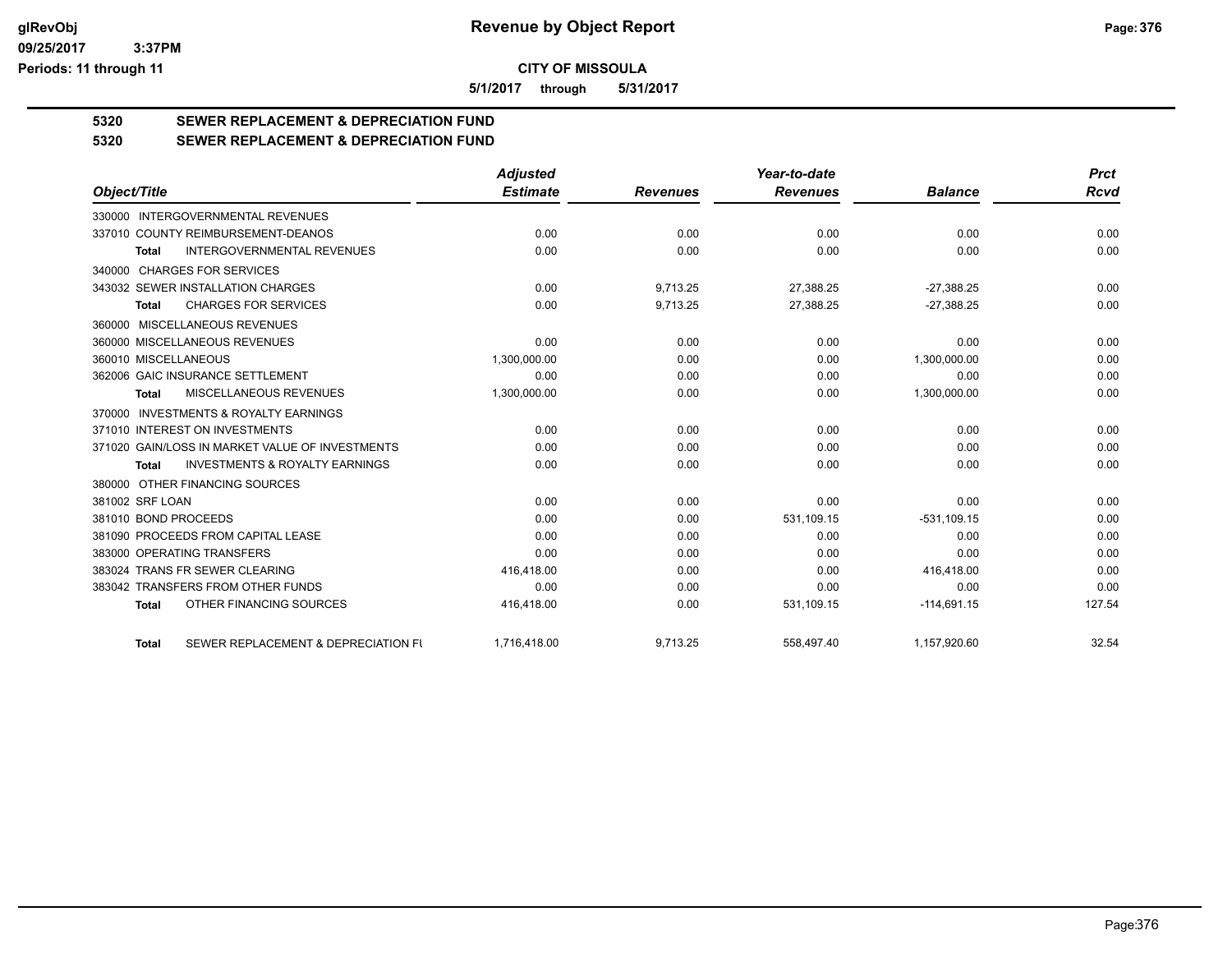**5/1/2017 through 5/31/2017**

## **5320 SEWER REPLACEMENT & DEPRECIATION FUND**

## **5320 SEWER REPLACEMENT & DEPRECIATION FUND**

|                                                           | <b>Adjusted</b> |                 | Year-to-date    |                | <b>Prct</b> |
|-----------------------------------------------------------|-----------------|-----------------|-----------------|----------------|-------------|
| Object/Title                                              | <b>Estimate</b> | <b>Revenues</b> | <b>Revenues</b> | <b>Balance</b> | <b>Rcvd</b> |
| 330000 INTERGOVERNMENTAL REVENUES                         |                 |                 |                 |                |             |
| 337010 COUNTY REIMBURSEMENT-DEANOS                        | 0.00            | 0.00            | 0.00            | 0.00           | 0.00        |
| <b>INTERGOVERNMENTAL REVENUES</b><br><b>Total</b>         | 0.00            | 0.00            | 0.00            | 0.00           | 0.00        |
| 340000 CHARGES FOR SERVICES                               |                 |                 |                 |                |             |
| 343032 SEWER INSTALLATION CHARGES                         | 0.00            | 9,713.25        | 27,388.25       | $-27,388.25$   | 0.00        |
| <b>CHARGES FOR SERVICES</b><br><b>Total</b>               | 0.00            | 9,713.25        | 27,388.25       | $-27,388.25$   | 0.00        |
| 360000 MISCELLANEOUS REVENUES                             |                 |                 |                 |                |             |
| 360000 MISCELLANEOUS REVENUES                             | 0.00            | 0.00            | 0.00            | 0.00           | 0.00        |
| 360010 MISCELLANEOUS                                      | 1,300,000.00    | 0.00            | 0.00            | 1,300,000.00   | 0.00        |
| 362006 GAIC INSURANCE SETTLEMENT                          | 0.00            | 0.00            | 0.00            | 0.00           | 0.00        |
| MISCELLANEOUS REVENUES<br><b>Total</b>                    | 1,300,000.00    | 0.00            | 0.00            | 1,300,000.00   | 0.00        |
| 370000 INVESTMENTS & ROYALTY EARNINGS                     |                 |                 |                 |                |             |
| 371010 INTEREST ON INVESTMENTS                            | 0.00            | 0.00            | 0.00            | 0.00           | 0.00        |
| 371020 GAIN/LOSS IN MARKET VALUE OF INVESTMENTS           | 0.00            | 0.00            | 0.00            | 0.00           | 0.00        |
| <b>INVESTMENTS &amp; ROYALTY EARNINGS</b><br><b>Total</b> | 0.00            | 0.00            | 0.00            | 0.00           | 0.00        |
| 380000 OTHER FINANCING SOURCES                            |                 |                 |                 |                |             |
| 381002 SRF LOAN                                           | 0.00            | 0.00            | 0.00            | 0.00           | 0.00        |
| 381010 BOND PROCEEDS                                      | 0.00            | 0.00            | 531,109.15      | $-531,109.15$  | 0.00        |
| 381090 PROCEEDS FROM CAPITAL LEASE                        | 0.00            | 0.00            | 0.00            | 0.00           | 0.00        |
| 383000 OPERATING TRANSFERS                                | 0.00            | 0.00            | 0.00            | 0.00           | 0.00        |
| 383024 TRANS FR SEWER CLEARING                            | 416,418.00      | 0.00            | 0.00            | 416,418.00     | 0.00        |
| 383042 TRANSFERS FROM OTHER FUNDS                         | 0.00            | 0.00            | 0.00            | 0.00           | 0.00        |
| OTHER FINANCING SOURCES<br><b>Total</b>                   | 416,418.00      | 0.00            | 531,109.15      | $-114,691.15$  | 127.54      |
| SEWER REPLACEMENT & DEPRECIATION FU<br><b>Total</b>       | 1,716,418.00    | 9,713.25        | 558,497.40      | 1,157,920.60   | 32.54       |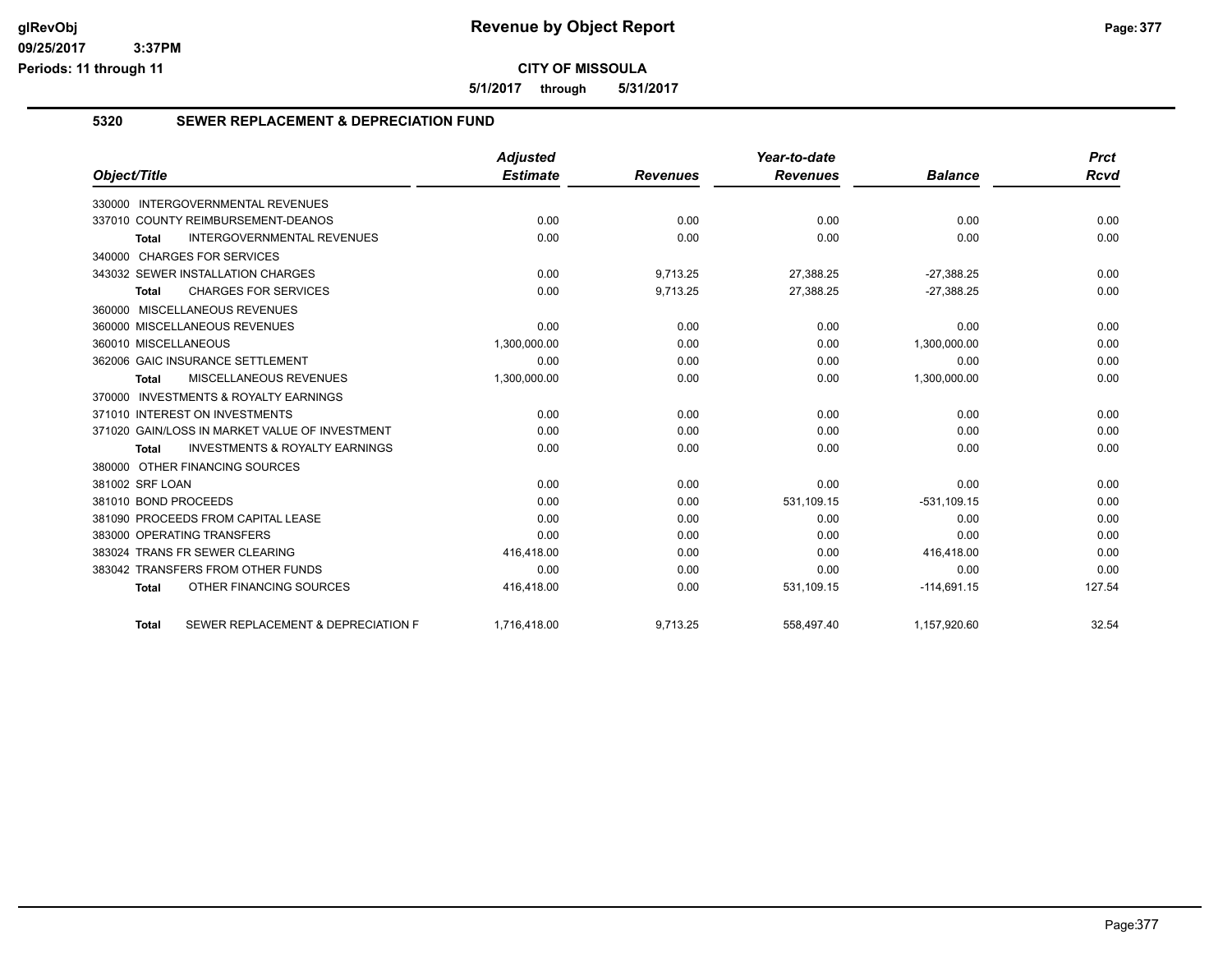**5/1/2017 through 5/31/2017**

#### **5320 SEWER REPLACEMENT & DEPRECIATION FUND**

|                                                           | <b>Adjusted</b> |                 | Year-to-date    |                | <b>Prct</b> |
|-----------------------------------------------------------|-----------------|-----------------|-----------------|----------------|-------------|
| Object/Title                                              | <b>Estimate</b> | <b>Revenues</b> | <b>Revenues</b> | <b>Balance</b> | <b>Rcvd</b> |
| 330000 INTERGOVERNMENTAL REVENUES                         |                 |                 |                 |                |             |
| 337010 COUNTY REIMBURSEMENT-DEANOS                        | 0.00            | 0.00            | 0.00            | 0.00           | 0.00        |
| <b>INTERGOVERNMENTAL REVENUES</b><br><b>Total</b>         | 0.00            | 0.00            | 0.00            | 0.00           | 0.00        |
| 340000 CHARGES FOR SERVICES                               |                 |                 |                 |                |             |
| 343032 SEWER INSTALLATION CHARGES                         | 0.00            | 9.713.25        | 27.388.25       | $-27.388.25$   | 0.00        |
| <b>CHARGES FOR SERVICES</b><br><b>Total</b>               | 0.00            | 9,713.25        | 27,388.25       | $-27,388.25$   | 0.00        |
| 360000 MISCELLANEOUS REVENUES                             |                 |                 |                 |                |             |
| 360000 MISCELLANEOUS REVENUES                             | 0.00            | 0.00            | 0.00            | 0.00           | 0.00        |
| 360010 MISCELLANEOUS                                      | 1,300,000.00    | 0.00            | 0.00            | 1,300,000.00   | 0.00        |
| 362006 GAIC INSURANCE SETTLEMENT                          | 0.00            | 0.00            | 0.00            | 0.00           | 0.00        |
| <b>MISCELLANEOUS REVENUES</b><br><b>Total</b>             | 1,300,000.00    | 0.00            | 0.00            | 1,300,000.00   | 0.00        |
| 370000 INVESTMENTS & ROYALTY EARNINGS                     |                 |                 |                 |                |             |
| 371010 INTEREST ON INVESTMENTS                            | 0.00            | 0.00            | 0.00            | 0.00           | 0.00        |
| 371020 GAIN/LOSS IN MARKET VALUE OF INVESTMENT            | 0.00            | 0.00            | 0.00            | 0.00           | 0.00        |
| <b>INVESTMENTS &amp; ROYALTY EARNINGS</b><br><b>Total</b> | 0.00            | 0.00            | 0.00            | 0.00           | 0.00        |
| 380000 OTHER FINANCING SOURCES                            |                 |                 |                 |                |             |
| 381002 SRF LOAN                                           | 0.00            | 0.00            | 0.00            | 0.00           | 0.00        |
| 381010 BOND PROCEEDS                                      | 0.00            | 0.00            | 531,109.15      | $-531,109.15$  | 0.00        |
| 381090 PROCEEDS FROM CAPITAL LEASE                        | 0.00            | 0.00            | 0.00            | 0.00           | 0.00        |
| 383000 OPERATING TRANSFERS                                | 0.00            | 0.00            | 0.00            | 0.00           | 0.00        |
| 383024 TRANS FR SEWER CLEARING                            | 416,418.00      | 0.00            | 0.00            | 416,418.00     | 0.00        |
| 383042 TRANSFERS FROM OTHER FUNDS                         | 0.00            | 0.00            | 0.00            | 0.00           | 0.00        |
| OTHER FINANCING SOURCES<br><b>Total</b>                   | 416,418.00      | 0.00            | 531,109.15      | $-114,691.15$  | 127.54      |
| SEWER REPLACEMENT & DEPRECIATION F<br><b>Total</b>        | 1,716,418.00    | 9,713.25        | 558,497.40      | 1,157,920.60   | 32.54       |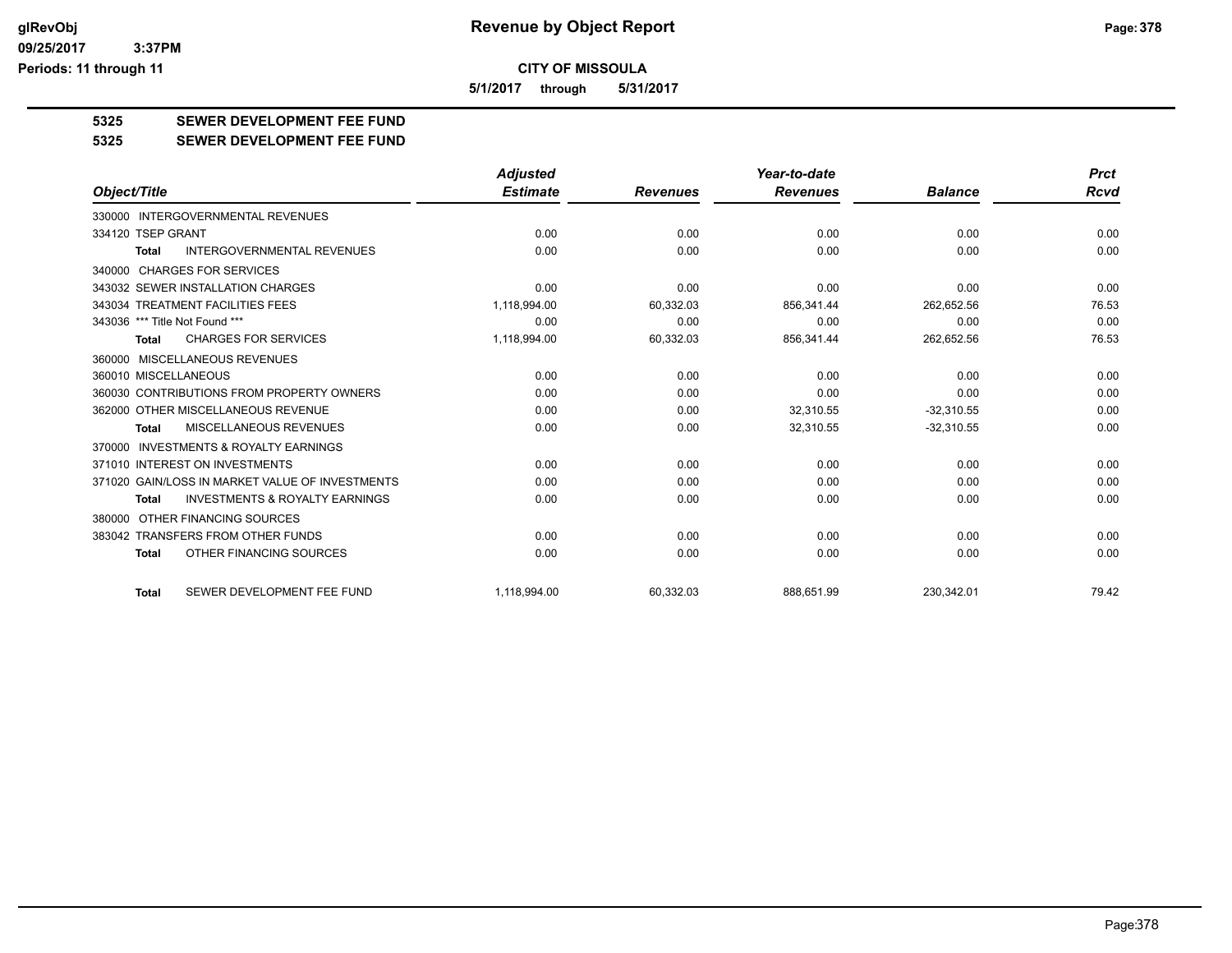**5/1/2017 through 5/31/2017**

**5325 SEWER DEVELOPMENT FEE FUND**

**5325 SEWER DEVELOPMENT FEE FUND**

|                                                           | <b>Adjusted</b> |                 | Year-to-date    |                | <b>Prct</b> |
|-----------------------------------------------------------|-----------------|-----------------|-----------------|----------------|-------------|
| Object/Title                                              | <b>Estimate</b> | <b>Revenues</b> | <b>Revenues</b> | <b>Balance</b> | <b>Rcvd</b> |
| <b>INTERGOVERNMENTAL REVENUES</b><br>330000               |                 |                 |                 |                |             |
| 334120 TSEP GRANT                                         | 0.00            | 0.00            | 0.00            | 0.00           | 0.00        |
| <b>INTERGOVERNMENTAL REVENUES</b><br><b>Total</b>         | 0.00            | 0.00            | 0.00            | 0.00           | 0.00        |
| 340000 CHARGES FOR SERVICES                               |                 |                 |                 |                |             |
| 343032 SEWER INSTALLATION CHARGES                         | 0.00            | 0.00            | 0.00            | 0.00           | 0.00        |
| 343034 TREATMENT FACILITIES FEES                          | 1,118,994.00    | 60,332.03       | 856,341.44      | 262,652.56     | 76.53       |
| 343036 *** Title Not Found ***                            | 0.00            | 0.00            | 0.00            | 0.00           | 0.00        |
| <b>CHARGES FOR SERVICES</b><br><b>Total</b>               | 1,118,994.00    | 60,332.03       | 856,341.44      | 262,652.56     | 76.53       |
| 360000 MISCELLANEOUS REVENUES                             |                 |                 |                 |                |             |
| 360010 MISCELLANEOUS                                      | 0.00            | 0.00            | 0.00            | 0.00           | 0.00        |
| 360030 CONTRIBUTIONS FROM PROPERTY OWNERS                 | 0.00            | 0.00            | 0.00            | 0.00           | 0.00        |
| 362000 OTHER MISCELLANEOUS REVENUE                        | 0.00            | 0.00            | 32,310.55       | $-32,310.55$   | 0.00        |
| MISCELLANEOUS REVENUES<br><b>Total</b>                    | 0.00            | 0.00            | 32,310.55       | $-32,310.55$   | 0.00        |
| <b>INVESTMENTS &amp; ROYALTY EARNINGS</b><br>370000       |                 |                 |                 |                |             |
| 371010 INTEREST ON INVESTMENTS                            | 0.00            | 0.00            | 0.00            | 0.00           | 0.00        |
| 371020 GAIN/LOSS IN MARKET VALUE OF INVESTMENTS           | 0.00            | 0.00            | 0.00            | 0.00           | 0.00        |
| <b>INVESTMENTS &amp; ROYALTY EARNINGS</b><br><b>Total</b> | 0.00            | 0.00            | 0.00            | 0.00           | 0.00        |
| 380000 OTHER FINANCING SOURCES                            |                 |                 |                 |                |             |
| 383042 TRANSFERS FROM OTHER FUNDS                         | 0.00            | 0.00            | 0.00            | 0.00           | 0.00        |
| OTHER FINANCING SOURCES<br><b>Total</b>                   | 0.00            | 0.00            | 0.00            | 0.00           | 0.00        |
| SEWER DEVELOPMENT FEE FUND<br><b>Total</b>                | 1.118.994.00    | 60,332.03       | 888.651.99      | 230.342.01     | 79.42       |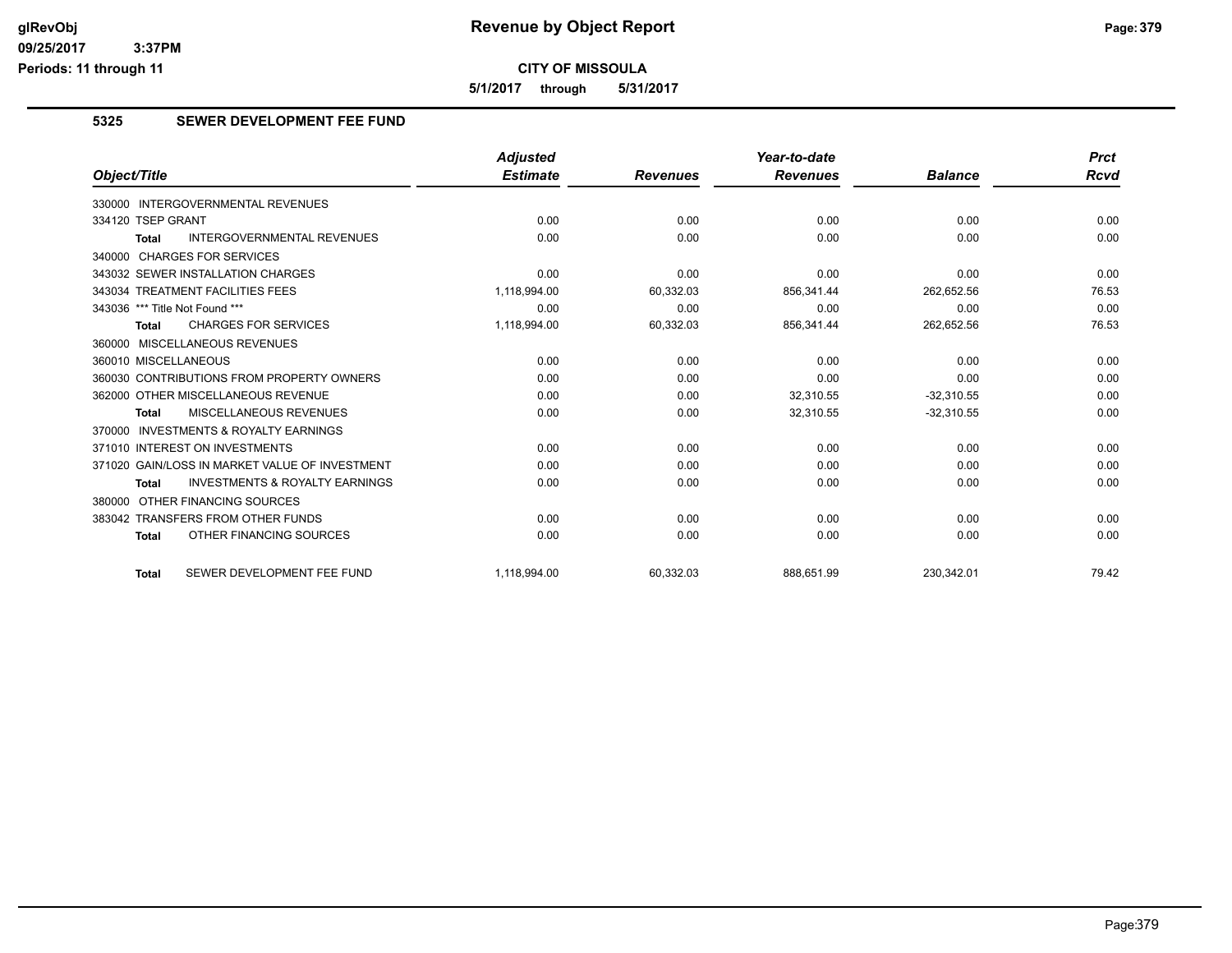**5/1/2017 through 5/31/2017**

#### **5325 SEWER DEVELOPMENT FEE FUND**

|                                                    | <b>Adjusted</b> |                 | Year-to-date    |                | <b>Prct</b> |
|----------------------------------------------------|-----------------|-----------------|-----------------|----------------|-------------|
| Object/Title                                       | <b>Estimate</b> | <b>Revenues</b> | <b>Revenues</b> | <b>Balance</b> | Rcvd        |
| 330000 INTERGOVERNMENTAL REVENUES                  |                 |                 |                 |                |             |
| 334120 TSEP GRANT                                  | 0.00            | 0.00            | 0.00            | 0.00           | 0.00        |
| <b>INTERGOVERNMENTAL REVENUES</b><br>Total         | 0.00            | 0.00            | 0.00            | 0.00           | 0.00        |
| 340000 CHARGES FOR SERVICES                        |                 |                 |                 |                |             |
| 343032 SEWER INSTALLATION CHARGES                  | 0.00            | 0.00            | 0.00            | 0.00           | 0.00        |
| 343034 TREATMENT FACILITIES FEES                   | 1,118,994.00    | 60,332.03       | 856,341.44      | 262,652.56     | 76.53       |
| 343036 *** Title Not Found ***                     | 0.00            | 0.00            | 0.00            | 0.00           | 0.00        |
| <b>CHARGES FOR SERVICES</b><br><b>Total</b>        | 1,118,994.00    | 60,332.03       | 856,341.44      | 262,652.56     | 76.53       |
| 360000 MISCELLANEOUS REVENUES                      |                 |                 |                 |                |             |
| 360010 MISCELLANEOUS                               | 0.00            | 0.00            | 0.00            | 0.00           | 0.00        |
| 360030 CONTRIBUTIONS FROM PROPERTY OWNERS          | 0.00            | 0.00            | 0.00            | 0.00           | 0.00        |
| 362000 OTHER MISCELLANEOUS REVENUE                 | 0.00            | 0.00            | 32.310.55       | $-32,310.55$   | 0.00        |
| <b>MISCELLANEOUS REVENUES</b><br><b>Total</b>      | 0.00            | 0.00            | 32,310.55       | $-32,310.55$   | 0.00        |
| 370000 INVESTMENTS & ROYALTY EARNINGS              |                 |                 |                 |                |             |
| 371010 INTEREST ON INVESTMENTS                     | 0.00            | 0.00            | 0.00            | 0.00           | 0.00        |
| 371020 GAIN/LOSS IN MARKET VALUE OF INVESTMENT     | 0.00            | 0.00            | 0.00            | 0.00           | 0.00        |
| <b>INVESTMENTS &amp; ROYALTY EARNINGS</b><br>Total | 0.00            | 0.00            | 0.00            | 0.00           | 0.00        |
| 380000 OTHER FINANCING SOURCES                     |                 |                 |                 |                |             |
| 383042 TRANSFERS FROM OTHER FUNDS                  | 0.00            | 0.00            | 0.00            | 0.00           | 0.00        |
| OTHER FINANCING SOURCES<br><b>Total</b>            | 0.00            | 0.00            | 0.00            | 0.00           | 0.00        |
| SEWER DEVELOPMENT FEE FUND<br><b>Total</b>         | 1.118.994.00    | 60,332.03       | 888,651.99      | 230.342.01     | 79.42       |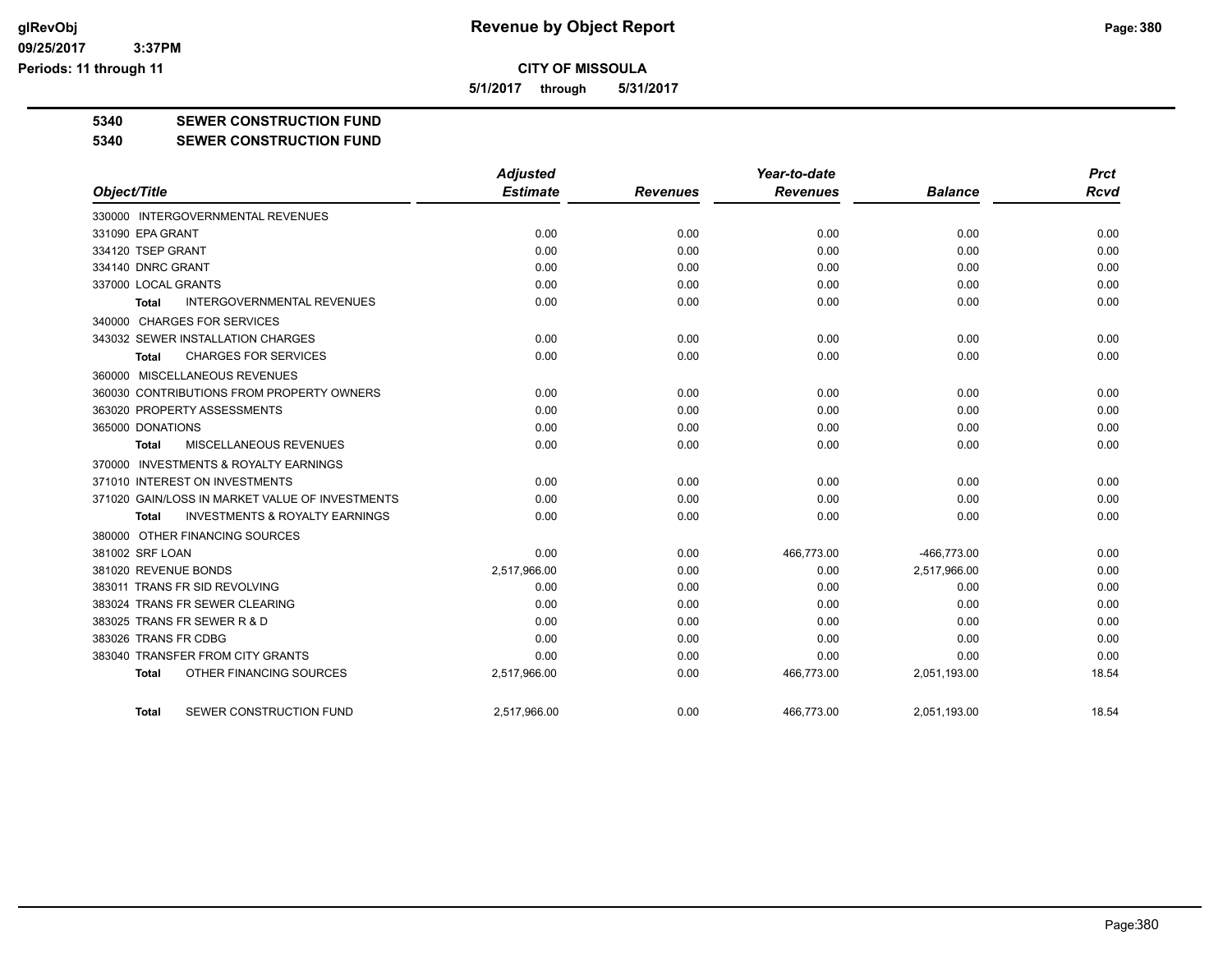**5/1/2017 through 5/31/2017**

#### **5340 SEWER CONSTRUCTION FUND**

#### **5340 SEWER CONSTRUCTION FUND**

|                                                    | <b>Adjusted</b> |                 | Year-to-date    |                | <b>Prct</b> |
|----------------------------------------------------|-----------------|-----------------|-----------------|----------------|-------------|
| Object/Title                                       | <b>Estimate</b> | <b>Revenues</b> | <b>Revenues</b> | <b>Balance</b> | Rcvd        |
| 330000 INTERGOVERNMENTAL REVENUES                  |                 |                 |                 |                |             |
| 331090 EPA GRANT                                   | 0.00            | 0.00            | 0.00            | 0.00           | 0.00        |
| 334120 TSEP GRANT                                  | 0.00            | 0.00            | 0.00            | 0.00           | 0.00        |
| 334140 DNRC GRANT                                  | 0.00            | 0.00            | 0.00            | 0.00           | 0.00        |
| 337000 LOCAL GRANTS                                | 0.00            | 0.00            | 0.00            | 0.00           | 0.00        |
| <b>INTERGOVERNMENTAL REVENUES</b><br>Total         | 0.00            | 0.00            | 0.00            | 0.00           | 0.00        |
| 340000 CHARGES FOR SERVICES                        |                 |                 |                 |                |             |
| 343032 SEWER INSTALLATION CHARGES                  | 0.00            | 0.00            | 0.00            | 0.00           | 0.00        |
| <b>CHARGES FOR SERVICES</b><br>Total               | 0.00            | 0.00            | 0.00            | 0.00           | 0.00        |
| 360000 MISCELLANEOUS REVENUES                      |                 |                 |                 |                |             |
| 360030 CONTRIBUTIONS FROM PROPERTY OWNERS          | 0.00            | 0.00            | 0.00            | 0.00           | 0.00        |
| 363020 PROPERTY ASSESSMENTS                        | 0.00            | 0.00            | 0.00            | 0.00           | 0.00        |
| 365000 DONATIONS                                   | 0.00            | 0.00            | 0.00            | 0.00           | 0.00        |
| MISCELLANEOUS REVENUES<br>Total                    | 0.00            | 0.00            | 0.00            | 0.00           | 0.00        |
| 370000 INVESTMENTS & ROYALTY EARNINGS              |                 |                 |                 |                |             |
| 371010 INTEREST ON INVESTMENTS                     | 0.00            | 0.00            | 0.00            | 0.00           | 0.00        |
| 371020 GAIN/LOSS IN MARKET VALUE OF INVESTMENTS    | 0.00            | 0.00            | 0.00            | 0.00           | 0.00        |
| <b>INVESTMENTS &amp; ROYALTY EARNINGS</b><br>Total | 0.00            | 0.00            | 0.00            | 0.00           | 0.00        |
| 380000 OTHER FINANCING SOURCES                     |                 |                 |                 |                |             |
| 381002 SRF LOAN                                    | 0.00            | 0.00            | 466,773.00      | -466,773.00    | 0.00        |
| 381020 REVENUE BONDS                               | 2,517,966.00    | 0.00            | 0.00            | 2,517,966.00   | 0.00        |
| 383011 TRANS FR SID REVOLVING                      | 0.00            | 0.00            | 0.00            | 0.00           | 0.00        |
| 383024 TRANS FR SEWER CLEARING                     | 0.00            | 0.00            | 0.00            | 0.00           | 0.00        |
| 383025 TRANS FR SEWER R & D                        | 0.00            | 0.00            | 0.00            | 0.00           | 0.00        |
| 383026 TRANS FR CDBG                               | 0.00            | 0.00            | 0.00            | 0.00           | 0.00        |
| 383040 TRANSFER FROM CITY GRANTS                   | 0.00            | 0.00            | 0.00            | 0.00           | 0.00        |
| OTHER FINANCING SOURCES<br><b>Total</b>            | 2,517,966.00    | 0.00            | 466,773.00      | 2,051,193.00   | 18.54       |
| SEWER CONSTRUCTION FUND<br>Total                   | 2,517,966.00    | 0.00            | 466.773.00      | 2.051.193.00   | 18.54       |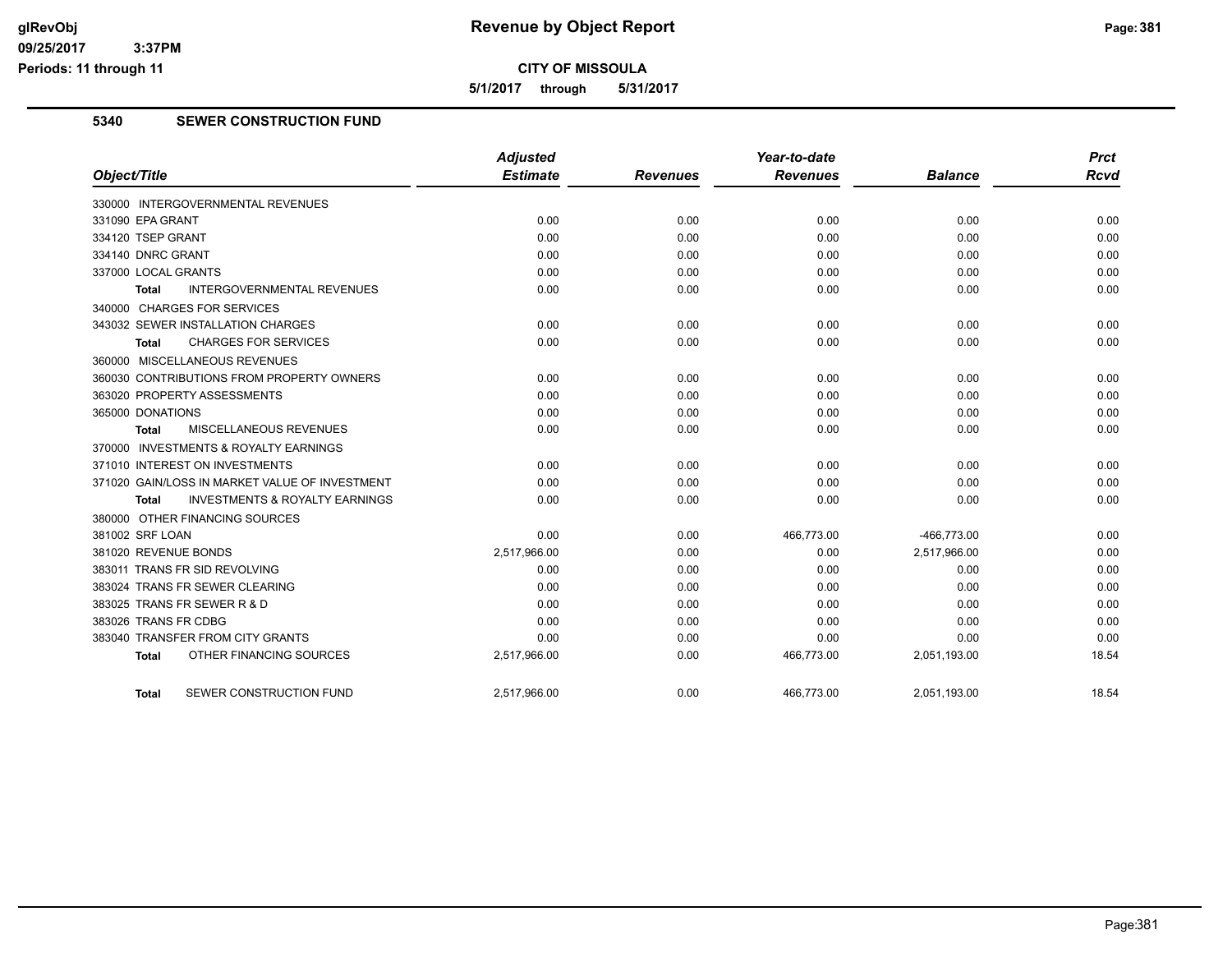**5/1/2017 through 5/31/2017**

#### **5340 SEWER CONSTRUCTION FUND**

|                                                    | <b>Adjusted</b> |                 | Year-to-date    |                | <b>Prct</b> |
|----------------------------------------------------|-----------------|-----------------|-----------------|----------------|-------------|
| Object/Title                                       | <b>Estimate</b> | <b>Revenues</b> | <b>Revenues</b> | <b>Balance</b> | <b>Rcvd</b> |
| 330000 INTERGOVERNMENTAL REVENUES                  |                 |                 |                 |                |             |
| 331090 EPA GRANT                                   | 0.00            | 0.00            | 0.00            | 0.00           | 0.00        |
| 334120 TSEP GRANT                                  | 0.00            | 0.00            | 0.00            | 0.00           | 0.00        |
| 334140 DNRC GRANT                                  | 0.00            | 0.00            | 0.00            | 0.00           | 0.00        |
| 337000 LOCAL GRANTS                                | 0.00            | 0.00            | 0.00            | 0.00           | 0.00        |
| <b>INTERGOVERNMENTAL REVENUES</b><br>Total         | 0.00            | 0.00            | 0.00            | 0.00           | 0.00        |
| 340000 CHARGES FOR SERVICES                        |                 |                 |                 |                |             |
| 343032 SEWER INSTALLATION CHARGES                  | 0.00            | 0.00            | 0.00            | 0.00           | 0.00        |
| <b>CHARGES FOR SERVICES</b><br>Total               | 0.00            | 0.00            | 0.00            | 0.00           | 0.00        |
| 360000 MISCELLANEOUS REVENUES                      |                 |                 |                 |                |             |
| 360030 CONTRIBUTIONS FROM PROPERTY OWNERS          | 0.00            | 0.00            | 0.00            | 0.00           | 0.00        |
| 363020 PROPERTY ASSESSMENTS                        | 0.00            | 0.00            | 0.00            | 0.00           | 0.00        |
| 365000 DONATIONS                                   | 0.00            | 0.00            | 0.00            | 0.00           | 0.00        |
| MISCELLANEOUS REVENUES<br>Total                    | 0.00            | 0.00            | 0.00            | 0.00           | 0.00        |
| 370000 INVESTMENTS & ROYALTY EARNINGS              |                 |                 |                 |                |             |
| 371010 INTEREST ON INVESTMENTS                     | 0.00            | 0.00            | 0.00            | 0.00           | 0.00        |
| 371020 GAIN/LOSS IN MARKET VALUE OF INVESTMENT     | 0.00            | 0.00            | 0.00            | 0.00           | 0.00        |
| <b>INVESTMENTS &amp; ROYALTY EARNINGS</b><br>Total | 0.00            | 0.00            | 0.00            | 0.00           | 0.00        |
| 380000 OTHER FINANCING SOURCES                     |                 |                 |                 |                |             |
| 381002 SRF LOAN                                    | 0.00            | 0.00            | 466,773.00      | -466,773.00    | 0.00        |
| 381020 REVENUE BONDS                               | 2,517,966.00    | 0.00            | 0.00            | 2,517,966.00   | 0.00        |
| 383011 TRANS FR SID REVOLVING                      | 0.00            | 0.00            | 0.00            | 0.00           | 0.00        |
| 383024 TRANS FR SEWER CLEARING                     | 0.00            | 0.00            | 0.00            | 0.00           | 0.00        |
| 383025 TRANS FR SEWER R & D                        | 0.00            | 0.00            | 0.00            | 0.00           | 0.00        |
| 383026 TRANS FR CDBG                               | 0.00            | 0.00            | 0.00            | 0.00           | 0.00        |
| 383040 TRANSFER FROM CITY GRANTS                   | 0.00            | 0.00            | 0.00            | 0.00           | 0.00        |
| OTHER FINANCING SOURCES<br><b>Total</b>            | 2,517,966.00    | 0.00            | 466,773.00      | 2,051,193.00   | 18.54       |
| SEWER CONSTRUCTION FUND<br><b>Total</b>            | 2.517.966.00    | 0.00            | 466.773.00      | 2.051.193.00   | 18.54       |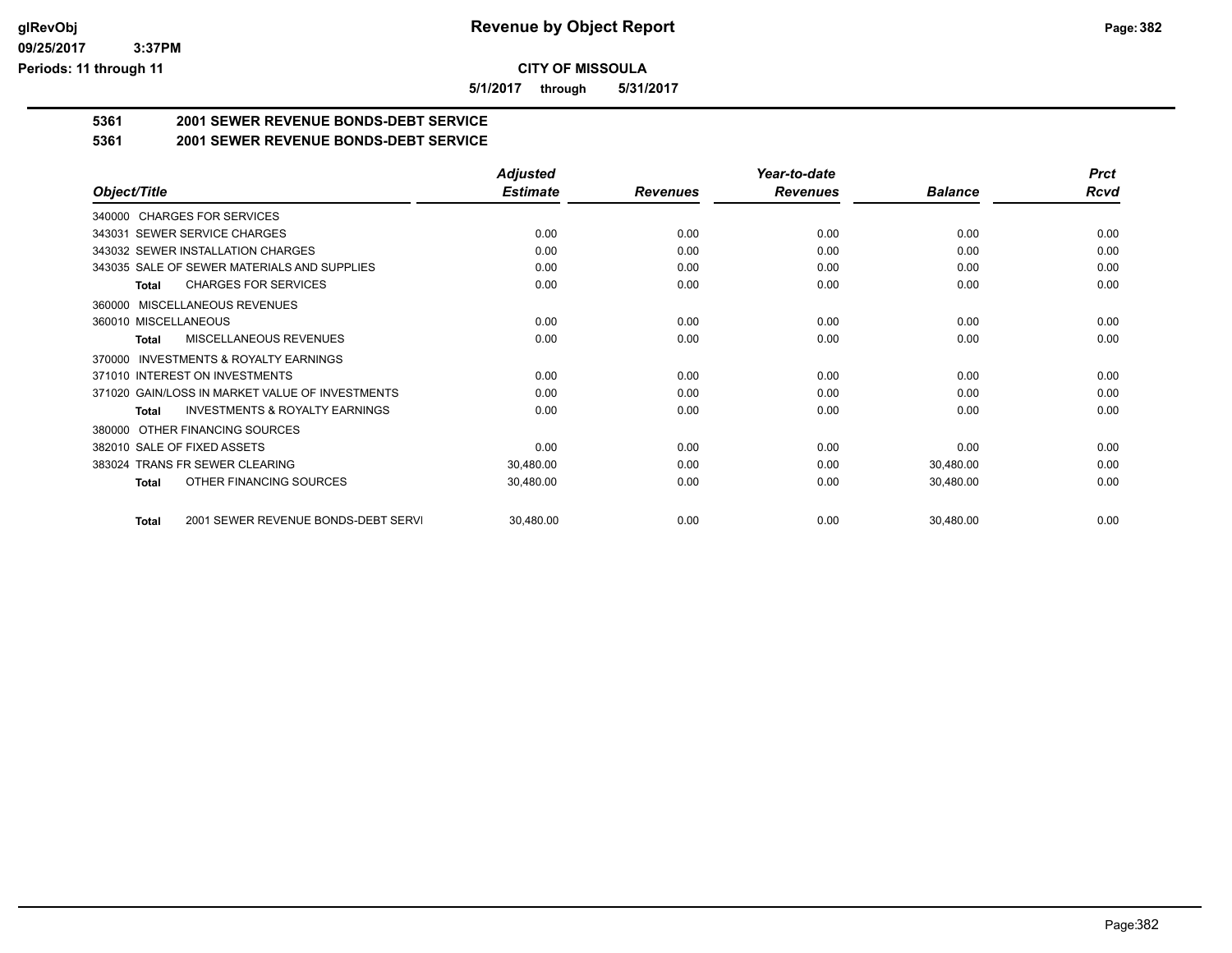**3:37PM**

**glRevObj Revenue by Object Report Page:382** 

**CITY OF MISSOULA**

**5/1/2017 through 5/31/2017**

## **5361 2001 SEWER REVENUE BONDS-DEBT SERVICE**

### **5361 2001 SEWER REVENUE BONDS-DEBT SERVICE**

|                                                     | <b>Adjusted</b> |                 | Year-to-date    |                | <b>Prct</b> |
|-----------------------------------------------------|-----------------|-----------------|-----------------|----------------|-------------|
| Object/Title                                        | <b>Estimate</b> | <b>Revenues</b> | <b>Revenues</b> | <b>Balance</b> | Rcvd        |
| 340000 CHARGES FOR SERVICES                         |                 |                 |                 |                |             |
| 343031 SEWER SERVICE CHARGES                        | 0.00            | 0.00            | 0.00            | 0.00           | 0.00        |
| 343032 SEWER INSTALLATION CHARGES                   | 0.00            | 0.00            | 0.00            | 0.00           | 0.00        |
| 343035 SALE OF SEWER MATERIALS AND SUPPLIES         | 0.00            | 0.00            | 0.00            | 0.00           | 0.00        |
| <b>CHARGES FOR SERVICES</b><br>Total                | 0.00            | 0.00            | 0.00            | 0.00           | 0.00        |
| MISCELLANEOUS REVENUES<br>360000                    |                 |                 |                 |                |             |
| 360010 MISCELLANEOUS                                | 0.00            | 0.00            | 0.00            | 0.00           | 0.00        |
| MISCELLANEOUS REVENUES<br><b>Total</b>              | 0.00            | 0.00            | 0.00            | 0.00           | 0.00        |
| <b>INVESTMENTS &amp; ROYALTY EARNINGS</b><br>370000 |                 |                 |                 |                |             |
| 371010 INTEREST ON INVESTMENTS                      | 0.00            | 0.00            | 0.00            | 0.00           | 0.00        |
| 371020 GAIN/LOSS IN MARKET VALUE OF INVESTMENTS     | 0.00            | 0.00            | 0.00            | 0.00           | 0.00        |
| <b>INVESTMENTS &amp; ROYALTY EARNINGS</b><br>Total  | 0.00            | 0.00            | 0.00            | 0.00           | 0.00        |
| OTHER FINANCING SOURCES<br>380000                   |                 |                 |                 |                |             |
| 382010 SALE OF FIXED ASSETS                         | 0.00            | 0.00            | 0.00            | 0.00           | 0.00        |
| 383024 TRANS FR SEWER CLEARING                      | 30,480.00       | 0.00            | 0.00            | 30,480.00      | 0.00        |
| OTHER FINANCING SOURCES<br><b>Total</b>             | 30,480.00       | 0.00            | 0.00            | 30,480.00      | 0.00        |
| 2001 SEWER REVENUE BONDS-DEBT SERVI<br><b>Total</b> | 30,480.00       | 0.00            | 0.00            | 30,480.00      | 0.00        |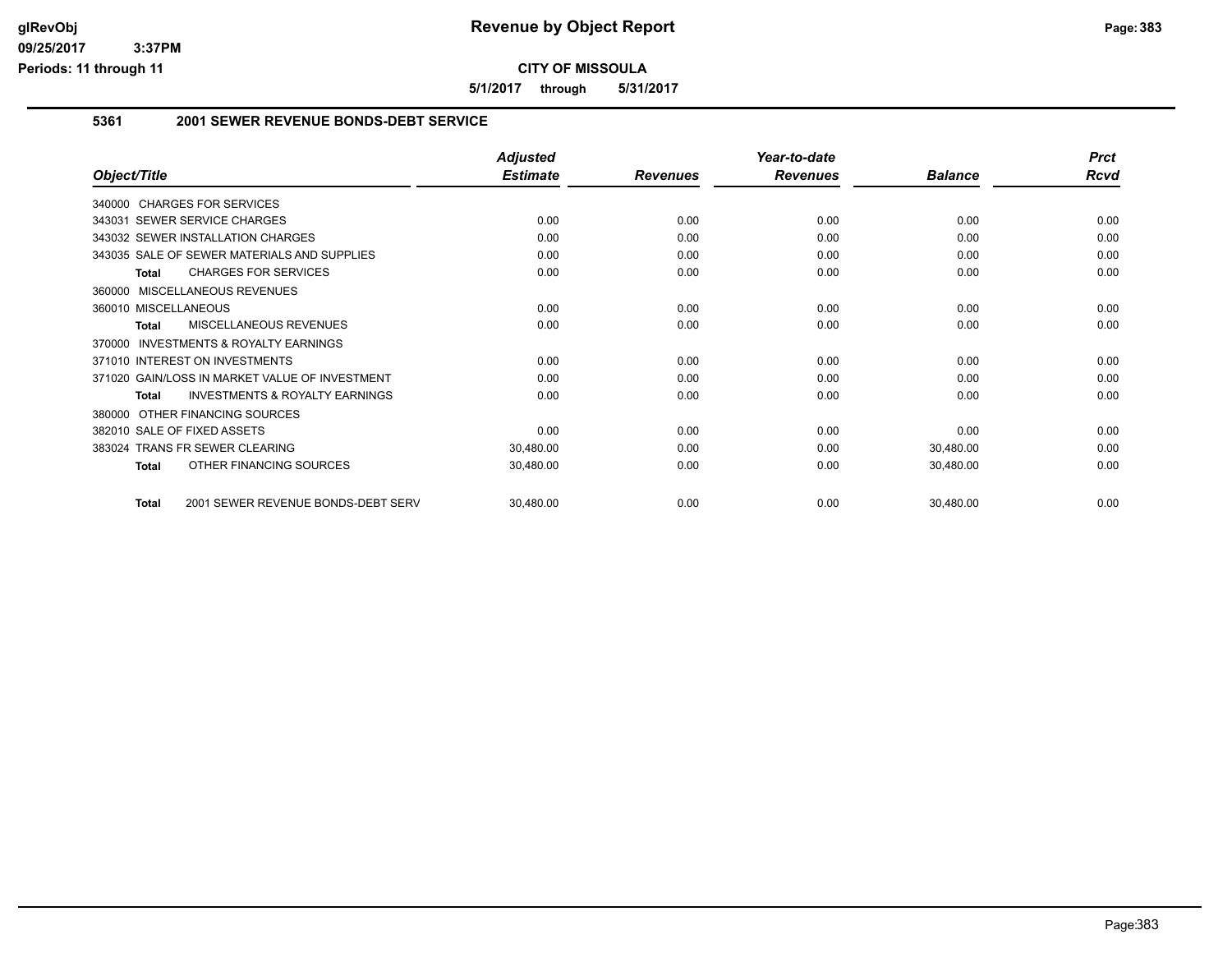**5/1/2017 through 5/31/2017**

#### **5361 2001 SEWER REVENUE BONDS-DEBT SERVICE**

|                                                    | <b>Adjusted</b> |                 | Year-to-date    |                | <b>Prct</b> |
|----------------------------------------------------|-----------------|-----------------|-----------------|----------------|-------------|
| Object/Title                                       | <b>Estimate</b> | <b>Revenues</b> | <b>Revenues</b> | <b>Balance</b> | Rcvd        |
| 340000 CHARGES FOR SERVICES                        |                 |                 |                 |                |             |
| SEWER SERVICE CHARGES<br>343031                    | 0.00            | 0.00            | 0.00            | 0.00           | 0.00        |
| 343032 SEWER INSTALLATION CHARGES                  | 0.00            | 0.00            | 0.00            | 0.00           | 0.00        |
| 343035 SALE OF SEWER MATERIALS AND SUPPLIES        | 0.00            | 0.00            | 0.00            | 0.00           | 0.00        |
| <b>CHARGES FOR SERVICES</b><br><b>Total</b>        | 0.00            | 0.00            | 0.00            | 0.00           | 0.00        |
| 360000 MISCELLANEOUS REVENUES                      |                 |                 |                 |                |             |
| 360010 MISCELLANEOUS                               | 0.00            | 0.00            | 0.00            | 0.00           | 0.00        |
| <b>MISCELLANEOUS REVENUES</b><br><b>Total</b>      | 0.00            | 0.00            | 0.00            | 0.00           | 0.00        |
| INVESTMENTS & ROYALTY EARNINGS<br>370000           |                 |                 |                 |                |             |
| 371010 INTEREST ON INVESTMENTS                     | 0.00            | 0.00            | 0.00            | 0.00           | 0.00        |
| 371020 GAIN/LOSS IN MARKET VALUE OF INVESTMENT     | 0.00            | 0.00            | 0.00            | 0.00           | 0.00        |
| <b>INVESTMENTS &amp; ROYALTY EARNINGS</b><br>Total | 0.00            | 0.00            | 0.00            | 0.00           | 0.00        |
| OTHER FINANCING SOURCES<br>380000                  |                 |                 |                 |                |             |
| 382010 SALE OF FIXED ASSETS                        | 0.00            | 0.00            | 0.00            | 0.00           | 0.00        |
| 383024 TRANS FR SEWER CLEARING                     | 30,480.00       | 0.00            | 0.00            | 30,480.00      | 0.00        |
| OTHER FINANCING SOURCES<br>Total                   | 30,480.00       | 0.00            | 0.00            | 30,480.00      | 0.00        |
| 2001 SEWER REVENUE BONDS-DEBT SERV<br><b>Total</b> | 30,480.00       | 0.00            | 0.00            | 30,480.00      | 0.00        |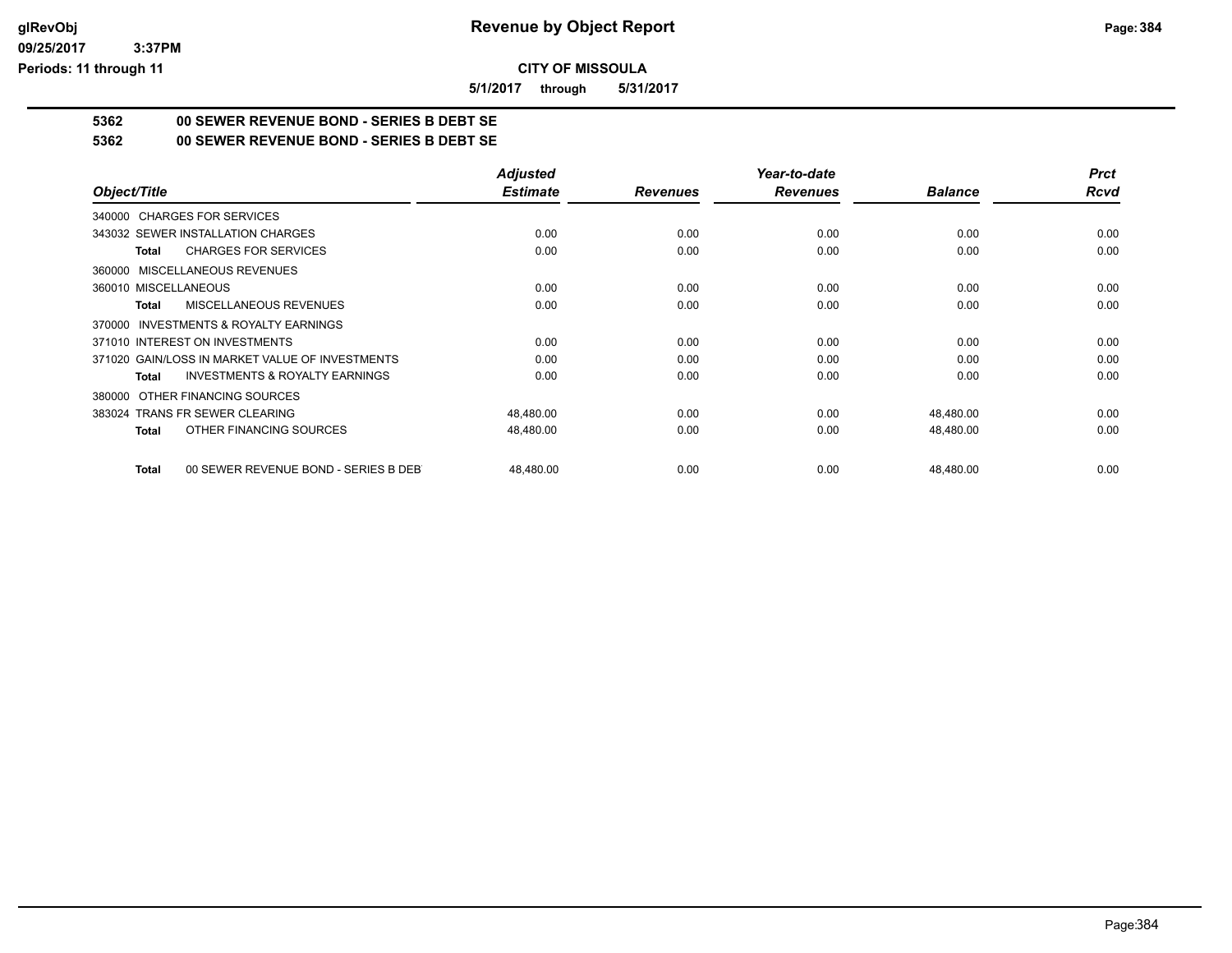**09/25/2017 3:37PM**

**Periods: 11 through 11**

**CITY OF MISSOULA**

**5/1/2017 through 5/31/2017**

## **5362 00 SEWER REVENUE BOND - SERIES B DEBT SE**

**5362 00 SEWER REVENUE BOND - SERIES B DEBT SE**

|                                                      | <b>Adjusted</b> |                 | Year-to-date    |                | <b>Prct</b> |
|------------------------------------------------------|-----------------|-----------------|-----------------|----------------|-------------|
| Object/Title                                         | <b>Estimate</b> | <b>Revenues</b> | <b>Revenues</b> | <b>Balance</b> | <b>Rcvd</b> |
| 340000 CHARGES FOR SERVICES                          |                 |                 |                 |                |             |
| 343032 SEWER INSTALLATION CHARGES                    | 0.00            | 0.00            | 0.00            | 0.00           | 0.00        |
| <b>CHARGES FOR SERVICES</b><br>Total                 | 0.00            | 0.00            | 0.00            | 0.00           | 0.00        |
| 360000 MISCELLANEOUS REVENUES                        |                 |                 |                 |                |             |
| 360010 MISCELLANEOUS                                 | 0.00            | 0.00            | 0.00            | 0.00           | 0.00        |
| MISCELLANEOUS REVENUES<br>Total                      | 0.00            | 0.00            | 0.00            | 0.00           | 0.00        |
| 370000 INVESTMENTS & ROYALTY EARNINGS                |                 |                 |                 |                |             |
| 371010 INTEREST ON INVESTMENTS                       | 0.00            | 0.00            | 0.00            | 0.00           | 0.00        |
| 371020 GAIN/LOSS IN MARKET VALUE OF INVESTMENTS      | 0.00            | 0.00            | 0.00            | 0.00           | 0.00        |
| <b>INVESTMENTS &amp; ROYALTY EARNINGS</b><br>Total   | 0.00            | 0.00            | 0.00            | 0.00           | 0.00        |
| 380000 OTHER FINANCING SOURCES                       |                 |                 |                 |                |             |
| 383024 TRANS FR SEWER CLEARING                       | 48,480.00       | 0.00            | 0.00            | 48,480.00      | 0.00        |
| OTHER FINANCING SOURCES<br>Total                     | 48,480.00       | 0.00            | 0.00            | 48,480.00      | 0.00        |
|                                                      |                 |                 |                 |                |             |
| 00 SEWER REVENUE BOND - SERIES B DEB<br><b>Total</b> | 48,480.00       | 0.00            | 0.00            | 48,480.00      | 0.00        |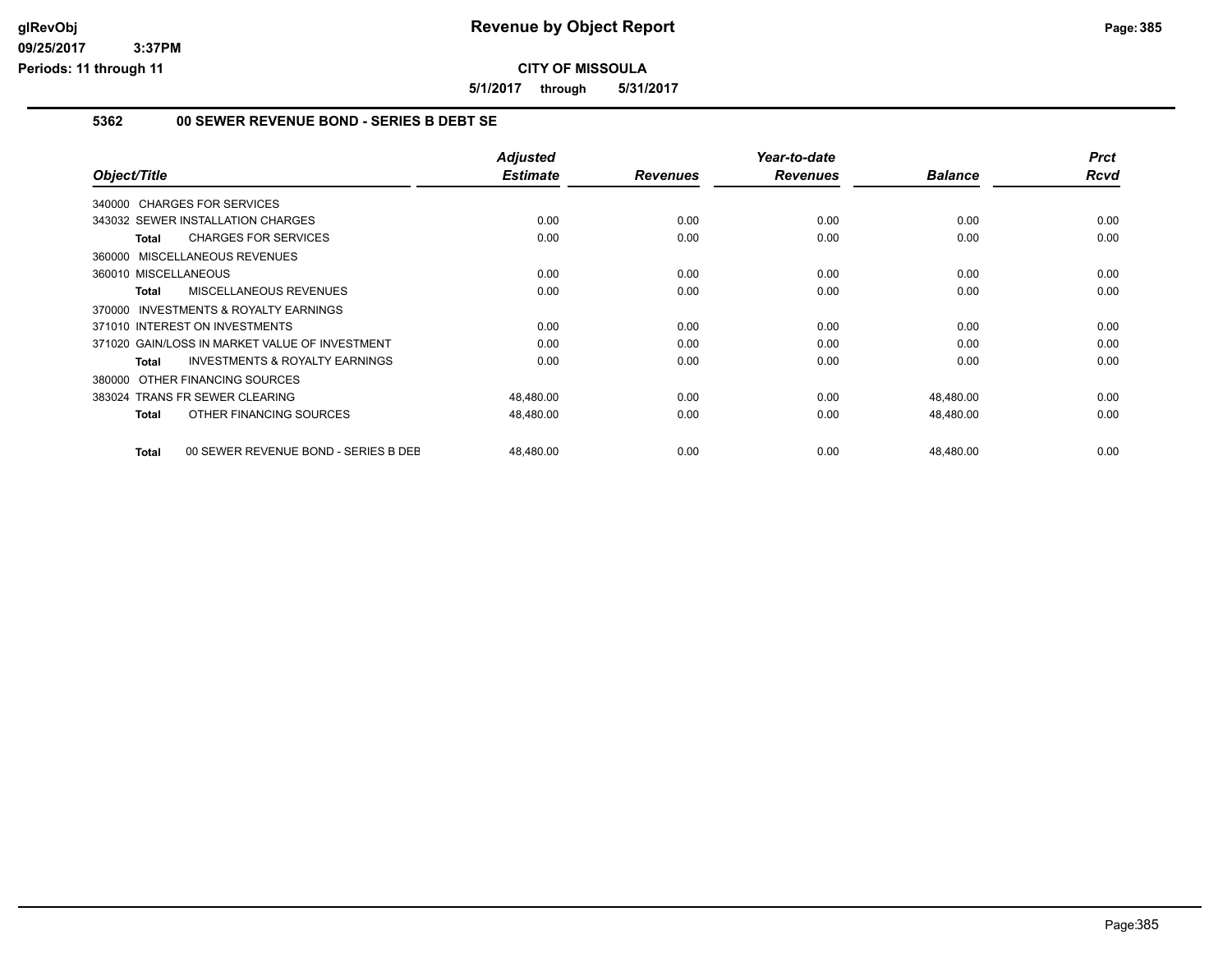**CITY OF MISSOULA**

**5/1/2017 through 5/31/2017**

#### **5362 00 SEWER REVENUE BOND - SERIES B DEBT SE**

| Object/Title                                         | <b>Adjusted</b><br><b>Estimate</b> | <b>Revenues</b> | Year-to-date<br><b>Revenues</b> | <b>Balance</b> | <b>Prct</b><br><b>Rcvd</b> |
|------------------------------------------------------|------------------------------------|-----------------|---------------------------------|----------------|----------------------------|
|                                                      |                                    |                 |                                 |                |                            |
| 340000 CHARGES FOR SERVICES                          |                                    |                 |                                 |                |                            |
| 343032 SEWER INSTALLATION CHARGES                    | 0.00                               | 0.00            | 0.00                            | 0.00           | 0.00                       |
| <b>CHARGES FOR SERVICES</b><br>Total                 | 0.00                               | 0.00            | 0.00                            | 0.00           | 0.00                       |
| 360000 MISCELLANEOUS REVENUES                        |                                    |                 |                                 |                |                            |
| 360010 MISCELLANEOUS                                 | 0.00                               | 0.00            | 0.00                            | 0.00           | 0.00                       |
| <b>MISCELLANEOUS REVENUES</b><br><b>Total</b>        | 0.00                               | 0.00            | 0.00                            | 0.00           | 0.00                       |
| 370000 INVESTMENTS & ROYALTY EARNINGS                |                                    |                 |                                 |                |                            |
| 371010 INTEREST ON INVESTMENTS                       | 0.00                               | 0.00            | 0.00                            | 0.00           | 0.00                       |
| 371020 GAIN/LOSS IN MARKET VALUE OF INVESTMENT       | 0.00                               | 0.00            | 0.00                            | 0.00           | 0.00                       |
| <b>INVESTMENTS &amp; ROYALTY EARNINGS</b><br>Total   | 0.00                               | 0.00            | 0.00                            | 0.00           | 0.00                       |
| 380000 OTHER FINANCING SOURCES                       |                                    |                 |                                 |                |                            |
| 383024 TRANS FR SEWER CLEARING                       | 48,480.00                          | 0.00            | 0.00                            | 48,480.00      | 0.00                       |
| OTHER FINANCING SOURCES<br><b>Total</b>              | 48,480.00                          | 0.00            | 0.00                            | 48,480.00      | 0.00                       |
| 00 SEWER REVENUE BOND - SERIES B DEE<br><b>Total</b> | 48,480.00                          | 0.00            | 0.00                            | 48,480.00      | 0.00                       |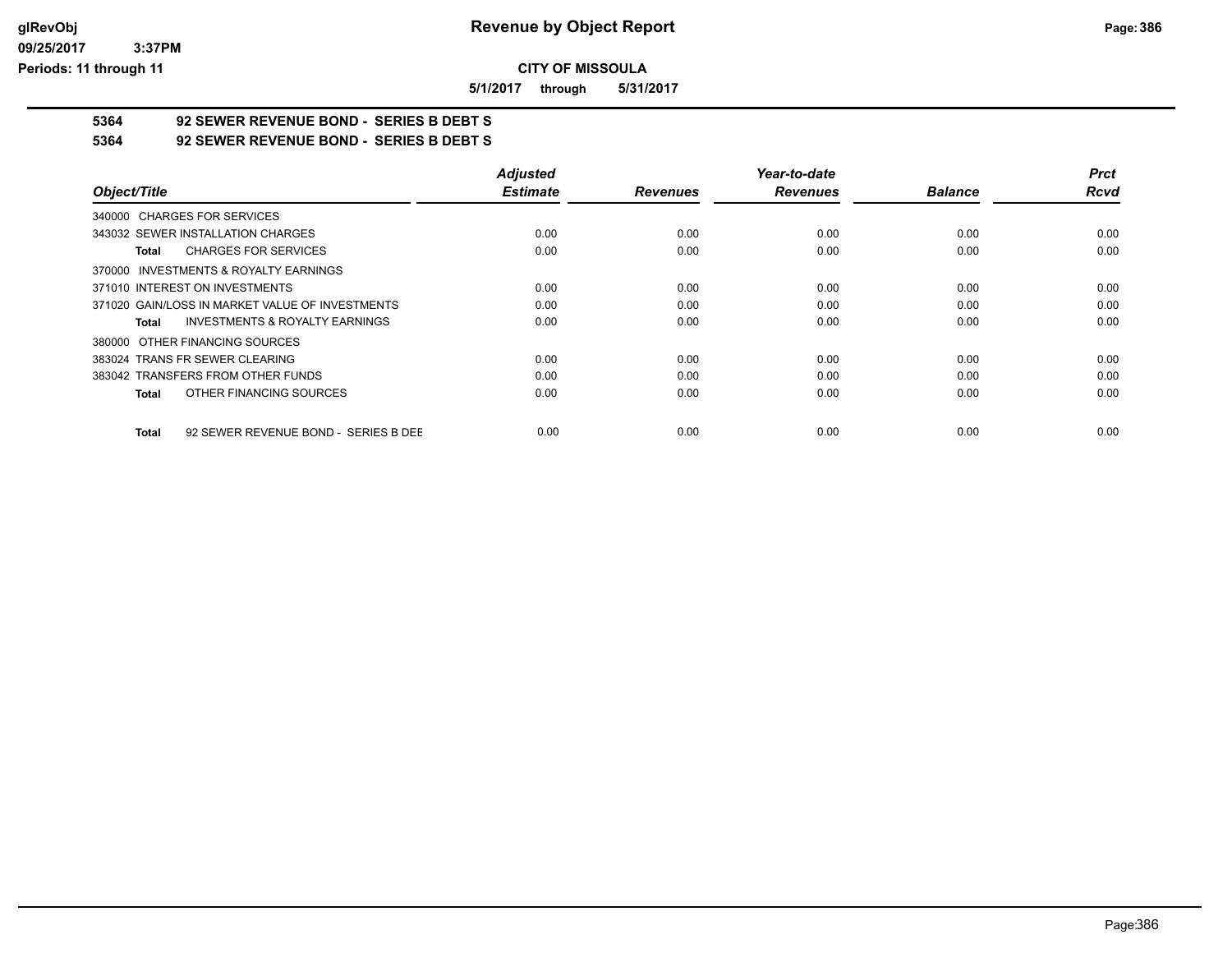**09/25/2017 3:37PM Periods: 11 through 11**

**CITY OF MISSOULA**

**5/1/2017 through 5/31/2017**

## **5364 92 SEWER REVENUE BOND - SERIES B DEBT S**

**5364 92 SEWER REVENUE BOND - SERIES B DEBT S**

|                                                    | <b>Adjusted</b> |                 | Year-to-date    |                | <b>Prct</b> |
|----------------------------------------------------|-----------------|-----------------|-----------------|----------------|-------------|
| Object/Title                                       | <b>Estimate</b> | <b>Revenues</b> | <b>Revenues</b> | <b>Balance</b> | <b>Rcvd</b> |
| 340000 CHARGES FOR SERVICES                        |                 |                 |                 |                |             |
| 343032 SEWER INSTALLATION CHARGES                  | 0.00            | 0.00            | 0.00            | 0.00           | 0.00        |
| <b>CHARGES FOR SERVICES</b><br>Total               | 0.00            | 0.00            | 0.00            | 0.00           | 0.00        |
| 370000 INVESTMENTS & ROYALTY EARNINGS              |                 |                 |                 |                |             |
| 371010 INTEREST ON INVESTMENTS                     | 0.00            | 0.00            | 0.00            | 0.00           | 0.00        |
| 371020 GAIN/LOSS IN MARKET VALUE OF INVESTMENTS    | 0.00            | 0.00            | 0.00            | 0.00           | 0.00        |
| <b>INVESTMENTS &amp; ROYALTY EARNINGS</b><br>Total | 0.00            | 0.00            | 0.00            | 0.00           | 0.00        |
| 380000 OTHER FINANCING SOURCES                     |                 |                 |                 |                |             |
| 383024 TRANS FR SEWER CLEARING                     | 0.00            | 0.00            | 0.00            | 0.00           | 0.00        |
| 383042 TRANSFERS FROM OTHER FUNDS                  | 0.00            | 0.00            | 0.00            | 0.00           | 0.00        |
| OTHER FINANCING SOURCES<br>Total                   | 0.00            | 0.00            | 0.00            | 0.00           | 0.00        |
| 92 SEWER REVENUE BOND - SERIES B DEE<br>Total      | 0.00            | 0.00            | 0.00            | 0.00           | 0.00        |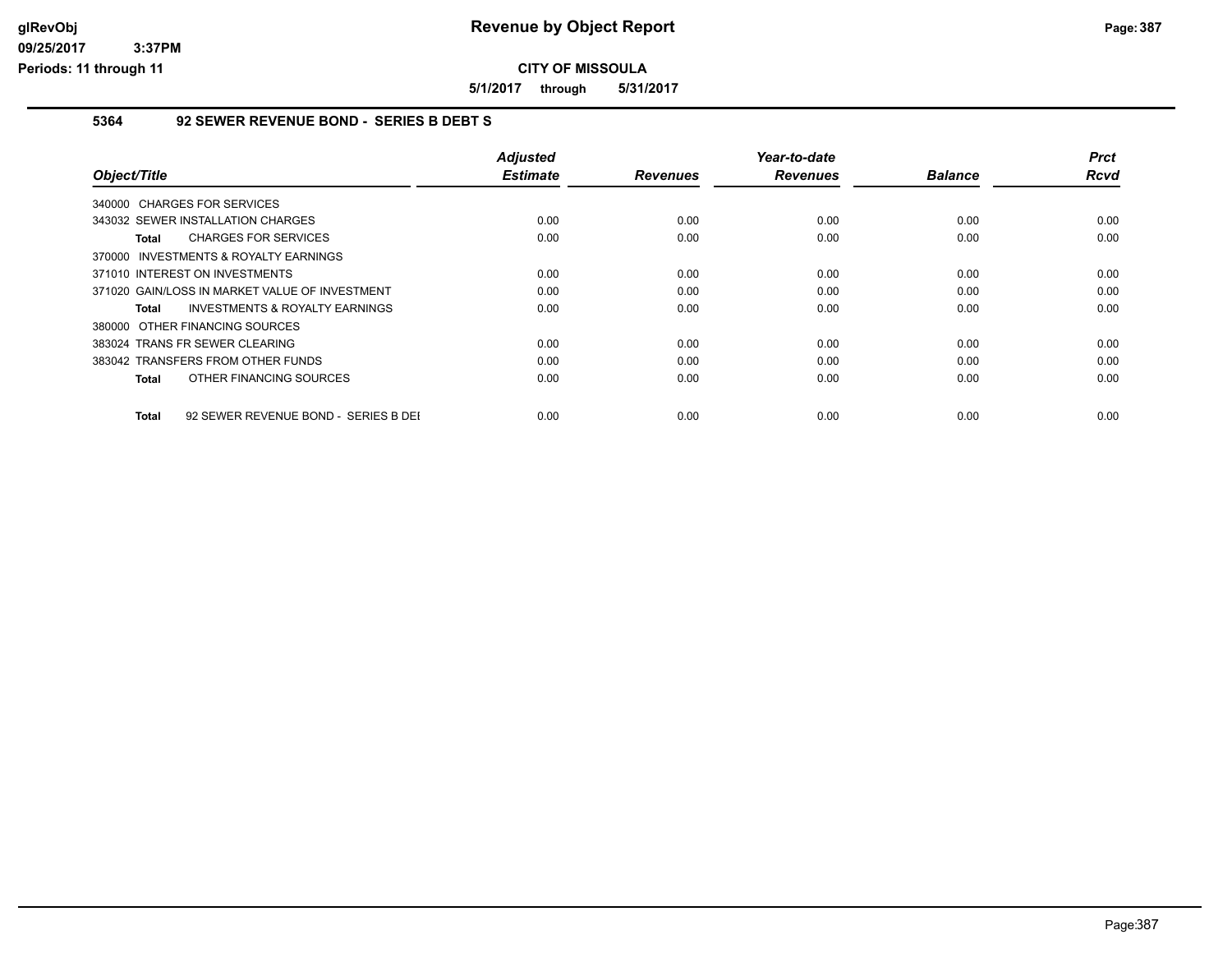**CITY OF MISSOULA**

**5/1/2017 through 5/31/2017**

#### **5364 92 SEWER REVENUE BOND - SERIES B DEBT S**

| Object/Title                                       | <b>Adjusted</b><br><b>Estimate</b> | <b>Revenues</b> | Year-to-date<br><b>Revenues</b> | <b>Balance</b> | <b>Prct</b><br><b>Rcvd</b> |
|----------------------------------------------------|------------------------------------|-----------------|---------------------------------|----------------|----------------------------|
|                                                    |                                    |                 |                                 |                |                            |
| 340000 CHARGES FOR SERVICES                        |                                    |                 |                                 |                |                            |
| 343032 SEWER INSTALLATION CHARGES                  | 0.00                               | 0.00            | 0.00                            | 0.00           | 0.00                       |
| <b>CHARGES FOR SERVICES</b><br>Total               | 0.00                               | 0.00            | 0.00                            | 0.00           | 0.00                       |
| 370000 INVESTMENTS & ROYALTY EARNINGS              |                                    |                 |                                 |                |                            |
| 371010 INTEREST ON INVESTMENTS                     | 0.00                               | 0.00            | 0.00                            | 0.00           | 0.00                       |
| 371020 GAIN/LOSS IN MARKET VALUE OF INVESTMENT     | 0.00                               | 0.00            | 0.00                            | 0.00           | 0.00                       |
| <b>INVESTMENTS &amp; ROYALTY EARNINGS</b><br>Total | 0.00                               | 0.00            | 0.00                            | 0.00           | 0.00                       |
| 380000 OTHER FINANCING SOURCES                     |                                    |                 |                                 |                |                            |
| 383024 TRANS FR SEWER CLEARING                     | 0.00                               | 0.00            | 0.00                            | 0.00           | 0.00                       |
| 383042 TRANSFERS FROM OTHER FUNDS                  | 0.00                               | 0.00            | 0.00                            | 0.00           | 0.00                       |
| OTHER FINANCING SOURCES<br>Total                   | 0.00                               | 0.00            | 0.00                            | 0.00           | 0.00                       |
| 92 SEWER REVENUE BOND - SERIES B DEI<br>Total      | 0.00                               | 0.00            | 0.00                            | 0.00           | 0.00                       |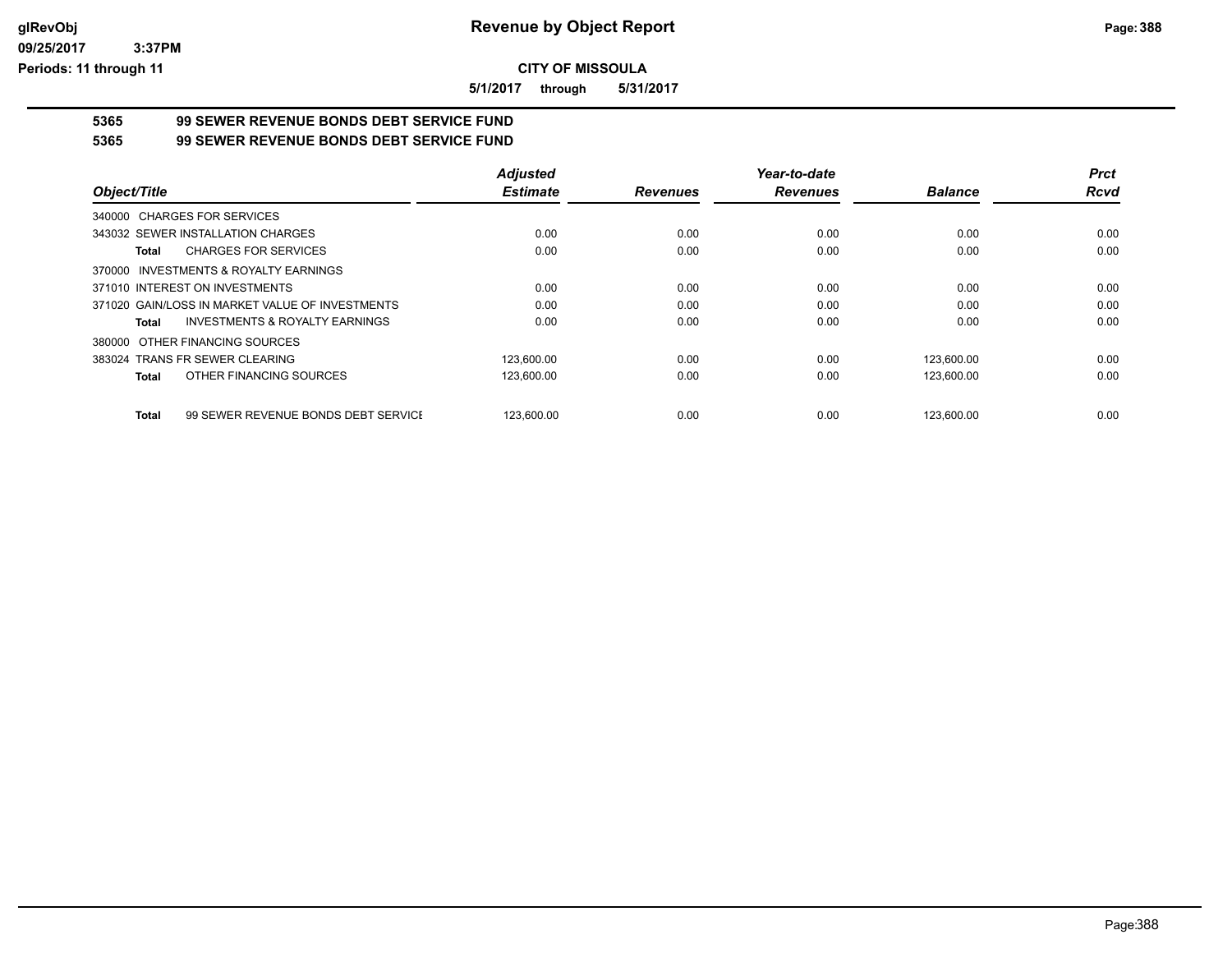**5/1/2017 through 5/31/2017**

# **5365 99 SEWER REVENUE BONDS DEBT SERVICE FUND**

## **5365 99 SEWER REVENUE BONDS DEBT SERVICE FUND**

| Object/Title                                        | <b>Adjusted</b><br><b>Estimate</b> | <b>Revenues</b> | Year-to-date<br><b>Revenues</b> | <b>Balance</b> | <b>Prct</b><br><b>Rcvd</b> |
|-----------------------------------------------------|------------------------------------|-----------------|---------------------------------|----------------|----------------------------|
| 340000 CHARGES FOR SERVICES                         |                                    |                 |                                 |                |                            |
| 343032 SEWER INSTALLATION CHARGES                   | 0.00                               | 0.00            | 0.00                            | 0.00           | 0.00                       |
| <b>CHARGES FOR SERVICES</b><br>Total                | 0.00                               | 0.00            | 0.00                            | 0.00           | 0.00                       |
| 370000 INVESTMENTS & ROYALTY EARNINGS               |                                    |                 |                                 |                |                            |
| 371010 INTEREST ON INVESTMENTS                      | 0.00                               | 0.00            | 0.00                            | 0.00           | 0.00                       |
| 371020 GAIN/LOSS IN MARKET VALUE OF INVESTMENTS     | 0.00                               | 0.00            | 0.00                            | 0.00           | 0.00                       |
| <b>INVESTMENTS &amp; ROYALTY EARNINGS</b><br>Total  | 0.00                               | 0.00            | 0.00                            | 0.00           | 0.00                       |
| 380000 OTHER FINANCING SOURCES                      |                                    |                 |                                 |                |                            |
| 383024 TRANS FR SEWER CLEARING                      | 123,600.00                         | 0.00            | 0.00                            | 123,600.00     | 0.00                       |
| OTHER FINANCING SOURCES<br>Total                    | 123,600.00                         | 0.00            | 0.00                            | 123,600.00     | 0.00                       |
| 99 SEWER REVENUE BONDS DEBT SERVICE<br><b>Total</b> | 123.600.00                         | 0.00            | 0.00                            | 123.600.00     | 0.00                       |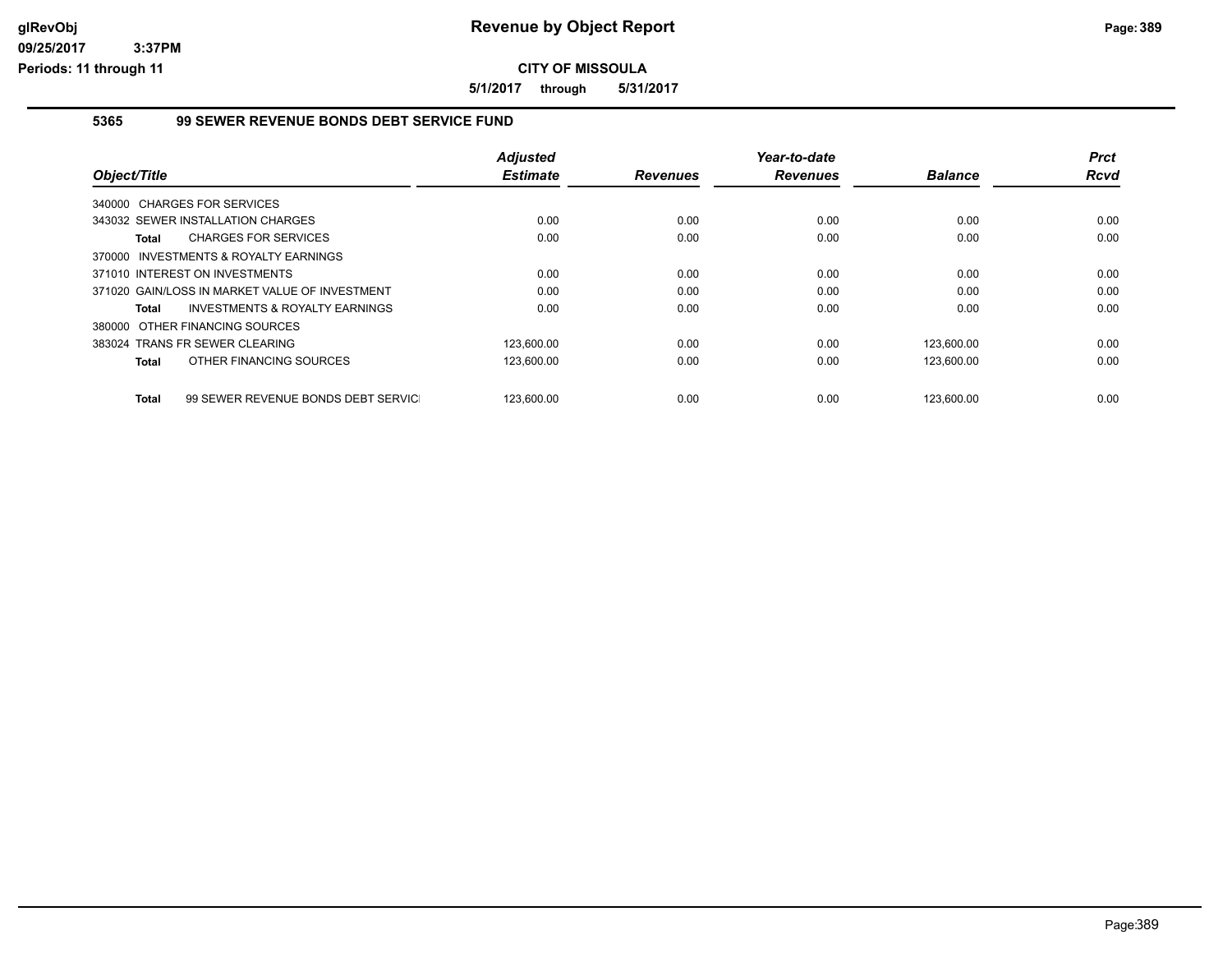**5/1/2017 through 5/31/2017**

#### **5365 99 SEWER REVENUE BONDS DEBT SERVICE FUND**

| Object/Title                                   | <b>Adjusted</b><br><b>Estimate</b> | <b>Revenues</b> | Year-to-date<br><b>Revenues</b> | <b>Balance</b> | <b>Prct</b><br>Rcvd |
|------------------------------------------------|------------------------------------|-----------------|---------------------------------|----------------|---------------------|
|                                                |                                    |                 |                                 |                |                     |
| 340000 CHARGES FOR SERVICES                    |                                    |                 |                                 |                |                     |
| 343032 SEWER INSTALLATION CHARGES              | 0.00                               | 0.00            | 0.00                            | 0.00           | 0.00                |
| <b>CHARGES FOR SERVICES</b><br>Total           | 0.00                               | 0.00            | 0.00                            | 0.00           | 0.00                |
| 370000 INVESTMENTS & ROYALTY EARNINGS          |                                    |                 |                                 |                |                     |
| 371010 INTEREST ON INVESTMENTS                 | 0.00                               | 0.00            | 0.00                            | 0.00           | 0.00                |
| 371020 GAIN/LOSS IN MARKET VALUE OF INVESTMENT | 0.00                               | 0.00            | 0.00                            | 0.00           | 0.00                |
| INVESTMENTS & ROYALTY EARNINGS<br>Total        | 0.00                               | 0.00            | 0.00                            | 0.00           | 0.00                |
| 380000 OTHER FINANCING SOURCES                 |                                    |                 |                                 |                |                     |
| 383024 TRANS FR SEWER CLEARING                 | 123.600.00                         | 0.00            | 0.00                            | 123.600.00     | 0.00                |
| OTHER FINANCING SOURCES<br>Total               | 123.600.00                         | 0.00            | 0.00                            | 123,600.00     | 0.00                |
|                                                |                                    |                 |                                 |                |                     |
| 99 SEWER REVENUE BONDS DEBT SERVIC<br>Total    | 123.600.00                         | 0.00            | 0.00                            | 123.600.00     | 0.00                |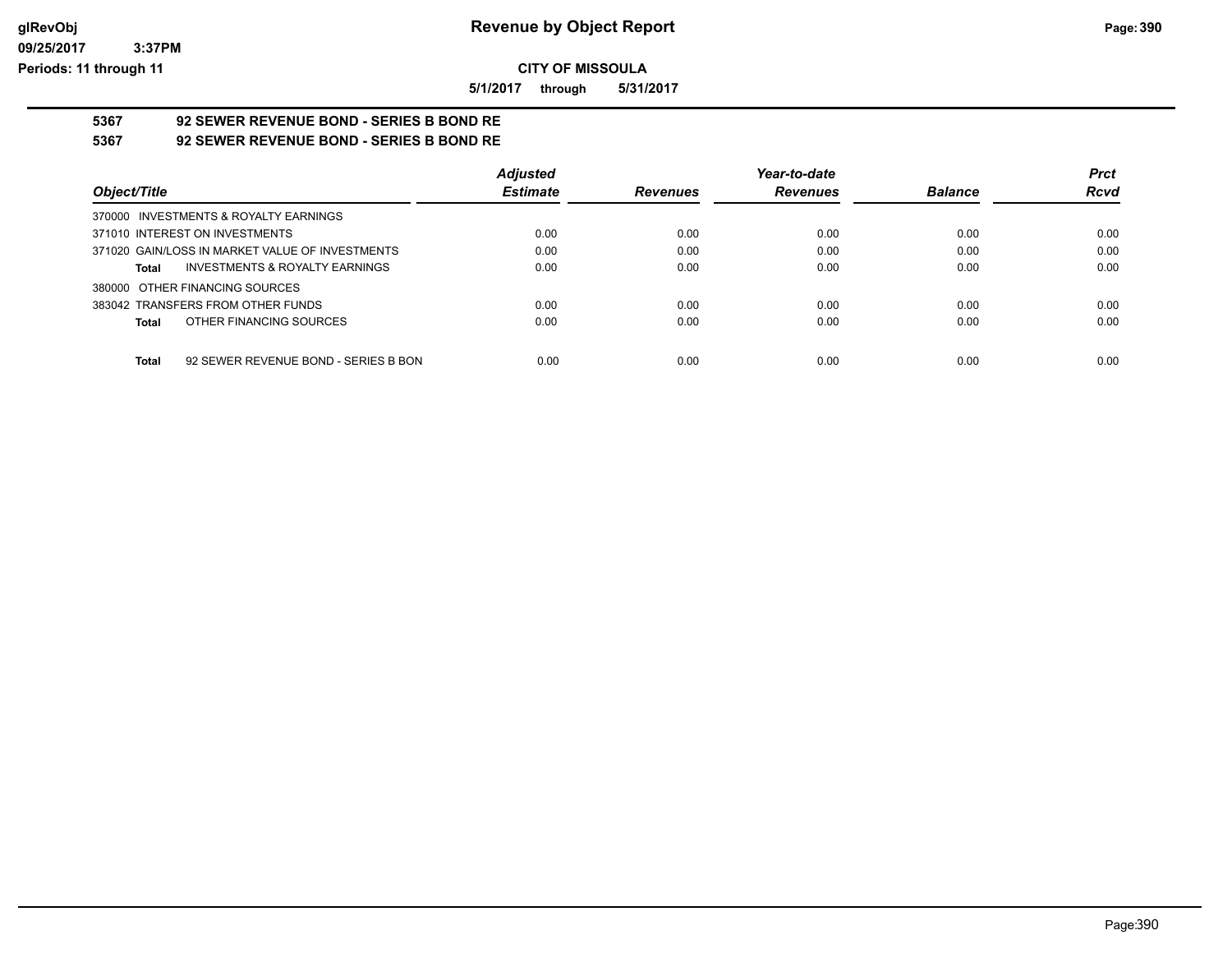**3:37PM**

**CITY OF MISSOULA**

**5/1/2017 through 5/31/2017**

## **5367 92 SEWER REVENUE BOND - SERIES B BOND RE**

**5367 92 SEWER REVENUE BOND - SERIES B BOND RE**

|                                                 | <b>Adjusted</b> |                 | Year-to-date    |                | <b>Prct</b> |
|-------------------------------------------------|-----------------|-----------------|-----------------|----------------|-------------|
| Object/Title                                    | <b>Estimate</b> | <b>Revenues</b> | <b>Revenues</b> | <b>Balance</b> | <b>Rcvd</b> |
| 370000 INVESTMENTS & ROYALTY EARNINGS           |                 |                 |                 |                |             |
| 371010 INTEREST ON INVESTMENTS                  | 0.00            | 0.00            | 0.00            | 0.00           | 0.00        |
| 371020 GAIN/LOSS IN MARKET VALUE OF INVESTMENTS | 0.00            | 0.00            | 0.00            | 0.00           | 0.00        |
| INVESTMENTS & ROYALTY EARNINGS<br>Total         | 0.00            | 0.00            | 0.00            | 0.00           | 0.00        |
| 380000 OTHER FINANCING SOURCES                  |                 |                 |                 |                |             |
| 383042 TRANSFERS FROM OTHER FUNDS               | 0.00            | 0.00            | 0.00            | 0.00           | 0.00        |
| OTHER FINANCING SOURCES<br>Total                | 0.00            | 0.00            | 0.00            | 0.00           | 0.00        |
|                                                 |                 |                 |                 |                |             |
| Total<br>92 SEWER REVENUE BOND - SERIES B BON   | 0.00            | 0.00            | 0.00            | 0.00           | 0.00        |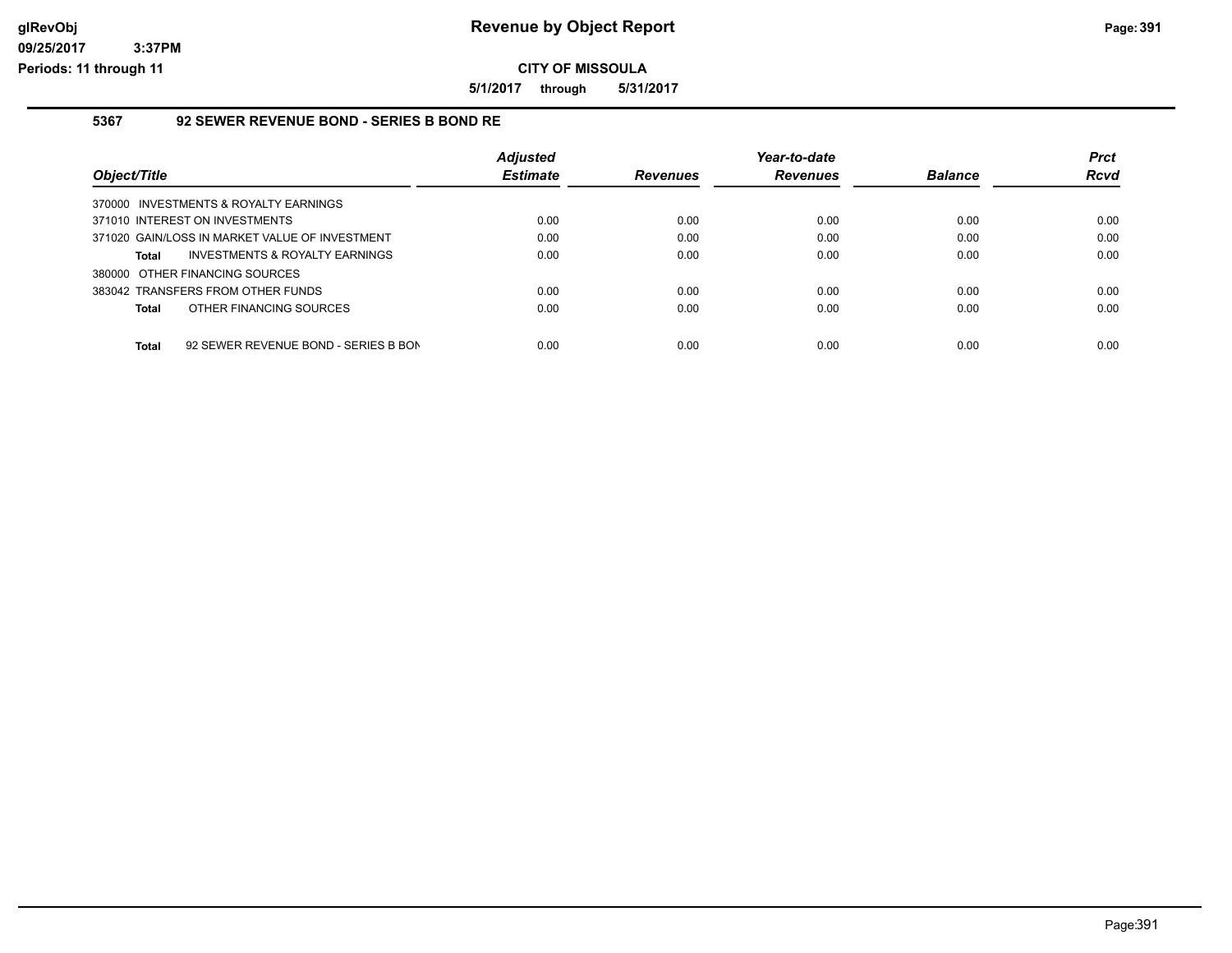**5/1/2017 through 5/31/2017**

#### **5367 92 SEWER REVENUE BOND - SERIES B BOND RE**

| Object/Title                                         | <b>Adjusted</b><br><b>Estimate</b> | <b>Revenues</b> | Year-to-date<br><b>Revenues</b> | <b>Balance</b> | <b>Prct</b><br><b>Rcvd</b> |
|------------------------------------------------------|------------------------------------|-----------------|---------------------------------|----------------|----------------------------|
| 370000 INVESTMENTS & ROYALTY EARNINGS                |                                    |                 |                                 |                |                            |
| 371010 INTEREST ON INVESTMENTS                       | 0.00                               | 0.00            | 0.00                            | 0.00           | 0.00                       |
| 371020 GAIN/LOSS IN MARKET VALUE OF INVESTMENT       | 0.00                               | 0.00            | 0.00                            | 0.00           | 0.00                       |
| INVESTMENTS & ROYALTY EARNINGS<br>Total              | 0.00                               | 0.00            | 0.00                            | 0.00           | 0.00                       |
| 380000 OTHER FINANCING SOURCES                       |                                    |                 |                                 |                |                            |
| 383042 TRANSFERS FROM OTHER FUNDS                    | 0.00                               | 0.00            | 0.00                            | 0.00           | 0.00                       |
| OTHER FINANCING SOURCES<br>Total                     | 0.00                               | 0.00            | 0.00                            | 0.00           | 0.00                       |
|                                                      |                                    |                 |                                 |                |                            |
| <b>Total</b><br>92 SEWER REVENUE BOND - SERIES B BON | 0.00                               | 0.00            | 0.00                            | 0.00           | 0.00                       |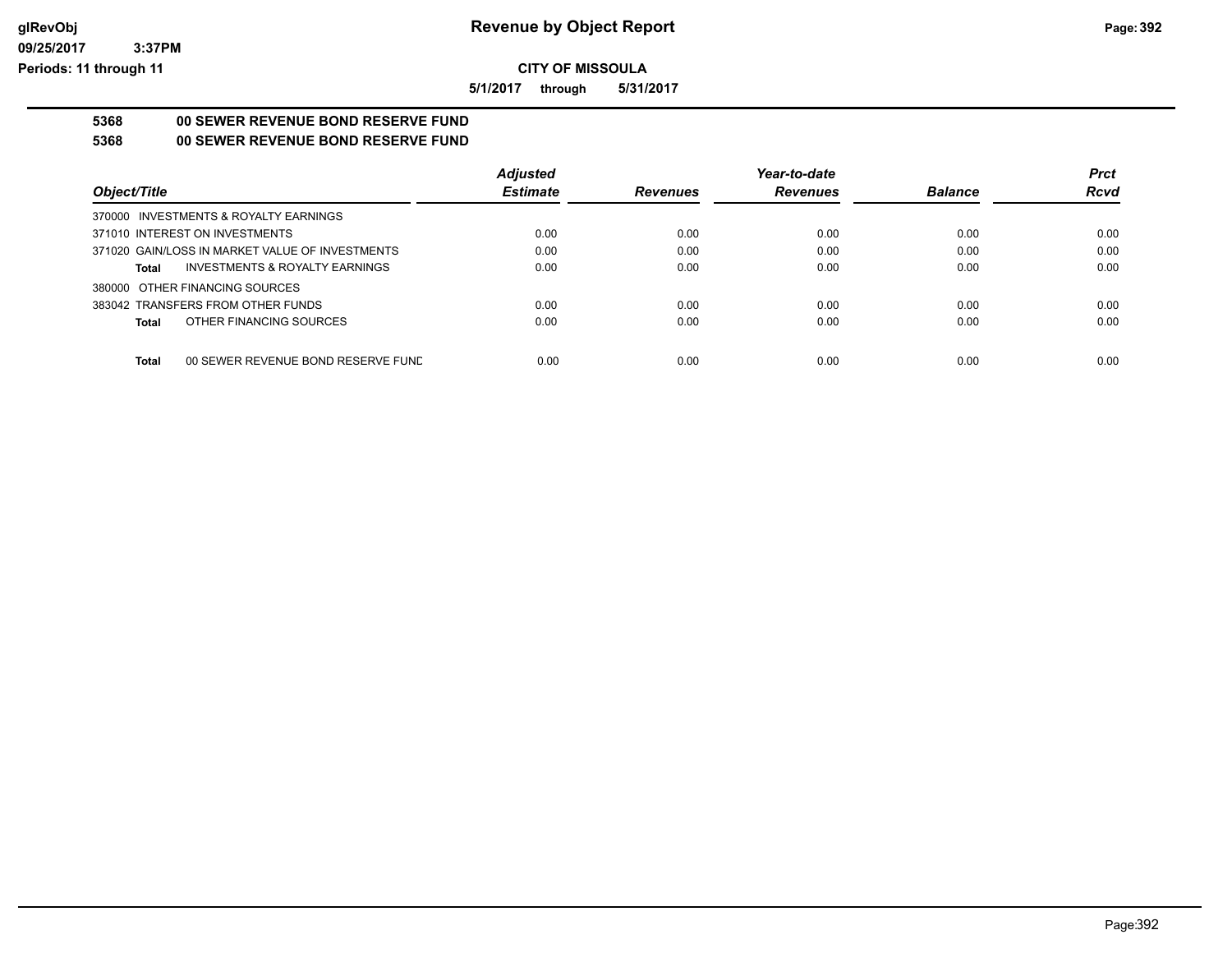**5/1/2017 through 5/31/2017**

## **5368 00 SEWER REVENUE BOND RESERVE FUND**

### **5368 00 SEWER REVENUE BOND RESERVE FUND**

|                                                 | <b>Adjusted</b> |                 | Year-to-date    |                | <b>Prct</b> |
|-------------------------------------------------|-----------------|-----------------|-----------------|----------------|-------------|
| Object/Title                                    | <b>Estimate</b> | <b>Revenues</b> | <b>Revenues</b> | <b>Balance</b> | <b>Rcvd</b> |
| 370000 INVESTMENTS & ROYALTY EARNINGS           |                 |                 |                 |                |             |
| 371010 INTEREST ON INVESTMENTS                  | 0.00            | 0.00            | 0.00            | 0.00           | 0.00        |
| 371020 GAIN/LOSS IN MARKET VALUE OF INVESTMENTS | 0.00            | 0.00            | 0.00            | 0.00           | 0.00        |
| INVESTMENTS & ROYALTY EARNINGS<br>Total         | 0.00            | 0.00            | 0.00            | 0.00           | 0.00        |
| 380000 OTHER FINANCING SOURCES                  |                 |                 |                 |                |             |
| 383042 TRANSFERS FROM OTHER FUNDS               | 0.00            | 0.00            | 0.00            | 0.00           | 0.00        |
| OTHER FINANCING SOURCES<br>Total                | 0.00            | 0.00            | 0.00            | 0.00           | 0.00        |
|                                                 |                 |                 |                 |                |             |
| 00 SEWER REVENUE BOND RESERVE FUND<br>Total     | 0.00            | 0.00            | 0.00            | 0.00           | 0.00        |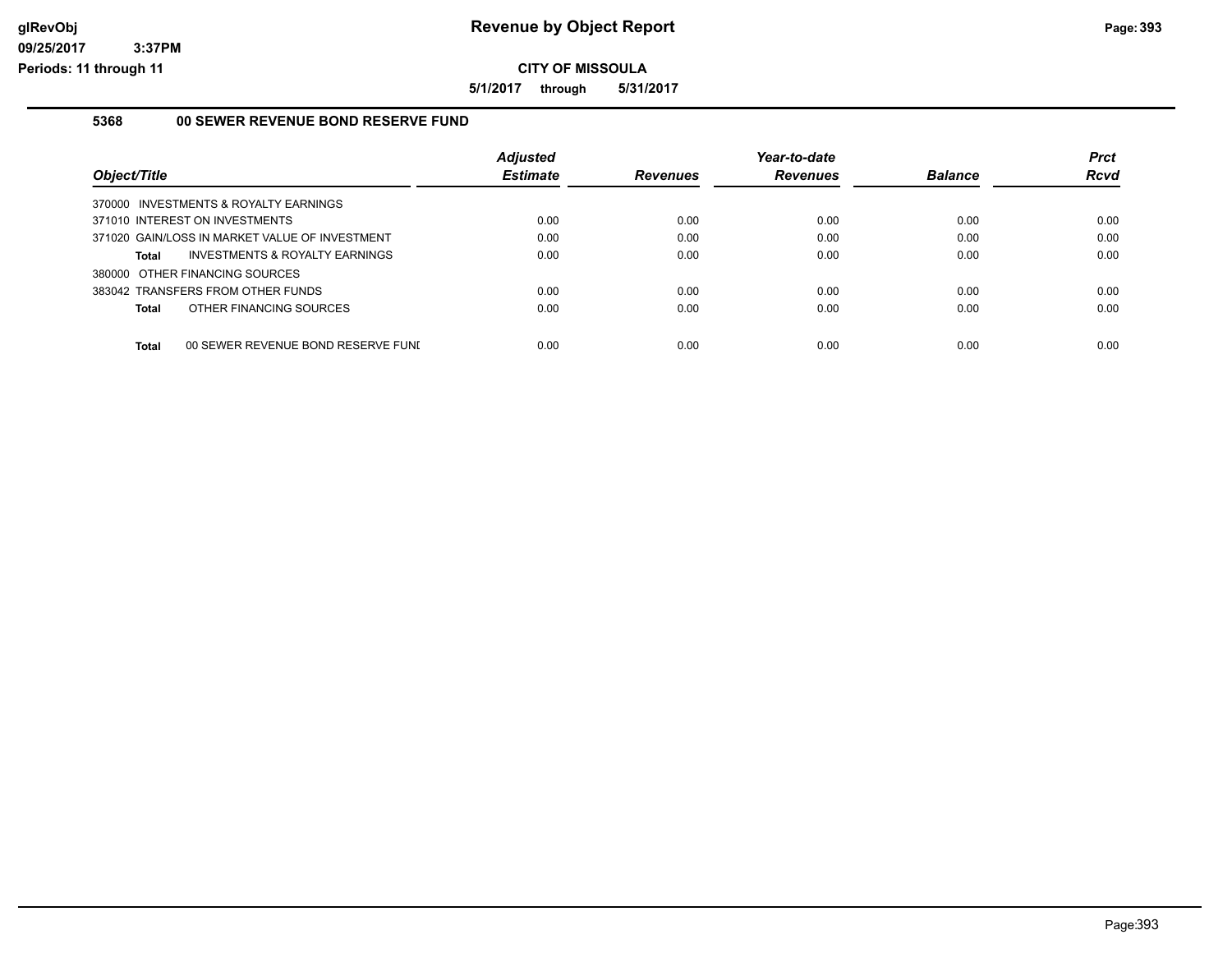**5/1/2017 through 5/31/2017**

#### **5368 00 SEWER REVENUE BOND RESERVE FUND**

|                                                | <b>Adjusted</b> |                 | Year-to-date    |                | <b>Prct</b> |
|------------------------------------------------|-----------------|-----------------|-----------------|----------------|-------------|
| Object/Title                                   | <b>Estimate</b> | <b>Revenues</b> | <b>Revenues</b> | <b>Balance</b> | <b>Rcvd</b> |
| 370000 INVESTMENTS & ROYALTY EARNINGS          |                 |                 |                 |                |             |
| 371010 INTEREST ON INVESTMENTS                 | 0.00            | 0.00            | 0.00            | 0.00           | 0.00        |
| 371020 GAIN/LOSS IN MARKET VALUE OF INVESTMENT | 0.00            | 0.00            | 0.00            | 0.00           | 0.00        |
| INVESTMENTS & ROYALTY EARNINGS<br>Total        | 0.00            | 0.00            | 0.00            | 0.00           | 0.00        |
| 380000 OTHER FINANCING SOURCES                 |                 |                 |                 |                |             |
| 383042 TRANSFERS FROM OTHER FUNDS              | 0.00            | 0.00            | 0.00            | 0.00           | 0.00        |
| OTHER FINANCING SOURCES<br>Total               | 0.00            | 0.00            | 0.00            | 0.00           | 0.00        |
|                                                |                 |                 |                 |                |             |
| Total<br>00 SEWER REVENUE BOND RESERVE FUNI    | 0.00            | 0.00            | 0.00            | 0.00           | 0.00        |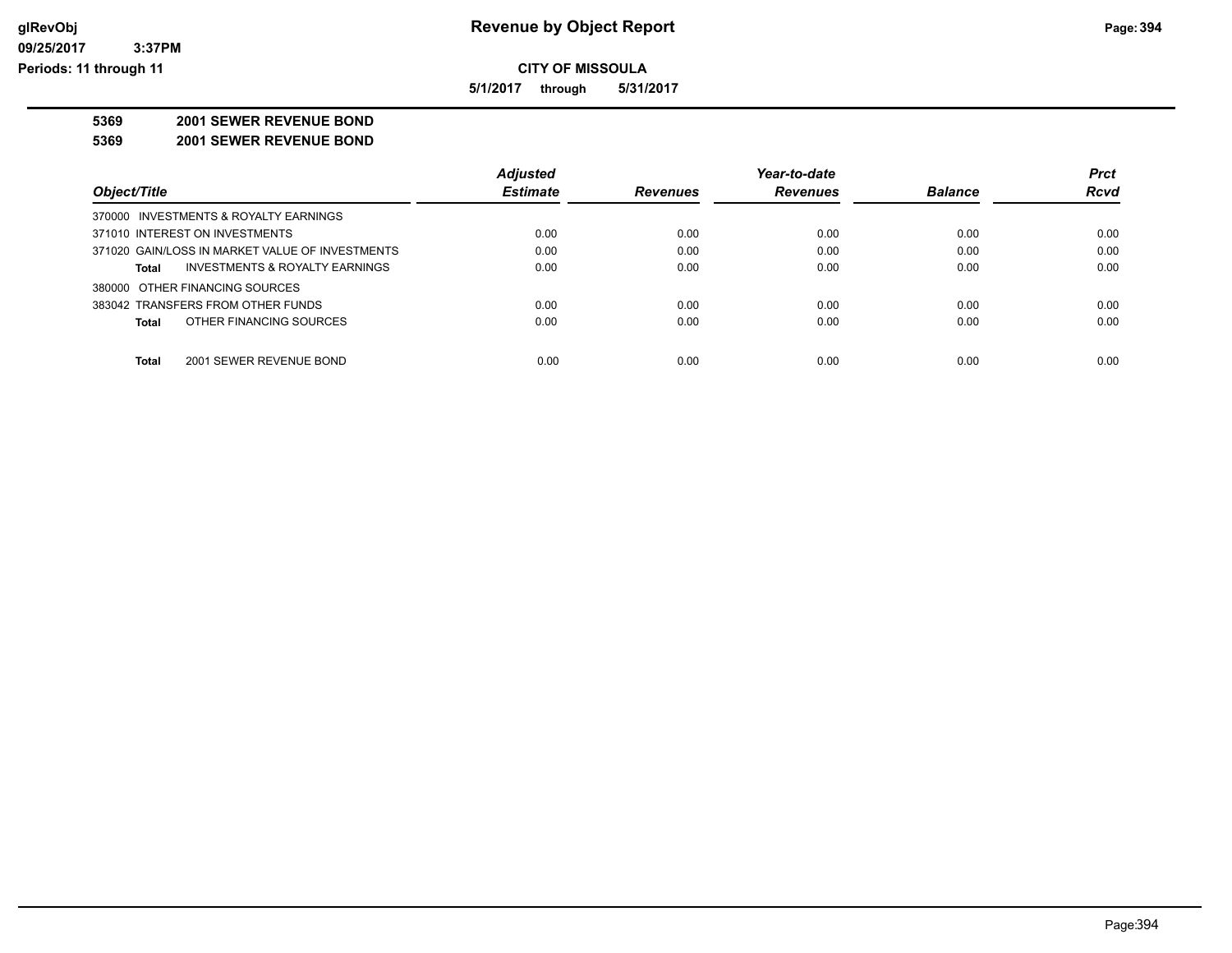**5/1/2017 through 5/31/2017**

#### **5369 2001 SEWER REVENUE BOND**

**5369 2001 SEWER REVENUE BOND**

|                                                 | <b>Adjusted</b> |                 | Year-to-date    |                | <b>Prct</b> |
|-------------------------------------------------|-----------------|-----------------|-----------------|----------------|-------------|
| Object/Title                                    | <b>Estimate</b> | <b>Revenues</b> | <b>Revenues</b> | <b>Balance</b> | <b>Rcvd</b> |
| 370000 INVESTMENTS & ROYALTY EARNINGS           |                 |                 |                 |                |             |
| 371010 INTEREST ON INVESTMENTS                  | 0.00            | 0.00            | 0.00            | 0.00           | 0.00        |
| 371020 GAIN/LOSS IN MARKET VALUE OF INVESTMENTS | 0.00            | 0.00            | 0.00            | 0.00           | 0.00        |
| INVESTMENTS & ROYALTY EARNINGS<br>Total         | 0.00            | 0.00            | 0.00            | 0.00           | 0.00        |
| 380000 OTHER FINANCING SOURCES                  |                 |                 |                 |                |             |
| 383042 TRANSFERS FROM OTHER FUNDS               | 0.00            | 0.00            | 0.00            | 0.00           | 0.00        |
| OTHER FINANCING SOURCES<br>Total                | 0.00            | 0.00            | 0.00            | 0.00           | 0.00        |
|                                                 |                 |                 |                 |                |             |
| 2001 SEWER REVENUE BOND<br><b>Total</b>         | 0.00            | 0.00            | 0.00            | 0.00           | 0.00        |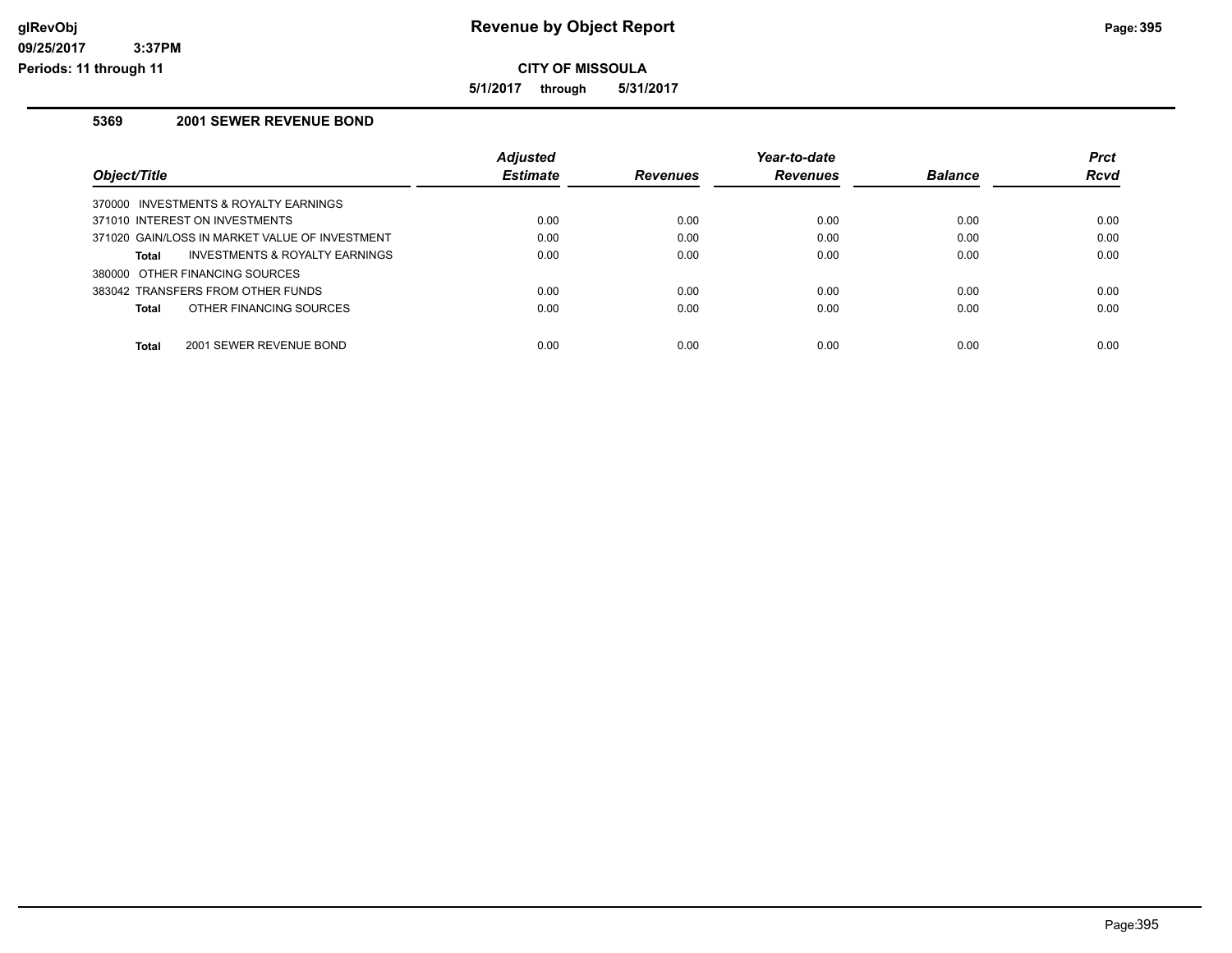**CITY OF MISSOULA**

**5/1/2017 through 5/31/2017**

#### **5369 2001 SEWER REVENUE BOND**

 **3:37PM**

|                                                | <b>Adjusted</b> |                 | Year-to-date    |                | <b>Prct</b> |
|------------------------------------------------|-----------------|-----------------|-----------------|----------------|-------------|
| Object/Title                                   | <b>Estimate</b> | <b>Revenues</b> | <b>Revenues</b> | <b>Balance</b> | <b>Rcvd</b> |
| INVESTMENTS & ROYALTY EARNINGS<br>370000       |                 |                 |                 |                |             |
| 371010 INTEREST ON INVESTMENTS                 | 0.00            | 0.00            | 0.00            | 0.00           | 0.00        |
| 371020 GAIN/LOSS IN MARKET VALUE OF INVESTMENT | 0.00            | 0.00            | 0.00            | 0.00           | 0.00        |
| INVESTMENTS & ROYALTY EARNINGS<br>Total        | 0.00            | 0.00            | 0.00            | 0.00           | 0.00        |
| 380000 OTHER FINANCING SOURCES                 |                 |                 |                 |                |             |
| 383042 TRANSFERS FROM OTHER FUNDS              | 0.00            | 0.00            | 0.00            | 0.00           | 0.00        |
| OTHER FINANCING SOURCES<br>Total               | 0.00            | 0.00            | 0.00            | 0.00           | 0.00        |
| Total<br>2001 SEWER REVENUE BOND               | 0.00            | 0.00            | 0.00            | 0.00           | 0.00        |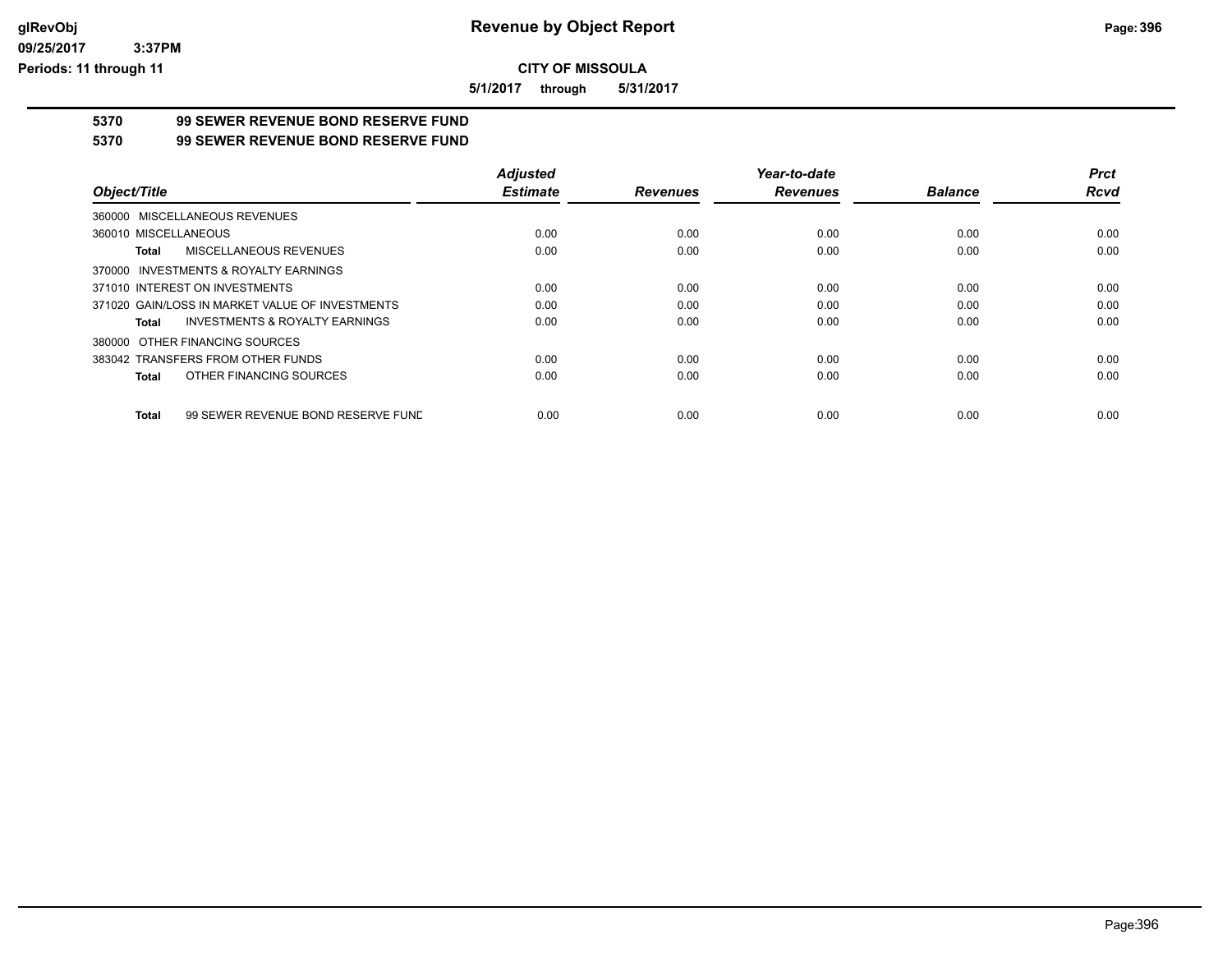**5/1/2017 through 5/31/2017**

### **5370 99 SEWER REVENUE BOND RESERVE FUND**

### **5370 99 SEWER REVENUE BOND RESERVE FUND**

|                                                    | <b>Adjusted</b> |                 | Year-to-date    |                | <b>Prct</b> |
|----------------------------------------------------|-----------------|-----------------|-----------------|----------------|-------------|
| Object/Title                                       | <b>Estimate</b> | <b>Revenues</b> | <b>Revenues</b> | <b>Balance</b> | Rcvd        |
| 360000 MISCELLANEOUS REVENUES                      |                 |                 |                 |                |             |
| 360010 MISCELLANEOUS                               | 0.00            | 0.00            | 0.00            | 0.00           | 0.00        |
| MISCELLANEOUS REVENUES<br>Total                    | 0.00            | 0.00            | 0.00            | 0.00           | 0.00        |
| 370000 INVESTMENTS & ROYALTY EARNINGS              |                 |                 |                 |                |             |
| 371010 INTEREST ON INVESTMENTS                     | 0.00            | 0.00            | 0.00            | 0.00           | 0.00        |
| 371020 GAIN/LOSS IN MARKET VALUE OF INVESTMENTS    | 0.00            | 0.00            | 0.00            | 0.00           | 0.00        |
| <b>INVESTMENTS &amp; ROYALTY EARNINGS</b><br>Total | 0.00            | 0.00            | 0.00            | 0.00           | 0.00        |
| 380000 OTHER FINANCING SOURCES                     |                 |                 |                 |                |             |
| 383042 TRANSFERS FROM OTHER FUNDS                  | 0.00            | 0.00            | 0.00            | 0.00           | 0.00        |
| OTHER FINANCING SOURCES<br>Total                   | 0.00            | 0.00            | 0.00            | 0.00           | 0.00        |
| 99 SEWER REVENUE BOND RESERVE FUND<br><b>Total</b> | 0.00            | 0.00            | 0.00            | 0.00           | 0.00        |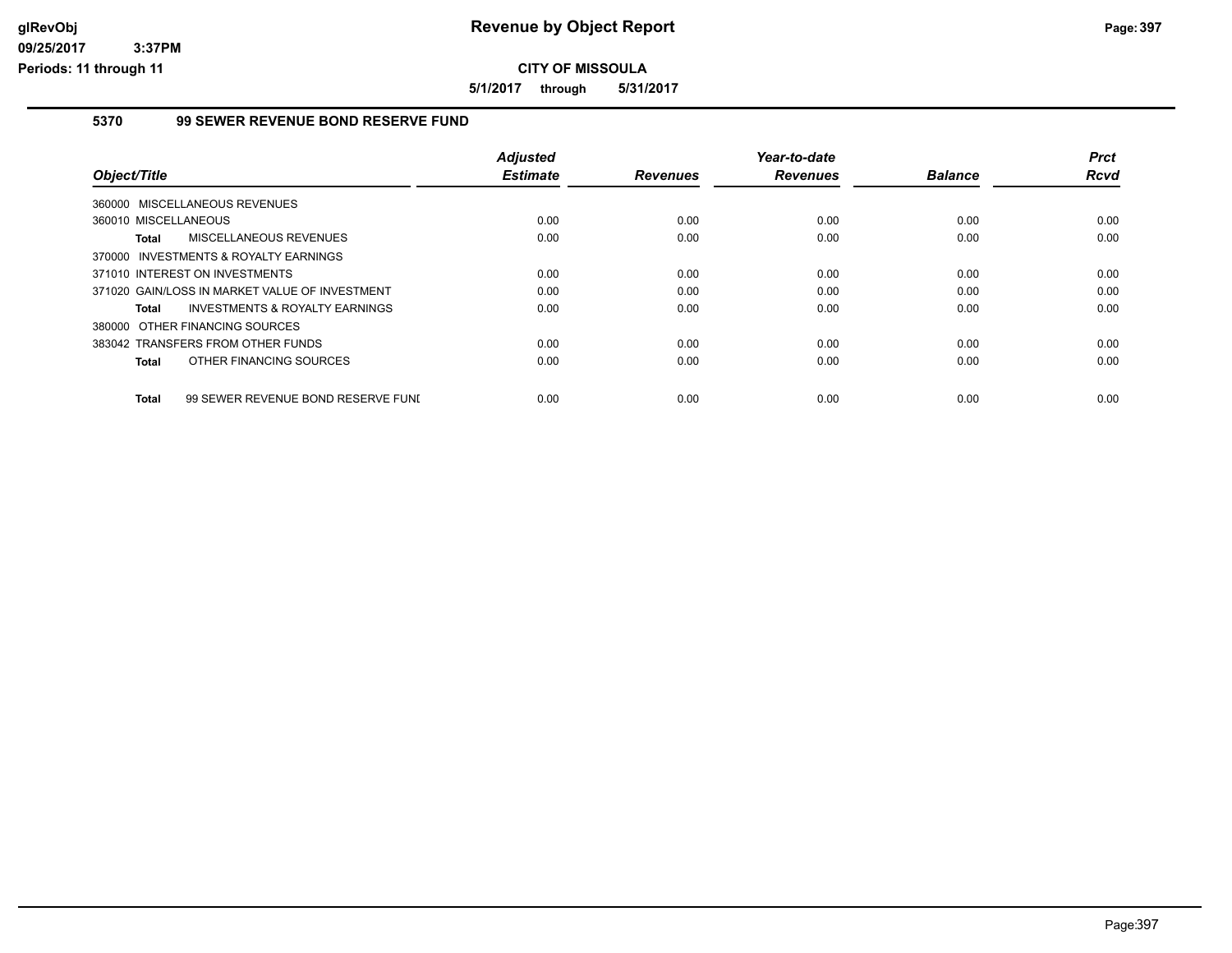**5/1/2017 through 5/31/2017**

#### **5370 99 SEWER REVENUE BOND RESERVE FUND**

|                                                    | <b>Adjusted</b> |                 | Year-to-date    |                | <b>Prct</b> |
|----------------------------------------------------|-----------------|-----------------|-----------------|----------------|-------------|
| Object/Title                                       | <b>Estimate</b> | <b>Revenues</b> | <b>Revenues</b> | <b>Balance</b> | <b>Rcvd</b> |
| 360000 MISCELLANEOUS REVENUES                      |                 |                 |                 |                |             |
| 360010 MISCELLANEOUS                               | 0.00            | 0.00            | 0.00            | 0.00           | 0.00        |
| MISCELLANEOUS REVENUES<br><b>Total</b>             | 0.00            | 0.00            | 0.00            | 0.00           | 0.00        |
| 370000 INVESTMENTS & ROYALTY EARNINGS              |                 |                 |                 |                |             |
| 371010 INTEREST ON INVESTMENTS                     | 0.00            | 0.00            | 0.00            | 0.00           | 0.00        |
| 371020 GAIN/LOSS IN MARKET VALUE OF INVESTMENT     | 0.00            | 0.00            | 0.00            | 0.00           | 0.00        |
| <b>INVESTMENTS &amp; ROYALTY EARNINGS</b><br>Total | 0.00            | 0.00            | 0.00            | 0.00           | 0.00        |
| 380000 OTHER FINANCING SOURCES                     |                 |                 |                 |                |             |
| 383042 TRANSFERS FROM OTHER FUNDS                  | 0.00            | 0.00            | 0.00            | 0.00           | 0.00        |
| OTHER FINANCING SOURCES<br><b>Total</b>            | 0.00            | 0.00            | 0.00            | 0.00           | 0.00        |
| <b>Total</b><br>99 SEWER REVENUE BOND RESERVE FUNI | 0.00            | 0.00            | 0.00            | 0.00           | 0.00        |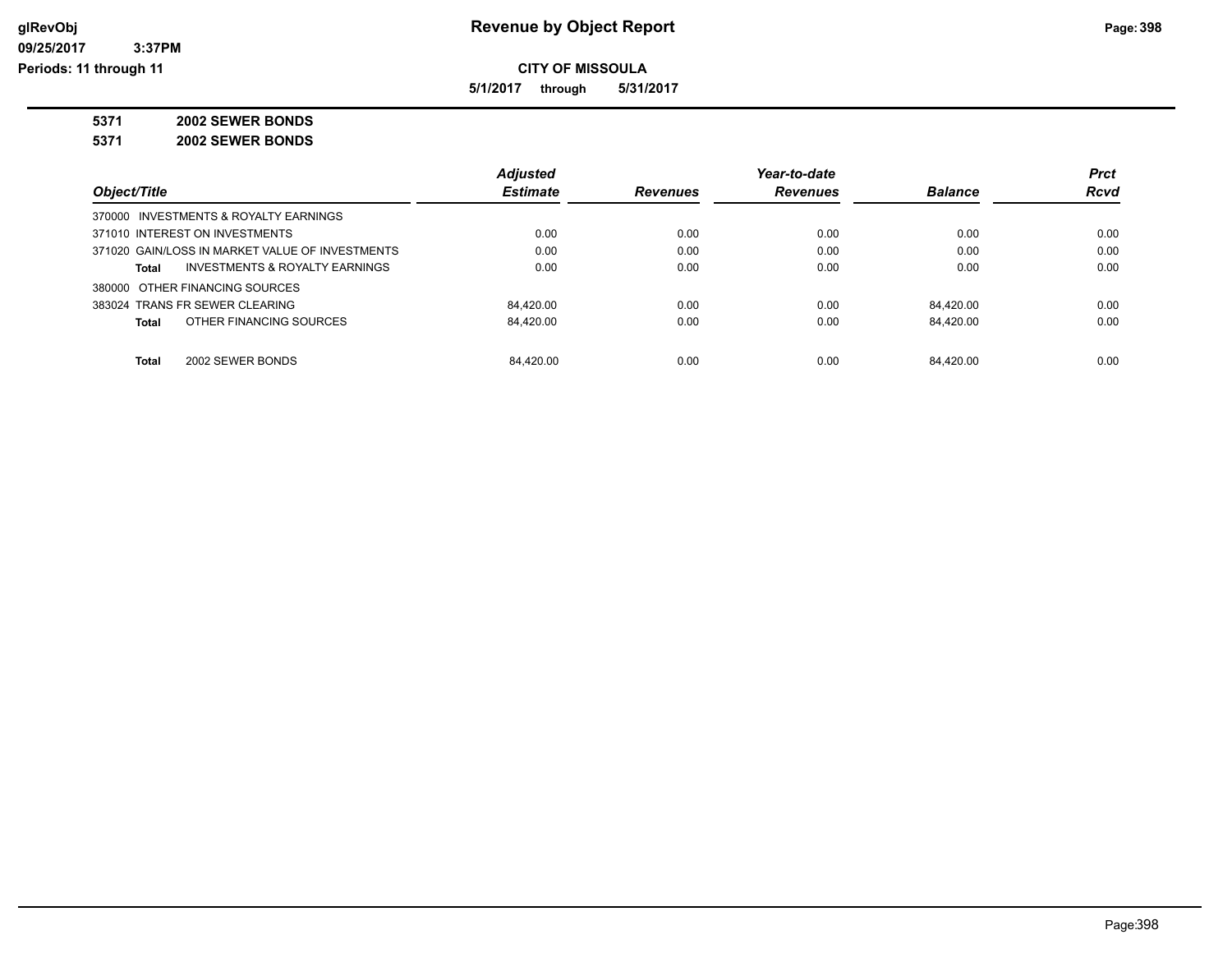**5/1/2017 through 5/31/2017**

**5371 2002 SEWER BONDS**

**5371 2002 SEWER BONDS**

|                                                 | <b>Adjusted</b> |                 | Year-to-date    |                | <b>Prct</b> |
|-------------------------------------------------|-----------------|-----------------|-----------------|----------------|-------------|
| Object/Title                                    | <b>Estimate</b> | <b>Revenues</b> | <b>Revenues</b> | <b>Balance</b> | <b>Rcvd</b> |
| 370000 INVESTMENTS & ROYALTY EARNINGS           |                 |                 |                 |                |             |
| 371010 INTEREST ON INVESTMENTS                  | 0.00            | 0.00            | 0.00            | 0.00           | 0.00        |
| 371020 GAIN/LOSS IN MARKET VALUE OF INVESTMENTS | 0.00            | 0.00            | 0.00            | 0.00           | 0.00        |
| INVESTMENTS & ROYALTY EARNINGS<br><b>Total</b>  | 0.00            | 0.00            | 0.00            | 0.00           | 0.00        |
| 380000 OTHER FINANCING SOURCES                  |                 |                 |                 |                |             |
| 383024 TRANS FR SEWER CLEARING                  | 84.420.00       | 0.00            | 0.00            | 84.420.00      | 0.00        |
| OTHER FINANCING SOURCES<br><b>Total</b>         | 84.420.00       | 0.00            | 0.00            | 84.420.00      | 0.00        |
|                                                 |                 |                 |                 |                |             |
| 2002 SEWER BONDS<br><b>Total</b>                | 84.420.00       | 0.00            | 0.00            | 84.420.00      | 0.00        |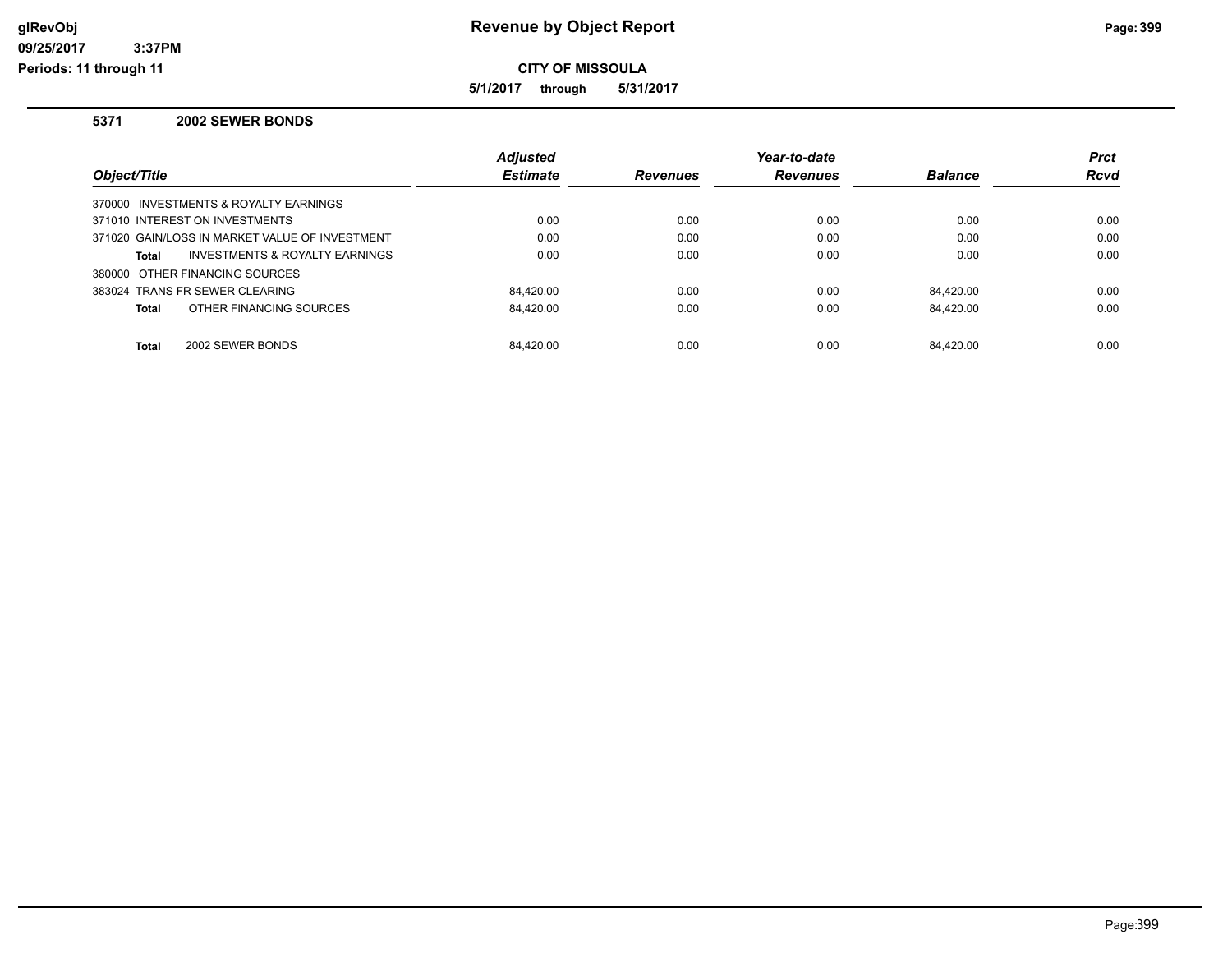**5/1/2017 through 5/31/2017**

#### **5371 2002 SEWER BONDS**

|                                                    | Adjusted        |                 | Year-to-date    |                | <b>Prct</b> |
|----------------------------------------------------|-----------------|-----------------|-----------------|----------------|-------------|
| Object/Title                                       | <b>Estimate</b> | <b>Revenues</b> | <b>Revenues</b> | <b>Balance</b> | <b>Rcvd</b> |
| 370000 INVESTMENTS & ROYALTY EARNINGS              |                 |                 |                 |                |             |
| 371010 INTEREST ON INVESTMENTS                     | 0.00            | 0.00            | 0.00            | 0.00           | 0.00        |
| 371020 GAIN/LOSS IN MARKET VALUE OF INVESTMENT     | 0.00            | 0.00            | 0.00            | 0.00           | 0.00        |
| <b>INVESTMENTS &amp; ROYALTY EARNINGS</b><br>Total | 0.00            | 0.00            | 0.00            | 0.00           | 0.00        |
| 380000 OTHER FINANCING SOURCES                     |                 |                 |                 |                |             |
| 383024 TRANS FR SEWER CLEARING                     | 84.420.00       | 0.00            | 0.00            | 84.420.00      | 0.00        |
| OTHER FINANCING SOURCES<br>Total                   | 84.420.00       | 0.00            | 0.00            | 84.420.00      | 0.00        |
|                                                    |                 |                 |                 |                |             |
| <b>Total</b><br>2002 SEWER BONDS                   | 84.420.00       | 0.00            | 0.00            | 84.420.00      | 0.00        |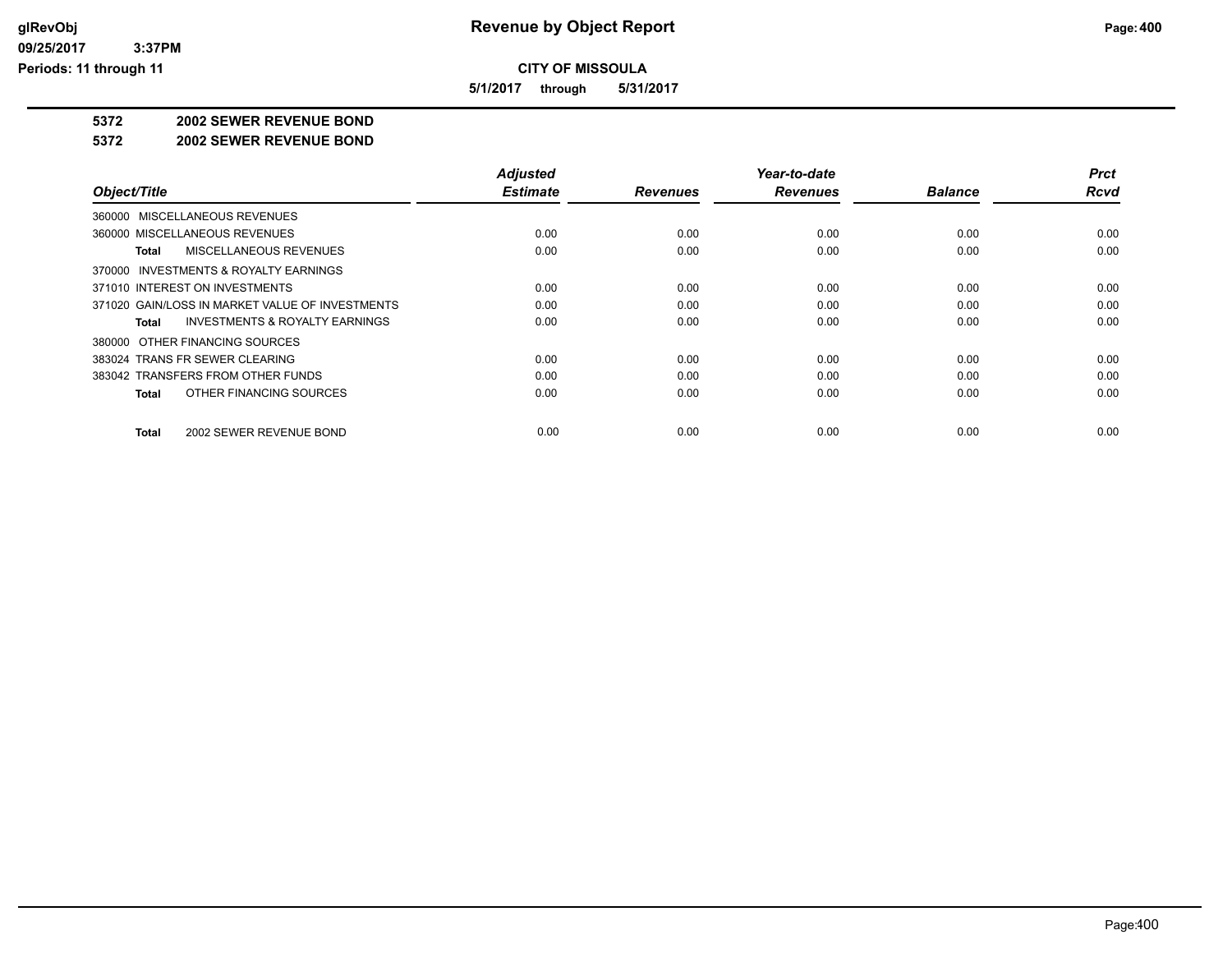**5/1/2017 through 5/31/2017**

#### **5372 2002 SEWER REVENUE BOND**

#### **5372 2002 SEWER REVENUE BOND**

|                                                    | <b>Adjusted</b> |                 | Year-to-date    |                | <b>Prct</b> |
|----------------------------------------------------|-----------------|-----------------|-----------------|----------------|-------------|
| Object/Title                                       | <b>Estimate</b> | <b>Revenues</b> | <b>Revenues</b> | <b>Balance</b> | <b>Rcvd</b> |
| 360000 MISCELLANEOUS REVENUES                      |                 |                 |                 |                |             |
| 360000 MISCELLANEOUS REVENUES                      | 0.00            | 0.00            | 0.00            | 0.00           | 0.00        |
| MISCELLANEOUS REVENUES<br>Total                    | 0.00            | 0.00            | 0.00            | 0.00           | 0.00        |
| 370000 INVESTMENTS & ROYALTY EARNINGS              |                 |                 |                 |                |             |
| 371010 INTEREST ON INVESTMENTS                     | 0.00            | 0.00            | 0.00            | 0.00           | 0.00        |
| 371020 GAIN/LOSS IN MARKET VALUE OF INVESTMENTS    | 0.00            | 0.00            | 0.00            | 0.00           | 0.00        |
| <b>INVESTMENTS &amp; ROYALTY EARNINGS</b><br>Total | 0.00            | 0.00            | 0.00            | 0.00           | 0.00        |
| 380000 OTHER FINANCING SOURCES                     |                 |                 |                 |                |             |
| 383024 TRANS FR SEWER CLEARING                     | 0.00            | 0.00            | 0.00            | 0.00           | 0.00        |
| 383042 TRANSFERS FROM OTHER FUNDS                  | 0.00            | 0.00            | 0.00            | 0.00           | 0.00        |
| OTHER FINANCING SOURCES<br>Total                   | 0.00            | 0.00            | 0.00            | 0.00           | 0.00        |
| 2002 SEWER REVENUE BOND<br>Total                   | 0.00            | 0.00            | 0.00            | 0.00           | 0.00        |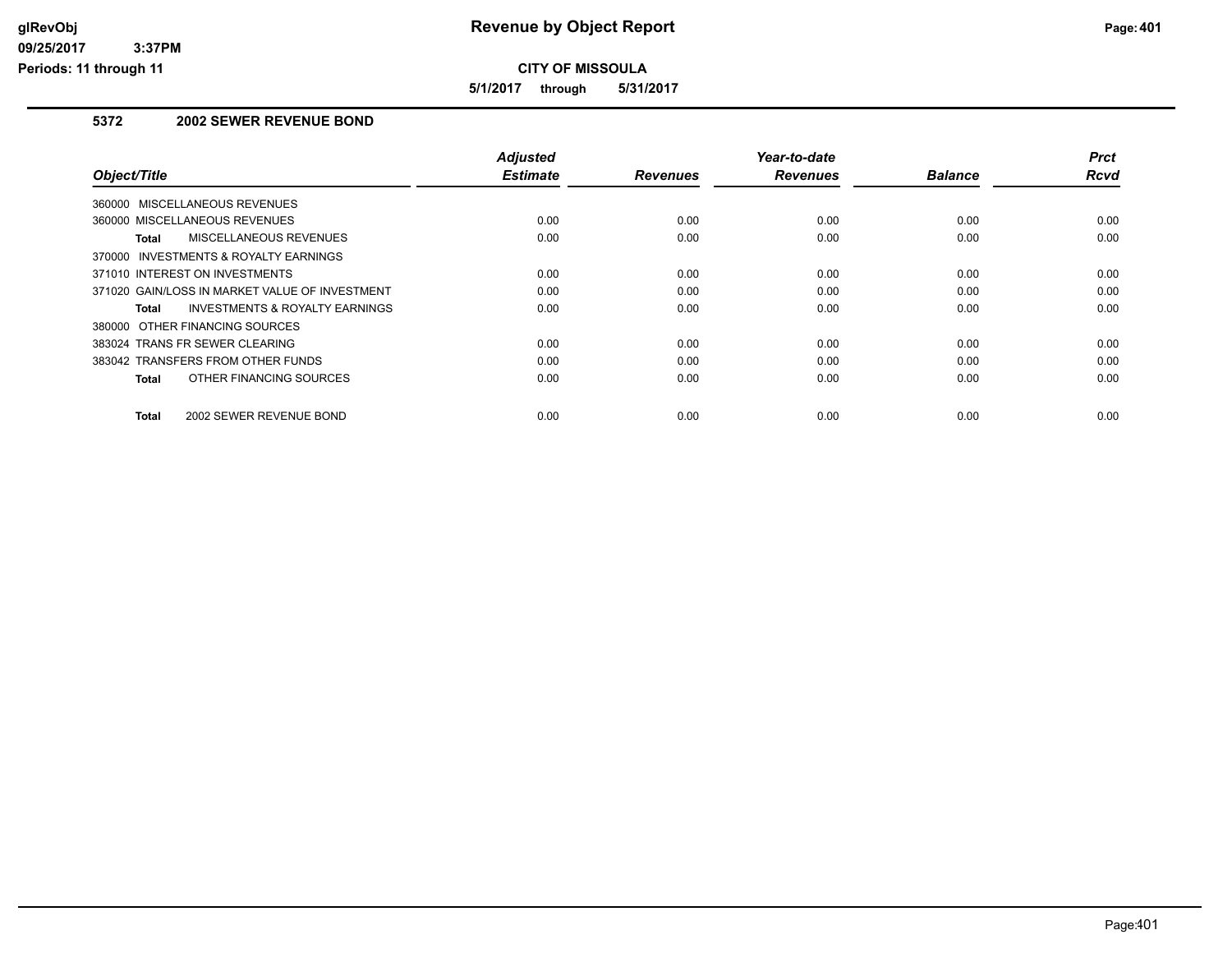**5/1/2017 through 5/31/2017**

## **5372 2002 SEWER REVENUE BOND**

| Object/Title                                       | Adjusted<br><b>Estimate</b> | <b>Revenues</b> | Year-to-date<br><b>Revenues</b> | <b>Balance</b> | <b>Prct</b><br><b>Rcvd</b> |
|----------------------------------------------------|-----------------------------|-----------------|---------------------------------|----------------|----------------------------|
| 360000 MISCELLANEOUS REVENUES                      |                             |                 |                                 |                |                            |
| 360000 MISCELLANEOUS REVENUES                      | 0.00                        | 0.00            | 0.00                            | 0.00           | 0.00                       |
| MISCELLANEOUS REVENUES<br>Total                    | 0.00                        | 0.00            | 0.00                            | 0.00           | 0.00                       |
| 370000 INVESTMENTS & ROYALTY EARNINGS              |                             |                 |                                 |                |                            |
| 371010 INTEREST ON INVESTMENTS                     | 0.00                        | 0.00            | 0.00                            | 0.00           | 0.00                       |
| 371020 GAIN/LOSS IN MARKET VALUE OF INVESTMENT     | 0.00                        | 0.00            | 0.00                            | 0.00           | 0.00                       |
| <b>INVESTMENTS &amp; ROYALTY EARNINGS</b><br>Total | 0.00                        | 0.00            | 0.00                            | 0.00           | 0.00                       |
| 380000 OTHER FINANCING SOURCES                     |                             |                 |                                 |                |                            |
| 383024 TRANS FR SEWER CLEARING                     | 0.00                        | 0.00            | 0.00                            | 0.00           | 0.00                       |
| 383042 TRANSFERS FROM OTHER FUNDS                  | 0.00                        | 0.00            | 0.00                            | 0.00           | 0.00                       |
| OTHER FINANCING SOURCES<br>Total                   | 0.00                        | 0.00            | 0.00                            | 0.00           | 0.00                       |
| 2002 SEWER REVENUE BOND<br><b>Total</b>            | 0.00                        | 0.00            | 0.00                            | 0.00           | 0.00                       |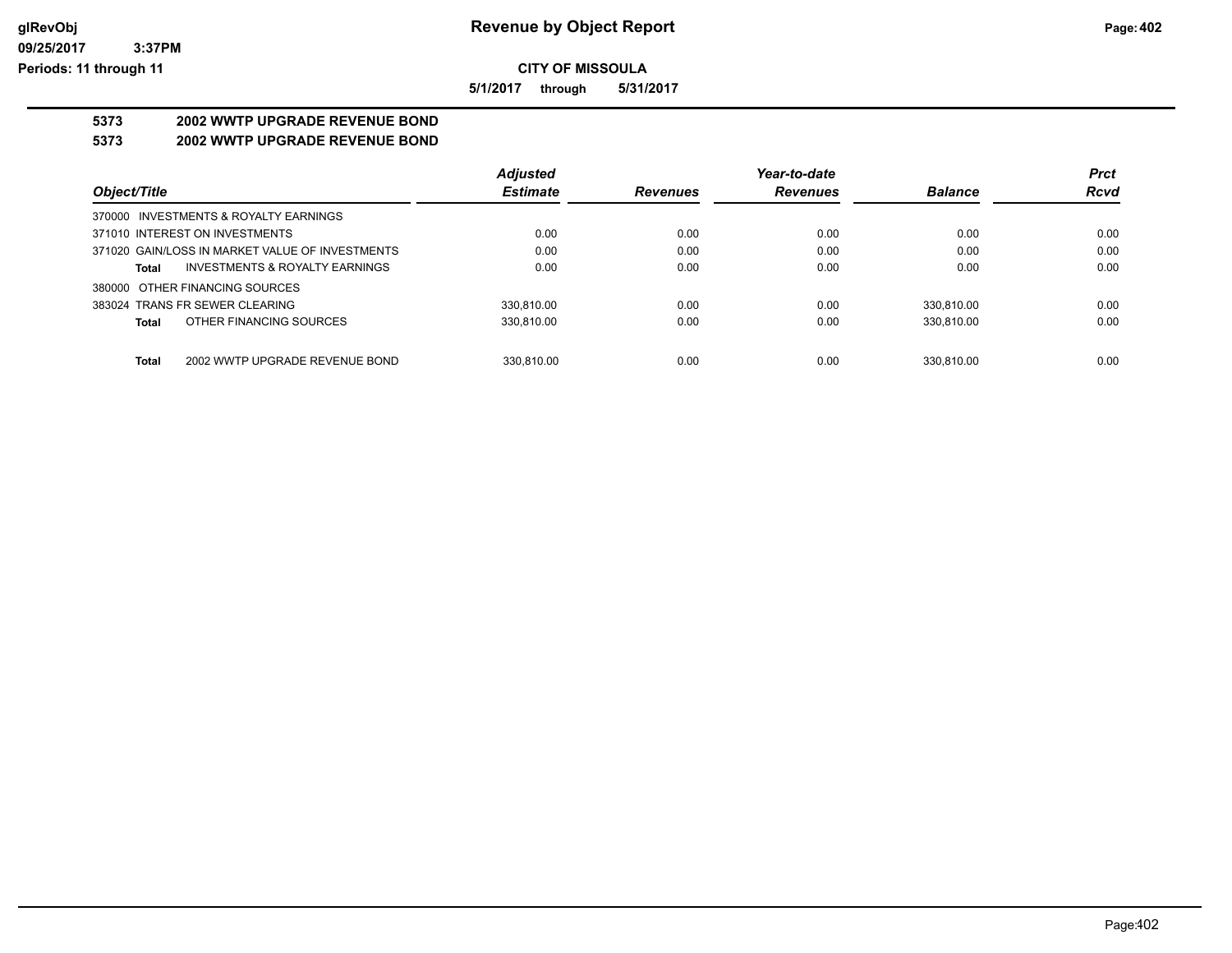**5/1/2017 through 5/31/2017**

# **5373 2002 WWTP UPGRADE REVENUE BOND**

# **5373 2002 WWTP UPGRADE REVENUE BOND**

|                                                 | <b>Adjusted</b> |                 | Year-to-date    |                | <b>Prct</b> |
|-------------------------------------------------|-----------------|-----------------|-----------------|----------------|-------------|
| Object/Title                                    | <b>Estimate</b> | <b>Revenues</b> | <b>Revenues</b> | <b>Balance</b> | <b>Rcvd</b> |
| 370000 INVESTMENTS & ROYALTY EARNINGS           |                 |                 |                 |                |             |
| 371010 INTEREST ON INVESTMENTS                  | 0.00            | 0.00            | 0.00            | 0.00           | 0.00        |
| 371020 GAIN/LOSS IN MARKET VALUE OF INVESTMENTS | 0.00            | 0.00            | 0.00            | 0.00           | 0.00        |
| INVESTMENTS & ROYALTY EARNINGS<br>Total         | 0.00            | 0.00            | 0.00            | 0.00           | 0.00        |
| 380000 OTHER FINANCING SOURCES                  |                 |                 |                 |                |             |
| 383024 TRANS FR SEWER CLEARING                  | 330.810.00      | 0.00            | 0.00            | 330.810.00     | 0.00        |
| OTHER FINANCING SOURCES<br>Total                | 330.810.00      | 0.00            | 0.00            | 330.810.00     | 0.00        |
|                                                 |                 |                 |                 |                |             |
| 2002 WWTP UPGRADE REVENUE BOND<br>Total         | 330.810.00      | 0.00            | 0.00            | 330.810.00     | 0.00        |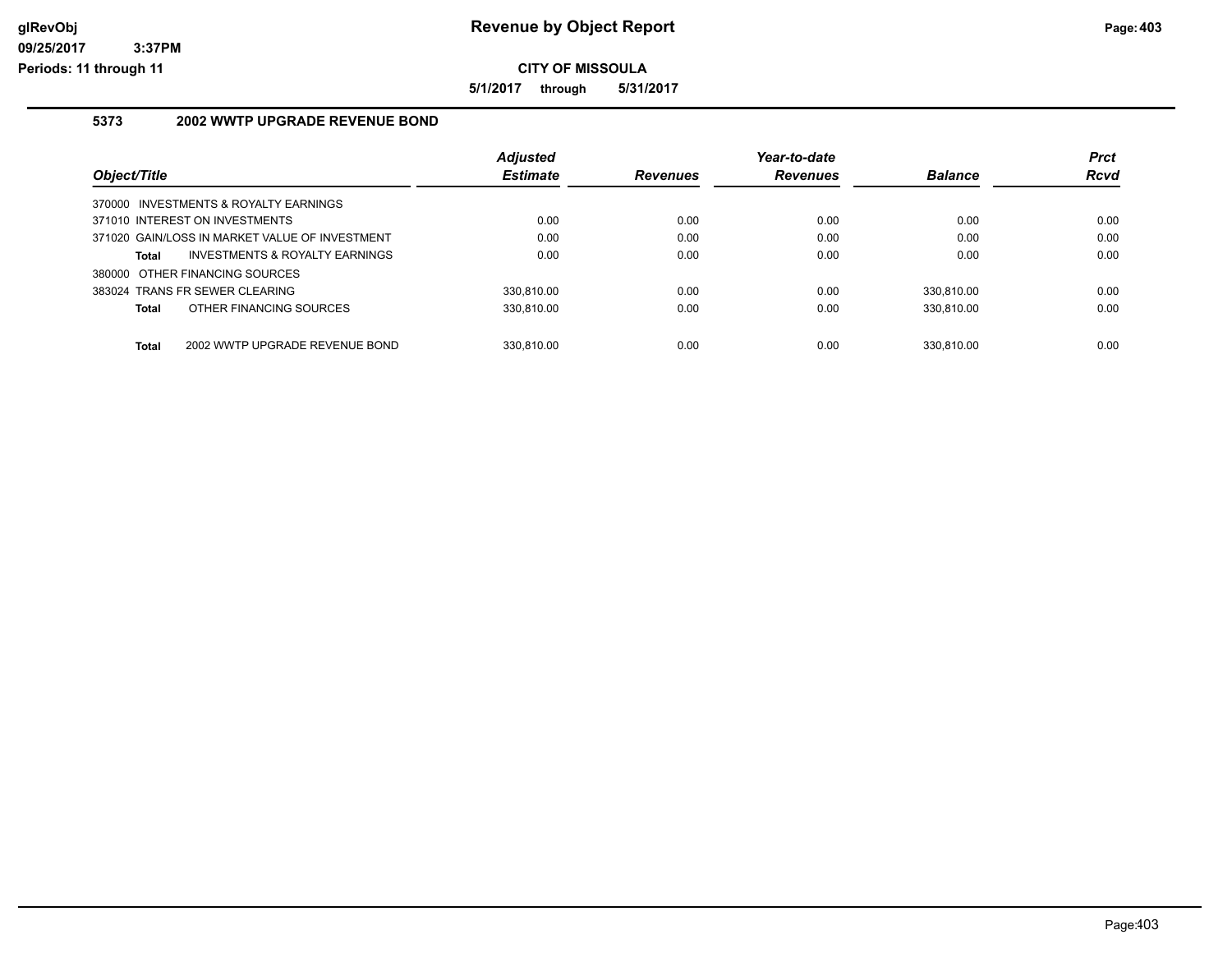**5/1/2017 through 5/31/2017**

#### **5373 2002 WWTP UPGRADE REVENUE BOND**

|                                                | <b>Adjusted</b> |                 | Year-to-date    |                | <b>Prct</b> |
|------------------------------------------------|-----------------|-----------------|-----------------|----------------|-------------|
| Object/Title                                   | <b>Estimate</b> | <b>Revenues</b> | <b>Revenues</b> | <b>Balance</b> | <b>Rcvd</b> |
| 370000 INVESTMENTS & ROYALTY EARNINGS          |                 |                 |                 |                |             |
| 371010 INTEREST ON INVESTMENTS                 | 0.00            | 0.00            | 0.00            | 0.00           | 0.00        |
| 371020 GAIN/LOSS IN MARKET VALUE OF INVESTMENT | 0.00            | 0.00            | 0.00            | 0.00           | 0.00        |
| INVESTMENTS & ROYALTY EARNINGS<br>Total        | 0.00            | 0.00            | 0.00            | 0.00           | 0.00        |
| 380000 OTHER FINANCING SOURCES                 |                 |                 |                 |                |             |
| 383024 TRANS FR SEWER CLEARING                 | 330.810.00      | 0.00            | 0.00            | 330.810.00     | 0.00        |
| OTHER FINANCING SOURCES<br>Total               | 330.810.00      | 0.00            | 0.00            | 330.810.00     | 0.00        |
|                                                |                 |                 |                 |                |             |
| <b>Total</b><br>2002 WWTP UPGRADE REVENUE BOND | 330.810.00      | 0.00            | 0.00            | 330.810.00     | 0.00        |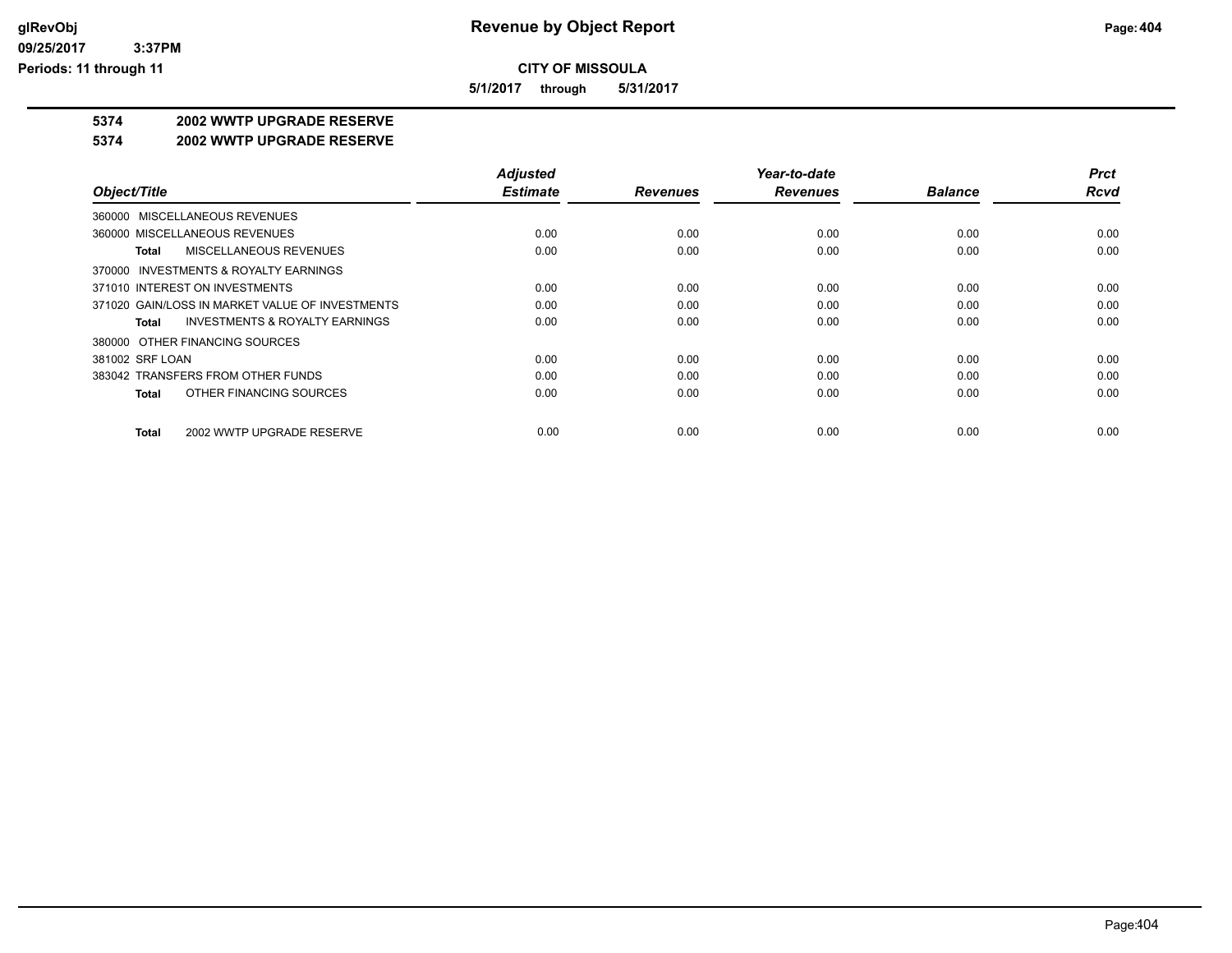**5/1/2017 through 5/31/2017**

**5374 2002 WWTP UPGRADE RESERVE**

#### **5374 2002 WWTP UPGRADE RESERVE**

|                                                    | <b>Adjusted</b><br><b>Estimate</b> |                 | Year-to-date    | <b>Balance</b> | <b>Prct</b><br><b>Rcvd</b> |
|----------------------------------------------------|------------------------------------|-----------------|-----------------|----------------|----------------------------|
| Object/Title                                       |                                    | <b>Revenues</b> | <b>Revenues</b> |                |                            |
| 360000 MISCELLANEOUS REVENUES                      |                                    |                 |                 |                |                            |
| 360000 MISCELLANEOUS REVENUES                      | 0.00                               | 0.00            | 0.00            | 0.00           | 0.00                       |
| MISCELLANEOUS REVENUES<br>Total                    | 0.00                               | 0.00            | 0.00            | 0.00           | 0.00                       |
| 370000 INVESTMENTS & ROYALTY EARNINGS              |                                    |                 |                 |                |                            |
| 371010 INTEREST ON INVESTMENTS                     | 0.00                               | 0.00            | 0.00            | 0.00           | 0.00                       |
| 371020 GAIN/LOSS IN MARKET VALUE OF INVESTMENTS    | 0.00                               | 0.00            | 0.00            | 0.00           | 0.00                       |
| <b>INVESTMENTS &amp; ROYALTY EARNINGS</b><br>Total | 0.00                               | 0.00            | 0.00            | 0.00           | 0.00                       |
| 380000 OTHER FINANCING SOURCES                     |                                    |                 |                 |                |                            |
| 381002 SRF LOAN                                    | 0.00                               | 0.00            | 0.00            | 0.00           | 0.00                       |
| 383042 TRANSFERS FROM OTHER FUNDS                  | 0.00                               | 0.00            | 0.00            | 0.00           | 0.00                       |
| OTHER FINANCING SOURCES<br>Total                   | 0.00                               | 0.00            | 0.00            | 0.00           | 0.00                       |
| 2002 WWTP UPGRADE RESERVE<br>Total                 | 0.00                               | 0.00            | 0.00            | 0.00           | 0.00                       |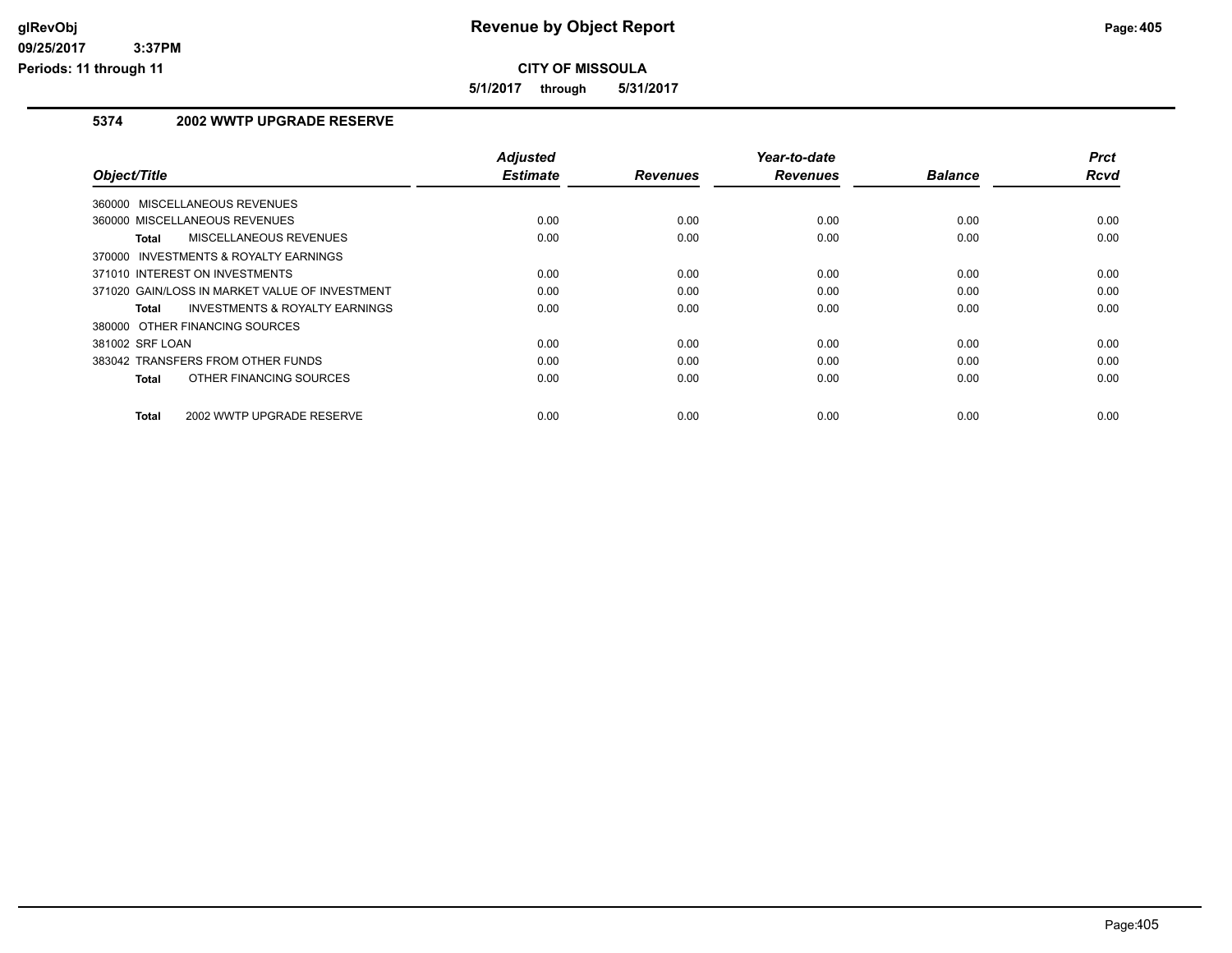**5/1/2017 through 5/31/2017**

## **5374 2002 WWTP UPGRADE RESERVE**

| Object/Title                                       | <b>Adjusted</b><br><b>Estimate</b> | <b>Revenues</b> | Year-to-date<br><b>Revenues</b> | <b>Balance</b> | <b>Prct</b><br><b>Rcvd</b> |
|----------------------------------------------------|------------------------------------|-----------------|---------------------------------|----------------|----------------------------|
| 360000 MISCELLANEOUS REVENUES                      |                                    |                 |                                 |                |                            |
| 360000 MISCELLANEOUS REVENUES                      | 0.00                               | 0.00            | 0.00                            | 0.00           | 0.00                       |
| MISCELLANEOUS REVENUES<br><b>Total</b>             | 0.00                               | 0.00            | 0.00                            | 0.00           | 0.00                       |
| 370000 INVESTMENTS & ROYALTY EARNINGS              |                                    |                 |                                 |                |                            |
| 371010 INTEREST ON INVESTMENTS                     | 0.00                               | 0.00            | 0.00                            | 0.00           | 0.00                       |
| 371020 GAIN/LOSS IN MARKET VALUE OF INVESTMENT     | 0.00                               | 0.00            | 0.00                            | 0.00           | 0.00                       |
| <b>INVESTMENTS &amp; ROYALTY EARNINGS</b><br>Total | 0.00                               | 0.00            | 0.00                            | 0.00           | 0.00                       |
| 380000 OTHER FINANCING SOURCES                     |                                    |                 |                                 |                |                            |
| 381002 SRF LOAN                                    | 0.00                               | 0.00            | 0.00                            | 0.00           | 0.00                       |
| 383042 TRANSFERS FROM OTHER FUNDS                  | 0.00                               | 0.00            | 0.00                            | 0.00           | 0.00                       |
| OTHER FINANCING SOURCES<br><b>Total</b>            | 0.00                               | 0.00            | 0.00                            | 0.00           | 0.00                       |
| 2002 WWTP UPGRADE RESERVE<br><b>Total</b>          | 0.00                               | 0.00            | 0.00                            | 0.00           | 0.00                       |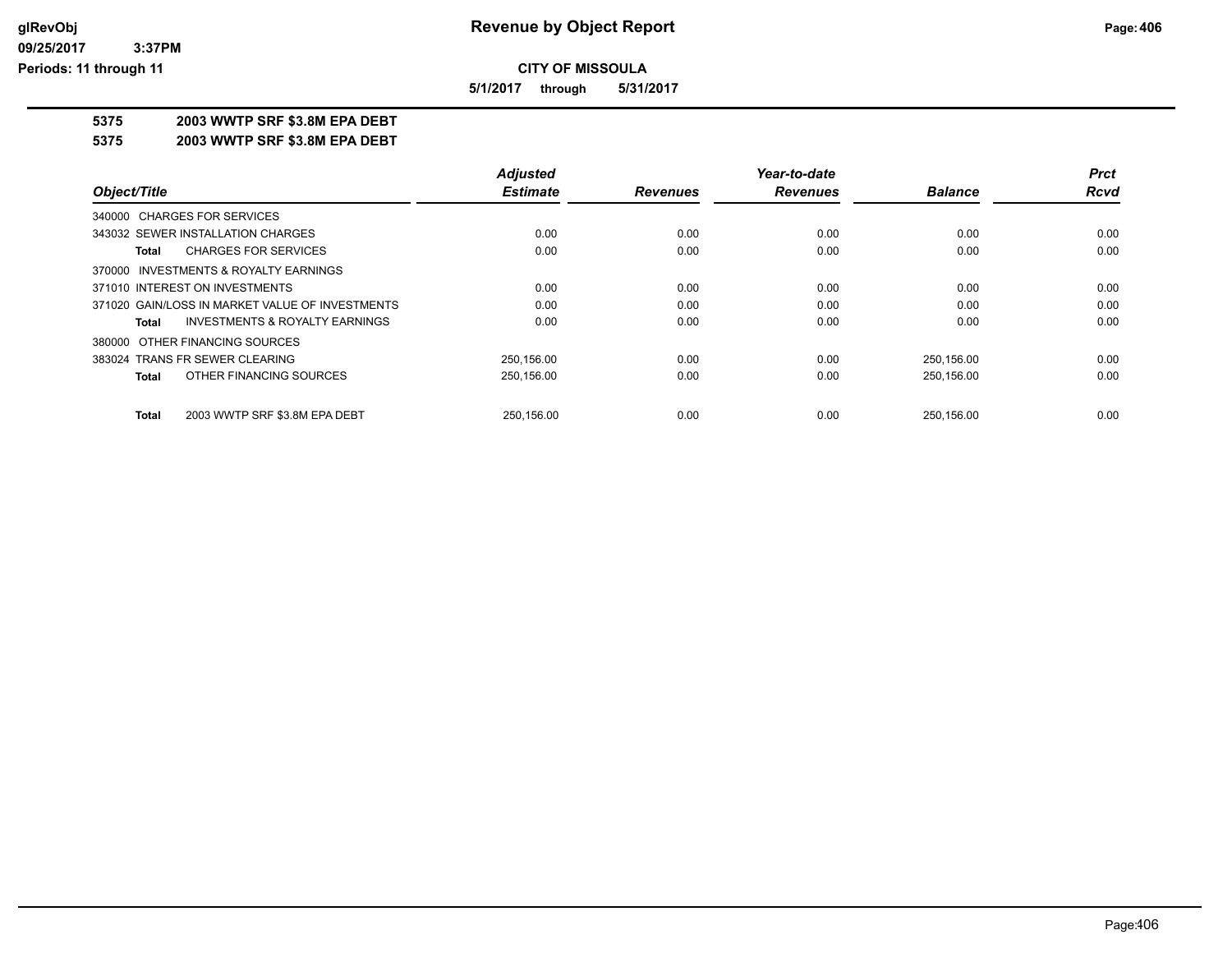**Periods: 11 through 11**

 **3:37PM**

**CITY OF MISSOULA**

**5/1/2017 through 5/31/2017**

**5375 2003 WWTP SRF \$3.8M EPA DEBT**

**5375 2003 WWTP SRF \$3.8M EPA DEBT**

|                                                    | <b>Adjusted</b> |                 | Year-to-date    |                | <b>Prct</b> |
|----------------------------------------------------|-----------------|-----------------|-----------------|----------------|-------------|
| Object/Title                                       | <b>Estimate</b> | <b>Revenues</b> | <b>Revenues</b> | <b>Balance</b> | <b>Rcvd</b> |
| 340000 CHARGES FOR SERVICES                        |                 |                 |                 |                |             |
| 343032 SEWER INSTALLATION CHARGES                  | 0.00            | 0.00            | 0.00            | 0.00           | 0.00        |
| <b>CHARGES FOR SERVICES</b><br>Total               | 0.00            | 0.00            | 0.00            | 0.00           | 0.00        |
| 370000 INVESTMENTS & ROYALTY EARNINGS              |                 |                 |                 |                |             |
| 371010 INTEREST ON INVESTMENTS                     | 0.00            | 0.00            | 0.00            | 0.00           | 0.00        |
| 371020 GAIN/LOSS IN MARKET VALUE OF INVESTMENTS    | 0.00            | 0.00            | 0.00            | 0.00           | 0.00        |
| <b>INVESTMENTS &amp; ROYALTY EARNINGS</b><br>Total | 0.00            | 0.00            | 0.00            | 0.00           | 0.00        |
| 380000 OTHER FINANCING SOURCES                     |                 |                 |                 |                |             |
| 383024 TRANS FR SEWER CLEARING                     | 250,156.00      | 0.00            | 0.00            | 250,156.00     | 0.00        |
| OTHER FINANCING SOURCES<br>Total                   | 250,156.00      | 0.00            | 0.00            | 250,156.00     | 0.00        |
| 2003 WWTP SRF \$3.8M EPA DEBT<br>Total             | 250.156.00      | 0.00            | 0.00            | 250.156.00     | 0.00        |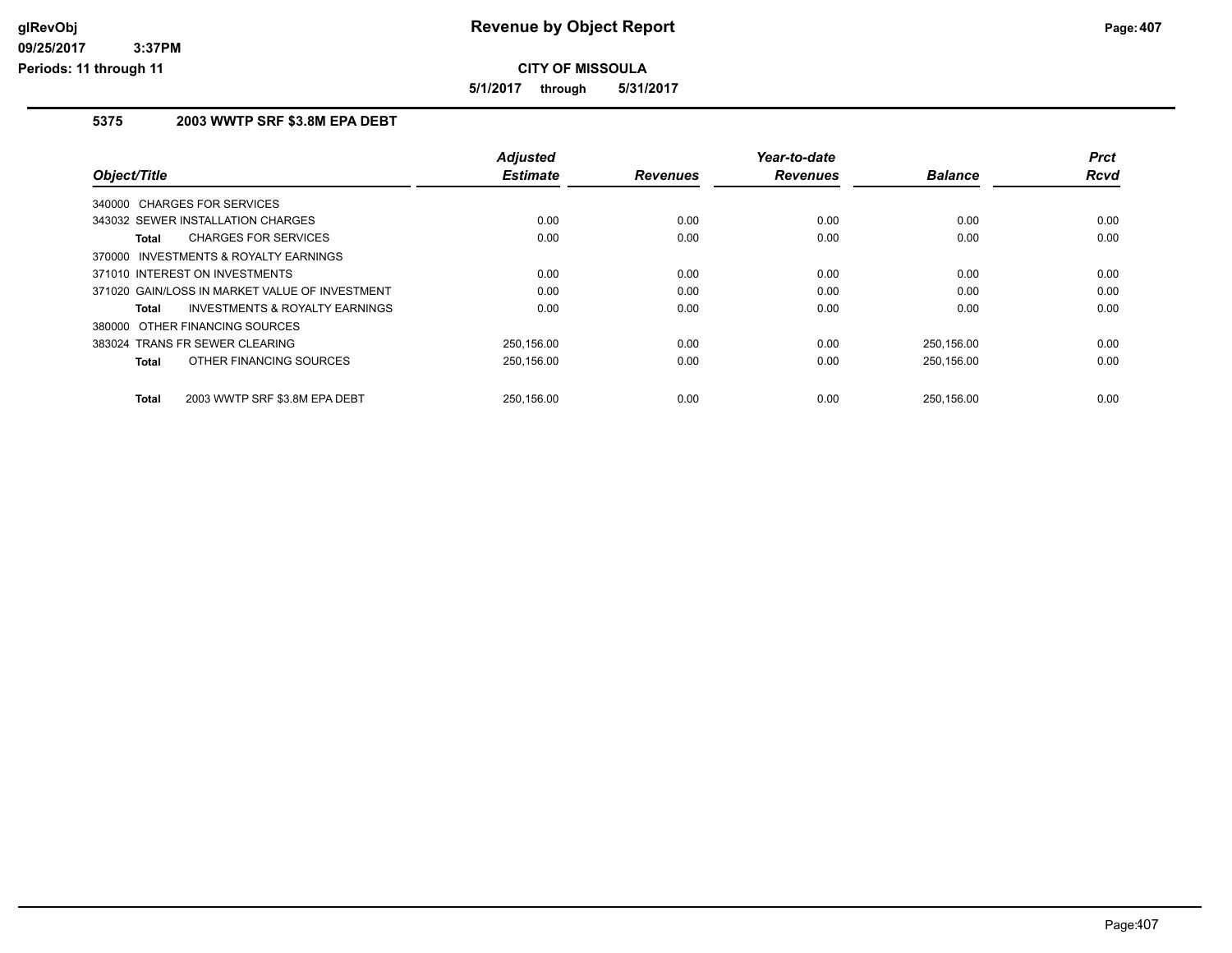**5/1/2017 through 5/31/2017**

## **5375 2003 WWTP SRF \$3.8M EPA DEBT**

| Object/Title                                              | <b>Adjusted</b><br><b>Estimate</b> | <b>Revenues</b> | Year-to-date<br><b>Revenues</b> | <b>Balance</b> | <b>Prct</b><br><b>Rcvd</b> |
|-----------------------------------------------------------|------------------------------------|-----------------|---------------------------------|----------------|----------------------------|
|                                                           |                                    |                 |                                 |                |                            |
| <b>CHARGES FOR SERVICES</b><br>340000                     |                                    |                 |                                 |                |                            |
| 343032 SEWER INSTALLATION CHARGES                         | 0.00                               | 0.00            | 0.00                            | 0.00           | 0.00                       |
| <b>CHARGES FOR SERVICES</b><br>Total                      | 0.00                               | 0.00            | 0.00                            | 0.00           | 0.00                       |
| 370000 INVESTMENTS & ROYALTY EARNINGS                     |                                    |                 |                                 |                |                            |
| 371010 INTEREST ON INVESTMENTS                            | 0.00                               | 0.00            | 0.00                            | 0.00           | 0.00                       |
| 371020 GAIN/LOSS IN MARKET VALUE OF INVESTMENT            | 0.00                               | 0.00            | 0.00                            | 0.00           | 0.00                       |
| <b>INVESTMENTS &amp; ROYALTY EARNINGS</b><br><b>Total</b> | 0.00                               | 0.00            | 0.00                            | 0.00           | 0.00                       |
| 380000 OTHER FINANCING SOURCES                            |                                    |                 |                                 |                |                            |
| 383024 TRANS FR SEWER CLEARING                            | 250,156.00                         | 0.00            | 0.00                            | 250,156.00     | 0.00                       |
| OTHER FINANCING SOURCES<br>Total                          | 250,156.00                         | 0.00            | 0.00                            | 250,156.00     | 0.00                       |
| 2003 WWTP SRF \$3.8M EPA DEBT<br><b>Total</b>             | 250,156.00                         | 0.00            | 0.00                            | 250.156.00     | 0.00                       |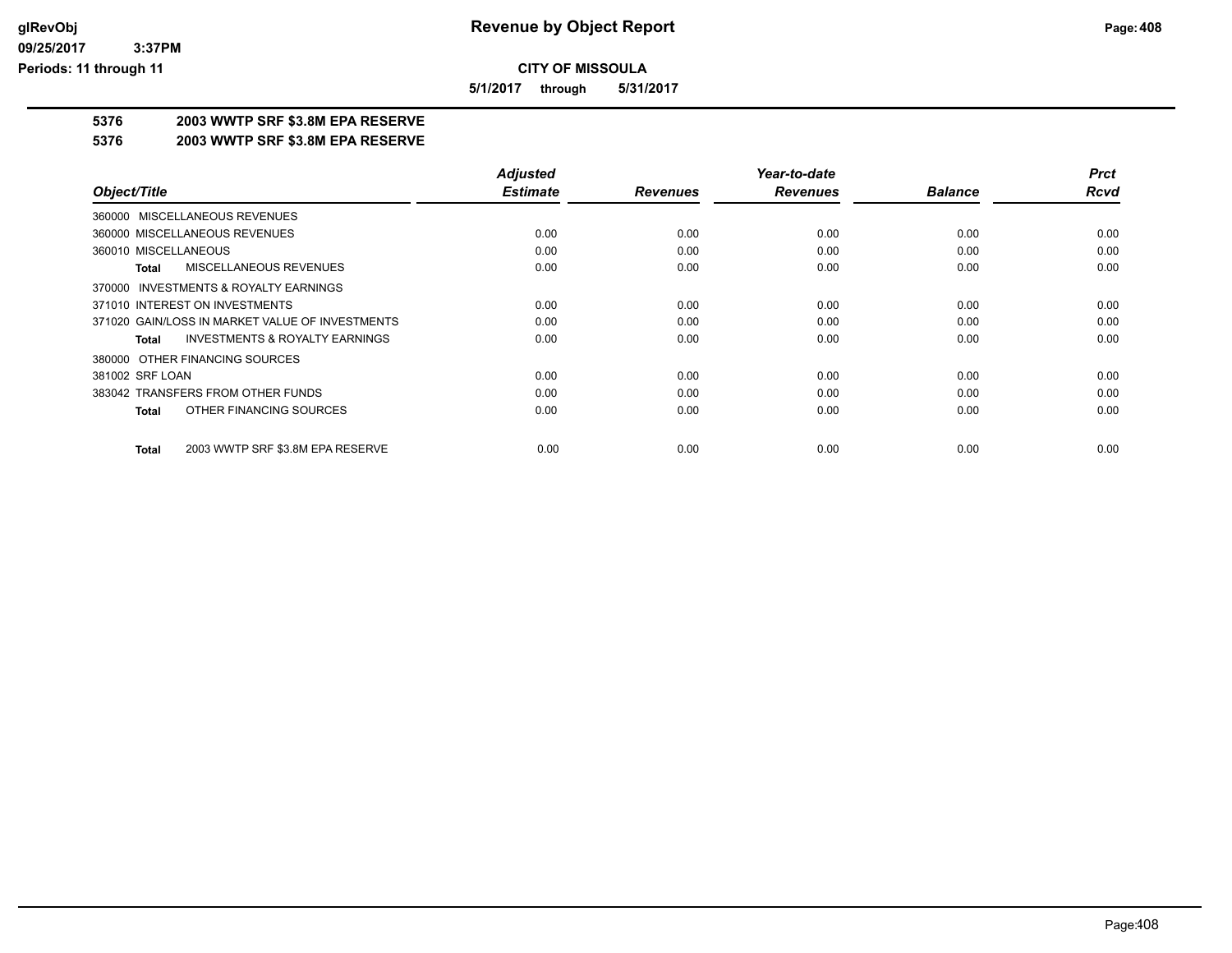**5/1/2017 through 5/31/2017**

# **5376 2003 WWTP SRF \$3.8M EPA RESERVE**

## **5376 2003 WWTP SRF \$3.8M EPA RESERVE**

|                                                    | <b>Adjusted</b> |                 | Year-to-date    |                | <b>Prct</b> |
|----------------------------------------------------|-----------------|-----------------|-----------------|----------------|-------------|
| Object/Title                                       | <b>Estimate</b> | <b>Revenues</b> | <b>Revenues</b> | <b>Balance</b> | <b>Rcvd</b> |
| MISCELLANEOUS REVENUES<br>360000                   |                 |                 |                 |                |             |
| 360000 MISCELLANEOUS REVENUES                      | 0.00            | 0.00            | 0.00            | 0.00           | 0.00        |
| 360010 MISCELLANEOUS                               | 0.00            | 0.00            | 0.00            | 0.00           | 0.00        |
| MISCELLANEOUS REVENUES<br><b>Total</b>             | 0.00            | 0.00            | 0.00            | 0.00           | 0.00        |
| INVESTMENTS & ROYALTY EARNINGS<br>370000           |                 |                 |                 |                |             |
| 371010 INTEREST ON INVESTMENTS                     | 0.00            | 0.00            | 0.00            | 0.00           | 0.00        |
| 371020 GAIN/LOSS IN MARKET VALUE OF INVESTMENTS    | 0.00            | 0.00            | 0.00            | 0.00           | 0.00        |
| <b>INVESTMENTS &amp; ROYALTY EARNINGS</b><br>Total | 0.00            | 0.00            | 0.00            | 0.00           | 0.00        |
| 380000 OTHER FINANCING SOURCES                     |                 |                 |                 |                |             |
| 381002 SRF LOAN                                    | 0.00            | 0.00            | 0.00            | 0.00           | 0.00        |
| 383042 TRANSFERS FROM OTHER FUNDS                  | 0.00            | 0.00            | 0.00            | 0.00           | 0.00        |
| OTHER FINANCING SOURCES<br><b>Total</b>            | 0.00            | 0.00            | 0.00            | 0.00           | 0.00        |
| 2003 WWTP SRF \$3.8M EPA RESERVE<br>Total          | 0.00            | 0.00            | 0.00            | 0.00           | 0.00        |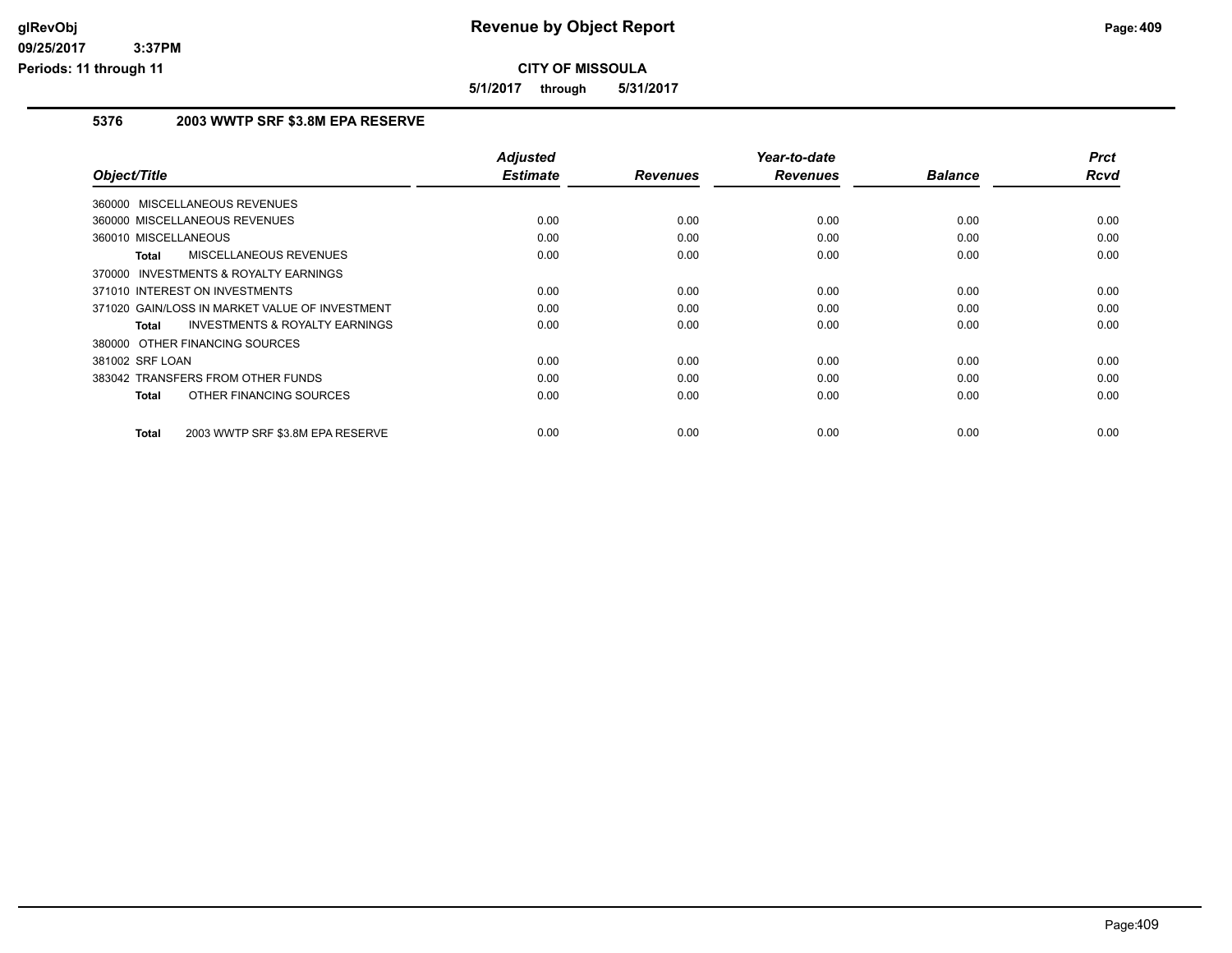**5/1/2017 through 5/31/2017**

## **5376 2003 WWTP SRF \$3.8M EPA RESERVE**

| Object/Title                                       | <b>Adjusted</b><br><b>Estimate</b> | <b>Revenues</b> | Year-to-date<br><b>Revenues</b> | <b>Balance</b> | <b>Prct</b><br><b>Rcvd</b> |
|----------------------------------------------------|------------------------------------|-----------------|---------------------------------|----------------|----------------------------|
|                                                    |                                    |                 |                                 |                |                            |
| 360000 MISCELLANEOUS REVENUES                      |                                    |                 |                                 |                |                            |
| 360000 MISCELLANEOUS REVENUES                      | 0.00                               | 0.00            | 0.00                            | 0.00           | 0.00                       |
| 360010 MISCELLANEOUS                               | 0.00                               | 0.00            | 0.00                            | 0.00           | 0.00                       |
| <b>MISCELLANEOUS REVENUES</b><br>Total             | 0.00                               | 0.00            | 0.00                            | 0.00           | 0.00                       |
| INVESTMENTS & ROYALTY EARNINGS<br>370000           |                                    |                 |                                 |                |                            |
| 371010 INTEREST ON INVESTMENTS                     | 0.00                               | 0.00            | 0.00                            | 0.00           | 0.00                       |
| 371020 GAIN/LOSS IN MARKET VALUE OF INVESTMENT     | 0.00                               | 0.00            | 0.00                            | 0.00           | 0.00                       |
| <b>INVESTMENTS &amp; ROYALTY EARNINGS</b><br>Total | 0.00                               | 0.00            | 0.00                            | 0.00           | 0.00                       |
| 380000 OTHER FINANCING SOURCES                     |                                    |                 |                                 |                |                            |
| 381002 SRF LOAN                                    | 0.00                               | 0.00            | 0.00                            | 0.00           | 0.00                       |
| 383042 TRANSFERS FROM OTHER FUNDS                  | 0.00                               | 0.00            | 0.00                            | 0.00           | 0.00                       |
| OTHER FINANCING SOURCES<br>Total                   | 0.00                               | 0.00            | 0.00                            | 0.00           | 0.00                       |
|                                                    |                                    |                 |                                 |                |                            |
| 2003 WWTP SRF \$3.8M EPA RESERVE<br><b>Total</b>   | 0.00                               | 0.00            | 0.00                            | 0.00           | 0.00                       |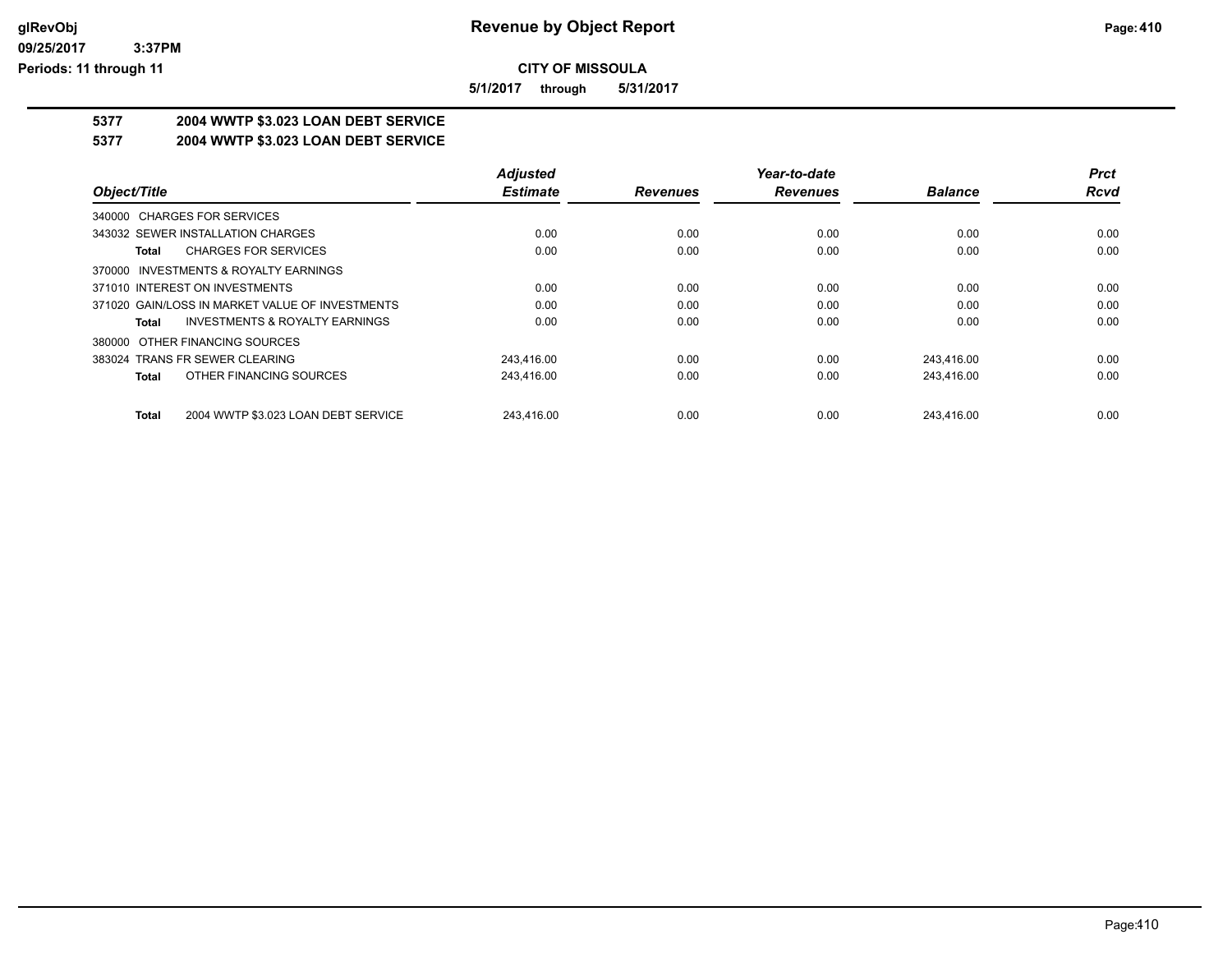**5/1/2017 through 5/31/2017**

# **5377 2004 WWTP \$3.023 LOAN DEBT SERVICE**

# **5377 2004 WWTP \$3.023 LOAN DEBT SERVICE**

|                                                    | <b>Adjusted</b> |                 | Year-to-date    |                | <b>Prct</b> |
|----------------------------------------------------|-----------------|-----------------|-----------------|----------------|-------------|
| Object/Title                                       | <b>Estimate</b> | <b>Revenues</b> | <b>Revenues</b> | <b>Balance</b> | <b>Rcvd</b> |
| 340000 CHARGES FOR SERVICES                        |                 |                 |                 |                |             |
| 343032 SEWER INSTALLATION CHARGES                  | 0.00            | 0.00            | 0.00            | 0.00           | 0.00        |
| <b>CHARGES FOR SERVICES</b><br>Total               | 0.00            | 0.00            | 0.00            | 0.00           | 0.00        |
| 370000 INVESTMENTS & ROYALTY EARNINGS              |                 |                 |                 |                |             |
| 371010 INTEREST ON INVESTMENTS                     | 0.00            | 0.00            | 0.00            | 0.00           | 0.00        |
| 371020 GAIN/LOSS IN MARKET VALUE OF INVESTMENTS    | 0.00            | 0.00            | 0.00            | 0.00           | 0.00        |
| <b>INVESTMENTS &amp; ROYALTY EARNINGS</b><br>Total | 0.00            | 0.00            | 0.00            | 0.00           | 0.00        |
| OTHER FINANCING SOURCES<br>380000                  |                 |                 |                 |                |             |
| 383024 TRANS FR SEWER CLEARING                     | 243.416.00      | 0.00            | 0.00            | 243.416.00     | 0.00        |
| OTHER FINANCING SOURCES<br>Total                   | 243.416.00      | 0.00            | 0.00            | 243,416.00     | 0.00        |
| 2004 WWTP \$3.023 LOAN DEBT SERVICE<br>Total       | 243.416.00      | 0.00            | 0.00            | 243.416.00     | 0.00        |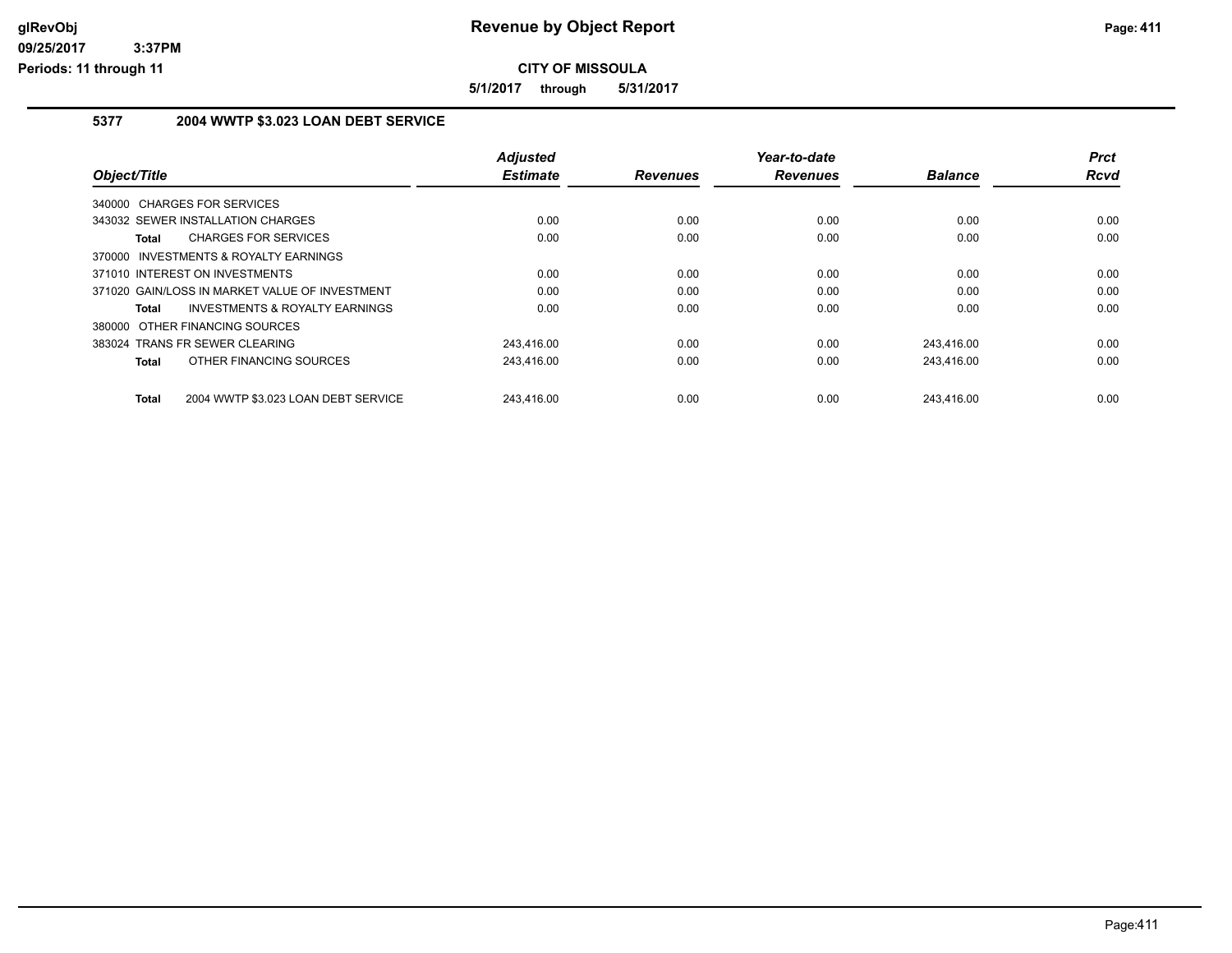**5/1/2017 through 5/31/2017**

#### **5377 2004 WWTP \$3.023 LOAN DEBT SERVICE**

| Object/Title                                              | <b>Adjusted</b><br><b>Estimate</b> | <b>Revenues</b> | Year-to-date<br><b>Revenues</b> | <b>Balance</b> | <b>Prct</b><br><b>Rcvd</b> |
|-----------------------------------------------------------|------------------------------------|-----------------|---------------------------------|----------------|----------------------------|
| 340000 CHARGES FOR SERVICES                               |                                    |                 |                                 |                |                            |
|                                                           |                                    |                 |                                 |                |                            |
| 343032 SEWER INSTALLATION CHARGES                         | 0.00                               | 0.00            | 0.00                            | 0.00           | 0.00                       |
| <b>CHARGES FOR SERVICES</b><br><b>Total</b>               | 0.00                               | 0.00            | 0.00                            | 0.00           | 0.00                       |
| 370000 INVESTMENTS & ROYALTY EARNINGS                     |                                    |                 |                                 |                |                            |
| 371010 INTEREST ON INVESTMENTS                            | 0.00                               | 0.00            | 0.00                            | 0.00           | 0.00                       |
| 371020 GAIN/LOSS IN MARKET VALUE OF INVESTMENT            | 0.00                               | 0.00            | 0.00                            | 0.00           | 0.00                       |
| <b>INVESTMENTS &amp; ROYALTY EARNINGS</b><br><b>Total</b> | 0.00                               | 0.00            | 0.00                            | 0.00           | 0.00                       |
| 380000 OTHER FINANCING SOURCES                            |                                    |                 |                                 |                |                            |
| 383024 TRANS FR SEWER CLEARING                            | 243,416.00                         | 0.00            | 0.00                            | 243,416.00     | 0.00                       |
| OTHER FINANCING SOURCES<br><b>Total</b>                   | 243,416.00                         | 0.00            | 0.00                            | 243,416.00     | 0.00                       |
| <b>Total</b><br>2004 WWTP \$3.023 LOAN DEBT SERVICE       | 243.416.00                         | 0.00            | 0.00                            | 243.416.00     | 0.00                       |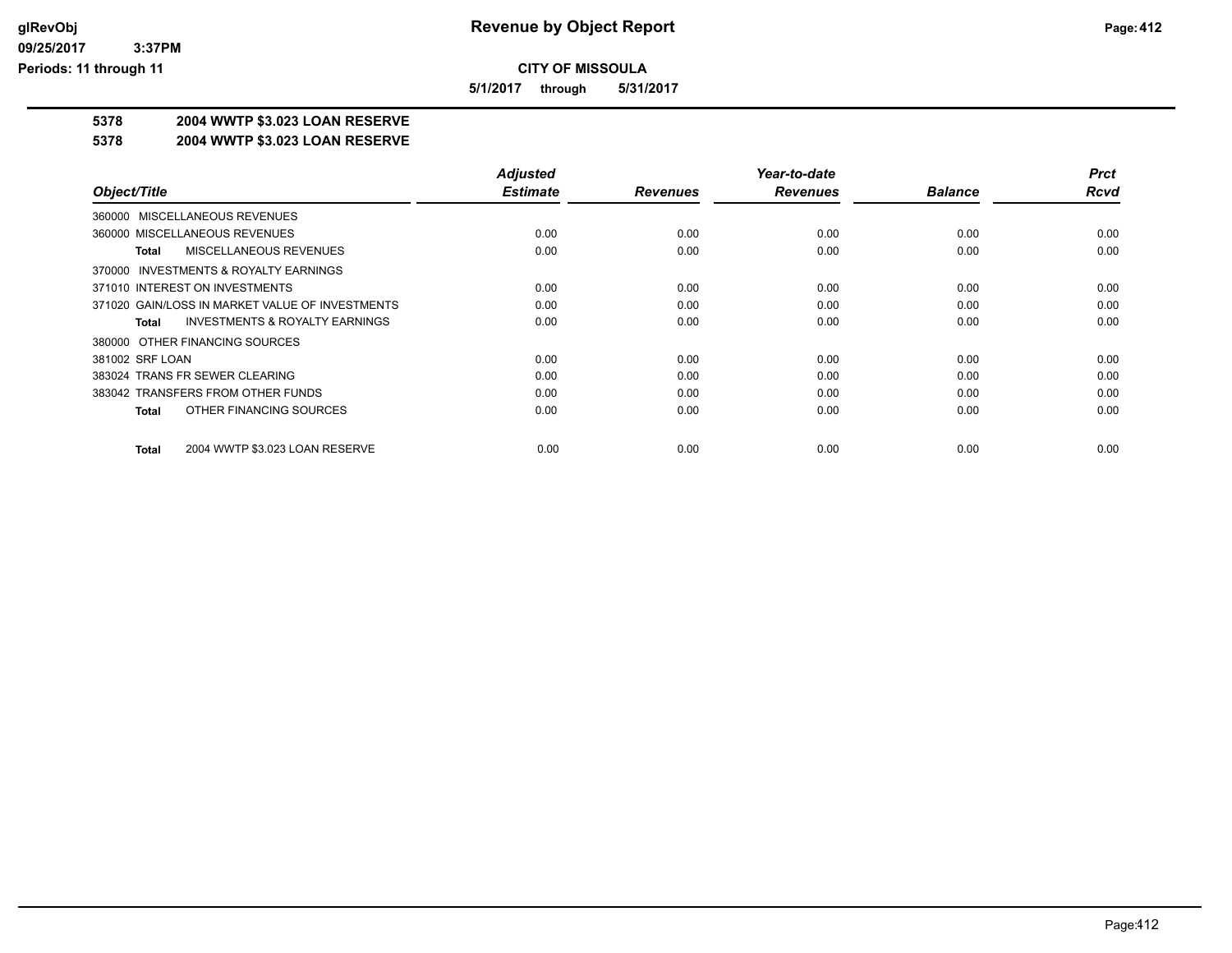**5/1/2017 through 5/31/2017**

# **5378 2004 WWTP \$3.023 LOAN RESERVE**

#### **5378 2004 WWTP \$3.023 LOAN RESERVE**

|                                                    | <b>Adjusted</b> |                 | Year-to-date    |                | <b>Prct</b> |
|----------------------------------------------------|-----------------|-----------------|-----------------|----------------|-------------|
| Object/Title                                       | <b>Estimate</b> | <b>Revenues</b> | <b>Revenues</b> | <b>Balance</b> | <b>Rcvd</b> |
| 360000 MISCELLANEOUS REVENUES                      |                 |                 |                 |                |             |
| 360000 MISCELLANEOUS REVENUES                      | 0.00            | 0.00            | 0.00            | 0.00           | 0.00        |
| MISCELLANEOUS REVENUES<br>Total                    | 0.00            | 0.00            | 0.00            | 0.00           | 0.00        |
| 370000 INVESTMENTS & ROYALTY EARNINGS              |                 |                 |                 |                |             |
| 371010 INTEREST ON INVESTMENTS                     | 0.00            | 0.00            | 0.00            | 0.00           | 0.00        |
| 371020 GAIN/LOSS IN MARKET VALUE OF INVESTMENTS    | 0.00            | 0.00            | 0.00            | 0.00           | 0.00        |
| <b>INVESTMENTS &amp; ROYALTY EARNINGS</b><br>Total | 0.00            | 0.00            | 0.00            | 0.00           | 0.00        |
| 380000 OTHER FINANCING SOURCES                     |                 |                 |                 |                |             |
| 381002 SRF LOAN                                    | 0.00            | 0.00            | 0.00            | 0.00           | 0.00        |
| 383024 TRANS FR SEWER CLEARING                     | 0.00            | 0.00            | 0.00            | 0.00           | 0.00        |
| 383042 TRANSFERS FROM OTHER FUNDS                  | 0.00            | 0.00            | 0.00            | 0.00           | 0.00        |
| OTHER FINANCING SOURCES<br>Total                   | 0.00            | 0.00            | 0.00            | 0.00           | 0.00        |
|                                                    |                 |                 |                 |                |             |
| 2004 WWTP \$3.023 LOAN RESERVE<br>Total            | 0.00            | 0.00            | 0.00            | 0.00           | 0.00        |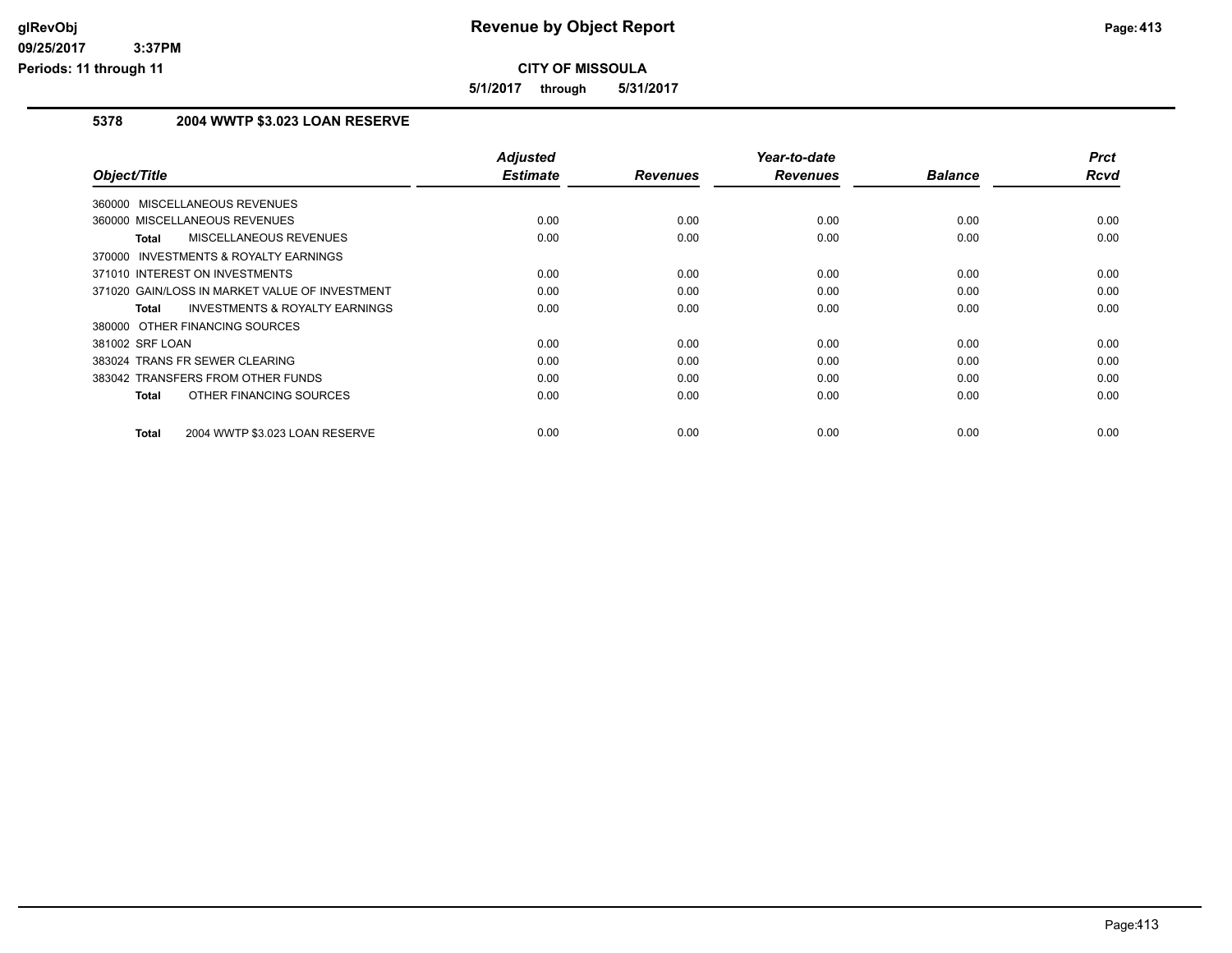**5/1/2017 through 5/31/2017**

## **5378 2004 WWTP \$3.023 LOAN RESERVE**

| Object/Title                                       | <b>Adjusted</b><br><b>Estimate</b> | <b>Revenues</b> | Year-to-date<br><b>Revenues</b> | <b>Balance</b> | <b>Prct</b><br><b>Rcvd</b> |
|----------------------------------------------------|------------------------------------|-----------------|---------------------------------|----------------|----------------------------|
| MISCELLANEOUS REVENUES<br>360000                   |                                    |                 |                                 |                |                            |
| 360000 MISCELLANEOUS REVENUES                      | 0.00                               | 0.00            | 0.00                            | 0.00           | 0.00                       |
| <b>MISCELLANEOUS REVENUES</b><br><b>Total</b>      | 0.00                               | 0.00            | 0.00                            | 0.00           | 0.00                       |
| 370000 INVESTMENTS & ROYALTY EARNINGS              |                                    |                 |                                 |                |                            |
| 371010 INTEREST ON INVESTMENTS                     | 0.00                               | 0.00            | 0.00                            | 0.00           | 0.00                       |
| 371020 GAIN/LOSS IN MARKET VALUE OF INVESTMENT     | 0.00                               | 0.00            | 0.00                            | 0.00           | 0.00                       |
| <b>INVESTMENTS &amp; ROYALTY EARNINGS</b><br>Total | 0.00                               | 0.00            | 0.00                            | 0.00           | 0.00                       |
| 380000 OTHER FINANCING SOURCES                     |                                    |                 |                                 |                |                            |
| 381002 SRF LOAN                                    | 0.00                               | 0.00            | 0.00                            | 0.00           | 0.00                       |
| 383024 TRANS FR SEWER CLEARING                     | 0.00                               | 0.00            | 0.00                            | 0.00           | 0.00                       |
| 383042 TRANSFERS FROM OTHER FUNDS                  | 0.00                               | 0.00            | 0.00                            | 0.00           | 0.00                       |
| OTHER FINANCING SOURCES<br><b>Total</b>            | 0.00                               | 0.00            | 0.00                            | 0.00           | 0.00                       |
|                                                    |                                    |                 |                                 |                |                            |
| 2004 WWTP \$3.023 LOAN RESERVE<br><b>Total</b>     | 0.00                               | 0.00            | 0.00                            | 0.00           | 0.00                       |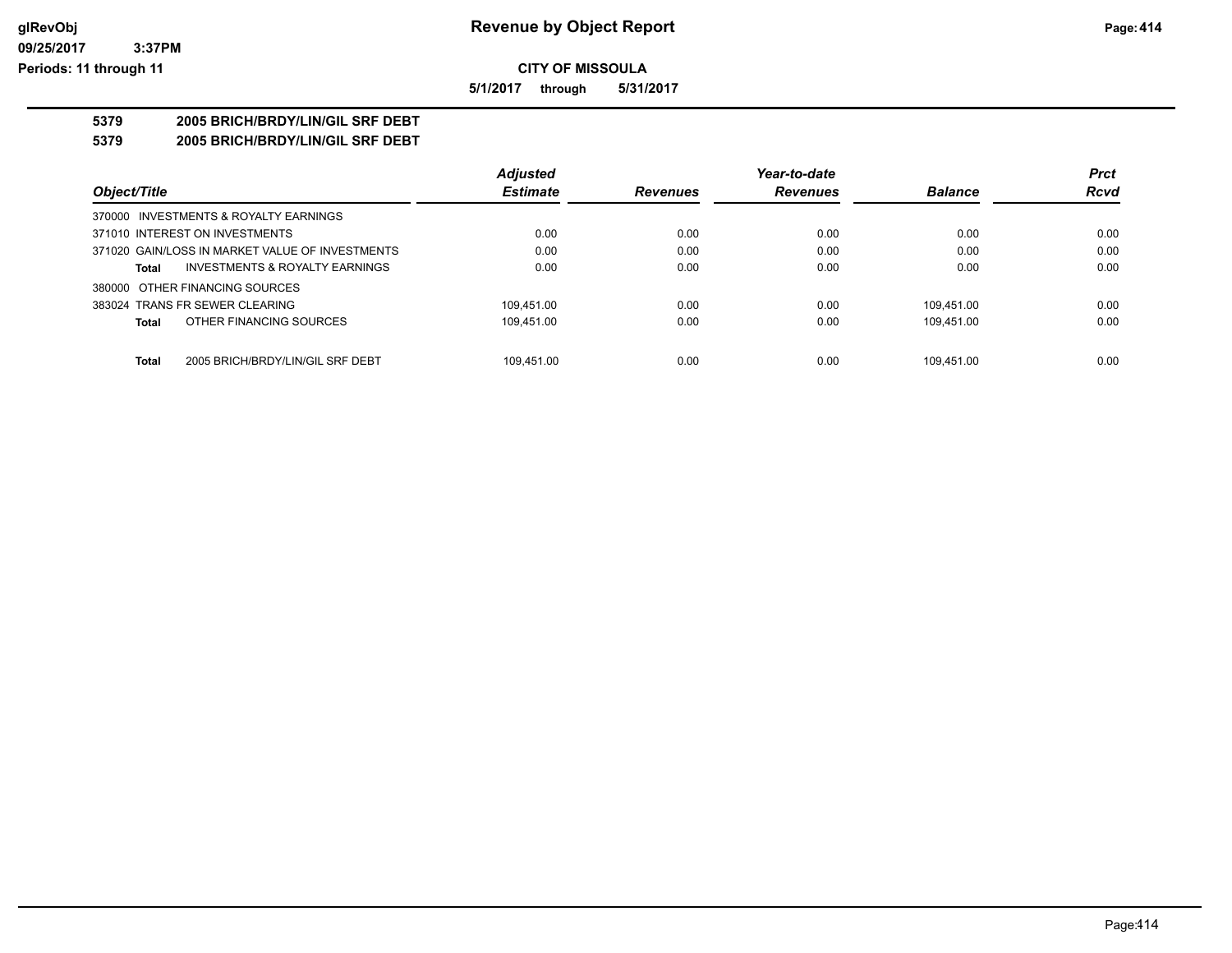**5/1/2017 through 5/31/2017**

# **5379 2005 BRICH/BRDY/LIN/GIL SRF DEBT**

#### **5379 2005 BRICH/BRDY/LIN/GIL SRF DEBT**

|                                                           | <b>Adjusted</b> |                 | Year-to-date    |                | <b>Prct</b> |
|-----------------------------------------------------------|-----------------|-----------------|-----------------|----------------|-------------|
| Object/Title                                              | <b>Estimate</b> | <b>Revenues</b> | <b>Revenues</b> | <b>Balance</b> | <b>Rcvd</b> |
| 370000 INVESTMENTS & ROYALTY EARNINGS                     |                 |                 |                 |                |             |
| 371010 INTEREST ON INVESTMENTS                            | 0.00            | 0.00            | 0.00            | 0.00           | 0.00        |
| 371020 GAIN/LOSS IN MARKET VALUE OF INVESTMENTS           | 0.00            | 0.00            | 0.00            | 0.00           | 0.00        |
| <b>INVESTMENTS &amp; ROYALTY EARNINGS</b><br><b>Total</b> | 0.00            | 0.00            | 0.00            | 0.00           | 0.00        |
| 380000 OTHER FINANCING SOURCES                            |                 |                 |                 |                |             |
| 383024 TRANS FR SEWER CLEARING                            | 109.451.00      | 0.00            | 0.00            | 109.451.00     | 0.00        |
| OTHER FINANCING SOURCES<br><b>Total</b>                   | 109.451.00      | 0.00            | 0.00            | 109.451.00     | 0.00        |
| <b>Total</b><br>2005 BRICH/BRDY/LIN/GIL SRF DEBT          | 109.451.00      | 0.00            | 0.00            | 109.451.00     | 0.00        |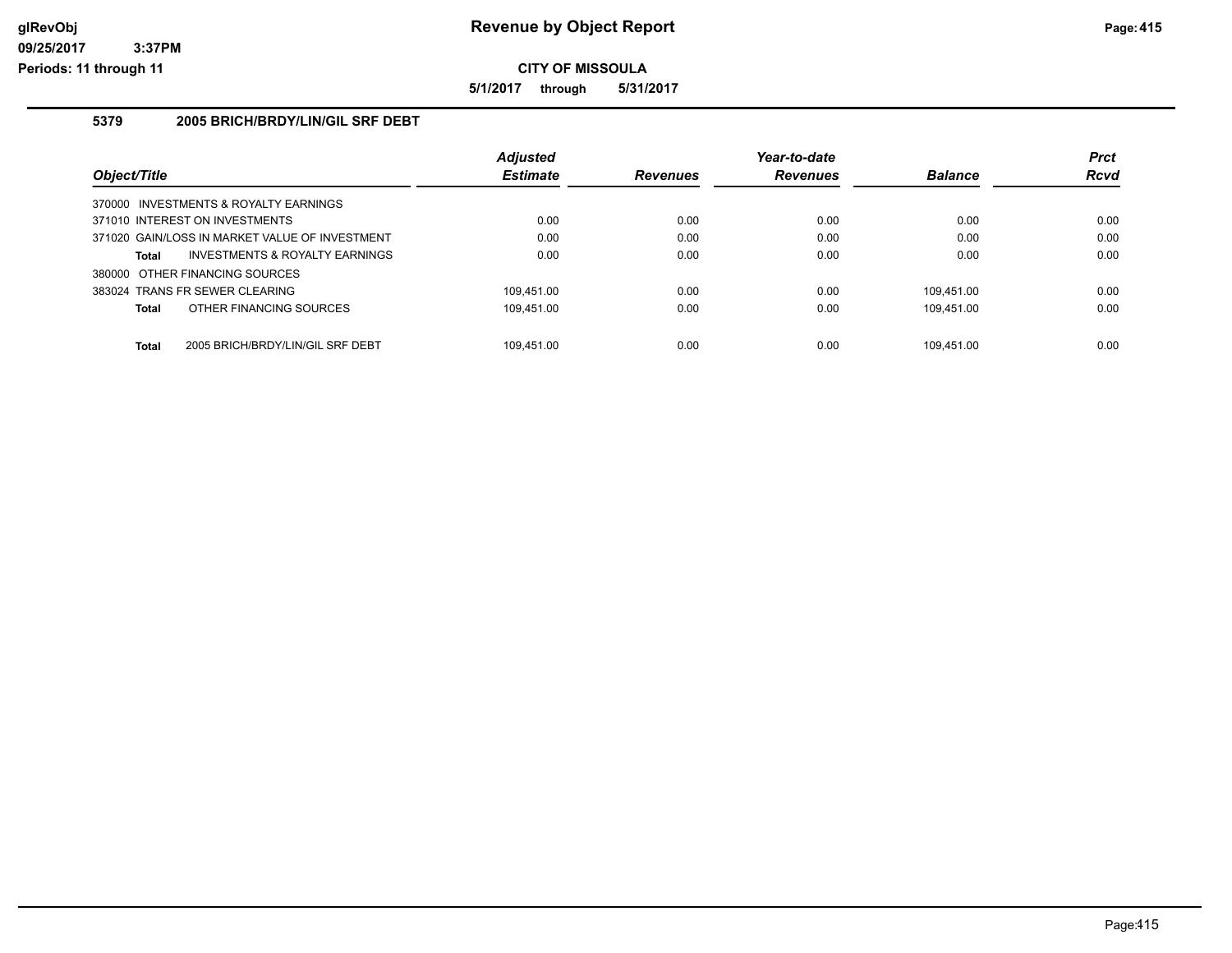**5/1/2017 through 5/31/2017**

### **5379 2005 BRICH/BRDY/LIN/GIL SRF DEBT**

|              |                                                | <b>Adjusted</b> |                 | Year-to-date    |                | <b>Prct</b> |
|--------------|------------------------------------------------|-----------------|-----------------|-----------------|----------------|-------------|
| Object/Title |                                                | <b>Estimate</b> | <b>Revenues</b> | <b>Revenues</b> | <b>Balance</b> | <b>Rcvd</b> |
|              | 370000 INVESTMENTS & ROYALTY EARNINGS          |                 |                 |                 |                |             |
|              | 371010 INTEREST ON INVESTMENTS                 | 0.00            | 0.00            | 0.00            | 0.00           | 0.00        |
|              | 371020 GAIN/LOSS IN MARKET VALUE OF INVESTMENT | 0.00            | 0.00            | 0.00            | 0.00           | 0.00        |
| Total        | <b>INVESTMENTS &amp; ROYALTY EARNINGS</b>      | 0.00            | 0.00            | 0.00            | 0.00           | 0.00        |
|              | 380000 OTHER FINANCING SOURCES                 |                 |                 |                 |                |             |
|              | 383024 TRANS FR SEWER CLEARING                 | 109.451.00      | 0.00            | 0.00            | 109.451.00     | 0.00        |
| Total        | OTHER FINANCING SOURCES                        | 109.451.00      | 0.00            | 0.00            | 109.451.00     | 0.00        |
| <b>Total</b> | 2005 BRICH/BRDY/LIN/GIL SRF DEBT               | 109.451.00      | 0.00            | 0.00            | 109.451.00     | 0.00        |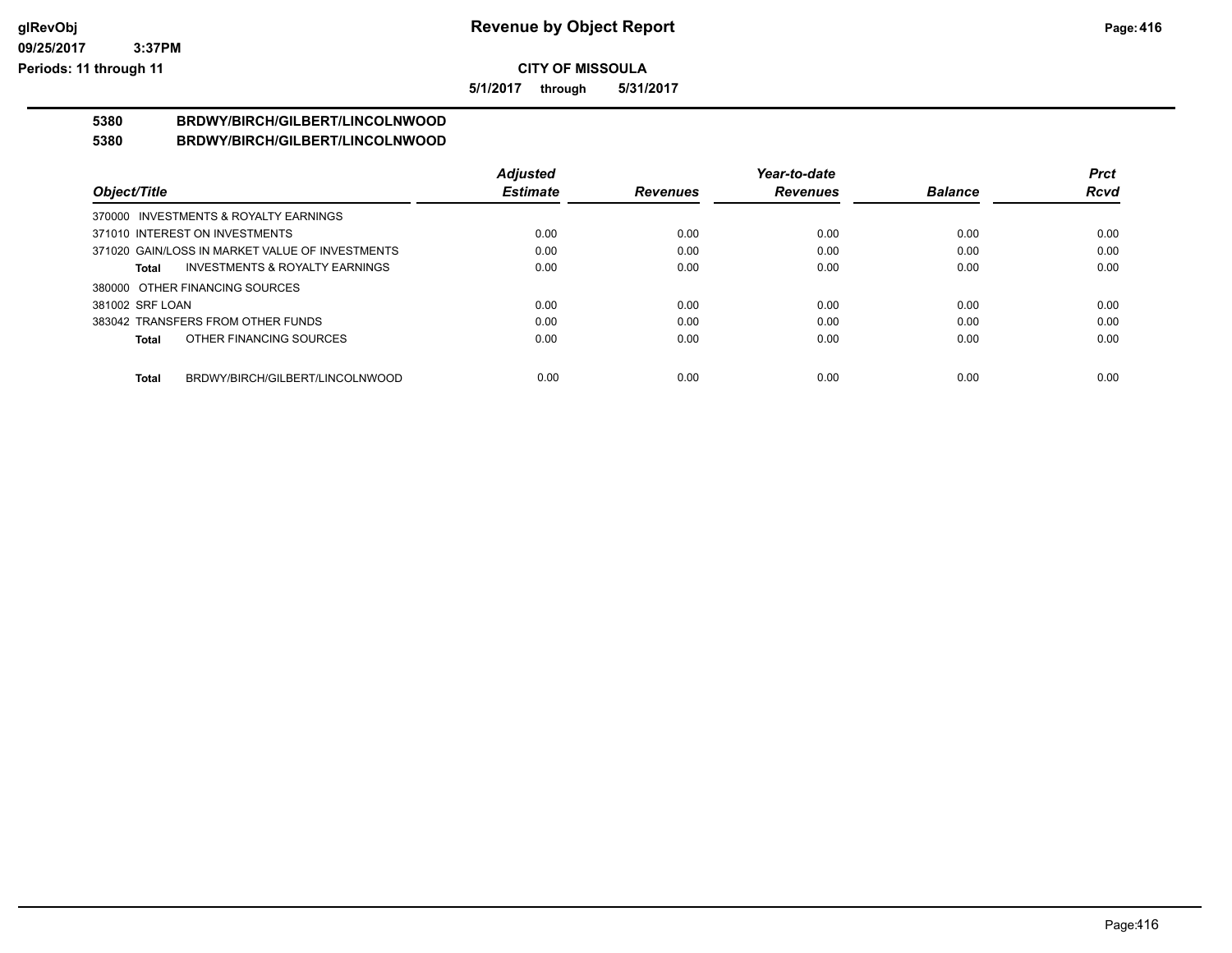**5/1/2017 through 5/31/2017**

#### **5380 BRDWY/BIRCH/GILBERT/LINCOLNWOOD 5380 BRDWY/BIRCH/GILBERT/LINCOLNWOOD**

|                                                    | <b>Adjusted</b> |                 | Year-to-date    |                | Prct        |
|----------------------------------------------------|-----------------|-----------------|-----------------|----------------|-------------|
| Object/Title                                       | <b>Estimate</b> | <b>Revenues</b> | <b>Revenues</b> | <b>Balance</b> | <b>Rcvd</b> |
| 370000 INVESTMENTS & ROYALTY EARNINGS              |                 |                 |                 |                |             |
| 371010 INTEREST ON INVESTMENTS                     | 0.00            | 0.00            | 0.00            | 0.00           | 0.00        |
| 371020 GAIN/LOSS IN MARKET VALUE OF INVESTMENTS    | 0.00            | 0.00            | 0.00            | 0.00           | 0.00        |
| <b>INVESTMENTS &amp; ROYALTY EARNINGS</b><br>Total | 0.00            | 0.00            | 0.00            | 0.00           | 0.00        |
| 380000 OTHER FINANCING SOURCES                     |                 |                 |                 |                |             |
| 381002 SRF LOAN                                    | 0.00            | 0.00            | 0.00            | 0.00           | 0.00        |
| 383042 TRANSFERS FROM OTHER FUNDS                  | 0.00            | 0.00            | 0.00            | 0.00           | 0.00        |
| OTHER FINANCING SOURCES<br><b>Total</b>            | 0.00            | 0.00            | 0.00            | 0.00           | 0.00        |
|                                                    |                 |                 |                 |                |             |
| BRDWY/BIRCH/GILBERT/LINCOLNWOOD<br>Total           | 0.00            | 0.00            | 0.00            | 0.00           | 0.00        |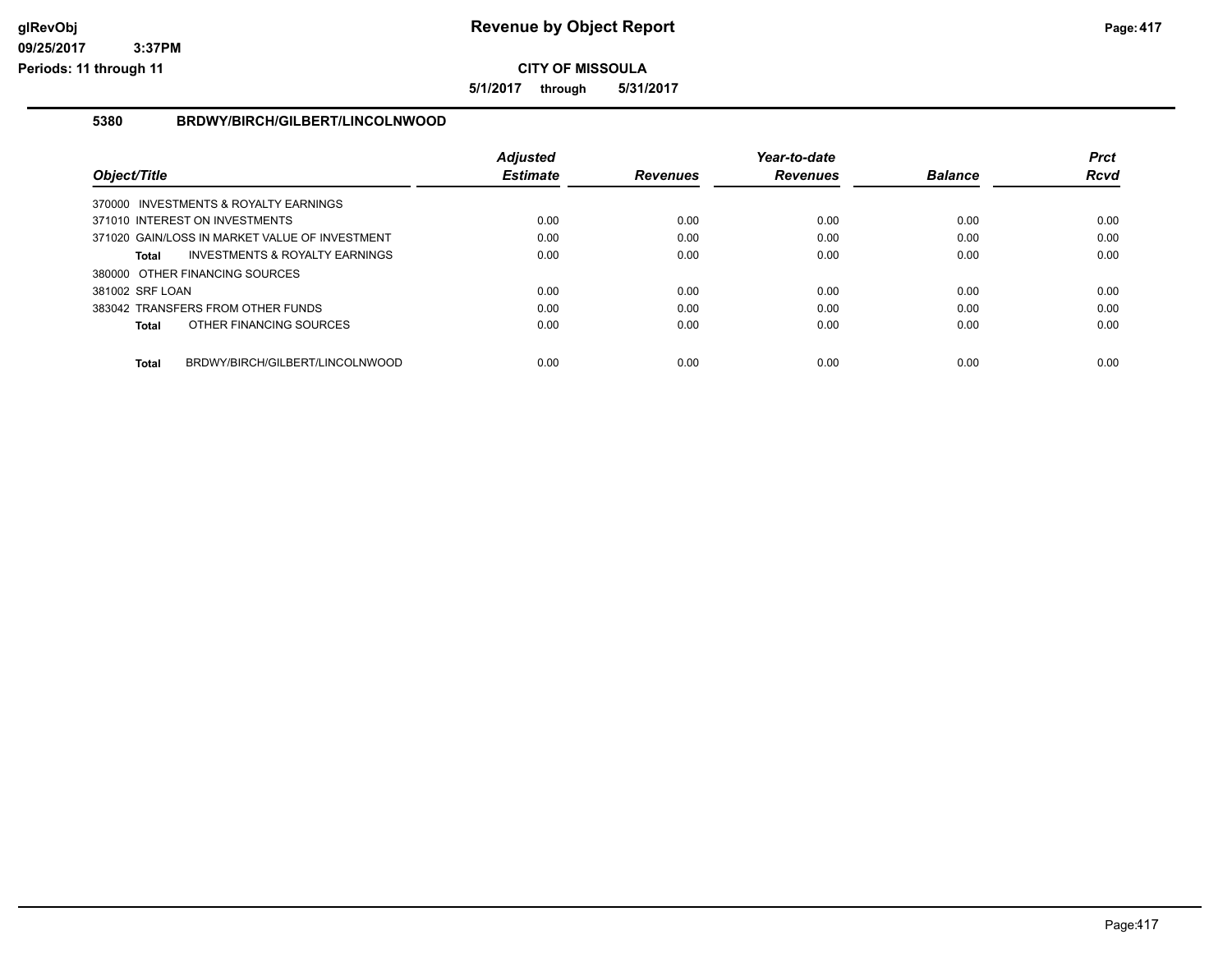**5/1/2017 through 5/31/2017**

## **5380 BRDWY/BIRCH/GILBERT/LINCOLNWOOD**

|                                                 | <b>Adjusted</b> |                 | Year-to-date    |                | <b>Prct</b> |
|-------------------------------------------------|-----------------|-----------------|-----------------|----------------|-------------|
| Object/Title                                    | <b>Estimate</b> | <b>Revenues</b> | <b>Revenues</b> | <b>Balance</b> | Rcvd        |
| 370000 INVESTMENTS & ROYALTY EARNINGS           |                 |                 |                 |                |             |
| 371010 INTEREST ON INVESTMENTS                  | 0.00            | 0.00            | 0.00            | 0.00           | 0.00        |
| 371020 GAIN/LOSS IN MARKET VALUE OF INVESTMENT  | 0.00            | 0.00            | 0.00            | 0.00           | 0.00        |
| INVESTMENTS & ROYALTY EARNINGS<br><b>Total</b>  | 0.00            | 0.00            | 0.00            | 0.00           | 0.00        |
| 380000 OTHER FINANCING SOURCES                  |                 |                 |                 |                |             |
| 381002 SRF LOAN                                 | 0.00            | 0.00            | 0.00            | 0.00           | 0.00        |
| 383042 TRANSFERS FROM OTHER FUNDS               | 0.00            | 0.00            | 0.00            | 0.00           | 0.00        |
| OTHER FINANCING SOURCES<br><b>Total</b>         | 0.00            | 0.00            | 0.00            | 0.00           | 0.00        |
|                                                 |                 |                 |                 |                |             |
| BRDWY/BIRCH/GILBERT/LINCOLNWOOD<br><b>Total</b> | 0.00            | 0.00            | 0.00            | 0.00           | 0.00        |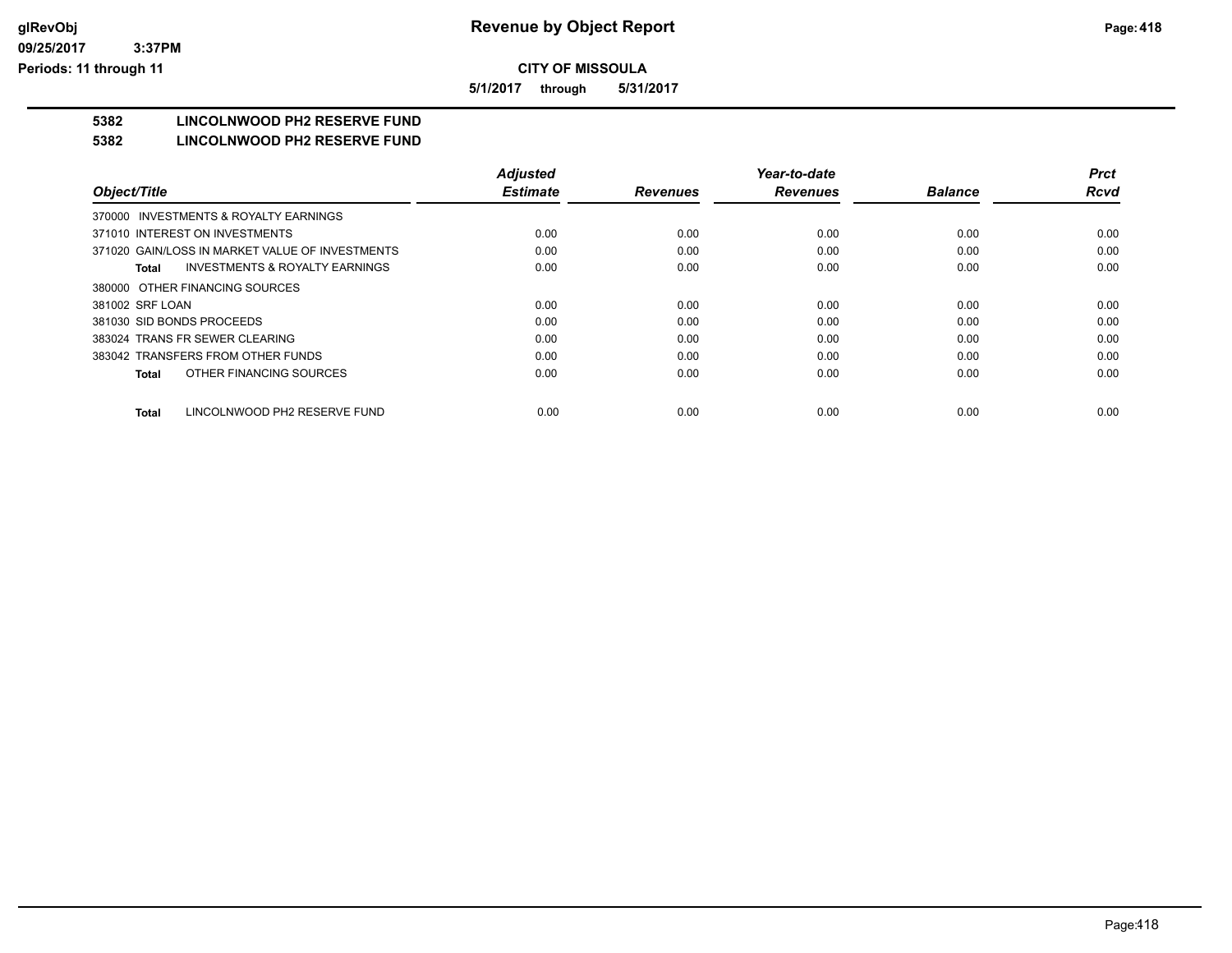**5/1/2017 through 5/31/2017**

# **5382 LINCOLNWOOD PH2 RESERVE FUND**

#### **5382 LINCOLNWOOD PH2 RESERVE FUND**

|                                                    | <b>Adiusted</b> |                 | Year-to-date    |                | <b>Prct</b> |
|----------------------------------------------------|-----------------|-----------------|-----------------|----------------|-------------|
| Object/Title                                       | <b>Estimate</b> | <b>Revenues</b> | <b>Revenues</b> | <b>Balance</b> | <b>Rcvd</b> |
| INVESTMENTS & ROYALTY EARNINGS<br>370000           |                 |                 |                 |                |             |
| 371010 INTEREST ON INVESTMENTS                     | 0.00            | 0.00            | 0.00            | 0.00           | 0.00        |
| 371020 GAIN/LOSS IN MARKET VALUE OF INVESTMENTS    | 0.00            | 0.00            | 0.00            | 0.00           | 0.00        |
| <b>INVESTMENTS &amp; ROYALTY EARNINGS</b><br>Total | 0.00            | 0.00            | 0.00            | 0.00           | 0.00        |
| 380000 OTHER FINANCING SOURCES                     |                 |                 |                 |                |             |
| 381002 SRF LOAN                                    | 0.00            | 0.00            | 0.00            | 0.00           | 0.00        |
| 381030 SID BONDS PROCEEDS                          | 0.00            | 0.00            | 0.00            | 0.00           | 0.00        |
| 383024 TRANS FR SEWER CLEARING                     | 0.00            | 0.00            | 0.00            | 0.00           | 0.00        |
| 383042 TRANSFERS FROM OTHER FUNDS                  | 0.00            | 0.00            | 0.00            | 0.00           | 0.00        |
| OTHER FINANCING SOURCES<br>Total                   | 0.00            | 0.00            | 0.00            | 0.00           | 0.00        |
| LINCOLNWOOD PH2 RESERVE FUND<br><b>Total</b>       | 0.00            | 0.00            | 0.00            | 0.00           | 0.00        |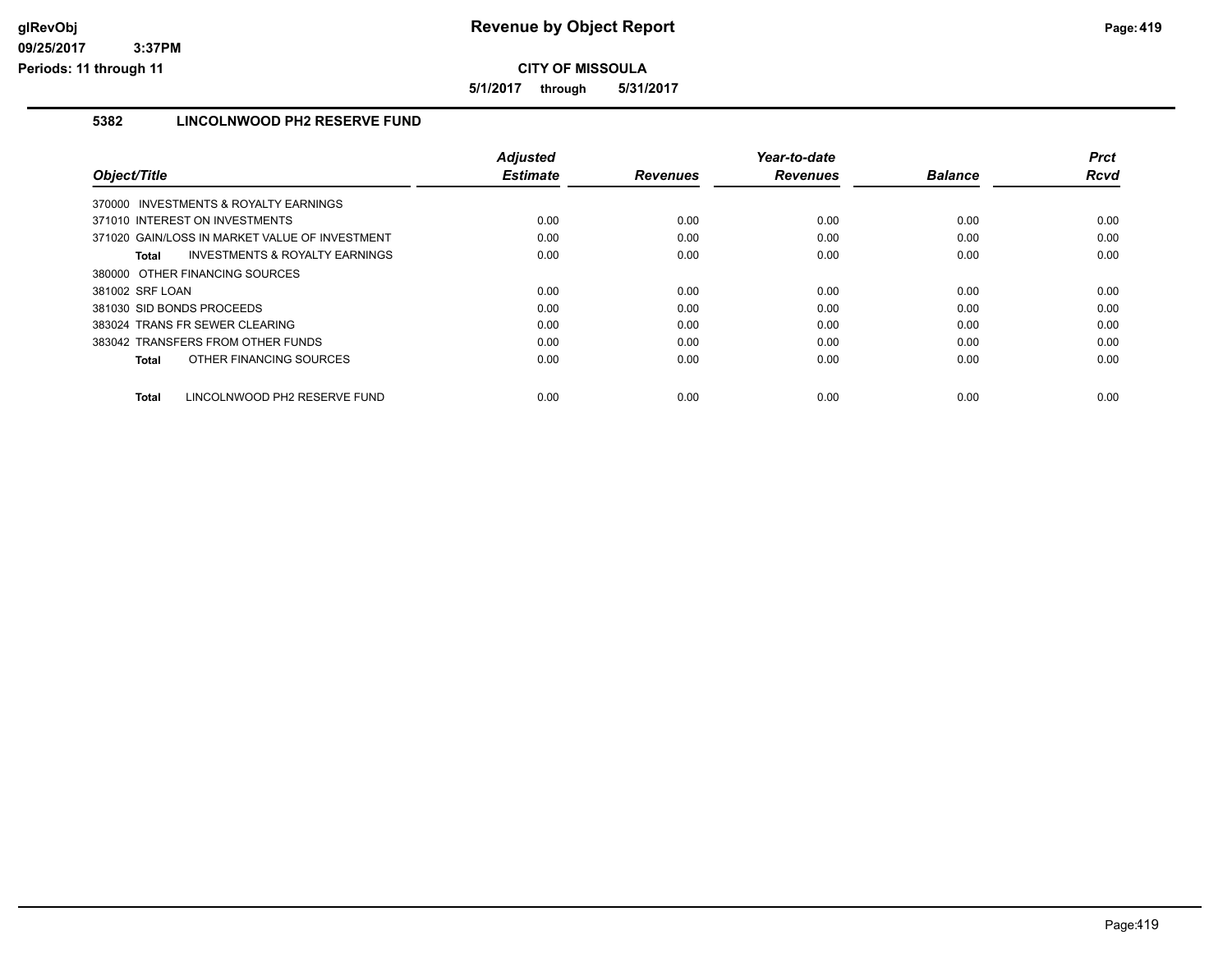**5/1/2017 through 5/31/2017**

## **5382 LINCOLNWOOD PH2 RESERVE FUND**

|                                                    | <b>Adjusted</b> |                 | Year-to-date    |                | <b>Prct</b> |
|----------------------------------------------------|-----------------|-----------------|-----------------|----------------|-------------|
| Object/Title                                       | <b>Estimate</b> | <b>Revenues</b> | <b>Revenues</b> | <b>Balance</b> | Rcvd        |
| 370000 INVESTMENTS & ROYALTY EARNINGS              |                 |                 |                 |                |             |
| 371010 INTEREST ON INVESTMENTS                     | 0.00            | 0.00            | 0.00            | 0.00           | 0.00        |
| 371020 GAIN/LOSS IN MARKET VALUE OF INVESTMENT     | 0.00            | 0.00            | 0.00            | 0.00           | 0.00        |
| <b>INVESTMENTS &amp; ROYALTY EARNINGS</b><br>Total | 0.00            | 0.00            | 0.00            | 0.00           | 0.00        |
| 380000 OTHER FINANCING SOURCES                     |                 |                 |                 |                |             |
| 381002 SRF LOAN                                    | 0.00            | 0.00            | 0.00            | 0.00           | 0.00        |
| 381030 SID BONDS PROCEEDS                          | 0.00            | 0.00            | 0.00            | 0.00           | 0.00        |
| 383024 TRANS FR SEWER CLEARING                     | 0.00            | 0.00            | 0.00            | 0.00           | 0.00        |
| 383042 TRANSFERS FROM OTHER FUNDS                  | 0.00            | 0.00            | 0.00            | 0.00           | 0.00        |
| OTHER FINANCING SOURCES<br>Total                   | 0.00            | 0.00            | 0.00            | 0.00           | 0.00        |
|                                                    |                 |                 |                 |                |             |
| LINCOLNWOOD PH2 RESERVE FUND<br>Total              | 0.00            | 0.00            | 0.00            | 0.00           | 0.00        |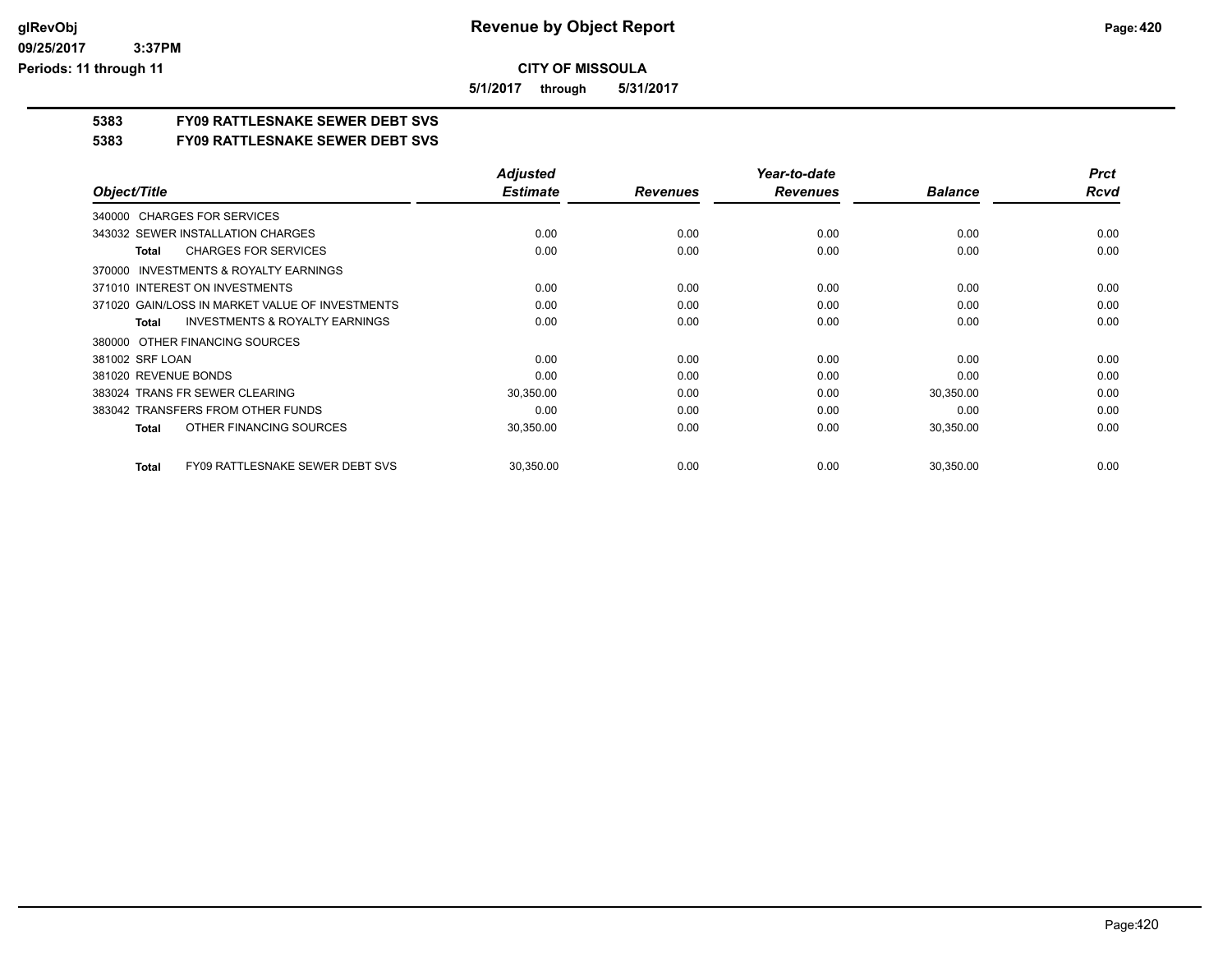**5/1/2017 through 5/31/2017**

# **5383 FY09 RATTLESNAKE SEWER DEBT SVS**

**5383 FY09 RATTLESNAKE SEWER DEBT SVS**

|                                                        | <b>Adjusted</b> |                 | Year-to-date    |                | <b>Prct</b> |
|--------------------------------------------------------|-----------------|-----------------|-----------------|----------------|-------------|
| Object/Title                                           | <b>Estimate</b> | <b>Revenues</b> | <b>Revenues</b> | <b>Balance</b> | <b>Rcvd</b> |
| 340000 CHARGES FOR SERVICES                            |                 |                 |                 |                |             |
| 343032 SEWER INSTALLATION CHARGES                      | 0.00            | 0.00            | 0.00            | 0.00           | 0.00        |
| <b>CHARGES FOR SERVICES</b><br>Total                   | 0.00            | 0.00            | 0.00            | 0.00           | 0.00        |
| <b>INVESTMENTS &amp; ROYALTY EARNINGS</b><br>370000    |                 |                 |                 |                |             |
| 371010 INTEREST ON INVESTMENTS                         | 0.00            | 0.00            | 0.00            | 0.00           | 0.00        |
| 371020 GAIN/LOSS IN MARKET VALUE OF INVESTMENTS        | 0.00            | 0.00            | 0.00            | 0.00           | 0.00        |
| <b>INVESTMENTS &amp; ROYALTY EARNINGS</b><br>Total     | 0.00            | 0.00            | 0.00            | 0.00           | 0.00        |
| 380000 OTHER FINANCING SOURCES                         |                 |                 |                 |                |             |
| 381002 SRF LOAN                                        | 0.00            | 0.00            | 0.00            | 0.00           | 0.00        |
| 381020 REVENUE BONDS                                   | 0.00            | 0.00            | 0.00            | 0.00           | 0.00        |
| 383024 TRANS FR SEWER CLEARING                         | 30,350.00       | 0.00            | 0.00            | 30,350.00      | 0.00        |
| 383042 TRANSFERS FROM OTHER FUNDS                      | 0.00            | 0.00            | 0.00            | 0.00           | 0.00        |
| OTHER FINANCING SOURCES<br>Total                       | 30,350.00       | 0.00            | 0.00            | 30,350.00      | 0.00        |
| <b>FY09 RATTLESNAKE SEWER DEBT SVS</b><br><b>Total</b> | 30,350.00       | 0.00            | 0.00            | 30,350.00      | 0.00        |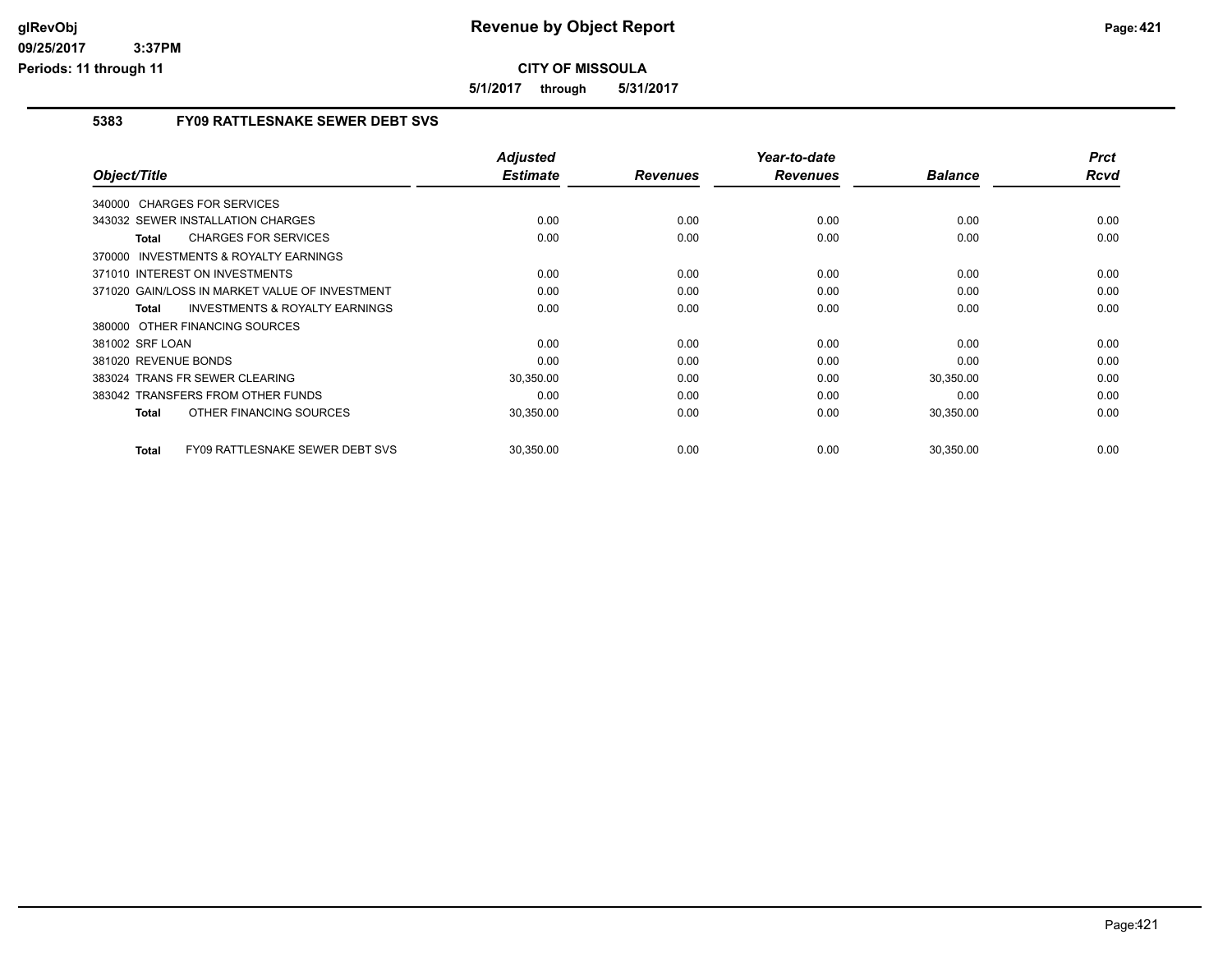**5/1/2017 through 5/31/2017**

### **5383 FY09 RATTLESNAKE SEWER DEBT SVS**

| Object/Title                                              | <b>Adjusted</b><br><b>Estimate</b> | <b>Revenues</b> | Year-to-date<br><b>Revenues</b> | <b>Balance</b> | <b>Prct</b><br>Rcvd |
|-----------------------------------------------------------|------------------------------------|-----------------|---------------------------------|----------------|---------------------|
|                                                           |                                    |                 |                                 |                |                     |
| 340000 CHARGES FOR SERVICES                               |                                    |                 |                                 |                |                     |
| 343032 SEWER INSTALLATION CHARGES                         | 0.00                               | 0.00            | 0.00                            | 0.00           | 0.00                |
| <b>CHARGES FOR SERVICES</b><br><b>Total</b>               | 0.00                               | 0.00            | 0.00                            | 0.00           | 0.00                |
| 370000 INVESTMENTS & ROYALTY EARNINGS                     |                                    |                 |                                 |                |                     |
| 371010 INTEREST ON INVESTMENTS                            | 0.00                               | 0.00            | 0.00                            | 0.00           | 0.00                |
| 371020 GAIN/LOSS IN MARKET VALUE OF INVESTMENT            | 0.00                               | 0.00            | 0.00                            | 0.00           | 0.00                |
| <b>INVESTMENTS &amp; ROYALTY EARNINGS</b><br><b>Total</b> | 0.00                               | 0.00            | 0.00                            | 0.00           | 0.00                |
| 380000 OTHER FINANCING SOURCES                            |                                    |                 |                                 |                |                     |
| 381002 SRF LOAN                                           | 0.00                               | 0.00            | 0.00                            | 0.00           | 0.00                |
| 381020 REVENUE BONDS                                      | 0.00                               | 0.00            | 0.00                            | 0.00           | 0.00                |
| 383024 TRANS FR SEWER CLEARING                            | 30,350.00                          | 0.00            | 0.00                            | 30,350.00      | 0.00                |
| 383042 TRANSFERS FROM OTHER FUNDS                         | 0.00                               | 0.00            | 0.00                            | 0.00           | 0.00                |
| OTHER FINANCING SOURCES<br><b>Total</b>                   | 30,350.00                          | 0.00            | 0.00                            | 30,350.00      | 0.00                |
| <b>FY09 RATTLESNAKE SEWER DEBT SVS</b><br><b>Total</b>    | 30,350.00                          | 0.00            | 0.00                            | 30,350.00      | 0.00                |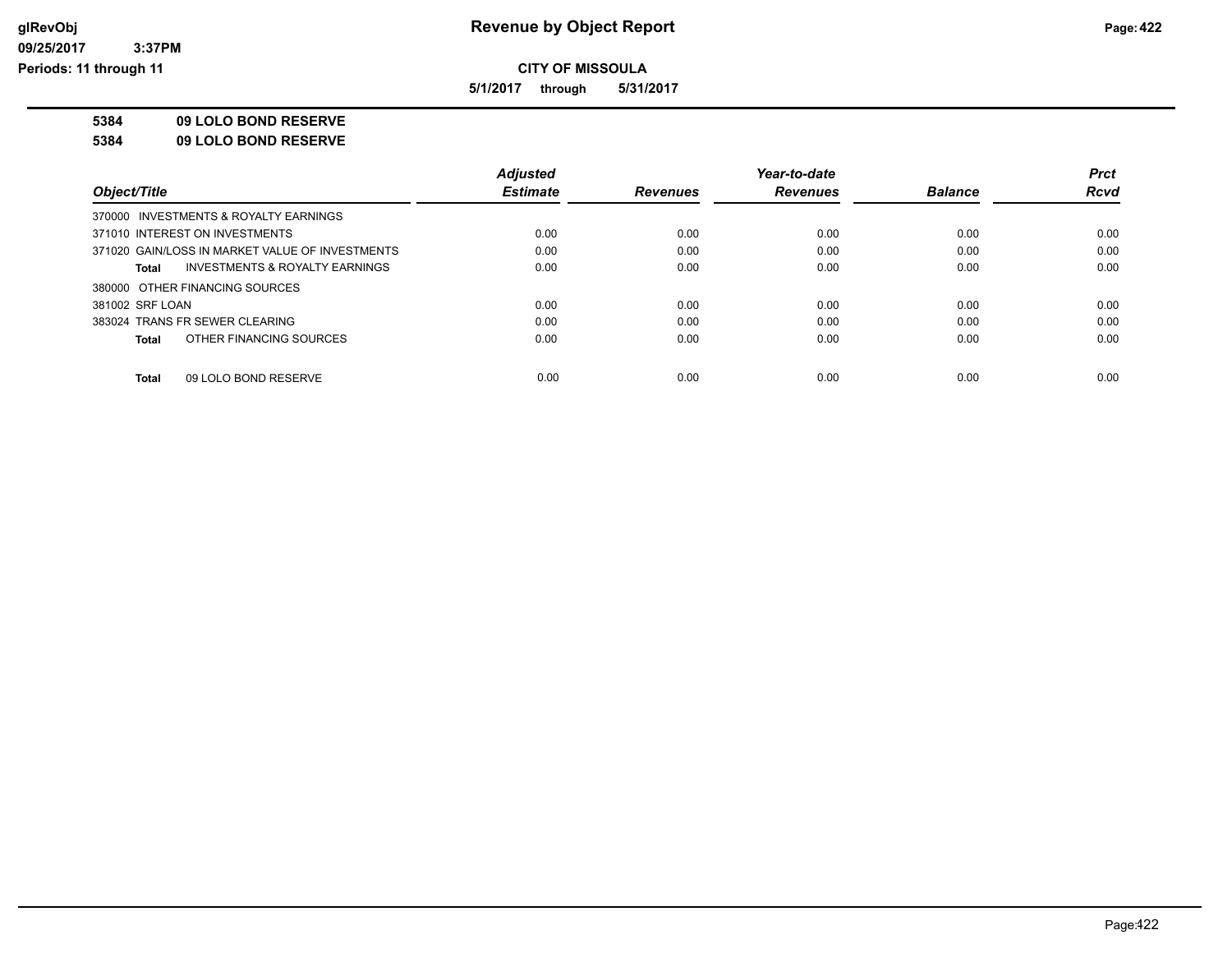**5/1/2017 through 5/31/2017**

#### **5384 09 LOLO BOND RESERVE**

**5384 09 LOLO BOND RESERVE**

|                                                    | <b>Adjusted</b> |                 | Year-to-date    |                | <b>Prct</b> |
|----------------------------------------------------|-----------------|-----------------|-----------------|----------------|-------------|
| Object/Title                                       | <b>Estimate</b> | <b>Revenues</b> | <b>Revenues</b> | <b>Balance</b> | <b>Rcvd</b> |
| 370000 INVESTMENTS & ROYALTY EARNINGS              |                 |                 |                 |                |             |
| 371010 INTEREST ON INVESTMENTS                     | 0.00            | 0.00            | 0.00            | 0.00           | 0.00        |
| 371020 GAIN/LOSS IN MARKET VALUE OF INVESTMENTS    | 0.00            | 0.00            | 0.00            | 0.00           | 0.00        |
| <b>INVESTMENTS &amp; ROYALTY EARNINGS</b><br>Total | 0.00            | 0.00            | 0.00            | 0.00           | 0.00        |
| 380000 OTHER FINANCING SOURCES                     |                 |                 |                 |                |             |
| 381002 SRF LOAN                                    | 0.00            | 0.00            | 0.00            | 0.00           | 0.00        |
| 383024 TRANS FR SEWER CLEARING                     | 0.00            | 0.00            | 0.00            | 0.00           | 0.00        |
| OTHER FINANCING SOURCES<br>Total                   | 0.00            | 0.00            | 0.00            | 0.00           | 0.00        |
| 09 LOLO BOND RESERVE<br>Total                      | 0.00            | 0.00            | 0.00            | 0.00           | 0.00        |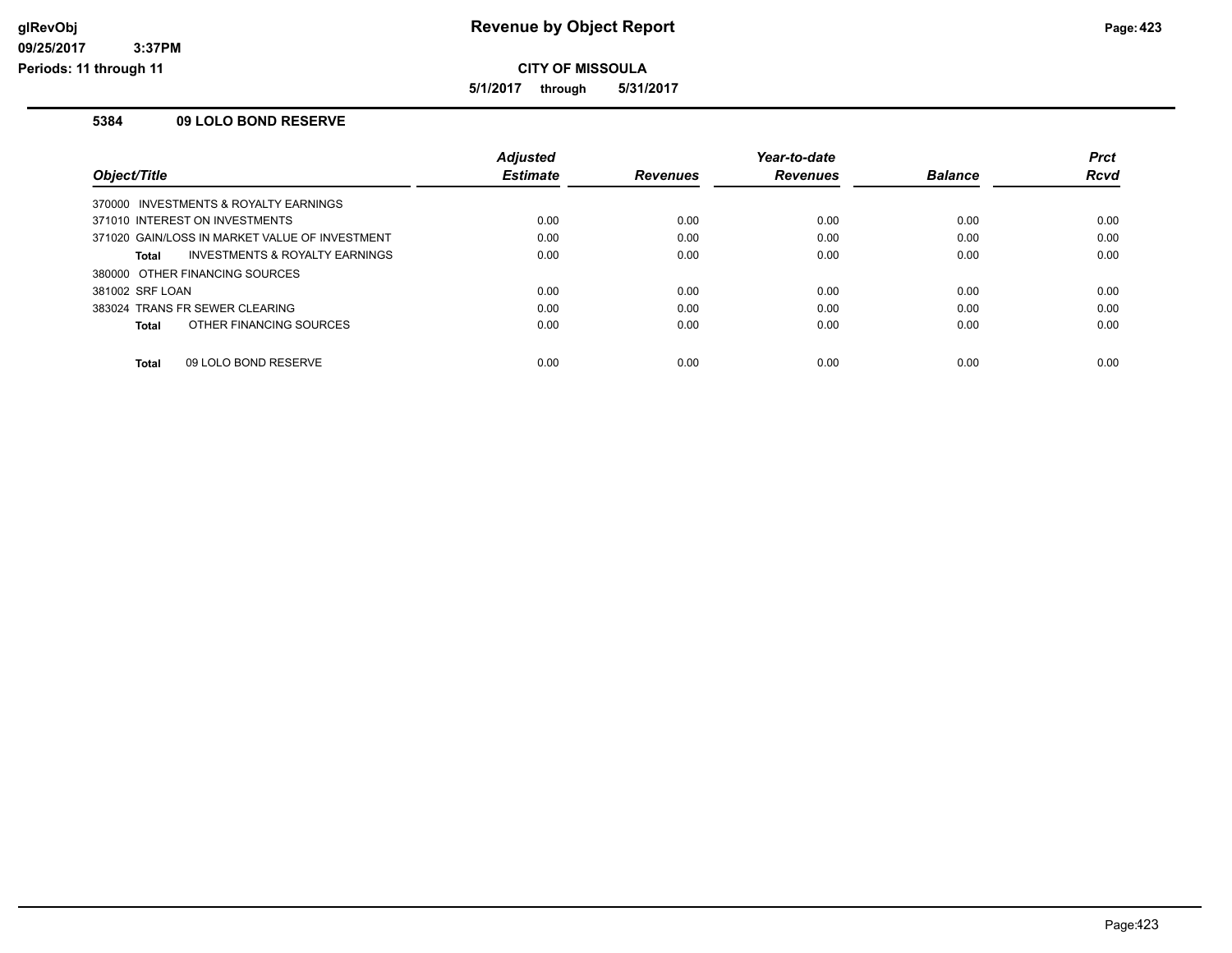**Periods: 11 through 11**

**CITY OF MISSOULA**

**5/1/2017 through 5/31/2017**

#### **5384 09 LOLO BOND RESERVE**

|                                                | <b>Adjusted</b> |                 | Year-to-date    |                | <b>Prct</b> |
|------------------------------------------------|-----------------|-----------------|-----------------|----------------|-------------|
| Object/Title                                   | <b>Estimate</b> | <b>Revenues</b> | <b>Revenues</b> | <b>Balance</b> | <b>Rcvd</b> |
| 370000 INVESTMENTS & ROYALTY EARNINGS          |                 |                 |                 |                |             |
| 371010 INTEREST ON INVESTMENTS                 | 0.00            | 0.00            | 0.00            | 0.00           | 0.00        |
| 371020 GAIN/LOSS IN MARKET VALUE OF INVESTMENT | 0.00            | 0.00            | 0.00            | 0.00           | 0.00        |
| INVESTMENTS & ROYALTY EARNINGS<br>Total        | 0.00            | 0.00            | 0.00            | 0.00           | 0.00        |
| 380000 OTHER FINANCING SOURCES                 |                 |                 |                 |                |             |
| 381002 SRF LOAN                                | 0.00            | 0.00            | 0.00            | 0.00           | 0.00        |
| 383024 TRANS FR SEWER CLEARING                 | 0.00            | 0.00            | 0.00            | 0.00           | 0.00        |
| OTHER FINANCING SOURCES<br>Total               | 0.00            | 0.00            | 0.00            | 0.00           | 0.00        |
| 09 LOLO BOND RESERVE<br>Total                  | 0.00            | 0.00            | 0.00            | 0.00           | 0.00        |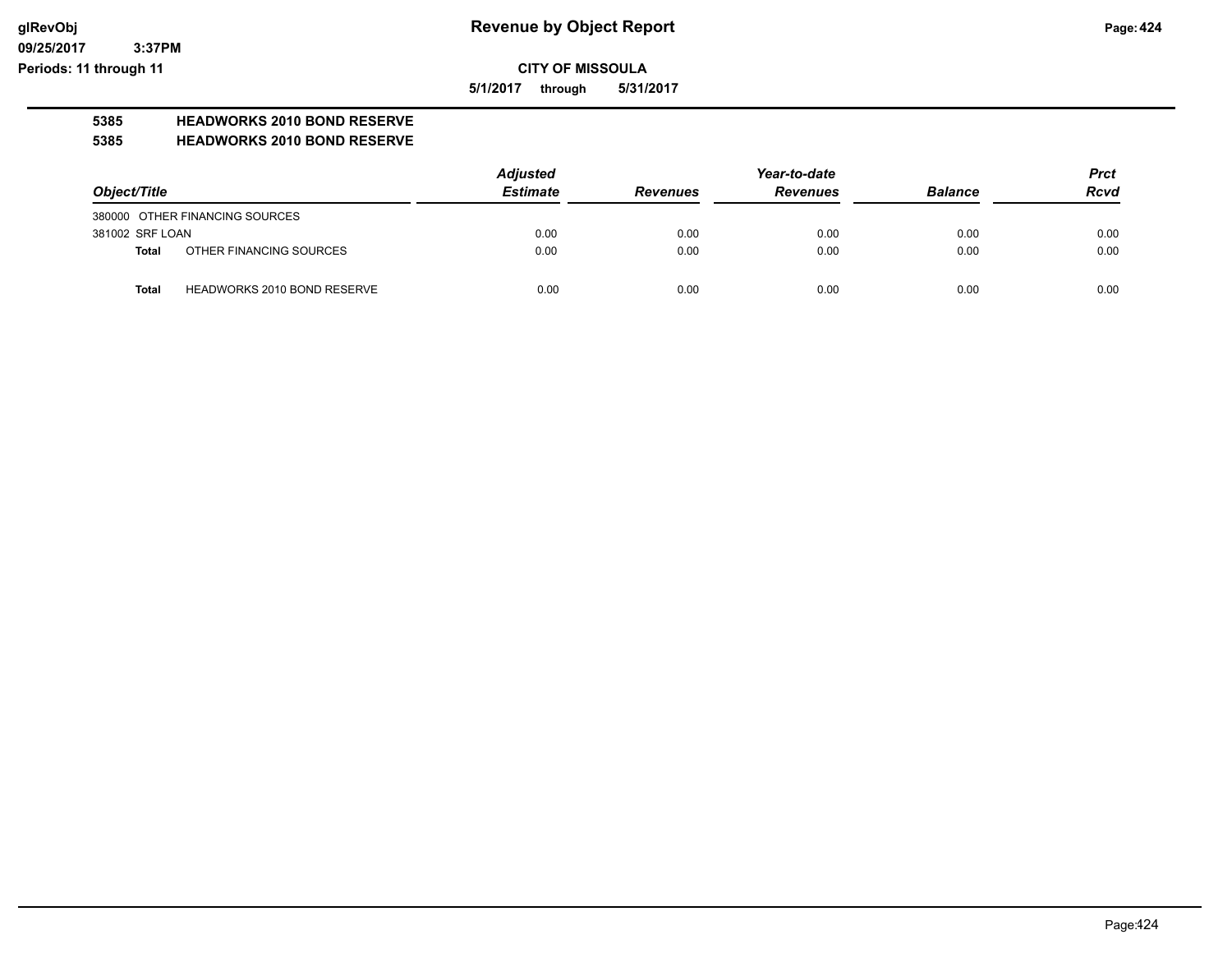**5/1/2017 through 5/31/2017**

# **5385 HEADWORKS 2010 BOND RESERVE**

# **5385 HEADWORKS 2010 BOND RESERVE**

|                 |                                    | <b>Adjusted</b> |                 | Year-to-date    |                | <b>Prct</b> |
|-----------------|------------------------------------|-----------------|-----------------|-----------------|----------------|-------------|
| Object/Title    |                                    | <b>Estimate</b> | <b>Revenues</b> | <b>Revenues</b> | <b>Balance</b> | <b>Rcvd</b> |
|                 | 380000 OTHER FINANCING SOURCES     |                 |                 |                 |                |             |
| 381002 SRF LOAN |                                    | 0.00            | 0.00            | 0.00            | 0.00           | 0.00        |
| <b>Total</b>    | OTHER FINANCING SOURCES            | 0.00            | 0.00            | 0.00            | 0.00           | 0.00        |
| <b>Total</b>    | <b>HEADWORKS 2010 BOND RESERVE</b> | 0.00            | 0.00            | 0.00            | 0.00           | 0.00        |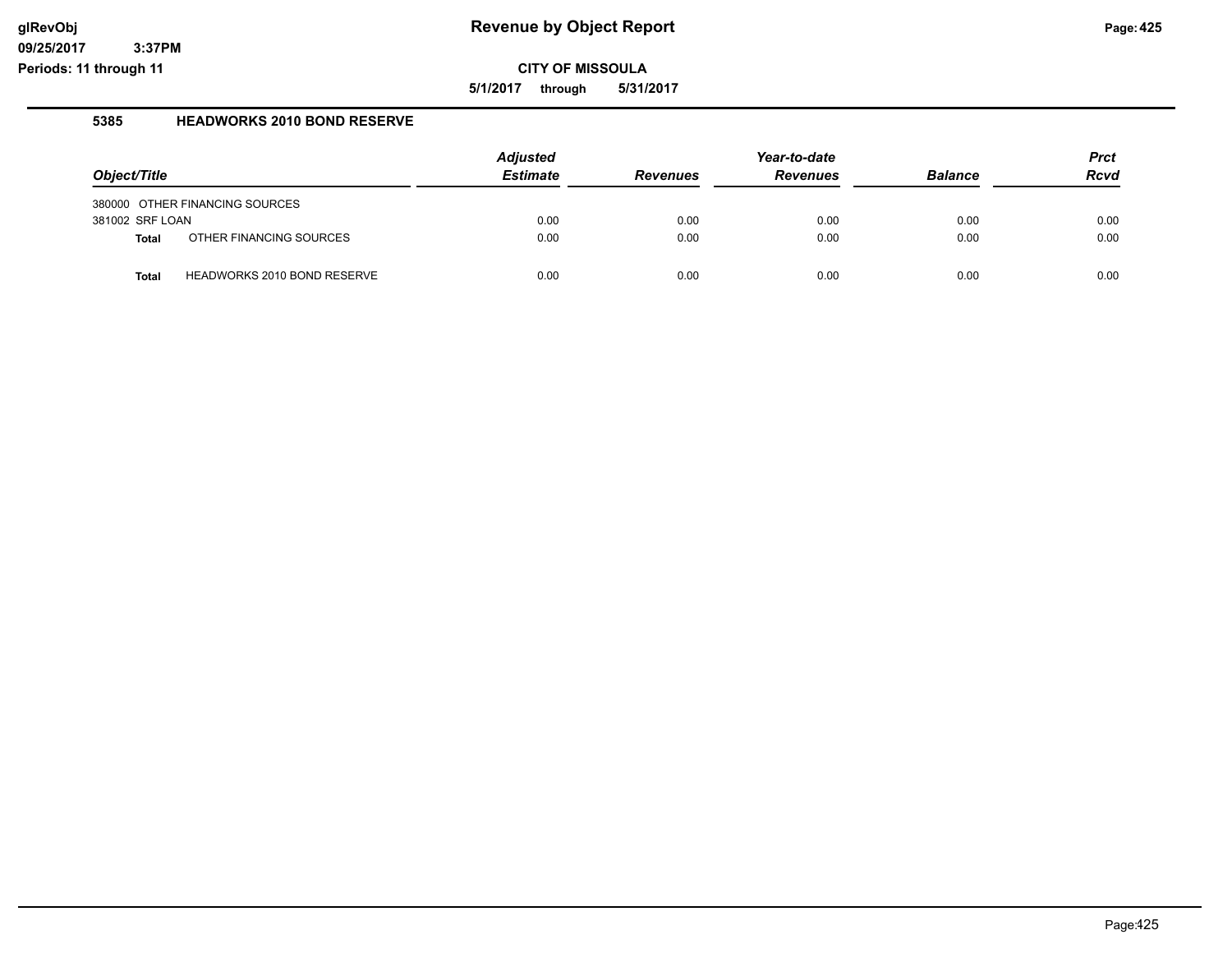**5/1/2017 through 5/31/2017**

#### **5385 HEADWORKS 2010 BOND RESERVE**

| Object/Title    |                                | <b>Adjusted</b><br><b>Estimate</b> | <b>Revenues</b> | Year-to-date<br><b>Revenues</b> | <b>Balance</b> | Prct<br>Rcvd |
|-----------------|--------------------------------|------------------------------------|-----------------|---------------------------------|----------------|--------------|
|                 | 380000 OTHER FINANCING SOURCES |                                    |                 |                                 |                |              |
| 381002 SRF LOAN |                                | 0.00                               | 0.00            | 0.00                            | 0.00           | 0.00         |
| <b>Total</b>    | OTHER FINANCING SOURCES        | 0.00                               | 0.00            | 0.00                            | 0.00           | 0.00         |
| <b>Total</b>    | HEADWORKS 2010 BOND RESERVE    | 0.00                               | 0.00            | 0.00                            | 0.00           | 0.00         |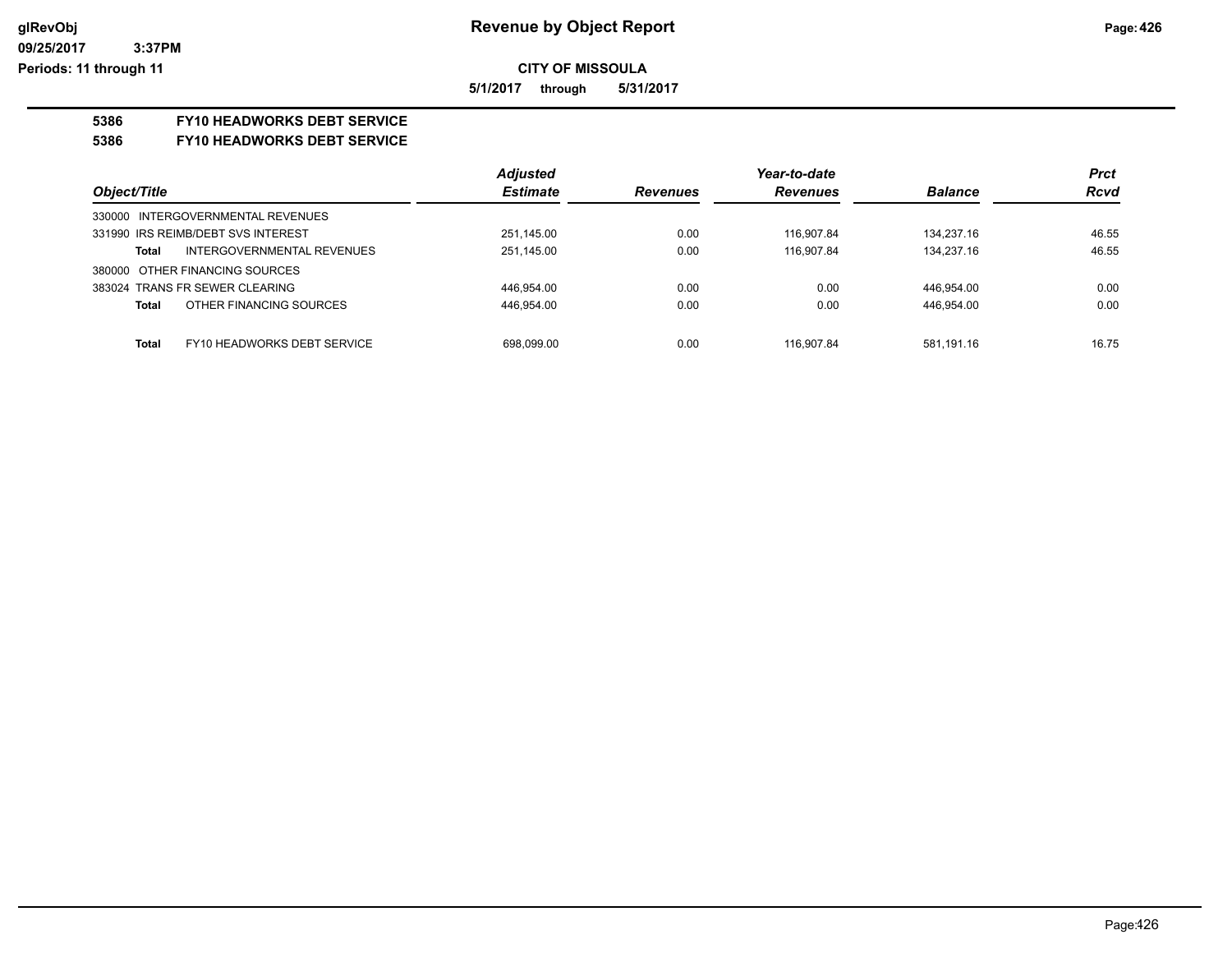**5/1/2017 through 5/31/2017**

# **5386 FY10 HEADWORKS DEBT SERVICE**

#### **5386 FY10 HEADWORKS DEBT SERVICE**

|                                      | <b>Adjusted</b> |                 | Year-to-date    |                | <b>Prct</b> |
|--------------------------------------|-----------------|-----------------|-----------------|----------------|-------------|
| Object/Title                         | <b>Estimate</b> | <b>Revenues</b> | <b>Revenues</b> | <b>Balance</b> | <b>Rcvd</b> |
| 330000 INTERGOVERNMENTAL REVENUES    |                 |                 |                 |                |             |
| 331990 IRS REIMB/DEBT SVS INTEREST   | 251,145.00      | 0.00            | 116.907.84      | 134.237.16     | 46.55       |
| INTERGOVERNMENTAL REVENUES<br>Total  | 251,145.00      | 0.00            | 116.907.84      | 134.237.16     | 46.55       |
| 380000 OTHER FINANCING SOURCES       |                 |                 |                 |                |             |
| 383024 TRANS FR SEWER CLEARING       | 446,954.00      | 0.00            | 0.00            | 446,954.00     | 0.00        |
| OTHER FINANCING SOURCES<br>Total     | 446,954.00      | 0.00            | 0.00            | 446,954.00     | 0.00        |
|                                      |                 |                 |                 |                |             |
| FY10 HEADWORKS DEBT SERVICE<br>Total | 698.099.00      | 0.00            | 116.907.84      | 581.191.16     | 16.75       |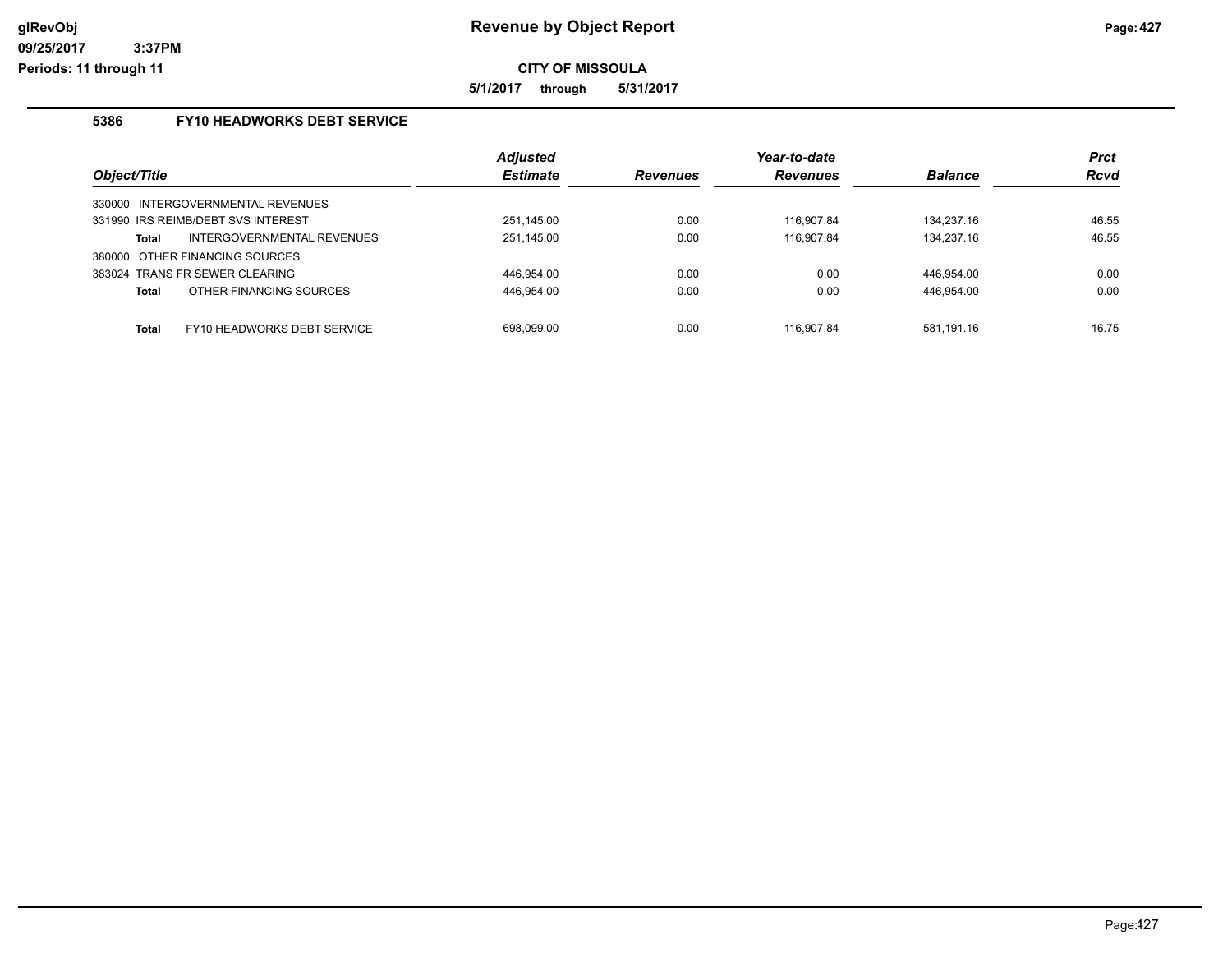**5/1/2017 through 5/31/2017**

## **5386 FY10 HEADWORKS DEBT SERVICE**

|                                                    | <b>Adjusted</b> |                 | Year-to-date    |                | <b>Prct</b> |
|----------------------------------------------------|-----------------|-----------------|-----------------|----------------|-------------|
| Object/Title                                       | <b>Estimate</b> | <b>Revenues</b> | <b>Revenues</b> | <b>Balance</b> | <b>Rcvd</b> |
| 330000 INTERGOVERNMENTAL REVENUES                  |                 |                 |                 |                |             |
| 331990 IRS REIMB/DEBT SVS INTEREST                 | 251,145.00      | 0.00            | 116.907.84      | 134,237.16     | 46.55       |
| <b>INTERGOVERNMENTAL REVENUES</b><br>Total         | 251,145.00      | 0.00            | 116.907.84      | 134.237.16     | 46.55       |
| 380000 OTHER FINANCING SOURCES                     |                 |                 |                 |                |             |
| 383024 TRANS FR SEWER CLEARING                     | 446,954.00      | 0.00            | 0.00            | 446,954.00     | 0.00        |
| OTHER FINANCING SOURCES<br>Total                   | 446,954.00      | 0.00            | 0.00            | 446,954.00     | 0.00        |
| <b>FY10 HEADWORKS DEBT SERVICE</b><br><b>Total</b> | 698.099.00      | 0.00            | 116.907.84      | 581.191.16     | 16.75       |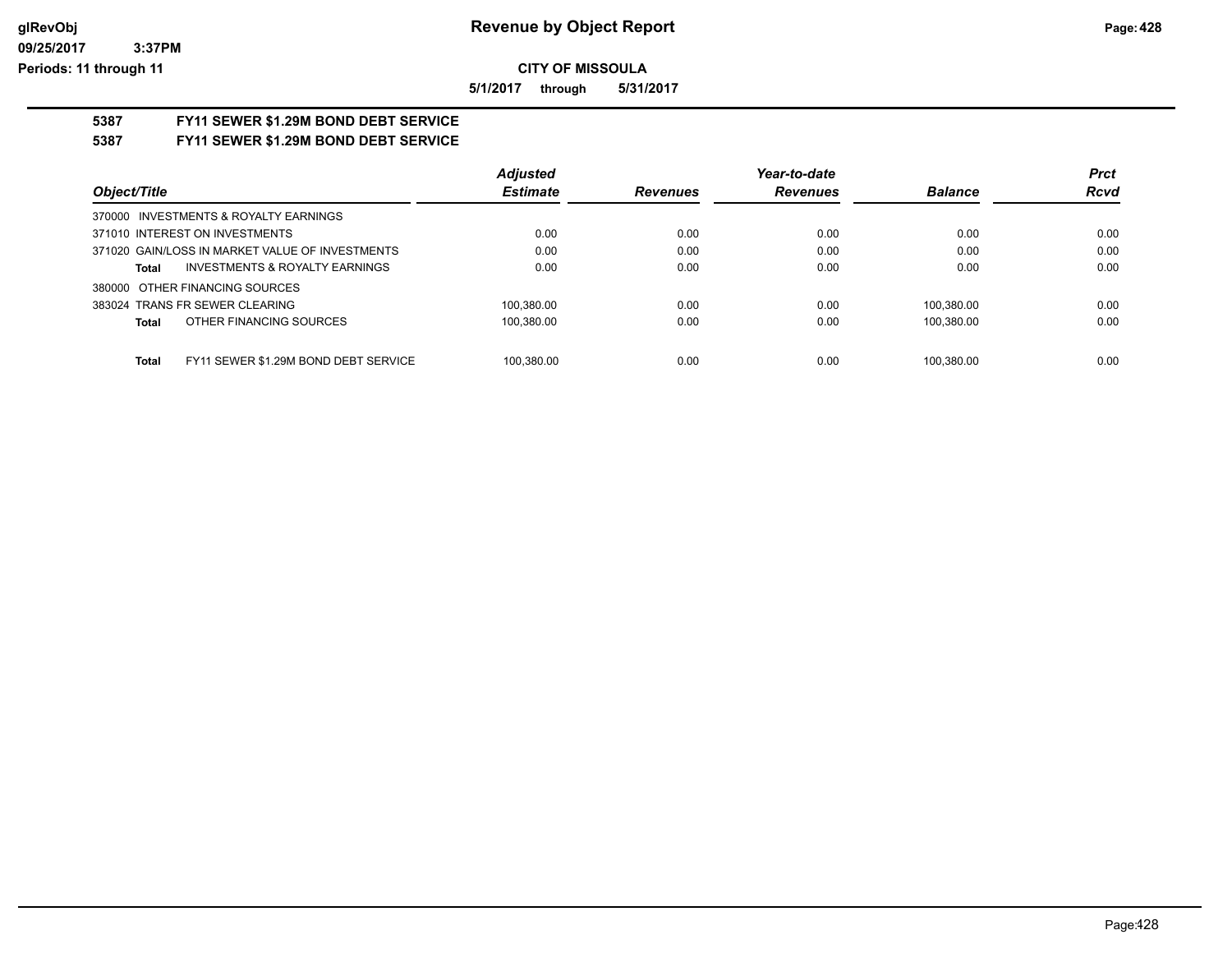**5/1/2017 through 5/31/2017**

# **5387 FY11 SEWER \$1.29M BOND DEBT SERVICE**

# **5387 FY11 SEWER \$1.29M BOND DEBT SERVICE**

|                                                      | <b>Adjusted</b> |                 | Year-to-date    |                | <b>Prct</b> |
|------------------------------------------------------|-----------------|-----------------|-----------------|----------------|-------------|
| Object/Title                                         | <b>Estimate</b> | <b>Revenues</b> | <b>Revenues</b> | <b>Balance</b> | <b>Rcvd</b> |
| 370000 INVESTMENTS & ROYALTY EARNINGS                |                 |                 |                 |                |             |
| 371010 INTEREST ON INVESTMENTS                       | 0.00            | 0.00            | 0.00            | 0.00           | 0.00        |
| 371020 GAIN/LOSS IN MARKET VALUE OF INVESTMENTS      | 0.00            | 0.00            | 0.00            | 0.00           | 0.00        |
| INVESTMENTS & ROYALTY EARNINGS<br>Total              | 0.00            | 0.00            | 0.00            | 0.00           | 0.00        |
| 380000 OTHER FINANCING SOURCES                       |                 |                 |                 |                |             |
| 383024 TRANS FR SEWER CLEARING                       | 100.380.00      | 0.00            | 0.00            | 100.380.00     | 0.00        |
| OTHER FINANCING SOURCES<br>Total                     | 100.380.00      | 0.00            | 0.00            | 100.380.00     | 0.00        |
|                                                      |                 |                 |                 |                |             |
| <b>Total</b><br>FY11 SEWER \$1.29M BOND DEBT SERVICE | 100.380.00      | 0.00            | 0.00            | 100.380.00     | 0.00        |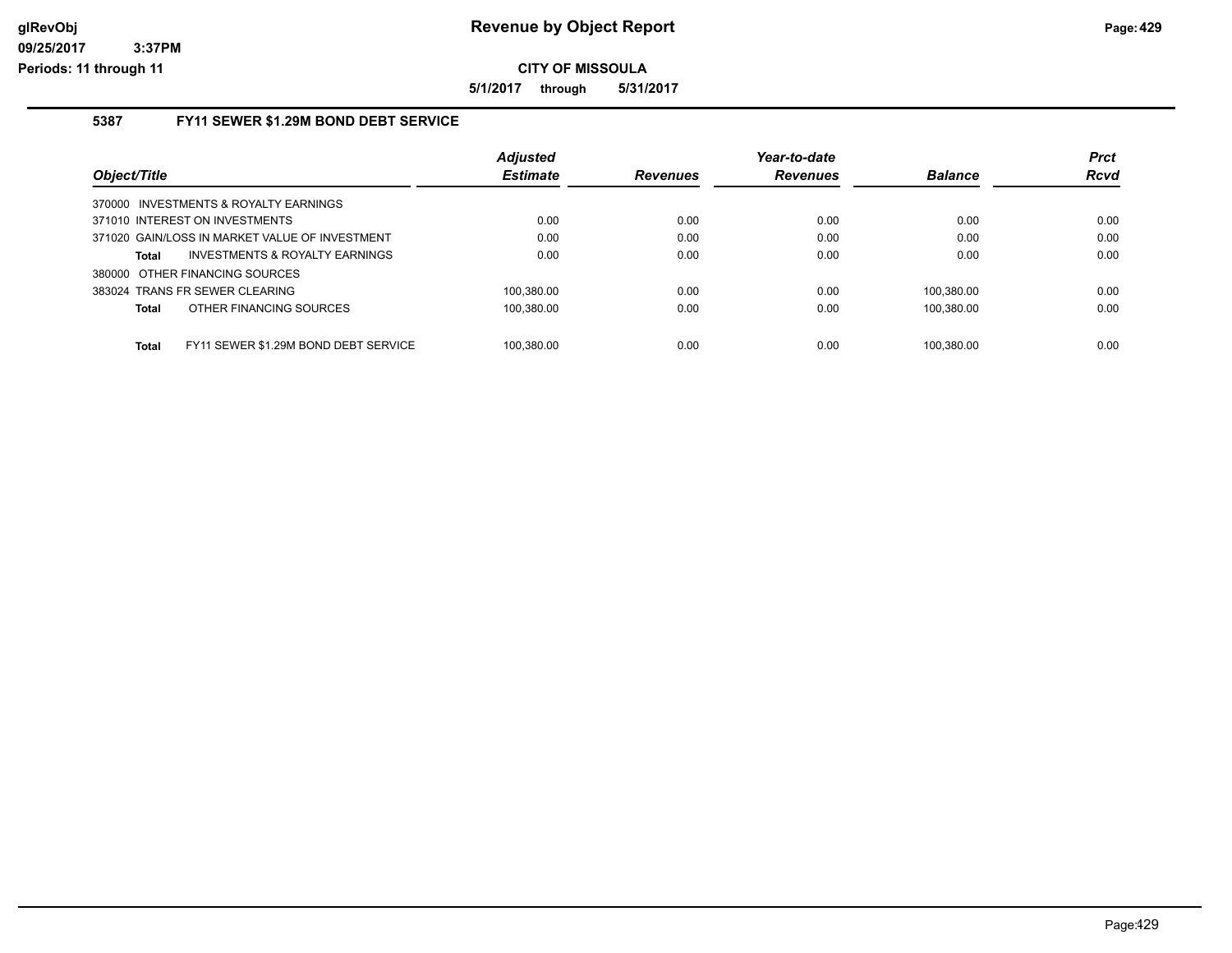**5/1/2017 through 5/31/2017**

### **5387 FY11 SEWER \$1.29M BOND DEBT SERVICE**

|                                                      | <b>Adjusted</b> |                 | Year-to-date    |                | <b>Prct</b> |
|------------------------------------------------------|-----------------|-----------------|-----------------|----------------|-------------|
| Object/Title                                         | <b>Estimate</b> | <b>Revenues</b> | <b>Revenues</b> | <b>Balance</b> | <b>Rcvd</b> |
| 370000 INVESTMENTS & ROYALTY EARNINGS                |                 |                 |                 |                |             |
| 371010 INTEREST ON INVESTMENTS                       | 0.00            | 0.00            | 0.00            | 0.00           | 0.00        |
| 371020 GAIN/LOSS IN MARKET VALUE OF INVESTMENT       | 0.00            | 0.00            | 0.00            | 0.00           | 0.00        |
| INVESTMENTS & ROYALTY EARNINGS<br>Total              | 0.00            | 0.00            | 0.00            | 0.00           | 0.00        |
| 380000 OTHER FINANCING SOURCES                       |                 |                 |                 |                |             |
| 383024 TRANS FR SEWER CLEARING                       | 100.380.00      | 0.00            | 0.00            | 100.380.00     | 0.00        |
| OTHER FINANCING SOURCES<br>Total                     | 100.380.00      | 0.00            | 0.00            | 100.380.00     | 0.00        |
|                                                      |                 |                 |                 |                |             |
| <b>Total</b><br>FY11 SEWER \$1.29M BOND DEBT SERVICE | 100.380.00      | 0.00            | 0.00            | 100.380.00     | 0.00        |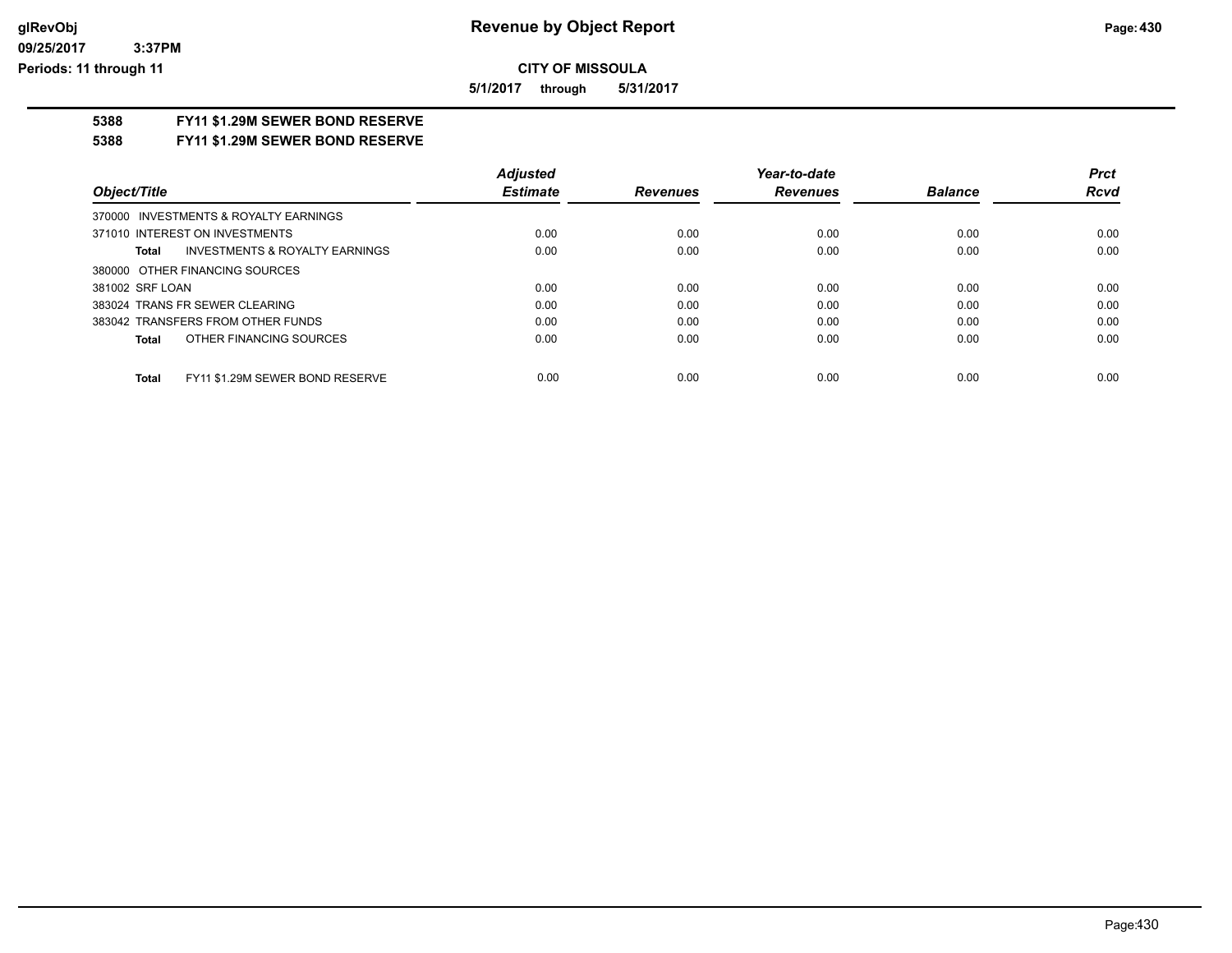**5/1/2017 through 5/31/2017**

# **5388 FY11 \$1.29M SEWER BOND RESERVE**

**5388 FY11 \$1.29M SEWER BOND RESERVE**

|                                          | <b>Adjusted</b> |                 | Year-to-date    |                | <b>Prct</b> |
|------------------------------------------|-----------------|-----------------|-----------------|----------------|-------------|
| Object/Title                             | <b>Estimate</b> | <b>Revenues</b> | <b>Revenues</b> | <b>Balance</b> | <b>Rcvd</b> |
| 370000 INVESTMENTS & ROYALTY EARNINGS    |                 |                 |                 |                |             |
| 371010 INTEREST ON INVESTMENTS           | 0.00            | 0.00            | 0.00            | 0.00           | 0.00        |
| INVESTMENTS & ROYALTY EARNINGS<br>Total  | 0.00            | 0.00            | 0.00            | 0.00           | 0.00        |
| 380000 OTHER FINANCING SOURCES           |                 |                 |                 |                |             |
| 381002 SRF LOAN                          | 0.00            | 0.00            | 0.00            | 0.00           | 0.00        |
| 383024 TRANS FR SEWER CLEARING           | 0.00            | 0.00            | 0.00            | 0.00           | 0.00        |
| 383042 TRANSFERS FROM OTHER FUNDS        | 0.00            | 0.00            | 0.00            | 0.00           | 0.00        |
| OTHER FINANCING SOURCES<br>Total         | 0.00            | 0.00            | 0.00            | 0.00           | 0.00        |
| FY11 \$1.29M SEWER BOND RESERVE<br>Total | 0.00            | 0.00            | 0.00            | 0.00           | 0.00        |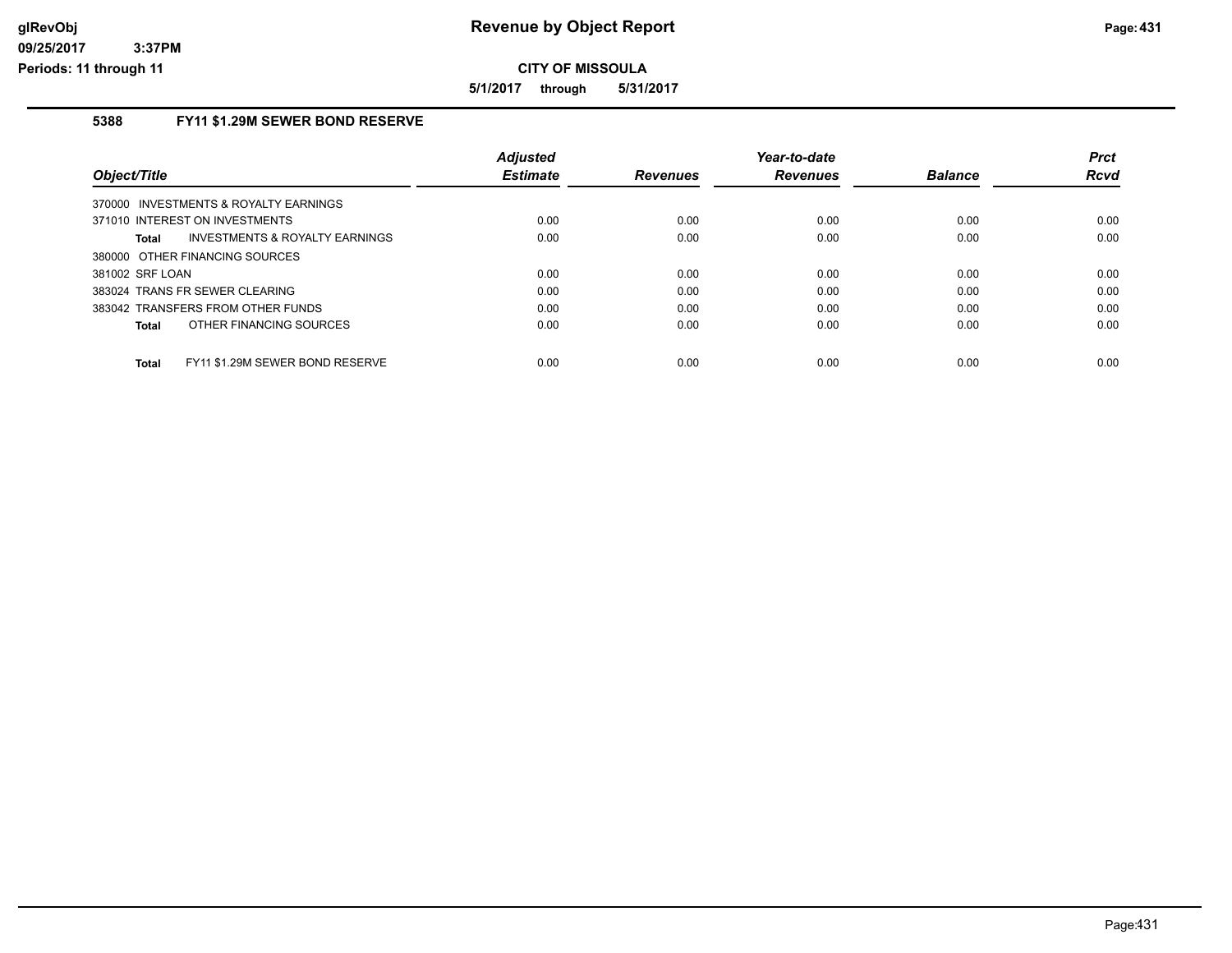**5/1/2017 through 5/31/2017**

#### **5388 FY11 \$1.29M SEWER BOND RESERVE**

|                                                           | <b>Adjusted</b> |                 | Year-to-date    |                | <b>Prct</b> |
|-----------------------------------------------------------|-----------------|-----------------|-----------------|----------------|-------------|
| Object/Title                                              | <b>Estimate</b> | <b>Revenues</b> | <b>Revenues</b> | <b>Balance</b> | <b>Rcvd</b> |
| 370000 INVESTMENTS & ROYALTY EARNINGS                     |                 |                 |                 |                |             |
| 371010 INTEREST ON INVESTMENTS                            | 0.00            | 0.00            | 0.00            | 0.00           | 0.00        |
| <b>INVESTMENTS &amp; ROYALTY EARNINGS</b><br><b>Total</b> | 0.00            | 0.00            | 0.00            | 0.00           | 0.00        |
| 380000 OTHER FINANCING SOURCES                            |                 |                 |                 |                |             |
| 381002 SRF LOAN                                           | 0.00            | 0.00            | 0.00            | 0.00           | 0.00        |
| 383024 TRANS FR SEWER CLEARING                            | 0.00            | 0.00            | 0.00            | 0.00           | 0.00        |
| 383042 TRANSFERS FROM OTHER FUNDS                         | 0.00            | 0.00            | 0.00            | 0.00           | 0.00        |
| OTHER FINANCING SOURCES<br><b>Total</b>                   | 0.00            | 0.00            | 0.00            | 0.00           | 0.00        |
| FY11 \$1.29M SEWER BOND RESERVE<br><b>Total</b>           | 0.00            | 0.00            | 0.00            | 0.00           | 0.00        |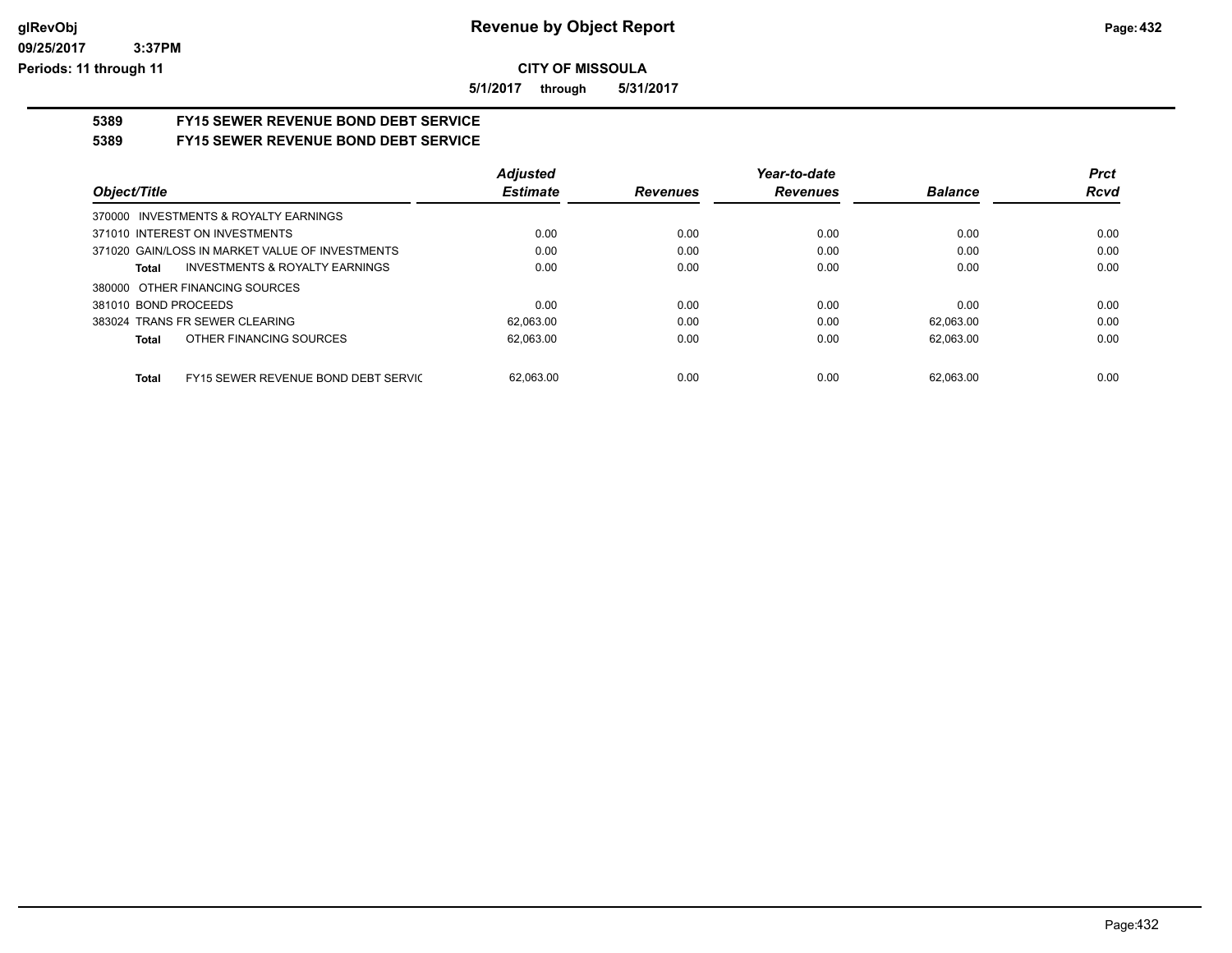**Periods: 11 through 11**

**CITY OF MISSOULA**

**5/1/2017 through 5/31/2017**

# **5389 FY15 SEWER REVENUE BOND DEBT SERVICE**

# **5389 FY15 SEWER REVENUE BOND DEBT SERVICE**

|                      |                                                 | <b>Adjusted</b> |                 | Year-to-date    |                | <b>Prct</b> |
|----------------------|-------------------------------------------------|-----------------|-----------------|-----------------|----------------|-------------|
| Object/Title         |                                                 | <b>Estimate</b> | <b>Revenues</b> | <b>Revenues</b> | <b>Balance</b> | <b>Rcvd</b> |
|                      | 370000 INVESTMENTS & ROYALTY EARNINGS           |                 |                 |                 |                |             |
|                      | 371010 INTEREST ON INVESTMENTS                  | 0.00            | 0.00            | 0.00            | 0.00           | 0.00        |
|                      | 371020 GAIN/LOSS IN MARKET VALUE OF INVESTMENTS | 0.00            | 0.00            | 0.00            | 0.00           | 0.00        |
| Total                | <b>INVESTMENTS &amp; ROYALTY EARNINGS</b>       | 0.00            | 0.00            | 0.00            | 0.00           | 0.00        |
|                      | 380000 OTHER FINANCING SOURCES                  |                 |                 |                 |                |             |
| 381010 BOND PROCEEDS |                                                 | 0.00            | 0.00            | 0.00            | 0.00           | 0.00        |
|                      | 383024 TRANS FR SEWER CLEARING                  | 62.063.00       | 0.00            | 0.00            | 62.063.00      | 0.00        |
| <b>Total</b>         | OTHER FINANCING SOURCES                         | 62,063.00       | 0.00            | 0.00            | 62,063.00      | 0.00        |
| <b>Total</b>         | FY15 SEWER REVENUE BOND DEBT SERVIC             | 62.063.00       | 0.00            | 0.00            | 62.063.00      | 0.00        |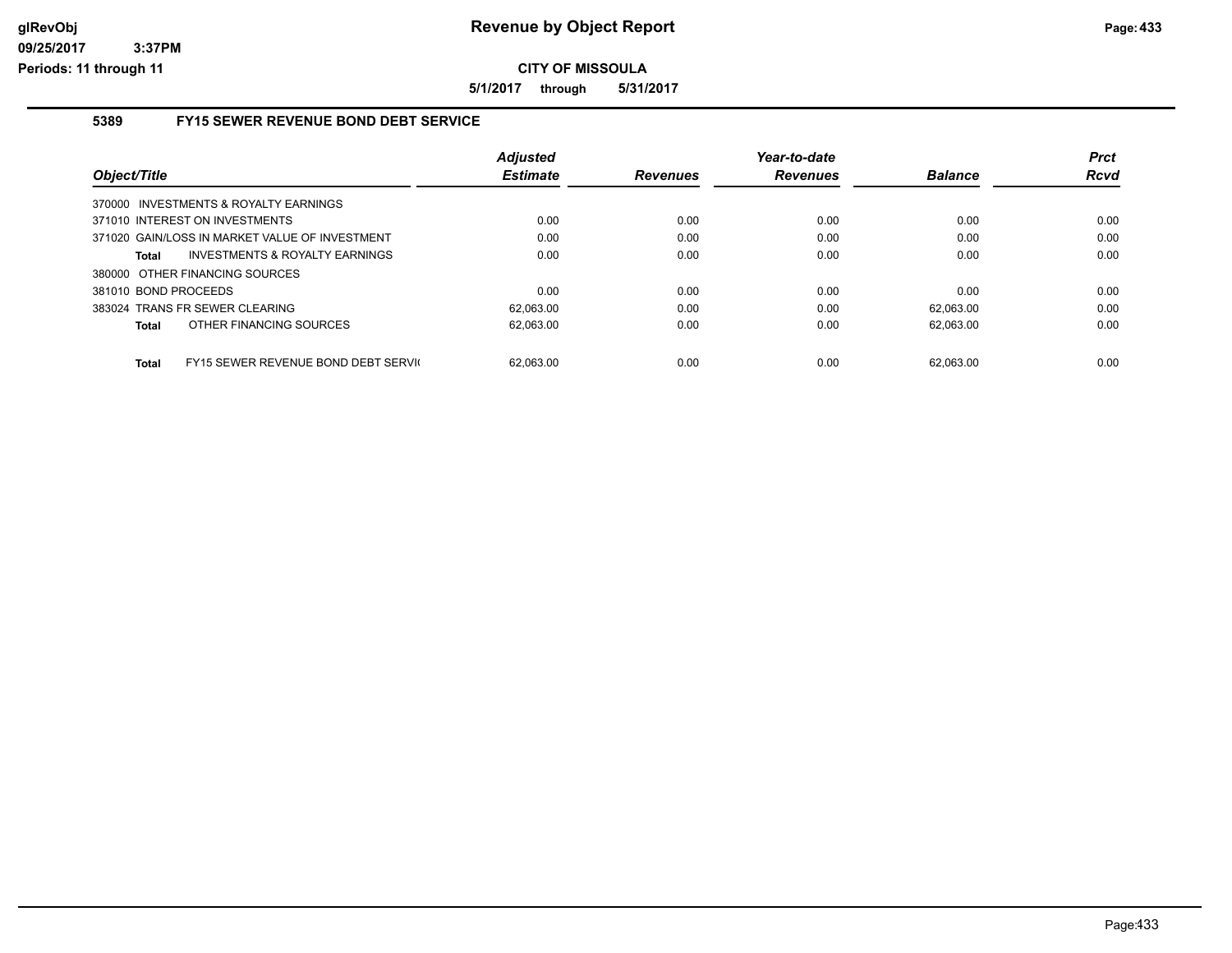**5/1/2017 through 5/31/2017**

#### **5389 FY15 SEWER REVENUE BOND DEBT SERVICE**

|                                                     | <b>Adjusted</b> |                 | Year-to-date    |                | <b>Prct</b> |
|-----------------------------------------------------|-----------------|-----------------|-----------------|----------------|-------------|
| Object/Title                                        | <b>Estimate</b> | <b>Revenues</b> | <b>Revenues</b> | <b>Balance</b> | <b>Rcvd</b> |
| 370000 INVESTMENTS & ROYALTY EARNINGS               |                 |                 |                 |                |             |
| 371010 INTEREST ON INVESTMENTS                      | 0.00            | 0.00            | 0.00            | 0.00           | 0.00        |
| 371020 GAIN/LOSS IN MARKET VALUE OF INVESTMENT      | 0.00            | 0.00            | 0.00            | 0.00           | 0.00        |
| INVESTMENTS & ROYALTY EARNINGS<br>Total             | 0.00            | 0.00            | 0.00            | 0.00           | 0.00        |
| 380000 OTHER FINANCING SOURCES                      |                 |                 |                 |                |             |
| 381010 BOND PROCEEDS                                | 0.00            | 0.00            | 0.00            | 0.00           | 0.00        |
| 383024 TRANS FR SEWER CLEARING                      | 62.063.00       | 0.00            | 0.00            | 62.063.00      | 0.00        |
| OTHER FINANCING SOURCES<br>Total                    | 62.063.00       | 0.00            | 0.00            | 62.063.00      | 0.00        |
|                                                     |                 |                 |                 |                |             |
| FY15 SEWER REVENUE BOND DEBT SERVIC<br><b>Total</b> | 62.063.00       | 0.00            | 0.00            | 62.063.00      | 0.00        |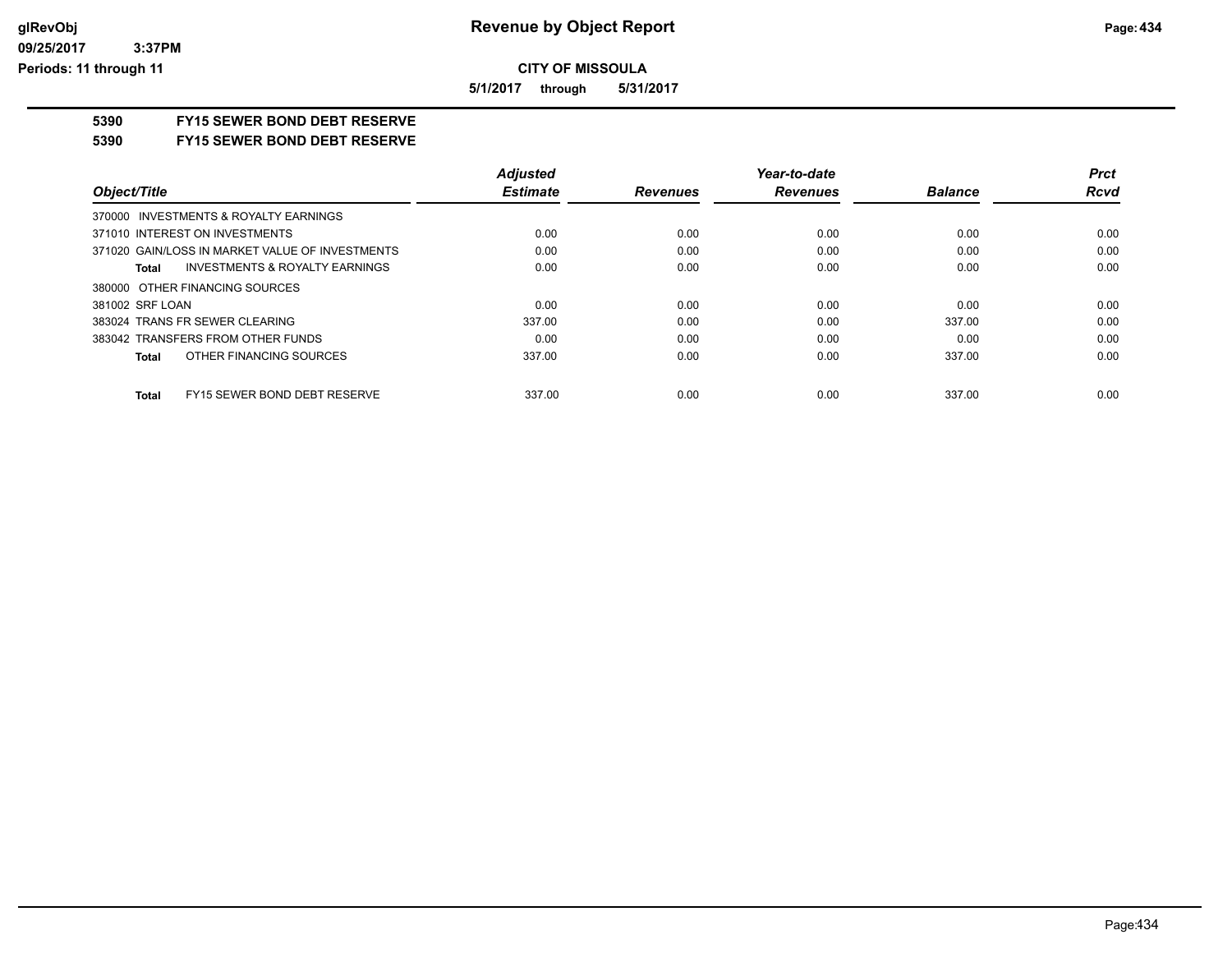**5/1/2017 through 5/31/2017**

# **5390 FY15 SEWER BOND DEBT RESERVE**

#### **5390 FY15 SEWER BOND DEBT RESERVE**

|                                                    | <b>Adjusted</b> |                 | Year-to-date    |                | <b>Prct</b> |
|----------------------------------------------------|-----------------|-----------------|-----------------|----------------|-------------|
| Object/Title                                       | <b>Estimate</b> | <b>Revenues</b> | <b>Revenues</b> | <b>Balance</b> | <b>Rcvd</b> |
| 370000 INVESTMENTS & ROYALTY EARNINGS              |                 |                 |                 |                |             |
| 371010 INTEREST ON INVESTMENTS                     | 0.00            | 0.00            | 0.00            | 0.00           | 0.00        |
| 371020 GAIN/LOSS IN MARKET VALUE OF INVESTMENTS    | 0.00            | 0.00            | 0.00            | 0.00           | 0.00        |
| <b>INVESTMENTS &amp; ROYALTY EARNINGS</b><br>Total | 0.00            | 0.00            | 0.00            | 0.00           | 0.00        |
| 380000 OTHER FINANCING SOURCES                     |                 |                 |                 |                |             |
| 381002 SRF LOAN                                    | 0.00            | 0.00            | 0.00            | 0.00           | 0.00        |
| 383024 TRANS FR SEWER CLEARING                     | 337.00          | 0.00            | 0.00            | 337.00         | 0.00        |
| 383042 TRANSFERS FROM OTHER FUNDS                  | 0.00            | 0.00            | 0.00            | 0.00           | 0.00        |
| OTHER FINANCING SOURCES<br>Total                   | 337.00          | 0.00            | 0.00            | 337.00         | 0.00        |
| FY15 SEWER BOND DEBT RESERVE<br>Total              | 337.00          | 0.00            | 0.00            | 337.00         | 0.00        |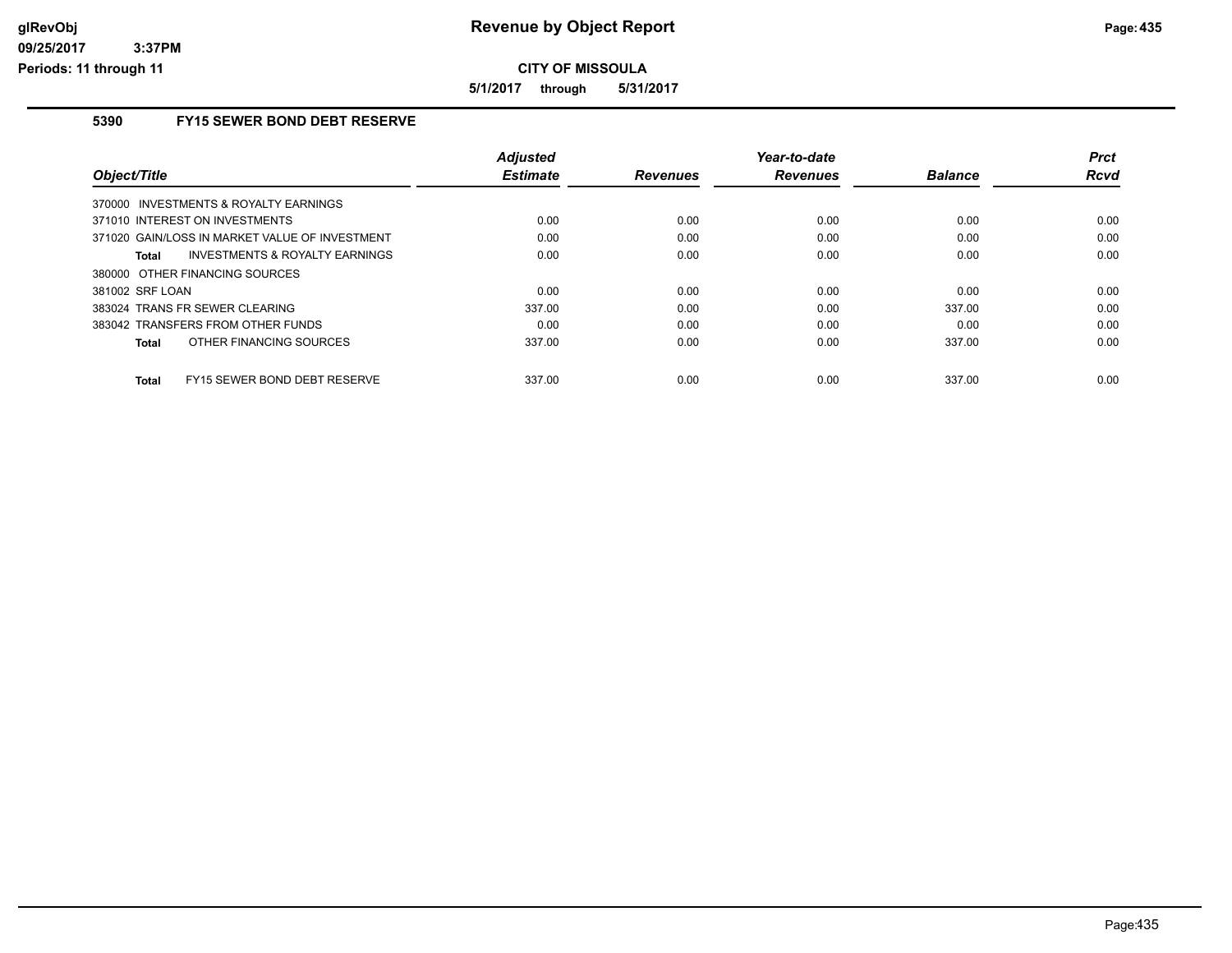**5/1/2017 through 5/31/2017**

### **5390 FY15 SEWER BOND DEBT RESERVE**

| Object/Title                                       | <b>Adjusted</b><br><b>Estimate</b> | <b>Revenues</b> | Year-to-date<br><b>Revenues</b> | <b>Balance</b> | <b>Prct</b><br>Rcvd |
|----------------------------------------------------|------------------------------------|-----------------|---------------------------------|----------------|---------------------|
| 370000 INVESTMENTS & ROYALTY EARNINGS              |                                    |                 |                                 |                |                     |
| 371010 INTEREST ON INVESTMENTS                     | 0.00                               | 0.00            | 0.00                            | 0.00           | 0.00                |
| 371020 GAIN/LOSS IN MARKET VALUE OF INVESTMENT     | 0.00                               | 0.00            | 0.00                            | 0.00           | 0.00                |
| <b>INVESTMENTS &amp; ROYALTY EARNINGS</b><br>Total | 0.00                               | 0.00            | 0.00                            | 0.00           | 0.00                |
| 380000 OTHER FINANCING SOURCES                     |                                    |                 |                                 |                |                     |
| 381002 SRF LOAN                                    | 0.00                               | 0.00            | 0.00                            | 0.00           | 0.00                |
| 383024 TRANS FR SEWER CLEARING                     | 337.00                             | 0.00            | 0.00                            | 337.00         | 0.00                |
| 383042 TRANSFERS FROM OTHER FUNDS                  | 0.00                               | 0.00            | 0.00                            | 0.00           | 0.00                |
| OTHER FINANCING SOURCES<br>Total                   | 337.00                             | 0.00            | 0.00                            | 337.00         | 0.00                |
| FY15 SEWER BOND DEBT RESERVE<br>Total              | 337.00                             | 0.00            | 0.00                            | 337.00         | 0.00                |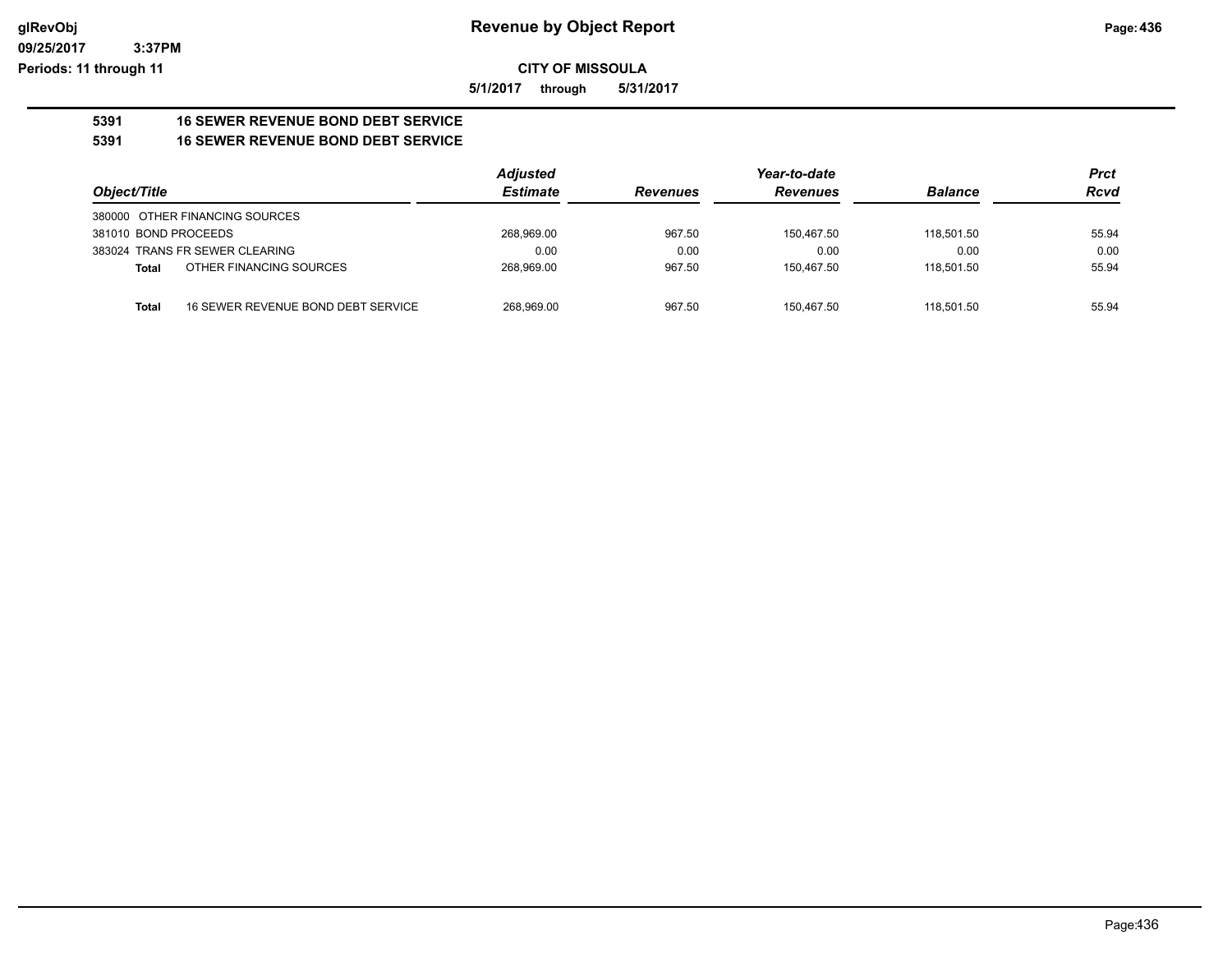#### **09/25/2017 3:37PM Periods: 11 through 11**

**CITY OF MISSOULA**

**5/1/2017 through 5/31/2017**

#### **5391 16 SEWER REVENUE BOND DEBT SERVICE 5391 16 SEWER REVENUE BOND DEBT SERVICE**

|                                                    | Adjusted        |                 | Year-to-date    |                | Prct        |
|----------------------------------------------------|-----------------|-----------------|-----------------|----------------|-------------|
| Object/Title                                       | <b>Estimate</b> | <b>Revenues</b> | <b>Revenues</b> | <b>Balance</b> | <b>Rcvd</b> |
| 380000 OTHER FINANCING SOURCES                     |                 |                 |                 |                |             |
| 381010 BOND PROCEEDS                               | 268,969.00      | 967.50          | 150.467.50      | 118.501.50     | 55.94       |
| 383024 TRANS FR SEWER CLEARING                     | 0.00            | 0.00            | 0.00            | 0.00           | 0.00        |
| OTHER FINANCING SOURCES<br>Total                   | 268.969.00      | 967.50          | 150.467.50      | 118.501.50     | 55.94       |
| 16 SEWER REVENUE BOND DEBT SERVICE<br><b>Total</b> | 268.969.00      | 967.50          | 150.467.50      | 118.501.50     | 55.94       |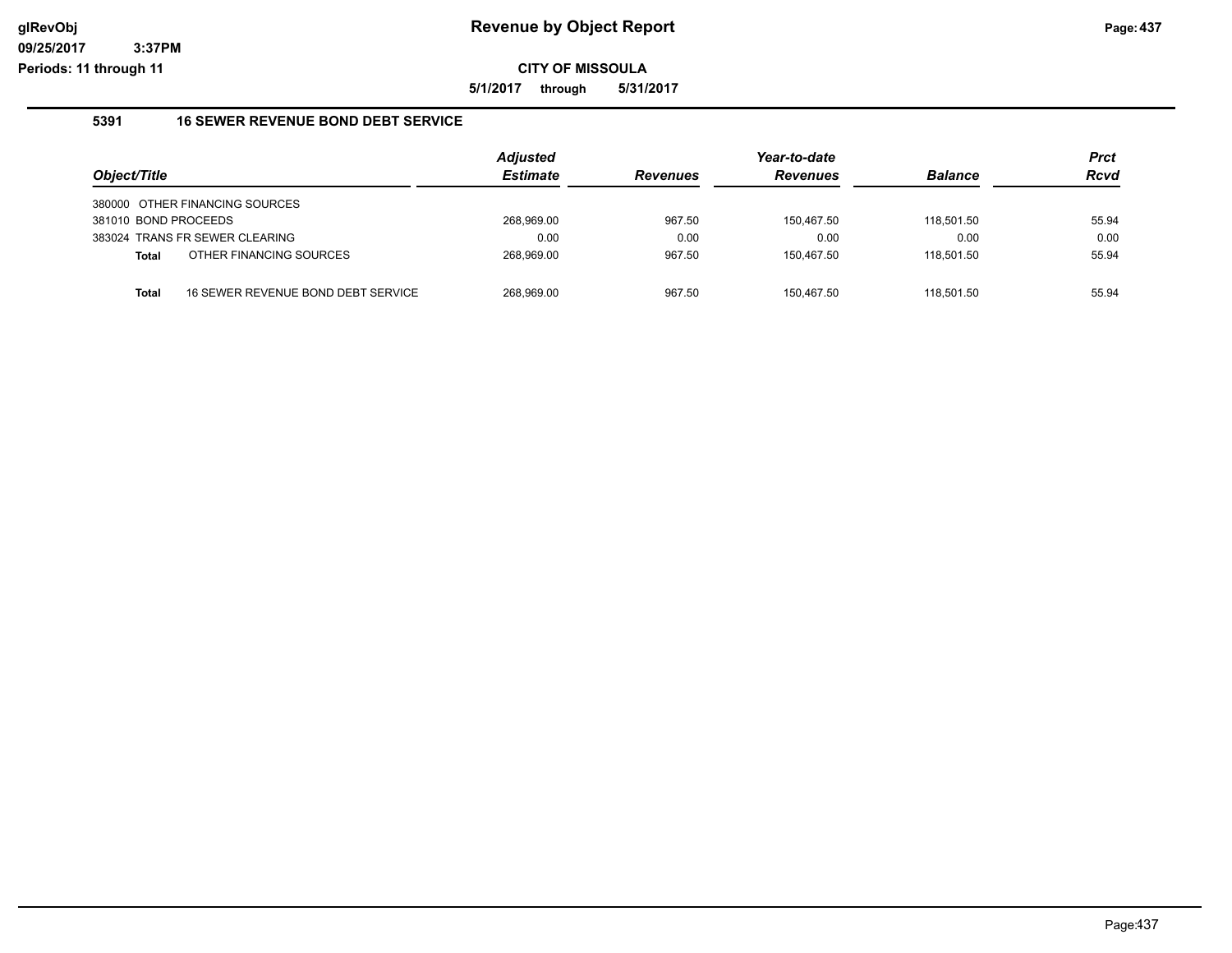**5/1/2017 through 5/31/2017**

#### **5391 16 SEWER REVENUE BOND DEBT SERVICE**

|                      |                                    | <b>Adjusted</b> |                 | Year-to-date    |                | <b>Prct</b> |
|----------------------|------------------------------------|-----------------|-----------------|-----------------|----------------|-------------|
| Object/Title         |                                    | <b>Estimate</b> | <b>Revenues</b> | <b>Revenues</b> | <b>Balance</b> | Rcvd        |
|                      | 380000 OTHER FINANCING SOURCES     |                 |                 |                 |                |             |
| 381010 BOND PROCEEDS |                                    | 268.969.00      | 967.50          | 150.467.50      | 118.501.50     | 55.94       |
|                      | 383024 TRANS FR SEWER CLEARING     | 0.00            | 0.00            | 0.00            | 0.00           | 0.00        |
| Total                | OTHER FINANCING SOURCES            | 268.969.00      | 967.50          | 150.467.50      | 118.501.50     | 55.94       |
|                      |                                    |                 |                 |                 |                |             |
| <b>Total</b>         | 16 SEWER REVENUE BOND DEBT SERVICE | 268.969.00      | 967.50          | 150.467.50      | 118.501.50     | 55.94       |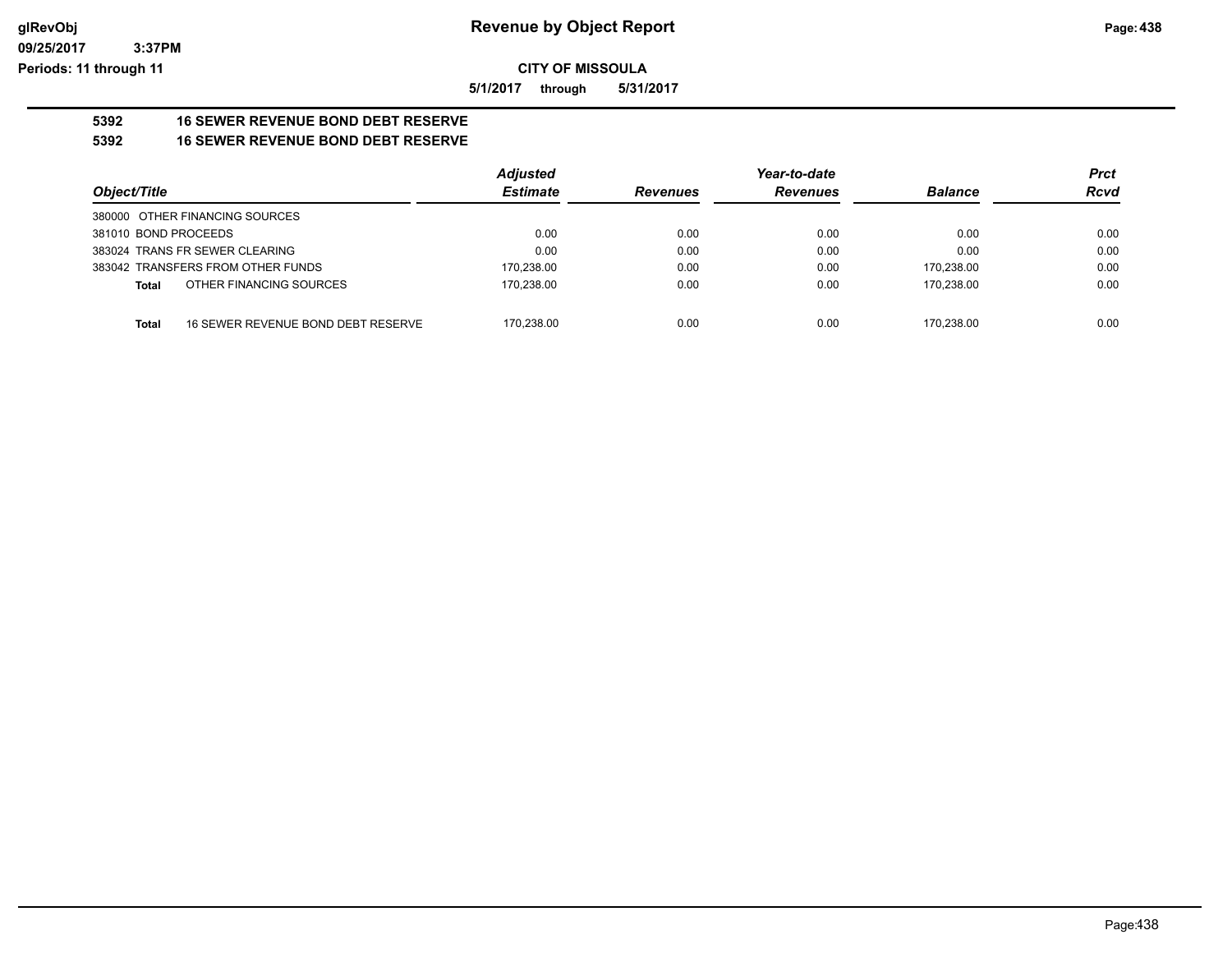**5/1/2017 through 5/31/2017**

# **5392 16 SEWER REVENUE BOND DEBT RESERVE**

# **5392 16 SEWER REVENUE BOND DEBT RESERVE**

|                                                    | <b>Adjusted</b> |                 | Year-to-date    |                | Prct |
|----------------------------------------------------|-----------------|-----------------|-----------------|----------------|------|
| Object/Title                                       | <b>Estimate</b> | <b>Revenues</b> | <b>Revenues</b> | <b>Balance</b> | Rcvd |
| 380000 OTHER FINANCING SOURCES                     |                 |                 |                 |                |      |
| 381010 BOND PROCEEDS                               | 0.00            | 0.00            | 0.00            | 0.00           | 0.00 |
| 383024 TRANS FR SEWER CLEARING                     | 0.00            | 0.00            | 0.00            | 0.00           | 0.00 |
| 383042 TRANSFERS FROM OTHER FUNDS                  | 170.238.00      | 0.00            | 0.00            | 170.238.00     | 0.00 |
| OTHER FINANCING SOURCES<br>Total                   | 170,238.00      | 0.00            | 0.00            | 170.238.00     | 0.00 |
|                                                    |                 |                 |                 |                |      |
| 16 SEWER REVENUE BOND DEBT RESERVE<br><b>Total</b> | 170.238.00      | 0.00            | 0.00            | 170.238.00     | 0.00 |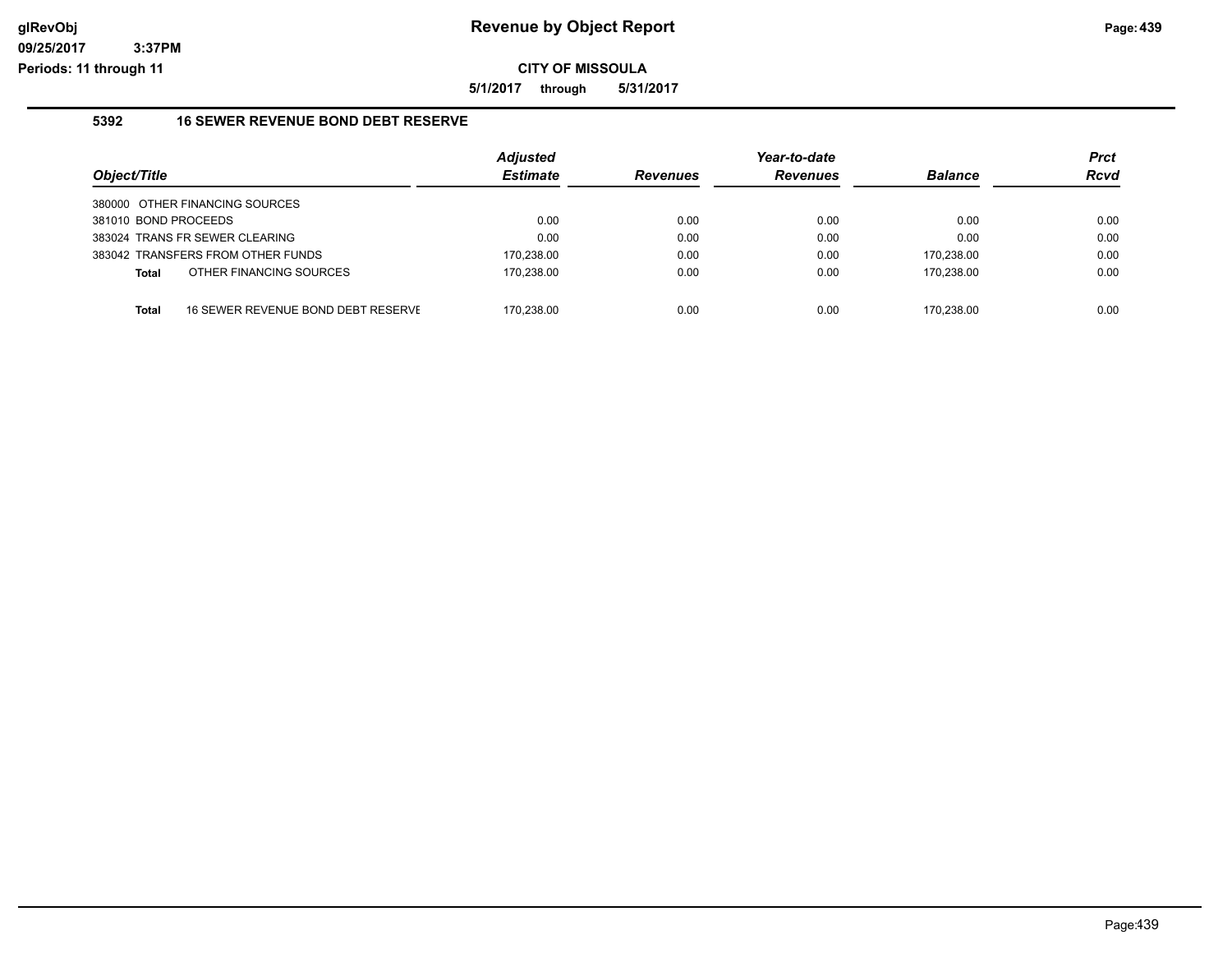**5/1/2017 through 5/31/2017**

#### **5392 16 SEWER REVENUE BOND DEBT RESERVE**

| Object/Title         |                                    | <b>Adjusted</b><br><b>Estimate</b> | <b>Revenues</b> | Year-to-date<br><b>Revenues</b> | <b>Balance</b> | <b>Prct</b><br><b>Rcvd</b> |
|----------------------|------------------------------------|------------------------------------|-----------------|---------------------------------|----------------|----------------------------|
|                      | 380000 OTHER FINANCING SOURCES     |                                    |                 |                                 |                |                            |
| 381010 BOND PROCEEDS |                                    | 0.00                               | 0.00            | 0.00                            | 0.00           | 0.00                       |
|                      | 383024 TRANS FR SEWER CLEARING     | 0.00                               | 0.00            | 0.00                            | 0.00           | 0.00                       |
|                      | 383042 TRANSFERS FROM OTHER FUNDS  | 170.238.00                         | 0.00            | 0.00                            | 170.238.00     | 0.00                       |
| Total                | OTHER FINANCING SOURCES            | 170.238.00                         | 0.00            | 0.00                            | 170.238.00     | 0.00                       |
| <b>Total</b>         | 16 SEWER REVENUE BOND DEBT RESERVE | 170.238.00                         | 0.00            | 0.00                            | 170.238.00     | 0.00                       |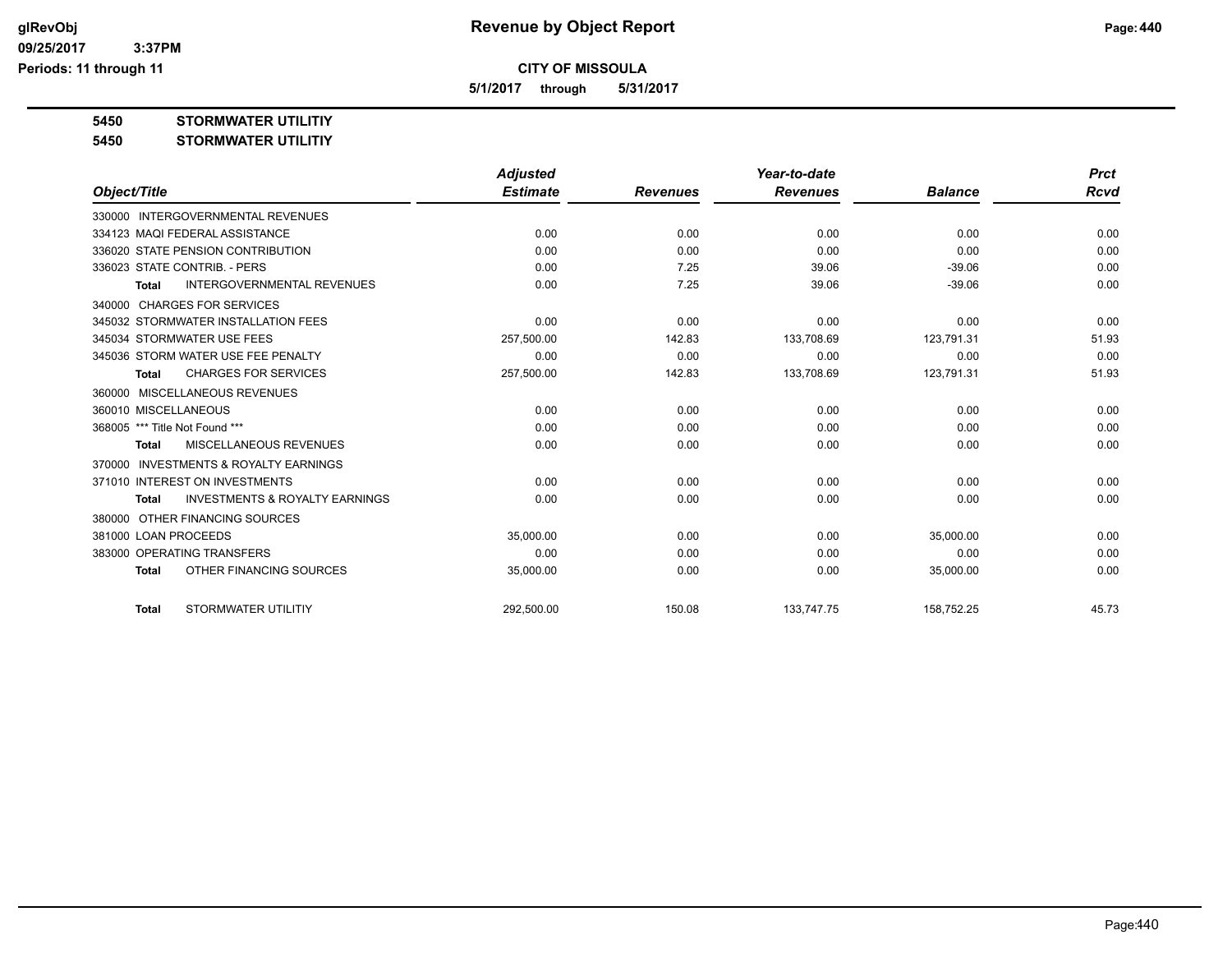**5/1/2017 through 5/31/2017**

#### **5450 STORMWATER UTILITIY**

#### **5450 STORMWATER UTILITIY**

|                                                           | <b>Adjusted</b> |                 | Year-to-date    |                | <b>Prct</b> |
|-----------------------------------------------------------|-----------------|-----------------|-----------------|----------------|-------------|
| Object/Title                                              | <b>Estimate</b> | <b>Revenues</b> | <b>Revenues</b> | <b>Balance</b> | <b>Rcvd</b> |
| 330000 INTERGOVERNMENTAL REVENUES                         |                 |                 |                 |                |             |
| 334123 MAOI FEDERAL ASSISTANCE                            | 0.00            | 0.00            | 0.00            | 0.00           | 0.00        |
| 336020 STATE PENSION CONTRIBUTION                         | 0.00            | 0.00            | 0.00            | 0.00           | 0.00        |
| 336023 STATE CONTRIB. - PERS                              | 0.00            | 7.25            | 39.06           | $-39.06$       | 0.00        |
| <b>INTERGOVERNMENTAL REVENUES</b><br><b>Total</b>         | 0.00            | 7.25            | 39.06           | $-39.06$       | 0.00        |
| <b>CHARGES FOR SERVICES</b><br>340000                     |                 |                 |                 |                |             |
| 345032 STORMWATER INSTALLATION FEES                       | 0.00            | 0.00            | 0.00            | 0.00           | 0.00        |
| 345034 STORMWATER USE FEES                                | 257,500.00      | 142.83          | 133,708.69      | 123,791.31     | 51.93       |
| 345036 STORM WATER USE FEE PENALTY                        | 0.00            | 0.00            | 0.00            | 0.00           | 0.00        |
| <b>CHARGES FOR SERVICES</b><br><b>Total</b>               | 257,500.00      | 142.83          | 133,708.69      | 123,791.31     | 51.93       |
| <b>MISCELLANEOUS REVENUES</b><br>360000                   |                 |                 |                 |                |             |
| 360010 MISCELLANEOUS                                      | 0.00            | 0.00            | 0.00            | 0.00           | 0.00        |
| *** Title Not Found ***<br>368005                         | 0.00            | 0.00            | 0.00            | 0.00           | 0.00        |
| MISCELLANEOUS REVENUES<br><b>Total</b>                    | 0.00            | 0.00            | 0.00            | 0.00           | 0.00        |
| <b>INVESTMENTS &amp; ROYALTY EARNINGS</b><br>370000       |                 |                 |                 |                |             |
| 371010 INTEREST ON INVESTMENTS                            | 0.00            | 0.00            | 0.00            | 0.00           | 0.00        |
| <b>INVESTMENTS &amp; ROYALTY EARNINGS</b><br><b>Total</b> | 0.00            | 0.00            | 0.00            | 0.00           | 0.00        |
| OTHER FINANCING SOURCES<br>380000                         |                 |                 |                 |                |             |
| 381000 LOAN PROCEEDS                                      | 35,000.00       | 0.00            | 0.00            | 35,000.00      | 0.00        |
| 383000 OPERATING TRANSFERS                                | 0.00            | 0.00            | 0.00            | 0.00           | 0.00        |
| OTHER FINANCING SOURCES<br><b>Total</b>                   | 35,000.00       | 0.00            | 0.00            | 35,000.00      | 0.00        |
| STORMWATER UTILITIY<br><b>Total</b>                       | 292,500.00      | 150.08          | 133,747.75      | 158,752.25     | 45.73       |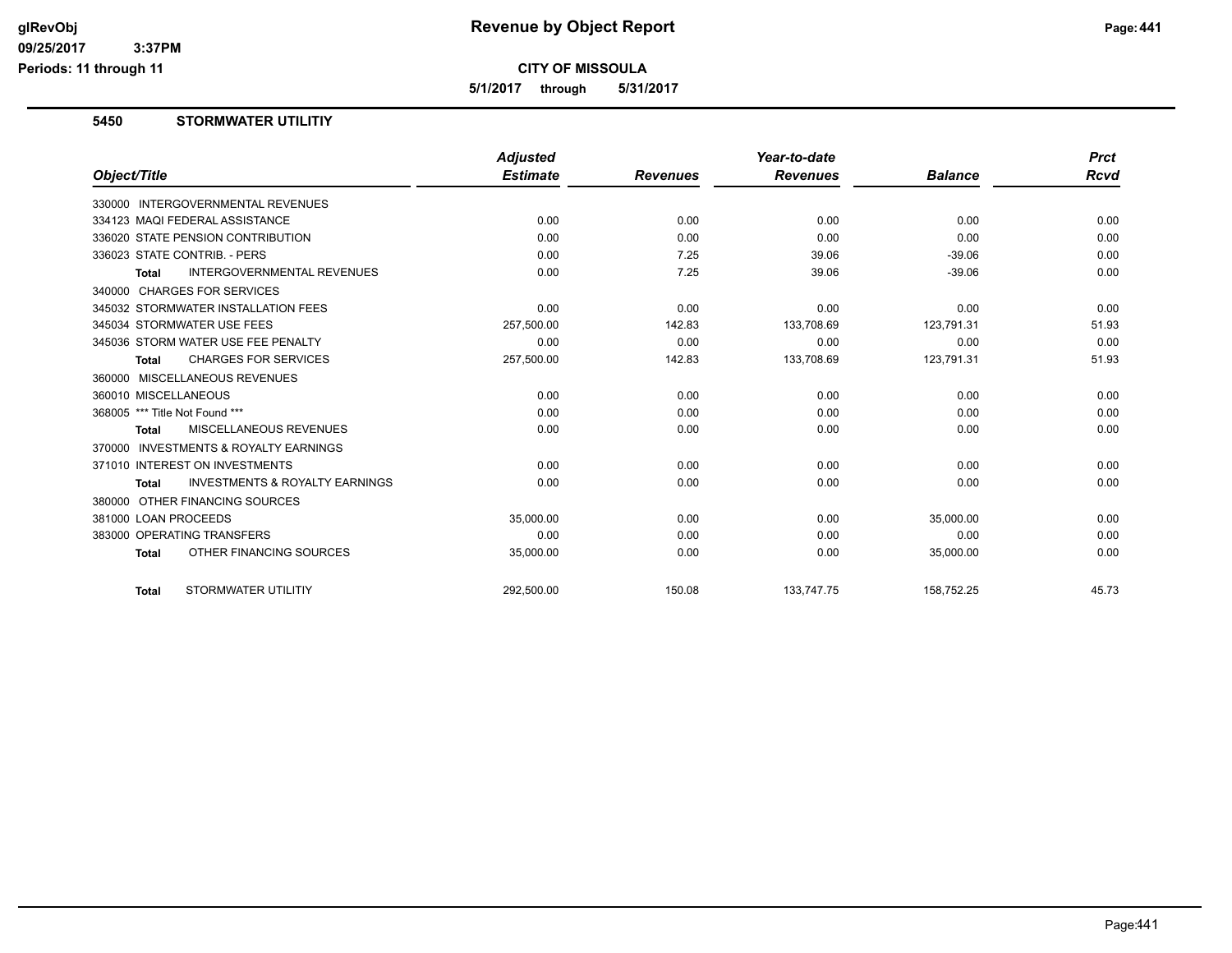**5/1/2017 through 5/31/2017**

#### **5450 STORMWATER UTILITIY**

|                                                           | <b>Adjusted</b> |                 | Year-to-date    |                | <b>Prct</b> |
|-----------------------------------------------------------|-----------------|-----------------|-----------------|----------------|-------------|
| Object/Title                                              | <b>Estimate</b> | <b>Revenues</b> | <b>Revenues</b> | <b>Balance</b> | <b>Rcvd</b> |
| 330000 INTERGOVERNMENTAL REVENUES                         |                 |                 |                 |                |             |
| 334123 MAQI FEDERAL ASSISTANCE                            | 0.00            | 0.00            | 0.00            | 0.00           | 0.00        |
| 336020 STATE PENSION CONTRIBUTION                         | 0.00            | 0.00            | 0.00            | 0.00           | 0.00        |
| 336023 STATE CONTRIB. - PERS                              | 0.00            | 7.25            | 39.06           | $-39.06$       | 0.00        |
| <b>INTERGOVERNMENTAL REVENUES</b><br><b>Total</b>         | 0.00            | 7.25            | 39.06           | $-39.06$       | 0.00        |
| 340000 CHARGES FOR SERVICES                               |                 |                 |                 |                |             |
| 345032 STORMWATER INSTALLATION FEES                       | 0.00            | 0.00            | 0.00            | 0.00           | 0.00        |
| 345034 STORMWATER USE FEES                                | 257,500.00      | 142.83          | 133,708.69      | 123,791.31     | 51.93       |
| 345036 STORM WATER USE FEE PENALTY                        | 0.00            | 0.00            | 0.00            | 0.00           | 0.00        |
| <b>CHARGES FOR SERVICES</b><br><b>Total</b>               | 257,500.00      | 142.83          | 133,708.69      | 123,791.31     | 51.93       |
| 360000 MISCELLANEOUS REVENUES                             |                 |                 |                 |                |             |
| 360010 MISCELLANEOUS                                      | 0.00            | 0.00            | 0.00            | 0.00           | 0.00        |
| 368005 *** Title Not Found ***                            | 0.00            | 0.00            | 0.00            | 0.00           | 0.00        |
| <b>MISCELLANEOUS REVENUES</b><br><b>Total</b>             | 0.00            | 0.00            | 0.00            | 0.00           | 0.00        |
| 370000 INVESTMENTS & ROYALTY EARNINGS                     |                 |                 |                 |                |             |
| 371010 INTEREST ON INVESTMENTS                            | 0.00            | 0.00            | 0.00            | 0.00           | 0.00        |
| <b>INVESTMENTS &amp; ROYALTY EARNINGS</b><br><b>Total</b> | 0.00            | 0.00            | 0.00            | 0.00           | 0.00        |
| 380000 OTHER FINANCING SOURCES                            |                 |                 |                 |                |             |
| 381000 LOAN PROCEEDS                                      | 35,000.00       | 0.00            | 0.00            | 35,000.00      | 0.00        |
| 383000 OPERATING TRANSFERS                                | 0.00            | 0.00            | 0.00            | 0.00           | 0.00        |
| OTHER FINANCING SOURCES<br><b>Total</b>                   | 35,000.00       | 0.00            | 0.00            | 35,000.00      | 0.00        |
| STORMWATER UTILITIY<br><b>Total</b>                       | 292.500.00      | 150.08          | 133.747.75      | 158.752.25     | 45.73       |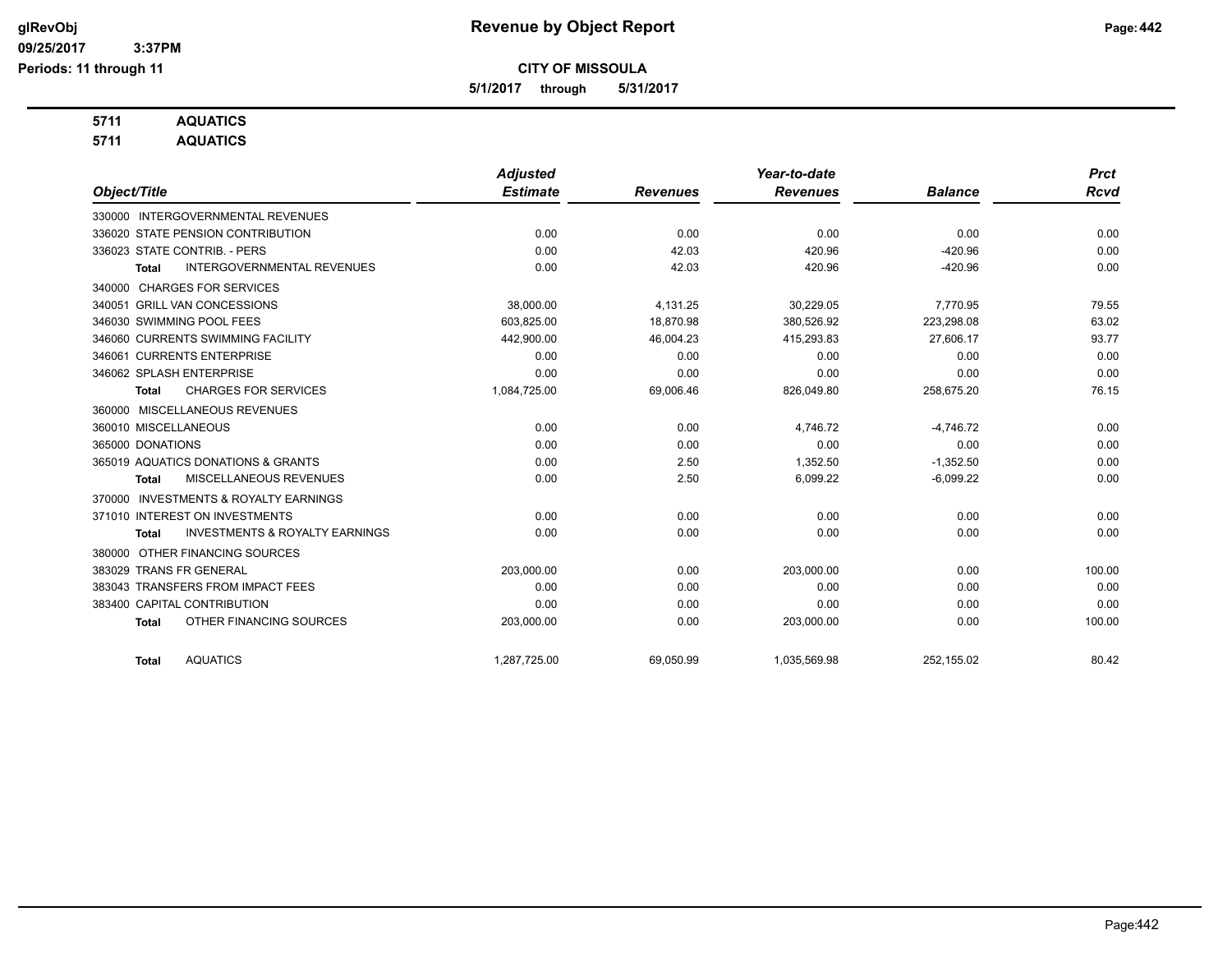**5/1/2017 through 5/31/2017**

# **5711 AQUATICS**

**5711 AQUATICS**

|                                                     | <b>Adjusted</b> |                 | Year-to-date    |                | <b>Prct</b> |
|-----------------------------------------------------|-----------------|-----------------|-----------------|----------------|-------------|
| Object/Title                                        | <b>Estimate</b> | <b>Revenues</b> | <b>Revenues</b> | <b>Balance</b> | <b>Rcvd</b> |
| 330000 INTERGOVERNMENTAL REVENUES                   |                 |                 |                 |                |             |
| 336020 STATE PENSION CONTRIBUTION                   | 0.00            | 0.00            | 0.00            | 0.00           | 0.00        |
| 336023 STATE CONTRIB. - PERS                        | 0.00            | 42.03           | 420.96          | $-420.96$      | 0.00        |
| <b>INTERGOVERNMENTAL REVENUES</b><br>Total          | 0.00            | 42.03           | 420.96          | $-420.96$      | 0.00        |
| <b>CHARGES FOR SERVICES</b><br>340000               |                 |                 |                 |                |             |
| 340051 GRILL VAN CONCESSIONS                        | 38,000.00       | 4.131.25        | 30,229.05       | 7.770.95       | 79.55       |
| 346030 SWIMMING POOL FEES                           | 603.825.00      | 18.870.98       | 380,526.92      | 223.298.08     | 63.02       |
| 346060 CURRENTS SWIMMING FACILITY                   | 442,900.00      | 46,004.23       | 415,293.83      | 27.606.17      | 93.77       |
| 346061 CURRENTS ENTERPRISE                          | 0.00            | 0.00            | 0.00            | 0.00           | 0.00        |
| 346062 SPLASH ENTERPRISE                            | 0.00            | 0.00            | 0.00            | 0.00           | 0.00        |
| <b>CHARGES FOR SERVICES</b><br><b>Total</b>         | 1,084,725.00    | 69,006.46       | 826,049.80      | 258,675.20     | 76.15       |
| 360000 MISCELLANEOUS REVENUES                       |                 |                 |                 |                |             |
| 360010 MISCELLANEOUS                                | 0.00            | 0.00            | 4.746.72        | $-4.746.72$    | 0.00        |
| 365000 DONATIONS                                    | 0.00            | 0.00            | 0.00            | 0.00           | 0.00        |
| 365019 AQUATICS DONATIONS & GRANTS                  | 0.00            | 2.50            | 1,352.50        | $-1,352.50$    | 0.00        |
| <b>MISCELLANEOUS REVENUES</b><br>Total              | 0.00            | 2.50            | 6,099.22        | $-6,099.22$    | 0.00        |
| <b>INVESTMENTS &amp; ROYALTY EARNINGS</b><br>370000 |                 |                 |                 |                |             |
| 371010 INTEREST ON INVESTMENTS                      | 0.00            | 0.00            | 0.00            | 0.00           | 0.00        |
| <b>INVESTMENTS &amp; ROYALTY EARNINGS</b><br>Total  | 0.00            | 0.00            | 0.00            | 0.00           | 0.00        |
| OTHER FINANCING SOURCES<br>380000                   |                 |                 |                 |                |             |
| 383029 TRANS FR GENERAL                             | 203,000.00      | 0.00            | 203,000.00      | 0.00           | 100.00      |
| 383043 TRANSFERS FROM IMPACT FEES                   | 0.00            | 0.00            | 0.00            | 0.00           | 0.00        |
| 383400 CAPITAL CONTRIBUTION                         | 0.00            | 0.00            | 0.00            | 0.00           | 0.00        |
| OTHER FINANCING SOURCES<br><b>Total</b>             | 203,000.00      | 0.00            | 203,000.00      | 0.00           | 100.00      |
| <b>AQUATICS</b><br><b>Total</b>                     | 1,287,725.00    | 69,050.99       | 1,035,569.98    | 252,155.02     | 80.42       |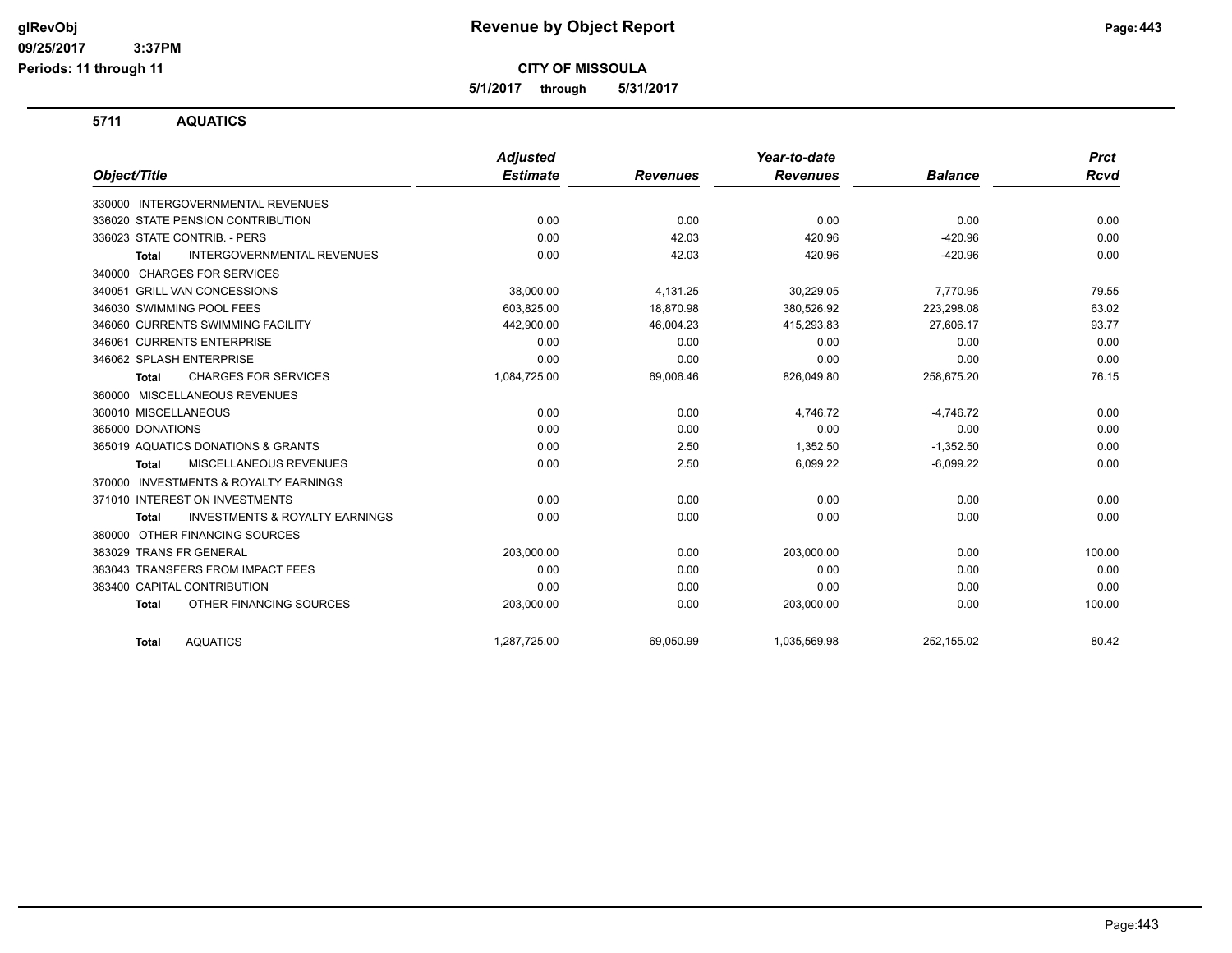**Periods: 11 through 11**

**CITY OF MISSOULA**

**5/1/2017 through 5/31/2017**

**5711 AQUATICS**

 **3:37PM**

|                                                     | <b>Adjusted</b> |                 | Year-to-date    |                | <b>Prct</b> |
|-----------------------------------------------------|-----------------|-----------------|-----------------|----------------|-------------|
| Object/Title                                        | <b>Estimate</b> | <b>Revenues</b> | <b>Revenues</b> | <b>Balance</b> | <b>Rcvd</b> |
| 330000 INTERGOVERNMENTAL REVENUES                   |                 |                 |                 |                |             |
| 336020 STATE PENSION CONTRIBUTION                   | 0.00            | 0.00            | 0.00            | 0.00           | 0.00        |
| 336023 STATE CONTRIB. - PERS                        | 0.00            | 42.03           | 420.96          | $-420.96$      | 0.00        |
| <b>INTERGOVERNMENTAL REVENUES</b><br><b>Total</b>   | 0.00            | 42.03           | 420.96          | $-420.96$      | 0.00        |
| 340000 CHARGES FOR SERVICES                         |                 |                 |                 |                |             |
| 340051 GRILL VAN CONCESSIONS                        | 38,000.00       | 4,131.25        | 30,229.05       | 7,770.95       | 79.55       |
| 346030 SWIMMING POOL FEES                           | 603,825.00      | 18,870.98       | 380,526.92      | 223,298.08     | 63.02       |
| 346060 CURRENTS SWIMMING FACILITY                   | 442.900.00      | 46.004.23       | 415.293.83      | 27.606.17      | 93.77       |
| 346061 CURRENTS ENTERPRISE                          | 0.00            | 0.00            | 0.00            | 0.00           | 0.00        |
| 346062 SPLASH ENTERPRISE                            | 0.00            | 0.00            | 0.00            | 0.00           | 0.00        |
| <b>CHARGES FOR SERVICES</b><br><b>Total</b>         | 1,084,725.00    | 69,006.46       | 826,049.80      | 258,675.20     | 76.15       |
| 360000 MISCELLANEOUS REVENUES                       |                 |                 |                 |                |             |
| 360010 MISCELLANEOUS                                | 0.00            | 0.00            | 4.746.72        | $-4.746.72$    | 0.00        |
| 365000 DONATIONS                                    | 0.00            | 0.00            | 0.00            | 0.00           | 0.00        |
| 365019 AQUATICS DONATIONS & GRANTS                  | 0.00            | 2.50            | 1.352.50        | $-1,352.50$    | 0.00        |
| MISCELLANEOUS REVENUES<br><b>Total</b>              | 0.00            | 2.50            | 6,099.22        | $-6,099.22$    | 0.00        |
| <b>INVESTMENTS &amp; ROYALTY EARNINGS</b><br>370000 |                 |                 |                 |                |             |
| 371010 INTEREST ON INVESTMENTS                      | 0.00            | 0.00            | 0.00            | 0.00           | 0.00        |
| <b>INVESTMENTS &amp; ROYALTY EARNINGS</b><br>Total  | 0.00            | 0.00            | 0.00            | 0.00           | 0.00        |
| OTHER FINANCING SOURCES<br>380000                   |                 |                 |                 |                |             |
| 383029 TRANS FR GENERAL                             | 203,000.00      | 0.00            | 203,000.00      | 0.00           | 100.00      |
| 383043 TRANSFERS FROM IMPACT FEES                   | 0.00            | 0.00            | 0.00            | 0.00           | 0.00        |
| 383400 CAPITAL CONTRIBUTION                         | 0.00            | 0.00            | 0.00            | 0.00           | 0.00        |
| OTHER FINANCING SOURCES<br><b>Total</b>             | 203,000.00      | 0.00            | 203,000.00      | 0.00           | 100.00      |
| <b>AQUATICS</b><br><b>Total</b>                     | 1,287,725.00    | 69,050.99       | 1,035,569.98    | 252,155.02     | 80.42       |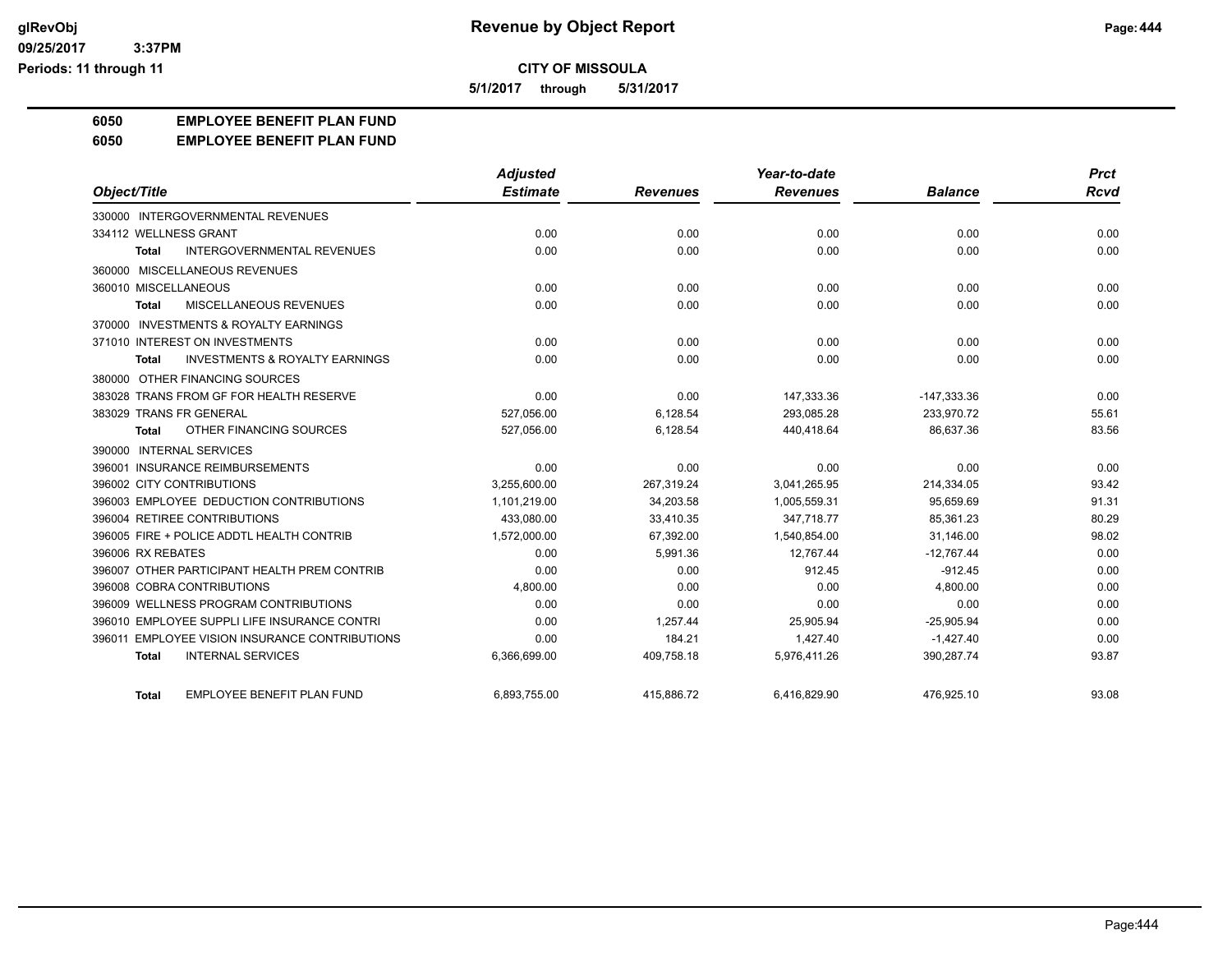**5/1/2017 through 5/31/2017**

#### **6050 EMPLOYEE BENEFIT PLAN FUND**

#### **6050 EMPLOYEE BENEFIT PLAN FUND**

|                                                           | <b>Adjusted</b> |                 | Year-to-date    |                | <b>Prct</b> |
|-----------------------------------------------------------|-----------------|-----------------|-----------------|----------------|-------------|
| Object/Title                                              | <b>Estimate</b> | <b>Revenues</b> | <b>Revenues</b> | <b>Balance</b> | Rcvd        |
| 330000 INTERGOVERNMENTAL REVENUES                         |                 |                 |                 |                |             |
| 334112 WELLNESS GRANT                                     | 0.00            | 0.00            | 0.00            | 0.00           | 0.00        |
| <b>INTERGOVERNMENTAL REVENUES</b><br><b>Total</b>         | 0.00            | 0.00            | 0.00            | 0.00           | 0.00        |
| 360000 MISCELLANEOUS REVENUES                             |                 |                 |                 |                |             |
| 360010 MISCELLANEOUS                                      | 0.00            | 0.00            | 0.00            | 0.00           | 0.00        |
| MISCELLANEOUS REVENUES<br><b>Total</b>                    | 0.00            | 0.00            | 0.00            | 0.00           | 0.00        |
| 370000 INVESTMENTS & ROYALTY EARNINGS                     |                 |                 |                 |                |             |
| 371010 INTEREST ON INVESTMENTS                            | 0.00            | 0.00            | 0.00            | 0.00           | 0.00        |
| <b>INVESTMENTS &amp; ROYALTY EARNINGS</b><br><b>Total</b> | 0.00            | 0.00            | 0.00            | 0.00           | 0.00        |
| 380000 OTHER FINANCING SOURCES                            |                 |                 |                 |                |             |
| 383028 TRANS FROM GF FOR HEALTH RESERVE                   | 0.00            | 0.00            | 147,333.36      | $-147,333.36$  | 0.00        |
| 383029 TRANS FR GENERAL                                   | 527.056.00      | 6,128.54        | 293.085.28      | 233.970.72     | 55.61       |
| OTHER FINANCING SOURCES<br><b>Total</b>                   | 527,056.00      | 6,128.54        | 440,418.64      | 86,637.36      | 83.56       |
| 390000 INTERNAL SERVICES                                  |                 |                 |                 |                |             |
| 396001 INSURANCE REIMBURSEMENTS                           | 0.00            | 0.00            | 0.00            | 0.00           | 0.00        |
| 396002 CITY CONTRIBUTIONS                                 | 3,255,600.00    | 267,319.24      | 3,041,265.95    | 214,334.05     | 93.42       |
| 396003 EMPLOYEE DEDUCTION CONTRIBUTIONS                   | 1,101,219.00    | 34,203.58       | 1,005,559.31    | 95.659.69      | 91.31       |
| 396004 RETIREE CONTRIBUTIONS                              | 433,080.00      | 33,410.35       | 347,718.77      | 85,361.23      | 80.29       |
| 396005 FIRE + POLICE ADDTL HEALTH CONTRIB                 | 1,572,000.00    | 67,392.00       | 1,540,854.00    | 31,146.00      | 98.02       |
| 396006 RX REBATES                                         | 0.00            | 5,991.36        | 12,767.44       | $-12,767.44$   | 0.00        |
| 396007 OTHER PARTICIPANT HEALTH PREM CONTRIB              | 0.00            | 0.00            | 912.45          | $-912.45$      | 0.00        |
| 396008 COBRA CONTRIBUTIONS                                | 4,800.00        | 0.00            | 0.00            | 4,800.00       | 0.00        |
| 396009 WELLNESS PROGRAM CONTRIBUTIONS                     | 0.00            | 0.00            | 0.00            | 0.00           | 0.00        |
| 396010 EMPLOYEE SUPPLI LIFE INSURANCE CONTRI              | 0.00            | 1.257.44        | 25.905.94       | $-25,905.94$   | 0.00        |
| 396011 EMPLOYEE VISION INSURANCE CONTRIBUTIONS            | 0.00            | 184.21          | 1.427.40        | $-1,427.40$    | 0.00        |
| <b>INTERNAL SERVICES</b><br><b>Total</b>                  | 6,366,699.00    | 409,758.18      | 5,976,411.26    | 390,287.74     | 93.87       |
| EMPLOYEE BENEFIT PLAN FUND<br><b>Total</b>                | 6,893,755.00    | 415,886.72      | 6,416,829.90    | 476,925.10     | 93.08       |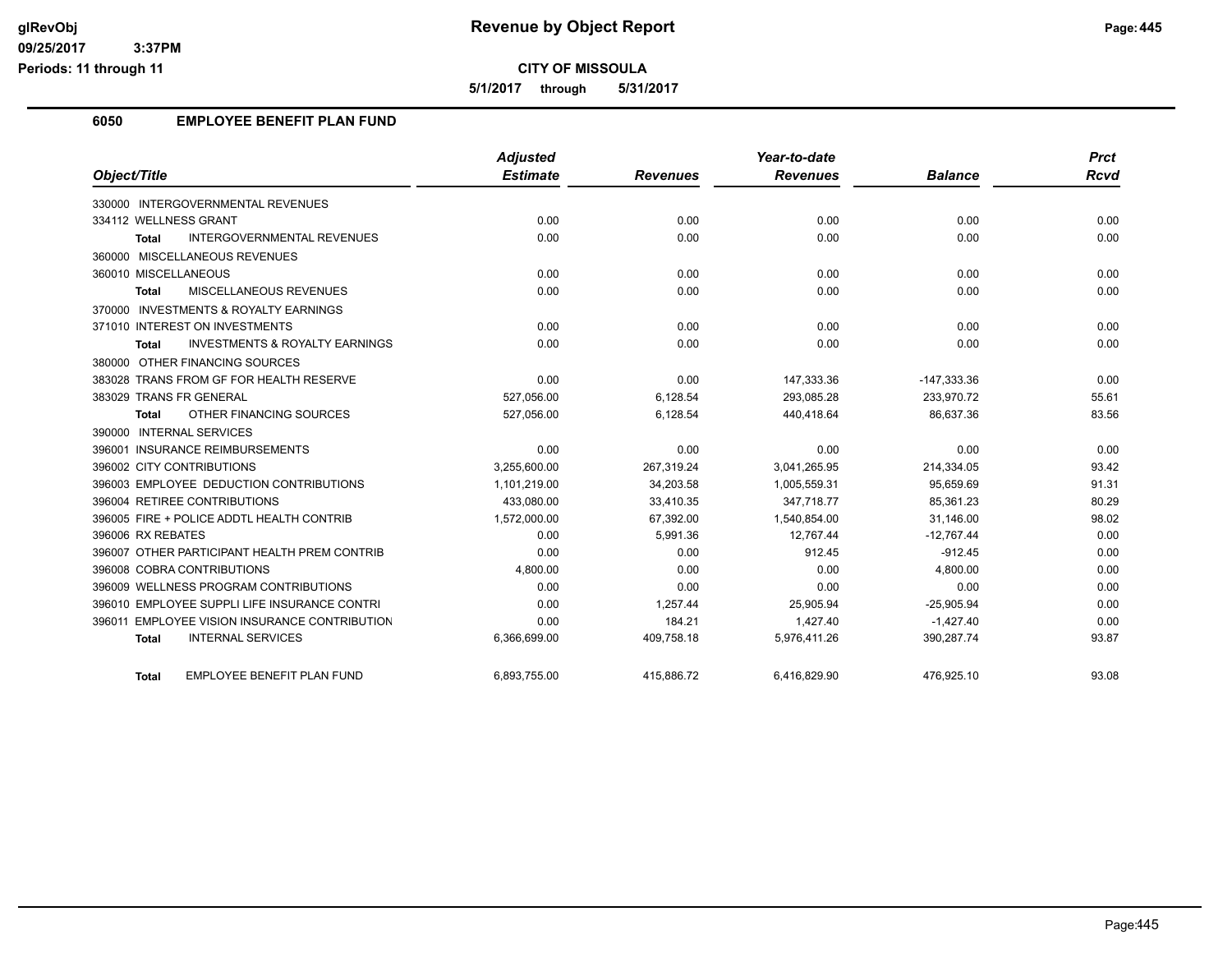**Periods: 11 through 11**

**CITY OF MISSOULA**

**5/1/2017 through 5/31/2017**

#### **6050 EMPLOYEE BENEFIT PLAN FUND**

 **3:37PM**

|                                                    | <b>Adjusted</b> |                 | Year-to-date    |                | <b>Prct</b> |
|----------------------------------------------------|-----------------|-----------------|-----------------|----------------|-------------|
| Object/Title                                       | <b>Estimate</b> | <b>Revenues</b> | <b>Revenues</b> | <b>Balance</b> | <b>Rcvd</b> |
| 330000 INTERGOVERNMENTAL REVENUES                  |                 |                 |                 |                |             |
| 334112 WELLNESS GRANT                              | 0.00            | 0.00            | 0.00            | 0.00           | 0.00        |
| <b>INTERGOVERNMENTAL REVENUES</b><br><b>Total</b>  | 0.00            | 0.00            | 0.00            | 0.00           | 0.00        |
| 360000 MISCELLANEOUS REVENUES                      |                 |                 |                 |                |             |
| 360010 MISCELLANEOUS                               | 0.00            | 0.00            | 0.00            | 0.00           | 0.00        |
| <b>MISCELLANEOUS REVENUES</b><br><b>Total</b>      | 0.00            | 0.00            | 0.00            | 0.00           | 0.00        |
| 370000 INVESTMENTS & ROYALTY EARNINGS              |                 |                 |                 |                |             |
| 371010 INTEREST ON INVESTMENTS                     | 0.00            | 0.00            | 0.00            | 0.00           | 0.00        |
| <b>INVESTMENTS &amp; ROYALTY EARNINGS</b><br>Total | 0.00            | 0.00            | 0.00            | 0.00           | 0.00        |
| 380000 OTHER FINANCING SOURCES                     |                 |                 |                 |                |             |
| 383028 TRANS FROM GF FOR HEALTH RESERVE            | 0.00            | 0.00            | 147,333.36      | $-147,333.36$  | 0.00        |
| 383029 TRANS FR GENERAL                            | 527.056.00      | 6,128.54        | 293.085.28      | 233,970.72     | 55.61       |
| OTHER FINANCING SOURCES<br>Total                   | 527,056.00      | 6,128.54        | 440,418.64      | 86,637.36      | 83.56       |
| 390000 INTERNAL SERVICES                           |                 |                 |                 |                |             |
| 396001 INSURANCE REIMBURSEMENTS                    | 0.00            | 0.00            | 0.00            | 0.00           | 0.00        |
| 396002 CITY CONTRIBUTIONS                          | 3,255,600.00    | 267,319.24      | 3,041,265.95    | 214,334.05     | 93.42       |
| 396003 EMPLOYEE DEDUCTION CONTRIBUTIONS            | 1,101,219.00    | 34,203.58       | 1,005,559.31    | 95,659.69      | 91.31       |
| 396004 RETIREE CONTRIBUTIONS                       | 433,080.00      | 33,410.35       | 347.718.77      | 85,361.23      | 80.29       |
| 396005 FIRE + POLICE ADDTL HEALTH CONTRIB          | 1,572,000.00    | 67,392.00       | 1,540,854.00    | 31,146.00      | 98.02       |
| 396006 RX REBATES                                  | 0.00            | 5,991.36        | 12.767.44       | $-12,767.44$   | 0.00        |
| 396007 OTHER PARTICIPANT HEALTH PREM CONTRIB       | 0.00            | 0.00            | 912.45          | $-912.45$      | 0.00        |
| 396008 COBRA CONTRIBUTIONS                         | 4.800.00        | 0.00            | 0.00            | 4.800.00       | 0.00        |
| 396009 WELLNESS PROGRAM CONTRIBUTIONS              | 0.00            | 0.00            | 0.00            | 0.00           | 0.00        |
| 396010 EMPLOYEE SUPPLI LIFE INSURANCE CONTRI       | 0.00            | 1.257.44        | 25,905.94       | $-25,905.94$   | 0.00        |
| 396011 EMPLOYEE VISION INSURANCE CONTRIBUTION      | 0.00            | 184.21          | 1,427.40        | $-1,427.40$    | 0.00        |
| <b>INTERNAL SERVICES</b><br><b>Total</b>           | 6,366,699.00    | 409,758.18      | 5,976,411.26    | 390,287.74     | 93.87       |
| <b>EMPLOYEE BENEFIT PLAN FUND</b><br>Total         | 6,893,755.00    | 415,886.72      | 6,416,829.90    | 476,925.10     | 93.08       |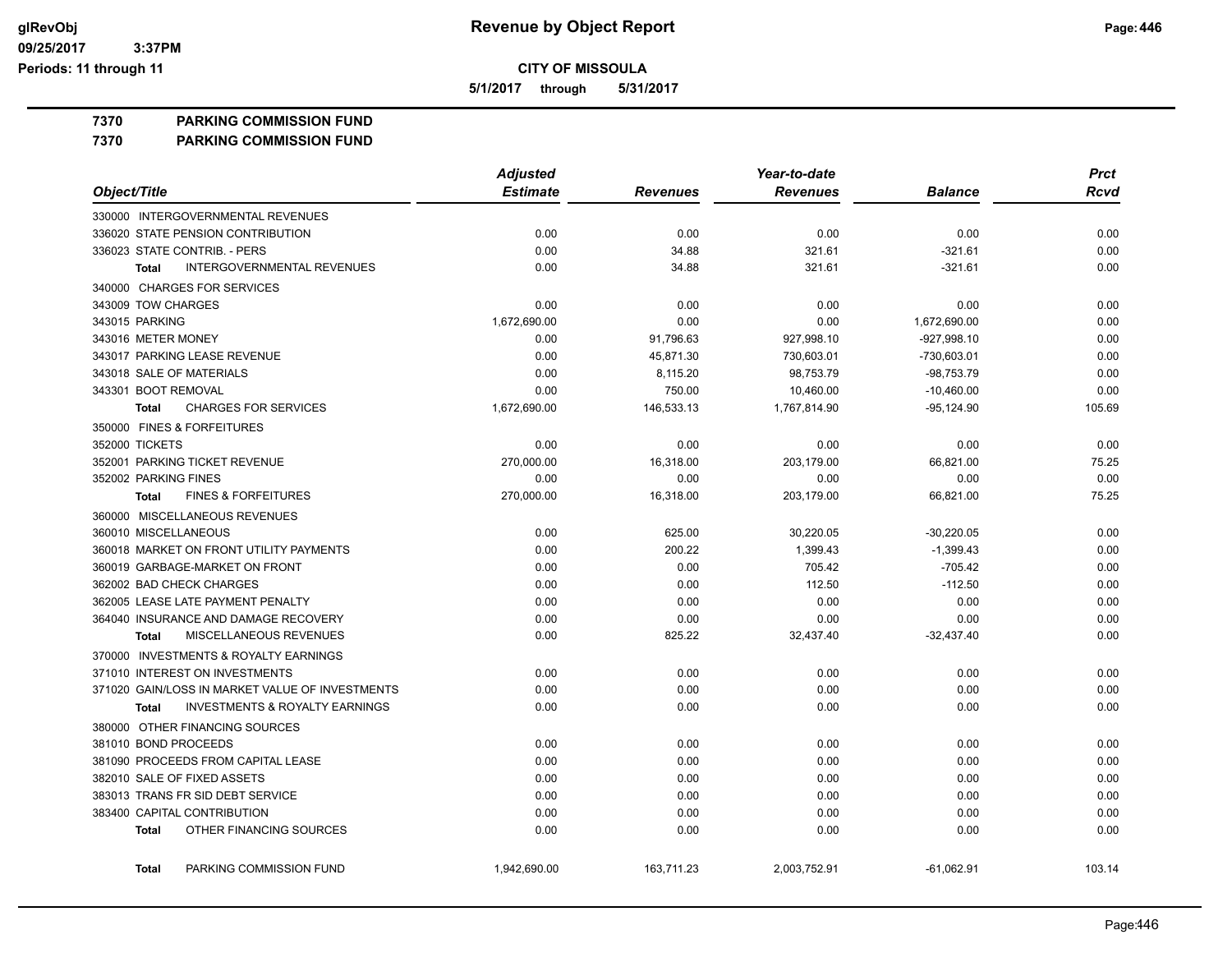**5/1/2017 through 5/31/2017**

#### **7370 PARKING COMMISSION FUND**

**7370 PARKING COMMISSION FUND**

|                                                           | <b>Adjusted</b> |                 | Year-to-date    |                | <b>Prct</b> |
|-----------------------------------------------------------|-----------------|-----------------|-----------------|----------------|-------------|
| Object/Title                                              | <b>Estimate</b> | <b>Revenues</b> | <b>Revenues</b> | <b>Balance</b> | Rcvd        |
| 330000 INTERGOVERNMENTAL REVENUES                         |                 |                 |                 |                |             |
| 336020 STATE PENSION CONTRIBUTION                         | 0.00            | 0.00            | 0.00            | 0.00           | 0.00        |
| 336023 STATE CONTRIB. - PERS                              | 0.00            | 34.88           | 321.61          | $-321.61$      | 0.00        |
| <b>INTERGOVERNMENTAL REVENUES</b><br><b>Total</b>         | 0.00            | 34.88           | 321.61          | $-321.61$      | 0.00        |
| 340000 CHARGES FOR SERVICES                               |                 |                 |                 |                |             |
| 343009 TOW CHARGES                                        | 0.00            | 0.00            | 0.00            | 0.00           | 0.00        |
| 343015 PARKING                                            | 1,672,690.00    | 0.00            | 0.00            | 1,672,690.00   | 0.00        |
| 343016 METER MONEY                                        | 0.00            | 91,796.63       | 927,998.10      | $-927,998.10$  | 0.00        |
| 343017 PARKING LEASE REVENUE                              | 0.00            | 45,871.30       | 730,603.01      | -730,603.01    | 0.00        |
| 343018 SALE OF MATERIALS                                  | 0.00            | 8,115.20        | 98,753.79       | $-98,753.79$   | 0.00        |
| 343301 BOOT REMOVAL                                       | 0.00            | 750.00          | 10,460.00       | $-10,460.00$   | 0.00        |
| <b>CHARGES FOR SERVICES</b><br><b>Total</b>               | 1,672,690.00    | 146,533.13      | 1,767,814.90    | $-95, 124.90$  | 105.69      |
| 350000 FINES & FORFEITURES                                |                 |                 |                 |                |             |
| 352000 TICKETS                                            | 0.00            | 0.00            | 0.00            | 0.00           | 0.00        |
| 352001 PARKING TICKET REVENUE                             | 270,000.00      | 16,318.00       | 203,179.00      | 66,821.00      | 75.25       |
| 352002 PARKING FINES                                      | 0.00            | 0.00            | 0.00            | 0.00           | 0.00        |
| <b>FINES &amp; FORFEITURES</b><br><b>Total</b>            | 270,000.00      | 16,318.00       | 203,179.00      | 66,821.00      | 75.25       |
| 360000 MISCELLANEOUS REVENUES                             |                 |                 |                 |                |             |
| 360010 MISCELLANEOUS                                      | 0.00            | 625.00          | 30,220.05       | $-30,220.05$   | 0.00        |
| 360018 MARKET ON FRONT UTILITY PAYMENTS                   | 0.00            | 200.22          | 1,399.43        | $-1,399.43$    | 0.00        |
| 360019 GARBAGE-MARKET ON FRONT                            | 0.00            | 0.00            | 705.42          | $-705.42$      | 0.00        |
| 362002 BAD CHECK CHARGES                                  | 0.00            | 0.00            | 112.50          | $-112.50$      | 0.00        |
| 362005 LEASE LATE PAYMENT PENALTY                         | 0.00            | 0.00            | 0.00            | 0.00           | 0.00        |
| 364040 INSURANCE AND DAMAGE RECOVERY                      | 0.00            | 0.00            | 0.00            | 0.00           | 0.00        |
| MISCELLANEOUS REVENUES<br><b>Total</b>                    | 0.00            | 825.22          | 32,437.40       | $-32,437.40$   | 0.00        |
| 370000 INVESTMENTS & ROYALTY EARNINGS                     |                 |                 |                 |                |             |
| 371010 INTEREST ON INVESTMENTS                            | 0.00            | 0.00            | 0.00            | 0.00           | 0.00        |
| 371020 GAIN/LOSS IN MARKET VALUE OF INVESTMENTS           | 0.00            | 0.00            | 0.00            | 0.00           | 0.00        |
| <b>INVESTMENTS &amp; ROYALTY EARNINGS</b><br><b>Total</b> | 0.00            | 0.00            | 0.00            | 0.00           | 0.00        |
| 380000 OTHER FINANCING SOURCES                            |                 |                 |                 |                |             |
| 381010 BOND PROCEEDS                                      | 0.00            | 0.00            | 0.00            | 0.00           | 0.00        |
| 381090 PROCEEDS FROM CAPITAL LEASE                        | 0.00            | 0.00            | 0.00            | 0.00           | 0.00        |
| 382010 SALE OF FIXED ASSETS                               | 0.00            | 0.00            | 0.00            | 0.00           | 0.00        |
| 383013 TRANS FR SID DEBT SERVICE                          | 0.00            | 0.00            | 0.00            | 0.00           | 0.00        |
| 383400 CAPITAL CONTRIBUTION                               | 0.00            | 0.00            | 0.00            | 0.00           | 0.00        |
| OTHER FINANCING SOURCES<br><b>Total</b>                   | 0.00            | 0.00            | 0.00            | 0.00           | 0.00        |
| PARKING COMMISSION FUND<br><b>Total</b>                   | 1,942,690.00    | 163,711.23      | 2,003,752.91    | $-61,062.91$   | 103.14      |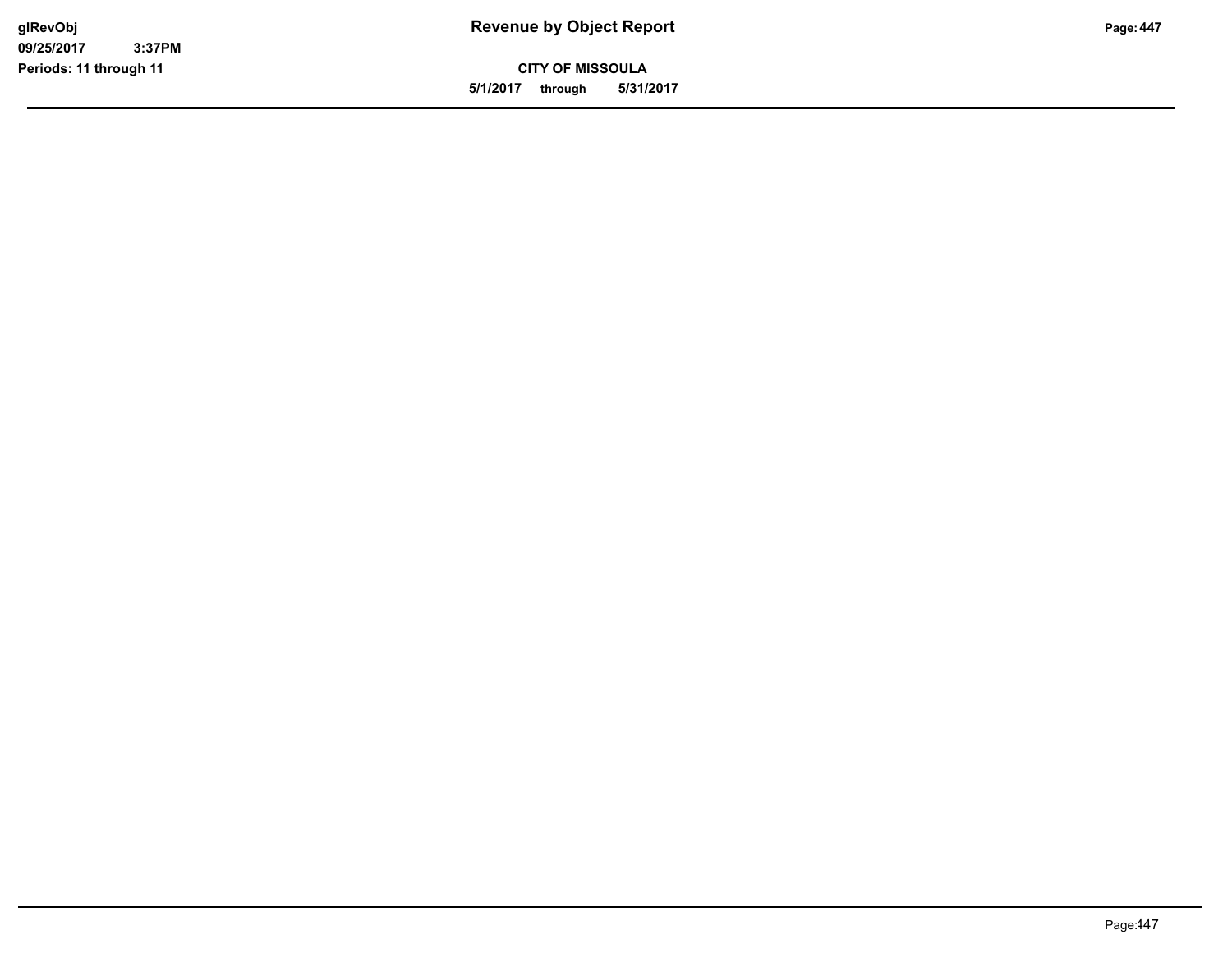**CITY OF MISSOULA 5/1/2017 through 5/31/2017**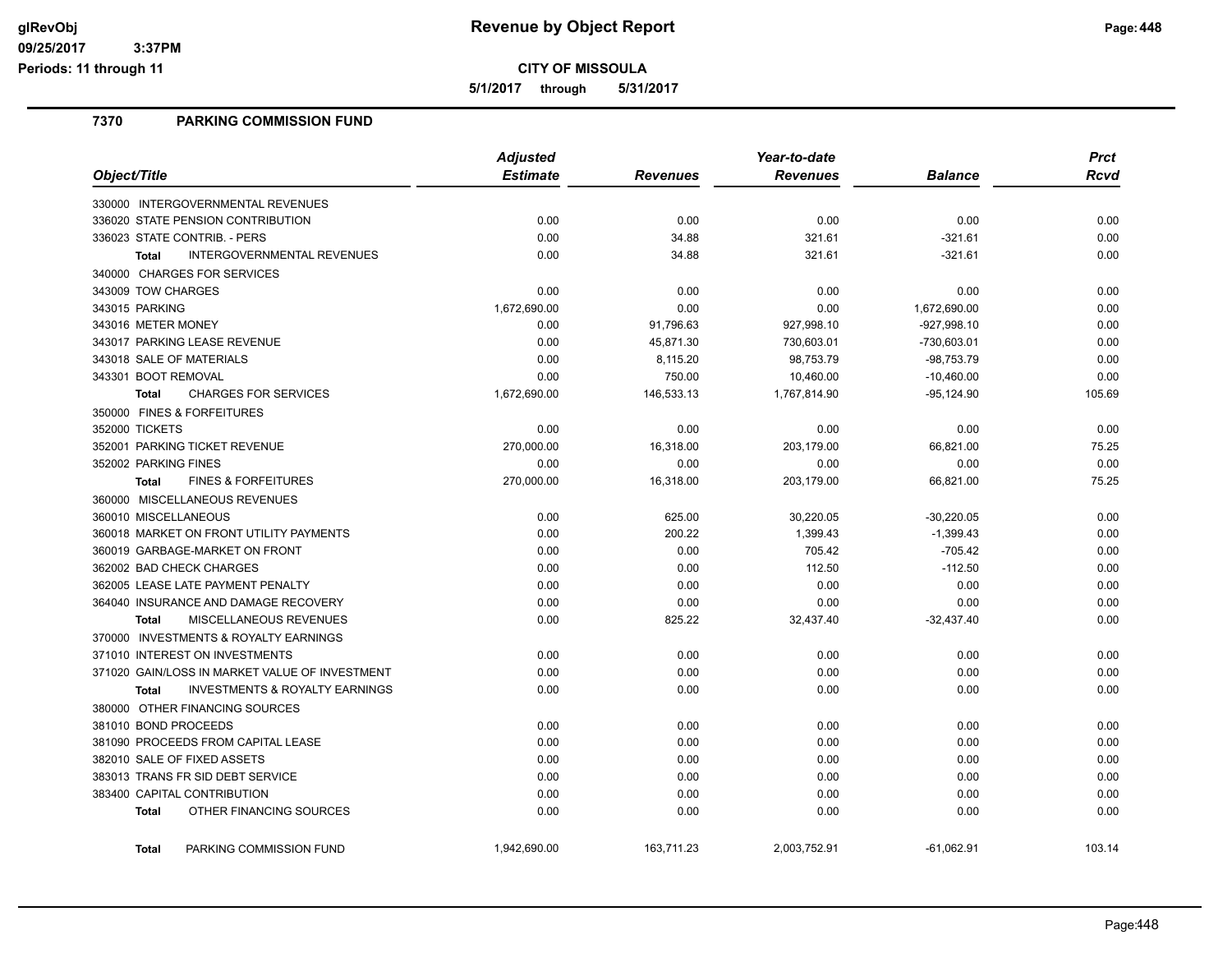**Periods: 11 through 11**

**CITY OF MISSOULA**

**5/1/2017 through 5/31/2017**

#### **7370 PARKING COMMISSION FUND**

|                                                           | <b>Adjusted</b> |                 | Year-to-date    |                | <b>Prct</b> |
|-----------------------------------------------------------|-----------------|-----------------|-----------------|----------------|-------------|
| Object/Title                                              | <b>Estimate</b> | <b>Revenues</b> | <b>Revenues</b> | <b>Balance</b> | Rcvd        |
| 330000 INTERGOVERNMENTAL REVENUES                         |                 |                 |                 |                |             |
| 336020 STATE PENSION CONTRIBUTION                         | 0.00            | 0.00            | 0.00            | 0.00           | 0.00        |
| 336023 STATE CONTRIB. - PERS                              | 0.00            | 34.88           | 321.61          | $-321.61$      | 0.00        |
| <b>INTERGOVERNMENTAL REVENUES</b><br><b>Total</b>         | 0.00            | 34.88           | 321.61          | $-321.61$      | 0.00        |
| 340000 CHARGES FOR SERVICES                               |                 |                 |                 |                |             |
| 343009 TOW CHARGES                                        | 0.00            | 0.00            | 0.00            | 0.00           | 0.00        |
| 343015 PARKING                                            | 1,672,690.00    | 0.00            | 0.00            | 1,672,690.00   | 0.00        |
| 343016 METER MONEY                                        | 0.00            | 91,796.63       | 927,998.10      | $-927,998.10$  | 0.00        |
| 343017 PARKING LEASE REVENUE                              | 0.00            | 45,871.30       | 730,603.01      | -730,603.01    | 0.00        |
| 343018 SALE OF MATERIALS                                  | 0.00            | 8,115.20        | 98,753.79       | $-98,753.79$   | 0.00        |
| 343301 BOOT REMOVAL                                       | 0.00            | 750.00          | 10,460.00       | $-10,460.00$   | 0.00        |
| <b>CHARGES FOR SERVICES</b><br><b>Total</b>               | 1,672,690.00    | 146,533.13      | 1,767,814.90    | $-95, 124.90$  | 105.69      |
| 350000 FINES & FORFEITURES                                |                 |                 |                 |                |             |
| 352000 TICKETS                                            | 0.00            | 0.00            | 0.00            | 0.00           | 0.00        |
| 352001 PARKING TICKET REVENUE                             | 270,000.00      | 16,318.00       | 203,179.00      | 66,821.00      | 75.25       |
| 352002 PARKING FINES                                      | 0.00            | 0.00            | 0.00            | 0.00           | 0.00        |
| <b>FINES &amp; FORFEITURES</b><br><b>Total</b>            | 270,000.00      | 16,318.00       | 203,179.00      | 66,821.00      | 75.25       |
| 360000 MISCELLANEOUS REVENUES                             |                 |                 |                 |                |             |
| 360010 MISCELLANEOUS                                      | 0.00            | 625.00          | 30,220.05       | $-30,220.05$   | 0.00        |
| 360018 MARKET ON FRONT UTILITY PAYMENTS                   | 0.00            | 200.22          | 1,399.43        | $-1.399.43$    | 0.00        |
| 360019 GARBAGE-MARKET ON FRONT                            | 0.00            | 0.00            | 705.42          | $-705.42$      | 0.00        |
| 362002 BAD CHECK CHARGES                                  | 0.00            | 0.00            | 112.50          | $-112.50$      | 0.00        |
| 362005 LEASE LATE PAYMENT PENALTY                         | 0.00            | 0.00            | 0.00            | 0.00           | 0.00        |
| 364040 INSURANCE AND DAMAGE RECOVERY                      | 0.00            | 0.00            | 0.00            | 0.00           | 0.00        |
| MISCELLANEOUS REVENUES<br><b>Total</b>                    | 0.00            | 825.22          | 32,437.40       | $-32,437.40$   | 0.00        |
| 370000 INVESTMENTS & ROYALTY EARNINGS                     |                 |                 |                 |                |             |
| 371010 INTEREST ON INVESTMENTS                            | 0.00            | 0.00            | 0.00            | 0.00           | 0.00        |
| 371020 GAIN/LOSS IN MARKET VALUE OF INVESTMENT            | 0.00            | 0.00            | 0.00            | 0.00           | 0.00        |
| <b>INVESTMENTS &amp; ROYALTY EARNINGS</b><br><b>Total</b> | 0.00            | 0.00            | 0.00            | 0.00           | 0.00        |
| 380000 OTHER FINANCING SOURCES                            |                 |                 |                 |                |             |
| 381010 BOND PROCEEDS                                      | 0.00            | 0.00            | 0.00            | 0.00           | 0.00        |
| 381090 PROCEEDS FROM CAPITAL LEASE                        | 0.00            | 0.00            | 0.00            | 0.00           | 0.00        |
| 382010 SALE OF FIXED ASSETS                               | 0.00            | 0.00            | 0.00            | 0.00           | 0.00        |
| 383013 TRANS FR SID DEBT SERVICE                          | 0.00            | 0.00            | 0.00            | 0.00           | 0.00        |
| 383400 CAPITAL CONTRIBUTION                               | 0.00            | 0.00            | 0.00            | 0.00           | 0.00        |
| OTHER FINANCING SOURCES<br><b>Total</b>                   | 0.00            | 0.00            | 0.00            | 0.00           | 0.00        |
| PARKING COMMISSION FUND<br><b>Total</b>                   | 1,942,690.00    | 163,711.23      | 2,003,752.91    | $-61.062.91$   | 103.14      |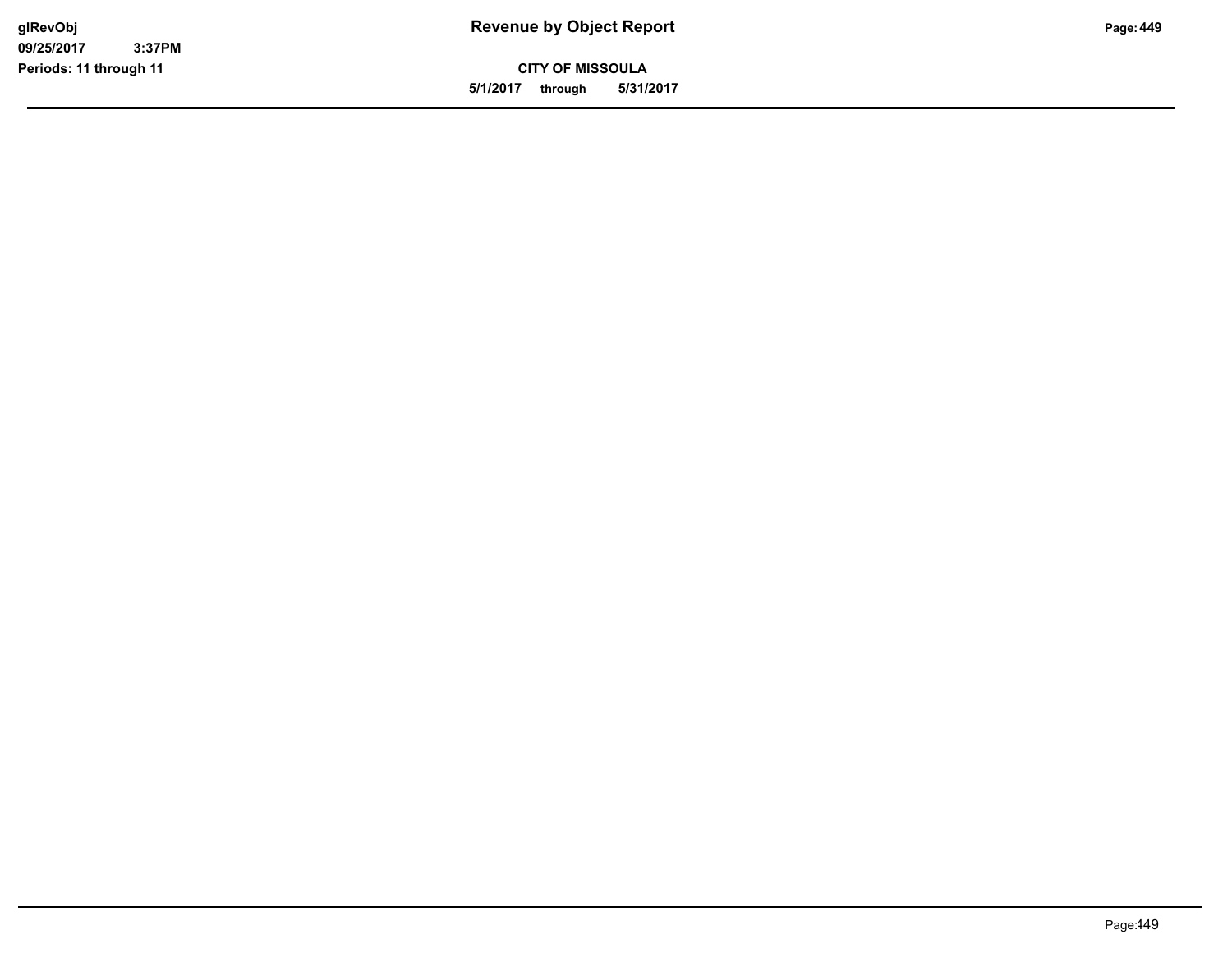**CITY OF MISSOULA 5/1/2017 through 5/31/2017**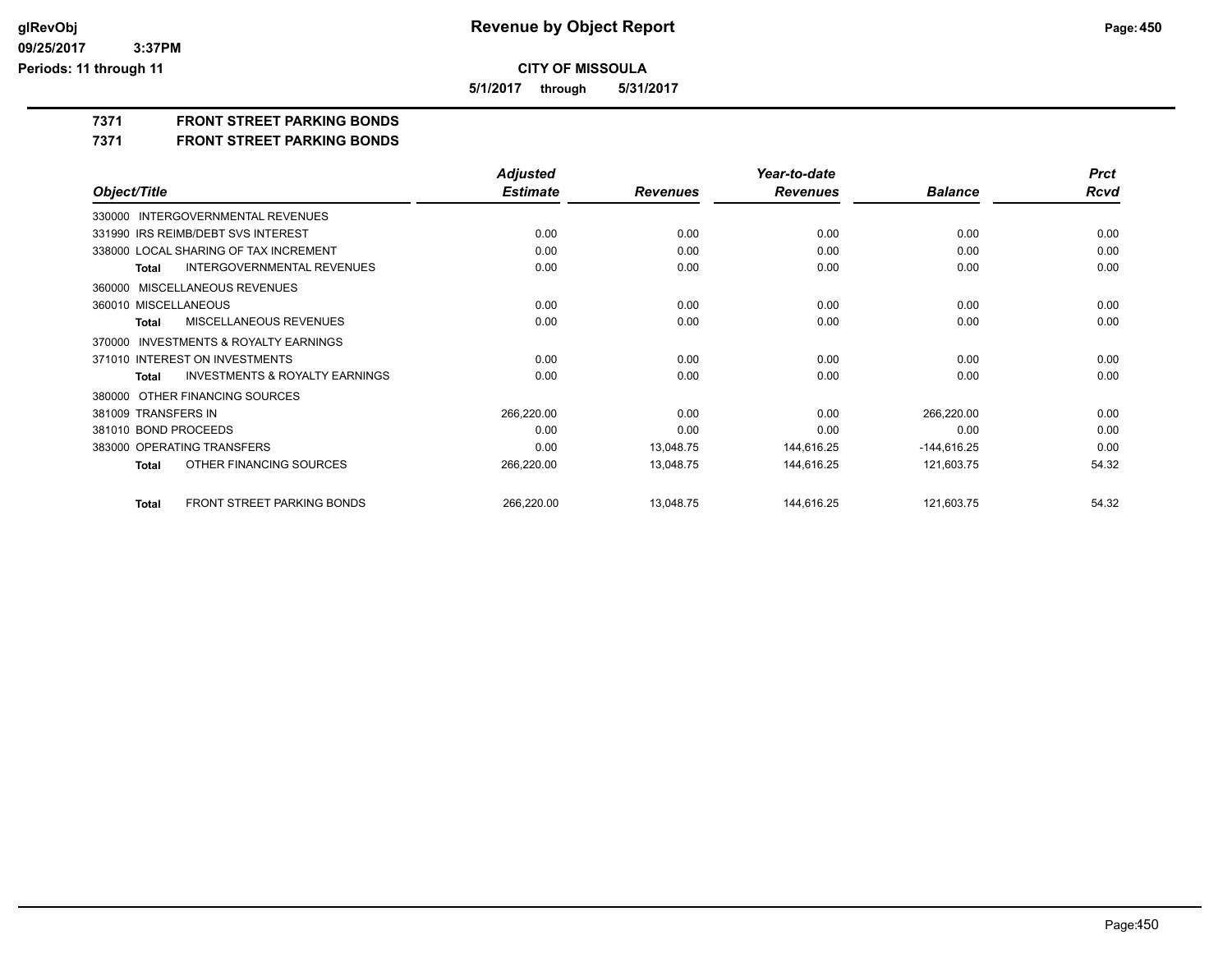**5/1/2017 through 5/31/2017**

**7371 FRONT STREET PARKING BONDS**

**7371 FRONT STREET PARKING BONDS**

|                                                     | <b>Adjusted</b> |                 | Year-to-date    |                | <b>Prct</b> |
|-----------------------------------------------------|-----------------|-----------------|-----------------|----------------|-------------|
| Object/Title                                        | <b>Estimate</b> | <b>Revenues</b> | <b>Revenues</b> | <b>Balance</b> | <b>Rcvd</b> |
| 330000 INTERGOVERNMENTAL REVENUES                   |                 |                 |                 |                |             |
| 331990 IRS REIMB/DEBT SVS INTEREST                  | 0.00            | 0.00            | 0.00            | 0.00           | 0.00        |
| 338000 LOCAL SHARING OF TAX INCREMENT               | 0.00            | 0.00            | 0.00            | 0.00           | 0.00        |
| <b>INTERGOVERNMENTAL REVENUES</b><br>Total          | 0.00            | 0.00            | 0.00            | 0.00           | 0.00        |
| 360000 MISCELLANEOUS REVENUES                       |                 |                 |                 |                |             |
| 360010 MISCELLANEOUS                                | 0.00            | 0.00            | 0.00            | 0.00           | 0.00        |
| MISCELLANEOUS REVENUES<br>Total                     | 0.00            | 0.00            | 0.00            | 0.00           | 0.00        |
| <b>INVESTMENTS &amp; ROYALTY EARNINGS</b><br>370000 |                 |                 |                 |                |             |
| 371010 INTEREST ON INVESTMENTS                      | 0.00            | 0.00            | 0.00            | 0.00           | 0.00        |
| <b>INVESTMENTS &amp; ROYALTY EARNINGS</b><br>Total  | 0.00            | 0.00            | 0.00            | 0.00           | 0.00        |
| 380000 OTHER FINANCING SOURCES                      |                 |                 |                 |                |             |
| 381009 TRANSFERS IN                                 | 266,220.00      | 0.00            | 0.00            | 266,220.00     | 0.00        |
| 381010 BOND PROCEEDS                                | 0.00            | 0.00            | 0.00            | 0.00           | 0.00        |
| 383000 OPERATING TRANSFERS                          | 0.00            | 13,048.75       | 144,616.25      | $-144,616.25$  | 0.00        |
| OTHER FINANCING SOURCES<br><b>Total</b>             | 266,220.00      | 13,048.75       | 144,616.25      | 121,603.75     | 54.32       |
| <b>FRONT STREET PARKING BONDS</b><br>Total          | 266,220.00      | 13,048.75       | 144,616.25      | 121,603.75     | 54.32       |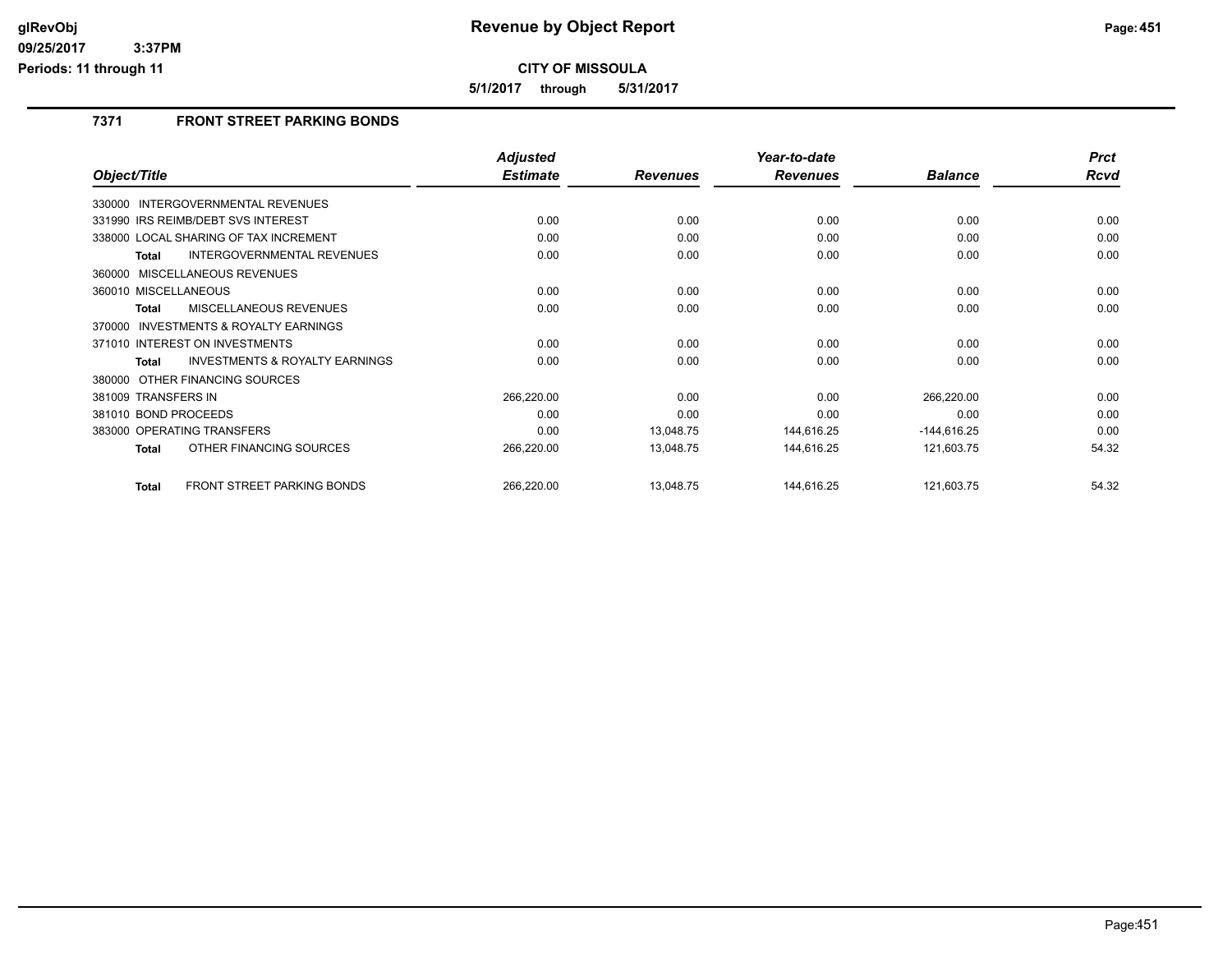**5/1/2017 through 5/31/2017**

### **7371 FRONT STREET PARKING BONDS**

|                                                     | <b>Adjusted</b> |                 | Year-to-date    |                | <b>Prct</b> |
|-----------------------------------------------------|-----------------|-----------------|-----------------|----------------|-------------|
| Object/Title                                        | <b>Estimate</b> | <b>Revenues</b> | <b>Revenues</b> | <b>Balance</b> | Rcvd        |
| 330000 INTERGOVERNMENTAL REVENUES                   |                 |                 |                 |                |             |
| 331990 IRS REIMB/DEBT SVS INTEREST                  | 0.00            | 0.00            | 0.00            | 0.00           | 0.00        |
| 338000 LOCAL SHARING OF TAX INCREMENT               | 0.00            | 0.00            | 0.00            | 0.00           | 0.00        |
| <b>INTERGOVERNMENTAL REVENUES</b><br><b>Total</b>   | 0.00            | 0.00            | 0.00            | 0.00           | 0.00        |
| 360000 MISCELLANEOUS REVENUES                       |                 |                 |                 |                |             |
| 360010 MISCELLANEOUS                                | 0.00            | 0.00            | 0.00            | 0.00           | 0.00        |
| MISCELLANEOUS REVENUES<br><b>Total</b>              | 0.00            | 0.00            | 0.00            | 0.00           | 0.00        |
| <b>INVESTMENTS &amp; ROYALTY EARNINGS</b><br>370000 |                 |                 |                 |                |             |
| 371010 INTEREST ON INVESTMENTS                      | 0.00            | 0.00            | 0.00            | 0.00           | 0.00        |
| INVESTMENTS & ROYALTY EARNINGS<br><b>Total</b>      | 0.00            | 0.00            | 0.00            | 0.00           | 0.00        |
| 380000 OTHER FINANCING SOURCES                      |                 |                 |                 |                |             |
| 381009 TRANSFERS IN                                 | 266,220.00      | 0.00            | 0.00            | 266,220.00     | 0.00        |
| 381010 BOND PROCEEDS                                | 0.00            | 0.00            | 0.00            | 0.00           | 0.00        |
| 383000 OPERATING TRANSFERS                          | 0.00            | 13,048.75       | 144,616.25      | $-144,616.25$  | 0.00        |
| OTHER FINANCING SOURCES<br><b>Total</b>             | 266,220.00      | 13,048.75       | 144,616.25      | 121,603.75     | 54.32       |
| <b>FRONT STREET PARKING BONDS</b><br><b>Total</b>   | 266,220.00      | 13,048.75       | 144,616.25      | 121,603.75     | 54.32       |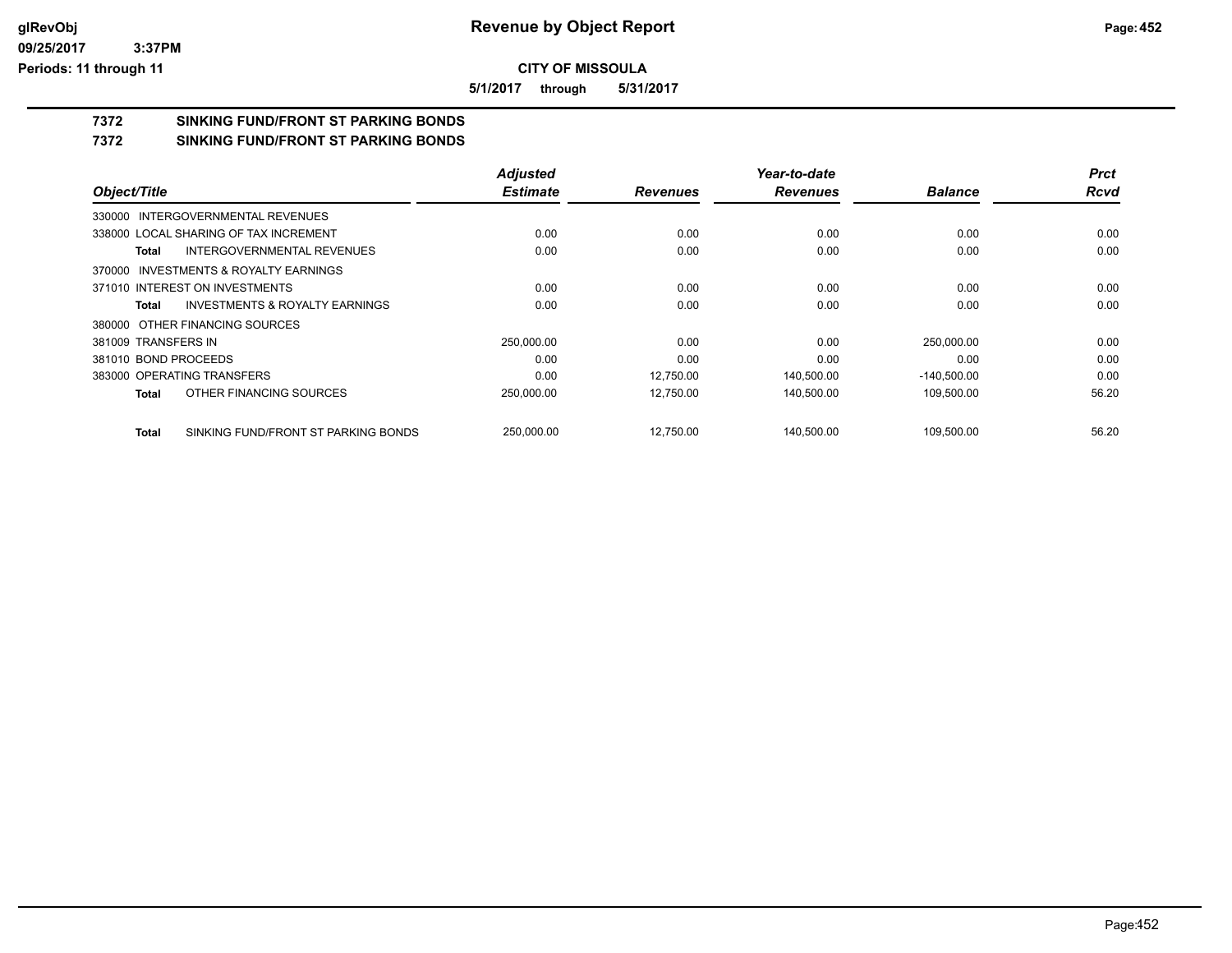**5/1/2017 through 5/31/2017**

# **7372 SINKING FUND/FRONT ST PARKING BONDS**

**7372 SINKING FUND/FRONT ST PARKING BONDS**

|                                                    |  | <b>Adjusted</b> |                 | Year-to-date    |                | <b>Prct</b> |
|----------------------------------------------------|--|-----------------|-----------------|-----------------|----------------|-------------|
| Object/Title                                       |  | <b>Estimate</b> | <b>Revenues</b> | <b>Revenues</b> | <b>Balance</b> | <b>Rcvd</b> |
| 330000 INTERGOVERNMENTAL REVENUES                  |  |                 |                 |                 |                |             |
| 338000 LOCAL SHARING OF TAX INCREMENT              |  | 0.00            | 0.00            | 0.00            | 0.00           | 0.00        |
| INTERGOVERNMENTAL REVENUES<br>Total                |  | 0.00            | 0.00            | 0.00            | 0.00           | 0.00        |
| 370000 INVESTMENTS & ROYALTY EARNINGS              |  |                 |                 |                 |                |             |
| 371010 INTEREST ON INVESTMENTS                     |  | 0.00            | 0.00            | 0.00            | 0.00           | 0.00        |
| <b>INVESTMENTS &amp; ROYALTY EARNINGS</b><br>Total |  | 0.00            | 0.00            | 0.00            | 0.00           | 0.00        |
| 380000 OTHER FINANCING SOURCES                     |  |                 |                 |                 |                |             |
| 381009 TRANSFERS IN                                |  | 250,000.00      | 0.00            | 0.00            | 250,000.00     | 0.00        |
| 381010 BOND PROCEEDS                               |  | 0.00            | 0.00            | 0.00            | 0.00           | 0.00        |
| 383000 OPERATING TRANSFERS                         |  | 0.00            | 12.750.00       | 140,500.00      | $-140,500.00$  | 0.00        |
| OTHER FINANCING SOURCES<br>Total                   |  | 250,000.00      | 12,750.00       | 140,500.00      | 109,500.00     | 56.20       |
| SINKING FUND/FRONT ST PARKING BONDS<br>Total       |  | 250,000.00      | 12.750.00       | 140.500.00      | 109.500.00     | 56.20       |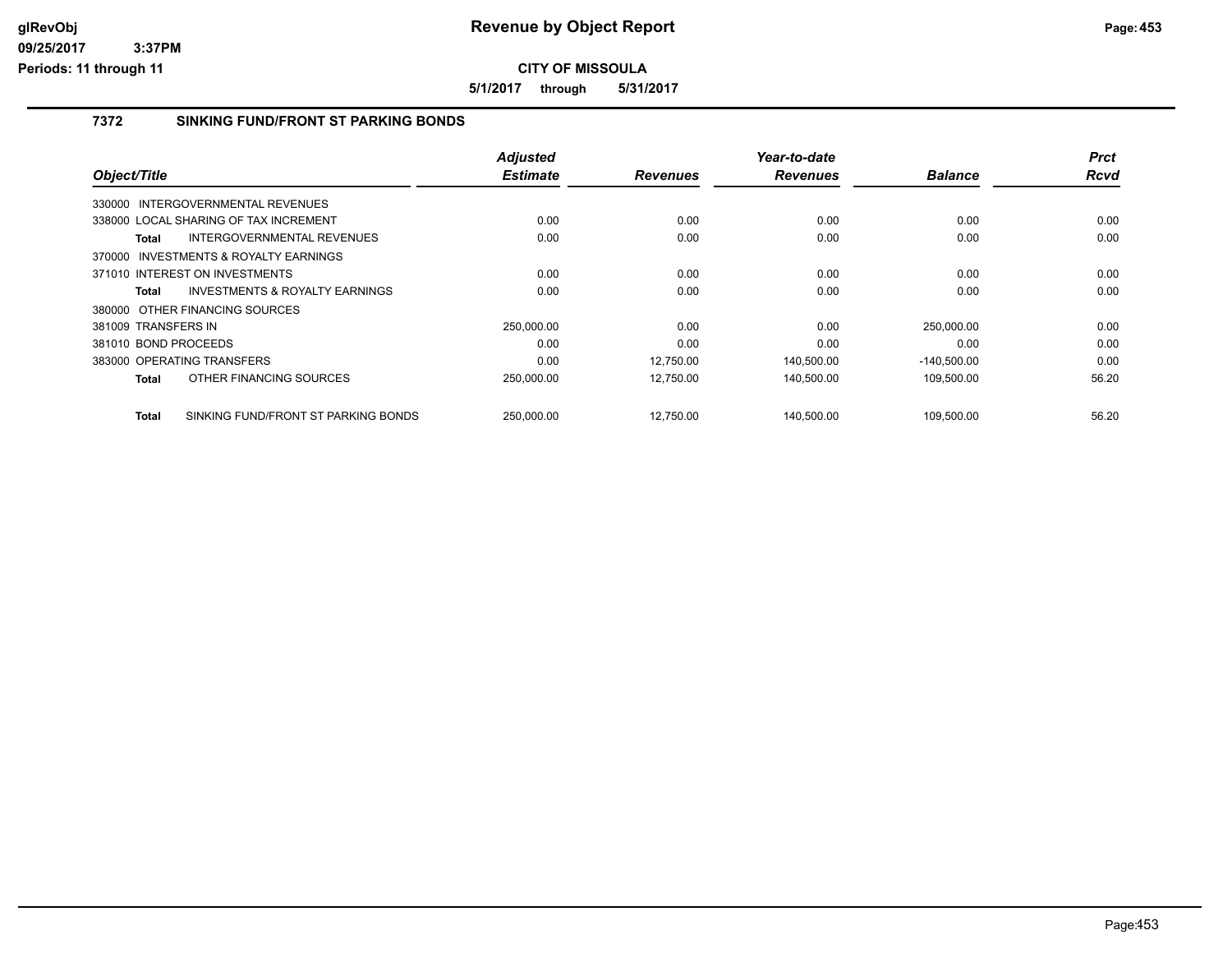**5/1/2017 through 5/31/2017**

#### **7372 SINKING FUND/FRONT ST PARKING BONDS**

| Object/Title         |                                           | <b>Adjusted</b><br><b>Estimate</b> | <b>Revenues</b> | Year-to-date<br><b>Revenues</b> | <b>Balance</b> | <b>Prct</b><br><b>Rcvd</b> |
|----------------------|-------------------------------------------|------------------------------------|-----------------|---------------------------------|----------------|----------------------------|
|                      |                                           |                                    |                 |                                 |                |                            |
| 330000               | INTERGOVERNMENTAL REVENUES                |                                    |                 |                                 |                |                            |
|                      | 338000 LOCAL SHARING OF TAX INCREMENT     | 0.00                               | 0.00            | 0.00                            | 0.00           | 0.00                       |
| <b>Total</b>         | INTERGOVERNMENTAL REVENUES                | 0.00                               | 0.00            | 0.00                            | 0.00           | 0.00                       |
| 370000               | <b>INVESTMENTS &amp; ROYALTY EARNINGS</b> |                                    |                 |                                 |                |                            |
|                      | 371010 INTEREST ON INVESTMENTS            | 0.00                               | 0.00            | 0.00                            | 0.00           | 0.00                       |
| <b>Total</b>         | <b>INVESTMENTS &amp; ROYALTY EARNINGS</b> | 0.00                               | 0.00            | 0.00                            | 0.00           | 0.00                       |
|                      | 380000 OTHER FINANCING SOURCES            |                                    |                 |                                 |                |                            |
| 381009 TRANSFERS IN  |                                           | 250.000.00                         | 0.00            | 0.00                            | 250,000.00     | 0.00                       |
| 381010 BOND PROCEEDS |                                           | 0.00                               | 0.00            | 0.00                            | 0.00           | 0.00                       |
|                      | 383000 OPERATING TRANSFERS                | 0.00                               | 12.750.00       | 140,500.00                      | $-140,500.00$  | 0.00                       |
| <b>Total</b>         | OTHER FINANCING SOURCES                   | 250,000.00                         | 12.750.00       | 140.500.00                      | 109,500.00     | 56.20                      |
| Total                | SINKING FUND/FRONT ST PARKING BONDS       | 250,000.00                         | 12,750.00       | 140,500.00                      | 109,500.00     | 56.20                      |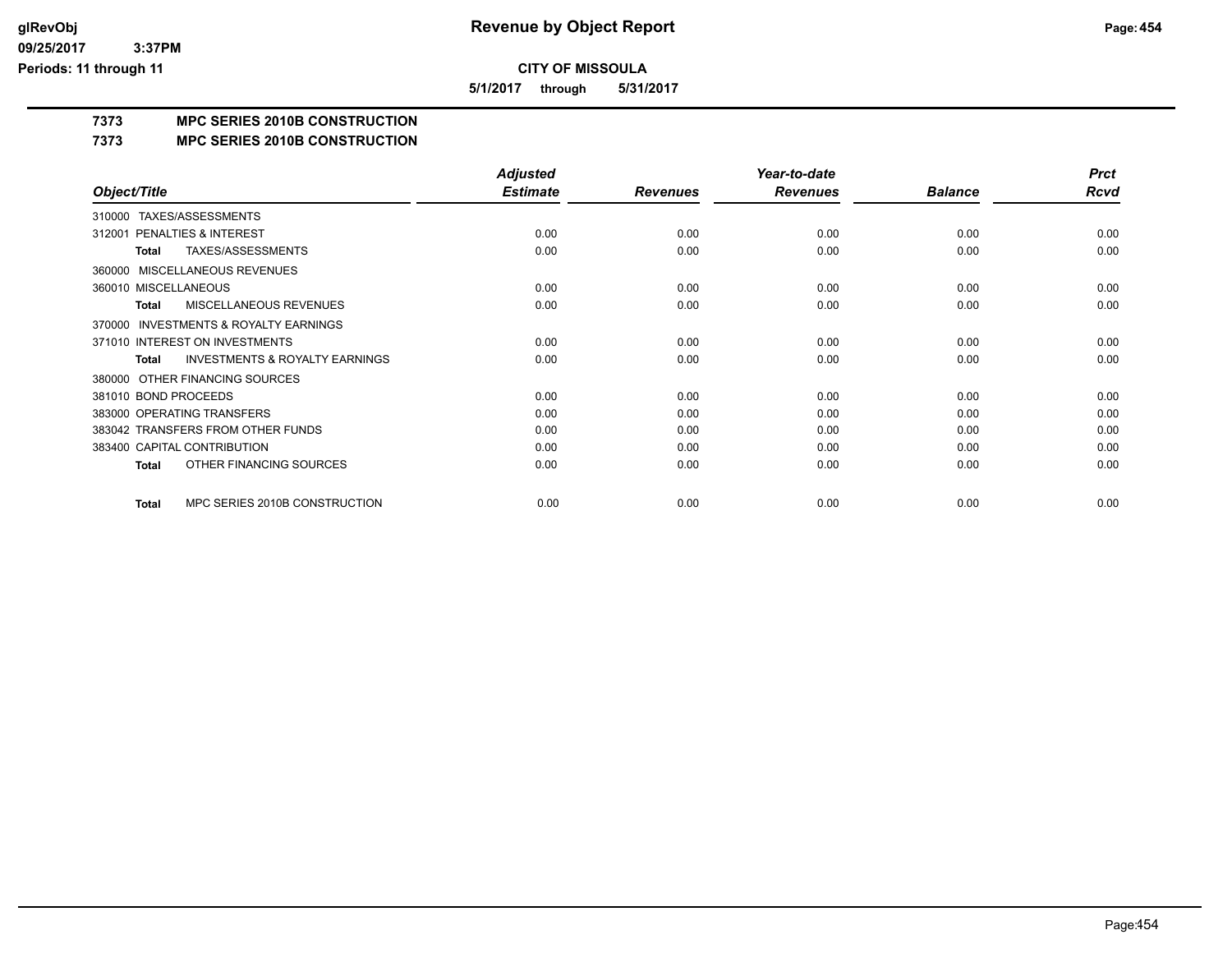**Periods: 11 through 11**

**CITY OF MISSOULA**

**5/1/2017 through 5/31/2017**

# **7373 MPC SERIES 2010B CONSTRUCTION**

#### **7373 MPC SERIES 2010B CONSTRUCTION**

|                                                     | <b>Adjusted</b> |                 | Year-to-date    |                | <b>Prct</b> |
|-----------------------------------------------------|-----------------|-----------------|-----------------|----------------|-------------|
| Object/Title                                        | <b>Estimate</b> | <b>Revenues</b> | <b>Revenues</b> | <b>Balance</b> | <b>Rcvd</b> |
| TAXES/ASSESSMENTS<br>310000                         |                 |                 |                 |                |             |
| PENALTIES & INTEREST<br>312001                      | 0.00            | 0.00            | 0.00            | 0.00           | 0.00        |
| TAXES/ASSESSMENTS<br><b>Total</b>                   | 0.00            | 0.00            | 0.00            | 0.00           | 0.00        |
| MISCELLANEOUS REVENUES<br>360000                    |                 |                 |                 |                |             |
| 360010 MISCELLANEOUS                                | 0.00            | 0.00            | 0.00            | 0.00           | 0.00        |
| <b>MISCELLANEOUS REVENUES</b><br>Total              | 0.00            | 0.00            | 0.00            | 0.00           | 0.00        |
| <b>INVESTMENTS &amp; ROYALTY EARNINGS</b><br>370000 |                 |                 |                 |                |             |
| 371010 INTEREST ON INVESTMENTS                      | 0.00            | 0.00            | 0.00            | 0.00           | 0.00        |
| <b>INVESTMENTS &amp; ROYALTY EARNINGS</b><br>Total  | 0.00            | 0.00            | 0.00            | 0.00           | 0.00        |
| OTHER FINANCING SOURCES<br>380000                   |                 |                 |                 |                |             |
| 381010 BOND PROCEEDS                                | 0.00            | 0.00            | 0.00            | 0.00           | 0.00        |
| 383000 OPERATING TRANSFERS                          | 0.00            | 0.00            | 0.00            | 0.00           | 0.00        |
| 383042 TRANSFERS FROM OTHER FUNDS                   | 0.00            | 0.00            | 0.00            | 0.00           | 0.00        |
| 383400 CAPITAL CONTRIBUTION                         | 0.00            | 0.00            | 0.00            | 0.00           | 0.00        |
| OTHER FINANCING SOURCES<br><b>Total</b>             | 0.00            | 0.00            | 0.00            | 0.00           | 0.00        |
|                                                     |                 |                 |                 |                |             |
| MPC SERIES 2010B CONSTRUCTION<br><b>Total</b>       | 0.00            | 0.00            | 0.00            | 0.00           | 0.00        |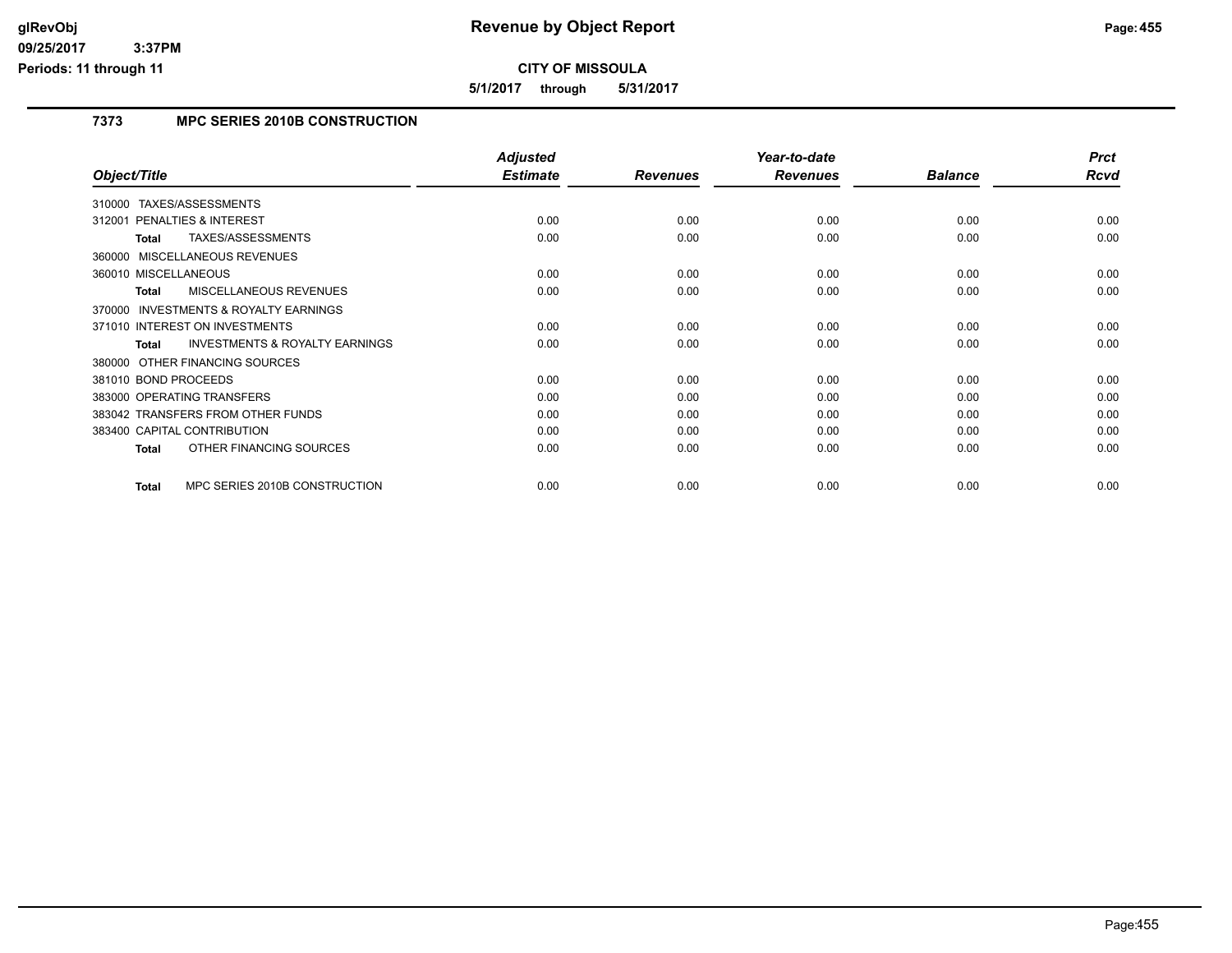**5/1/2017 through 5/31/2017**

### **7373 MPC SERIES 2010B CONSTRUCTION**

|                                                     | <b>Adjusted</b> |                 | Year-to-date    |                | <b>Prct</b> |
|-----------------------------------------------------|-----------------|-----------------|-----------------|----------------|-------------|
| Object/Title                                        | <b>Estimate</b> | <b>Revenues</b> | <b>Revenues</b> | <b>Balance</b> | <b>Rcvd</b> |
| 310000 TAXES/ASSESSMENTS                            |                 |                 |                 |                |             |
| 312001 PENALTIES & INTEREST                         | 0.00            | 0.00            | 0.00            | 0.00           | 0.00        |
| TAXES/ASSESSMENTS<br><b>Total</b>                   | 0.00            | 0.00            | 0.00            | 0.00           | 0.00        |
| 360000 MISCELLANEOUS REVENUES                       |                 |                 |                 |                |             |
| 360010 MISCELLANEOUS                                | 0.00            | 0.00            | 0.00            | 0.00           | 0.00        |
| MISCELLANEOUS REVENUES<br><b>Total</b>              | 0.00            | 0.00            | 0.00            | 0.00           | 0.00        |
| <b>INVESTMENTS &amp; ROYALTY EARNINGS</b><br>370000 |                 |                 |                 |                |             |
| 371010 INTEREST ON INVESTMENTS                      | 0.00            | 0.00            | 0.00            | 0.00           | 0.00        |
| <b>INVESTMENTS &amp; ROYALTY EARNINGS</b><br>Total  | 0.00            | 0.00            | 0.00            | 0.00           | 0.00        |
| 380000 OTHER FINANCING SOURCES                      |                 |                 |                 |                |             |
| 381010 BOND PROCEEDS                                | 0.00            | 0.00            | 0.00            | 0.00           | 0.00        |
| 383000 OPERATING TRANSFERS                          | 0.00            | 0.00            | 0.00            | 0.00           | 0.00        |
| 383042 TRANSFERS FROM OTHER FUNDS                   | 0.00            | 0.00            | 0.00            | 0.00           | 0.00        |
| 383400 CAPITAL CONTRIBUTION                         | 0.00            | 0.00            | 0.00            | 0.00           | 0.00        |
| OTHER FINANCING SOURCES<br><b>Total</b>             | 0.00            | 0.00            | 0.00            | 0.00           | 0.00        |
| MPC SERIES 2010B CONSTRUCTION<br><b>Total</b>       | 0.00            | 0.00            | 0.00            | 0.00           | 0.00        |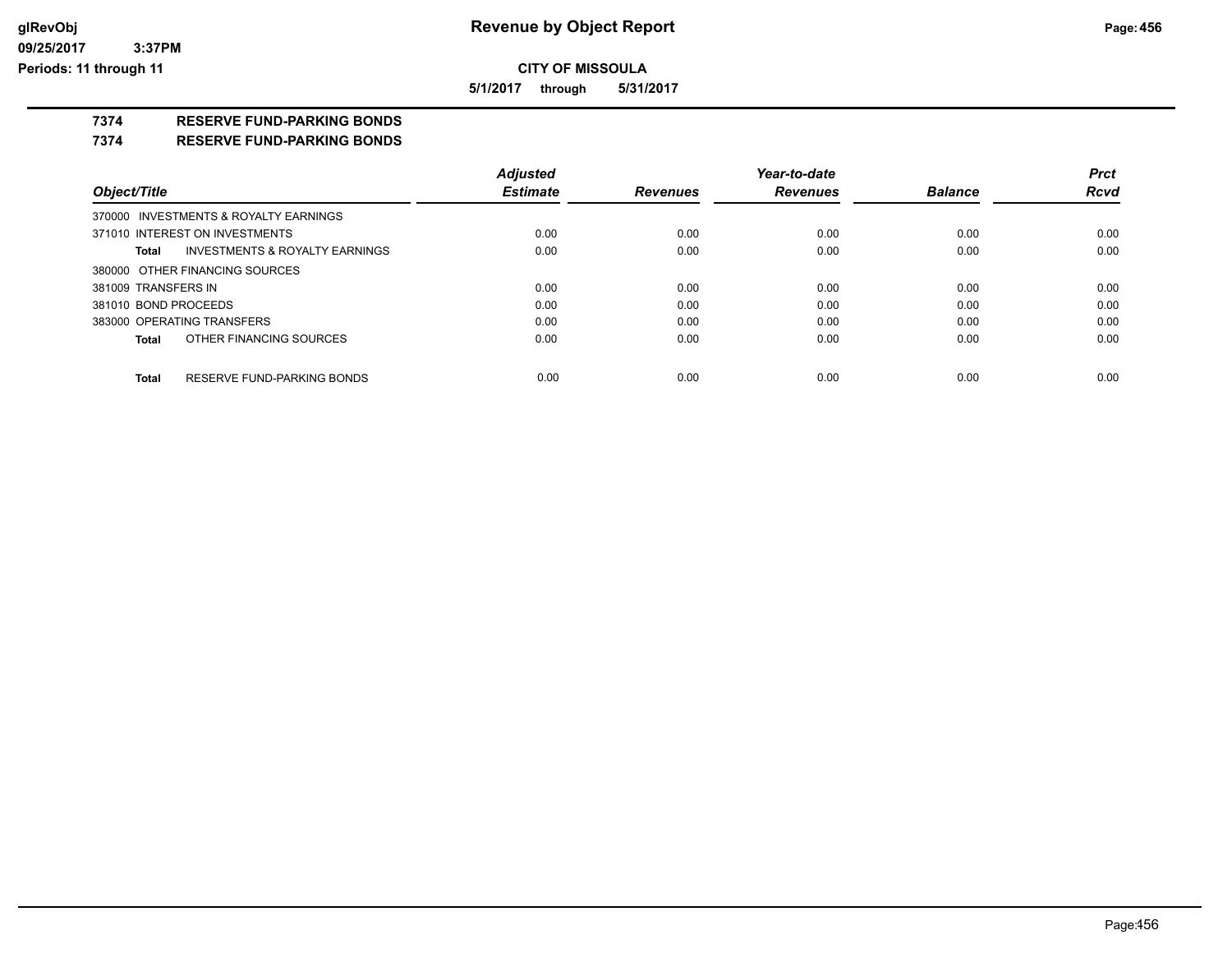**5/1/2017 through 5/31/2017**

# **7374 RESERVE FUND-PARKING BONDS**

#### **7374 RESERVE FUND-PARKING BONDS**

|                      |                                       | <b>Adjusted</b> |                 | Year-to-date    |                | <b>Prct</b> |
|----------------------|---------------------------------------|-----------------|-----------------|-----------------|----------------|-------------|
| Object/Title         |                                       | <b>Estimate</b> | <b>Revenues</b> | <b>Revenues</b> | <b>Balance</b> | <b>Rcvd</b> |
|                      | 370000 INVESTMENTS & ROYALTY EARNINGS |                 |                 |                 |                |             |
|                      | 371010 INTEREST ON INVESTMENTS        | 0.00            | 0.00            | 0.00            | 0.00           | 0.00        |
| Total                | INVESTMENTS & ROYALTY EARNINGS        | 0.00            | 0.00            | 0.00            | 0.00           | 0.00        |
|                      | 380000 OTHER FINANCING SOURCES        |                 |                 |                 |                |             |
| 381009 TRANSFERS IN  |                                       | 0.00            | 0.00            | 0.00            | 0.00           | 0.00        |
| 381010 BOND PROCEEDS |                                       | 0.00            | 0.00            | 0.00            | 0.00           | 0.00        |
|                      | 383000 OPERATING TRANSFERS            | 0.00            | 0.00            | 0.00            | 0.00           | 0.00        |
| Total                | OTHER FINANCING SOURCES               | 0.00            | 0.00            | 0.00            | 0.00           | 0.00        |
| Total                | RESERVE FUND-PARKING BONDS            | 0.00            | 0.00            | 0.00            | 0.00           | 0.00        |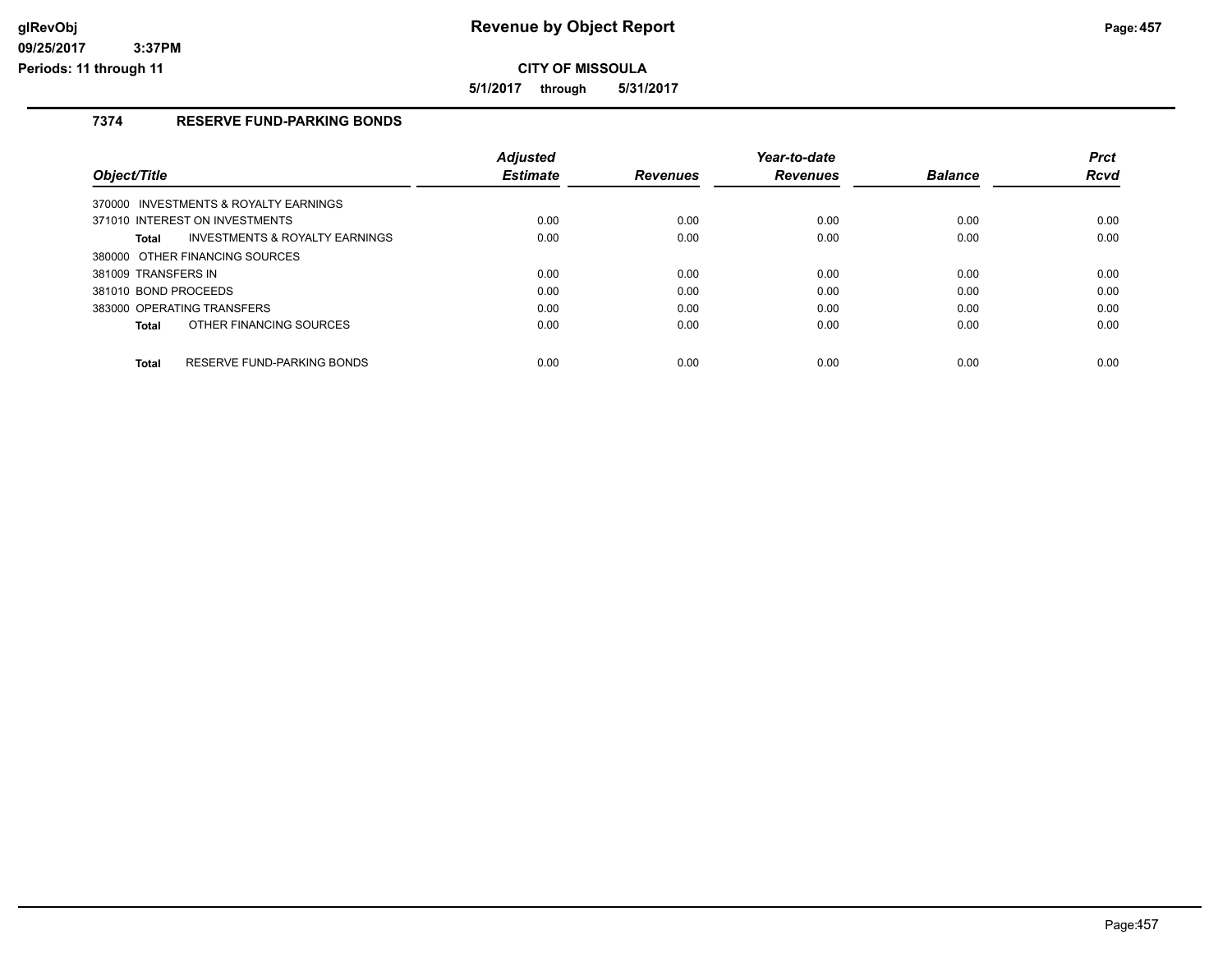**5/1/2017 through 5/31/2017**

#### **7374 RESERVE FUND-PARKING BONDS**

|                                                    | <b>Adjusted</b> |                 | Year-to-date    |                | <b>Prct</b> |
|----------------------------------------------------|-----------------|-----------------|-----------------|----------------|-------------|
| Object/Title                                       | <b>Estimate</b> | <b>Revenues</b> | <b>Revenues</b> | <b>Balance</b> | <b>Rcvd</b> |
| 370000 INVESTMENTS & ROYALTY EARNINGS              |                 |                 |                 |                |             |
| 371010 INTEREST ON INVESTMENTS                     | 0.00            | 0.00            | 0.00            | 0.00           | 0.00        |
| <b>INVESTMENTS &amp; ROYALTY EARNINGS</b><br>Total | 0.00            | 0.00            | 0.00            | 0.00           | 0.00        |
| 380000 OTHER FINANCING SOURCES                     |                 |                 |                 |                |             |
| 381009 TRANSFERS IN                                | 0.00            | 0.00            | 0.00            | 0.00           | 0.00        |
| 381010 BOND PROCEEDS                               | 0.00            | 0.00            | 0.00            | 0.00           | 0.00        |
| 383000 OPERATING TRANSFERS                         | 0.00            | 0.00            | 0.00            | 0.00           | 0.00        |
| OTHER FINANCING SOURCES<br><b>Total</b>            | 0.00            | 0.00            | 0.00            | 0.00           | 0.00        |
| RESERVE FUND-PARKING BONDS<br><b>Total</b>         | 0.00            | 0.00            | 0.00            | 0.00           | 0.00        |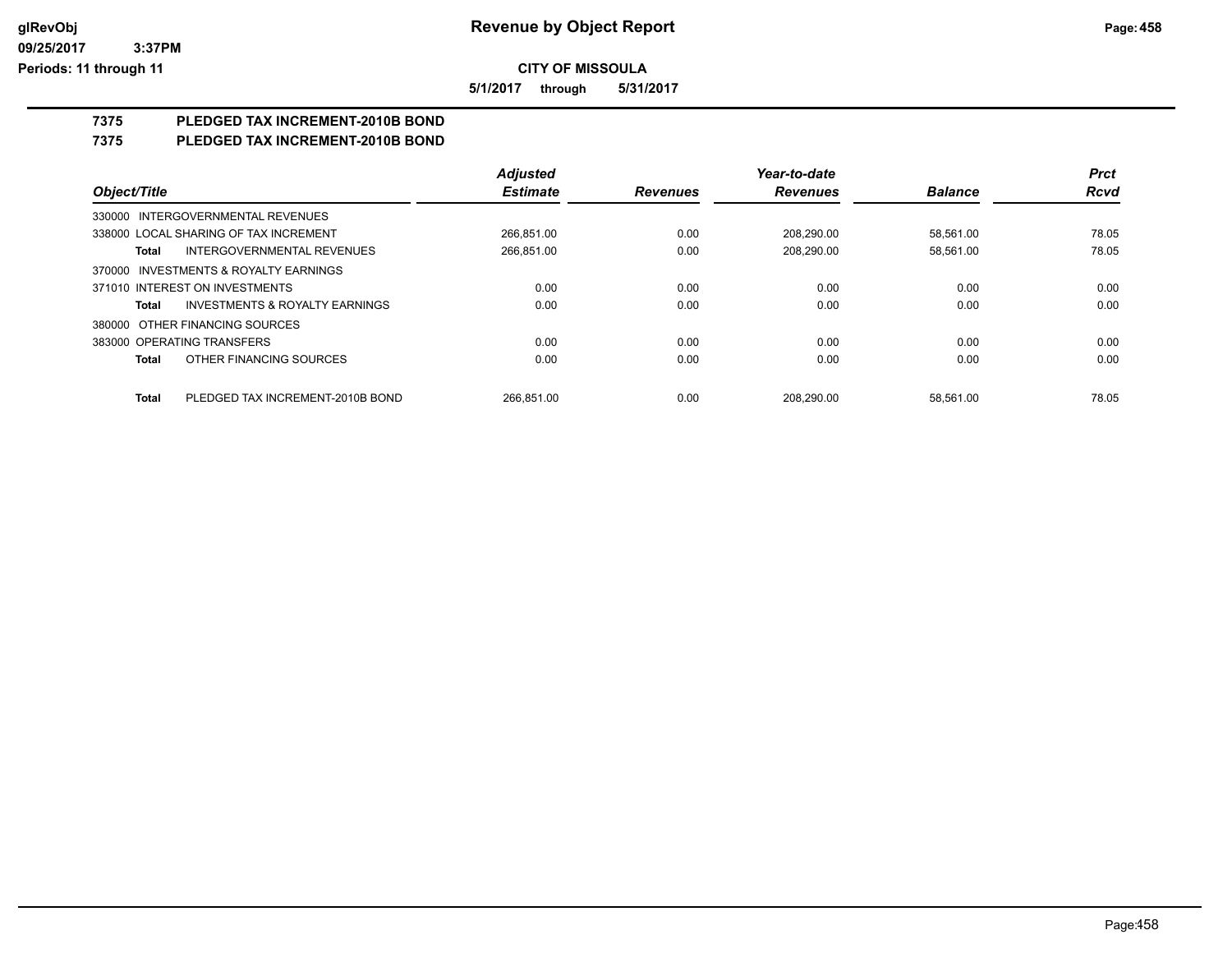**5/1/2017 through 5/31/2017**

# **7375 PLEDGED TAX INCREMENT-2010B BOND**

# **7375 PLEDGED TAX INCREMENT-2010B BOND**

|                                            | <b>Adjusted</b> |                 | Year-to-date    |                | <b>Prct</b> |
|--------------------------------------------|-----------------|-----------------|-----------------|----------------|-------------|
| Object/Title                               | <b>Estimate</b> | <b>Revenues</b> | <b>Revenues</b> | <b>Balance</b> | <b>Rcvd</b> |
| 330000 INTERGOVERNMENTAL REVENUES          |                 |                 |                 |                |             |
| 338000 LOCAL SHARING OF TAX INCREMENT      | 266,851.00      | 0.00            | 208.290.00      | 58.561.00      | 78.05       |
| <b>INTERGOVERNMENTAL REVENUES</b><br>Total | 266,851.00      | 0.00            | 208.290.00      | 58,561.00      | 78.05       |
| 370000 INVESTMENTS & ROYALTY EARNINGS      |                 |                 |                 |                |             |
| 371010 INTEREST ON INVESTMENTS             | 0.00            | 0.00            | 0.00            | 0.00           | 0.00        |
| INVESTMENTS & ROYALTY EARNINGS<br>Total    | 0.00            | 0.00            | 0.00            | 0.00           | 0.00        |
| 380000 OTHER FINANCING SOURCES             |                 |                 |                 |                |             |
| 383000 OPERATING TRANSFERS                 | 0.00            | 0.00            | 0.00            | 0.00           | 0.00        |
| OTHER FINANCING SOURCES<br>Total           | 0.00            | 0.00            | 0.00            | 0.00           | 0.00        |
| PLEDGED TAX INCREMENT-2010B BOND<br>Total  | 266.851.00      | 0.00            | 208.290.00      | 58.561.00      | 78.05       |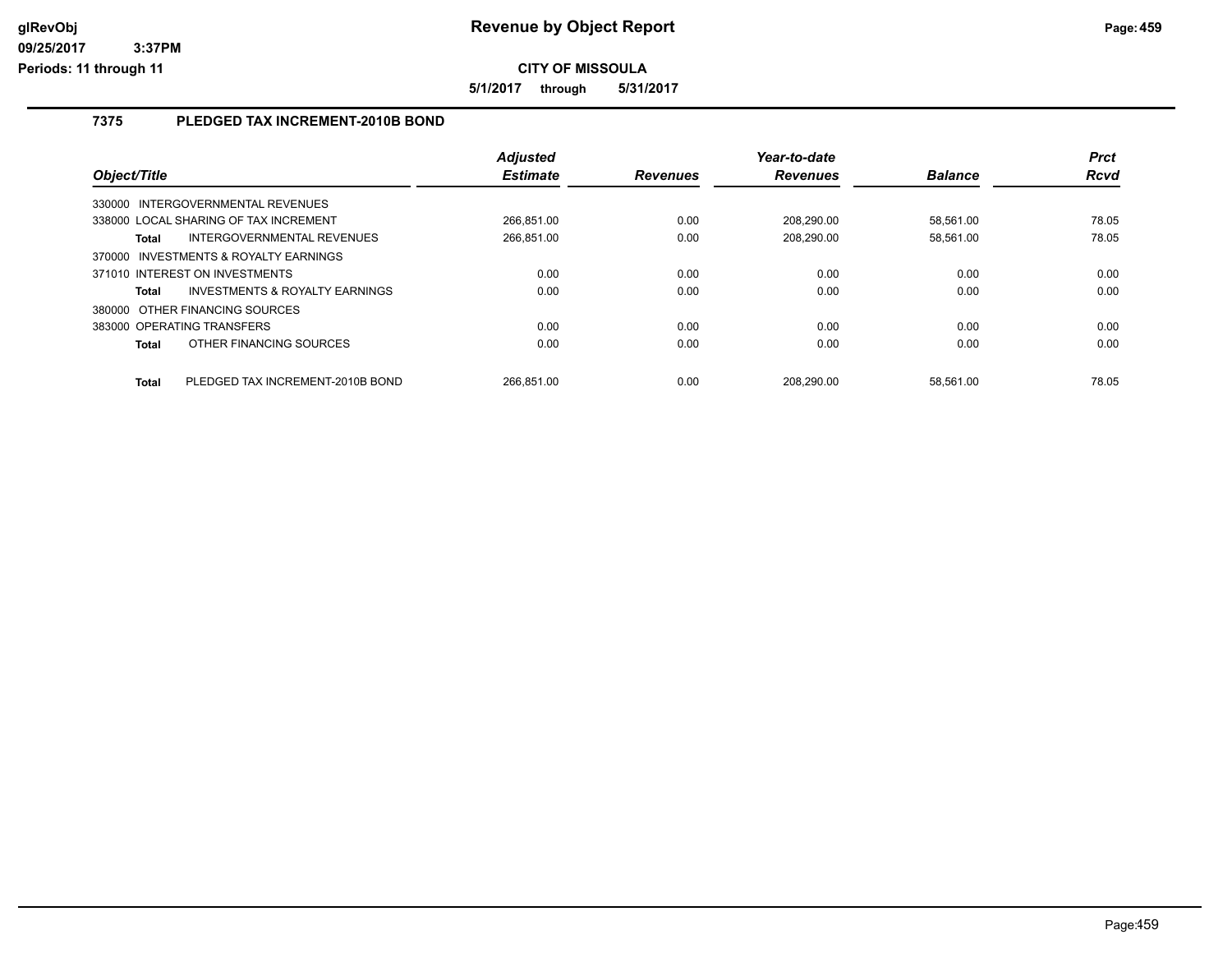**5/1/2017 through 5/31/2017**

#### **7375 PLEDGED TAX INCREMENT-2010B BOND**

|              |                                       | <b>Adjusted</b> |                 | Year-to-date    |                | <b>Prct</b> |
|--------------|---------------------------------------|-----------------|-----------------|-----------------|----------------|-------------|
| Object/Title |                                       | <b>Estimate</b> | <b>Revenues</b> | <b>Revenues</b> | <b>Balance</b> | <b>Rcvd</b> |
|              | 330000 INTERGOVERNMENTAL REVENUES     |                 |                 |                 |                |             |
|              | 338000 LOCAL SHARING OF TAX INCREMENT | 266.851.00      | 0.00            | 208.290.00      | 58.561.00      | 78.05       |
| <b>Total</b> | INTERGOVERNMENTAL REVENUES            | 266,851.00      | 0.00            | 208,290.00      | 58,561.00      | 78.05       |
|              | 370000 INVESTMENTS & ROYALTY EARNINGS |                 |                 |                 |                |             |
|              | 371010 INTEREST ON INVESTMENTS        | 0.00            | 0.00            | 0.00            | 0.00           | 0.00        |
| <b>Total</b> | INVESTMENTS & ROYALTY EARNINGS        | 0.00            | 0.00            | 0.00            | 0.00           | 0.00        |
|              | 380000 OTHER FINANCING SOURCES        |                 |                 |                 |                |             |
|              | 383000 OPERATING TRANSFERS            | 0.00            | 0.00            | 0.00            | 0.00           | 0.00        |
| <b>Total</b> | OTHER FINANCING SOURCES               | 0.00            | 0.00            | 0.00            | 0.00           | 0.00        |
| <b>Total</b> | PLEDGED TAX INCREMENT-2010B BOND      | 266.851.00      | 0.00            | 208.290.00      | 58.561.00      | 78.05       |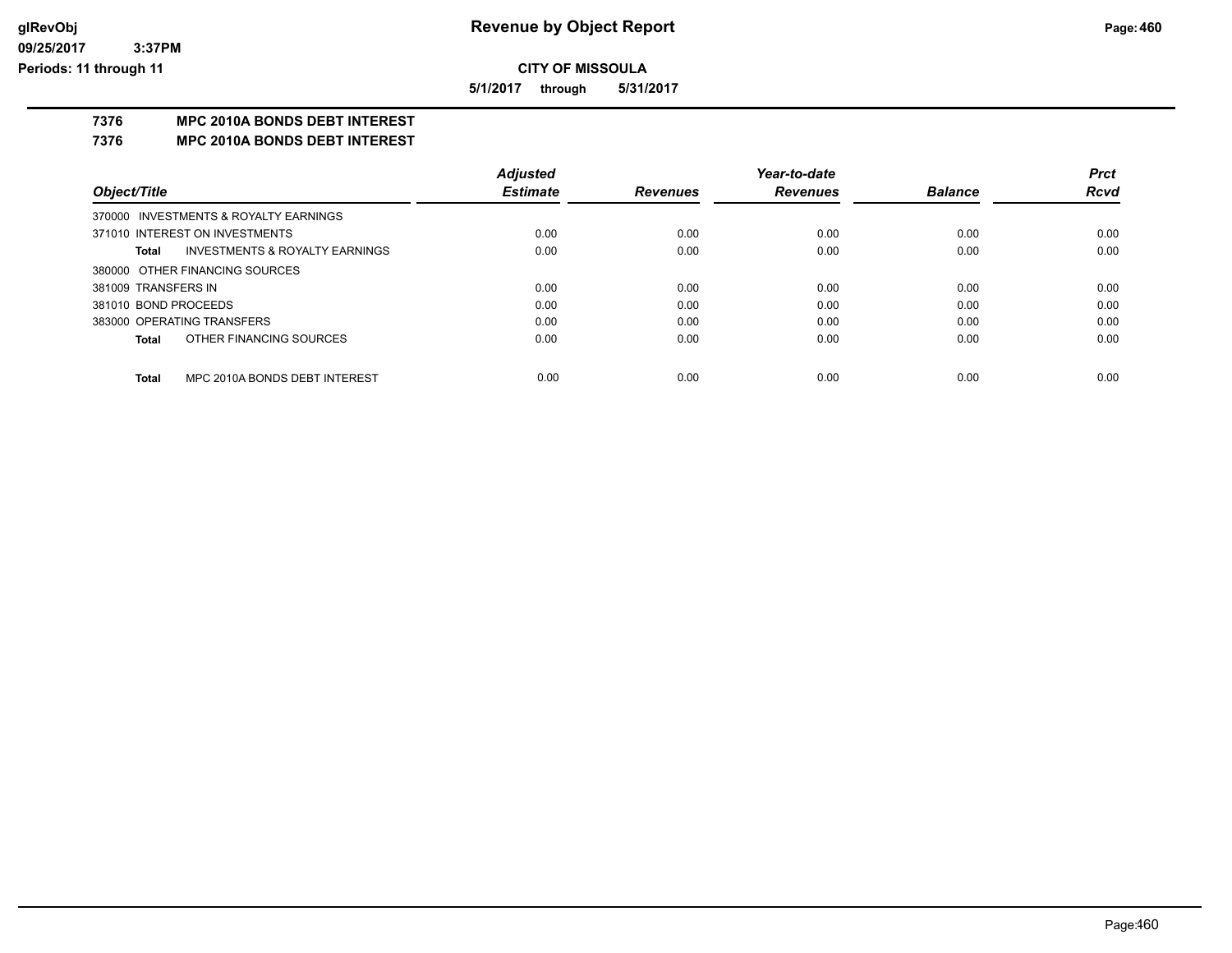**5/1/2017 through 5/31/2017**

# **7376 MPC 2010A BONDS DEBT INTEREST**

#### **7376 MPC 2010A BONDS DEBT INTEREST**

|                      |                                       | <b>Adjusted</b> |                 | Year-to-date    |                | <b>Prct</b> |
|----------------------|---------------------------------------|-----------------|-----------------|-----------------|----------------|-------------|
| Object/Title         |                                       | <b>Estimate</b> | <b>Revenues</b> | <b>Revenues</b> | <b>Balance</b> | <b>Rcvd</b> |
|                      | 370000 INVESTMENTS & ROYALTY EARNINGS |                 |                 |                 |                |             |
|                      | 371010 INTEREST ON INVESTMENTS        | 0.00            | 0.00            | 0.00            | 0.00           | 0.00        |
| Total                | INVESTMENTS & ROYALTY EARNINGS        | 0.00            | 0.00            | 0.00            | 0.00           | 0.00        |
|                      | 380000 OTHER FINANCING SOURCES        |                 |                 |                 |                |             |
| 381009 TRANSFERS IN  |                                       | 0.00            | 0.00            | 0.00            | 0.00           | 0.00        |
| 381010 BOND PROCEEDS |                                       | 0.00            | 0.00            | 0.00            | 0.00           | 0.00        |
|                      | 383000 OPERATING TRANSFERS            | 0.00            | 0.00            | 0.00            | 0.00           | 0.00        |
| Total                | OTHER FINANCING SOURCES               | 0.00            | 0.00            | 0.00            | 0.00           | 0.00        |
| Total                | MPC 2010A BONDS DEBT INTEREST         | 0.00            | 0.00            | 0.00            | 0.00           | 0.00        |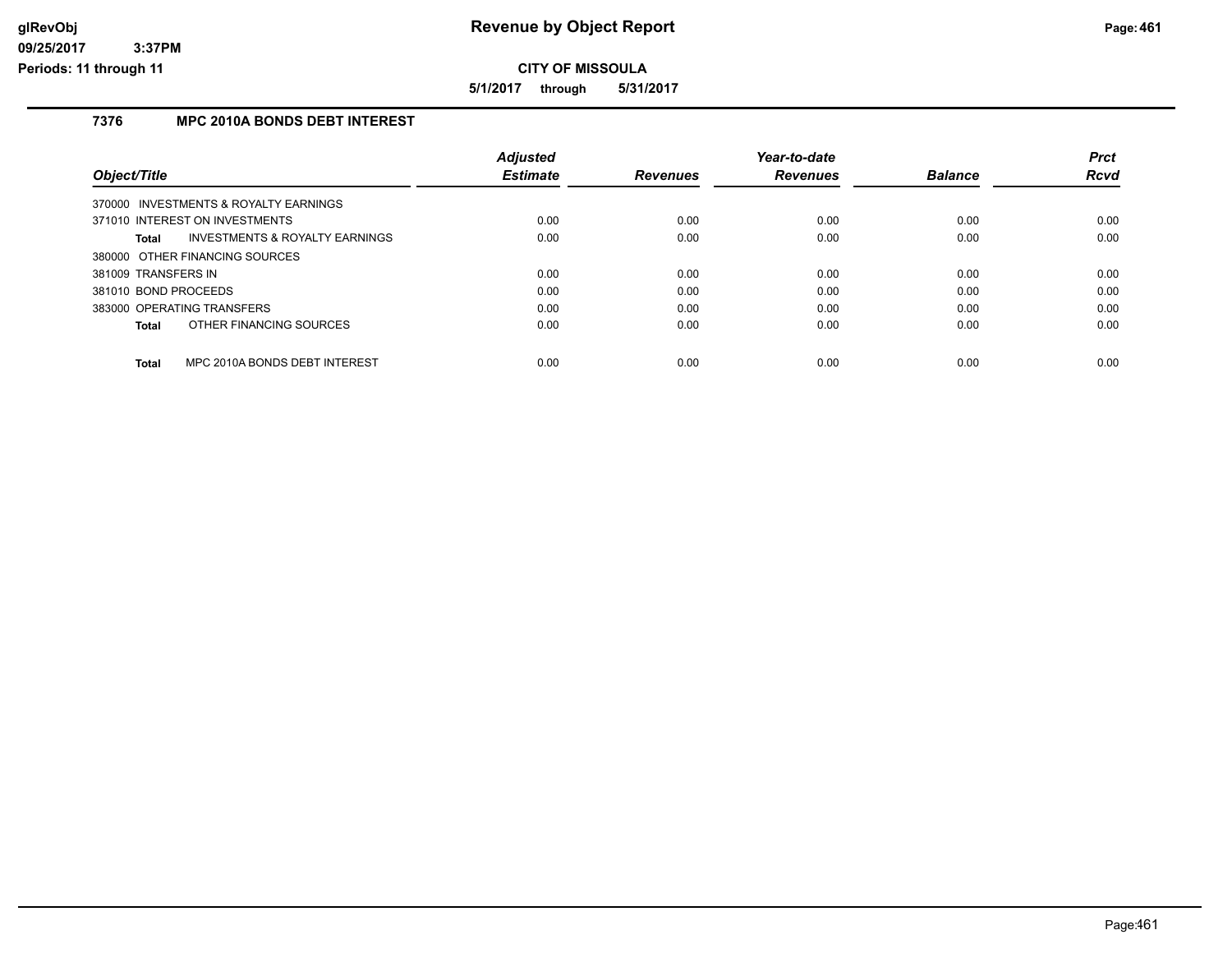**5/1/2017 through 5/31/2017**

### **7376 MPC 2010A BONDS DEBT INTEREST**

|                                                           | <b>Adjusted</b> |                 | Year-to-date    |                | <b>Prct</b> |
|-----------------------------------------------------------|-----------------|-----------------|-----------------|----------------|-------------|
| Object/Title                                              | <b>Estimate</b> | <b>Revenues</b> | <b>Revenues</b> | <b>Balance</b> | <b>Rcvd</b> |
| 370000 INVESTMENTS & ROYALTY EARNINGS                     |                 |                 |                 |                |             |
| 371010 INTEREST ON INVESTMENTS                            | 0.00            | 0.00            | 0.00            | 0.00           | 0.00        |
| <b>INVESTMENTS &amp; ROYALTY EARNINGS</b><br><b>Total</b> | 0.00            | 0.00            | 0.00            | 0.00           | 0.00        |
| 380000 OTHER FINANCING SOURCES                            |                 |                 |                 |                |             |
| 381009 TRANSFERS IN                                       | 0.00            | 0.00            | 0.00            | 0.00           | 0.00        |
| 381010 BOND PROCEEDS                                      | 0.00            | 0.00            | 0.00            | 0.00           | 0.00        |
| 383000 OPERATING TRANSFERS                                | 0.00            | 0.00            | 0.00            | 0.00           | 0.00        |
| OTHER FINANCING SOURCES<br><b>Total</b>                   | 0.00            | 0.00            | 0.00            | 0.00           | 0.00        |
|                                                           |                 |                 |                 |                |             |
| MPC 2010A BONDS DEBT INTEREST<br><b>Total</b>             | 0.00            | 0.00            | 0.00            | 0.00           | 0.00        |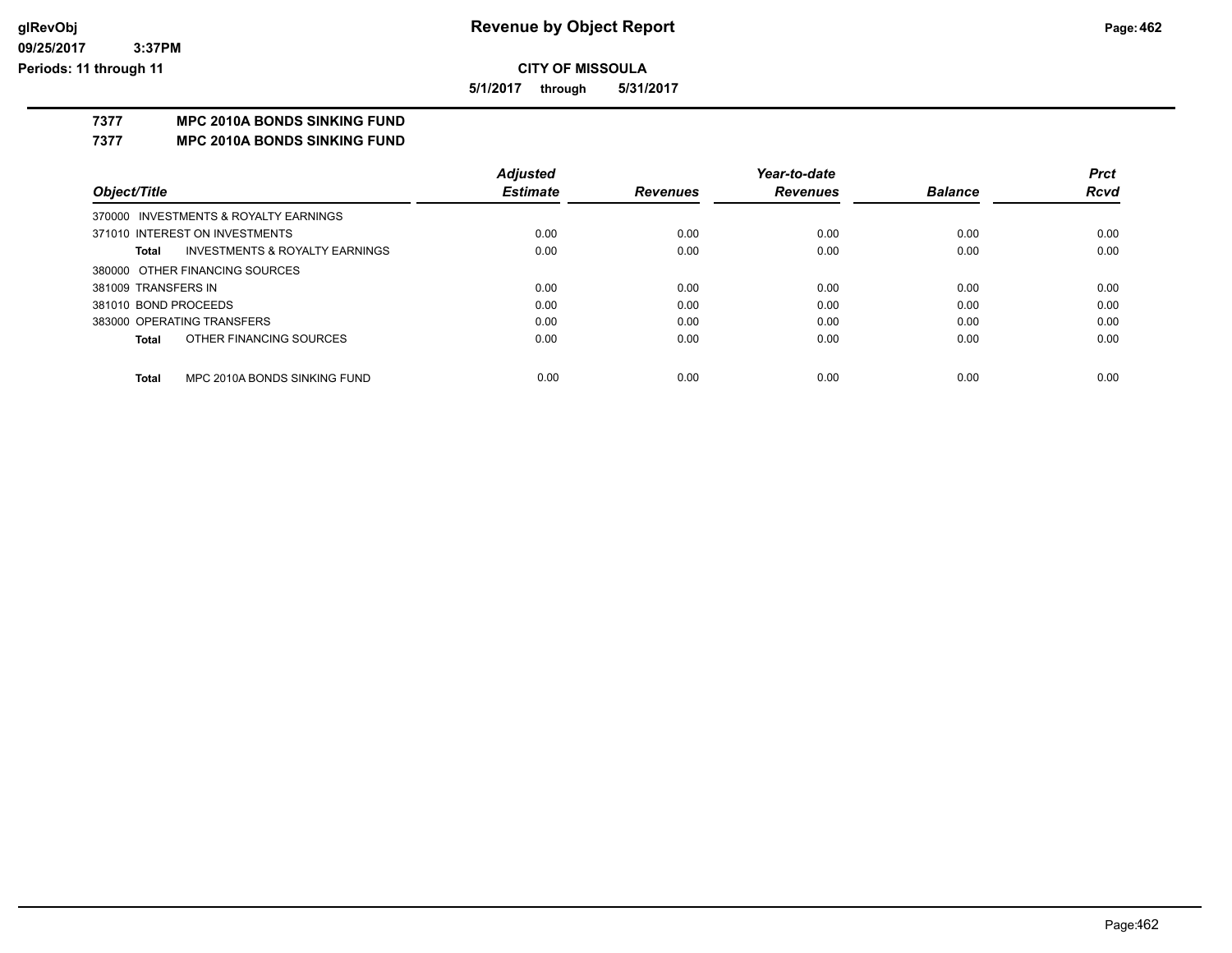**Periods: 11 through 11**

 **3:37PM**

**CITY OF MISSOULA**

**5/1/2017 through 5/31/2017**

# **7377 MPC 2010A BONDS SINKING FUND**

**7377 MPC 2010A BONDS SINKING FUND**

|                      |                                           | <b>Adjusted</b> |                 | Year-to-date    |                | <b>Prct</b> |
|----------------------|-------------------------------------------|-----------------|-----------------|-----------------|----------------|-------------|
| Object/Title         |                                           | <b>Estimate</b> | <b>Revenues</b> | <b>Revenues</b> | <b>Balance</b> | Rcvd        |
|                      | 370000 INVESTMENTS & ROYALTY EARNINGS     |                 |                 |                 |                |             |
|                      | 371010 INTEREST ON INVESTMENTS            | 0.00            | 0.00            | 0.00            | 0.00           | 0.00        |
| <b>Total</b>         | <b>INVESTMENTS &amp; ROYALTY EARNINGS</b> | 0.00            | 0.00            | 0.00            | 0.00           | 0.00        |
|                      | 380000 OTHER FINANCING SOURCES            |                 |                 |                 |                |             |
| 381009 TRANSFERS IN  |                                           | 0.00            | 0.00            | 0.00            | 0.00           | 0.00        |
| 381010 BOND PROCEEDS |                                           | 0.00            | 0.00            | 0.00            | 0.00           | 0.00        |
|                      | 383000 OPERATING TRANSFERS                | 0.00            | 0.00            | 0.00            | 0.00           | 0.00        |
| <b>Total</b>         | OTHER FINANCING SOURCES                   | 0.00            | 0.00            | 0.00            | 0.00           | 0.00        |
| <b>Total</b>         | MPC 2010A BONDS SINKING FUND              | 0.00            | 0.00            | 0.00            | 0.00           | 0.00        |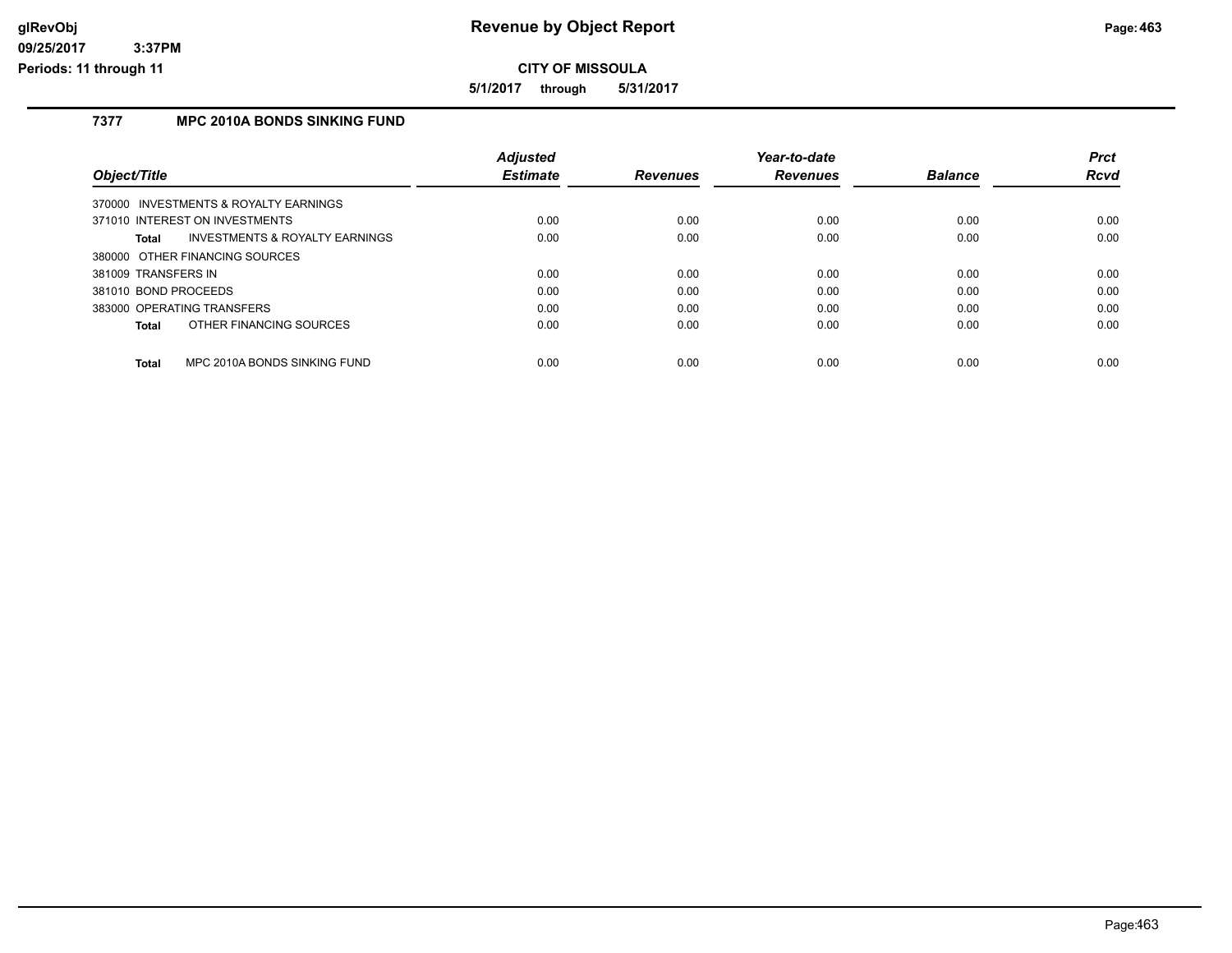**5/1/2017 through 5/31/2017**

## **7377 MPC 2010A BONDS SINKING FUND**

|                                                    | <b>Adjusted</b> |                 | Year-to-date    |                | <b>Prct</b> |
|----------------------------------------------------|-----------------|-----------------|-----------------|----------------|-------------|
| Object/Title                                       | <b>Estimate</b> | <b>Revenues</b> | <b>Revenues</b> | <b>Balance</b> | <b>Rcvd</b> |
| 370000 INVESTMENTS & ROYALTY EARNINGS              |                 |                 |                 |                |             |
| 371010 INTEREST ON INVESTMENTS                     | 0.00            | 0.00            | 0.00            | 0.00           | 0.00        |
| <b>INVESTMENTS &amp; ROYALTY EARNINGS</b><br>Total | 0.00            | 0.00            | 0.00            | 0.00           | 0.00        |
| 380000 OTHER FINANCING SOURCES                     |                 |                 |                 |                |             |
| 381009 TRANSFERS IN                                | 0.00            | 0.00            | 0.00            | 0.00           | 0.00        |
| 381010 BOND PROCEEDS                               | 0.00            | 0.00            | 0.00            | 0.00           | 0.00        |
| 383000 OPERATING TRANSFERS                         | 0.00            | 0.00            | 0.00            | 0.00           | 0.00        |
| OTHER FINANCING SOURCES<br><b>Total</b>            | 0.00            | 0.00            | 0.00            | 0.00           | 0.00        |
| MPC 2010A BONDS SINKING FUND<br><b>Total</b>       | 0.00            | 0.00            | 0.00            | 0.00           | 0.00        |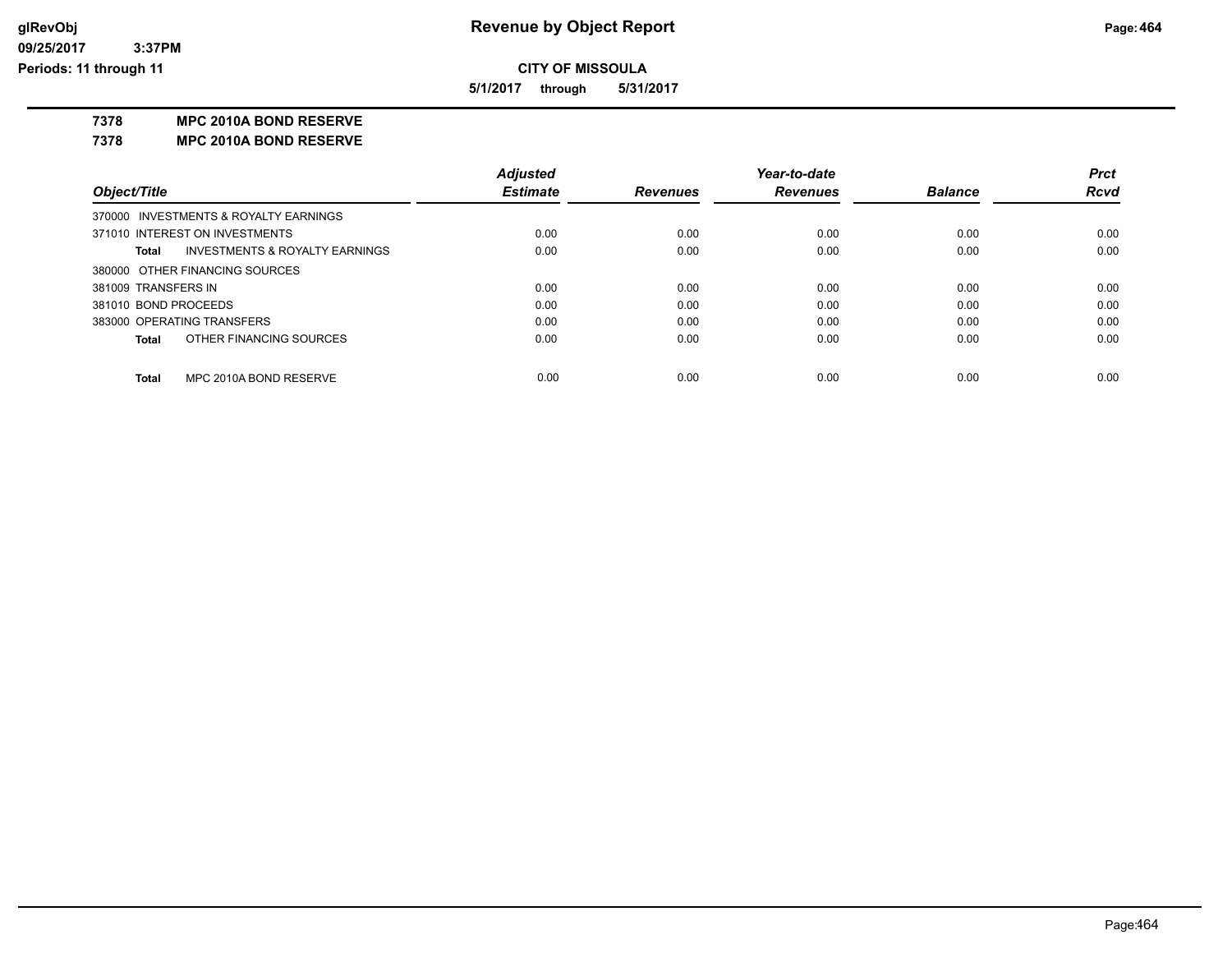**5/1/2017 through 5/31/2017**

**7378 MPC 2010A BOND RESERVE**

**7378 MPC 2010A BOND RESERVE**

|                      |                                           | <b>Adjusted</b> |                 | Year-to-date    |                | <b>Prct</b> |
|----------------------|-------------------------------------------|-----------------|-----------------|-----------------|----------------|-------------|
| Object/Title         |                                           | <b>Estimate</b> | <b>Revenues</b> | <b>Revenues</b> | <b>Balance</b> | Rcvd        |
|                      | 370000 INVESTMENTS & ROYALTY EARNINGS     |                 |                 |                 |                |             |
|                      | 371010 INTEREST ON INVESTMENTS            | 0.00            | 0.00            | 0.00            | 0.00           | 0.00        |
| Total                | <b>INVESTMENTS &amp; ROYALTY EARNINGS</b> | 0.00            | 0.00            | 0.00            | 0.00           | 0.00        |
|                      | 380000 OTHER FINANCING SOURCES            |                 |                 |                 |                |             |
| 381009 TRANSFERS IN  |                                           | 0.00            | 0.00            | 0.00            | 0.00           | 0.00        |
| 381010 BOND PROCEEDS |                                           | 0.00            | 0.00            | 0.00            | 0.00           | 0.00        |
|                      | 383000 OPERATING TRANSFERS                | 0.00            | 0.00            | 0.00            | 0.00           | 0.00        |
| Total                | OTHER FINANCING SOURCES                   | 0.00            | 0.00            | 0.00            | 0.00           | 0.00        |
| <b>Total</b>         | MPC 2010A BOND RESERVE                    | 0.00            | 0.00            | 0.00            | 0.00           | 0.00        |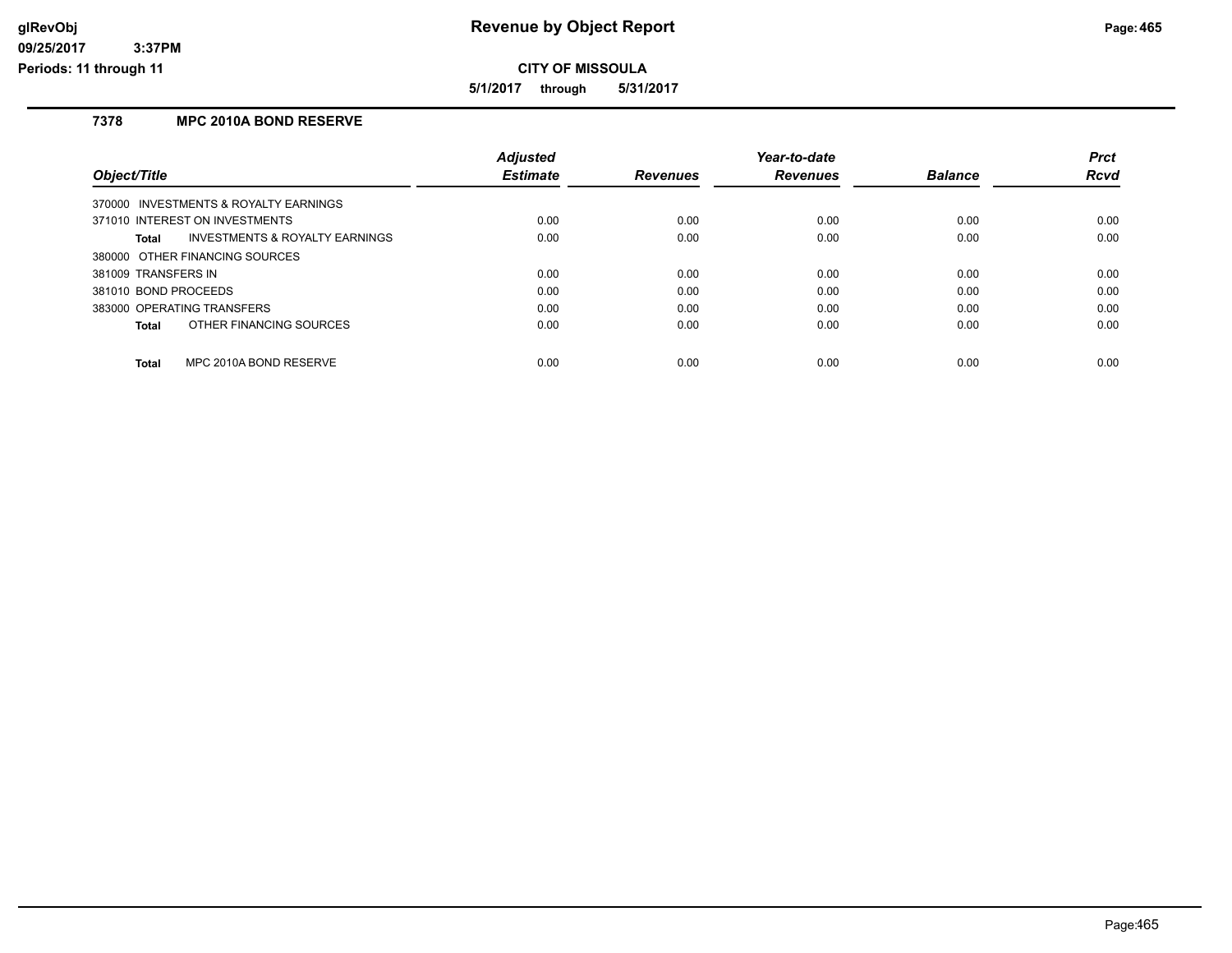**5/1/2017 through 5/31/2017**

### **7378 MPC 2010A BOND RESERVE**

|                                                    | <b>Adjusted</b> |                 | Year-to-date    |                | <b>Prct</b> |
|----------------------------------------------------|-----------------|-----------------|-----------------|----------------|-------------|
| Object/Title                                       | <b>Estimate</b> | <b>Revenues</b> | <b>Revenues</b> | <b>Balance</b> | <b>Rcvd</b> |
| 370000 INVESTMENTS & ROYALTY EARNINGS              |                 |                 |                 |                |             |
| 371010 INTEREST ON INVESTMENTS                     | 0.00            | 0.00            | 0.00            | 0.00           | 0.00        |
| <b>INVESTMENTS &amp; ROYALTY EARNINGS</b><br>Total | 0.00            | 0.00            | 0.00            | 0.00           | 0.00        |
| 380000 OTHER FINANCING SOURCES                     |                 |                 |                 |                |             |
| 381009 TRANSFERS IN                                | 0.00            | 0.00            | 0.00            | 0.00           | 0.00        |
| 381010 BOND PROCEEDS                               | 0.00            | 0.00            | 0.00            | 0.00           | 0.00        |
| 383000 OPERATING TRANSFERS                         | 0.00            | 0.00            | 0.00            | 0.00           | 0.00        |
| OTHER FINANCING SOURCES<br>Total                   | 0.00            | 0.00            | 0.00            | 0.00           | 0.00        |
| MPC 2010A BOND RESERVE<br>Total                    | 0.00            | 0.00            | 0.00            | 0.00           | 0.00        |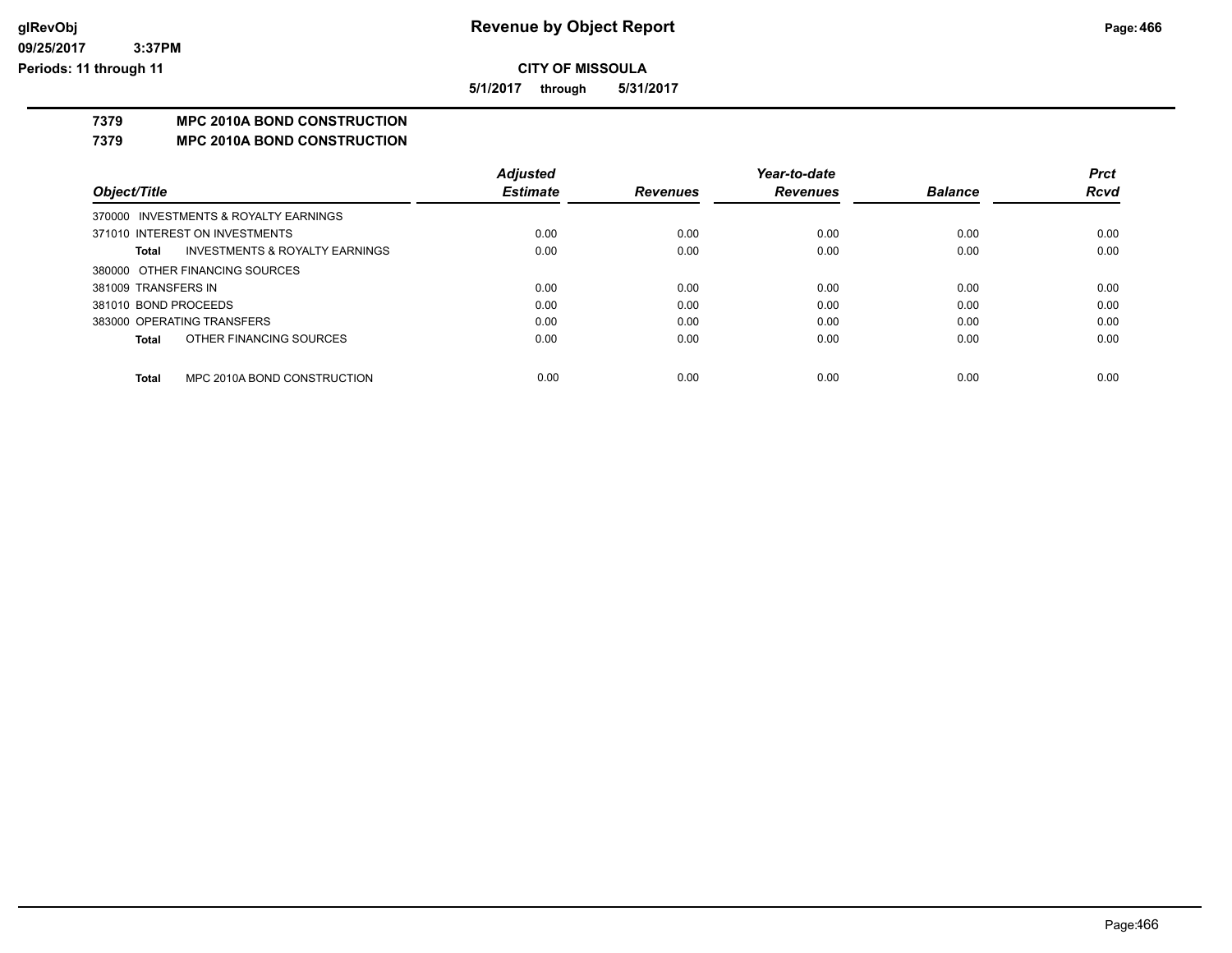**Periods: 11 through 11**

**CITY OF MISSOULA**

**5/1/2017 through 5/31/2017**

# **7379 MPC 2010A BOND CONSTRUCTION**

 **3:37PM**

#### **7379 MPC 2010A BOND CONSTRUCTION**

|                      |                                       | <b>Adjusted</b> |                 | Year-to-date    |                | <b>Prct</b> |
|----------------------|---------------------------------------|-----------------|-----------------|-----------------|----------------|-------------|
| Object/Title         |                                       | <b>Estimate</b> | <b>Revenues</b> | <b>Revenues</b> | <b>Balance</b> | <b>Rcvd</b> |
|                      | 370000 INVESTMENTS & ROYALTY EARNINGS |                 |                 |                 |                |             |
|                      | 371010 INTEREST ON INVESTMENTS        | 0.00            | 0.00            | 0.00            | 0.00           | 0.00        |
| Total                | INVESTMENTS & ROYALTY EARNINGS        | 0.00            | 0.00            | 0.00            | 0.00           | 0.00        |
|                      | 380000 OTHER FINANCING SOURCES        |                 |                 |                 |                |             |
| 381009 TRANSFERS IN  |                                       | 0.00            | 0.00            | 0.00            | 0.00           | 0.00        |
| 381010 BOND PROCEEDS |                                       | 0.00            | 0.00            | 0.00            | 0.00           | 0.00        |
|                      | 383000 OPERATING TRANSFERS            | 0.00            | 0.00            | 0.00            | 0.00           | 0.00        |
| Total                | OTHER FINANCING SOURCES               | 0.00            | 0.00            | 0.00            | 0.00           | 0.00        |
| Total                | MPC 2010A BOND CONSTRUCTION           | 0.00            | 0.00            | 0.00            | 0.00           | 0.00        |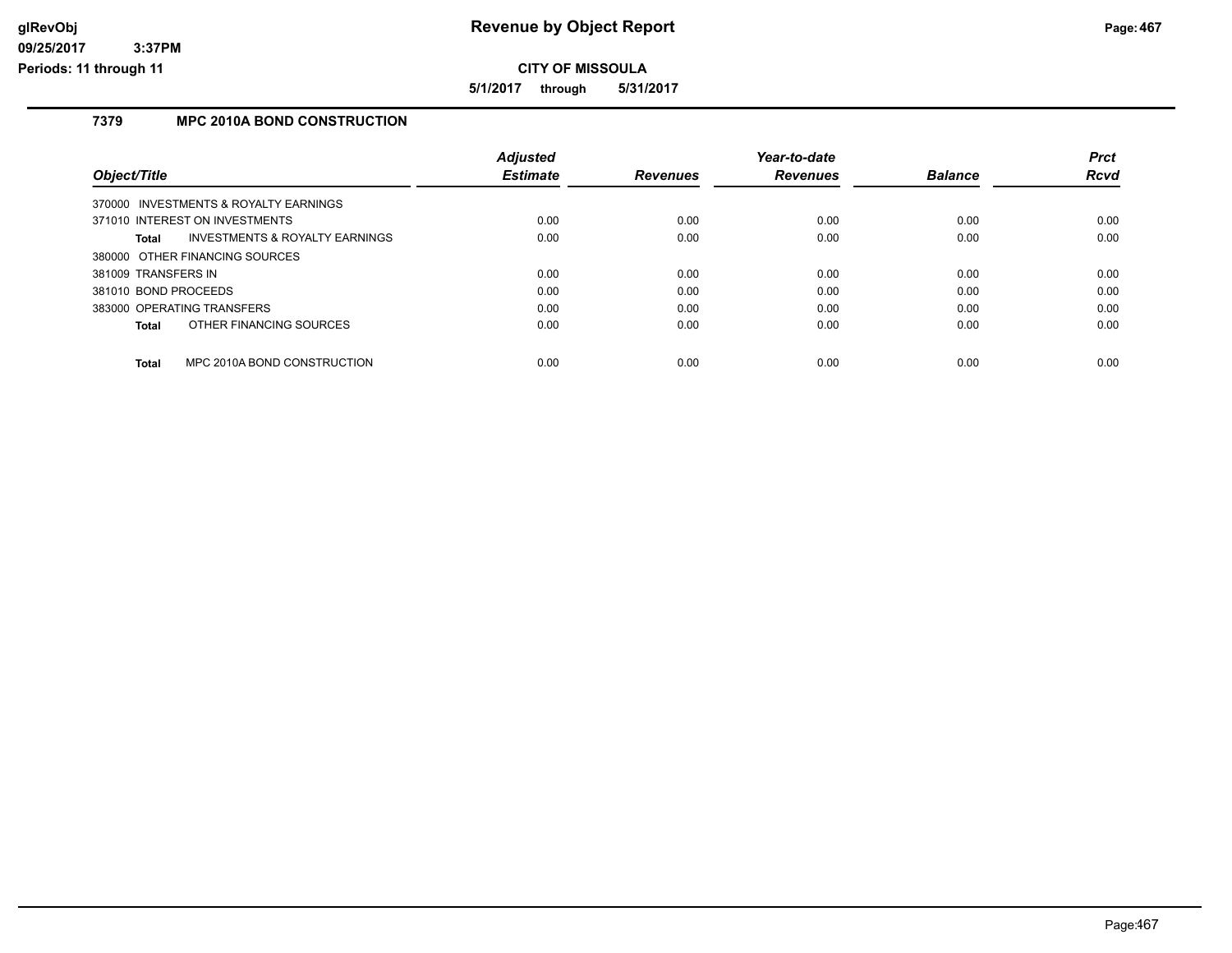**5/1/2017 through 5/31/2017**

### **7379 MPC 2010A BOND CONSTRUCTION**

|                                                           | <b>Adjusted</b> |                 | Year-to-date    |                | <b>Prct</b> |
|-----------------------------------------------------------|-----------------|-----------------|-----------------|----------------|-------------|
| Object/Title                                              | <b>Estimate</b> | <b>Revenues</b> | <b>Revenues</b> | <b>Balance</b> | <b>Rcvd</b> |
| 370000 INVESTMENTS & ROYALTY EARNINGS                     |                 |                 |                 |                |             |
| 371010 INTEREST ON INVESTMENTS                            | 0.00            | 0.00            | 0.00            | 0.00           | 0.00        |
| <b>INVESTMENTS &amp; ROYALTY EARNINGS</b><br><b>Total</b> | 0.00            | 0.00            | 0.00            | 0.00           | 0.00        |
| 380000 OTHER FINANCING SOURCES                            |                 |                 |                 |                |             |
| 381009 TRANSFERS IN                                       | 0.00            | 0.00            | 0.00            | 0.00           | 0.00        |
| 381010 BOND PROCEEDS                                      | 0.00            | 0.00            | 0.00            | 0.00           | 0.00        |
| 383000 OPERATING TRANSFERS                                | 0.00            | 0.00            | 0.00            | 0.00           | 0.00        |
| OTHER FINANCING SOURCES<br><b>Total</b>                   | 0.00            | 0.00            | 0.00            | 0.00           | 0.00        |
|                                                           |                 |                 |                 |                |             |
| MPC 2010A BOND CONSTRUCTION<br><b>Total</b>               | 0.00            | 0.00            | 0.00            | 0.00           | 0.00        |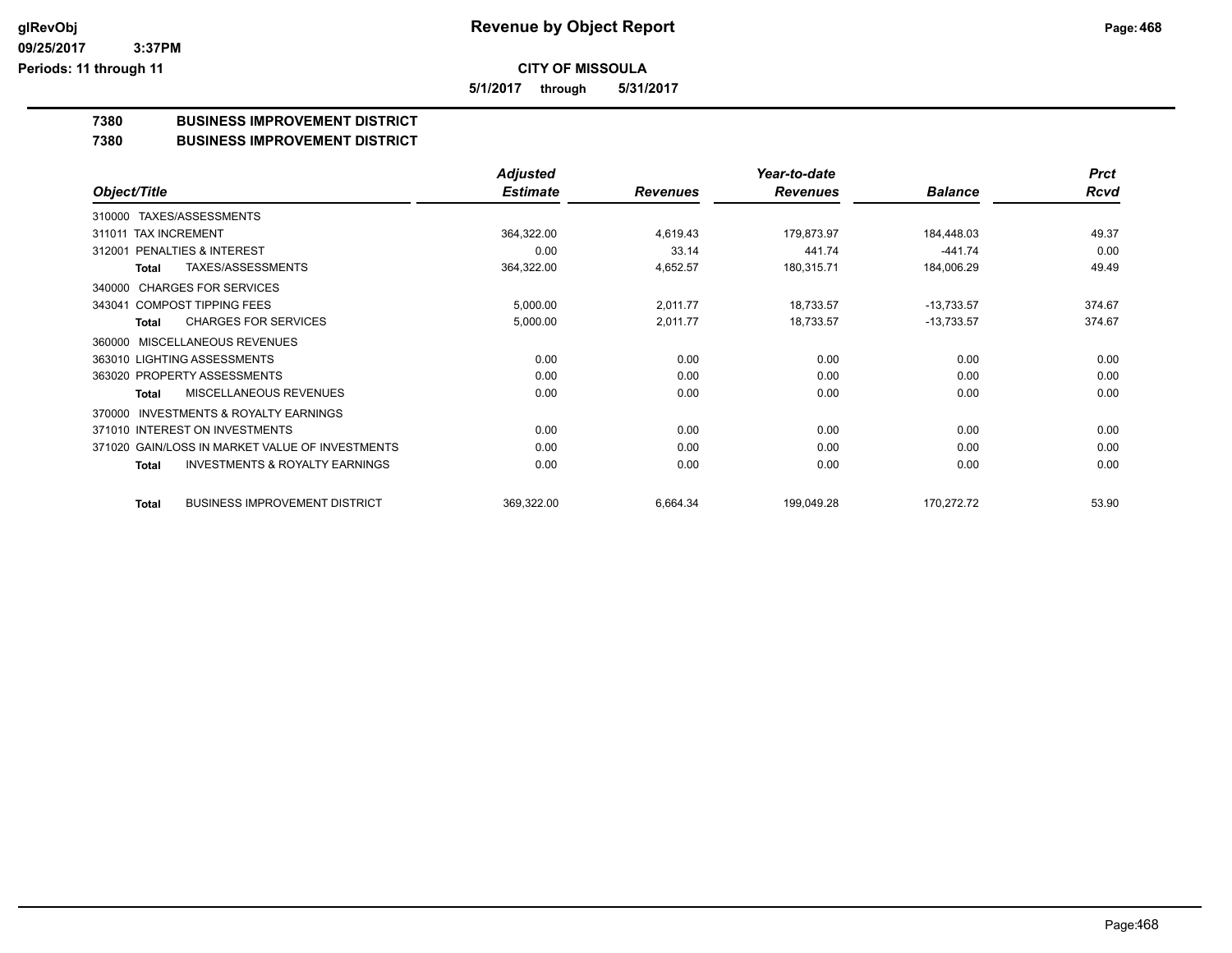**5/1/2017 through 5/31/2017**

# **7380 BUSINESS IMPROVEMENT DISTRICT**

#### **7380 BUSINESS IMPROVEMENT DISTRICT**

|                                                           | <b>Adjusted</b> |                 | Year-to-date    |                | <b>Prct</b> |
|-----------------------------------------------------------|-----------------|-----------------|-----------------|----------------|-------------|
| Object/Title                                              | <b>Estimate</b> | <b>Revenues</b> | <b>Revenues</b> | <b>Balance</b> | <b>Rcvd</b> |
| TAXES/ASSESSMENTS<br>310000                               |                 |                 |                 |                |             |
| <b>TAX INCREMENT</b><br>311011                            | 364,322.00      | 4,619.43        | 179,873.97      | 184,448.03     | 49.37       |
| <b>PENALTIES &amp; INTEREST</b><br>312001                 | 0.00            | 33.14           | 441.74          | $-441.74$      | 0.00        |
| TAXES/ASSESSMENTS<br><b>Total</b>                         | 364,322.00      | 4,652.57        | 180,315.71      | 184,006.29     | 49.49       |
| <b>CHARGES FOR SERVICES</b><br>340000                     |                 |                 |                 |                |             |
| <b>COMPOST TIPPING FEES</b><br>343041                     | 5,000.00        | 2,011.77        | 18,733.57       | $-13,733.57$   | 374.67      |
| <b>CHARGES FOR SERVICES</b><br>Total                      | 5,000.00        | 2,011.77        | 18,733.57       | $-13,733.57$   | 374.67      |
| MISCELLANEOUS REVENUES<br>360000                          |                 |                 |                 |                |             |
| 363010 LIGHTING ASSESSMENTS                               | 0.00            | 0.00            | 0.00            | 0.00           | 0.00        |
| 363020 PROPERTY ASSESSMENTS                               | 0.00            | 0.00            | 0.00            | 0.00           | 0.00        |
| MISCELLANEOUS REVENUES<br>Total                           | 0.00            | 0.00            | 0.00            | 0.00           | 0.00        |
| <b>INVESTMENTS &amp; ROYALTY EARNINGS</b><br>370000       |                 |                 |                 |                |             |
| 371010 INTEREST ON INVESTMENTS                            | 0.00            | 0.00            | 0.00            | 0.00           | 0.00        |
| 371020 GAIN/LOSS IN MARKET VALUE OF INVESTMENTS           | 0.00            | 0.00            | 0.00            | 0.00           | 0.00        |
| <b>INVESTMENTS &amp; ROYALTY EARNINGS</b><br><b>Total</b> | 0.00            | 0.00            | 0.00            | 0.00           | 0.00        |
| <b>BUSINESS IMPROVEMENT DISTRICT</b><br>Total             | 369,322.00      | 6,664.34        | 199,049.28      | 170,272.72     | 53.90       |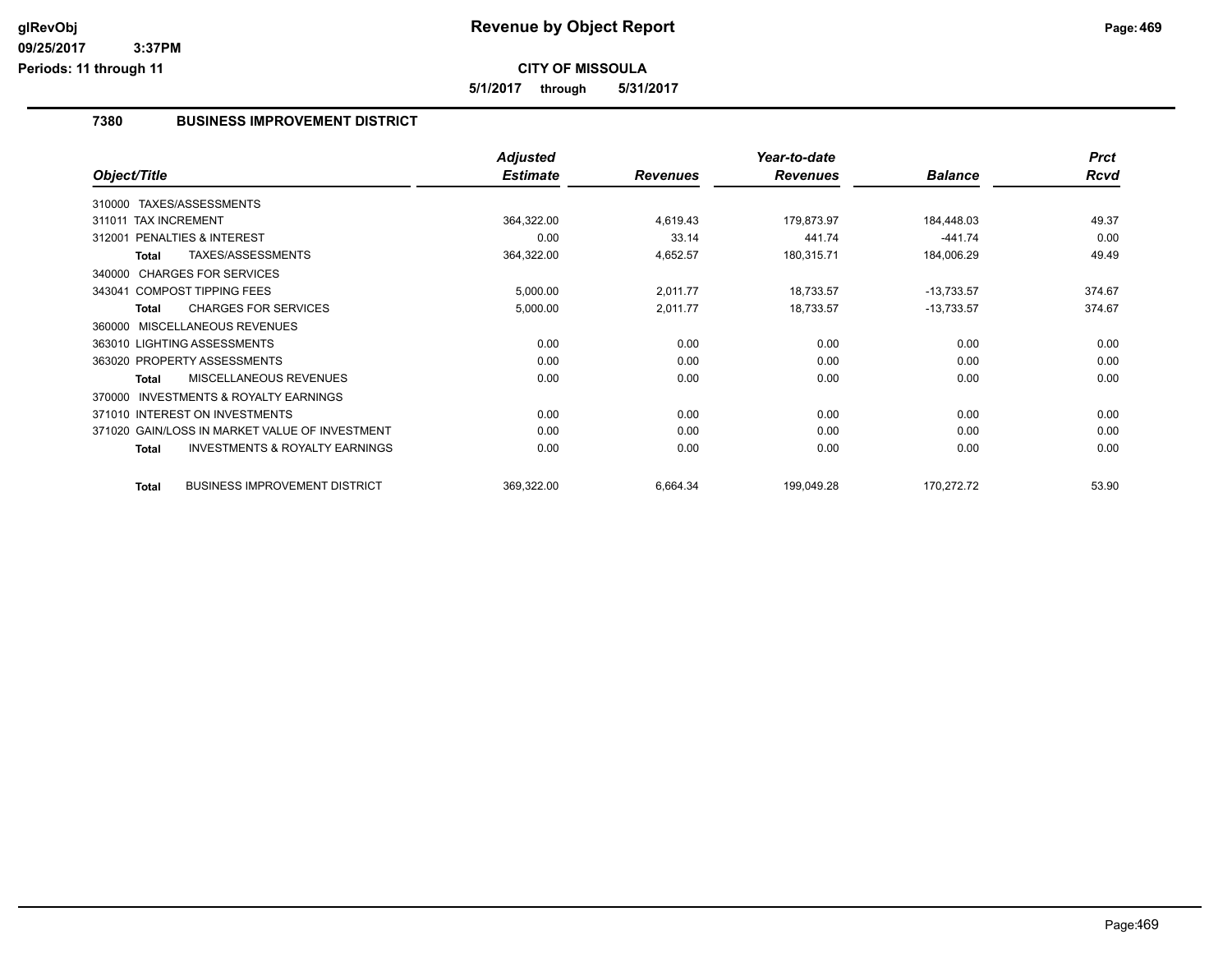**5/1/2017 through 5/31/2017**

#### **7380 BUSINESS IMPROVEMENT DISTRICT**

|                                                           | <b>Adjusted</b> |                 | Year-to-date    |                | <b>Prct</b> |
|-----------------------------------------------------------|-----------------|-----------------|-----------------|----------------|-------------|
| Object/Title                                              | <b>Estimate</b> | <b>Revenues</b> | <b>Revenues</b> | <b>Balance</b> | <b>Rcvd</b> |
| TAXES/ASSESSMENTS<br>310000                               |                 |                 |                 |                |             |
| <b>TAX INCREMENT</b><br>311011                            | 364,322.00      | 4,619.43        | 179,873.97      | 184,448.03     | 49.37       |
| PENALTIES & INTEREST<br>312001                            | 0.00            | 33.14           | 441.74          | $-441.74$      | 0.00        |
| TAXES/ASSESSMENTS<br><b>Total</b>                         | 364,322.00      | 4,652.57        | 180,315.71      | 184,006.29     | 49.49       |
| 340000 CHARGES FOR SERVICES                               |                 |                 |                 |                |             |
| <b>COMPOST TIPPING FEES</b><br>343041                     | 5,000.00        | 2,011.77        | 18,733.57       | $-13,733.57$   | 374.67      |
| <b>CHARGES FOR SERVICES</b><br><b>Total</b>               | 5,000.00        | 2,011.77        | 18,733.57       | $-13,733.57$   | 374.67      |
| MISCELLANEOUS REVENUES<br>360000                          |                 |                 |                 |                |             |
| 363010 LIGHTING ASSESSMENTS                               | 0.00            | 0.00            | 0.00            | 0.00           | 0.00        |
| 363020 PROPERTY ASSESSMENTS                               | 0.00            | 0.00            | 0.00            | 0.00           | 0.00        |
| <b>MISCELLANEOUS REVENUES</b><br>Total                    | 0.00            | 0.00            | 0.00            | 0.00           | 0.00        |
| INVESTMENTS & ROYALTY EARNINGS<br>370000                  |                 |                 |                 |                |             |
| 371010 INTEREST ON INVESTMENTS                            | 0.00            | 0.00            | 0.00            | 0.00           | 0.00        |
| 371020 GAIN/LOSS IN MARKET VALUE OF INVESTMENT            | 0.00            | 0.00            | 0.00            | 0.00           | 0.00        |
| <b>INVESTMENTS &amp; ROYALTY EARNINGS</b><br><b>Total</b> | 0.00            | 0.00            | 0.00            | 0.00           | 0.00        |
| <b>BUSINESS IMPROVEMENT DISTRICT</b><br><b>Total</b>      | 369,322.00      | 6,664.34        | 199,049.28      | 170,272.72     | 53.90       |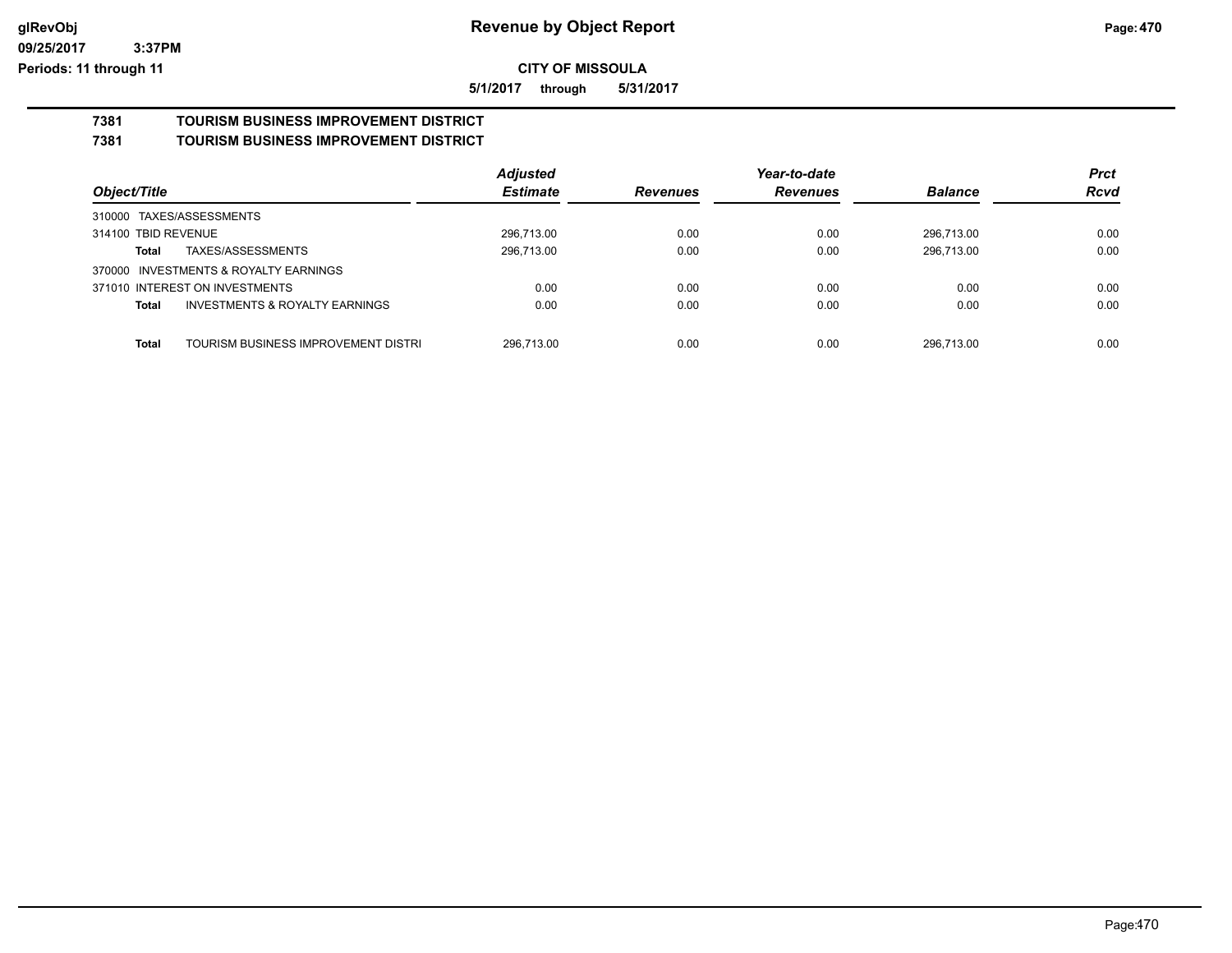**5/1/2017 through 5/31/2017**

# **7381 TOURISM BUSINESS IMPROVEMENT DISTRICT**

## **7381 TOURISM BUSINESS IMPROVEMENT DISTRICT**

|                                                     | <b>Adjusted</b> |                 | Year-to-date    |                | <b>Prct</b> |
|-----------------------------------------------------|-----------------|-----------------|-----------------|----------------|-------------|
| Object/Title                                        | <b>Estimate</b> | <b>Revenues</b> | <b>Revenues</b> | <b>Balance</b> | <b>Rcvd</b> |
| 310000 TAXES/ASSESSMENTS                            |                 |                 |                 |                |             |
| 314100 TBID REVENUE                                 | 296.713.00      | 0.00            | 0.00            | 296.713.00     | 0.00        |
| TAXES/ASSESSMENTS<br>Total                          | 296,713.00      | 0.00            | 0.00            | 296.713.00     | 0.00        |
| 370000 INVESTMENTS & ROYALTY EARNINGS               |                 |                 |                 |                |             |
| 371010 INTEREST ON INVESTMENTS                      | 0.00            | 0.00            | 0.00            | 0.00           | 0.00        |
| <b>INVESTMENTS &amp; ROYALTY EARNINGS</b><br>Total  | 0.00            | 0.00            | 0.00            | 0.00           | 0.00        |
|                                                     |                 |                 |                 |                |             |
| TOURISM BUSINESS IMPROVEMENT DISTRI<br><b>Total</b> | 296.713.00      | 0.00            | 0.00            | 296.713.00     | 0.00        |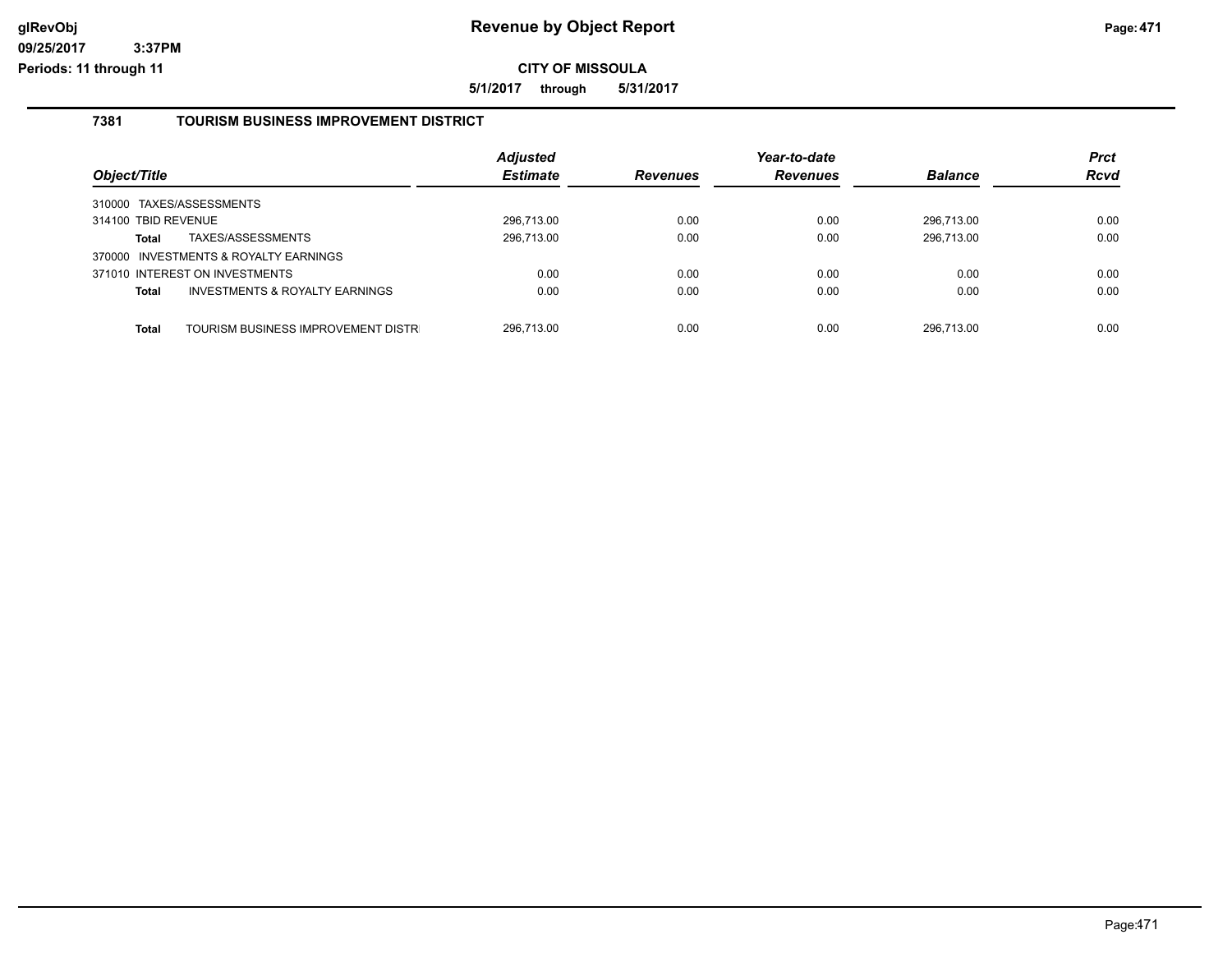**5/1/2017 through 5/31/2017**

#### **7381 TOURISM BUSINESS IMPROVEMENT DISTRICT**

| Object/Title                                              | <b>Adjusted</b><br><b>Estimate</b> | <b>Revenues</b> | Year-to-date<br><b>Revenues</b> | <b>Balance</b> | <b>Prct</b><br><b>Rcvd</b> |
|-----------------------------------------------------------|------------------------------------|-----------------|---------------------------------|----------------|----------------------------|
| 310000 TAXES/ASSESSMENTS                                  |                                    |                 |                                 |                |                            |
| 314100 TBID REVENUE                                       | 296.713.00                         | 0.00            | 0.00                            | 296.713.00     | 0.00                       |
| TAXES/ASSESSMENTS<br><b>Total</b>                         | 296,713.00                         | 0.00            | 0.00                            | 296,713.00     | 0.00                       |
| 370000 INVESTMENTS & ROYALTY EARNINGS                     |                                    |                 |                                 |                |                            |
| 371010 INTEREST ON INVESTMENTS                            | 0.00                               | 0.00            | 0.00                            | 0.00           | 0.00                       |
| <b>INVESTMENTS &amp; ROYALTY EARNINGS</b><br><b>Total</b> | 0.00                               | 0.00            | 0.00                            | 0.00           | 0.00                       |
|                                                           |                                    |                 |                                 |                |                            |
| TOURISM BUSINESS IMPROVEMENT DISTR<br><b>Total</b>        | 296.713.00                         | 0.00            | 0.00                            | 296.713.00     | 0.00                       |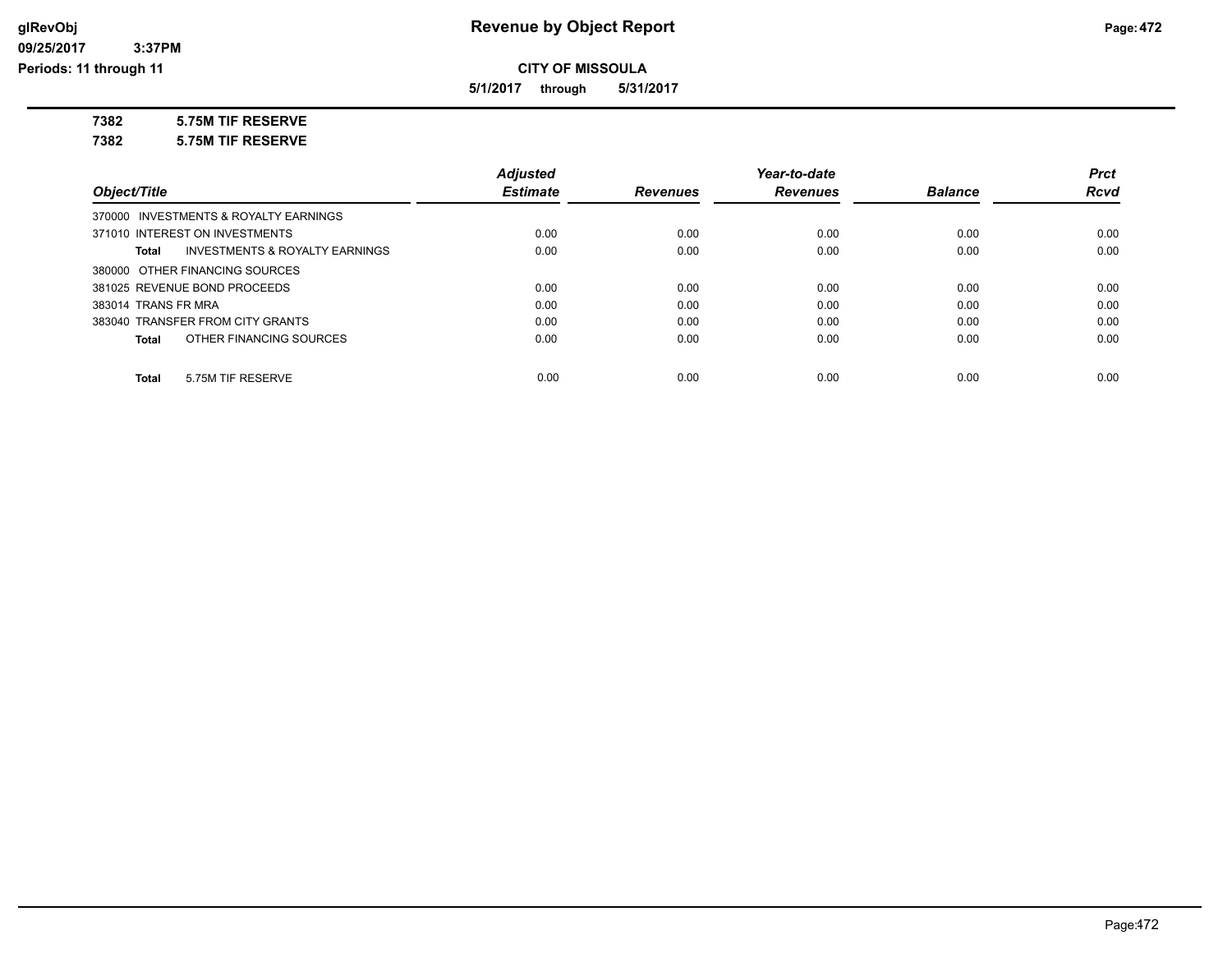**5/1/2017 through 5/31/2017**

**7382 5.75M TIF RESERVE**

**7382 5.75M TIF RESERVE**

|                                         | <b>Adjusted</b> |                 | Year-to-date    |                | <b>Prct</b> |
|-----------------------------------------|-----------------|-----------------|-----------------|----------------|-------------|
| Object/Title                            | <b>Estimate</b> | <b>Revenues</b> | <b>Revenues</b> | <b>Balance</b> | <b>Rcvd</b> |
| 370000 INVESTMENTS & ROYALTY EARNINGS   |                 |                 |                 |                |             |
| 371010 INTEREST ON INVESTMENTS          | 0.00            | 0.00            | 0.00            | 0.00           | 0.00        |
| INVESTMENTS & ROYALTY EARNINGS<br>Total | 0.00            | 0.00            | 0.00            | 0.00           | 0.00        |
| 380000 OTHER FINANCING SOURCES          |                 |                 |                 |                |             |
| 381025 REVENUE BOND PROCEEDS            | 0.00            | 0.00            | 0.00            | 0.00           | 0.00        |
| 383014 TRANS FR MRA                     | 0.00            | 0.00            | 0.00            | 0.00           | 0.00        |
| 383040 TRANSFER FROM CITY GRANTS        | 0.00            | 0.00            | 0.00            | 0.00           | 0.00        |
| OTHER FINANCING SOURCES<br>Total        | 0.00            | 0.00            | 0.00            | 0.00           | 0.00        |
|                                         |                 |                 |                 |                |             |
| 5.75M TIF RESERVE<br>Total              | 0.00            | 0.00            | 0.00            | 0.00           | 0.00        |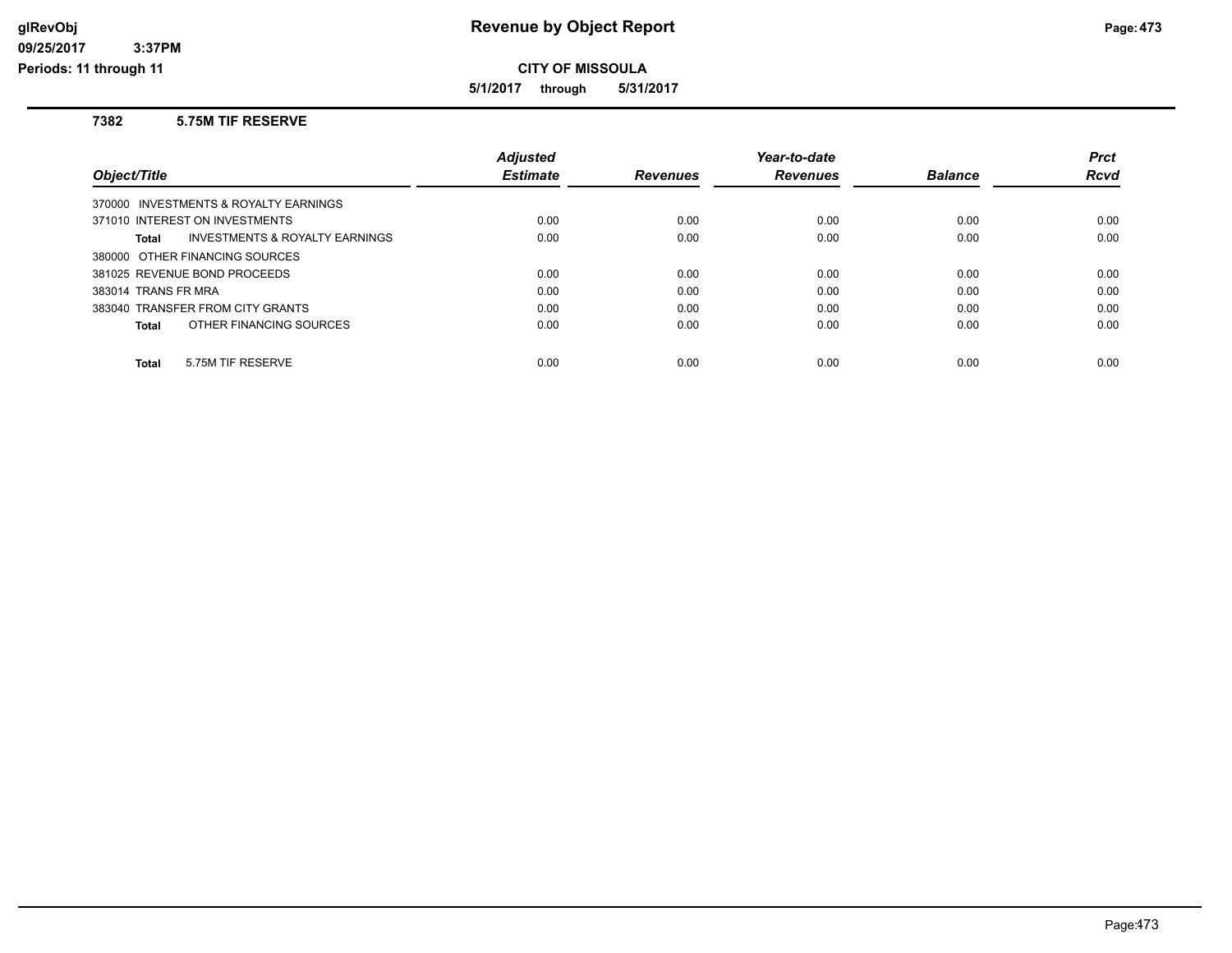**5/1/2017 through 5/31/2017**

#### **7382 5.75M TIF RESERVE**

|                                                | <b>Adjusted</b> |                 | Year-to-date    |                | <b>Prct</b> |
|------------------------------------------------|-----------------|-----------------|-----------------|----------------|-------------|
| Object/Title                                   | <b>Estimate</b> | <b>Revenues</b> | <b>Revenues</b> | <b>Balance</b> | <b>Rcvd</b> |
| 370000 INVESTMENTS & ROYALTY EARNINGS          |                 |                 |                 |                |             |
| 371010 INTEREST ON INVESTMENTS                 | 0.00            | 0.00            | 0.00            | 0.00           | 0.00        |
| INVESTMENTS & ROYALTY EARNINGS<br><b>Total</b> | 0.00            | 0.00            | 0.00            | 0.00           | 0.00        |
| 380000 OTHER FINANCING SOURCES                 |                 |                 |                 |                |             |
| 381025 REVENUE BOND PROCEEDS                   | 0.00            | 0.00            | 0.00            | 0.00           | 0.00        |
| 383014 TRANS FR MRA                            | 0.00            | 0.00            | 0.00            | 0.00           | 0.00        |
| 383040 TRANSFER FROM CITY GRANTS               | 0.00            | 0.00            | 0.00            | 0.00           | 0.00        |
| OTHER FINANCING SOURCES<br>Total               | 0.00            | 0.00            | 0.00            | 0.00           | 0.00        |
| 5.75M TIF RESERVE<br><b>Total</b>              | 0.00            | 0.00            | 0.00            | 0.00           | 0.00        |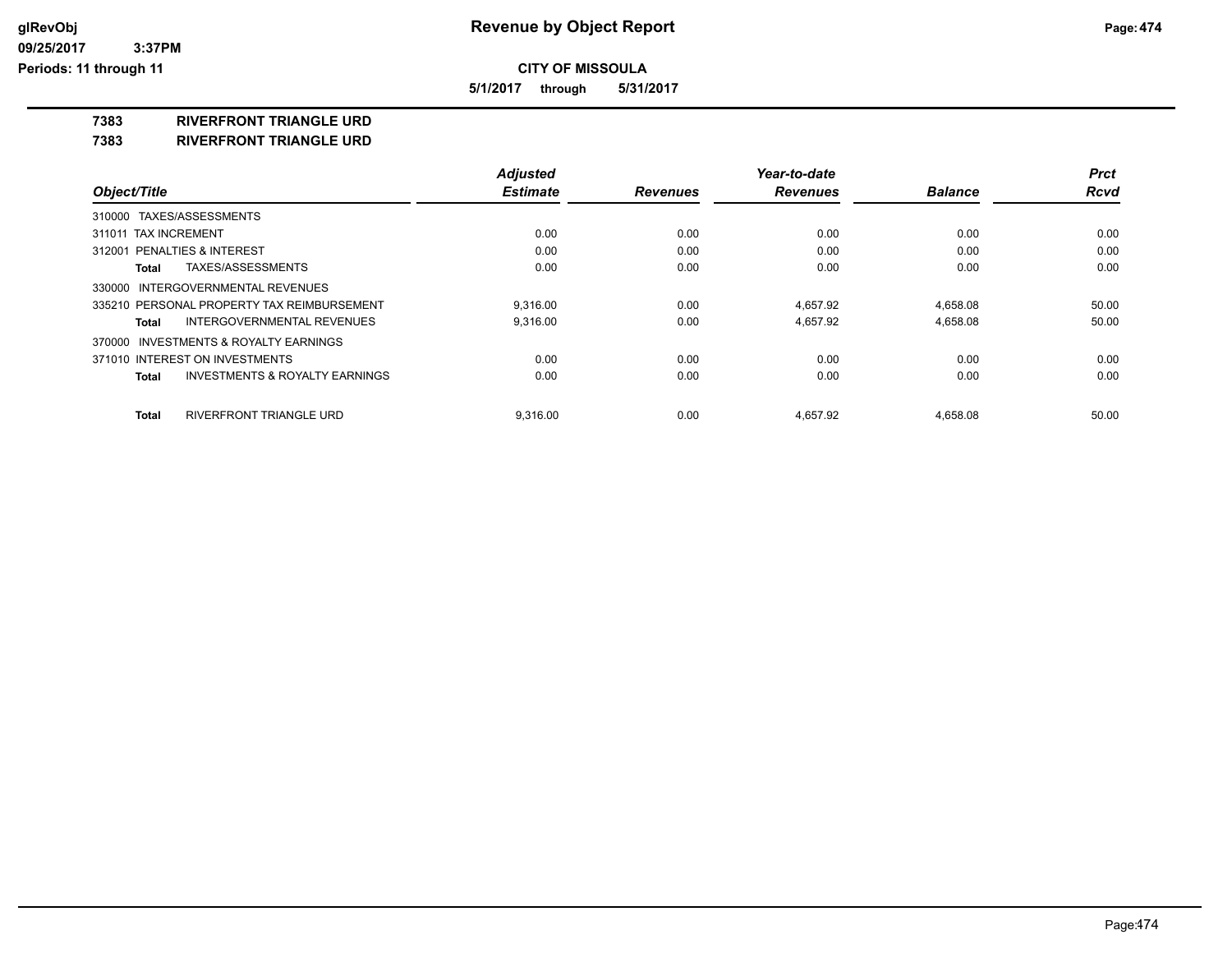**5/1/2017 through 5/31/2017**

**7383 RIVERFRONT TRIANGLE URD**

**7383 RIVERFRONT TRIANGLE URD**

|                                                    | <b>Adjusted</b> |                 | Year-to-date    |                | <b>Prct</b> |
|----------------------------------------------------|-----------------|-----------------|-----------------|----------------|-------------|
| Object/Title                                       | <b>Estimate</b> | <b>Revenues</b> | <b>Revenues</b> | <b>Balance</b> | <b>Rcvd</b> |
| 310000 TAXES/ASSESSMENTS                           |                 |                 |                 |                |             |
| 311011 TAX INCREMENT                               | 0.00            | 0.00            | 0.00            | 0.00           | 0.00        |
| 312001 PENALTIES & INTEREST                        | 0.00            | 0.00            | 0.00            | 0.00           | 0.00        |
| TAXES/ASSESSMENTS<br>Total                         | 0.00            | 0.00            | 0.00            | 0.00           | 0.00        |
| 330000 INTERGOVERNMENTAL REVENUES                  |                 |                 |                 |                |             |
| 335210 PERSONAL PROPERTY TAX REIMBURSEMENT         | 9.316.00        | 0.00            | 4,657.92        | 4,658.08       | 50.00       |
| <b>INTERGOVERNMENTAL REVENUES</b><br>Total         | 9.316.00        | 0.00            | 4,657.92        | 4,658.08       | 50.00       |
| 370000 INVESTMENTS & ROYALTY EARNINGS              |                 |                 |                 |                |             |
| 371010 INTEREST ON INVESTMENTS                     | 0.00            | 0.00            | 0.00            | 0.00           | 0.00        |
| <b>INVESTMENTS &amp; ROYALTY EARNINGS</b><br>Total | 0.00            | 0.00            | 0.00            | 0.00           | 0.00        |
| <b>RIVERFRONT TRIANGLE URD</b><br>Total            | 9.316.00        | 0.00            | 4.657.92        | 4.658.08       | 50.00       |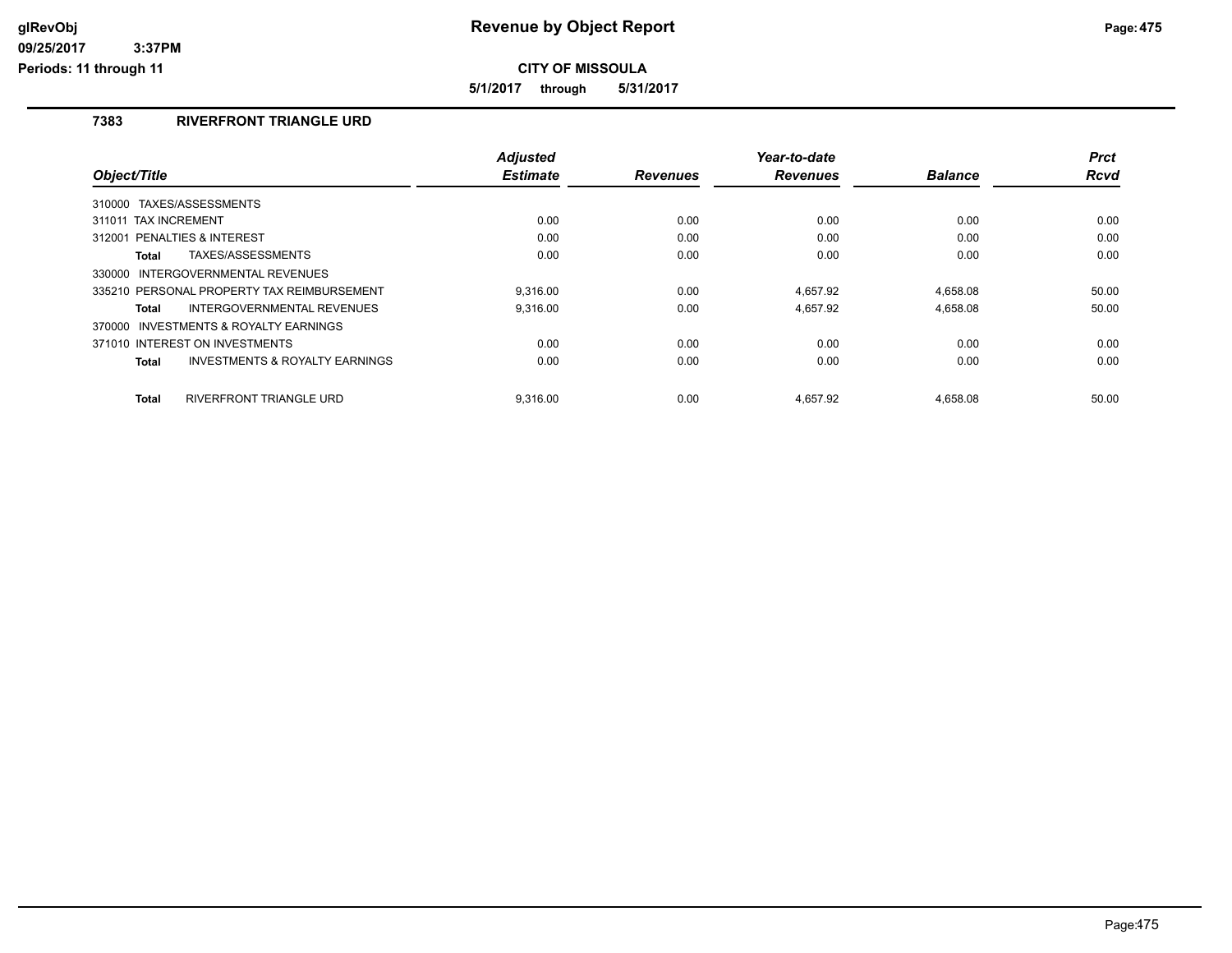**5/1/2017 through 5/31/2017**

#### **7383 RIVERFRONT TRIANGLE URD**

|                                                    | <b>Adjusted</b> |                 | Year-to-date    |                | <b>Prct</b> |
|----------------------------------------------------|-----------------|-----------------|-----------------|----------------|-------------|
| Object/Title                                       | <b>Estimate</b> | <b>Revenues</b> | <b>Revenues</b> | <b>Balance</b> | <b>Rcvd</b> |
| TAXES/ASSESSMENTS<br>310000                        |                 |                 |                 |                |             |
| <b>TAX INCREMENT</b><br>311011                     | 0.00            | 0.00            | 0.00            | 0.00           | 0.00        |
| PENALTIES & INTEREST<br>312001                     | 0.00            | 0.00            | 0.00            | 0.00           | 0.00        |
| TAXES/ASSESSMENTS<br><b>Total</b>                  | 0.00            | 0.00            | 0.00            | 0.00           | 0.00        |
| 330000 INTERGOVERNMENTAL REVENUES                  |                 |                 |                 |                |             |
| 335210 PERSONAL PROPERTY TAX REIMBURSEMENT         | 9.316.00        | 0.00            | 4.657.92        | 4.658.08       | 50.00       |
| INTERGOVERNMENTAL REVENUES<br><b>Total</b>         | 9.316.00        | 0.00            | 4.657.92        | 4.658.08       | 50.00       |
| 370000 INVESTMENTS & ROYALTY EARNINGS              |                 |                 |                 |                |             |
| 371010 INTEREST ON INVESTMENTS                     | 0.00            | 0.00            | 0.00            | 0.00           | 0.00        |
| <b>INVESTMENTS &amp; ROYALTY EARNINGS</b><br>Total | 0.00            | 0.00            | 0.00            | 0.00           | 0.00        |
| <b>RIVERFRONT TRIANGLE URD</b><br><b>Total</b>     | 9.316.00        | 0.00            | 4.657.92        | 4.658.08       | 50.00       |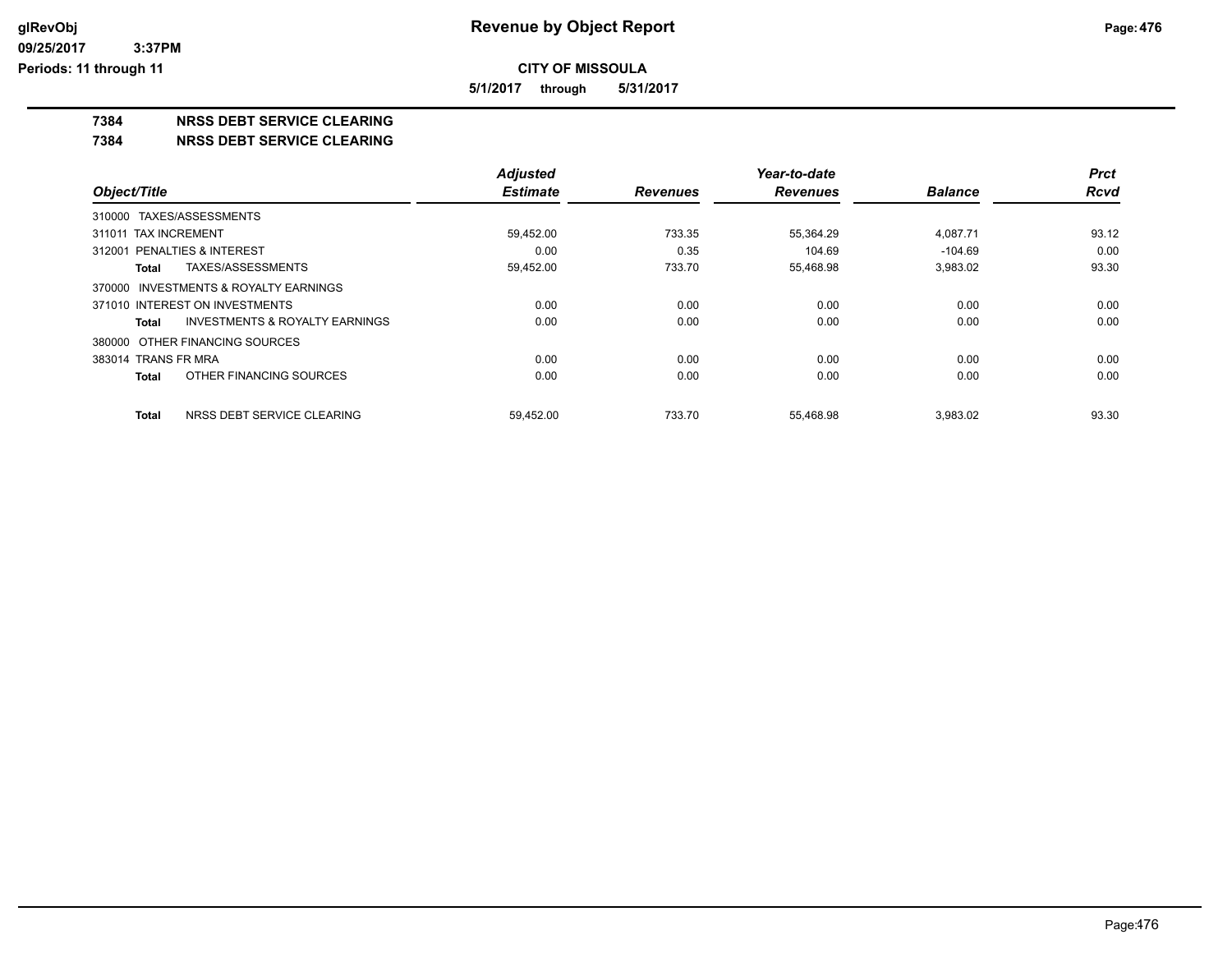**5/1/2017 through 5/31/2017**

#### **7384 NRSS DEBT SERVICE CLEARING**

**7384 NRSS DEBT SERVICE CLEARING**

|                                                    | <b>Adjusted</b> |                 | Year-to-date    |                | <b>Prct</b> |
|----------------------------------------------------|-----------------|-----------------|-----------------|----------------|-------------|
| Object/Title                                       | <b>Estimate</b> | <b>Revenues</b> | <b>Revenues</b> | <b>Balance</b> | <b>Rcvd</b> |
| 310000 TAXES/ASSESSMENTS                           |                 |                 |                 |                |             |
| 311011 TAX INCREMENT                               | 59,452.00       | 733.35          | 55,364.29       | 4,087.71       | 93.12       |
| 312001 PENALTIES & INTEREST                        | 0.00            | 0.35            | 104.69          | $-104.69$      | 0.00        |
| TAXES/ASSESSMENTS<br>Total                         | 59,452.00       | 733.70          | 55,468.98       | 3,983.02       | 93.30       |
| 370000 INVESTMENTS & ROYALTY EARNINGS              |                 |                 |                 |                |             |
| 371010 INTEREST ON INVESTMENTS                     | 0.00            | 0.00            | 0.00            | 0.00           | 0.00        |
| <b>INVESTMENTS &amp; ROYALTY EARNINGS</b><br>Total | 0.00            | 0.00            | 0.00            | 0.00           | 0.00        |
| 380000 OTHER FINANCING SOURCES                     |                 |                 |                 |                |             |
| 383014 TRANS FR MRA                                | 0.00            | 0.00            | 0.00            | 0.00           | 0.00        |
| OTHER FINANCING SOURCES<br>Total                   | 0.00            | 0.00            | 0.00            | 0.00           | 0.00        |
| NRSS DEBT SERVICE CLEARING<br>Total                | 59.452.00       | 733.70          | 55.468.98       | 3.983.02       | 93.30       |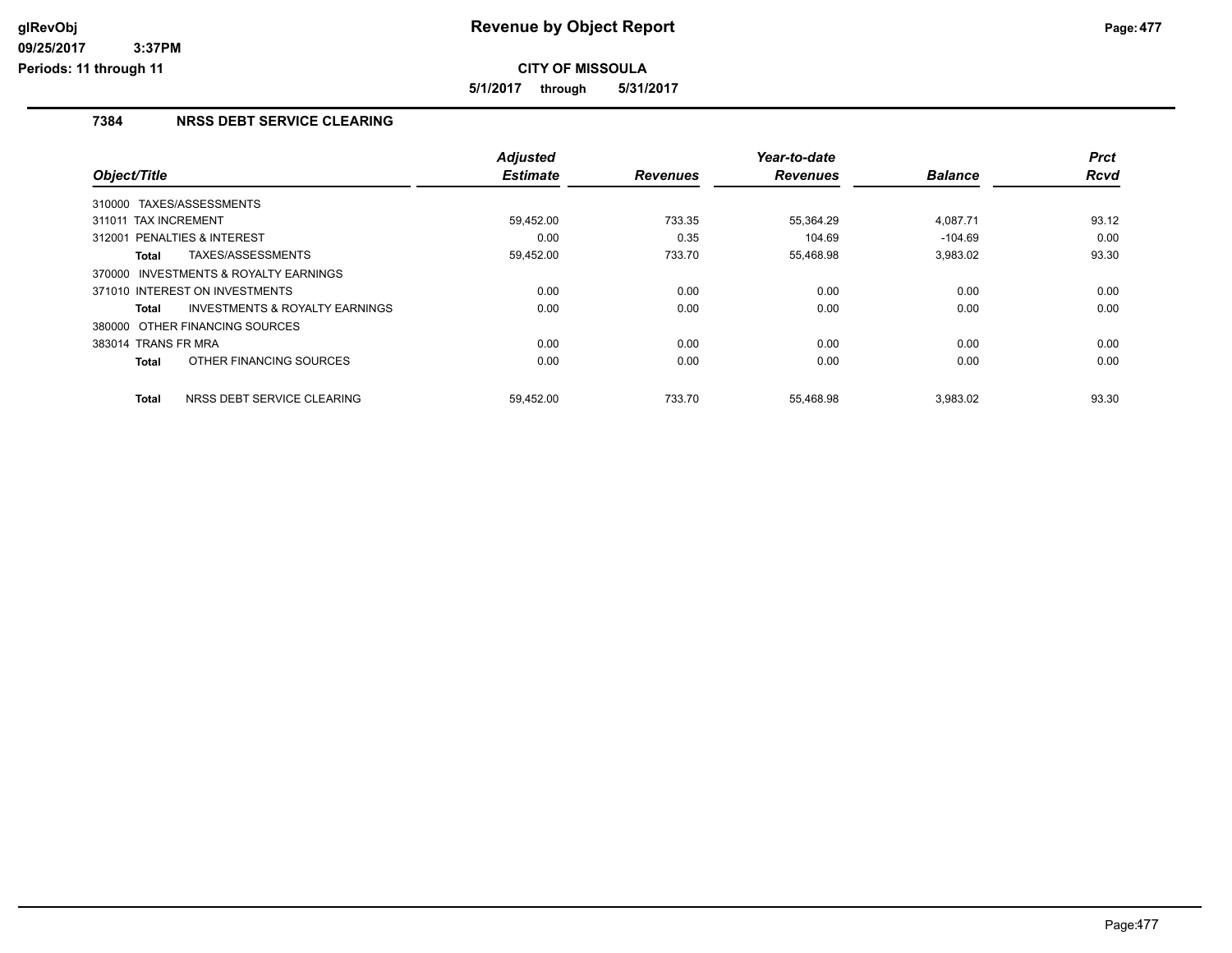**5/1/2017 through 5/31/2017**

#### **7384 NRSS DEBT SERVICE CLEARING**

|                                                    | <b>Adjusted</b> |                 | Year-to-date    |                | <b>Prct</b> |
|----------------------------------------------------|-----------------|-----------------|-----------------|----------------|-------------|
| Object/Title                                       | <b>Estimate</b> | <b>Revenues</b> | <b>Revenues</b> | <b>Balance</b> | <b>Rcvd</b> |
| 310000 TAXES/ASSESSMENTS                           |                 |                 |                 |                |             |
| 311011 TAX INCREMENT                               | 59,452.00       | 733.35          | 55,364.29       | 4.087.71       | 93.12       |
| PENALTIES & INTEREST<br>312001                     | 0.00            | 0.35            | 104.69          | $-104.69$      | 0.00        |
| TAXES/ASSESSMENTS<br>Total                         | 59,452.00       | 733.70          | 55,468.98       | 3,983.02       | 93.30       |
| 370000 INVESTMENTS & ROYALTY EARNINGS              |                 |                 |                 |                |             |
| 371010 INTEREST ON INVESTMENTS                     | 0.00            | 0.00            | 0.00            | 0.00           | 0.00        |
| <b>INVESTMENTS &amp; ROYALTY EARNINGS</b><br>Total | 0.00            | 0.00            | 0.00            | 0.00           | 0.00        |
| 380000 OTHER FINANCING SOURCES                     |                 |                 |                 |                |             |
| 383014 TRANS FR MRA                                | 0.00            | 0.00            | 0.00            | 0.00           | 0.00        |
| OTHER FINANCING SOURCES<br>Total                   | 0.00            | 0.00            | 0.00            | 0.00           | 0.00        |
| NRSS DEBT SERVICE CLEARING<br><b>Total</b>         | 59,452.00       | 733.70          | 55.468.98       | 3.983.02       | 93.30       |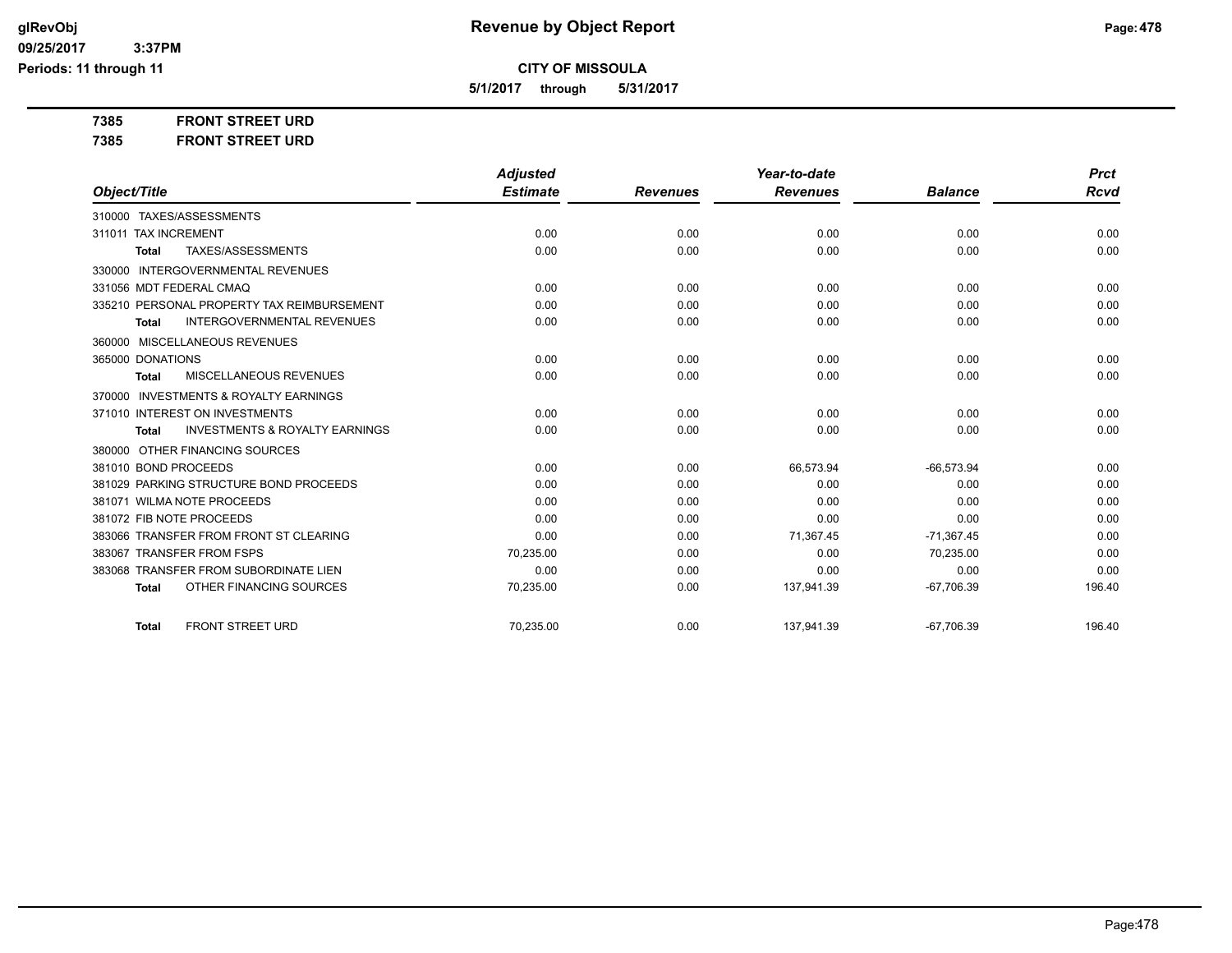**5/1/2017 through 5/31/2017**

**7385 FRONT STREET URD**

**7385 FRONT STREET URD**

|                                |                                            | <b>Adjusted</b> |                 | Year-to-date    |                | <b>Prct</b> |
|--------------------------------|--------------------------------------------|-----------------|-----------------|-----------------|----------------|-------------|
| Object/Title                   |                                            | <b>Estimate</b> | <b>Revenues</b> | <b>Revenues</b> | <b>Balance</b> | Rcvd        |
| 310000 TAXES/ASSESSMENTS       |                                            |                 |                 |                 |                |             |
| 311011 TAX INCREMENT           |                                            | 0.00            | 0.00            | 0.00            | 0.00           | 0.00        |
| <b>Total</b>                   | TAXES/ASSESSMENTS                          | 0.00            | 0.00            | 0.00            | 0.00           | 0.00        |
| 330000                         | <b>INTERGOVERNMENTAL REVENUES</b>          |                 |                 |                 |                |             |
| 331056 MDT FEDERAL CMAQ        |                                            | 0.00            | 0.00            | 0.00            | 0.00           | 0.00        |
|                                | 335210 PERSONAL PROPERTY TAX REIMBURSEMENT | 0.00            | 0.00            | 0.00            | 0.00           | 0.00        |
| <b>Total</b>                   | <b>INTERGOVERNMENTAL REVENUES</b>          | 0.00            | 0.00            | 0.00            | 0.00           | 0.00        |
| 360000 MISCELLANEOUS REVENUES  |                                            |                 |                 |                 |                |             |
| 365000 DONATIONS               |                                            | 0.00            | 0.00            | 0.00            | 0.00           | 0.00        |
| <b>Total</b>                   | <b>MISCELLANEOUS REVENUES</b>              | 0.00            | 0.00            | 0.00            | 0.00           | 0.00        |
| 370000                         | <b>INVESTMENTS &amp; ROYALTY EARNINGS</b>  |                 |                 |                 |                |             |
| 371010 INTEREST ON INVESTMENTS |                                            | 0.00            | 0.00            | 0.00            | 0.00           | 0.00        |
| <b>Total</b>                   | <b>INVESTMENTS &amp; ROYALTY EARNINGS</b>  | 0.00            | 0.00            | 0.00            | 0.00           | 0.00        |
| 380000                         | OTHER FINANCING SOURCES                    |                 |                 |                 |                |             |
| 381010 BOND PROCEEDS           |                                            | 0.00            | 0.00            | 66,573.94       | $-66,573.94$   | 0.00        |
|                                | 381029 PARKING STRUCTURE BOND PROCEEDS     | 0.00            | 0.00            | 0.00            | 0.00           | 0.00        |
| 381071 WILMA NOTE PROCEEDS     |                                            | 0.00            | 0.00            | 0.00            | 0.00           | 0.00        |
| 381072 FIB NOTE PROCEEDS       |                                            | 0.00            | 0.00            | 0.00            | 0.00           | 0.00        |
|                                | 383066 TRANSFER FROM FRONT ST CLEARING     | 0.00            | 0.00            | 71,367.45       | $-71,367.45$   | 0.00        |
| 383067 TRANSFER FROM FSPS      |                                            | 70,235.00       | 0.00            | 0.00            | 70,235.00      | 0.00        |
|                                | 383068 TRANSFER FROM SUBORDINATE LIEN      | 0.00            | 0.00            | 0.00            | 0.00           | 0.00        |
| <b>Total</b>                   | OTHER FINANCING SOURCES                    | 70,235.00       | 0.00            | 137,941.39      | $-67,706.39$   | 196.40      |
| <b>Total</b>                   | <b>FRONT STREET URD</b>                    | 70,235.00       | 0.00            | 137,941.39      | $-67,706.39$   | 196.40      |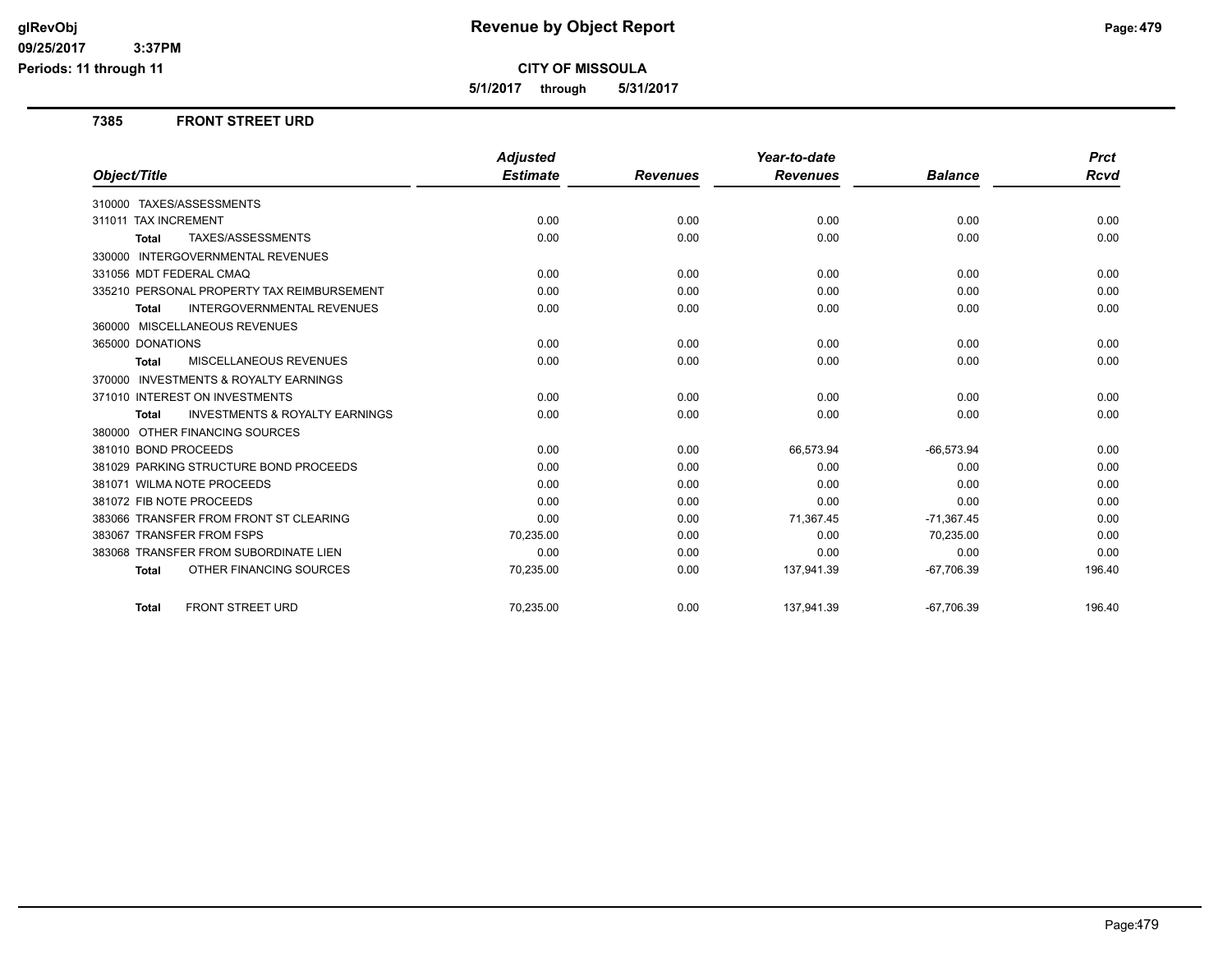**CITY OF MISSOULA**

**5/1/2017 through 5/31/2017**

#### **7385 FRONT STREET URD**

 **3:37PM**

|                                                           | <b>Adjusted</b> |                 | Year-to-date    |                | <b>Prct</b> |
|-----------------------------------------------------------|-----------------|-----------------|-----------------|----------------|-------------|
| Object/Title                                              | <b>Estimate</b> | <b>Revenues</b> | <b>Revenues</b> | <b>Balance</b> | <b>Rcvd</b> |
| 310000 TAXES/ASSESSMENTS                                  |                 |                 |                 |                |             |
| 311011 TAX INCREMENT                                      | 0.00            | 0.00            | 0.00            | 0.00           | 0.00        |
| TAXES/ASSESSMENTS<br><b>Total</b>                         | 0.00            | 0.00            | 0.00            | 0.00           | 0.00        |
| 330000 INTERGOVERNMENTAL REVENUES                         |                 |                 |                 |                |             |
| 331056 MDT FEDERAL CMAO                                   | 0.00            | 0.00            | 0.00            | 0.00           | 0.00        |
| 335210 PERSONAL PROPERTY TAX REIMBURSEMENT                | 0.00            | 0.00            | 0.00            | 0.00           | 0.00        |
| <b>INTERGOVERNMENTAL REVENUES</b><br><b>Total</b>         | 0.00            | 0.00            | 0.00            | 0.00           | 0.00        |
| 360000 MISCELLANEOUS REVENUES                             |                 |                 |                 |                |             |
| 365000 DONATIONS                                          | 0.00            | 0.00            | 0.00            | 0.00           | 0.00        |
| <b>MISCELLANEOUS REVENUES</b><br><b>Total</b>             | 0.00            | 0.00            | 0.00            | 0.00           | 0.00        |
| 370000 INVESTMENTS & ROYALTY EARNINGS                     |                 |                 |                 |                |             |
| 371010 INTEREST ON INVESTMENTS                            | 0.00            | 0.00            | 0.00            | 0.00           | 0.00        |
| <b>INVESTMENTS &amp; ROYALTY EARNINGS</b><br><b>Total</b> | 0.00            | 0.00            | 0.00            | 0.00           | 0.00        |
| 380000 OTHER FINANCING SOURCES                            |                 |                 |                 |                |             |
| 381010 BOND PROCEEDS                                      | 0.00            | 0.00            | 66,573.94       | $-66,573.94$   | 0.00        |
| 381029 PARKING STRUCTURE BOND PROCEEDS                    | 0.00            | 0.00            | 0.00            | 0.00           | 0.00        |
| 381071 WILMA NOTE PROCEEDS                                | 0.00            | 0.00            | 0.00            | 0.00           | 0.00        |
| 381072 FIB NOTE PROCEEDS                                  | 0.00            | 0.00            | 0.00            | 0.00           | 0.00        |
| 383066 TRANSFER FROM FRONT ST CLEARING                    | 0.00            | 0.00            | 71,367.45       | $-71,367.45$   | 0.00        |
| 383067 TRANSFER FROM FSPS                                 | 70,235.00       | 0.00            | 0.00            | 70,235.00      | 0.00        |
| 383068 TRANSFER FROM SUBORDINATE LIEN                     | 0.00            | 0.00            | 0.00            | 0.00           | 0.00        |
| OTHER FINANCING SOURCES<br><b>Total</b>                   | 70,235.00       | 0.00            | 137,941.39      | $-67,706.39$   | 196.40      |
| <b>FRONT STREET URD</b><br>Total                          | 70.235.00       | 0.00            | 137.941.39      | $-67.706.39$   | 196.40      |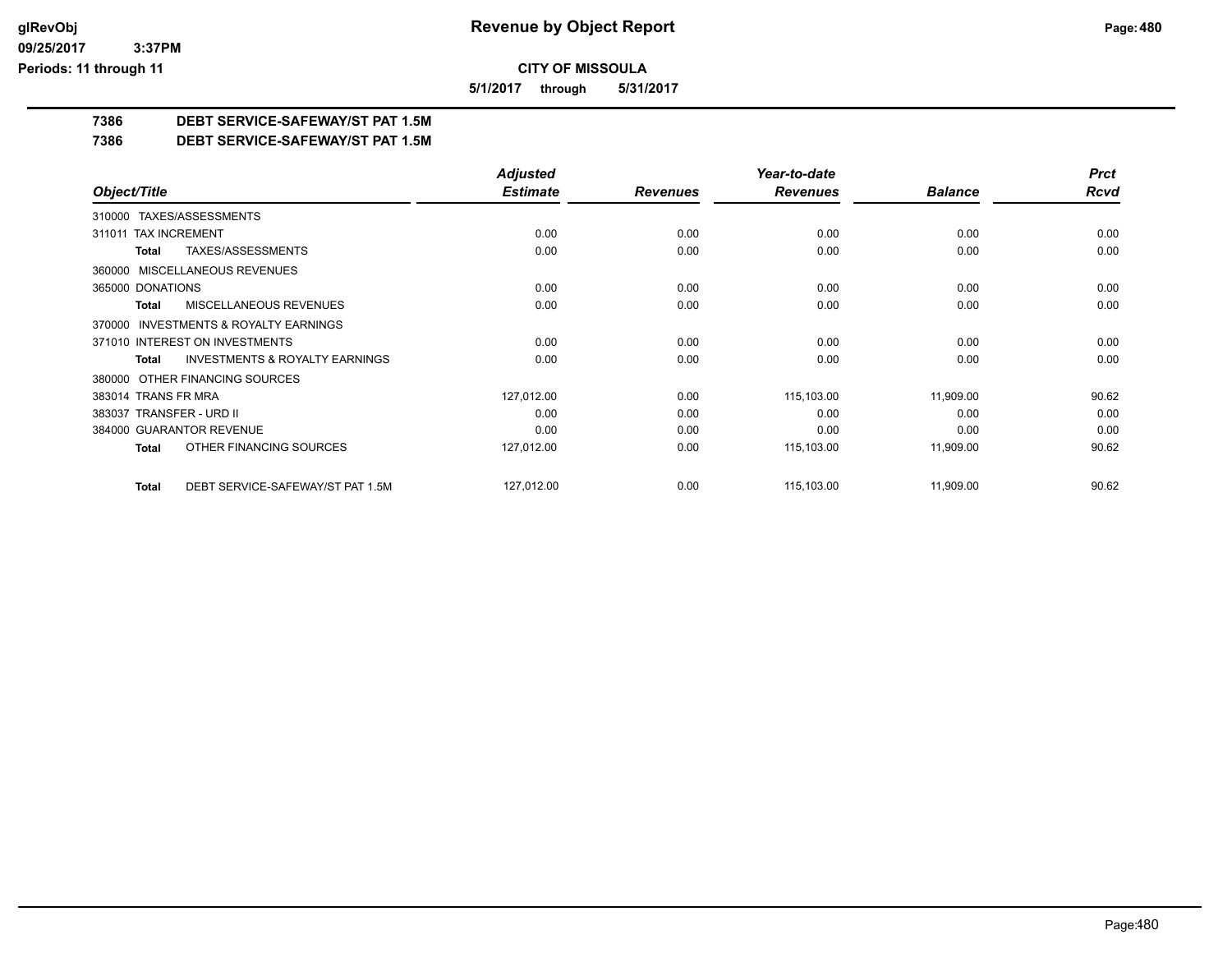**5/1/2017 through 5/31/2017**

#### **7386 DEBT SERVICE-SAFEWAY/ST PAT 1.5M**

#### **7386 DEBT SERVICE-SAFEWAY/ST PAT 1.5M**

|                                                     | <b>Adjusted</b> |                 | Year-to-date    |                | <b>Prct</b> |
|-----------------------------------------------------|-----------------|-----------------|-----------------|----------------|-------------|
| Object/Title                                        | <b>Estimate</b> | <b>Revenues</b> | <b>Revenues</b> | <b>Balance</b> | <b>Rcvd</b> |
| 310000 TAXES/ASSESSMENTS                            |                 |                 |                 |                |             |
| 311011 TAX INCREMENT                                | 0.00            | 0.00            | 0.00            | 0.00           | 0.00        |
| TAXES/ASSESSMENTS<br>Total                          | 0.00            | 0.00            | 0.00            | 0.00           | 0.00        |
| MISCELLANEOUS REVENUES<br>360000                    |                 |                 |                 |                |             |
| 365000 DONATIONS                                    | 0.00            | 0.00            | 0.00            | 0.00           | 0.00        |
| <b>MISCELLANEOUS REVENUES</b><br>Total              | 0.00            | 0.00            | 0.00            | 0.00           | 0.00        |
| <b>INVESTMENTS &amp; ROYALTY EARNINGS</b><br>370000 |                 |                 |                 |                |             |
| 371010 INTEREST ON INVESTMENTS                      | 0.00            | 0.00            | 0.00            | 0.00           | 0.00        |
| <b>INVESTMENTS &amp; ROYALTY EARNINGS</b><br>Total  | 0.00            | 0.00            | 0.00            | 0.00           | 0.00        |
| 380000 OTHER FINANCING SOURCES                      |                 |                 |                 |                |             |
| 383014 TRANS FR MRA                                 | 127,012.00      | 0.00            | 115,103.00      | 11,909.00      | 90.62       |
| 383037 TRANSFER - URD II                            | 0.00            | 0.00            | 0.00            | 0.00           | 0.00        |
| 384000 GUARANTOR REVENUE                            | 0.00            | 0.00            | 0.00            | 0.00           | 0.00        |
| OTHER FINANCING SOURCES<br>Total                    | 127,012.00      | 0.00            | 115,103.00      | 11,909.00      | 90.62       |
| DEBT SERVICE-SAFEWAY/ST PAT 1.5M<br>Total           | 127,012.00      | 0.00            | 115,103.00      | 11,909.00      | 90.62       |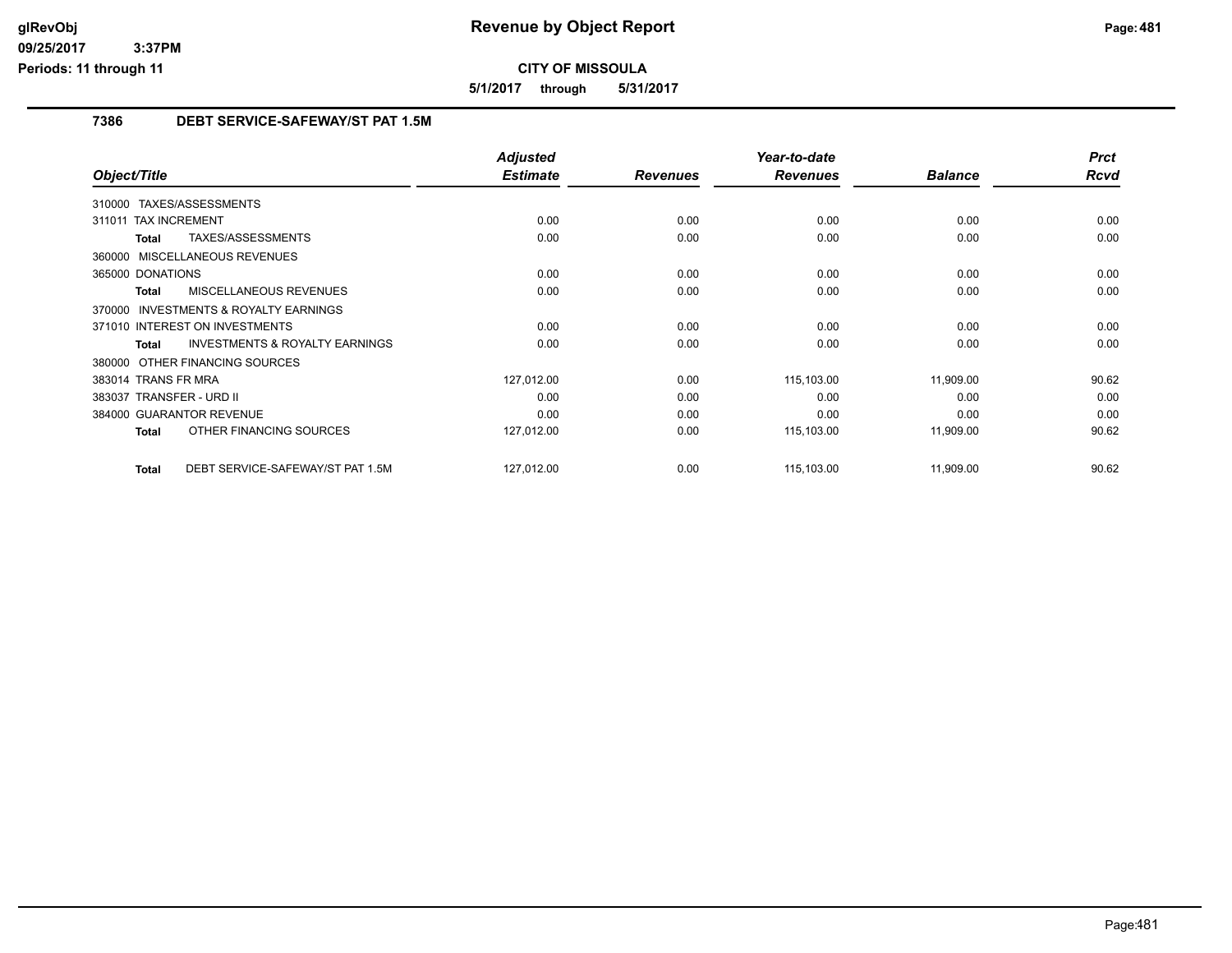**5/1/2017 through 5/31/2017**

#### **7386 DEBT SERVICE-SAFEWAY/ST PAT 1.5M**

|                                                           | <b>Adjusted</b> |                 | Year-to-date    |                | <b>Prct</b> |
|-----------------------------------------------------------|-----------------|-----------------|-----------------|----------------|-------------|
| Object/Title                                              | <b>Estimate</b> | <b>Revenues</b> | <b>Revenues</b> | <b>Balance</b> | <b>Rcvd</b> |
| 310000 TAXES/ASSESSMENTS                                  |                 |                 |                 |                |             |
| <b>TAX INCREMENT</b><br>311011                            | 0.00            | 0.00            | 0.00            | 0.00           | 0.00        |
| TAXES/ASSESSMENTS<br>Total                                | 0.00            | 0.00            | 0.00            | 0.00           | 0.00        |
| 360000 MISCELLANEOUS REVENUES                             |                 |                 |                 |                |             |
| 365000 DONATIONS                                          | 0.00            | 0.00            | 0.00            | 0.00           | 0.00        |
| MISCELLANEOUS REVENUES<br><b>Total</b>                    | 0.00            | 0.00            | 0.00            | 0.00           | 0.00        |
| 370000 INVESTMENTS & ROYALTY EARNINGS                     |                 |                 |                 |                |             |
| 371010 INTEREST ON INVESTMENTS                            | 0.00            | 0.00            | 0.00            | 0.00           | 0.00        |
| <b>INVESTMENTS &amp; ROYALTY EARNINGS</b><br><b>Total</b> | 0.00            | 0.00            | 0.00            | 0.00           | 0.00        |
| 380000 OTHER FINANCING SOURCES                            |                 |                 |                 |                |             |
| 383014 TRANS FR MRA                                       | 127,012.00      | 0.00            | 115,103.00      | 11,909.00      | 90.62       |
| 383037 TRANSFER - URD II                                  | 0.00            | 0.00            | 0.00            | 0.00           | 0.00        |
| 384000 GUARANTOR REVENUE                                  | 0.00            | 0.00            | 0.00            | 0.00           | 0.00        |
| OTHER FINANCING SOURCES<br>Total                          | 127,012.00      | 0.00            | 115,103.00      | 11,909.00      | 90.62       |
| DEBT SERVICE-SAFEWAY/ST PAT 1.5M<br><b>Total</b>          | 127,012.00      | 0.00            | 115,103.00      | 11,909.00      | 90.62       |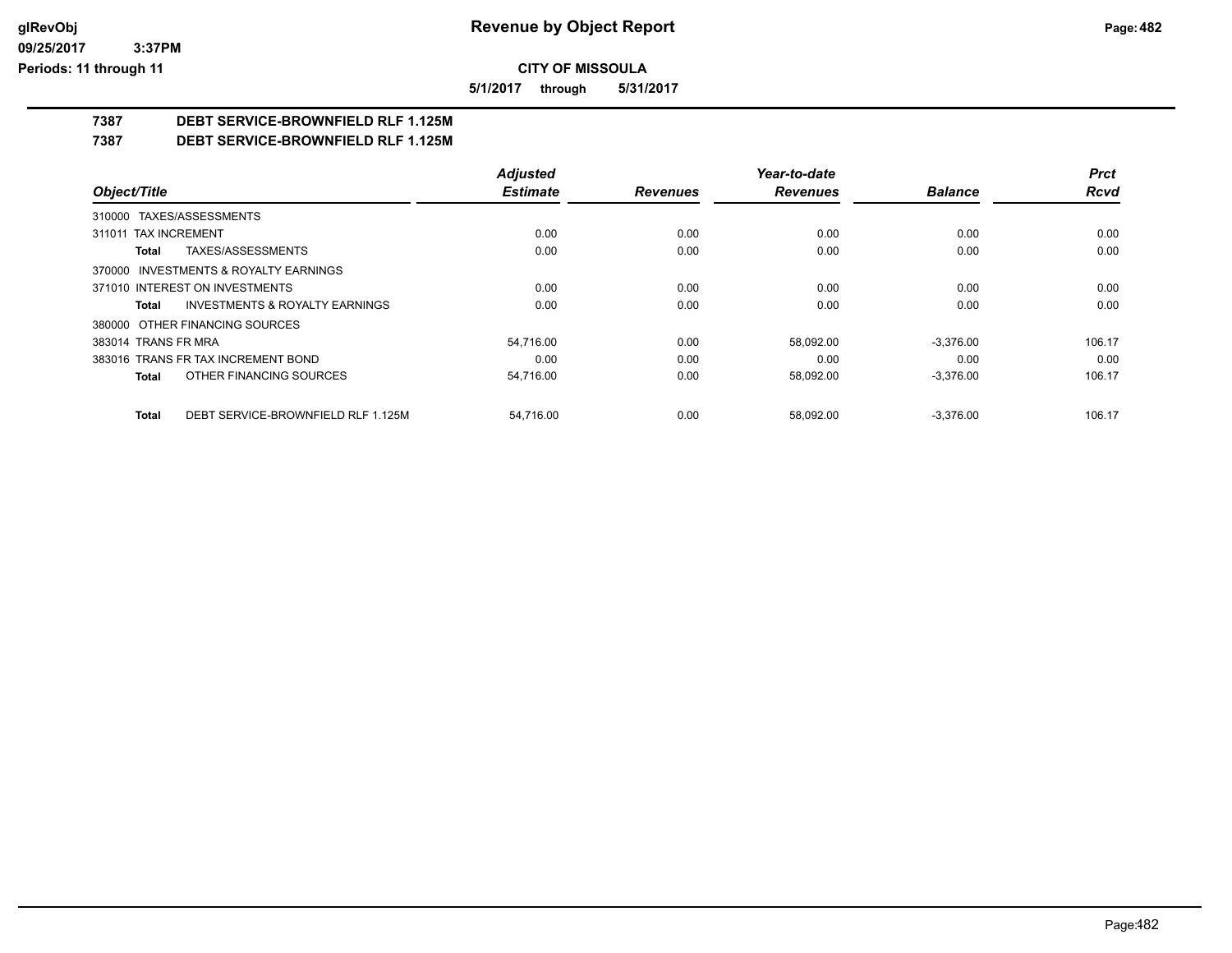**CITY OF MISSOULA**

**5/1/2017 through 5/31/2017**

# **7387 DEBT SERVICE-BROWNFIELD RLF 1.125M**

**7387 DEBT SERVICE-BROWNFIELD RLF 1.125M**

|                                                    | <b>Adjusted</b> |                 | Year-to-date    |                | <b>Prct</b> |
|----------------------------------------------------|-----------------|-----------------|-----------------|----------------|-------------|
| Object/Title                                       | <b>Estimate</b> | <b>Revenues</b> | <b>Revenues</b> | <b>Balance</b> | <b>Rcvd</b> |
| 310000 TAXES/ASSESSMENTS                           |                 |                 |                 |                |             |
| 311011 TAX INCREMENT                               | 0.00            | 0.00            | 0.00            | 0.00           | 0.00        |
| TAXES/ASSESSMENTS<br>Total                         | 0.00            | 0.00            | 0.00            | 0.00           | 0.00        |
| 370000 INVESTMENTS & ROYALTY EARNINGS              |                 |                 |                 |                |             |
| 371010 INTEREST ON INVESTMENTS                     | 0.00            | 0.00            | 0.00            | 0.00           | 0.00        |
| <b>INVESTMENTS &amp; ROYALTY EARNINGS</b><br>Total | 0.00            | 0.00            | 0.00            | 0.00           | 0.00        |
| 380000 OTHER FINANCING SOURCES                     |                 |                 |                 |                |             |
| 383014 TRANS FR MRA                                | 54.716.00       | 0.00            | 58.092.00       | $-3,376.00$    | 106.17      |
| 383016 TRANS FR TAX INCREMENT BOND                 | 0.00            | 0.00            | 0.00            | 0.00           | 0.00        |
| OTHER FINANCING SOURCES<br>Total                   | 54,716.00       | 0.00            | 58,092.00       | $-3,376.00$    | 106.17      |
| DEBT SERVICE-BROWNFIELD RLF 1.125M<br>Total        | 54.716.00       | 0.00            | 58.092.00       | $-3.376.00$    | 106.17      |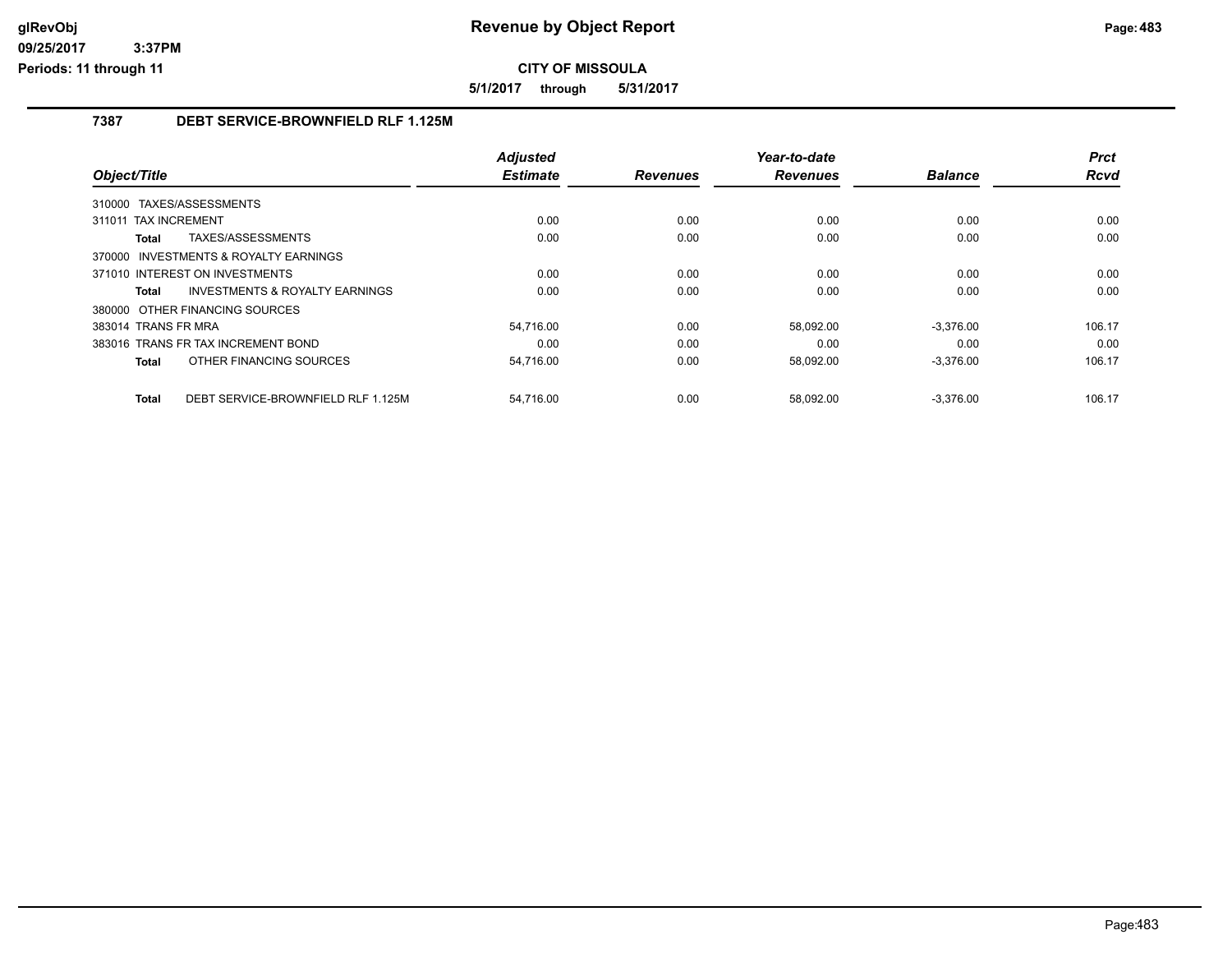**5/1/2017 through 5/31/2017**

#### **7387 DEBT SERVICE-BROWNFIELD RLF 1.125M**

|                                                    | <b>Adjusted</b> |                 | Year-to-date    |                | <b>Prct</b> |
|----------------------------------------------------|-----------------|-----------------|-----------------|----------------|-------------|
| Object/Title                                       | <b>Estimate</b> | <b>Revenues</b> | <b>Revenues</b> | <b>Balance</b> | <b>Rcvd</b> |
| 310000 TAXES/ASSESSMENTS                           |                 |                 |                 |                |             |
| 311011 TAX INCREMENT                               | 0.00            | 0.00            | 0.00            | 0.00           | 0.00        |
| TAXES/ASSESSMENTS<br>Total                         | 0.00            | 0.00            | 0.00            | 0.00           | 0.00        |
| 370000 INVESTMENTS & ROYALTY EARNINGS              |                 |                 |                 |                |             |
| 371010 INTEREST ON INVESTMENTS                     | 0.00            | 0.00            | 0.00            | 0.00           | 0.00        |
| <b>INVESTMENTS &amp; ROYALTY EARNINGS</b><br>Total | 0.00            | 0.00            | 0.00            | 0.00           | 0.00        |
| 380000 OTHER FINANCING SOURCES                     |                 |                 |                 |                |             |
| 383014 TRANS FR MRA                                | 54.716.00       | 0.00            | 58.092.00       | $-3.376.00$    | 106.17      |
| 383016 TRANS FR TAX INCREMENT BOND                 | 0.00            | 0.00            | 0.00            | 0.00           | 0.00        |
| OTHER FINANCING SOURCES<br>Total                   | 54,716.00       | 0.00            | 58,092.00       | $-3,376.00$    | 106.17      |
| DEBT SERVICE-BROWNFIELD RLF 1.125M<br>Total        | 54,716.00       | 0.00            | 58.092.00       | $-3.376.00$    | 106.17      |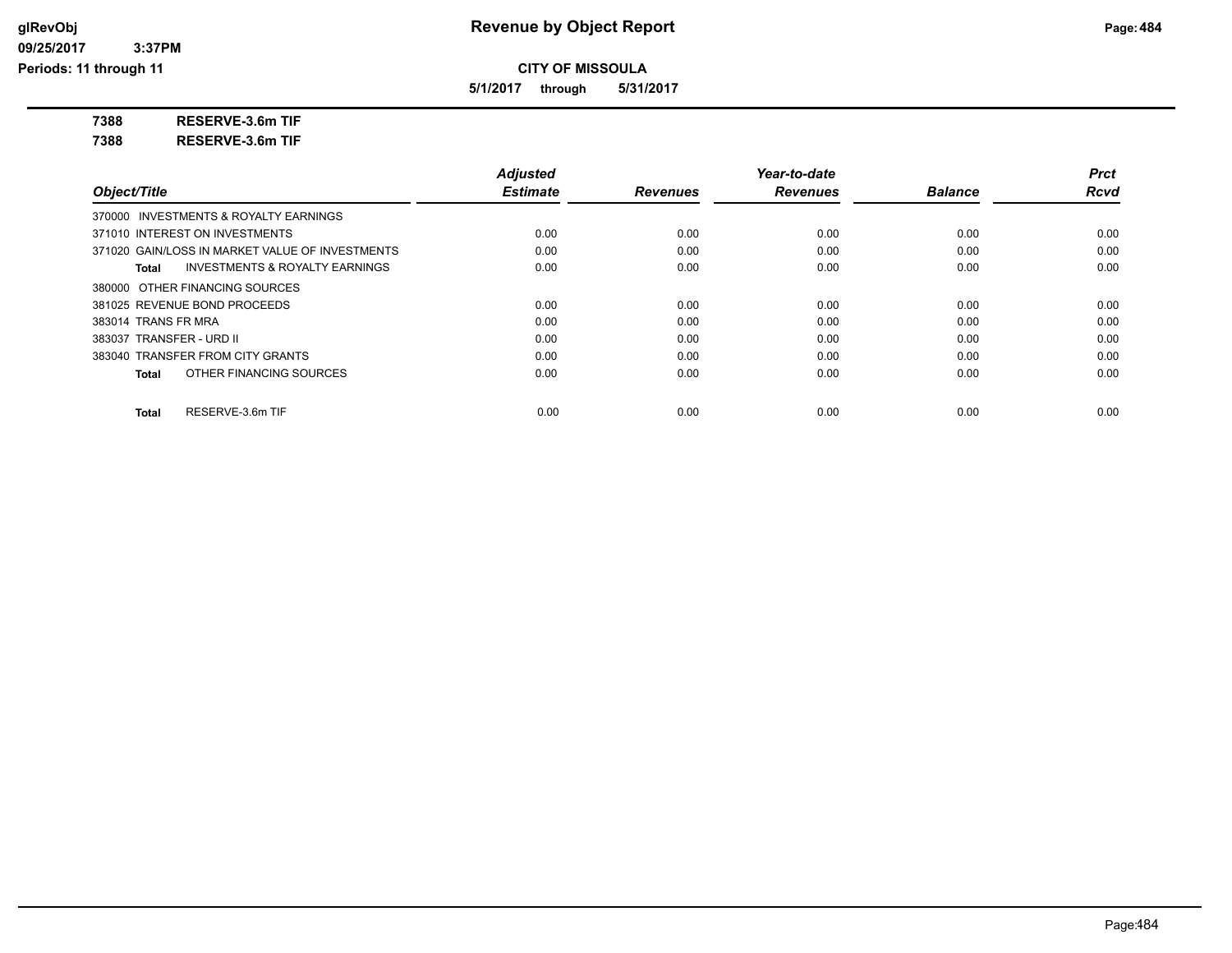**5/1/2017 through 5/31/2017**

**7388 RESERVE-3.6m TIF**

**7388 RESERVE-3.6m TIF**

|                                                 | <b>Adjusted</b> |                 | Year-to-date    |                | <b>Prct</b> |
|-------------------------------------------------|-----------------|-----------------|-----------------|----------------|-------------|
| Object/Title                                    | <b>Estimate</b> | <b>Revenues</b> | <b>Revenues</b> | <b>Balance</b> | Rcvd        |
| 370000 INVESTMENTS & ROYALTY EARNINGS           |                 |                 |                 |                |             |
| 371010 INTEREST ON INVESTMENTS                  | 0.00            | 0.00            | 0.00            | 0.00           | 0.00        |
| 371020 GAIN/LOSS IN MARKET VALUE OF INVESTMENTS | 0.00            | 0.00            | 0.00            | 0.00           | 0.00        |
| INVESTMENTS & ROYALTY EARNINGS<br>Total         | 0.00            | 0.00            | 0.00            | 0.00           | 0.00        |
| 380000 OTHER FINANCING SOURCES                  |                 |                 |                 |                |             |
| 381025 REVENUE BOND PROCEEDS                    | 0.00            | 0.00            | 0.00            | 0.00           | 0.00        |
| 383014 TRANS FR MRA                             | 0.00            | 0.00            | 0.00            | 0.00           | 0.00        |
| 383037 TRANSFER - URD II                        | 0.00            | 0.00            | 0.00            | 0.00           | 0.00        |
| 383040 TRANSFER FROM CITY GRANTS                | 0.00            | 0.00            | 0.00            | 0.00           | 0.00        |
| OTHER FINANCING SOURCES<br>Total                | 0.00            | 0.00            | 0.00            | 0.00           | 0.00        |
|                                                 |                 |                 |                 |                |             |
| RESERVE-3.6m TIF<br>Total                       | 0.00            | 0.00            | 0.00            | 0.00           | 0.00        |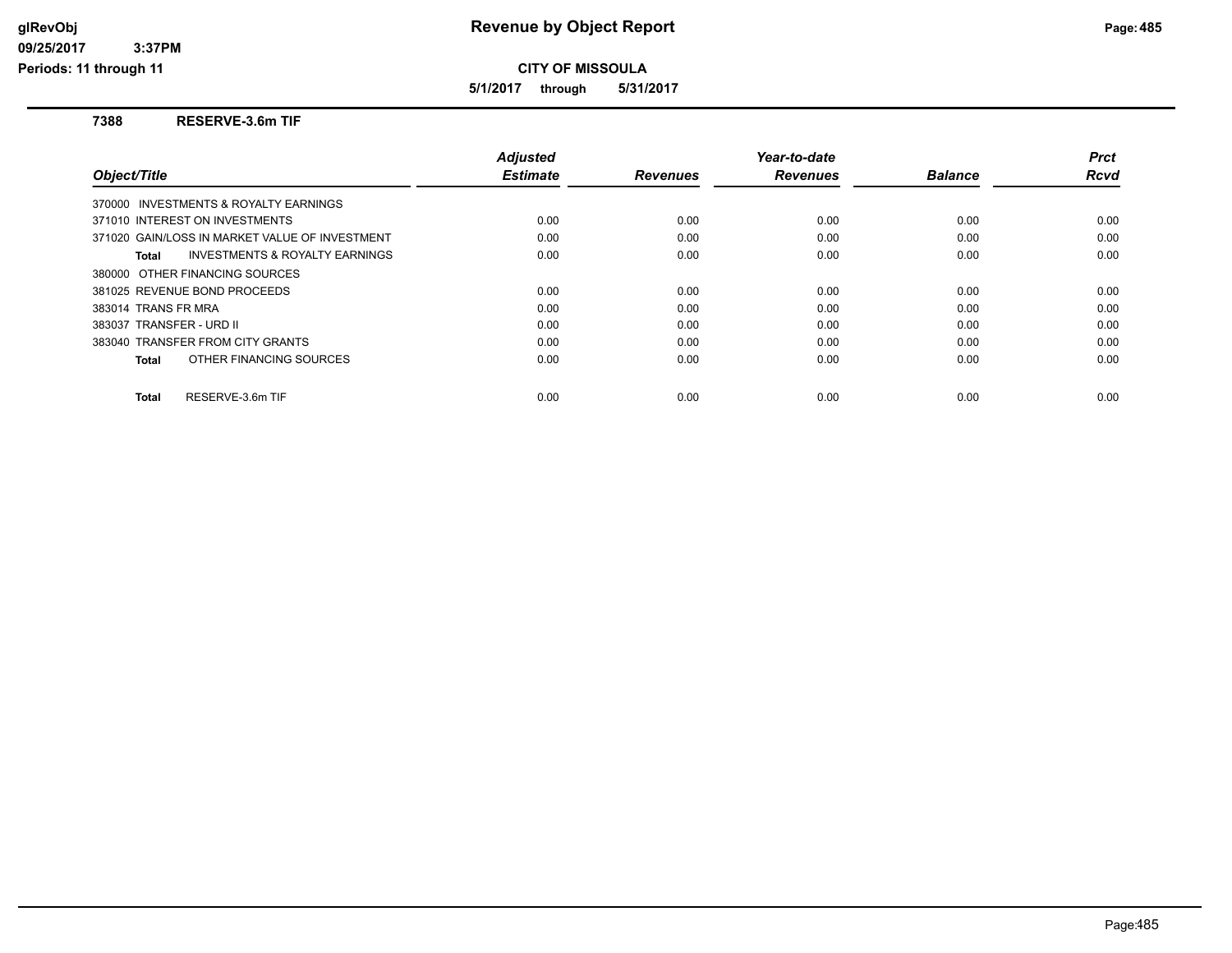**CITY OF MISSOULA**

**5/1/2017 through 5/31/2017**

#### **7388 RESERVE-3.6m TIF**

 **3:37PM**

|                                                    | <b>Adjusted</b> |                 | Year-to-date    |                | <b>Prct</b> |
|----------------------------------------------------|-----------------|-----------------|-----------------|----------------|-------------|
| Object/Title                                       | <b>Estimate</b> | <b>Revenues</b> | <b>Revenues</b> | <b>Balance</b> | Rcvd        |
| 370000 INVESTMENTS & ROYALTY EARNINGS              |                 |                 |                 |                |             |
| 371010 INTEREST ON INVESTMENTS                     | 0.00            | 0.00            | 0.00            | 0.00           | 0.00        |
| 371020 GAIN/LOSS IN MARKET VALUE OF INVESTMENT     | 0.00            | 0.00            | 0.00            | 0.00           | 0.00        |
| <b>INVESTMENTS &amp; ROYALTY EARNINGS</b><br>Total | 0.00            | 0.00            | 0.00            | 0.00           | 0.00        |
| 380000 OTHER FINANCING SOURCES                     |                 |                 |                 |                |             |
| 381025 REVENUE BOND PROCEEDS                       | 0.00            | 0.00            | 0.00            | 0.00           | 0.00        |
| 383014 TRANS FR MRA                                | 0.00            | 0.00            | 0.00            | 0.00           | 0.00        |
| 383037 TRANSFER - URD II                           | 0.00            | 0.00            | 0.00            | 0.00           | 0.00        |
| 383040 TRANSFER FROM CITY GRANTS                   | 0.00            | 0.00            | 0.00            | 0.00           | 0.00        |
| OTHER FINANCING SOURCES<br>Total                   | 0.00            | 0.00            | 0.00            | 0.00           | 0.00        |
|                                                    |                 |                 |                 |                |             |
| RESERVE-3.6m TIF<br>Total                          | 0.00            | 0.00            | 0.00            | 0.00           | 0.00        |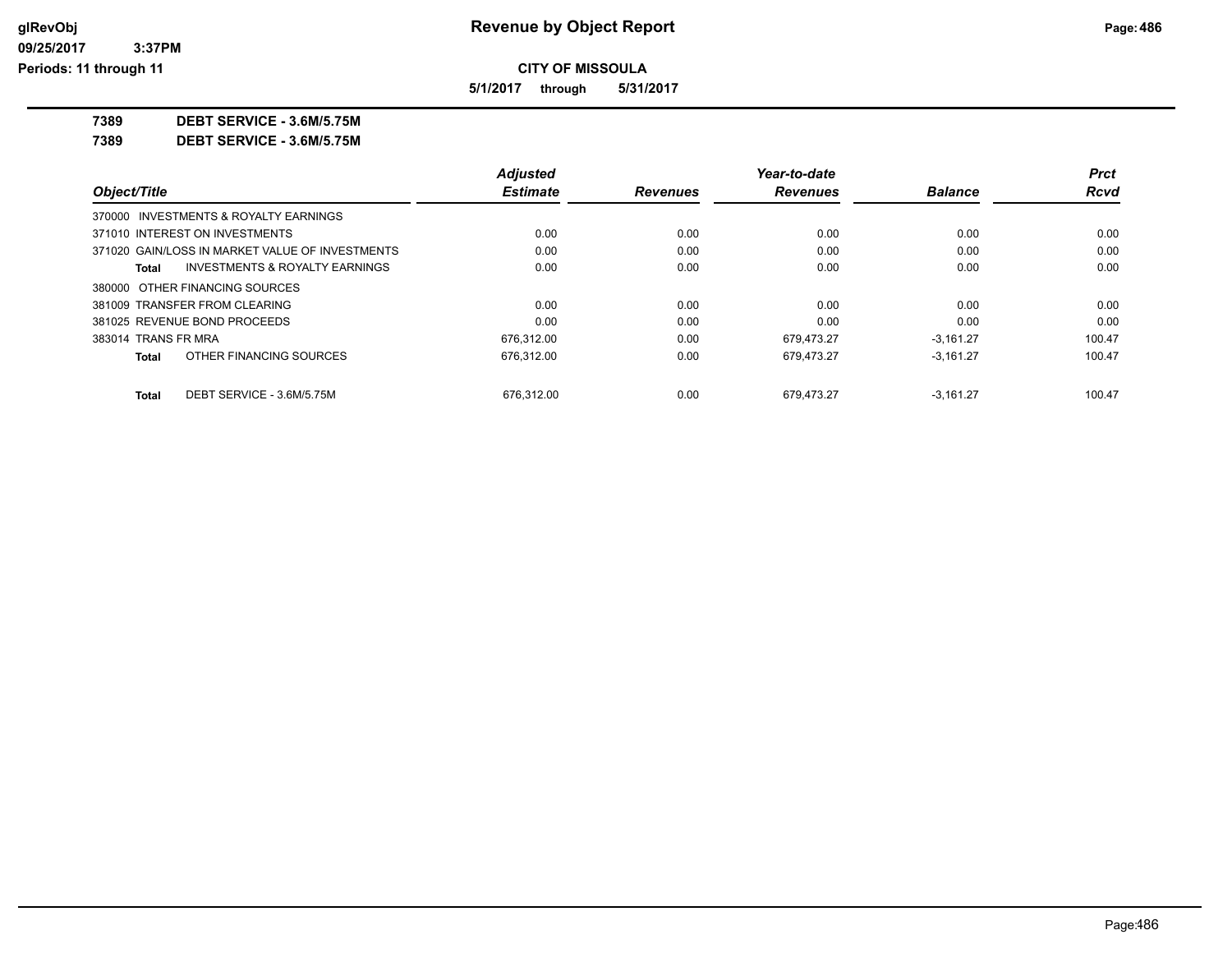**5/1/2017 through 5/31/2017**

**7389 DEBT SERVICE - 3.6M/5.75M**

**7389 DEBT SERVICE - 3.6M/5.75M**

|                                                    | <b>Adjusted</b> |                 | Year-to-date    |                | <b>Prct</b> |
|----------------------------------------------------|-----------------|-----------------|-----------------|----------------|-------------|
| Object/Title                                       | <b>Estimate</b> | <b>Revenues</b> | <b>Revenues</b> | <b>Balance</b> | Rcvd        |
| 370000 INVESTMENTS & ROYALTY EARNINGS              |                 |                 |                 |                |             |
| 371010 INTEREST ON INVESTMENTS                     | 0.00            | 0.00            | 0.00            | 0.00           | 0.00        |
| 371020 GAIN/LOSS IN MARKET VALUE OF INVESTMENTS    | 0.00            | 0.00            | 0.00            | 0.00           | 0.00        |
| <b>INVESTMENTS &amp; ROYALTY EARNINGS</b><br>Total | 0.00            | 0.00            | 0.00            | 0.00           | 0.00        |
| 380000 OTHER FINANCING SOURCES                     |                 |                 |                 |                |             |
| 381009 TRANSFER FROM CLEARING                      | 0.00            | 0.00            | 0.00            | 0.00           | 0.00        |
| 381025 REVENUE BOND PROCEEDS                       | 0.00            | 0.00            | 0.00            | 0.00           | 0.00        |
| 383014 TRANS FR MRA                                | 676.312.00      | 0.00            | 679.473.27      | $-3.161.27$    | 100.47      |
| OTHER FINANCING SOURCES<br>Total                   | 676.312.00      | 0.00            | 679.473.27      | $-3.161.27$    | 100.47      |
| DEBT SERVICE - 3.6M/5.75M<br>Total                 | 676.312.00      | 0.00            | 679.473.27      | $-3.161.27$    | 100.47      |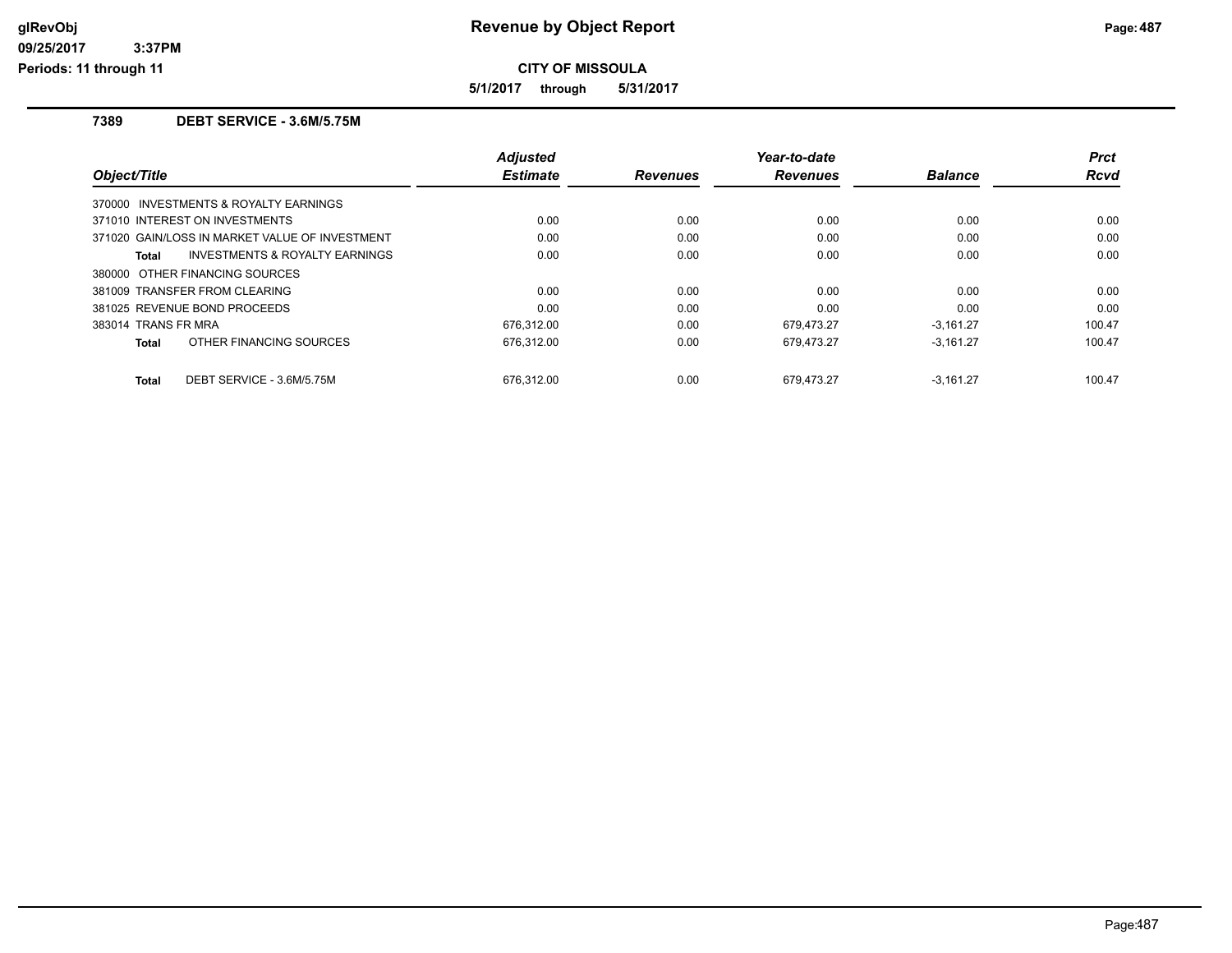**CITY OF MISSOULA**

**5/1/2017 through 5/31/2017**

#### **7389 DEBT SERVICE - 3.6M/5.75M**

 **3:37PM**

| Object/Title                                       | <b>Adjusted</b><br><b>Estimate</b> | <b>Revenues</b> | Year-to-date<br><b>Revenues</b> | <b>Balance</b> | <b>Prct</b><br><b>Rcvd</b> |
|----------------------------------------------------|------------------------------------|-----------------|---------------------------------|----------------|----------------------------|
| 370000 INVESTMENTS & ROYALTY EARNINGS              |                                    |                 |                                 |                |                            |
| 371010 INTEREST ON INVESTMENTS                     | 0.00                               | 0.00            | 0.00                            | 0.00           | 0.00                       |
| 371020 GAIN/LOSS IN MARKET VALUE OF INVESTMENT     | 0.00                               | 0.00            | 0.00                            | 0.00           | 0.00                       |
| <b>INVESTMENTS &amp; ROYALTY EARNINGS</b><br>Total | 0.00                               | 0.00            | 0.00                            | 0.00           | 0.00                       |
| 380000 OTHER FINANCING SOURCES                     |                                    |                 |                                 |                |                            |
| 381009 TRANSFER FROM CLEARING                      | 0.00                               | 0.00            | 0.00                            | 0.00           | 0.00                       |
| 381025 REVENUE BOND PROCEEDS                       | 0.00                               | 0.00            | 0.00                            | 0.00           | 0.00                       |
| 383014 TRANS FR MRA                                | 676.312.00                         | 0.00            | 679,473.27                      | $-3.161.27$    | 100.47                     |
| OTHER FINANCING SOURCES<br>Total                   | 676.312.00                         | 0.00            | 679.473.27                      | $-3.161.27$    | 100.47                     |
| DEBT SERVICE - 3.6M/5.75M<br><b>Total</b>          | 676.312.00                         | 0.00            | 679.473.27                      | $-3.161.27$    | 100.47                     |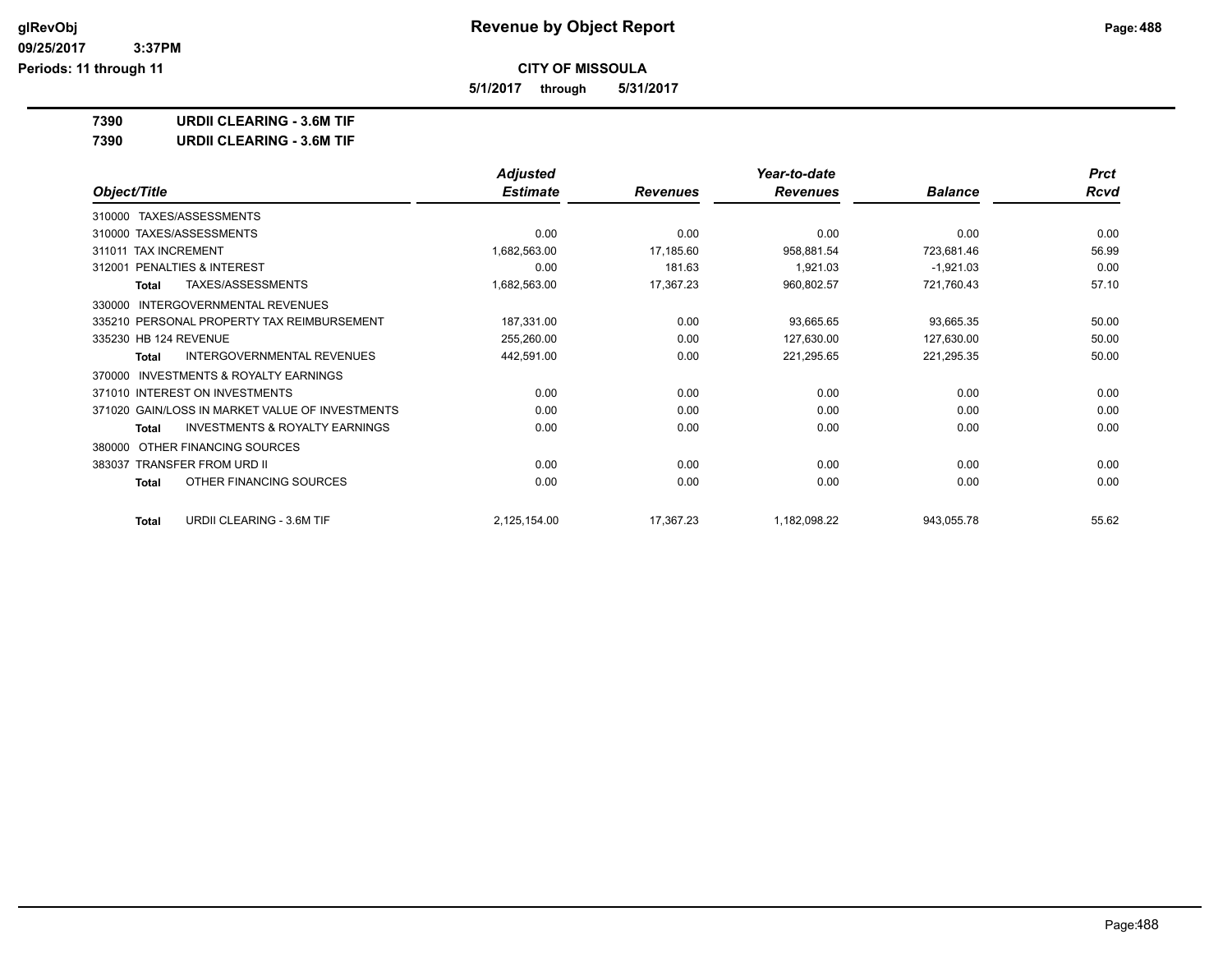**5/1/2017 through 5/31/2017**

**7390 URDII CLEARING - 3.6M TIF**

**7390 URDII CLEARING - 3.6M TIF**

|                                                           | <b>Adjusted</b> |                 | Year-to-date    |                | <b>Prct</b> |
|-----------------------------------------------------------|-----------------|-----------------|-----------------|----------------|-------------|
| Object/Title                                              | <b>Estimate</b> | <b>Revenues</b> | <b>Revenues</b> | <b>Balance</b> | <b>Rcvd</b> |
| TAXES/ASSESSMENTS<br>310000                               |                 |                 |                 |                |             |
| 310000 TAXES/ASSESSMENTS                                  | 0.00            | 0.00            | 0.00            | 0.00           | 0.00        |
| 311011 TAX INCREMENT                                      | 1,682,563.00    | 17,185.60       | 958,881.54      | 723,681.46     | 56.99       |
| PENALTIES & INTEREST<br>312001                            | 0.00            | 181.63          | 1.921.03        | $-1,921.03$    | 0.00        |
| TAXES/ASSESSMENTS<br><b>Total</b>                         | 1,682,563.00    | 17,367.23       | 960,802.57      | 721,760.43     | 57.10       |
| <b>INTERGOVERNMENTAL REVENUES</b><br>330000               |                 |                 |                 |                |             |
| 335210 PERSONAL PROPERTY TAX REIMBURSEMENT                | 187,331.00      | 0.00            | 93,665.65       | 93,665.35      | 50.00       |
| 335230 HB 124 REVENUE                                     | 255,260.00      | 0.00            | 127,630.00      | 127,630.00     | 50.00       |
| INTERGOVERNMENTAL REVENUES<br>Total                       | 442,591.00      | 0.00            | 221,295.65      | 221,295.35     | 50.00       |
| <b>INVESTMENTS &amp; ROYALTY EARNINGS</b><br>370000       |                 |                 |                 |                |             |
| 371010 INTEREST ON INVESTMENTS                            | 0.00            | 0.00            | 0.00            | 0.00           | 0.00        |
| 371020 GAIN/LOSS IN MARKET VALUE OF INVESTMENTS           | 0.00            | 0.00            | 0.00            | 0.00           | 0.00        |
| <b>INVESTMENTS &amp; ROYALTY EARNINGS</b><br><b>Total</b> | 0.00            | 0.00            | 0.00            | 0.00           | 0.00        |
| OTHER FINANCING SOURCES<br>380000                         |                 |                 |                 |                |             |
| 383037 TRANSFER FROM URD II                               | 0.00            | 0.00            | 0.00            | 0.00           | 0.00        |
| OTHER FINANCING SOURCES<br>Total                          | 0.00            | 0.00            | 0.00            | 0.00           | 0.00        |
| <b>URDII CLEARING - 3.6M TIF</b><br><b>Total</b>          | 2,125,154.00    | 17,367.23       | 1,182,098.22    | 943,055.78     | 55.62       |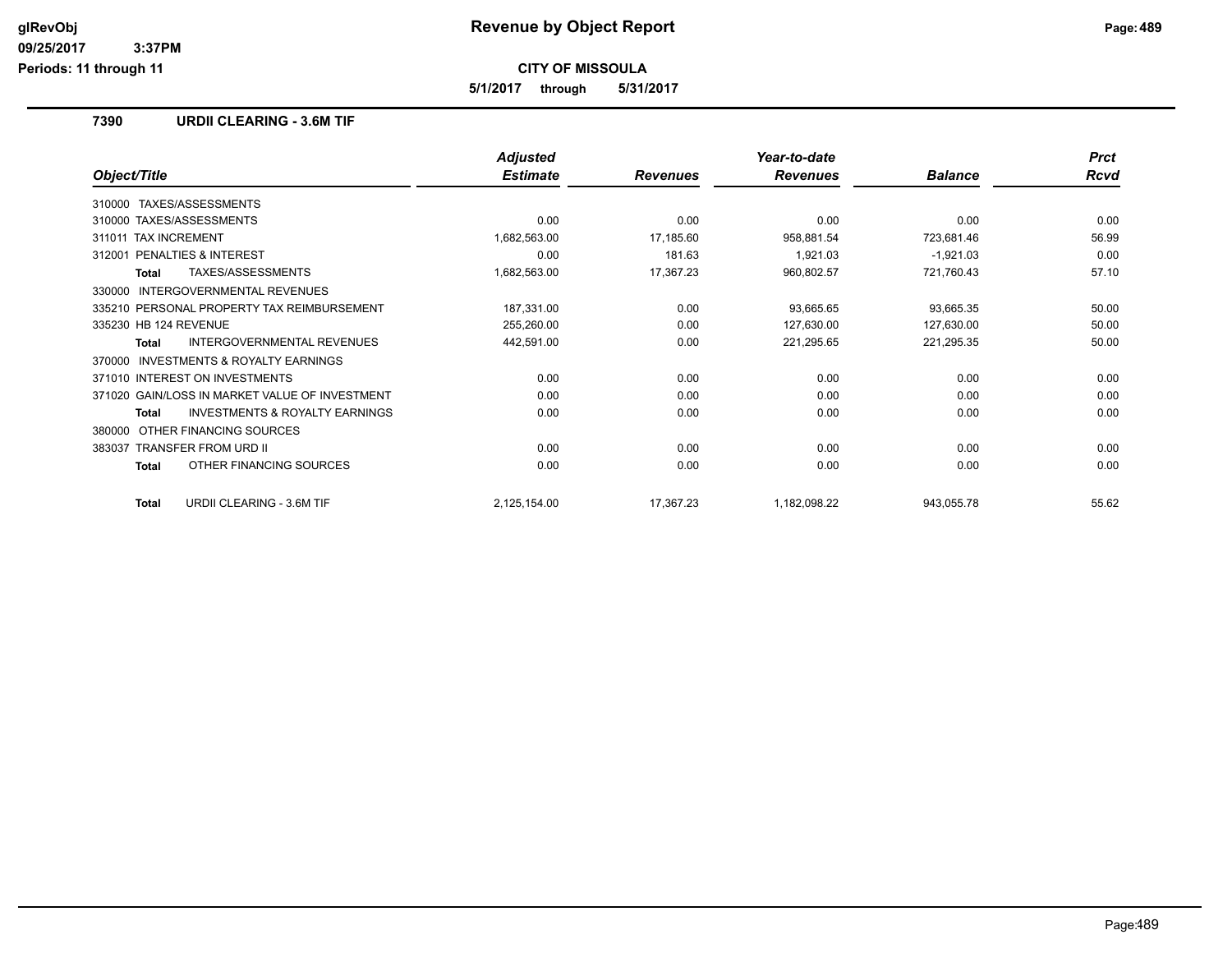**CITY OF MISSOULA**

**5/1/2017 through 5/31/2017**

#### **7390 URDII CLEARING - 3.6M TIF**

 **3:37PM**

|                                                           | <b>Adjusted</b> |                 | Year-to-date    |                | <b>Prct</b> |
|-----------------------------------------------------------|-----------------|-----------------|-----------------|----------------|-------------|
| Object/Title                                              | <b>Estimate</b> | <b>Revenues</b> | <b>Revenues</b> | <b>Balance</b> | Rcvd        |
| TAXES/ASSESSMENTS<br>310000                               |                 |                 |                 |                |             |
| 310000 TAXES/ASSESSMENTS                                  | 0.00            | 0.00            | 0.00            | 0.00           | 0.00        |
| 311011 TAX INCREMENT                                      | 1,682,563.00    | 17,185.60       | 958,881.54      | 723,681.46     | 56.99       |
| 312001 PENALTIES & INTEREST                               | 0.00            | 181.63          | 1,921.03        | $-1,921.03$    | 0.00        |
| TAXES/ASSESSMENTS<br><b>Total</b>                         | 1,682,563.00    | 17,367.23       | 960,802.57      | 721,760.43     | 57.10       |
| INTERGOVERNMENTAL REVENUES<br>330000                      |                 |                 |                 |                |             |
| 335210 PERSONAL PROPERTY TAX REIMBURSEMENT                | 187,331.00      | 0.00            | 93,665.65       | 93,665.35      | 50.00       |
| 335230 HB 124 REVENUE                                     | 255,260.00      | 0.00            | 127,630.00      | 127,630.00     | 50.00       |
| <b>INTERGOVERNMENTAL REVENUES</b><br><b>Total</b>         | 442,591.00      | 0.00            | 221,295.65      | 221,295.35     | 50.00       |
| <b>INVESTMENTS &amp; ROYALTY EARNINGS</b><br>370000       |                 |                 |                 |                |             |
| 371010 INTEREST ON INVESTMENTS                            | 0.00            | 0.00            | 0.00            | 0.00           | 0.00        |
| 371020 GAIN/LOSS IN MARKET VALUE OF INVESTMENT            | 0.00            | 0.00            | 0.00            | 0.00           | 0.00        |
| <b>INVESTMENTS &amp; ROYALTY EARNINGS</b><br><b>Total</b> | 0.00            | 0.00            | 0.00            | 0.00           | 0.00        |
| OTHER FINANCING SOURCES<br>380000                         |                 |                 |                 |                |             |
| <b>TRANSFER FROM URD II</b><br>383037                     | 0.00            | 0.00            | 0.00            | 0.00           | 0.00        |
| OTHER FINANCING SOURCES<br><b>Total</b>                   | 0.00            | 0.00            | 0.00            | 0.00           | 0.00        |
| URDII CLEARING - 3.6M TIF<br>Total                        | 2,125,154.00    | 17,367.23       | 1,182,098.22    | 943,055.78     | 55.62       |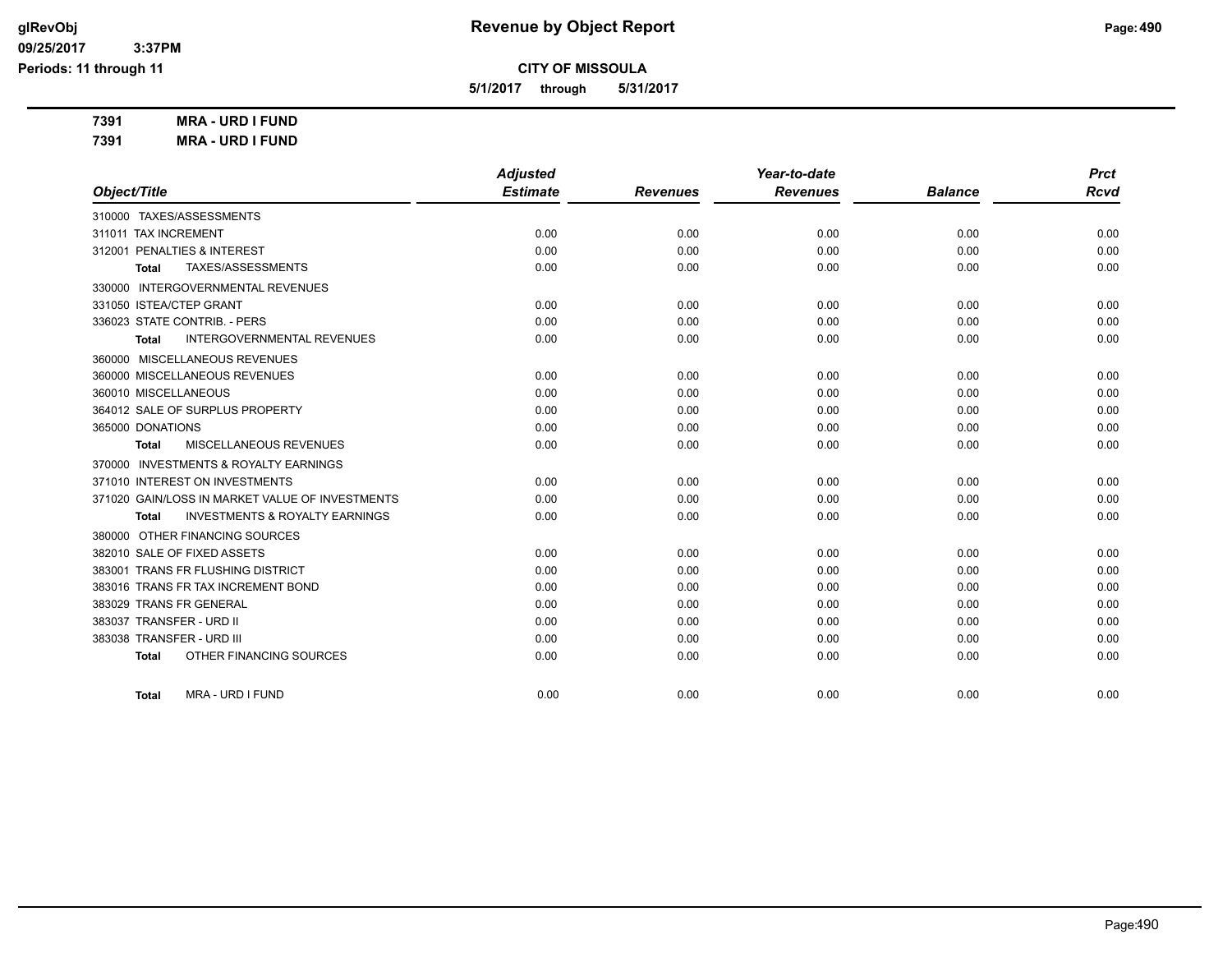**5/1/2017 through 5/31/2017**

**7391 MRA - URD I FUND**

**7391 MRA - URD I FUND**

|                                                     | <b>Adjusted</b> |                 | Year-to-date    |                | <b>Prct</b> |
|-----------------------------------------------------|-----------------|-----------------|-----------------|----------------|-------------|
| Object/Title                                        | <b>Estimate</b> | <b>Revenues</b> | <b>Revenues</b> | <b>Balance</b> | <b>Rcvd</b> |
| 310000 TAXES/ASSESSMENTS                            |                 |                 |                 |                |             |
| 311011 TAX INCREMENT                                | 0.00            | 0.00            | 0.00            | 0.00           | 0.00        |
| 312001 PENALTIES & INTEREST                         | 0.00            | 0.00            | 0.00            | 0.00           | 0.00        |
| TAXES/ASSESSMENTS<br><b>Total</b>                   | 0.00            | 0.00            | 0.00            | 0.00           | 0.00        |
| 330000 INTERGOVERNMENTAL REVENUES                   |                 |                 |                 |                |             |
| 331050 ISTEA/CTEP GRANT                             | 0.00            | 0.00            | 0.00            | 0.00           | 0.00        |
| 336023 STATE CONTRIB. - PERS                        | 0.00            | 0.00            | 0.00            | 0.00           | 0.00        |
| <b>INTERGOVERNMENTAL REVENUES</b><br><b>Total</b>   | 0.00            | 0.00            | 0.00            | 0.00           | 0.00        |
| 360000 MISCELLANEOUS REVENUES                       |                 |                 |                 |                |             |
| 360000 MISCELLANEOUS REVENUES                       | 0.00            | 0.00            | 0.00            | 0.00           | 0.00        |
| 360010 MISCELLANEOUS                                | 0.00            | 0.00            | 0.00            | 0.00           | 0.00        |
| 364012 SALE OF SURPLUS PROPERTY                     | 0.00            | 0.00            | 0.00            | 0.00           | 0.00        |
| 365000 DONATIONS                                    | 0.00            | 0.00            | 0.00            | 0.00           | 0.00        |
| MISCELLANEOUS REVENUES<br>Total                     | 0.00            | 0.00            | 0.00            | 0.00           | 0.00        |
| <b>INVESTMENTS &amp; ROYALTY EARNINGS</b><br>370000 |                 |                 |                 |                |             |
| 371010 INTEREST ON INVESTMENTS                      | 0.00            | 0.00            | 0.00            | 0.00           | 0.00        |
| 371020 GAIN/LOSS IN MARKET VALUE OF INVESTMENTS     | 0.00            | 0.00            | 0.00            | 0.00           | 0.00        |
| <b>INVESTMENTS &amp; ROYALTY EARNINGS</b><br>Total  | 0.00            | 0.00            | 0.00            | 0.00           | 0.00        |
| 380000 OTHER FINANCING SOURCES                      |                 |                 |                 |                |             |
| 382010 SALE OF FIXED ASSETS                         | 0.00            | 0.00            | 0.00            | 0.00           | 0.00        |
| 383001 TRANS FR FLUSHING DISTRICT                   | 0.00            | 0.00            | 0.00            | 0.00           | 0.00        |
| 383016 TRANS FR TAX INCREMENT BOND                  | 0.00            | 0.00            | 0.00            | 0.00           | 0.00        |
| 383029 TRANS FR GENERAL                             | 0.00            | 0.00            | 0.00            | 0.00           | 0.00        |
| 383037 TRANSFER - URD II                            | 0.00            | 0.00            | 0.00            | 0.00           | 0.00        |
| 383038 TRANSFER - URD III                           | 0.00            | 0.00            | 0.00            | 0.00           | 0.00        |
| OTHER FINANCING SOURCES<br><b>Total</b>             | 0.00            | 0.00            | 0.00            | 0.00           | 0.00        |
| MRA - URD I FUND<br>Total                           | 0.00            | 0.00            | 0.00            | 0.00           | 0.00        |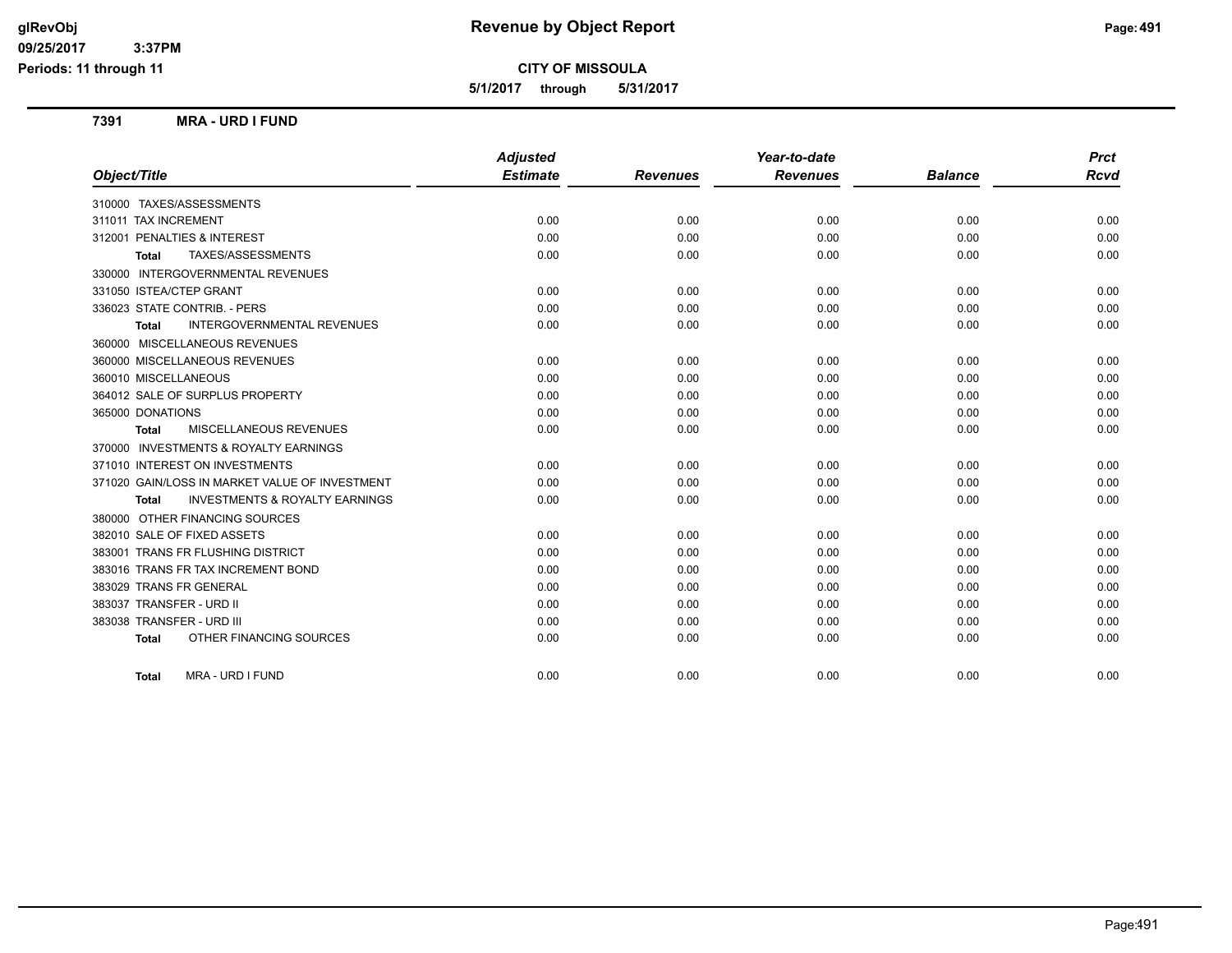**CITY OF MISSOULA**

**5/1/2017 through 5/31/2017**

 **3:37PM**

#### **7391 MRA - URD I FUND**

| Object/Title                                              | <b>Adjusted</b><br><b>Estimate</b> | <b>Revenues</b> | Year-to-date<br><b>Revenues</b> | <b>Balance</b> | <b>Prct</b><br><b>Rcvd</b> |
|-----------------------------------------------------------|------------------------------------|-----------------|---------------------------------|----------------|----------------------------|
|                                                           |                                    |                 |                                 |                |                            |
| 310000 TAXES/ASSESSMENTS                                  |                                    |                 |                                 |                |                            |
| 311011 TAX INCREMENT                                      | 0.00                               | 0.00            | 0.00                            | 0.00           | 0.00                       |
| 312001 PENALTIES & INTEREST                               | 0.00                               | 0.00            | 0.00                            | 0.00           | 0.00                       |
| TAXES/ASSESSMENTS<br><b>Total</b>                         | 0.00                               | 0.00            | 0.00                            | 0.00           | 0.00                       |
| 330000 INTERGOVERNMENTAL REVENUES                         |                                    |                 |                                 |                |                            |
| 331050 ISTEA/CTEP GRANT                                   | 0.00                               | 0.00            | 0.00                            | 0.00           | 0.00                       |
| 336023 STATE CONTRIB. - PERS                              | 0.00                               | 0.00            | 0.00                            | 0.00           | 0.00                       |
| <b>INTERGOVERNMENTAL REVENUES</b><br>Total                | 0.00                               | 0.00            | 0.00                            | 0.00           | 0.00                       |
| 360000 MISCELLANEOUS REVENUES                             |                                    |                 |                                 |                |                            |
| 360000 MISCELLANEOUS REVENUES                             | 0.00                               | 0.00            | 0.00                            | 0.00           | 0.00                       |
| 360010 MISCELLANEOUS                                      | 0.00                               | 0.00            | 0.00                            | 0.00           | 0.00                       |
| 364012 SALE OF SURPLUS PROPERTY                           | 0.00                               | 0.00            | 0.00                            | 0.00           | 0.00                       |
| 365000 DONATIONS                                          | 0.00                               | 0.00            | 0.00                            | 0.00           | 0.00                       |
| MISCELLANEOUS REVENUES<br>Total                           | 0.00                               | 0.00            | 0.00                            | 0.00           | 0.00                       |
| 370000 INVESTMENTS & ROYALTY EARNINGS                     |                                    |                 |                                 |                |                            |
| 371010 INTEREST ON INVESTMENTS                            | 0.00                               | 0.00            | 0.00                            | 0.00           | 0.00                       |
| 371020 GAIN/LOSS IN MARKET VALUE OF INVESTMENT            | 0.00                               | 0.00            | 0.00                            | 0.00           | 0.00                       |
| <b>INVESTMENTS &amp; ROYALTY EARNINGS</b><br><b>Total</b> | 0.00                               | 0.00            | 0.00                            | 0.00           | 0.00                       |
| 380000 OTHER FINANCING SOURCES                            |                                    |                 |                                 |                |                            |
| 382010 SALE OF FIXED ASSETS                               | 0.00                               | 0.00            | 0.00                            | 0.00           | 0.00                       |
| 383001 TRANS FR FLUSHING DISTRICT                         | 0.00                               | 0.00            | 0.00                            | 0.00           | 0.00                       |
| 383016 TRANS FR TAX INCREMENT BOND                        | 0.00                               | 0.00            | 0.00                            | 0.00           | 0.00                       |
| 383029 TRANS FR GENERAL                                   | 0.00                               | 0.00            | 0.00                            | 0.00           | 0.00                       |
| 383037 TRANSFER - URD II                                  | 0.00                               | 0.00            | 0.00                            | 0.00           | 0.00                       |
| 383038 TRANSFER - URD III                                 | 0.00                               | 0.00            | 0.00                            | 0.00           | 0.00                       |
| OTHER FINANCING SOURCES<br><b>Total</b>                   | 0.00                               | 0.00            | 0.00                            | 0.00           | 0.00                       |
| MRA - URD I FUND<br><b>Total</b>                          | 0.00                               | 0.00            | 0.00                            | 0.00           | 0.00                       |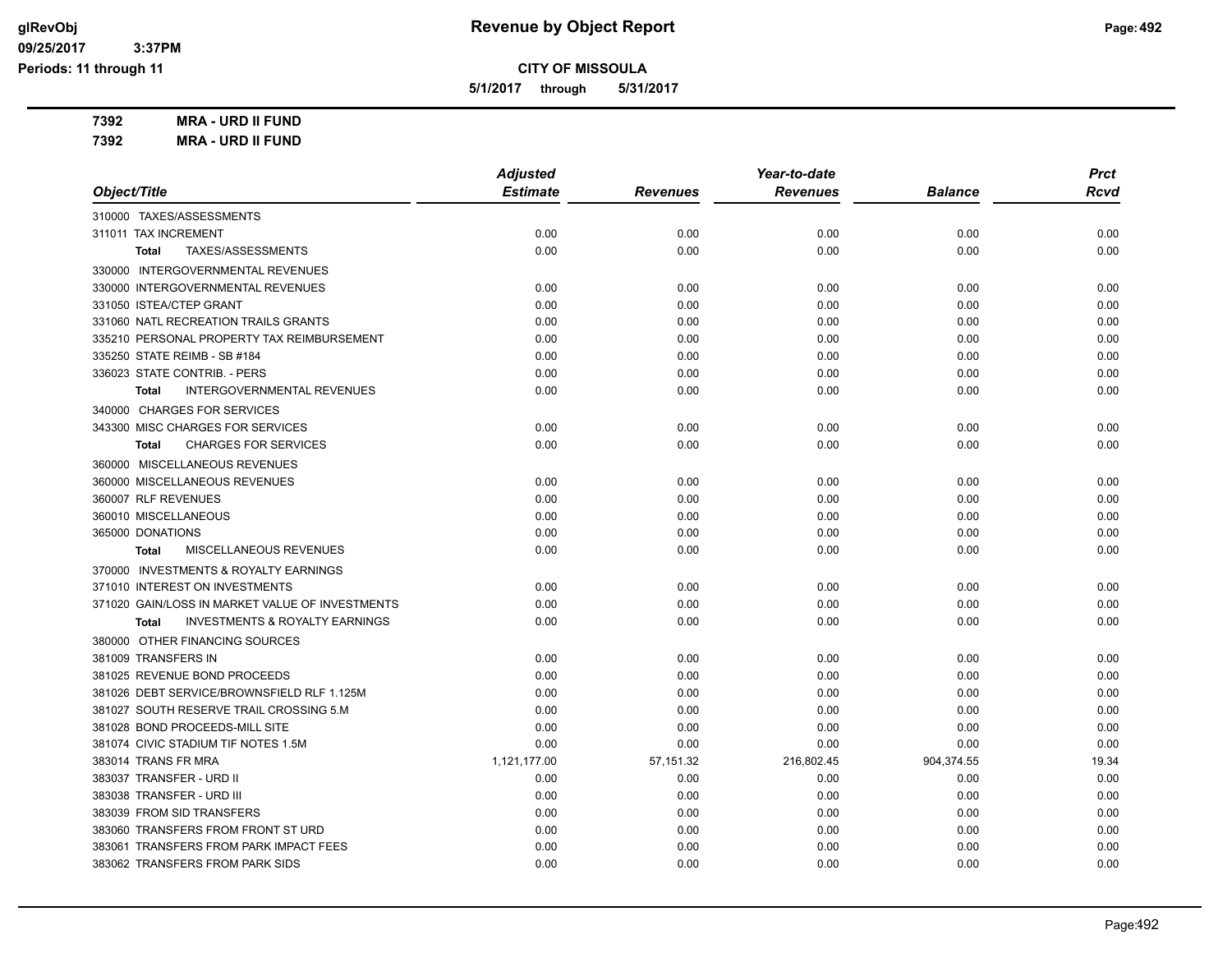**5/1/2017 through 5/31/2017**

**7392 MRA - URD II FUND**

**7392 MRA - URD II FUND**

|                                                           | <b>Adjusted</b> |                 | Year-to-date    |            | <b>Prct</b> |
|-----------------------------------------------------------|-----------------|-----------------|-----------------|------------|-------------|
| Object/Title                                              | <b>Estimate</b> | <b>Revenues</b> | <b>Revenues</b> | Balance    | <b>Rcvd</b> |
| 310000 TAXES/ASSESSMENTS                                  |                 |                 |                 |            |             |
| 311011 TAX INCREMENT                                      | 0.00            | 0.00            | 0.00            | 0.00       | 0.00        |
| TAXES/ASSESSMENTS<br><b>Total</b>                         | 0.00            | 0.00            | 0.00            | 0.00       | 0.00        |
| 330000 INTERGOVERNMENTAL REVENUES                         |                 |                 |                 |            |             |
| 330000 INTERGOVERNMENTAL REVENUES                         | 0.00            | 0.00            | 0.00            | 0.00       | 0.00        |
| 331050 ISTEA/CTEP GRANT                                   | 0.00            | 0.00            | 0.00            | 0.00       | 0.00        |
| 331060 NATL RECREATION TRAILS GRANTS                      | 0.00            | 0.00            | 0.00            | 0.00       | 0.00        |
| 335210 PERSONAL PROPERTY TAX REIMBURSEMENT                | 0.00            | 0.00            | 0.00            | 0.00       | 0.00        |
| 335250 STATE REIMB - SB #184                              | 0.00            | 0.00            | 0.00            | 0.00       | 0.00        |
| 336023 STATE CONTRIB. - PERS                              | 0.00            | 0.00            | 0.00            | 0.00       | 0.00        |
| <b>INTERGOVERNMENTAL REVENUES</b><br><b>Total</b>         | 0.00            | 0.00            | 0.00            | 0.00       | 0.00        |
| 340000 CHARGES FOR SERVICES                               |                 |                 |                 |            |             |
| 343300 MISC CHARGES FOR SERVICES                          | 0.00            | 0.00            | 0.00            | 0.00       | 0.00        |
| <b>CHARGES FOR SERVICES</b><br><b>Total</b>               | 0.00            | 0.00            | 0.00            | 0.00       | 0.00        |
| 360000 MISCELLANEOUS REVENUES                             |                 |                 |                 |            |             |
| 360000 MISCELLANEOUS REVENUES                             | 0.00            | 0.00            | 0.00            | 0.00       | 0.00        |
| 360007 RLF REVENUES                                       | 0.00            | 0.00            | 0.00            | 0.00       | 0.00        |
| 360010 MISCELLANEOUS                                      | 0.00            | 0.00            | 0.00            | 0.00       | 0.00        |
| 365000 DONATIONS                                          | 0.00            | 0.00            | 0.00            | 0.00       | 0.00        |
| MISCELLANEOUS REVENUES<br><b>Total</b>                    | 0.00            | 0.00            | 0.00            | 0.00       | 0.00        |
| 370000 INVESTMENTS & ROYALTY EARNINGS                     |                 |                 |                 |            |             |
| 371010 INTEREST ON INVESTMENTS                            | 0.00            | 0.00            | 0.00            | 0.00       | 0.00        |
| 371020 GAIN/LOSS IN MARKET VALUE OF INVESTMENTS           | 0.00            | 0.00            | 0.00            | 0.00       | 0.00        |
| <b>INVESTMENTS &amp; ROYALTY EARNINGS</b><br><b>Total</b> | 0.00            | 0.00            | 0.00            | 0.00       | 0.00        |
| 380000 OTHER FINANCING SOURCES                            |                 |                 |                 |            |             |
| 381009 TRANSFERS IN                                       | 0.00            | 0.00            | 0.00            | 0.00       | 0.00        |
| 381025 REVENUE BOND PROCEEDS                              | 0.00            | 0.00            | 0.00            | 0.00       | 0.00        |
| 381026 DEBT SERVICE/BROWNSFIELD RLF 1.125M                | 0.00            | 0.00            | 0.00            | 0.00       | 0.00        |
| 381027 SOUTH RESERVE TRAIL CROSSING 5.M                   | 0.00            | 0.00            | 0.00            | 0.00       | 0.00        |
| 381028 BOND PROCEEDS-MILL SITE                            | 0.00            | 0.00            | 0.00            | 0.00       | 0.00        |
| 381074 CIVIC STADIUM TIF NOTES 1.5M                       | 0.00            | 0.00            | 0.00            | 0.00       | 0.00        |
| 383014 TRANS FR MRA                                       | 1,121,177.00    | 57,151.32       | 216,802.45      | 904,374.55 | 19.34       |
| 383037 TRANSFER - URD II                                  | 0.00            | 0.00            | 0.00            | 0.00       | 0.00        |
| 383038 TRANSFER - URD III                                 | 0.00            | 0.00            | 0.00            | 0.00       | 0.00        |
| 383039 FROM SID TRANSFERS                                 | 0.00            | 0.00            | 0.00            | 0.00       | 0.00        |
| 383060 TRANSFERS FROM FRONT ST URD                        | 0.00            | 0.00            | 0.00            | 0.00       | 0.00        |
| 383061 TRANSFERS FROM PARK IMPACT FEES                    | 0.00            | 0.00            | 0.00            | 0.00       | 0.00        |
| 383062 TRANSFERS FROM PARK SIDS                           | 0.00            | 0.00            | 0.00            | 0.00       | 0.00        |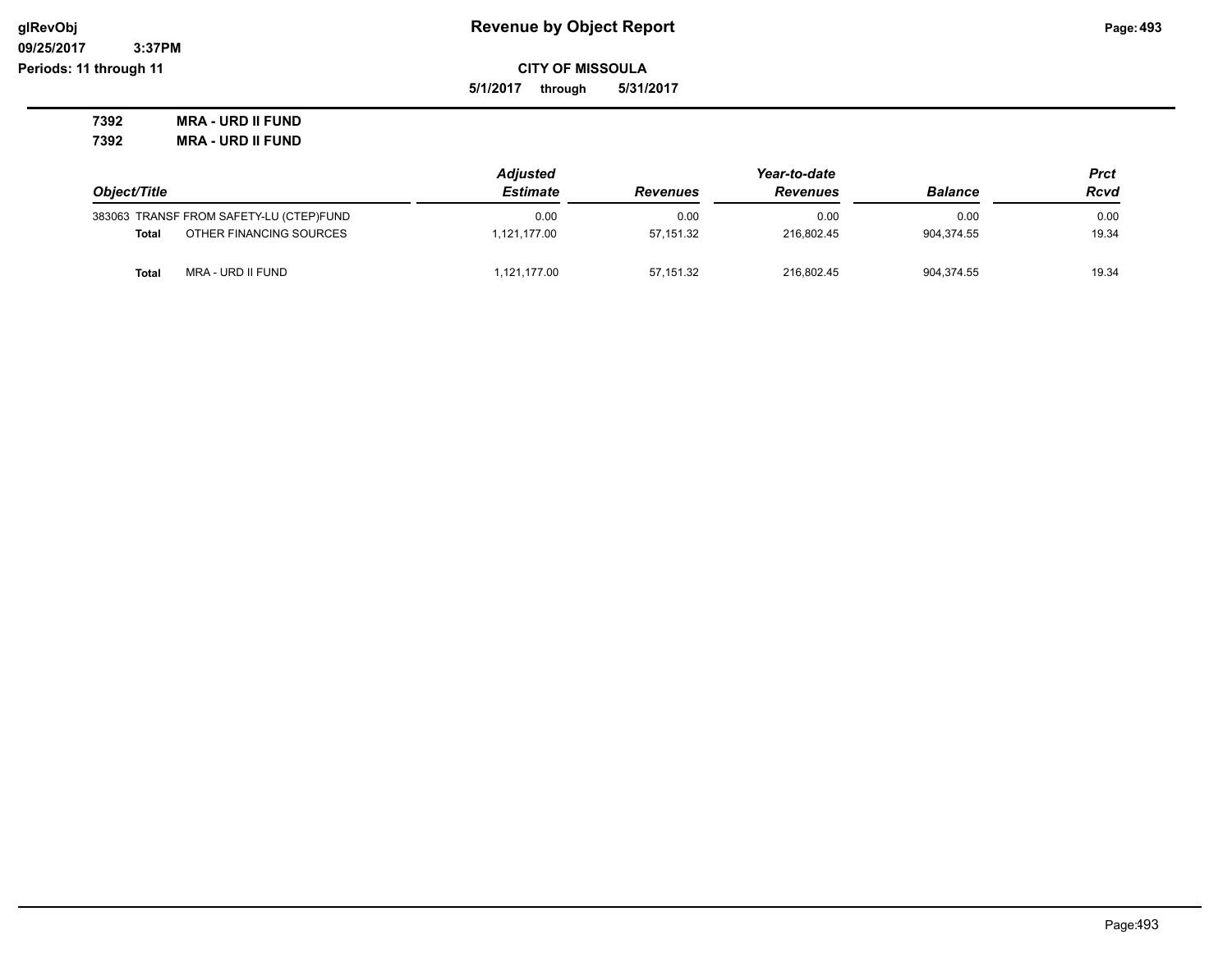**09/25/2017 3:37PM Periods: 11 through 11**

**CITY OF MISSOULA**

**5/1/2017 through 5/31/2017**

**7392 MRA - URD II FUND 7392 MRA - URD II FUND**

|                                         | <b>Adjusted</b> | Year-to-date    |                 |                | <b>Prct</b> |
|-----------------------------------------|-----------------|-----------------|-----------------|----------------|-------------|
| Object/Title                            | <b>Estimate</b> | <b>Revenues</b> | <b>Revenues</b> | <b>Balance</b> | Rcvd        |
| 383063 TRANSF FROM SAFETY-LU (CTEP)FUND | 0.00            | 0.00            | 0.00            | 0.00           | 0.00        |
| OTHER FINANCING SOURCES<br><b>Total</b> | 1,121,177.00    | 57.151.32       | 216.802.45      | 904.374.55     | 19.34       |
| MRA - URD II FUND<br><b>Total</b>       | 1.121.177.00    | 57.151.32       | 216.802.45      | 904.374.55     | 19.34       |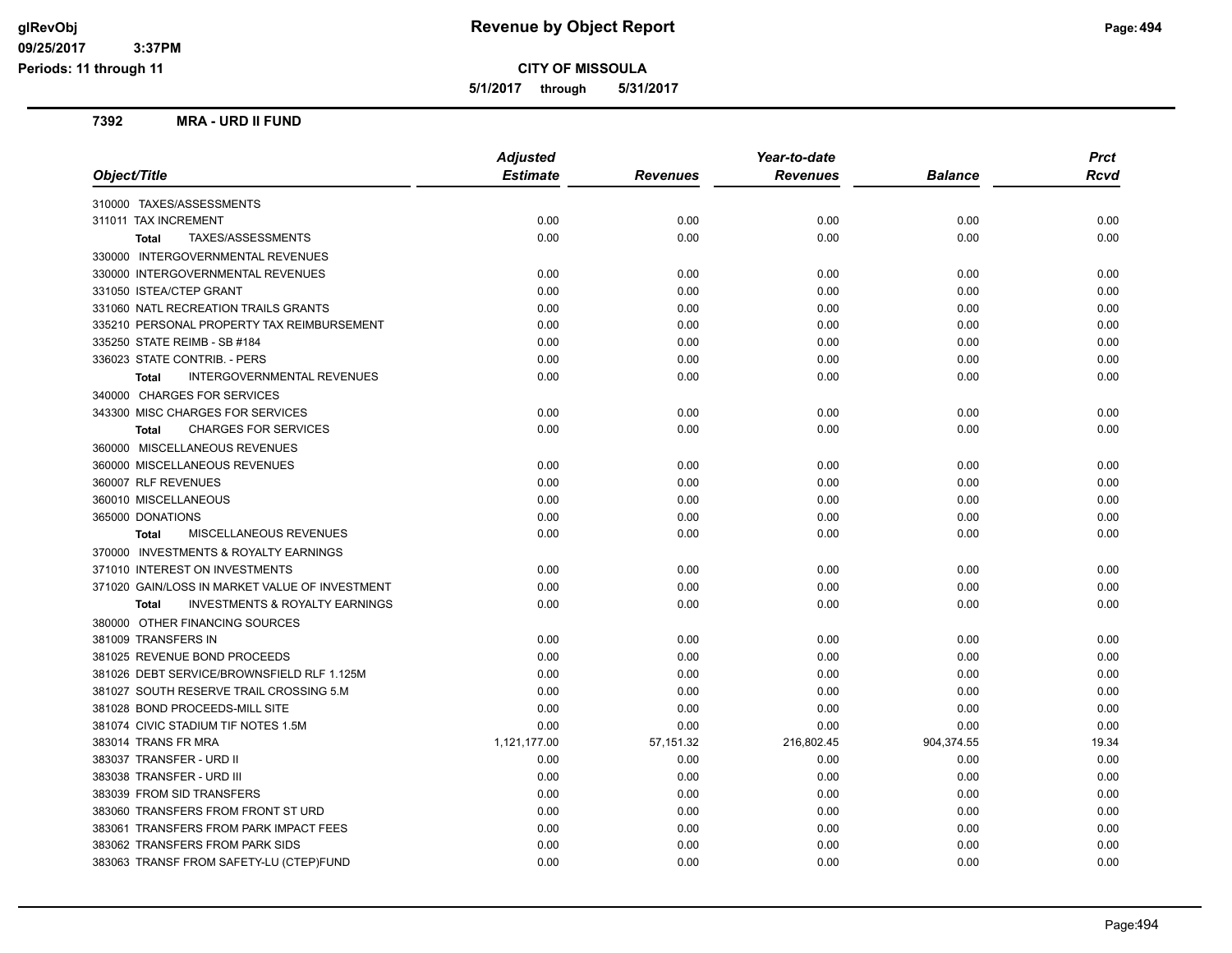**CITY OF MISSOULA**

**5/1/2017 through 5/31/2017**

 **3:37PM**

#### **7392 MRA - URD II FUND**

|                                                           | <b>Adjusted</b> | Year-to-date    |                 |                | <b>Prct</b> |
|-----------------------------------------------------------|-----------------|-----------------|-----------------|----------------|-------------|
| Object/Title                                              | <b>Estimate</b> | <b>Revenues</b> | <b>Revenues</b> | <b>Balance</b> | Rcvd        |
| 310000 TAXES/ASSESSMENTS                                  |                 |                 |                 |                |             |
| 311011 TAX INCREMENT                                      | 0.00            | 0.00            | 0.00            | 0.00           | 0.00        |
| TAXES/ASSESSMENTS<br><b>Total</b>                         | 0.00            | 0.00            | 0.00            | 0.00           | 0.00        |
| 330000 INTERGOVERNMENTAL REVENUES                         |                 |                 |                 |                |             |
| 330000 INTERGOVERNMENTAL REVENUES                         | 0.00            | 0.00            | 0.00            | 0.00           | 0.00        |
| 331050 ISTEA/CTEP GRANT                                   | 0.00            | 0.00            | 0.00            | 0.00           | 0.00        |
| 331060 NATL RECREATION TRAILS GRANTS                      | 0.00            | 0.00            | 0.00            | 0.00           | 0.00        |
| 335210 PERSONAL PROPERTY TAX REIMBURSEMENT                | 0.00            | 0.00            | 0.00            | 0.00           | 0.00        |
| 335250 STATE REIMB - SB #184                              | 0.00            | 0.00            | 0.00            | 0.00           | 0.00        |
| 336023 STATE CONTRIB. - PERS                              | 0.00            | 0.00            | 0.00            | 0.00           | 0.00        |
| INTERGOVERNMENTAL REVENUES<br>Total                       | 0.00            | 0.00            | 0.00            | 0.00           | 0.00        |
| 340000 CHARGES FOR SERVICES                               |                 |                 |                 |                |             |
| 343300 MISC CHARGES FOR SERVICES                          | 0.00            | 0.00            | 0.00            | 0.00           | 0.00        |
| <b>CHARGES FOR SERVICES</b><br><b>Total</b>               | 0.00            | 0.00            | 0.00            | 0.00           | 0.00        |
| 360000 MISCELLANEOUS REVENUES                             |                 |                 |                 |                |             |
| 360000 MISCELLANEOUS REVENUES                             | 0.00            | 0.00            | 0.00            | 0.00           | 0.00        |
| 360007 RLF REVENUES                                       | 0.00            | 0.00            | 0.00            | 0.00           | 0.00        |
| 360010 MISCELLANEOUS                                      | 0.00            | 0.00            | 0.00            | 0.00           | 0.00        |
| 365000 DONATIONS                                          | 0.00            | 0.00            | 0.00            | 0.00           | 0.00        |
| MISCELLANEOUS REVENUES<br><b>Total</b>                    | 0.00            | 0.00            | 0.00            | 0.00           | 0.00        |
| 370000 INVESTMENTS & ROYALTY EARNINGS                     |                 |                 |                 |                |             |
| 371010 INTEREST ON INVESTMENTS                            | 0.00            | 0.00            | 0.00            | 0.00           | 0.00        |
| 371020 GAIN/LOSS IN MARKET VALUE OF INVESTMENT            | 0.00            | 0.00            | 0.00            | 0.00           | 0.00        |
| <b>INVESTMENTS &amp; ROYALTY EARNINGS</b><br><b>Total</b> | 0.00            | 0.00            | 0.00            | 0.00           | 0.00        |
| 380000 OTHER FINANCING SOURCES                            |                 |                 |                 |                |             |
| 381009 TRANSFERS IN                                       | 0.00            | 0.00            | 0.00            | 0.00           | 0.00        |
| 381025 REVENUE BOND PROCEEDS                              | 0.00            | 0.00            | 0.00            | 0.00           | 0.00        |
| 381026 DEBT SERVICE/BROWNSFIELD RLF 1.125M                | 0.00            | 0.00            | 0.00            | 0.00           | 0.00        |
| 381027 SOUTH RESERVE TRAIL CROSSING 5.M                   | 0.00            | 0.00            | 0.00            | 0.00           | 0.00        |
| 381028 BOND PROCEEDS-MILL SITE                            | 0.00            | 0.00            | 0.00            | 0.00           | 0.00        |
| 381074 CIVIC STADIUM TIF NOTES 1.5M                       | 0.00            | 0.00            | 0.00            | 0.00           | 0.00        |
| 383014 TRANS FR MRA                                       | 1,121,177.00    | 57,151.32       | 216,802.45      | 904,374.55     | 19.34       |
| 383037 TRANSFER - URD II                                  | 0.00            | 0.00            | 0.00            | 0.00           | 0.00        |
| 383038 TRANSFER - URD III                                 | 0.00            | 0.00            | 0.00            | 0.00           | 0.00        |
| 383039 FROM SID TRANSFERS                                 | 0.00            | 0.00            | 0.00            | 0.00           | 0.00        |
| 383060 TRANSFERS FROM FRONT ST URD                        | 0.00            | 0.00            | 0.00            | 0.00           | 0.00        |
| 383061 TRANSFERS FROM PARK IMPACT FEES                    | 0.00            | 0.00            | 0.00            | 0.00           | 0.00        |
| 383062 TRANSFERS FROM PARK SIDS                           | 0.00            | 0.00            | 0.00            | 0.00           | 0.00        |
| 383063 TRANSF FROM SAFETY-LU (CTEP)FUND                   | 0.00            | 0.00            | 0.00            | 0.00           | 0.00        |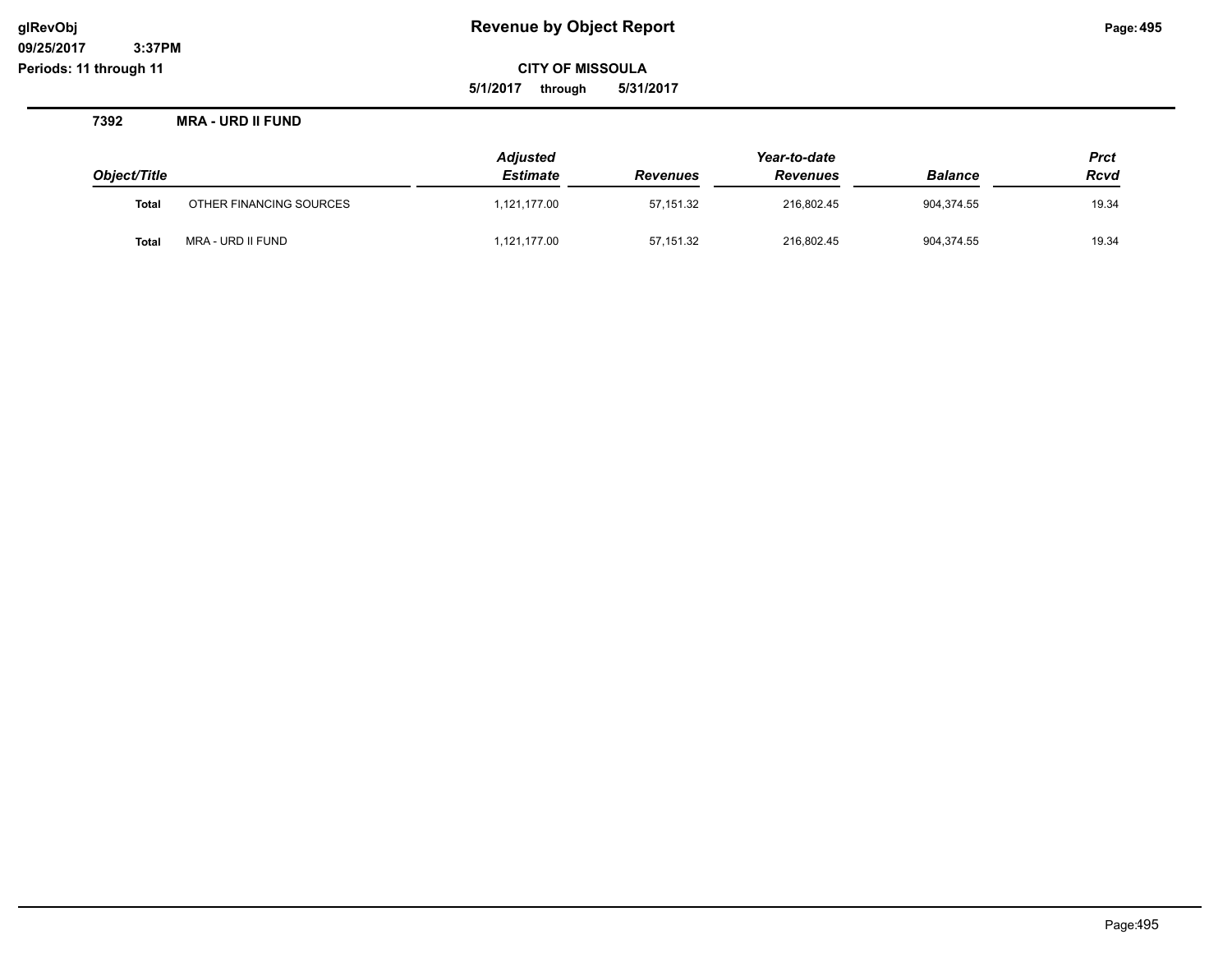**09/25/2017 3:37PM Periods: 11 through 11**

**CITY OF MISSOULA**

**5/1/2017 through 5/31/2017**

**7392 MRA - URD II FUND**

|              |                         | <b>Adjusted</b> | Year-to-date    |                 |                | <b>Prct</b> |
|--------------|-------------------------|-----------------|-----------------|-----------------|----------------|-------------|
| Object/Title |                         | <b>Estimate</b> | <b>Revenues</b> | <b>Revenues</b> | <b>Balance</b> | Rcvd        |
| <b>Total</b> | OTHER FINANCING SOURCES | 1,121,177.00    | 57.151.32       | 216,802.45      | 904,374.55     | 19.34       |
| Total        | MRA - URD II FUND       | 1,121,177.00    | 57,151.32       | 216,802.45      | 904,374.55     | 19.34       |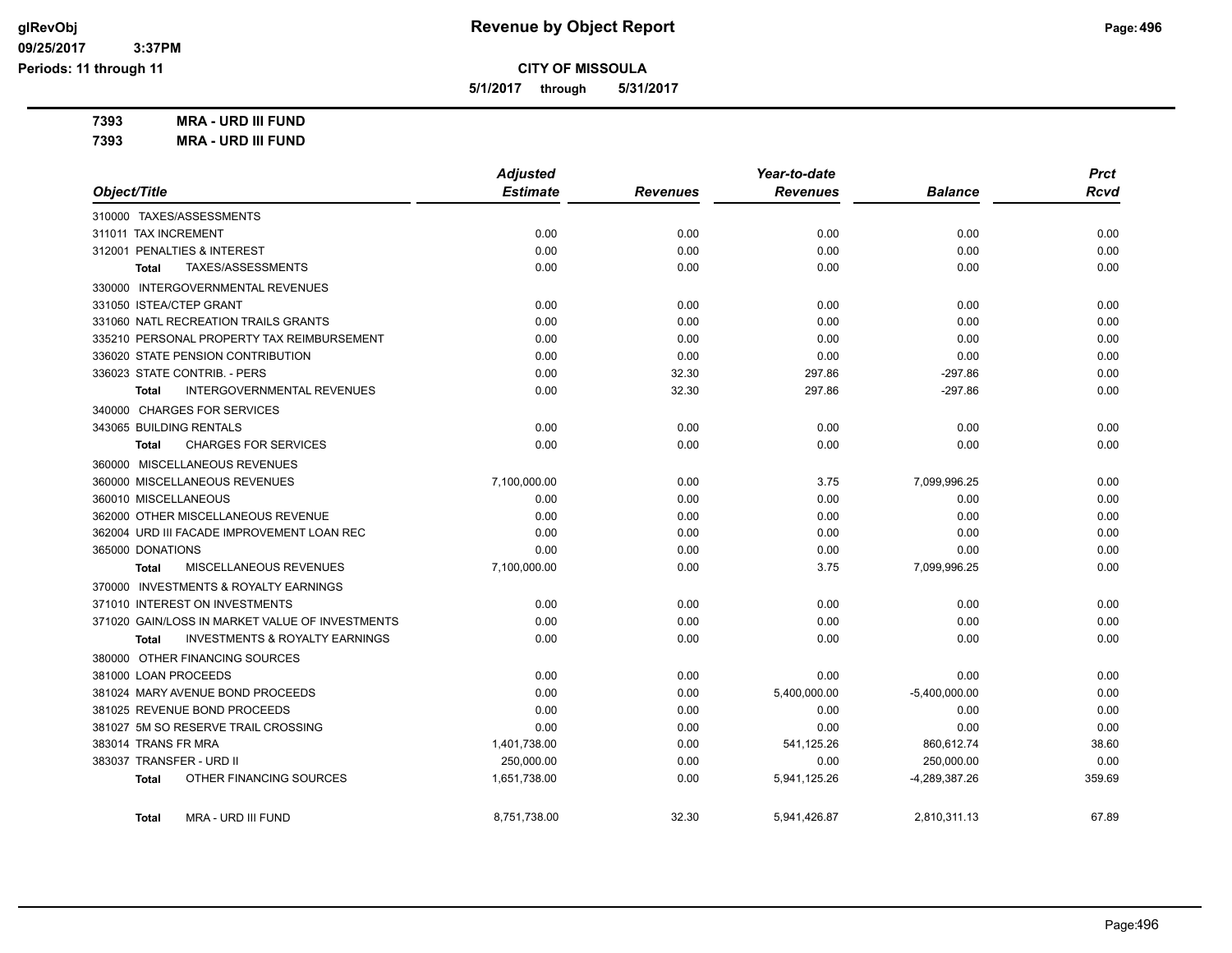**5/1/2017 through 5/31/2017**

**7393 MRA - URD III FUND**

**7393 MRA - URD III FUND**

|                                                           | <b>Adjusted</b> |                 | Year-to-date    |                 | <b>Prct</b> |
|-----------------------------------------------------------|-----------------|-----------------|-----------------|-----------------|-------------|
| Object/Title                                              | <b>Estimate</b> | <b>Revenues</b> | <b>Revenues</b> | <b>Balance</b>  | <b>Rcvd</b> |
| 310000 TAXES/ASSESSMENTS                                  |                 |                 |                 |                 |             |
| 311011 TAX INCREMENT                                      | 0.00            | 0.00            | 0.00            | 0.00            | 0.00        |
| 312001 PENALTIES & INTEREST                               | 0.00            | 0.00            | 0.00            | 0.00            | 0.00        |
| TAXES/ASSESSMENTS<br><b>Total</b>                         | 0.00            | 0.00            | 0.00            | 0.00            | 0.00        |
| 330000 INTERGOVERNMENTAL REVENUES                         |                 |                 |                 |                 |             |
| 331050 ISTEA/CTEP GRANT                                   | 0.00            | 0.00            | 0.00            | 0.00            | 0.00        |
| 331060 NATL RECREATION TRAILS GRANTS                      | 0.00            | 0.00            | 0.00            | 0.00            | 0.00        |
| 335210 PERSONAL PROPERTY TAX REIMBURSEMENT                | 0.00            | 0.00            | 0.00            | 0.00            | 0.00        |
| 336020 STATE PENSION CONTRIBUTION                         | 0.00            | 0.00            | 0.00            | 0.00            | 0.00        |
| 336023 STATE CONTRIB. - PERS                              | 0.00            | 32.30           | 297.86          | $-297.86$       | 0.00        |
| INTERGOVERNMENTAL REVENUES<br><b>Total</b>                | 0.00            | 32.30           | 297.86          | $-297.86$       | 0.00        |
| 340000 CHARGES FOR SERVICES                               |                 |                 |                 |                 |             |
| 343065 BUILDING RENTALS                                   | 0.00            | 0.00            | 0.00            | 0.00            | 0.00        |
| <b>CHARGES FOR SERVICES</b><br><b>Total</b>               | 0.00            | 0.00            | 0.00            | 0.00            | 0.00        |
| 360000 MISCELLANEOUS REVENUES                             |                 |                 |                 |                 |             |
| 360000 MISCELLANEOUS REVENUES                             | 7,100,000.00    | 0.00            | 3.75            | 7,099,996.25    | 0.00        |
| 360010 MISCELLANEOUS                                      | 0.00            | 0.00            | 0.00            | 0.00            | 0.00        |
| 362000 OTHER MISCELLANEOUS REVENUE                        | 0.00            | 0.00            | 0.00            | 0.00            | 0.00        |
| 362004 URD III FACADE IMPROVEMENT LOAN REC                | 0.00            | 0.00            | 0.00            | 0.00            | 0.00        |
| 365000 DONATIONS                                          | 0.00            | 0.00            | 0.00            | 0.00            | 0.00        |
| MISCELLANEOUS REVENUES<br><b>Total</b>                    | 7,100,000.00    | 0.00            | 3.75            | 7,099,996.25    | 0.00        |
| 370000 INVESTMENTS & ROYALTY EARNINGS                     |                 |                 |                 |                 |             |
| 371010 INTEREST ON INVESTMENTS                            | 0.00            | 0.00            | 0.00            | 0.00            | 0.00        |
| 371020 GAIN/LOSS IN MARKET VALUE OF INVESTMENTS           | 0.00            | 0.00            | 0.00            | 0.00            | 0.00        |
| <b>INVESTMENTS &amp; ROYALTY EARNINGS</b><br><b>Total</b> | 0.00            | 0.00            | 0.00            | 0.00            | 0.00        |
| 380000 OTHER FINANCING SOURCES                            |                 |                 |                 |                 |             |
| 381000 LOAN PROCEEDS                                      | 0.00            | 0.00            | 0.00            | 0.00            | 0.00        |
| 381024 MARY AVENUE BOND PROCEEDS                          | 0.00            | 0.00            | 5,400,000.00    | $-5,400,000.00$ | 0.00        |
| 381025 REVENUE BOND PROCEEDS                              | 0.00            | 0.00            | 0.00            | 0.00            | 0.00        |
| 381027 5M SO RESERVE TRAIL CROSSING                       | 0.00            | 0.00            | 0.00            | 0.00            | 0.00        |
| 383014 TRANS FR MRA                                       | 1,401,738.00    | 0.00            | 541,125.26      | 860,612.74      | 38.60       |
| 383037 TRANSFER - URD II                                  | 250,000.00      | 0.00            | 0.00            | 250,000.00      | 0.00        |
| OTHER FINANCING SOURCES<br><b>Total</b>                   | 1,651,738.00    | 0.00            | 5,941,125.26    | -4,289,387.26   | 359.69      |
| MRA - URD III FUND<br>Total                               | 8,751,738.00    | 32.30           | 5,941,426.87    | 2,810,311.13    | 67.89       |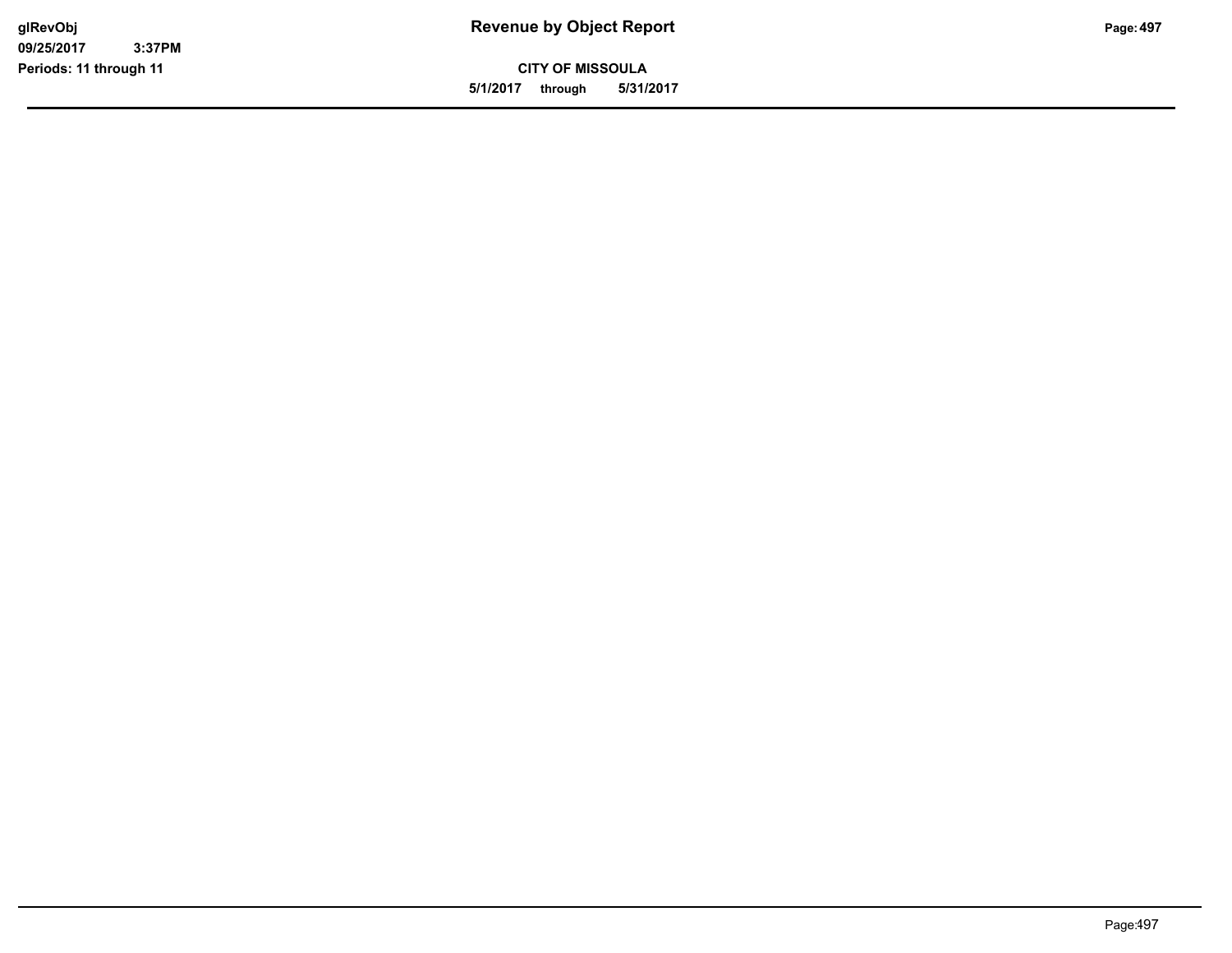**CITY OF MISSOULA 5/1/2017 through 5/31/2017**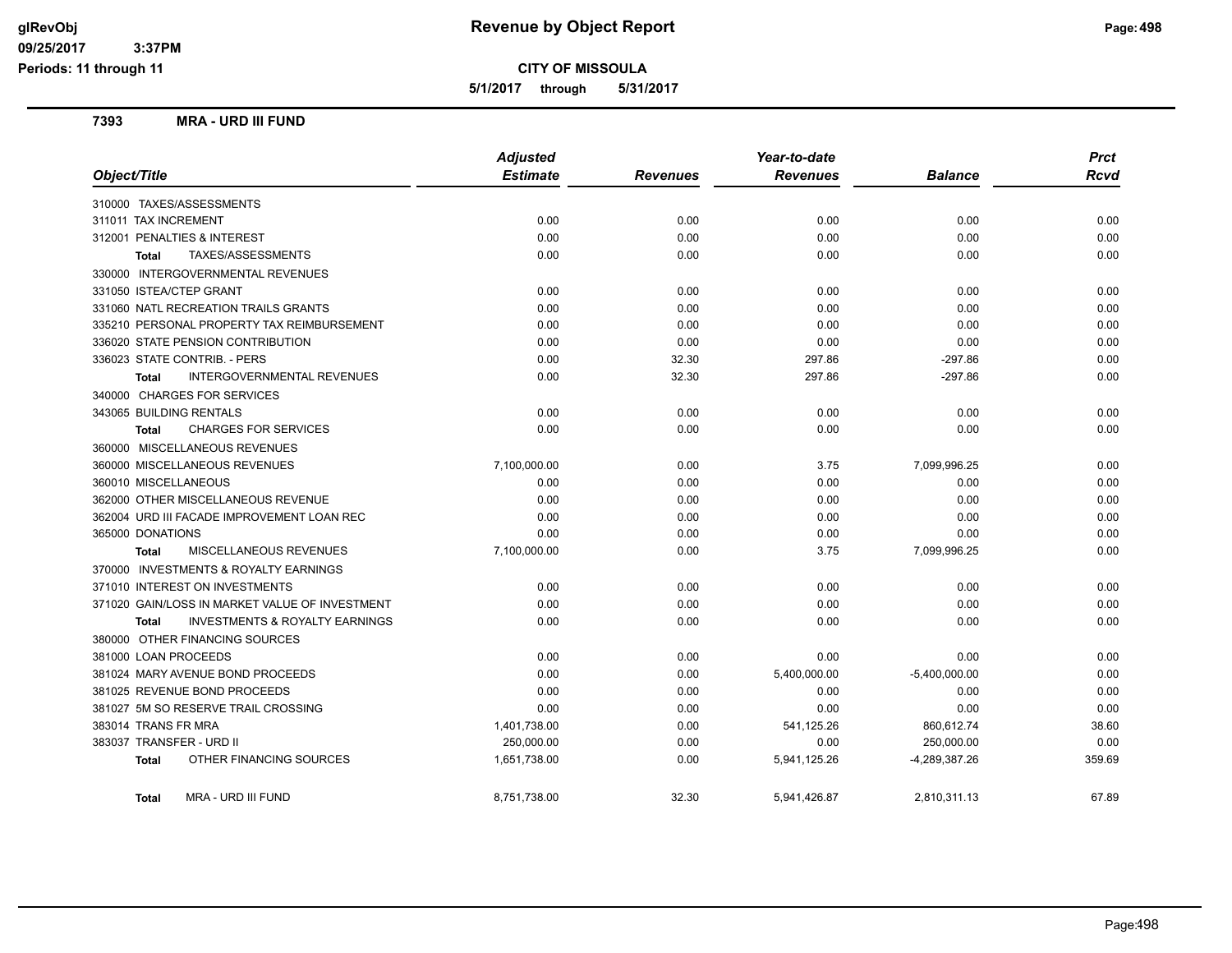**CITY OF MISSOULA**

**5/1/2017 through 5/31/2017**

#### **7393 MRA - URD III FUND**

 **3:37PM**

|                                                    | <b>Adjusted</b> |                 | Year-to-date    |                 | <b>Prct</b> |
|----------------------------------------------------|-----------------|-----------------|-----------------|-----------------|-------------|
| Object/Title                                       | <b>Estimate</b> | <b>Revenues</b> | <b>Revenues</b> | <b>Balance</b>  | <b>Rcvd</b> |
| 310000 TAXES/ASSESSMENTS                           |                 |                 |                 |                 |             |
| 311011 TAX INCREMENT                               | 0.00            | 0.00            | 0.00            | 0.00            | 0.00        |
| 312001 PENALTIES & INTEREST                        | 0.00            | 0.00            | 0.00            | 0.00            | 0.00        |
| TAXES/ASSESSMENTS<br><b>Total</b>                  | 0.00            | 0.00            | 0.00            | 0.00            | 0.00        |
| 330000 INTERGOVERNMENTAL REVENUES                  |                 |                 |                 |                 |             |
| 331050 ISTEA/CTEP GRANT                            | 0.00            | 0.00            | 0.00            | 0.00            | 0.00        |
| 331060 NATL RECREATION TRAILS GRANTS               | 0.00            | 0.00            | 0.00            | 0.00            | 0.00        |
| 335210 PERSONAL PROPERTY TAX REIMBURSEMENT         | 0.00            | 0.00            | 0.00            | 0.00            | 0.00        |
| 336020 STATE PENSION CONTRIBUTION                  | 0.00            | 0.00            | 0.00            | 0.00            | 0.00        |
| 336023 STATE CONTRIB. - PERS                       | 0.00            | 32.30           | 297.86          | $-297.86$       | 0.00        |
| <b>INTERGOVERNMENTAL REVENUES</b><br><b>Total</b>  | 0.00            | 32.30           | 297.86          | $-297.86$       | 0.00        |
| 340000 CHARGES FOR SERVICES                        |                 |                 |                 |                 |             |
| 343065 BUILDING RENTALS                            | 0.00            | 0.00            | 0.00            | 0.00            | 0.00        |
| <b>CHARGES FOR SERVICES</b><br><b>Total</b>        | 0.00            | 0.00            | 0.00            | 0.00            | 0.00        |
| 360000 MISCELLANEOUS REVENUES                      |                 |                 |                 |                 |             |
| 360000 MISCELLANEOUS REVENUES                      | 7,100,000.00    | 0.00            | 3.75            | 7,099,996.25    | 0.00        |
| 360010 MISCELLANEOUS                               | 0.00            | 0.00            | 0.00            | 0.00            | 0.00        |
| 362000 OTHER MISCELLANEOUS REVENUE                 | 0.00            | 0.00            | 0.00            | 0.00            | 0.00        |
| 362004 URD III FACADE IMPROVEMENT LOAN REC         | 0.00            | 0.00            | 0.00            | 0.00            | 0.00        |
| 365000 DONATIONS                                   | 0.00            | 0.00            | 0.00            | 0.00            | 0.00        |
| MISCELLANEOUS REVENUES<br><b>Total</b>             | 7,100,000.00    | 0.00            | 3.75            | 7,099,996.25    | 0.00        |
| 370000 INVESTMENTS & ROYALTY EARNINGS              |                 |                 |                 |                 |             |
| 371010 INTEREST ON INVESTMENTS                     | 0.00            | 0.00            | 0.00            | 0.00            | 0.00        |
| 371020 GAIN/LOSS IN MARKET VALUE OF INVESTMENT     | 0.00            | 0.00            | 0.00            | 0.00            | 0.00        |
| <b>INVESTMENTS &amp; ROYALTY EARNINGS</b><br>Total | 0.00            | 0.00            | 0.00            | 0.00            | 0.00        |
| 380000 OTHER FINANCING SOURCES                     |                 |                 |                 |                 |             |
| 381000 LOAN PROCEEDS                               | 0.00            | 0.00            | 0.00            | 0.00            | 0.00        |
| 381024 MARY AVENUE BOND PROCEEDS                   | 0.00            | 0.00            | 5,400,000.00    | $-5,400,000.00$ | 0.00        |
| 381025 REVENUE BOND PROCEEDS                       | 0.00            | 0.00            | 0.00            | 0.00            | 0.00        |
| 381027 5M SO RESERVE TRAIL CROSSING                | 0.00            | 0.00            | 0.00            | 0.00            | 0.00        |
| 383014 TRANS FR MRA                                | 1,401,738.00    | 0.00            | 541,125.26      | 860,612.74      | 38.60       |
| 383037 TRANSFER - URD II                           | 250,000.00      | 0.00            | 0.00            | 250,000.00      | 0.00        |
| OTHER FINANCING SOURCES<br><b>Total</b>            | 1,651,738.00    | 0.00            | 5,941,125.26    | -4,289,387.26   | 359.69      |
| <b>MRA - URD III FUND</b><br><b>Total</b>          | 8,751,738.00    | 32.30           | 5,941,426.87    | 2,810,311.13    | 67.89       |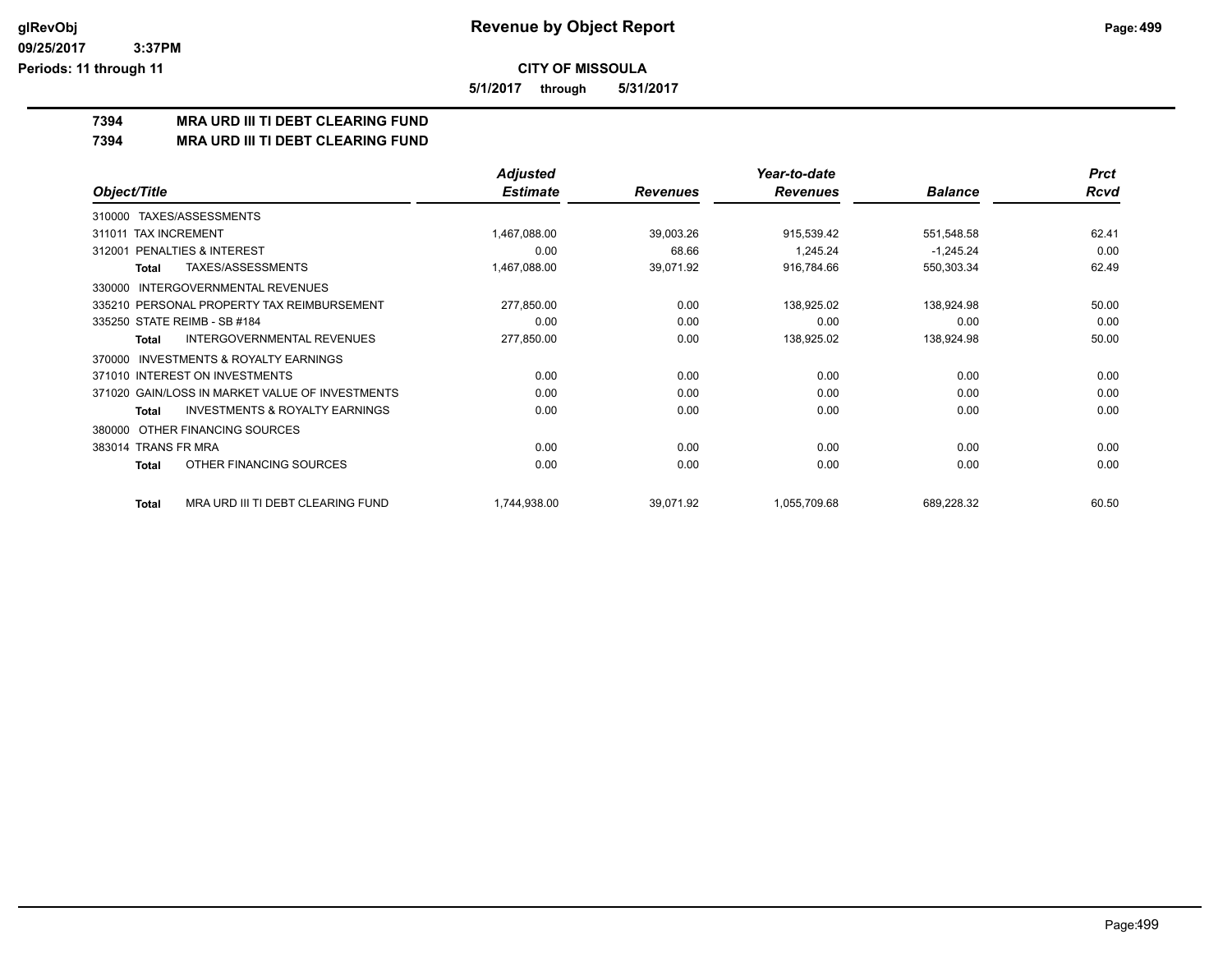**5/1/2017 through 5/31/2017**

#### **7394 MRA URD III TI DEBT CLEARING FUND**

**7394 MRA URD III TI DEBT CLEARING FUND**

|                                                           | <b>Adjusted</b> |                 | Year-to-date    |                | <b>Prct</b> |
|-----------------------------------------------------------|-----------------|-----------------|-----------------|----------------|-------------|
| Object/Title                                              | <b>Estimate</b> | <b>Revenues</b> | <b>Revenues</b> | <b>Balance</b> | <b>Rcvd</b> |
| TAXES/ASSESSMENTS<br>310000                               |                 |                 |                 |                |             |
| <b>TAX INCREMENT</b><br>311011                            | 1,467,088.00    | 39,003.26       | 915,539.42      | 551,548.58     | 62.41       |
| PENALTIES & INTEREST<br>312001                            | 0.00            | 68.66           | 1.245.24        | $-1,245.24$    | 0.00        |
| TAXES/ASSESSMENTS<br><b>Total</b>                         | 1,467,088.00    | 39,071.92       | 916,784.66      | 550,303.34     | 62.49       |
| <b>INTERGOVERNMENTAL REVENUES</b><br>330000               |                 |                 |                 |                |             |
| 335210 PERSONAL PROPERTY TAX REIMBURSEMENT                | 277,850.00      | 0.00            | 138,925.02      | 138,924.98     | 50.00       |
| 335250 STATE REIMB - SB #184                              | 0.00            | 0.00            | 0.00            | 0.00           | 0.00        |
| INTERGOVERNMENTAL REVENUES<br>Total                       | 277,850.00      | 0.00            | 138,925.02      | 138,924.98     | 50.00       |
| <b>INVESTMENTS &amp; ROYALTY EARNINGS</b><br>370000       |                 |                 |                 |                |             |
| 371010 INTEREST ON INVESTMENTS                            | 0.00            | 0.00            | 0.00            | 0.00           | 0.00        |
| 371020 GAIN/LOSS IN MARKET VALUE OF INVESTMENTS           | 0.00            | 0.00            | 0.00            | 0.00           | 0.00        |
| <b>INVESTMENTS &amp; ROYALTY EARNINGS</b><br><b>Total</b> | 0.00            | 0.00            | 0.00            | 0.00           | 0.00        |
| OTHER FINANCING SOURCES<br>380000                         |                 |                 |                 |                |             |
| 383014 TRANS FR MRA                                       | 0.00            | 0.00            | 0.00            | 0.00           | 0.00        |
| OTHER FINANCING SOURCES<br>Total                          | 0.00            | 0.00            | 0.00            | 0.00           | 0.00        |
| MRA URD III TI DEBT CLEARING FUND<br><b>Total</b>         | 1,744,938.00    | 39,071.92       | 1,055,709.68    | 689,228.32     | 60.50       |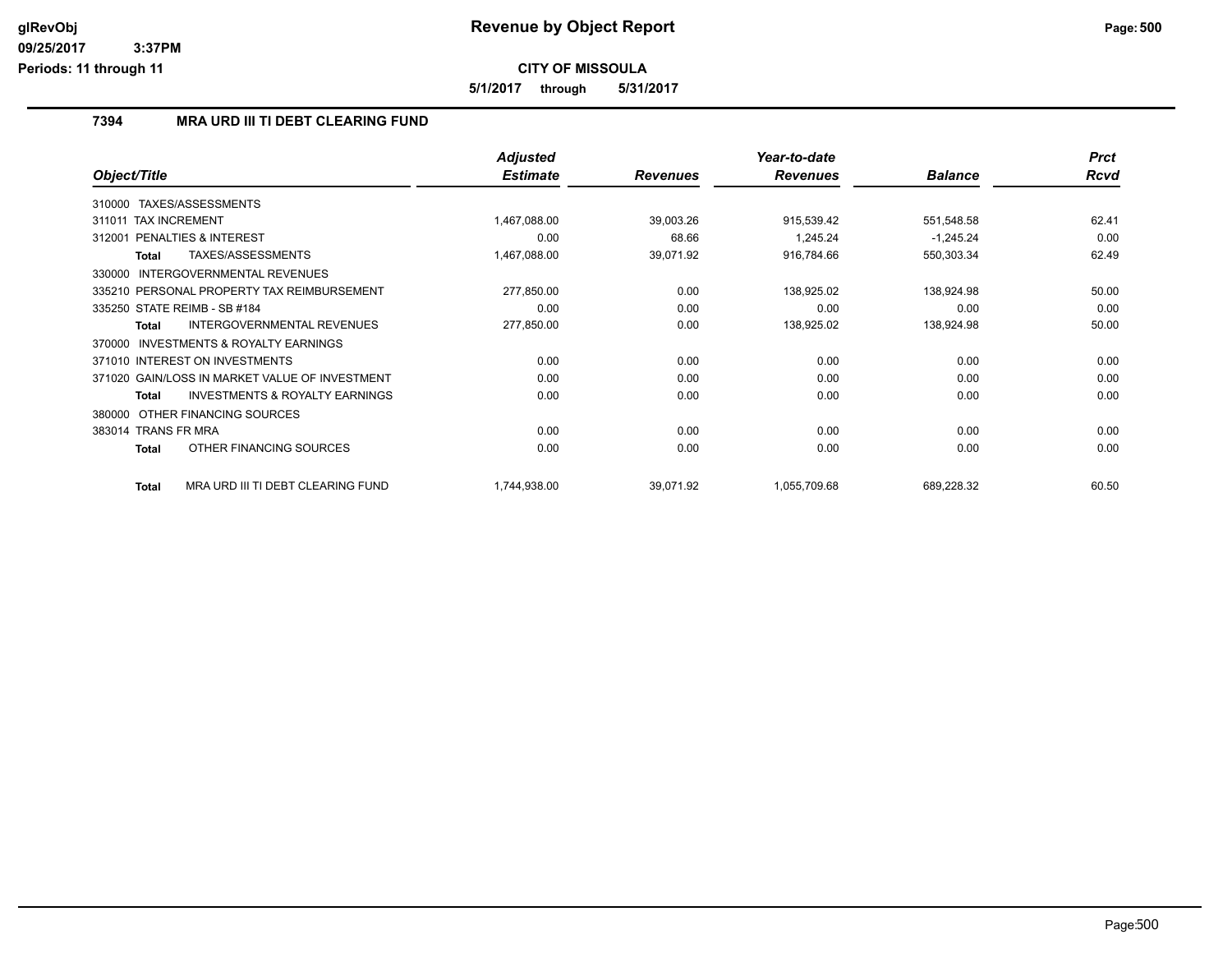**5/1/2017 through 5/31/2017**

#### **7394 MRA URD III TI DEBT CLEARING FUND**

|                                                    | <b>Adjusted</b> |                 | Year-to-date    |                | <b>Prct</b> |
|----------------------------------------------------|-----------------|-----------------|-----------------|----------------|-------------|
| Object/Title                                       | <b>Estimate</b> | <b>Revenues</b> | <b>Revenues</b> | <b>Balance</b> | <b>Rcvd</b> |
| TAXES/ASSESSMENTS<br>310000                        |                 |                 |                 |                |             |
| 311011 TAX INCREMENT                               | 1,467,088.00    | 39,003.26       | 915,539.42      | 551,548.58     | 62.41       |
| 312001 PENALTIES & INTEREST                        | 0.00            | 68.66           | 1,245.24        | $-1,245.24$    | 0.00        |
| TAXES/ASSESSMENTS<br>Total                         | 1,467,088.00    | 39,071.92       | 916,784.66      | 550,303.34     | 62.49       |
| INTERGOVERNMENTAL REVENUES<br>330000               |                 |                 |                 |                |             |
| 335210 PERSONAL PROPERTY TAX REIMBURSEMENT         | 277,850.00      | 0.00            | 138,925.02      | 138,924.98     | 50.00       |
| 335250 STATE REIMB - SB #184                       | 0.00            | 0.00            | 0.00            | 0.00           | 0.00        |
| <b>INTERGOVERNMENTAL REVENUES</b><br>Total         | 277,850.00      | 0.00            | 138,925.02      | 138,924.98     | 50.00       |
| INVESTMENTS & ROYALTY EARNINGS<br>370000           |                 |                 |                 |                |             |
| 371010 INTEREST ON INVESTMENTS                     | 0.00            | 0.00            | 0.00            | 0.00           | 0.00        |
| 371020 GAIN/LOSS IN MARKET VALUE OF INVESTMENT     | 0.00            | 0.00            | 0.00            | 0.00           | 0.00        |
| <b>INVESTMENTS &amp; ROYALTY EARNINGS</b><br>Total | 0.00            | 0.00            | 0.00            | 0.00           | 0.00        |
| 380000 OTHER FINANCING SOURCES                     |                 |                 |                 |                |             |
| 383014 TRANS FR MRA                                | 0.00            | 0.00            | 0.00            | 0.00           | 0.00        |
| OTHER FINANCING SOURCES<br>Total                   | 0.00            | 0.00            | 0.00            | 0.00           | 0.00        |
| MRA URD III TI DEBT CLEARING FUND<br>Total         | 1,744,938.00    | 39,071.92       | 1,055,709.68    | 689,228.32     | 60.50       |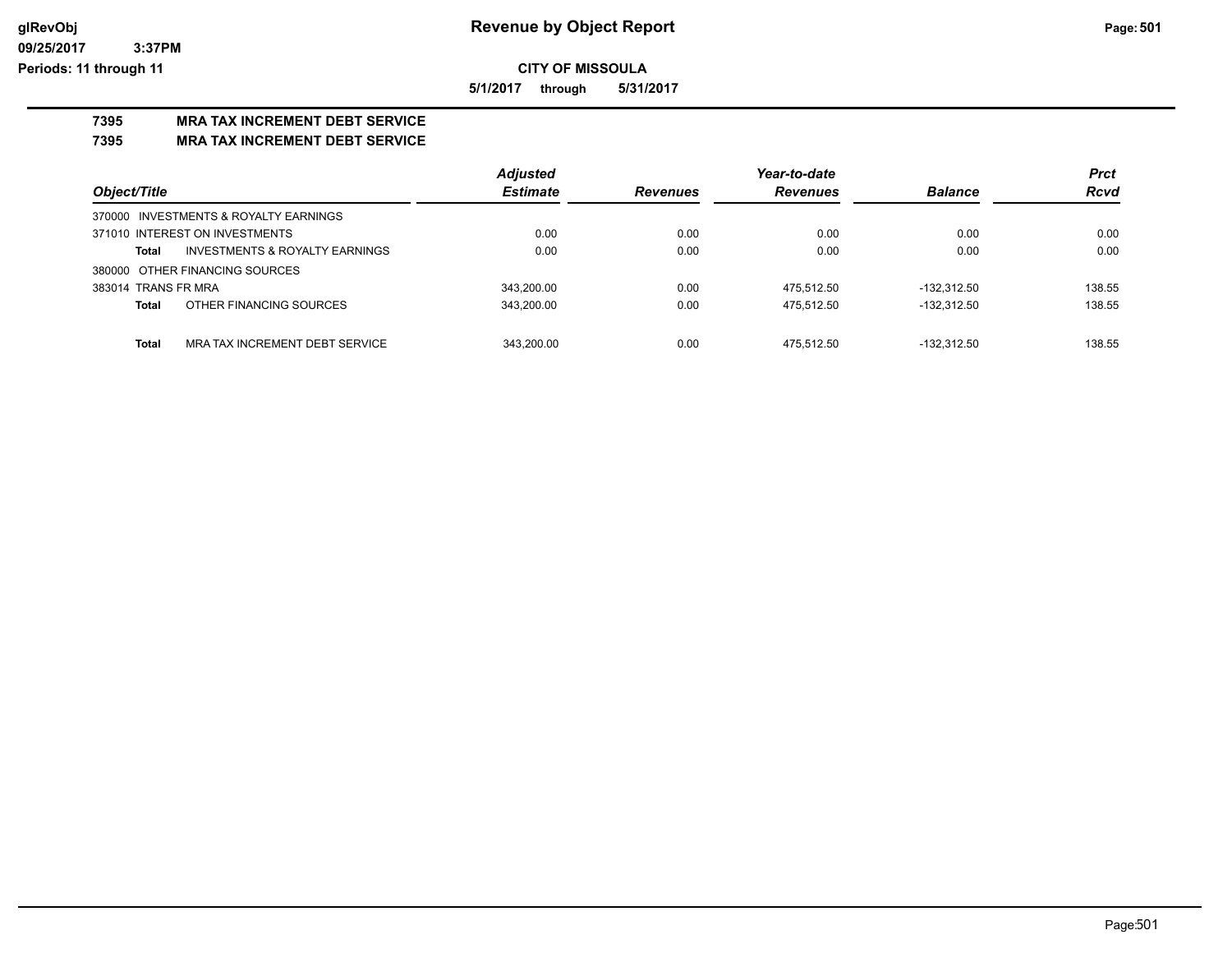**5/1/2017 through 5/31/2017**

# **7395 MRA TAX INCREMENT DEBT SERVICE**

### **7395 MRA TAX INCREMENT DEBT SERVICE**

|                                                    | <b>Adjusted</b> |                 | Year-to-date    |                | <b>Prct</b> |
|----------------------------------------------------|-----------------|-----------------|-----------------|----------------|-------------|
| Object/Title                                       | <b>Estimate</b> | <b>Revenues</b> | <b>Revenues</b> | <b>Balance</b> | <b>Rcvd</b> |
| 370000 INVESTMENTS & ROYALTY EARNINGS              |                 |                 |                 |                |             |
| 371010 INTEREST ON INVESTMENTS                     | 0.00            | 0.00            | 0.00            | 0.00           | 0.00        |
| <b>INVESTMENTS &amp; ROYALTY EARNINGS</b><br>Total | 0.00            | 0.00            | 0.00            | 0.00           | 0.00        |
| 380000 OTHER FINANCING SOURCES                     |                 |                 |                 |                |             |
| 383014 TRANS FR MRA                                | 343.200.00      | 0.00            | 475.512.50      | -132.312.50    | 138.55      |
| OTHER FINANCING SOURCES<br>Total                   | 343,200.00      | 0.00            | 475.512.50      | $-132.312.50$  | 138.55      |
|                                                    |                 |                 |                 |                |             |
| MRA TAX INCREMENT DEBT SERVICE<br><b>Total</b>     | 343.200.00      | 0.00            | 475.512.50      | $-132.312.50$  | 138.55      |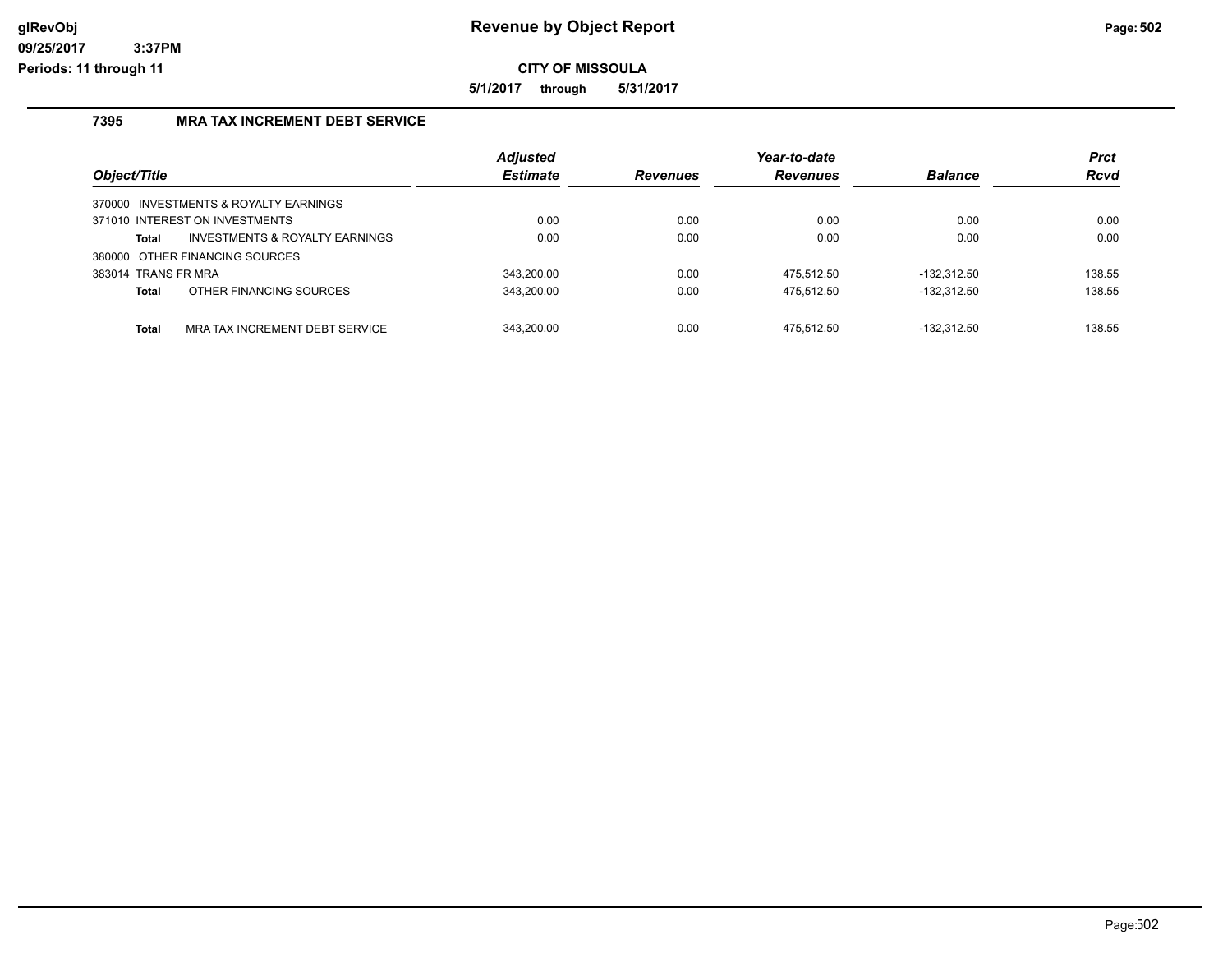**5/1/2017 through 5/31/2017**

#### **7395 MRA TAX INCREMENT DEBT SERVICE**

|                     |                                           | <b>Adjusted</b> |                 | Year-to-date    |                | <b>Prct</b> |
|---------------------|-------------------------------------------|-----------------|-----------------|-----------------|----------------|-------------|
| Object/Title        |                                           | <b>Estimate</b> | <b>Revenues</b> | <b>Revenues</b> | <b>Balance</b> | <b>Rcvd</b> |
|                     | 370000 INVESTMENTS & ROYALTY EARNINGS     |                 |                 |                 |                |             |
|                     | 371010 INTEREST ON INVESTMENTS            | 0.00            | 0.00            | 0.00            | 0.00           | 0.00        |
| <b>Total</b>        | <b>INVESTMENTS &amp; ROYALTY EARNINGS</b> | 0.00            | 0.00            | 0.00            | 0.00           | 0.00        |
|                     | 380000 OTHER FINANCING SOURCES            |                 |                 |                 |                |             |
| 383014 TRANS FR MRA |                                           | 343.200.00      | 0.00            | 475.512.50      | $-132.312.50$  | 138.55      |
| <b>Total</b>        | OTHER FINANCING SOURCES                   | 343,200.00      | 0.00            | 475.512.50      | $-132.312.50$  | 138.55      |
| <b>Total</b>        | MRA TAX INCREMENT DEBT SERVICE            | 343.200.00      | 0.00            | 475.512.50      | $-132.312.50$  | 138.55      |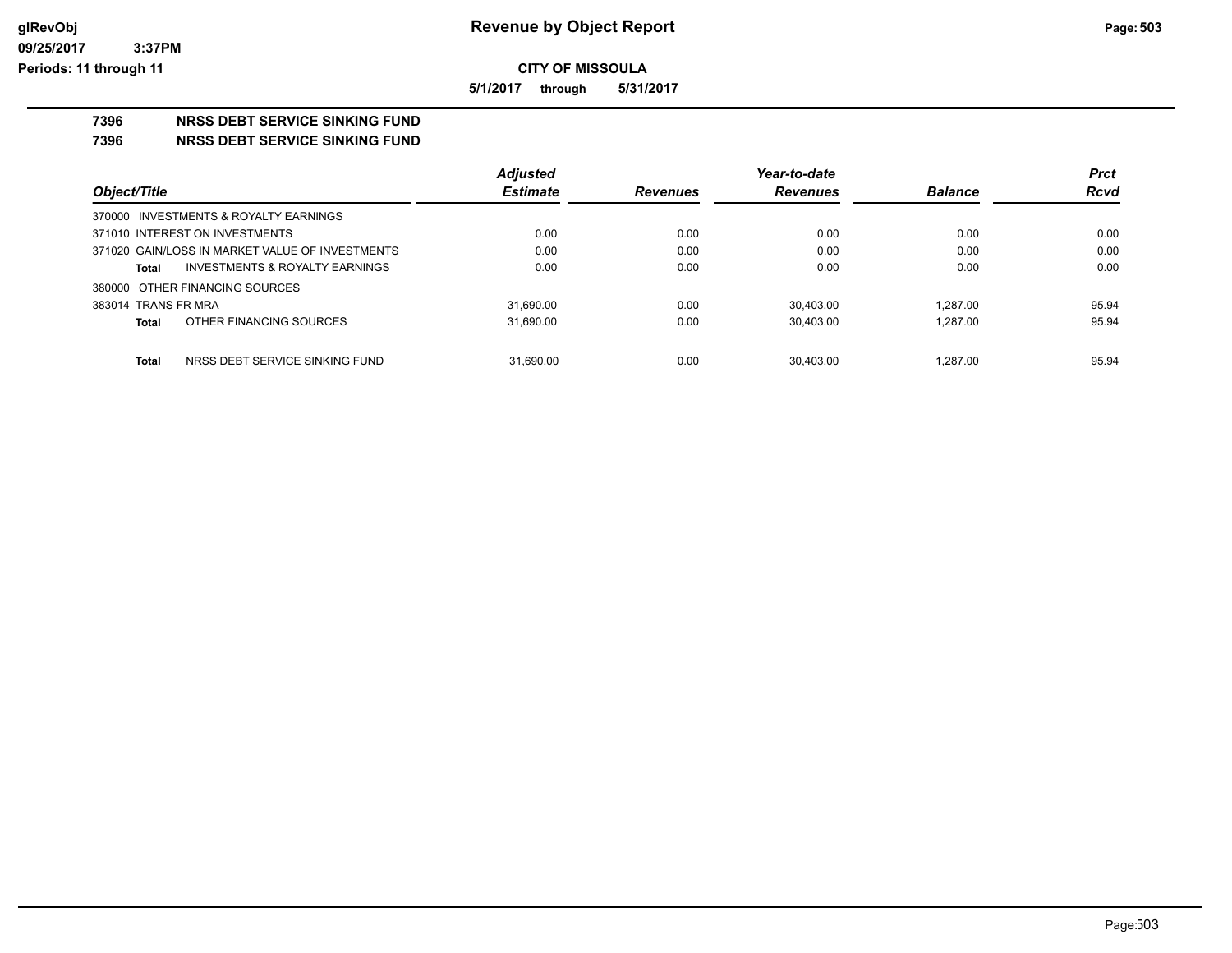**5/1/2017 through 5/31/2017**

### **7396 NRSS DEBT SERVICE SINKING FUND**

**7396 NRSS DEBT SERVICE SINKING FUND**

|                                                           | <b>Adjusted</b> |                 | Year-to-date    |                | <b>Prct</b> |
|-----------------------------------------------------------|-----------------|-----------------|-----------------|----------------|-------------|
| Object/Title                                              | <b>Estimate</b> | <b>Revenues</b> | <b>Revenues</b> | <b>Balance</b> | <b>Rcvd</b> |
| 370000 INVESTMENTS & ROYALTY EARNINGS                     |                 |                 |                 |                |             |
| 371010 INTEREST ON INVESTMENTS                            | 0.00            | 0.00            | 0.00            | 0.00           | 0.00        |
| 371020 GAIN/LOSS IN MARKET VALUE OF INVESTMENTS           | 0.00            | 0.00            | 0.00            | 0.00           | 0.00        |
| <b>INVESTMENTS &amp; ROYALTY EARNINGS</b><br><b>Total</b> | 0.00            | 0.00            | 0.00            | 0.00           | 0.00        |
| 380000 OTHER FINANCING SOURCES                            |                 |                 |                 |                |             |
| 383014 TRANS FR MRA                                       | 31.690.00       | 0.00            | 30.403.00       | 1.287.00       | 95.94       |
| OTHER FINANCING SOURCES<br><b>Total</b>                   | 31.690.00       | 0.00            | 30.403.00       | 1.287.00       | 95.94       |
| NRSS DEBT SERVICE SINKING FUND                            | 31.690.00       | 0.00            | 30.403.00       | 1.287.00       | 95.94       |
| <b>Total</b>                                              |                 |                 |                 |                |             |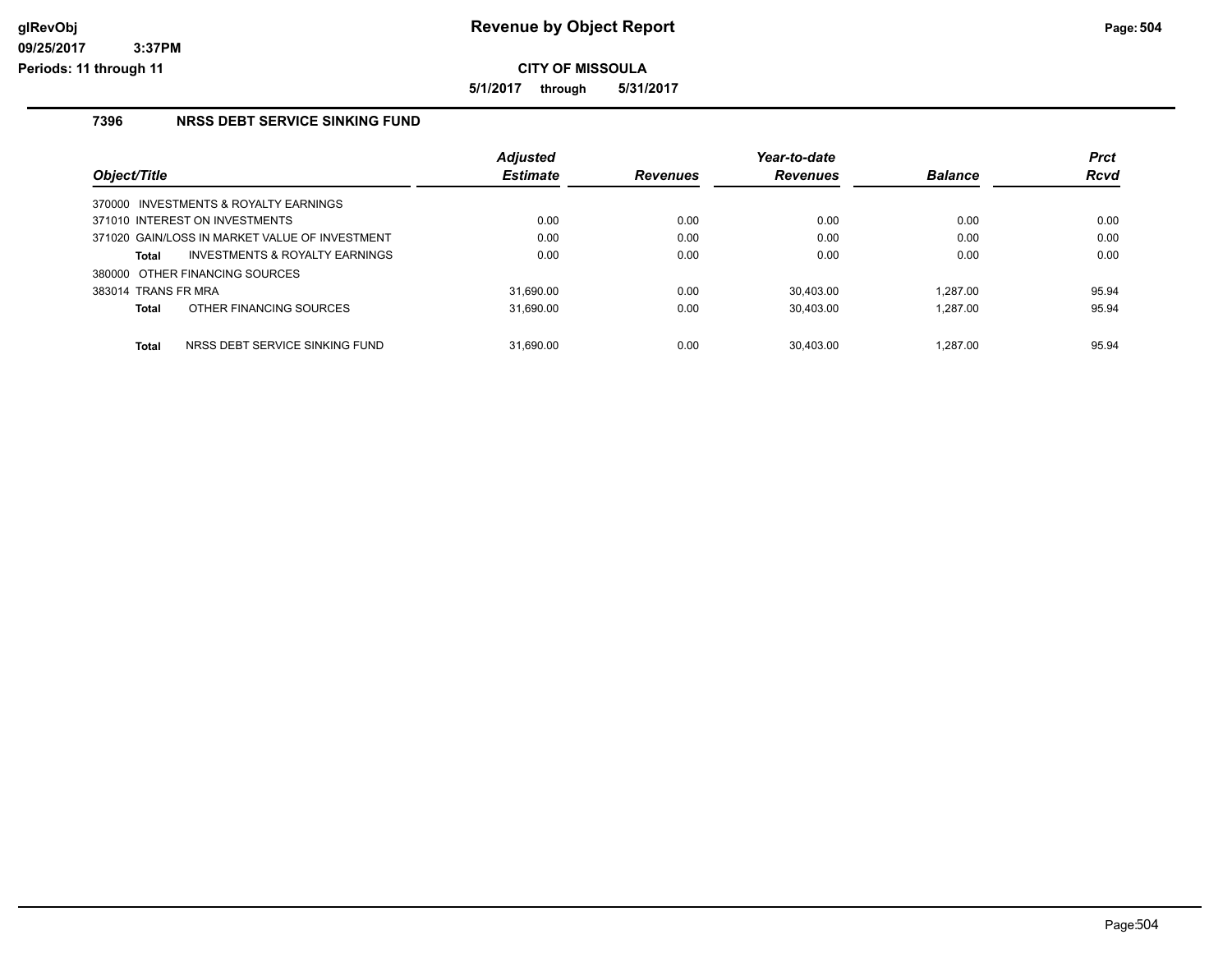**5/1/2017 through 5/31/2017**

#### **7396 NRSS DEBT SERVICE SINKING FUND**

|                     |                                                | <b>Adjusted</b> |                 | Year-to-date    |                | <b>Prct</b> |
|---------------------|------------------------------------------------|-----------------|-----------------|-----------------|----------------|-------------|
| Object/Title        |                                                | <b>Estimate</b> | <b>Revenues</b> | <b>Revenues</b> | <b>Balance</b> | <b>Rcvd</b> |
|                     | 370000 INVESTMENTS & ROYALTY EARNINGS          |                 |                 |                 |                |             |
|                     | 371010 INTEREST ON INVESTMENTS                 | 0.00            | 0.00            | 0.00            | 0.00           | 0.00        |
|                     | 371020 GAIN/LOSS IN MARKET VALUE OF INVESTMENT | 0.00            | 0.00            | 0.00            | 0.00           | 0.00        |
| Total               | INVESTMENTS & ROYALTY EARNINGS                 | 0.00            | 0.00            | 0.00            | 0.00           | 0.00        |
|                     | 380000 OTHER FINANCING SOURCES                 |                 |                 |                 |                |             |
| 383014 TRANS FR MRA |                                                | 31.690.00       | 0.00            | 30.403.00       | 1.287.00       | 95.94       |
| Total               | OTHER FINANCING SOURCES                        | 31.690.00       | 0.00            | 30.403.00       | 1.287.00       | 95.94       |
|                     |                                                |                 |                 |                 |                |             |
| <b>Total</b>        | NRSS DEBT SERVICE SINKING FUND                 | 31.690.00       | 0.00            | 30.403.00       | 1.287.00       | 95.94       |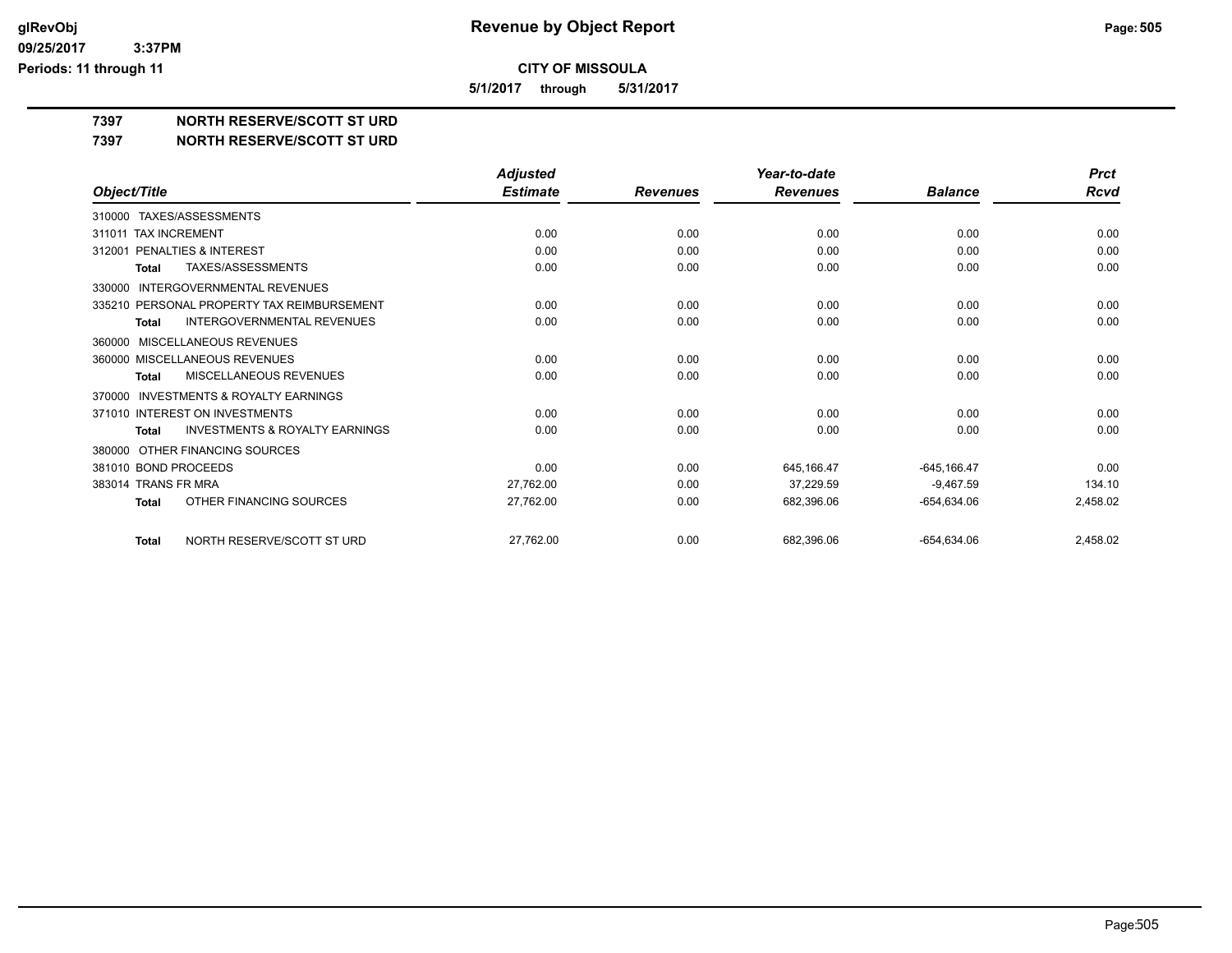**5/1/2017 through 5/31/2017**

**7397 NORTH RESERVE/SCOTT ST URD**

**7397 NORTH RESERVE/SCOTT ST URD**

|                                                           | <b>Adjusted</b> |                 | Year-to-date    |                | <b>Prct</b> |
|-----------------------------------------------------------|-----------------|-----------------|-----------------|----------------|-------------|
| Object/Title                                              | <b>Estimate</b> | <b>Revenues</b> | <b>Revenues</b> | <b>Balance</b> | <b>Rcvd</b> |
| 310000 TAXES/ASSESSMENTS                                  |                 |                 |                 |                |             |
| <b>TAX INCREMENT</b><br>311011                            | 0.00            | 0.00            | 0.00            | 0.00           | 0.00        |
| PENALTIES & INTEREST<br>312001                            | 0.00            | 0.00            | 0.00            | 0.00           | 0.00        |
| TAXES/ASSESSMENTS<br><b>Total</b>                         | 0.00            | 0.00            | 0.00            | 0.00           | 0.00        |
| INTERGOVERNMENTAL REVENUES<br>330000                      |                 |                 |                 |                |             |
| 335210 PERSONAL PROPERTY TAX REIMBURSEMENT                | 0.00            | 0.00            | 0.00            | 0.00           | 0.00        |
| <b>INTERGOVERNMENTAL REVENUES</b><br><b>Total</b>         | 0.00            | 0.00            | 0.00            | 0.00           | 0.00        |
| MISCELLANEOUS REVENUES<br>360000                          |                 |                 |                 |                |             |
| 360000 MISCELLANEOUS REVENUES                             | 0.00            | 0.00            | 0.00            | 0.00           | 0.00        |
| <b>MISCELLANEOUS REVENUES</b><br><b>Total</b>             | 0.00            | 0.00            | 0.00            | 0.00           | 0.00        |
| INVESTMENTS & ROYALTY EARNINGS<br>370000                  |                 |                 |                 |                |             |
| 371010 INTEREST ON INVESTMENTS                            | 0.00            | 0.00            | 0.00            | 0.00           | 0.00        |
| <b>INVESTMENTS &amp; ROYALTY EARNINGS</b><br><b>Total</b> | 0.00            | 0.00            | 0.00            | 0.00           | 0.00        |
| OTHER FINANCING SOURCES<br>380000                         |                 |                 |                 |                |             |
| 381010 BOND PROCEEDS                                      | 0.00            | 0.00            | 645,166.47      | $-645, 166.47$ | 0.00        |
| 383014 TRANS FR MRA                                       | 27,762.00       | 0.00            | 37,229.59       | $-9,467.59$    | 134.10      |
| OTHER FINANCING SOURCES<br><b>Total</b>                   | 27,762.00       | 0.00            | 682,396.06      | $-654,634.06$  | 2,458.02    |
| NORTH RESERVE/SCOTT ST URD<br><b>Total</b>                | 27,762.00       | 0.00            | 682,396.06      | $-654,634.06$  | 2,458.02    |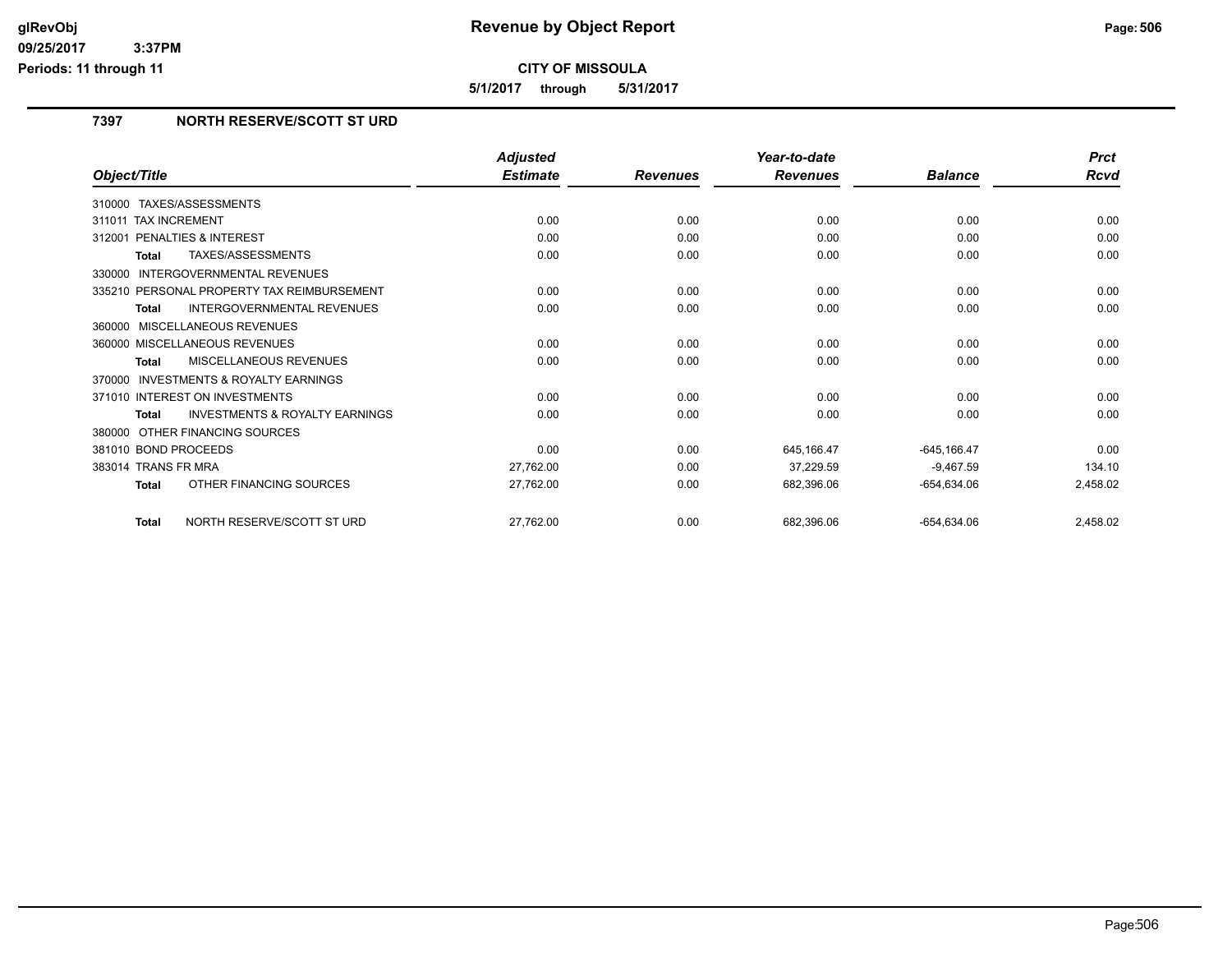**5/1/2017 through 5/31/2017**

# **7397 NORTH RESERVE/SCOTT ST URD**

|                                                           | <b>Adjusted</b> |                 | Year-to-date    |                | <b>Prct</b> |
|-----------------------------------------------------------|-----------------|-----------------|-----------------|----------------|-------------|
| Object/Title                                              | <b>Estimate</b> | <b>Revenues</b> | <b>Revenues</b> | <b>Balance</b> | <b>Rcvd</b> |
| 310000 TAXES/ASSESSMENTS                                  |                 |                 |                 |                |             |
| 311011 TAX INCREMENT                                      | 0.00            | 0.00            | 0.00            | 0.00           | 0.00        |
| PENALTIES & INTEREST<br>312001                            | 0.00            | 0.00            | 0.00            | 0.00           | 0.00        |
| TAXES/ASSESSMENTS<br><b>Total</b>                         | 0.00            | 0.00            | 0.00            | 0.00           | 0.00        |
| <b>INTERGOVERNMENTAL REVENUES</b><br>330000               |                 |                 |                 |                |             |
| 335210 PERSONAL PROPERTY TAX REIMBURSEMENT                | 0.00            | 0.00            | 0.00            | 0.00           | 0.00        |
| <b>INTERGOVERNMENTAL REVENUES</b><br><b>Total</b>         | 0.00            | 0.00            | 0.00            | 0.00           | 0.00        |
| 360000 MISCELLANEOUS REVENUES                             |                 |                 |                 |                |             |
| 360000 MISCELLANEOUS REVENUES                             | 0.00            | 0.00            | 0.00            | 0.00           | 0.00        |
| <b>MISCELLANEOUS REVENUES</b><br><b>Total</b>             | 0.00            | 0.00            | 0.00            | 0.00           | 0.00        |
| 370000 INVESTMENTS & ROYALTY EARNINGS                     |                 |                 |                 |                |             |
| 371010 INTEREST ON INVESTMENTS                            | 0.00            | 0.00            | 0.00            | 0.00           | 0.00        |
| <b>INVESTMENTS &amp; ROYALTY EARNINGS</b><br><b>Total</b> | 0.00            | 0.00            | 0.00            | 0.00           | 0.00        |
| 380000 OTHER FINANCING SOURCES                            |                 |                 |                 |                |             |
| 381010 BOND PROCEEDS                                      | 0.00            | 0.00            | 645,166.47      | $-645, 166.47$ | 0.00        |
| 383014 TRANS FR MRA                                       | 27,762.00       | 0.00            | 37,229.59       | $-9,467.59$    | 134.10      |
| OTHER FINANCING SOURCES<br><b>Total</b>                   | 27,762.00       | 0.00            | 682,396.06      | $-654,634.06$  | 2,458.02    |
| NORTH RESERVE/SCOTT ST URD<br><b>Total</b>                | 27,762.00       | 0.00            | 682,396.06      | $-654,634.06$  | 2,458.02    |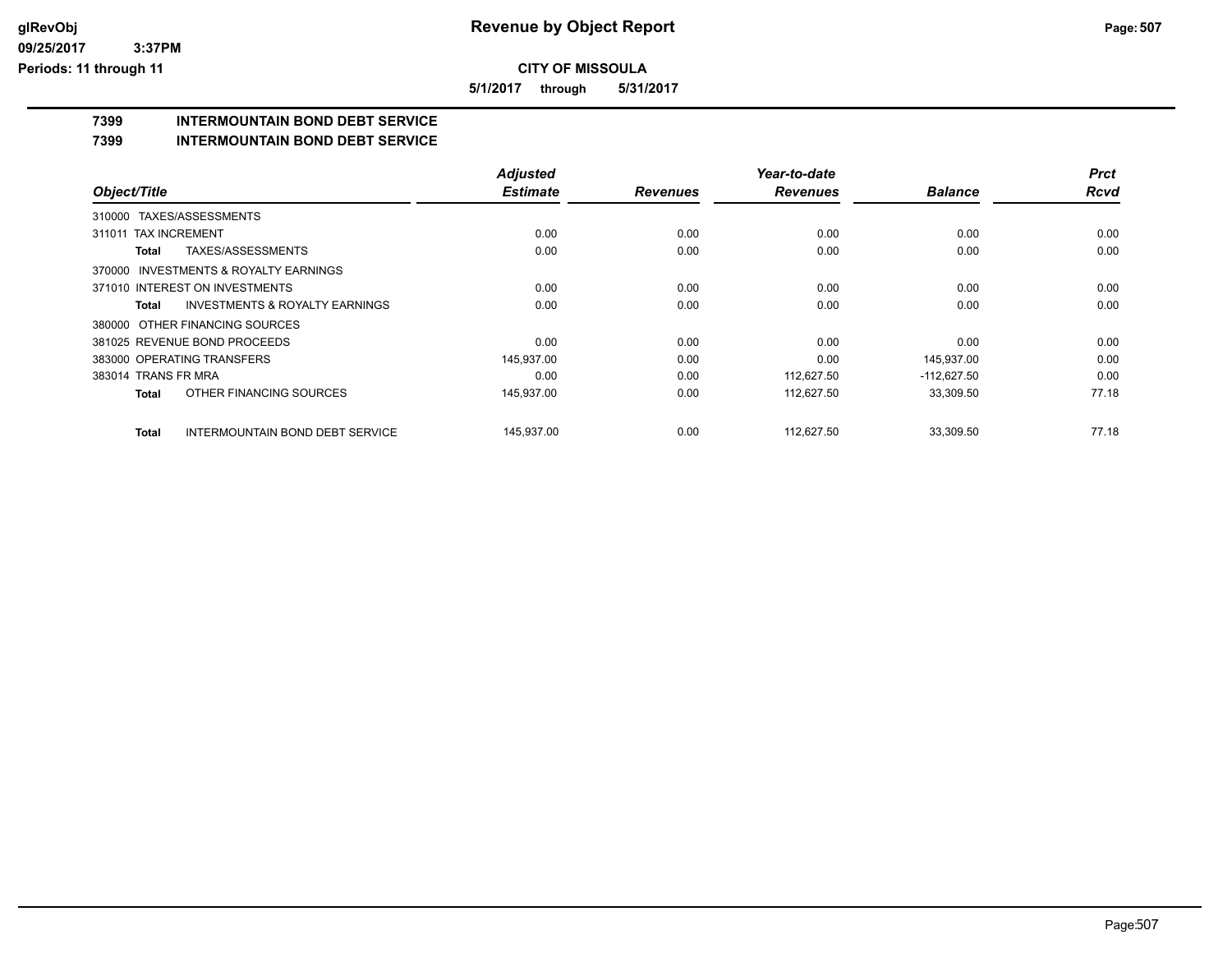**5/1/2017 through 5/31/2017**

# **7399 INTERMOUNTAIN BOND DEBT SERVICE**

# **7399 INTERMOUNTAIN BOND DEBT SERVICE**

|                                                    | <b>Adjusted</b> |                 | Year-to-date    |                | <b>Prct</b> |
|----------------------------------------------------|-----------------|-----------------|-----------------|----------------|-------------|
| Object/Title                                       | <b>Estimate</b> | <b>Revenues</b> | <b>Revenues</b> | <b>Balance</b> | Rcvd        |
| 310000 TAXES/ASSESSMENTS                           |                 |                 |                 |                |             |
| <b>TAX INCREMENT</b><br>311011                     | 0.00            | 0.00            | 0.00            | 0.00           | 0.00        |
| TAXES/ASSESSMENTS<br>Total                         | 0.00            | 0.00            | 0.00            | 0.00           | 0.00        |
| 370000 INVESTMENTS & ROYALTY EARNINGS              |                 |                 |                 |                |             |
| 371010 INTEREST ON INVESTMENTS                     | 0.00            | 0.00            | 0.00            | 0.00           | 0.00        |
| <b>INVESTMENTS &amp; ROYALTY EARNINGS</b><br>Total | 0.00            | 0.00            | 0.00            | 0.00           | 0.00        |
| 380000 OTHER FINANCING SOURCES                     |                 |                 |                 |                |             |
| 381025 REVENUE BOND PROCEEDS                       | 0.00            | 0.00            | 0.00            | 0.00           | 0.00        |
| 383000 OPERATING TRANSFERS                         | 145,937.00      | 0.00            | 0.00            | 145,937.00     | 0.00        |
| 383014 TRANS FR MRA                                | 0.00            | 0.00            | 112,627.50      | $-112,627.50$  | 0.00        |
| OTHER FINANCING SOURCES<br>Total                   | 145,937.00      | 0.00            | 112,627.50      | 33,309.50      | 77.18       |
| <b>INTERMOUNTAIN BOND DEBT SERVICE</b><br>Total    | 145.937.00      | 0.00            | 112.627.50      | 33.309.50      | 77.18       |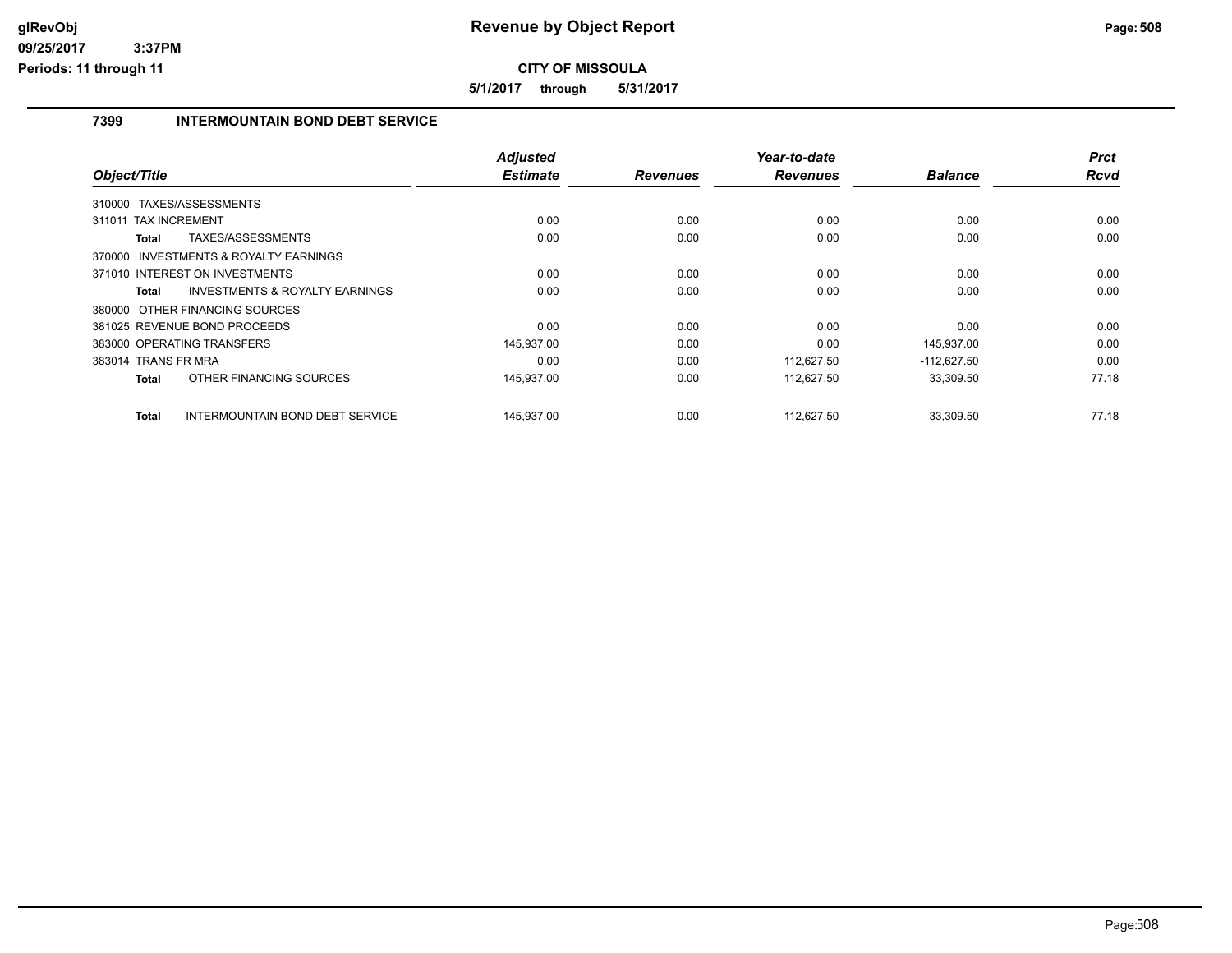**5/1/2017 through 5/31/2017**

# **7399 INTERMOUNTAIN BOND DEBT SERVICE**

|                                                        | <b>Adjusted</b> |                 | Year-to-date    |                | <b>Prct</b> |
|--------------------------------------------------------|-----------------|-----------------|-----------------|----------------|-------------|
| Object/Title                                           | <b>Estimate</b> | <b>Revenues</b> | <b>Revenues</b> | <b>Balance</b> | Rcvd        |
| 310000 TAXES/ASSESSMENTS                               |                 |                 |                 |                |             |
| 311011 TAX INCREMENT                                   | 0.00            | 0.00            | 0.00            | 0.00           | 0.00        |
| TAXES/ASSESSMENTS<br>Total                             | 0.00            | 0.00            | 0.00            | 0.00           | 0.00        |
| 370000 INVESTMENTS & ROYALTY EARNINGS                  |                 |                 |                 |                |             |
| 371010 INTEREST ON INVESTMENTS                         | 0.00            | 0.00            | 0.00            | 0.00           | 0.00        |
| <b>INVESTMENTS &amp; ROYALTY EARNINGS</b><br>Total     | 0.00            | 0.00            | 0.00            | 0.00           | 0.00        |
| 380000 OTHER FINANCING SOURCES                         |                 |                 |                 |                |             |
| 381025 REVENUE BOND PROCEEDS                           | 0.00            | 0.00            | 0.00            | 0.00           | 0.00        |
| 383000 OPERATING TRANSFERS                             | 145,937.00      | 0.00            | 0.00            | 145,937.00     | 0.00        |
| 383014 TRANS FR MRA                                    | 0.00            | 0.00            | 112,627.50      | $-112,627.50$  | 0.00        |
| OTHER FINANCING SOURCES<br><b>Total</b>                | 145,937.00      | 0.00            | 112,627.50      | 33,309.50      | 77.18       |
| <b>INTERMOUNTAIN BOND DEBT SERVICE</b><br><b>Total</b> | 145,937.00      | 0.00            | 112.627.50      | 33,309.50      | 77.18       |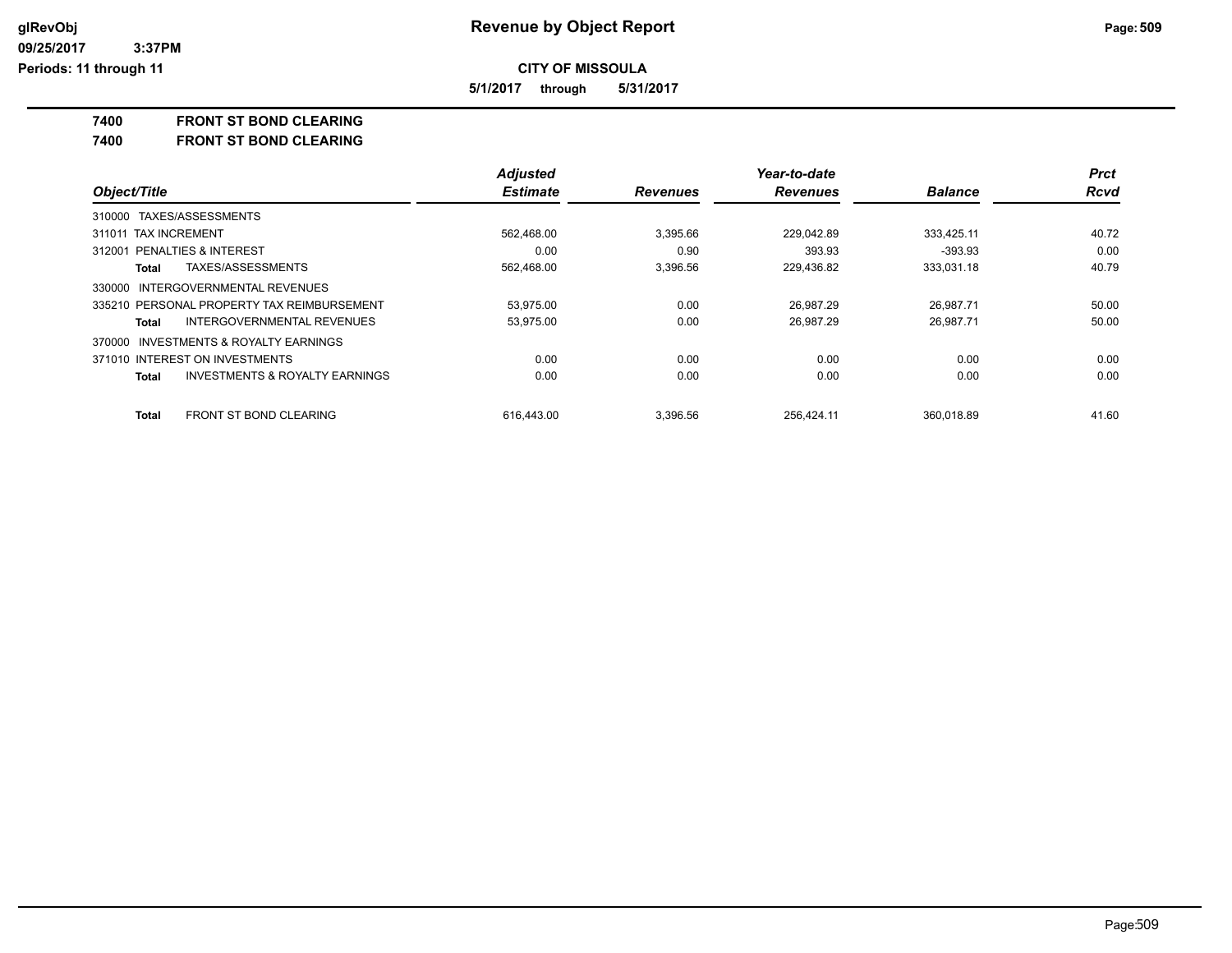**5/1/2017 through 5/31/2017**

#### **7400 FRONT ST BOND CLEARING**

**7400 FRONT ST BOND CLEARING**

|                                                    | <b>Adjusted</b> |                 | Year-to-date    |                | <b>Prct</b> |
|----------------------------------------------------|-----------------|-----------------|-----------------|----------------|-------------|
| Object/Title                                       | <b>Estimate</b> | <b>Revenues</b> | <b>Revenues</b> | <b>Balance</b> | <b>Rcvd</b> |
| 310000 TAXES/ASSESSMENTS                           |                 |                 |                 |                |             |
| 311011 TAX INCREMENT                               | 562,468.00      | 3,395.66        | 229.042.89      | 333,425.11     | 40.72       |
| 312001 PENALTIES & INTEREST                        | 0.00            | 0.90            | 393.93          | $-393.93$      | 0.00        |
| TAXES/ASSESSMENTS<br>Total                         | 562.468.00      | 3.396.56        | 229.436.82      | 333.031.18     | 40.79       |
| 330000 INTERGOVERNMENTAL REVENUES                  |                 |                 |                 |                |             |
| 335210 PERSONAL PROPERTY TAX REIMBURSEMENT         | 53,975.00       | 0.00            | 26.987.29       | 26,987.71      | 50.00       |
| INTERGOVERNMENTAL REVENUES<br>Total                | 53,975.00       | 0.00            | 26,987.29       | 26.987.71      | 50.00       |
| 370000 INVESTMENTS & ROYALTY EARNINGS              |                 |                 |                 |                |             |
| 371010 INTEREST ON INVESTMENTS                     | 0.00            | 0.00            | 0.00            | 0.00           | 0.00        |
| <b>INVESTMENTS &amp; ROYALTY EARNINGS</b><br>Total | 0.00            | 0.00            | 0.00            | 0.00           | 0.00        |
| <b>FRONT ST BOND CLEARING</b><br>Total             | 616.443.00      | 3.396.56        | 256.424.11      | 360.018.89     | 41.60       |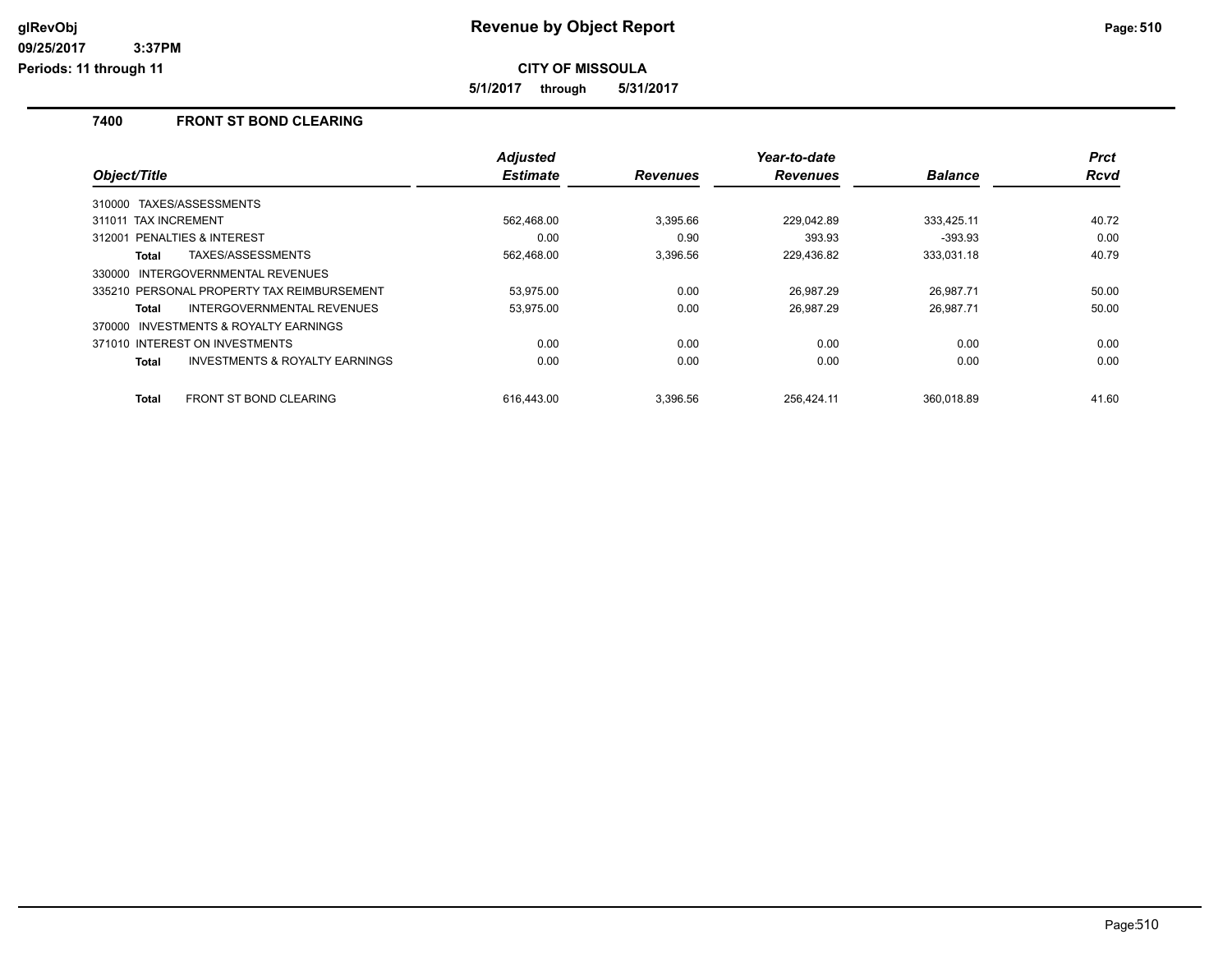**CITY OF MISSOULA**

**5/1/2017 through 5/31/2017**

## **7400 FRONT ST BOND CLEARING**

|                                                    | <b>Adjusted</b> |                 | Year-to-date    |                | <b>Prct</b> |
|----------------------------------------------------|-----------------|-----------------|-----------------|----------------|-------------|
| Object/Title                                       | <b>Estimate</b> | <b>Revenues</b> | <b>Revenues</b> | <b>Balance</b> | Rcvd        |
| TAXES/ASSESSMENTS<br>310000                        |                 |                 |                 |                |             |
| 311011 TAX INCREMENT                               | 562,468.00      | 3,395.66        | 229,042.89      | 333,425.11     | 40.72       |
| 312001 PENALTIES & INTEREST                        | 0.00            | 0.90            | 393.93          | $-393.93$      | 0.00        |
| TAXES/ASSESSMENTS<br>Total                         | 562,468.00      | 3,396.56        | 229,436.82      | 333,031.18     | 40.79       |
| INTERGOVERNMENTAL REVENUES<br>330000               |                 |                 |                 |                |             |
| 335210 PERSONAL PROPERTY TAX REIMBURSEMENT         | 53,975.00       | 0.00            | 26,987.29       | 26,987.71      | 50.00       |
| <b>INTERGOVERNMENTAL REVENUES</b><br>Total         | 53.975.00       | 0.00            | 26.987.29       | 26.987.71      | 50.00       |
| INVESTMENTS & ROYALTY EARNINGS<br>370000           |                 |                 |                 |                |             |
| 371010 INTEREST ON INVESTMENTS                     | 0.00            | 0.00            | 0.00            | 0.00           | 0.00        |
| <b>INVESTMENTS &amp; ROYALTY EARNINGS</b><br>Total | 0.00            | 0.00            | 0.00            | 0.00           | 0.00        |
| <b>FRONT ST BOND CLEARING</b><br><b>Total</b>      | 616.443.00      | 3.396.56        | 256.424.11      | 360.018.89     | 41.60       |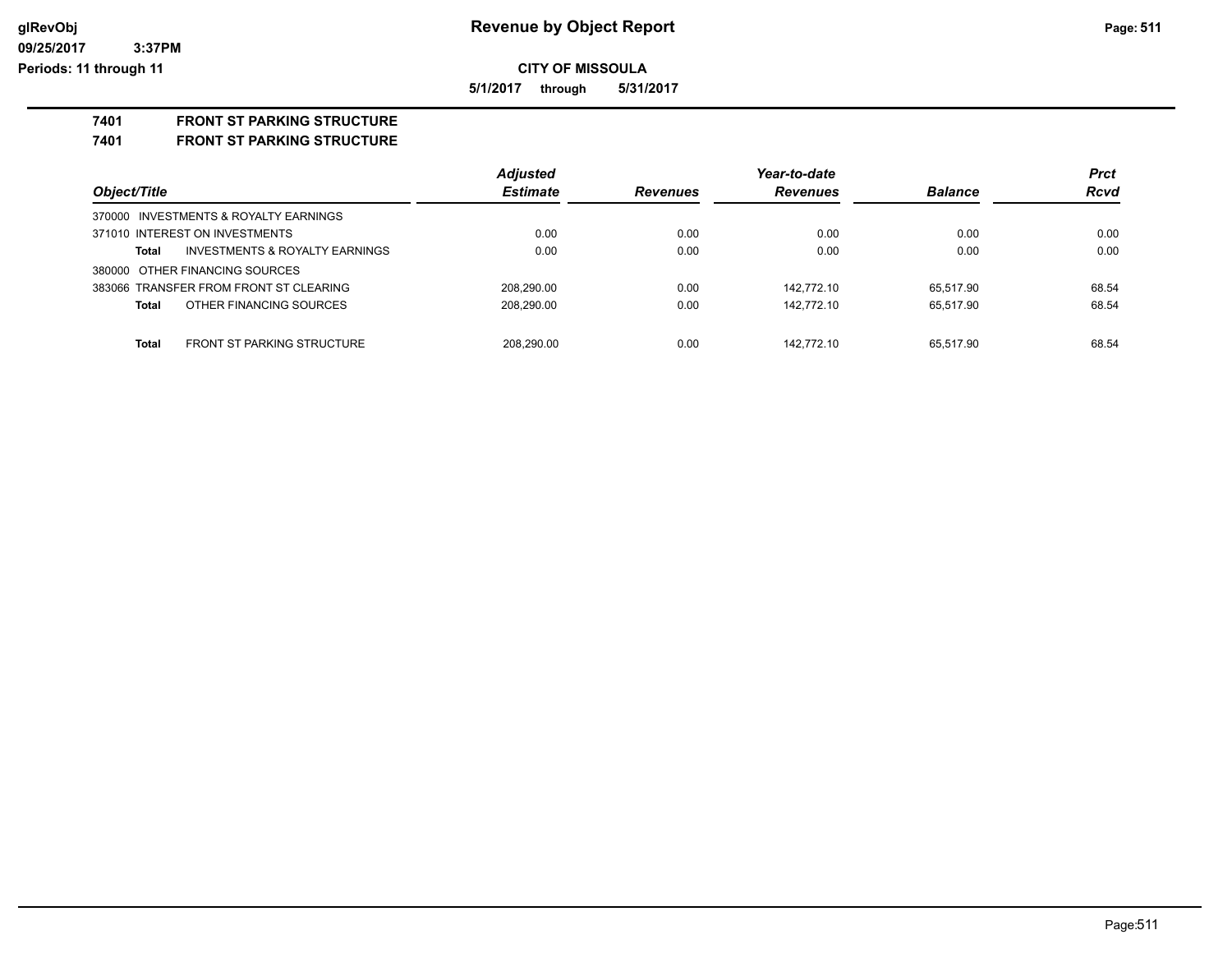**5/1/2017 through 5/31/2017**

# **7401 FRONT ST PARKING STRUCTURE**

**7401 FRONT ST PARKING STRUCTURE**

|                                                    | <b>Adjusted</b> |                 | Year-to-date    |                | <b>Prct</b> |
|----------------------------------------------------|-----------------|-----------------|-----------------|----------------|-------------|
| Object/Title                                       | <b>Estimate</b> | <b>Revenues</b> | <b>Revenues</b> | <b>Balance</b> | <b>Rcvd</b> |
| 370000 INVESTMENTS & ROYALTY EARNINGS              |                 |                 |                 |                |             |
| 371010 INTEREST ON INVESTMENTS                     | 0.00            | 0.00            | 0.00            | 0.00           | 0.00        |
| <b>INVESTMENTS &amp; ROYALTY EARNINGS</b><br>Total | 0.00            | 0.00            | 0.00            | 0.00           | 0.00        |
| 380000 OTHER FINANCING SOURCES                     |                 |                 |                 |                |             |
| 383066 TRANSFER FROM FRONT ST CLEARING             | 208.290.00      | 0.00            | 142.772.10      | 65.517.90      | 68.54       |
| OTHER FINANCING SOURCES<br>Total                   | 208,290.00      | 0.00            | 142.772.10      | 65.517.90      | 68.54       |
|                                                    |                 |                 |                 |                |             |
| <b>FRONT ST PARKING STRUCTURE</b><br>Total         | 208.290.00      | 0.00            | 142.772.10      | 65.517.90      | 68.54       |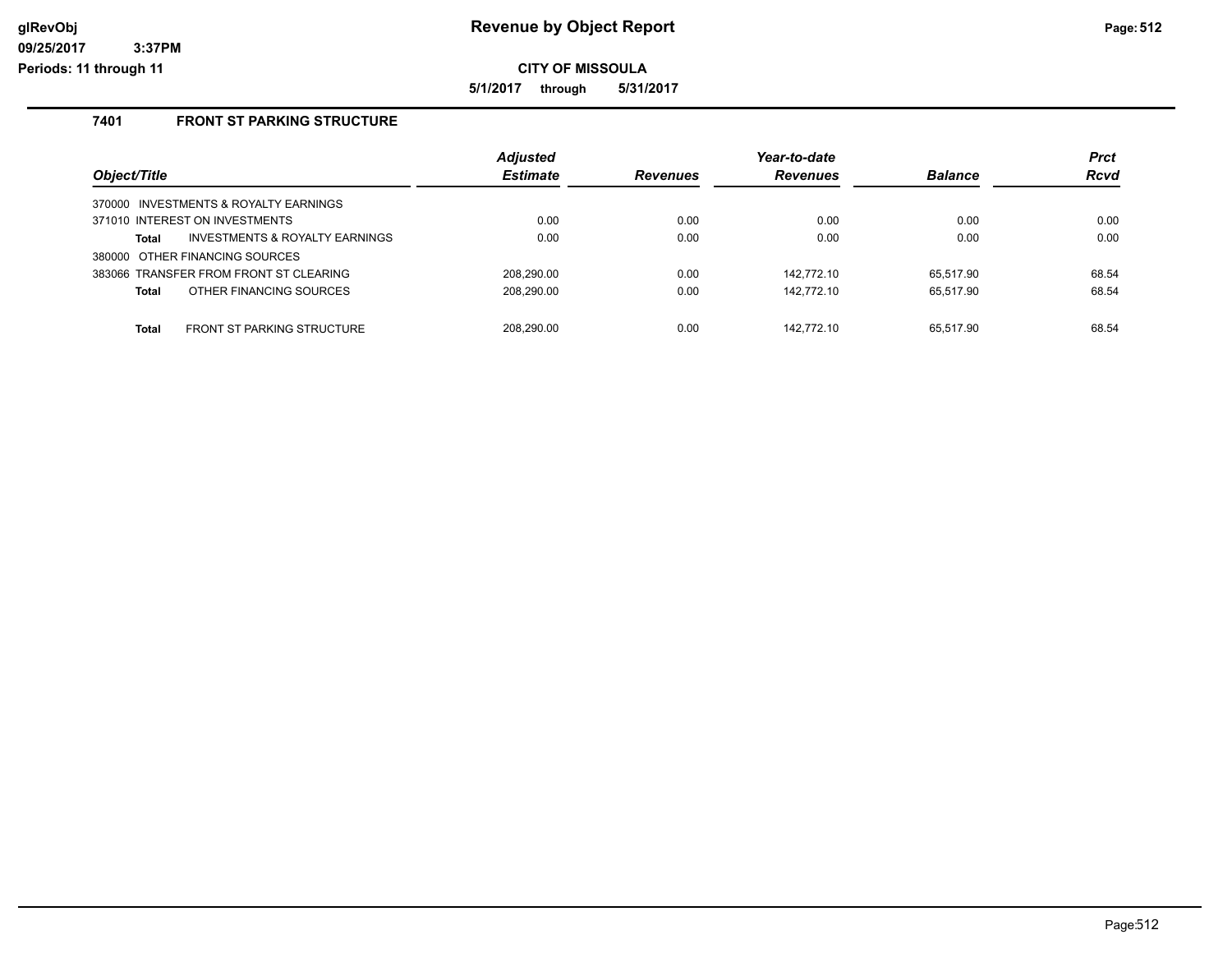**5/1/2017 through 5/31/2017**

# **7401 FRONT ST PARKING STRUCTURE**

|                                                    | <b>Adjusted</b> |                 | Year-to-date    |                | <b>Prct</b> |
|----------------------------------------------------|-----------------|-----------------|-----------------|----------------|-------------|
| Object/Title                                       | <b>Estimate</b> | <b>Revenues</b> | <b>Revenues</b> | <b>Balance</b> | <b>Rcvd</b> |
| 370000 INVESTMENTS & ROYALTY EARNINGS              |                 |                 |                 |                |             |
| 371010 INTEREST ON INVESTMENTS                     | 0.00            | 0.00            | 0.00            | 0.00           | 0.00        |
| <b>INVESTMENTS &amp; ROYALTY EARNINGS</b><br>Total | 0.00            | 0.00            | 0.00            | 0.00           | 0.00        |
| 380000 OTHER FINANCING SOURCES                     |                 |                 |                 |                |             |
| 383066 TRANSFER FROM FRONT ST CLEARING             | 208.290.00      | 0.00            | 142.772.10      | 65.517.90      | 68.54       |
| OTHER FINANCING SOURCES<br>Total                   | 208,290.00      | 0.00            | 142.772.10      | 65.517.90      | 68.54       |
|                                                    |                 |                 |                 |                |             |
| <b>FRONT ST PARKING STRUCTURE</b><br><b>Total</b>  | 208.290.00      | 0.00            | 142.772.10      | 65.517.90      | 68.54       |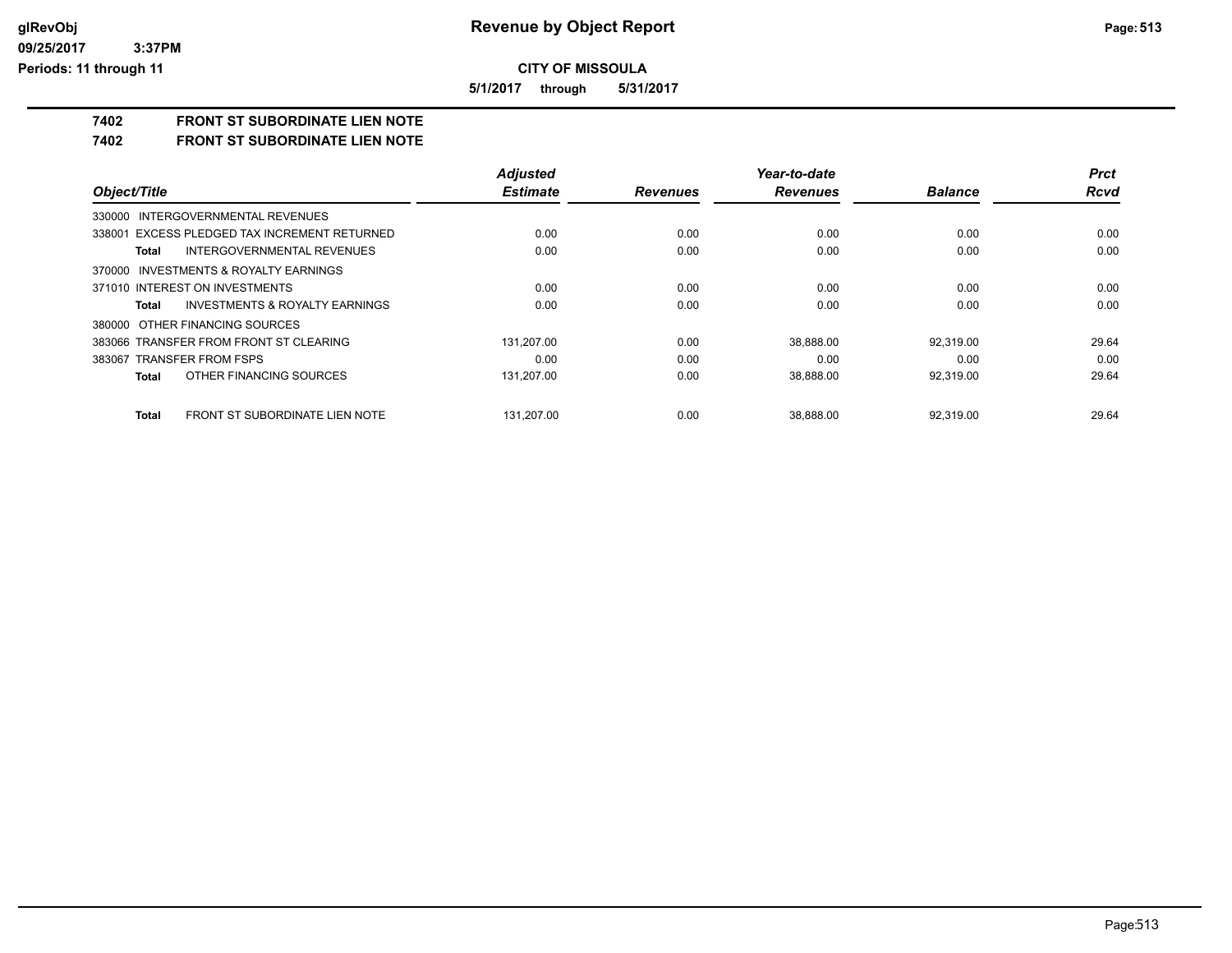**5/1/2017 through 5/31/2017**

# **7402 FRONT ST SUBORDINATE LIEN NOTE**

**7402 FRONT ST SUBORDINATE LIEN NOTE**

|                                                    | <b>Adjusted</b> |                 | Year-to-date    |                | <b>Prct</b> |
|----------------------------------------------------|-----------------|-----------------|-----------------|----------------|-------------|
| Object/Title                                       | <b>Estimate</b> | <b>Revenues</b> | <b>Revenues</b> | <b>Balance</b> | Rcvd        |
| 330000 INTERGOVERNMENTAL REVENUES                  |                 |                 |                 |                |             |
| 338001 EXCESS PLEDGED TAX INCREMENT RETURNED       | 0.00            | 0.00            | 0.00            | 0.00           | 0.00        |
| <b>INTERGOVERNMENTAL REVENUES</b><br>Total         | 0.00            | 0.00            | 0.00            | 0.00           | 0.00        |
| 370000 INVESTMENTS & ROYALTY EARNINGS              |                 |                 |                 |                |             |
| 371010 INTEREST ON INVESTMENTS                     | 0.00            | 0.00            | 0.00            | 0.00           | 0.00        |
| <b>INVESTMENTS &amp; ROYALTY EARNINGS</b><br>Total | 0.00            | 0.00            | 0.00            | 0.00           | 0.00        |
| 380000 OTHER FINANCING SOURCES                     |                 |                 |                 |                |             |
| 383066 TRANSFER FROM FRONT ST CLEARING             | 131.207.00      | 0.00            | 38,888.00       | 92.319.00      | 29.64       |
| 383067 TRANSFER FROM FSPS                          | 0.00            | 0.00            | 0.00            | 0.00           | 0.00        |
| OTHER FINANCING SOURCES<br>Total                   | 131,207.00      | 0.00            | 38,888.00       | 92.319.00      | 29.64       |
| FRONT ST SUBORDINATE LIEN NOTE<br><b>Total</b>     | 131.207.00      | 0.00            | 38.888.00       | 92.319.00      | 29.64       |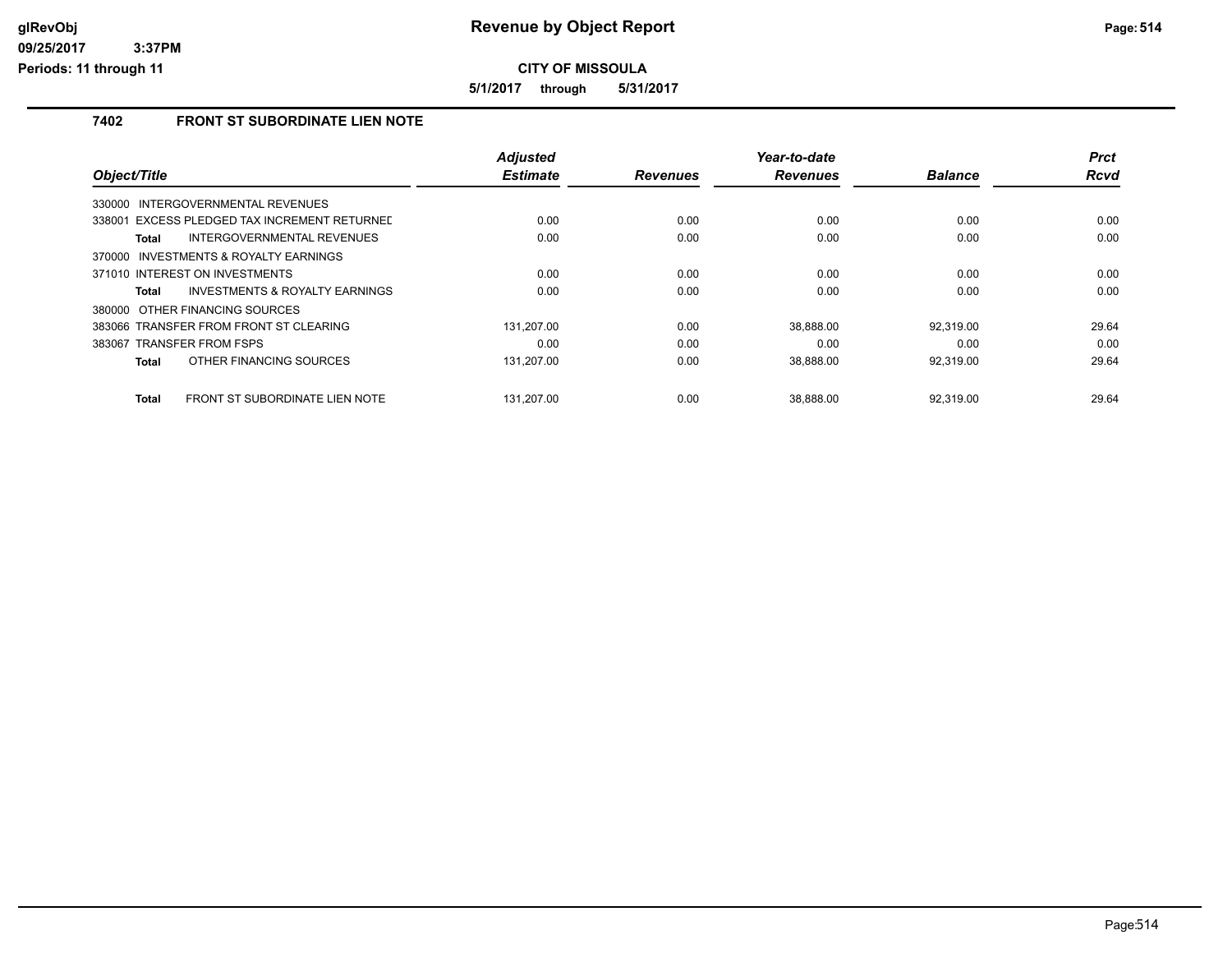**5/1/2017 through 5/31/2017**

# **7402 FRONT ST SUBORDINATE LIEN NOTE**

|                                                     | <b>Adjusted</b> |                 | Year-to-date    |                | <b>Prct</b> |
|-----------------------------------------------------|-----------------|-----------------|-----------------|----------------|-------------|
| Object/Title                                        | <b>Estimate</b> | <b>Revenues</b> | <b>Revenues</b> | <b>Balance</b> | <b>Rcvd</b> |
| INTERGOVERNMENTAL REVENUES<br>330000                |                 |                 |                 |                |             |
| 338001 EXCESS PLEDGED TAX INCREMENT RETURNED        | 0.00            | 0.00            | 0.00            | 0.00           | 0.00        |
| INTERGOVERNMENTAL REVENUES<br>Total                 | 0.00            | 0.00            | 0.00            | 0.00           | 0.00        |
| <b>INVESTMENTS &amp; ROYALTY EARNINGS</b><br>370000 |                 |                 |                 |                |             |
| 371010 INTEREST ON INVESTMENTS                      | 0.00            | 0.00            | 0.00            | 0.00           | 0.00        |
| <b>INVESTMENTS &amp; ROYALTY EARNINGS</b><br>Total  | 0.00            | 0.00            | 0.00            | 0.00           | 0.00        |
| 380000 OTHER FINANCING SOURCES                      |                 |                 |                 |                |             |
| 383066 TRANSFER FROM FRONT ST CLEARING              | 131.207.00      | 0.00            | 38.888.00       | 92.319.00      | 29.64       |
| 383067 TRANSFER FROM FSPS                           | 0.00            | 0.00            | 0.00            | 0.00           | 0.00        |
| OTHER FINANCING SOURCES<br>Total                    | 131,207.00      | 0.00            | 38,888.00       | 92,319.00      | 29.64       |
|                                                     |                 |                 |                 |                |             |
| FRONT ST SUBORDINATE LIEN NOTE<br><b>Total</b>      | 131.207.00      | 0.00            | 38.888.00       | 92.319.00      | 29.64       |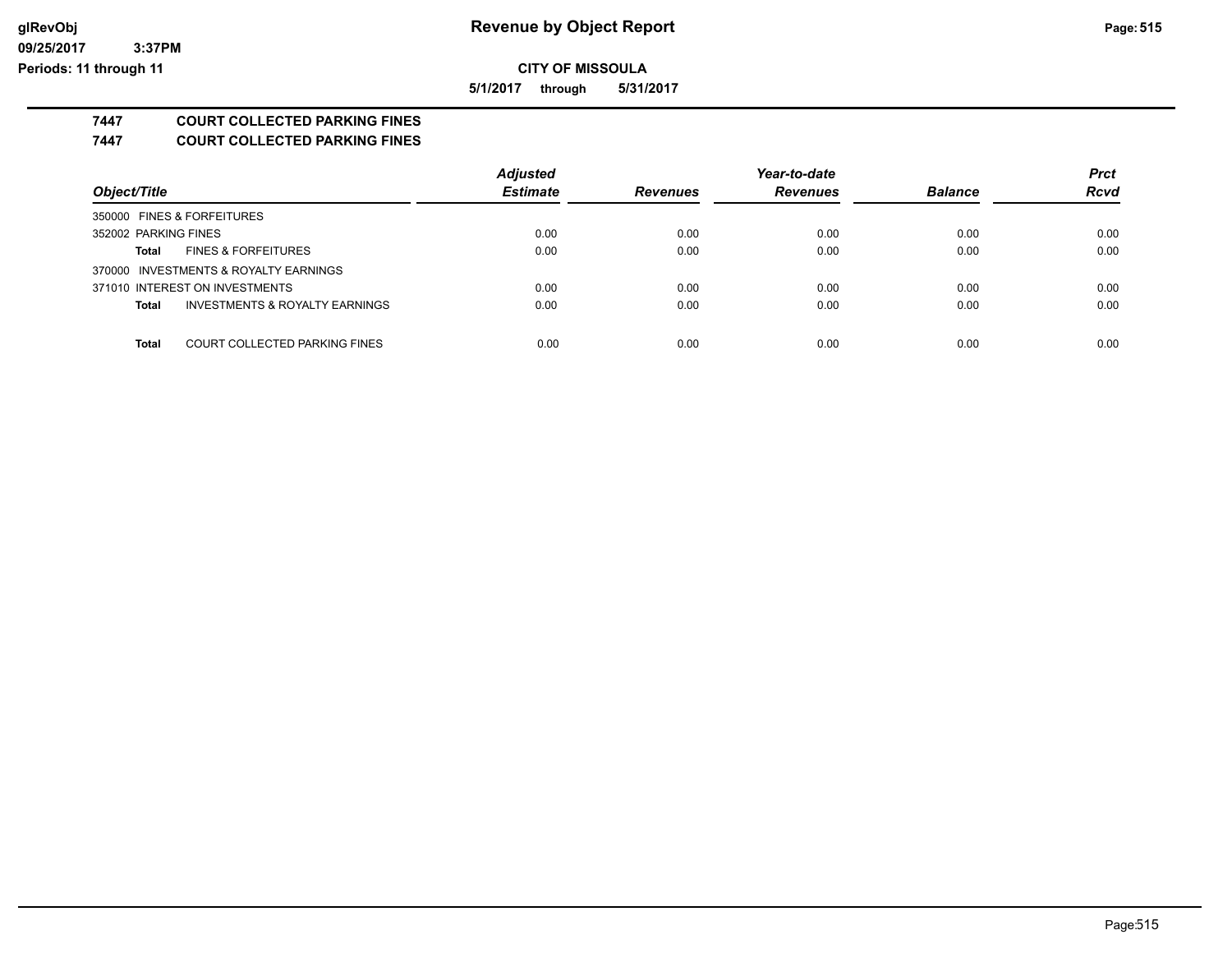**5/1/2017 through 5/31/2017**

# **7447 COURT COLLECTED PARKING FINES**

**7447 COURT COLLECTED PARKING FINES**

|                                                           | <b>Adjusted</b> |                 | Year-to-date    |                | <b>Prct</b> |
|-----------------------------------------------------------|-----------------|-----------------|-----------------|----------------|-------------|
| Object/Title                                              | <b>Estimate</b> | <b>Revenues</b> | <b>Revenues</b> | <b>Balance</b> | <b>Rcvd</b> |
| 350000 FINES & FORFEITURES                                |                 |                 |                 |                |             |
| 352002 PARKING FINES                                      | 0.00            | 0.00            | 0.00            | 0.00           | 0.00        |
| <b>FINES &amp; FORFEITURES</b><br><b>Total</b>            | 0.00            | 0.00            | 0.00            | 0.00           | 0.00        |
| 370000 INVESTMENTS & ROYALTY EARNINGS                     |                 |                 |                 |                |             |
| 371010 INTEREST ON INVESTMENTS                            | 0.00            | 0.00            | 0.00            | 0.00           | 0.00        |
| <b>INVESTMENTS &amp; ROYALTY EARNINGS</b><br><b>Total</b> | 0.00            | 0.00            | 0.00            | 0.00           | 0.00        |
|                                                           |                 |                 |                 |                |             |
| COURT COLLECTED PARKING FINES<br><b>Total</b>             | 0.00            | 0.00            | 0.00            | 0.00           | 0.00        |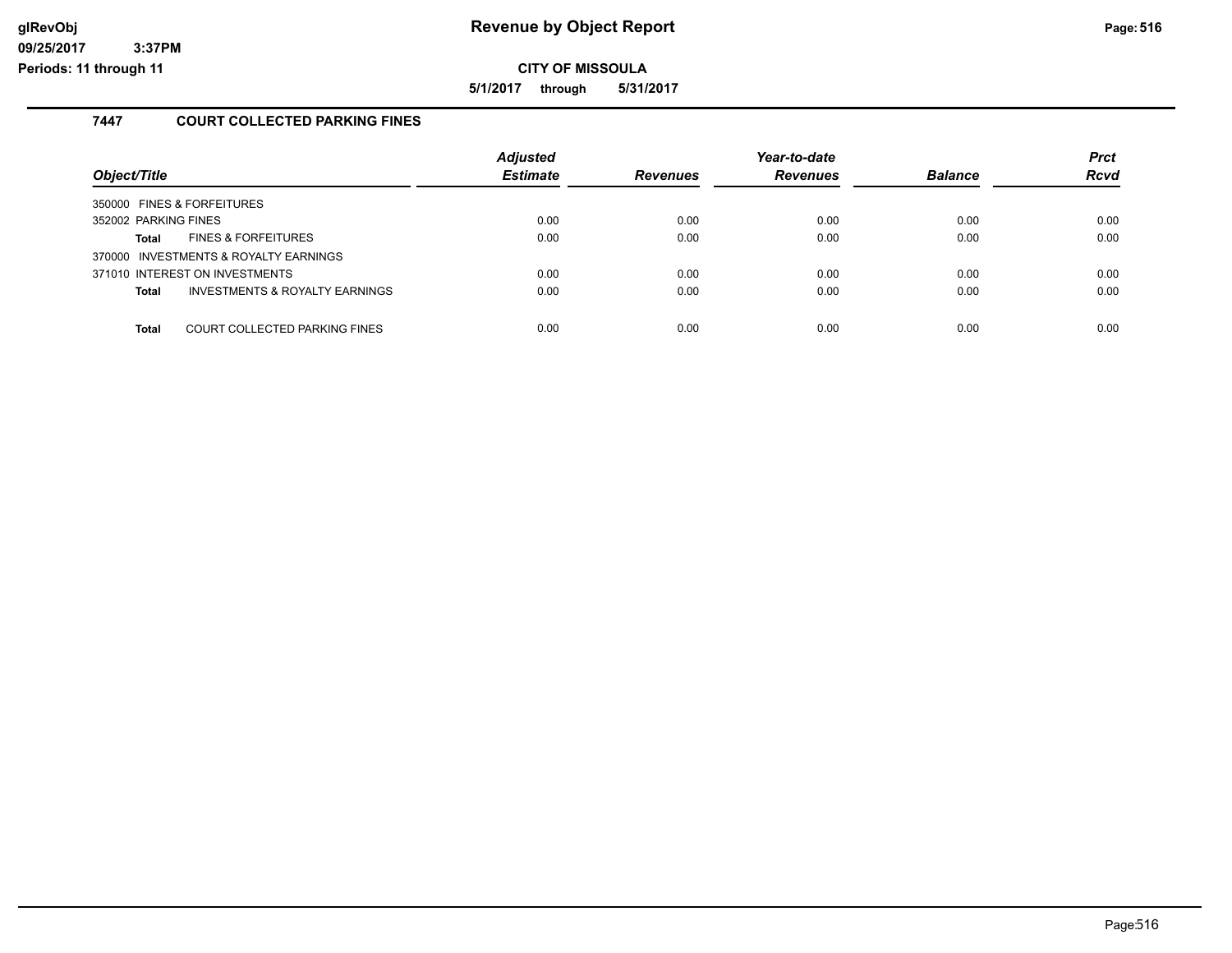**5/1/2017 through 5/31/2017**

# **7447 COURT COLLECTED PARKING FINES**

| Object/Title                                              | <b>Adjusted</b><br><b>Estimate</b> | <b>Revenues</b> | Year-to-date<br><b>Revenues</b> | <b>Balance</b> | <b>Prct</b><br><b>Rcvd</b> |
|-----------------------------------------------------------|------------------------------------|-----------------|---------------------------------|----------------|----------------------------|
| 350000 FINES & FORFEITURES                                |                                    |                 |                                 |                |                            |
| 352002 PARKING FINES                                      | 0.00                               | 0.00            | 0.00                            | 0.00           | 0.00                       |
| <b>FINES &amp; FORFEITURES</b><br>Total                   | 0.00                               | 0.00            | 0.00                            | 0.00           | 0.00                       |
| 370000 INVESTMENTS & ROYALTY EARNINGS                     |                                    |                 |                                 |                |                            |
| 371010 INTEREST ON INVESTMENTS                            | 0.00                               | 0.00            | 0.00                            | 0.00           | 0.00                       |
| <b>INVESTMENTS &amp; ROYALTY EARNINGS</b><br><b>Total</b> | 0.00                               | 0.00            | 0.00                            | 0.00           | 0.00                       |
|                                                           |                                    |                 |                                 |                |                            |
| COURT COLLECTED PARKING FINES<br><b>Total</b>             | 0.00                               | 0.00            | 0.00                            | 0.00           | 0.00                       |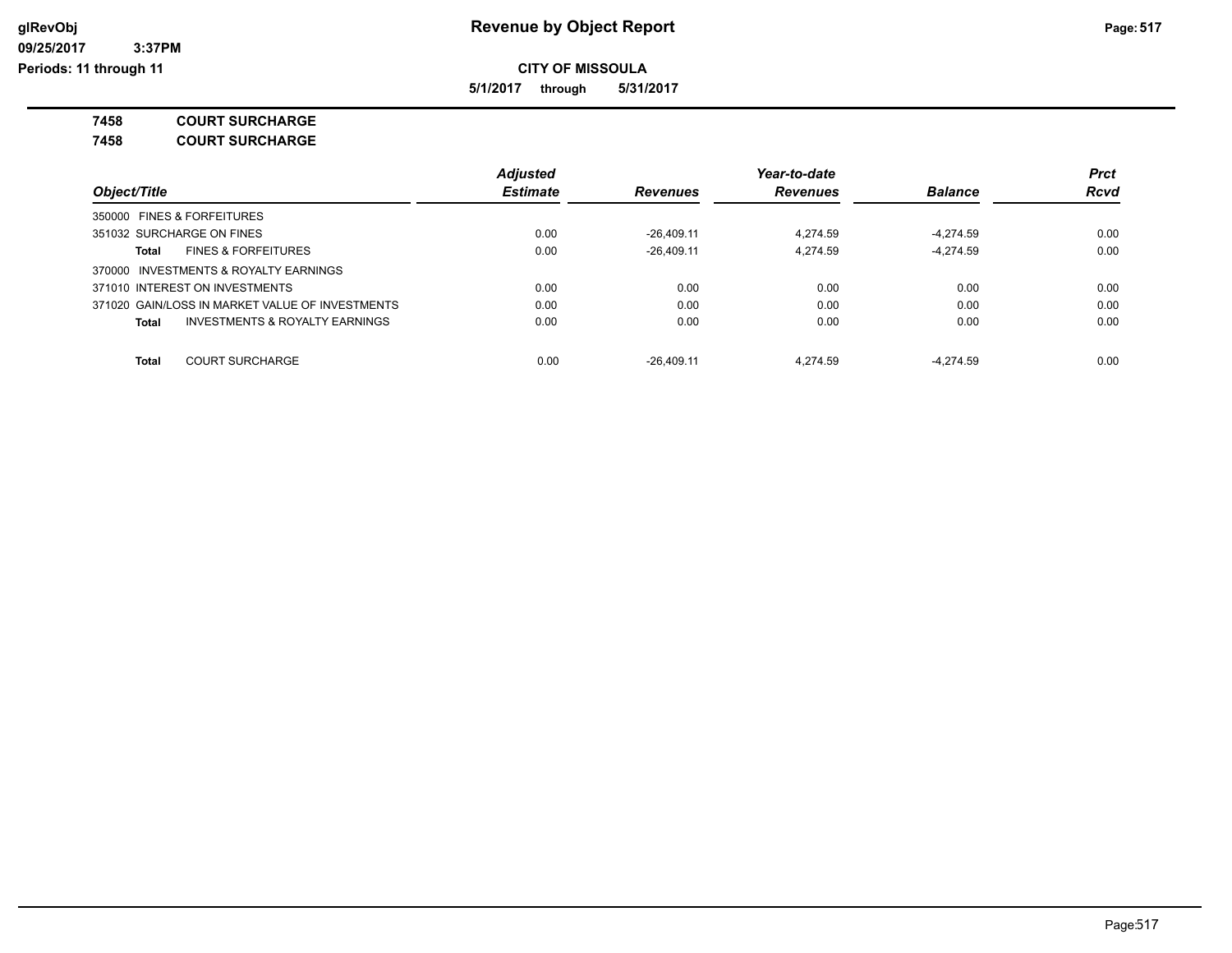**5/1/2017 through 5/31/2017**

**7458 COURT SURCHARGE**

**7458 COURT SURCHARGE**

|                                                 | <b>Adjusted</b> |                 | Year-to-date    |                | <b>Prct</b> |
|-------------------------------------------------|-----------------|-----------------|-----------------|----------------|-------------|
| Object/Title                                    | <b>Estimate</b> | <b>Revenues</b> | <b>Revenues</b> | <b>Balance</b> | Rcvd        |
| 350000 FINES & FORFEITURES                      |                 |                 |                 |                |             |
| 351032 SURCHARGE ON FINES                       | 0.00            | $-26.409.11$    | 4.274.59        | $-4.274.59$    | 0.00        |
| <b>FINES &amp; FORFEITURES</b><br>Total         | 0.00            | $-26.409.11$    | 4.274.59        | $-4.274.59$    | 0.00        |
| 370000 INVESTMENTS & ROYALTY EARNINGS           |                 |                 |                 |                |             |
| 371010 INTEREST ON INVESTMENTS                  | 0.00            | 0.00            | 0.00            | 0.00           | 0.00        |
| 371020 GAIN/LOSS IN MARKET VALUE OF INVESTMENTS | 0.00            | 0.00            | 0.00            | 0.00           | 0.00        |
| INVESTMENTS & ROYALTY EARNINGS<br>Total         | 0.00            | 0.00            | 0.00            | 0.00           | 0.00        |
| <b>COURT SURCHARGE</b><br><b>Total</b>          | 0.00            | $-26.409.11$    | 4.274.59        | $-4.274.59$    | 0.00        |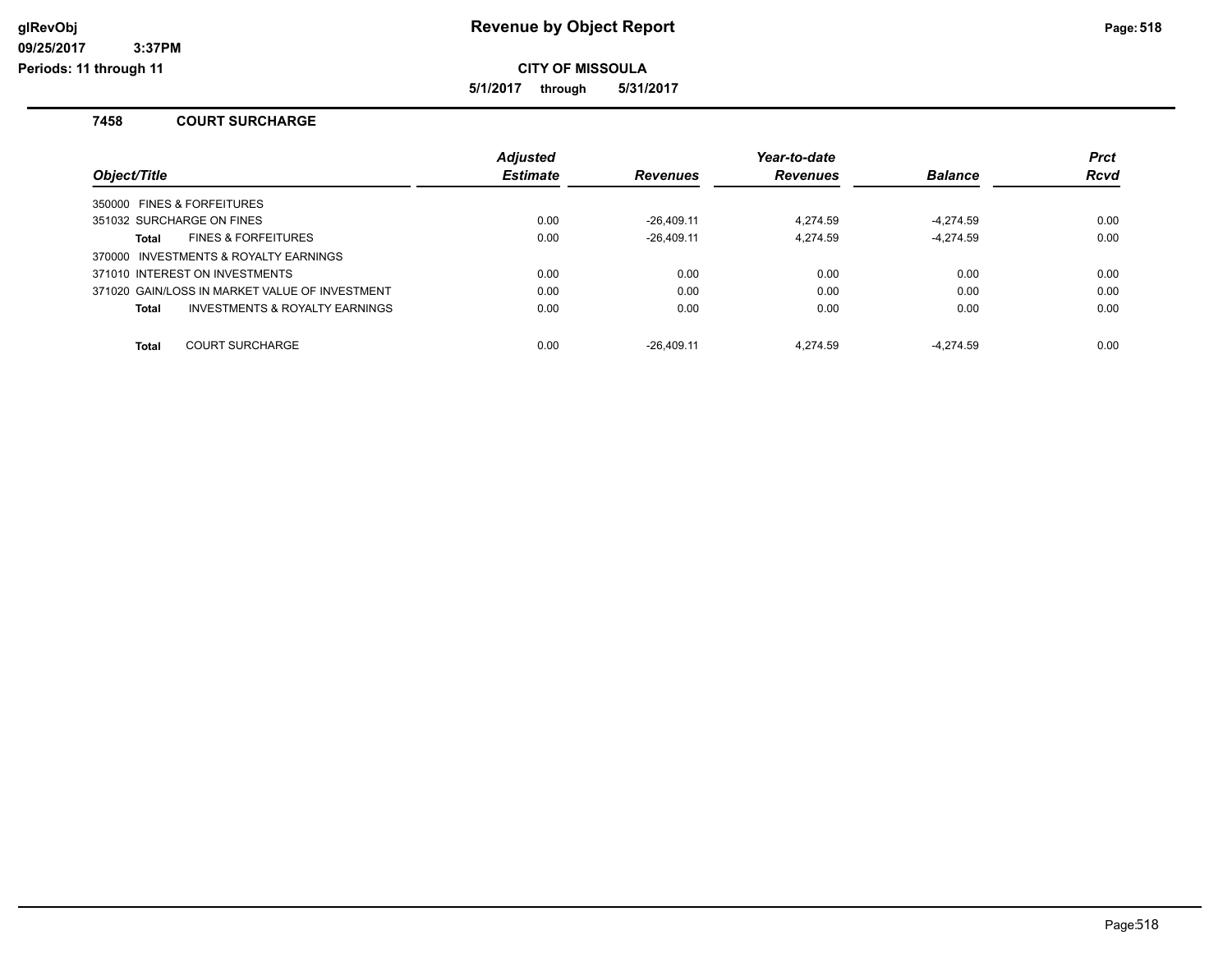**CITY OF MISSOULA**

**5/1/2017 through 5/31/2017**

#### **7458 COURT SURCHARGE**

 **3:37PM**

|                                                    | <b>Adjusted</b> |                 | Year-to-date    |                | <b>Prct</b> |
|----------------------------------------------------|-----------------|-----------------|-----------------|----------------|-------------|
| Object/Title                                       | <b>Estimate</b> | <b>Revenues</b> | <b>Revenues</b> | <b>Balance</b> | <b>Rcvd</b> |
| 350000 FINES & FORFEITURES                         |                 |                 |                 |                |             |
| 351032 SURCHARGE ON FINES                          | 0.00            | $-26.409.11$    | 4.274.59        | $-4.274.59$    | 0.00        |
| <b>FINES &amp; FORFEITURES</b><br>Total            | 0.00            | $-26.409.11$    | 4.274.59        | $-4.274.59$    | 0.00        |
| 370000 INVESTMENTS & ROYALTY EARNINGS              |                 |                 |                 |                |             |
| 371010 INTEREST ON INVESTMENTS                     | 0.00            | 0.00            | 0.00            | 0.00           | 0.00        |
| 371020 GAIN/LOSS IN MARKET VALUE OF INVESTMENT     | 0.00            | 0.00            | 0.00            | 0.00           | 0.00        |
| <b>INVESTMENTS &amp; ROYALTY EARNINGS</b><br>Total | 0.00            | 0.00            | 0.00            | 0.00           | 0.00        |
| Total<br><b>COURT SURCHARGE</b>                    | 0.00            | $-26.409.11$    | 4.274.59        | $-4.274.59$    | 0.00        |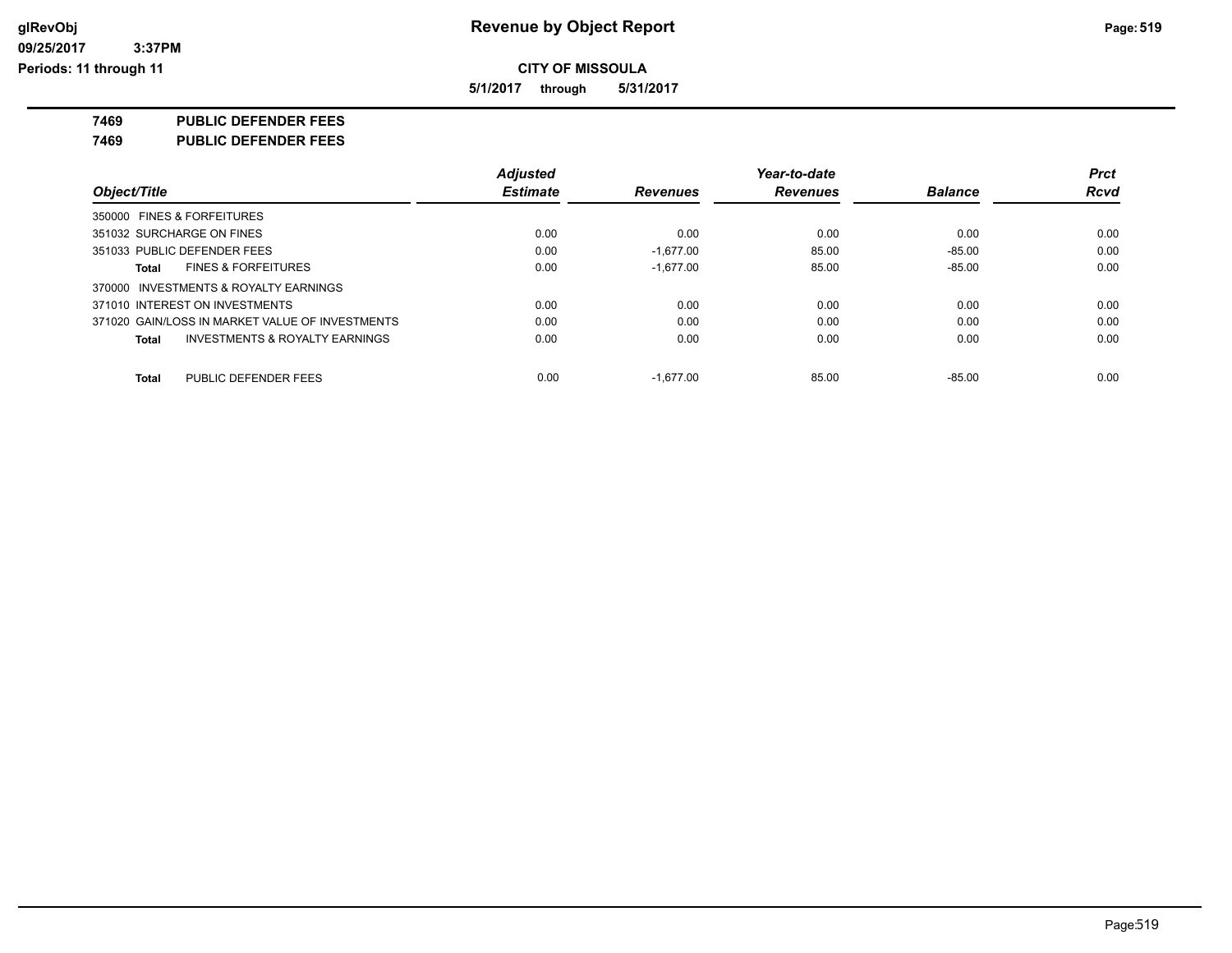**5/1/2017 through 5/31/2017**

**7469 PUBLIC DEFENDER FEES**

**7469 PUBLIC DEFENDER FEES**

|                                                    | <b>Adjusted</b> |                 | Year-to-date    |                | <b>Prct</b> |
|----------------------------------------------------|-----------------|-----------------|-----------------|----------------|-------------|
| Object/Title                                       | <b>Estimate</b> | <b>Revenues</b> | <b>Revenues</b> | <b>Balance</b> | <b>Rcvd</b> |
| 350000 FINES & FORFEITURES                         |                 |                 |                 |                |             |
| 351032 SURCHARGE ON FINES                          | 0.00            | 0.00            | 0.00            | 0.00           | 0.00        |
| 351033 PUBLIC DEFENDER FEES                        | 0.00            | $-1.677.00$     | 85.00           | $-85.00$       | 0.00        |
| <b>FINES &amp; FORFEITURES</b><br>Total            | 0.00            | $-1,677.00$     | 85.00           | $-85.00$       | 0.00        |
| 370000 INVESTMENTS & ROYALTY EARNINGS              |                 |                 |                 |                |             |
| 371010 INTEREST ON INVESTMENTS                     | 0.00            | 0.00            | 0.00            | 0.00           | 0.00        |
| 371020 GAIN/LOSS IN MARKET VALUE OF INVESTMENTS    | 0.00            | 0.00            | 0.00            | 0.00           | 0.00        |
| <b>INVESTMENTS &amp; ROYALTY EARNINGS</b><br>Total | 0.00            | 0.00            | 0.00            | 0.00           | 0.00        |
| PUBLIC DEFENDER FEES<br><b>Total</b>               | 0.00            | $-1.677.00$     | 85.00           | $-85.00$       | 0.00        |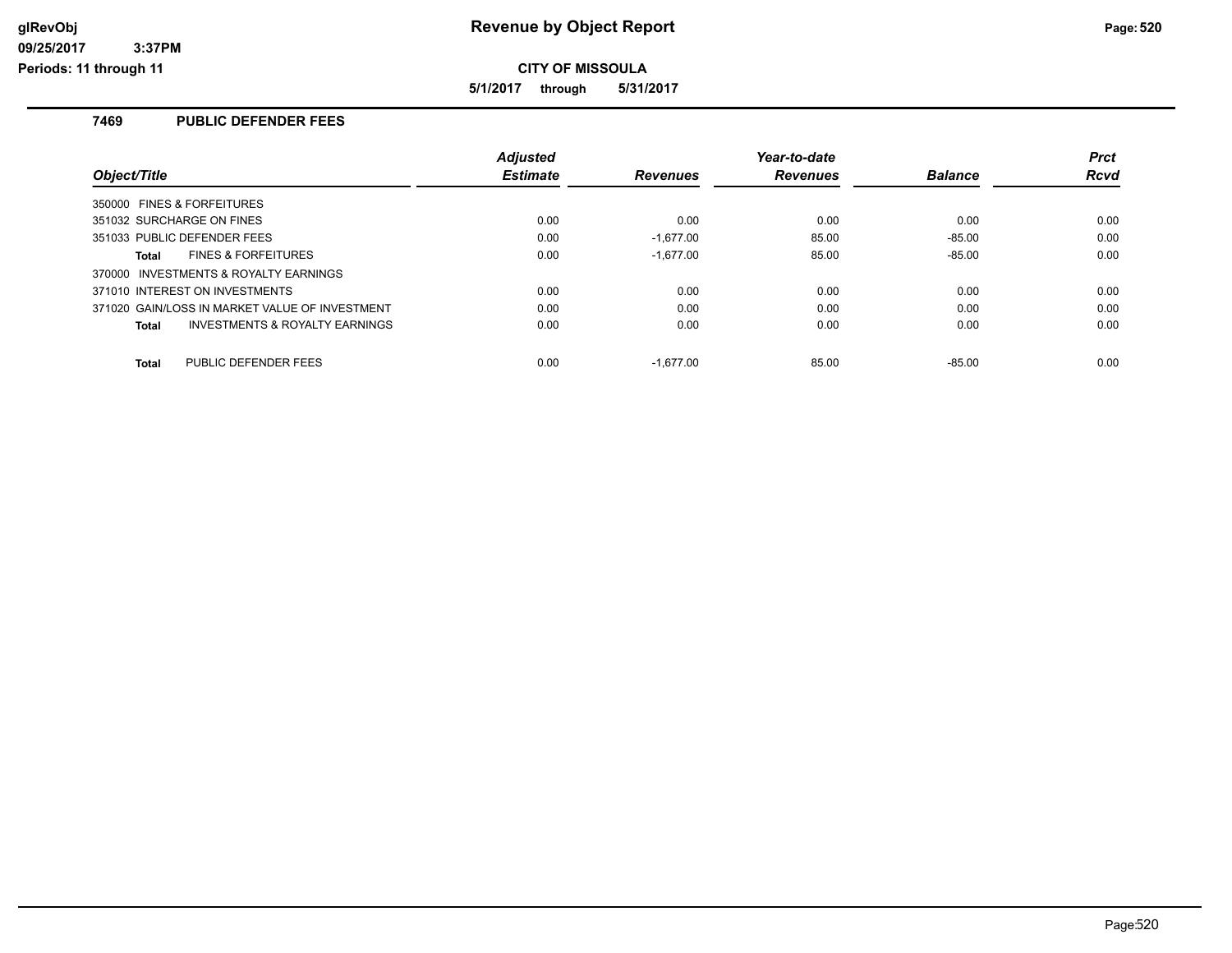**CITY OF MISSOULA**

**5/1/2017 through 5/31/2017**

## **7469 PUBLIC DEFENDER FEES**

|                                                | <b>Adiusted</b> |                 | Year-to-date    |                | <b>Prct</b> |
|------------------------------------------------|-----------------|-----------------|-----------------|----------------|-------------|
| Object/Title                                   | <b>Estimate</b> | <b>Revenues</b> | <b>Revenues</b> | <b>Balance</b> | Rcvd        |
| 350000 FINES & FORFEITURES                     |                 |                 |                 |                |             |
| 351032 SURCHARGE ON FINES                      | 0.00            | 0.00            | 0.00            | 0.00           | 0.00        |
| 351033 PUBLIC DEFENDER FEES                    | 0.00            | $-1.677.00$     | 85.00           | $-85.00$       | 0.00        |
| <b>FINES &amp; FORFEITURES</b><br><b>Total</b> | 0.00            | $-1.677.00$     | 85.00           | $-85.00$       | 0.00        |
| 370000 INVESTMENTS & ROYALTY EARNINGS          |                 |                 |                 |                |             |
| 371010 INTEREST ON INVESTMENTS                 | 0.00            | 0.00            | 0.00            | 0.00           | 0.00        |
| 371020 GAIN/LOSS IN MARKET VALUE OF INVESTMENT | 0.00            | 0.00            | 0.00            | 0.00           | 0.00        |
| INVESTMENTS & ROYALTY EARNINGS<br>Total        | 0.00            | 0.00            | 0.00            | 0.00           | 0.00        |
| PUBLIC DEFENDER FEES<br><b>Total</b>           | 0.00            | $-1.677.00$     | 85.00           | $-85.00$       | 0.00        |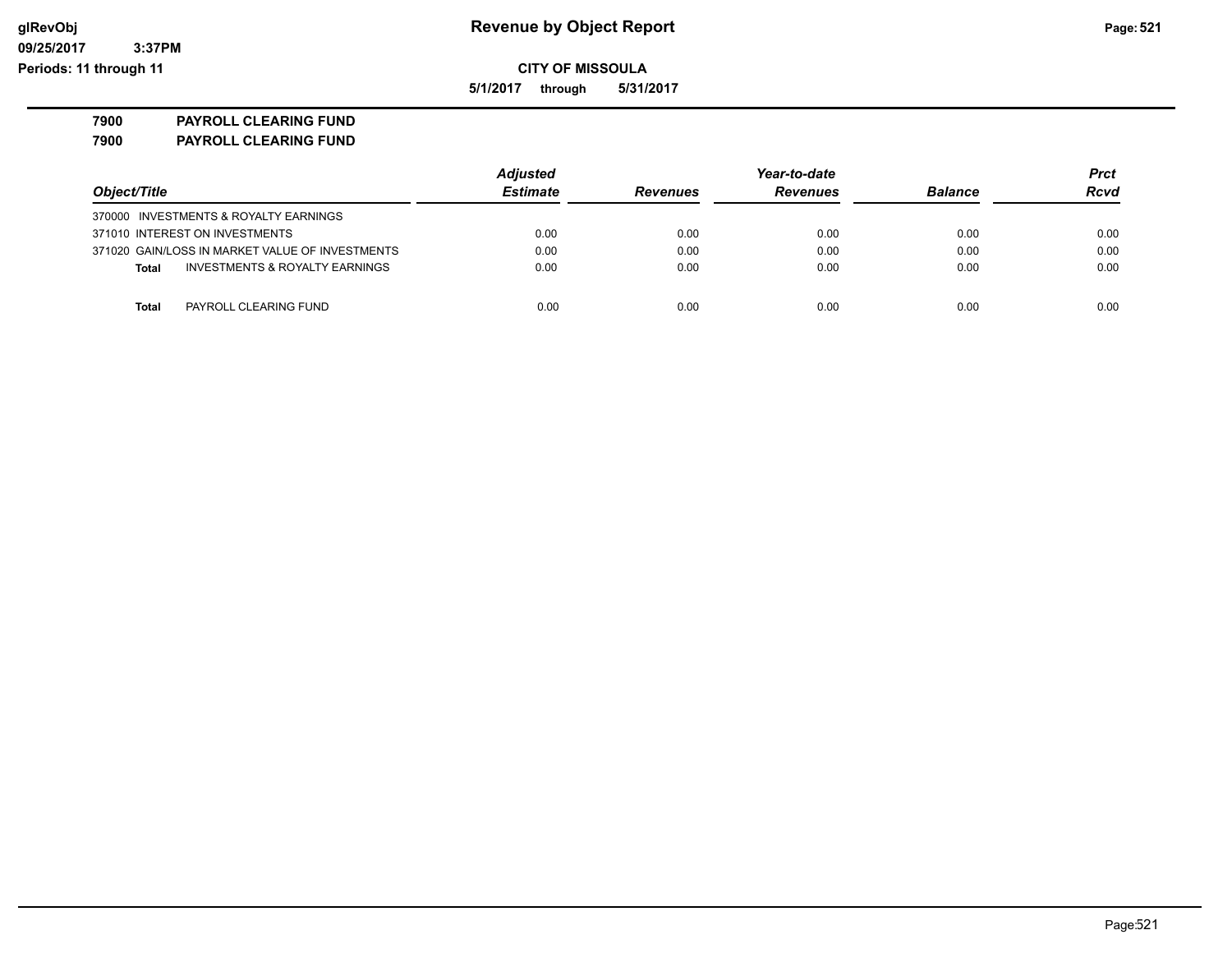**5/1/2017 through 5/31/2017**

# **7900 PAYROLL CLEARING FUND**

**7900 PAYROLL CLEARING FUND**

|                                                           | <b>Adjusted</b> |                 | Year-to-date    |                | Prct |
|-----------------------------------------------------------|-----------------|-----------------|-----------------|----------------|------|
| Object/Title                                              | <b>Estimate</b> | <b>Revenues</b> | <b>Revenues</b> | <b>Balance</b> | Rcvd |
| 370000 INVESTMENTS & ROYALTY EARNINGS                     |                 |                 |                 |                |      |
| 371010 INTEREST ON INVESTMENTS                            | 0.00            | 0.00            | 0.00            | 0.00           | 0.00 |
| 371020 GAIN/LOSS IN MARKET VALUE OF INVESTMENTS           | 0.00            | 0.00            | 0.00            | 0.00           | 0.00 |
| <b>INVESTMENTS &amp; ROYALTY EARNINGS</b><br><b>Total</b> | 0.00            | 0.00            | 0.00            | 0.00           | 0.00 |
|                                                           |                 |                 |                 |                |      |
| <b>Total</b><br>PAYROLL CLEARING FUND                     | 0.00            | 0.00            | 0.00            | 0.00           | 0.00 |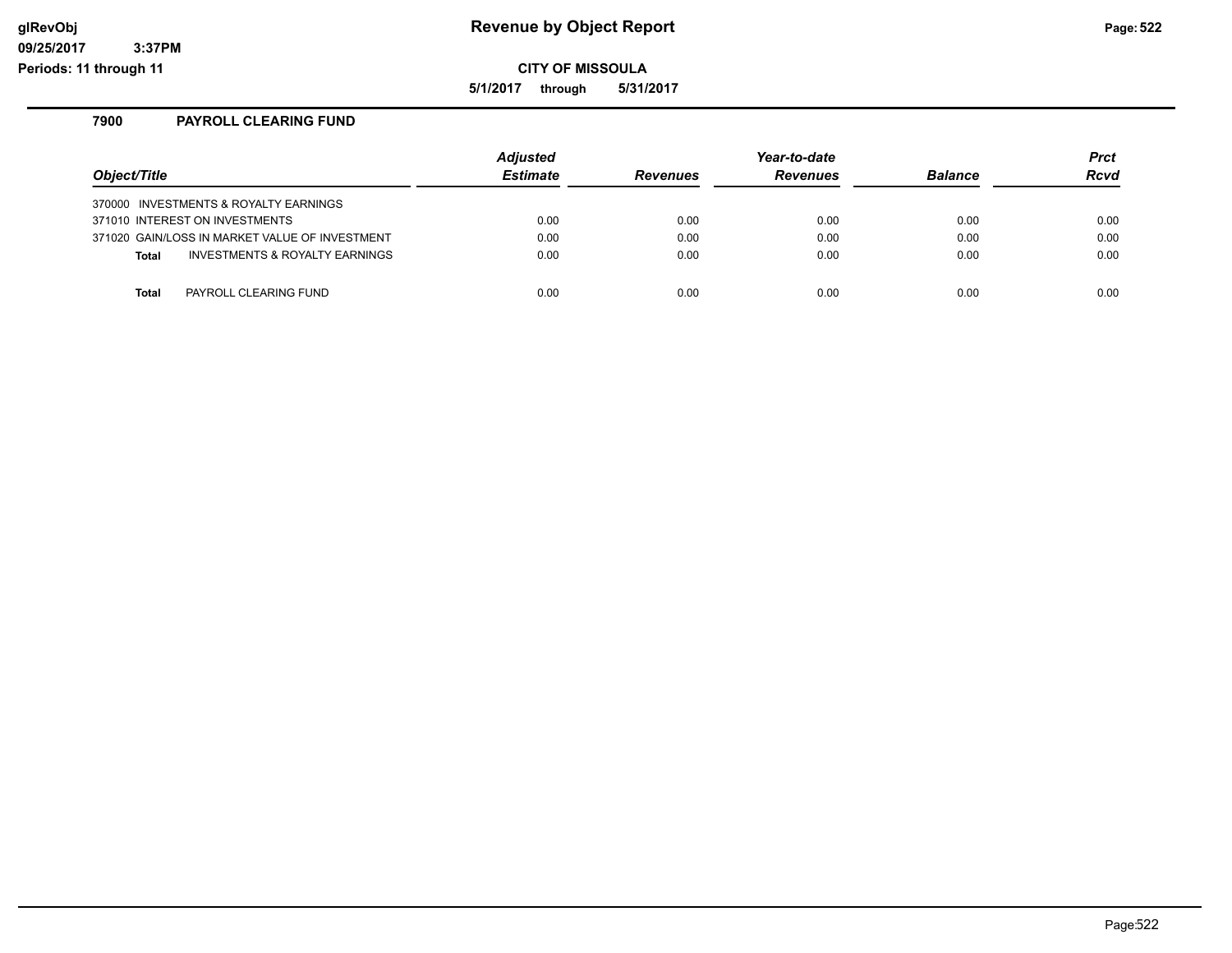**CITY OF MISSOULA**

**5/1/2017 through 5/31/2017**

## **7900 PAYROLL CLEARING FUND**

 **3:37PM**

| Object/Title                                   | Adjusted<br><b>Estimate</b> | <b>Revenues</b> | Year-to-date<br><b>Revenues</b> | <b>Balance</b> | <b>Prct</b><br><b>Rcvd</b> |
|------------------------------------------------|-----------------------------|-----------------|---------------------------------|----------------|----------------------------|
| 370000 INVESTMENTS & ROYALTY EARNINGS          |                             |                 |                                 |                |                            |
| 371010 INTEREST ON INVESTMENTS                 | 0.00                        | 0.00            | 0.00                            | 0.00           | 0.00                       |
| 371020 GAIN/LOSS IN MARKET VALUE OF INVESTMENT | 0.00                        | 0.00            | 0.00                            | 0.00           | 0.00                       |
| INVESTMENTS & ROYALTY EARNINGS<br>Total        | 0.00                        | 0.00            | 0.00                            | 0.00           | 0.00                       |
|                                                |                             |                 |                                 |                |                            |
| PAYROLL CLEARING FUND<br>Total                 | 0.00                        | 0.00            | 0.00                            | 0.00           | 0.00                       |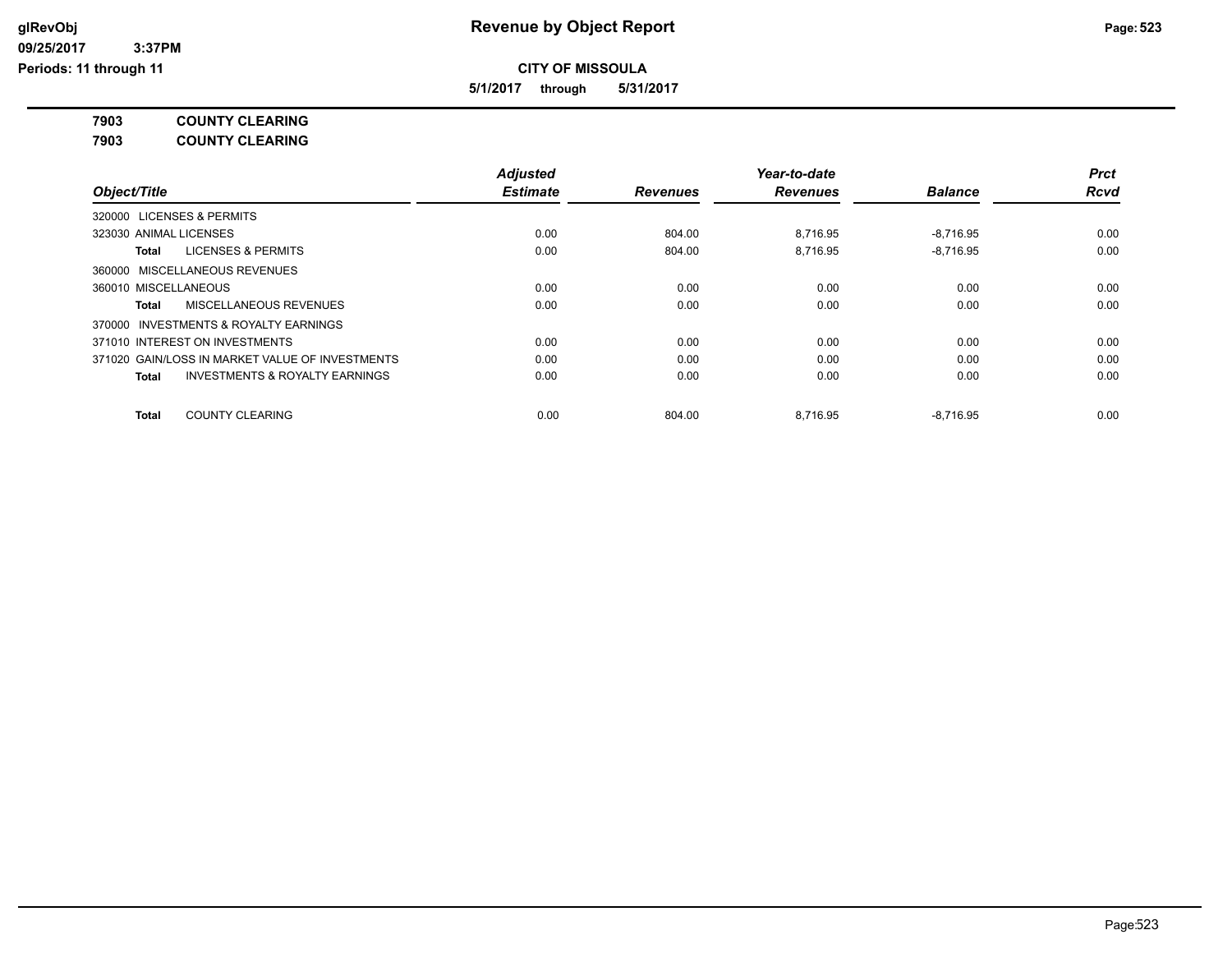**5/1/2017 through 5/31/2017**

**7903 COUNTY CLEARING**

**7903 COUNTY CLEARING**

|                                                    | <b>Adjusted</b> |                 | Year-to-date    |                | <b>Prct</b> |
|----------------------------------------------------|-----------------|-----------------|-----------------|----------------|-------------|
| Object/Title                                       | <b>Estimate</b> | <b>Revenues</b> | <b>Revenues</b> | <b>Balance</b> | <b>Rcvd</b> |
| <b>LICENSES &amp; PERMITS</b><br>320000            |                 |                 |                 |                |             |
| 323030 ANIMAL LICENSES                             | 0.00            | 804.00          | 8.716.95        | $-8.716.95$    | 0.00        |
| LICENSES & PERMITS<br>Total                        | 0.00            | 804.00          | 8,716.95        | $-8,716.95$    | 0.00        |
| 360000 MISCELLANEOUS REVENUES                      |                 |                 |                 |                |             |
| 360010 MISCELLANEOUS                               | 0.00            | 0.00            | 0.00            | 0.00           | 0.00        |
| MISCELLANEOUS REVENUES<br>Total                    | 0.00            | 0.00            | 0.00            | 0.00           | 0.00        |
| 370000 INVESTMENTS & ROYALTY EARNINGS              |                 |                 |                 |                |             |
| 371010 INTEREST ON INVESTMENTS                     | 0.00            | 0.00            | 0.00            | 0.00           | 0.00        |
| 371020 GAIN/LOSS IN MARKET VALUE OF INVESTMENTS    | 0.00            | 0.00            | 0.00            | 0.00           | 0.00        |
| <b>INVESTMENTS &amp; ROYALTY EARNINGS</b><br>Total | 0.00            | 0.00            | 0.00            | 0.00           | 0.00        |
| <b>COUNTY CLEARING</b><br><b>Total</b>             | 0.00            | 804.00          | 8.716.95        | $-8.716.95$    | 0.00        |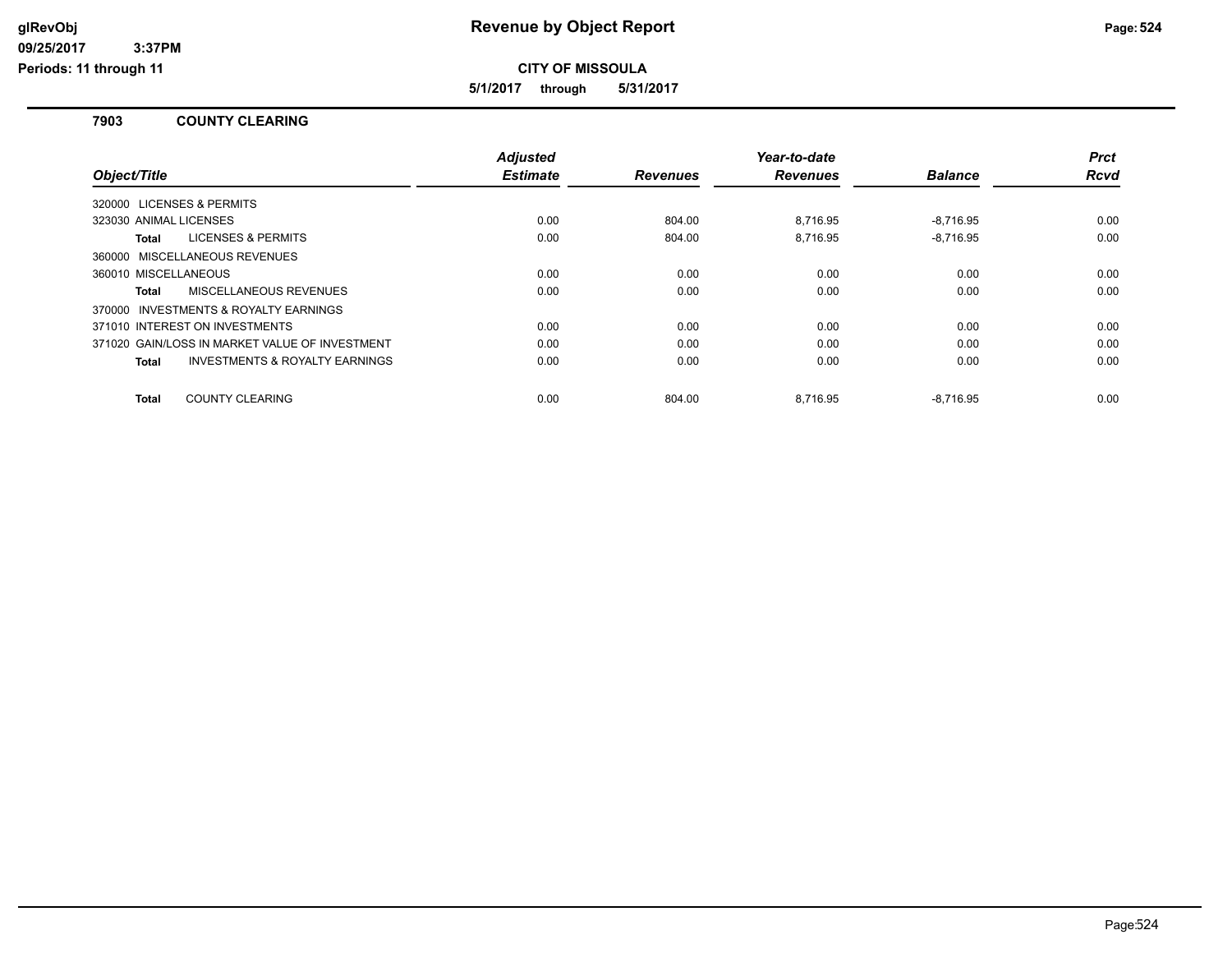**CITY OF MISSOULA**

**5/1/2017 through 5/31/2017**

#### **7903 COUNTY CLEARING**

|                                                | <b>Adjusted</b> |                 | Year-to-date    |                | <b>Prct</b> |
|------------------------------------------------|-----------------|-----------------|-----------------|----------------|-------------|
| Object/Title                                   | <b>Estimate</b> | <b>Revenues</b> | <b>Revenues</b> | <b>Balance</b> | <b>Rcvd</b> |
| 320000 LICENSES & PERMITS                      |                 |                 |                 |                |             |
| 323030 ANIMAL LICENSES                         | 0.00            | 804.00          | 8.716.95        | $-8.716.95$    | 0.00        |
| <b>LICENSES &amp; PERMITS</b><br>Total         | 0.00            | 804.00          | 8.716.95        | $-8.716.95$    | 0.00        |
| 360000 MISCELLANEOUS REVENUES                  |                 |                 |                 |                |             |
| 360010 MISCELLANEOUS                           | 0.00            | 0.00            | 0.00            | 0.00           | 0.00        |
| MISCELLANEOUS REVENUES<br>Total                | 0.00            | 0.00            | 0.00            | 0.00           | 0.00        |
| 370000 INVESTMENTS & ROYALTY EARNINGS          |                 |                 |                 |                |             |
| 371010 INTEREST ON INVESTMENTS                 | 0.00            | 0.00            | 0.00            | 0.00           | 0.00        |
| 371020 GAIN/LOSS IN MARKET VALUE OF INVESTMENT | 0.00            | 0.00            | 0.00            | 0.00           | 0.00        |
| INVESTMENTS & ROYALTY EARNINGS<br><b>Total</b> | 0.00            | 0.00            | 0.00            | 0.00           | 0.00        |
| <b>COUNTY CLEARING</b><br><b>Total</b>         | 0.00            | 804.00          | 8.716.95        | $-8.716.95$    | 0.00        |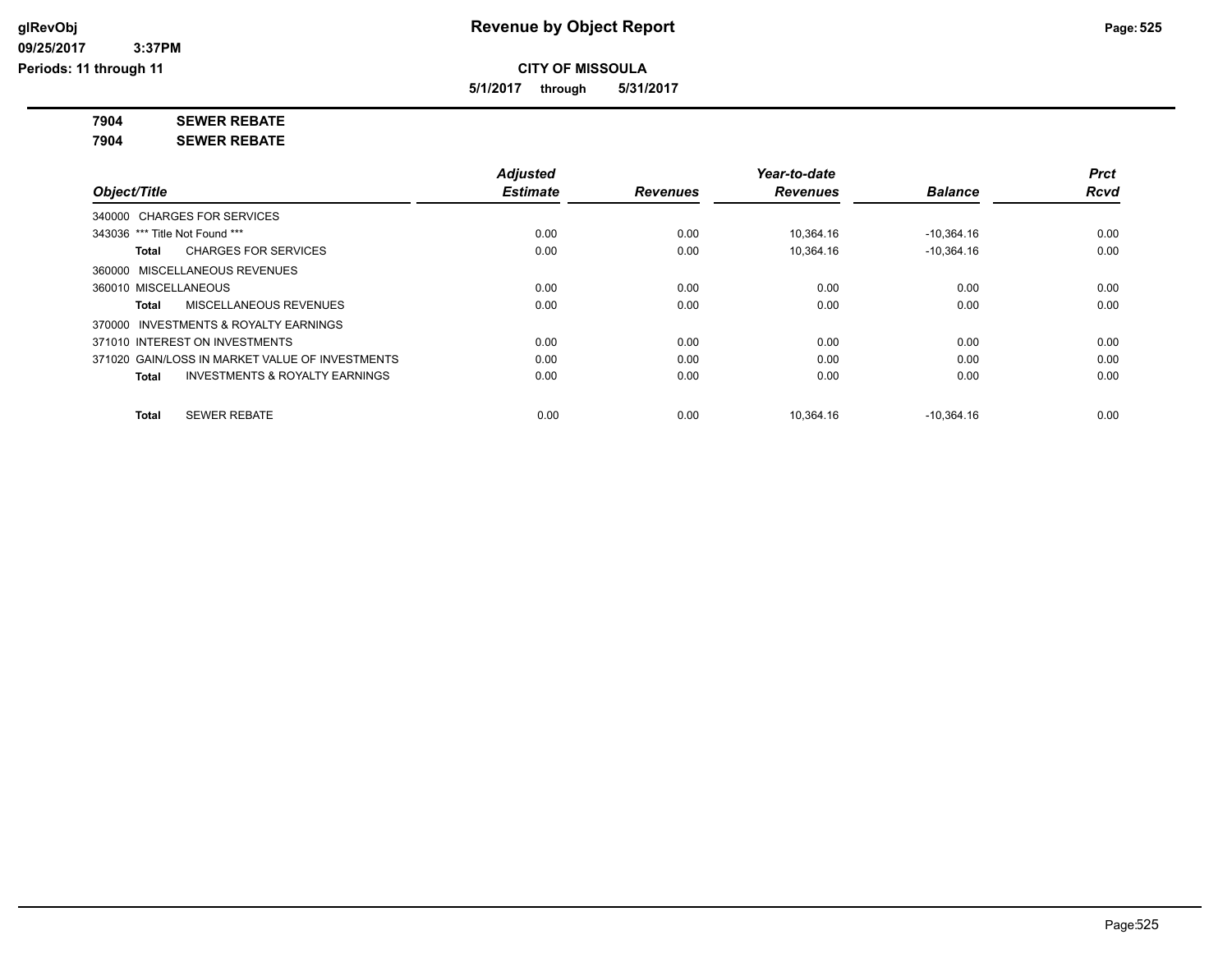**5/1/2017 through 5/31/2017**

**7904 SEWER REBATE**

**7904 SEWER REBATE**

|                                                    | <b>Adjusted</b> |                 | Year-to-date    |                | <b>Prct</b> |
|----------------------------------------------------|-----------------|-----------------|-----------------|----------------|-------------|
| Object/Title                                       | <b>Estimate</b> | <b>Revenues</b> | <b>Revenues</b> | <b>Balance</b> | <b>Rcvd</b> |
| 340000 CHARGES FOR SERVICES                        |                 |                 |                 |                |             |
| 343036 *** Title Not Found ***                     | 0.00            | 0.00            | 10,364.16       | $-10,364.16$   | 0.00        |
| <b>CHARGES FOR SERVICES</b><br>Total               | 0.00            | 0.00            | 10.364.16       | $-10,364.16$   | 0.00        |
| 360000 MISCELLANEOUS REVENUES                      |                 |                 |                 |                |             |
| 360010 MISCELLANEOUS                               | 0.00            | 0.00            | 0.00            | 0.00           | 0.00        |
| MISCELLANEOUS REVENUES<br>Total                    | 0.00            | 0.00            | 0.00            | 0.00           | 0.00        |
| 370000 INVESTMENTS & ROYALTY EARNINGS              |                 |                 |                 |                |             |
| 371010 INTEREST ON INVESTMENTS                     | 0.00            | 0.00            | 0.00            | 0.00           | 0.00        |
| 371020 GAIN/LOSS IN MARKET VALUE OF INVESTMENTS    | 0.00            | 0.00            | 0.00            | 0.00           | 0.00        |
| <b>INVESTMENTS &amp; ROYALTY EARNINGS</b><br>Total | 0.00            | 0.00            | 0.00            | 0.00           | 0.00        |
| <b>SEWER REBATE</b><br>Total                       | 0.00            | 0.00            | 10.364.16       | $-10.364.16$   | 0.00        |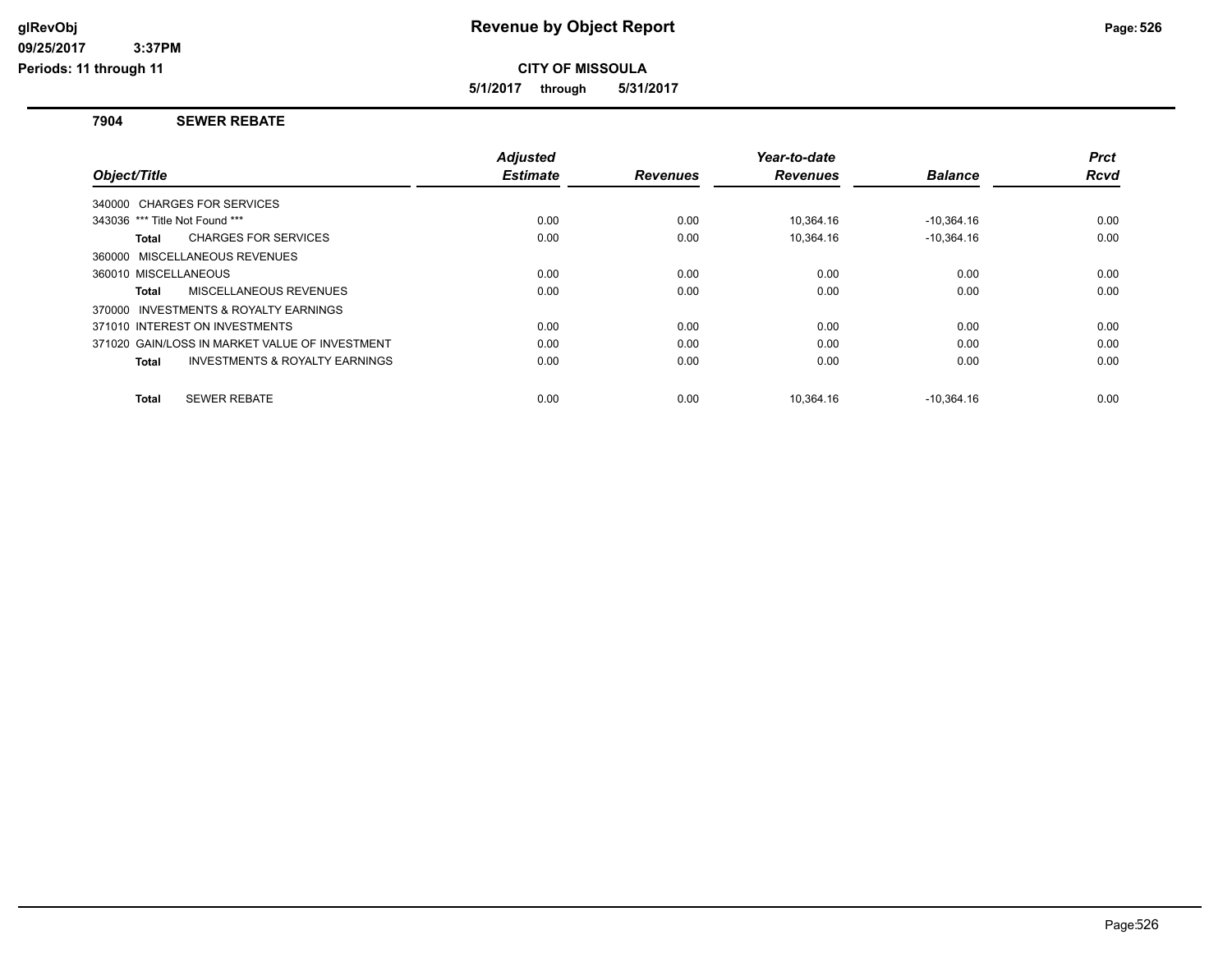**CITY OF MISSOULA**

**5/1/2017 through 5/31/2017**

#### **7904 SEWER REBATE**

 **3:37PM**

|                                                    | <b>Adjusted</b><br><b>Estimate</b> |                 | Year-to-date    | <b>Balance</b> | <b>Prct</b><br><b>Rcvd</b> |
|----------------------------------------------------|------------------------------------|-----------------|-----------------|----------------|----------------------------|
| Object/Title                                       |                                    | <b>Revenues</b> | <b>Revenues</b> |                |                            |
| 340000 CHARGES FOR SERVICES                        |                                    |                 |                 |                |                            |
| 343036 *** Title Not Found ***                     | 0.00                               | 0.00            | 10.364.16       | $-10,364.16$   | 0.00                       |
| <b>CHARGES FOR SERVICES</b><br>Total               | 0.00                               | 0.00            | 10.364.16       | $-10,364.16$   | 0.00                       |
| 360000 MISCELLANEOUS REVENUES                      |                                    |                 |                 |                |                            |
| 360010 MISCELLANEOUS                               | 0.00                               | 0.00            | 0.00            | 0.00           | 0.00                       |
| <b>MISCELLANEOUS REVENUES</b><br>Total             | 0.00                               | 0.00            | 0.00            | 0.00           | 0.00                       |
| 370000 INVESTMENTS & ROYALTY EARNINGS              |                                    |                 |                 |                |                            |
| 371010 INTEREST ON INVESTMENTS                     | 0.00                               | 0.00            | 0.00            | 0.00           | 0.00                       |
| 371020 GAIN/LOSS IN MARKET VALUE OF INVESTMENT     | 0.00                               | 0.00            | 0.00            | 0.00           | 0.00                       |
| <b>INVESTMENTS &amp; ROYALTY EARNINGS</b><br>Total | 0.00                               | 0.00            | 0.00            | 0.00           | 0.00                       |
|                                                    |                                    |                 |                 |                |                            |
| <b>SEWER REBATE</b><br>Total                       | 0.00                               | 0.00            | 10.364.16       | $-10.364.16$   | 0.00                       |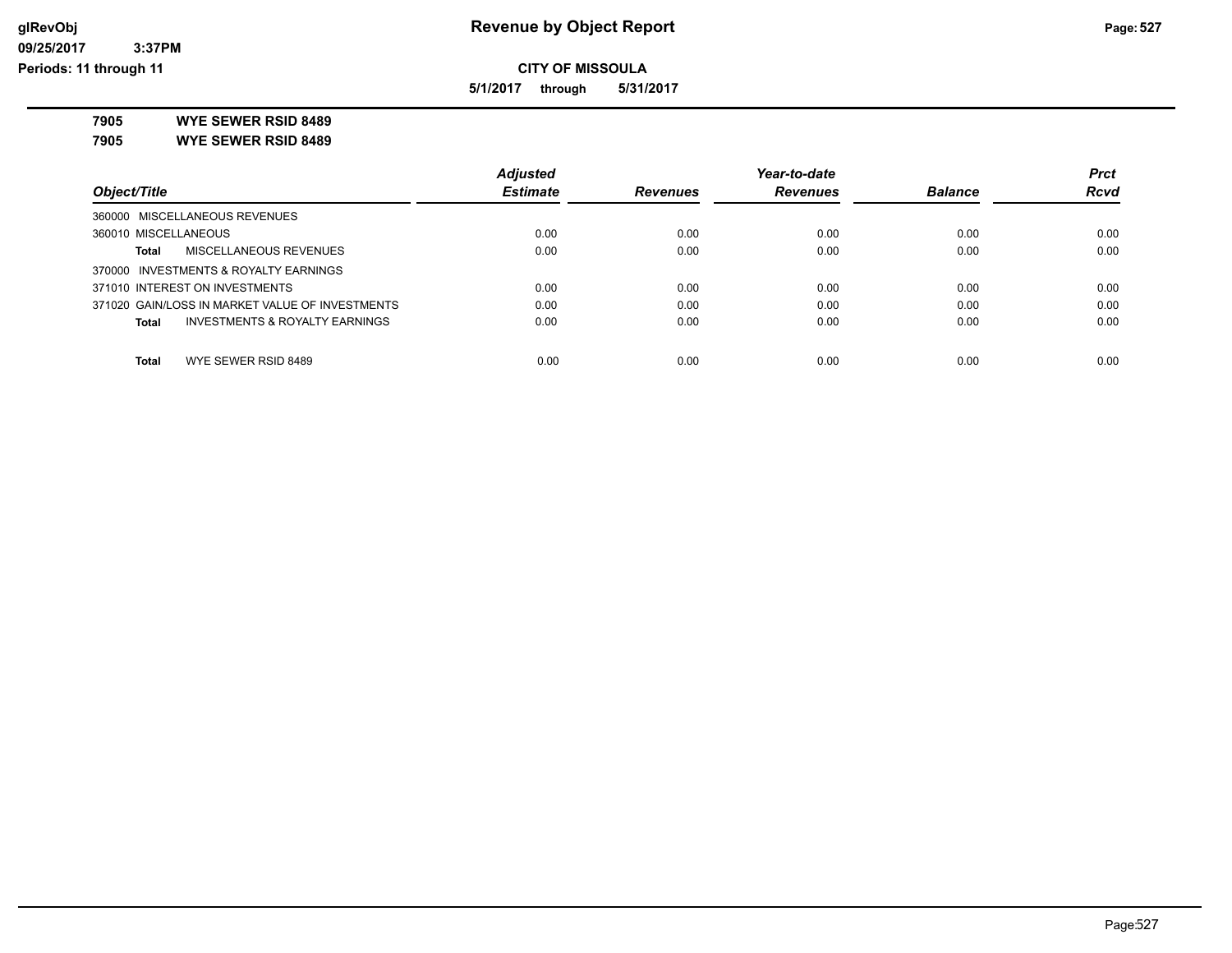**5/1/2017 through 5/31/2017**

**7905 WYE SEWER RSID 8489**

**7905 WYE SEWER RSID 8489**

|                                                 | <b>Adjusted</b> |                 | Year-to-date    |                | Prct        |
|-------------------------------------------------|-----------------|-----------------|-----------------|----------------|-------------|
| Object/Title                                    | <b>Estimate</b> | <b>Revenues</b> | <b>Revenues</b> | <b>Balance</b> | <b>Rcvd</b> |
| 360000 MISCELLANEOUS REVENUES                   |                 |                 |                 |                |             |
| 360010 MISCELLANEOUS                            | 0.00            | 0.00            | 0.00            | 0.00           | 0.00        |
| MISCELLANEOUS REVENUES<br><b>Total</b>          | 0.00            | 0.00            | 0.00            | 0.00           | 0.00        |
| 370000 INVESTMENTS & ROYALTY EARNINGS           |                 |                 |                 |                |             |
| 371010 INTEREST ON INVESTMENTS                  | 0.00            | 0.00            | 0.00            | 0.00           | 0.00        |
| 371020 GAIN/LOSS IN MARKET VALUE OF INVESTMENTS | 0.00            | 0.00            | 0.00            | 0.00           | 0.00        |
| INVESTMENTS & ROYALTY EARNINGS<br><b>Total</b>  | 0.00            | 0.00            | 0.00            | 0.00           | 0.00        |
| WYE SEWER RSID 8489<br><b>Total</b>             | 0.00            | 0.00            | 0.00            | 0.00           | 0.00        |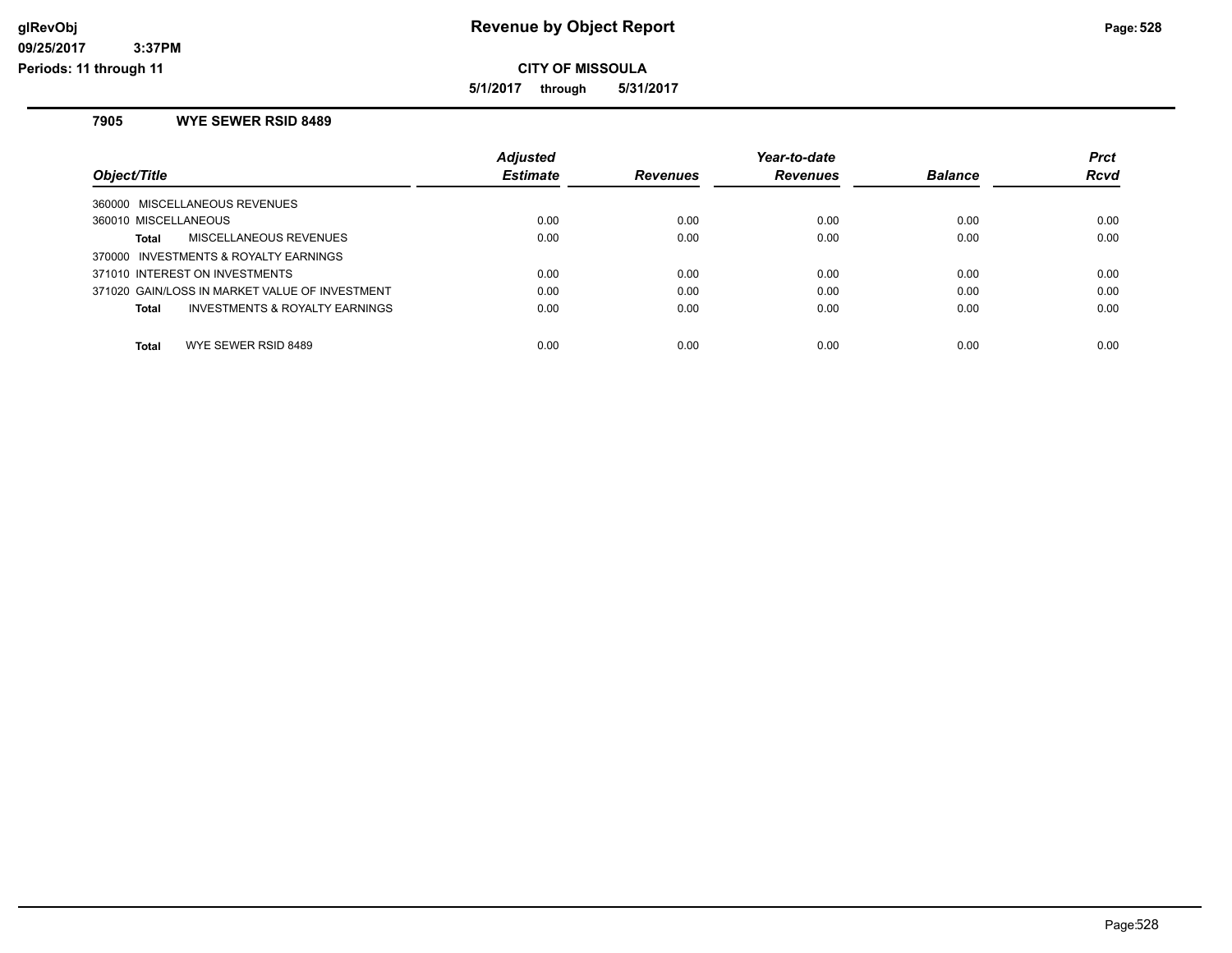**CITY OF MISSOULA**

**5/1/2017 through 5/31/2017**

#### **7905 WYE SEWER RSID 8489**

|                                                | <b>Adjusted</b> |                 | Year-to-date    |                | <b>Prct</b> |
|------------------------------------------------|-----------------|-----------------|-----------------|----------------|-------------|
| Object/Title                                   | <b>Estimate</b> | <b>Revenues</b> | <b>Revenues</b> | <b>Balance</b> | <b>Rcvd</b> |
| 360000 MISCELLANEOUS REVENUES                  |                 |                 |                 |                |             |
| 360010 MISCELLANEOUS                           | 0.00            | 0.00            | 0.00            | 0.00           | 0.00        |
| MISCELLANEOUS REVENUES<br>Total                | 0.00            | 0.00            | 0.00            | 0.00           | 0.00        |
| 370000 INVESTMENTS & ROYALTY EARNINGS          |                 |                 |                 |                |             |
| 371010 INTEREST ON INVESTMENTS                 | 0.00            | 0.00            | 0.00            | 0.00           | 0.00        |
| 371020 GAIN/LOSS IN MARKET VALUE OF INVESTMENT | 0.00            | 0.00            | 0.00            | 0.00           | 0.00        |
| INVESTMENTS & ROYALTY EARNINGS<br>Total        | 0.00            | 0.00            | 0.00            | 0.00           | 0.00        |
|                                                |                 |                 |                 |                |             |
| Total<br>WYE SEWER RSID 8489                   | 0.00            | 0.00            | 0.00            | 0.00           | 0.00        |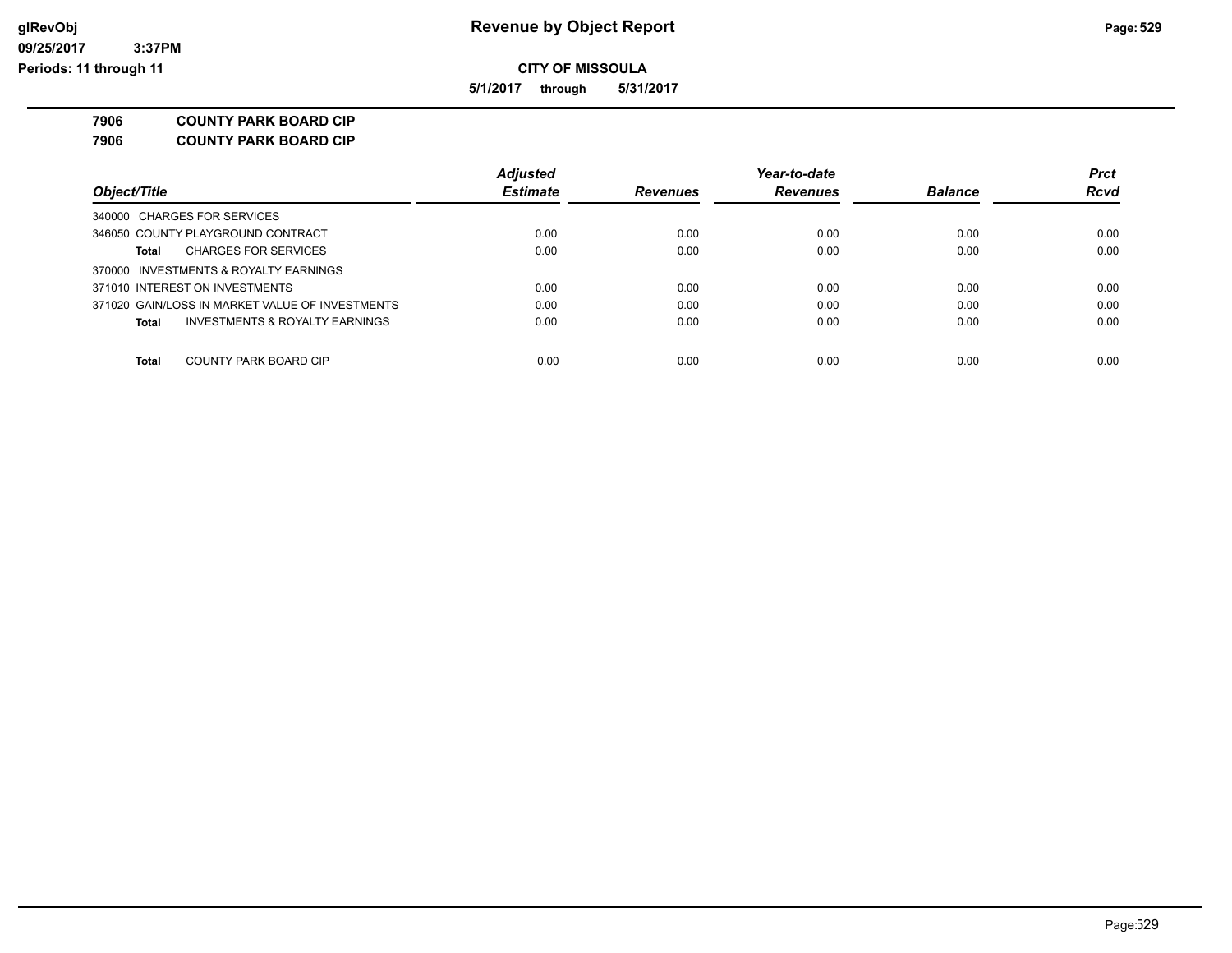**5/1/2017 through 5/31/2017**

**7906 COUNTY PARK BOARD CIP**

**7906 COUNTY PARK BOARD CIP**

|                                                 | <b>Adjusted</b> |                 | Year-to-date    |                | <b>Prct</b> |
|-------------------------------------------------|-----------------|-----------------|-----------------|----------------|-------------|
| Object/Title                                    | <b>Estimate</b> | <b>Revenues</b> | <b>Revenues</b> | <b>Balance</b> | <b>Rcvd</b> |
| 340000 CHARGES FOR SERVICES                     |                 |                 |                 |                |             |
| 346050 COUNTY PLAYGROUND CONTRACT               | 0.00            | 0.00            | 0.00            | 0.00           | 0.00        |
| <b>CHARGES FOR SERVICES</b><br>Total            | 0.00            | 0.00            | 0.00            | 0.00           | 0.00        |
| 370000 INVESTMENTS & ROYALTY EARNINGS           |                 |                 |                 |                |             |
| 371010 INTEREST ON INVESTMENTS                  | 0.00            | 0.00            | 0.00            | 0.00           | 0.00        |
| 371020 GAIN/LOSS IN MARKET VALUE OF INVESTMENTS | 0.00            | 0.00            | 0.00            | 0.00           | 0.00        |
| INVESTMENTS & ROYALTY EARNINGS<br>Total         | 0.00            | 0.00            | 0.00            | 0.00           | 0.00        |
|                                                 |                 |                 |                 |                |             |
| COUNTY PARK BOARD CIP<br>Total                  | 0.00            | 0.00            | 0.00            | 0.00           | 0.00        |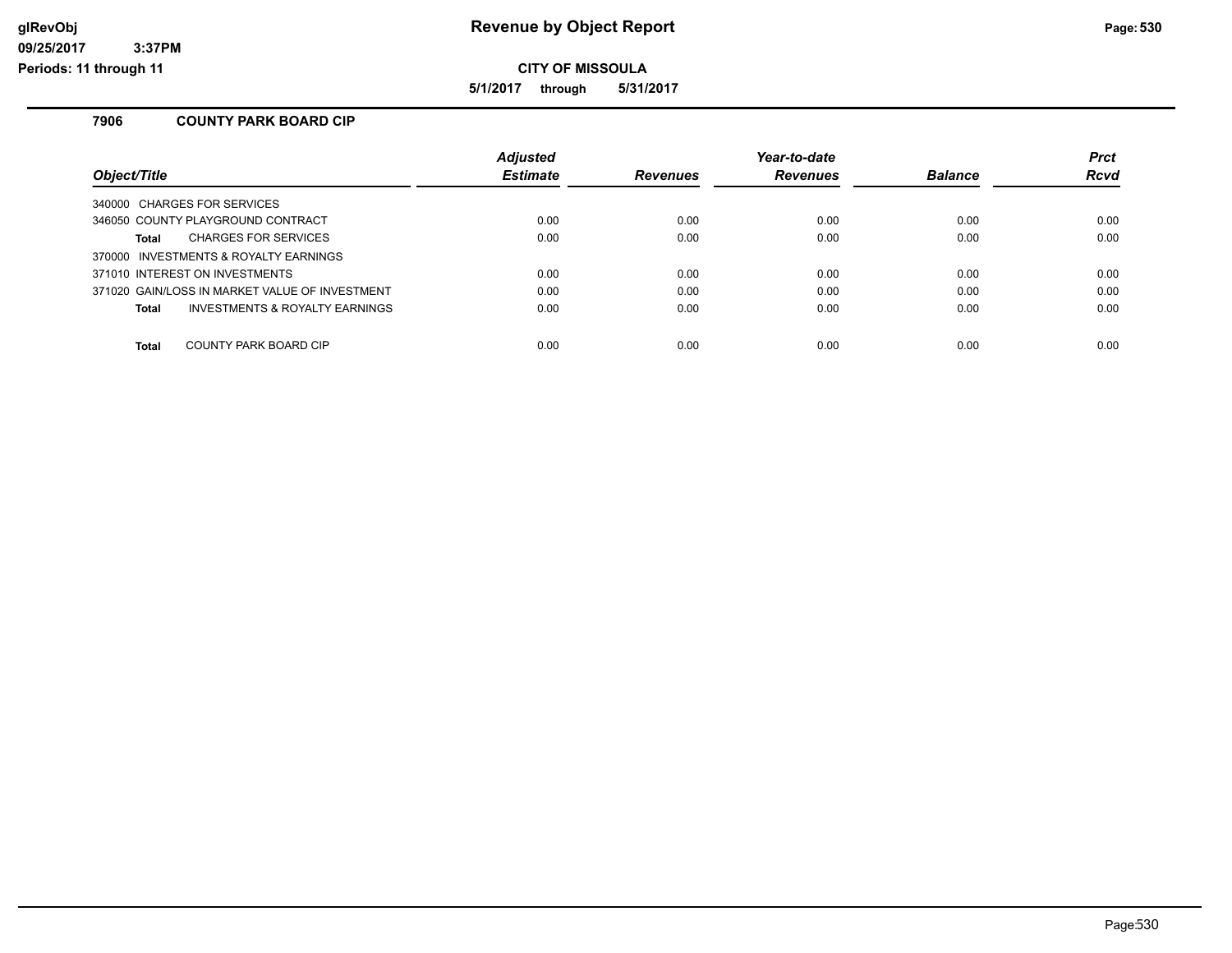**CITY OF MISSOULA**

**5/1/2017 through 5/31/2017**

## **7906 COUNTY PARK BOARD CIP**

 **3:37PM**

|                                                    | Adjusted        |                 | Year-to-date    |                | <b>Prct</b> |
|----------------------------------------------------|-----------------|-----------------|-----------------|----------------|-------------|
| Object/Title                                       | <b>Estimate</b> | <b>Revenues</b> | <b>Revenues</b> | <b>Balance</b> | <b>Rcvd</b> |
| 340000 CHARGES FOR SERVICES                        |                 |                 |                 |                |             |
| 346050 COUNTY PLAYGROUND CONTRACT                  | 0.00            | 0.00            | 0.00            | 0.00           | 0.00        |
| <b>CHARGES FOR SERVICES</b><br>Total               | 0.00            | 0.00            | 0.00            | 0.00           | 0.00        |
| 370000 INVESTMENTS & ROYALTY EARNINGS              |                 |                 |                 |                |             |
| 371010 INTEREST ON INVESTMENTS                     | 0.00            | 0.00            | 0.00            | 0.00           | 0.00        |
| 371020 GAIN/LOSS IN MARKET VALUE OF INVESTMENT     | 0.00            | 0.00            | 0.00            | 0.00           | 0.00        |
| <b>INVESTMENTS &amp; ROYALTY EARNINGS</b><br>Total | 0.00            | 0.00            | 0.00            | 0.00           | 0.00        |
| Total<br>COUNTY PARK BOARD CIP                     | 0.00            | 0.00            | 0.00            | 0.00           | 0.00        |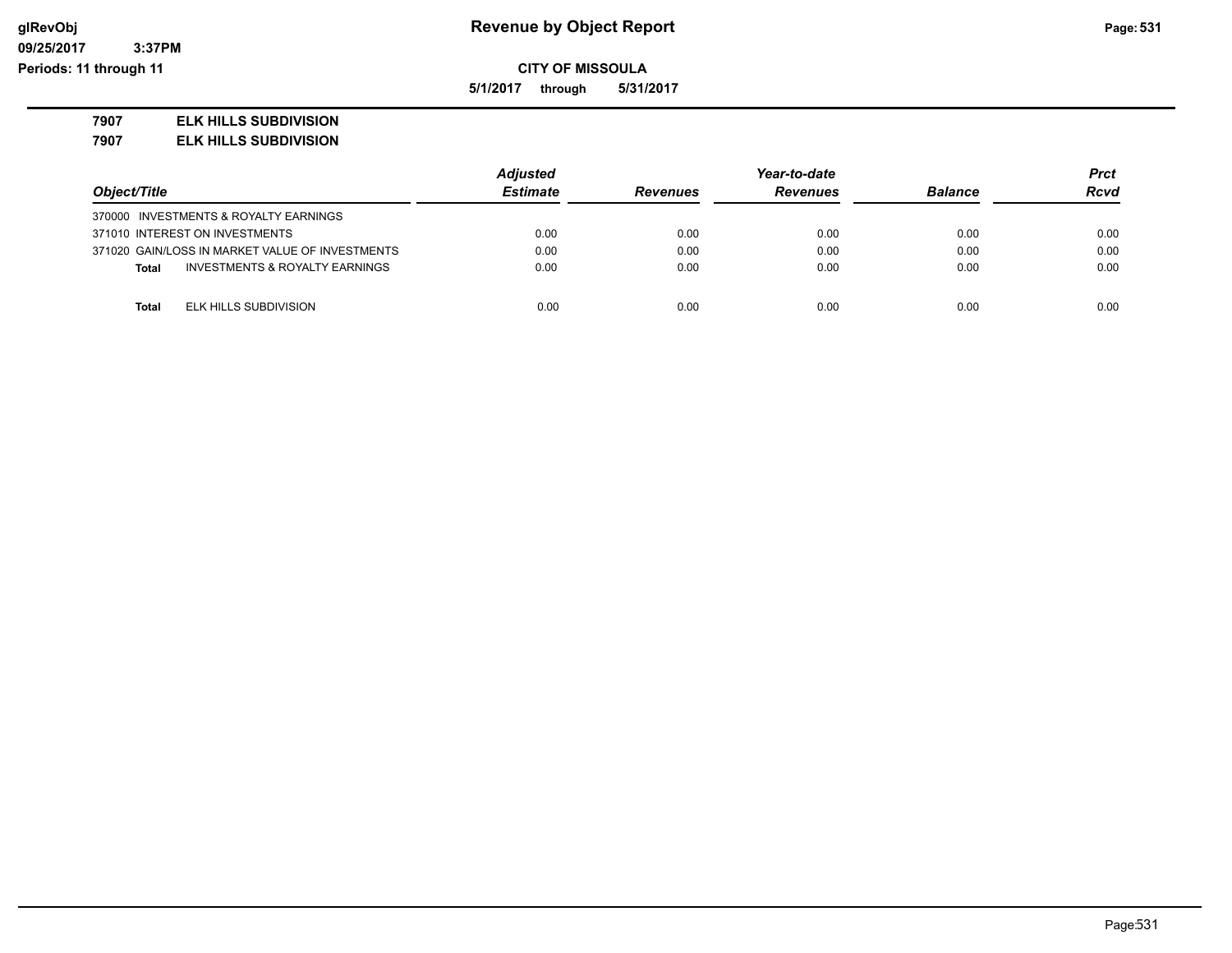**5/1/2017 through 5/31/2017**

# **7907 ELK HILLS SUBDIVISION**

**7907 ELK HILLS SUBDIVISION**

|                                                 | <b>Adjusted</b> |                 | Year-to-date    |                | Prct |
|-------------------------------------------------|-----------------|-----------------|-----------------|----------------|------|
| Object/Title                                    | <b>Estimate</b> | <b>Revenues</b> | <b>Revenues</b> | <b>Balance</b> | Rcvd |
| 370000 INVESTMENTS & ROYALTY EARNINGS           |                 |                 |                 |                |      |
| 371010 INTEREST ON INVESTMENTS                  | 0.00            | 0.00            | 0.00            | 0.00           | 0.00 |
| 371020 GAIN/LOSS IN MARKET VALUE OF INVESTMENTS | 0.00            | 0.00            | 0.00            | 0.00           | 0.00 |
| INVESTMENTS & ROYALTY EARNINGS<br><b>Total</b>  | 0.00            | 0.00            | 0.00            | 0.00           | 0.00 |
| <b>Total</b><br>ELK HILLS SUBDIVISION           | 0.00            | 0.00            | 0.00            | 0.00           | 0.00 |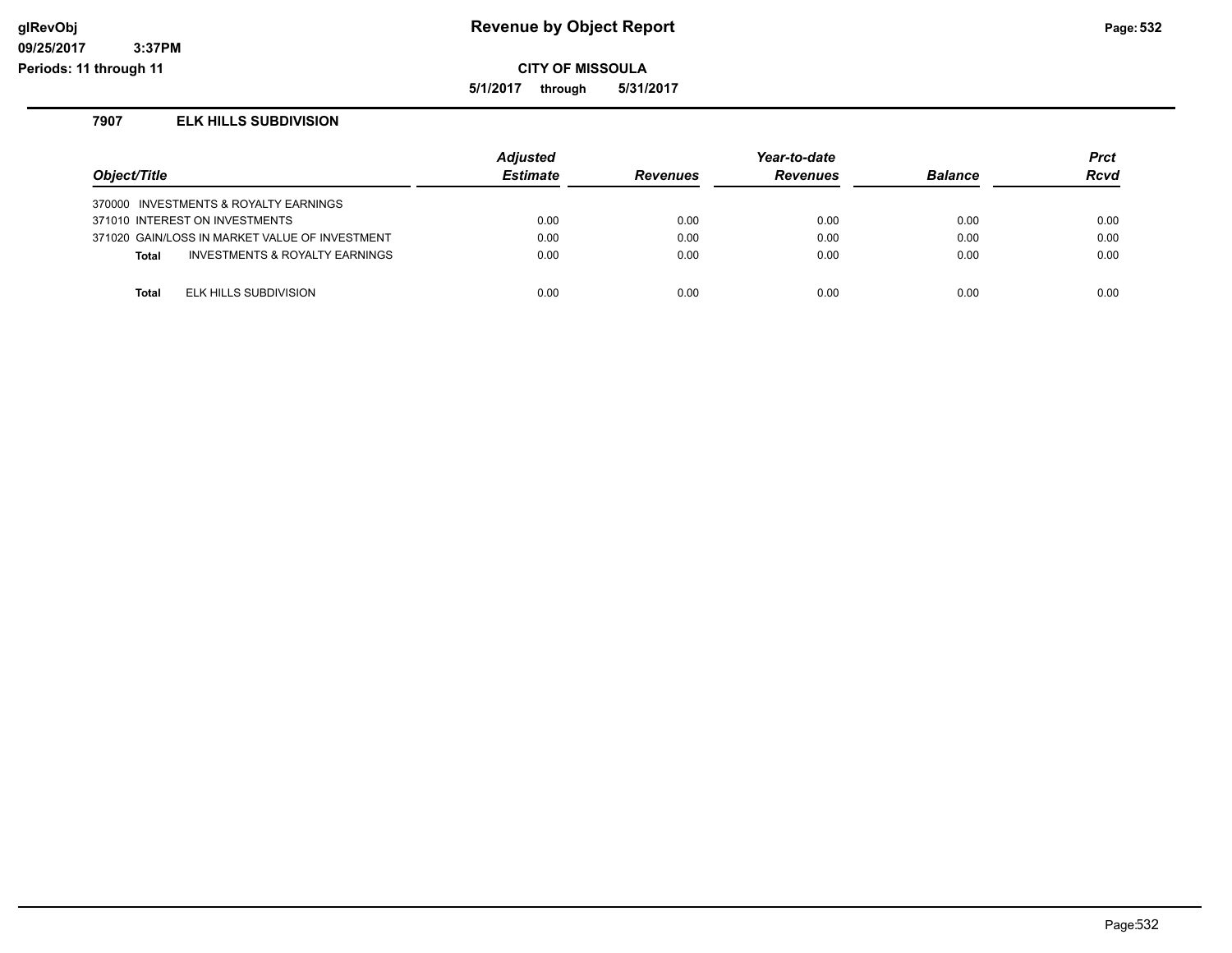**CITY OF MISSOULA**

**5/1/2017 through 5/31/2017**

#### **7907 ELK HILLS SUBDIVISION**

| Object/Title |                                                | <b>Adjusted</b><br><b>Estimate</b> | <b>Revenues</b> | Year-to-date<br><b>Revenues</b> | <b>Balance</b> | <b>Prct</b><br>Rcvd |
|--------------|------------------------------------------------|------------------------------------|-----------------|---------------------------------|----------------|---------------------|
|              | 370000 INVESTMENTS & ROYALTY EARNINGS          |                                    |                 |                                 |                |                     |
|              | 371010 INTEREST ON INVESTMENTS                 | 0.00                               | 0.00            | 0.00                            | 0.00           | 0.00                |
|              | 371020 GAIN/LOSS IN MARKET VALUE OF INVESTMENT | 0.00                               | 0.00            | 0.00                            | 0.00           | 0.00                |
| <b>Total</b> | INVESTMENTS & ROYALTY EARNINGS                 | 0.00                               | 0.00            | 0.00                            | 0.00           | 0.00                |
|              |                                                |                                    |                 |                                 |                |                     |
| Total        | ELK HILLS SUBDIVISION                          | 0.00                               | 0.00            | 0.00                            | 0.00           | 0.00                |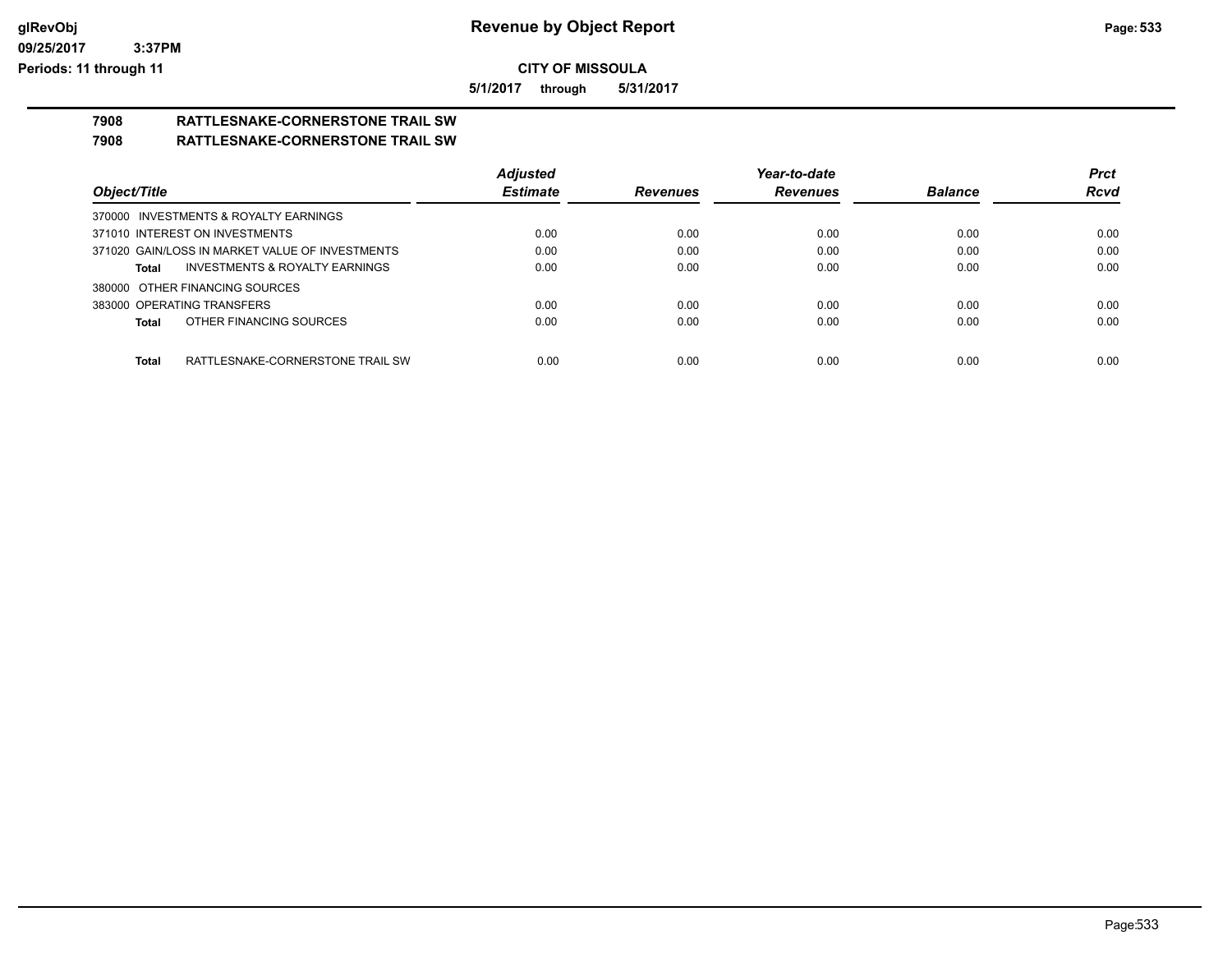**5/1/2017 through 5/31/2017**

# **7908 RATTLESNAKE-CORNERSTONE TRAIL SW**

# **7908 RATTLESNAKE-CORNERSTONE TRAIL SW**

|                                                 | <b>Adjusted</b> |                 | Year-to-date    |                | <b>Prct</b> |
|-------------------------------------------------|-----------------|-----------------|-----------------|----------------|-------------|
| Object/Title                                    | <b>Estimate</b> | <b>Revenues</b> | <b>Revenues</b> | <b>Balance</b> | <b>Rcvd</b> |
| 370000 INVESTMENTS & ROYALTY EARNINGS           |                 |                 |                 |                |             |
| 371010 INTEREST ON INVESTMENTS                  | 0.00            | 0.00            | 0.00            | 0.00           | 0.00        |
| 371020 GAIN/LOSS IN MARKET VALUE OF INVESTMENTS | 0.00            | 0.00            | 0.00            | 0.00           | 0.00        |
| INVESTMENTS & ROYALTY EARNINGS<br>Total         | 0.00            | 0.00            | 0.00            | 0.00           | 0.00        |
| 380000 OTHER FINANCING SOURCES                  |                 |                 |                 |                |             |
| 383000 OPERATING TRANSFERS                      | 0.00            | 0.00            | 0.00            | 0.00           | 0.00        |
| OTHER FINANCING SOURCES<br>Total                | 0.00            | 0.00            | 0.00            | 0.00           | 0.00        |
|                                                 |                 |                 |                 |                |             |
| Total<br>RATTLESNAKE-CORNERSTONE TRAIL SW       | 0.00            | 0.00            | 0.00            | 0.00           | 0.00        |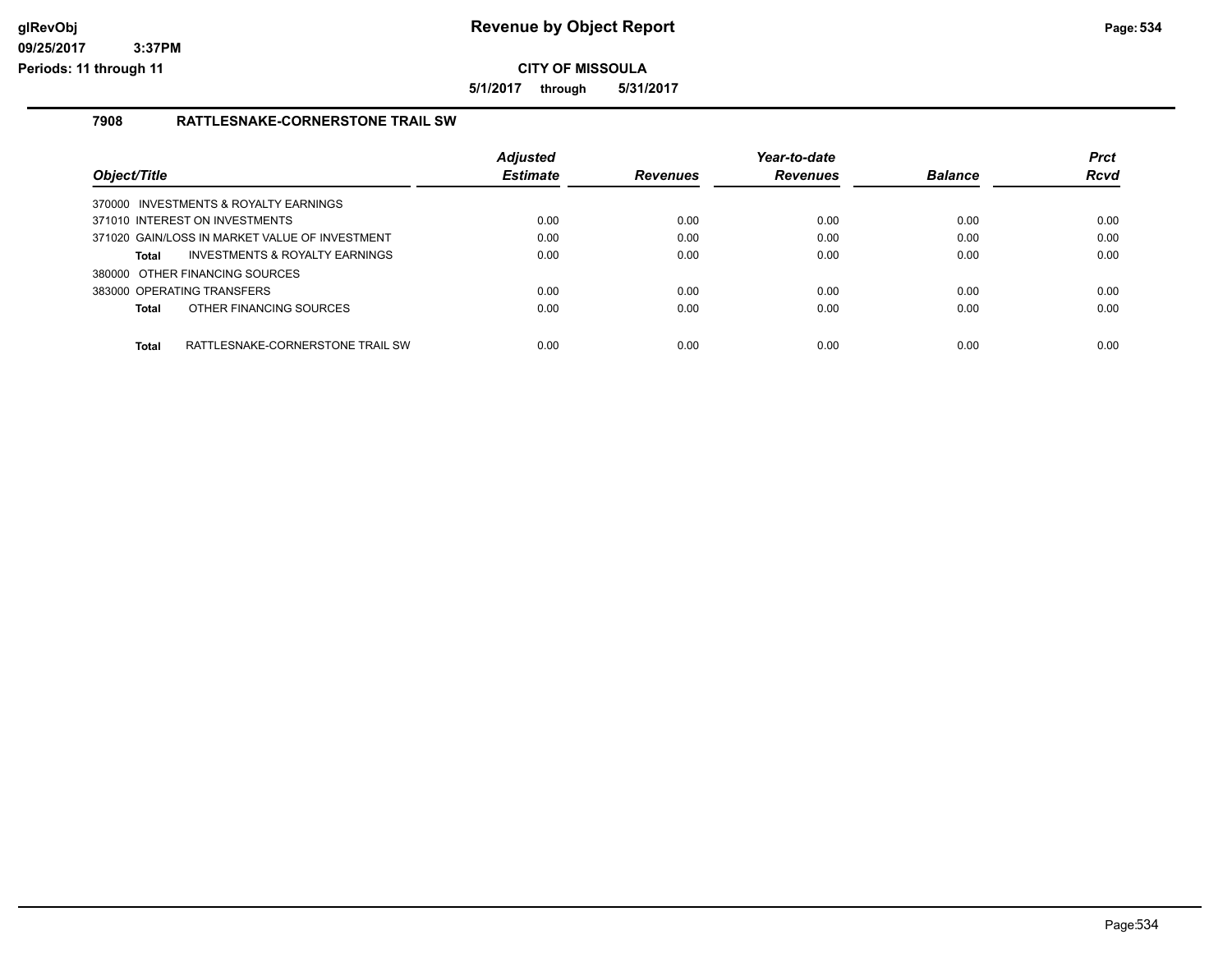**5/1/2017 through 5/31/2017**

# **7908 RATTLESNAKE-CORNERSTONE TRAIL SW**

|                                                | <b>Adjusted</b> |                 | Year-to-date    |                | <b>Prct</b> |
|------------------------------------------------|-----------------|-----------------|-----------------|----------------|-------------|
| Object/Title                                   | <b>Estimate</b> | <b>Revenues</b> | <b>Revenues</b> | <b>Balance</b> | <b>Rcvd</b> |
| 370000 INVESTMENTS & ROYALTY EARNINGS          |                 |                 |                 |                |             |
| 371010 INTEREST ON INVESTMENTS                 | 0.00            | 0.00            | 0.00            | 0.00           | 0.00        |
| 371020 GAIN/LOSS IN MARKET VALUE OF INVESTMENT | 0.00            | 0.00            | 0.00            | 0.00           | 0.00        |
| INVESTMENTS & ROYALTY EARNINGS<br>Total        | 0.00            | 0.00            | 0.00            | 0.00           | 0.00        |
| 380000 OTHER FINANCING SOURCES                 |                 |                 |                 |                |             |
| 383000 OPERATING TRANSFERS                     | 0.00            | 0.00            | 0.00            | 0.00           | 0.00        |
| OTHER FINANCING SOURCES<br>Total               | 0.00            | 0.00            | 0.00            | 0.00           | 0.00        |
|                                                |                 |                 |                 |                |             |
| Total<br>RATTLESNAKE-CORNERSTONE TRAIL SW      | 0.00            | 0.00            | 0.00            | 0.00           | 0.00        |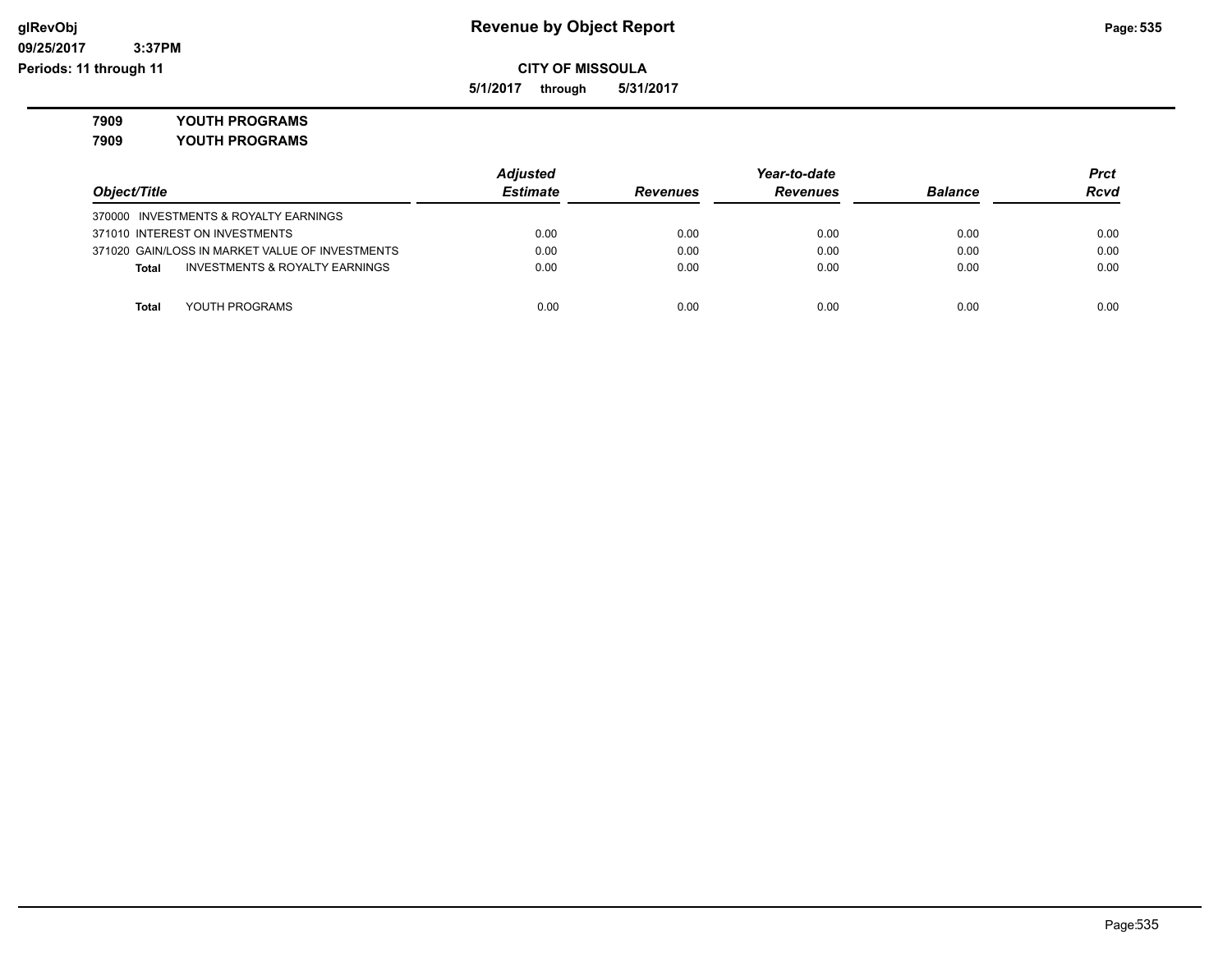**5/1/2017 through 5/31/2017**

# **7909 YOUTH PROGRAMS**

**7909 YOUTH PROGRAMS**

|                                                 | <b>Adjusted</b> |                 | Year-to-date    |                | Prct |
|-------------------------------------------------|-----------------|-----------------|-----------------|----------------|------|
| Object/Title                                    | <b>Estimate</b> | <b>Revenues</b> | <b>Revenues</b> | <b>Balance</b> | Rcvd |
| 370000 INVESTMENTS & ROYALTY EARNINGS           |                 |                 |                 |                |      |
| 371010 INTEREST ON INVESTMENTS                  | 0.00            | 0.00            | 0.00            | 0.00           | 0.00 |
| 371020 GAIN/LOSS IN MARKET VALUE OF INVESTMENTS | 0.00            | 0.00            | 0.00            | 0.00           | 0.00 |
| INVESTMENTS & ROYALTY EARNINGS<br><b>Total</b>  | 0.00            | 0.00            | 0.00            | 0.00           | 0.00 |
|                                                 |                 |                 |                 |                |      |
| YOUTH PROGRAMS<br><b>Total</b>                  | 0.00            | 0.00            | 0.00            | 0.00           | 0.00 |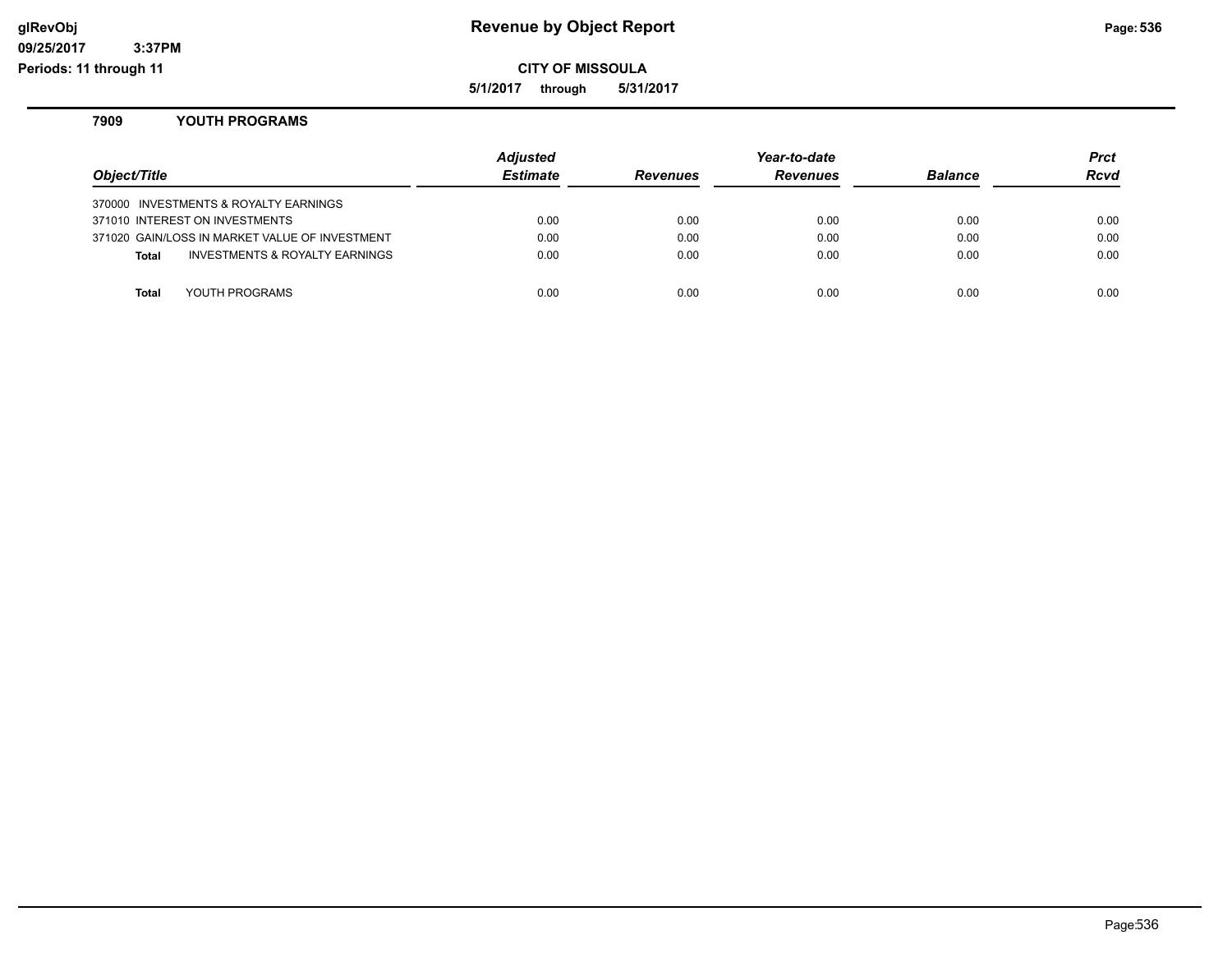**CITY OF MISSOULA**

**5/1/2017 through 5/31/2017**

#### **7909 YOUTH PROGRAMS**

 **3:37PM**

| Object/Title                          |                                                | Adjusted<br><b>Estimate</b> | <b>Revenues</b> | Year-to-date<br><b>Revenues</b> | <b>Balance</b> | <b>Prct</b><br><b>Rcvd</b> |
|---------------------------------------|------------------------------------------------|-----------------------------|-----------------|---------------------------------|----------------|----------------------------|
| 370000 INVESTMENTS & ROYALTY EARNINGS |                                                |                             |                 |                                 |                |                            |
| 371010 INTEREST ON INVESTMENTS        |                                                | 0.00                        | 0.00            | 0.00                            | 0.00           | 0.00                       |
|                                       | 371020 GAIN/LOSS IN MARKET VALUE OF INVESTMENT | 0.00                        | 0.00            | 0.00                            | 0.00           | 0.00                       |
| <b>Total</b>                          | INVESTMENTS & ROYALTY EARNINGS                 | 0.00                        | 0.00            | 0.00                            | 0.00           | 0.00                       |
|                                       |                                                |                             |                 |                                 |                |                            |
| Total                                 | YOUTH PROGRAMS                                 | 0.00                        | 0.00            | 0.00                            | 0.00           | 0.00                       |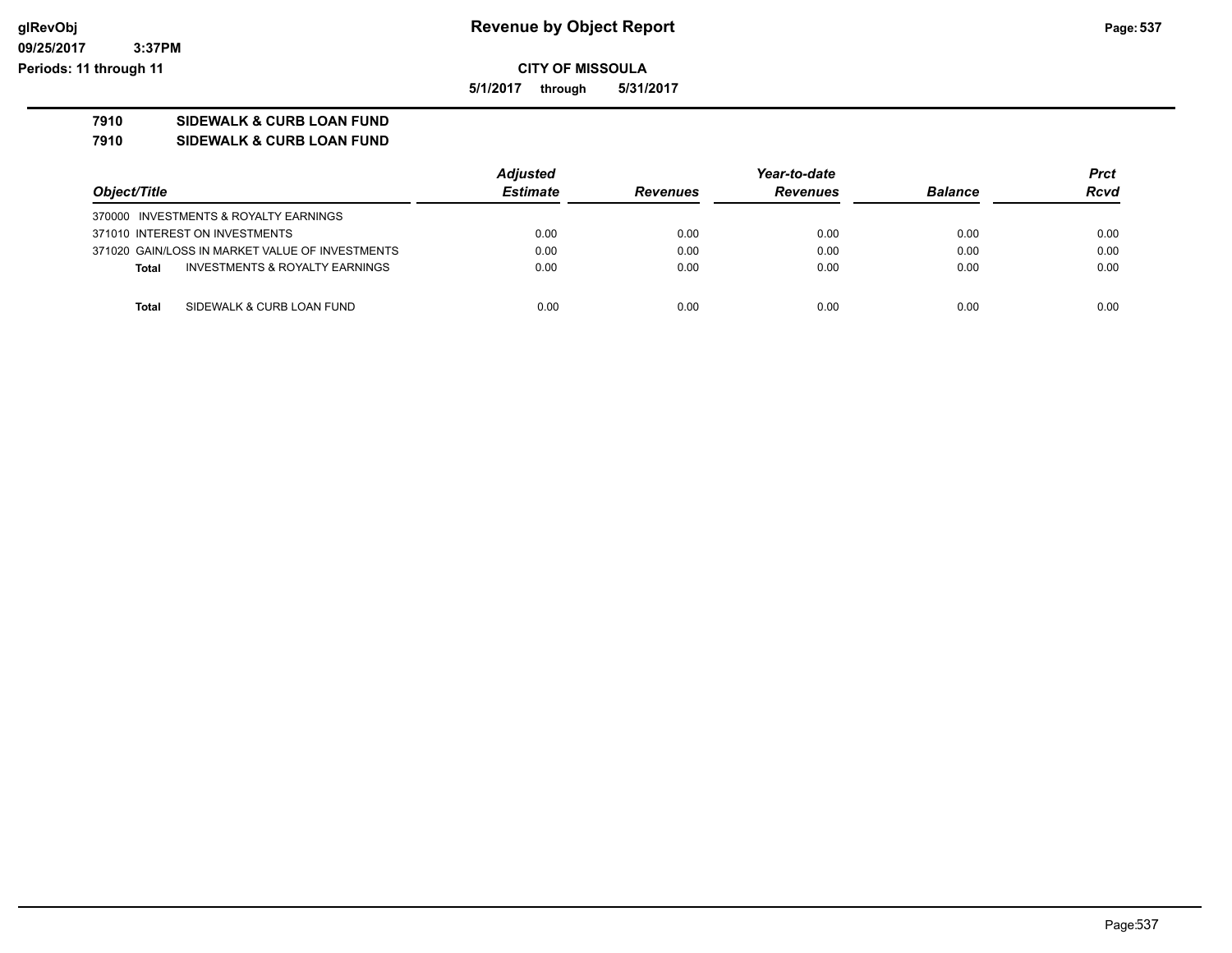**09/25/2017 3:37PM Periods: 11 through 11**

# **CITY OF MISSOULA**

**5/1/2017 through 5/31/2017**

# **7910 SIDEWALK & CURB LOAN FUND**

# **7910 SIDEWALK & CURB LOAN FUND**

|                                                           | <b>Adjusted</b> |                 | Year-to-date    |                | <b>Prct</b> |
|-----------------------------------------------------------|-----------------|-----------------|-----------------|----------------|-------------|
| Object/Title                                              | <b>Estimate</b> | <b>Revenues</b> | <b>Revenues</b> | <b>Balance</b> | <b>Rcvd</b> |
| 370000 INVESTMENTS & ROYALTY EARNINGS                     |                 |                 |                 |                |             |
| 371010 INTEREST ON INVESTMENTS                            | 0.00            | 0.00            | 0.00            | 0.00           | 0.00        |
| 371020 GAIN/LOSS IN MARKET VALUE OF INVESTMENTS           | 0.00            | 0.00            | 0.00            | 0.00           | 0.00        |
| <b>INVESTMENTS &amp; ROYALTY EARNINGS</b><br><b>Total</b> | 0.00            | 0.00            | 0.00            | 0.00           | 0.00        |
|                                                           |                 |                 |                 |                |             |
| SIDEWALK & CURB LOAN FUND<br>Total                        | 0.00            | 0.00            | 0.00            | 0.00           | 0.00        |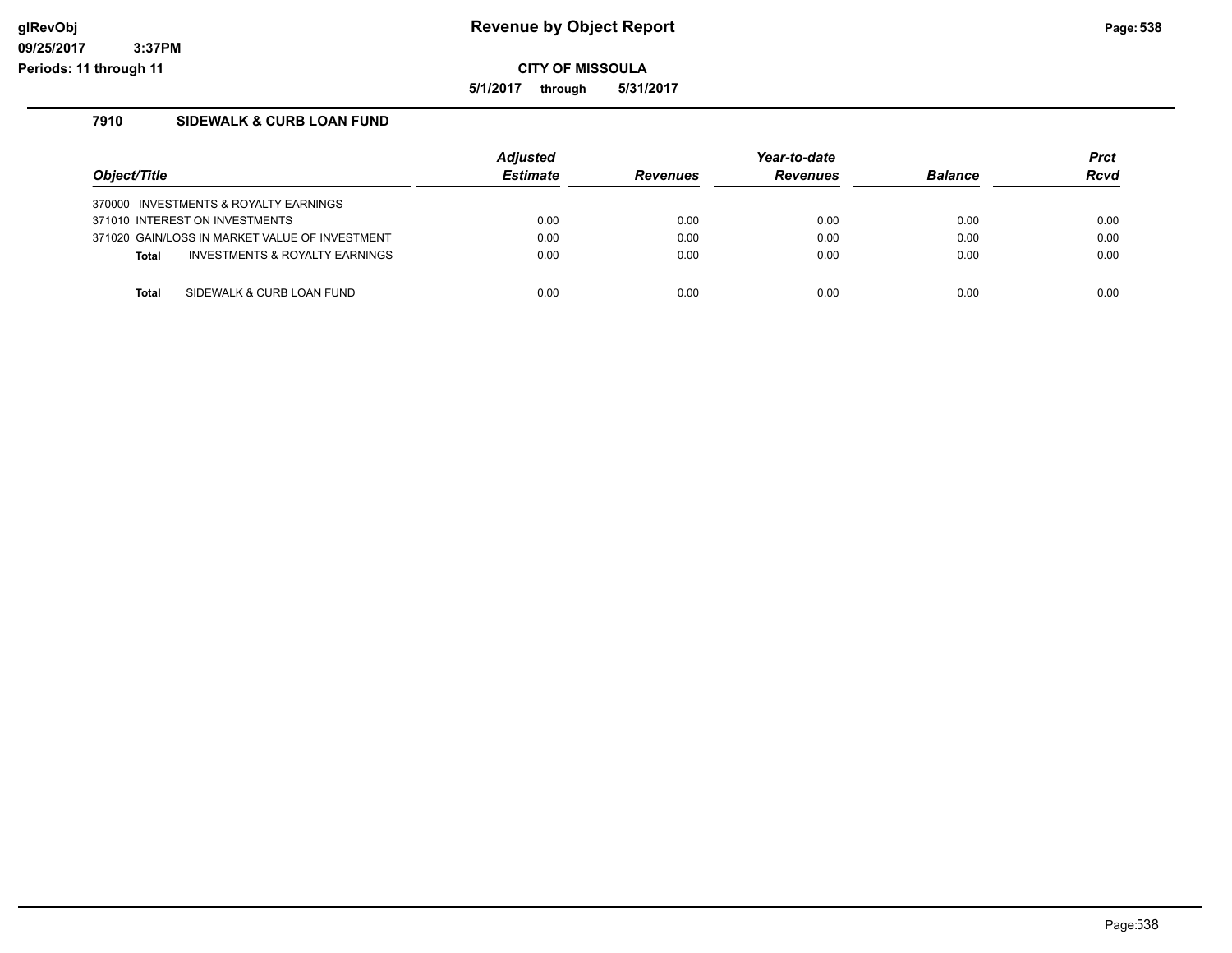**CITY OF MISSOULA**

**5/1/2017 through 5/31/2017**

# **7910 SIDEWALK & CURB LOAN FUND**

 **3:37PM**

| Object/Title |                                                | <b>Adjusted</b><br><b>Estimate</b> | <b>Revenues</b> | Year-to-date<br><b>Revenues</b> | <b>Balance</b> | <b>Prct</b><br><b>Rcvd</b> |
|--------------|------------------------------------------------|------------------------------------|-----------------|---------------------------------|----------------|----------------------------|
|              | 370000 INVESTMENTS & ROYALTY EARNINGS          |                                    |                 |                                 |                |                            |
|              | 371010 INTEREST ON INVESTMENTS                 | 0.00                               | 0.00            | 0.00                            | 0.00           | 0.00                       |
|              | 371020 GAIN/LOSS IN MARKET VALUE OF INVESTMENT | 0.00                               | 0.00            | 0.00                            | 0.00           | 0.00                       |
| <b>Total</b> | INVESTMENTS & ROYALTY EARNINGS                 | 0.00                               | 0.00            | 0.00                            | 0.00           | 0.00                       |
|              |                                                |                                    |                 |                                 |                |                            |
| Total        | SIDEWALK & CURB LOAN FUND                      | 0.00                               | 0.00            | 0.00                            | 0.00           | 0.00                       |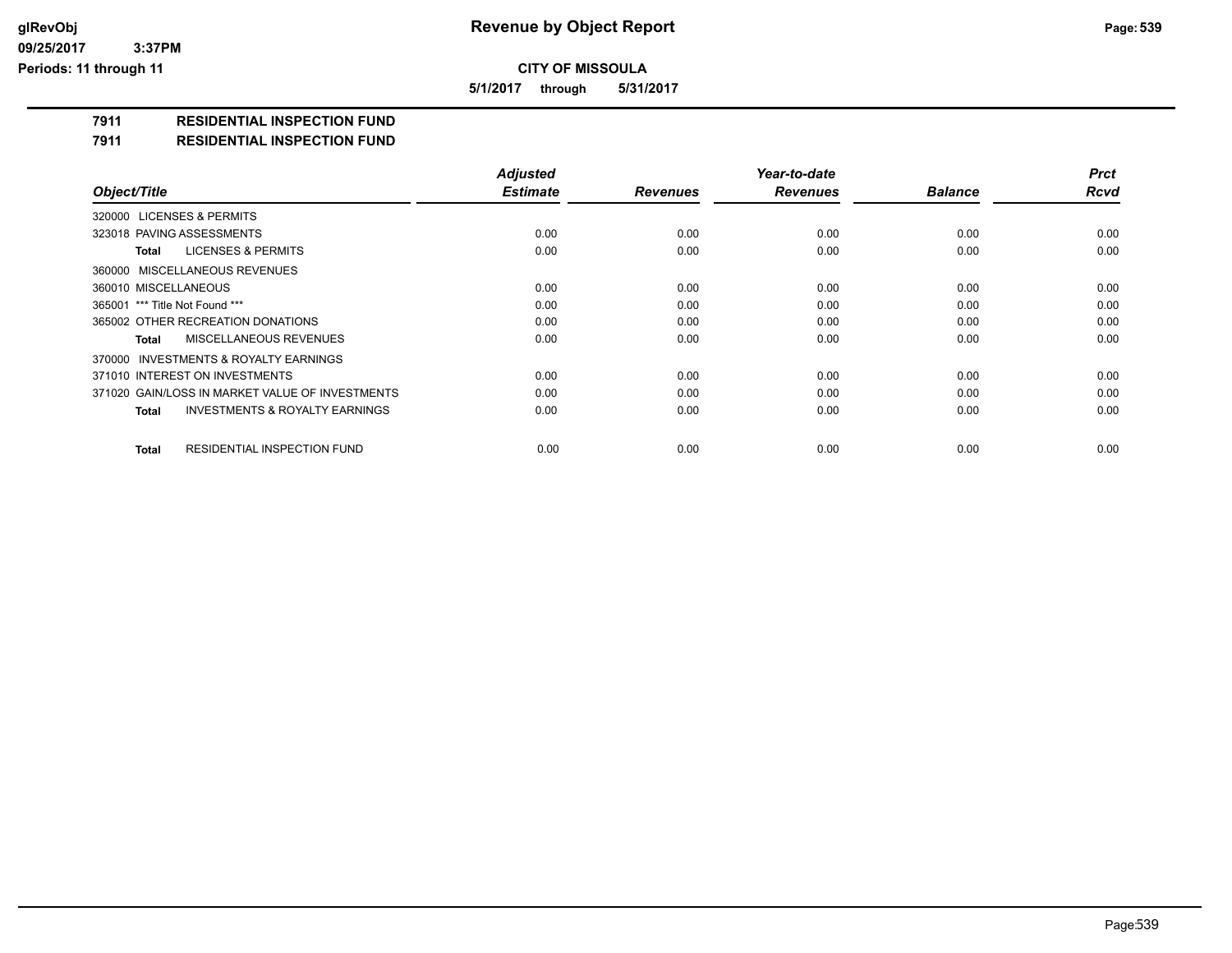**5/1/2017 through 5/31/2017**

**7911 RESIDENTIAL INSPECTION FUND**

**7911 RESIDENTIAL INSPECTION FUND**

|                                                    | <b>Adjusted</b> |                 | Year-to-date    |                | <b>Prct</b> |
|----------------------------------------------------|-----------------|-----------------|-----------------|----------------|-------------|
| Object/Title                                       | <b>Estimate</b> | <b>Revenues</b> | <b>Revenues</b> | <b>Balance</b> | <b>Rcvd</b> |
| 320000 LICENSES & PERMITS                          |                 |                 |                 |                |             |
| 323018 PAVING ASSESSMENTS                          | 0.00            | 0.00            | 0.00            | 0.00           | 0.00        |
| <b>LICENSES &amp; PERMITS</b><br>Total             | 0.00            | 0.00            | 0.00            | 0.00           | 0.00        |
| 360000 MISCELLANEOUS REVENUES                      |                 |                 |                 |                |             |
| 360010 MISCELLANEOUS                               | 0.00            | 0.00            | 0.00            | 0.00           | 0.00        |
| 365001 *** Title Not Found ***                     | 0.00            | 0.00            | 0.00            | 0.00           | 0.00        |
| 365002 OTHER RECREATION DONATIONS                  | 0.00            | 0.00            | 0.00            | 0.00           | 0.00        |
| MISCELLANEOUS REVENUES<br>Total                    | 0.00            | 0.00            | 0.00            | 0.00           | 0.00        |
| 370000 INVESTMENTS & ROYALTY EARNINGS              |                 |                 |                 |                |             |
| 371010 INTEREST ON INVESTMENTS                     | 0.00            | 0.00            | 0.00            | 0.00           | 0.00        |
| 371020 GAIN/LOSS IN MARKET VALUE OF INVESTMENTS    | 0.00            | 0.00            | 0.00            | 0.00           | 0.00        |
| <b>INVESTMENTS &amp; ROYALTY EARNINGS</b><br>Total | 0.00            | 0.00            | 0.00            | 0.00           | 0.00        |
| <b>RESIDENTIAL INSPECTION FUND</b><br>Total        | 0.00            | 0.00            | 0.00            | 0.00           | 0.00        |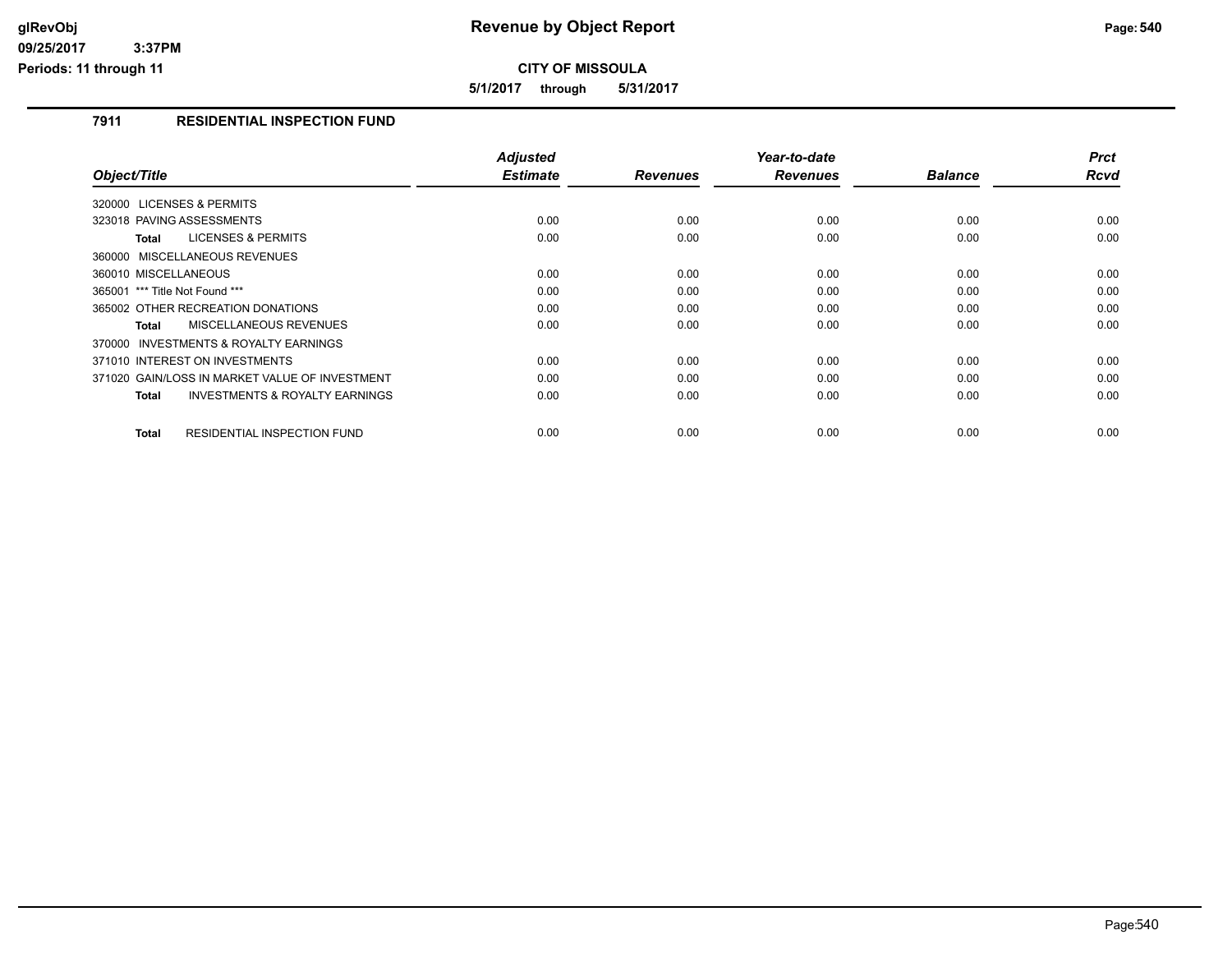**5/1/2017 through 5/31/2017**

# **7911 RESIDENTIAL INSPECTION FUND**

| Object/Title                                              | <b>Adjusted</b><br><b>Estimate</b> | <b>Revenues</b> | Year-to-date<br><b>Revenues</b> | <b>Balance</b> | <b>Prct</b><br><b>Rcvd</b> |
|-----------------------------------------------------------|------------------------------------|-----------------|---------------------------------|----------------|----------------------------|
|                                                           |                                    |                 |                                 |                |                            |
| 320000 LICENSES & PERMITS                                 |                                    |                 |                                 |                |                            |
| 323018 PAVING ASSESSMENTS                                 | 0.00                               | 0.00            | 0.00                            | 0.00           | 0.00                       |
| <b>LICENSES &amp; PERMITS</b><br><b>Total</b>             | 0.00                               | 0.00            | 0.00                            | 0.00           | 0.00                       |
| 360000 MISCELLANEOUS REVENUES                             |                                    |                 |                                 |                |                            |
| 360010 MISCELLANEOUS                                      | 0.00                               | 0.00            | 0.00                            | 0.00           | 0.00                       |
| 365001 *** Title Not Found ***                            | 0.00                               | 0.00            | 0.00                            | 0.00           | 0.00                       |
| 365002 OTHER RECREATION DONATIONS                         | 0.00                               | 0.00            | 0.00                            | 0.00           | 0.00                       |
| <b>MISCELLANEOUS REVENUES</b><br><b>Total</b>             | 0.00                               | 0.00            | 0.00                            | 0.00           | 0.00                       |
| INVESTMENTS & ROYALTY EARNINGS<br>370000                  |                                    |                 |                                 |                |                            |
| 371010 INTEREST ON INVESTMENTS                            | 0.00                               | 0.00            | 0.00                            | 0.00           | 0.00                       |
| 371020 GAIN/LOSS IN MARKET VALUE OF INVESTMENT            | 0.00                               | 0.00            | 0.00                            | 0.00           | 0.00                       |
| <b>INVESTMENTS &amp; ROYALTY EARNINGS</b><br><b>Total</b> | 0.00                               | 0.00            | 0.00                            | 0.00           | 0.00                       |
| RESIDENTIAL INSPECTION FUND<br><b>Total</b>               | 0.00                               | 0.00            | 0.00                            | 0.00           | 0.00                       |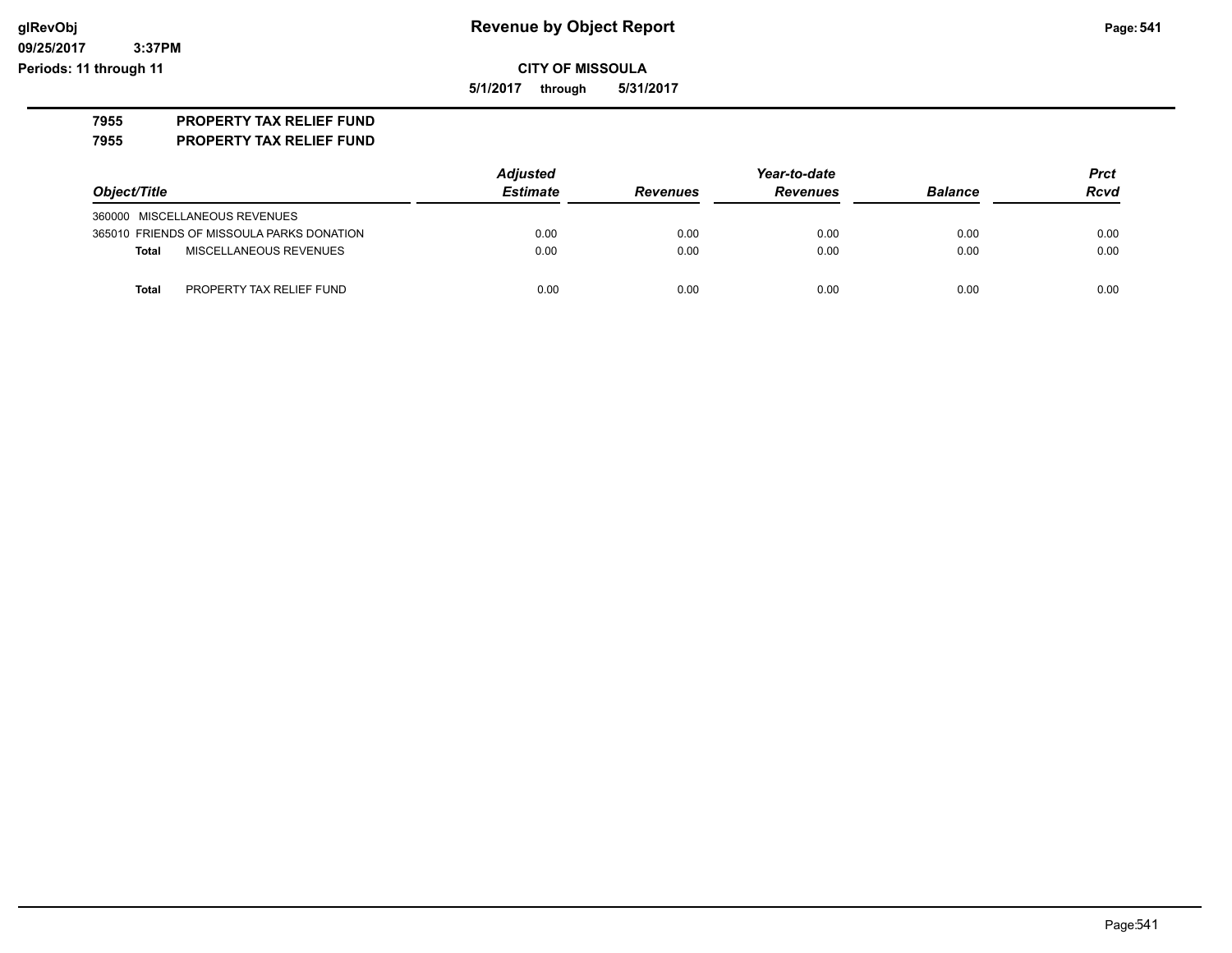**09/25/2017 3:37PM Periods: 11 through 11**

**CITY OF MISSOULA**

**5/1/2017 through 5/31/2017**

### **7955 PROPERTY TAX RELIEF FUND**

**7955 PROPERTY TAX RELIEF FUND**

|                                           | <b>Adjusted</b> |                 | Year-to-date    |                | <b>Prct</b> |
|-------------------------------------------|-----------------|-----------------|-----------------|----------------|-------------|
| Object/Title                              | <b>Estimate</b> | <b>Revenues</b> | <b>Revenues</b> | <b>Balance</b> | <b>Rcvd</b> |
| 360000 MISCELLANEOUS REVENUES             |                 |                 |                 |                |             |
| 365010 FRIENDS OF MISSOULA PARKS DONATION | 0.00            | 0.00            | 0.00            | 0.00           | 0.00        |
| MISCELLANEOUS REVENUES<br>Total           | 0.00            | 0.00            | 0.00            | 0.00           | 0.00        |
| PROPERTY TAX RELIEF FUND<br><b>Total</b>  | 0.00            | 0.00            | 0.00            | 0.00           | 0.00        |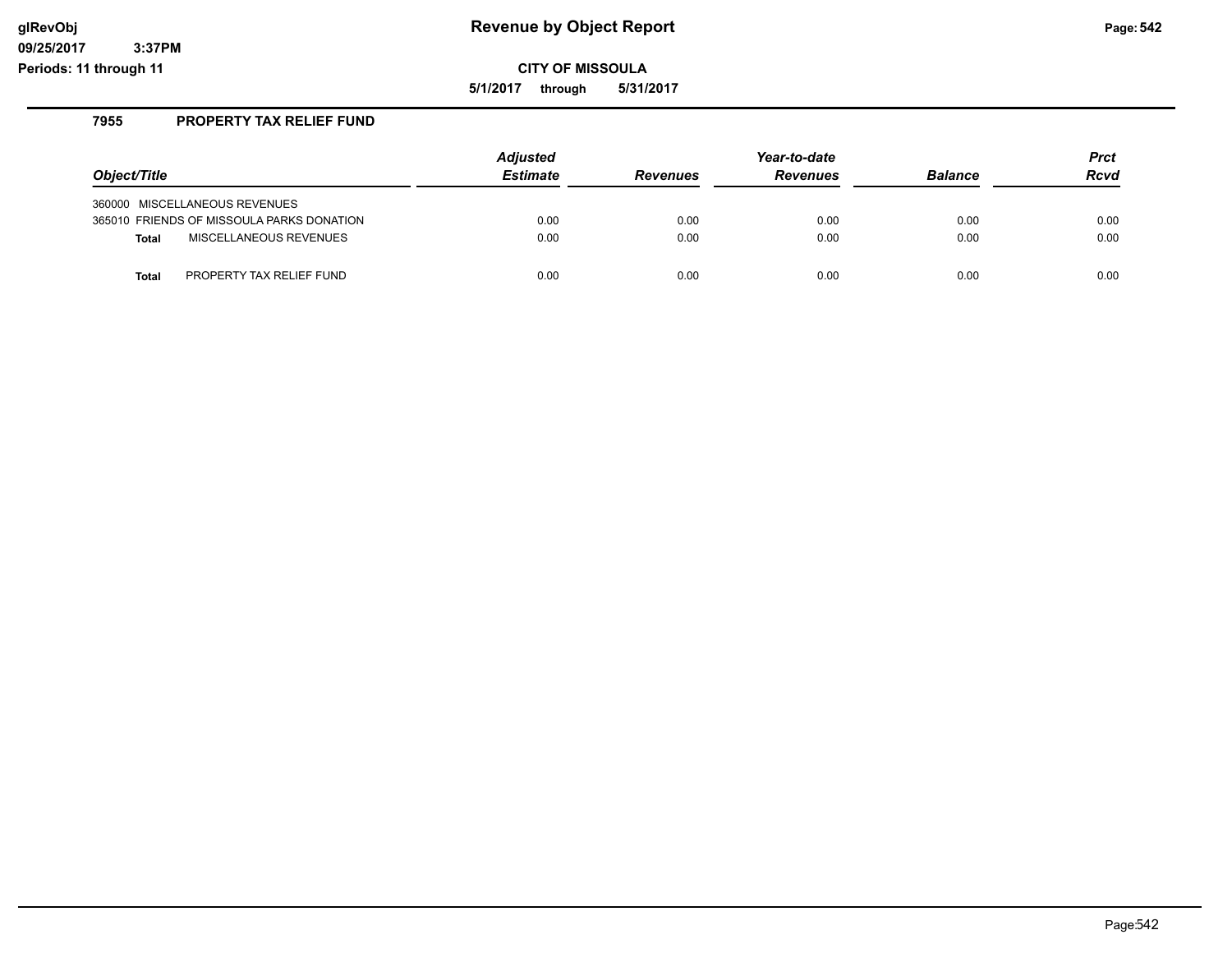**Periods: 11 through 11**

**CITY OF MISSOULA**

**5/1/2017 through 5/31/2017**

### **7955 PROPERTY TAX RELIEF FUND**

 **3:37PM**

| Object/Title |                                           | <b>Adjusted</b><br><b>Estimate</b> | <b>Revenues</b> | Year-to-date<br><b>Revenues</b> | <b>Balance</b> | <b>Prct</b><br><b>Rcvd</b> |
|--------------|-------------------------------------------|------------------------------------|-----------------|---------------------------------|----------------|----------------------------|
|              | 360000 MISCELLANEOUS REVENUES             |                                    |                 |                                 |                |                            |
|              | 365010 FRIENDS OF MISSOULA PARKS DONATION | 0.00                               | 0.00            | 0.00                            | 0.00           | 0.00                       |
| <b>Total</b> | MISCELLANEOUS REVENUES                    | 0.00                               | 0.00            | 0.00                            | 0.00           | 0.00                       |
|              |                                           |                                    |                 |                                 |                |                            |
| <b>Total</b> | PROPERTY TAX RELIEF FUND                  | 0.00                               | 0.00            | 0.00                            | 0.00           | 0.00                       |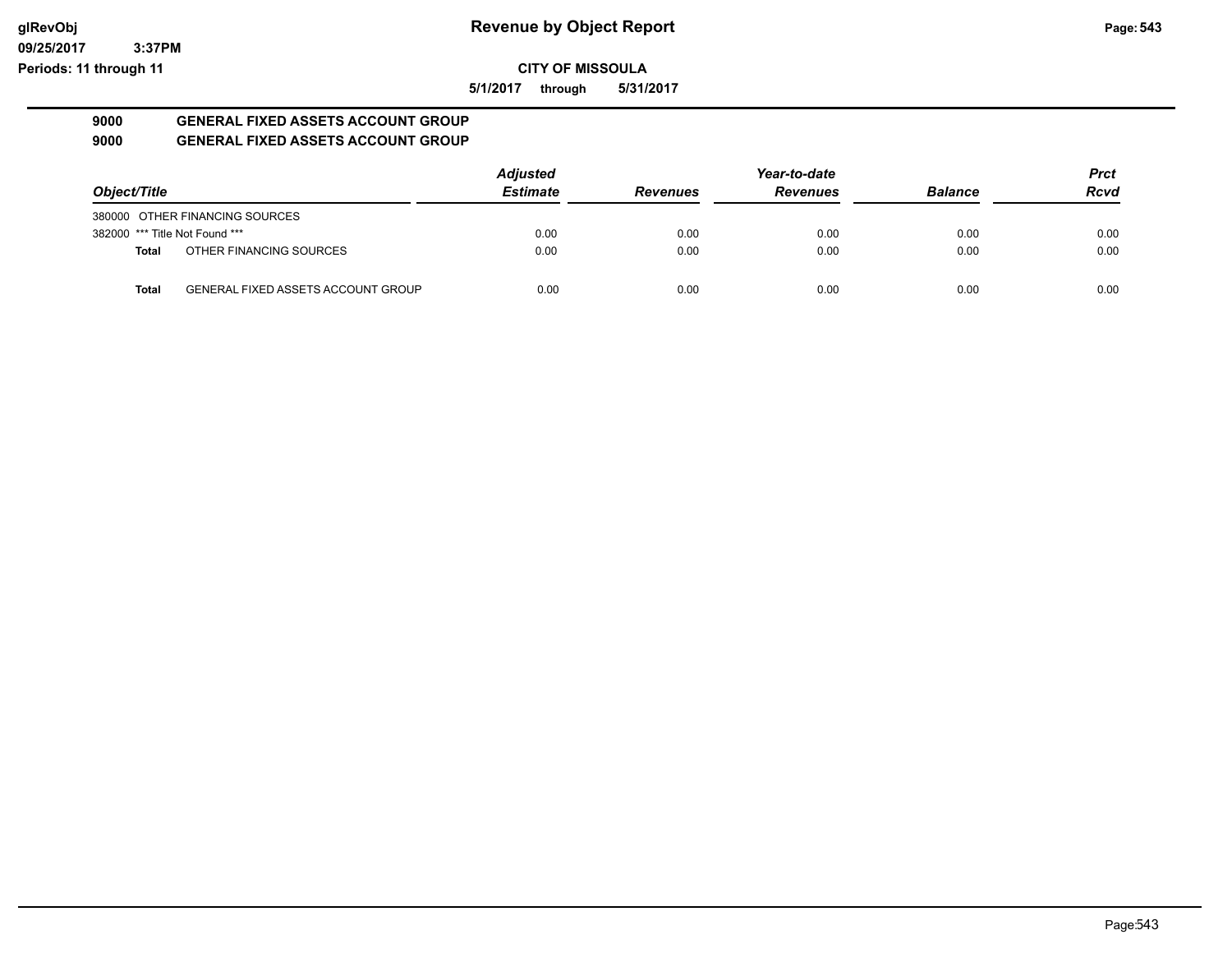**09/25/2017**

 **3:37PM Periods: 11 through 11**

**CITY OF MISSOULA**

**5/1/2017 through 5/31/2017**

#### **9000 GENERAL FIXED ASSETS ACCOUNT GROUP 9000 GENERAL FIXED ASSETS ACCOUNT GROUP**

| Object/Title                   |                                    | <b>Adjusted</b> |                 | Year-to-date    |                | <b>Prct</b> |
|--------------------------------|------------------------------------|-----------------|-----------------|-----------------|----------------|-------------|
|                                |                                    | <b>Estimate</b> | <b>Revenues</b> | <b>Revenues</b> | <b>Balance</b> | <b>Rcvd</b> |
|                                | 380000 OTHER FINANCING SOURCES     |                 |                 |                 |                |             |
| 382000 *** Title Not Found *** |                                    | 0.00            | 0.00            | 0.00            | 0.00           | 0.00        |
| <b>Total</b>                   | OTHER FINANCING SOURCES            | 0.00            | 0.00            | 0.00            | 0.00           | 0.00        |
| <b>Total</b>                   | GENERAL FIXED ASSETS ACCOUNT GROUP | 0.00            | 0.00            | 0.00            | 0.00           | 0.00        |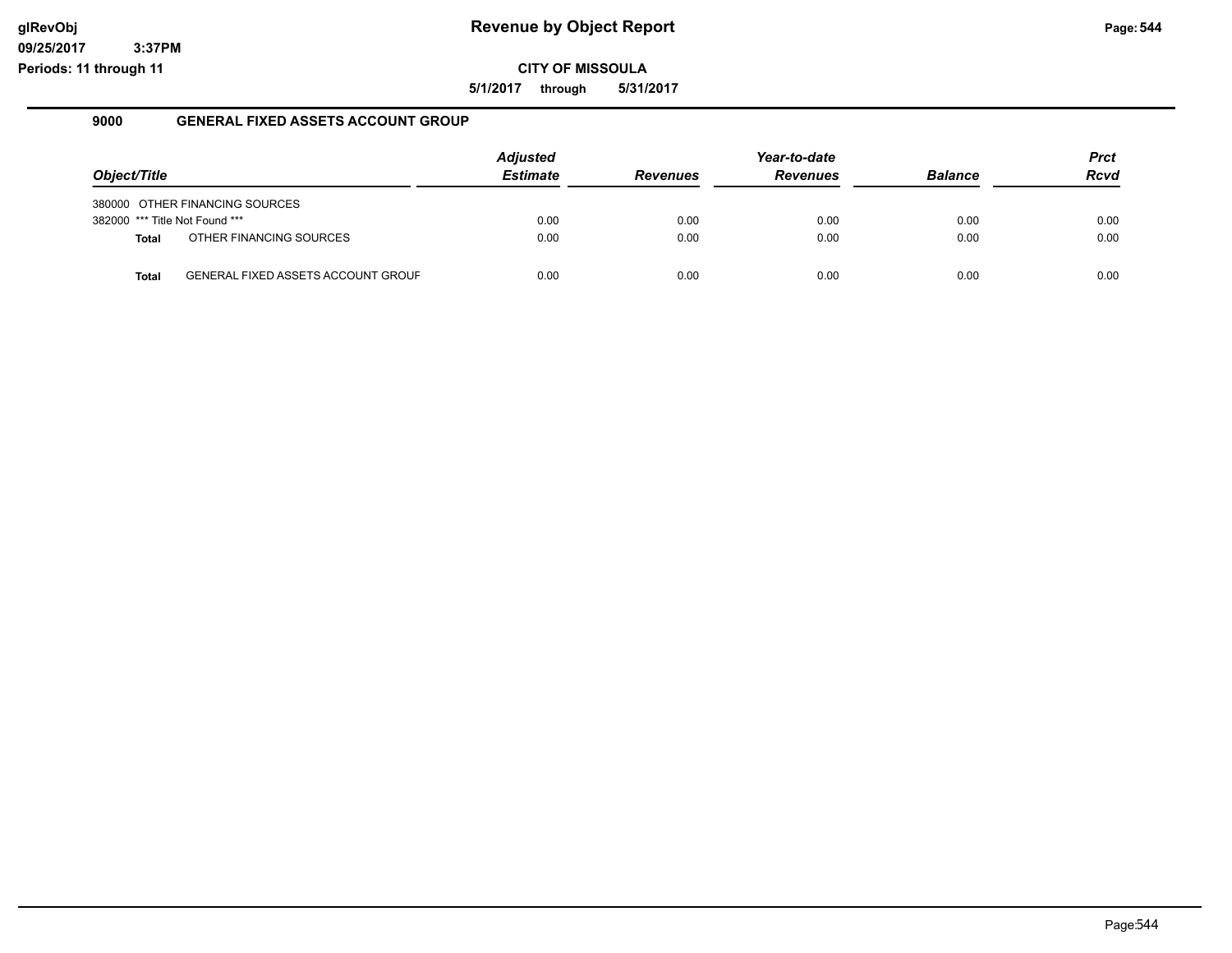**Periods: 11 through 11**

**CITY OF MISSOULA**

**5/1/2017 through 5/31/2017**

#### **9000 GENERAL FIXED ASSETS ACCOUNT GROUP**

|                                |                                           | <b>Adjusted</b> |                 | Year-to-date    |                | <b>Prct</b> |
|--------------------------------|-------------------------------------------|-----------------|-----------------|-----------------|----------------|-------------|
| Object/Title                   |                                           | <b>Estimate</b> | <b>Revenues</b> | <b>Revenues</b> | <b>Balance</b> | <b>Rcvd</b> |
|                                | 380000 OTHER FINANCING SOURCES            |                 |                 |                 |                |             |
| 382000 *** Title Not Found *** |                                           | 0.00            | 0.00            | 0.00            | 0.00           | 0.00        |
| <b>Total</b>                   | OTHER FINANCING SOURCES                   | 0.00            | 0.00            | 0.00            | 0.00           | 0.00        |
| <b>Total</b>                   | <b>GENERAL FIXED ASSETS ACCOUNT GROUF</b> | 0.00            | 0.00            | 0.00            | 0.00           | 0.00        |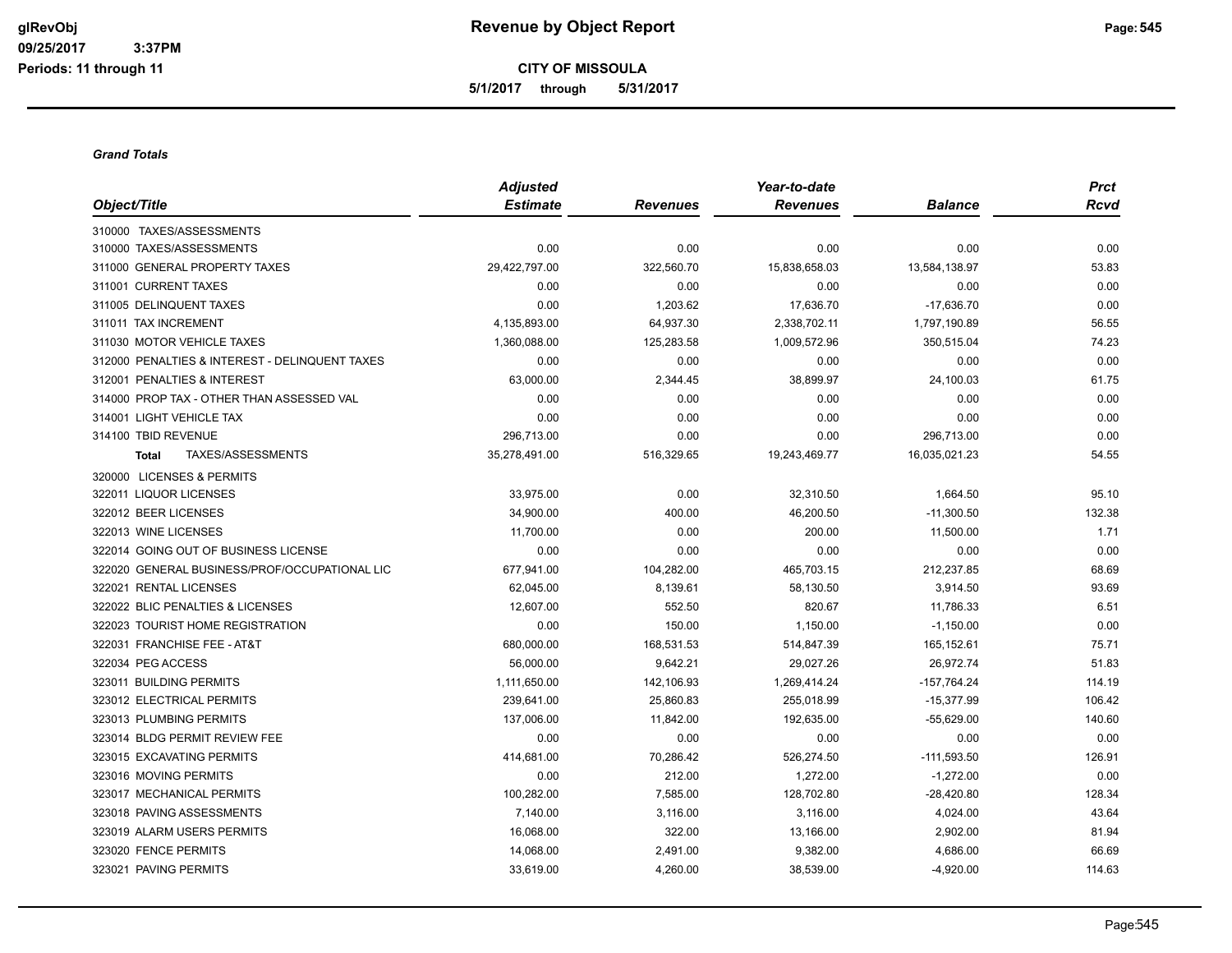**CITY OF MISSOULA 5/1/2017 through 5/31/2017**

#### *Grand Totals*

|                                                | <b>Adjusted</b> |                 | Year-to-date    |                | <b>Prct</b> |
|------------------------------------------------|-----------------|-----------------|-----------------|----------------|-------------|
| Object/Title                                   | <b>Estimate</b> | <b>Revenues</b> | <b>Revenues</b> | <b>Balance</b> | <b>Rcvd</b> |
| 310000 TAXES/ASSESSMENTS                       |                 |                 |                 |                |             |
| 310000 TAXES/ASSESSMENTS                       | 0.00            | 0.00            | 0.00            | 0.00           | 0.00        |
| 311000 GENERAL PROPERTY TAXES                  | 29,422,797.00   | 322,560.70      | 15,838,658.03   | 13,584,138.97  | 53.83       |
| 311001 CURRENT TAXES                           | 0.00            | 0.00            | 0.00            | 0.00           | 0.00        |
| 311005 DELINQUENT TAXES                        | 0.00            | 1,203.62        | 17,636.70       | $-17,636.70$   | 0.00        |
| 311011 TAX INCREMENT                           | 4,135,893.00    | 64,937.30       | 2,338,702.11    | 1,797,190.89   | 56.55       |
| 311030 MOTOR VEHICLE TAXES                     | 1,360,088.00    | 125,283.58      | 1,009,572.96    | 350,515.04     | 74.23       |
| 312000 PENALTIES & INTEREST - DELINQUENT TAXES | 0.00            | 0.00            | 0.00            | 0.00           | 0.00        |
| 312001 PENALTIES & INTEREST                    | 63,000.00       | 2,344.45        | 38,899.97       | 24,100.03      | 61.75       |
| 314000 PROP TAX - OTHER THAN ASSESSED VAL      | 0.00            | 0.00            | 0.00            | 0.00           | 0.00        |
| 314001 LIGHT VEHICLE TAX                       | 0.00            | 0.00            | 0.00            | 0.00           | 0.00        |
| 314100 TBID REVENUE                            | 296,713.00      | 0.00            | 0.00            | 296,713.00     | 0.00        |
| TAXES/ASSESSMENTS<br><b>Total</b>              | 35,278,491.00   | 516,329.65      | 19,243,469.77   | 16,035,021.23  | 54.55       |
| 320000 LICENSES & PERMITS                      |                 |                 |                 |                |             |
| 322011 LIQUOR LICENSES                         | 33,975.00       | 0.00            | 32,310.50       | 1,664.50       | 95.10       |
| 322012 BEER LICENSES                           | 34,900.00       | 400.00          | 46,200.50       | $-11,300.50$   | 132.38      |
| 322013 WINE LICENSES                           | 11,700.00       | 0.00            | 200.00          | 11,500.00      | 1.71        |
| 322014 GOING OUT OF BUSINESS LICENSE           | 0.00            | 0.00            | 0.00            | 0.00           | 0.00        |
| 322020 GENERAL BUSINESS/PROF/OCCUPATIONAL LIC  | 677,941.00      | 104,282.00      | 465,703.15      | 212,237.85     | 68.69       |
| 322021 RENTAL LICENSES                         | 62,045.00       | 8,139.61        | 58,130.50       | 3,914.50       | 93.69       |
| 322022 BLIC PENALTIES & LICENSES               | 12,607.00       | 552.50          | 820.67          | 11,786.33      | 6.51        |
| 322023 TOURIST HOME REGISTRATION               | 0.00            | 150.00          | 1,150.00        | $-1,150.00$    | 0.00        |
| 322031 FRANCHISE FEE - AT&T                    | 680,000.00      | 168,531.53      | 514,847.39      | 165,152.61     | 75.71       |
| 322034 PEG ACCESS                              | 56,000.00       | 9,642.21        | 29,027.26       | 26,972.74      | 51.83       |
| 323011 BUILDING PERMITS                        | 1,111,650.00    | 142,106.93      | 1,269,414.24    | -157,764.24    | 114.19      |
| 323012 ELECTRICAL PERMITS                      | 239,641.00      | 25,860.83       | 255,018.99      | $-15,377.99$   | 106.42      |
| 323013 PLUMBING PERMITS                        | 137,006.00      | 11,842.00       | 192,635.00      | $-55,629.00$   | 140.60      |
| 323014 BLDG PERMIT REVIEW FEE                  | 0.00            | 0.00            | 0.00            | 0.00           | 0.00        |
| 323015 EXCAVATING PERMITS                      | 414,681.00      | 70,286.42       | 526,274.50      | $-111,593.50$  | 126.91      |
| 323016 MOVING PERMITS                          | 0.00            | 212.00          | 1,272.00        | $-1,272.00$    | 0.00        |
| 323017 MECHANICAL PERMITS                      | 100,282.00      | 7,585.00        | 128,702.80      | $-28,420.80$   | 128.34      |
| 323018 PAVING ASSESSMENTS                      | 7,140.00        | 3,116.00        | 3,116.00        | 4,024.00       | 43.64       |
| 323019 ALARM USERS PERMITS                     | 16,068.00       | 322.00          | 13,166.00       | 2,902.00       | 81.94       |
| 323020 FENCE PERMITS                           | 14,068.00       | 2,491.00        | 9,382.00        | 4,686.00       | 66.69       |
| 323021 PAVING PERMITS                          | 33,619.00       | 4,260.00        | 38,539.00       | $-4,920.00$    | 114.63      |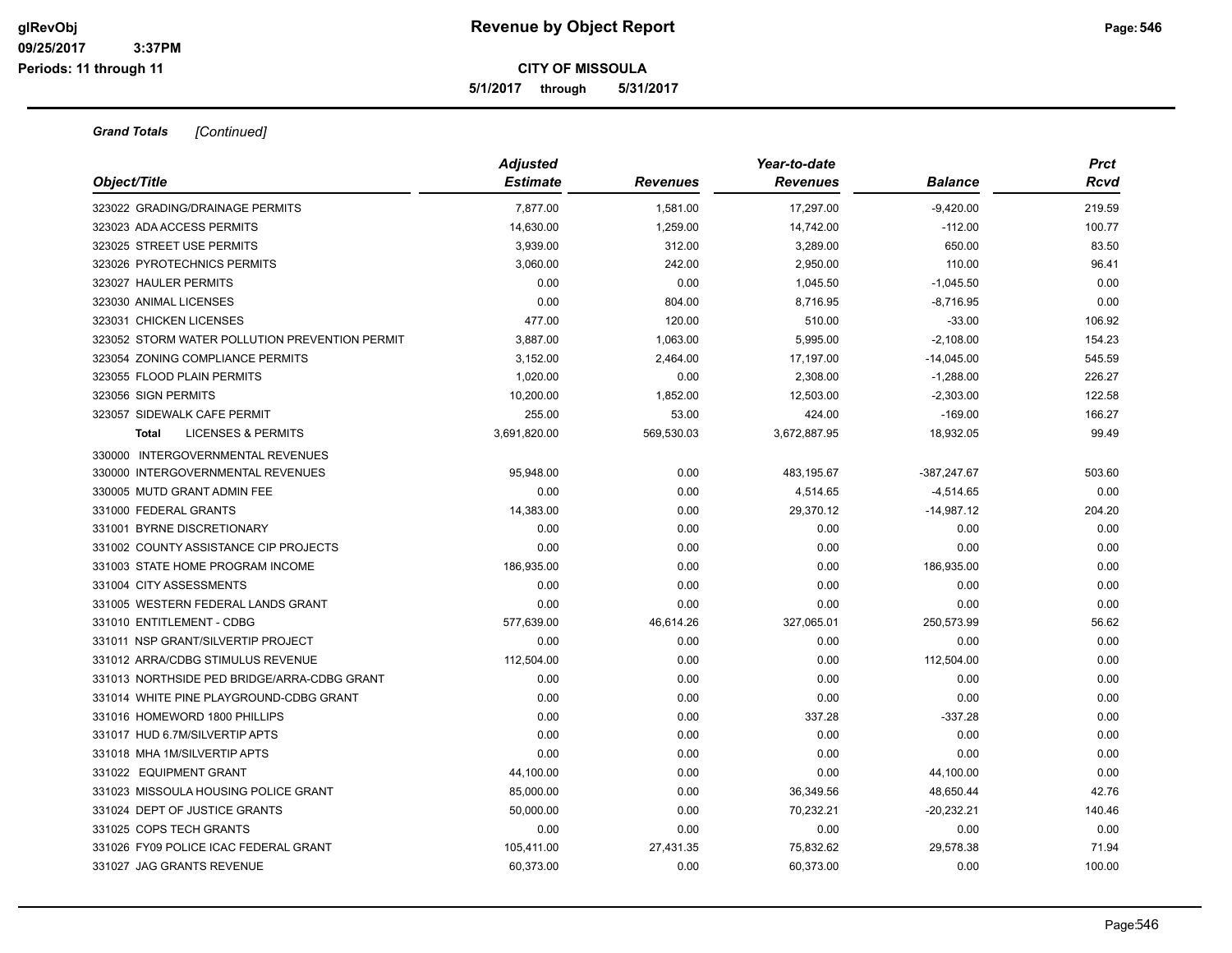**5/1/2017 through 5/31/2017**

| Object/Title                                   | <b>Adjusted</b><br><b>Estimate</b> | <b>Revenues</b> | Year-to-date<br><b>Revenues</b> | <b>Balance</b> | <b>Prct</b><br>Rcvd |
|------------------------------------------------|------------------------------------|-----------------|---------------------------------|----------------|---------------------|
| 323022 GRADING/DRAINAGE PERMITS                | 7,877.00                           | 1,581.00        | 17,297.00                       | $-9,420.00$    | 219.59              |
| 323023 ADA ACCESS PERMITS                      | 14,630.00                          | 1,259.00        | 14,742.00                       | $-112.00$      | 100.77              |
| 323025 STREET USE PERMITS                      | 3,939.00                           | 312.00          | 3,289.00                        | 650.00         | 83.50               |
| 323026 PYROTECHNICS PERMITS                    | 3,060.00                           | 242.00          | 2,950.00                        | 110.00         | 96.41               |
| 323027 HAULER PERMITS                          | 0.00                               | 0.00            | 1,045.50                        | $-1,045.50$    | 0.00                |
| 323030 ANIMAL LICENSES                         | 0.00                               | 804.00          | 8,716.95                        | $-8,716.95$    | 0.00                |
| 323031 CHICKEN LICENSES                        | 477.00                             | 120.00          | 510.00                          | $-33.00$       | 106.92              |
| 323052 STORM WATER POLLUTION PREVENTION PERMIT | 3,887.00                           | 1,063.00        | 5,995.00                        | $-2,108.00$    | 154.23              |
| 323054 ZONING COMPLIANCE PERMITS               | 3,152.00                           | 2,464.00        | 17,197.00                       | $-14,045.00$   | 545.59              |
| 323055 FLOOD PLAIN PERMITS                     | 1,020.00                           | 0.00            | 2,308.00                        | $-1,288.00$    | 226.27              |
| 323056 SIGN PERMITS                            | 10,200.00                          | 1,852.00        | 12,503.00                       | $-2,303.00$    | 122.58              |
| 323057 SIDEWALK CAFE PERMIT                    | 255.00                             | 53.00           | 424.00                          | $-169.00$      | 166.27              |
| <b>LICENSES &amp; PERMITS</b><br><b>Total</b>  | 3,691,820.00                       | 569,530.03      | 3,672,887.95                    | 18,932.05      | 99.49               |
| 330000 INTERGOVERNMENTAL REVENUES              |                                    |                 |                                 |                |                     |
| 330000 INTERGOVERNMENTAL REVENUES              | 95,948.00                          | 0.00            | 483,195.67                      | $-387,247.67$  | 503.60              |
| 330005 MUTD GRANT ADMIN FEE                    | 0.00                               | 0.00            | 4,514.65                        | $-4,514.65$    | 0.00                |
| 331000 FEDERAL GRANTS                          | 14,383.00                          | 0.00            | 29,370.12                       | $-14,987.12$   | 204.20              |
| 331001 BYRNE DISCRETIONARY                     | 0.00                               | 0.00            | 0.00                            | 0.00           | 0.00                |
| 331002 COUNTY ASSISTANCE CIP PROJECTS          | 0.00                               | 0.00            | 0.00                            | 0.00           | 0.00                |
| 331003 STATE HOME PROGRAM INCOME               | 186,935.00                         | 0.00            | 0.00                            | 186,935.00     | 0.00                |
| 331004 CITY ASSESSMENTS                        | 0.00                               | 0.00            | 0.00                            | 0.00           | 0.00                |
| 331005 WESTERN FEDERAL LANDS GRANT             | 0.00                               | 0.00            | 0.00                            | 0.00           | 0.00                |
| 331010 ENTITLEMENT - CDBG                      | 577,639.00                         | 46,614.26       | 327,065.01                      | 250,573.99     | 56.62               |
| 331011 NSP GRANT/SILVERTIP PROJECT             | 0.00                               | 0.00            | 0.00                            | 0.00           | 0.00                |
| 331012 ARRA/CDBG STIMULUS REVENUE              | 112,504.00                         | 0.00            | 0.00                            | 112,504.00     | 0.00                |
| 331013 NORTHSIDE PED BRIDGE/ARRA-CDBG GRANT    | 0.00                               | 0.00            | 0.00                            | 0.00           | 0.00                |
| 331014 WHITE PINE PLAYGROUND-CDBG GRANT        | 0.00                               | 0.00            | 0.00                            | 0.00           | 0.00                |
| 331016 HOMEWORD 1800 PHILLIPS                  | 0.00                               | 0.00            | 337.28                          | $-337.28$      | 0.00                |
| 331017 HUD 6.7M/SILVERTIP APTS                 | 0.00                               | 0.00            | 0.00                            | 0.00           | 0.00                |
| 331018 MHA 1M/SILVERTIP APTS                   | 0.00                               | 0.00            | 0.00                            | 0.00           | 0.00                |
| 331022 EQUIPMENT GRANT                         | 44,100.00                          | 0.00            | 0.00                            | 44,100.00      | 0.00                |
| 331023 MISSOULA HOUSING POLICE GRANT           | 85,000.00                          | 0.00            | 36,349.56                       | 48,650.44      | 42.76               |
| 331024 DEPT OF JUSTICE GRANTS                  | 50,000.00                          | 0.00            | 70,232.21                       | $-20,232.21$   | 140.46              |
| 331025 COPS TECH GRANTS                        | 0.00                               | 0.00            | 0.00                            | 0.00           | 0.00                |
| 331026 FY09 POLICE ICAC FEDERAL GRANT          | 105,411.00                         | 27,431.35       | 75,832.62                       | 29,578.38      | 71.94               |
| 331027 JAG GRANTS REVENUE                      | 60,373.00                          | 0.00            | 60,373.00                       | 0.00           | 100.00              |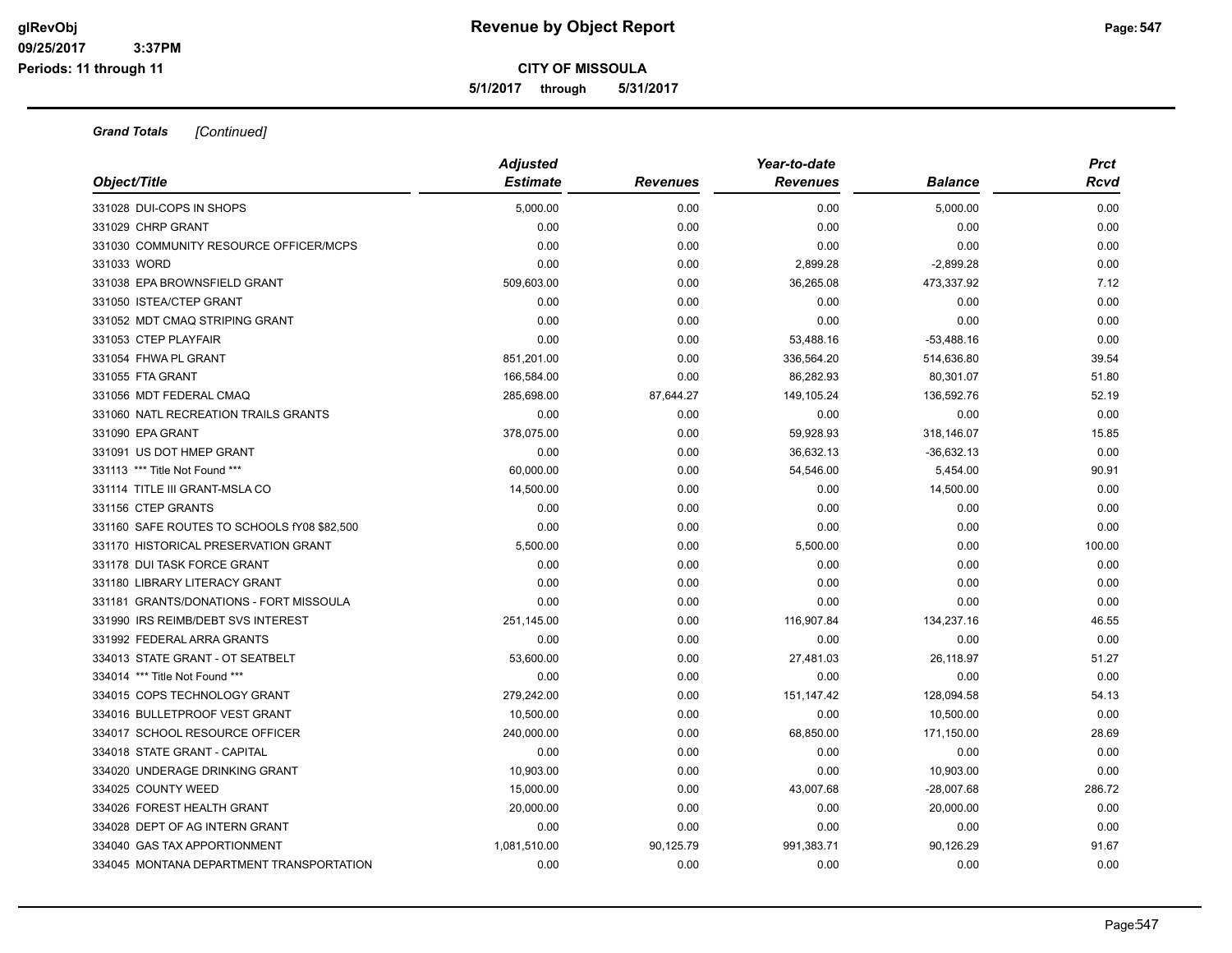**5/1/2017 through 5/31/2017**

|                                             | <b>Adjusted</b> |                 | Year-to-date    |                | <b>Prct</b> |
|---------------------------------------------|-----------------|-----------------|-----------------|----------------|-------------|
| Object/Title                                | <b>Estimate</b> | <b>Revenues</b> | <b>Revenues</b> | <b>Balance</b> | <b>Rcvd</b> |
| 331028 DUI-COPS IN SHOPS                    | 5,000.00        | 0.00            | 0.00            | 5,000.00       | 0.00        |
| 331029 CHRP GRANT                           | 0.00            | 0.00            | 0.00            | 0.00           | 0.00        |
| 331030 COMMUNITY RESOURCE OFFICER/MCPS      | 0.00            | 0.00            | 0.00            | 0.00           | 0.00        |
| 331033 WORD                                 | 0.00            | 0.00            | 2,899.28        | $-2,899.28$    | 0.00        |
| 331038 EPA BROWNSFIELD GRANT                | 509,603.00      | 0.00            | 36,265.08       | 473,337.92     | 7.12        |
| 331050 ISTEA/CTEP GRANT                     | 0.00            | 0.00            | 0.00            | 0.00           | 0.00        |
| 331052 MDT CMAQ STRIPING GRANT              | 0.00            | 0.00            | 0.00            | 0.00           | 0.00        |
| 331053 CTEP PLAYFAIR                        | 0.00            | 0.00            | 53,488.16       | $-53,488.16$   | 0.00        |
| 331054 FHWA PL GRANT                        | 851,201.00      | 0.00            | 336,564.20      | 514,636.80     | 39.54       |
| 331055 FTA GRANT                            | 166,584.00      | 0.00            | 86,282.93       | 80,301.07      | 51.80       |
| 331056 MDT FEDERAL CMAQ                     | 285,698.00      | 87,644.27       | 149,105.24      | 136,592.76     | 52.19       |
| 331060 NATL RECREATION TRAILS GRANTS        | 0.00            | 0.00            | 0.00            | 0.00           | 0.00        |
| 331090 EPA GRANT                            | 378,075.00      | 0.00            | 59,928.93       | 318,146.07     | 15.85       |
| 331091 US DOT HMEP GRANT                    | 0.00            | 0.00            | 36,632.13       | $-36,632.13$   | 0.00        |
| 331113 *** Title Not Found ***              | 60,000.00       | 0.00            | 54,546.00       | 5,454.00       | 90.91       |
| 331114 TITLE III GRANT-MSLA CO              | 14,500.00       | 0.00            | 0.00            | 14,500.00      | 0.00        |
| 331156 CTEP GRANTS                          | 0.00            | 0.00            | 0.00            | 0.00           | 0.00        |
| 331160 SAFE ROUTES TO SCHOOLS fY08 \$82,500 | 0.00            | 0.00            | 0.00            | 0.00           | 0.00        |
| 331170 HISTORICAL PRESERVATION GRANT        | 5,500.00        | 0.00            | 5,500.00        | 0.00           | 100.00      |
| 331178 DUI TASK FORCE GRANT                 | 0.00            | 0.00            | 0.00            | 0.00           | 0.00        |
| 331180 LIBRARY LITERACY GRANT               | 0.00            | 0.00            | 0.00            | 0.00           | 0.00        |
| 331181 GRANTS/DONATIONS - FORT MISSOULA     | 0.00            | 0.00            | 0.00            | 0.00           | 0.00        |
| 331990 IRS REIMB/DEBT SVS INTEREST          | 251,145.00      | 0.00            | 116,907.84      | 134,237.16     | 46.55       |
| 331992 FEDERAL ARRA GRANTS                  | 0.00            | 0.00            | 0.00            | 0.00           | 0.00        |
| 334013 STATE GRANT - OT SEATBELT            | 53,600.00       | 0.00            | 27,481.03       | 26,118.97      | 51.27       |
| 334014 *** Title Not Found ***              | 0.00            | 0.00            | 0.00            | 0.00           | 0.00        |
| 334015 COPS TECHNOLOGY GRANT                | 279,242.00      | 0.00            | 151,147.42      | 128,094.58     | 54.13       |
| 334016 BULLETPROOF VEST GRANT               | 10,500.00       | 0.00            | 0.00            | 10,500.00      | 0.00        |
| 334017 SCHOOL RESOURCE OFFICER              | 240,000.00      | 0.00            | 68,850.00       | 171,150.00     | 28.69       |
| 334018 STATE GRANT - CAPITAL                | 0.00            | 0.00            | 0.00            | 0.00           | 0.00        |
| 334020 UNDERAGE DRINKING GRANT              | 10,903.00       | 0.00            | 0.00            | 10,903.00      | 0.00        |
| 334025 COUNTY WEED                          | 15,000.00       | 0.00            | 43,007.68       | $-28,007.68$   | 286.72      |
| 334026 FOREST HEALTH GRANT                  | 20,000.00       | 0.00            | 0.00            | 20,000.00      | 0.00        |
| 334028 DEPT OF AG INTERN GRANT              | 0.00            | 0.00            | 0.00            | 0.00           | 0.00        |
| 334040 GAS TAX APPORTIONMENT                | 1,081,510.00    | 90,125.79       | 991,383.71      | 90,126.29      | 91.67       |
| 334045 MONTANA DEPARTMENT TRANSPORTATION    | 0.00            | 0.00            | 0.00            | 0.00           | 0.00        |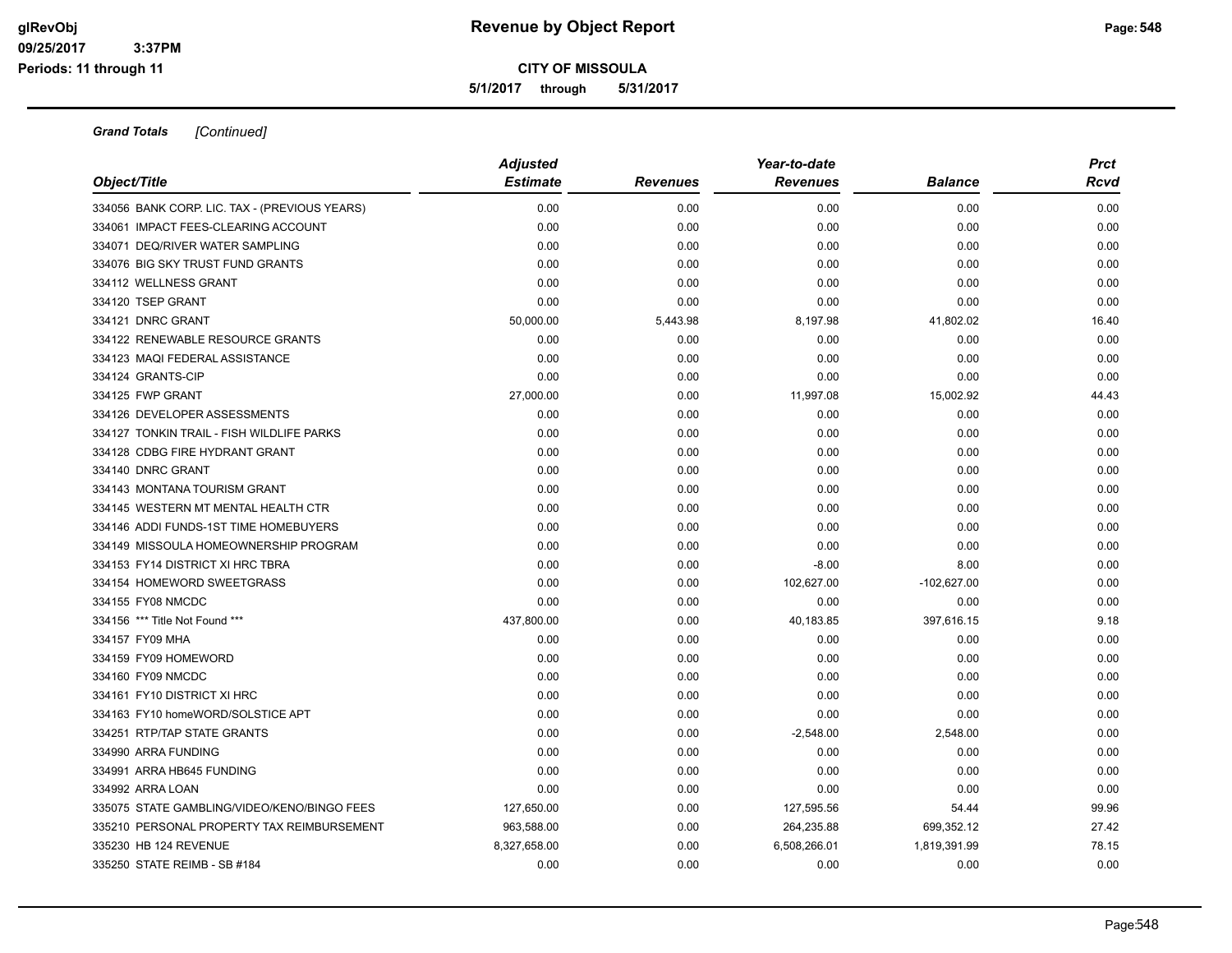**5/1/2017 through 5/31/2017**

| Object/Title                                  | <b>Adjusted</b><br><b>Estimate</b> | <b>Revenues</b> | Year-to-date<br><b>Revenues</b> | <b>Balance</b> | <b>Prct</b><br>Rcvd |
|-----------------------------------------------|------------------------------------|-----------------|---------------------------------|----------------|---------------------|
|                                               |                                    |                 |                                 |                |                     |
| 334056 BANK CORP. LIC. TAX - (PREVIOUS YEARS) | 0.00                               | 0.00            | 0.00                            | 0.00           | 0.00                |
| 334061 IMPACT FEES-CLEARING ACCOUNT           | 0.00                               | 0.00            | 0.00                            | 0.00           | 0.00                |
| 334071 DEQ/RIVER WATER SAMPLING               | 0.00                               | 0.00            | 0.00                            | 0.00           | 0.00                |
| 334076 BIG SKY TRUST FUND GRANTS              | 0.00                               | 0.00            | 0.00                            | 0.00           | 0.00                |
| 334112 WELLNESS GRANT                         | 0.00                               | 0.00            | 0.00                            | 0.00           | 0.00                |
| 334120 TSEP GRANT                             | 0.00                               | 0.00            | 0.00                            | 0.00           | 0.00                |
| 334121 DNRC GRANT                             | 50,000.00                          | 5,443.98        | 8,197.98                        | 41,802.02      | 16.40               |
| 334122 RENEWABLE RESOURCE GRANTS              | 0.00                               | 0.00            | 0.00                            | 0.00           | 0.00                |
| 334123 MAQI FEDERAL ASSISTANCE                | 0.00                               | 0.00            | 0.00                            | 0.00           | 0.00                |
| 334124 GRANTS-CIP                             | 0.00                               | 0.00            | 0.00                            | 0.00           | 0.00                |
| 334125 FWP GRANT                              | 27,000.00                          | 0.00            | 11,997.08                       | 15,002.92      | 44.43               |
| 334126 DEVELOPER ASSESSMENTS                  | 0.00                               | 0.00            | 0.00                            | 0.00           | 0.00                |
| 334127 TONKIN TRAIL - FISH WILDLIFE PARKS     | 0.00                               | 0.00            | 0.00                            | 0.00           | 0.00                |
| 334128 CDBG FIRE HYDRANT GRANT                | 0.00                               | 0.00            | 0.00                            | 0.00           | 0.00                |
| 334140 DNRC GRANT                             | 0.00                               | 0.00            | 0.00                            | 0.00           | 0.00                |
| 334143 MONTANA TOURISM GRANT                  | 0.00                               | 0.00            | 0.00                            | 0.00           | 0.00                |
| 334145 WESTERN MT MENTAL HEALTH CTR           | 0.00                               | 0.00            | 0.00                            | 0.00           | 0.00                |
| 334146 ADDI FUNDS-1ST TIME HOMEBUYERS         | 0.00                               | 0.00            | 0.00                            | 0.00           | 0.00                |
| 334149 MISSOULA HOMEOWNERSHIP PROGRAM         | 0.00                               | 0.00            | 0.00                            | 0.00           | 0.00                |
| 334153 FY14 DISTRICT XI HRC TBRA              | 0.00                               | 0.00            | $-8.00$                         | 8.00           | 0.00                |
| 334154 HOMEWORD SWEETGRASS                    | 0.00                               | 0.00            | 102,627.00                      | $-102,627.00$  | 0.00                |
| 334155 FY08 NMCDC                             | 0.00                               | 0.00            | 0.00                            | 0.00           | 0.00                |
| 334156 *** Title Not Found ***                | 437,800.00                         | 0.00            | 40,183.85                       | 397,616.15     | 9.18                |
| 334157 FY09 MHA                               | 0.00                               | 0.00            | 0.00                            | 0.00           | 0.00                |
| 334159 FY09 HOMEWORD                          | 0.00                               | 0.00            | 0.00                            | 0.00           | 0.00                |
| 334160 FY09 NMCDC                             | 0.00                               | 0.00            | 0.00                            | 0.00           | 0.00                |
| 334161 FY10 DISTRICT XI HRC                   | 0.00                               | 0.00            | 0.00                            | 0.00           | 0.00                |
| 334163 FY10 homeWORD/SOLSTICE APT             | 0.00                               | 0.00            | 0.00                            | 0.00           | 0.00                |
| 334251 RTP/TAP STATE GRANTS                   | 0.00                               | 0.00            | $-2,548.00$                     | 2,548.00       | 0.00                |
| 334990 ARRA FUNDING                           | 0.00                               | 0.00            | 0.00                            | 0.00           | 0.00                |
| 334991 ARRA HB645 FUNDING                     | 0.00                               | 0.00            | 0.00                            | 0.00           | 0.00                |
| 334992 ARRA LOAN                              | 0.00                               | 0.00            | 0.00                            | 0.00           | 0.00                |
| 335075 STATE GAMBLING/VIDEO/KENO/BINGO FEES   | 127,650.00                         | 0.00            | 127,595.56                      | 54.44          | 99.96               |
| 335210 PERSONAL PROPERTY TAX REIMBURSEMENT    | 963,588.00                         | 0.00            | 264,235.88                      | 699,352.12     | 27.42               |
| 335230 HB 124 REVENUE                         | 8,327,658.00                       | 0.00            | 6,508,266.01                    | 1,819,391.99   | 78.15               |
| 335250 STATE REIMB - SB #184                  | 0.00                               | 0.00            | 0.00                            | 0.00           | 0.00                |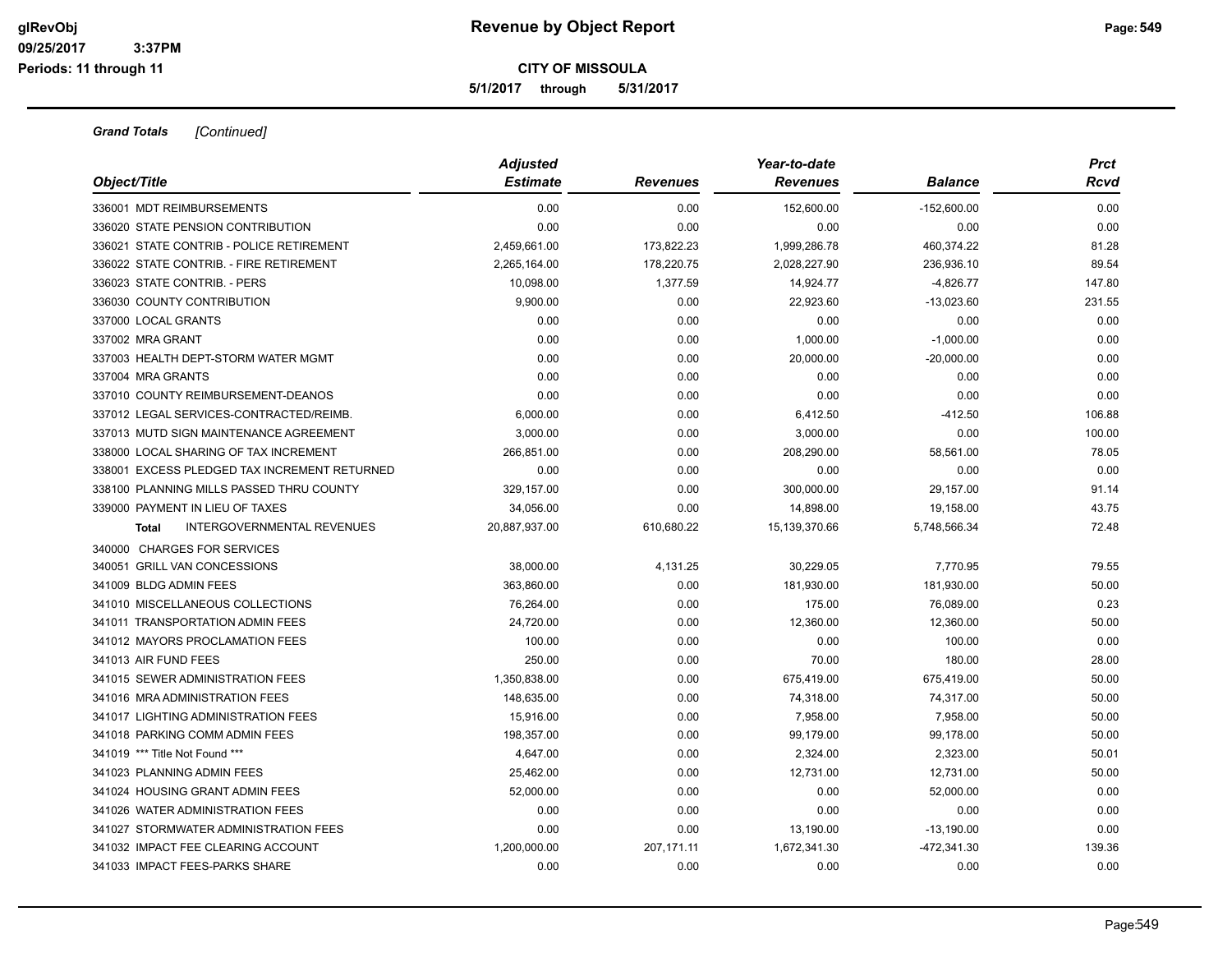**5/1/2017 through 5/31/2017**

|                                                   | <b>Adjusted</b><br><b>Estimate</b> | <b>Revenues</b> | Year-to-date<br><b>Revenues</b> | <b>Balance</b> | <b>Prct</b><br>Rcvd |
|---------------------------------------------------|------------------------------------|-----------------|---------------------------------|----------------|---------------------|
| Object/Title                                      |                                    |                 |                                 |                |                     |
| 336001 MDT REIMBURSEMENTS                         | 0.00                               | 0.00            | 152,600.00                      | $-152,600.00$  | 0.00                |
| 336020 STATE PENSION CONTRIBUTION                 | 0.00                               | 0.00            | 0.00                            | 0.00           | 0.00                |
| 336021 STATE CONTRIB - POLICE RETIREMENT          | 2,459,661.00                       | 173,822.23      | 1,999,286.78                    | 460,374.22     | 81.28               |
| 336022 STATE CONTRIB. - FIRE RETIREMENT           | 2,265,164.00                       | 178,220.75      | 2,028,227.90                    | 236,936.10     | 89.54               |
| 336023 STATE CONTRIB. - PERS                      | 10.098.00                          | 1,377.59        | 14,924.77                       | $-4,826.77$    | 147.80              |
| 336030 COUNTY CONTRIBUTION                        | 9,900.00                           | 0.00            | 22,923.60                       | $-13,023.60$   | 231.55              |
| 337000 LOCAL GRANTS                               | 0.00                               | 0.00            | 0.00                            | 0.00           | 0.00                |
| 337002 MRA GRANT                                  | 0.00                               | 0.00            | 1,000.00                        | $-1,000.00$    | 0.00                |
| 337003 HEALTH DEPT-STORM WATER MGMT               | 0.00                               | 0.00            | 20,000.00                       | $-20,000.00$   | 0.00                |
| 337004 MRA GRANTS                                 | 0.00                               | 0.00            | 0.00                            | 0.00           | 0.00                |
| 337010 COUNTY REIMBURSEMENT-DEANOS                | 0.00                               | 0.00            | 0.00                            | 0.00           | 0.00                |
| 337012 LEGAL SERVICES-CONTRACTED/REIMB.           | 6,000.00                           | 0.00            | 6,412.50                        | $-412.50$      | 106.88              |
| 337013 MUTD SIGN MAINTENANCE AGREEMENT            | 3,000.00                           | 0.00            | 3,000.00                        | 0.00           | 100.00              |
| 338000 LOCAL SHARING OF TAX INCREMENT             | 266,851.00                         | 0.00            | 208,290.00                      | 58,561.00      | 78.05               |
| 338001 EXCESS PLEDGED TAX INCREMENT RETURNED      | 0.00                               | 0.00            | 0.00                            | 0.00           | 0.00                |
| 338100 PLANNING MILLS PASSED THRU COUNTY          | 329,157.00                         | 0.00            | 300,000.00                      | 29,157.00      | 91.14               |
| 339000 PAYMENT IN LIEU OF TAXES                   | 34,056.00                          | 0.00            | 14,898.00                       | 19,158.00      | 43.75               |
| <b>INTERGOVERNMENTAL REVENUES</b><br><b>Total</b> | 20,887,937.00                      | 610,680.22      | 15,139,370.66                   | 5,748,566.34   | 72.48               |
| 340000 CHARGES FOR SERVICES                       |                                    |                 |                                 |                |                     |
| 340051 GRILL VAN CONCESSIONS                      | 38,000.00                          | 4,131.25        | 30,229.05                       | 7,770.95       | 79.55               |
| 341009 BLDG ADMIN FEES                            | 363.860.00                         | 0.00            | 181,930.00                      | 181,930.00     | 50.00               |
| 341010 MISCELLANEOUS COLLECTIONS                  | 76.264.00                          | 0.00            | 175.00                          | 76,089.00      | 0.23                |
| 341011 TRANSPORTATION ADMIN FEES                  | 24,720.00                          | 0.00            | 12,360.00                       | 12,360.00      | 50.00               |
| 341012 MAYORS PROCLAMATION FEES                   | 100.00                             | 0.00            | 0.00                            | 100.00         | 0.00                |
| 341013 AIR FUND FEES                              | 250.00                             | 0.00            | 70.00                           | 180.00         | 28.00               |
| 341015 SEWER ADMINISTRATION FEES                  | 1,350,838.00                       | 0.00            | 675,419.00                      | 675,419.00     | 50.00               |
| 341016 MRA ADMINISTRATION FEES                    | 148,635.00                         | 0.00            | 74,318.00                       | 74,317.00      | 50.00               |
| 341017 LIGHTING ADMINISTRATION FEES               | 15,916.00                          | 0.00            | 7,958.00                        | 7,958.00       | 50.00               |
| 341018 PARKING COMM ADMIN FEES                    | 198,357.00                         | 0.00            | 99,179.00                       | 99,178.00      | 50.00               |
| 341019 *** Title Not Found ***                    | 4,647.00                           | 0.00            | 2,324.00                        | 2,323.00       | 50.01               |
| 341023 PLANNING ADMIN FEES                        | 25,462.00                          | 0.00            | 12,731.00                       | 12,731.00      | 50.00               |
| 341024 HOUSING GRANT ADMIN FEES                   | 52,000.00                          | 0.00            | 0.00                            | 52,000.00      | 0.00                |
| 341026 WATER ADMINISTRATION FEES                  | 0.00                               | 0.00            | 0.00                            | 0.00           | 0.00                |
| 341027 STORMWATER ADMINISTRATION FEES             | 0.00                               | 0.00            | 13,190.00                       | $-13,190.00$   | 0.00                |
| 341032 IMPACT FEE CLEARING ACCOUNT                | 1,200,000.00                       | 207,171.11      | 1,672,341.30                    | $-472,341.30$  | 139.36              |
| 341033 IMPACT FEES-PARKS SHARE                    | 0.00                               | 0.00            | 0.00                            | 0.00           | 0.00                |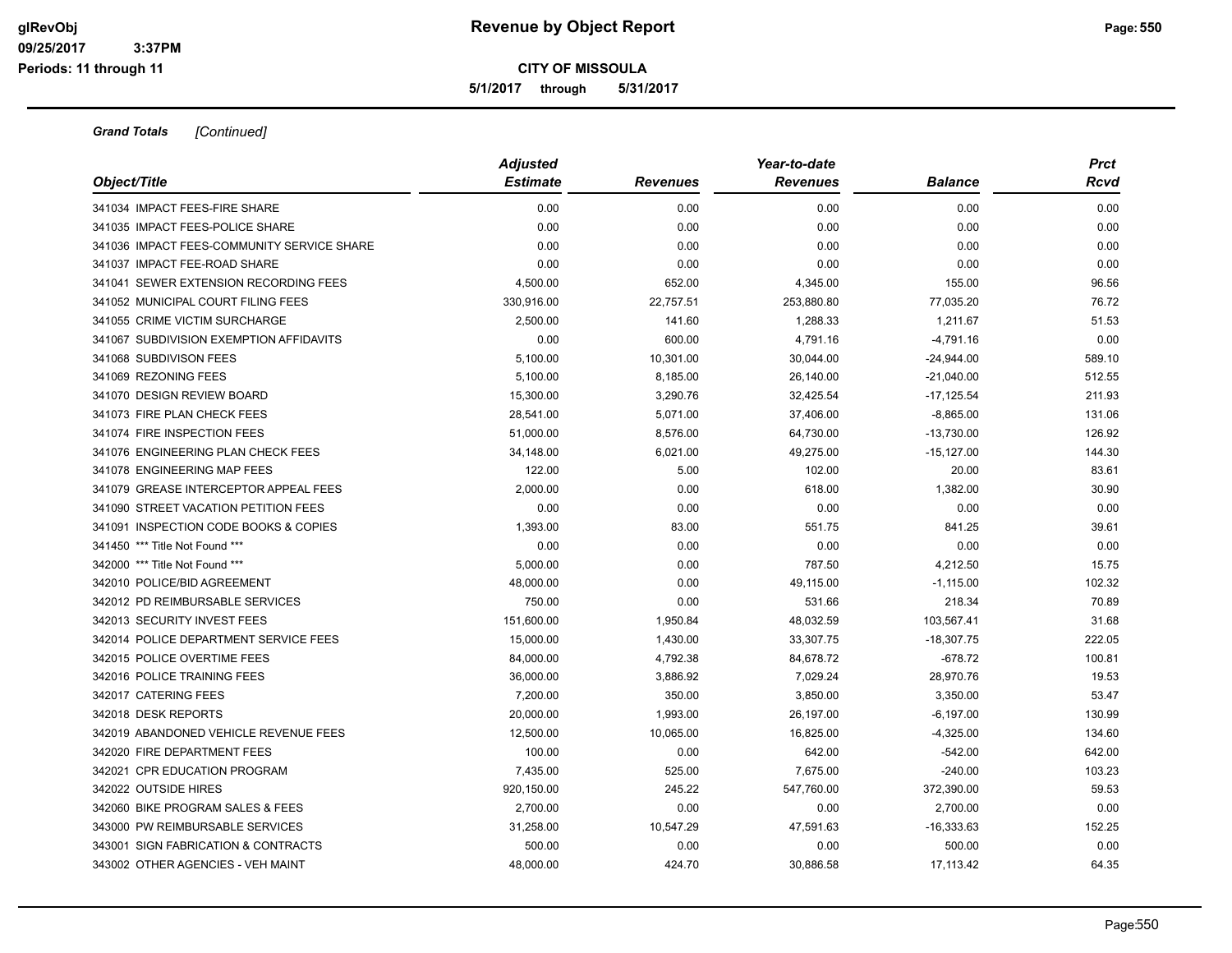**5/1/2017 through 5/31/2017**

|                                            | <b>Adjusted</b> |                 | Year-to-date    |                | <b>Prct</b> |
|--------------------------------------------|-----------------|-----------------|-----------------|----------------|-------------|
| Object/Title                               | <b>Estimate</b> | <b>Revenues</b> | <b>Revenues</b> | <b>Balance</b> | Rcvd        |
| 341034 IMPACT FEES-FIRE SHARE              | 0.00            | 0.00            | 0.00            | 0.00           | 0.00        |
| 341035 IMPACT FEES-POLICE SHARE            | 0.00            | 0.00            | 0.00            | 0.00           | 0.00        |
| 341036 IMPACT FEES-COMMUNITY SERVICE SHARE | 0.00            | 0.00            | 0.00            | 0.00           | 0.00        |
| 341037 IMPACT FEE-ROAD SHARE               | 0.00            | 0.00            | 0.00            | 0.00           | 0.00        |
| 341041 SEWER EXTENSION RECORDING FEES      | 4,500.00        | 652.00          | 4,345.00        | 155.00         | 96.56       |
| 341052 MUNICIPAL COURT FILING FEES         | 330,916.00      | 22,757.51       | 253,880.80      | 77,035.20      | 76.72       |
| 341055 CRIME VICTIM SURCHARGE              | 2,500.00        | 141.60          | 1,288.33        | 1,211.67       | 51.53       |
| 341067 SUBDIVISION EXEMPTION AFFIDAVITS    | 0.00            | 600.00          | 4,791.16        | -4,791.16      | 0.00        |
| 341068 SUBDIVISON FEES                     | 5,100.00        | 10,301.00       | 30,044.00       | $-24,944.00$   | 589.10      |
| 341069 REZONING FEES                       | 5,100.00        | 8,185.00        | 26,140.00       | $-21,040.00$   | 512.55      |
| 341070 DESIGN REVIEW BOARD                 | 15,300.00       | 3,290.76        | 32,425.54       | $-17, 125.54$  | 211.93      |
| 341073 FIRE PLAN CHECK FEES                | 28,541.00       | 5,071.00        | 37,406.00       | $-8,865.00$    | 131.06      |
| 341074 FIRE INSPECTION FEES                | 51,000.00       | 8,576.00        | 64,730.00       | $-13,730.00$   | 126.92      |
| 341076 ENGINEERING PLAN CHECK FEES         | 34,148.00       | 6,021.00        | 49,275.00       | $-15, 127.00$  | 144.30      |
| 341078 ENGINEERING MAP FEES                | 122.00          | 5.00            | 102.00          | 20.00          | 83.61       |
| 341079 GREASE INTERCEPTOR APPEAL FEES      | 2,000.00        | 0.00            | 618.00          | 1,382.00       | 30.90       |
| 341090 STREET VACATION PETITION FEES       | 0.00            | 0.00            | 0.00            | 0.00           | 0.00        |
| 341091 INSPECTION CODE BOOKS & COPIES      | 1,393.00        | 83.00           | 551.75          | 841.25         | 39.61       |
| 341450 *** Title Not Found ***             | 0.00            | 0.00            | 0.00            | 0.00           | 0.00        |
| 342000 *** Title Not Found ***             | 5,000.00        | 0.00            | 787.50          | 4,212.50       | 15.75       |
| 342010 POLICE/BID AGREEMENT                | 48,000.00       | 0.00            | 49,115.00       | $-1,115.00$    | 102.32      |
| 342012 PD REIMBURSABLE SERVICES            | 750.00          | 0.00            | 531.66          | 218.34         | 70.89       |
| 342013 SECURITY INVEST FEES                | 151,600.00      | 1,950.84        | 48,032.59       | 103,567.41     | 31.68       |
| 342014 POLICE DEPARTMENT SERVICE FEES      | 15,000.00       | 1,430.00        | 33,307.75       | $-18,307.75$   | 222.05      |
| 342015 POLICE OVERTIME FEES                | 84,000.00       | 4,792.38        | 84,678.72       | $-678.72$      | 100.81      |
| 342016 POLICE TRAINING FEES                | 36,000.00       | 3,886.92        | 7,029.24        | 28,970.76      | 19.53       |
| 342017 CATERING FEES                       | 7,200.00        | 350.00          | 3,850.00        | 3,350.00       | 53.47       |
| 342018 DESK REPORTS                        | 20,000.00       | 1,993.00        | 26,197.00       | $-6,197.00$    | 130.99      |
| 342019 ABANDONED VEHICLE REVENUE FEES      | 12,500.00       | 10,065.00       | 16,825.00       | $-4,325.00$    | 134.60      |
| 342020 FIRE DEPARTMENT FEES                | 100.00          | 0.00            | 642.00          | $-542.00$      | 642.00      |
| 342021 CPR EDUCATION PROGRAM               | 7,435.00        | 525.00          | 7,675.00        | $-240.00$      | 103.23      |
| 342022 OUTSIDE HIRES                       | 920,150.00      | 245.22          | 547,760.00      | 372,390.00     | 59.53       |
| 342060 BIKE PROGRAM SALES & FEES           | 2,700.00        | 0.00            | 0.00            | 2,700.00       | 0.00        |
| 343000 PW REIMBURSABLE SERVICES            | 31,258.00       | 10,547.29       | 47,591.63       | $-16,333.63$   | 152.25      |
| 343001 SIGN FABRICATION & CONTRACTS        | 500.00          | 0.00            | 0.00            | 500.00         | 0.00        |
| 343002 OTHER AGENCIES - VEH MAINT          | 48.000.00       | 424.70          | 30.886.58       | 17.113.42      | 64.35       |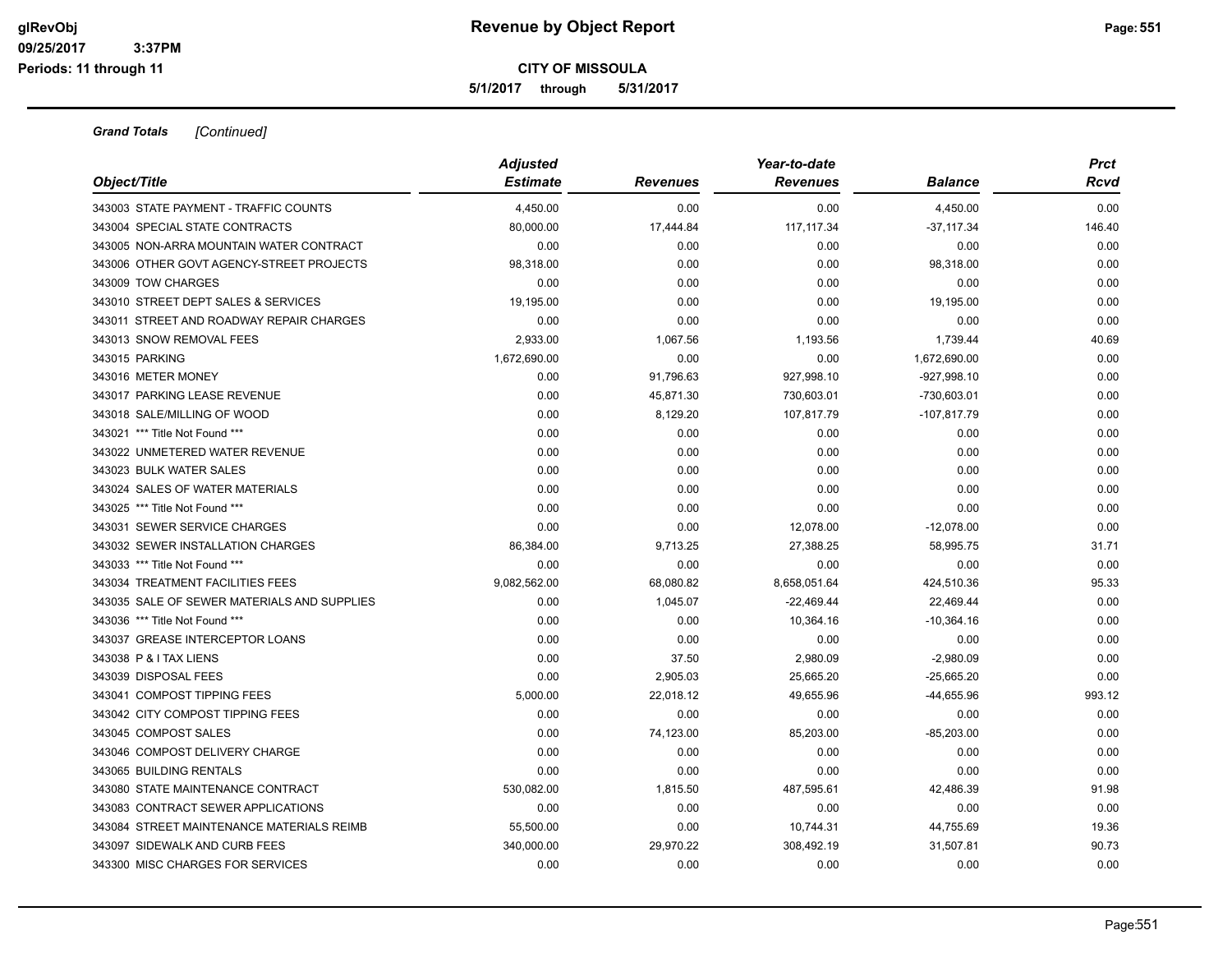**5/1/2017 through 5/31/2017**

|                                             | <b>Adjusted</b> |                 | Year-to-date    | <b>Prct</b>    |        |  |
|---------------------------------------------|-----------------|-----------------|-----------------|----------------|--------|--|
| Object/Title                                | <b>Estimate</b> | <b>Revenues</b> | <b>Revenues</b> | <b>Balance</b> | Rcvd   |  |
| 343003 STATE PAYMENT - TRAFFIC COUNTS       | 4,450.00        | 0.00            | 0.00            | 4,450.00       | 0.00   |  |
| 343004 SPECIAL STATE CONTRACTS              | 80,000.00       | 17,444.84       | 117, 117.34     | $-37,117.34$   | 146.40 |  |
| 343005 NON-ARRA MOUNTAIN WATER CONTRACT     | 0.00            | 0.00            | 0.00            | 0.00           | 0.00   |  |
| 343006 OTHER GOVT AGENCY-STREET PROJECTS    | 98,318.00       | 0.00            | 0.00            | 98,318.00      | 0.00   |  |
| 343009 TOW CHARGES                          | 0.00            | 0.00            | 0.00            | 0.00           | 0.00   |  |
| 343010 STREET DEPT SALES & SERVICES         | 19,195.00       | 0.00            | 0.00            | 19,195.00      | 0.00   |  |
| 343011 STREET AND ROADWAY REPAIR CHARGES    | 0.00            | 0.00            | 0.00            | 0.00           | 0.00   |  |
| 343013 SNOW REMOVAL FEES                    | 2,933.00        | 1,067.56        | 1,193.56        | 1,739.44       | 40.69  |  |
| 343015 PARKING                              | 1,672,690.00    | 0.00            | 0.00            | 1,672,690.00   | 0.00   |  |
| 343016 METER MONEY                          | 0.00            | 91,796.63       | 927,998.10      | $-927,998.10$  | 0.00   |  |
| 343017 PARKING LEASE REVENUE                | 0.00            | 45,871.30       | 730,603.01      | -730,603.01    | 0.00   |  |
| 343018 SALE/MILLING OF WOOD                 | 0.00            | 8,129.20        | 107,817.79      | $-107,817.79$  | 0.00   |  |
| 343021 *** Title Not Found ***              | 0.00            | 0.00            | 0.00            | 0.00           | 0.00   |  |
| 343022 UNMETERED WATER REVENUE              | 0.00            | 0.00            | 0.00            | 0.00           | 0.00   |  |
| 343023 BULK WATER SALES                     | 0.00            | 0.00            | 0.00            | 0.00           | 0.00   |  |
| 343024 SALES OF WATER MATERIALS             | 0.00            | 0.00            | 0.00            | 0.00           | 0.00   |  |
| 343025 *** Title Not Found ***              | 0.00            | 0.00            | 0.00            | 0.00           | 0.00   |  |
| 343031 SEWER SERVICE CHARGES                | 0.00            | 0.00            | 12,078.00       | $-12,078.00$   | 0.00   |  |
| 343032 SEWER INSTALLATION CHARGES           | 86,384.00       | 9,713.25        | 27,388.25       | 58,995.75      | 31.71  |  |
| 343033 *** Title Not Found ***              | 0.00            | 0.00            | 0.00            | 0.00           | 0.00   |  |
| 343034 TREATMENT FACILITIES FEES            | 9,082,562.00    | 68,080.82       | 8,658,051.64    | 424,510.36     | 95.33  |  |
| 343035 SALE OF SEWER MATERIALS AND SUPPLIES | 0.00            | 1,045.07        | $-22,469.44$    | 22,469.44      | 0.00   |  |
| 343036 *** Title Not Found ***              | 0.00            | 0.00            | 10,364.16       | $-10,364.16$   | 0.00   |  |
| 343037 GREASE INTERCEPTOR LOANS             | 0.00            | 0.00            | 0.00            | 0.00           | 0.00   |  |
| 343038 P & I TAX LIENS                      | 0.00            | 37.50           | 2,980.09        | $-2,980.09$    | 0.00   |  |
| 343039 DISPOSAL FEES                        | 0.00            | 2,905.03        | 25,665.20       | $-25,665.20$   | 0.00   |  |
| 343041 COMPOST TIPPING FEES                 | 5,000.00        | 22,018.12       | 49,655.96       | $-44,655.96$   | 993.12 |  |
| 343042 CITY COMPOST TIPPING FEES            | 0.00            | 0.00            | 0.00            | 0.00           | 0.00   |  |
| 343045 COMPOST SALES                        | 0.00            | 74,123.00       | 85,203.00       | $-85,203.00$   | 0.00   |  |
| 343046 COMPOST DELIVERY CHARGE              | 0.00            | 0.00            | 0.00            | 0.00           | 0.00   |  |
| 343065 BUILDING RENTALS                     | 0.00            | 0.00            | 0.00            | 0.00           | 0.00   |  |
| 343080 STATE MAINTENANCE CONTRACT           | 530,082.00      | 1,815.50        | 487,595.61      | 42,486.39      | 91.98  |  |
| 343083 CONTRACT SEWER APPLICATIONS          | 0.00            | 0.00            | 0.00            | 0.00           | 0.00   |  |
| 343084 STREET MAINTENANCE MATERIALS REIMB   | 55,500.00       | 0.00            | 10,744.31       | 44,755.69      | 19.36  |  |
| 343097 SIDEWALK AND CURB FEES               | 340,000.00      | 29,970.22       | 308,492.19      | 31,507.81      | 90.73  |  |
| 343300 MISC CHARGES FOR SERVICES            | 0.00            | 0.00            | 0.00            | 0.00           | 0.00   |  |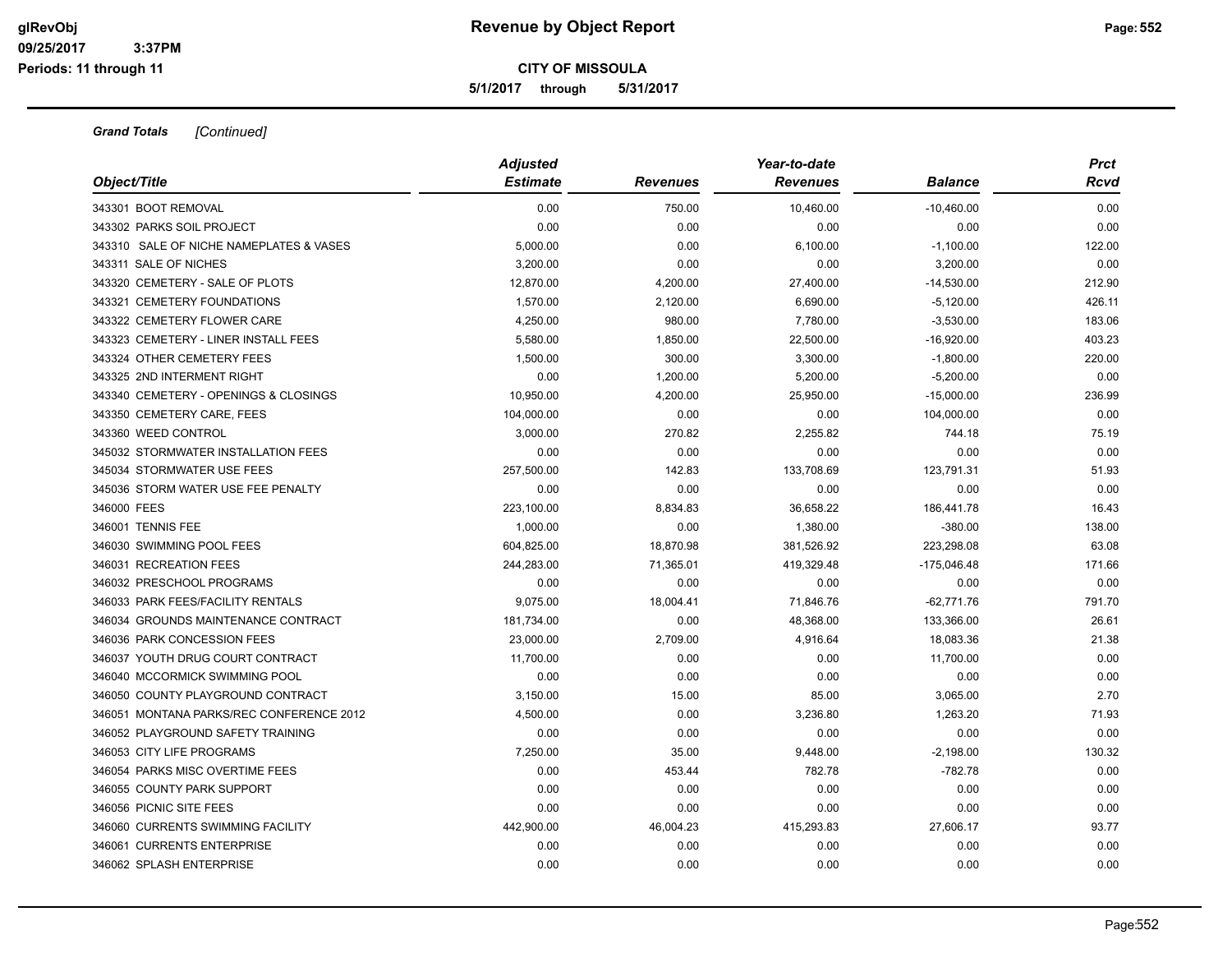**5/1/2017 through 5/31/2017**

| Object/Title                             | <b>Adjusted</b><br><b>Estimate</b> | <b>Revenues</b> | Year-to-date<br><b>Revenues</b> | <b>Balance</b> | <b>Prct</b><br>Rcvd |
|------------------------------------------|------------------------------------|-----------------|---------------------------------|----------------|---------------------|
| 343301 BOOT REMOVAL                      | 0.00                               | 750.00          | 10,460.00                       | $-10,460.00$   | 0.00                |
| 343302 PARKS SOIL PROJECT                | 0.00                               | 0.00            | 0.00                            | 0.00           | 0.00                |
| 343310 SALE OF NICHE NAMEPLATES & VASES  | 5,000.00                           | 0.00            | 6,100.00                        | $-1,100.00$    | 122.00              |
| 343311 SALE OF NICHES                    | 3,200.00                           | 0.00            | 0.00                            | 3,200.00       | 0.00                |
| 343320 CEMETERY - SALE OF PLOTS          | 12,870.00                          | 4,200.00        | 27,400.00                       | $-14,530.00$   | 212.90              |
| 343321 CEMETERY FOUNDATIONS              | 1,570.00                           | 2,120.00        | 6,690.00                        | $-5,120.00$    | 426.11              |
| 343322 CEMETERY FLOWER CARE              | 4,250.00                           | 980.00          | 7,780.00                        | $-3,530.00$    | 183.06              |
| 343323 CEMETERY - LINER INSTALL FEES     | 5,580.00                           | 1,850.00        | 22,500.00                       | $-16,920.00$   | 403.23              |
| 343324 OTHER CEMETERY FEES               | 1,500.00                           | 300.00          | 3,300.00                        | $-1,800.00$    | 220.00              |
| 343325 2ND INTERMENT RIGHT               | 0.00                               | 1,200.00        | 5,200.00                        | $-5,200.00$    | 0.00                |
| 343340 CEMETERY - OPENINGS & CLOSINGS    | 10.950.00                          | 4,200.00        | 25,950.00                       | $-15,000.00$   | 236.99              |
| 343350 CEMETERY CARE, FEES               | 104,000.00                         | 0.00            | 0.00                            | 104,000.00     | 0.00                |
| 343360 WEED CONTROL                      | 3,000.00                           | 270.82          | 2,255.82                        | 744.18         | 75.19               |
| 345032 STORMWATER INSTALLATION FEES      | 0.00                               | 0.00            | 0.00                            | 0.00           | 0.00                |
| 345034 STORMWATER USE FEES               | 257,500.00                         | 142.83          | 133,708.69                      | 123,791.31     | 51.93               |
| 345036 STORM WATER USE FEE PENALTY       | 0.00                               | 0.00            | 0.00                            | 0.00           | 0.00                |
| 346000 FEES                              | 223,100.00                         | 8,834.83        | 36,658.22                       | 186,441.78     | 16.43               |
| 346001 TENNIS FEE                        | 1,000.00                           | 0.00            | 1,380.00                        | $-380.00$      | 138.00              |
| 346030 SWIMMING POOL FEES                | 604,825.00                         | 18,870.98       | 381,526.92                      | 223,298.08     | 63.08               |
| 346031 RECREATION FEES                   | 244,283.00                         | 71,365.01       | 419,329.48                      | $-175,046.48$  | 171.66              |
| 346032 PRESCHOOL PROGRAMS                | 0.00                               | 0.00            | 0.00                            | 0.00           | 0.00                |
| 346033 PARK FEES/FACILITY RENTALS        | 9,075.00                           | 18,004.41       | 71,846.76                       | $-62,771.76$   | 791.70              |
| 346034 GROUNDS MAINTENANCE CONTRACT      | 181,734.00                         | 0.00            | 48,368.00                       | 133,366.00     | 26.61               |
| 346036 PARK CONCESSION FEES              | 23,000.00                          | 2,709.00        | 4,916.64                        | 18,083.36      | 21.38               |
| 346037 YOUTH DRUG COURT CONTRACT         | 11,700.00                          | 0.00            | 0.00                            | 11,700.00      | 0.00                |
| 346040 MCCORMICK SWIMMING POOL           | 0.00                               | 0.00            | 0.00                            | 0.00           | 0.00                |
| 346050 COUNTY PLAYGROUND CONTRACT        | 3,150.00                           | 15.00           | 85.00                           | 3,065.00       | 2.70                |
| 346051 MONTANA PARKS/REC CONFERENCE 2012 | 4,500.00                           | 0.00            | 3,236.80                        | 1,263.20       | 71.93               |
| 346052 PLAYGROUND SAFETY TRAINING        | 0.00                               | 0.00            | 0.00                            | 0.00           | 0.00                |
| 346053 CITY LIFE PROGRAMS                | 7,250.00                           | 35.00           | 9,448.00                        | $-2,198.00$    | 130.32              |
| 346054 PARKS MISC OVERTIME FEES          | 0.00                               | 453.44          | 782.78                          | $-782.78$      | 0.00                |
| 346055 COUNTY PARK SUPPORT               | 0.00                               | 0.00            | 0.00                            | 0.00           | 0.00                |
| 346056 PICNIC SITE FEES                  | 0.00                               | 0.00            | 0.00                            | 0.00           | 0.00                |
| 346060 CURRENTS SWIMMING FACILITY        | 442,900.00                         | 46,004.23       | 415,293.83                      | 27,606.17      | 93.77               |
| 346061 CURRENTS ENTERPRISE               | 0.00                               | 0.00            | 0.00                            | 0.00           | 0.00                |
| 346062 SPLASH ENTERPRISE                 | 0.00                               | 0.00            | 0.00                            | 0.00           | 0.00                |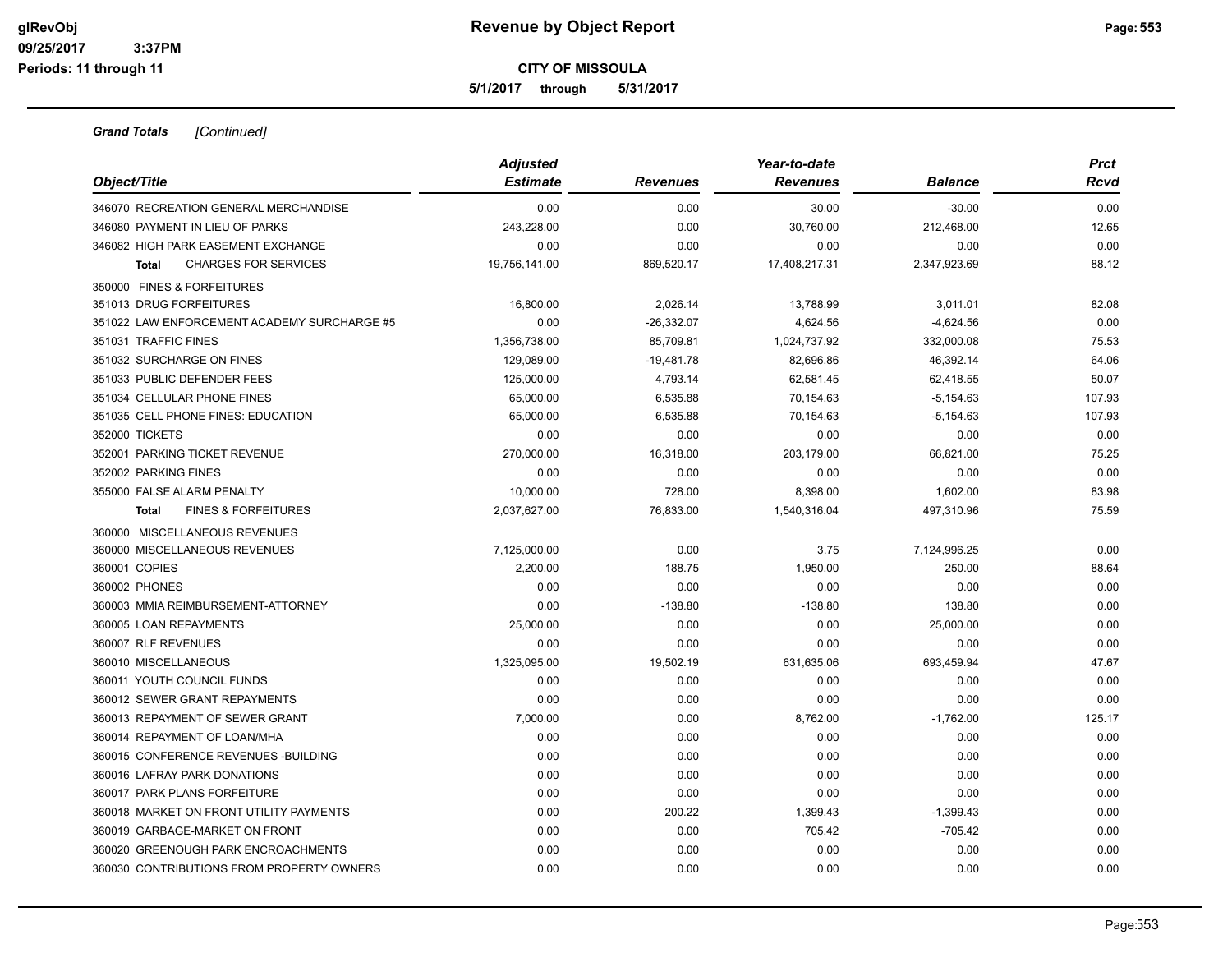**5/1/2017 through 5/31/2017**

|                                                | <b>Adjusted</b><br><b>Estimate</b> | <b>Revenues</b> | Year-to-date<br><b>Revenues</b> | <b>Balance</b> | <b>Prct</b><br>Rcvd |
|------------------------------------------------|------------------------------------|-----------------|---------------------------------|----------------|---------------------|
| Object/Title                                   |                                    |                 |                                 |                |                     |
| 346070 RECREATION GENERAL MERCHANDISE          | 0.00                               | 0.00            | 30.00                           | $-30.00$       | 0.00                |
| 346080 PAYMENT IN LIEU OF PARKS                | 243,228.00                         | 0.00            | 30,760.00                       | 212,468.00     | 12.65               |
| 346082 HIGH PARK EASEMENT EXCHANGE             | 0.00                               | 0.00            | 0.00                            | 0.00           | 0.00                |
| <b>CHARGES FOR SERVICES</b><br><b>Total</b>    | 19,756,141.00                      | 869,520.17      | 17,408,217.31                   | 2,347,923.69   | 88.12               |
| 350000 FINES & FORFEITURES                     |                                    |                 |                                 |                |                     |
| 351013 DRUG FORFEITURES                        | 16,800.00                          | 2,026.14        | 13,788.99                       | 3,011.01       | 82.08               |
| 351022 LAW ENFORCEMENT ACADEMY SURCHARGE #5    | 0.00                               | $-26,332.07$    | 4,624.56                        | $-4,624.56$    | 0.00                |
| 351031 TRAFFIC FINES                           | 1,356,738.00                       | 85,709.81       | 1,024,737.92                    | 332,000.08     | 75.53               |
| 351032 SURCHARGE ON FINES                      | 129,089.00                         | $-19,481.78$    | 82,696.86                       | 46,392.14      | 64.06               |
| 351033 PUBLIC DEFENDER FEES                    | 125,000.00                         | 4,793.14        | 62,581.45                       | 62,418.55      | 50.07               |
| 351034 CELLULAR PHONE FINES                    | 65,000.00                          | 6,535.88        | 70,154.63                       | $-5,154.63$    | 107.93              |
| 351035 CELL PHONE FINES: EDUCATION             | 65,000.00                          | 6,535.88        | 70,154.63                       | $-5,154.63$    | 107.93              |
| 352000 TICKETS                                 | 0.00                               | 0.00            | 0.00                            | 0.00           | 0.00                |
| 352001 PARKING TICKET REVENUE                  | 270,000.00                         | 16,318.00       | 203,179.00                      | 66,821.00      | 75.25               |
| 352002 PARKING FINES                           | 0.00                               | 0.00            | 0.00                            | 0.00           | 0.00                |
| 355000 FALSE ALARM PENALTY                     | 10,000.00                          | 728.00          | 8,398.00                        | 1,602.00       | 83.98               |
| <b>FINES &amp; FORFEITURES</b><br><b>Total</b> | 2,037,627.00                       | 76,833.00       | 1,540,316.04                    | 497,310.96     | 75.59               |
| 360000 MISCELLANEOUS REVENUES                  |                                    |                 |                                 |                |                     |
| 360000 MISCELLANEOUS REVENUES                  | 7,125,000.00                       | 0.00            | 3.75                            | 7,124,996.25   | 0.00                |
| 360001 COPIES                                  | 2,200.00                           | 188.75          | 1,950.00                        | 250.00         | 88.64               |
| 360002 PHONES                                  | 0.00                               | 0.00            | 0.00                            | 0.00           | 0.00                |
| 360003 MMIA REIMBURSEMENT-ATTORNEY             | 0.00                               | $-138.80$       | $-138.80$                       | 138.80         | 0.00                |
| 360005 LOAN REPAYMENTS                         | 25,000.00                          | 0.00            | 0.00                            | 25,000.00      | 0.00                |
| 360007 RLF REVENUES                            | 0.00                               | 0.00            | 0.00                            | 0.00           | 0.00                |
| 360010 MISCELLANEOUS                           | 1,325,095.00                       | 19,502.19       | 631,635.06                      | 693,459.94     | 47.67               |
| 360011 YOUTH COUNCIL FUNDS                     | 0.00                               | 0.00            | 0.00                            | 0.00           | 0.00                |
| 360012 SEWER GRANT REPAYMENTS                  | 0.00                               | 0.00            | 0.00                            | 0.00           | 0.00                |
| 360013 REPAYMENT OF SEWER GRANT                | 7,000.00                           | 0.00            | 8,762.00                        | $-1,762.00$    | 125.17              |
| 360014 REPAYMENT OF LOAN/MHA                   | 0.00                               | 0.00            | 0.00                            | 0.00           | 0.00                |
| 360015 CONFERENCE REVENUES - BUILDING          | 0.00                               | 0.00            | 0.00                            | 0.00           | 0.00                |
| 360016 LAFRAY PARK DONATIONS                   | 0.00                               | 0.00            | 0.00                            | 0.00           | 0.00                |
| 360017 PARK PLANS FORFEITURE                   | 0.00                               | 0.00            | 0.00                            | 0.00           | 0.00                |
| 360018 MARKET ON FRONT UTILITY PAYMENTS        | 0.00                               | 200.22          | 1,399.43                        | $-1,399.43$    | 0.00                |
| 360019 GARBAGE-MARKET ON FRONT                 | 0.00                               | 0.00            | 705.42                          | $-705.42$      | 0.00                |
| 360020 GREENOUGH PARK ENCROACHMENTS            | 0.00                               | 0.00            | 0.00                            | 0.00           | 0.00                |
| 360030 CONTRIBUTIONS FROM PROPERTY OWNERS      | 0.00                               | 0.00            | 0.00                            | 0.00           | 0.00                |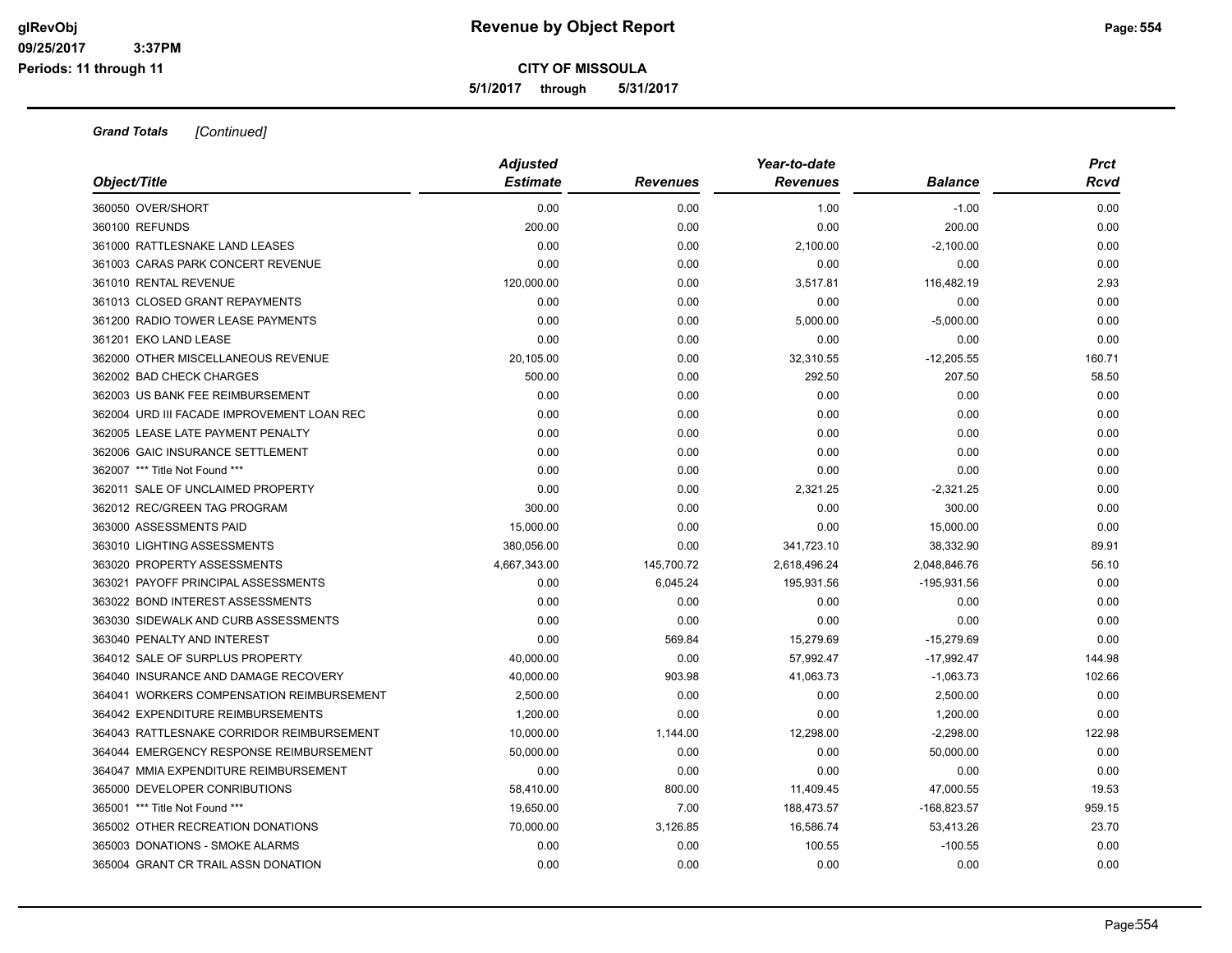**5/1/2017 through 5/31/2017**

| Object/Title                               | <b>Adjusted</b><br><b>Estimate</b> | <b>Revenues</b> | Year-to-date<br><b>Revenues</b> | <b>Balance</b> | <b>Prct</b><br>Rcvd |
|--------------------------------------------|------------------------------------|-----------------|---------------------------------|----------------|---------------------|
| 360050 OVER/SHORT                          | 0.00                               | 0.00            | 1.00                            | $-1.00$        | 0.00                |
| 360100 REFUNDS                             | 200.00                             | 0.00            | 0.00                            | 200.00         | 0.00                |
| 361000 RATTLESNAKE LAND LEASES             | 0.00                               | 0.00            | 2,100.00                        | $-2,100.00$    | 0.00                |
| 361003 CARAS PARK CONCERT REVENUE          | 0.00                               | 0.00            | 0.00                            | 0.00           | 0.00                |
| 361010 RENTAL REVENUE                      | 120,000.00                         | 0.00            | 3,517.81                        | 116,482.19     | 2.93                |
| 361013 CLOSED GRANT REPAYMENTS             | 0.00                               | 0.00            | 0.00                            | 0.00           | 0.00                |
| 361200 RADIO TOWER LEASE PAYMENTS          | 0.00                               | 0.00            | 5,000.00                        | $-5,000.00$    | 0.00                |
| 361201 EKO LAND LEASE                      | 0.00                               | 0.00            | 0.00                            | 0.00           | 0.00                |
| 362000 OTHER MISCELLANEOUS REVENUE         | 20,105.00                          | 0.00            | 32,310.55                       | $-12,205.55$   | 160.71              |
| 362002 BAD CHECK CHARGES                   | 500.00                             | 0.00            | 292.50                          | 207.50         | 58.50               |
| 362003 US BANK FEE REIMBURSEMENT           | 0.00                               | 0.00            | 0.00                            | 0.00           | 0.00                |
| 362004 URD III FACADE IMPROVEMENT LOAN REC | 0.00                               | 0.00            | 0.00                            | 0.00           | 0.00                |
| 362005 LEASE LATE PAYMENT PENALTY          | 0.00                               | 0.00            | 0.00                            | 0.00           | 0.00                |
| 362006 GAIC INSURANCE SETTLEMENT           | 0.00                               | 0.00            | 0.00                            | 0.00           | 0.00                |
| 362007 *** Title Not Found ***             | 0.00                               | 0.00            | 0.00                            | 0.00           | 0.00                |
| 362011 SALE OF UNCLAIMED PROPERTY          | 0.00                               | 0.00            | 2,321.25                        | $-2,321.25$    | 0.00                |
| 362012 REC/GREEN TAG PROGRAM               | 300.00                             | 0.00            | 0.00                            | 300.00         | 0.00                |
| 363000 ASSESSMENTS PAID                    | 15,000.00                          | 0.00            | 0.00                            | 15,000.00      | 0.00                |
| 363010 LIGHTING ASSESSMENTS                | 380,056.00                         | 0.00            | 341,723.10                      | 38,332.90      | 89.91               |
| 363020 PROPERTY ASSESSMENTS                | 4,667,343.00                       | 145,700.72      | 2,618,496.24                    | 2,048,846.76   | 56.10               |
| 363021 PAYOFF PRINCIPAL ASSESSMENTS        | 0.00                               | 6,045.24        | 195,931.56                      | $-195,931.56$  | 0.00                |
| 363022 BOND INTEREST ASSESSMENTS           | 0.00                               | 0.00            | 0.00                            | 0.00           | 0.00                |
| 363030 SIDEWALK AND CURB ASSESSMENTS       | 0.00                               | 0.00            | 0.00                            | 0.00           | 0.00                |
| 363040 PENALTY AND INTEREST                | 0.00                               | 569.84          | 15,279.69                       | $-15,279.69$   | 0.00                |
| 364012 SALE OF SURPLUS PROPERTY            | 40.000.00                          | 0.00            | 57,992.47                       | $-17,992.47$   | 144.98              |
| 364040 INSURANCE AND DAMAGE RECOVERY       | 40,000.00                          | 903.98          | 41,063.73                       | $-1,063.73$    | 102.66              |
| 364041 WORKERS COMPENSATION REIMBURSEMENT  | 2,500.00                           | 0.00            | 0.00                            | 2,500.00       | 0.00                |
| 364042 EXPENDITURE REIMBURSEMENTS          | 1,200.00                           | 0.00            | 0.00                            | 1,200.00       | 0.00                |
| 364043 RATTLESNAKE CORRIDOR REIMBURSEMENT  | 10,000.00                          | 1,144.00        | 12,298.00                       | $-2,298.00$    | 122.98              |
| 364044 EMERGENCY RESPONSE REIMBURSEMENT    | 50,000.00                          | 0.00            | 0.00                            | 50,000.00      | 0.00                |
| 364047 MMIA EXPENDITURE REIMBURSEMENT      | 0.00                               | 0.00            | 0.00                            | 0.00           | 0.00                |
| 365000 DEVELOPER CONRIBUTIONS              | 58,410.00                          | 800.00          | 11,409.45                       | 47,000.55      | 19.53               |
| 365001 *** Title Not Found ***             | 19,650.00                          | 7.00            | 188,473.57                      | -168,823.57    | 959.15              |
| 365002 OTHER RECREATION DONATIONS          | 70,000.00                          | 3,126.85        | 16,586.74                       | 53,413.26      | 23.70               |
| 365003 DONATIONS - SMOKE ALARMS            | 0.00                               | 0.00            | 100.55                          | $-100.55$      | 0.00                |
| 365004 GRANT CR TRAIL ASSN DONATION        | 0.00                               | 0.00            | 0.00                            | 0.00           | 0.00                |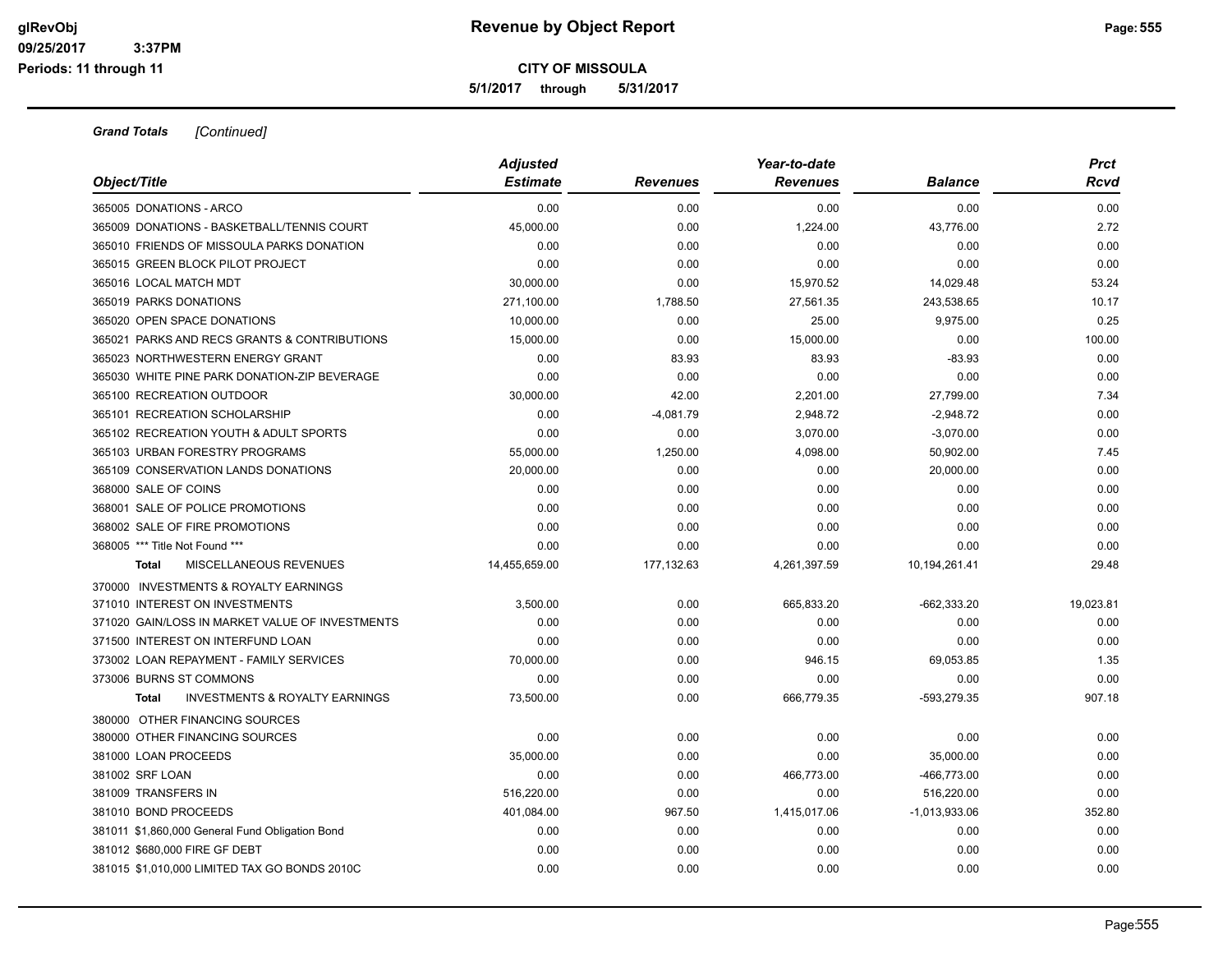**5/1/2017 through 5/31/2017**

|                                                           | <b>Adjusted</b> |                 | Year-to-date    |                | <b>Prct</b> |
|-----------------------------------------------------------|-----------------|-----------------|-----------------|----------------|-------------|
| Object/Title                                              | <b>Estimate</b> | <b>Revenues</b> | <b>Revenues</b> | <b>Balance</b> | Rcvd        |
| 365005 DONATIONS - ARCO                                   | 0.00            | 0.00            | 0.00            | 0.00           | 0.00        |
| 365009 DONATIONS - BASKETBALL/TENNIS COURT                | 45,000.00       | 0.00            | 1,224.00        | 43,776.00      | 2.72        |
| 365010 FRIENDS OF MISSOULA PARKS DONATION                 | 0.00            | 0.00            | 0.00            | 0.00           | 0.00        |
| 365015 GREEN BLOCK PILOT PROJECT                          | 0.00            | 0.00            | 0.00            | 0.00           | 0.00        |
| 365016 LOCAL MATCH MDT                                    | 30,000.00       | 0.00            | 15,970.52       | 14,029.48      | 53.24       |
| 365019 PARKS DONATIONS                                    | 271,100.00      | 1,788.50        | 27,561.35       | 243,538.65     | 10.17       |
| 365020 OPEN SPACE DONATIONS                               | 10,000.00       | 0.00            | 25.00           | 9,975.00       | 0.25        |
| 365021 PARKS AND RECS GRANTS & CONTRIBUTIONS              | 15,000.00       | 0.00            | 15,000.00       | 0.00           | 100.00      |
| 365023 NORTHWESTERN ENERGY GRANT                          | 0.00            | 83.93           | 83.93           | $-83.93$       | 0.00        |
| 365030 WHITE PINE PARK DONATION-ZIP BEVERAGE              | 0.00            | 0.00            | 0.00            | 0.00           | 0.00        |
| 365100 RECREATION OUTDOOR                                 | 30,000.00       | 42.00           | 2,201.00        | 27,799.00      | 7.34        |
| 365101 RECREATION SCHOLARSHIP                             | 0.00            | $-4,081.79$     | 2,948.72        | $-2,948.72$    | 0.00        |
| 365102 RECREATION YOUTH & ADULT SPORTS                    | 0.00            | 0.00            | 3,070.00        | $-3,070.00$    | 0.00        |
| 365103 URBAN FORESTRY PROGRAMS                            | 55,000.00       | 1,250.00        | 4,098.00        | 50,902.00      | 7.45        |
| 365109 CONSERVATION LANDS DONATIONS                       | 20,000.00       | 0.00            | 0.00            | 20,000.00      | 0.00        |
| 368000 SALE OF COINS                                      | 0.00            | 0.00            | 0.00            | 0.00           | 0.00        |
| 368001 SALE OF POLICE PROMOTIONS                          | 0.00            | 0.00            | 0.00            | 0.00           | 0.00        |
| 368002 SALE OF FIRE PROMOTIONS                            | 0.00            | 0.00            | 0.00            | 0.00           | 0.00        |
| 368005 *** Title Not Found ***                            | 0.00            | 0.00            | 0.00            | 0.00           | 0.00        |
| MISCELLANEOUS REVENUES<br><b>Total</b>                    | 14,455,659.00   | 177,132.63      | 4,261,397.59    | 10,194,261.41  | 29.48       |
| 370000 INVESTMENTS & ROYALTY EARNINGS                     |                 |                 |                 |                |             |
| 371010 INTEREST ON INVESTMENTS                            | 3,500.00        | 0.00            | 665,833.20      | $-662,333.20$  | 19,023.81   |
| 371020 GAIN/LOSS IN MARKET VALUE OF INVESTMENTS           | 0.00            | 0.00            | 0.00            | 0.00           | 0.00        |
| 371500 INTEREST ON INTERFUND LOAN                         | 0.00            | 0.00            | 0.00            | 0.00           | 0.00        |
| 373002 LOAN REPAYMENT - FAMILY SERVICES                   | 70,000.00       | 0.00            | 946.15          | 69,053.85      | 1.35        |
| 373006 BURNS ST COMMONS                                   | 0.00            | 0.00            | 0.00            | 0.00           | 0.00        |
| <b>INVESTMENTS &amp; ROYALTY EARNINGS</b><br><b>Total</b> | 73,500.00       | 0.00            | 666,779.35      | $-593,279.35$  | 907.18      |
| 380000 OTHER FINANCING SOURCES                            |                 |                 |                 |                |             |
| 380000 OTHER FINANCING SOURCES                            | 0.00            | 0.00            | 0.00            | 0.00           | 0.00        |
| 381000 LOAN PROCEEDS                                      | 35,000.00       | 0.00            | 0.00            | 35,000.00      | 0.00        |
| 381002 SRF LOAN                                           | 0.00            | 0.00            | 466,773.00      | -466,773.00    | 0.00        |
| 381009 TRANSFERS IN                                       | 516,220.00      | 0.00            | 0.00            | 516,220.00     | 0.00        |
| 381010 BOND PROCEEDS                                      | 401,084.00      | 967.50          | 1,415,017.06    | -1,013,933.06  | 352.80      |
| 381011 \$1,860,000 General Fund Obligation Bond           | 0.00            | 0.00            | 0.00            | 0.00           | 0.00        |
| 381012 \$680,000 FIRE GF DEBT                             | 0.00            | 0.00            | 0.00            | 0.00           | 0.00        |
| 381015 \$1.010.000 LIMITED TAX GO BONDS 2010C             | 0.00            | 0.00            | 0.00            | 0.00           | 0.00        |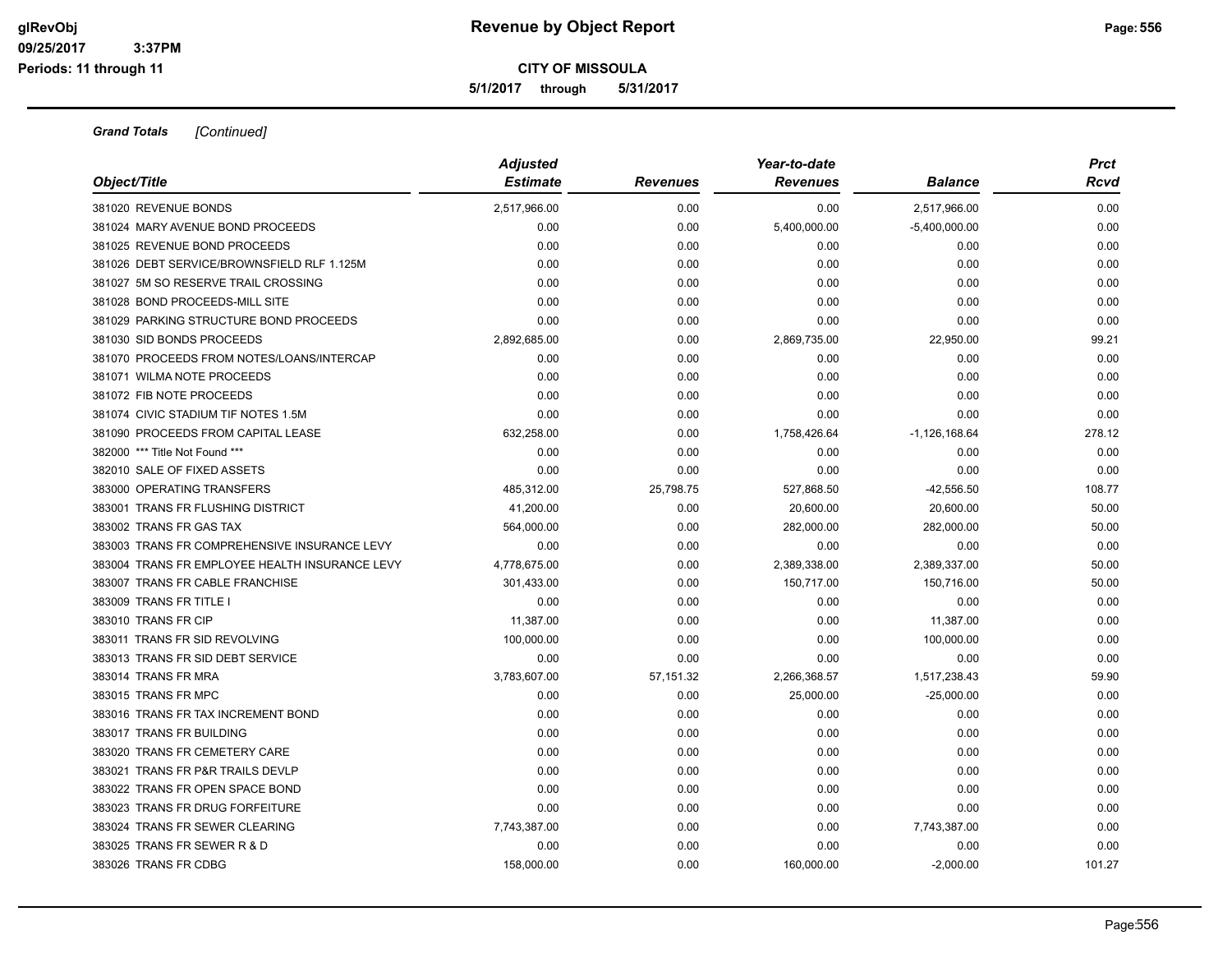**5/1/2017 through 5/31/2017**

| Object/Title                                   | <b>Adjusted</b><br><b>Estimate</b> | <b>Revenues</b> | Year-to-date<br><b>Revenues</b> | <b>Balance</b>  | <b>Prct</b><br>Rcvd |
|------------------------------------------------|------------------------------------|-----------------|---------------------------------|-----------------|---------------------|
| 381020 REVENUE BONDS                           | 2,517,966.00                       | 0.00            | 0.00                            | 2,517,966.00    | 0.00                |
| 381024 MARY AVENUE BOND PROCEEDS               | 0.00                               | 0.00            | 5,400,000.00                    | $-5,400,000.00$ | 0.00                |
| 381025 REVENUE BOND PROCEEDS                   | 0.00                               | 0.00            | 0.00                            | 0.00            | 0.00                |
| 381026 DEBT SERVICE/BROWNSFIELD RLF 1.125M     | 0.00                               | 0.00            | 0.00                            | 0.00            | 0.00                |
| 381027 5M SO RESERVE TRAIL CROSSING            | 0.00                               | 0.00            | 0.00                            | 0.00            | 0.00                |
| 381028 BOND PROCEEDS-MILL SITE                 | 0.00                               | 0.00            | 0.00                            | 0.00            | 0.00                |
| 381029 PARKING STRUCTURE BOND PROCEEDS         | 0.00                               | 0.00            | 0.00                            | 0.00            | 0.00                |
| 381030 SID BONDS PROCEEDS                      | 2,892,685.00                       | 0.00            | 2,869,735.00                    | 22,950.00       | 99.21               |
| 381070 PROCEEDS FROM NOTES/LOANS/INTERCAP      | 0.00                               | 0.00            | 0.00                            | 0.00            | 0.00                |
| 381071 WILMA NOTE PROCEEDS                     | 0.00                               | 0.00            | 0.00                            | 0.00            | 0.00                |
| 381072 FIB NOTE PROCEEDS                       | 0.00                               | 0.00            | 0.00                            | 0.00            | 0.00                |
| 381074 CIVIC STADIUM TIF NOTES 1.5M            | 0.00                               | 0.00            | 0.00                            | 0.00            | 0.00                |
| 381090 PROCEEDS FROM CAPITAL LEASE             | 632,258.00                         | 0.00            | 1,758,426.64                    | $-1,126,168.64$ | 278.12              |
| 382000 *** Title Not Found ***                 | 0.00                               | 0.00            | 0.00                            | 0.00            | 0.00                |
| 382010 SALE OF FIXED ASSETS                    | 0.00                               | 0.00            | 0.00                            | 0.00            | 0.00                |
| 383000 OPERATING TRANSFERS                     | 485,312.00                         | 25,798.75       | 527,868.50                      | $-42,556.50$    | 108.77              |
| 383001 TRANS FR FLUSHING DISTRICT              | 41,200.00                          | 0.00            | 20,600.00                       | 20,600.00       | 50.00               |
| 383002 TRANS FR GAS TAX                        | 564,000.00                         | 0.00            | 282,000.00                      | 282,000.00      | 50.00               |
| 383003 TRANS FR COMPREHENSIVE INSURANCE LEVY   | 0.00                               | 0.00            | 0.00                            | 0.00            | 0.00                |
| 383004 TRANS FR EMPLOYEE HEALTH INSURANCE LEVY | 4,778,675.00                       | 0.00            | 2,389,338.00                    | 2,389,337.00    | 50.00               |
| 383007 TRANS FR CABLE FRANCHISE                | 301,433.00                         | 0.00            | 150.717.00                      | 150,716.00      | 50.00               |
| 383009 TRANS FR TITLE I                        | 0.00                               | 0.00            | 0.00                            | 0.00            | 0.00                |
| 383010 TRANS FR CIP                            | 11,387.00                          | 0.00            | 0.00                            | 11,387.00       | 0.00                |
| 383011 TRANS FR SID REVOLVING                  | 100,000.00                         | 0.00            | 0.00                            | 100,000.00      | 0.00                |
| 383013 TRANS FR SID DEBT SERVICE               | 0.00                               | 0.00            | 0.00                            | 0.00            | 0.00                |
| 383014 TRANS FR MRA                            | 3,783,607.00                       | 57,151.32       | 2,266,368.57                    | 1,517,238.43    | 59.90               |
| 383015 TRANS FR MPC                            | 0.00                               | 0.00            | 25,000.00                       | $-25,000.00$    | 0.00                |
| 383016 TRANS FR TAX INCREMENT BOND             | 0.00                               | 0.00            | 0.00                            | 0.00            | 0.00                |
| 383017 TRANS FR BUILDING                       | 0.00                               | 0.00            | 0.00                            | 0.00            | 0.00                |
| 383020 TRANS FR CEMETERY CARE                  | 0.00                               | 0.00            | 0.00                            | 0.00            | 0.00                |
| 383021 TRANS FR P&R TRAILS DEVLP               | 0.00                               | 0.00            | 0.00                            | 0.00            | 0.00                |
| 383022 TRANS FR OPEN SPACE BOND                | 0.00                               | 0.00            | 0.00                            | 0.00            | 0.00                |
| 383023 TRANS FR DRUG FORFEITURE                | 0.00                               | 0.00            | 0.00                            | 0.00            | 0.00                |
| 383024 TRANS FR SEWER CLEARING                 | 7,743,387.00                       | 0.00            | 0.00                            | 7,743,387.00    | 0.00                |
| 383025 TRANS FR SEWER R & D                    | 0.00                               | 0.00            | 0.00                            | 0.00            | 0.00                |
| 383026 TRANS FR CDBG                           | 158,000.00                         | 0.00            | 160,000.00                      | $-2,000.00$     | 101.27              |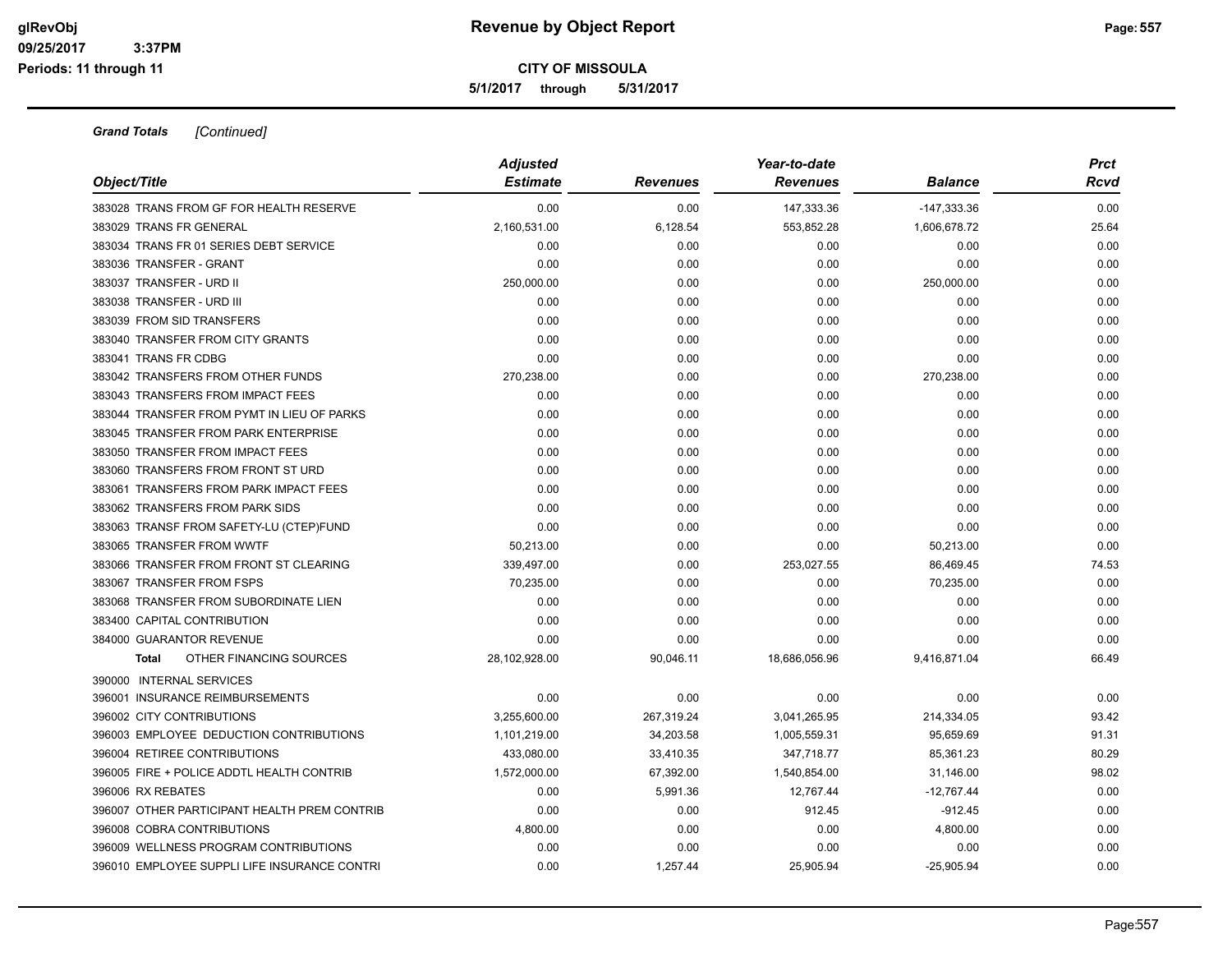**5/1/2017 through 5/31/2017**

| Object/Title                                 | <b>Adjusted</b><br><b>Estimate</b> | <b>Revenues</b> | Year-to-date<br><b>Revenues</b> | <b>Balance</b> | <b>Prct</b><br>Rcvd |
|----------------------------------------------|------------------------------------|-----------------|---------------------------------|----------------|---------------------|
|                                              |                                    |                 |                                 |                |                     |
| 383028 TRANS FROM GF FOR HEALTH RESERVE      | 0.00                               | 0.00            | 147,333.36                      | $-147,333.36$  | 0.00                |
| 383029 TRANS FR GENERAL                      | 2,160,531.00                       | 6,128.54        | 553,852.28                      | 1,606,678.72   | 25.64               |
| 383034 TRANS FR 01 SERIES DEBT SERVICE       | 0.00                               | 0.00            | 0.00                            | 0.00           | 0.00                |
| 383036 TRANSFER - GRANT                      | 0.00                               | 0.00            | 0.00                            | 0.00           | 0.00                |
| 383037 TRANSFER - URD II                     | 250,000.00                         | 0.00            | 0.00                            | 250,000.00     | 0.00                |
| 383038 TRANSFER - URD III                    | 0.00                               | 0.00            | 0.00                            | 0.00           | 0.00                |
| 383039 FROM SID TRANSFERS                    | 0.00                               | 0.00            | 0.00                            | 0.00           | 0.00                |
| 383040 TRANSFER FROM CITY GRANTS             | 0.00                               | 0.00            | 0.00                            | 0.00           | 0.00                |
| 383041 TRANS FR CDBG                         | 0.00                               | 0.00            | 0.00                            | 0.00           | 0.00                |
| 383042 TRANSFERS FROM OTHER FUNDS            | 270,238.00                         | 0.00            | 0.00                            | 270,238.00     | 0.00                |
| 383043 TRANSFERS FROM IMPACT FEES            | 0.00                               | 0.00            | 0.00                            | 0.00           | 0.00                |
| 383044 TRANSFER FROM PYMT IN LIEU OF PARKS   | 0.00                               | 0.00            | 0.00                            | 0.00           | 0.00                |
| 383045 TRANSFER FROM PARK ENTERPRISE         | 0.00                               | 0.00            | 0.00                            | 0.00           | 0.00                |
| 383050 TRANSFER FROM IMPACT FEES             | 0.00                               | 0.00            | 0.00                            | 0.00           | 0.00                |
| 383060 TRANSFERS FROM FRONT ST URD           | 0.00                               | 0.00            | 0.00                            | 0.00           | 0.00                |
| 383061 TRANSFERS FROM PARK IMPACT FEES       | 0.00                               | 0.00            | 0.00                            | 0.00           | 0.00                |
| 383062 TRANSFERS FROM PARK SIDS              | 0.00                               | 0.00            | 0.00                            | 0.00           | 0.00                |
| 383063 TRANSF FROM SAFETY-LU (CTEP)FUND      | 0.00                               | 0.00            | 0.00                            | 0.00           | 0.00                |
| 383065 TRANSFER FROM WWTF                    | 50,213.00                          | 0.00            | 0.00                            | 50,213.00      | 0.00                |
| 383066 TRANSFER FROM FRONT ST CLEARING       | 339,497.00                         | 0.00            | 253,027.55                      | 86,469.45      | 74.53               |
| 383067 TRANSFER FROM FSPS                    | 70,235.00                          | 0.00            | 0.00                            | 70,235.00      | 0.00                |
| 383068 TRANSFER FROM SUBORDINATE LIEN        | 0.00                               | 0.00            | 0.00                            | 0.00           | 0.00                |
| 383400 CAPITAL CONTRIBUTION                  | 0.00                               | 0.00            | 0.00                            | 0.00           | 0.00                |
| 384000 GUARANTOR REVENUE                     | 0.00                               | 0.00            | 0.00                            | 0.00           | 0.00                |
| OTHER FINANCING SOURCES<br>Total             | 28,102,928.00                      | 90,046.11       | 18,686,056.96                   | 9,416,871.04   | 66.49               |
| 390000 INTERNAL SERVICES                     |                                    |                 |                                 |                |                     |
| 396001 INSURANCE REIMBURSEMENTS              | 0.00                               | 0.00            | 0.00                            | 0.00           | 0.00                |
| 396002 CITY CONTRIBUTIONS                    | 3,255,600.00                       | 267,319.24      | 3,041,265.95                    | 214,334.05     | 93.42               |
| 396003 EMPLOYEE DEDUCTION CONTRIBUTIONS      | 1,101,219.00                       | 34,203.58       | 1,005,559.31                    | 95,659.69      | 91.31               |
| 396004 RETIREE CONTRIBUTIONS                 | 433,080.00                         | 33,410.35       | 347.718.77                      | 85,361.23      | 80.29               |
| 396005 FIRE + POLICE ADDTL HEALTH CONTRIB    | 1,572,000.00                       | 67,392.00       | 1,540,854.00                    | 31,146.00      | 98.02               |
| 396006 RX REBATES                            | 0.00                               | 5,991.36        | 12,767.44                       | $-12,767.44$   | 0.00                |
| 396007 OTHER PARTICIPANT HEALTH PREM CONTRIB | 0.00                               | 0.00            | 912.45                          | $-912.45$      | 0.00                |
| 396008 COBRA CONTRIBUTIONS                   | 4,800.00                           | 0.00            | 0.00                            | 4,800.00       | 0.00                |
| 396009 WELLNESS PROGRAM CONTRIBUTIONS        | 0.00                               | 0.00            | 0.00                            | 0.00           | 0.00                |
| 396010 EMPLOYEE SUPPLI LIFE INSURANCE CONTRI | 0.00                               | 1,257.44        | 25.905.94                       | $-25.905.94$   | 0.00                |